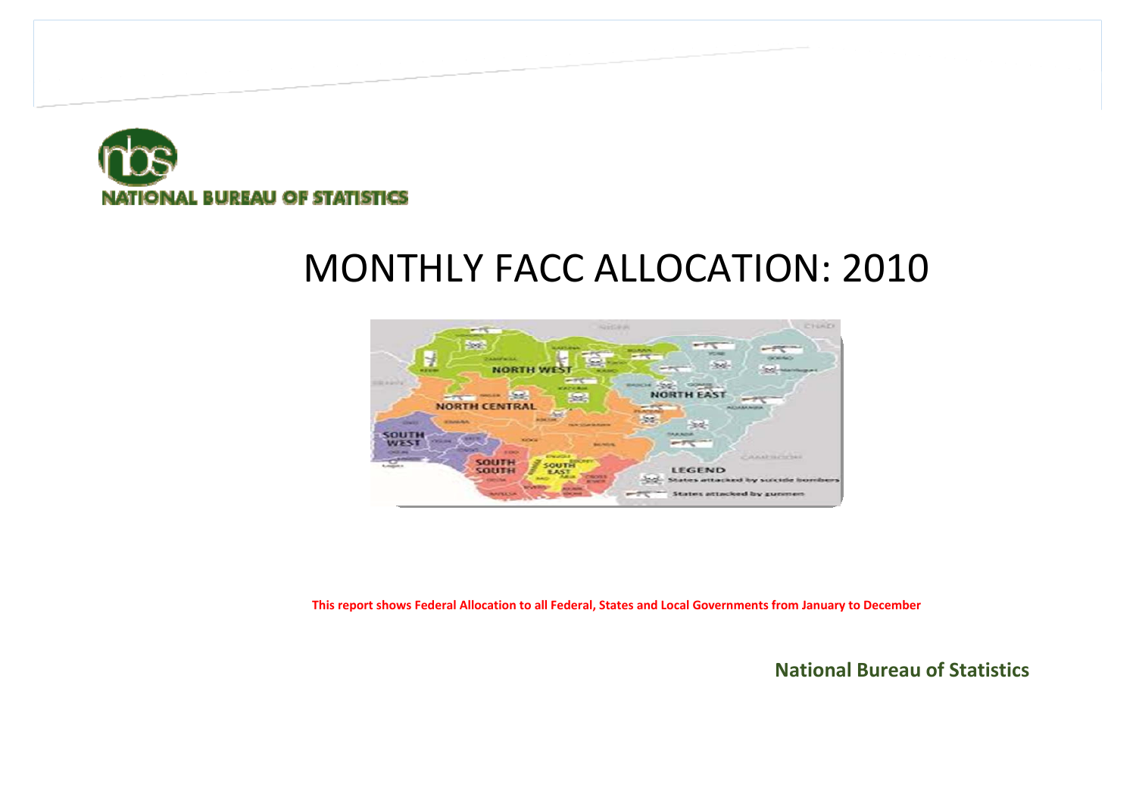

## MONTHLY FACC ALLOCATION: 2010



**This report shows Federal Allocation to all Federal, States and Local Governments from January to December**

**National Bureau of Statistics**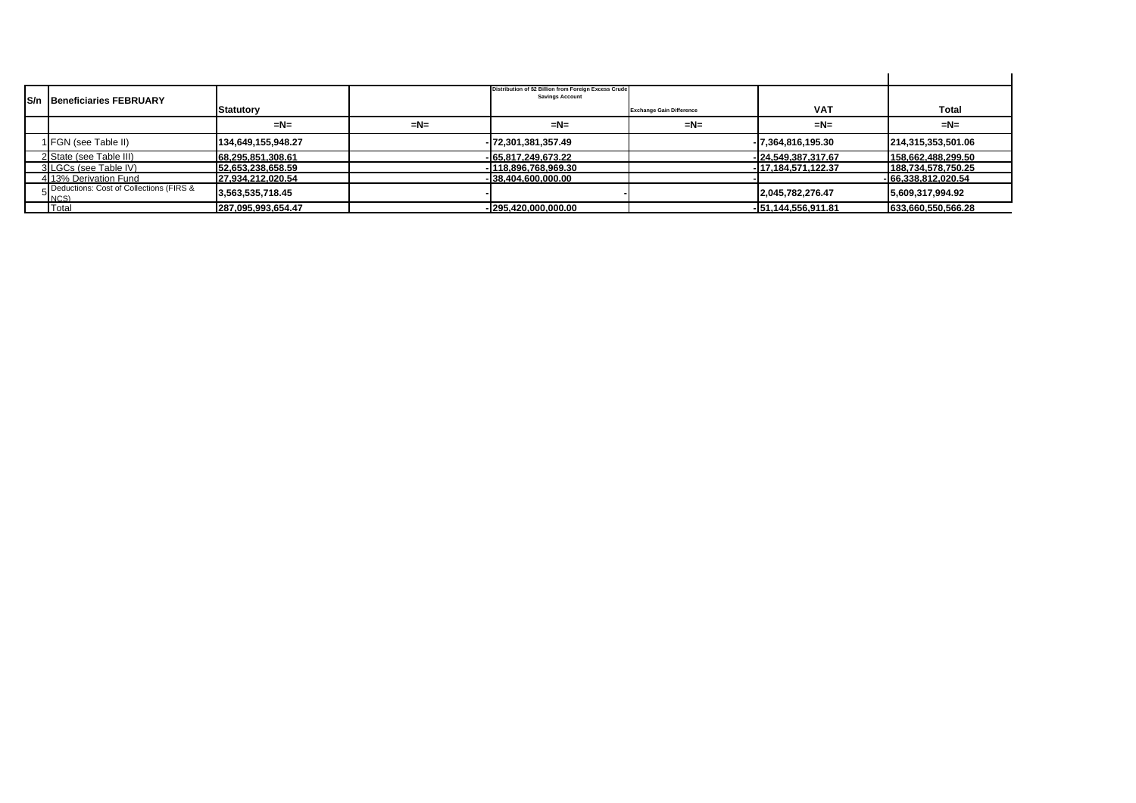| <b>IS/n Beneficiaries FEBRUARY</b>               | <b>Statutory</b>   |       | Distribution of \$2 Billion from Foreign Excess Crude<br><b>Savings Account</b> | <b>Exchange Gain Difference</b> | <b>VAT</b>            | Total                 |
|--------------------------------------------------|--------------------|-------|---------------------------------------------------------------------------------|---------------------------------|-----------------------|-----------------------|
|                                                  | $=N=$              | $=N=$ | $=N=$                                                                           | $=N=$                           | $=N=$                 | $=N=$                 |
| 1 FGN (see Table II)                             | 134,649,155,948.27 |       | - 72,301,381,357.49                                                             |                                 | -17,364,816,195.30    | 214,315,353,501.06    |
| 2 State (see Table III)                          | 68.295.851.308.61  |       | -65.817.249.673.22                                                              |                                 | $-24.549.387.317.67$  | 158.662.488.299.50    |
| 3 LGCs (see Table IV)                            | 52.653.238.658.59  |       | -1118.896.768.969.30                                                            |                                 | -17,184,571,122.37    | 188.734.578.750.25    |
| 4 13% Derivation Fund                            | 27,934,212,020.54  |       | $-138,404,600,000.00$                                                           |                                 |                       | $-166,338,812,020.54$ |
| - Deductions: Cost of Collections (FIRS &<br>NCS | 3,563,535,718.45   |       |                                                                                 |                                 | 2,045,782,276.47      | 5,609,317,994.92      |
| Total                                            | 287.095.993.654.47 |       | $-1295.420.000.000.00$                                                          |                                 | $-151.144.556.911.81$ | 633.660.550.566.28    |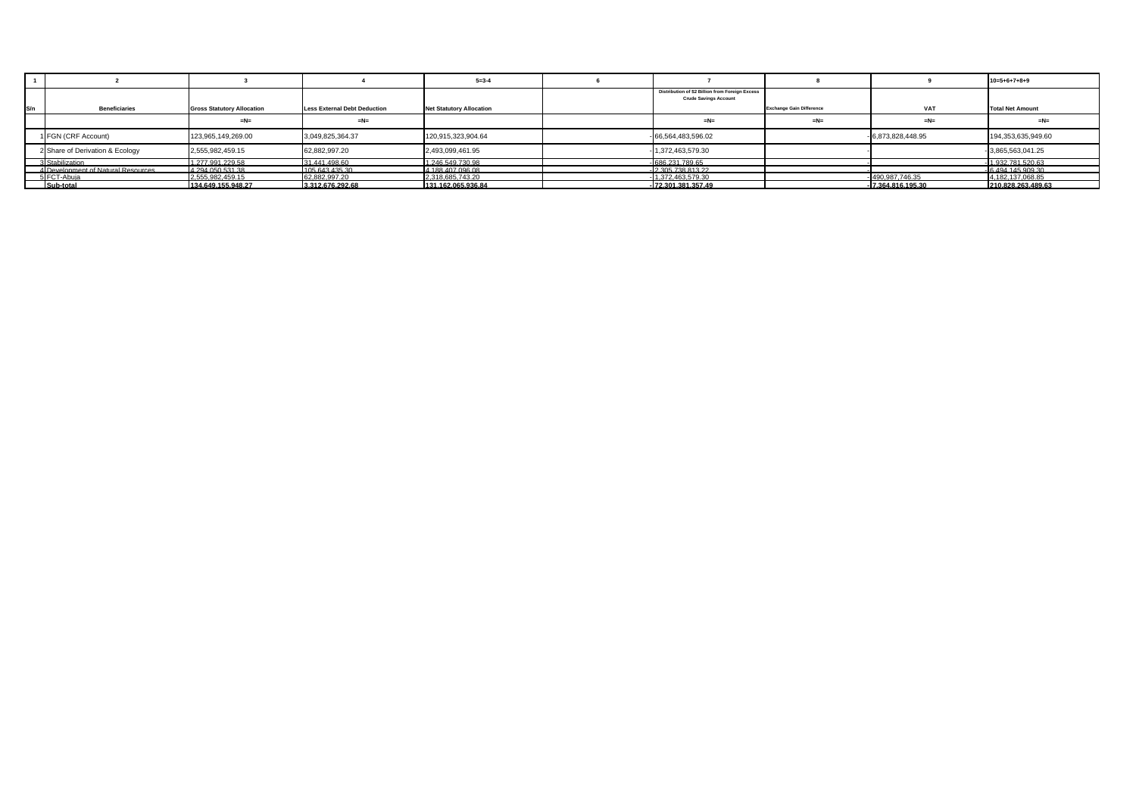|     |                                    |                                   |                                     | $5 = 3 - 4$                     |                                                                                 |                                 |                      | $10=5+6+7+8+9$          |
|-----|------------------------------------|-----------------------------------|-------------------------------------|---------------------------------|---------------------------------------------------------------------------------|---------------------------------|----------------------|-------------------------|
|     |                                    |                                   |                                     |                                 | Distribution of \$2 Billion from Foreign Excess<br><b>Crude Savings Account</b> |                                 |                      |                         |
| S/n | <b>Beneficiaries</b>               | <b>Gross Statutory Allocation</b> | <b>Less External Debt Deduction</b> | <b>Net Statutory Allocation</b> |                                                                                 | <b>Exchange Gain Difference</b> | <b>VAT</b>           | <b>Total Net Amount</b> |
|     |                                    | $=N=$                             | $=N=$                               |                                 | $=N=$                                                                           | $=N=$                           | $=N=$                | –N·                     |
|     | FGN (CRF Account)                  | 123,965,149,269.00                | 3,049,825,364.37                    | 120,915,323,904.64              | $-66,564,483,596.02$                                                            |                                 | $-6,873,828,448.95$  | 194,353,635,949.60      |
|     | 2 Share of Derivation & Ecology    | 2,555,982,459.15                  | 62,882,997.20                       | 2,493,099,461.95                | 1,372,463,579.30                                                                |                                 |                      | $-3,865,563,041.25$     |
|     | 3 Stabilization                    | 1 277 991 229 58                  | 31 441 498 60                       | 1 246 549 730 98                | 686 231 789 65                                                                  |                                 |                      | 1 932 781 520 63        |
|     | 4 Development of Natural Resources | 4 294 050 531 38                  | 105 643 435 30                      | 4 188 407 096 08                | $-230573881322$                                                                 |                                 |                      | $-649414590930$         |
|     | <b>FCT-Abuja</b>                   | 2,555,982,459.15                  | 62,882,997.20                       | 2,318,685,743.20                | 1,372,463,579.30                                                                |                                 | $-490,987,746.35$    | 4,182,137,068.85        |
|     | Sub-total                          | 134.649.155.948.27                | 3.312.676.292.68                    | 131.162.065.936.84              | -72.301.381.357.49                                                              |                                 | $-17.364.816.195.30$ | 210.828.263.489.63      |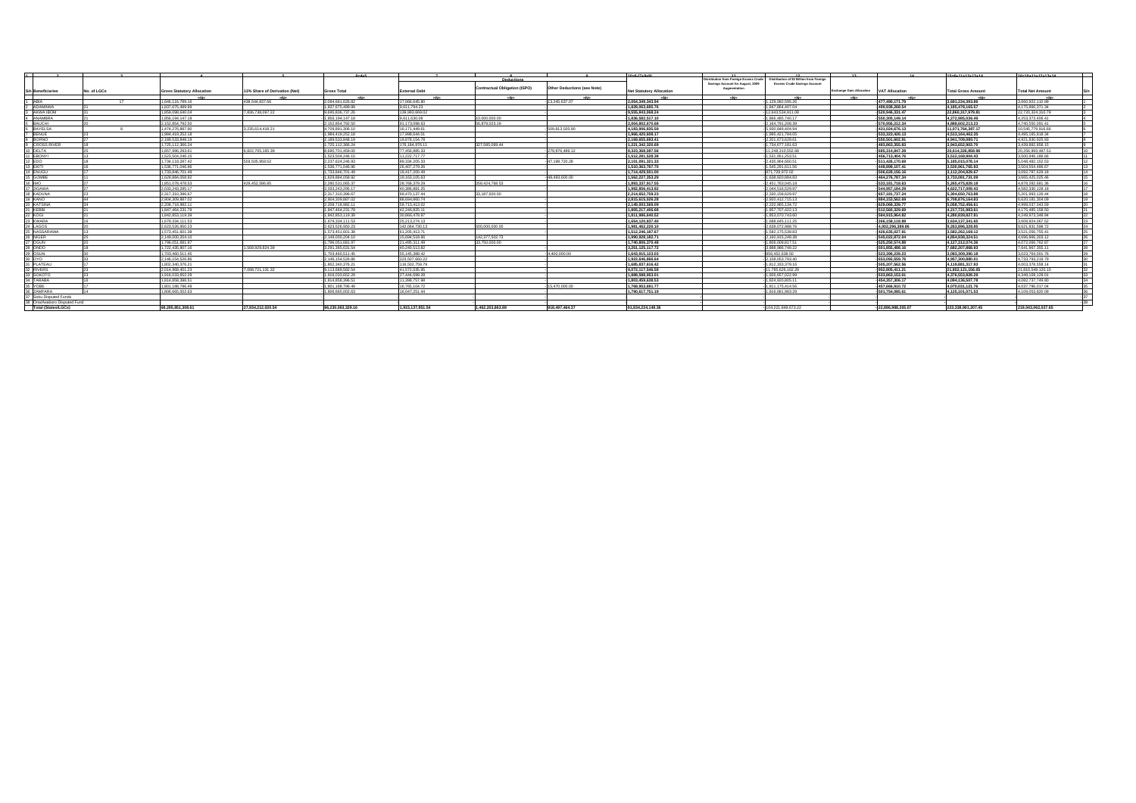|                              |             |                                   |                               | $6 - 4 - 5$       |                      |                                      |                                    | $10 - 6 - (7 + 8 + 9)$          |                                      |                                          | $\overline{11}$                         | $\overline{14}$   | 15-6+11+12+13+14          | 16-10-11-12-13-14       |  |
|------------------------------|-------------|-----------------------------------|-------------------------------|-------------------|----------------------|--------------------------------------|------------------------------------|---------------------------------|--------------------------------------|------------------------------------------|-----------------------------------------|-------------------|---------------------------|-------------------------|--|
|                              |             |                                   |                               |                   |                      |                                      |                                    |                                 | stribution from Foreign Excess Crude | Distribution of \$2 Billion from Foreign |                                         |                   |                           |                         |  |
|                              |             |                                   |                               |                   |                      |                                      |                                    |                                 | Savings Account for August, 2009     | Excess Crude Savings Account             |                                         |                   |                           |                         |  |
| In Beneficiaries             | No. of LGCs | <b>Gross Statutory Allocation</b> | 13% Share of Derivation (Net) | Gross Total       | <b>External Debt</b> | <b>Contractual Obligation (ISPO)</b> | <b>Other Deductions (see Note)</b> | <b>Net Statutory Allocation</b> | Augmentation                         |                                          | Exchange Gain Allocation VAT Allocation |                   | <b>Total Gross Amount</b> | <b>Total Net Amount</b> |  |
|                              |             |                                   |                               |                   |                      |                                      |                                    |                                 |                                      |                                          |                                         |                   |                           |                         |  |
| <b>ARIA</b>                  | 17          | A46 116 789 16                    | 438 544 837 66                | CR 205 128 1290   | 7 ORR R45 80         |                                      | 13 245 637 07                      | 2.054.349.343.94                |                                      | 1129.082.595.26                          |                                         | 477 490 171 79    | 3 691 234 393 86          | 3 660 922 110 99        |  |
| <b>ADAMAWA</b>               |             | 837 675 489 99                    |                               | 1.837.675.489.99  | 9.611.794.23         |                                      |                                    | 1.828.063.695.76                |                                      | 1.847.864.407.04                         |                                         | 499 938 268 54    | 4.185.478.165.57          | 4.175.866.371.34        |  |
| <b>AKWA IBOM</b>             |             | 859 098 640 04                    | 836.738.097.22                | 695 836 737 26    | 139.993.669.02       |                                      |                                    | 9.555.843.068.24                |                                      | 12.643.534.911.08                        |                                         | 520.946.331.47    | 22.860.317.979.81         | 22.720.324.310.79       |  |
| ANAMBRA                      |             | R56 194 147 18                    |                               | R56 194 147 18    | 9.611.630.08         | 10.000.000.00                        |                                    | 1.836.582.517.10                |                                      | 1 886 485 740 17                         |                                         | 550 305 149 14    | 4.272.985.036.49          | 4.253.373.406.41        |  |
| RAUCHL                       |             | 152 854 792 50                    |                               | 152 854 792 50    | 11 173 098 63        | 56 879 023 19                        |                                    | 2.004.802.670.68                |                                      | 2 164 791 208 39                         |                                         | 570 956 212 34    | 4 888 602 213 23          | 4 740 550 091 41        |  |
| 6 BAYELSA                    |             | 474 276 887 90                    | 235 614 418 21                | 709 891 306 10    | 16 171 449 61        |                                      | 509 813 020 90                     | 4 183 906 835 59                |                                      | 5 930 848 404 94                         |                                         | 431.024.676.13    | 11.071.764.387.17         | 10 545 779 916 66       |  |
| <b>BENUE</b>                 |             | 984 419 252 18                    |                               | 1984 419 252 18   | 7 998 644 01         |                                      |                                    | 1.966.420.608.17                |                                      | 1995 421 784 05                          |                                         | 533 323 426 13    | 4.513.164.462.35          | 4 495 165 818 34        |  |
| RORNO                        |             | 189 533 848 19                    |                               | 2189 533 848 19   | 19 878 154 78        |                                      |                                    | 2.169.655.693.41                |                                      | 2 201 673 629 61                         |                                         | 550.501.602.91    | 4941.709.080.71           | 4 921 830 925 93        |  |
| <b>CROSS RIVER</b>           |             | 725.112.366.24                    |                               | 1.725.112.366.24  | 76.184.976.11        | 127 585 069 44                       |                                    | $-1.221.342.320.69$             |                                      | 1.734.677.181.63                         |                                         | 483.863.355.83    | 1,943,652,903,70          | 3.439.882.858.15        |  |
| 10 DELTA                     |             | 857.996.293.61                    | 822.705.165.39                | 3.680.701.459.00  | 7,456,885,33         |                                      | 279.876.486.12                     | 8.323.368.087.56                |                                      | 11.248.310.552.68                        |                                         | 685.314.847.28    | 20.614.326.858.96         | 20.256.993.487.51       |  |
| 11 FRONYL                    |             | .523.504.246.15                   |                               | 1.523.504.246.15  | 11.222.717.77        |                                      |                                    | $-1.512.281.528.38$             |                                      | 1.531.951.253.51                         |                                         | 456.713.404.76    | 3.512.168.904.43          | 3 500 946 186 66        |  |
| 12 EDO                       |             | .734.118.287.42                   | 03.505.959.52                 | 237.624.246.93    | 89.334.205.33        |                                      | 17.198.720.28                      | 2.101.091.321.33                |                                      | 2 435 984 880 51                         |                                         | 511.426.170.69    | 185.015.078.14            | 048.482.152.53          |  |
| 13 EKITI                     |             | 1.536.771.046.96                  |                               | 1.536.771.046.96  | 26.407.279.26        |                                      |                                    | 1.510.363.767.70                |                                      | 1.545.291.611.56                         |                                         | 448.899.107.41    | 3.530.961.765.93          | 3.504.554.486.67        |  |
| 14 ENUGU                     |             | 733.846.701.49                    |                               | 1.733.846.701.49  | 19,417,200.49        |                                      |                                    | 1.714.429.501.00                |                                      | 871.729.972.02                           |                                         | 506.628.156.16    | 3.112.204.829.67          | 3.092.787.629.18        |  |
| 5 GOMBE                      |             | .629.884.058.92                   |                               | 1.629.884.058.92  | 19.163.105.63        |                                      | 00.003.893.84                      | 1.562.227.353.29                |                                      | 1.638.920.884.83                         |                                         | 464.276.787.34    | 3.733.081.731.09          | 3.665.425.025.46        |  |
| 16 IMO                       |             | .851.078.478.53                   | 429 452 586 85                | 2.280.531.065.37  | 28.768.379.29        | 358 424 768 53                       |                                    | 1.893.337.917.55                |                                      | 2.451.763.045.18                         |                                         | 533, 181, 718, 63 | 5.265.475.829.18          | 4.878.282.681.36        |  |
| 17 JIGAWA                    |             | 033 243 295 17                    |                               | 003324329517      | 40 386 881 25        |                                      |                                    | 1.992.856.413.92                |                                      | 2.044.516.529.97                         |                                         | 544 957 184 29    | 4.622.717.009.43          | 4 582 330 128 18        |  |
| 18 KADUNA                    |             | 317 310 398 67                    |                               | 2317310396.67     | 9 470 137 44         | 33 187 500 00                        |                                    | 2.214.652.759.23                |                                      | 2.330.158.629.97                         |                                         | 657 181 737 24    | 304 650 763 88            | 620199312644            |  |
| 19 KANO                      |             | 904 309 887 02                    |                               | 2 904 309 887 02  | 88 694 860 74        |                                      |                                    | $-2.815.615.026.28$             |                                      | 2 920 412 715 13                         |                                         | 884 153 562 69    | <b>6.708.876.164.83</b>   | 8 620 181 304 09        |  |
| 20 KATSINA                   |             | 208 718 982 11                    |                               | 2.208.718.982.11  | 59.715.413.02        |                                      |                                    | $-2.149.003.569.09$             |                                      | 2.220.965.134.72                         |                                         | 629.068.339.77    | 5.058.752.456.61          | 4 999 037 043 59        |  |
| 21 KEBBI                     |             | 847 464 231 79                    |                               | 847 484 231 79    | 42 246 825 11        |                                      |                                    | 1.805.217.406.68                |                                      | 1.857.707.422.13                         |                                         | 512 560 329 69    | 4 217 731 983 61          | 4 175 485 158 50        |  |
| 22 KOGI                      |             | 842 853 119 39                    |                               | 184285311939      | 30 866 478 87        |                                      |                                    | 1.811.986.640.52                |                                      | 1.853.070.743.60                         |                                         | 584.915.964.82    | 4.280.839.827.81          | 4 249 973 348 94        |  |
| 23 KWARA                     |             | 679 334 111 53                    |                               | 1 679 334 111 53  | 25 213 274 13        |                                      |                                    | $-1.654.120.837.40$             |                                      | 1 688 645 111 25                         |                                         | 266 158 118 88    | 3 634 137 341 65          | 3 608 924 067 52        |  |
| 24 LAGOS                     |             | 623 526 950 23                    |                               | R23 526 950 23    | 142 064 730 13       | 500.000.000.00                       |                                    | 1.981.462.220.10                |                                      | 2 638 072 988 76                         |                                         | 4.002.296.389.86  | 9 263 896 328 85          | 8 621 831 598 72        |  |
| 25 NASSARAWA                 |             | 573 451 601 38                    |                               | 1.573.451.601.38  | 81 205 413 71        |                                      |                                    | 1.512.246.187.67                |                                      | 1 582 175 539 83                         |                                         | 426 635 027 91    | 3.582.262.169.12          | 3.521.056.755.41        |  |
| 26 NIGER                     |             | 149,000.204.10                    |                               | 149,000 204 10    | 38 813 893 31        | 142 377 502 73                       |                                    | 1.990.928.182.71                |                                      | 2 160 915 248 38                         |                                         | 545.022.872.04    | 4.854.938.324.51          | 4 696 866 303 12        |  |
| 27 OGUN                      |             | 796 051 681 97                    |                               | 1796 051 681 97   | 21,495,311.49        | 33.750.000.00                        |                                    | 1.740.806.370.48                |                                      | 1.806.009.817.51                         |                                         | 525.250.574.88    | 4.127.312.074.36          | 4.072.066.762.87        |  |
| 28 ONDO                      |             | 722.435.807.16                    | 568.929.824.39                | 3.291.365.631.54  | 40.240.513.82        |                                      |                                    | $-3.251.125.117.72$             |                                      | 3.888.986.749.22                         |                                         | 501.855,488.16    | 7.682.207.868.93          | 7.641.967.355.11        |  |
| 29 OSUN                      |             | 703.460.511.45                    |                               | 1.703.460.511.45  | 55.145.388.42        |                                      | 4.400.000.00                       | 1.643.915.123.03                |                                      | 856.452.639.50                           |                                         | 523.396.239.23    | 3.083.309.390.18          | 3.023.764.001.76        |  |
| 30 OYO                       |             | 146.154.526.86                    |                               | 2.146.154.526.86  | 223.507.660.22       |                                      |                                    | 1.922.646.866.64                |                                      | 2.158.053.793.40                         |                                         | 653.092.559.76    | 4.957.300.880.01          | 4.733.793.219.79        |  |
| 31 PLATEAU                   |             | .802.340.376.21                   |                               | 1.802.340.376.21  | 16.502.759.79        |                                      |                                    | 1.685.837.616.42                |                                      | 1.812.333.379.16                         |                                         | 505.207.562.56    | 4.119.881.317.93          | 4.003.378.558.14        |  |
| 32 RIVERS                    |             | 014 968 451 23                    | 098.721.131.32                | 9113 689 582 54   | 41.572.035.95        |                                      |                                    | 9.072.117.546.59                |                                      | 11.785.626.162.29                        |                                         | 952.805.411.21    | 21.852.121.156.05         | 21.810.549.120.10       |  |
| 33 SOKOTO                    |             | .916.033.652.29                   |                               | 1.916.033.652.29  | 7,444,699.28         |                                      |                                    | 1.888.588.953.01                |                                      | 192665702299                             |                                         | 533 863 153 01    | 4,376,553,828,29          | 4349 109 129 01         |  |
| 34 TARABA                    |             | 814 858 398 51                    |                               | 1.814.858.396.51  | 11.398.757.98        |                                      |                                    | 1.803.459.638.53                |                                      | 1.824.920.805.11                         |                                         | 454.357.306.17    | 4.094.136.507.78          | 4.082.737.749.80        |  |
| 35 YOBE                      |             | 801 188 798 49                    |                               | 1801 188 796 49   | 16.765.104.72        |                                      | 15.470.000.00                      | 1.768.953.691.77                |                                      | 1.811.175.414.56                         |                                         | 457.666.910.72    | 4.070.031.121.76          | 4.037.796.017.04        |  |
| 36 ZAMFARA                   |             | 806.665.002.63                    |                               | 1.806.665.002.63  | 16.047.251.44        |                                      |                                    | $-1.790.617.751.19$             |                                      | 1.816.681.983.29                         |                                         | 501.754.085.61    | 4.125.101.071.53          | 4 109 053 820 09        |  |
| 17 Soku Disputed Funds       |             |                                   |                               |                   |                      |                                      |                                    |                                 |                                      |                                          |                                         |                   |                           |                         |  |
| 38 Ona/Asaboro Disputed Fund |             |                                   |                               |                   |                      |                                      |                                    |                                 |                                      |                                          |                                         |                   |                           |                         |  |
| Total (States/LGCs)          |             | 38.295.851.308.61                 | 27.934.212.020.54             | 96 230 063 329 16 | 1.915.137.851.54     | 1462.203.863.89                      | 918 497 464 37                     | 91.934.224.149.36               |                                      | 104 221 849 673 22                       |                                         | 22 886 988 205 07 | 23 338 901 207 45         | 219.043.062.027.65      |  |
|                              |             |                                   |                               |                   |                      |                                      |                                    |                                 |                                      |                                          |                                         |                   |                           |                         |  |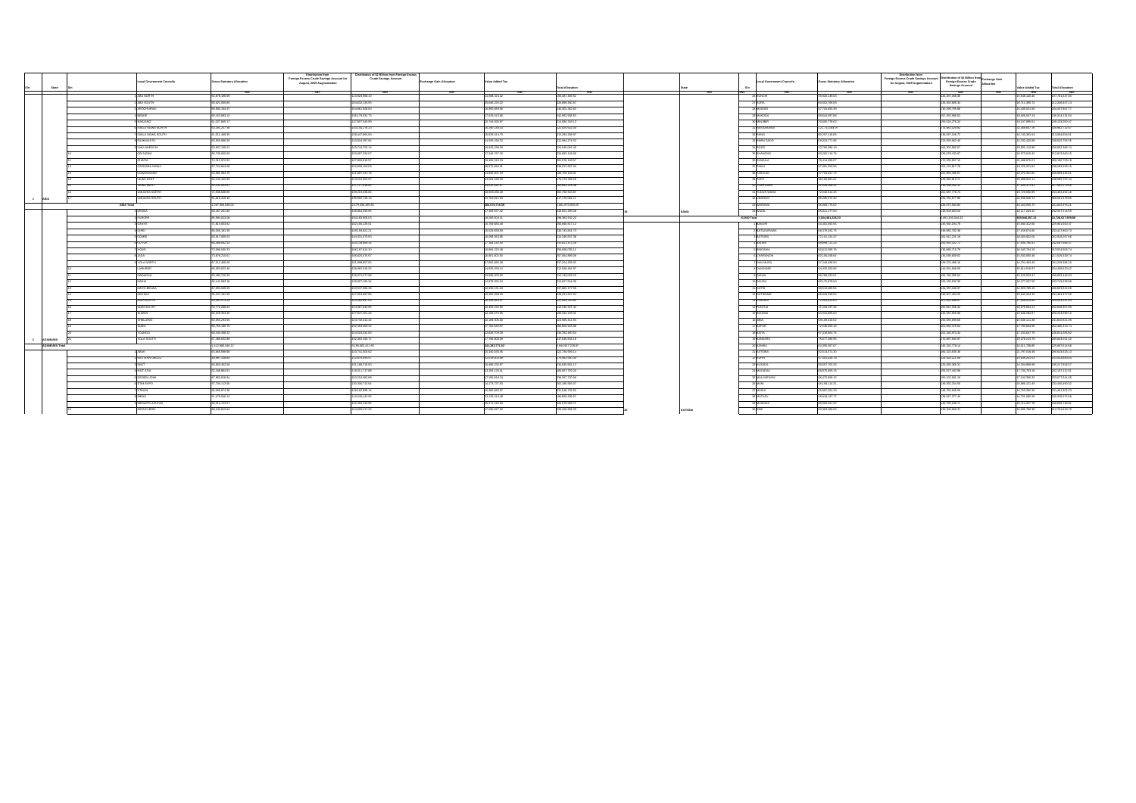|       |                    |                                  |                           | Distribution from                        | stribution of \$2 Billion from Foreign Exces |                         |                |                  |         |             |                                  |                                   | Distribution from                    |                                                |             |                 |                         |
|-------|--------------------|----------------------------------|---------------------------|------------------------------------------|----------------------------------------------|-------------------------|----------------|------------------|---------|-------------|----------------------------------|-----------------------------------|--------------------------------------|------------------------------------------------|-------------|-----------------|-------------------------|
|       |                    |                                  |                           | Foreign Excess Crude Savings Account for | Crude Savings Account                        |                         |                |                  |         |             |                                  |                                   | Foreign Excess Crude Savings Account | stribution of \$2 Billion from                 | change Gain |                 |                         |
|       |                    | <b>Local Government Councils</b> | ross Statutory Allocation | August, 2009 Augmentation                |                                              | schange Gain Allocation | slue Added Tax |                  |         |             | <b>Local Government Councils</b> | <b>Gross Statutory Allocation</b> | for August, 2009 Augmentation        | Foreign Excess Crude<br><b>Savings Account</b> | cation      |                 |                         |
|       |                    |                                  |                           |                                          |                                              |                         |                | otal Allocation  |         |             |                                  |                                   |                                      |                                                |             | Value Added Tax | <b>Total Allocation</b> |
|       |                    |                                  |                           |                                          |                                              |                         |                |                  | - 1991  | <b>Time</b> |                                  |                                   |                                      | <b>START</b>                                   |             |                 | $-100$                  |
|       |                    | <b>BANORTH</b>                   | 54,878,198.99             |                                          | 23,920,968.10                                |                         | 4,688,324.42   | 13,487,489.5     |         |             |                                  | 326,149.03                        |                                      | 15,287,358.38                                  |             | 5,548,140.40    | 197,761,647.80          |
|       |                    | <b>BA SOUTH</b>                  | 90,621,000.80             |                                          | 04,632,126.55                                |                         | 546,233.22     | 20,099,360.57    |         |             |                                  | 002,766.08                        |                                      | 5,492,805.34                                   |             | 6,711,355.72    | 12,206,927.13           |
|       |                    | ROCHURWU                         | 68,580,164.47             |                                          | 154,861,508.60                               |                         | 16,000,000.50  | 240,302,362.63   |         |             |                                  | ,703,050.38                       |                                      | 30,299,795.88                                  |             | 16,435,021.50   | 204,437,867.77          |
|       |                    |                                  |                           |                                          |                                              |                         |                |                  |         |             |                                  |                                   |                                      |                                                |             |                 |                         |
|       |                    | ENDE                             | 69,163,893.14             |                                          | 156.179.631.73                               |                         | 20.019.413.00  | 142,962,938.53   |         |             |                                  | 1544.097.88                       |                                      | 7,263,986.53                                   |             | 19.405.047.24   | 246.314.131.64          |
|       |                    |                                  | 61,027,845.17             |                                          | 137,807,545.99                               |                         | 5,744,926.97   | 14,580,318.13    |         |             |                                  | 000,778.62                        |                                      | 59,424,276.24                                  |             | 19,107,995.61   | 249,133,050.47          |
|       |                    | SALA NGWA NORTH                  | 63,391,207.38             |                                          | 43,144,276.23                                |                         | 16,290,148.43  | 22,825,632.04    |         |             |                                  | 1,731,054.97                      |                                      | 4,882,029.82                                   |             | 12,309,647.78   | 428,982,732.57          |
|       |                    |                                  |                           |                                          |                                              |                         |                |                  |         |             |                                  |                                   |                                      |                                                |             |                 |                         |
|       |                    | SIALA NGWA SOUTH                 | 61,311,409.35             |                                          | 138,447,854.90                               |                         | 5,633,014.73   | 215,392,288.97   |         |             |                                  | 257,116.65                        |                                      | 36,067,156.72                                  |             | 16,740,381.54   | 213,064,654.91          |
|       |                    | OTAUNIVIL                        | 3,550,686.56              |                                          | 43,504,397.65                                |                         | 14,929,190.32  | 21,984,274.53    |         |             | <b>IN GADO</b>                   | 1,323,771.96                      |                                      | 1,959,552.40                                   |             | 5.332.420.99    | 208,615,755.35          |
|       |                    | <b>MU-NNEOCHE</b>                | 63,657,105.01             |                                          | 143,744,702.14                               |                         | 6,643,238.29   | 24,045,045.45    |         |             |                                  | 2,760,380.19                      |                                      | 64,300,892.67                                  |             | 19.591.112.88   | 256.652.385.74          |
|       |                    | <b>CEI NGWA</b>                  | 03.000,3ET,31             |                                          | 50,697,320.67                                |                         | 7,249,767.30   | 34,683,148.66    |         |             |                                  | 262,110.76                        |                                      | 36,078,433.97                                  |             |                 | 12,913,560.15           |
|       |                    |                                  |                           |                                          |                                              |                         |                |                  |         |             |                                  |                                   |                                      |                                                |             | 6,573,015.42    |                         |
|       |                    |                                  | 74,312,972.82             |                                          | 167,806,816.57                               |                         | 9,456,319.18   | 61,576,108.57    |         |             |                                  | 414,266.07                        |                                      | 1293,657.10                                    |             | 0.488.870.0     | 266,196,793.18          |
|       |                    | AWGN AMORE                       | 7,724,844.09              |                                          | 152,930,103.03                               |                         | 18,572,659.31  | 139,227,607.04   |         |             |                                  | 7,391,253.56                      |                                      | 52,176,817.78                                  |             | 8,725,221.81    | 238,293,293.15          |
|       |                    | WUNAGBO                          | 53,981,984.70             |                                          | 121,897,222.78                               |                         | 3,826,901.53   | 89.706.109.01    |         |             |                                  | 704 647.72                        |                                      | 52.884.496.07                                  |             | 19,370,301.82   | 239.959.445.61          |
|       |                    | WA EAST                          | 10,144,153.99             |                                          | 13,231,004.07                                |                         | 004,155.20     | 0,379,336.26     |         |             |                                  | 13.105,331.                       |                                      | 6,830,913.71                                   |             | 5,088,022.11    | 198,085,797.44          |
|       |                    |                                  |                           |                                          |                                              |                         |                |                  |         |             |                                  |                                   |                                      |                                                |             |                 |                         |
|       |                    | KWA WEST                         | 52,131,053.97             |                                          | 117,717,618.85                               |                         | 14,032,541.57  | 183,881,214.38   |         |             |                                  | 0,039,368.32                      |                                      | 139,188,432.12                                 |             | 17,164,373.41   | 217,992,173.85          |
|       |                    | <b><i>ILIANIA NORTH</i></b>      | 14,938,638.85             |                                          | 0,219,638.84                                 |                         | 8,008,206.18   | 62,706,543.87    |         |             |                                  | 046,014.45                        |                                      | 62,687,776.73                                  |             | 1,723,660.99    | 254,463,452.16          |
|       |                    | UAHIA SOUTH                      | 61,818,419.45             |                                          | 139,592,749.13                               |                         | 5,764,912.53   | 17,176,081.11    |         |             |                                  | 5,260,074.32                      |                                      | 194,784,677.80                                 |             | 14.506.626.74   | 105,551,378.85          |
|       |                    |                                  |                           |                                          |                                              |                         |                |                  |         |             |                                  |                                   |                                      |                                                |             |                 |                         |
|       |                    | <b>ABIA Total</b>                | 1.097.909.648.03          |                                          | 2.479.335.495.83                             |                         | 284,570,715.39 | 3.061.075.059.25 |         |             |                                  | 6.983.775.62                      |                                      | 28,675,594.84                                  |             | 16.163.605.75   | 201.822.976.21          |
|       |                    | XIMSA                            | 69,467,201.80             |                                          | 156,864,535.85                               |                         | 7,209,557.42   | 43,601,295.06    |         |             |                                  | 1,811,177.60                      |                                      | 48,008,833.53                                  |             | 18,117,203.42   | 132,537,214.55          |
|       |                    | URORE                            | 85,994,023.08             |                                          | 194,183,905.03                               |                         | 18,206,004.11  | 198,383,932.22   |         | KAND Total  |                                  | 034,481,228.23                    |                                      | 1852,190,344.33                                |             | 123,946,357.31  | 10,726,617,929.86       |
|       |                    | <b>ANYE</b>                      | 71,815,003.62             |                                          | 162,166,129.01                               |                         | 16,709,654.49  | 50,090,817.12    |         |             |                                  | 4,461,092.94                      |                                      | 45,560,194.78                                  |             | 15,940,312.86   | 225,961,600.37          |
|       |                    |                                  | 66,055,181.59             |                                          | 149,159,821.21                               |                         | 5,528,838.93   | 30,743,841.73    |         |             |                                  | 6,375,343.75                      |                                      | 49,882,782.38                                  |             | 159,674.60      | 233.417.800.73          |
|       |                    |                                  |                           |                                          |                                              |                         |                |                  |         |             |                                  |                                   |                                      |                                                |             |                 |                         |
|       |                    |                                  | 63,917,000.03             |                                          | 144,331,573.50                               |                         | 6,098,063.85   | 24,346,637.38    |         |             |                                  | 101.124.47                        |                                      | 62,812,221.19                                  |             | 8.004.922.00    | 152,918,267.06          |
|       |                    | annak                            | 06,488,052.43             |                                          | 150,138,668.34                               |                         | 184,142.50     | 33,811,473.28    |         |             |                                  | 1,899,721.24                      |                                      | 5,583,102.72                                   |             | 7,604,760.41    | 242,087,584.37          |
|       |                    |                                  | 73,596,000.33             |                                          | 105,187,814.30                               |                         | 6,884,220.48   | 56,008,035.11    |         |             |                                  | 1,612,005.76                      |                                      | 6,868,715.79                                   |             | 16,043,704.19   | 13,524,505.74           |
|       |                    | AD <sub>5</sub>                  | 73,878,210.61             |                                          | 105,825,075.97                               |                         | 16,061,002.50  | 157,564,889.08   |         |             | RANCH                            | 1,156,449.64                      |                                      | 35,839,839.62                                  |             | 533,050.48      | 11,529,339.74           |
|       |                    |                                  |                           |                                          |                                              |                         |                |                  |         |             | 100107-012                       |                                   |                                      |                                                |             |                 |                         |
|       |                    | YOLA NORTH                       | 07,312,400.08             |                                          | 151,998,907.05                               |                         | 17,092,005.30  | 137,204,258.50   |         |             |                                  | 249,436.50                        |                                      | 23,275,486.16                                  |             | 14.704.463.49   | 201.229.386.15          |
|       |                    | <b>AMURDE</b>                    | 00,053,022.48             |                                          | 136,962,510.25                               |                         | 4,933,359.14   | 2,549,491.87     |         |             |                                  | 032,262.86                        |                                      | 44,591,849.59                                  |             | 5,814,510.97    | 24,438,623.42           |
|       |                    |                                  | 60,480,720.20             |                                          | 136,572,077.99                               |                         | 5,096,205.05   | 12,749,003.23    |         |             |                                  | 8,786,523.01                      |                                      | 32,746,395.54                                  |             | 5,120,523.47    | 206, 653, 442.03        |
|       |                    |                                  | 10,141,993.18             |                                          | 35,807,195.34                                |                         | 4,878,355.54   | 10,827,544.06    |         |             |                                  | 170,979.00                        |                                      | 6,195,632.39                                   |             | 18,377,027.59   | 243,743,638.99          |
|       |                    | <b>AYO-BELWA</b>                 | 67,994,049.25             |                                          | 53,537,996.36                                |                         | 16,330,131.94  | 137,862,177.55   |         |             |                                  | 513,082.54                        |                                      | 134,387,046.37                                 |             | 14,923,785.15   | 108,823,914.06          |
|       |                    |                                  |                           |                                          |                                              |                         |                |                  |         |             |                                  |                                   |                                      |                                                |             |                 |                         |
|       |                    | <b>ICHIKA</b>                    | 05,107,161.39             |                                          | 147,019,087.95                               |                         | 10,405,398.20  | 228,531,647.54   |         |             | <b>DESTRONAL</b>                 | 00.003.00                         |                                      | 148,907,494.23                                 |             | EC MA EN3.31    | 231.494.377.56          |
|       |                    | <b>JUBINORTH</b>                 | 63,452,573.24             |                                          | 143,282,847.03                               |                         | 16,258,881.57  | 22,994,303.84    |         |             |                                  | 503,623.63                        |                                      | 161,462,998.97                                 |             | 7,556,614.94    | 50,523,237.54           |
|       |                    | <b>JUBI SOUTH</b>                | 59,770,288.63             |                                          | 134,967,845.85                               |                         | 15,492,192.95  | 10,230,327.44    |         |             |                                  | 220.197.36                        |                                      | 60,041,056.34                                  |             | 18.579.654.21   | 250,648,907.90          |
|       |                    |                                  | 56,528,353.30             |                                          | 127,647,201.46                               |                         | 14,168,573.55  | 198,344,128.31   |         |             |                                  | 324,855.60                        |                                      | 45,252,555.96                                  |             | 16,646,284.57   | 226,223,696.12          |
|       |                    | HELLENG                          | 63.655.293.90             |                                          | 43.740.612.44                                |                         | 16,189,505.60  | 23.585.411.94    |         |             |                                  | 109.010.02                        |                                      | 56,055,029.00                                  |             | 6.646.111.38    | 241.810.821.05          |
|       |                    |                                  |                           |                                          |                                              |                         |                |                  |         |             |                                  |                                   |                                      |                                                |             |                 |                         |
|       |                    |                                  | 10,755,199.79             |                                          | 182,354,069.32                               |                         | 700,649.87     | 0,009,918.98     |         |             |                                  | 31,006,007                        |                                      | 2,005,375.04                                   |             | 793,843.95      | 52,495,313.74           |
|       |                    |                                  | 68,430,408.32             |                                          | 154,523,342.83                               |                         | 12,828,709.39  | 35,782,460.54    |         |             |                                  | 419, 554.74                       |                                      | 52,240,973.33                                  |             | 153,647.75      | 236,814,285.82          |
| $2-1$ | <b>ADAMAWA</b>     | <b>OLA SOUTH</b>                 | 7,486,632.88              |                                          | 52,392,194.71                                |                         | 02.208,201,    | 17,645,634.18    |         |             |                                  | 577,205.56                        |                                      | 0,887,540.97                                   |             | 19,278,213.79   | 105,843,021.32          |
|       | <b>AMAWA Total</b> |                                  | 412,980,046.12            |                                          | 100,003,411.83                               |                         | 341,283,771.02 | 4,944,927,228,97 |         |             |                                  | 4,355,067.67                      |                                      | 45,320,778.14                                  |             | 6,011,768.85    | 25,687,614.66           |
|       |                    |                                  |                           |                                          |                                              |                         |                |                  |         |             |                                  |                                   |                                      |                                                |             |                 |                         |
|       |                    | <b>ABAK</b>                      | 63,655,599.98             |                                          | 143,741,303.62                               |                         | 15,340,035.55  | 122,736,939.14   |         |             |                                  | 2.513.071.30                      |                                      | 186,323,535.36                                 |             | 21.797.018.48   | 290.633.625.13          |
|       |                    | <b>STERN COOLD</b>               | 49,987,318.84             |                                          | 12,876,830.57                                |                         | 2,619,400.89   | 5,483,550.30     |         |             |                                  | 301,526.78                        |                                      | 29,393,111.69                                  |             | 4,839,201.53    | 1,533,840.00            |
|       |                    |                                  | 06,953,452.66             |                                          | 151,188,215.50                               |                         | 6,499,232.97   | 34,640,901.13    |         |             |                                  | 557,702.26                        |                                      | 25,455,365.31                                  |             | 14,204,858.99   | 195,217,926.57          |
|       |                    | <b>ISIT ATAI</b>                 | 12.349.864.91             |                                          | 118,211,717.88                               |                         | 13,106,120.41  | 03,067,703.20    |         |             | MATADUK                          | 1,875,055.15                      |                                      | 55,527,403.98                                  |             | 17,734,753.18   | 242,137,212.31          |
|       |                    | CORNERAS                         |                           |                                          |                                              |                         | 195,818.24     |                  |         |             | <b>ALLMEAD</b>                   |                                   |                                      |                                                |             |                 |                         |
|       |                    |                                  | 67,852,818.94             |                                          | 153,219,082.88                               |                         |                | 138,267,720.06   |         |             |                                  | 1,472,690.15                      |                                      | 0,102,601.19                                   |             | 7,102,350.32    | 133.677.641.65          |
|       |                    | TIM EKPO                         | 7.706.113.90              |                                          | 130.306.713.64                               |                         | 4.173.737.53   | 102,186,565.07   |         |             |                                  | 158.114.31                        |                                      | 49.392.254.56                                  |             | 16.896.121.45   | 232,446,490.32          |
|       |                    |                                  | 6,069,874.38              |                                          | 10,152,999.1                                 |                         | 1,385,005.91   | 648,739.50       |         |             |                                  | 887,264,29                        |                                      | 8,780,645.59                                   |             | 763,392.3       | 131,431,302.23          |
|       |                    |                                  | 51,479,546.14             |                                          | 116,246,442.95                               |                         | 3,133,310.48   | 80,859,299.57    |         |             |                                  | 5,918,137.77                      |                                      | 28,527,377.40                                  |             | 14.761.000.39   | 200,206,575.56          |
|       |                    | ESKPO ASUTAN                     | 13,014,723.27             |                                          | 42,294,133.95                                |                         | 5,271,142.50   | 10,579,999.71    |         |             |                                  | 005,351.32                        |                                      | 46,789,189.71                                  |             | 16,714,207.78   | 228,508,748.81          |
|       |                    |                                  |                           |                                          |                                              |                         |                |                  |         |             |                                  |                                   |                                      |                                                |             |                 |                         |
|       |                    | <b>ICNO ISOM</b>                 | 68,240,813.64             |                                          | 154.095.217.33                               |                         | 7,090,937.32   | 139,426,968.29   | KATSINA |             |                                  | 00.003.180.00                     |                                      | 136,306,659.37                                 |             | 16.091.780.38   | 212,761,619.75          |
|       |                    |                                  |                           |                                          |                                              |                         |                |                  |         |             |                                  |                                   |                                      |                                                |             |                 |                         |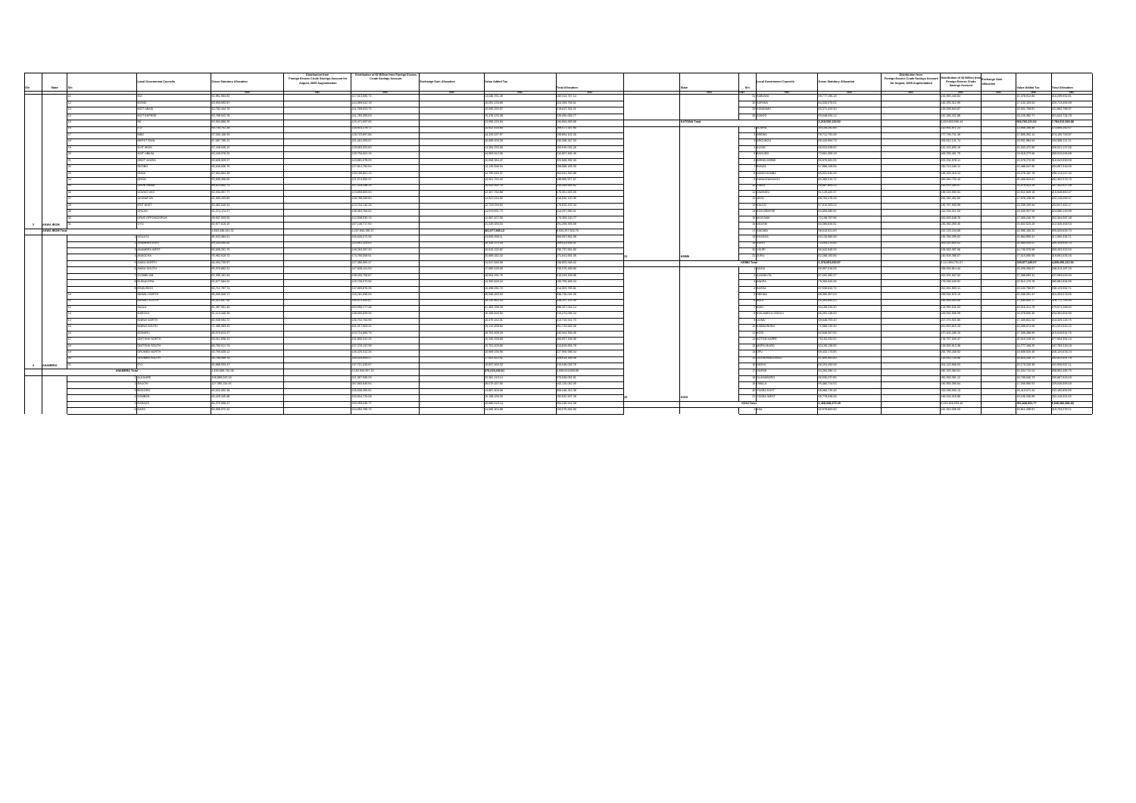|                 |                      |                                  |                           | Distribution from                        | <b>Distribution of \$2 Billion from Foreign Exces</b> |                        |                |                 |                      |                          |                            | Distribution from                   | <b>Statribution of \$2 Billion from</b>        |                   |                |                  |
|-----------------|----------------------|----------------------------------|---------------------------|------------------------------------------|-------------------------------------------------------|------------------------|----------------|-----------------|----------------------|--------------------------|----------------------------|-------------------------------------|------------------------------------------------|-------------------|----------------|------------------|
|                 |                      |                                  |                           | Foreign Excess Crude Savings Account for | Crude Savings Account                                 |                        |                |                 |                      |                          |                            | Foreign Excess Crude Savings Accoun |                                                | Exchange Gain     |                |                  |
|                 |                      | <b>Local Government Councils</b> | ross Statutory Allocation | August, 2009 Augmentation                |                                                       | change Gain Allocation | slue Added Tax |                 |                      | ocal Government Councils | Gross Statutory Allocation | for August, 2009 Augmentation       | Foreign Excess Crude<br><b>Savings Account</b> | <b>Allowation</b> |                |                  |
| State           |                      |                                  |                           |                                          |                                                       |                        |                | tal Allocation  |                      |                          |                            |                                     |                                                |                   | alue Added Tax | otal Allocation  |
|                 |                      |                                  |                           |                                          |                                                       |                        |                |                 | <b>START</b>         |                          |                            |                                     |                                                | <b>CONTRACTOR</b> | $ -$           | a No.            |
|                 |                      |                                  | 51,951,904.92             |                                          | 7,313,080.72                                          |                        | 041,761.49     | 2,313,747.14    |                      |                          | 77,196.18                  |                                     | 1203,443.84                                    |                   | 478,912.80     | 239,552.81       |
|                 |                      |                                  | 53,933,592.97             |                                          | 4,359,042.18                                          |                        | 38.021,133.00  | 13,393,769.01   |                      |                          | 326,076.52                 |                                     | 5,255,312.95                                   |                   | 132,103.52     | 26,713,492.99    |
|                 |                      | <b>ICOT ABASI</b>                | 52,782,444.79             |                                          | 11,769,623.75                                         |                        | 1,095,255.67   | 0,647,324.21    |                      |                          | 371,424.30                 |                                     | 3,099,603.87                                   |                   | 1,521,758.81   | 121,992,786.97   |
|                 |                      | <b>IKOT EXPENE</b>               | 12,788,542.76             |                                          | 141.783.393.63                                        |                        | 15.478.133.38  | 0.050.009.77    |                      |                          | 3.048.020.12               |                                     | 142.369.321.88                                 |                   | 6.126.382.77   | 21.543.724.78    |
|                 |                      |                                  | 55,564,886.30             |                                          | 125,471,587.05                                        |                        | 1,958,225.94   | 14,994,699.89   | <b>KATSINA Total</b> |                          | 2,218,530,130.92           |                                     | 009,683,566.44                                 |                   | 566,700,221.52 | 08.013,910.00    |
|                 |                      |                                  |                           |                                          |                                                       |                        |                |                 |                      |                          |                            |                                     |                                                |                   |                |                  |
|                 |                      |                                  | 59,744,751.28             |                                          | 134,910,179.72                                        |                        | 14,922,416.90  | 09,577,347.90   |                      |                          | 108,282.86                 |                                     | 110,891,871.23                                 |                   | 3,566,108.48   | 73,566,262.57    |
|                 |                      |                                  | 57,005,166.53             |                                          | 128,723,897.86                                        |                        | 14,125,037.87  | 199,854,102.26  |                      |                          | 711,752.28                 |                                     | 77,739,741.46                                  |                   | 7,055,252.12   | 74,106,745.87    |
|                 |                      | <b>INPAT ENIN</b>                | 17,087,785.21             |                                          | 51.491.553.07                                         |                        | 5503,009.25    | 35,268,347.53   |                      |                          | 1.443.994.73               |                                     | 156.812.131.74                                 |                   | 8.051.984.64   | 144,308,111.11   |
|                 |                      | <b>SIT IDOM</b>                  | 7,168,646.10              |                                          | 9,093,052.60                                          |                        | 4,284,333.55   | 0,546,032.26    |                      |                          | 524,028.92                 |                                     | 32.153.055.19                                  |                   | 343,472.95     | 06,021,157.05    |
|                 |                      | sit usiuw                        | 00,109,579.25             |                                          | 135,734,001.15                                        |                        | 063,912.06     | 0,007,492.45    |                      |                          | 3,661,352.19               |                                     | 06.335,401.75                                  |                   | 518,273.96     | 10,515,034.89    |
|                 |                      |                                  |                           |                                          |                                                       |                        |                |                 |                      |                          |                            |                                     |                                                |                   |                |                  |
|                 |                      | <b>BOT AKARA</b>                 | 53,628,929.27             |                                          | 3,681,078.25                                          |                        | 5,058,384.47   | 22,968,392.00   |                      |                          | 3,870,081.55               |                                     | 05,194,578.11                                  |                   | 578.270.93     | 5,642,930.59     |
|                 |                      | KODO                             | 56,646,836.75             |                                          | 27,914,750.04                                         |                        | 4,126,596.54   | 28,688,183.33   |                      | UNZA                     | 20.000.100.00              |                                     | 30,713,160.11                                  |                   | 1,488,047.90   | 104,087,316.05   |
|                 |                      |                                  | 12,454,854.38             |                                          | 30.190.851.13                                         |                        | 195.645.37     | 2.641.300.88    |                      |                          | 5,631,640.49               |                                     | 48,203,419.12                                  |                   | 6,278,187.79   | 130,113,247.40   |
|                 |                      |                                  | 13,839,200.09             |                                          | 21,574,950.37                                         |                        | 551,760.42     | 88,905,977.67   |                      |                          | 0.085.015.72               |                                     | 80,840,720.42                                  |                   | 405,843.01     | 81,392,579.75    |
|                 |                      | <b>CRUIK ANAM</b>                | 09,023,842.71             |                                          | 157,218,248.15                                        |                        | 16,502,592.76  | 3344.683.62     |                      |                          | 8,887,893.23               |                                     | 132,975,300.57                                 |                   | 5.479.423.28   | 107,342,617.08   |
|                 |                      |                                  |                           |                                          |                                                       |                        |                |                 |                      |                          |                            |                                     |                                                |                   |                |                  |
|                 |                      | DUNG UKO                         | 50,334,057.77             |                                          | 3,659,805.00                                          |                        | 12,367,762.88  | 76,301,625.65   |                      |                          | 120,420.37                 |                                     | 38,016,590.91                                  |                   | 6,511,849.18   | 15,648,860.47    |
|                 |                      | <b>JKANAFUN</b>                  | 1,909,433.85              |                                          | 139,758,269.60                                        |                        | 4,922,416.90   | 6,630,120.35    |                      |                          | 1,794,478.28               |                                     | 55,345,452.60                                  |                   | 7.978.138.50   | 142,118,009.37   |
|                 |                      | <b>DSIT DKET</b>                 | 0.362.549.43              |                                          | 3.724.142.28                                          |                        | 12.728.784.63  | 76.815.476.34   |                      | 13 KALGO                 | 2,910,363.24               |                                     | 130,767,930.99                                 |                   | 4,239,105.94   | 102,917,400.17   |
|                 |                      | 111430                           | 51,274,174.27             |                                          | 138,363,784.02                                        |                        | 4,619,931.73   | 4,257,890.01    |                      | XD BESSE                 | 3,056,000.92               |                                     | 44,194,011.50                                  |                   | 1,636,057.56   | 24,686,149.99    |
|                 |                      | URUE OFFONG/ORUK                 | 49,837,503.05             |                                          | 112,538,530.14                                        |                        | 12,987,107.58  | 175,363,140.77  |                      |                          | 2,108,797.96               |                                     | 162,829,548.76                                 |                   | 17.366.240.76  | 152,304,587.48   |
|                 |                      |                                  |                           |                                          | 87,146,717.50                                         |                        | 21,245,060.03  | 91,209,393.68   |                      |                          | 1,386,826.81               |                                     | 136,360,056.45                                 |                   | 002,523.28     | 12,349,406.53    |
| 3 AKWA IBOM     |                      |                                  | 12,877,616.15             |                                          |                                                       |                        |                |                 |                      |                          |                            |                                     |                                                |                   |                |                  |
| AKWA IBOM Total |                      |                                  | 1014304131                |                                          | 4,207,643,196.27                                      |                        | 461,977,065.12 | 33257502.70     |                      | AKAB                     | 510.521.83                 |                                     | 32.123.154.68                                  |                   | 396.150.22     | 105,029,826.73   |
|                 |                      | <b><i>IGUATA</i></b>             | 6.632.684.51              |                                          | 95,626,072.36                                         |                        | 1,839,098.11   | 02.324.22       |                      |                          | 3,130,080.68               |                                     | 35,780,295.62                                  |                   | 034.959.41     | 1.595.335.71     |
|                 |                      | <b>IAMBRA EAST</b>               | 59,324,454.50             |                                          | 33,961,103.63                                         |                        | 201,370.28     | 0,613,928.41    |                      |                          | 254,170.65                 |                                     | 05.415,925.52                                  |                   | 484,520.51     | 15,154,616.74    |
|                 |                      | <b>NAMBRA WEST</b>               | 5,658,201.75              |                                          | 48,263,397.33                                         |                        | 6,816,232.82   | 0,737,831.90    |                      |                          | 342,945.25                 |                                     | 28,583,397.66                                  |                   | 1,736,978.58   | 00,263,322.50    |
|                 |                      | NADCHA                           | 5,962,619.72              |                                          | 3,790,008.91                                          |                        | 0,889,062.42   | 1,641,691.05    | KEBBI                |                          | 268,192.86                 |                                     | 40,000,386.07                                  |                   | 015,055.93     | 19,891,635.46    |
|                 |                      |                                  |                           |                                          |                                                       |                        |                |                 |                      |                          |                            |                                     |                                                |                   |                |                  |
|                 |                      | VAKA NORTH                       | 56,454,735.97             |                                          | 127,480,965.47                                        |                        | 14,917,846.58  | 198,853,548.02  |                      | <b>KEBBI Total</b>       | 1,378,093,036.87           |                                     | 111,884,731.07                                 |                   | 149.077.445.57 | 4,839,055,213.51 |
|                 |                      | WKA SOUTH                        | 55,376,862.22             |                                          | 47,628,101.93                                         |                        | 565,535.65     | 0,570,499.80    |                      |                          | 0.007.016.09               |                                     | 58,060,914.44                                  |                   | 255,256.67     | 48,313,187.20    |
|                 |                      | YAMELUM                          | 51,305,161.54             |                                          | 138,433,756.67                                        |                        | 16,504,291.75  | 6,243,209.96    |                      | <b>UADKUT</b>            | 1,402,382.27               |                                     | 152,201,947.62                                 |                   | 405,0331       | 137,093,023.20   |
|                 |                      | <b>UNUKOFIA</b>                  | 15,677,584.52             |                                          | 5,726,072.56                                          |                        | 355,826.16     | 6,759,483.24    |                      |                          | 300,520.26                 |                                     | 1003,243.91                                    |                   | 512.170.79     | 80,881,934.95    |
|                 |                      | KWUSIGO                          | 00,711,727.74             |                                          | 17,093,876.35                                         |                        | 16,498,091.72  | 14,303,765.81   |                      |                          | 7,530,810.72               |                                     | 52,491,953.11                                  |                   | 1,100,798.87   | 138, 123, 562.71 |
|                 |                      | <b>JEMILI NORTH</b>              | 05.005.846.17             |                                          | 16.791.096.06                                         |                        | 25.938.483.03  | 38.736.025.26   |                      |                          | 8390307.03                 |                                     | 00.504.976.15                                  |                   | 268.291.47     | 10.253.574.65    |
|                 |                      | DEMILI SOUTH                     | 54,422,697.59             |                                          | 145,473,493.87                                        |                        | 8,210,962.04   | 28, 107, 153.49 |                      |                          | 03231,000.0                |                                     | 146,989,064.69                                 |                   | 022805.17      | 29,772,795.49    |
|                 |                      |                                  |                           |                                          |                                                       |                        |                |                 |                      |                          |                            |                                     |                                                |                   |                |                  |
|                 |                      |                                  | 1207.551.40               |                                          | 83.556.177.46                                         |                        | 21.483.295.28  | 286,327,024.14  |                      |                          | 1,199,315.20               |                                     | 13,355,541.53                                  |                   | 016.411.79     | 79,571,268.52    |
|                 |                      | <b>CIRCOKA</b>                   | 02.093.277.13             |                                          | 138,000,829.35                                        |                        | 16,159,826.50  | 15,274,096.24   |                      | GALAMELA-COOL            | 03.02.130.00               |                                     | 49,092,036.59                                  |                   | 00.000.070.01  | 134,352,604.90   |
|                 |                      | <b>INTIME WORTH</b>              | 10,538,594.72             |                                          | 136.702.764.98                                        |                        | 16,475,162.01  | 3.716.521.70    |                      |                          | 1,548,763.40               |                                     | 57,274,521.80                                  |                   | 405.841.54     | 144,329,126.75   |
|                 |                      | WEW SOUTH                        | 71,395,083.43             |                                          | 161,217,903.32                                        |                        | 110,058.84     | 1,723,645.59    |                      | DDA/DUNL                 | 588,126.30                 |                                     | 01.053.015.23                                  |                   | 209.674.59     | 1,531,616.12     |
|                 |                      |                                  | 58,076,813.37             |                                          | 53,724,886.79                                         |                        | 8,702,669.29   | 0,504,302.45    |                      |                          | 3,548,367.66               |                                     | 37,402,266.15                                  |                   | 205,208.95     | 15,516,922.76    |
|                 |                      | <b>NITSHA NORTH</b>              | 58,411,836.42             |                                          | 31,900,312.25                                         |                        | 345,059.09     | 15,657,208.36   |                      | <b>TON KART</b>          | 162,252.62                 |                                     | 78,757,020.47                                  |                   | 015.118.15     | 7,934,391.24     |
|                 |                      |                                  |                           |                                          |                                                       |                        |                |                 |                      |                          |                            |                                     |                                                |                   |                |                  |
|                 |                      | NITSNA SOUTH                     | 00,792,511.74             |                                          | 137,276,137.39                                        |                        | 5,751,005.66   | 13,819,654.79   |                      | 3 MOPA-MURO              | 3,100,136.60               |                                     | 19,905,913.38                                  |                   | 777,168.20     | 87,783,218.18    |
|                 |                      | <b>HTROW ABMUNIC</b>             | 54,755,639.12             |                                          | 146,225,312.26                                        |                        | 30.300.030.35  | 27.909.988.34   |                      |                          | 1,432,173.85               |                                     | 156,785,438.92                                 |                   | 2.908.020.46   | 146, 125, 633.24 |
|                 |                      | RUMBA SOUTH                      | 54,796,089.78             |                                          | 146,316,654.27                                        |                        | 501,422.51     | 33.331,105.56   |                      |                          | 03.481.00                  |                                     | 16.643.724.46                                  |                   | 524,245.72     | 82,923,451.78    |
| <b>ANAMBRA</b>  |                      |                                  | 0,989,533.47              |                                          | 137,721,033.97                                        |                        | 16,837,465.32  | 5,548,032.76    |                      |                          | 1,253,492.08               |                                     | 54,123,846.63                                  |                   | 179,228.39     | 42,556,567.11    |
|                 | <b>ANAMBRA Total</b> |                                  | 400,689,740.08            |                                          | 3,162,910,557.20                                      |                        | 176.219.402.61 | 232 812 522 52  |                      | KENE                     | 84,284,389.11              |                                     | 190.323.354.61                                 |                   | 4,344,712.04   | 198,952,465.76   |
|                 |                      |                                  |                           |                                          |                                                       |                        |                |                 |                      |                          |                            |                                     |                                                |                   |                |                  |
|                 |                      | <b>N.KALERI</b>                  | 106,889,243.18            |                                          | 241,367,596.29                                        |                        | 2,381,215.14   | 13.820.054.01   |                      | <b>HAMAROOC</b>          | 630,237.85                 |                                     | 50,458,361.12                                  |                   | 799.046.73     | 135,887,645.09   |
|                 |                      | <b>AUCH</b>                      | 27.390.134.45             |                                          | 287,660,649.94                                        |                        | 28.075.057.05  | 3.126.042.05    |                      | 19 CMALA                 | 00072453                   |                                     | 146.959.390.64                                 |                   | 00658052       | 29,046,035.09    |
|                 |                      |                                  | (022,052.38)              |                                          | 6,536,355.9                                           |                        | 887,904.00     | 446,312.3       |                      |                          | 680,728.48                 |                                     | 5,088,593.13                                   |                   |                | 12,182,892.85    |
|                 |                      | <b>AMBAN</b>                     | 05,429,345.88             |                                          | 50,004,725.08                                         |                        | 05,198,436.33  | 12,632,507.28   |                      | AGBA WES                 | 3,778,046.06               |                                     | 88.010,953.091                                 |                   | 8,106,236.89   | 132,418,301.82   |
|                 |                      | ARAZI                            | 14,270,958.47             |                                          | 90,293,036.77                                         |                        | 9,685,519.14   | 94,249,514.39   |                      | <b>KOGI Total</b>        | 428,348,275.35             |                                     | 1,225,366,553.48                               |                   | 201,846,051.77 | 5,045,560,880.60 |
|                 |                      | AS5                              | 54,936,572.20             |                                          | 124,052,785.72                                        |                        | 4,086,304.98   | 3,075,062.90    |                      |                          | 1579.802.60                |                                     | 141.312.035.53                                 |                   | 15,011,439.97  | 119,703,278.11   |
|                 |                      |                                  |                           |                                          |                                                       |                        |                |                 |                      | 1 ASA                    |                            |                                     |                                                |                   |                |                  |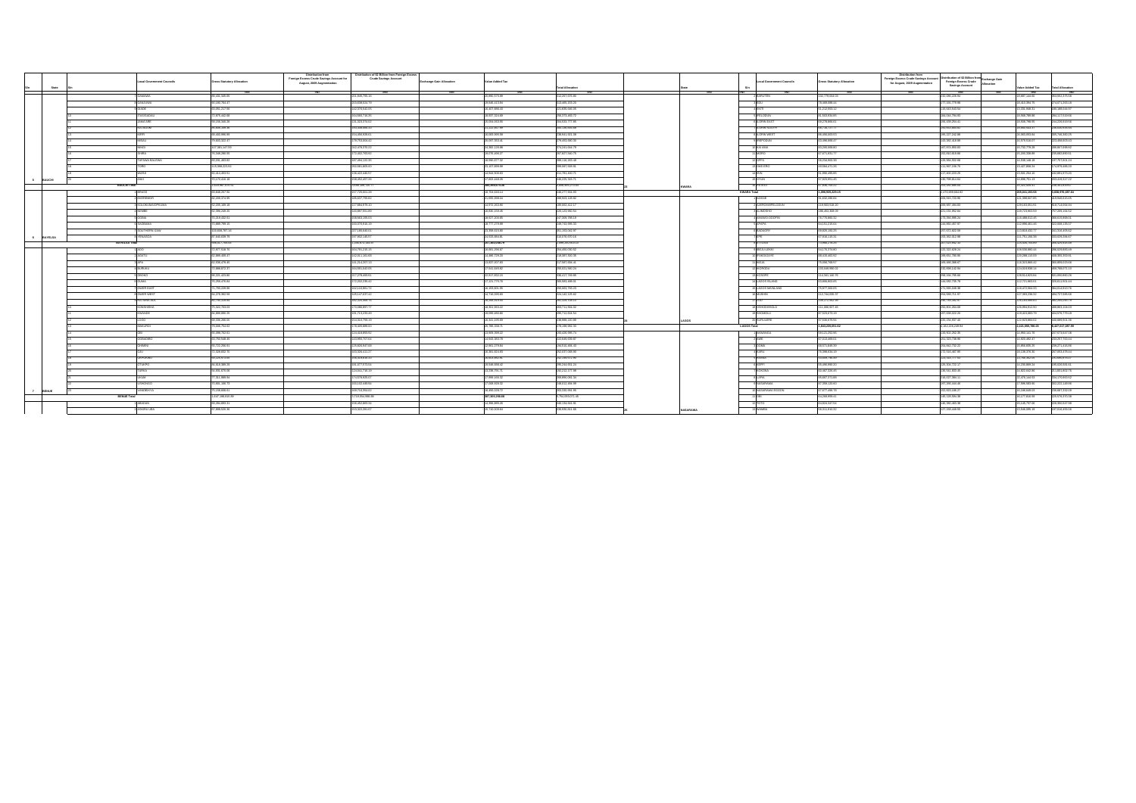|           |                      |                          |                           | Distribution from                        | Xatribution of \$2 Billion from Foreign Exces |                         |                |                  |       |                    |                          |                           | <b>Clatribution from</b>             |                                                         |              |                  |                  |
|-----------|----------------------|--------------------------|---------------------------|------------------------------------------|-----------------------------------------------|-------------------------|----------------|------------------|-------|--------------------|--------------------------|---------------------------|--------------------------------------|---------------------------------------------------------|--------------|------------------|------------------|
|           |                      | ocal Government Councils | ross Statutory Allocation | Foreign Excess Crude Savings Account for | Crude Savings Account                         | schange Gain Allocation | alus Added Tax |                  |       |                    | ocal Government Councils | toss Statutory Allocation | Foreign Excess Crude Savings Account | Istribution of \$2 Billion from<br>Foreign Excess Crude | achange Gain |                  |                  |
|           |                      |                          |                           | August, 2009 Augmentation                |                                               |                         |                |                  |       |                    |                          |                           | for August, 2009 Augmentation        | <b>Savings Account</b>                                  | noites       |                  |                  |
| State     |                      |                          |                           |                                          |                                               |                         |                | tal Allocation   |       |                    |                          |                           |                                      |                                                         |              | due Added Tax    | notabilities     |
|           |                      |                          |                           |                                          |                                               |                         |                |                  |       |                    |                          |                           |                                      |                                                         |              |                  | <b>STATE</b>     |
|           |                      |                          | 19,431,345.65             |                                          | 1,945,755.16                                  |                         | 890,575.99     | 2,267,676.80     |       |                    |                          | 1779,004.03               |                                      | 12,006,226.94                                           |              | 687,144.60       | ,552,375.58      |
|           |                      | <b>ANJUWA</b>            | 0,180,764.47              |                                          | 03,638,024.79                                 |                         | 10.014.393     | 3,465,203.20     |       |                    |                          | 469,088.44                |                                      | 7,191,779.98                                            |              | 8,410,394.75     | 74,071,263.18    |
|           |                      | <b>GIADE</b>             | 13,051,217.56             |                                          | 42,376,542.05                                 |                         | 15,407,885.43  | 21,835,646.05    |       |                    |                          | 212,553.12                |                                      | 5,643,543.54                                            |              | 12,331,948.31    | 80,188,044.97    |
|           |                      | <b>TAS/GADAU</b>         | 72.875.442.68             |                                          | 64.560.716.35                                 |                         | 18,937,324.69  | 256.373.483.72   |       |                    | <b>THOMAS</b>            | 503 934.85                |                                      | 184.044.794.93                                          |              | 18.568.709.88    | 84.117.519.00    |
|           |                      | <b>AMA'AR</b>            | 18, 156, 340.28           |                                          | 31,323,374.02                                 |                         | 054,063.55     | 1,533,777.05     |       |                    |                          | 278,866.61                |                                      | 56,439,254.41                                           |              | 8,508,798.55     | 14,226,919.56    |
|           |                      |                          |                           |                                          |                                               |                         |                | 00.136.023.08    |       |                    |                          |                           |                                      |                                                         |              |                  |                  |
|           |                      | <b>ATAGUM</b>            | 15,006,159.36             |                                          | 02.300,000.33                                 |                         | 21,222,467.99  |                  |       |                    | ORIN SOUTH               | 6,716,727.77              |                                      | 50.053.024.01                                           |              | 18,000,543.37    | 136,030,935.94   |
|           |                      |                          | 68.400.996.89             |                                          | 154.455.928.61                                |                         | 16.083.995.58  | 238,941,921.08   |       |                    | LORIN WEST               | 02/03/209.20              |                                      | 195,227,242.88                                          |              | 24.063.053.84    | 05,746,300.25    |
|           |                      | <b>ISAU</b>              | 9,603,322.47              |                                          | 19,753,004.42                                 |                         | 02735341       | 00.000.023       |       |                    |                          | 406 EGB.47                |                                      | 43382418.89                                             |              | 6,579,516.07     | 23,458,003.43    |
|           |                      | anga                     | 107,381,147.59            |                                          | 242,478,370.22                                |                         | 24,382,126.98  | 74,241,644.79    |       |                    | <b>ORKAI AMA</b>         | 200.068.80                |                                      | 187,874,850.83                                          |              | 5.732.779.28     | 105.007.030.92   |
|           |                      |                          | 6,348,280.55              |                                          | 72,402,763.92                                 |                         | 9,076,496.27   | 67,827,540.75    |       |                    |                          | 671,931.77                |                                      | 52,810,619.86                                           |              | 03/02/238        | 35,682,890.51    |
|           |                      |                          |                           |                                          |                                               |                         |                |                  |       |                    |                          |                           |                                      |                                                         |              |                  |                  |
|           |                      | AFAWA BALEWA             | 13,031,463.82             |                                          | 187,494,122.35                                |                         | 8,590,677.32   | 289,116,263.49   |       |                    |                          | 234,900.38                |                                      | 126,984,552.68                                          |              | 14,538,148.18    | 197,757,601.24   |
|           |                      |                          | 15,398,223.92             |                                          | 00.581,005.00                                 |                         | 3,107,899.99   | 99,087,928.91    |       |                    | <b>KE-ER</b>             | 584,471.26                |                                      | 11,967,156.70                                           |              | 3,427,858.24     | 74,979,486.20    |
|           |                      | w                        | 0.414.453.51              |                                          | 36,422,440.57                                 |                         | -944-506.63    | 1.781.400.71     |       |                    |                          | 990.495.85                |                                      | 7:400.223.25                                            |              | 3,501,254.10     | 82,891,973.20    |
| UCHI      |                      |                          | 0,170,410.18              |                                          | 58,452,457.26                                 |                         | 022,441.26     | 46,225,315.71    |       |                    |                          | 923,951.45                |                                      | 130,798,614.64                                          |              | 026,751.13       | 03,419,317.22    |
|           | BAUCHI Total         |                          | 619,987,875.51            |                                          | 1,058,109,720.77                              |                         | 380,358,674.36 | 058,456,270.64   | KWAPA |                    | <b>PATE GI</b>           | 336,700.22                |                                      | 153,182,685.04                                          |              | 322,434.41       | 136,341,819.67   |
|           |                      |                          | 10,848,257.50             |                                          | 17,725,001.28                                 |                         | 1704,646.14    | 46,277,904.93    |       | <b>KWARA Total</b> |                          | 006,935,229.15            |                                      | 2,476,999,664.92                                        |              | 265,041,193.58   | 3,838,976,087.64 |
|           |                      |                          |                           |                                          |                                               |                         |                |                  |       |                    |                          |                           |                                      |                                                         |              |                  |                  |
|           |                      | <b>SOMERS</b>            | 12,209,374.95             |                                          | 185,637,755.82                                |                         | 655,998.04     | 89,503,128.82    |       |                    |                          | 632,286.84                |                                      | 206,915,720.96                                          |              | 21,398,607.85    | 0,946,615.65     |
|           |                      | KOLOKUMA/OPKUMA          | 52,205,169.18             |                                          | 17,884,979.10                                 |                         | 14,972,261.90  | 185,062,412.17   |       |                    | A IRROADIERI ODI N       | 19,563,518.20             |                                      | 203, 207, 404. 83                                       |              | 129,163,051.91   | 18,714,054.94    |
|           |                      |                          | 2,396,249.20              |                                          | 40,897,551.89                                 |                         | 6,830,159.45   | 0,123,960.54     |       |                    | LIMOSHO                  | 05.453,308.09             |                                      | 21,031,952.84                                           |              | 1,723,903.59     | 17,209,164.52    |
|           |                      | YONIA                    | 10,219,432.51             |                                          | 58,563,155.03                                 |                         | 8,527,200.65   | 47,309,788.19    |       |                    | UWO-ODOFIN               | 770,860.32                |                                      | 173,356,995.24                                          |              | 6,458,012.45     | 10.835,053,053   |
|           |                      | <b>SACRAMA</b>           |                           |                                          |                                               |                         |                | 249.743.995.33   |       |                    |                          |                           |                                      |                                                         |              |                  |                  |
|           |                      |                          | 70,889,799.15             |                                          | 60,076,916.19                                 |                         | 18,777,279.99  |                  |       |                    | DADA.                    | 151,215.64                |                                      | 44.860.457.97                                           |              | 12,996,461.46    | 22,008,135.07    |
|           |                      | <b>DUTHERN LIAW</b>      | 00,008,787.16             |                                          | 27,185,640.01                                 |                         | 1,358,615.80   | 1,153,042.97     |       |                    |                          | 1,825,150.25              |                                      | 57,672,822.59                                           |              | 1,818,432.77     | 141,316,405.62   |
| 6 BAYELSA |                      | <b>ENAGOA</b>            | 7.640.639.79              |                                          | 197,902,145.57                                |                         | 533.884.81     | 0,076,670.16     |       |                    |                          | 916,115.31                |                                      | 53,362,012.98                                           |              | 1,751,156.38     | 3,029,284.67     |
|           | <b>BAYELSA Total</b> |                          | 596.017.709.44            |                                          | 1,345,873,144.87                              |                         | 157,360,048.79 | 099 250 903 10   |       |                    | $17 - 05$                | 73,966,278.26             |                                      | 167.023.942.33                                          |              | 5.435.704.89     | 56.425.925.48    |
|           |                      |                          | 72,977,518.70             |                                          | 164,791,215.15                                |                         | 6,681,296.67   | 4,450,030.52     |       |                    | SEJU-LEKK                | 170,374.80                |                                      | 122,322,628.24                                          |              | 09,536,880.44    | 86,029,883.49    |
|           |                      |                          | 2.889.409.47              |                                          | 42,011,161.68                                 |                         | 14.486.729.20  | 219,387,300.35   |       |                    |                          | 8,415,462.92              |                                      | 199 551,780.90                                          |              |                  | 08,355,353.91    |
|           |                      |                          |                           |                                          |                                               |                         |                |                  |       |                    | <b>AKO/LIAY</b>          |                           |                                      |                                                         |              | 10,288,110.09    |                  |
|           |                      |                          | 2,536,479.45              |                                          | 41,214,207.13                                 |                         | 13,837,007.83  | 17,587,094.41    |       |                    |                          | 056,768.57                |                                      | 103,486,388.67                                          |              | 16,315,006.42    | 80,859,023.66    |
|           |                      | <b>BURUKU</b>            | 2.888.872.37              |                                          | 164,591,042.05                                |                         | 7.541.645.82   | 55.021.560.24    |       |                    | KOROC                    | 1,049,990.02              |                                      | 232 698 142 94                                          |              | 4.012.938.14     | 59.768.071.10    |
|           |                      | 00000                    | 05,221,423.80             |                                          | 17,278,493.91                                 |                         | 2,917,832.15   | 15,417,749.85    |       |                    | osor                     | 4,341,140.76              |                                      | 23.194.795.00                                           |              | 1,514,923.84     | 1,050,860.26     |
|           |                      |                          | 6.259.476.64              |                                          | 2,202,235.42                                  |                         | 121,775.76     | 5.583.488.01     |       |                    | GOS 15LA                 | 806,802.65                |                                      | 44,082,735.78                                           |              | 2.721.963.0      | 0,611,501.44     |
|           |                      | WER EAST                 | 1,793,229.96              |                                          | (52,116,961.72)                               |                         | 153,601.55     | 0,063,793.23     |       |                    | AGOS MAINLANI            | 377,300.05                |                                      | 1,565,049.38                                            |              | 6,472,564.33     | 64,014,913.76    |
|           |                      |                          |                           |                                          |                                               |                         |                |                  |       |                    |                          |                           |                                      |                                                         |              |                  |                  |
|           |                      | <b>SWER WEST</b>         | 64,278,392.59             |                                          | 145,147,637.42                                |                         | 14,716,095.60  | 224, 142, 125.62 |       |                    |                          | 2,744,635.37              |                                      | 254,589,711.97                                          |              | 27,393,238.32    | 04,727,585.06    |
|           |                      | <b>CATSINA ALA</b>       | 0,740,319.54              |                                          | 82,320,468.76                                 |                         | 8,268,919.50   | 81.329.708.10    |       |                    |                          | 09.272.562.99             |                                      | 246,749,392.97                                          |              | 26,183,009.83    | 182,205,045.79   |
|           |                      | WSHISHA                  | 5,322,703.03              |                                          | 70,006,097.77                                 |                         | 1,301,961.22   | 3,711,564.02     |       |                    |                          | 1,066,927.45              |                                      | 250,801,264.08                                          |              | 15,994,912.50    | 00.003,004.03    |
|           |                      | VANDE                    | 14,899,890.25             |                                          | 91,713,233.49                                 |                         | 9,099,480.80   | 95,712,604.54    |       |                    |                          | 523,673.19                |                                      | 027,638,022.20                                          |              | 19,415,083.79    | 04,576,779.18    |
|           |                      |                          | 0.336,266.00              |                                          | 54,310,759.19                                 |                         | 6,341,195.69   | 38,988,220.89    |       |                    |                          | 530,679.94                |                                      | 20,234,937.40                                           |              | 22.923.884.02    | 36.102,030,04    |
|           |                      |                          |                           |                                          |                                               |                         |                |                  | LAGOS |                    |                          |                           |                                      |                                                         |              |                  |                  |
|           |                      | AKURDI                   | 0,006,754.62              |                                          | 78,405,889.00                                 |                         | 0,786,338.71   | 78,198,982.33    |       | LAGOS Total        |                          | 843,235,051.62            |                                      | 162,226,249.94                                          |              | 2,421,555,786.03 | 1,427,017,087.59 |
|           |                      |                          | 55,098,702.61             |                                          | 124,418,893.92                                |                         | 13,909,399.22  | 93,426,995.74    |       |                    | WAMGA                    | 1121,252.96               |                                      | 133,502,252.35                                          |              | 14,950,141.76    | 07,573,647.08    |
|           |                      | <b>GEADIDO</b>           | 1,750,548.45              |                                          | 43,955,707.64                                 |                         | 4,943,383.78   | 2,649,639.87     |       |                    |                          | 013,469.01                |                                      | 51,323,738.96                                           |              | 14,920,492.47    | 13,257,700.44    |
|           |                      | <b>MINE</b>              | 15,722,256.91             |                                          | 125,826,947.68                                |                         | 12,961,279.84  | 4,510,484.43     |       |                    |                          | 58,571,849.39             |                                      | 54,842,732.22                                           |              | 15,856,835.25    | 139,271,416.86   |
|           |                      |                          | 2.328.832.70              |                                          | 03/326-411.27                                 |                         | 02341.024.93   | 2.037.068.90     |       |                    |                          | 398,634.19                |                                      | 72.516.467.95                                           |              | 0.138.376.30     | 07.053.478.44    |
|           |                      |                          |                           |                                          |                                               |                         |                |                  |       |                    |                          |                           |                                      |                                                         |              |                  |                  |
|           |                      | <b><i>CKPCKWU</i></b>    | 10,225,973.65             |                                          | 156,319,816.33                                |                         | 6,603,882.91   | 42,149,672.90    |       |                    | <b>TANA</b>              | 09.746.49                 |                                      | 23314.777.53                                            |              | 3,766,352.05     | 91,090,876.07    |
|           |                      | TUKPO                    | 14,618,389.29             |                                          | 91.077.573.54                                 |                         | 541.651.42     | 6.244.651.24     |       |                    |                          | 490 990 20                |                                      | 25 304 722 17                                           |              | 4,230,869.24     | 05,026,581.61    |
|           |                      | AJRIKA                   | 54,931,670.08             |                                          | 124,041,716.19                                |                         | 13,238,791.71  | 192,212,177.98   |       |                    | <b>DKDN</b>              | 0,467,326.45              |                                      | 136,541,833.45                                          |              | 4,822,642.86     | 11,831,802.76    |
|           |                      | KUM                      | 7,311,989.94              |                                          | 74,578,925.07                                 |                         | 7,999,166.32   | 141.180,000,000  |       |                    |                          | 5,057,371.88              |                                      | 216.027,384.11                                          |              | 2,476,144.53     | 134, 170, 900.52 |
|           |                      | <b>HONGO</b>             | 0,901,106.73              |                                          | 00.102,449.94                                 |                         | 7,008,928.32   | 48,012,484.99    |       |                    |                          | 359,120.60                |                                      | 39.366,444.46                                           |              | 596,583.90       | 02,222,148.96    |
|           |                      |                          |                           |                                          |                                               |                         |                |                  |       |                    |                          |                           |                                      |                                                         |              |                  |                  |
|           |                      | NDEIKY                   | 158,608.61                |                                          | 69,716,354.62                                 |                         | 456,028.72     | 2,330,931.92     |       |                    |                          | 677,496.78                |                                      | 52,823,186.2                                            |              | 186,649.03       | 36,687,332.09    |
|           | <b>BENUE Total</b>   |                          | 547.198.015.09            |                                          | 719.554.998.88                                |                         | 87,305,256.68  | 54.059.071.45    |       |                    |                          | 209 959.4                 |                                      | 145.128.594.38                                          |              | 177,816.59       | 5.576.370.38     |
|           |                      |                          | 10,254,893.3              |                                          | 55,452,863.34                                 |                         | 4,396,885.26   | 0,134,641.91     |       |                    |                          | 824,347.54                |                                      | 80.000,463.38                                           |              | 145,737.06       | 26,350,547.98    |
|           |                      | SKIRA UBA                | 7,898,520.36              |                                          | 53,322,281.67                                 |                         | 710,009.64     | 35,930,811.66    |       |                    |                          | 311,910.32                |                                      | 27,158,449.55                                           |              | 546,095.19       | 27,015,455.06    |
|           |                      |                          |                           |                                          |                                               |                         |                |                  |       |                    |                          |                           |                                      |                                                         |              |                  |                  |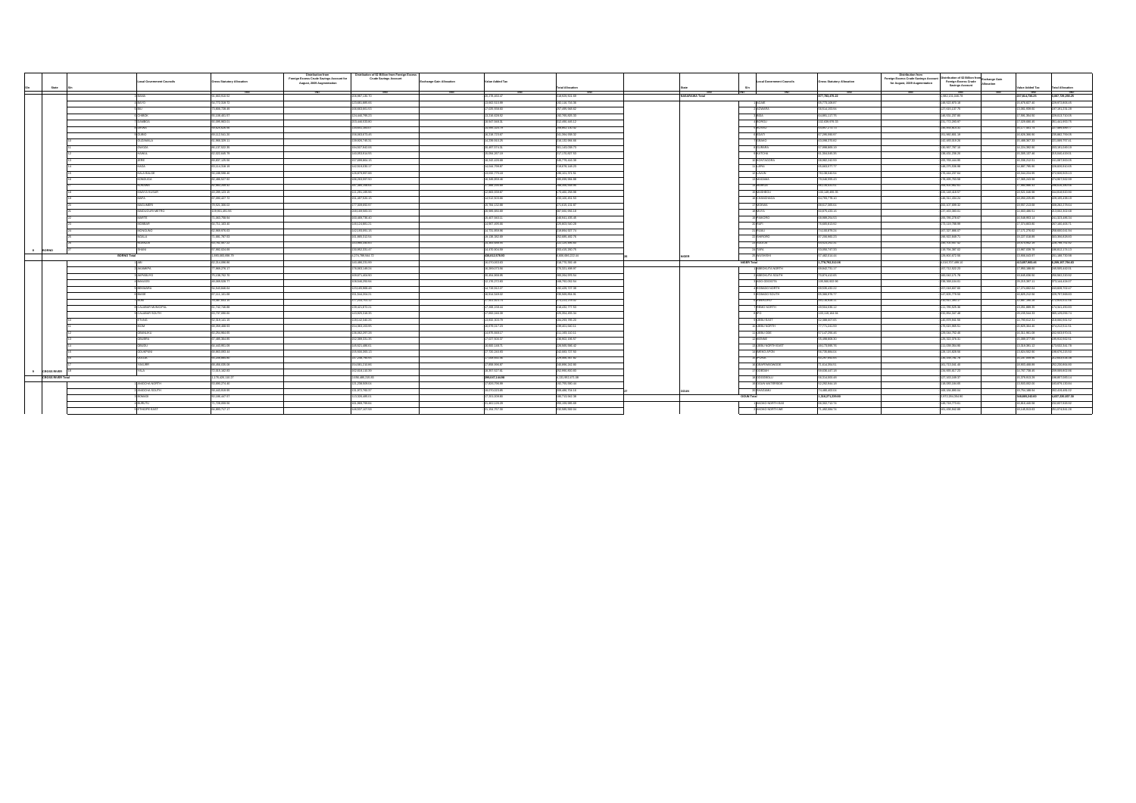|                          |                    |                                  |                                   | Distribution from                        | stribution of \$2 Billion from Foreign Exces |                         |                |                  |                   |                    |                           |                           | <b>Clatribution from</b>            | stribution of \$2 Billion from |                  |                          |                                  |
|--------------------------|--------------------|----------------------------------|-----------------------------------|------------------------------------------|----------------------------------------------|-------------------------|----------------|------------------|-------------------|--------------------|---------------------------|---------------------------|-------------------------------------|--------------------------------|------------------|--------------------------|----------------------------------|
|                          |                    | <b>Local Government Councils</b> | <b>Iross Statutory Allocation</b> | Foreign Excess Crude Savings Account for | Crude Savings Account                        | schange Gain Allocation | alue Added Tax |                  |                   |                    | Local Government Councils | ross Statutory Allocation | Foreign Excess Crude Savings Accoun | Foreign Excess Crude           | Exchange Gain    |                          |                                  |
|                          |                    |                                  |                                   | August, 2009 Augmentation                |                                              |                         |                |                  |                   |                    |                           |                           | for August, 2009 Augmentation       | <b>Savings Account</b>         | <b>Including</b> |                          |                                  |
| State                    |                    |                                  |                                   |                                          |                                              |                         |                | notas allA lato? |                   |                    |                           |                           |                                     |                                |                  | alue Added Tax           | notal Allocation                 |
|                          |                    |                                  | 1,053,910.52                      |                                          | 206,987,130.70                               |                         | 20,278,460.47  | 18.929.501.65    | <b>RAWA Total</b> | <u>ы г</u>         |                           | 7.783.475.22              |                                     | <b>START</b><br>02,131,046.78  |                  | $   -$<br>207,014,736.25 | <b>STATE</b><br>1,067,729,258.25 |
|                          |                    |                                  |                                   |                                          |                                              |                         |                |                  |                   |                    |                           |                           |                                     |                                |                  |                          |                                  |
|                          |                    |                                  | 1,772,319.72                      |                                          | 23,681,885.00                                |                         | 3,662,510.99   | 22,116,716.36    |                   |                    |                           | 773,108.87                |                                     | 8,522,870.18                   |                  | 5,676,827.40             | 29,972,806.45                    |
|                          |                    |                                  | 73,806,728.49                     |                                          | (2.133,053,33)                               |                         | 17,025,558.60  | 257,495,948.62   |                   |                    |                           | 514,153.94                |                                     | 27,615,137.75                  |                  | 13,061,939.60            | 197,191,231.28                   |
|                          |                    | <b>HIBOK</b>                     | 5,108,401.57                      |                                          | 124,440,795.23                               |                         | 13,216,628.52  | 192.765.825.33   |                   |                    |                           | 1091.117.75               |                                     | 46.531.237.80                  |                  | 17.591.354.50            | 29.013.710.05                    |
|                          |                    | smost                            | 00,095,963.01                     |                                          | 203,446,533.80                               |                         | 18,947,948.31  | 312,490,445.12   |                   |                    | <b>IORGI</b>              | 12,639,979.33             |                                     | 31,772,293.97                  |                  | 17.029.680.45            | 151,441,953.75                   |
|                          |                    |                                  | 59,625,626.56                     |                                          | 34.641.183.07                                |                         | 14,595,320.79  | 208,862,130.42   |                   |                    |                           | 1,857,273.73              |                                     | 46.454.814.31                  |                  | 16.177.401.74            | 27,489,489.77                    |
|                          |                    |                                  |                                   |                                          |                                              |                         |                |                  |                   |                    |                           |                           |                                     |                                |                  |                          |                                  |
|                          |                    |                                  | 0,112,541.20                      |                                          | 56,063,673.45                                |                         | 16,218,723.67  | 241,394,938.32   |                   |                    |                           | 295,590.97                |                                     | 51,960,801.19                  |                  | 16,626,366.90            | 235,882,759.05                   |
|                          |                    | <b>AMALA</b>                     | 1,966,329.11                      |                                          | 139,926,745.31                               |                         | 14,239,910.25  | 16.132.984.66    |                   |                    |                           | 28.070.02                 |                                     | 42.483.019.26                  |                  | 15,488,367.33            | 21,069,757.41                    |
|                          |                    |                                  | 6,137,522.35                      |                                          | 194,507,942.06                               |                         | 20,497,574.31  | 101,143,038.73   |                   |                    |                           | 228,862.19                |                                     | 130,967,787.10                 |                  | 14,224,392.90            | 103,191,049.19                   |
|                          |                    |                                  | 2,022,645.79                      |                                          | 40,053,914.55                                |                         | 15,094,267.19  | 7,170,827.53     |                   |                    |                           | 304,045.35                |                                     | 138,431,236.20                 |                  | 15,305,137.46            | 5,040,419.01                     |
|                          |                    |                                  | 0,837,125.56                      |                                          | 27,000,004.15                                |                         | 18,242,426.68  | 45,779,416.39    |                   |                    |                           | 982,242.59                |                                     | 5,769,444.95                   |                  | 5,336,212.51             | 41,087,900.05                    |
|                          |                    | 16.04                            |                                   |                                          |                                              |                         | 14,044,799.87  |                  |                   |                    |                           |                           |                                     |                                |                  |                          |                                  |
|                          |                    |                                  | 53,114,318.19                     |                                          | 142,519,030.17                               |                         |                | 219,678,148.23   |                   |                    |                           | 663,577.77                |                                     | 148,275,536.98                 |                  | 14,887,795.90            | 128,826,910.65                   |
|                          |                    | ALA BALGE                        | 100.000.46                        |                                          | 26.879.997.88                                |                         | 3.032.775.10   | 96.901.371.51    |                   |                    |                           | 138040.54                 |                                     | 6.444.237.64                   |                  | 18.344.224.95            | 72.926.503.13                    |
|                          |                    |                                  | 12,486,527.92                     |                                          | 186,263,597.50                               |                         | 16,349,859.46  | 285,099,984.88   |                   |                    |                           | D46,555.43                |                                     | 78,495,763.58                  |                  | 17,365,243.98            | 174,907,562.99                   |
|                          |                    | KAMA                             | 82,983,209.42                     |                                          | 187,385,158.64                               |                         | 17,988,190.89  | 288,356,558.95   |                   |                    |                           | 134,431.51                |                                     | 134,500,952.61                 |                  | 17,980,986.43            | 32.086,010,022                   |
|                          |                    | <b>TAYA KUSAR</b>                | 49,285,123.15                     |                                          | 11,291,195.96                                |                         | 12,883,939.87  | 173,460,258.98   |                   |                    | WASHEG                    | 0,149,455.35              |                                     | 226,148,418.57                 |                  | 18,521,046.98            | 44,818,920.90                    |
|                          |                    |                                  | 57,090,427.72                     |                                          | 151,497,520.15                               |                         | 14,512,503.66  | 233,100,451.53   |                   |                    | <b>HANCHAGA</b>           | 793,778.10                |                                     | 46311.434.24                   |                  | 18.050.225.85            | 129, 155, 438.19                 |
|                          |                    |                                  |                                   |                                          |                                              |                         |                |                  |                   |                    |                           |                           |                                     |                                |                  |                          |                                  |
|                          |                    | AGUMERI                          | 78,521,306.02                     |                                          | 177,309,692.97                               |                         | 15,784,132.88  | 271,615,131.87   |                   |                    | иоку                      | 13.017.365.64             |                                     | 200,107,699.32                 |                  | 19.557.213.68            | 00.282.278.64                    |
|                          |                    | DUGURI METRO                     | 109,901,491.95                    |                                          | 248,169,583.33                               |                         | 28,989,880.89  | 387,000,956.18   |                   |                    |                           | 1,875,433.16              |                                     | 137,463,383.01                 |                  | 14,053,405.51            | 3,002,302.68                     |
|                          |                    | <b>LOTE</b>                      | 1,063,758.94                      |                                          | 60,469,736.40                                |                         | 15,407,940.11  | 246,941,435.45   |                   |                    | NIKORY                    | 000,254.53                |                                     | 55,785,278.67                  |                  | 6,548,953.14             | 141,323,486.34                   |
|                          |                    | OBBAR                            | 4,711,163.40                      |                                          | 146,124,881.21                               |                         | 14,957,495.00  | 25,003,540.28    |                   |                    |                           | 005,813.92                |                                     | 73,119,788.99                  |                  | 17,374,803.80            | 157,160,406.71                   |
|                          |                    | OWGUNO                           | 2,969,976.63                      |                                          | 42,193,091.15                                |                         | 14,731,859.96  | 19.894.927.74    |                   |                    |                           | 100,879.24                |                                     | 67,327,886.07                  |                  | 7.171.276.52             | 58.600.041.94                    |
|                          |                    |                                  | 681,787.53                        |                                          | 61,865,312.54                                |                         | 19,138,382.69  | 152,685,482.76   |                   |                    |                           | 206,960.23                |                                     | 96,922,849.71                  |                  | 9,227,018.89             | 0,356,828.83                     |
|                          |                    |                                  |                                   |                                          |                                              |                         |                |                  |                   |                    |                           |                           |                                     |                                |                  |                          |                                  |
|                          |                    |                                  | 63,761,457.22                     |                                          | 143,980,340.83                               |                         | 14,383,688.55  | 222,125,486.60   |                   |                    | <b>SULE JA</b>            | 523,252.31                |                                     | 145,700,557.42                 |                  | 18,574,942.19            | 228,798,751.92                   |
| <b>BORNO</b>             |                    |                                  | ,992,034.09                       |                                          | 30,952,331.47                                |                         | 14,470,904.59  | 13,415,260.75    |                   |                    |                           | 050,747.33                |                                     | 19,794,387.02                  |                  | 13,957,039.78            | 86,812,174.13                    |
|                          | <b>BORNO Total</b> |                                  | ,023,033,028.72                   |                                          | 1,274,789,944.72                             |                         | 438,812,578.93 | 006,006,222.44   | <b>NIGER</b>      |                    |                           | 482,014.44                |                                     | 9,800,672.56                   |                  | 13,906,043.97            | 01,188,730.98                    |
|                          |                    |                                  | 62,214,096.86                     |                                          | 140.486.231.99                               |                         | 16,070,063.63  | 218.770.392.49   |                   | <b>NIGER Total</b> |                           | 1,778,792,312.06          |                                     | 1,015,707,499.10               |                  | 413.657.983.46           | 5,209,157,794.63                 |
|                          |                    | <b>KAMODA</b>                    | 77,969,276.17                     |                                          | 76,063,149.24                                |                         | 16,289,073.56  | 270,321,498.97   |                   |                    | <b>BEOKUTA NORTH</b>      | 1,842,731.17              |                                     | 57,712,522.23                  |                  | 17,950,188.50            | 45,505,442.01                    |
|                          |                    | KPABUYO.                         | 75, 138, 702.70                   |                                          | 02.671,404.90                                |                         | 20.454.058.95  | 265 264 976 54   |                   |                    | <b>BEOKUTA SCUTP</b>      | 0.874.412.65              |                                     | 00.042.171.78                  |                  | 19.645.636.50            | 150,562,220.92                   |
|                          |                    |                                  |                                   |                                          |                                              |                         | 2,176,272.83   |                  |                   |                    |                           |                           |                                     |                                |                  |                          |                                  |
|                          |                    |                                  | 8,069,528.77                      |                                          | 0,546,250.94                                 |                         |                | 68,792,052.54    |                   |                    |                           | 5560,922.96               |                                     | 8,368,104.01                   |                  | 9.215.397.               | 73, 544, 424.07                  |
|                          |                    | <b>KWAIPA</b>                    | 4.543.846.64                      |                                          | 123.165.958.48                               |                         | 14,719,912.27  | 192.429.727.39   |                   |                    | <b>BADO NORTH</b>         | 535 432 22                |                                     | 57,018,607.60                  |                  | 17.274.662.64            | 143.828.702.47                   |
|                          |                    |                                  | 111,101.68                        |                                          | 1,544,204.21                                 |                         | 16,914,549.02  | 15,509,854.91    |                   |                    | <b>BADO SOUT</b>          | 366,976.77                |                                     | 47,605,779.50                  |                  | 16,825,212.56            | 129,797,968.83                   |
|                          |                    |                                  | 78,487,653.15                     |                                          | 7,233,701.12                                 |                         | 7,501,923.74   | 73,223,278.02    |                   |                    | versoner                  | 116.928.11                |                                     | 10,911,393.17                  |                  | 12,887,190.28            | 72,915,511.56                    |
|                          |                    | ALABAR MUNICIPAL                 | 1,742,746.88                      |                                          | 39,421,872.21                                |                         | 17,268,158.44  | 18,432,777.53    |                   |                    | EMO NORTH                 | 504,036.12                |                                     | 1,785,525.36                   |                  | 13,051,889.35            | 74,341,450.83                    |
|                          |                    |                                  |                                   |                                          |                                              |                         |                | 225,354,455.34   |                   |                    |                           |                           |                                     |                                |                  | 29,155,544.33            |                                  |
|                          |                    | ALABAR SOUTH                     | 63,737,090.00                     |                                          | 143,925,318.35                               |                         | 17,032,046.39  |                  |                   |                    |                           | 03,119,164.94             |                                     | 232,854,347.48                 |                  |                          | 05, 129, 056.74                  |
|                          |                    | LING                             | 52,319,141.15                     |                                          | 18,142,340.26                                |                         | 13,832,303.79  | 184,293,785.20   |                   |                    | JEBU EAST                 | 33, T00, BBC              |                                     | 40,878,941.55                  |                  | 14,793,612.31            | 18,060,561.52                    |
|                          |                    |                                  | 58,359,468.93                     |                                          | 154,363,153.95                               |                         | 16,679,017.23  | 239,401,640.11   |                   |                    | <b>JEBU NORTH</b>         | 771,241.59                |                                     | 75,615,965.51                  |                  | 20,825,304.40            | 4,212,511.51                     |
|                          |                    | <b>GANLIKU</b>                   | 0,254,964.65                      |                                          | 136,062,297.28                               |                         | 14,875,848.17  | 11,193,110.11    |                   |                    | <b>JEBU COE</b>           | 7,147,256.46              |                                     | 29.044.752.46                  |                  | 16,311,951.08            | 102,503,970.01                   |
|                          |                    | <b>WAS STRUCK</b>                | 17,485,364.85                     |                                          | 152,389,331.35                               |                         | 17,027,500.37  | 236,902,196.57   |                   |                    | CENNE                     | 498,808.30                |                                     | 125,322,376.31                 |                  | 15,009,377.89            | 125,910,562.51                   |
|                          |                    | a ime                            | 54,443,951.09                     |                                          | 145,521,486.61                               |                         | 16,000,148.71  | 226,565,586.42   |                   |                    | JEBU NORTH EAST           | 173,595.76                |                                     | 1.039.354.90                   |                  | 13.319.391.12            | 73,532,341.78                    |
|                          |                    |                                  |                                   |                                          |                                              |                         |                |                  |                   |                    |                           |                           |                                     |                                |                  |                          |                                  |
|                          |                    | <b>CUICPANI</b>                  | 14.003.023.44                     |                                          | 155,500,393.13                               |                         | 17,720,240.93  | 242.083.727.50   |                   |                    | MEKO-AFON                 | 6.735.884.04              |                                     | 128,115,828.56                 |                  | 13.824.502.90            | 198,676,215.50                   |
|                          |                    | nıa                              | 55,208,884.80                     |                                          | 147,248,790.55                               |                         | 17,008,692.46  | 229,466,367.82   |                   |                    |                           | 207,692.65                |                                     | 136,158,781.78                 |                  | 16,187,059.96            | 12,643,534.38                    |
|                          |                    | <b>LICE EDG</b>                  | 80.0325.035                       |                                          | 54,581,210.86                                |                         | 17,858,996.87  | 240,896,242.80   |                   |                    | <b>BAFEMIOWODE</b>        | 12.4354.51                |                                     | 03.190,017.13                  |                  | 18,903,468.89            | 52,230,854.80                    |
| 2 CROSS RIVER            |                    | <b>YALA</b>                      | 2,015,162.83                      |                                          | 162,618,110.39                               |                         | 18,357,527.61  | 252,990,800.83   |                   |                    |                           | 636,447.18                |                                     | 34,005,017.23                  |                  | 14,767,738.45            | 09,009,002.05                    |
| <b>CROSS RIVER Total</b> |                    |                                  | 176,420,110.27                    |                                          | 056.485.215.83                               |                         | 200,047,144.98 | 4,131,952,471.08 |                   |                    | ODOGBOLU                  | 314,000.48                |                                     | 27.163.169.37                  |                  | 15.379.913.29            | 98,857,083.14                    |
|                          |                    | <b>CHANGRT</b>                   | 04.472,090                        |                                          | 21,238,509.04                                |                         | 7,826,796.99   | 122,755,580.44   |                   |                    | <b>GUN WATERSDE</b>       | 292,944.18                |                                     | 18,083,184.65                  |                  | 3,503,002.00             | 83,879,130.84                    |
|                          |                    |                                  | 8,443,919.95                      |                                          | 31.972.760.37                                |                         | 19,070,023.85  | 209,486,704.16   |                   |                    |                           | 480,402.04                |                                     | 68,184,890.04                  |                  | 19.754.188.94            |                                  |
|                          |                    | XXHA SOUTH                       |                                   |                                          |                                              |                         |                |                  |                   |                    |                           |                           |                                     |                                |                  |                          | 262,419,481.02                   |
|                          |                    |                                  | 0,186,447.57                      |                                          | 13,326,485.01                                |                         | 17,201,009.80  | 00,713,942.38    |                   | OGUN Total         |                           | 316,271,239.80            |                                     | 072,284,354.90                 |                  | 348,005,242.00           | 1,637,220,837.30                 |
|                          |                    | <b>URUTU</b>                     | 1,728,059.56                      |                                          | 101,909,799.84                               |                         | 21,462,126.29  | 255,159,985.09   |                   |                    | AIGOKO NORTH EAS          | 1,302,712.74              |                                     | 149,718,773.61                 |                  | 16,816,440.58            | 232,837,926.92                   |
|                          |                    | <b>HIOPE EAST</b>                | 1893.717.17                       |                                          | 46,537,107.58                                |                         | 1,154,757.30   | 232,585,582.04   |                   |                    | VOKO NORTH WE             | 492,084.74                |                                     | 01,436,942.89                  |                  | 18,145,913.63            | 51,074,941.26                    |
|                          |                    |                                  |                                   |                                          |                                              |                         |                |                  |                   |                    |                           |                           |                                     |                                |                  |                          |                                  |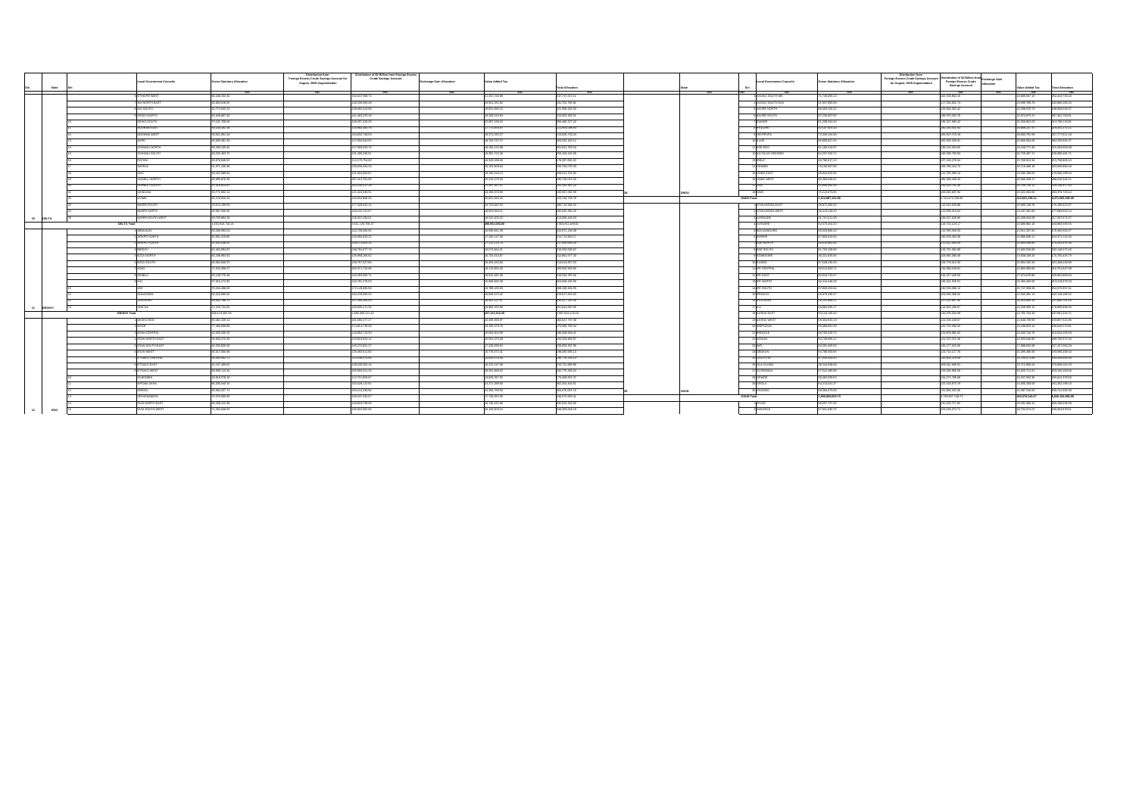|               |              |                                  |                           | Distribution from                        | istribution of \$2 Billion from Foreign Exces |                         |                |                  |  |            |                          |                           | Distribution from                    |                                                |                   |                |                  |
|---------------|--------------|----------------------------------|---------------------------|------------------------------------------|-----------------------------------------------|-------------------------|----------------|------------------|--|------------|--------------------------|---------------------------|--------------------------------------|------------------------------------------------|-------------------|----------------|------------------|
|               |              |                                  |                           | Foreign Excess Crude Savings Account for | Crude Savings Account                         |                         |                |                  |  |            |                          |                           | Foreign Excess Crude Savings Account | tstribution of \$2 Billion from                | change Gain       |                |                  |
|               |              | <b>Local Government Councils</b> | ross Statutory Allocation | August, 2009 Augmentation                |                                               | schange Gain Allocation | alue Added Tax |                  |  |            | ocal Government Councils | ross Statutory Allocation | for August, 2009 Augmentation        | Foreign Excess Crude<br><b>Savings Account</b> | ration.           |                |                  |
|               |              |                                  |                           |                                          |                                               |                         |                | notas allA lato? |  |            |                          |                           |                                      |                                                |                   | alue Added Tax | tal Allocation   |
|               |              |                                  |                           |                                          |                                               |                         |                |                  |  | $\sim$     |                          |                           |                                      | <b>START</b>                                   | <b>CONTRACTOR</b> |                | $   -$           |
|               |              | THIOPE WEST                      | 06,448,332.40             |                                          | 0,047,598.73                                  |                         | 21,251,740.98  | 17,747,672.11    |  |            | MOKO SOUTH WE            | 745,359.13                |                                      | 62.008.864.15                                  |                   | 689,507.15     | 2,443,730.43     |
|               |              | A NORTH EAST                     | 64,804,918.50             |                                          | 46,336,590.48                                 |                         | 0,561,251.82   | 11,702,760.81    |  |            | AKOKO SOUTH EAS          | 357,892.68                |                                      | 7,326,601.73                                   |                   | 595,785.79     | 82,880,280.20    |
|               |              | KA SOUTH                         | 1,774,033.13              |                                          | 39,492,519.98                                 |                         | 19,831,692.10  | 21,098,245.20    |  |            | AKURE NORTH              | 093,100.22                |                                      | 126,664,352.42                                 |                   | 5,298,576.73   | 98,056,029.37    |
|               |              |                                  |                           |                                          |                                               |                         |                |                  |  |            |                          |                           |                                      |                                                |                   |                |                  |
|               |              | SOKO NORTH                       | 62,646,867.40             |                                          | 141,463,475.18                                |                         | 19.193.019.93  | 223.303.362.51   |  |            | AKURE SOUTH              | 17.230.587.55             |                                      | 196.976.202.78                                 |                   | 22 974 973 47  | 107.181.763.81   |
|               |              | SOKO SOUTH                       | 70,101,758.05             |                                          | 158,297,433.26                                |                         | 22,087,186.10  | 250,486,377.42   |  |            | <b>IANR</b>              | 1,258,324.46              |                                      | 138,327,993.42                                 |                   | 5,209,802.03   | 14,796,119.91    |
|               |              | OXWA EAST                        | 59,334,302.18             |                                          | 133,983,340.78                                |                         | 17,773,455.97  | 02.021.028.93    |  |            | <b>FEDORS</b>            | 2,107,503.10              |                                      | 140,245,531.63                                 |                   | 6,848,237.37   | 19,201,272.11    |
|               |              | DOKWA WEST                       | 59,621,891.34             |                                          | 134,632,748.53                                |                         | 19,372,093.37  | 213,626,733.24   |  |            |                          | 3,339,104.39              |                                      |                                                |                   | 18,830,791.59  | 57,777,611.18    |
|               |              |                                  |                           |                                          |                                               |                         |                |                  |  |            | CIGTIPUPA                |                           |                                      | 165,607,715.19                                 |                   |                |                  |
|               |              |                                  | 56,655,381.29             |                                          | 127.934.044.55                                |                         | 18,703,737.27  | 203.293.163.12   |  |            | <b>LAR</b>               | 1059127.40                |                                      | 182.590.329.91                                 |                   | 0.805.836.0    | 284.256.991.37   |
|               |              | HIMLI NORTH                      | 56,268,105.62             |                                          | 27,059,533.74                                 |                         | 18,194,122.68  | 01,521,762.04    |  |            | ESE-EDO                  | 106216.97                 |                                      | 138,120,004.65                                 |                   | 108.771.46     | 5,394,993.08     |
|               |              | SHIMLI SOUTH                     | 58,232,453.72             |                                          | 131,495,246.51                                |                         | 19,381,722.46  | 209,109,422.69   |  |            | <b>FE-OFFIT-OKEICEO</b>  | 54,257,200.71             |                                      | 145,099,783.83                                 |                   | 1,728,497.17   | 26,085,481.71    |
|               |              | <b>ANI</b>                       | 49,676,848.53             |                                          | 2,175,754.09                                  |                         | 10,545,088.40  | 78,397,691.62    |  |            |                          | 1,780,617.12              |                                      | 137,249,278.04                                 |                   | 1,768,912.94   | 3,798,808.10     |
|               |              |                                  |                           |                                          |                                               |                         |                |                  |  |            |                          |                           |                                      |                                                |                   |                |                  |
|               |              | APELE                            | 61,571,436.36             |                                          | 139,035,034.33                                |                         | 20,153,608.64  | 220,760,079.33   |  |            | ODIGEK                   | 5,190,967.58              |                                      | 109,789,424.72                                 |                   | 8,719,468.18   | 3,039,860.49     |
|               |              |                                  | 58.422.589.94             |                                          | 131.924.594.87                                |                         | 19,165,518.13  | 39,512,702.94    |  |            | INDO EA                  | 944 920 35                |                                      | 112.781.090.14                                 |                   | 1,330,189.05   | 16,056,199.54    |
|               |              | GHELLI NORTH                     | 82,995,876.35             |                                          | 187,413,761.96                                |                         | 25,319,375.03  | 105,729,013.34   |  |            | MDO WES                  | 090,546.61                |                                      | 185,369,428.43                                 |                   | 566,349.17     | 18,026,324.21    |
|               |              | GHELLI SOUTH                     | 67,414,812.87             |                                          | 152,230,017.28                                |                         | 21,597,557.07  | 241,242,387.22   |  |            |                          | 3,956,492.34              |                                      | 144,420,751.46                                 |                   | 5,759,734.12   | 224,136,977.93   |
|               |              | KWUANI                           | 53,772,662.12             |                                          | 21,424,549.51                                 |                         | 18,309,870.96  | 193,567,082.59   |  |            |                          | 213,673.85                |                                      | 103.840.037.94                                 |                   | 1,322,354.00   | 63,376,726.44    |
|               |              |                                  |                           |                                          |                                               |                         |                |                  |  |            |                          |                           |                                      |                                                |                   |                |                  |
|               |              |                                  | 62,279,920.23             |                                          | 140,634,868.35                                |                         | 20,831,940.20  | 223,746,728.79   |  | ONDO Total |                          | 1,214,987,131.96          |                                      | 743,573,766.96                                 |                   | 312,521,139.14 | (,271,082,038.06 |
|               |              | VARRI SOUTH                      | 78,574,159.59             |                                          | 177,429,042.13                                |                         | 24,709,382.32  | 280.712.584.04   |  |            | ATAKUMOSA EAST           | 0,871,369.32              |                                      | 112.615.003.88                                 |                   | 3,622,132.78   | 76,185,512.97    |
|               |              | HTRICKI NARN                     | 65,587,055.65             |                                          | 148,102,741.67                                |                         | 18,955,583.11  | 232,645,380.43   |  |            | TAKUMOSA WES             | 1,413,418.43              |                                      | 13,839,010.04                                  |                   | 3,437,491.00   | 7,689,920.14     |
|               |              | ARRI SOUTH-WEST                  | 59,793,894.29             |                                          | 135,021,150.01                                |                         | 18,241,402.22  | 213,056,446.53   |  |            | AIYEDADE                 | 1,701,011.30              |                                      | 139,327,628.90                                 |                   | 03/03/03/20    | 17,297,674.37    |
|               |              |                                  |                           |                                          |                                               |                         |                |                  |  |            |                          |                           |                                      |                                                |                   |                |                  |
|               |              | <b>DELTA Total</b>               | 554,919,718.24            |                                          | 511,178,708.37                                |                         | 496,954,053.00 | 563,052,489.61   |  |            |                          | 1,575,454.20              |                                      | 18,721,123.17                                  |                   | 3,686,982.18   | 184,983,559.55   |
|               |              | <b>DAKALIKI</b>                  | 63,206,993.24             |                                          | 142.728.300.55                                |                         | 10,935,841.29  | 222,871,135.08   |  |            | <b><i>CLUWADURO</i></b>  | 023 866.43                |                                      | 12,959,359.03                                  |                   | 13,511,337.81  | 15.494.553.27    |
|               |              | <b><i>FIKPO NORTH</i></b>        | 10,051,019.85             |                                          | 136,956,633.23                                |                         | 7,105,147.09   | 14.712.000.17    |  |            | <b>ICRIP</b>             | 02.010.020                |                                      | 130,633,454.39                                 |                   | 886.849.11     | 04.371.114.00    |
|               |              | FIKPO SOUTH                      | 1,632,536.52              |                                          | 139,173,005.16                                |                         | 7,121,114.76   | 117,926,656.44   |  |            | EDE NORTH                | 515,962.06                |                                      | 11,812,455.45                                  |                   | 1,961,558.85   | 15,291,976.36    |
|               |              |                                  | 1,464,994.87              |                                          | 138,794,677.79                                |                         | 16,073,864.21  | 16,333,536.87    |  |            | EDE SOUTH                | 703,158.89                |                                      | 16,751,384.99                                  |                   | 023,528.58     | 82,148,072.45    |
|               |              |                                  |                           |                                          |                                               |                         |                |                  |  |            |                          |                           |                                      |                                                |                   |                |                  |
|               |              | <b>ZZA NORTH</b>                 | 60,208,894.53             |                                          | 35,958,265.92                                 |                         | 16,724,416.87  | 112,091,577.33   |  |            |                          | 221,925.96                |                                      | 108,890,380.46                                 |                   | 3,638,109.33   | 10,750,415.75    |
|               |              | <b>IZZA SOUTH</b>                | 00,562,846.37             |                                          | 136,757,527.86                                |                         | 16,294,432.80  | 213,614,807.03   |  |            | <b>DESCRIPT</b>          | 7,028,245.33              |                                      | 128,776,012.32                                 |                   | 15,654,192.20  | 201,458,449.85   |
|               |              |                                  | 1,020,358.27              |                                          | 00,371,732.96                                 |                         | 19,113,052.26  | 0,505,943.50     |  |            | FE CENTRAL               | 512,663.71                |                                      | 134,386,100.61                                 |                   | 23,003.05      | 0,751,847.98     |
|               |              | MELL                             | 62,128,770.49             |                                          | 140,293,555.71                                |                         | 16,912,461.30  | 219,334,787.50   |  |            | FE EAST                  | 1,910,743.47              |                                      | 144,317,445.50                                 |                   | 7,574,676.86   | 25,002,005.03    |
|               |              |                                  | 1,916,272.85              |                                          | 30,781,275.53                                 |                         | 5,068,002.20   | 34,566,430.65    |  |            |                          | 414,048.28                |                                      | 6,421,525.51                                   |                   | 383,405.55     | 12,218,979.33    |
|               |              |                                  |                           |                                          |                                               |                         |                |                  |  |            | FE NOR                   |                           |                                      |                                                |                   |                |                  |
|               |              |                                  | 76,234,498.05             |                                          | 72,145,830.58                                 |                         | 19,788,165.93  | 268,168,494.55   |  |            | <b>AFE SOUTH</b>         | 1,803,262.64              |                                      | 130,526,086.12                                 |                   | 5,747,608.26   | 10.529, 2010     |
|               |              | <b>ICIZARA</b>                   | 62.210.025.00             |                                          | 140.478.550.22                                |                         | 16.828.570.42  | 19.517.815.63    |  |            |                          | 5.979.336.37              |                                      | 103.826.368.02                                 |                   | 2343.401.13    | 62.149.185.52    |
|               |              | HALIKWU                          | 69,655,788.21             |                                          | 157,290,384.59                                |                         | 18,481,137.67  | 245,427,310.46   |  |            | <b>FELOCAIN</b>          | 6,251,868.21              |                                      | 127,022,867.90                                 |                   | 14,410,955.34  | 97,685,701.45    |
|               | <b>BONYI</b> | MCHA                             | 71,225,724.05             |                                          | 100,835,471.33                                |                         | 19,883,625.58  | 251,944,820.95   |  |            |                          | 1884 355.17               |                                      | 4,902,436.67                                   |                   | 1,209,095.10   | 78,995,886.94    |
|               |              | <b>EBONYI Total</b>              | 838,119,392.29            |                                          | 1,022,565,211.42                              |                         | 227,131,512.45 | 2,957,816,116.16 |  |            |                          | 1,144,165.30              |                                      | 120,005,334.99                                 |                   | 14,751,724.43  | 187,901,224.71   |
|               |              |                                  |                           |                                          |                                               |                         |                |                  |  |            | <b>LESHAEAS</b>          |                           |                                      |                                                |                   |                |                  |
|               |              | DOS ONOXI                        | 80,461,329.14             |                                          | 181,690,477.27                                |                         | 20,495,990.97  | 282,647,797.38   |  |            | LESIA WES                | 5.004.533.19              |                                      | 124.206.249.07                                 |                   | 646.739.59     | 93,857,521.85    |
|               |              |                                  | 77,460,699.89             |                                          | 74,914,728.39                                 |                         | 23,190,370.76  | 75,565,799.04    |  |            | REPODUN                  | 5,689,091.39              |                                      | 125,752,056.32                                 |                   | 198,923.10     | 16.640.070.01    |
|               |              | SAN CENTRAL                      | 52,559,330.15             |                                          | 18,684,713.30                                 |                         | 15,054,904.95  | 186,308,948.41   |  |            | REWOLE                   | 2,700,378.72              |                                      | 134,809,981.62                                 |                   | 1033,744.75    | 0,544,105.09     |
|               |              | <b>JAN NORTH EAS</b>             | 54,833,272.25             |                                          | 23,819,523.14                                 |                         | 5,551,070.28   | 194,203,865.67   |  |            |                          | 749,555.11                |                                      | 21,372,371.36                                  |                   | 633,646.80     | 19,755,573.26    |
|               |              |                                  |                           |                                          |                                               |                         |                |                  |  |            |                          |                           |                                      |                                                |                   |                |                  |
|               |              | SAN SOUTH EAST                   | 54,333,830.05             |                                          | 145,272,821.27                                |                         | 7,226,636.52   | 226,833,287.85   |  |            |                          | 4,291,405.53              |                                      | 145,177,022.06                                 |                   | 655,632.65     | 27,157,000.28    |
|               |              | SAN WEST                         | 56,017,000.89             |                                          | 126,492,511.83                                |                         | 15,776,072.41  | 198.285.585.13   |  |            | 24 OBDIO.IN              | 4.786.593.65              |                                      | 123.714.117.76                                 |                   | 5,095,496.93   | 93,596,208.34    |
|               |              | AKO CENTRAL                      | 54,044,582.72             |                                          | 22,038,575.96                                 |                         | 14,033,076.45  | 190,776,235.13   |  |            |                          | 926,504.00                |                                      | 130,804,378.59                                 |                   | 705,073.99     | 4,435,956.59     |
|               |              | SAKO EAS                         | 61,157,409.62             |                                          | 138,100,252.16                                |                         | 16,474,147.00  | 215,731,868.86   |  |            | OLA-OLUW                 | 1,244,638.08              |                                      | 108,941,666.91                                 |                   | 1712,856.04    | 170,899,161.03   |
|               |              | TSAKO WEST                       | 68,909,113.40             |                                          | 155,604,311.23                                |                         | 18,261,868.02  | 242,775,292.64   |  |            | 27 OLORUNDA              | 7.541.485.88              |                                      | 129 934 955 58                                 |                   | 5.623.711.61   | 03, 100, 163.05  |
|               |              |                                  |                           |                                          |                                               |                         |                |                  |  |            |                          |                           |                                      |                                                |                   |                |                  |
|               |              | UDGBEN                           | 49,918,578.19             |                                          | 12,721,006.67                                 |                         | 13,829,367.52  | 176,409,552.37   |  |            | ORIADE                   | 462.032.53                |                                      | 134,271,785,68                                 |                   | 16,207,553.36  | 09,941,378.56    |
|               |              | <b>SPOBA OKHA</b>                | 85.305.043.10             |                                          | 192,628,112.91                                |                         | 24,271,288.50  | 302.204.444.51   |  |            | 29 OROLU                 | 4213.041.27               |                                      | 122,418,973.79                                 |                   | 4.630.183.09   | 191,262,198.15   |
|               |              |                                  | 5,964,057                 |                                          | (116, 239.9)                                  |                         | 394,769.50     | 4,475,067.1      |  |            |                          |                           |                                      | 1,660,202.00                                   |                   |                |                  |
|               |              | PERMINON                         | 70,079,569.95             |                                          | 158,247,330.07                                |                         | 7,746,053.39   | 246,072,953.41   |  | OSUN Total |                          | 1,655,809,005.70          |                                      | 3,738,997,748.73                               |                   | 450,378,142.47 | 5,845,184,896.89 |
|               |              | VIA NORTH EAST                   | 06,258,412.38             |                                          | 32.515,738.56                                 |                         | 16,746,151.00  | 132,623,302.60   |  |            |                          | 1,057,737.34              |                                      | 31,100,717.82                                  |                   | 6,031,080.41   | 05,189,535.58    |
|               |              |                                  |                           |                                          |                                               |                         |                |                  |  |            |                          |                           |                                      |                                                |                   |                |                  |
| $\frac{1}{2}$ | EDO          | VIA SOUTH WEST                   | 71,264,646.53             |                                          | 100,923,362.56                                |                         | 16,105,609.10  | 248,293,618.19   |  |            | 2 AIGNYELE               | 57,941,030.72             |                                      | 153.418.274.71                                 |                   | 8,704,574.07   | 40,063,879.51    |
|               |              |                                  |                           |                                          |                                               |                         |                |                  |  |            |                          |                           |                                      |                                                |                   |                |                  |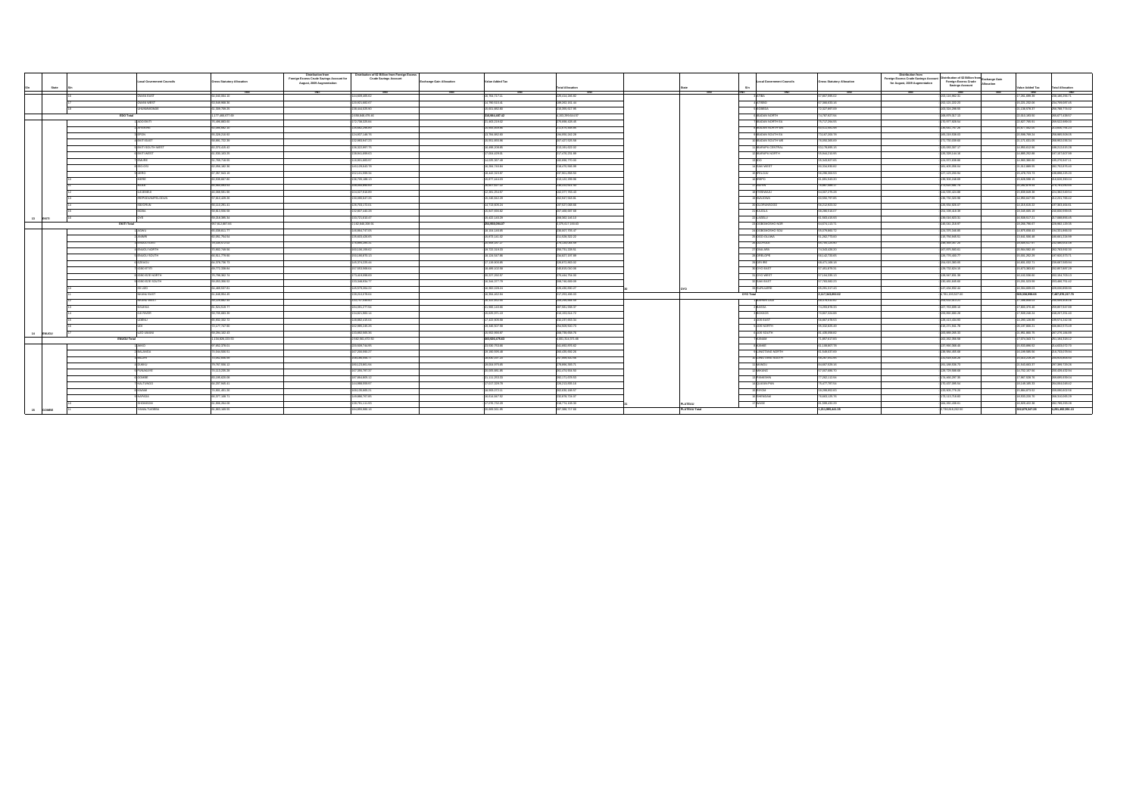|          |       |                    |                                  |                          | Distribution from                        | <b>Distribution of \$2 Billion from Foreign Exces</b> |                         |                 |                |                      |              |                          |                                   | Distribution from                  |                              |               |                |                  |
|----------|-------|--------------------|----------------------------------|--------------------------|------------------------------------------|-------------------------------------------------------|-------------------------|-----------------|----------------|----------------------|--------------|--------------------------|-----------------------------------|------------------------------------|------------------------------|---------------|----------------|------------------|
|          |       |                    |                                  |                          | Foreign Excess Crude Savings Account for | Crude Savings Account                                 |                         |                 |                |                      |              |                          |                                   | Foreign Excess Crude Savings Accou | shibution of \$2 Billion fro | Exchange Gain |                |                  |
|          |       |                    | <b>Local Government Councils</b> | oss Statutory Allocation | August, 2009 Augmentation                |                                                       | schange Gain Allocation | staT babbA sula |                |                      |              | ocal Government Councils | <b>Iross Statutory Allocation</b> | for August, 2009 Augmentation      | Foreign Excess Crude         | Alloration.   |                |                  |
|          | State |                    |                                  |                          |                                          |                                                       |                         |                 | tal Allocation |                      | <b>Still</b> |                          |                                   |                                    | <b>Savings Account</b>       |               | alue Added Tax | notal Allocation |
|          |       |                    |                                  |                          |                                          |                                                       |                         |                 |                |                      |              |                          |                                   |                                    |                              |               |                |                  |
|          |       |                    | <b>NAN EAS</b>                   | 1,040,054.10             |                                          | 4,609,465.62                                          |                         | 764.717.        | 5,414,246.82   |                      |              |                          | 807,595.02                        |                                    | 1,116,962.31                 |               | 7.261.020.39   | 38,186,256.71    |
|          |       |                    | <b>MAN WEST</b>                  | 1,549,958.35             |                                          | 20,921,682.67                                         |                         | 4,790,510.41    | 89,262,161.44  |                      |              |                          | 305,633.16                        |                                    | 52,121,222.23                |               | 15,221,232.06  | 134,709,087.45   |
|          |       |                    |                                  |                          |                                          |                                                       |                         |                 |                |                      |              |                          |                                   |                                    |                              |               |                |                  |
|          |       |                    | <b>HUNMINONDE</b>                | 1,309,709.25             |                                          | 38,444,025.90                                         |                         | 15,001,002.00   | 5,355,617.95   |                      |              |                          | 2,327,897.09                      |                                    | 1,324,298.55                 |               | 1,136,578.37   | 156,788,774.02   |
|          |       | EDO Total          |                                  | 177,466,677,69           |                                          | 2.058.848.479.46                                      |                         | 16.984.487.42   | 153,200,644.57 |                      |              | MOAN NORTH               | 4,787,927.94                      |                                    | 168,879,317.13               |               | 22.010.193.50  | 105.077.438.57   |
|          |       |                    | DO EXITI                         | 03.025,025,0             |                                          | 72,738,325.84                                         |                         | 463,219.02      | 0,098,428.45   |                      |              | <b>AN NORTH EA</b>       | 717,294.55                        |                                    | 0,977,928.54                 |               | 2,827,765.91   | 0,522,989.00     |
|          |       |                    |                                  |                          |                                          |                                                       |                         |                 |                |                      |              |                          |                                   |                                    |                              |               |                |                  |
|          |       |                    | ITEKRE                           | 0.086.682.10             |                                          | 135,682,296.89                                        |                         | 15,906,469.86   | 1,675,448.05   |                      |              | <b>DAN NORTH WE</b>      | 1,511,581.98                      |                                    | 36,641,767.26                |               | 16,677,442.00  | 13,830,791.23    |
|          |       |                    | <b>TON</b>                       | 55,328,210.92            |                                          | 124,937,148.76                                        |                         | 13,784,882.60   | 194,050,242.28 |                      |              | A3 HTUD2 WAG             | 73,167,200.78                     |                                    | 105,219,538.03               |               | 20,598,769.24  | 258,985,508.05   |
|          |       |                    | <b>SOTI PART</b>                 | 1,091,722.39             |                                          | 32,983,947.23                                         |                         | 5,551,855.96    | 07,427,525.58  |                      |              | DAN SOUTH WE             | 03.000,000                        |                                    | 1,730,039.60                 |               | 1,171,631.05   | 88,952,035.34    |
|          |       |                    | EKITI SOUTH WEST                 |                          |                                          | 136,322,997.75                                        |                         | 16,498,208.85   |                |                      |              |                          | 1,178,695.15                      |                                    | 20.083,307.17                |               |                |                  |
|          |       |                    |                                  | 0,370,415.42             |                                          |                                                       |                         |                 | 13,191,622.02  |                      |              | RAPA CENTRAL             |                                   |                                    |                              |               | 14,950,612.96  | 88,212,615.28    |
|          |       |                    | <b>KITI WEST</b>                 | 530.103.25               |                                          | 138,941,099.63                                        |                         | 034-423.01      | 7,476,231.89   |                      |              | <b>URAPA NORTH</b>       | 344,210.95                        |                                    | 126,328,144.16               |               | 14.885.252.88  | 97.157.007.99    |
|          |       |                    | <b>SALMA</b>                     | ,769,718.55              |                                          | 115,901,683.97                                        |                         | 14,025,367.49   | 82,696,770.00  |                      |              |                          | 343,927.65                        |                                    | 24,972,638.86                |               | 14,960,380.60  | 105,276,947.11   |
|          |       |                    | anti                             | 2,055,182.35             |                                          | 40.129.643.78                                         |                         | 6.284.740.84    | 18.470.566.99  |                      |              | AKI WES                  | 334, 930.82                       |                                    | 1405020418                   |               | 21.012.889.55  | 102.752.076.40   |
|          |       |                    |                                  |                          |                                          |                                                       |                         |                 |                |                      |              |                          |                                   |                                    | 123,200.94                   |               | 5.478.723.73   |                  |
|          |       |                    |                                  | ,357,943.19              |                                          | 12,101,599.34                                         |                         | 442,315.97      | 17,901,858.50  |                      |              |                          | 206,300.53                        |                                    |                              |               |                | 08,898,225.20    |
|          |       |                    | ERE                              | 539,667.00               |                                          | 136,705,188,13                                        |                         | 5.877.444.03    | 3.122.299.96   |                      |              |                          | 09154320                          |                                    | 39.305.248.69                |               | 5.628.598.15   | 16,626,390.04    |
|          |       |                    | $\overline{\text{out}}$          | 5,564,093.53             |                                          | 8,050,890.69                                          |                         | 6,607,627.22    | 0,222,611.43   |                      |              |                          | 5,887,589.17                      |                                    | 3,620,581.74                 |               | 10,202,879.54  | 70,791,050.45    |
|          |       |                    | <b>EJEMEJI</b>                   | 0.008.591.95             |                                          | 04,027,916.89                                         |                         | 228125457       | 62.377.763.43  |                      |              |                          | 007,275.28                        |                                    | 44.535.424.88                |               | 5,839,849.38   | 24,382,549.54    |
|          |       |                    |                                  |                          |                                          |                                                       |                         |                 |                |                      |              |                          |                                   |                                    |                              |               |                |                  |
|          |       |                    | EPODUNIFELODUN                   | 7,610,429.26             |                                          | 30,090,647.26                                         |                         | 5,246,842.20    | 202,947,918.81 |                      |              |                          | 550,797.85                        |                                    | 36,730,320.98                |               | 14,950,647.59  | 12,231,766.42    |
|          |       |                    | <b>ZUORUN</b>                    | 6,110,291.41             |                                          | 126,703,172.01                                        |                         | 4,713,605.24    | 197,527,058.66 |                      |              | 20 OLORUNSOG             | 5,212,923.32                      |                                    | 26,934,926.07                |               | 4,215,615.22   | 197,363,464.61   |
|          |       |                    | <b>COLA</b>                      | 58,813,556.58            |                                          | 132,807,440.28                                        |                         | 5,847,690.82    | 17,458,687.68  |                      |              | a seni di                | 1,286,516.07                      |                                    | 54,198,418.39                |               | 18.345.005.19  | 40.830.599.65    |
|          |       |                    |                                  |                          |                                          |                                                       |                         |                 |                |                      |              |                          |                                   |                                    |                              |               |                |                  |
|          |       |                    |                                  | 1,218,395.34             |                                          | 13,721,610.47                                         |                         | 422,140.29      | 08,352,146.10  |                      |              | KGE LU                   | 563,415.93                        |                                    | 22.016.923.31                |               | 6,508,517.21   | 1,088,856.45     |
|          |       | <b>EXITI Total</b> |                                  | 57,812,887.66            |                                          | 162,546,208.91                                        |                         | 254.958.094.07  | 75,617,190.63  |                      |              | <b>GROMADSHO NOR</b>     | 674,113.71                        |                                    | 46,041,218.97                |               | 18,206,796.67  | 28,982,129.35    |
|          |       |                    |                                  | 038,811.77               |                                          | 146,864,747.05                                        |                         | 33.391,101,1    | 10,007,705.47  |                      |              | BOMOSHO SOU              | 079,860.72                        |                                    | 24,376,346.85                |               | 14,875,658.43  | 00.331,855.00    |
|          |       |                    |                                  | 051,754.54               |                                          | 15,603,426.65                                         |                         | 15,873,141.02   | 1,528,322.22   |                      |              | 1011590                  |                                   |                                    | 15,756,945.51                |               | 13,641,506.48  |                  |
|          |       |                    |                                  |                          |                                          |                                                       |                         |                 |                |                      |              |                          | 262,773.00                        |                                    |                              |               |                | 80,051,224.99    |
|          |       |                    | ENUGU EAST                       | 8,335,572.02             |                                          | 176,890,285.31                                        |                         | 30,908,187.27   | 276.134.044.59 |                      |              | 26 OLUYOLE               | 5,705,125.90                      |                                    | 148,369,357.20               |               | 18,405,517.97  | 132,480,001.08   |
|          |       |                    | NUGU NORTH                       | 0,902,749.56             |                                          | 160,106,159.62                                        |                         | 1,722,319.33    | 0,731,228.51   |                      |              |                          | 343,426.20                        |                                    | 67,875,583.61                |               | 20,564,582.49  | 02,783,592.30    |
|          |       |                    | NUGU SOUTH                       | 5,511,779.90             |                                          | 150,190,870.13                                        |                         | 18,124,547.86   | 34,827,197.89  |                      |              | <b>IDEI OD</b>           | 5,142,720.85                      |                                    | 126,776,400.77               |               | 15,001,252.29  | 197,920,373.71   |
|          |       |                    |                                  |                          |                                          |                                                       |                         |                 |                |                      |              |                          |                                   |                                    |                              |               |                |                  |
|          |       |                    | ZEAGU                            | 14,378,736.73            |                                          | 145.374.225.44                                        |                         | 7,119,900.85    | 226.872.863.02 |                      |              | פסו וסר                  | 1,471,168.18                      |                                    | 33.015,383.05                |               | 16.601.032.7   | 139.687.583.94   |
|          |       |                    | <b>GBO ETITI</b>                 | 0,772,338.84             |                                          | 1,553,568.64                                          |                         | 15,409,102.58   | 45,815,010.06  |                      |              | 30 OYO EAST              | 1,451,872.31                      |                                    | 29,732,624.15                |               | 15,673,383.82  | 102,857,887.29   |
|          |       |                    | GBO EZE NORTH                    | 6,798,362.74             |                                          | 73,419,098.69                                         |                         | 0,227,292.57    | 0.444.754.00   |                      |              | <b>IYO WES</b>           | 104,335.13                        |                                    | 28,947,831.39                |               | 16.102.536.60  | 02,154,703.13    |
|          |       |                    | 200 EZE SOUT                     | 053,356.52               |                                          | 3,348,934                                             |                         | 344,377.79      | 1,746,669.09   |                      |              |                          | 783,582.23                        |                                    | 3,481,645.60                 |               | 5,201,523.59   | 1,406,751.42     |
|          |       |                    |                                  |                          |                                          |                                                       |                         |                 |                |                      |              |                          |                                   |                                    |                              |               |                |                  |
|          |       |                    | <b>HERD</b>                      | 14,400,537.81            |                                          | 145,579,264.22                                        |                         | 16,382,028.24   | 26,430,830.27  |                      |              | 2102111-0103             | 5,291,317.43                      |                                    | 47,434,932.44                |               | 00 003 006.31  | 29,030,858.90    |
|          |       |                    | <b>IKANU EAST</b>                | 1,648,954.45             |                                          | 139,210,078.64                                        |                         | 16,394,462.94   | 217,253,496.03 |                      | OYO Total    |                          | (117,343,692.62                   |                                    | (781,193,527.00              |               | 503,338,998.08 | 7,467,876,217.70 |
|          |       |                    | KANU WEST                        | 2223.882.44              |                                          | 13.747.549.60                                         |                         | 6,322,452.55    | 0.220.554.59   |                      |              | PKW1AD                   | 478,532.82                        |                                    | 54,632,013.21                |               | 7,398,858.03   | 40.509.404.05    |
|          |       |                    | SUKKA                            | 1,524,519.77             |                                          | 184,091,277.94                                        |                         | 33.041,330.1    | 287,581,938.37 |                      |              |                          | 1,293,878.33                      |                                    | 67,763,699.10                |               | 17.800.370.46  | 150.057.947.09   |
|          |       |                    |                                  |                          |                                          |                                                       |                         |                 |                |                      |              |                          |                                   |                                    |                              |               |                |                  |
|          |       |                    | UI RIVER                         | 0,705,683.39             |                                          | 134,821,950.14                                        |                         | 5,625,971.19    | 0,153,614.72   |                      |              | <b>OKXO!</b>             | 1,007,324.88                      |                                    | 52,033,000.28                |               | 7,509,246.24   | 148,207,251.40   |
|          |       |                    | <b>DENU</b>                      | 5,932,332.72             |                                          | 148,882,415.04                                        |                         | 17,422,905.58   | 32 237 653 34  |                      |              |                          | 6,867,678.53                      |                                    | 28,413,434.93                |               | 14,293,128.89  | 199,574,242.36   |
|          |       |                    |                                  | 177,747.90               |                                          | 62,985,245.26                                         |                         | 9,346,507.58    | 54,509,500.73  |                      |              | JOS NORTH                | 332,825.49                        |                                    | 15,271,941.78                |               | 26,197,806.21  | 136,002,573.49   |
|          |       |                    |                                  |                          |                                          |                                                       |                         |                 |                |                      |              |                          |                                   |                                    |                              |               |                |                  |
| 14 ENUGU |       |                    |                                  | 0,294,102.43             |                                          | 133,892,565.36                                        |                         | 5,552,990.97    | 208,739,658.76 |                      |              | <b>CLIDS SOUTH</b>       | 435,058.82                        |                                    | 103,009,205.33               |               | 21,951,860.75  | 187,276,184.09   |
|          |       | <b>ENUGU Total</b> |                                  | 34,826,223.53            |                                          | 562,561,672.50                                        |                         | 03,926,475.63   | 33.112,371.00  |                      |              |                          | 857,617.83                        |                                    | 62,262,356.58                |               | 17,074,343.71  | 1,194,318.12     |
|          |       |                    |                                  | 052,378.01               |                                          | 20,509,744.95                                         |                         | 530,753.66      | 1,092,876.62   |                      |              | ANKE                     | 108,807.78                        |                                    | 7,990,358.40                 |               | 533,896.52     | 1,633,072.70     |
|          |       |                    | <b>BALANGA</b>                   | 1,044,506.51             |                                          | 167,200,590.27                                        |                         | 19,190,595.48   | 00,435,092.26  |                      |              | ANGTANG NORTH            | 549,037.09                        |                                    | 33, 204, 455, 55             |               | 16,199,585.56  | 16,733,078.94    |
|          |       |                    |                                  |                          |                                          |                                                       |                         |                 |                |                      |              |                          |                                   |                                    |                              |               |                |                  |
|          |       |                    | <b>LLRI</b>                      | 052,056.59               |                                          | 58,186,556.77                                         |                         | 8,830,197.20    | 32.019,400.56  |                      |              | <b>IGTANG SOUTH</b>      | 287,051.95                        |                                    | 31,618,535.26                |               | 010,219.29     | 04,915,806.50    |
|          |       |                    | <b>DOKKU</b>                     | 79,767,556.12            |                                          | 80,123,861.94                                         |                         | 004,975.65      | 5,896,393.71   |                      |              |                          | 1,667,529.16                      |                                    | 91,188,536.73                |               | 1,543,663.37   | 97,399,729.26    |
|          |       |                    | INAKAYE                          | 4,113,235.28             |                                          | 167,355,787.37                                        |                         | 0,005,881.85    | 261,474,904.50 |                      |              | <b>DCANI</b>             | 07.003.100.7                      |                                    | 28,729,588.68                |               | 14.702.157.56  | 00,439,432.94    |
|          |       |                    | 30MOG                            | 195,620.08               |                                          | 187,864,805.12                                        |                         | ,111,251.33     | 2,171,678.53   |                      |              |                          | 262,112.94                        |                                    | 174,466,297.35               |               | 17,967,528.76  | 0,035,939.04     |
|          |       |                    |                                  |                          |                                          |                                                       |                         |                 |                |                      |              |                          |                                   |                                    |                              |               |                |                  |
|          |       |                    | <b>ALTUNGO</b>                   | 14.207.945.41            |                                          | 144.988.559.97                                        |                         | 7,017,329.78    | 26,213,835.16  |                      |              | <b><i>ESCANDAN</i></b>   | 5,477,787.54                      |                                    | 2003/12/2015                 |               | 18,149,165.33  | 154,054,048.42   |
|          |       |                    |                                  | 4,901,451.26             |                                          | 10,135,665.21                                         |                         | 593,072.11      | 62,630,188.57  |                      |              |                          | 200,952.83                        |                                    | 33,905,776.20                |               | 5.884.873.52   | 0,090,002.56     |
|          |       |                    | <b>AFADA</b>                     | 6.377.108.71             |                                          | 49.886.767.85                                         |                         | 6.614.847.52    | 32.878.724.07  |                      |              | SHENDAM                  | 053.125.76                        |                                    | 1113.718.83                  |               | 1533220.70     | 68,310,065.29    |
|          |       |                    |                                  |                          |                                          |                                                       |                         |                 |                |                      |              |                          |                                   |                                    |                              |               |                |                  |
|          |       |                    | <b>HOMGOM</b>                    | 1,906,264.08             |                                          | 139,791,111.93                                        |                         | 7.076.732.29    | 18.774.108.30  | <b>PLATEAU</b>       |              |                          | 509.432.29                        |                                    | 184,260,438,61               |               | 16.929.422.38  | 282.789.293.28   |
| 15 GOMBE |       |                    | AMALTULDEBA                      | 11,053,109.55            |                                          | 184,855,986.16                                        |                         | 003.561.95      | 87,388,717.66  | <b>PLATEAU Total</b> |              |                          | 1,211,995,441.35                  |                                    | 2,736,818,202.50             |               | 302,673,347.28 | 4,251,492,991.13 |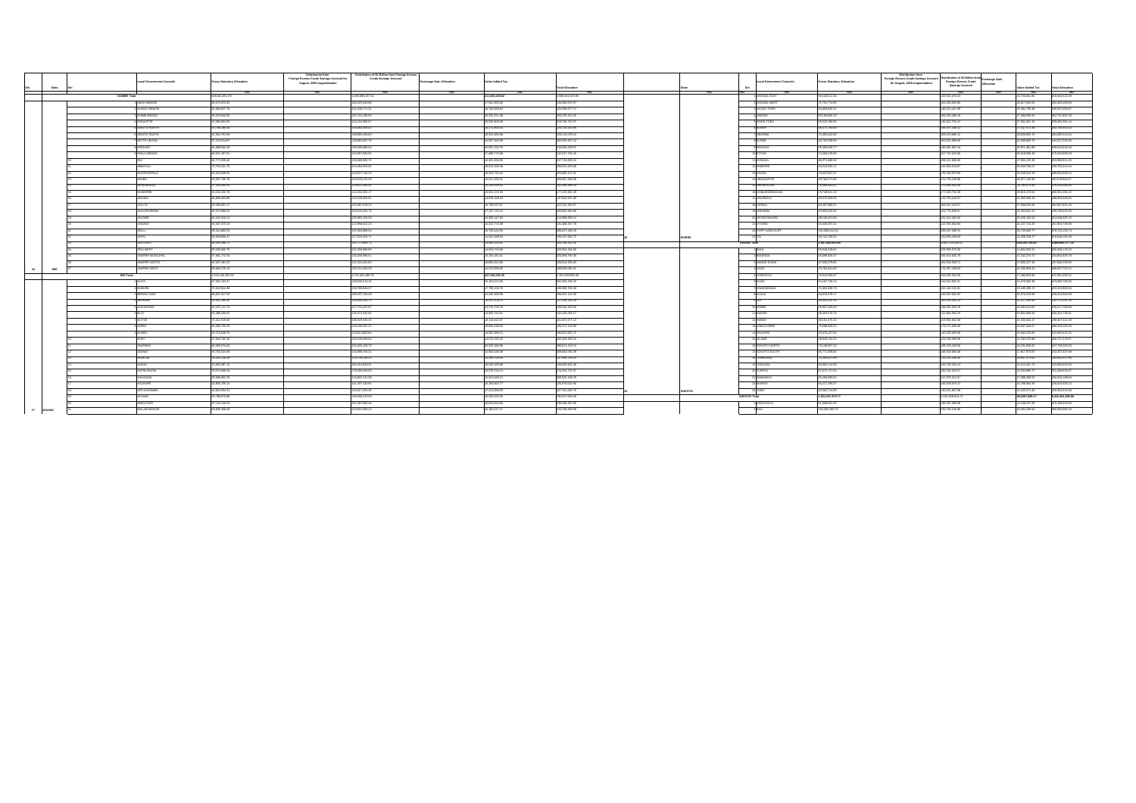|              |           |                    |                           |                                   | Distribution from                        | latribution of \$2 Billion from Foreign Exces |                         |                |                  |              |                     |                           |                          | <b>Clatribution from</b>             | stribution of \$2 Billion from                 |                             |                  |                  |
|--------------|-----------|--------------------|---------------------------|-----------------------------------|------------------------------------------|-----------------------------------------------|-------------------------|----------------|------------------|--------------|---------------------|---------------------------|--------------------------|--------------------------------------|------------------------------------------------|-----------------------------|------------------|------------------|
|              |           |                    |                           |                                   | Foreign Excess Crude Savings Account for | Crude Savings Account                         |                         |                |                  |              |                     |                           |                          | Foreign Excess Crude Savings Account |                                                | Ischange Gain               |                  |                  |
|              |           |                    | ocal Government Councils  | <b>Jross Statutory Allocation</b> | August, 2009 Augmentation                |                                               | schange Gain Allocation | alue Added Tax |                  |              |                     | ocal Government Councils  | oss Statutory Allocation | for August, 2009 Augmentation        | Foreign Excess Crude<br><b>Savings Account</b> | <b><i><u>Patinn</u></i></b> |                  |                  |
|              | State     |                    |                           |                                   |                                          |                                               |                         |                | otal Allocation  |              |                     |                           |                          |                                      |                                                |                             | alue Added Tax   | notal Allocation |
|              |           |                    |                           |                                   |                                          |                                               |                         |                |                  | <b>SINCE</b> | $\sim$              |                           |                          |                                      |                                                |                             | $-2000$          | <b>STATE</b>     |
|              |           | <b>GOMBE Total</b> |                           | 828,081,091.59                    |                                          | 103,020,437.5                                 |                         | 211,645,200.82 | 19.626.529.95    |              |                     |                           | 148,012.46               |                                      | 562,678.23                                     |                             | 15,753,831.80    | 1,464,522.49     |
|              |           |                    | <b>BOH MBAISE</b>         | 0,272,973.40                      |                                          | 0,425,946.09                                  |                         | 561,955.09     | 3,260,875.37     |              |                     | HOADA WES                 | 761,774.95               |                                      | 2,045,932.86                                   |                             | 1,617,552.02     | 02,425,259.83    |
|              |           |                    | <b>INZU MBAISE</b>        | 52,684,817.79                     |                                          | 41,549,171.31                                 |                         | 16,704,631.64  | 20,938,677.74    |              |                     | ACUICU-TORU               | 1,532,540.42             |                                      | 46,415,447.98                                  |                             | 25,381,795.48    | 136,637,083.87   |
|              |           |                    | OWADVI 3MH2               | 58.333.843.60                     |                                          | 31.724.195.93                                 |                         | 15,320,211.98  | 205,378,251.52   |              |                     | ANDONE                    | 23.196.865.16            |                                      | 156,254,086.18                                 |                             | 27.206.935.94    | 152.737.887.28   |
|              |           |                    |                           |                                   |                                          |                                               |                         |                |                  |              |                     |                           |                          |                                      |                                                |                             |                  |                  |
|              |           |                    |                           | 02,083,834.05                     |                                          | 140,192,085.67                                |                         | 530,000.05     | 18,796,720.97    |              |                     | <b>SARI-TORI</b>          | 015,786.50               |                                      | 46,812,753.47                                  |                             | 27,601,821.16    | 139,430,361.14   |
|              |           |                    | EATO NORTH                | 63,798,180.50                     |                                          | 4,063,266.02                                  |                         | 16,271,864.33  | 24,133,310.85    |              |                     |                           | 071,782.60               |                                      | 149,197,308.12                                 |                             | 7.437.572.38     | 42,706,663.10    |
|              |           |                    | <b>EATO SOUTH</b>         | 61,934,751.59                     |                                          | 39,855,439.83                                 |                         | 16,322,884.68  | 18,113,076.10    |              |                     | <b>DEGEMA</b>             | 2,456,042.60             |                                      | 163,613,665.12                                 |                             | 28,629,605.70    | 154,039,313.42   |
|              |           |                    | <b>HITTE UBOMA</b>        | 57.079.914.87                     |                                          | 28,892,687.79                                 |                         | 14,957,364.58  | 00.939.957.24    |              |                     |                           | 792 558 58               |                                      | 10.024.023.00                                  |                             | 26.589.805.75    | 144,207,323.39   |
|              |           |                    | EDURU                     | 1,088,034.28                      |                                          | 10,299,680.04                                 |                         | 5,957,013.75   | 6,945,328.07     |              |                     |                           | 090 558 77               |                                      | 46,981,597.44                                  |                             | 26,971,461.89    |                  |
|              |           |                    |                           |                                   |                                          |                                               |                         |                |                  |              |                     |                           |                          |                                      |                                                |                             |                  | 39,043,618.10    |
|              |           |                    | <b>CIALA MEANO</b>        | 69,021,297.81                     |                                          | 55,857,635.90                                 |                         | 7,008,775.08   | 42,547,709.40    |              |                     |                           | 284,278.95               |                                      | 67,742,022.66                                  |                             | 28,618,556.49    | 0,644,858.09     |
|              |           |                    |                           | 1,772,635.40                      |                                          | 10,480,363.75                                 |                         | 00.028.189.31  | 7,743,833.15     |              |                     |                           | 271,088.26               |                                      | 56,421,690.05                                  |                             | 7,904,133.15     | 3.595.911.45     |
|              |           |                    | LOTIAS                    | 72,753,321.70                     |                                          | 04,284,953.82                                 |                         | 19,013,350.48  | 256,051,625.99   |              |                     |                           | 210,020.11               |                                      | 4,993,244.87                                   |                             | 26,549,756.07    | 135, 753, 021.04 |
|              |           |                    | <b>IGOROKPALA</b>         | 1.003.608.65                      |                                          | 4,527,145.23                                  |                         | 6,324,720.44   | 24,855,474.31    |              |                     |                           | A22.007.37               |                                      | 19.343.575.09                                  |                             | 3169.013.78      | 88,934,596.24    |
|              |           |                    |                           | 59,597,765.78                     |                                          | 14,578,270.39                                 |                         | 15,811,330.41  | 03.007.308.50    |              |                     |                           | 706,571.85               |                                      | 1,735,169.86                                   |                             | 5,077,120.96     | 41,578,862.67    |
|              |           |                    |                           |                                   |                                          |                                               |                         |                |                  |              |                     | <b>JELAVAICPOR</b>        |                          |                                      |                                                |                             |                  |                  |
|              |           |                    | KWANGELE                  | 57,403,064.26                     |                                          | 19,622,394.44                                 |                         | 15,235,039.53  | 02,200,498.24    |              |                     | <b>BUACCUAL</b>           | 566 950.01               |                                      | 172,896,543.45                                 |                             | 29.780.074.59    | 179,243,568.05   |
|              |           |                    | <b><i>OKWERRE</i></b>     | 0,234,220.79                      |                                          | 3,434,352.17                                  |                         | 13,561,378.33  | 7,229,961.28     |              |                     | <b>BA/DGBEMA/N</b>        | 749,841.19               |                                      | 7,825,750.39                                   |                             | 29,815,473.64    | 186,391,065.22   |
|              |           |                    | nman                      | 55,099,403.88                     |                                          | 26,226,964.91                                 |                         | 14,876,269.19  | 197,002,637.99   |              |                     | CURRICO                   | 375,393.94               |                                      | 13.753.146.57                                  |                             | 22.565.008.43    | 86,093,548.94    |
|              |           |                    | <b>CGUTA</b>              | 63.365.851.17                     |                                          | 43,087,019.13                                 |                         | 15,738,523.37  | 122,191,393.67   |              |                     | <b>CIKRIKA</b>            | 0.487.886.01             |                                      | 156,911,243.07                                 |                             | 27.668.532.08    | 254,067,661.16   |
|              |           |                    | NAJEGOEMA                 | 66,472,980.02                     |                                          | 10,103,255.76                                 |                         | 107,725.10     | 23,683,900.88    |              |                     | <b>150 BALL</b>           | 928,525.50               |                                      | 21,776,506.07                                  |                             | 23,454,591.23    | 199,159,622.80   |
|              |           |                    |                           |                                   |                                          |                                               |                         |                |                  |              |                     |                           |                          |                                      |                                                |                             |                  |                  |
|              |           |                    | ociwi                     | 60,042,310.11                     |                                          | 35,582,100.09                                 |                         | 15,305,447.94  | 10,989,858.14    |              |                     | 10 OPOBO/NKORO            | 8,108,021.08             |                                      | 131,214,264.00                                 |                             | 25 226 102 04    | 14,548,387.12    |
|              |           |                    | NUMC                      | 54,407,473.15                     |                                          | 2,858,022.23                                  |                         | 14,222,772.38  | 121,488,267.76   |              |                     | mca                       | 426,357.41               |                                      | 22,900,004.94                                  |                             | 4,227,724.33     | 101,554,746.68   |
|              |           |                    |                           | 58.413.863.25                     |                                          | 31.904.889.04                                 |                         | 15,728,444.00  | 206,047,196.29   |              |                     | 22 PORT HARCOURT          | 436014.64                |                                      | 235 847 289 31                                 |                             | 38.720.826.77    | 178,724,130.73   |
|              |           |                    |                           | 6.629.856.47                      |                                          | 27,876,406.71                                 |                         | 4,941,698.54   | 0,447,961.72     | RIVERS       |                     |                           | 1,724,765.50             |                                      | 24,865,042.83                                  |                             | 105834927        | 18.648.164.39    |
|              |           |                    | RU EAS                    | 58,355,398.71                     |                                          | 1,772,869.73                                  |                         | 4,658,333.01   | 04.786,001.46    |              | <b>RIVERS Total</b> |                           | 1,587,050,943.85         |                                      | 583,734,528.41                                 |                             | 639,105,704.92   | 5,009,091,177.19 |
|              |           |                    |                           | 8,039,660.75                      |                                          | 11,059,098.09                                 |                         | 14,854,724.96  | 03,954,284.00    |              |                     |                           | 348,242.64               |                                      | 28,595,373.30                                  |                             | 14,804,555.31    |                  |
|              |           |                    | RU WEST                   |                                   |                                          |                                               |                         |                |                  |              |                     |                           |                          |                                      |                                                |                             |                  | 100,348,178.25   |
|              |           |                    | VERRI MUNICIPAL           | 17,001,772.54                     |                                          | 10,206,586.01                                 |                         | 5,191,431.51   | 03,059,790.06    |              |                     |                           | 022,005.37               |                                      | 03.245.70                                      |                             | 7,242,274.72     | 34,554,925.79    |
|              |           |                    | <b>VERRINORTH</b>         | 62,537,491.22                     |                                          | 141,215,491.80                                |                         | 16,000,312.00  | 120,614,235.83   |              |                     | DANGE-SHUNI               | 7,536,379.80             |                                      | 152,504,528.71                                 |                             | 17,905,227.44    | 137,946,135.95   |
|              | <b>MO</b> |                    | ERRI WEST                 | 19,656,276.19                     |                                          | 14,710,393.28                                 |                         | 4,223,395.85   | 10.590,055.31    |              |                     |                           | 38.144.341.00            |                                      | 73,387,438.02                                  |                             | 19,705,903.24    | 09,937,743.12    |
|              |           | <b>IMO Total</b>   |                           | 1,643,145,202.53                  |                                          | 710,401,406.76                                |                         | 427,492,291.20 | 5,781,038,990.49 |              |                     | GORDNYO                   | 615,056.97               |                                      | 159,456,518.30                                 |                             | 17,480,923.85    | 147,552,499.12   |
|              |           |                    |                           | 17,362,153.37                     |                                          | 9,530,013.16                                  |                         | 163,272.90     | 2,055,439.43     |              |                     |                           | 187,748.13               |                                      | 4,942,952.31                                   |                             | 1.476.092.38     | 23,606,792.82    |
|              |           |                    |                           |                                   |                                          |                                               |                         |                |                  |              |                     |                           |                          |                                      |                                                |                             |                  |                  |
|              |           |                    | <b>BABURA</b>             | 70,319,814.38                     |                                          | 158,789,828.27                                |                         | 7,799,150.75   | 246,908,793.40   |              |                     | <b><i>CANADAMA WA</i></b> | 803,490.79               |                                      | 62,140,131.81                                  |                             | 19,180,285.73    | 53,123,908.33    |
|              |           |                    | RNIN KUDU                 | 83,847,917.53                     |                                          | 19,337,764.08                                 |                         | 1,445,459.98   | 94.631.141.59    |              |                     |                           | 4.618.378.17             |                                      | 45.915.362.02                                  |                             | 16.379.223.89    | 25.912.954.08    |
|              |           |                    |                           | 62,001,394.45                     |                                          | 40,005,926.70                                 |                         | 15,521,004.13  | 17,528,325.28    |              |                     |                           | 6,445,252.18             |                                      | 2010/04/124                                    |                             | 16,227,305.89    | 132,713,201.30   |
|              |           |                    | AGARAWA                   | 52.137.111.74                     |                                          | 17,731,297.97                                 |                         | 13,375,759.78  | 83,244,109.50    |              |                     |                           | \$07,320.09              |                                      | 48.825.933.78                                  |                             | 15.484.514.82    | 130,217,768.69   |
|              |           |                    |                           | 55,388,339.62                     |                                          | 5,072,925.94                                  |                         | 13,953,792.61  | 194,425,058.17   |              |                     | <b>KWARI</b>              | 453,575.76               |                                      | 131,994,584.25                                 |                             | 15,804,525.52    | 206,252,735.61   |
|              |           |                    |                           |                                   |                                          |                                               |                         |                |                  |              |                     |                           |                          |                                      |                                                |                             |                  |                  |
|              |           |                    | <b>NUTSE</b>              | 4.411.519.28                      |                                          | 38,029,345.25                                 |                         | 9,116,812.57   | 61.557.677.10    |              |                     |                           | 1,191,075.24             |                                      | 13 982 902 58                                  |                             | 16.333.364.47    | 138.507.342.28   |
|              |           |                    | <b>DKRAL</b>              | 64,286,700.33                     |                                          | 45,166,397.21                                 |                         | 5,064,049.25   | 25,317,146.80    |              |                     | SABON BIRN                | 23.300.02                |                                      | 73,171,933.46                                  |                             | 18.357.344.57    | 158,218,184.05   |
|              |           |                    |                           | 55,716,028.76                     |                                          | 25,812,883.84                                 |                         | 14,302,889.12  | 195,831,801.72   |              |                     |                           | 073,147.82               |                                      | 42,426,062.95                                  |                             | 6,584,413.65     | 22,083,624.42    |
|              |           |                    |                           | 57,618,762.46                     |                                          | 10,109,464.54                                 |                         | 4,575,032.25   | 02,303,259.24    |              |                     | ELAM                      | 016.133.22               |                                      | 33,032,002.56                                  |                             | 14,782,075.88    | 106,737,278.67   |
|              |           |                    | <b>MARAM</b>              | 84,858,674.46                     |                                          | 91,620,163.73                                 |                         | 20,032,580.96  | 296,511,419.15   |              |                     | WOTO NORTH                | 1,138,057.15             |                                      | 58,379,400.56                                  |                             | 19,231,825.62    | 47,749,283.33    |
|              |           |                    |                           |                                   |                                          |                                               |                         |                |                  |              |                     |                           |                          |                                      |                                                |                             |                  |                  |
|              |           |                    | <b>MINE</b>               | 59,782,524.69                     |                                          | 34,995,476.21                                 |                         | 14,904,049.38  | 109,682,050.28   |              |                     | <b>CKOTO SOUTH</b>        | 1,771,259.66             |                                      | 148.518.694.46                                 |                             | 17,917,973.87    | 232,207,927.99   |
|              |           |                    | ADEJ                      | 13,024,110.49                     |                                          | 19,734,238.10                                 |                         | 4,249,790.55   | 87,008,139.15    |              |                     | AMBUWAL                   | 325,457.99               |                                      | 70,251,186.40                                  |                             | 18,957,673.55    | 4,004,317.93     |
|              |           |                    | HI <sub>IN</sub>          | 70,993,387.19                     |                                          | 00,310,829.31                                 |                         | 18,526,285.88  | 49,830,502.38    |              |                     | <b>ANGAZA</b>             | 025,214.98               |                                      | 143,740,434,24                                 |                             | 15.110.261.73    | 22,505,910.94    |
|              |           |                    | <b>AFIN HAUSA</b>         | 78,074,095.94                     |                                          | 76,299,846.00                                 |                         | 19,979,794.13  | 274,353,737.07   |              |                     | TURETA                    | 7.672.727.53             |                                      | 130.231.323.57                                 |                             | 13.534.805.77    | 101,438,916.87   |
|              |           |                    | CAMA                      | 59,696,902.25                     |                                          | 34,802,131.38                                 |                         | 5,023,166.12   | 109,522,199.75   |              |                     |                           | 205.083.04               |                                      | 47,379,312.07                                  |                             | 7.388.200.52     | 30,034,198.64    |
|              |           |                    |                           |                                   |                                          |                                               |                         |                |                  |              |                     |                           |                          |                                      |                                                |                             |                  |                  |
|              |           |                    | CAZALIRE                  | 62.856.755.14                     |                                          | 41.937.424.05                                 |                         | 16,184,822.77  | 20.979.002.56    |              |                     | 22 M/URNO                 | 4.217.296.37             |                                      | 45.009.675.47                                  |                             | 16.788.564.29    | 126,015,536.13   |
|              |           |                    |                           | 4,619,304.                        |                                          | 6,917,453.3                                   |                         | 224,938.05     | 7,761,695.76     | SOKOTO       |                     |                           | 302,714.                 |                                      | 0,821,827.58                                   |                             |                  | 1,334,914.3      |
|              |           |                    | <b>WWW</b>                | 65,788,876.88                     |                                          | 48,558,476.08                                 |                         | 16,580,343.00  | 130,927,695.96   |              | SOKOTO Total        |                           | 521,347,475.77           |                                      | 1,435,368,914.74                               |                             | 384.887.898.17   | 5,341,004,208.08 |
|              |           |                    | <b>UGATARI</b>            | 17,134,740.54                     |                                          | 1,597,583.34                                  |                         | 16,815,944.06  | 35,548,267.95    |              |                     | ARDO-KOLA                 | 028.021.33               |                                      | 39,322,389.96                                  |                             | 14, 138, 237, 26 | 15, 159, 318.55  |
|              |           |                    | <b><i>IALAM MADUR</i></b> | 53,695,358.69                     |                                          | 43,831,083.13                                 |                         | 16,182,017.17  | 223,708,458.99   |              |                     |                           | 03,505,283.70            |                                      | 233,726,245.85                                 |                             | 18,364,439.62    | 55.595.969.18    |
| $17 - 364WA$ |           |                    |                           |                                   |                                          |                                               |                         |                |                  |              |                     |                           |                          |                                      |                                                |                             |                  |                  |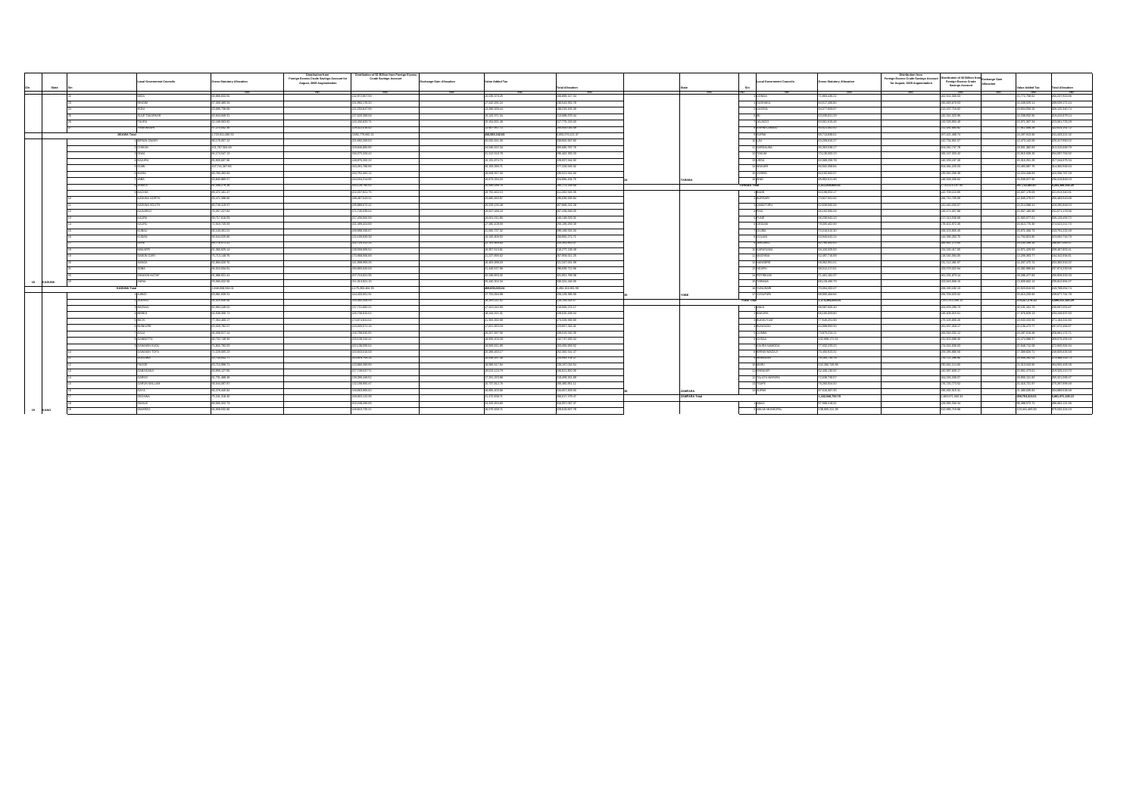|         |             |                     |                                  |                           | <b>Clatribution from</b>                 | <b>Xatribution of \$2 Billion from Foreign Excess</b> |                         |                |                |                      |                     |                          |                            | Distribution from                   |                               |                   |                    |                   |
|---------|-------------|---------------------|----------------------------------|---------------------------|------------------------------------------|-------------------------------------------------------|-------------------------|----------------|----------------|----------------------|---------------------|--------------------------|----------------------------|-------------------------------------|-------------------------------|-------------------|--------------------|-------------------|
|         |             |                     |                                  |                           | Foreign Excess Crude Savings Account for | Crude Savings Account                                 |                         |                |                |                      |                     |                          |                            | Foreign Excess Crude Savings Accour | atribution of \$2 Billion fro | Exchange Gain     |                    |                   |
|         |             |                     | <b>Local Government Councils</b> | ross Statutory Allocation | August, 2009 Augmentation                |                                                       | schange Gain Allocation | slue Added Tax |                |                      |                     | ocal Government Councils | Gross Statutory Allocation | for August, 2009 Augmentation       | Foreign Excess Crude          | <b>Allowation</b> |                    |                   |
|         |             |                     |                                  |                           |                                          |                                                       |                         |                | noite of Allen |                      | Sh.                 |                          |                            |                                     | <b>Savings Account</b>        |                   | alue Added Tax     | otal Allocation   |
|         |             |                     |                                  |                           |                                          |                                                       |                         |                |                | <b>START</b>         | $\sim$              |                          |                            |                                     |                               |                   |                    | <b>CONTRACTOR</b> |
|         |             |                     |                                  | 58,886,833.50             |                                          | 32,972,907.59                                         |                         | 039,376.25     | 1899.117.3     |                      |                     |                          | 953,435.21                 |                                     | 2,501,306.03                  |                   | $ -$<br>772,758.62 | 237,500.86        |
|         |             |                     |                                  | 7,309,485.34              |                                          | 51,992,176.20                                         |                         | 242,291.24     | 6,543,952.78   |                      |                     |                          | 517,466.80                 |                                     | 0,842,673.53                  |                   | 4.168.025.1        | 0,535,171.44      |
|         |             |                     |                                  |                           |                                          |                                                       |                         |                |                |                      |                     |                          |                            |                                     |                               |                   |                    |                   |
|         |             |                     |                                  | 13,035,738.68             |                                          | 121,250,847.98                                        |                         | 1,286,509.44   | 8,233,156.09   |                      |                     |                          | 1,077,693.67               |                                     | 2,437,716.92                  |                   | 2,604,230.15       | 26,120,340.74     |
|         |             |                     | <b>GHE TAKADKAR</b>              | 00,944,949.31             |                                          | 137.620.358.08                                        |                         | 123371.04      | 3.688.678.44   |                      |                     |                          | 1.035.521.29               |                                     | 42.341.323.95                 |                   | 4.038.932.90       | 12415.878.14      |
|         |             |                     | <b>ALIRA</b>                     | 62,189,563.82             |                                          | 40,430,833.71                                         |                         | 154,821.46     | ,775,219.00    |                      |                     |                          | 3,561,515.46               |                                     | 43,528,850.49                 |                   | 5,971,367.34       | 3,061,733.29      |
|         |             |                     | <b><i>EMICWARH</i></b>           |                           |                                          |                                                       |                         |                |                |                      |                     | ADIBAT AM                |                            |                                     |                               |                   |                    |                   |
|         |             |                     |                                  | 17,270,042.35             |                                          | 29,322,016.42                                         |                         | 3,907,957.72   | 0,500,016.49   |                      |                     |                          | 1,521,461.52               |                                     | 1,181,683.92                  |                   | 17,911,006.29      | 22,614,151.72     |
|         |             | <b>JIGAWA Total</b> |                                  | 1,723,911,086.53          |                                          | 1,092,779,692.21                                      |                         | 06,585,342.63  | 053,276,121.37 |                      |                     |                          | 13,838.61                  |                                     | 157,421,468.74                |                   | 14,297,913.96      | 41,433,221.32     |
|         |             |                     | PMN CWAR                         | 98.176.057.12             |                                          | 21,692,269.63                                         |                         | 032 641 05     | 39.900.967.80  |                      |                     |                          | 209.916.27                 |                                     | 42,734,901.07                 |                   | 4.473.142.69       | 20,417,960.02     |
|         |             |                     | HIKUN                            | 101,787,304.48            |                                          | 29,846,860.95                                         |                         | 4,046,622.34   | 5,680,787.76   |                      |                     | JPDAI IN                 | 1263538.17                 |                                     | 04.050,747.78                 |                   | 18,901,382.83      | 3,315,668.79      |
|         |             |                     |                                  |                           |                                          |                                                       |                         |                |                |                      |                     |                          |                            |                                     |                               |                   |                    |                   |
|         |             |                     |                                  | 14,174,547.13             |                                          | 190,075,329.42                                        |                         | 1,212,516.78   | 15,462,393.33  |                      |                     | TAKUM                    | 135,092.23                 |                                     | 05.147.033.42                 |                   | 15,015,639.26      | 54,097,764.92     |
|         |             |                     | KAJURU                           | 5,929,607.96              |                                          | 48,876,262.22                                         |                         | 131,674.74     | 19,937,544.92  |                      |                     |                          | 2,069,256.78               |                                     | 40,159,167.26                 |                   | 101625129          | 7,244,675.34      |
|         |             |                     |                                  | 07,741,357.85             |                                          | 243,291,786.96                                        |                         | 6,193,390.71   | 7,226,545.52   |                      |                     | VUKAR                    | 1502,358.84                |                                     | 04,364,220.03                 |                   | 19,493,987.75      | 14,300,500.63     |
|         |             |                     | ЧA                               | 66.760.492.54             |                                          | 150,752,491.12                                        |                         | 8,008,557.03   | 5,521,541.00   |                      |                     |                          | 192.062.07                 |                                     | 35,920,256,39                 |                   | 1224.448.83        | 10,336,767.29     |
|         |             |                     |                                  |                           |                                          |                                                       |                         |                |                |                      |                     |                          |                            |                                     |                               |                   |                    |                   |
|         |             |                     |                                  | 3,842,885.57              |                                          | 44,164,214.95                                         |                         | 673,334.23     | 27.323,000,0   | TARABA               |                     |                          | 052,611.45                 |                                     | 48,928,206.62                 |                   | 539,027.96         | 30,419,846.03     |
|         |             |                     | <b>EMA'A</b>                     | 11,098,279.38             |                                          | 183,128,780.54                                        |                         | 0,946,088.76   | 5,173,148.68   |                      | <b>TARABA Total</b> |                          | 211,019,844.41             |                                     | 1734,615,197.96               |                   | 257,731,491.87     | (203,366,534.25   |
|         |             |                     |                                  | 89,472,161.47             |                                          | 102,037,921.75                                        |                         | 1,752,462.13   | 1,262,545.35   |                      |                     |                          | 198,052.17                 |                                     | 42,708,110.65                 |                   | 5,007,178.09       | 21,913,340.91     |
|         |             |                     |                                  |                           |                                          |                                                       |                         |                |                |                      |                     |                          |                            |                                     |                               |                   |                    |                   |
|         |             |                     | DUNA NORTH                       | 83,471,398.66             |                                          | 188,487,543.31                                        |                         | 1,680,993.87   | 5,639,935.84   |                      |                     |                          | 1,827,561.92               |                                     | 66,710,705.69                 |                   | 1,945,276.07       | 5,483,543.68      |
|         |             |                     | ADUNA SOUTH                      | 86.749.419.37             |                                          | 195,889,672.42                                        |                         | 25,229,130.48  | 07,868,222.28  |                      |                     | <b>DAMATURU</b>          | 2,636,560.06               |                                     | 141,440,200.07                |                   | 14.214.008.41      | 18,290,848.53     |
|         |             |                     |                                  | 6,057,227.82              |                                          | 71,745,535.04                                         |                         | 0,637,086.19   | 7,439,549.05   |                      |                     |                          | 192,990.09                 |                                     | 49,471,007.88                 |                   | 5,907,180.99       | 31,571,178.96     |
|         |             |                     | 41104                            | 10,717,616.93             |                                          | 157,430,000.58                                        |                         | 9,001,011.80   | 46,148,629.31  |                      |                     | 1 IMF                    | 6,236,942.43               |                                     | 17,313,536.68                 |                   | 1,582,977.61       | 35, 133, 456.72   |
|         |             |                     |                                  |                           |                                          |                                                       |                         |                |                |                      |                     |                          |                            |                                     |                               |                   |                    |                   |
|         |             |                     | URU                              | 1,519,745.93              |                                          | 61:499.404.88                                         |                         | (180,108.59    | 0.120.250.39   |                      |                     |                          | 005 462.99                 |                                     | 78.402.972.35                 |                   | 6,613,776.36       | 4,022,211.70      |
|         |             |                     | <b>UBAU</b>                      | 84,140,451.01             |                                          | 189,998,336.67                                        |                         | 21,060,737.32  | 95,199,525.00  |                      |                     | <b>GILBA</b>             | 016,010.30                 |                                     | 58.103.805.45                 |                   | 5.671.406.73       | 43,791,222.49     |
|         |             |                     | <b>IDAN</b>                      | 18,544,525.80             |                                          | 32,199,939.38                                         |                         | 1,105,806.53   | 6.850.271.71   |                      |                     |                          | 945 842 24                 |                                     | 44,396,250.75                 |                   | 4.750.823.80       | 3.092.716.79      |
|         |             |                     |                                  | 89,776,571.22             |                                          | 102,725,312.24                                        |                         | 2,761,969.60   | 5,263,853.07   |                      |                     | DIAKUSKO                 | 2,795,492.63               |                                     | 186,961,273.60                |                   | 19,100,299.34      | 88,857,065.57     |
|         |             |                     | <b>AKADTI</b>                    | 1,360,625.14              |                                          | 138,558,999.54                                        |                         | 1,357,513.81   | 16,277,138.49  |                      |                     |                          | 2,426,005.83               |                                     | 34,190,417.65                 |                   | 14,871,429.93      | 08,487,853.41     |
|         |             |                     |                                  |                           |                                          |                                                       |                         |                |                |                      |                     |                          |                            |                                     |                               |                   |                    |                   |
|         |             |                     | ABON GARI                        | 5,713,148.75              |                                          | 70,968,566.88                                         |                         | 1,227,895.62   | 17,909,611.25  |                      |                     |                          | 2,497,716.99               |                                     | 18,545,584.05                 |                   | 1,299,393.77       | 4,342,034.81      |
|         |             |                     | <b>NGA</b>                       | 62,884,020.70             |                                          | 141,998,993.26                                        |                         | 00.009.039.03  | 21,347,001.99  |                      |                     |                          | 8,062,951.51               |                                     | 31,112,491.97                 |                   | 14,207,472.74      | 03,382,916.22     |
|         |             |                     | xиА                              | 84.524.534.91             |                                          | 00.003.040.09                                         |                         | 1,449,537.96   | 6.839.712.96   |                      |                     |                          | 1,012,217.81               |                                     | 53.579.022.94                 |                   | 6.382.989.84       | 37.974.230.58     |
|         |             |                     | <b>NGON KATA</b>                 | 1,986,521.41              |                                          | 07,715,621.35                                         |                         | 249,053.32     | 1,951,796.08   |                      |                     |                          | 1,401,181.37               |                                     | 1,231,673.14                  |                   | 1,296,477.83       | 0,929,332.33      |
|         |             |                     |                                  | 3,580,022.56              |                                          | 211,313,921.15                                        |                         | 5,430,302.34   | 0,324,246.05   |                      |                     |                          | 129,490.79                 |                                     | 53,843,838.15                 |                   | 3,839,662.13       | 235,812,991.07    |
|         | <b>ANUX</b> |                     |                                  |                           |                                          |                                                       |                         |                |                |                      |                     |                          |                            |                                     |                               |                   |                    |                   |
|         |             | <b>KADUNA Total</b> |                                  | 1,549,008,534.01          |                                          | (175,263,404.33                                       |                         | 469,833,023.24 | 494,104,961.59 |                      |                     | <b>UNUSA</b>             | 054,262.07                 |                                     | 58,190,182.13                 |                   | 523,610.53         | 43,768,054.74     |
|         |             |                     | <b>JING!</b>                     | 63,961,939.31             |                                          | 144,433,051.31                                        |                         | 7,734,394.98   | 26,129,385.59  | <b>YORE</b>          |                     | 17 YUSUFARI              | 1,955,484.84               |                                     | 55,709,023.02                 |                   | 5,013,233.92       | 39,677,741.78     |
|         |             |                     | LBASU                            | 64,425,008.96             |                                          | 45,480,068.08                                         |                         | 209,141.62     | 8,194,818.67   |                      | <b>YOBE Total</b>   |                          | 174,394,026.04             |                                     | 27.390,006.15                 |                   | 70,227,278.10      | 4,096,531,400.29  |
|         |             |                     |                                  | 60,994,249.02             |                                          | 137,731,682.21                                        |                         | 243,342.93     | 6,009,274.17   |                      |                     |                          | 33,537,600.40              |                                     | 154,878,299.73                |                   | 5,131,151.74       | 39,597,051.87     |
|         |             |                     | LOCUI                            | 4.539.306.71              |                                          | 45,736,810.02                                         |                         | 8,244,321.31   | 28,520,438.04  |                      |                     |                          | 6,165,093.80               |                                     | 149,408,015.01                |                   | 17.676.829.13      |                   |
|         |             |                     |                                  |                           |                                          |                                                       |                         |                |                |                      |                     | BAKUR.                   |                            |                                     |                               |                   |                    | 33,249,937.93     |
|         |             |                     | <b>DETA</b>                      | 7,354,466.17              |                                          | 74,674,841.04                                         |                         | 1,300,692.68   | 1,329,999.89   |                      |                     |                          | 545,251.98                 |                                     | 75,105,656.26                 |                   | 1,533,333,56       | 1,184,241.80      |
|         |             |                     | <b>BUNKURE</b>                   | 63,329,782.07             |                                          | 43,005,571.16                                         |                         | 17,621,963.19  | 23.957.316.41  |                      |                     | <b>IN INCA IN</b>        | 4 598 592 53               |                                     | 191.937.018.17                |                   | 00.136.473.77      | 97,072,484.87     |
|         |             |                     |                                  | 6,008,917.14              |                                          | 16,798,630.65                                         |                         | 1,207,997.56   | 015,545.35     |                      |                     |                          | 875,224.11                 |                                     | 06.010.332.12                 |                   | 18,287,618.48      | 58,981,174.71     |
|         |             |                     | MMMATTA                          | 36,702,748.36             |                                          | 155,138,316.41                                        |                         | 8,906,200.28   | 2.747.205.04   |                      |                     |                          | 2,698,171.51               |                                     | 00.003.000.10                 |                   | 24,474,588.37      | 0,076,458.18      |
|         |             |                     |                                  |                           |                                          |                                                       |                         |                |                |                      |                     |                          |                            |                                     |                               |                   |                    |                   |
|         |             |                     | <b>UCLOI VIOLANI</b>             | 1,802,792.53              |                                          | (02.138,555.04                                        |                         | 509,611.95     | 3,450,959.52   |                      |                     | LIRA NAMODI              | 1332,233,23                |                                     | 4,524,636.63                  |                   | 0,948,712.08       | 72,905,581.94     |
|         |             |                     | <b>WAKN TOFA</b>                 | 71,229,005.23             |                                          | 80.310,016.03                                         |                         | 0,288,460.17   | 2,350,541.47   |                      |                     | NIN MAGAJI               | 1,450,923.31               |                                     | 52,005,006.56                 |                   | 7,389,826.71       | 46,926,636.58     |
|         |             |                     | <b>GUWA</b>                      | 3,734,643.77              |                                          | 43,919,793.14                                         |                         | 6,939,267.36   | 4,593,704.27   |                      |                     |                          | 260,735.78                 |                                     | 76,721,296.90                 |                   | 8,506,282.04       | 3,488,314.73      |
|         |             |                     | GGE                              | 3,710,998.71              |                                          | 43,866,399.99                                         |                         | 509,617.84     | 6,167,016.54   |                      |                     |                          | 2,200,749.88               |                                     | 30,961,114.60                 |                   | 1,313,543.90       | 1,555,408.38      |
|         |             |                     |                                  | 19,859,127.85             |                                          | 57,749,547.71                                         |                         | 013,124.79     | 46,621,800.35  |                      |                     |                          | 2,436,130.92               |                                     | 40,987,609.17                 |                   | 5.901.473.61       |                   |
|         |             |                     |                                  |                           |                                          |                                                       |                         |                |                |                      |                     |                          |                            |                                     |                               |                   |                    | 9,325,213.70      |
|         |             |                     |                                  | 11,731,488.49             |                                          | 139,396,449.52                                        |                         | 331,323.88     | 8,459,261.89   |                      |                     | TALATA MAFARA            | 1,638,736.57               |                                     | 4,026,208.07                  |                   | 8,656,121.82       | 55,321,066.47     |
|         |             |                     | <b>GARUN MALLAM</b>              | 58,544,087.87             |                                          | 132,198,950.47                                        |                         | 5,737,812.76   | 05,480,851.11  |                      |                     | <b>TSAFE</b>             | 260,504.00                 |                                     | 76,720,773.52                 |                   | 10,416,721.97      | 75,397,999.49     |
|         |             |                     | KYA.                             | 66,278,440.84             |                                          | 49,663,965.00                                         |                         | 665.403.66     | 4.607.809.50   | ZAMFARA              | 14 ZURM             |                          | ,016,387.35                |                                     | 96.492.515.31                 |                   | 1,380,635.83       | 4.889.538.48      |
|         |             |                     |                                  | 5,241,318.40              |                                          | (69,903,122.36                                        |                         | 472,838.71     | 6,617,279.47   | <b>ZAMFARA Total</b> |                     |                          | 102,546,735.78             |                                     | AE0.071,000.34                |                   | 203,753,313.01     | 3,861,971,109.13  |
|         |             |                     | <b>WALE</b>                      |                           |                                          |                                                       |                         |                |                |                      |                     |                          |                            |                                     | 29.995.330.34                 |                   | 35.498.572.71      |                   |
|         |             |                     |                                  | 89,565,322.73             |                                          | 202,248,290.05                                        |                         | 4,243,454.60   | 16,057,067.37  |                      |                     | 1 ABAJ                   | 7,568,218.31               |                                     |                               |                   |                    | 86,062,121.36     |
| 19 KAND |             |                     |                                  | 4,928,532.86              |                                          | 46,615,725.21                                         |                         | 075,569.71     | 0,619,827.78   |                      |                     | <b>BUJA MUNICIPAL</b>    | 18,605,211.38              |                                     | 2,985,719.68                  |                   | 23,441,493.38      | 1,032,424.43      |
|         |             |                     |                                  |                           |                                          |                                                       |                         |                |                |                      |                     |                          |                            |                                     |                               |                   |                    |                   |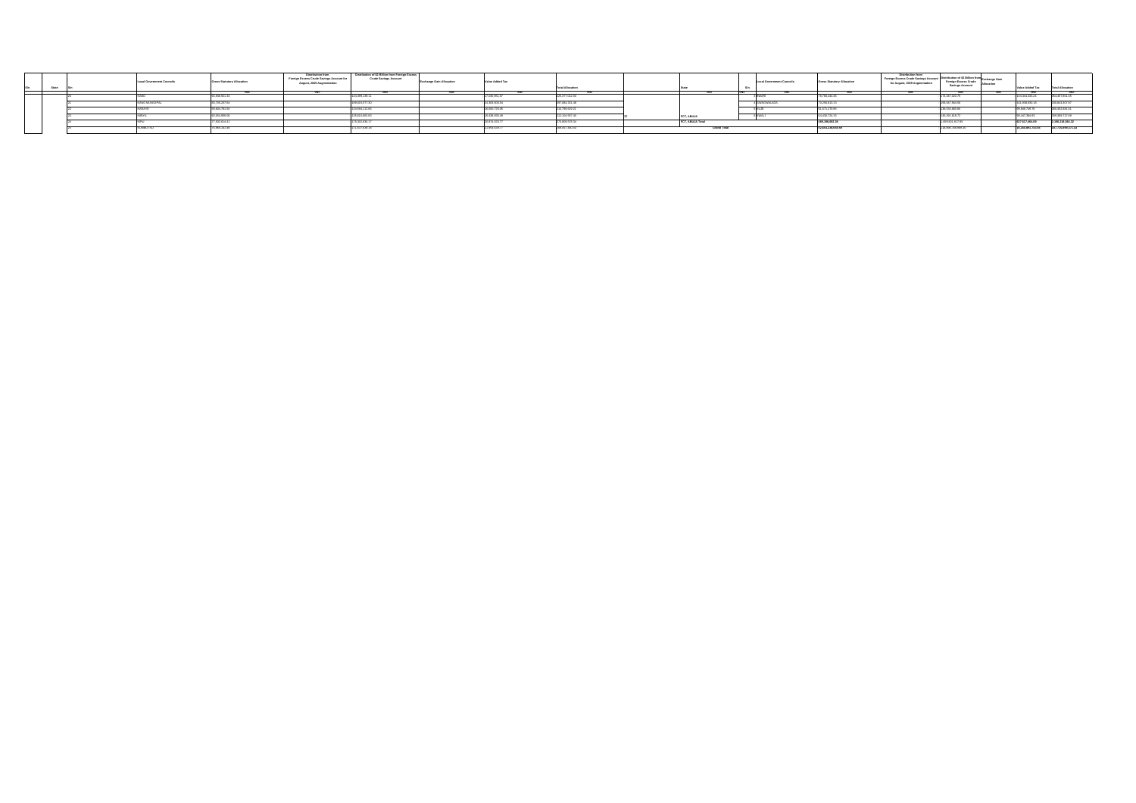| State | <b>Local Government Councils</b> | <b>Gross Statutory Allocation</b> | Distribution from<br>Foreign Excess Crude Savings Account for<br>August, 2003 Augmentation | Distribution of \$2 Billion from Foreign Escess<br>Crude Savings Account | Eschange Gain Allocation | Value Added Tax   | <b>Total Allocation</b> |                    | <b>Local Government Councils</b> | Gross Statutory Allocation | Distribution from<br>Foreign Excess Crude Savings Account<br>for August, 2009 Augmentation | Distribution of \$2 Billion from<br>Foreign Excess Crude<br><b>Savings Account</b> | Exchange 0<br>llocatio | Value Added Tax         | <b>Total Allocation</b> |
|-------|----------------------------------|-----------------------------------|--------------------------------------------------------------------------------------------|--------------------------------------------------------------------------|--------------------------|-------------------|-------------------------|--------------------|----------------------------------|----------------------------|--------------------------------------------------------------------------------------------|------------------------------------------------------------------------------------|------------------------|-------------------------|-------------------------|
|       |                                  |                                   |                                                                                            |                                                                          |                          |                   |                         |                    |                                  |                            |                                                                                            |                                                                                    |                        |                         |                         |
|       |                                  | AT 046,021 TJ                     |                                                                                            | 144399.139.11                                                            |                          | 17.030.951.57     | 225.377.012.0           |                    |                                  | 76.705.444.45              |                                                                                            | 171347.023.75                                                                      |                        | 104 344 333 24          | 154,457,805             |
|       | KANO MUNICIPAL                   | 1205217.6                         |                                                                                            | -109.015.577.30                                                          |                          | THE THEY FIDE FUL | 207.084.321.48          |                    | <b>WAGWALADA</b>                 | 70.256.813.13              |                                                                                            | LINE BAT SEA SE                                                                    |                        | 101.938.930.18          | 330 543 33              |
|       |                                  | 0.004 781 5                       |                                                                                            | -134.594.112.0                                                           |                          | 5.600.725         | 210.799.619.21          |                    |                                  | 571 270 05                 |                                                                                            | - 1130 034 550 BC                                                                  |                        | <b>23 IMA 740 7</b>     |                         |
|       |                                  | 50 054 959 01                     |                                                                                            | $-135.610.662.83$                                                        |                          | 15.438.935.4      | 212.504.557.40          | FCT, ABUJ          |                                  | 64.430.724.15              |                                                                                            | $-145.491.618.72$                                                                  |                        | OD AAT TAL AT           | 309.369.727.69          |
|       |                                  |                                   |                                                                                            |                                                                          |                          |                   | 273.809.578.34          | FCT, ABUJA Tot-    |                                  | 469.198.682.38             |                                                                                            | <b>MG 101 017 851</b>                                                              |                        | 627.517.464.09          | 156,218,064.32          |
|       |                                  | 75.965.161.48                     |                                                                                            | $-171.537.639.18$                                                        |                          | 21.954.639.77     | 209,457,440.43          | <b>Grand Total</b> |                                  | 52.053.238.058.59          |                                                                                            | 118,596,768,969,30                                                                 |                        | $-16, 160, 021, 743.55$ | 187,710,899,371,43      |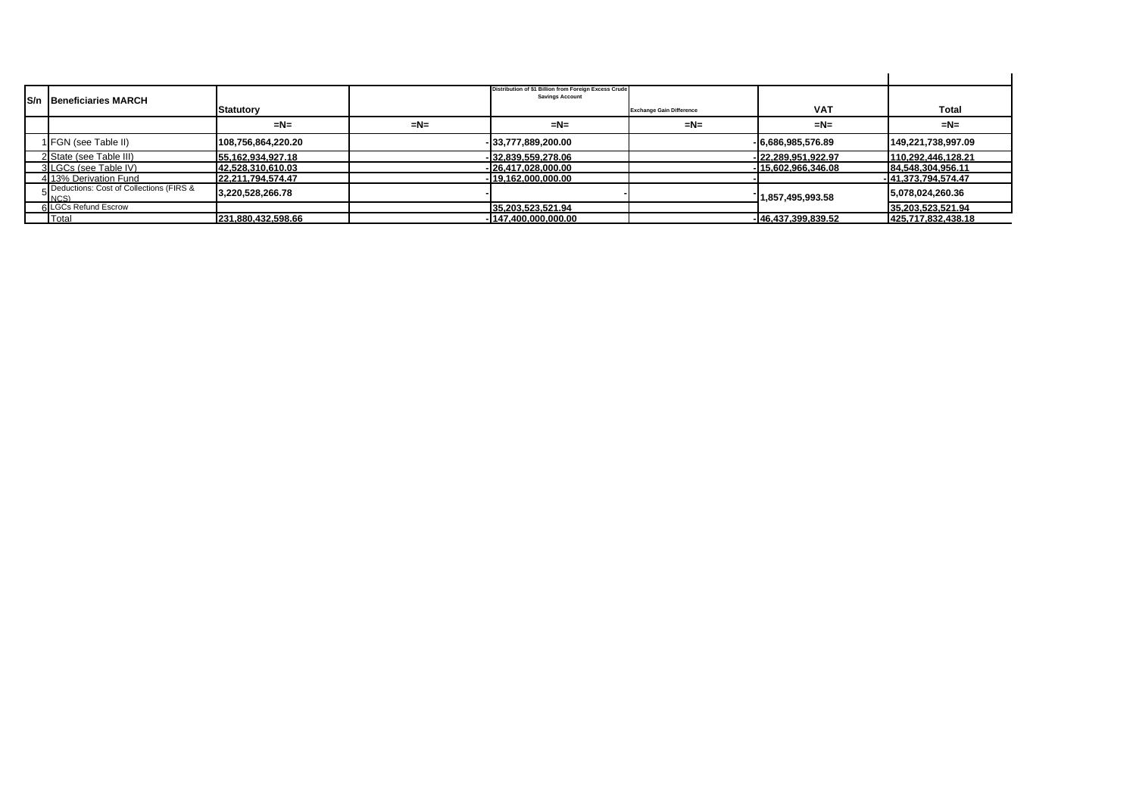|                                                 |                    |       | Distribution of \$1 Billion from Foreign Excess Crude<br><b>Savings Account</b> |                                 |                       |                       |
|-------------------------------------------------|--------------------|-------|---------------------------------------------------------------------------------|---------------------------------|-----------------------|-----------------------|
| <b>S/n Beneficiaries MARCH</b>                  |                    |       |                                                                                 |                                 |                       |                       |
|                                                 | <b>Statutory</b>   |       |                                                                                 | <b>Exchange Gain Difference</b> | <b>VAT</b>            | <b>Total</b>          |
|                                                 | $=N=$              | $=N=$ | $=N=$                                                                           | $=N=$                           | $=N=$                 | $=N=$                 |
| 1 FGN (see Table II)                            | 108,756,864,220.20 |       | - 33,777,889,200.00                                                             |                                 | - 6,686,985,576.89    | 149,221,738,997.09    |
| 2 State (see Table III)                         | 55.162.934.927.18  |       | $-132.839.559.278.06$                                                           |                                 | - 22.289.951.922.97   | 110.292.446.128.21    |
| 3 LGCs (see Table IV)                           | 42.528.310.610.03  |       | - 26.417.028.000.00                                                             |                                 | $-115.602.966.346.08$ | 84.548.304.956.11     |
| 413% Derivation Fund                            | 22.211.794.574.47  |       | $-119.162.000.000.00$                                                           |                                 |                       | $-141,373,794,574.47$ |
| Deductions: Cost of Collections (FIRS &<br>NCS) | 3,220,528,266.78   |       |                                                                                 |                                 | 1.857.495.993.58      | 5,078,024,260.36      |
| 6 LGCs Refund Escrow                            |                    |       | 135.203.523.521.94                                                              |                                 |                       | 35.203.523.521.94     |
| Total                                           | 231.880.432.598.66 |       | -147,400,000,000.00                                                             |                                 | $-146,437,399,839.52$ | 425,717,832,438.18    |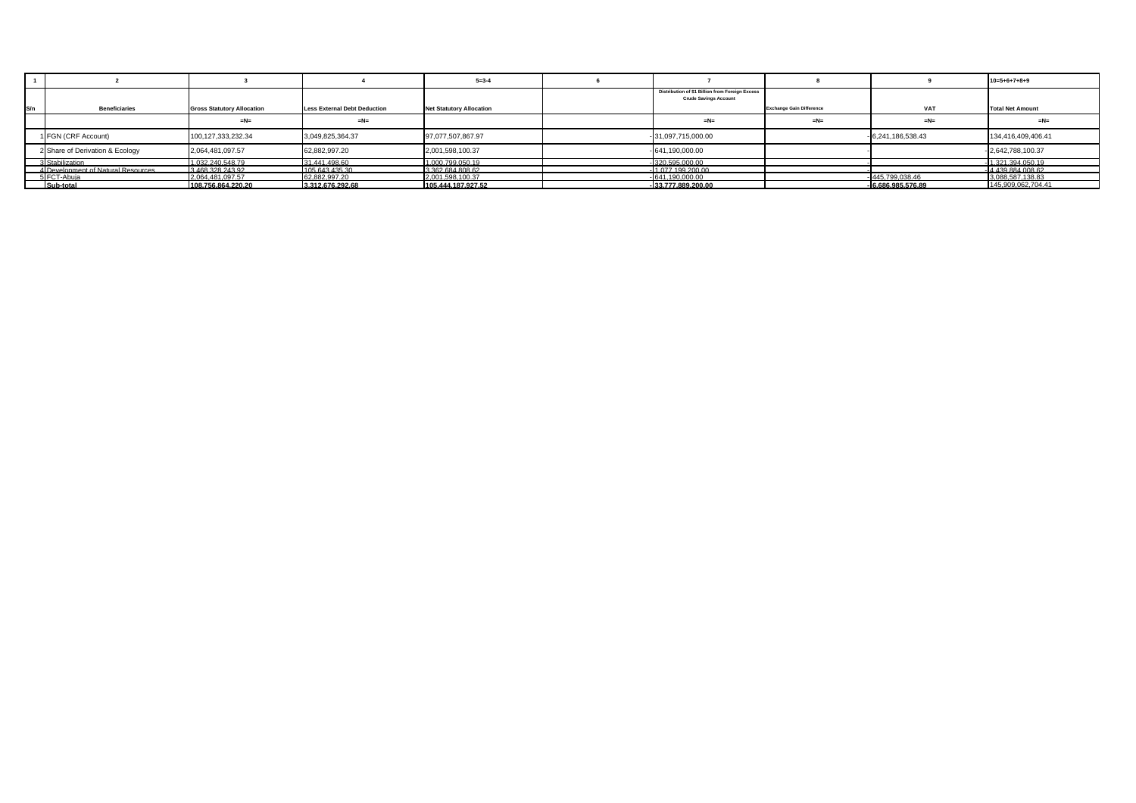|     |                                    |                                   |                                     | $5 = 3 - 4$                     |                                                                                 |                                 |                     | $10=5+6+7+8+9$          |
|-----|------------------------------------|-----------------------------------|-------------------------------------|---------------------------------|---------------------------------------------------------------------------------|---------------------------------|---------------------|-------------------------|
|     |                                    |                                   |                                     |                                 | Distribution of \$1 Billion from Foreign Excess<br><b>Crude Savings Account</b> |                                 |                     |                         |
| S/n | <b>Beneficiaries</b>               | <b>Gross Statutory Allocation</b> | <b>Less External Debt Deduction</b> | <b>Net Statutory Allocation</b> |                                                                                 | <b>Exchange Gain Difference</b> | <b>VAT</b>          | <b>Total Net Amount</b> |
|     |                                    | $=N=$                             | $=N=$                               |                                 | $=N=$                                                                           | $=N=$                           | $=N=$               |                         |
|     | FGN (CRF Account)                  | 100,127,333,232.34                | 3,049,825,364.37                    | 97,077,507,867.97               | $-31,097,715,000.00$                                                            |                                 | $-6,241,186,538.43$ | 134,416,409,406.41      |
|     | 2 Share of Derivation & Ecology    | 2,064,481,097.57                  | 62,882,997.20                       | 2,001,598,100.37                | 641,190,000.00                                                                  |                                 |                     | $-2,642,788,100.37$     |
|     | 3 Stabilization                    | 1 032 240 548 79                  | 31 441 498 60                       | 1 000 799 050 19                | $-320.595.000.00$                                                               |                                 |                     | 1 321 394 050 19        |
|     | 4 Development of Natural Resources | 3 468 328 243 92                  | 105 643 435 30                      | 3 362 684 808 62                | $-1.077$ 199.200.00                                                             |                                 |                     | - 4 439 884 008 62      |
|     | 5 FCT-Abuja                        | 2,064,481,097.57                  | 62,882,997.20                       | 2,001,598,100.37                | 641,190,000.00                                                                  |                                 | -445,799,038.46     | 3,088,587,138.83        |
|     | Sub-total                          | 108.756.864.220.20                | 3.312.676.292.68                    | 105.444.187.927.52              | -33.777.889.200.00                                                              |                                 | $-6.686.985.576.89$ | 145,909,062,704.41      |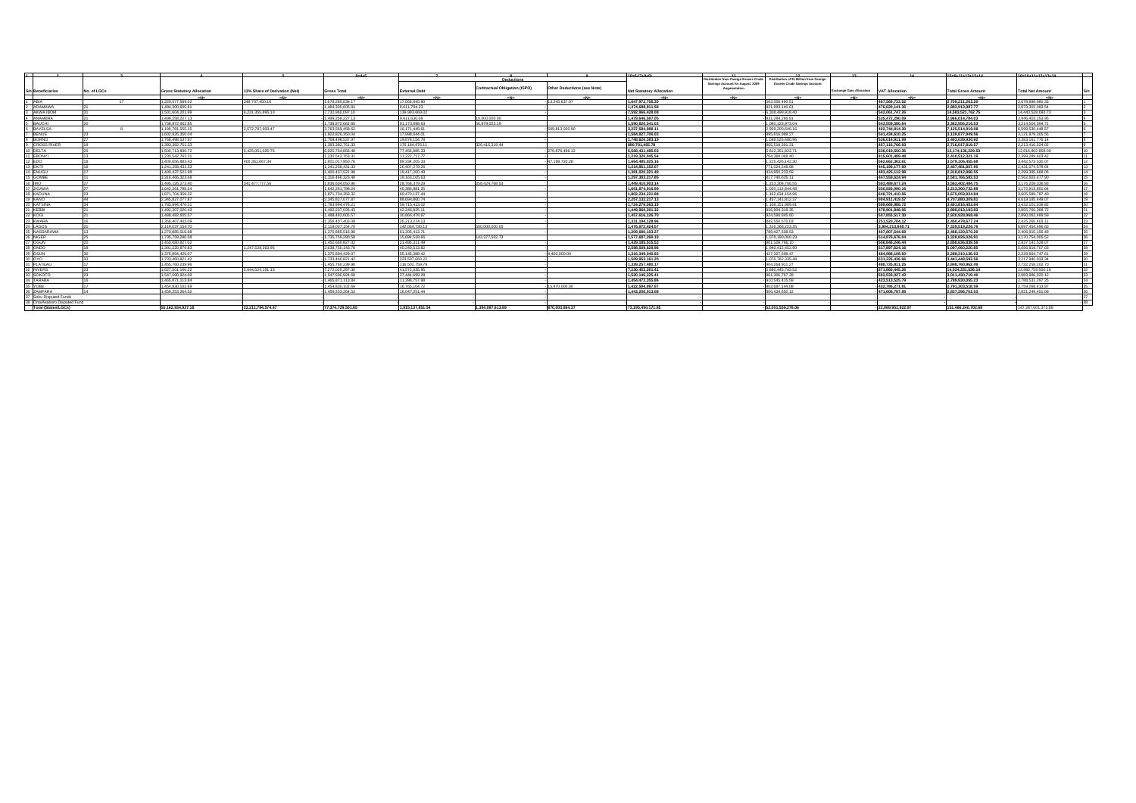| stribution from Foreign Excess Crude Distribution of \$1 Billion from Foreign<br>Excess Crude Savings Account<br>Savings Account for August, 2009<br><b>Contractual Obligation (ISPO)</b><br><b>Other Deductions (see Note)</b><br>Augmentation<br><b>Net Statutory Allocation</b><br><b>Total Gross Amount</b><br><b>Total Net Amount</b><br>No. of LGCs<br><b>Gross Statutory Allocation</b><br>13% Share of Derivation (Net)<br>Exchange Gain Allocation VAT Allocation<br>In Beneficiaries<br>Gross Total<br><b>External Debt</b><br>1.647.972.756.30<br><b>ARIA</b><br>329 577 589 02<br>348 707 450 16<br>7 ORR R45 80<br>13 245 637 07<br>467,569,733,52<br>1 678 285 039 17<br>ER 095 356 290 F1<br>2.709.211.263.20<br>2 678 898 980 33<br>17<br><b>ADAMAWA</b><br>484 300 605 81<br>1484 300 605 81<br>9.611.794.23<br>1.474.688.811.58<br>921.993.140.61<br>476.620.141.36<br>2,882.913,887.77<br>2.873.302.093.54<br>732 980 097 10<br>139.993.669.02<br>7.592.966.428.08<br>14.583.521.762.75<br><b>AKWA IBOM</b><br>501 604 201 99<br>231 355 895 10<br>6.308.499.918.40<br>542.061.747.26<br>14 443 528 093 73<br>9.611.630.08<br>1.479.646.597.05<br>ANAMBRA<br>.499.258.227.13<br>1.499.258.227.13<br>10.000.000.00<br>931.284.266.81<br>535.472.290.09<br>1966.014.784.03<br>946 403 153 95<br>RAUCHL<br>738 872 662 85<br>738 872 662 85<br>11 173 098 63<br>56 879 023 19<br>1.590.820.541.03<br>1 080 123 973 04<br>543 559 580 64<br>3.362.556.216.53<br>3 214 504 094 71<br>16 171 449 61<br>3.237.584.988.11<br>2 959 200 646 16<br>190 781 555 15<br>572 787 903 47<br>763 569 458 62<br>509 813 020 90<br>402 744 814 30<br>125.514.919.08<br>599 530 448 57<br><b>BENUE</b><br>1 602 826 350 04<br>7 998 644 01<br>1.584.827.706.03<br>995 616 989 27<br>3.139.877.949.56<br>3.121.879.305.55<br>602 826 350 04<br>541 434 610 25<br><b>BORNO</b><br>768 498 537 97<br>1.748.620.383.19<br>768 498 537 97<br>19 878 154 78<br>1.098.526.480.96<br>536.014.911.99<br>\$6,029,930.92<br>3.383.161.776.14<br>890.781.455.78<br><b>CROSS RIVER</b><br>1.393.382.751.33<br>457.116.766.93<br>1716.017.819.57<br>393.382.751.33<br>76.184.976.11<br>865.518.301.31<br>2.213.416.524.02<br>326 416 319 44<br>7,456,885,33<br>6.568.431.485.03<br>636.019.550.35<br>13.174.136.229.53<br>500.713.830.72<br>425.051.025.76<br>3.925.764.856.48<br>279.876.486.12<br>5.612.351.822.71<br>12.816.802.858.09<br>11.222.717.77<br>1.230.542.763.31<br>1.230.542.763.31<br>$-1.219.320.045.54$<br>764 368 068 40<br>2.410.512.321.19<br>2.399.289.603.42<br>415.601.489.48<br>12 EDO<br>89.334.205.33<br>1.664.485.025.16<br>400 656 883 43<br>00.381.067.34<br>1.801.017.950.76<br>17.198.720.28<br>1.215.426.142.30<br>562.662.362.61<br>1,579.106.455.68<br>3.442.573.530.07<br>26.407.279.26<br>1.214.851.152.07<br>771.024.248.68<br>445.199.177.90<br>2,457,481,857,90<br>1.241.258.431.33<br>1.241.258.431.33<br>2.431.074.578.64<br>1,400,437.521.98<br>19,417,200.49<br>2.318.812.868.55<br>14 ENUGU<br>.400.437.521.98<br>$-1.381.020.321.49$<br>434.950.233.59<br>483.425.112.98<br>2.299.395.668.06<br>5 GOMBE<br>1.316.466.323.48<br>19.163.105.63<br>1.297.303.217.85<br>817.740.635.11<br>2.581.766.583.53<br>2.562.603.477.90<br>316.466.323.48<br>447.559.624.94<br>341 477 777 56<br>28.768.379.29<br>1.449.410.903.14<br>.495.126.273.40<br>1.836.604.050.96<br>358 424 768 53<br>1.223.308.756.55<br>503.489.677.24<br>3.563.402.484.75<br>3.176.209.336.93<br>17 JIGAWA<br>40 386 881 25<br>3.213.300.732.89<br>642 261 798 24<br>1 642 261 798 24<br>1.601.874.916.99<br>102011284448<br>550 926 090 16<br>3 172 913 851 64<br>18 KADUNA<br>$-1.802.234.221.88$<br>871 704 359 32<br>187170435932<br>9 470 137 44<br>1 162 634 154 96<br>640.721.410.56<br>675 059 924 84<br>3 605 589 787 40<br>19 KANO<br>345 827 077 87<br>88 694 860 74<br>$-2.257.132.217.13$<br>904 911 419 57<br>4 707 880 309 81<br>345 827 077 87<br>1 457 141 812 37<br>4 619 185 449 07<br>20 KATSINA<br>59.715.413.02<br>783 994 476 21<br>78399447621<br>1.724.279.063.19<br>1.108.151.989.91<br>599 669 986 72<br>3.491.816.452.84<br>3.432.101.039.82<br>21 KEBBI<br>42 246 825 11<br>1.449.960.201.32<br>478 901 848 06<br>898 013 193 83<br>492 207 026 43<br>1 492 207 026 43<br>926 904 319 35<br>2 855 766 368 72<br>507 855 517 30<br>22 KOGI<br>488 482 605 57<br>1 488 482 605 57<br>30 866 478 87<br>1.457.616.126.70<br>924 590 845 60<br>1920.928.968.46<br>2 890 062 489 59<br>356 407 403 09<br>25 213 274 13<br>$-1.331.194.128.96$<br>842 550 570 03<br>251.520.704.12<br>1.356.407.403.09<br>2.450.478.677.24<br>2 425 265 403 11<br>24 LAGOS<br>142 064 730 13<br>119 037 154 70<br>119 037 154 70<br>500.000.000.00<br>1.476.972.424.57<br>1.316.268.223.35<br>3.904.213.848.7<br>339.519.226.76<br>6 697 454 496 63<br>25 NASSARAWA<br>270 885 516 98<br>1270 885 516 98<br>81 205 413 71<br>1.209.680.103.27<br>789 427 508 53<br>407 807 544 69<br>468 120 570 20<br>2 406 915 156 49<br>26 NIGER<br>1.577.687.269.19<br>735 759 290 58<br>1 735 759 290 58<br>38 813 893 31<br>142 377 502 73<br>1.078.190.060.29<br>514 876 676 04<br>1228 826 026 91<br>3 170 754 005 52<br>27 OGUN<br>450 680 827 02<br>21,495,311.49<br>1.429.185.515.53<br>901.109.766.10<br>506.846.246.44<br>1,450,680,827.02<br>1,858,636,839.56<br>2.837.141.528.07<br>5.097.060.220.85<br>28 ONDO<br>.391.220.879.83<br>247.529.263.95<br>2.638.750.143.78<br>2.598.509.629.96<br>517.897.624.16<br>40.240.513.82<br>1.940.412.452.90<br>5.056.819.707.03<br>29 OSUN<br>.375.894.429.07<br>1.375.894.429.07<br>55.145.388.42<br>4.400.000.00<br>1.316.349.040.65<br>427.327.598.47<br>484.988.108.50<br>2,288.210.136.03<br>2.228.664.747.61<br>30 OYO<br>223.507.660.22<br>$-1.509.953.161.20$<br>.733.460.821.42<br>1.733.460.821.42<br>1.076.762.335.48<br>631.225.436.66<br>3.441.448.593.56<br>3.217.940.933.34<br>31 PLATEAU<br>16.502.759.79<br>2.848.760.962.49<br>1.455.760.239.96<br>1.455.760.239.96<br>1.339.257.480.17<br>904.264.911.27<br>488.735.811.25<br>2.732.258.202.70<br>41.572.035.95<br>32 RIVERS<br>627 501 106 22<br>7.272.025.297.36<br>7.230.453.261.41<br>5 880 445 793 52<br>871 860 445 26<br>14.024.331.536.14<br>13 982 759 500 19<br>644 524 191 13<br>33 SOKOTO<br>7,444,699.28<br>$-1.520.146.225.41$<br>502.533.027.43<br>2 983 986 020 12<br>547 590 924 69<br>1.547.590.924.69<br>961 306 767 28<br>3.011.430.719.40<br>34 TARABA<br>11.398.757.98<br>.465.871.113.84<br>1,465,871,113,84<br>$-1.454.472.355.86$<br>910.545.415.59<br>423.513.525.79<br>2.799.930.055.23<br>2.788.531.297.25<br>35 YOBE<br>16.765.104.72<br>1.422.594.997.97<br>432.786.271.81<br>2.791.303.518.59<br>454 830 102 69<br>454 830 102 89<br>15.470.000.00<br>903 687 144 08<br>2759.068.413.87<br>36 ZAMFARA<br>16.047.251.44<br>471.608.787.89<br>459.253.264.52<br>1.459.253.264.52<br>1.443.206.013.08<br>906.434.650.12<br>2.837.296.702.53<br>2.821.249.451.09<br>17 Soku Disputed Funds<br>38 Ona/Asaboro Disputed Fund |                     |                  |                   | $6 - 4 - 5$       |                  |                  |                | $10 - 6 - (7 + 8 + 9)$ |                   | $\overline{11}$ | $\overline{14}$   | 15-6+11+12+13+14  | 16-10-11-12-13-14  |  |
|----------------------------------------------------------------------------------------------------------------------------------------------------------------------------------------------------------------------------------------------------------------------------------------------------------------------------------------------------------------------------------------------------------------------------------------------------------------------------------------------------------------------------------------------------------------------------------------------------------------------------------------------------------------------------------------------------------------------------------------------------------------------------------------------------------------------------------------------------------------------------------------------------------------------------------------------------------------------------------------------------------------------------------------------------------------------------------------------------------------------------------------------------------------------------------------------------------------------------------------------------------------------------------------------------------------------------------------------------------------------------------------------------------------------------------------------------------------------------------------------------------------------------------------------------------------------------------------------------------------------------------------------------------------------------------------------------------------------------------------------------------------------------------------------------------------------------------------------------------------------------------------------------------------------------------------------------------------------------------------------------------------------------------------------------------------------------------------------------------------------------------------------------------------------------------------------------------------------------------------------------------------------------------------------------------------------------------------------------------------------------------------------------------------------------------------------------------------------------------------------------------------------------------------------------------------------------------------------------------------------------------------------------------------------------------------------------------------------------------------------------------------------------------------------------------------------------------------------------------------------------------------------------------------------------------------------------------------------------------------------------------------------------------------------------------------------------------------------------------------------------------------------------------------------------------------------------------------------------------------------------------------------------------------------------------------------------------------------------------------------------------------------------------------------------------------------------------------------------------------------------------------------------------------------------------------------------------------------------------------------------------------------------------------------------------------------------------------------------------------------------------------------------------------------------------------------------------------------------------------------------------------------------------------------------------------------------------------------------------------------------------------------------------------------------------------------------------------------------------------------------------------------------------------------------------------------------------------------------------------------------------------------------------------------------------------------------------------------------------------------------------------------------------------------------------------------------------------------------------------------------------------------------------------------------------------------------------------------------------------------------------------------------------------------------------------------------------------------------------------------------------------------------------------------------------------------------------------------------------------------------------------------------------------------------------------------------------------------------------------------------------------------------------------------------------------------------------------------------------------------------------------------------------------------------------------------------------------------------------------------------------------------------------------------------------------------------------------------------------------------------------------------------------------------------------------------------------------------------------------------------------------------------------------------------------------------------------------------------------------------------------------------------------------------------------------------------------------------------------------------------------------------------------------------------------------------------------------------------------------------------------------------------------------------------------------------------------------------------------------------------------------------------------------------------------------------------------------------------------------------------------------------------------------------------------------------------------------------------------------------------------------------------------------------------------------------------------------------------------------------------------------------------------------------------------------------------------------------------------------------------------------------------------------------------------------------------------------------------------------------------------------------------------------------------------------------------------------------------------------------------------------------------------------------------------------------------------------------------------------------------------------------------------------------------------------------------------------------------------------------------------------------------------------------------------------------|---------------------|------------------|-------------------|-------------------|------------------|------------------|----------------|------------------------|-------------------|-----------------|-------------------|-------------------|--------------------|--|
|                                                                                                                                                                                                                                                                                                                                                                                                                                                                                                                                                                                                                                                                                                                                                                                                                                                                                                                                                                                                                                                                                                                                                                                                                                                                                                                                                                                                                                                                                                                                                                                                                                                                                                                                                                                                                                                                                                                                                                                                                                                                                                                                                                                                                                                                                                                                                                                                                                                                                                                                                                                                                                                                                                                                                                                                                                                                                                                                                                                                                                                                                                                                                                                                                                                                                                                                                                                                                                                                                                                                                                                                                                                                                                                                                                                                                                                                                                                                                                                                                                                                                                                                                                                                                                                                                                                                                                                                                                                                                                                                                                                                                                                                                                                                                                                                                                                                                                                                                                                                                                                                                                                                                                                                                                                                                                                                                                                                                                                                                                                                                                                                                                                                                                                                                                                                                                                                                                                                                                                                                                                                                                                                                                                                                                                                                                                                                                                                                                                                                                                                                                                                                                                                                                                                                                                                                                                                                                                                                                                                                                                                      |                     |                  |                   |                   |                  |                  |                |                        |                   |                 |                   |                   |                    |  |
|                                                                                                                                                                                                                                                                                                                                                                                                                                                                                                                                                                                                                                                                                                                                                                                                                                                                                                                                                                                                                                                                                                                                                                                                                                                                                                                                                                                                                                                                                                                                                                                                                                                                                                                                                                                                                                                                                                                                                                                                                                                                                                                                                                                                                                                                                                                                                                                                                                                                                                                                                                                                                                                                                                                                                                                                                                                                                                                                                                                                                                                                                                                                                                                                                                                                                                                                                                                                                                                                                                                                                                                                                                                                                                                                                                                                                                                                                                                                                                                                                                                                                                                                                                                                                                                                                                                                                                                                                                                                                                                                                                                                                                                                                                                                                                                                                                                                                                                                                                                                                                                                                                                                                                                                                                                                                                                                                                                                                                                                                                                                                                                                                                                                                                                                                                                                                                                                                                                                                                                                                                                                                                                                                                                                                                                                                                                                                                                                                                                                                                                                                                                                                                                                                                                                                                                                                                                                                                                                                                                                                                                                      |                     |                  |                   |                   |                  |                  |                |                        |                   |                 |                   |                   |                    |  |
|                                                                                                                                                                                                                                                                                                                                                                                                                                                                                                                                                                                                                                                                                                                                                                                                                                                                                                                                                                                                                                                                                                                                                                                                                                                                                                                                                                                                                                                                                                                                                                                                                                                                                                                                                                                                                                                                                                                                                                                                                                                                                                                                                                                                                                                                                                                                                                                                                                                                                                                                                                                                                                                                                                                                                                                                                                                                                                                                                                                                                                                                                                                                                                                                                                                                                                                                                                                                                                                                                                                                                                                                                                                                                                                                                                                                                                                                                                                                                                                                                                                                                                                                                                                                                                                                                                                                                                                                                                                                                                                                                                                                                                                                                                                                                                                                                                                                                                                                                                                                                                                                                                                                                                                                                                                                                                                                                                                                                                                                                                                                                                                                                                                                                                                                                                                                                                                                                                                                                                                                                                                                                                                                                                                                                                                                                                                                                                                                                                                                                                                                                                                                                                                                                                                                                                                                                                                                                                                                                                                                                                                                      |                     |                  |                   |                   |                  |                  |                |                        |                   |                 |                   |                   |                    |  |
|                                                                                                                                                                                                                                                                                                                                                                                                                                                                                                                                                                                                                                                                                                                                                                                                                                                                                                                                                                                                                                                                                                                                                                                                                                                                                                                                                                                                                                                                                                                                                                                                                                                                                                                                                                                                                                                                                                                                                                                                                                                                                                                                                                                                                                                                                                                                                                                                                                                                                                                                                                                                                                                                                                                                                                                                                                                                                                                                                                                                                                                                                                                                                                                                                                                                                                                                                                                                                                                                                                                                                                                                                                                                                                                                                                                                                                                                                                                                                                                                                                                                                                                                                                                                                                                                                                                                                                                                                                                                                                                                                                                                                                                                                                                                                                                                                                                                                                                                                                                                                                                                                                                                                                                                                                                                                                                                                                                                                                                                                                                                                                                                                                                                                                                                                                                                                                                                                                                                                                                                                                                                                                                                                                                                                                                                                                                                                                                                                                                                                                                                                                                                                                                                                                                                                                                                                                                                                                                                                                                                                                                                      |                     |                  |                   |                   |                  |                  |                |                        |                   |                 |                   |                   |                    |  |
|                                                                                                                                                                                                                                                                                                                                                                                                                                                                                                                                                                                                                                                                                                                                                                                                                                                                                                                                                                                                                                                                                                                                                                                                                                                                                                                                                                                                                                                                                                                                                                                                                                                                                                                                                                                                                                                                                                                                                                                                                                                                                                                                                                                                                                                                                                                                                                                                                                                                                                                                                                                                                                                                                                                                                                                                                                                                                                                                                                                                                                                                                                                                                                                                                                                                                                                                                                                                                                                                                                                                                                                                                                                                                                                                                                                                                                                                                                                                                                                                                                                                                                                                                                                                                                                                                                                                                                                                                                                                                                                                                                                                                                                                                                                                                                                                                                                                                                                                                                                                                                                                                                                                                                                                                                                                                                                                                                                                                                                                                                                                                                                                                                                                                                                                                                                                                                                                                                                                                                                                                                                                                                                                                                                                                                                                                                                                                                                                                                                                                                                                                                                                                                                                                                                                                                                                                                                                                                                                                                                                                                                                      |                     |                  |                   |                   |                  |                  |                |                        |                   |                 |                   |                   |                    |  |
|                                                                                                                                                                                                                                                                                                                                                                                                                                                                                                                                                                                                                                                                                                                                                                                                                                                                                                                                                                                                                                                                                                                                                                                                                                                                                                                                                                                                                                                                                                                                                                                                                                                                                                                                                                                                                                                                                                                                                                                                                                                                                                                                                                                                                                                                                                                                                                                                                                                                                                                                                                                                                                                                                                                                                                                                                                                                                                                                                                                                                                                                                                                                                                                                                                                                                                                                                                                                                                                                                                                                                                                                                                                                                                                                                                                                                                                                                                                                                                                                                                                                                                                                                                                                                                                                                                                                                                                                                                                                                                                                                                                                                                                                                                                                                                                                                                                                                                                                                                                                                                                                                                                                                                                                                                                                                                                                                                                                                                                                                                                                                                                                                                                                                                                                                                                                                                                                                                                                                                                                                                                                                                                                                                                                                                                                                                                                                                                                                                                                                                                                                                                                                                                                                                                                                                                                                                                                                                                                                                                                                                                                      |                     |                  |                   |                   |                  |                  |                |                        |                   |                 |                   |                   |                    |  |
|                                                                                                                                                                                                                                                                                                                                                                                                                                                                                                                                                                                                                                                                                                                                                                                                                                                                                                                                                                                                                                                                                                                                                                                                                                                                                                                                                                                                                                                                                                                                                                                                                                                                                                                                                                                                                                                                                                                                                                                                                                                                                                                                                                                                                                                                                                                                                                                                                                                                                                                                                                                                                                                                                                                                                                                                                                                                                                                                                                                                                                                                                                                                                                                                                                                                                                                                                                                                                                                                                                                                                                                                                                                                                                                                                                                                                                                                                                                                                                                                                                                                                                                                                                                                                                                                                                                                                                                                                                                                                                                                                                                                                                                                                                                                                                                                                                                                                                                                                                                                                                                                                                                                                                                                                                                                                                                                                                                                                                                                                                                                                                                                                                                                                                                                                                                                                                                                                                                                                                                                                                                                                                                                                                                                                                                                                                                                                                                                                                                                                                                                                                                                                                                                                                                                                                                                                                                                                                                                                                                                                                                                      |                     |                  |                   |                   |                  |                  |                |                        |                   |                 |                   |                   |                    |  |
|                                                                                                                                                                                                                                                                                                                                                                                                                                                                                                                                                                                                                                                                                                                                                                                                                                                                                                                                                                                                                                                                                                                                                                                                                                                                                                                                                                                                                                                                                                                                                                                                                                                                                                                                                                                                                                                                                                                                                                                                                                                                                                                                                                                                                                                                                                                                                                                                                                                                                                                                                                                                                                                                                                                                                                                                                                                                                                                                                                                                                                                                                                                                                                                                                                                                                                                                                                                                                                                                                                                                                                                                                                                                                                                                                                                                                                                                                                                                                                                                                                                                                                                                                                                                                                                                                                                                                                                                                                                                                                                                                                                                                                                                                                                                                                                                                                                                                                                                                                                                                                                                                                                                                                                                                                                                                                                                                                                                                                                                                                                                                                                                                                                                                                                                                                                                                                                                                                                                                                                                                                                                                                                                                                                                                                                                                                                                                                                                                                                                                                                                                                                                                                                                                                                                                                                                                                                                                                                                                                                                                                                                      |                     |                  |                   |                   |                  |                  |                |                        |                   |                 |                   |                   |                    |  |
|                                                                                                                                                                                                                                                                                                                                                                                                                                                                                                                                                                                                                                                                                                                                                                                                                                                                                                                                                                                                                                                                                                                                                                                                                                                                                                                                                                                                                                                                                                                                                                                                                                                                                                                                                                                                                                                                                                                                                                                                                                                                                                                                                                                                                                                                                                                                                                                                                                                                                                                                                                                                                                                                                                                                                                                                                                                                                                                                                                                                                                                                                                                                                                                                                                                                                                                                                                                                                                                                                                                                                                                                                                                                                                                                                                                                                                                                                                                                                                                                                                                                                                                                                                                                                                                                                                                                                                                                                                                                                                                                                                                                                                                                                                                                                                                                                                                                                                                                                                                                                                                                                                                                                                                                                                                                                                                                                                                                                                                                                                                                                                                                                                                                                                                                                                                                                                                                                                                                                                                                                                                                                                                                                                                                                                                                                                                                                                                                                                                                                                                                                                                                                                                                                                                                                                                                                                                                                                                                                                                                                                                                      |                     |                  |                   |                   |                  |                  |                |                        |                   |                 |                   |                   |                    |  |
|                                                                                                                                                                                                                                                                                                                                                                                                                                                                                                                                                                                                                                                                                                                                                                                                                                                                                                                                                                                                                                                                                                                                                                                                                                                                                                                                                                                                                                                                                                                                                                                                                                                                                                                                                                                                                                                                                                                                                                                                                                                                                                                                                                                                                                                                                                                                                                                                                                                                                                                                                                                                                                                                                                                                                                                                                                                                                                                                                                                                                                                                                                                                                                                                                                                                                                                                                                                                                                                                                                                                                                                                                                                                                                                                                                                                                                                                                                                                                                                                                                                                                                                                                                                                                                                                                                                                                                                                                                                                                                                                                                                                                                                                                                                                                                                                                                                                                                                                                                                                                                                                                                                                                                                                                                                                                                                                                                                                                                                                                                                                                                                                                                                                                                                                                                                                                                                                                                                                                                                                                                                                                                                                                                                                                                                                                                                                                                                                                                                                                                                                                                                                                                                                                                                                                                                                                                                                                                                                                                                                                                                                      | 6 BAYELSA           |                  |                   |                   |                  |                  |                |                        |                   |                 |                   |                   |                    |  |
|                                                                                                                                                                                                                                                                                                                                                                                                                                                                                                                                                                                                                                                                                                                                                                                                                                                                                                                                                                                                                                                                                                                                                                                                                                                                                                                                                                                                                                                                                                                                                                                                                                                                                                                                                                                                                                                                                                                                                                                                                                                                                                                                                                                                                                                                                                                                                                                                                                                                                                                                                                                                                                                                                                                                                                                                                                                                                                                                                                                                                                                                                                                                                                                                                                                                                                                                                                                                                                                                                                                                                                                                                                                                                                                                                                                                                                                                                                                                                                                                                                                                                                                                                                                                                                                                                                                                                                                                                                                                                                                                                                                                                                                                                                                                                                                                                                                                                                                                                                                                                                                                                                                                                                                                                                                                                                                                                                                                                                                                                                                                                                                                                                                                                                                                                                                                                                                                                                                                                                                                                                                                                                                                                                                                                                                                                                                                                                                                                                                                                                                                                                                                                                                                                                                                                                                                                                                                                                                                                                                                                                                                      |                     |                  |                   |                   |                  |                  |                |                        |                   |                 |                   |                   |                    |  |
|                                                                                                                                                                                                                                                                                                                                                                                                                                                                                                                                                                                                                                                                                                                                                                                                                                                                                                                                                                                                                                                                                                                                                                                                                                                                                                                                                                                                                                                                                                                                                                                                                                                                                                                                                                                                                                                                                                                                                                                                                                                                                                                                                                                                                                                                                                                                                                                                                                                                                                                                                                                                                                                                                                                                                                                                                                                                                                                                                                                                                                                                                                                                                                                                                                                                                                                                                                                                                                                                                                                                                                                                                                                                                                                                                                                                                                                                                                                                                                                                                                                                                                                                                                                                                                                                                                                                                                                                                                                                                                                                                                                                                                                                                                                                                                                                                                                                                                                                                                                                                                                                                                                                                                                                                                                                                                                                                                                                                                                                                                                                                                                                                                                                                                                                                                                                                                                                                                                                                                                                                                                                                                                                                                                                                                                                                                                                                                                                                                                                                                                                                                                                                                                                                                                                                                                                                                                                                                                                                                                                                                                                      |                     |                  |                   |                   |                  |                  |                |                        |                   |                 |                   |                   |                    |  |
|                                                                                                                                                                                                                                                                                                                                                                                                                                                                                                                                                                                                                                                                                                                                                                                                                                                                                                                                                                                                                                                                                                                                                                                                                                                                                                                                                                                                                                                                                                                                                                                                                                                                                                                                                                                                                                                                                                                                                                                                                                                                                                                                                                                                                                                                                                                                                                                                                                                                                                                                                                                                                                                                                                                                                                                                                                                                                                                                                                                                                                                                                                                                                                                                                                                                                                                                                                                                                                                                                                                                                                                                                                                                                                                                                                                                                                                                                                                                                                                                                                                                                                                                                                                                                                                                                                                                                                                                                                                                                                                                                                                                                                                                                                                                                                                                                                                                                                                                                                                                                                                                                                                                                                                                                                                                                                                                                                                                                                                                                                                                                                                                                                                                                                                                                                                                                                                                                                                                                                                                                                                                                                                                                                                                                                                                                                                                                                                                                                                                                                                                                                                                                                                                                                                                                                                                                                                                                                                                                                                                                                                                      |                     |                  |                   |                   |                  |                  |                |                        |                   |                 |                   |                   |                    |  |
|                                                                                                                                                                                                                                                                                                                                                                                                                                                                                                                                                                                                                                                                                                                                                                                                                                                                                                                                                                                                                                                                                                                                                                                                                                                                                                                                                                                                                                                                                                                                                                                                                                                                                                                                                                                                                                                                                                                                                                                                                                                                                                                                                                                                                                                                                                                                                                                                                                                                                                                                                                                                                                                                                                                                                                                                                                                                                                                                                                                                                                                                                                                                                                                                                                                                                                                                                                                                                                                                                                                                                                                                                                                                                                                                                                                                                                                                                                                                                                                                                                                                                                                                                                                                                                                                                                                                                                                                                                                                                                                                                                                                                                                                                                                                                                                                                                                                                                                                                                                                                                                                                                                                                                                                                                                                                                                                                                                                                                                                                                                                                                                                                                                                                                                                                                                                                                                                                                                                                                                                                                                                                                                                                                                                                                                                                                                                                                                                                                                                                                                                                                                                                                                                                                                                                                                                                                                                                                                                                                                                                                                                      | 10 DELTA            |                  |                   |                   |                  |                  |                |                        |                   |                 |                   |                   |                    |  |
|                                                                                                                                                                                                                                                                                                                                                                                                                                                                                                                                                                                                                                                                                                                                                                                                                                                                                                                                                                                                                                                                                                                                                                                                                                                                                                                                                                                                                                                                                                                                                                                                                                                                                                                                                                                                                                                                                                                                                                                                                                                                                                                                                                                                                                                                                                                                                                                                                                                                                                                                                                                                                                                                                                                                                                                                                                                                                                                                                                                                                                                                                                                                                                                                                                                                                                                                                                                                                                                                                                                                                                                                                                                                                                                                                                                                                                                                                                                                                                                                                                                                                                                                                                                                                                                                                                                                                                                                                                                                                                                                                                                                                                                                                                                                                                                                                                                                                                                                                                                                                                                                                                                                                                                                                                                                                                                                                                                                                                                                                                                                                                                                                                                                                                                                                                                                                                                                                                                                                                                                                                                                                                                                                                                                                                                                                                                                                                                                                                                                                                                                                                                                                                                                                                                                                                                                                                                                                                                                                                                                                                                                      | 11 FRONYL           |                  |                   |                   |                  |                  |                |                        |                   |                 |                   |                   |                    |  |
|                                                                                                                                                                                                                                                                                                                                                                                                                                                                                                                                                                                                                                                                                                                                                                                                                                                                                                                                                                                                                                                                                                                                                                                                                                                                                                                                                                                                                                                                                                                                                                                                                                                                                                                                                                                                                                                                                                                                                                                                                                                                                                                                                                                                                                                                                                                                                                                                                                                                                                                                                                                                                                                                                                                                                                                                                                                                                                                                                                                                                                                                                                                                                                                                                                                                                                                                                                                                                                                                                                                                                                                                                                                                                                                                                                                                                                                                                                                                                                                                                                                                                                                                                                                                                                                                                                                                                                                                                                                                                                                                                                                                                                                                                                                                                                                                                                                                                                                                                                                                                                                                                                                                                                                                                                                                                                                                                                                                                                                                                                                                                                                                                                                                                                                                                                                                                                                                                                                                                                                                                                                                                                                                                                                                                                                                                                                                                                                                                                                                                                                                                                                                                                                                                                                                                                                                                                                                                                                                                                                                                                                                      |                     |                  |                   |                   |                  |                  |                |                        |                   |                 |                   |                   |                    |  |
|                                                                                                                                                                                                                                                                                                                                                                                                                                                                                                                                                                                                                                                                                                                                                                                                                                                                                                                                                                                                                                                                                                                                                                                                                                                                                                                                                                                                                                                                                                                                                                                                                                                                                                                                                                                                                                                                                                                                                                                                                                                                                                                                                                                                                                                                                                                                                                                                                                                                                                                                                                                                                                                                                                                                                                                                                                                                                                                                                                                                                                                                                                                                                                                                                                                                                                                                                                                                                                                                                                                                                                                                                                                                                                                                                                                                                                                                                                                                                                                                                                                                                                                                                                                                                                                                                                                                                                                                                                                                                                                                                                                                                                                                                                                                                                                                                                                                                                                                                                                                                                                                                                                                                                                                                                                                                                                                                                                                                                                                                                                                                                                                                                                                                                                                                                                                                                                                                                                                                                                                                                                                                                                                                                                                                                                                                                                                                                                                                                                                                                                                                                                                                                                                                                                                                                                                                                                                                                                                                                                                                                                                      | 13 EKITI            |                  |                   |                   |                  |                  |                |                        |                   |                 |                   |                   |                    |  |
|                                                                                                                                                                                                                                                                                                                                                                                                                                                                                                                                                                                                                                                                                                                                                                                                                                                                                                                                                                                                                                                                                                                                                                                                                                                                                                                                                                                                                                                                                                                                                                                                                                                                                                                                                                                                                                                                                                                                                                                                                                                                                                                                                                                                                                                                                                                                                                                                                                                                                                                                                                                                                                                                                                                                                                                                                                                                                                                                                                                                                                                                                                                                                                                                                                                                                                                                                                                                                                                                                                                                                                                                                                                                                                                                                                                                                                                                                                                                                                                                                                                                                                                                                                                                                                                                                                                                                                                                                                                                                                                                                                                                                                                                                                                                                                                                                                                                                                                                                                                                                                                                                                                                                                                                                                                                                                                                                                                                                                                                                                                                                                                                                                                                                                                                                                                                                                                                                                                                                                                                                                                                                                                                                                                                                                                                                                                                                                                                                                                                                                                                                                                                                                                                                                                                                                                                                                                                                                                                                                                                                                                                      |                     |                  |                   |                   |                  |                  |                |                        |                   |                 |                   |                   |                    |  |
|                                                                                                                                                                                                                                                                                                                                                                                                                                                                                                                                                                                                                                                                                                                                                                                                                                                                                                                                                                                                                                                                                                                                                                                                                                                                                                                                                                                                                                                                                                                                                                                                                                                                                                                                                                                                                                                                                                                                                                                                                                                                                                                                                                                                                                                                                                                                                                                                                                                                                                                                                                                                                                                                                                                                                                                                                                                                                                                                                                                                                                                                                                                                                                                                                                                                                                                                                                                                                                                                                                                                                                                                                                                                                                                                                                                                                                                                                                                                                                                                                                                                                                                                                                                                                                                                                                                                                                                                                                                                                                                                                                                                                                                                                                                                                                                                                                                                                                                                                                                                                                                                                                                                                                                                                                                                                                                                                                                                                                                                                                                                                                                                                                                                                                                                                                                                                                                                                                                                                                                                                                                                                                                                                                                                                                                                                                                                                                                                                                                                                                                                                                                                                                                                                                                                                                                                                                                                                                                                                                                                                                                                      |                     |                  |                   |                   |                  |                  |                |                        |                   |                 |                   |                   |                    |  |
|                                                                                                                                                                                                                                                                                                                                                                                                                                                                                                                                                                                                                                                                                                                                                                                                                                                                                                                                                                                                                                                                                                                                                                                                                                                                                                                                                                                                                                                                                                                                                                                                                                                                                                                                                                                                                                                                                                                                                                                                                                                                                                                                                                                                                                                                                                                                                                                                                                                                                                                                                                                                                                                                                                                                                                                                                                                                                                                                                                                                                                                                                                                                                                                                                                                                                                                                                                                                                                                                                                                                                                                                                                                                                                                                                                                                                                                                                                                                                                                                                                                                                                                                                                                                                                                                                                                                                                                                                                                                                                                                                                                                                                                                                                                                                                                                                                                                                                                                                                                                                                                                                                                                                                                                                                                                                                                                                                                                                                                                                                                                                                                                                                                                                                                                                                                                                                                                                                                                                                                                                                                                                                                                                                                                                                                                                                                                                                                                                                                                                                                                                                                                                                                                                                                                                                                                                                                                                                                                                                                                                                                                      | 16 IMO              |                  |                   |                   |                  |                  |                |                        |                   |                 |                   |                   |                    |  |
|                                                                                                                                                                                                                                                                                                                                                                                                                                                                                                                                                                                                                                                                                                                                                                                                                                                                                                                                                                                                                                                                                                                                                                                                                                                                                                                                                                                                                                                                                                                                                                                                                                                                                                                                                                                                                                                                                                                                                                                                                                                                                                                                                                                                                                                                                                                                                                                                                                                                                                                                                                                                                                                                                                                                                                                                                                                                                                                                                                                                                                                                                                                                                                                                                                                                                                                                                                                                                                                                                                                                                                                                                                                                                                                                                                                                                                                                                                                                                                                                                                                                                                                                                                                                                                                                                                                                                                                                                                                                                                                                                                                                                                                                                                                                                                                                                                                                                                                                                                                                                                                                                                                                                                                                                                                                                                                                                                                                                                                                                                                                                                                                                                                                                                                                                                                                                                                                                                                                                                                                                                                                                                                                                                                                                                                                                                                                                                                                                                                                                                                                                                                                                                                                                                                                                                                                                                                                                                                                                                                                                                                                      |                     |                  |                   |                   |                  |                  |                |                        |                   |                 |                   |                   |                    |  |
|                                                                                                                                                                                                                                                                                                                                                                                                                                                                                                                                                                                                                                                                                                                                                                                                                                                                                                                                                                                                                                                                                                                                                                                                                                                                                                                                                                                                                                                                                                                                                                                                                                                                                                                                                                                                                                                                                                                                                                                                                                                                                                                                                                                                                                                                                                                                                                                                                                                                                                                                                                                                                                                                                                                                                                                                                                                                                                                                                                                                                                                                                                                                                                                                                                                                                                                                                                                                                                                                                                                                                                                                                                                                                                                                                                                                                                                                                                                                                                                                                                                                                                                                                                                                                                                                                                                                                                                                                                                                                                                                                                                                                                                                                                                                                                                                                                                                                                                                                                                                                                                                                                                                                                                                                                                                                                                                                                                                                                                                                                                                                                                                                                                                                                                                                                                                                                                                                                                                                                                                                                                                                                                                                                                                                                                                                                                                                                                                                                                                                                                                                                                                                                                                                                                                                                                                                                                                                                                                                                                                                                                                      |                     |                  |                   |                   |                  |                  |                |                        |                   |                 |                   |                   |                    |  |
|                                                                                                                                                                                                                                                                                                                                                                                                                                                                                                                                                                                                                                                                                                                                                                                                                                                                                                                                                                                                                                                                                                                                                                                                                                                                                                                                                                                                                                                                                                                                                                                                                                                                                                                                                                                                                                                                                                                                                                                                                                                                                                                                                                                                                                                                                                                                                                                                                                                                                                                                                                                                                                                                                                                                                                                                                                                                                                                                                                                                                                                                                                                                                                                                                                                                                                                                                                                                                                                                                                                                                                                                                                                                                                                                                                                                                                                                                                                                                                                                                                                                                                                                                                                                                                                                                                                                                                                                                                                                                                                                                                                                                                                                                                                                                                                                                                                                                                                                                                                                                                                                                                                                                                                                                                                                                                                                                                                                                                                                                                                                                                                                                                                                                                                                                                                                                                                                                                                                                                                                                                                                                                                                                                                                                                                                                                                                                                                                                                                                                                                                                                                                                                                                                                                                                                                                                                                                                                                                                                                                                                                                      |                     |                  |                   |                   |                  |                  |                |                        |                   |                 |                   |                   |                    |  |
|                                                                                                                                                                                                                                                                                                                                                                                                                                                                                                                                                                                                                                                                                                                                                                                                                                                                                                                                                                                                                                                                                                                                                                                                                                                                                                                                                                                                                                                                                                                                                                                                                                                                                                                                                                                                                                                                                                                                                                                                                                                                                                                                                                                                                                                                                                                                                                                                                                                                                                                                                                                                                                                                                                                                                                                                                                                                                                                                                                                                                                                                                                                                                                                                                                                                                                                                                                                                                                                                                                                                                                                                                                                                                                                                                                                                                                                                                                                                                                                                                                                                                                                                                                                                                                                                                                                                                                                                                                                                                                                                                                                                                                                                                                                                                                                                                                                                                                                                                                                                                                                                                                                                                                                                                                                                                                                                                                                                                                                                                                                                                                                                                                                                                                                                                                                                                                                                                                                                                                                                                                                                                                                                                                                                                                                                                                                                                                                                                                                                                                                                                                                                                                                                                                                                                                                                                                                                                                                                                                                                                                                                      |                     |                  |                   |                   |                  |                  |                |                        |                   |                 |                   |                   |                    |  |
|                                                                                                                                                                                                                                                                                                                                                                                                                                                                                                                                                                                                                                                                                                                                                                                                                                                                                                                                                                                                                                                                                                                                                                                                                                                                                                                                                                                                                                                                                                                                                                                                                                                                                                                                                                                                                                                                                                                                                                                                                                                                                                                                                                                                                                                                                                                                                                                                                                                                                                                                                                                                                                                                                                                                                                                                                                                                                                                                                                                                                                                                                                                                                                                                                                                                                                                                                                                                                                                                                                                                                                                                                                                                                                                                                                                                                                                                                                                                                                                                                                                                                                                                                                                                                                                                                                                                                                                                                                                                                                                                                                                                                                                                                                                                                                                                                                                                                                                                                                                                                                                                                                                                                                                                                                                                                                                                                                                                                                                                                                                                                                                                                                                                                                                                                                                                                                                                                                                                                                                                                                                                                                                                                                                                                                                                                                                                                                                                                                                                                                                                                                                                                                                                                                                                                                                                                                                                                                                                                                                                                                                                      |                     |                  |                   |                   |                  |                  |                |                        |                   |                 |                   |                   |                    |  |
|                                                                                                                                                                                                                                                                                                                                                                                                                                                                                                                                                                                                                                                                                                                                                                                                                                                                                                                                                                                                                                                                                                                                                                                                                                                                                                                                                                                                                                                                                                                                                                                                                                                                                                                                                                                                                                                                                                                                                                                                                                                                                                                                                                                                                                                                                                                                                                                                                                                                                                                                                                                                                                                                                                                                                                                                                                                                                                                                                                                                                                                                                                                                                                                                                                                                                                                                                                                                                                                                                                                                                                                                                                                                                                                                                                                                                                                                                                                                                                                                                                                                                                                                                                                                                                                                                                                                                                                                                                                                                                                                                                                                                                                                                                                                                                                                                                                                                                                                                                                                                                                                                                                                                                                                                                                                                                                                                                                                                                                                                                                                                                                                                                                                                                                                                                                                                                                                                                                                                                                                                                                                                                                                                                                                                                                                                                                                                                                                                                                                                                                                                                                                                                                                                                                                                                                                                                                                                                                                                                                                                                                                      |                     |                  |                   |                   |                  |                  |                |                        |                   |                 |                   |                   |                    |  |
|                                                                                                                                                                                                                                                                                                                                                                                                                                                                                                                                                                                                                                                                                                                                                                                                                                                                                                                                                                                                                                                                                                                                                                                                                                                                                                                                                                                                                                                                                                                                                                                                                                                                                                                                                                                                                                                                                                                                                                                                                                                                                                                                                                                                                                                                                                                                                                                                                                                                                                                                                                                                                                                                                                                                                                                                                                                                                                                                                                                                                                                                                                                                                                                                                                                                                                                                                                                                                                                                                                                                                                                                                                                                                                                                                                                                                                                                                                                                                                                                                                                                                                                                                                                                                                                                                                                                                                                                                                                                                                                                                                                                                                                                                                                                                                                                                                                                                                                                                                                                                                                                                                                                                                                                                                                                                                                                                                                                                                                                                                                                                                                                                                                                                                                                                                                                                                                                                                                                                                                                                                                                                                                                                                                                                                                                                                                                                                                                                                                                                                                                                                                                                                                                                                                                                                                                                                                                                                                                                                                                                                                                      | 23 KWARA            |                  |                   |                   |                  |                  |                |                        |                   |                 |                   |                   |                    |  |
|                                                                                                                                                                                                                                                                                                                                                                                                                                                                                                                                                                                                                                                                                                                                                                                                                                                                                                                                                                                                                                                                                                                                                                                                                                                                                                                                                                                                                                                                                                                                                                                                                                                                                                                                                                                                                                                                                                                                                                                                                                                                                                                                                                                                                                                                                                                                                                                                                                                                                                                                                                                                                                                                                                                                                                                                                                                                                                                                                                                                                                                                                                                                                                                                                                                                                                                                                                                                                                                                                                                                                                                                                                                                                                                                                                                                                                                                                                                                                                                                                                                                                                                                                                                                                                                                                                                                                                                                                                                                                                                                                                                                                                                                                                                                                                                                                                                                                                                                                                                                                                                                                                                                                                                                                                                                                                                                                                                                                                                                                                                                                                                                                                                                                                                                                                                                                                                                                                                                                                                                                                                                                                                                                                                                                                                                                                                                                                                                                                                                                                                                                                                                                                                                                                                                                                                                                                                                                                                                                                                                                                                                      |                     |                  |                   |                   |                  |                  |                |                        |                   |                 |                   |                   |                    |  |
|                                                                                                                                                                                                                                                                                                                                                                                                                                                                                                                                                                                                                                                                                                                                                                                                                                                                                                                                                                                                                                                                                                                                                                                                                                                                                                                                                                                                                                                                                                                                                                                                                                                                                                                                                                                                                                                                                                                                                                                                                                                                                                                                                                                                                                                                                                                                                                                                                                                                                                                                                                                                                                                                                                                                                                                                                                                                                                                                                                                                                                                                                                                                                                                                                                                                                                                                                                                                                                                                                                                                                                                                                                                                                                                                                                                                                                                                                                                                                                                                                                                                                                                                                                                                                                                                                                                                                                                                                                                                                                                                                                                                                                                                                                                                                                                                                                                                                                                                                                                                                                                                                                                                                                                                                                                                                                                                                                                                                                                                                                                                                                                                                                                                                                                                                                                                                                                                                                                                                                                                                                                                                                                                                                                                                                                                                                                                                                                                                                                                                                                                                                                                                                                                                                                                                                                                                                                                                                                                                                                                                                                                      |                     |                  |                   |                   |                  |                  |                |                        |                   |                 |                   |                   |                    |  |
|                                                                                                                                                                                                                                                                                                                                                                                                                                                                                                                                                                                                                                                                                                                                                                                                                                                                                                                                                                                                                                                                                                                                                                                                                                                                                                                                                                                                                                                                                                                                                                                                                                                                                                                                                                                                                                                                                                                                                                                                                                                                                                                                                                                                                                                                                                                                                                                                                                                                                                                                                                                                                                                                                                                                                                                                                                                                                                                                                                                                                                                                                                                                                                                                                                                                                                                                                                                                                                                                                                                                                                                                                                                                                                                                                                                                                                                                                                                                                                                                                                                                                                                                                                                                                                                                                                                                                                                                                                                                                                                                                                                                                                                                                                                                                                                                                                                                                                                                                                                                                                                                                                                                                                                                                                                                                                                                                                                                                                                                                                                                                                                                                                                                                                                                                                                                                                                                                                                                                                                                                                                                                                                                                                                                                                                                                                                                                                                                                                                                                                                                                                                                                                                                                                                                                                                                                                                                                                                                                                                                                                                                      |                     |                  |                   |                   |                  |                  |                |                        |                   |                 |                   |                   |                    |  |
|                                                                                                                                                                                                                                                                                                                                                                                                                                                                                                                                                                                                                                                                                                                                                                                                                                                                                                                                                                                                                                                                                                                                                                                                                                                                                                                                                                                                                                                                                                                                                                                                                                                                                                                                                                                                                                                                                                                                                                                                                                                                                                                                                                                                                                                                                                                                                                                                                                                                                                                                                                                                                                                                                                                                                                                                                                                                                                                                                                                                                                                                                                                                                                                                                                                                                                                                                                                                                                                                                                                                                                                                                                                                                                                                                                                                                                                                                                                                                                                                                                                                                                                                                                                                                                                                                                                                                                                                                                                                                                                                                                                                                                                                                                                                                                                                                                                                                                                                                                                                                                                                                                                                                                                                                                                                                                                                                                                                                                                                                                                                                                                                                                                                                                                                                                                                                                                                                                                                                                                                                                                                                                                                                                                                                                                                                                                                                                                                                                                                                                                                                                                                                                                                                                                                                                                                                                                                                                                                                                                                                                                                      |                     |                  |                   |                   |                  |                  |                |                        |                   |                 |                   |                   |                    |  |
|                                                                                                                                                                                                                                                                                                                                                                                                                                                                                                                                                                                                                                                                                                                                                                                                                                                                                                                                                                                                                                                                                                                                                                                                                                                                                                                                                                                                                                                                                                                                                                                                                                                                                                                                                                                                                                                                                                                                                                                                                                                                                                                                                                                                                                                                                                                                                                                                                                                                                                                                                                                                                                                                                                                                                                                                                                                                                                                                                                                                                                                                                                                                                                                                                                                                                                                                                                                                                                                                                                                                                                                                                                                                                                                                                                                                                                                                                                                                                                                                                                                                                                                                                                                                                                                                                                                                                                                                                                                                                                                                                                                                                                                                                                                                                                                                                                                                                                                                                                                                                                                                                                                                                                                                                                                                                                                                                                                                                                                                                                                                                                                                                                                                                                                                                                                                                                                                                                                                                                                                                                                                                                                                                                                                                                                                                                                                                                                                                                                                                                                                                                                                                                                                                                                                                                                                                                                                                                                                                                                                                                                                      |                     |                  |                   |                   |                  |                  |                |                        |                   |                 |                   |                   |                    |  |
|                                                                                                                                                                                                                                                                                                                                                                                                                                                                                                                                                                                                                                                                                                                                                                                                                                                                                                                                                                                                                                                                                                                                                                                                                                                                                                                                                                                                                                                                                                                                                                                                                                                                                                                                                                                                                                                                                                                                                                                                                                                                                                                                                                                                                                                                                                                                                                                                                                                                                                                                                                                                                                                                                                                                                                                                                                                                                                                                                                                                                                                                                                                                                                                                                                                                                                                                                                                                                                                                                                                                                                                                                                                                                                                                                                                                                                                                                                                                                                                                                                                                                                                                                                                                                                                                                                                                                                                                                                                                                                                                                                                                                                                                                                                                                                                                                                                                                                                                                                                                                                                                                                                                                                                                                                                                                                                                                                                                                                                                                                                                                                                                                                                                                                                                                                                                                                                                                                                                                                                                                                                                                                                                                                                                                                                                                                                                                                                                                                                                                                                                                                                                                                                                                                                                                                                                                                                                                                                                                                                                                                                                      |                     |                  |                   |                   |                  |                  |                |                        |                   |                 |                   |                   |                    |  |
|                                                                                                                                                                                                                                                                                                                                                                                                                                                                                                                                                                                                                                                                                                                                                                                                                                                                                                                                                                                                                                                                                                                                                                                                                                                                                                                                                                                                                                                                                                                                                                                                                                                                                                                                                                                                                                                                                                                                                                                                                                                                                                                                                                                                                                                                                                                                                                                                                                                                                                                                                                                                                                                                                                                                                                                                                                                                                                                                                                                                                                                                                                                                                                                                                                                                                                                                                                                                                                                                                                                                                                                                                                                                                                                                                                                                                                                                                                                                                                                                                                                                                                                                                                                                                                                                                                                                                                                                                                                                                                                                                                                                                                                                                                                                                                                                                                                                                                                                                                                                                                                                                                                                                                                                                                                                                                                                                                                                                                                                                                                                                                                                                                                                                                                                                                                                                                                                                                                                                                                                                                                                                                                                                                                                                                                                                                                                                                                                                                                                                                                                                                                                                                                                                                                                                                                                                                                                                                                                                                                                                                                                      |                     |                  |                   |                   |                  |                  |                |                        |                   |                 |                   |                   |                    |  |
|                                                                                                                                                                                                                                                                                                                                                                                                                                                                                                                                                                                                                                                                                                                                                                                                                                                                                                                                                                                                                                                                                                                                                                                                                                                                                                                                                                                                                                                                                                                                                                                                                                                                                                                                                                                                                                                                                                                                                                                                                                                                                                                                                                                                                                                                                                                                                                                                                                                                                                                                                                                                                                                                                                                                                                                                                                                                                                                                                                                                                                                                                                                                                                                                                                                                                                                                                                                                                                                                                                                                                                                                                                                                                                                                                                                                                                                                                                                                                                                                                                                                                                                                                                                                                                                                                                                                                                                                                                                                                                                                                                                                                                                                                                                                                                                                                                                                                                                                                                                                                                                                                                                                                                                                                                                                                                                                                                                                                                                                                                                                                                                                                                                                                                                                                                                                                                                                                                                                                                                                                                                                                                                                                                                                                                                                                                                                                                                                                                                                                                                                                                                                                                                                                                                                                                                                                                                                                                                                                                                                                                                                      |                     |                  |                   |                   |                  |                  |                |                        |                   |                 |                   |                   |                    |  |
|                                                                                                                                                                                                                                                                                                                                                                                                                                                                                                                                                                                                                                                                                                                                                                                                                                                                                                                                                                                                                                                                                                                                                                                                                                                                                                                                                                                                                                                                                                                                                                                                                                                                                                                                                                                                                                                                                                                                                                                                                                                                                                                                                                                                                                                                                                                                                                                                                                                                                                                                                                                                                                                                                                                                                                                                                                                                                                                                                                                                                                                                                                                                                                                                                                                                                                                                                                                                                                                                                                                                                                                                                                                                                                                                                                                                                                                                                                                                                                                                                                                                                                                                                                                                                                                                                                                                                                                                                                                                                                                                                                                                                                                                                                                                                                                                                                                                                                                                                                                                                                                                                                                                                                                                                                                                                                                                                                                                                                                                                                                                                                                                                                                                                                                                                                                                                                                                                                                                                                                                                                                                                                                                                                                                                                                                                                                                                                                                                                                                                                                                                                                                                                                                                                                                                                                                                                                                                                                                                                                                                                                                      |                     |                  |                   |                   |                  |                  |                |                        |                   |                 |                   |                   |                    |  |
|                                                                                                                                                                                                                                                                                                                                                                                                                                                                                                                                                                                                                                                                                                                                                                                                                                                                                                                                                                                                                                                                                                                                                                                                                                                                                                                                                                                                                                                                                                                                                                                                                                                                                                                                                                                                                                                                                                                                                                                                                                                                                                                                                                                                                                                                                                                                                                                                                                                                                                                                                                                                                                                                                                                                                                                                                                                                                                                                                                                                                                                                                                                                                                                                                                                                                                                                                                                                                                                                                                                                                                                                                                                                                                                                                                                                                                                                                                                                                                                                                                                                                                                                                                                                                                                                                                                                                                                                                                                                                                                                                                                                                                                                                                                                                                                                                                                                                                                                                                                                                                                                                                                                                                                                                                                                                                                                                                                                                                                                                                                                                                                                                                                                                                                                                                                                                                                                                                                                                                                                                                                                                                                                                                                                                                                                                                                                                                                                                                                                                                                                                                                                                                                                                                                                                                                                                                                                                                                                                                                                                                                                      |                     |                  |                   |                   |                  |                  |                |                        |                   |                 |                   |                   |                    |  |
|                                                                                                                                                                                                                                                                                                                                                                                                                                                                                                                                                                                                                                                                                                                                                                                                                                                                                                                                                                                                                                                                                                                                                                                                                                                                                                                                                                                                                                                                                                                                                                                                                                                                                                                                                                                                                                                                                                                                                                                                                                                                                                                                                                                                                                                                                                                                                                                                                                                                                                                                                                                                                                                                                                                                                                                                                                                                                                                                                                                                                                                                                                                                                                                                                                                                                                                                                                                                                                                                                                                                                                                                                                                                                                                                                                                                                                                                                                                                                                                                                                                                                                                                                                                                                                                                                                                                                                                                                                                                                                                                                                                                                                                                                                                                                                                                                                                                                                                                                                                                                                                                                                                                                                                                                                                                                                                                                                                                                                                                                                                                                                                                                                                                                                                                                                                                                                                                                                                                                                                                                                                                                                                                                                                                                                                                                                                                                                                                                                                                                                                                                                                                                                                                                                                                                                                                                                                                                                                                                                                                                                                                      |                     |                  |                   |                   |                  |                  |                |                        |                   |                 |                   |                   |                    |  |
|                                                                                                                                                                                                                                                                                                                                                                                                                                                                                                                                                                                                                                                                                                                                                                                                                                                                                                                                                                                                                                                                                                                                                                                                                                                                                                                                                                                                                                                                                                                                                                                                                                                                                                                                                                                                                                                                                                                                                                                                                                                                                                                                                                                                                                                                                                                                                                                                                                                                                                                                                                                                                                                                                                                                                                                                                                                                                                                                                                                                                                                                                                                                                                                                                                                                                                                                                                                                                                                                                                                                                                                                                                                                                                                                                                                                                                                                                                                                                                                                                                                                                                                                                                                                                                                                                                                                                                                                                                                                                                                                                                                                                                                                                                                                                                                                                                                                                                                                                                                                                                                                                                                                                                                                                                                                                                                                                                                                                                                                                                                                                                                                                                                                                                                                                                                                                                                                                                                                                                                                                                                                                                                                                                                                                                                                                                                                                                                                                                                                                                                                                                                                                                                                                                                                                                                                                                                                                                                                                                                                                                                                      |                     |                  |                   |                   |                  |                  |                |                        |                   |                 |                   |                   |                    |  |
|                                                                                                                                                                                                                                                                                                                                                                                                                                                                                                                                                                                                                                                                                                                                                                                                                                                                                                                                                                                                                                                                                                                                                                                                                                                                                                                                                                                                                                                                                                                                                                                                                                                                                                                                                                                                                                                                                                                                                                                                                                                                                                                                                                                                                                                                                                                                                                                                                                                                                                                                                                                                                                                                                                                                                                                                                                                                                                                                                                                                                                                                                                                                                                                                                                                                                                                                                                                                                                                                                                                                                                                                                                                                                                                                                                                                                                                                                                                                                                                                                                                                                                                                                                                                                                                                                                                                                                                                                                                                                                                                                                                                                                                                                                                                                                                                                                                                                                                                                                                                                                                                                                                                                                                                                                                                                                                                                                                                                                                                                                                                                                                                                                                                                                                                                                                                                                                                                                                                                                                                                                                                                                                                                                                                                                                                                                                                                                                                                                                                                                                                                                                                                                                                                                                                                                                                                                                                                                                                                                                                                                                                      |                     |                  |                   |                   |                  |                  |                |                        |                   |                 |                   |                   |                    |  |
|                                                                                                                                                                                                                                                                                                                                                                                                                                                                                                                                                                                                                                                                                                                                                                                                                                                                                                                                                                                                                                                                                                                                                                                                                                                                                                                                                                                                                                                                                                                                                                                                                                                                                                                                                                                                                                                                                                                                                                                                                                                                                                                                                                                                                                                                                                                                                                                                                                                                                                                                                                                                                                                                                                                                                                                                                                                                                                                                                                                                                                                                                                                                                                                                                                                                                                                                                                                                                                                                                                                                                                                                                                                                                                                                                                                                                                                                                                                                                                                                                                                                                                                                                                                                                                                                                                                                                                                                                                                                                                                                                                                                                                                                                                                                                                                                                                                                                                                                                                                                                                                                                                                                                                                                                                                                                                                                                                                                                                                                                                                                                                                                                                                                                                                                                                                                                                                                                                                                                                                                                                                                                                                                                                                                                                                                                                                                                                                                                                                                                                                                                                                                                                                                                                                                                                                                                                                                                                                                                                                                                                                                      |                     |                  |                   |                   |                  |                  |                |                        |                   |                 |                   |                   |                    |  |
|                                                                                                                                                                                                                                                                                                                                                                                                                                                                                                                                                                                                                                                                                                                                                                                                                                                                                                                                                                                                                                                                                                                                                                                                                                                                                                                                                                                                                                                                                                                                                                                                                                                                                                                                                                                                                                                                                                                                                                                                                                                                                                                                                                                                                                                                                                                                                                                                                                                                                                                                                                                                                                                                                                                                                                                                                                                                                                                                                                                                                                                                                                                                                                                                                                                                                                                                                                                                                                                                                                                                                                                                                                                                                                                                                                                                                                                                                                                                                                                                                                                                                                                                                                                                                                                                                                                                                                                                                                                                                                                                                                                                                                                                                                                                                                                                                                                                                                                                                                                                                                                                                                                                                                                                                                                                                                                                                                                                                                                                                                                                                                                                                                                                                                                                                                                                                                                                                                                                                                                                                                                                                                                                                                                                                                                                                                                                                                                                                                                                                                                                                                                                                                                                                                                                                                                                                                                                                                                                                                                                                                                                      |                     |                  |                   |                   |                  |                  |                |                        |                   |                 |                   |                   |                    |  |
|                                                                                                                                                                                                                                                                                                                                                                                                                                                                                                                                                                                                                                                                                                                                                                                                                                                                                                                                                                                                                                                                                                                                                                                                                                                                                                                                                                                                                                                                                                                                                                                                                                                                                                                                                                                                                                                                                                                                                                                                                                                                                                                                                                                                                                                                                                                                                                                                                                                                                                                                                                                                                                                                                                                                                                                                                                                                                                                                                                                                                                                                                                                                                                                                                                                                                                                                                                                                                                                                                                                                                                                                                                                                                                                                                                                                                                                                                                                                                                                                                                                                                                                                                                                                                                                                                                                                                                                                                                                                                                                                                                                                                                                                                                                                                                                                                                                                                                                                                                                                                                                                                                                                                                                                                                                                                                                                                                                                                                                                                                                                                                                                                                                                                                                                                                                                                                                                                                                                                                                                                                                                                                                                                                                                                                                                                                                                                                                                                                                                                                                                                                                                                                                                                                                                                                                                                                                                                                                                                                                                                                                                      | Total (States/LGCs) | 5 162 934 927 18 | 22.211.794.574.47 | 77.374.729.501.65 | 1.915.137.851.54 | 1.394.097.613.89 | 870 003 864 37 | 73 195 490 171 85      | 52.001.559.278.06 |                 | 22.089.951.922.97 | 51 466 240 702 68 | 147 287 001 372 89 |  |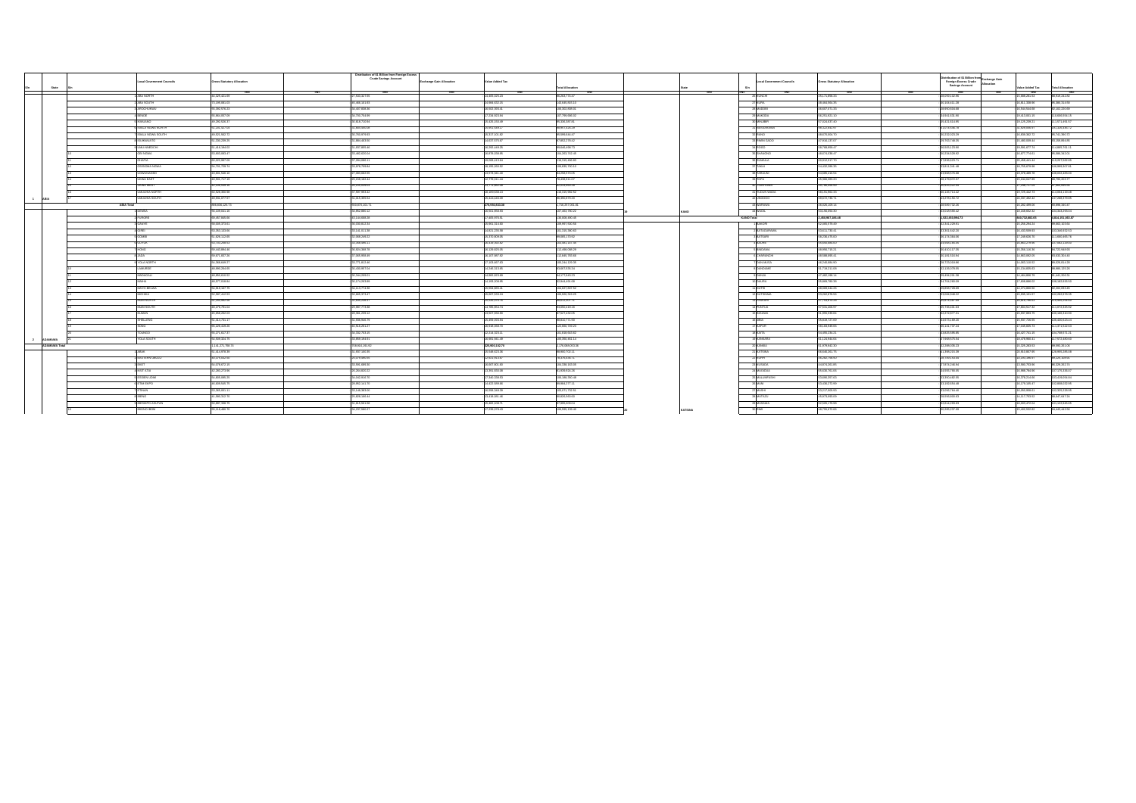|          |                |                                  |                                   | Distribution of \$1 Billion from Foreign Exces |                         |                |                  |                |            |                          |                            | <b>Distribution of \$1 Billion from</b> |                               |                |                  |
|----------|----------------|----------------------------------|-----------------------------------|------------------------------------------------|-------------------------|----------------|------------------|----------------|------------|--------------------------|----------------------------|-----------------------------------------|-------------------------------|----------------|------------------|
|          |                | <b>Local Government Councils</b> | <b>Jross Statutory Allocation</b> | Crude Savings Account                          | schange Gain Allocation | alue Added Tax |                  |                |            | ocal Government Councils | Gross Statutory Allocation | Foreign Excess Crude                    | change Gain<br><b>Hillman</b> |                |                  |
|          | State          |                                  |                                   |                                                |                         |                | notas allA lato? |                |            |                          |                            | <b>Savings Account</b>                  |                               | alue Added Tax | stal Allocation  |
|          |                |                                  |                                   |                                                |                         |                |                  | <b>SINCE</b>   | $\sim$     |                          |                            | and the same                            |                               |                | $  -$            |
|          |                | <b>BANORTH</b>                   | 44,325,421.09                     | 7,533,327.55                                   |                         | 14,405,025.23  | 6.263.774.4      |                |            |                          | 171,858.33                 | 28,059,102.96                           |                               | 1,688,201.53   | 19,242.82        |
|          |                | <b>BA SOUTH</b>                  | 73,195,081.03                     | 15,466,101.93                                  |                         | 24,984,632.15  | 43,645,815.10    |                |            |                          | 464,564.35                 | 104,411.28                              |                               | 02.000.110.0   | 1,380,314.58     |
|          |                | <b><i>UROCHLIKINU</i></b>        | 55,392,576.23                     | 34,407,838.36                                  |                         | 16,502,393.41  | 106,302,808.01   |                |            | <b>MADO</b>              | 007.071.33                 | 23,950,030,032                          |                               | 6,544,544.68   | 102,220.69       |
|          |                | <b>BENDE</b>                     | \$5,064,057.09                    | 34,700,704.99                                  |                         | 17,234,923.94  | 107,799,686.02   |                |            | <b>ADOXAM</b>            | 55251.921.10               | 34.941.631.90                           |                               | 19:413.001.15  | 0.006.554.15     |
|          |                |                                  | 49,292,526.37                     | 30,618,710.94                                  |                         | 15,425,150.49  | 95,336,387.01    |                |            | NINJER                   | 024,637.40                 | 35,421,614.95                           |                               | 9,125,239.21   | 1,571,491.57     |
|          |                |                                  |                                   |                                                |                         |                |                  |                |            |                          |                            |                                         |                               |                |                  |
|          |                | SALA NGWA NORTH                  | 51,201,427.04                     | 31,004,450.08                                  |                         | 15,951,549.17  | 98,957,426.29    |                |            |                          | 1,322,842.97               | 01,074,546.78                           |                               | 11,929,055.97  | 191,326,446.72   |
|          |                | SIALA NGWA SOUTH                 | 49,521,562.72                     | 30,760,979.93                                  |                         | 15,317,101.82  | 25,529,644.47    |                |            |                          | 07.300,070.00              | 0,232,023.29                            |                               | 16,839,362.72  | 25,741,390.72    |
|          |                | <b>SURVATO</b>                   | 51,330,239.25                     | 31,884,463.50                                  |                         | 14,637,575.67  | 97,852,278.42    |                |            | RIMIN GAD                | 7.916.137.07               | 20.763.748.35                           |                               | 480.009.44     | 28.109.024       |
|          |                | <b>MU-NNEOCHE</b>                | 51,416,194.02                     | 31,937,855.46                                  |                         | 16,232,449.25  | 20,545,438.73    |                |            |                          | 1,768,959.47               | 36.505.123.90                           |                               | 9,591,677.74   | 4,865,761.11     |
|          |                | <b>COI NGWA</b>                  | 53,903,083.47                     | 33,482,620.04                                  |                         | 16,878,038.95  | 04,263,742.45    |                |            | 35 SHANON                | 8,674,038.47               | 30,234,528.92                           |                               | 1,677,774.61   | 5,586,342.01     |
|          |                |                                  | 60,022,997.09                     | 37,284,086.11                                  |                         | 19,008,413.64  | 16,315,496.83    |                |            |                          | 912,517.70                 | 7,836,623.71                            |                               | 0,458,441.44   | 19,207,582.85    |
|          |                | <b>SISIOMA NGWA</b>              | 54,701,729.74                     | 33,978,709.84                                  |                         | 18,155,260.52  | 106,835,700.10   |                |            | TAKAI                    | 4,432,286.35               | 33,811,341.48                           |                               | 18,755,679.98  | 106,999,307.81   |
|          |                | <b>GWUNAGBO</b>                  | 43,601,546.10                     | 27.083.682.55                                  |                         | 13,573,341.40  | 258,570.05       |                |            |                          | 685.416.54                 | 33.000,000                              |                               |                |                  |
|          |                |                                  |                                   |                                                |                         |                |                  |                |            | <b>ETARALIN</b>          |                            |                                         |                               | 9,378,489.78   | 08,032,483.00    |
|          |                | KWA EAST                         | 40,501,717.19                     | 25,158,182.44                                  |                         | 12,779,011.44  | 78,438,911.07    |                |            |                          | 5,306,283.20               | 179,872.57                              |                               | 244,047.99     | 1,790,203.77     |
|          |                | KWA WEST                         | 42,106,539.16                     | 26,155,039.03                                  |                         | 13,771,882.08  | 82,033,460.28    |                |            | TSANYAWA                 | 0,786,456.99               | 30,925,522.54                           |                               | 7,248,717.04   | 37,960,696.56    |
|          |                | <b>MUAHIA NORTH</b>              | 60,528,350.98                     | 37,597,993.42                                  |                         | 18,109,638.13  | 16,315,982.52    |                |            | TUDUN WADA               | 8,191,962.33               | 36,146,714.42                           |                               | 1725, 442.73   | 14,054,119.48    |
|          |                | MUAHIA SOUTH                     | 49,931,077.57                     | 31,015,355.54                                  |                         | 15,444,446.00  | 96,390,879.20    |                |            | <b>UNGOCO</b>            | 9,672,736.71               | 43,278,150.72                           |                               | 24,337,492.42  | 37,288,379.85    |
|          |                | <b>ABIA Total</b>                | 886.836.126.73                    | 550.870.101.71                                 |                         | 278,550,833.38 | 1.716.257.061.81 |                |            | 43 WARAWA                | 05.026.109.14              | 28,589,732.26                           |                               | 16,282,499.06  | 0.030.340.47     |
|          |                | <b>XEMSA</b>                     | 56,109,041.16                     | 34,852,880.12                                  |                         | 16,501,858.93  | 107,463,780.22   |                |            |                          | 3,156,050.30               | 33,018,590.42                           |                               | 8,168,652.32   | 04,343,293.04    |
|          |                | <b>TURORE</b>                    | 03.0457,845.00                    | 43,144,008.28                                  |                         | 17,405,976.51  | 130,008,490.45   |                | KAND Total |                          | 2,450,967,186.48           | 1,522,450,994.73                        |                               | 640,732,882.65 | 4,814,151,063.87 |
|          |                | <b>SANYE</b>                     | 58,005,373.61                     | 36,030,812.34                                  |                         | 15,961,314.00  | 109,997,500.56   |                |            |                          | 2,065,579.49               | 32,341,229.91                           |                               | 5,256,204.24   | 83,003,103.64    |
|          |                | ardi                             | 33,353,133.00                     | 33.141.011.38                                  |                         | 14,821,235.58  | 101,315,380.63   |                |            |                          | 3.611.730.41               | 33,301,642.20                           |                               | 0.433.559.93   | 03,346,932.53    |
|          |                |                                  |                                   |                                                |                         |                |                  |                |            |                          |                            |                                         |                               |                |                  |
|          |                |                                  | 1,626,112.65                      | 32,068,249.22                                  |                         | 15,370,809.05  | 10,005,170.92    |                |            | <b>BATSAR</b>            | 8,236,475.00               | 36,174,364.06                           |                               | 249,626.70     | 1,000,405.76     |
|          |                | amuk                             | 53,703,258.53                     | 33,358,496.11                                  |                         | 16,419,392.82  | 103,481,147.45   |                |            |                          | E50,E84.00                 | 34,568,165.45                           |                               | 6,063,279.96   | 07,082,129.40    |
|          |                |                                  | 59,443,894.46                     | 36,924,368.78                                  |                         | 16,129,825.05  | 12,498,088.29    |                |            |                          | 056,715.21                 | 1,410,117.35                            |                               | 5,356,116.36   | 1,722,948.93     |
|          |                |                                  | 59,671,837.26                     | 17,065,958.49                                  |                         | 16,107,987.92  | 12,845,783.00    |                |            |                          | 588,625.41                 | 30,181,516.94                           |                               | 14,863,092.05  | 033,304.40       |
|          |                | <b>YOLA NORTH</b>                | 54,368,649.27                     | 33,771,812.46                                  |                         | 17,103,667.63  | 105, 244, 129.35 |                |            | DAN-MUSA                 | 6,240,684.90               | 28,723,018.86                           |                               | 14,063,110.52  | 9,026,814.28     |
|          |                | <b>AMURDE</b>                    | 48,990,264.65                     | 30,430,957.04                                  |                         | 14,246,313.65  | 13,667,535.34    |                |            | DANDUME                  | 1,719,211.08               | 2,126,078.55                            |                               | 134,835.63     | 1,980,125.26     |
|          |                | <b>IDAGALI</b>                   | 48,850,610.52                     | 30,344,209.01                                  |                         | 14,982,823.69  | 94,177,643.23    |                |            |                          | 7,482,198.14               | 20,494,201.38                           |                               | 14,464,806.79  | 1,441,206.31     |
|          |                |                                  | 18,577,018.84                     | 0,174,263.09                                   |                         | 4,193,208.95   | 2,944,491.68     |                |            |                          | 869,780.38                 | 704,260.09                              |                               | 003,006.02     | 08,182,926.50    |
|          |                | <b>AWJISOYAL</b>                 | 54,919,167.75                     | 34,113,774.36                                  |                         | 15.594.005.41  | 104,627,807.52   |                |            | <b>CUTS!</b>             | 003.044.26                 | 29,858,728.69                           |                               | 14,274,860.50  | 2,202,633.45     |
|          |                | CHIKA                            | 52,587,412.53                     | 32.005.373.47                                  |                         | 15,067,533.24  | 100,920,319.25   |                |            |                          | 1262.878.56                | 1108494822                              |                               | 5.935.151.57   | 02,282,978.35    |
|          |                | <b>MUBINORTH</b>                 | 51,250,992.58                     | 31,835,238.37                                  |                         | 15,526,076.76  | 98,612,307.71    |                |            | FASKAR                   | 753,870.28                 | 35,874,587.69                           |                               | 16,816,796.63  | 0,445,254.00     |
|          |                | <b>JUBI SOUTH</b>                | 48,276,791.04                     | 29,987,773.38                                  |                         | 14,785,854.74  | 13,050,419.16    |                |            | <b>UMTLE</b>             | 531,406.97                 | 35,736,401.63                           |                               | 7,804,517.32   | 1,072,325.92     |
|          |                |                                  |                                   |                                                |                         |                |                  |                |            |                          |                            |                                         |                               |                |                  |
|          |                | UMAN                             | 45,658,262.03                     | 28,361,239.12                                  |                         | 13,507,930.90  | 87,527,432.05    |                |            |                          | 1,955,539.84               | 12,272,877.31                           |                               | 15,937,893.75  | 00.010,330,001   |
|          |                | HELLENG                          | 51,414,731.17                     | 31,936,946.79                                  |                         | 15,459,093.94  | 98,810,771.90    |                |            |                          | 5,819,727.69               | 34,673,169.20                           |                               | 1,937,726.55   | 06,430,623.44    |
|          |                |                                  | 65,226,419.26                     | 40,516,261.27                                  |                         | 16,918,058.70  | 22,000,749.23    |                |            | KAFUR                    | 33,942.00                  | 36,141,737.24                           |                               | 045,835.73     | 11,371,522.63    |
|          |                |                                  | 55,271,617.37                     | 34,332,703.15                                  |                         | 12,214,323.11  | 101,818,643.62   |                |            |                          | 1,455,234.21               | 33,825,555.85                           |                               | 6,427,741.15   | 04,708,571.21    |
| $\sim$ 2 | <b>ADAMAWA</b> | <b>CLA SOUTH</b>                 | 54,509,324.75                     | 33,859,194.91                                  |                         | 10,981,941.49  | 05,350,461.14    |                |            | KANKAR                   | 124,944.64                 | ,968,575.54                             |                               | 18,478,950.41  | 7,572,480.60     |
|          | MAMAWA Total   |                                  | 1,141,271,758.74                  | 708,916,191.92                                 |                         | 325,900,102.70 | 176,088,053.36   |                |            | 10 DOMESTA               | 1,979,942.30               | 12,288,035.23                           |                               | 15,325,283,53  | 9,593,261.06     |
|          |                | <b>ABAK</b>                      | \$1,414,978.39                    | 31,937,100.35                                  |                         | 15,548,623.36  | 98,900,702.11    |                |            | 21 KATSINA               | 26.646.261.75              | 41,398,215.39                           |                               | 20,910,807.95  | 128,955,285.08   |
|          |                | STERN COOLO                      | 40,375,032.50                     | 25,079,490.55                                  |                         | 12,921,913.67  | 78,376,436.71    |                |            |                          | 6,282,758.50               | 28,749,153.44                           |                               | 1,193,196.97   | 1,225,108.91     |
|          |                |                                  | 54,078,672.15                     | 33,591,689.30                                  |                         | 16,057,001.00  | 104,338,163.05   |                |            |                          | 4,874,261.85               | 27,874,246.94                           |                               | 1,580,753.96   | 16,329,262.74    |
|          |                | <b>ISIT ATAI</b>                 | 42,283,273.96                     | 26,264,820.22                                  |                         | 13,391,830.08  |                  |                |            | 24 MATADUA               | 55 830 761.00              | 34,555,790.05                           |                               | 16,988,784.96  | 07,175,336.07    |
|          |                |                                  | \$4,805,095.25                    |                                                |                         | 17,340,338.53  | 81,939,924.26    |                |            |                          |                            |                                         |                               |                |                  |
|          |                | SSIEN UDIM                       |                                   | 34,042,916.70                                  |                         |                | 106,188,350.48   |                |            | MALLIMFASI               | 1,690,357.63               | 33,350,482.55                           |                               | 6,378,214.66   | 03,419,054.84    |
|          |                | TIM EKPO                         | 46.609.545.75                     | 28.952.141.70                                  |                         | 14,422,589.66  | 89.984.277.11    |                |            |                          | 1436272.99                 | 11.192.054.48                           |                               | 6.179.105.47   | 02.808.032.95    |
|          |                |                                  | 13,365,001.1                      | 3,148,383.0                                    |                         | 558,348.39     | 3,071,732.5      |                |            |                          | 217,505.9                  | 1056,764.40                             |                               |                | 2,325,228.95     |
|          |                |                                  | 41,580,312.70                     | 25,828,105.44                                  |                         | 13,418,081.46  | 80,826,560.60    |                |            | MATAZI                   | 5,973,093.09               | 28,000,000.03                           |                               | 117.753.52     | 8,647,647.24     |
|          |                | <b>BESKPO ASUTAN</b>             | 50,097,338.75                     | 31,615,561.58                                  |                         | 15,482,108.71  | 17,995,009.04    |                |            |                          | 2,505,179.98               | 32,614,293.63                           |                               | 6,003,472.04   | 1,122,945.65     |
|          |                | <b>MONO IBOM</b>                 | 55,118,480.70                     | 34,237,580.27                                  |                         | 17,239,078.43  | 106,595,139.40   | <b>KATSINA</b> |            |                          | 8,755,672.66               | 30.285.237.09                           |                               | 5,402,532.82   | 4,443,442.55     |
|          |                |                                  |                                   |                                                |                         |                |                  |                |            |                          |                            |                                         |                               |                |                  |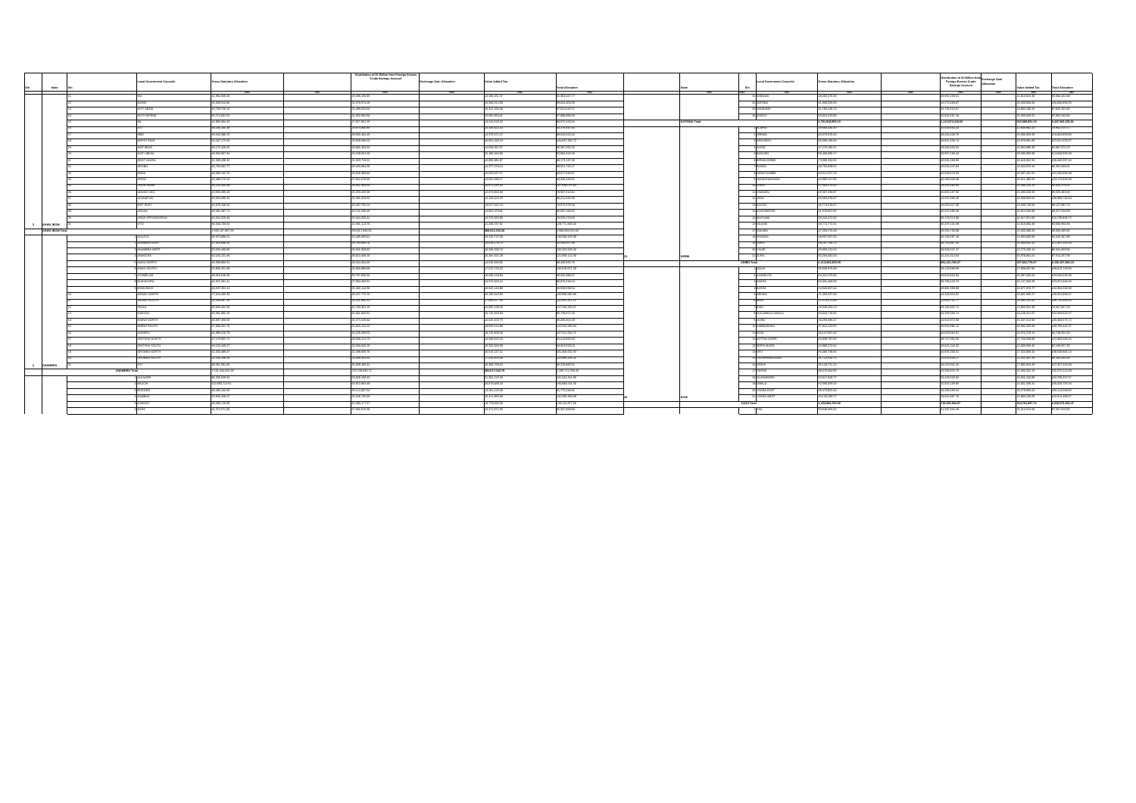|     |                       |               |                                  |                          | <b>Distribution of \$1 Billion from Foreign Exces</b> |                         |                    |                |                      |                    |                          |                            | atribution of \$1 Billion fre |               |                       |                  |
|-----|-----------------------|---------------|----------------------------------|--------------------------|-------------------------------------------------------|-------------------------|--------------------|----------------|----------------------|--------------------|--------------------------|----------------------------|-------------------------------|---------------|-----------------------|------------------|
|     |                       |               | <b>Local Government Councils</b> | oss Statutory Allocation | Crude Savings Account                                 | schange Gain Allocation | alue Added Tax     |                |                      |                    | ocal Government Councils | Gross Statutory Allocation | Foreign Excess Crude          | Exchange Gain |                       |                  |
|     | State                 |               |                                  |                          |                                                       |                         |                    | tal Allocation |                      | Sh.                |                          |                            | <b>Savings Account</b>        | Alloyation    | alue Added Tax        | notal Allocation |
|     |                       |               |                                  |                          |                                                       |                         |                    |                | - 444                | --                 |                          |                            |                               |               | <b>STATE OF BRIDE</b> | $-10$            |
|     |                       |               |                                  | 1,961,839.49             | 00.321,230,2                                          |                         | 1,336,451.37       | 151447         |                      |                    |                          | 282,370.30                 | (991,239.01                   |               | 14,810,823.38         | 084,432.68       |
|     |                       |               | OWO                              | 639,514.06               | 076,574.18                                            |                         | 338,314.55         | 024,403.59     |                      |                    |                          | 956,525.99                 | 2,273,489.87                  |               | 6,406,940.69          | 00,636,956.55    |
|     |                       |               | IKOT ABASI                       | 0,709,726.15             | 499,023.50                                            |                         | 15,312,294.06      | 521,043.71     |                      |                    | 33 SANDAMI               | 105,440.13                 | 794,524.57                    |               | 14,852,190.20         | 17,832,162.90    |
|     |                       |               | <b>IKOT EKPENE</b>               | 0,714,651.51             | 31,502,082.95                                         |                         | 15.681.953.61      | 17.030.003.00  |                      |                    |                          | 1,924,232.80               | 1,632,267.18                  |               | 15.435.940.62         | 17.992.440.00    |
|     |                       |               |                                  | 4,880,054.43             | 27,877,851.29                                         |                         | 4,214,518.22       | 1,972,433.94   | <b>KATSINA Total</b> |                    |                          | 1,791,918,995.10           | (113,074,410.63               |               | 542,503,051.19        | 1,447,583,256.91 |
|     |                       |               |                                  |                          |                                                       |                         |                    | 3376.547.46    |                      |                    |                          |                            |                               |               |                       |                  |
|     |                       |               |                                  | 48,256,164.38            | 29,974,960.85                                         |                         | 15,145,422.23      |                |                      |                    |                          | 00.000.000.0               | 04.638,463.20                 |               | 12,648,982.20         | 6,952,475.71     |
|     |                       |               |                                  | 65,043,386.70            | 28,000,464.45                                         |                         | 14,375,571.27      | 0,010,422.42   |                      |                    |                          | 1,575,915.46               | 39,491,028.79                 |               | 16,596,955.59         | 19,053,099.85    |
|     |                       |               | MOPAT ENIN                       | 4,187,173.29             | 0,659,086.23                                          |                         | 6.851.026.19       | 04,037,285.72  |                      |                    |                          | 5,090,296.68               | 14,841,236.74                 |               | 16.979.991.65         | 07,911,525.07    |
|     |                       |               | MONT 15                          | 175,430.05               | 8,682,484.94                                          |                         | 14,529,367.57      | 9,387,282.55   |                      |                    |                          | 270,180.21                 | 9,362,503.62                  |               | 14,364,986.39         | 10,997,670.23    |
|     |                       |               | isit ubium                       | 1,550,837.94             | 0,158,001.26                                          |                         | 15,185,484.85      | 1,094,324.05   |                      |                    |                          | 1,496,685.17               | 05, 057, 160.43               |               | 18,395,659.99         | 14,849,505.59    |
|     |                       |               | <b>BOT AKARA</b>                 | 1,393,436.32             | ,923,719.21                                           |                         | 15,855,981.87      | 9,173,137.39   |                      |                    |                          | 1,396,264.92               | 5,591,009.99                  |               | 19,419,052.50         | 38,406,327.40    |
|     |                       |               | CODOX                            | 45,753,961.77            | 28,420,684.29                                         |                         | 14,377,076.12      | 8,551,722.17   |                      |                    | <b>SUNZA</b>             | 1754,928.01                | 042,447.83                    |               | 14,504,570.16         | 10,301,946.01    |
|     |                       |               | NNA                              | 6,568,102.76             | 8,926,398.84                                          |                         | 023,027.27         | 517.528.87     |                      |                    | DANDI KAME               | 011,037.19                 | 2.928.513.59                  |               | 15.267.431.91         | 01,206,982.68    |
|     |                       |               | XON                              | 1,486,272.14             | 012,078.59                                            |                         | 3,822,085.17       | 320,435.91     |                      |                    | <b>OWASAGU</b>           | (685,107.89                | 150,015.45                    |               | 19,311,482.00         | 24,176,008.38    |
|     |                       |               | MAIN ANAM                        |                          |                                                       |                         |                    |                |                      |                    |                          |                            |                               |               |                       |                  |
|     |                       |               |                                  | 56,235,560.89            | 34,931,469.54                                         |                         | 16,671,045.40      | 107,838,075.83 |                      |                    |                          | 564,075.42                 | 23,545,060.55                 |               | 14,495,243,29         | 1,005,379.25     |
|     |                       |               | DUNG UKO                         | 1,055,095.45             | 5,253,455.39                                          |                         | 12,678,963.00      | 8,587,513.84   |                      |                    |                          | 0,367,299.87               | 0,005,157.50                  |               | 15,493,026.56         | 5,525,483.94     |
|     |                       |               | <b>KANAFUN</b>                   | 0,004,590.40             | 31,061,019.02                                         |                         | 15,145,422.23      | 6,211,031.66   |                      |                    |                          | 5,565,678.67               | 4,515,363.26                  |               | 16,908,694.91         | 06,989,736.84    |
|     |                       |               | ESIT EKET                        | 40,678,108.32            | 25.267.750.14                                         |                         | 13,027,521.13      | 78,973,379.58  |                      |                    | 13 KALGO                 | 5,774,519.07               | 23,054,617.06                 |               | 13,298,745.85         | 09,127,681.79    |
|     |                       |               | <b>UAN</b>                       | 0,491,487.74             | 30,742,298.45                                         |                         | 14,853,379.81      | 5,037,165.01   |                      |                    | CKOBESSE                 | 576,907.95                 | 12,037,685.06                 |               | 15,012,946.88         | 10,227,539.89    |
|     |                       |               | URUE OFFONG/ORUX                 | 0,254,025.46             | 25,004,325.41                                         |                         | 13,276,925.95      | 78,535,276.83  |                      |                    |                          | 8,242,672.92               | 36,178,213.98                 |               | 16,317,921.82         | 10,738,808.72    |
| - 3 | AKWA IBOM             |               |                                  | 6,940,706.64             | 581,113.76                                            |                         | 21,249,787.61      | 29,771,608.00  |                      |                    | 345K                     | 1,774,772.31               | 0,297,101.09                  |               | 14,615,093.48         | 08.000,000.00    |
|     | <b>KWA IBOM Total</b> |               |                                  | 505,107,867.95           | 034,917,849.32                                        |                         | 468,912,333.36     | 308,938,050.63 |                      |                    | AKABA                    | 259,270.46                 | 23,355,726.88                 |               | 13.450.368.26         | 03.230,230,00    |
|     |                       |               | <b>GUATA</b>                     | 10.393, 026              | 3,465,095.61                                          |                         | 1,129,712.36       | 0,568,503.98   |                      |                    |                          | 1,567,397.05               | 0,168,287.18                  |               | 4,694,683.65          | 3.430.367.09     |
|     |                       |               | AMBRA EAST                       | 20.000,010,1             | 9,764,090.78                                          |                         | 15,878,278.74      | 559,057.88     |                      |                    |                          | 1,167,796.75               | 6,752,867.00                  |               | 15,406,641.42         | 11,387,305.16    |
|     |                       |               | <b>IAMBRA WEST</b>               | 3,032,490.86             | 2,941,839.82                                          |                         | 6,349,298.72       | 02,323,629.40  |                      |                    |                          | 333,131.04                 | 569,247.47                    |               | 13,779,430.14         | 23.800, 192, 81  |
|     |                       |               | NADCHA                           | 263,131.46               | 8,613,459.15                                          |                         | 20,281,521.28      | 1,058,111.90   | KEBBI                |                    |                          | 294,362.03                 | 1,241,014.54                  |               | 15,978,861.01         | 7,514,237.58     |
|     |                       |               | AWKA NORTH                       | 5,598,800.91             | 28,324,304.05                                         |                         | 14,516,450.81      | 18,439,555.76  |                      | <b>KEBBI Total</b> |                          | 113,093,329.39             | 091,412,784.27                |               | 327.601.779.47        | 2,132,107,893.13 |
|     |                       |               |                                  | 1,005,251.38             | 32,800,686.98                                         |                         | 072,733.23         | 12,678,671.59  |                      |                    |                          |                            |                               |               |                       |                  |
|     |                       |               | WKA SOUTH                        |                          |                                                       |                         |                    |                |                      |                    |                          | 536,975.08                 | 5,118,696.99                  |               | 7,958,057.83          | 09,613,729.90    |
|     |                       |               | <b><i>CYAMELLIM</i></b>          | 0,516,516.33             | 30,757,845.30                                         |                         | 16,048,126.84      | 6,322,488.47   |                      |                    | <b>AJAOKUTA</b>          | 4,441,275.06               | 33,816,924.94                 |               | 15,287,005.04         | 03,545,205.05    |
|     |                       |               | unukofia.                        | 1,971,091.41             | 234,323.91                                            |                         | 3,973,833.12       | 6,872,318.44   |                      |                    |                          | S1,466.59                  | 786,423.73                    |               | 0.137.056.09          | 23,974,946.42    |
|     |                       |               | <b>DOISONNE</b>                  | 9,037,253.13             | 30,460,144.56                                         |                         | 16,042,140.86      | 5.539.538.54   |                      |                    | 4 BASSA                  | 545,007.44                 | 03.051,359.69                 |               | 15.877.978.77         | 04,304,345.90    |
|     |                       |               | <b>CANLINGRTH</b>                | 544,450.26               | 48, 167,770.70                                        |                         | 25,156,619.83      | 0.058.840.00   |                      |                    |                          | 393337.39                  | 4.346.924.81                  |               | 19,901,596.27         | 35.641.858.47    |
|     |                       |               | DEMILI SOUTH                     | 2,034,567.35             | 32,321,955.31                                         |                         | 17,695,877.45      | 12,052,411.11  |                      |                    |                          | 2,576,673.48               | 12,658,702.77                 |               | 15,481,231.81         | 00,716,608.05    |
|     |                       |               | <b>SALA</b>                      | 55,656,402.58            | 40,783,351.15                                         |                         | 20,855,239.33      | 27,294,993.07  |                      |                    |                          | 546,263.13                 | 5.185.852.74                  |               | 13,865,551.36         | 9,597,667.23     |
|     |                       |               | <b>NJIKOKA</b>                   | 49,351,662.10            | 30,051,055.52                                         |                         | 15,715,553.63      | 15,738,871.26  |                      |                    | GALAMELA-COOLU           | 323716.96                  | 33,259,394.74                 |               | 16,146,411.67         | 02,949,523.37    |
|     |                       |               | NEW NORTH                        | 8,897,356.09             | 30,373,245.64                                         |                         | 6,020,002.75       | 200,004.49     |                      |                    |                          | 255 689.47                 | 4943972.68                    |               | 15.207.013.58         | 06,406,675.72    |
|     |                       |               | NNEW SOUTH                       | 31.105,335,7             | 35,820,131.22                                         |                         | 1,564,513.86       | 2,050,546.84   |                      |                    | ADDA/DUNG                | 1,822,123.55               | 25, 216, 284.12               |               | 16,000,333.90         | 09.799.441.57    |
|     |                       |               | <b>DOBARU</b>                    | 4,986,016.78             | 34,155,298.53                                         |                         | 18,170,609.40      | 07,311,924.71  |                      |                    |                          | 1,147,561.40               | 528,664.01                    |               | 15,072,278.79         | 14,748,504.20    |
|     |                       |               | <b>NITSHA NORTH</b>              | 179,561.71               | 0,306,214.73                                          |                         | 4,928,915.16       | 414,021.00     |                      |                    | <b>DTON KARFE</b>        | 1,939,787.06               | 1717,052.50                   |               | 7,726,209.66          | 21,383,049.22    |
|     |                       |               |                                  |                          |                                                       |                         |                    |                |                      |                    |                          |                            |                               |               |                       |                  |
|     |                       |               | NITSHA SOUTH                     | 0,102,446.27             | 0,500,640.15                                          |                         | 15,320,846.58      | 4,923,933.00   |                      |                    | DRUM-AROMET              | 2,559,272.54               | 26,641,244.32                 |               | 12,669,090.40         | 12,199,697.26    |
|     |                       |               | RUMBA NORTH                      | 52,303,486.07            | 12.489.008.76                                         |                         | 16.516.137.11      | 01:308.631.93  |                      |                    |                          | 0.000748.90                | 10.305.208.01                 |               | 17,622,809.32         | 08,538,864.22    |
|     |                       |               | RUMBA SOUTH                      | 2,336,158.28             | 32,509,303.54                                         |                         | <b>BA EER DIO,</b> | 1,856,295.31   |                      |                    |                          | 722,416.75                 | 25,916,436.27                 |               | 12,521,447.29         | 0,100,300.30     |
|     | 4 ANAMBRA             |               |                                  | 49,261,581.80            | 30,599,489.31                                         |                         | 16,309,798.20      | 10.000.002.31  |                      |                    |                          | 5,128,721.15               | 34,243,941.25                 |               | 17,884,654.29         | 07,257,316.09    |
|     |                       | ANAMBRA Total |                                  | 1.131.344.810.92         | 702,749,935.72                                        |                         | 365.617.042.76     | 199,711,789.40 |                      |                    | KENE                     | 05, AD2 370.00             | 228691575                     |               | 21,906,332.19         | 32,270,212.83    |
|     |                       |               | <b>ALKALERI</b>                  | 335,029.92               | 1,628,156.63                                          |                         | 21,381,215.29      | 01,344,401.85  |                      |                    | <b>CLAMADORI</b>         | 1,817,609.77               | (429,526.92                   |               | 16.552.120.89         | 03,799,257.57    |
|     |                       |               | BAUCHI                           | 02,893,712.61            | 03.913.803.49                                         |                         | 26,878,488.26      | 305.004.36     |                      |                    | 19 CMALA                 | 506 059 34                 | 12,652,109.65                 |               | 14.821.536.31         | 00,039,705.30    |
|     |                       |               |                                  | 480, 542.0               | 114,087.5                                             |                         | 181,120.36         |                |                      |                    |                          | 473,802.3                  | 458,293.0                     |               |                       | 112,048.62       |
|     |                       |               | MADAN                            | 3,655,348.22             | 33,328,735.99                                         |                         | 15,411,885.68      | 102.335.909.88 |                      |                    | <b>AGBA WES</b>          | 1,129,289.77               | 33,001,967.76                 |               | 15.883.229.05         | 02,014,486.57    |
|     |                       |               | ARAZO                            | 8,000,116.09             | 200,177.37                                            |                         | 18,778,583.30      | 29,124,877.56  |                      | <b>KOGI Total</b>  |                          | 153,684,762.00             | 16,626,694.67                 |               | 344,761,897.74        | 2,215,073,354.47 |
|     |                       |               | MSS                              | 4,372,571.68             | 27,562,615.39                                         |                         | 3,372,671.83       | 5,307,858.89   |                      |                    |                          | 546,050.93                 | 31,397,354.46                 |               | 15,314,514.56         | 07,257,919.95    |
|     |                       |               |                                  |                          |                                                       |                         |                    |                |                      |                    |                          |                            |                               |               |                       |                  |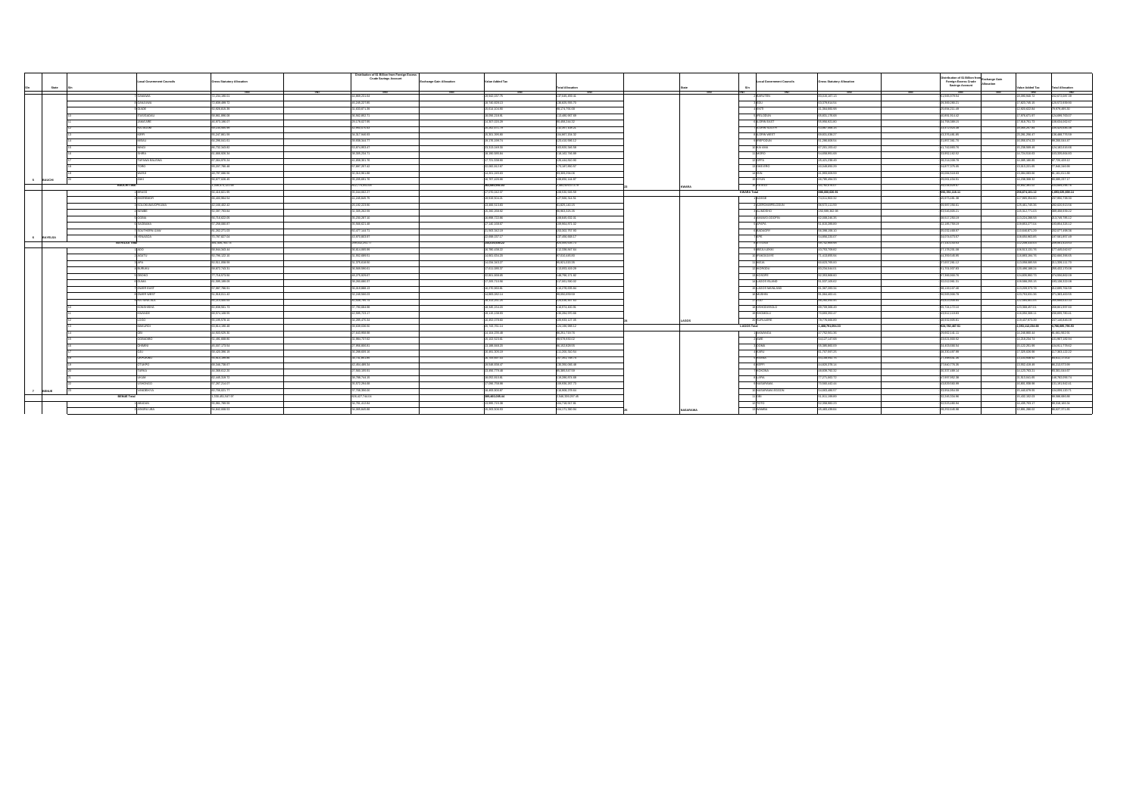|              |                      |                                  |                           | <b>Distribution of \$1 Billion from Foreign Exces</b> |                         |                 |                                  |                 |                    |                         |                                   | <b>Statebution of \$1 Billion fro</b> |               |                        |                   |
|--------------|----------------------|----------------------------------|---------------------------|-------------------------------------------------------|-------------------------|-----------------|----------------------------------|-----------------|--------------------|-------------------------|-----------------------------------|---------------------------------------|---------------|------------------------|-------------------|
|              |                      | <b>Local Government Councils</b> | ross Statutory Allocation | Crude Savings Account                                 | schange Gain Allocation | Value Added Tax |                                  |                 |                    | cal Government Councils | <b>Gross Statutory Allocation</b> | Foreign Excess Crude                  | Exchange Gain |                        |                   |
| <b>State</b> |                      |                                  |                           |                                                       |                         |                 | <b>Total Allocation</b>          |                 | <b>Sta</b>         |                         |                                   | <b>Savings Account</b>                | Allocation    | <b>Falue Added Tax</b> | otal Allocation   |
|              |                      |                                  |                           |                                                       |                         |                 |                                  | <b>SINCE</b>    | $\sim$             |                         |                                   | $ -$                                  |               | $   -$                 | <b>CONTRACTOR</b> |
|              |                      |                                  | 234,190.01                | ,869,231.64                                           |                         | 3,942,037.7     | 1,045,459.4                      |                 |                    |                         | 015,167.13                        | 565,979.54                            |               | 8,090,940.72           | 2,672,087.39      |
|              |                      | <b>AWJUWA</b>                    | (839,499.72)              | 5,245,227.85                                          |                         | 1,740,828.13    | 36,825,555.70                    |                 |                    |                         | 1,379,914.54                      | 0,369,280.21                          |               | 7,823,745.15           | 20,572,939.90     |
|              |                      | <b>JOAN</b>                      | 0,926,815.39              | 1,633,871.39                                          |                         | 15,614,104.90   | 18,174,791.68                    |                 |                    |                         | 364,000.98                        | 5,694,211.49                          |               | 2,920,622.84           | 9,979,495.30      |
|              |                      | <b>TAS/GADAU</b>                 | 58.861.896.08             | 6.562.852.71                                          |                         | 18.056.218.91   | 13,480,957.69                    |                 |                    | <b>TELOCHIN</b>         | 6331.176.68                       | 0.891.914.42                          |               | 17.976.671.97          | 24,099,763.07     |
|              |                      | <b>MA'ARI</b>                    | 6,973,196.07              | 9,178,027.95                                          |                         | 4,307,020.29    | 1,458,244.32                     |                 |                    | <b>LORIN EAS</b>        | 3,956,921.80                      | A.758,389.15                          |               | 7,918,751.73           | 08,634,062.67     |
|              |                      | <b><i>STAGUM</i></b>             | 144,555.99                | 2,950,070.43                                          |                         | 0,262,471.79    | 132,357,108.21                   |                 |                    | LORIN SOUTH             | 33,887,468.15                     | 33,472,920.38                         |               | 18,065,257.84          | 05,425,646.38     |
|              |                      |                                  | 5,247,861.59              | 34,317,946.93                                         |                         | 15.301.395.80   | 104,867,204.32                   |                 |                    | <b>BILORIN WEST</b>     | 09.831.038.27                     | 43,376,481.85                         |               | 23201256.47            | 136,488,776.59    |
|              |                      |                                  | 4,296,041.61              | 0,938,344.77                                          |                         | 19,176,199.74   | 23,410,586.12                    |                 |                    | REPODUN                 | 1,286,608.54                      | 1,857,361.70                          |               | 056.074.23             | 0,200,044.47      |
|              |                      | NGI                              | 6,732,343.82              | 3,874,953.47                                          |                         | 23,313,049.30   | 163,920,346.58                   |                 |                    | 10 KAI AMA              | 7,201,153.42                      | 1,742,893.76                          |               | 5.238.569.49           | 24,182,616.05     |
|              |                      |                                  | FC 202,333,               | 8,305,234.71                                          |                         | 8,190,585.84    |                                  |                 |                    |                         |                                   | 0,952,162.52                          |               | 14.724.510.63          |                   |
|              |                      | AFAWA BALEWA                     |                           |                                                       |                         |                 | 15, 162, 746.09                  |                 |                    |                         | 4,558,991.68                      |                                       |               |                        | 0,335,664.83      |
|              |                      |                                  | 7,064,970.24              | 1,058,301.76                                          |                         | 7,721,538.90    | 26,444,810.90                    |                 |                    |                         | 5,421,238.49                      | 28,214,008.78                         |               | 14,085,180.85          | 7,720,428.12      |
|              |                      |                                  | 3,207,780.48              | 57,897,257.42                                         |                         | 2,082,812.67    | 73,187,850.57                    |                 |                    | <b>CIKE-ERG</b>         | D49,650.29                        | 4,877,375.05                          |               | 13,013,221.65          | 7,940,246.99      |
|              |                      | æл                               | 8,797,086.56              | 0,310,961.88                                          |                         | 4,201,245.63    | 130929406                        |                 |                    |                         | 993,009.59                        | 6,084,518.63                          |               | 3.084.083.66           | 1,161,611.88      |
| BAUCHI       |                      |                                  | 1,677,026.45              | 205,691.76                                            |                         | 6,767,426.66    | 08,650,144.87                    |                 |                    |                         | 1785,494.33                       | 0,061,434.51                          |               | 14,238,308.32          | 0,085,237.17      |
|              | BAUCHI Total         |                                  | 308,473,121.68            | 12,775,551.08                                         |                         | 262,680,901.03  | 1,483,929,573.79                 | <b>KWARA</b>    |                    | 16 PATEGI               | 4,792,076.07                      | 4,034,829.67                          |               | 14,842,391.02          | 3,009,296.76      |
|              |                      | RASS                             | 416,821.95                | 044,062.27                                            |                         | 1,070,042.37    | 08,530,926.59                    |                 | <b>KWARA Total</b> |                         | 10.000.020.91                     | 50,351,116.11                         |               | 256,674,101.12         | 693,025,838.14    |
|              |                      | <b>SOMBRE</b>                    | 1400,954.54               | 1,245,845.75                                          |                         | 13,913,504.21   | 27,566,314.51                    |                 |                    | AGEGE                   | 011,902.32                        | 5,973,481.38                          |               | 17,905,354.00          | 37,950,738.30     |
|              |                      | AMJORADPANCIO                    | 2,166,402.42              | 6,192,223.90                                          |                         | 13,406,513.83   | 81,825,140.15                    |                 |                    | 2 AJEROMHPELODUN        | 5,572,111.59                      | 52, 587, 055.61                       |               | 125,461,745.36         | 82,020,913.56     |
|              |                      | EMBE                             | 0,397,793.84              | 1,305,262.59                                          |                         | 5,260,268.92    | 0,963,325.35                     |                 |                    | DISCINIU                | 0.599.362.98                      | 546,805.21                            |               | 145,312,771.03         | 0,458,939.22      |
|              |                      | Chile                            | 716,622.05                | 5,230,287.10                                          |                         | 6,898,722.86    | 08,845,632.01                    |                 |                    | UWD-ODOFIN              | 2,008,246.35                      | 0,517,250.19                          |               | 13,224,288.58          | 13,749,785.12     |
|              |                      | ACRAMA                           | 7,258,080.87              | 5,566,621.48                                          |                         | 7,140,168.67    | 109,954,871.02                   |                 |                    | <b>APAPA</b>            | 51,815,289.89                     | 32,185,759.19                         |               | 109,853,277.04         | 93,854,326.12     |
|              |                      | WALI KRIHITUC                    | 1,262,271.03              | 0,477,144.71                                          |                         | 1,563,342.19    | 53,302,757.93                    |                 |                    |                         | 5,398,158.10                      | 032,468.97                            |               | 10,646,871.29          | 02,077,498.35     |
|              |                      | <b>INAGOA</b>                    |                           |                                                       |                         | 2.698.037.17    |                                  |                 |                    |                         |                                   |                                       |               | 08.650.963.85          |                   |
| 6 BAYELSA    | <b>BAYELSA Total</b> |                                  | 0,787,827.04              | 3,970,803.97                                          |                         | 144.016.600.22  | 137,456,668.17<br>224.455.635.73 |                 |                    |                         | 1,856,220.07                      | 074,673.57                            |               |                        | 97,581,857.49     |
|              |                      |                                  | 481,406,783.74            | 99,032,251.77                                         |                         |                 |                                  |                 |                    | $T1 - C155$             | 13,742,963.96                     | 7.110.143.53                          |               | 00.010.022310          | 09.061.423.53     |
|              |                      |                                  | 8,944,343.44              | 36,614,065.99                                         |                         | 6,780,438.22    | 12,338,647.64                    |                 |                    | <b>BEJULENK</b>         | 3,753,709.82                      | 7,178,201.08                          |               | 106,513,131.76         | 7,445,042.67      |
|              |                      | GATU                             | 1,796,122.10              | 1,552,689.51                                          |                         | 14.001.034.20   | 17.010.445.00                    |                 |                    | FAKOILIAYE              | <b>1413,655.94</b>                | 435254535                             |               | 15.823.194.76          | 22,000,300.05     |
|              |                      |                                  | 0,511,058.59              | 1,375,618.50                                          |                         | 14,034,343.27   | 95,921,020.35                    |                 |                    | 11 IKEJ/                | 0,623,765.00                      | 7,657,261.12                          |               | 13,058,085.58          | 11,339,111.70     |
|              |                      | <b>BURUKU</b>                    | 8,872,743.31              | 5,569,590.61                                          |                         | 17,611,085.37   | 13.053.419.29                    |                 |                    | 12 IKORDOL              | 1234.044.01                       | 1,701,937.83                          |               | 20.496.188.24          | 55.432.170.08     |
|              |                      | 8000                             | 718,573.50                | 0,275,929.67                                          |                         | 2,801,008.05    | 48,796,171.82                    |                 |                    | KOSOFI                  | 353,968.60                        | 7,366,900.76                          |               | 124,835,992.73         | 4,556,862.09      |
|              |                      |                                  | 1,595,199.09              | 8,260,680.37                                          |                         | 205,710.56      | 7,061,590.02                     |                 |                    | 4GOS 15LAN              | 537,105.62                        | 2,012,961.31                          |               | 09.588.255.15          | 93,138,322.08     |
|              |                      | WER EAST                         | 7,987,786.91              | 6,019,888.13                                          |                         | 6,270,960.81    | 10,278,635.84                    |                 |                    | AGOS MAINLAND           | 4.002.34                          | 8,119,107.46                          |               | 13,209,373.78          | 2,035,764.59      |
|              |                      | WER WEST                         | 51,918,011.42             | 32,249,555.03                                         |                         | 14,883,082.14   | 050,050.59                       |                 |                    | MUSHIP                  | 064,462.41                        | 6,565,906.78                          |               | 23,753,031.36          | 71,383,400.55     |
|              |                      | ATSINA ALA                       | 1214,400.64               | 0,508,795.74                                          |                         | 18,313,251.25   | 24.036.447.63                    |                 |                    |                         | 8,260,050.45                      | A.023,908.84                          |               | 22.584.001.05          | 5,058,620.33      |
|              |                      | <b>NSHISH</b>                    | 0,838,561.73              | 7,790,684.98                                          |                         | 8,345,154.20    | 16,974,400.91                    |                 |                    |                         | 709,368.49                        | 724,172.10                            |               | 23,368,457.01          | 03.001,007.00     |
|              |                      | <b>ANDE</b>                      | 8,574,108.55              | 2,595,723.17                                          |                         | 9,115,138.93    | 30,284,970.66                    |                 |                    | SHOMOL                  | 023,352.47                        | 0,912,119.83                          |               | 11.802,050,001         | 30,655,780.41     |
|              |                      |                                  | 195,578.10                | 4,285,470.34                                          |                         | 6,452,078.60    | 05,933,127.05                    | LAGOS           |                    | 20 SURULERS             | 776,006.89                        | 1932,805.81                           |               | 19,437,973.39          | 47,146,846.09     |
|              |                      | <b>AKUROI</b>                    | 3,814,190.48              | 0,639,036.50                                          |                         | 0,743,761.14    | 24,196,988.12                    |                 | LAGOS Total        |                         | 488,791,094.33                    | 24,782,467.51                         |               | 2,353,112,234.68       | ,706,085,796.53   |
|              |                      |                                  |                           |                                                       |                         |                 |                                  |                 |                    |                         |                                   |                                       |               |                        |                   |
|              |                      |                                  | 4,503,525.30              | 7,643,958.98                                          |                         | 14,104,235.48   | 16,251,719.76                    |                 |                    | 1 AKWANGA               | 1,752,561.36                      | 29,662,141.11                         |               | 14,246,860.44          | 01,001,562.91     |
|              |                      | CONTRO                           | 08.833,169.1              | 1,984,737.62                                          |                         | 102,523.61      | 1,578,930.02                     |                 |                    |                         | 4,127,147.68                      | 3,621,800.52                          |               | 14,218,234.74          | 01,967,182.94     |
|              |                      | <b>SMAR</b>                      | 5,007,173.54              | 27,956,806.81                                         |                         | 13,188,848.20   | 152,828.55                       |                 |                    |                         | 00.003.200.09                     | 34,403,666.54                         |               | 15, 122, 251.99        | 04,911,778.62     |
|              |                      |                                  | 8.420.396.19              | 6.288.609.16                                          |                         | 6.491.305.19    | 11.200.310.54                    |                 |                    |                         | 1,707,597.25                      | 0.330.497.99                          |               | 7.325.026.98           | 17,363,122.22     |
|              |                      | <b><i>CKPCKWU</i></b>            | 5,914,199.86              | 34,731,851.85                                         |                         | 16,705,697.03   | 07,351,748.74                    |                 |                    | <b>KEANA</b>            | 4.108.592.75                      | 7,398,641.35                          |               | 13,103,938.92          | 4,611,173.02      |
|              |                      | <b>FUKPO</b>                     | 1,346,738.67              | 2,454,489.34                                          |                         | 9.548.838.47    | 30.350.005.48                    |                 |                    |                         | 1,820,378.14                      | 7,840,776.35                          |               | 3,552,419.49           | 6,213,573.99      |
|              |                      | <b>URKA</b>                      | 4,368,612.20              | 7,560,155.91                                          |                         | 13,456,779.48   | 15,385,547.59                    |                 |                    | <b>LOKON</b>            | 8,839,792.32                      | 0,337,489.14                          |               | 14,123,763.21          | 33,301,044.67     |
|              |                      | CI IM                            | 445,319.72                | 8,788,744.15                                          |                         | 18,052,810.81   | 19,286,874.68                    |                 |                    | AFW                     | 271,052.72                        | 7,997,952.38                          |               | 21,513,041.65          | 46,782,056.74     |
|              |                      | SHONGO                           | 7,267,214.07              | 5,572,294.68                                          |                         | 7,096,758.98    | 09,936,267.73                    |                 |                    |                         | 500,442.44                        | 3,829,560.99                          |               | 52.501,938.98          | 31,191,942.41     |
| <b>NUE</b>   |                      | NDEIKY/                          | 1,706,021.77              | ,708,356.00                                           |                         | 1,493,900.87    | 16,908,278.64                    |                 |                    |                         | 003,400.57                        | <b>SSA SSA 55</b>                     |               | 440.679.55             | 04,059,120.71     |
|              | <b>BENUE Total</b>   |                                  | 130.451.547.97            | 25.427.744.04                                         |                         | 189,460,005.44  | 1546.339.297.45                  |                 |                    |                         | 1.911.199.89                      | 2.245.334.96                          |               | 5,432,152.03           | 588,686.88        |
|              |                      | BADAN                            | 5,961,789.59              | 4,761,412.84                                          |                         | 1,995,715.38    | 14,718,917.81                    |                 |                    |                         | 358,982.23                        | 523,480.94                            |               | 14,435,703.17          | 9,318,100.34      |
|              |                      | <b>ABU AROG</b>                  | (842,008.53)              | 4,065,845.88                                          |                         | 5,263,506.53    | 04,171,303.94                    |                 |                    | 123,121,0               | 483,439.84                        | 8,252,645.98                          |               | 2,891,286.02           | 6,627,371.85      |
|              |                      |                                  |                           |                                                       |                         |                 |                                  | <b>NASARAWA</b> |                    |                         |                                   |                                       |               |                        |                   |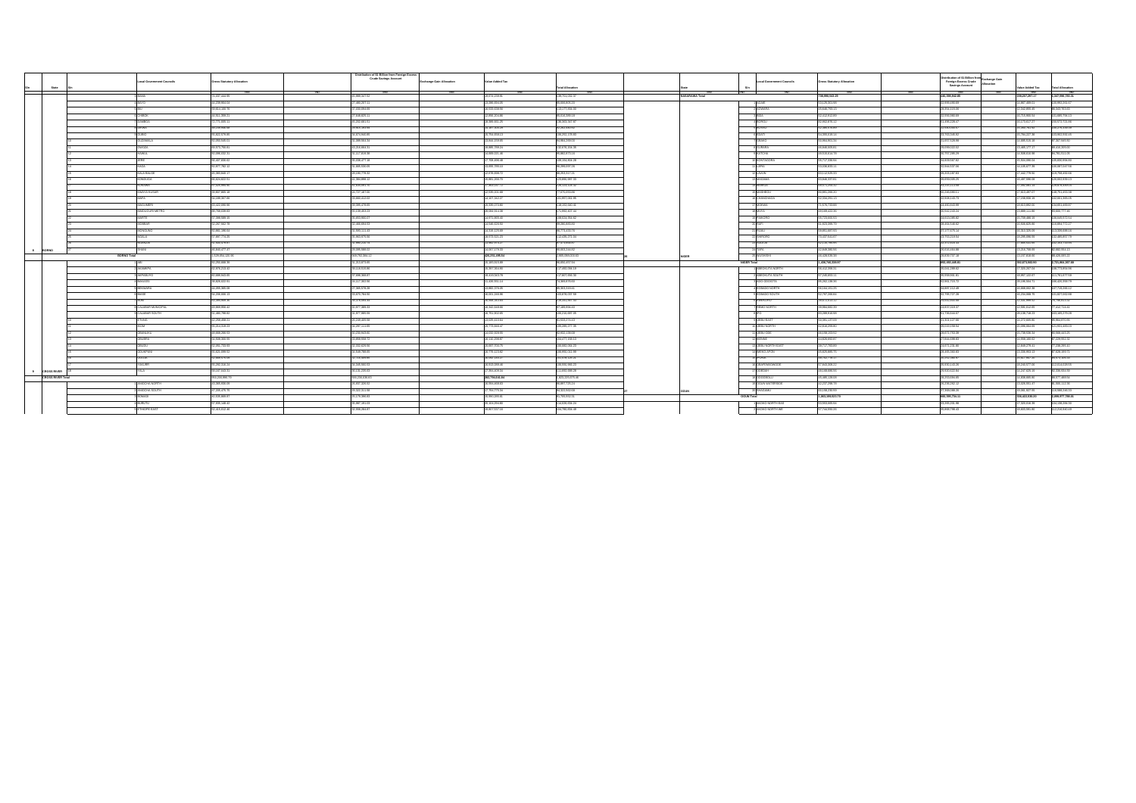|        |                                           |                    |                                  |                                   | istribution of \$1 Billion from Foreign Exces |                         |                                 |                  |                   |             |                               |                            | atribution of \$1 Billion fre |                             |                |                   |
|--------|-------------------------------------------|--------------------|----------------------------------|-----------------------------------|-----------------------------------------------|-------------------------|---------------------------------|------------------|-------------------|-------------|-------------------------------|----------------------------|-------------------------------|-----------------------------|----------------|-------------------|
|        |                                           |                    | <b>Local Government Councils</b> | <b>Gross Statutory Allocation</b> | Crude Savings Account                         | schange Gain Allocation | alue Added Tax                  |                  |                   |             | Local Government Councils     | Gross Statutory Allocation | Foreign Excess Crude          | Exchange Gain               |                |                   |
|        | State                                     |                    |                                  |                                   |                                               |                         |                                 | notas allA lato? |                   |             |                               |                            | <b>Savings Account</b>        | <b><i><u>Patinn</u></i></b> | alue Added Tax | notal Allocation  |
|        |                                           |                    |                                  |                                   |                                               |                         |                                 |                  |                   | n T         |                               |                            | $ -$                          |                             |                | <b>CONTRACTOR</b> |
|        |                                           |                    |                                  | 1,037,444.95                      | 15,989,347.52                                 |                         | 19,674,239.91                   | 139,701,032.37   | <b>RAWA Total</b> |             |                               | 1990.543.29                | 0.398.942.05                  |                             | 198,207,297.17 | 1,347,596,783.31  |
|        |                                           |                    |                                  | 44,239,904.04                     | 7,480,207.11                                  |                         | 3,286,694.05                    | 15,006,005.20    |                   |             |                               | 125,301.98                 | 200,400.69                    |                             | 14,057,409.01  | 00,992,261.67     |
|        |                                           |                    |                                  | 59,614,100.76                     | 030,004.02                                    |                         | 16,533,638.56                   | 13,177,834.00    |                   |             |                               | 646,793.13                 | 1354,115.06                   |                             | 12,342,855.45  | (5,343,763.63)    |
|        |                                           |                    |                                  | 44,511,359.21                     | 27.648.825.11                                 |                         | 12,856,204.86                   | 85,016,389.18    |                   |             |                               | 2,412,912.89               | 03.082.355.02                 |                             | 16.715.900.54  | 01.685.794.13     |
|        |                                           |                    | HIBOK                            |                                   |                                               |                         |                                 |                  |                   |             |                               |                            |                               |                             |                |                   |
|        |                                           |                    | MMOA                             | 22,771,005.11                     | 45,202,681.51                                 |                         | 18,389,001.25                   | 136,353,347.87   |                   |             |                               | 502,876.12                 | 1,496,228.47                  |                             | 6,173,617.2    | 50,572,721.86     |
|        |                                           |                    |                                  | 48,159,946.68                     | 29,915,193.94                                 |                         | 14,187,300.29                   | 22,262,440.92    |                   |             |                               | 385,576.89                 | 2540.000.57                   |                             | 15,350,761.92  | 00,276,339.39     |
|        |                                           |                    | CHECK                            | 55,822,579.85                     | 34,674,940.85                                 |                         | 15,754,058.13                   | 106,252,178.83   |                   |             |                               | 355,019.14                 | 13,763,345.92                 |                             | 15,784,227.38  | 03,902,592.45     |
|        |                                           |                    | <b>JZAMALA</b>                   | 0,050,545.01                      | 31,089,554.34                                 |                         | 13,844,159.65                   | 94,984,269.00    |                   |             |                               | \$64,901.34                | 1.657.528.98                  |                             | 14.605.515.18  | 17:307.945.50     |
|        |                                           |                    | <b>IOZA</b>                      | 0,573,750.81                      | 43,216,664.31                                 |                         | 19,885,789.24                   | 32,676,204.35    |                   |             |                               | 846,005.81                 | 099.022.02                    |                             | 13,465,177.17  | 0,410,205.00      |
|        |                                           |                    | <b>WUL</b>                       | 50,096,032.31                     | 11,117,819.38                                 |                         | 14,669,021.46                   | 95,882,873.16    |                   |             |                               | 515,614.78                 | 0,757,285.29                  |                             | 14,508,610.98  | 14,781,511.05     |
|        |                                           |                    |                                  | 56,407,830.62                     | 5,038,477.18                                  |                         | 7,708,496.48                    | 109, 154, 804.28 |                   |             | <b>IDNTAGOR</b>               | 717,336.94                 | 4,000,007.82                  |                             | 5,504,090.04   | 05,830,994.80     |
|        |                                           |                    | <b>AGA</b>                       | 50,977,782.12                     | 31,005,530.05                                 |                         | 13,655,785.10                   | 06,209,097.26    |                   |             |                               | 1036,833.11                | 30.023.992                    |                             | 14,105,677.39  | 00,087,047.56     |
|        |                                           |                    |                                  |                                   |                                               |                         |                                 |                  |                   |             |                               |                            |                               |                             |                |                   |
|        |                                           |                    | ALA BALGE                        | 5,383,640.17                      | 28,190,778.32                                 |                         | 12,678,698.72                   | 6,253,317.21     |                   |             |                               | 112,525.33                 | 9.203.187.83                  |                             | 7,442,779.50   | 19,758,492.66     |
|        |                                           |                    | <b>ADUGA</b>                     | 6,624,822.51                      | 1,384,898.12                                  |                         | 15,881,266.70                   | 123,090,987.33   |                   |             |                               | 18-TEC.098.1               | E59,005.25                    |                             | 16,497,596.08  | 20,002,939.13     |
|        |                                           |                    | KAMA                             | 57,025,994.90                     | 41,634,091.70                                 |                         | 17,463,037.72                   | 126, 123, 124.32 |                   |             |                               | 571,254.32                 | (215,113.58)                  |                             | 17.092.081.14  | 29,878,449.04     |
|        |                                           |                    | <b>TAYA KUSAR</b>                | 39,807,865.18                     | 24,727,187.00                                 |                         | 12,535,001.68                   | 7,070,053.86     |                   |             | <b>MASHEGL</b>                | 02.002.103.1               | 0,246,690.11                  |                             | 17,613,497.07  | 48,751,453.38     |
|        |                                           |                    |                                  | 54,189,307.66                     | 33,660,412.02                                 |                         | 14,107,342.27                   | 101,957,061.95   |                   |             | <b>HANCHAGA</b>               | 334,291.13                 | 2,508,143.73                  |                             | 17.158.930.19  | 20.235.05(100,00  |
|        |                                           |                    | AGUMERI                          | 53,422,090.96                     | 39.395.478.65                                 |                         | 15,335,070.80                   | 118.152.640.41   |                   |             | <b>MOROVA</b>                 | 576,733.88                 | 44.450.843.99                 |                             | 18,613,892.00  | 134,051,409.87    |
|        |                                           |                    | <b>AIDUGURI METRO</b>            | 0,768,039.83                      | 139,453.23                                    |                         | 28,054,914.38                   | 171,992,407.44   |                   |             |                               | 109,422.36                 | 0,542,243.24                  |                             | 13,889,111.86  | 3,600,777.46      |
|        |                                           |                    | <b>MRTE</b>                      | 57,398,589.15                     | 35,653,900.07                                 |                         | 14,971,865.40                   | 108,024,354.62   |                   |             | PAIKORC                       | 723,000.53                 | 34,613,085.82                 |                             | 15,709,486.19  | 06,045,572.54     |
|        |                                           |                    |                                  |                                   |                                               |                         |                                 |                  |                   |             |                               |                            |                               |                             |                |                   |
|        |                                           |                    | DBBA                             | 52,267,562.78                     | 32,466,694.53                                 |                         | 14,546,626.50                   | 99,280,883.80    |                   |             |                               | 323,333.79                 | 33,464,546.62                 |                             | 16,506,825.86  | 16,094,772.27     |
|        |                                           |                    | ONGUNO                           | 50,051,195.54                     | 31,593,111.43                                 |                         | 14,319,125.09                   | 96,773,433.76    |                   |             |                               | 22.051.037.93              | 177,675.14                    |                             | 03/25/25 09:   | 3,339,688.16      |
|        |                                           |                    | ۹LA                              | ,897,774.25                       | 35,963,975.56                                 |                         | 18,573,521.23                   | 12,435,271.04    |                   |             | SHIROF                        | 1,437,541.67               | 1753,219.54                   |                             | 18,295,096.59  | 132.485.857.79    |
|        |                                           |                    |                                  | 500,479.87                        | 1,990,210.74                                  |                         | 13,982,974.27                   | 27,473,664.87    |                   |             |                               | 115,785.95                 | 2,372,416.33                  |                             | 17,665,531.65  | 02,153,733.94     |
| $\sim$ | <b>DIRROS</b>                             |                    |                                  | 46,840,477.47                     | 19,095,588.02                                 |                         | 14,067,179.33                   | 0,003,244.82     |                   |             |                               | 32.000,000                 | 6.616,464.88                  |                             | 13,216,708.69  | 2,682,554.13      |
|        |                                           | <b>BORNO Total</b> |                                  | 529,054,120.96                    | 040,702,384.12                                |                         | 426,251,495.54                  | 2005.098.000.63  | NAGER             |             |                               | 428,532.38                 | 20,839,707.18                 |                             | 13,157,818.66  | 8,426,065.22      |
|        |                                           |                    |                                  | 50,250,008.39                     | 31,213,873.65                                 |                         | 15,185,915.89                   | 06,650,457.94    |                   | NIGER Total |                               | 1,436,740,338.97           | 092,450,445.81                |                             | 222,673,582.90 | 2,721,064,367.68  |
|        |                                           |                    | КАМЮРА                           | 2,976,213.42                      | 39,118,515.86                                 |                         | 15,397,364.90                   | 7,422,034.19     |                   |             | IEOKUTA NORTH                 | 1412,358.31                | 5,041,289.62                  |                             | 7,320,207.04   | 08,773,854.95     |
|        |                                           |                    | <b>CPABLIYO</b>                  | 50,689,943.65                     | 37,098,368.87                                 |                         | 19,419,343.78                   | 117,807,656.30   |                   |             | <b>BEOKUTA SOUTH</b>          | 245,653.11                 | 15,558,901.81                 |                             | 18,957,122.67  | 11,761,677.59     |
|        |                                           |                    |                                  | 8,826,022.91                      | 117,302.56                                    |                         | 1,426,551.14                    | 4,369,876.60     |                   |             | 10-000/0T/                    | 262,138.36                 | 561,715.72                    |                             | 196.504        | 66,420,358.79     |
|        |                                           |                    | <b>EKWARA</b>                    | 44,055,365.08                     | 27,365,578.28                                 |                         | 13,882,376.05                   | 85,303,319.41    |                   |             | GBADO NORTH                   | 164,151.25                 | 4,887,112.49                  |                             | 16,668,002.38  | 07,719,266.12     |
|        |                                           |                    |                                  | 54,206,006.13                     |                                               |                         | 16,001,246.95                   | 103.878.037.59   |                   |             |                               | 2.797.205.84               | 12.795.727.28                 |                             | 16.234.068.75  |                   |
|        |                                           |                    |                                  |                                   | 33,670,784.50                                 |                         |                                 |                  |                   |             | GEADO SOUTH                   |                            |                               |                             |                | 01,827,062.88     |
|        |                                           |                    |                                  | 53,394,909.36                     | 30,378,594.44                                 |                         | 10,568,343.64                   | 119,341,847.43   |                   |             | IWEKORO                       | 1,672,013.12               | 642,800.68                    |                             | 12,431,999.52  | 5,746,813.32      |
|        |                                           |                    | ALABAR MUNICIPAL                 | 49,869,955.42                     | 30,977,389.33                                 |                         | 10,342,648.00                   | 7.189.994.40     |                   |             | <b>EMO NORTH</b>              | 984 682 39                 | 4.837.019.37                  |                             | 12,591,012.65  | 7,412,714.41      |
|        |                                           |                    | ALABAR SOUTH                     | 51,480,798.82                     | 31,977,985.59                                 |                         | 16,751,902.65                   | 100,210,687.05   |                   |             |                               | 3,209,916.98               | 1,736,644.07                  |                             | 28,138,718.23  | 163, 165, 279.28  |
|        |                                           |                    |                                  | 42,258,458.21                     | 26,249,405.58                                 |                         | 13,025,410.64                   | 1533274.43       |                   |             | JEBU EAST                     | 391,137.09                 | 1,301,127.66                  |                             | 14,272,605.80  | 15.954.870.55     |
|        |                                           |                    |                                  | 55,214,319.23                     | 34,297,111.65                                 |                         | 15,773,846.47                   | 105,285,277.35   |                   |             | <b>JEBU NORTH</b>             | 2,816,259.80               | 12,012,158.54                 |                             | 0,095,064.59   | 21,931,483.03     |
|        |                                           |                    | LOUJIANI                         | 48,008,200.53                     | 0,230,943.60                                  |                         | 14,032,928.55                   | 22,932,138.68    |                   |             | <b>DEBRICOE</b>               | 6,158,153.52               | 20,671,753.39                 |                             | 5,738,536.34   | 0,568,443.25      |
|        |                                           |                    | <b>SUBRA</b>                     | 54,508,300.55                     | 3,858,558.72                                  |                         | 16,110,298.87                   | 104,477,158.13   |                   |             | <b>ENN</b>                    | 126,692.87                 | 28.003.034                    |                             | 14,558,160.52  | 229,552.32        |
|        |                                           |                    | <b>GUDU</b>                      | 52,051,733.93                     | 32,332,629.56                                 |                         | 15,097,700.75                   | 100,082,054.23   |                   |             | <b>JUEBU NORTH EAST</b>       | 1717,783.89                | 84,671,231.80                 |                             | 12,849,279.41  | 7,238,295.10      |
|        |                                           |                    | <b>CUICPANI</b>                  | 55,621,099.52                     | 34,549,788.65                                 |                         | 16,779,123.82                   | 106,950,011.99   |                   |             | <b>HMEKO-AFON</b>             | 5.825.885.75               | 28.465.360.83                 |                             | 13,336,953.13  | 17,628,199.71     |
|        |                                           |                    |                                  | 2,009,575.09                      | 12,716,409.85                                 |                         | 16,092,140.27                   | 01,478,125.21    |                   |             |                               | 1,702,778.17               | 0,252,380.97                  |                             | 15,617,947.20  | 4,573,106.33      |
|        |                                           |                    | AND IDD                          | 5,292,316.24                      | 34,345,560.53                                 |                         | 16,913,009.46                   | 106,550,966.23   |                   |             | <b>BAFEMIOWODE</b>            | 7,843,308.22               | 35, 200, 143, 26              |                             | 18,240,577.06  | 12,014,028.55     |
|        |                                           |                    |                                  |                                   |                                               |                         |                                 |                  |                   |             |                               |                            |                               |                             |                |                   |
|        | 9 CROSS RIVER<br><b>CROSS RIVER Total</b> |                    | <b>YALA</b>                      | 10.097,043<br>50,200,995.79       | 36,131,235.63                                 |                         | 17.394.409.34<br>282,734,641.84 | 111,022,655.25   |                   |             | <b>DOFDAH</b>                 | 3.169.696.56               | 20.020.022.84                 |                             | 14,247,625.19  | 2,336,934.59      |
|        |                                           |                    |                                  |                                   | 100,230,036.83                                |                         |                                 | 123,225,675.46   |                   |             | <b>DOGBOLU</b>                | 405,120.00                 | 253,694.65                    |                             | 14.838.605.80  | 18,577,488.54     |
|        |                                           |                    | NIOCHA NORTH                     | 43,365,930.09                     | 26,937,326.52                                 |                         | 10,594,468.63                   | 86,097,725.24    |                   |             | <b>DGUN WATERSDE</b>          | 2.237.298.78               | 26.236.262.12                 |                             | 13.026.551.47  | 11,500,112.36     |
|        |                                           |                    | :HA SOU                          | 205,475.75                        | 0,322,311.58                                  |                         | ,794,775.3                      | 1,322,562.68     |                   |             |                               | 158,230.5                  | 368,088.20                    |                             | 1,061,927.55   | 1,588,246.33      |
|        |                                           |                    | OMADI                            | 40,535,869.87                     | 25,179,396.83                                 |                         | 15,990,285.61                   | 15,705,552.31    |                   | OGUN Total  |                               | 063,159,523.70             | 000395734.11                  |                             | 336,422,530.20 | 2,059,977,788.01  |
|        |                                           |                    | <b>URUTL</b>                     | 7,935,148.42                      | 35,987,191.03                                 |                         | 20,104,294.80                   | 14,026,634.24    |                   |             | <b><i>UICKO NORTH EAS</i></b> | 553,055.94                 | 3,265,201.98                  |                             | 7,320,016.39   | 06,138,284.30     |
|        |                                           |                    | THIOPE EAST                      | 52,415,012.46                     | 32,558,284.87                                 |                         | 19,807,537.16                   | 104,780,834.49   |                   |             | AKOKO NORTH WE                | 744,550.26                 | 15,000,750.43                 |                             | 18,603,591.80  | 12:216.940.49     |
|        |                                           |                    |                                  |                                   |                                               |                         |                                 |                  |                   |             |                               |                            |                               |                             |                |                   |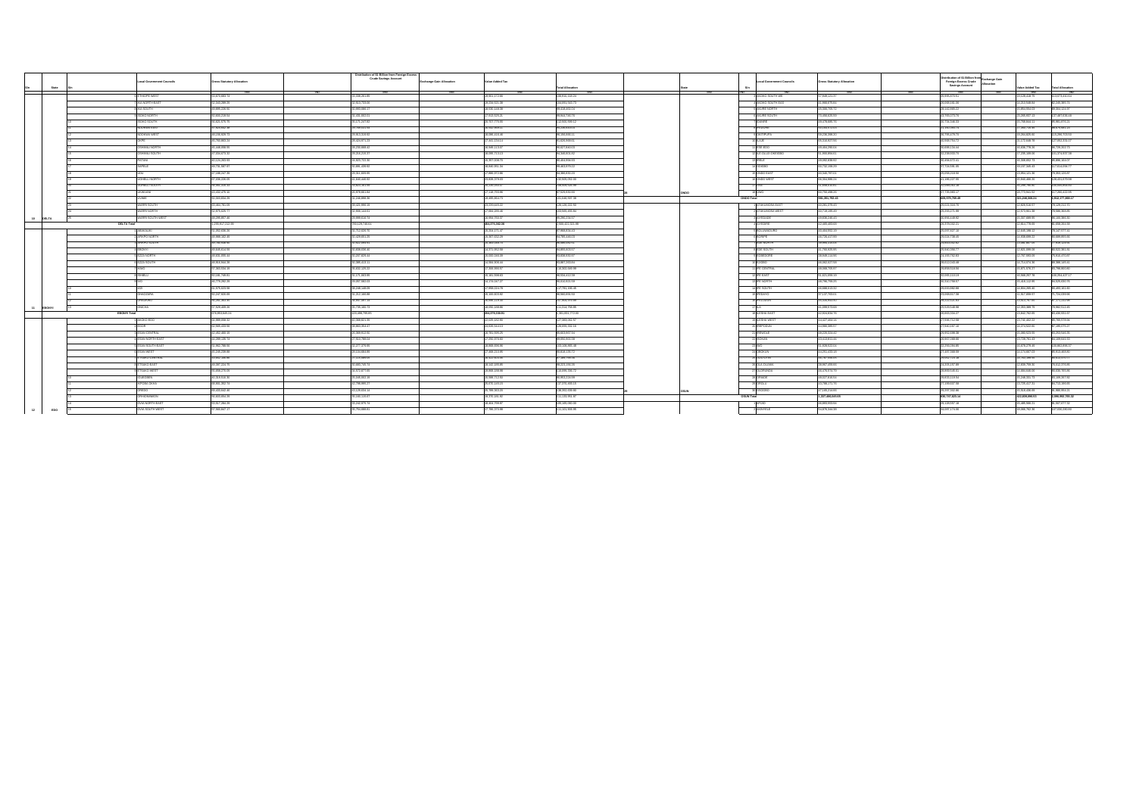|          |           |                    |                                  |                          | <b>Distribution of \$1 Billion from Foreign Exces</b> |                         |                               |                                |  |            |                           |                            | Distribution of \$1 Billion fro   |                   |                |                  |
|----------|-----------|--------------------|----------------------------------|--------------------------|-------------------------------------------------------|-------------------------|-------------------------------|--------------------------------|--|------------|---------------------------|----------------------------|-----------------------------------|-------------------|----------------|------------------|
|          |           |                    | <b>Local Government Councils</b> | oss Statutory Allocation | Crude Savings Account                                 | schange Gain Allocation | alue Added Tax                |                                |  |            | Local Government Councils | Gross Statutory Allocation | Foreign Excess Crude              | hange Gain        |                |                  |
|          | State     |                    |                                  |                          |                                                       |                         |                               | notazofiA lato                 |  |            |                           |                            | <b>Savings Account</b>            | ration.           | alue Added Tax | notabilities     |
|          |           |                    |                                  |                          |                                                       |                         |                               |                                |  | $\sim$     |                           |                            | <b>Contract Contract Contract</b> | <b>CONTRACTOR</b> |                | $  -$            |
|          |           |                    | THOPE WEST                       | (670.683.74              | 138,261.85                                            |                         | 901,172.66                    | 6,910,118.24                   |  |            | MOKO SOUTH WE             | 949,121.3                  | 5,995,870.5                       |                   | 128,418.75     | 173,410.64       |
|          |           |                    | <b>CA NORTH EAST</b>             | 2,343,289.29             | 2,513,733.06                                          |                         | 9,234,521.38                  | 04,091,543.73                  |  |            | AKOKO SOUTH EAS           | 905,575.84                 | 5,058,151.05                      |                   | 210,548.84     | 245,385.74       |
|          |           |                    | IKA SOUTH                        | 0,095,226.50             | 0,993,086.17                                          |                         | 18,530,148.38                 | 20,418,461.04                  |  |            | VOIRE NORTH               | 306,705.72                 | 20,142,005.22                     |                   | 5,854,554.03   | 0,304,124.97     |
|          |           |                    | <b>ISOKO NORTH</b>               | 000,219.54               | 1,431,002.01                                          |                         | 17,913,525.21                 | 0,944,746.76                   |  |            | AKURE SOUTH               | 0.456 625.59               | 43,765,073.76                     |                   | 23,265,937.13  | 37.487.636.48    |
|          |           |                    | SOKO SOUTH                       | 1,621,575.75             | 35,171,247.82                                         |                         | 20,707,775.55                 | 12,500,599.12                  |  |            | <b>IANR</b>               | 9,478,685.76               | 30,734,346.33                     |                   | 5.768.844.1    | 5,981,876.21     |
|          |           |                    |                                  |                          |                                                       |                         |                               |                                |  |            |                           |                            |                                   |                   |                |                  |
|          |           |                    | DOKWA EAST                       | 7,924,642.38             | 9,769,031.54                                          |                         | 16,542,969.11                 | 4,236,643.03                   |  |            | EDORE                     | 164,572.03                 | 1,150,393.74                      |                   | 7,350,715.45   | 18,675,681.23    |
|          |           |                    | DOKWA WEST                       | 48,156,929.73            | 29,913,319.92                                         |                         | 18,005,416.46                 | 11.000,000                     |  |            | CIGTIPUPA                 | 59,236,398.20              | 36,725,479.70                     |                   | 19,264,825.60  | 15,296,703.50    |
|          |           |                    | <b>KDE</b>                       | 1,760,863.24             | 8,424,971.23                                          |                         | 7,441,134.14                  | 13.836,958.61                  |  |            | LAE                       | 310.927.56                 | 40.568.754.72                     |                   | 172,648.78     | 27,052,331.07    |
|          |           |                    | SHIMLI NORTH                     | 448,058.55               | 28,230,668.42                                         |                         | 16,949,113.07                 | 00,627,840.03                  |  |            | ESE-EDO                   | 9,404,290.04               | 10,688,134.44                     |                   | 6,636,778.26   | 5,729,202.73     |
|          |           |                    | SHMLI SOUTH                      | 034,673.32               | 9,216,215.37                                          |                         | 8,095,713.13                  | 4,346,601.82                   |  |            | <b>E-OLUJI-OKEIGB</b>     | 300,094.61                 | 32,238,933.70                     |                   | 235,109.06     | 01,374,937.38    |
|          |           |                    | <b>TANI</b>                      | 124,253.93               | 4,923,722.30                                          |                         | 15,357,008.70                 | 0,404,934.93                   |  |            |                           | 092,838.92                 | 1494,672.41                       |                   | 6,308,652.73   | 1,036,164.07     |
|          |           |                    | <b>APELE</b>                     | 9,731,587.97             | 30,091,439.92                                         |                         | 18,840,951.34                 | 20,463,979.22                  |  |            | 30168                     | 0,732,158.29               | 37,724,591.05                     |                   | 9,157,345.43   | 17,614,094.77    |
|          |           |                    | DU.                              | 100.247.32               | 9.311.609.95                                          |                         | 7.886.972.86                  | 1,386,830.20                   |  |            | DNDO EAS                  | 340.787.01                 | 25.058.218.50                     |                   | 3,954,121.36   | 2.353.126.67     |
|          |           |                    | GHELLI NORTH                     | 036,226.05               | (640,446.92                                           |                         | 3,828,379.03                  | 32,505,052.00                  |  |            | INDO WES                  | 304,986.24                 | 1,186,227.55                      |                   | 0,940,405.20   | 28,431,679.98    |
|          |           |                    |                                  |                          |                                                       |                         |                               |                                |  |            |                           |                            |                                   |                   |                |                  |
|          |           |                    | UGMELLI SOUTH                    | 54,451,315.33            | 33,823,161.59                                         |                         | 20,235,050.07                 | 108,509,526.99                 |  |            |                           | 1,058,010.81               | 32,088,063.18                     |                   | 16,299,790.80  | 00,045,864.80    |
|          |           |                    | KWUANI                           | 432,475.10               | 1,978,001.84                                          |                         | 17,118,793.96                 | 7,529,930.90                   |  |            |                           | 750,498.26                 | 7,735,983.17                      |                   | 8,773,941.52   | 7,260,422.95     |
|          |           |                    | wwe                              | 0,303,834.29             | 1,246,898.36                                          |                         | 19,495,064.73                 | 01,046,597.38                  |  | ONDO Total |                           | 81,351,792.43              | 009,579,769.49                    |                   | 121,246,306.24 | 012,177,008.17   |
|          |           |                    | VARRI SOUTH                      | 53,464,781.09            | 39.421.996.19                                         |                         | 23 23 24 44 5 22              | 126.126.222.50                 |  |            | <b>TAKUMOSA EAS</b>       | 0.201.379.43               | 25.021.316.70                     |                   | 2826.516.57    | 8.129.212.70     |
|          |           |                    | HTRICKI NARM                     | 975,025.77               | 2,906,144.61                                          |                         | 17,684,285.46                 | 3,555,455.84                   |  |            | <b>AKUMOSA WES</b>        | (719,195.49)               | 25,293,271.99                     |                   | 12,573,901.38  | 8,586,368.85     |
| 10 DELTA |           |                    | ARRI SOUTH-WEST                  | 48,295,857.46            | 9,999,616.74                                          |                         | 10,004,700.37                 | 5,290,234.57                   |  |            | VYEDADE                   | 0.836,246.43               | 30,956,449.92                     |                   | 15,307,689.95  | 00.380,007,39    |
|          |           | <b>DELTA Total</b> |                                  | 255,917,212.99           | 780,129,746.64                                        |                         | 464,375,362.36                | 2,500,422,321.98               |  |            | ANTIDIRE                  | 2,405,483.68               | 26,378,002.21                     |                   | 12,814,778.69  | 1,058,264.58     |
|          |           |                    | <b>BAKALIKI</b>                  | 052,636.26               | 1,712,026.70                                          |                         | 5.204.171.47                  | 7,958,834.43                   |  |            | <b><i>CLUWADURO</i></b>   | 404,552.19                 | 25,097,827.10                     |                   | 2,645,198.12   | 8.147.577.41     |
|          |           |                    | <b>FIKPO NORTH</b>               | 8,988,162.49             | 0,429,651.25                                          |                         | 15,367,632.29                 | 4,785,446.03                   |  |            | <b>ICRIP</b>              | 1726,417.99                | 29,024,738.45                     |                   | 1938.699.22    | 609.055.00       |
|          |           |                    | <b>JERO SOUTH</b>                | 9,780,938.90             | 0,922,094.91                                          |                         | 15,383,048.70                 | 06,086,082.51                  |  |            | EDE NORTH                 | 204,315.04                 | 24,843,002.82                     |                   | 13,081,807.05  | 1,919,124.91     |
|          |           |                    |                                  | 645,614.59               | 0,838,035.40                                          |                         | 14,371,952.58                 | 4,855,603.57                   |  |            | EDE SOUTH                 | 760,925.95                 | 25,940,356.77                     |                   | 2,821,099.08   | 1,522,381.81     |
|          |           |                    | EZZA NORTH                       | 8,631,055.44             | 0,207,829.44                                          |                         | 15,000,046.09                 | 23,838,930.97                  |  |            | <b>GBEDORE</b>            | 1,949,114.96               | 24,193,762.83                     |                   | 2,767,593.09   | 1,910,470.87     |
|          |           |                    |                                  |                          |                                                       |                         |                               |                                |  |            |                           |                            |                                   |                   |                |                  |
|          |           |                    | EZZA SOUTH                       | 48,916,944.28            | 30.385.413.11                                         |                         | 14,584,905.44<br>7,306,990.57 | 23,887,263.84<br>10,302,643.99 |  |            | CODOLS                    | 062,027.58                 | 28,612,043.48                     |                   | 14,714,074.36  | 19,388,145.41    |
|          |           |                    |                                  | (363,534.19)             | 5,632,125.22                                          |                         |                               |                                |  |            | FE CENTRA                 | 068,705.97                 | 29,858,518.56                     |                   | 5,871,576.27   | 1,738,800.80     |
|          |           |                    | <b>210LU</b>                     | 0,181,749.81             | 1,171,063.95                                          |                         | 15,181,598.63                 | 6,534,412.39                   |  |            | FE EAST                   | 1,621,059.19               | 32,065,110.19                     |                   | 6,568,257.78   | 00,254,427.17    |
|          |           |                    |                                  | 6,779,292.29             | 9,057,582.03                                          |                         | 4,174,047.27                  | 0,010,921.59                   |  |            | IFE NORTI                 | 196,759.25                 | 0,310,758.57                      |                   | 5,418,112.95   | 1,525,630.76     |
|          |           |                    |                                  | 575,023.58               | 8,248,148.09                                          |                         | 17,958,024.78                 | 17.781.196.45                  |  |            | <b><i>ATE SOUTH</i></b>   | EGG.013.32                 | 29,000,882.88                     |                   | 14,004,205.40  | 1,423,161.60     |
|          |           |                    | <b>CHAOZARA</b>                  | 50.247.920.69            | 31,212,100.88                                         |                         | 15.100.603.92                 | 06,560,691.50                  |  |            | FEDAYO                    | 17.137.763.01              | 23,008,617.38                     |                   | 11.517.659.57  | ,724,032.95      |
|          |           |                    | DMALIKWU                         | 56,261,363.45            | 34,947,497.14                                         |                         | 16,096,119.30                 | 07,004,979.89                  |  |            | FELODUN                   | 5,434,943,50               | 28,222,521.83                     |                   | 13,513,767.65  | 171,232.98       |
|          | 11 EBONYI |                    | NICHA                            | 57,529,409.26            | 35,735,160.73                                         |                         | 18,050,188.86                 | 11.314.758.85                  |  |            |                           | 099.573.68                 | 25,529,548.98                     |                   | 12,353,389.79  | 8,982,512.45     |
|          |           | EBONYI Total       |                                  | 76,953,645.24            | 420,498,795.85                                        |                         | 204,379,330.91                | 1,301,831,772.00               |  |            | LESHA EAST                | 324,834.76                 | 26,663,334.27                     |                   | 13,842,762.65  | 1,430,931.61     |
|          |           |                    | <b>OCE CINCINA</b>               | 4,989,058.32             | 40,368,821.35                                         |                         | 22,025,182.90                 | 27.383.062.57                  |  |            | <b>LESHA WES</b>          | 44.427.464.14              | 27.596.712.58                     |                   | 1741.402.22    | 1705.578.94      |
|          |           |                    | GOR                              | 565,433.56               | 8,863,354.47                                          |                         | 24,626,544.13                 | 26,055,332.16                  |  |            |                           | 380,385.57                 | 7,940,167.10                      |                   | 274,522.80     | 195,075.27       |
|          |           |                    | <b>SAN CENTRAL</b>               | 42,452,460.19            | 26,369,912.50                                         |                         | 16,781,595.25                 | 5,003,967.94                   |  |            | REWOLE                    | 220,324.42                 | 20,052,008.38                     |                   | 5,080,523.55   | 1,253,546.35     |
|          |           |                    | SAN NORTH EAST                   | 4,289,135.74             | 510,788.04                                            |                         | 7,250,976.60                  | 0,050,900.38                   |  |            |                           | 413,811.44                 | 33.530,7,002.00                   |                   | 1,728,761.43   | 109,641.53       |
|          |           |                    |                                  |                          |                                                       |                         |                               |                                |  |            |                           |                            |                                   |                   |                |                  |
|          |           |                    | SAN SOUTH EAST                   | 1,962,788.56             | 2,277,379.95                                          |                         | 18,003,000.90                 | 03,108,865.48                  |  |            |                           | 928,522.04                 | 32,256,094.85                     |                   | 16,678,279.49  | 00,862,896.37    |
|          |           |                    | <b>ESAN WEST</b>                 | 5,245,239.88             | 28.104.684.89                                         |                         | 17,468,210.95                 | 00.818.135.72                  |  |            | 24 OBDIO.IN               | 4251.433.18                | 27,487,368.59                     |                   | 14,174,667.03  | 5.913.468.00     |
|          |           |                    | <b>TSAKO CENTRAL</b>             | 052,106.06               | 115,000.05                                            |                         | 6,422,603.45                  | ,189,799.36                    |  |            | ODO-OTIN                  | 33.355.05                  | 29,062,715.18                     |                   | 4,763,199.55   | 613,470.77       |
|          |           |                    | TSAKO EAST                       | 49,397,224.75            | 30,683,745.74                                         |                         | 18,142,185.85                 | 03,223,156.35                  |  |            | <b>DLA-OLUW</b>           | 33,957,459.66              | 24,205,157.89                     |                   | 2,839,759.30   | 6,012,376.85     |
|          |           |                    | TSAKO WEST                       | 55.658.270.09            | 34,572,877.65                                         |                         | 19,868,188.98                 | 10.099.336.72                  |  |            | 27 OLORUNDA               | 6.476.574.79               | 28.869.545.01                     |                   | 4.684.646.06   | 0,030,765.86     |
|          |           |                    | <b>GUEGBEN</b>                   | 0,319,510.30             | 5,045,002.19                                          |                         | 15,588,712.50                 | 0,953,224.99                   |  |            | ORIADE                    | 1,027,816.54               | 29,833,119.54                     |                   | 5,248,331.73   | 1,109,267.82     |
|          |           |                    | <b>SPODA OKHA</b>                | 8.901.352.74             | 1708.995.27                                           |                         | 25.670.145.15                 | 37.370.493.15                  |  |            | 29 OROLD                  | 1,788,171.76               | 7.199.607.58                      |                   | 1725.417.31    | 4,713,196.65     |
|          |           |                    |                                  | 433,642.46               | 129,634.                                              |                         | 5,789,361.20                  | 8,352,639.00                   |  |            |                           | 165,214.1                  | 1,297,302.86                      |                   | 518,436.69     |                  |
|          |           |                    | REFERANTING                      | 6,003,654.29             | 5,160,115.67                                          |                         | 19,370,181.92                 | 11,133,951.87                  |  | OSUN Total |                           | 1,337,406,045.65           | 830,747,623.14                    |                   | 422.839.096.53 | 2,590,992,765.32 |
|          |           |                    | VIA NORTHEAST                    | 3,517,284.29             | 1,242,975.74                                          |                         | 18,404,799.97                 | 05,165,060.00                  |  |            |                           | 893,553.94                 | 29,128,557.18                     |                   | 5,485,566.21   | ,507,677.32      |
|          | cpo       |                    | <b>TESM HTUDE ANY</b>            | 550.847.17               | 35,754,688.81                                         |                         | 7,786,370.98                  | 11,101,906.95                  |  |            | <b>AKINYELI</b>           | 80 MC 3TB, N               | 34.087.174.06                     |                   | 18,006,762.36  | 07,030,280.80    |
| 12       |           |                    |                                  |                          |                                                       |                         |                               |                                |  |            |                           |                            |                                   |                   |                |                  |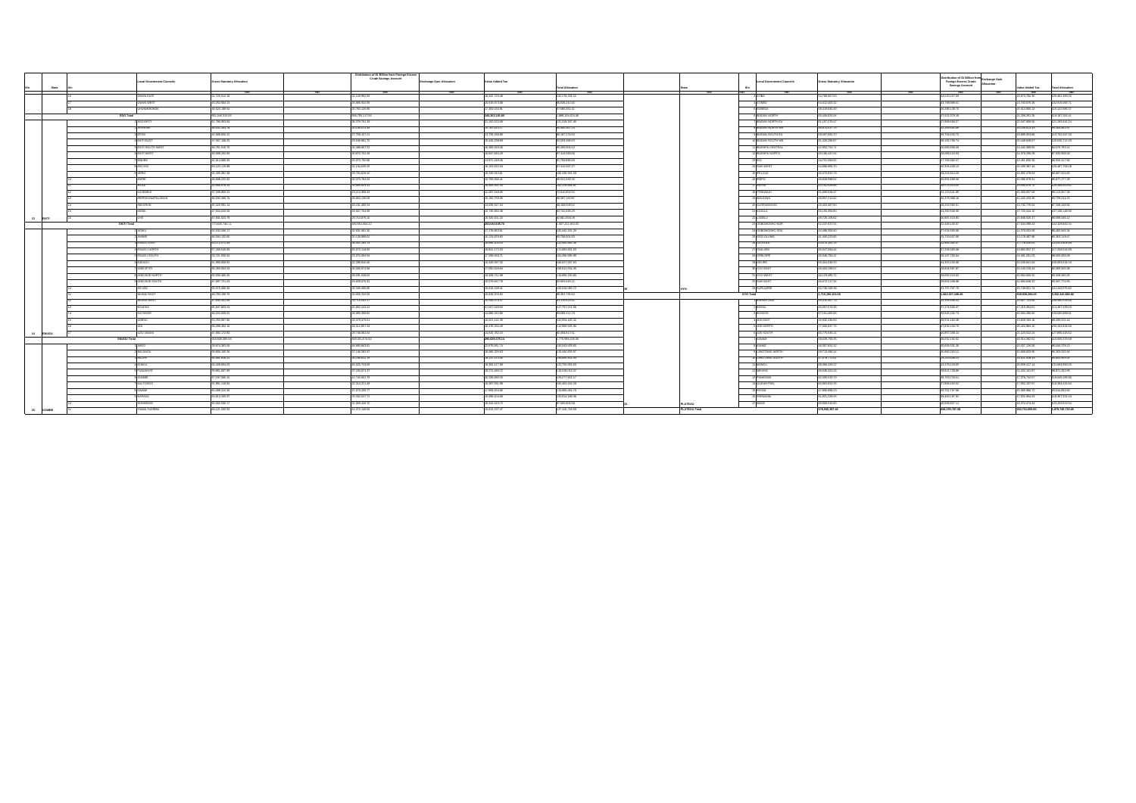|        |          |                    |                                  |                           | Clatribution of \$1 Billion from Foreign Exce |                         |                        |                  |                      |              |                           |                            | stribution of \$1 Billion fro |                             |                 |                         |
|--------|----------|--------------------|----------------------------------|---------------------------|-----------------------------------------------|-------------------------|------------------------|------------------|----------------------|--------------|---------------------------|----------------------------|-------------------------------|-----------------------------|-----------------|-------------------------|
|        |          |                    | <b>Local Government Councils</b> | ross Statutory Allocation | Crude Savings Account                         | achange Gain Allocation | <b>Value Added Tax</b> |                  |                      |              | Local Government Councils | Gross Statutory Allocation | Foreign Excess Crude          | Exchange Gain<br>Alloyation |                 |                         |
|        | State    |                    |                                  |                           |                                               |                         |                        | notation late    |                      | <b>Still</b> |                           |                            | <b>Savings Account</b>        |                             | Value Added Tax | <b>Total Allocation</b> |
| $\sim$ |          |                    |                                  |                           |                                               |                         |                        |                  |                      | $\sim$       |                           |                            |                               |                             | $ -$            | a Na<br>105,462,495.02  |
|        |          |                    | <b>NAN EAST</b>                  | 725.512.18                | 129.992.56                                    |                         | 8.422.724.48           | 2.278.229.2      |                      |              |                           | 768,567.63                 | 020.227.09                    |                             | 16,673,700.30   |                         |
|        |          |                    | WAN WEST                         | 3,252,604.13              | 26,066,932.59                                 |                         | 16,516,673.68          | 06,036,210.40    |                      |              | ATISBO                    | 1,412,400.32               | 13,798,989.01                 |                             | 14,703,676.39   | 02,915,065.71           |
|        |          |                    | <b>HUNMAVONDE</b>                | 0,520,189.54              | 0,760,126.96                                  |                         | 1200.034.91            | 580.351.41       |                      |              |                           | 419 540 49                 | 05,288,139.75                 |                             | 20.414.806.13   | 15, 122, 586.37         |
|        |          | EDO Total          |                                  | 51,046,315.05             | 590,755,117.56                                |                         | 346,303,191.05         | 888,104,624.46   |                      |              | <b>IDAN NORTH</b>         | A05,520.94                 | 7,522,379.19                  |                             | 21,258,261.28   | 119,187,261.41          |
|        |          |                    | <b>DO EKITI</b>                  | 1.786.953.84              | 38,379,791.39                                 |                         | 1,152,522.68           | 121,319,267.90   |                      |              | <b>DAN NORTHEA</b>        | 1,157,275.47               | 17.988.658.27                 |                             | 22,047,608.50   | 21,193,542.24           |
|        |          |                    | <b>INDICATE</b>                  | 8,532,343.78              | 0,146,513.38                                  |                         | 15.787.610.17          | 14,405,467.33    |                      |              | <b>DAN NORTH WE</b>       | 8,875,537.75               | 10.359.692.89                 |                             | 16,109,613.33   | 5,344,843.97            |
|        |          |                    |                                  |                           |                                               |                         |                        |                  |                      |              |                           |                            |                               |                             |                 |                         |
|        |          |                    | EFON .                           | 4,688,900.42              | 7,759,107.21                                  |                         | 13,739,206.00          | 05,187,274.50    |                      |              | A3 HTUDE WAG              | 0,097,550.70               | 05,709,232.73                 |                             | 19,895,563.88   | 15,702,347.30           |
|        |          |                    | EKITI EAST                       | 7.567.168.25              | 9,546,981.70                                  |                         | 5,445,238.68           | 1,559,388.63     |                      |              | <b>DAN SOUTH WE</b>       | 426,298.87                 | 33,155,765.74                 |                             | 10.448.648.67   | 20,030,713.29           |
|        |          |                    | KITI SOUTH WEST                  | 8,761,516.75              | 0,288,867.22                                  |                         | 6,358,920.45           | \$3,306,009      |                      |              | <b>RAPA CENTRAL</b>       | 1,952,724.71               | 04.533,053,0                  |                             | 14,442,322.92   | 14,075,783.12           |
|        |          |                    | <b>XITI WEST</b>                 | 0,008,202.99              | 30,870,702.39                                 |                         | 16,847,664.29          | 23.032,074.7     |                      |              | ARAPA NORTH               | 106,447.04                 | 28,068,164.93                 |                             | 14,379,296.29   | 7,633,908.26            |
|        |          |                    | MURE                             | 11,814,686.55             | 5,973,750.89                                  |                         | 13,971,449.45          | 03.000.027.1     |                      |              |                           | 701,594.92                 | 706,992.57                    |                             | 14,451,830.35   | 320,417.84              |
|        |          |                    | 120-00                           | 0,123,119.98              | 134,645.25                                    |                         | 16,152,822.04          | 7,410,587.27     |                      |              | 14 SAKI WES               | 386,965.70                 | 0,305,405.15                  |                             | 20,295,387.44   | 25,487,758.28           |
|        |          |                    | ERO-                             | 54,405,381.38             | 0.794.629.10                                  |                         | 18,235,910.81          | 06.435.921.29    |                      |              | relox                     | A70.831.73                 | 26.244.014.29                 |                             | 14.952.278.63   | 8.667.924.65            |
|        |          |                    | CERE                             | 1,098,222.83              | 30,373,784.03                                 |                         | 5,759,586.41           | 031,593.26       |                      |              |                           | 828,598.92                 | 32.003,132.0                  |                             | 5,096,978.91    | 15,877,277.39           |
|        |          |                    |                                  |                           |                                               |                         | 00.02.009.00           |                  |                      |              |                           |                            |                               |                             |                 |                         |
|        |          |                    | <b>IKOLE</b>                     | 2,956,479.14              | 32,894,624.12                                 |                         |                        | 02,315,664.61    |                      |              |                           | 2,102,528.88               | 38,575,815.05                 |                             | 19,590,579.70   | 20,268,923.62           |
|        |          |                    | <b>LIMES</b>                     | 209,855.24                | 113,398.43                                    |                         | 12,287,548.85          | 1,610,802.52     |                      |              |                           | 022.028.47                 | 113,541.85                    |                             | 15,300,937.08   | 113,507.39              |
|        |          |                    | EPCOUNVELODUN                    | 6,532,260.74              | 28,904,135.08                                 |                         | 15,150,755.05          | 0,587,150.87     |                      |              | <b>AWOLAWIE</b>           | 8,907,212.62               | 30,379,368.16                 |                             | 14,442,433.36   | 3,729,014.15            |
|        |          |                    | SE/ORUN                          | 45,320,591.14             | 28, 151, 490.34                               |                         | 14,635,927.04          | 55,108,008.52    |                      |              | 20 OLORUNSOGO             | 5,403,487.50               | 28, 202, 982.51               |                             | 13.732.776.64   | 17,339,246.66           |
|        |          |                    | <b>ADO</b>                       | 504,033.29                | 9,507,764.58                                  |                         | 5,730,860.38           | 1742,058.25      |                      |              | <b>AJOLA</b>              | 155,394.80                 | 4,200,509.95                  |                             | 7,720,244.15    | 7,136,148.90            |
|        |          |                    |                                  | 7,831,023.79              | 29,710,879.10                                 |                         | 15,320,001.20          | 22,861,904.09    |                      |              |                           | 0.725,109.82               | 0,887,415.93                  |                             | 15,946,520.37   | 6,559,046.12            |
|        |          | <b>EXITI Total</b> |                                  | 73,630,740.11             | 480,551,064.22                                |                         | 253,040,645.70         | 1,507,222,450.03 |                      |              | <b>ROW OH SOMOGEO</b>     | 2,237,637.54               | 32,448,106.07                 |                             | 17,644,098.43   | 02,329,842.04           |
|        |          |                    |                                  | 1532,206.17               | 2,631,081.30                                  |                         | 17.278.063.01          | 02,442,151.29    |                      |              | GBOMOSHO SOU              | 03.000,000.0               | 53.003,403                    |                             | 14,370,033.06   | 6,422,545.34            |
|        |          |                    | <b>UNIVER</b>                    | 1,504,132.60              | 0.128.989.62                                  |                         | 15,124,879.60          | 3.758.001.83     |                      |              | 25 OGO-OLUMA              | 405,223.85                 | 5,719,407.66                  |                             | 13,178,487.96   | 10,333,119.47           |
|        |          |                    | ENUGU EAST                       | 53,272,072.59             | 39.302.292.74                                 |                         | 19,986,100.03          | 122.560.465.36   |                      |              | 26 OLUYOLE                | 3,070,391.76               | 12 965 382 47                 |                             | 17.778.030.63   | 03.813.804.86           |
|        |          |                    | <b>INUGU NORTH</b>               | 7,268,540.99              | 35,573,118.92                                 |                         | 18,841,172.03          | 1,682,831.93     |                      |              | <b>ONA-ARA</b>            | 0.047,594.44               | 37,259,365.00                 |                             | 19,862,557.37   | 7,209,516.89            |
|        |          |                    | NUGU SOUTH                       | 53,721,930.64             | 33,370,094.54                                 |                         | 17.298.560.71          | 04.390.585.09    |                      |              | RELOR                     | 346,784.41                 | 28,167,760.64                 |                             | 14,491,291.03   | 80.005,836.08           |
|        |          |                    | <b>ZEAGU</b>                     | 1,999,059.92              | 2,299,910.40                                  |                         | 16,328,597.32          | 00,627,567.63    |                      |              | <b>29 ORI IRE</b>         | 5,304,532,33               | 30.023.153.00                 |                             | 16,035,841.94   | 05,093,534.33           |
|        |          |                    | <b>GRO FTITI</b>                 | 56,355,502.03             | 5,005,972.58                                  |                         | 7,650,529.84           | 0.012.004.45     |                      |              | 30 OYO EAST               | 6.404.199.07               | 20,024,587.07                 |                             | 5.140.218.44    | 0.300.005.38            |
|        |          |                    | <b>GO EZE NORTH</b>              | 030,460.20                | 8,531,048.62                                  |                         | 9,328,711.98           | 0,090,220.00     |                      |              | YO WES                    | 123,485.72                 | (550,219.03                   |                             | 5,554,555.50    | 0,328,260.25            |
|        |          |                    |                                  |                           |                                               |                         | 579,847.78             | 905.645.1        |                      |              |                           |                            | 28, 291, 008.88               |                             |                 |                         |
|        |          |                    | <b>GBO EZE SOUTH</b>             | 697,721.03                | 428,076.31                                    |                         |                        |                  |                      |              |                           | 672,117.34                 |                               |                             | 14,684,648.32   | 0,347,774.55            |
|        |          |                    | <b>ELUZO</b>                     | 2,072,400.46              | 32,345,466.85                                 |                         | 15.616.198.41          | 0.034.005.72     |                      |              | RULERI                    | 2,736,156.38               | 12.757.767.70                 |                             | 5.749.651.74    | 01,243,575.82           |
|        |          |                    | NKANU EAST                       | 49,794,199.76             | 30,930,332.06                                 |                         | 15,628,203.82          | 05,352,735.64    |                      | OYO Total    |                           | 1,710,190,152.06           | 1,062,307,448.45              |                             | 549,945,284.29  | 1,122,442,884.82        |
|        |          |                    | KANU WEST                        | ,540,301.99               | 2716.642.37                                   |                         | 558,679.47             | 1,115,623.82     |                      |              | RKIN LADI                 | 310,487.79                 | 20.848.03                     |                             | 16,827,703.66   | 06,495,039.48           |
|        |          |                    | <b>SUKKA</b>                     | 5,847,803.24              | 40,902,242.22                                 |                         | 1,007,529.50           | 27,757,574.96    |                      |              |                           | 0,007,574.36               | 17,274,506.07                 |                             | 17,215,354.61   | 14.497.435.03           |
|        |          |                    | DJI RIVER                        | 1,224,609.02              | 29,955,359.82                                 |                         | 14,886,242.86          | 1,055,211.70     |                      |              |                           | 191,465.96                 | 15,525,242.73                 |                             | 16,934,280.92   | 09,650,989.61           |
|        |          |                    | <b>DENU</b>                      | 3,253,907.96              | 1,079,376.01                                  |                         | 16,621,141.35          | 02,954,425.32    |                      |              |                           | 332,336.89                 | 80431,484.38                  |                             | 13,829,194.18   | 223,015.44              |
|        |          |                    |                                  | 8,298,354.16              | 36,212,807.34                                 |                         | 18,478,334.49          | 12,989,505.99    |                      |              | JOS NORTH                 | 000,847.75                 | 7,830,104.75                  |                             | 25,322,884.16   | 33,325,636.00           |
|        | 14 ENUGU |                    | <b>UZO UWANI</b>                 | 7,892,172.83              | 29,748,862.64                                 |                         | 14,815,782.15          | 22,456,817.61    |                      |              | <b>GUOS SOUTH</b>         | 1775,545.14                | 40,857,358.14                 |                             | 21,223,522.24   | 27,856,425.52           |
|        |          | <b>ENUGU Total</b> |                                  | 6,605,385.58              | 80,361,674.34                                 |                         | 290,029,375.14         | 75,996,435.06    |                      |              |                           | 039,793.35                 | 052,192.62                    |                             | 16,514,392.61   | 10,006,378.58           |
|        |          |                    | acios                            | 8,874,353.09              | 48,993,863.81                                 |                         | 2,675,651.74           | 0,543,878.65     |                      |              | CANDCE                    | 1,357,920.32               | 0,059,331.26                  |                             | 5,027,126.56    | 15,044,378.13           |
|        |          |                    | BALANGA                          | 59,806,155.36             | 37,149,391.97                                 |                         | 15,405,329.63          | 15,440,876.97    |                      |              | ANGTANG NORTH             | 1,713,496.44               | 00,880,202.12                 |                             | 15,009,833.90   | 05,263,532.46           |
|        |          |                    | ELRI                             | 6,581,916.22              | 5,146,612.78                                  |                         | 18,137,373.45          | 19,865,902.44    |                      |              | WGTANG SOUTH              | 078,772.61                 | 243,608.23                    |                             | 14,521,528.33   | 0,843,909.16            |
|        |          |                    | <b>DUKKU</b>                     | 4,428,694.03              | 0,020,743.59                                  |                         | 18,306,117.98          | 22.755.555.60    |                      |              | MANGU                     | 1,386,429.22               | 12,479,143.65                 |                             | 20.829.417.14   | 31,094,990.00           |
|        |          |                    | UNAKAYE                          | 59,861,057.98             | 7,183,874.37                                  |                         | 19,272,469.72          | 16,318,012.07    |                      |              | KANG                      | 045,422.26                 | 38,601,728.86                 |                             | 14,224,101.87   | 18,871,252.99           |
|        |          |                    | <b>SOMOC</b>                     | 7,197,560.15              | 41,740,661.75                                 |                         | 20,339,680.26          | 29,277,902.17    |                      |              | ANKSHI                    | 2,405,033.79               | 38,763,720.01                 |                             | 17,376,742.07   | 18,545,495.86           |
|        |          |                    | KALTUNGO                         | 1,051,110.84              | 32,214,221.48                                 |                         | 16,387,091.98          | 100,462,424.29   |                      |              | <b>DISPARADO</b>          | 3,963,824.35               | 37,868,493.52                 |                             | 17,552,107.97   | 110,384,425.84          |
|        |          |                    |                                  | 3498,314.36               | 579,335.77                                    |                         | 338,434.00             | 5,986,084.79     |                      |              |                           | 896,898.23                 | 9,751,797.88                  |                             | 15,365,986.72   | (014,682.83)            |
|        |          |                    |                                  |                           |                                               |                         |                        |                  |                      |              |                           |                            |                               |                             |                 |                         |
|        |          |                    | <b>IAFADA</b>                    | 3.613.155.97              | 1,302,527.71                                  |                         | 5,998,504.68           | 02,914,188.36    |                      |              | 16 SHENDAM                | 321,228.55                 | 33,463,197.92                 |                             | 17.922.904.53   | 18,307,331.00           |
|        |          |                    | SHOMGOM                          | 0,002,030.17              | 31,059,428.70                                 |                         | 16,444,443.72          | 7,505,902.58     | <b>PLATEAU</b>       |              | 17 MASE                   | 5,908,310.50               | 0,939,827.11                  |                             | 16,374,474.43   | 23:222.612.04           |
|        | 15 GOMBE |                    | <b>AMALTULDEBA</b>               | 6,121,332.53              | 41,072,148.59                                 |                         | 9,913,237.47           | 7,106,718.59     | <b>PLATEAU Total</b> |              |                           | 278, 235, 387.46           | 608,078,787.28                |                             | 202,731,555.90  | 1,573,745,730.65        |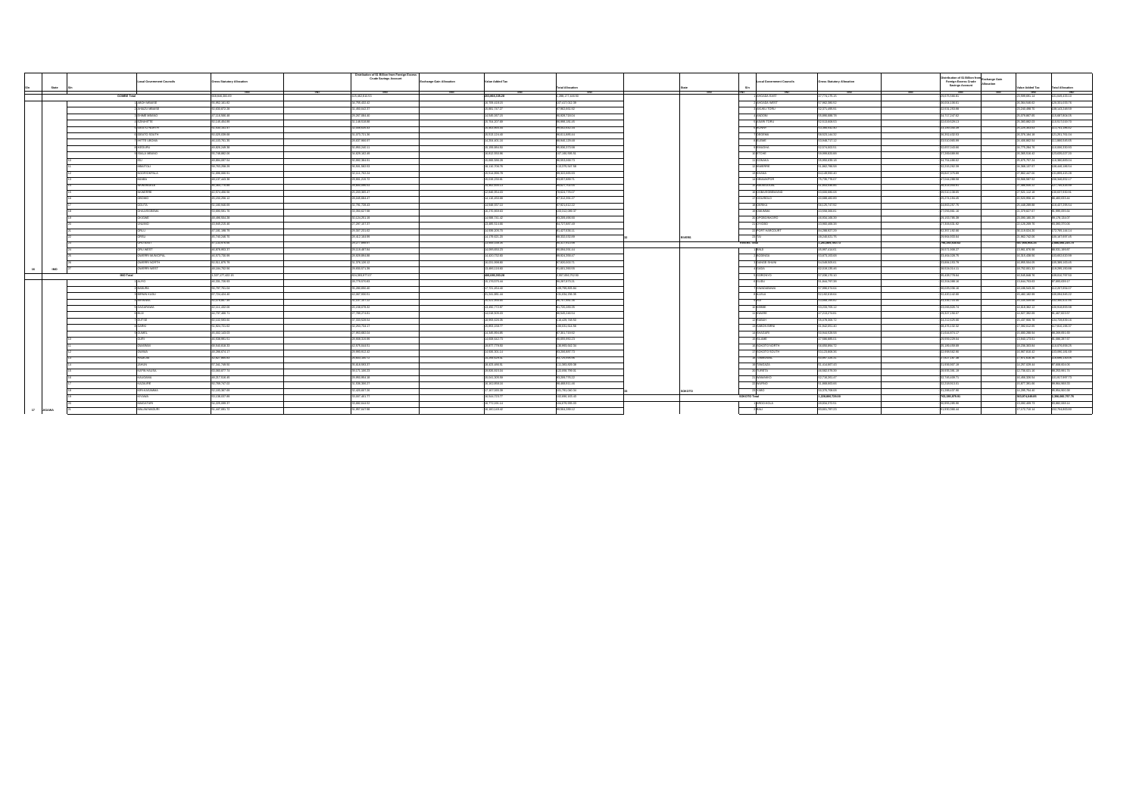|           |       |                    |                                  |                                   | istribution of \$1 Billion from Foreign Exces |                         |                |                  |        |                     |                           |                            | stribution of \$1 Billion fr |                             |                |                  |
|-----------|-------|--------------------|----------------------------------|-----------------------------------|-----------------------------------------------|-------------------------|----------------|------------------|--------|---------------------|---------------------------|----------------------------|------------------------------|-----------------------------|----------------|------------------|
|           |       |                    | <b>Local Government Councils</b> | <b>Gross Statutory Allocation</b> | Crude Savings Account                         | schange Gain Allocation | alue Added Tax |                  |        |                     | Local Government Councils | Gross Statutory Allocation | Foreign Excess Crude         | Ischange Gain               |                |                  |
|           | State |                    |                                  |                                   |                                               |                         |                | notas alla lato? |        |                     |                           |                            | <b>Savings Account</b>       | <b><i><u>Patinn</u></i></b> | alue Added Tax | otal Allocation  |
|           |       |                    |                                  |                                   |                                               |                         |                |                  |        | and a series        |                           |                            |                              |                             | <b>STATE</b>   | $   -$           |
|           |       | <b>GONDE Total</b> |                                  | 68,846,300.69                     | 15,462,810.53                                 |                         | 203,068,335.28 | 208.177.446.50   |        |                     |                           | 774.175.15                 | 075.588.81                   |                             | 13.599.691.14  | 049,433.10       |
|           |       |                    | <b>ABOH MBAISE</b>               | 5,952,161.82                      | 4,755,432.42                                  |                         | 6,709,418.15   | 07,417,012.39    |        |                     | HOADA WES                 | 962,380.52                 | 004,105.61                   |                             | 26,364,546.62  | 20,331,033.76    |
|           |       |                    | <b>IAZU MBAISE</b>               | 0,630,872.28                      | 31,450,042.37                                 |                         | 15,881,747.27  | 97,962,661.92    |        |                     | AKUKU-TORU                | 1371,495.91                | 2,531,253.98                 |                             | 23,240,498.70  | 08, 143, 248.59  |
|           |       |                    | OWAIN 3MH:                       | 17,116,555.48                     | 29.267.084.40                                 |                         | 14,545,057.15  | 90,928,718.04    |        |                     | WDON                      | 5,890,688,78               | M.717.247.62                 |                             | 25.079.867.85  | 15.687.804.05    |
|           |       |                    | ZINHETTE                         | 0,145,454.89                      | 11,148,518.88                                 |                         | 15,704,207.69  | 96,998,181.45    |        |                     | <b>SARI-TORL</b>          | 513,008.53                 | 2,619,529.13                 |                             | 25,383,882.03  |                  |
|           |       |                    |                                  |                                   |                                               |                         |                |                  |        |                     |                           |                            |                              |                             |                | 0,517,019.70     |
|           |       |                    | <b>DEATO NORTH</b>               | 1,530,141.47                      | 32,008,635.43                                 |                         | 15.463.005.44  | 99,002,642.34    |        |                     |                           | 366.542.40                 | 13,149,340.39                |                             | 25,225,303.63  | 11,741,186.42    |
|           |       |                    | <b>DEATO SOUTH</b>               | 50,025,039.68                     | 31,073,721.36                                 |                         | 15,513,124.40  | 96,611,885.44    |        |                     | CEGEMA                    | 523,144.32                 | 16,352,432.53                |                             | 26,376,184.18  | 121,251,761.04   |
|           |       |                    | <b>HITTE UBOMA</b>               | 46, 103, 761.35                   | 28.637.966.97                                 |                         | 14,204,401.16  | 88,946,129.48    |        |                     |                           | 048,717.12                 | 1510.965.99                  |                             | 24,406,862.54  | 11.056.545.05    |
|           |       |                    | CEDURU                           | 49,826,249.38                     | 30,950,240.11                                 |                         | 15,159,884.50  | 05,036,373.98    |        |                     |                           | 574,002.51                 | 33.043.05                    |                             | 24,775,284.76  | 0.006.330.93     |
|           |       |                    | <b><i>DIALA MEANO</i></b>        | 5,748,882.05                      | 34,629,162.49                                 |                         | 16,812,550.96  | 107,190,595.51   |        |                     | ETCHE                     | 022,820.88                 | 17,269,689.90                |                             | 26,365,516.42  | 23,635,027.20    |
|           |       |                    |                                  | 49,894,097.54                     | 0,992,384.91                                  |                         | 15,000,586.28  | 6,553,068.73     |        |                     |                           | 350,532.18                 | 4,754,486.62                 |                             | 25,675,757.24  | 16,380,883.04    |
|           |       |                    | <b>ISAITOLI</b>                  | 58,763,258.29                     | 36,501,582.53                                 |                         | 18,110,705.76  | 113,375,547.58   |        |                     |                           | 1,862,786.58               | 2,215,262.39                 |                             | 24,368,137.57  | 08,446,186.54    |
|           |       |                    | <b>GOROKPALA</b>                 | 1,096,006.91                      | 32,111,702.24                                 |                         | 15,514,895.78  | 0,322,005.03     |        |                     |                           | 149,592.40                 | 647.375.89                   |                             | 27,862,447.00  | 131,859,415.28   |
|           |       |                    |                                  | 48,137,443.38                     | 29,901,215.72                                 |                         | 15,019,230.61  | 93,057,889.71    |        |                     |                           | 735,776.07                 | 044,288.58                   |                             | 1,566,587.52   | 55,346,652.17    |
|           |       |                    |                                  |                                   |                                               |                         |                |                  |        |                     | <b>JELA VAKPOR</b>        |                            |                              |                             |                |                  |
|           |       |                    | KWANGELE                         | 46,364,770.89                     | 28,800,096.53                                 |                         | 14,462,835.13  | 89,627,702.55    |        |                     | <b>PETA FOTETAS</b>       | 35.042,048.1               | 33,414,944.91                |                             | 27,486,935.22  | 27,745,426.99    |
|           |       |                    | XWERRE                           | 40,574,456.56                     | 25,203,305.47                                 |                         | 12,846,954.03  | 78,624,776.07    |        |                     | BA/DGBEMA/N               | 80,083,000                 | 510,138.65                   |                             | 7,521,112.18   | 10,637,930.91    |
|           |       |                    | CWOO                             | 45,150,256.12                     | 28,045,684.47                                 |                         | 14,116,450.68  | 87,312,391.27    |        |                     | CJOSUDCO                  | 68.482.09                  | 5,274,194.45                 |                             | 0.520.956.10   | 16,453,633.44    |
|           |       |                    | <b>SGUTA</b>                     | 1,180,946.09                      | 31,791,728.43                                 |                         | 14,948,937.10  | 97,921,612.22    |        |                     | <b>I &amp; CIKRIKA</b>    | 6.125.747.92               | 34.863.257.75                |                             | 25.448.200.88  | 116,437,295.54   |
|           |       |                    | MARGEEMA                         | 53,090,591.76                     | 33,350,627.98                                 |                         | 16,270,009.63  | 103,312,009.37   |        |                     |                           | 15.000,000.01              | 27,056,861.16                |                             | 21,379,827.67  | 1,995,055.64     |
|           |       |                    | <b>KIGWE</b>                     | 48,496,504.28                     | 30,124,251.19                                 |                         | 14,588,741.42  | 93,209,496.90    |        |                     | 20 OPOBO/MKDRO            | 00.034,168.39              | 23,153,785.39                |                             | 23,090,180.29  | 19,178,134.07    |
|           |       |                    | NUMC                             | 43,945,215.46                     | 27,297,157.37                                 |                         | 13,485,514.00  | 84,727,887.49    |        |                     |                           | 300,468.38                 | 7,306,631.92                 |                             | 22,126,209.76  | 3,393,370.06     |
|           |       |                    |                                  | 47,181,198.79                     | 29,307,231.62                                 |                         | 14,939,205.70  | 91,427,636.11    |        |                     | 22 PORT HARCOURT          | 208 927.29                 | 2357.192.66                  |                             | 36.119.024.20  | 72,765,144.14    |
|           |       |                    |                                  | 1740,246.70                       | 28,412,164.99                                 |                         | 14,179,621.20  | 18,332,032.89    |        |                     |                           | 240,021.75                 | 0,064,033.64                 |                             | 1,962,742.06   | 00.167.027.45    |
|           |       |                    | RU EAST                          | 33,976.00                         | 19,277,898.97                                 |                         | 13,906,038.35  | 90,317,913.98    | RIVERS | <b>RIVERS Total</b> |                           | 201,000,700.73             | 796,250,530.63               |                             | 587,945,904.34 | 2,006,006,215.70 |
|           |       |                    | RU WEST                          | 46,878,953.37                     | 29,119,487.54                                 |                         | 14,095,050.23  | 0,004,091.44     |        |                     |                           | 337,414.61                 | 571,908.27                   |                             | 13,961,876.98  | 8,531,199.87     |
|           |       |                    |                                  |                                   |                                               |                         |                |                  |        |                     |                           |                            |                              |                             |                |                  |
|           |       |                    | <b>IERRI MUNICIPAL</b>           | 46,573,730.99                     | 15, 229, 894.55                               |                         | 14,420,732.60  | 89,924,358.47    |        |                     |                           | 1,873,153.68               | 3,464,028.75                 |                             | 16,315,438.56  | 0,052,020.99     |
|           |       |                    | <b>ERRINORTH</b>                 | 50,511,875.79                     | 31,376,126.12                                 |                         | 16,031,998.80  | 97,920,000.71    |        |                     | DANGE-SHUNI               | 549,505.61                 | 33,884,153.79                |                             | 16,955,504.05  | 05,389,163.45    |
|           | IMO   |                    | <b>IRRI WEST</b>                 | 8,184,702.56                      | 29,930,571.39                                 |                         | 13,486,116.60  | 22.000,100,11    |        |                     |                           | 1,019,135.46               | 524,014.11                   |                             | 18,752,001.32  | 19,295,150.88    |
|           |       | <b>IMO Total</b>   |                                  | 1,327,177,422.15                  | 824,393,977.07                                |                         | 406,085,353.28 | 2,557,656,752.50 |        |                     | SORONYO                   | 036,170.10                 | 15,420,778.64                |                             | 16,545,848.76  | 09,010,797.50    |
|           |       |                    |                                  | 6,331,726.93                      | 1,779,570.83                                  |                         | 5,176,575.44   | 0,287,873.21     |        |                     |                           | 844,797.38                 | 204,088.16                   |                             | 1644.753.63    | (493,639.1)      |
|           |       |                    | <b>ABURA</b>                     | 56,797,701.04                     | 35,280,650.40                                 |                         | 17,721,454.40  | 109,729,805.84   |        |                     | WARANG                    | 336,074.64                 | 31.303,025,1                 |                             | 18,106,543,26  | 12,207,654.07    |
|           |       |                    | IRNIN KUDU                       | (724,424.40                       | 42,067,930.51                                 |                         | 21,241,881.44  | 131,034,236.35   |        |                     |                           | 192.619.64                 | 2420.142.60                  |                             | 15,482,182.99  | 00.004.045.22    |
|           |       |                    |                                  | 50,078,867.49                     | 31,107,157.22                                 |                         | 15,521,956.05  | 36,707,981.36    |        |                     |                           | 3,668,195.82               | 11,336,716.45                |                             | 15,335,509.68  | 02,340,421.95    |
|           |       |                    | AGARAWA                          | 42,111,432.05                     | 25, 158, 078.32                               |                         | 13,450,772.97  | 11,720,283.35    |        |                     |                           | 233,705.12                 | 11.066.826.74                |                             | 14,618,362.12  | 00,918,893.98    |
|           |       |                    |                                  | 44,737,466.71                     | 27,789,274.81                                 |                         | 14,018,505.03  | 86,545,246.54    |        |                     | <b>KWARD</b>              | 7,213,274.81               | 29,327,156.07                |                             | 14,927,392.69  | 11,467,823.57    |
|           |       |                    | UTSE                             | 0,102,593.60                      | 17,333,528.54                                 |                         | 18,993,626.35  | 15,429,748.50    |        |                     |                           | 07830672                   | 34,212,625.66                |                             | 15.437.906.78  | 04.728.839.16    |
|           |       |                    |                                  | 51,924,721.62                     | 32,253,734.17                                 |                         | 15,053,158.77  | 00,031,614.56    |        |                     | SABON BIRN                | 942,051.40                 | 30,476,132.32                |                             | 2322.012.65    | 17,810,196.37    |
|           |       |                    |                                  |                                   |                                               |                         |                |                  |        |                     |                           |                            |                              |                             |                |                  |
|           |       |                    | <b>SUMEL</b>                     | 45,002,143.03                     | 27,953,682.04                                 |                         | 14,345,894.85  | 17,301,719.92    |        |                     |                           | 044,528.58                 | 644,874.17                   |                             | 15,680,288.94  | 16,209,091.09    |
|           |       |                    |                                  | 46,538,991.51                     | 25,908,315.99                                 |                         | 14,008,042.73  | 10,055,950.23    |        |                     |                           | 586,885.01                 | 1220,229.04                  |                             | 3,940,173.61   | 1,086,287.67     |
|           |       |                    | <b>MARAM</b>                     | 68,540,818.33                     | 42,575,044.51                                 |                         | 19,877,779.50  | 130,993,642.34   |        |                     | SOKOTO NORTH              | 050,094.72                 | 5,189,459.69                 |                             | 18,236,303.84  | 10,076,658.25    |
|           |       |                    |                                  | 48,286,674.17                     | 29,993,912.42                                 |                         | 14,926,301.14  | 23.206.037.73    |        |                     | SOKOTO SOUTH              | 1,123,808.36               | 12,008,552.00                |                             | 16,957,810.42  | 03,090,181.09    |
|           |       |                    | ADEJA                            | 42,827,865.83                     | 26,603,100.72                                 |                         | 14,294,629.41  | 13,725,595.96    |        |                     | <b>AMBUWAL</b>            | 1,897,326.31               | 17,827,187.38                |                             | 17,971,616.36  | 16,696,130.05    |
|           |       |                    | AH IN                            | 57,341,749.50                     | 35,618,593.37                                 |                         | 18,423,486.51  | 111,383,829.38   |        |                     | <b>ANGAZA</b>             | 1,414,667.43               | 11,936,907.19                |                             | 14,257,029.44  | 20.003,000,71    |
|           |       |                    | <b>AFIN HAUSA</b>                | 63,060,877.74                     | 39,171,106.23                                 |                         | 19.826.815.04  | 122.058.799.01   |        |                     | 20 TURETA                 | 558257939                  | 28 935 391.19                |                             | 12,736,021.16  | 8.253.991.74     |
|           |       |                    | CAMA                             | 48,217,516.45                     | 29,950,954.18                                 |                         | 15,041,305.59  | 93,209,776.22    |        |                     |                           | 1716,261.47                | 1745.409.71                  |                             | 16.456.326.54  | 01,917,997.73    |
|           |       |                    | AZAURE                           | 50,769,747.02                     | 31,536,306.27                                 |                         | 16,162,858.16  | 28,468,911.46    |        |                     | 22 MURNO                  | 33,033,038                 | 12.218.913.01                |                             | 15.877.391.00  | 00:004.958.33    |
|           |       |                    | KASAM                            | 193,367.69                        | 2,420,607.26                                  |                         | 167,005.39     | 31,781,040.34    | SOKOTO |                     |                           | 370,708.0                  | 288,437.9                    |                             | 1295.754.46    | 84,900.3         |
|           |       |                    | CAVINA                           | 08.528,037.09                     | 33,007,401.77                                 |                         | 16,544,723.77  | 102,090,163.43   |        | SOKOTO Total        |                           | 228,800,728.00             | 763,285,979.91               |                             | 363,974,049.85 | 2,356,000,757.76 |
|           |       |                    |                                  | 54,225,099.37                     | 33,682,644.52                                 |                         | 16,772,191.14  | 04,679,935.03    |        |                     | <b>JRDO-KCL</b>           | 834,372.51                 | 0,955,285.90                 |                             | 13,092,409.73  | 3,882,058.14     |
|           |       |                    | NGATARI<br><b>IALAM MADURI</b>   | 51,447,091.72                     |                                               |                         |                | 20,564,209.12    |        |                     |                           | 3,601,787.23               | 1,930,355.44                 |                             |                |                  |
| 17 JIGAWA |       |                    |                                  |                                   | 31,957,047.98                                 |                         | 16,100,149.42  |                  |        |                     |                           |                            |                              |                             | 17,172,710.14  | 52,704,863.80    |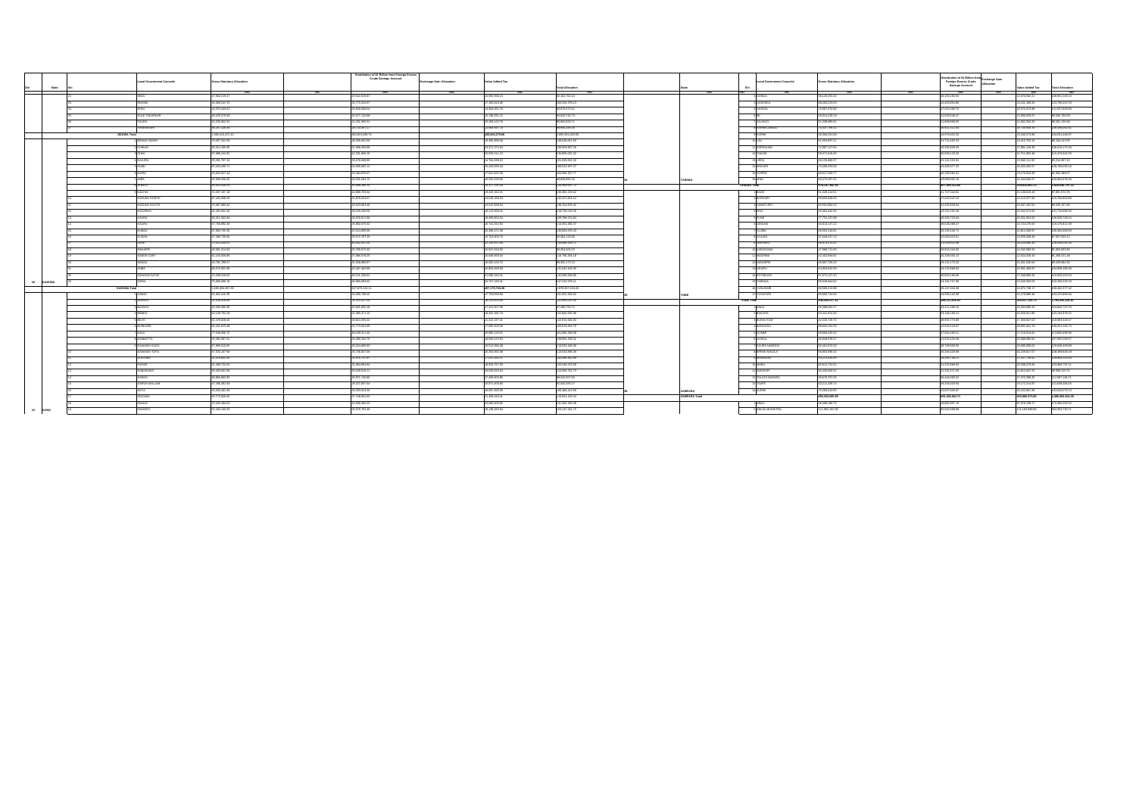|         |           |                     |                                  |                                   | Distribution of \$1 Billion from Foreign Exces |                         |                |                  |                      |                     |                                  |                            | Distribution of \$1 Billion fr |                                    |                    |                  |
|---------|-----------|---------------------|----------------------------------|-----------------------------------|------------------------------------------------|-------------------------|----------------|------------------|----------------------|---------------------|----------------------------------|----------------------------|--------------------------------|------------------------------------|--------------------|------------------|
|         |           |                     | <b>Local Government Councils</b> | <b>Iross Statutory Allocation</b> | Crude Savings Account                          | schange Gain Allocation | alue Added Tax |                  |                      |                     | <b>Local Government Councils</b> | Gross Statutory Allocation | Foreign Excess Crude           | Exchange Gain<br><b>Allowation</b> |                    |                  |
|         |           |                     |                                  |                                   |                                                |                         |                | otal Allocation  |                      | <b>Sh</b>           |                                  |                            | <b>Savings Account</b>         |                                    | alue Added Tax     | otal Allocation  |
|         |           |                     |                                  |                                   |                                                |                         |                |                  | - 89                 | $\sim$              |                                  |                            | <b>No. 1999</b>                |                                    | <b>START START</b> | $-10$            |
|         |           |                     |                                  | 1563.219.47                       | 29,544,528.87                                  |                         | 01.335,956     | 64.704.44        |                      |                     |                                  | 125,263.43                 | 105,283.50                     |                                    | 70,502.2           | 8,901,049.15     |
|         |           |                     | <b>CHM</b>                       | 4,366,241.70                      | 13,770,316.97                                  |                         | 7,183,819.46   | 5,320,378.13     |                      |                     |                                  | 265,223.03                 | 403,854.80                     |                                    | 3,121,169.20       | 3,790,247.03     |
|         |           |                     | CINI                             | 3,370,343.61                      | 26,940,068.04                                  |                         | 13,364,661.75  | 3,675,073.41     |                      |                     |                                  | 5,987,070.88               | 7,200,383.70                   |                                    | 8,370,374.98       | 41,557,829.56    |
|         |           |                     | ULE TAKARKAR                     | 225,570.93                        | 10.577.120.68                                  |                         | 5,138,051.12   | 4,940,742.73     |                      |                     |                                  | 0,914,218.19               | 1.626.046.47                   |                                    | 200653367          | 5.536.798.33     |
|         |           |                     | 11074                            | 0,230,852.92                      | 31,201,565.01                                  |                         | 5,168,415.78   | 6,000,833.71     |                      |                     | <b>MAIL BAR</b>                  | 1,338,985.81               | 1,889,896.55                   |                                    | 14,052,254.33      | 83.36.136.63     |
|         |           |                     | NKWASH                           | 6,257,328.36                      | 28,733,357.17                                  |                         | 3,954,597.74   | 8,955,283.26     |                      |                     | ARIM-LAMI                        | 537,799.11                 | 6,921,312.54                   |                                    | 6,734,930.76       | 39,194,042.41    |
|         |           |                     |                                  |                                   |                                                |                         |                |                  |                      |                     |                                  |                            |                                |                                    |                    |                  |
|         |           | <b>JIGAWA Total</b> |                                  | 1,392,412,471.10                  | 054,915,598.79                                 |                         | 436,006,275.66 | 03334345.55      |                      |                     |                                  | 6,308,251.08               | 34,976,622.02                  |                                    | 13,246,573.88      | 04,531,446.97    |
|         |           |                     | <b>INN GWARI</b>                 | 9.297.341.59                      | 49,256,002.56                                  |                         | 3,425,003.40   | 48,049,812.60    |                      |                     |                                  | 054,997.21                 | 713.493.23                     |                                    | 3.415.753.15       | 6,184,243.59     |
|         |           |                     | <b>SKUN</b>                      | 12,214,105.95                     | 51,058,426.95                                  |                         | 23,371,274.34  | 16,653,867.25    |                      |                     |                                  | 387,127.04                 | 5,336,928,53                   |                                    | 7,691,116.36       | 36,015,171.94    |
|         |           |                     |                                  | 7,988,244.92                      | 42,231,806.15                                  |                         | 10,635,011.13  | 30,855,062.20    |                      |                     |                                  | 2071,516.45                | 5,093,123.32                   |                                    | 4,711,902.48       | 0,476,642.25     |
|         |           |                     | KAJURU                           | 3,251,707.15                      | 33,078,008.95                                  |                         | 4,764,099.10   | 1,093,815.20     |                      |                     |                                  | 133,680.27                 | 1,141,204.91                   |                                    | 940.111.92         | 214.997.10       |
|         |           |                     | CAN:                             | 7,023,295.71                      | 54,055,682.12                                  |                         | 5,443,929.44   | 66,522,907.27    |                      |                     |                                  | 099,253.26                 | 5,406,577.23                   |                                    | 18,261,262.67      | 36,769,093.16    |
|         |           |                     | <b>GRA</b>                       | 1922-017-44                       | 33,494,878.07                                  |                         | 17,541,662.26  | 04.959.357.77    |                      |                     |                                  | 8,617,459.77               | 0,159,384.31                   |                                    | 1175.644.99        | 1,992,489.07     |
|         |           |                     |                                  | 566,250.00                        | 32,031,064.73                                  |                         | 6,252,535.60   | 0,543,850.33     |                      |                     |                                  | 270,287.20                 | 1089,550.19                    |                                    | 1,444,540.67       | 0,804,678.06     |
|         |           |                     |                                  |                                   |                                                |                         |                |                  | <b>ARABA</b>         | <b>TARABA Total</b> |                                  |                            |                                |                                    |                    |                  |
|         |           |                     | <b>AWAY</b>                      | 5,503,526.53                      | 40,688,390.15                                  |                         | 20,377,781.05  | 126,509,697.73   |                      |                     |                                  | 278,147,392.45             | 007,589,313.05                 |                                    | 239,910,091.13     | 1,025,646,797.23 |
|         |           |                     |                                  | 2,267,157.18                      | 44,889,709.64                                  |                         | 0,225,362.21   | 36,382,229.02    |                      |                     |                                  | 045,414.51                 | 707,540.81                     |                                    | 138,619.43         | 7,891,574.76     |
|         |           |                     | <b>LOUNA NORTH</b>               | 7,420,308.03                      | 41,879,024.57                                  |                         | 13,018,268.53  | 132,317,601.14   |                      |                     |                                  | 1,530,928.03               | 7,040,547.18                   |                                    | 113,377.66         | 0,784,852.86     |
|         |           |                     | <b>IDUNA SOUTH</b>               | 0.067.983.40                      | 43.523.663.48                                  |                         | 24.512.958.54  | 38.104.605.42    |                      |                     | <b>DAMATUR</b>                   | 591,894.24                 | 1.425.830.64                   |                                    | 13.407.432.91      | 6.425.157.00     |
|         |           |                     | ARKO                             | 1,431,841.45                      | 38,159,208.59                                  |                         | 9,113,969.41   | 18,705,019.45    |                      |                     |                                  | 3,464,442.35               | 0,210,152.26                   |                                    | 042,074.55         | 1,716,669.16     |
|         |           |                     | <b>NURA</b>                      | 6,311,302.84                      | 34,978,517.00                                  |                         | 8.499.054.34   | 09.789.674.84    |                      |                     | UNI                              | 731,107.98                 | 0,203,715.64                   |                                    | 20,521,924.62      | 46,536,748.24    |
|         |           |                     | <b>AURU</b>                      | 7,766,892.35                      | 35,882,676.52                                  |                         | 16,741,814.50  | 10,391,383.37    |                      |                     |                                  | 3,813,147.22               | 32,638,388.47                  |                                    | 5,724,276.00       | 19,175,811.09    |
|         |           |                     | BAU                              | 7.960.705.30                      | 42,214,099.55                                  |                         | 0.455.471.58   | EA-358, E30.0E   |                      |                     |                                  | 552316.81                  | 128,226.7                      |                                    | 4.014.439.97       | 06,494,983.50    |
|         |           |                     | DAN                              | 286,735.66                        | 29,372,787.25                                  |                         | 5,704,600.76   | 1,364,123.66     |                      |                     |                                  | 649,247.13                 | 2.082.619.51                   |                                    | 1925 638 49        | 7,057,505.12     |
|         |           |                     |                                  | 2,513,030.61                      | 45,042,437.20                                  |                         | 12,130,971.90  | 0,686,439.72     |                      |                     | JAKUSKO                          | 6,874,375.01               | 539,910.99                     |                                    | 8,124,956.30       | 26,539,242.30    |
|         |           |                     | CARF                             | 49,561,314.59                     | 30,785,672.33                                  |                         | 5,947,618.30   | 294,005.22       |                      |                     |                                  | 398,711.93                 | 9,815,040.82                   |                                    | 4,042,080.92       | ,855,833.66      |
|         |           |                     | ABON GARI                        | 1,153,926.09                      | 37,986,578.25                                  |                         | 20,649,859.04  | 19,790,364.18    |                      |                     |                                  | 2,402,694.91               | 5,339,000.13                   |                                    | 2,524,316.44       | 1,266,011.48     |
|         |           |                     |                                  |                                   |                                                |                         |                |                  |                      |                     |                                  |                            |                                |                                    |                    |                  |
|         |           |                     | NGA.                             | 50.791.709.57                     | 31.549.985.87                                  |                         | 16,050,416.70  | 08,392,172.13    |                      |                     | <b><i>UANGERE</i></b>            | 6,897,765.45               | 2,131,173.22                   |                                    | 13.401.045.64      | 0,429,984.30     |
|         |           |                     |                                  | 8,270,931.98                      | 42,407,400.99                                  |                         | 0,053,049.58   | 1,542,182.55     |                      |                     |                                  | 933,842.59                 | 1,122,889.83                   |                                    | 5,501,456.97       | 04,558,189.39    |
|         |           |                     | NGON KATAF                       | 4,298,019.53                      | 46,151,206.91                                  |                         | 1536,342.41    | 42,085,568.85    |                      |                     | OTISKUM                          | 7,671,127.10               | 35,823,190.66                  |                                    | 7,348,885.26       | 10,843,203.03    |
|         | 18 KADUNA |                     |                                  | 5,585,099.18                      | 46,950,693.62                                  |                         | 4,707,185.31   | 47,242,978.11    |                      |                     |                                  | 028.564.62                 | 181,727.69                     |                                    | 3,045,933.03       | 02,256,225.33    |
|         |           | <b>KADUNA Total</b> |                                  | 493,454,367.83                    | 027,679,122.11                                 |                         | 457,173,704.49 | 2,878,307,194.43 |                      |                     |                                  | 583,212.98                 | 5,147,418.28                   |                                    | 14,671,746.17      | 06,402,377.42    |
|         |           |                     | <b>UNGI</b>                      | 51,002,410.35                     | 12.090.796.02                                  |                         | 7,799,059.05   | 101,552,266.02   | <b>YORE</b>          |                     | 17 YUSUFARI                      | 5,625,724.56               | 34,596,142.99                  |                                    | 14.178.989.38      | 04.470.855.94    |
|         |           |                     | <b>ALBASU</b>                    | 2,036,918.89                      | 32,323,427.00                                  |                         | 18,334,054.08  | 02,035,000.56    |                      | YOBE Total          |                                  | 048,564,517.41             | 589,213,515.81                 |                                    | 255,527,193.75     | 1,793,305,226.97 |
|         |           |                     | GWAI                             | 49,265,390.58                     | 30,001,055.18                                  |                         | 7,421,507.96   | 7,288,753.72     |                      |                     | AMM/                             | 5,398,582.27               | 34,411,569.10                  |                                    | 5,034,596.16       | 04,844,747.53    |
|         |           |                     | <b>Laste</b>                     | 2,128,753.18                      | 32,380,471.10                                  |                         | 18,291,381.70  | 102,800,005.98   |                      |                     | BAKUR.                           | 3,441,910.36               | 0,196,156.21                   |                                    | 6,526,911.85       | 03,164,978.42    |
|         |           |                     |                                  | 2.479.628.00                      | 38.810.055.20                                  |                         | 1242,237.41    | 22.531.920.60    |                      |                     | <b>MIDOKY EYEL</b>               | 2,633,726.75               | 10,905,775.69                  |                                    | 17.353.847.02      | 18.893.349.47    |
|         |           |                     | <b>UNKURE</b>                    | 151,813.48                        | 11,773,631.95                                  |                         | 7,090,509.36   | 0,615,954.79     |                      |                     |                                  | 054,154.33                 | 1545,444.67                    |                                    | 8,901,641.74       | 30,201,240.74    |
|         |           |                     |                                  | 7,546,930.70                      | 48,109,311.40                                  |                         | 15,980,126.51  | 51,036,358.68    |                      |                     |                                  | 0.009.425.04               | 17,064,460.11                  |                                    | 116,614.81         | 3,850,499.96     |
|         |           |                     | <b>NBATTA</b>                    | 1491,587.91                       | 34,459,340.79                                  |                         | 8,930,410.50   | 16,091,339.21    |                      |                     |                                  | 242,878.27                 | 525,424.49                     |                                    | 3,089,990.82       | 7,565,293.57     |
|         |           |                     |                                  |                                   |                                                |                         |                |                  |                      |                     |                                  |                            |                                |                                    |                    |                  |
|         |           |                     | TUCK VOURN                       | 7,995,510.65                      | 36,024,685.83                                  |                         | 19,512,990.48  | 13,533,186.96    |                      |                     | AURA NAMODA                      | 2,461,670.33               | 1,798,900.55                   |                                    | 685,839.00         | 0,946,409.88     |
|         |           |                     | WAKIN TOFA                       | 7,532,107.95                      | 35,736,837.06                                  |                         | 20,264,950.38  | 13,533,895.39    |                      |                     | RNIN MAGAJI                      | 6.903.598.44               | 5,346,429.98                   |                                    | 6.249.817.67       | 08,499,846.09    |
|         |           |                     | <b>AWUC</b>                      | 478,822.50                        | 31,976,757.97                                  |                         | 7,031,382.37   | 00,486,962.84    |                      |                     | ADUS                             | 3,211,626.95               | 0,264,746.12                   |                                    | 327,729.41         | 9,804,102.49     |
|         |           |                     | icce                             | 1,459,724.25                      | 31,954,894.84                                  |                         | 8,624,757.50   | 12,049,376.59    |                      |                     |                                  | 2,612,724.52               | 1,315,996.93                   |                                    | 1038.075.66        | 53,966,797.11    |
|         |           |                     | <b>ANASANA</b>                   | 6.425.601.99                      | 35.049.516.11                                  |                         | 10/13/04 164   | 10.508.761.73    |                      |                     | SHINKAFI                         | 0,430,006.52               | 31,325,271.93                  |                                    | 14,012,047.25      | 6,568,125.70     |
|         |           |                     | RKD                              | 0,000,002.95                      | 30,971,740.00                                  |                         | 7,409,903.85   | 18,242,507.60    |                      |                     | <b>FALATA MAFARA</b>             | 570,707.25                 | 444,093.22                     |                                    | 17.472.396.25      | 12,587,196.71    |
|         |           |                     | ARUN MALLAM                      | 7,286,381.93                      | 29.372.567.54                                  |                         | 15,871,405.80  | 2.530.355.27     |                      |                     | <b>TSAFE</b>                     | 211,432.74                 | 0,264,629.84                   |                                    | 172214.87          | 21,648,284.45    |
|         |           |                     |                                  | 533,461.39                        | 13,253,024.3                                   |                         | 1,097,926.95   | 5,484,412.69     | <b>TAME ADA</b>      |                     |                                  | 283,614.90                 | 157, ECS.B                     |                                    | 102,851.34         | 344,072.1        |
|         |           |                     | ZAWA                             | 0,772,826.92                      | 37,749,852.92                                  |                         | 1.408.440.41   | 19,931,120.24    | <b>ZAMFARA Total</b> |                     |                                  | 0.533.005.09               | 553,166,504.71                 |                                    | 252,885,373.86     | 35.384,944.26    |
|         |           |                     | <b>NALE</b>                      | 2,342,404.04                      | 44,935,450.23                                  |                         | 14,083,405.82  | 41,362,260.08    |                      |                     |                                  | 498,166.72                 | 0,002,057.13                   |                                    | 17,079,128.17      | 72,460,252.02    |
|         |           |                     | <b>IARZD</b>                     | 2,443,133.29                      | 32,575,752.49                                  |                         | 18,128,455.94  | 03, 147, 341.72  |                      |                     | ABUJA MUNICIPAL                  | 1,952,191.96               | 2,540,558.89                   |                                    | 121,160,939.86     | 02.653.730.71    |
| 19 KAND |           |                     |                                  |                                   |                                                |                         |                |                  |                      |                     |                                  |                            |                                |                                    |                    |                  |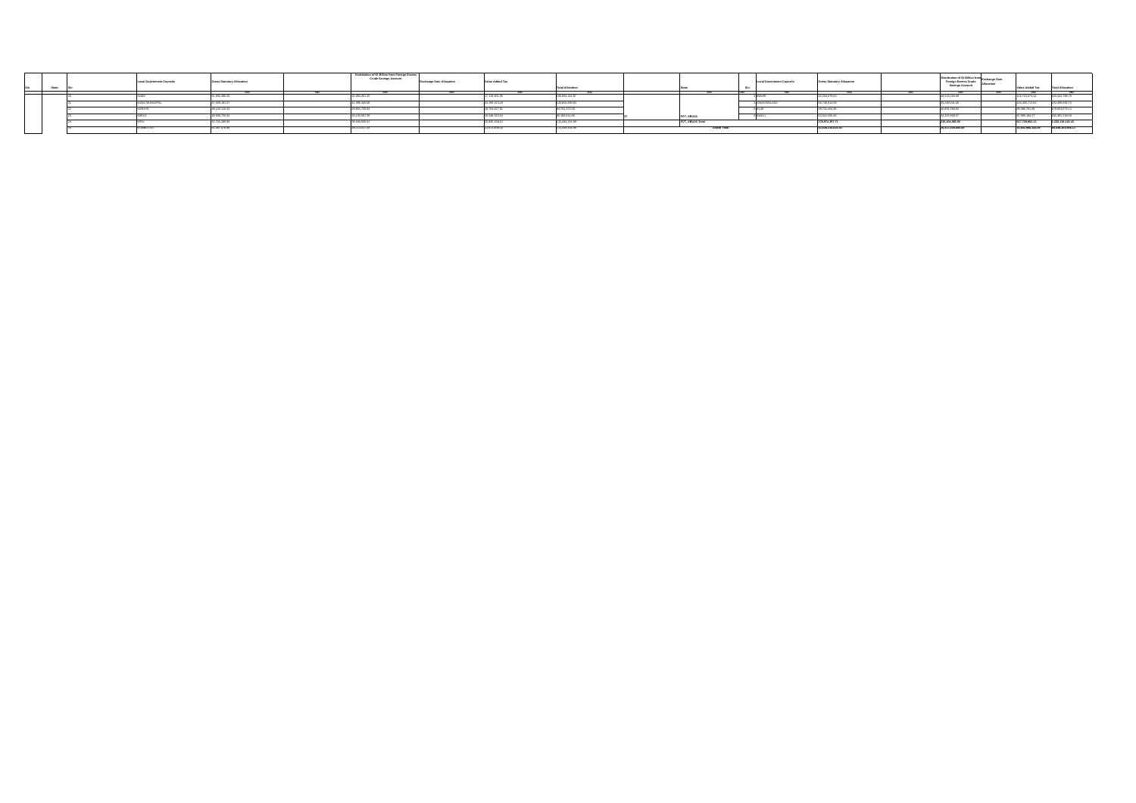| State | <b>Local Government Councils</b> | Gross Statutory Allocation | Distribution of \$1 Billion from Foreign Excess<br>Crude Savings Account | schange Gain Allocation | Value Added Ta            | Total Allocation |                         | <b>Local Government Councils</b> | Gross Statutory Allocation | Distribution of \$1 Billion from<br>Foreign Excess Crus<br>Savings Account | Value Added Tax      | Total Allocation  |
|-------|----------------------------------|----------------------------|--------------------------------------------------------------------------|-------------------------|---------------------------|------------------|-------------------------|----------------------------------|----------------------------|----------------------------------------------------------------------------|----------------------|-------------------|
|       |                                  |                            |                                                                          |                         |                           |                  |                         |                                  |                            |                                                                            |                      |                   |
|       |                                  | 3 650 280 2                |                                                                          |                         | 119,901.35                | (853.442.87      |                         |                                  | 62.004.679.67              |                                                                            | 102.723.074.44       |                   |
|       | KANO MUNICIPAL                   | 67,609,181.07              | 41 005 345 58                                                            |                         | 14 100 111                | EB 928, H08.CI   |                         |                                  | 55 746 814 58              | 15.240.041                                                                 | -100.400.713.54      | 1192-296-569.7    |
|       |                                  |                            |                                                                          |                         | 15.704.527.               | 94.752.373.26    |                         |                                  | MO 731 454 3               | - 100 801 356 90                                                           | $-08.300.761.85$     |                   |
|       |                                  | 48,506,730.9               | J 30 530 537 33                                                          |                         | <b>J-100 PLAIR 1217 P</b> | 35.185.641.86    | FCT, ABUJA              |                                  | 52.041.050.4               | - 32.325.993.37                                                            | $-27,225,184.27$     | 1182.352.235.00   |
|       |                                  | 12 204 280 M               |                                                                          |                         | 20 830 308 12             | DR 850 954 51    | <b>FCT. ABUJA Total</b> |                                  | 378.974.357                | 235.404.982.60                                                             | 17,739,802.13        | 1,232.119.142.43  |
|       |                                  | 61.357.478.96              | 4 18 113 017 34                                                          |                         | 21.873.608.16             | 21.344.104.46    | <b>Grand Total</b>      |                                  | 42,528,310,610.03          | $-26.417.028.000.00$                                                       | $-15,002,905,346.06$ | 84.548.304.956.11 |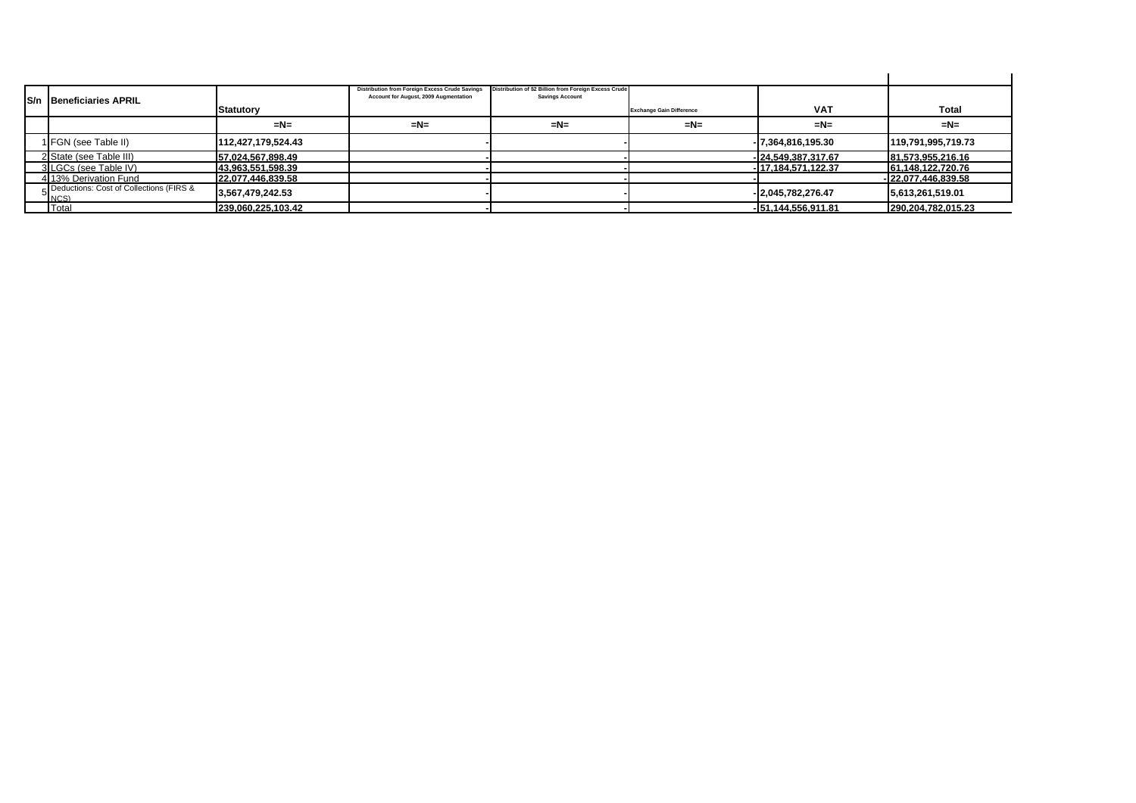| <b>IS/n Beneficiaries APRIL</b>                   |                    | Distribution from Foreign Excess Crude Savings<br>Account for August, 2009 Augmentation | Distribution of \$2 Billion from Foreign Excess Crude<br><b>Savings Account</b> |                                 |                       |                      |
|---------------------------------------------------|--------------------|-----------------------------------------------------------------------------------------|---------------------------------------------------------------------------------|---------------------------------|-----------------------|----------------------|
|                                                   | <b>Statutory</b>   |                                                                                         |                                                                                 | <b>Exchange Gain Difference</b> | <b>VAT</b>            | <b>Total</b>         |
|                                                   | $=N=$              | $=N=$                                                                                   | $=N=$                                                                           | $=N=$                           | $=N=$                 | $=N=$                |
| 1 FGN (see Table II)                              | 112,427,179,524.43 |                                                                                         |                                                                                 |                                 | $-17,364,816,195.30$  | 119,791,995,719.73   |
| 2 State (see Table III)                           | 57.024.567.898.49  |                                                                                         |                                                                                 |                                 | $-24.549.387.317.67$  | 81.573.955.216.16    |
| 3 LGCs (see Table IV)                             | 43.963.551.598.39  |                                                                                         |                                                                                 |                                 | -17.184.571.122.37    | 61.148.122.720.76    |
| 4 13% Derivation Fund                             | 22,077,446,839.58  |                                                                                         |                                                                                 |                                 |                       | $-22,077,446,839.58$ |
| E Deductions: Cost of Collections (FIRS &<br>NCS) | 3,567,479,242.53   |                                                                                         |                                                                                 |                                 | $-2,045,782,276.47$   | 5,613,261,519.01     |
| Total                                             | 239.060.225.103.42 |                                                                                         |                                                                                 |                                 | $-151.144.556.911.81$ | 290.204.782.015.23   |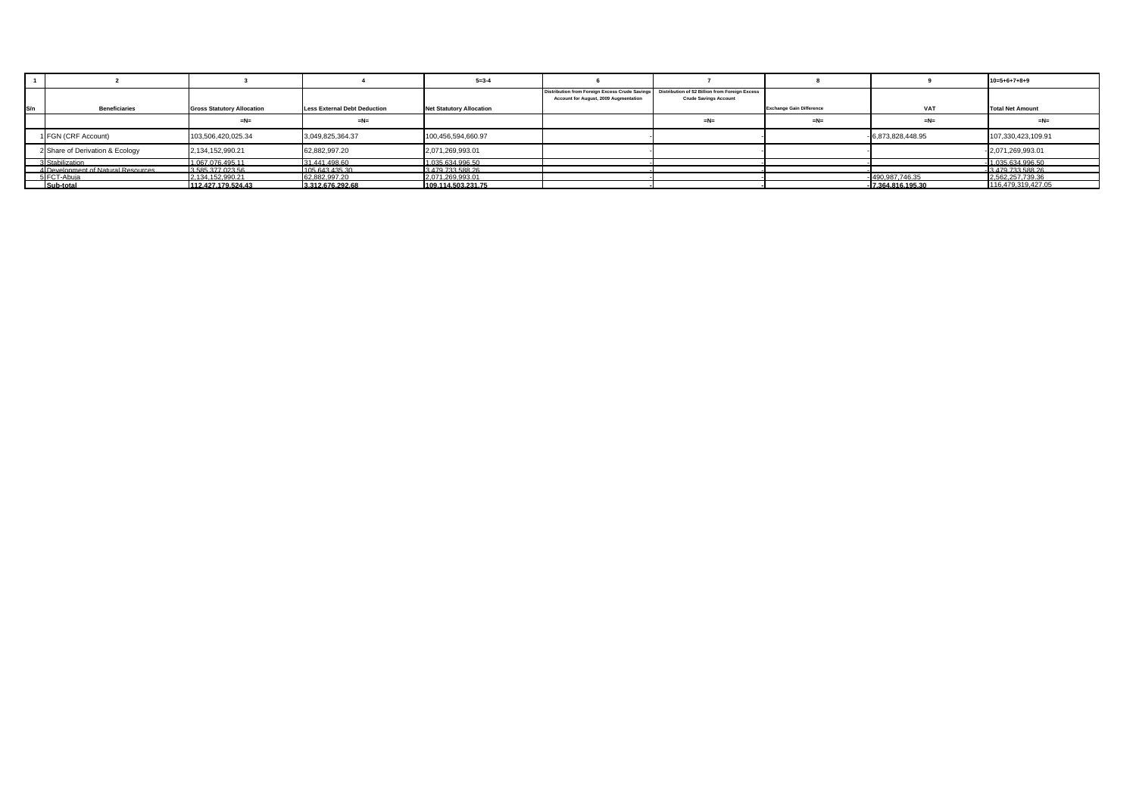|     |                                    |                                   |                                     | $5 = 3 - 4$                     |                                                                                                |                                                                                 |                                 |                     | $10=5+6+7+8+9$          |
|-----|------------------------------------|-----------------------------------|-------------------------------------|---------------------------------|------------------------------------------------------------------------------------------------|---------------------------------------------------------------------------------|---------------------------------|---------------------|-------------------------|
|     |                                    |                                   |                                     |                                 | <b>Distribution from Foreign Excess Crude Savings</b><br>Account for August, 2009 Augmentation | Distribution of \$2 Billion from Foreign Excess<br><b>Crude Savings Account</b> |                                 |                     |                         |
| S/n | <b>Beneficiaries</b>               | <b>Gross Statutory Allocation</b> | <b>Less External Debt Deduction</b> | <b>Net Statutory Allocation</b> |                                                                                                |                                                                                 | <b>Exchange Gain Difference</b> | <b>VAT</b>          | <b>Total Net Amount</b> |
|     |                                    | $=N=$                             | $=N=$                               |                                 |                                                                                                | $=N=$                                                                           | $=N=$                           | $=N=$               | $-N-$                   |
|     | FGN (CRF Account)                  | 103,506,420,025.34                | 3,049,825,364.37                    | 100,456,594,660.97              |                                                                                                |                                                                                 |                                 | $-6,873,828,448.95$ | 107,330,423,109.91      |
|     | 2 Share of Derivation & Ecology    | 2,134,152,990.21                  | 62,882,997.20                       | 2,071,269,993.01                |                                                                                                |                                                                                 |                                 |                     | $-2,071,269,993.01$     |
|     | 3 Stabilization                    | 1 067 076 495 11                  | 31 441 498 60                       | 1 035 634 996 50                |                                                                                                |                                                                                 |                                 |                     | $-1.03563499650$        |
|     | 4 Development of Natural Resources | 3 585 377 023 56                  | 105 643 435 30                      | 3 479 733 588 26                |                                                                                                |                                                                                 |                                 |                     | $-347973358826$         |
|     | 5 FCT-Abuja                        | 2,134,152,990.21                  | 62,882,997.20                       | 2,071,269,993.01                |                                                                                                |                                                                                 |                                 | $-490,987,746.35$   | 2,562,257,739.36        |
|     | Sub-total                          | 112.427.179.524.43                | 3.312.676.292.68                    | 109.114.503.231.75              |                                                                                                |                                                                                 |                                 | $-7.364.816.195.30$ | 116,479,319,427.05      |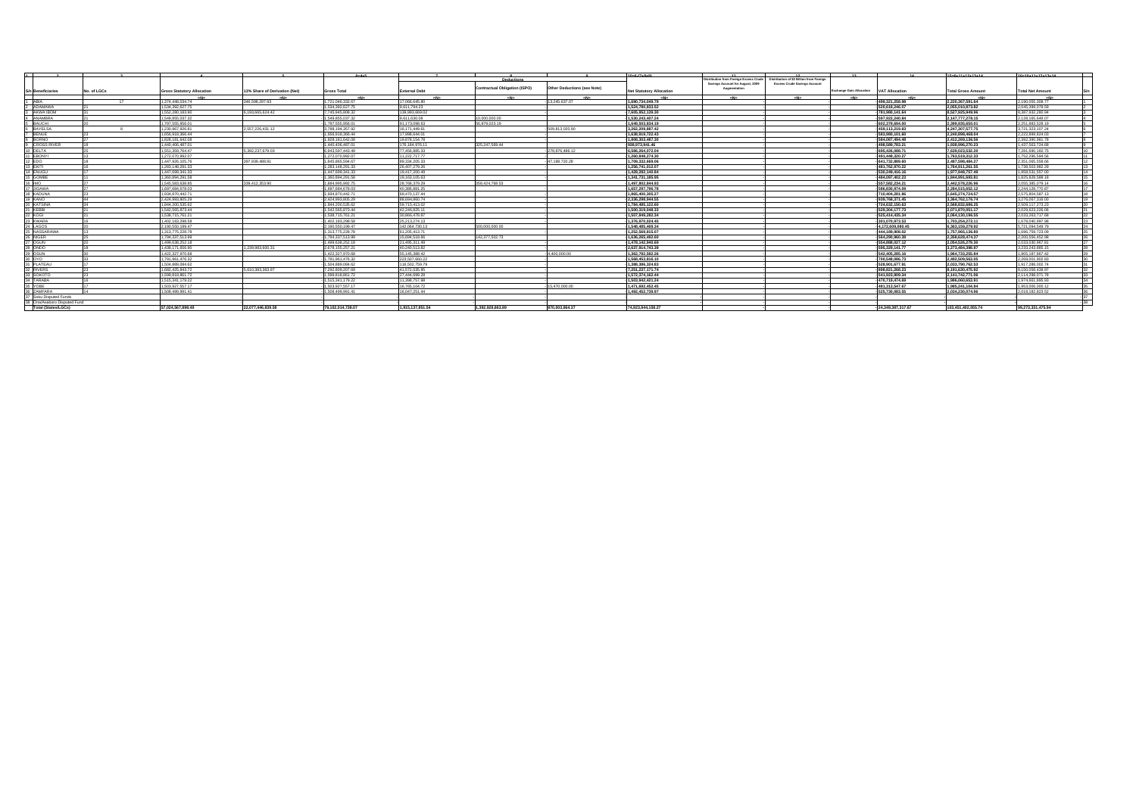|                              |             | $\overline{1}$                    | $\overline{\phantom{a}}$      | $6 - 4 - 5$       |                      |                                      |                             | $10m6-(7n.8n.9)$                |                                  |                                                                               | $\overline{11}$                         | $\overline{14}$   | 15x6+11+12+13+14          | 16=10+11+12+13+14       |  |
|------------------------------|-------------|-----------------------------------|-------------------------------|-------------------|----------------------|--------------------------------------|-----------------------------|---------------------------------|----------------------------------|-------------------------------------------------------------------------------|-----------------------------------------|-------------------|---------------------------|-------------------------|--|
|                              |             |                                   |                               |                   |                      |                                      |                             |                                 |                                  | stribution from Foreign Excess Crude Distribution of \$2 Billion from Foreign |                                         |                   |                           |                         |  |
|                              |             |                                   |                               |                   |                      |                                      |                             |                                 | Savings Account for August, 2009 | Excess Crude Savings Account                                                  |                                         |                   |                           |                         |  |
| In Beneficiaries             | No. of LGCs | <b>Gross Statutory Allocation</b> | 13% Share of Derivation (Net) | Gross Total       | <b>External Debt</b> | <b>Contractual Obligation (ISPO)</b> | Other Deductions (see Note) | <b>Net Statutory Allocation</b> | Augmentation                     |                                                                               | Exchange Gain Allocation VAT Allocation |                   | <b>Total Gross Amount</b> | <b>Total Net Amount</b> |  |
|                              |             |                                   |                               |                   |                      |                                      |                             |                                 |                                  |                                                                               |                                         |                   |                           |                         |  |
| ARIA                         | 17          | 374 448 034 74                    | PP TPC RPR RBR                | 1721 046 332 67   | 7 ORR R45 80         |                                      | 13 245 637 07               | 1.690.734.049.79                |                                  |                                                                               |                                         | 499.321.258.98    | 2.220.367.591.64          | 2 190 055 308 77        |  |
| <b>ADAMAWA</b>               |             | 534 392 627 75                    |                               | 534 392 627 75    | 961179423            |                                      |                             | 1.524.780.833.52                |                                  |                                                                               |                                         | 520 618 246 07    | 055 010 873 82            | 045 399 079 59          |  |
| <b>LAKWA IROM</b>            |             | 552 280 183 90                    | 193 RRS 624 42                | 745 945 808 32    | 39 993 669 02        |                                      |                             | 7.605.952.139.30                |                                  |                                                                               |                                         | 781 980 141 64    | 8.527.925.949.96          | 1387 932 280 94         |  |
| LANAMRRA                     |             | 549 855 037 32                    |                               | 1 549 855 037 32  | 961163008            | 10.000.000.00                        |                             | 1.530.243.407.24                |                                  |                                                                               |                                         | 597.922.240.84    | 2.147.777.278.15          | 2 128 165 648 07        |  |
| RAUCHL                       |             | 797 555 956 01                    |                               | 1797 555 956 01   | 11 173 098 63        | 56.879.023.19                        |                             | 1.649.503.834.19                |                                  |                                                                               |                                         | 602.379.694.00    | 1399.935.650.01           | 2.251.883.528.19        |  |
| 6 BAYELSA                    |             | 230 967 926 81                    | 557.226.431.12                | 3.788.194.357.92  | 16 171 449 61        |                                      | 509.813.020.90              | 3.262.209.887.42                |                                  |                                                                               |                                         | 459.113.219.83    | 4.247.307.577.75          | 3.721.323.107.24        |  |
| 7 RENUE                      |             | 656 918 366 44                    |                               | 1 656 918 366 44  | 7 998 644 01         |                                      |                             | 1.638.919.722.43                |                                  |                                                                               |                                         | 583.980.101.60    | 2.240.898.468.04          | 2 222 899 824 03        |  |
| BORNO                        |             | 828 181 642 08                    |                               | 1828 181 642 08   | 19 878 154 78        |                                      |                             | $-1.808.303.487.30$             |                                  |                                                                               |                                         | 584.087.494.48    | 2.412.269.136.56          | 392.390.981.78          |  |
| <b>CROSS RIVER</b>           |             | .440.406.487.01                   |                               | 1,440,406,487.01  | 76.184.976.11        | 325.247.569.44                       |                             | 938.973.941.46                  |                                  |                                                                               |                                         | 498.589.783.21    | 1.938.996.270.23          | 1.437.563.724.68        |  |
| 10 DELTA                     |             | 551.359.764.47                    | 392.237.679.03                | 6.943.597.443.49  | 7,456,885,33         |                                      | 279.876.486.12              | 6.586.264.072.04                |                                  |                                                                               |                                         | 695.426.088.71    | 7.639.023.532.20          | 7.281.690.160.75        |  |
| 11 EBONYI                    |             | 272.070.992.07                    |                               | 1,272,070.992.07  | 11.222.717.77        |                                      |                             | $-1.260.848.274.30$             |                                  |                                                                               |                                         | 491.448.320.27    | 1.763.519.312.33          | 1.752.296.594.56        |  |
| 12 EDO                       |             | 447 926 105 76                    | 97 939 488 91                 | 1 845 885 594 67  | 9.334.205.33         |                                      | 17 198 720 28               | 1.709.332.669.06                |                                  |                                                                               |                                         | 641.732.889.60    | 2 487 598 484 27          | 2.351.065.558.66        |  |
| 13 EKITI                     |             | 283 148 291 33                    |                               | 1.283.148.291.33  | 26.407.279.26        |                                      |                             | 1.256.741.012.07                |                                  |                                                                               |                                         | 481.762.970.22    | 1.764.911.261.55          | 1.738.503.982.29        |  |
| 14 ENUGU                     |             | 447 699 341 33                    |                               | 1.447.699.341.33  | 19.417.200.49        |                                      |                             | $-1.428.282.140.84$             |                                  |                                                                               |                                         | 530.249.416.16    | 1.977.948.757.49          | 1.958.531.557.00        |  |
| 5 GOMBE                      |             | 380 894 291 58                    |                               | 1.360.894.291.58  | F3 201 F31 91        |                                      |                             | 1.341.731.185.95                |                                  |                                                                               |                                         | 484.097.402.23    | 1.844.991.693.81          | 1825 828 588 18         |  |
| 16 IMO                       |             | <b>645 583 638 85</b>             | 339 412 353 90                | 1884 995 992 75   | 28 768 379 29        | 358 424 768 53                       |                             | $-1.497.802.844.93$             |                                  |                                                                               |                                         | $-557.582.234.21$ | 2.442.578.226.96          | 2 055 385 079 14        |  |
| 17 JIGAWA                    |             | 697 684 678 03                    |                               | 1 697 684 678 03  | 40 386 881 25        |                                      |                             | 1.657.297.796.78                |                                  |                                                                               |                                         | 586 830 974 09    | 2.284.515.652.12          | 244 128 770 87          |  |
| 18 KADUNA                    |             | 934 870 442 71                    |                               | 1934 870 442 71   | 89 470 137 44        |                                      |                             | 1.865.400.305.27                |                                  |                                                                               |                                         | 710 404 281 86    | 645 274 724 57            | 2.575.804.587.13        |  |
| 19 KANO                      |             | 424 993 805 29                    |                               | 02 209 299 204 5  | BR 694 BRO 74        |                                      |                             | 2.336.298.944.55                |                                  |                                                                               |                                         | 939.768.371.45    | 3.364.762.176.74          | 3.276.067.316.00        |  |
| 20 KATSINA                   |             | 844 200 535 62                    |                               | 1844 200 535 62   | 69 715 413 02        |                                      |                             | 1.784.485.122.60                |                                  |                                                                               |                                         | 724 632 150 63    | 2 568 832 686 25          | 609 117 273 23          |  |
| 21 KEBBI                     |             | .542.565.873.44                   |                               | 1.542.565.873.44  | 42.246.825.11        |                                      |                             | 1,500,319,048.33                |                                  |                                                                               |                                         | 529.304.177.73    | 2.071.870.051.17          | 1029.623.226.06         |  |
| 22 KOGI                      |             | 638 715 761 21                    |                               | 1.538.715.761.21  | 30 866 478 87        |                                      |                             | $-1.507.849.282.34$             |                                  |                                                                               |                                         | 525 414 435 34    | 2.064.130.196.55          | 033 263 717 68          |  |
| 23 KWARA                     |             | .402.183.298.58                   |                               | 1.402.183.298.58  | 25.213.274.13        |                                      |                             | $-1.376.970.024.45$             |                                  |                                                                               |                                         | 301.070.973.53    | 1.703.254.272.11          | 1.678.040.997.98        |  |
| 24 LAGOS                     |             | 190.550.199.47                    |                               | 2.190.550.199.47  | 142.064.730.13       | 500.000.000.00                       |                             | 1.548.485.469.34                |                                  |                                                                               |                                         | 4.172.609.080.45  | 6.363.159.279.92          | 5.721.094.549.79        |  |
| 25 NASSARAWA                 |             | .313.775.228.78                   |                               | 1.313.775.228.78  | 61.205.413.71        |                                      |                             | $-1.252.569.815.07$             |                                  |                                                                               |                                         | 444.189.908.02    | 1.757.965.136.80          | 1.696.759.723.09        |  |
| 26 NIGER                     |             | .794.337.513.99                   |                               | 1.794.337.513.99  | 15.694.518.66        | 142.377.502.73                       |                             | 1.636.265.492.60                |                                  |                                                                               |                                         | 564.290.960.38    | 1358.628.474.37           | 2.200.556.452.98        |  |
| 27 OGUN                      |             | .499.638.252.18                   |                               | 1.499.638.252.18  | 21.495.311.49        |                                      |                             | 1.478.142.940.69                |                                  |                                                                               |                                         | 554,888,027.12    | 2.054.526.279.30          | 2.033.030.967.81        |  |
| 28 ONDO                      |             | 438 171 656 90                    | 239 983 600 31                | 2.678.155.257.21  | 40.240.513.82        |                                      |                             | 2.637.914.743.39                |                                  |                                                                               |                                         | 595 329 141 77    | 3.273.484.398.97          | 3.233.243.885.15        |  |
| 29 OSUN                      |             | .422.327.970.68                   |                               | 1,422,327,970.68  | 55.145.388.42        |                                      | 4 400 000 00                | 1.362.782.582.26                |                                  |                                                                               |                                         | 542.405.285.16    | 1.964.733.255.84          | 1.905.187.867.42        |  |
| 30 OYO                       |             | 791 961 476 32                    |                               | 179198147632      | 23 507 660 22        |                                      |                             | $-1.568.453.816.10$             |                                  |                                                                               |                                         | 700 548 086 73    | 2.492.509.563.05          | 2.269.001.902.83        |  |
| 31 PLATEAU                   |             | <b>FINA RR9 0R4 R2</b>            |                               | 1 504 889 084 62  | 116 502 759 79       |                                      |                             | 1.388.386.324.83                |                                  |                                                                               |                                         | 528 901 677 91    | 2.033.790.762.53          | 1917 288 002 74         |  |
| 32 RIVERS                    |             | 682 425 843 72                    | 610.383.363.97                | 292 809 207 69    | 41 572 035 95        |                                      |                             | 7.251.237.171.74                |                                  |                                                                               |                                         | 898.821.268.23    | 8.191.630.475.92          | 3.150.058.439.97        |  |
| 33 SOKOTO                    |             | <b>599 818 861 72</b>             |                               | 1 599 818 861 72  | 7 444 699 28         |                                      |                             | 1.572.374.162.44                |                                  |                                                                               |                                         | 541 923 909 34    | 141 742 771 06            | 2 114 298 071 78        |  |
| 34 TARARA                    |             | 515 341 179 22                    |                               | 51534117922       | 11 398 757 98        |                                      |                             | 1.503.942.421.24                |                                  |                                                                               |                                         | 470 719 474 69    | 1986 080 853 91           | 974 661 895 93          |  |
| 35 YOBE                      |             | 503 927 557 17                    |                               | 503 927 557 17    | 16.765.104.72        |                                      | 15.470.000.00               | 1.471.692.452.45                |                                  |                                                                               |                                         | 481.313.547.67    | 1.985.241.104.84          | 953,006,000.12          |  |
| 36 ZAMEARA                   |             | 508 499 991 41                    |                               | 508 499 991 41    | 16 047 251 44        |                                      |                             | 1.492.452.739.97                |                                  |                                                                               |                                         | 525.730.083.55    | 2.034.230.074.96          | 2018 18282352           |  |
| 37 Soku Disputed Funds       |             |                                   |                               |                   |                      |                                      |                             |                                 |                                  |                                                                               |                                         |                   |                           |                         |  |
| 38 Ona/Asaboro Disputed Fund |             |                                   |                               |                   |                      |                                      |                             |                                 |                                  |                                                                               |                                         |                   |                           |                         |  |
| Total (States/LGCs)          |             | 57.024.567.898.49                 | 22.077.446.839.58             | 79.102.014.738.07 | 1.915.137.851.54     | 1.392.928.863.89                     | 870.003.864.37              | 74.923.944.158.27               |                                  |                                                                               |                                         | 24.349.387.317.67 | 103.451.402.055.74        | 99.273.331.475.94       |  |
|                              |             |                                   |                               |                   |                      |                                      |                             |                                 |                                  |                                                                               |                                         |                   |                           |                         |  |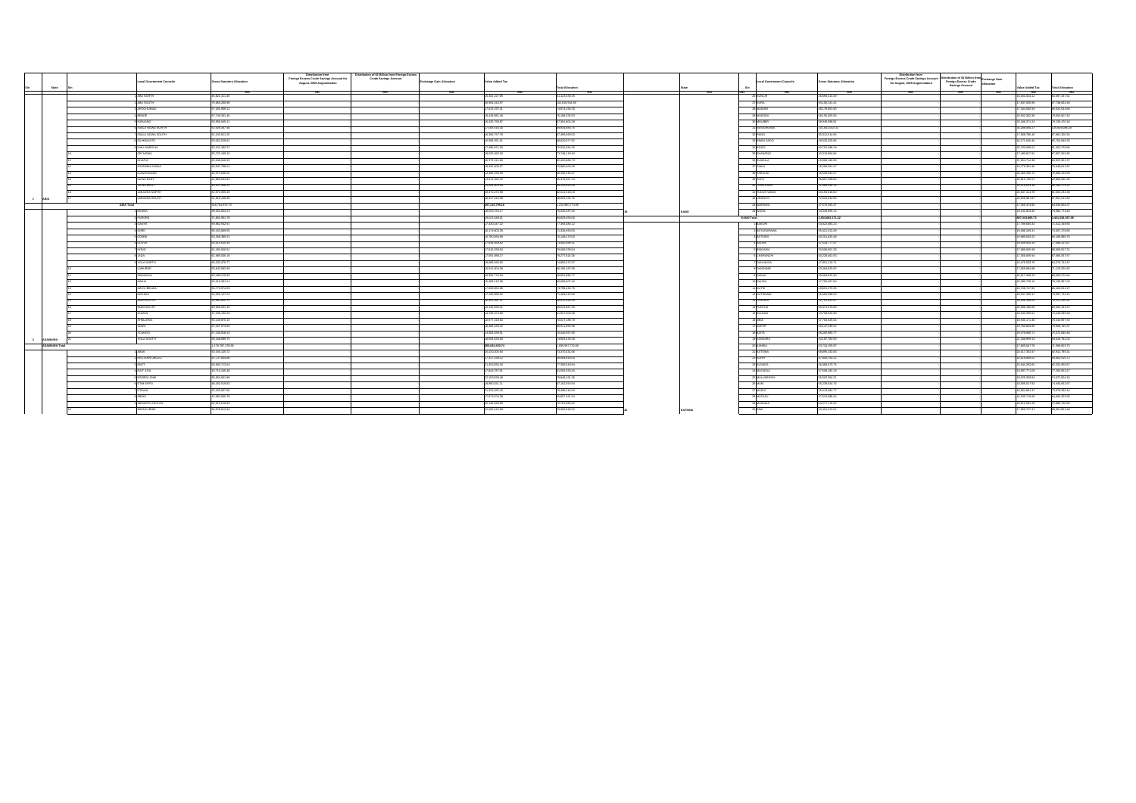|              |                   |                                  |                                   | <b>Distribution from</b>                 | <b>Distribution of \$2 Billion from Foreign Excess</b> |                         |                 |                  |               |            |                           |                           | Distribution from                   |                                |               |                |                         |
|--------------|-------------------|----------------------------------|-----------------------------------|------------------------------------------|--------------------------------------------------------|-------------------------|-----------------|------------------|---------------|------------|---------------------------|---------------------------|-------------------------------------|--------------------------------|---------------|----------------|-------------------------|
|              |                   |                                  |                                   | Foreign Excess Crude Savings Account for | Crude Savings Account                                  |                         |                 |                  |               |            |                           |                           | Foreign Excess Crude Savings Accoun | stribution of \$2 Billion from | Exchange Gain |                |                         |
|              |                   | <b>Local Government Councils</b> | <b>Jross Statutory Allocation</b> | August, 2009 Augmentation                |                                                        | schange Gain Allocation | Value Added Tax |                  |               |            | Local Government Councils | ross Statutory Allocation | for August, 2009 Augmentation       | Foreign Excess Crude           | discation     |                |                         |
| State        |                   |                                  |                                   |                                          |                                                        |                         |                 | notazofiA lato   |               |            |                           |                           |                                     | Savings Account                |               | alue Added Tax | <b>Total Allocation</b> |
|              |                   |                                  |                                   | - Ma                                     |                                                        |                         |                 |                  |               | $\sim$     |                           |                           |                                     | - 1991                         |               | $-$            | $-$                     |
|              |                   | ABA NORTH                        | 45,821,311.40                     |                                          |                                                        |                         | 15,302,227.95   | 123,539.35       |               |            |                           | 096,313.49                |                                     |                                |               | 16,401,024.12  | (097,337.61             |
|              |                   | BA SOUTH                         | 75,005,200.98                     |                                          |                                                        |                         | 26,954,243.57   | 02,619,504.55    |               |            |                           | 100,141.41                |                                     |                                |               | 7,637,920.99   | 7,738,062.40            |
|              |                   |                                  |                                   |                                          |                                                        |                         |                 |                  |               |            |                           |                           |                                     |                                |               |                |                         |
|              |                   | <b><i>REGENERANCE</i></b>        | 57,261,959.12                     |                                          |                                                        |                         | 17,612,197.21   | 74,874,156.33    |               |            | 28 MADOE                  | 1,179,961.90              |                                     |                                |               | 17,344,082.94  | 524,044.84              |
|              |                   | <b>BENDE</b>                     | 57,749,351.46                     |                                          |                                                        |                         | 18,418,981.18   | 15,158,332.53    |               |            | MAXOTITLE                 | 30.205.05                 |                                     |                                |               | 20.503.302.36  | 5.653.607.42            |
|              |                   |                                  | 50,956,045.41                     |                                          |                                                        |                         | 16,425,758.87   | 7,381,804.28     |               |            |                           | 1,949,098.91              |                                     |                                |               | 0,186,371.24   | 9,135,470.16            |
|              |                   |                                  |                                   |                                          |                                                        |                         |                 |                  |               |            |                           |                           |                                     |                                |               |                |                         |
|              |                   | SIALA NGWA NORTH                 | 52,929,367.46                     |                                          |                                                        |                         | 17,005,516.30   | 09,934,883.75    |               |            |                           | 1,641,032.02              |                                     |                                |               | 34,288,056.27  | 135,929,088.28          |
|              |                   | SIALA NGWA SOUTH                 | 51,192,811.25                     |                                          |                                                        |                         | 16,306,757.78   | 00.032,009.03    |               |            |                           | 0,312,514.94              |                                     |                                |               | 17,068,785.40  | AC 000, 180, 12         |
|              |                   | <b>DEMANDED</b>                  | 53,062,526.81                     |                                          |                                                        |                         | 15.558.351.01   | 58.620.877.82    |               |            | <b>HMNGAD</b>             | 533,205.86                |                                     |                                |               | 16.171.640.40  | 15,704,846.26           |
|              |                   | <b>IND-NNEOCHE</b>               | 53,151,382.37                     |                                          |                                                        |                         | 17,380,971.93   | 0,532,354.30     |               |            |                           | 0,752,288.19              |                                     |                                |               | 13.700.090.61  | 11,452,378.80           |
|              |                   |                                  |                                   |                                          |                                                        |                         |                 |                  |               |            |                           |                           |                                     |                                |               |                |                         |
|              |                   | <b>CEI NGWA</b>                  | 55,722,199.10                     |                                          |                                                        |                         | 18,025,920.30   | 73,748,119.40    |               |            | SHANONO                   | 316,584.84                |                                     |                                |               | 7,490,817.81   | 17,807,502.65           |
|              |                   |                                  | 62,048,646.93                     |                                          |                                                        |                         | 20,372,241.80   | 12,420,888.73    |               |            |                           | 2,968,186.99              |                                     |                                |               | 21,654,714.38  | 4,622,901.37            |
|              |                   | SISIOMA NGWA                     | 56,547,798.01                     |                                          |                                                        |                         | 19,432,608.27   | 5,980,406.28     |               |            |                           | 202,261.47                |                                     |                                |               | 19,779,351.40  | 5,048,612.87            |
|              |                   | GWUNAGBO                         | 45,073,006.52                     |                                          |                                                        |                         | 14,386,239.95   | 9,459,246.47     |               |            | <b>TARALIN</b>            | 530.934.27                |                                     |                                |               | 20.465.292.72  |                         |
|              |                   |                                  |                                   |                                          |                                                        |                         |                 |                  |               |            |                           |                           |                                     |                                |               |                | 6,996,226.99            |
|              |                   | KWA EAST                         | 41,058,554.92                     |                                          |                                                        |                         | 13,511,392.22   | 5,379,957.14     |               |            |                           | 1027,299.80               |                                     |                                |               | 5,911,760.57   | 2,809,050.35            |
|              |                   | KWA WEST                         | 43,527,546.25                     |                                          |                                                        |                         | 14,004,905.84   | 58,132,452.09    |               |            |                           | 405,045.14                |                                     |                                |               | 18,119,634.18  | 10,586,279.32           |
|              |                   | <b>HUAHIA NORTH</b>              | 62,571,055.45                     |                                          |                                                        |                         | 19,470,470.58   | 2,041,526.03     |               |            | <b>DUN WAD</b>            | 155,818.60                |                                     |                                |               | 20,847,414.78  | 1,003,233.38            |
|              |                   |                                  |                                   |                                          |                                                        |                         |                 |                  |               |            |                           |                           |                                     |                                |               |                |                         |
|              |                   | <b><i>IUANIA SOUTH</i></b>       | 51,616,146.36                     |                                          |                                                        |                         | 16,447,010.38   | 58,053,156.75    |               |            |                           | 024, D44, 95              |                                     |                                |               | 15,926,957.87  | 17,951,012.82           |
|              | <b>ABIA Total</b> |                                  | 916,764,979.79                    |                                          |                                                        |                         | 297,215,795.16  | 1,213,980,774.95 |               |            | 43 WARAWA                 | 579,393.47                |                                     |                                |               | 17,055,474.90  | 14,634,868.37           |
|              |                   | <b>CMSA</b>                      | 58,002,603.23                     |                                          |                                                        |                         | 18,025,784.17   | 6,028,387.40     |               |            | AJDIL.                    | 949,955.14                |                                     |                                |               | 12,132,819.30  | 4,082,774.44            |
|              |                   | <b>TURORE</b>                    | 71,001,901.79                     |                                          |                                                        |                         | 19,021,548.21   | 00,023,450.00    |               | KAND Total |                           | 533,682,171.32            |                                     |                                |               | 887,343,865.73 | 1,421,026,037.05        |
|              |                   |                                  |                                   |                                          |                                                        |                         |                 |                  |               |            |                           |                           |                                     |                                |               |                |                         |
|              |                   | ANYE                             | 59,962,932.91                     |                                          |                                                        |                         | 17,430,447.22   | 7,393,380.12     |               |            |                           | 822,683,23                |                                     |                                |               | 7.709.005.33   | 1,612,348.56            |
|              |                   | <b>GREE</b>                      | 55,153,689.65                     |                                          |                                                        |                         | 16,174,803.35   | 1,328,493.00     |               |            |                           | 5,421,013.49              |                                     |                                |               | 12.006.205.31  | 4,507,278.80            |
|              |                   |                                  | 10.000.305                        |                                          |                                                        |                         | 6,780,054.69    | 0,148,470.00     |               |            | ATRAD                     | 33.EE8.102.1              |                                     |                                |               | 19.985.053.22  | 0,186,886.70            |
|              |                   |                                  |                                   |                                          |                                                        |                         |                 |                  |               |            |                           |                           |                                     |                                |               |                |                         |
|              |                   | GUYUK                            | 55,515,630.49                     |                                          |                                                        |                         | 17,934,958.82   | 73,450,589.31    |               |            | BAURE                     | 528,777.47                |                                     |                                |               | 19,559,544.19  | 7,088,321.67            |
|              |                   |                                  | 61,450,000.81                     |                                          |                                                        |                         | 17,616,038.84   | 3,000,032.64     |               |            |                           | EG.100,000                |                                     |                                |               | 17,099,005.98  | 10,508,507.31           |
|              |                   |                                  | 61,685,636.19                     |                                          |                                                        |                         | 17,591,988.17   | 79,277,624.36    |               |            | <b><i>URANCH</i></b>      | 228,461.63                |                                     |                                |               | 7,356,605.94   | 585,067.57              |
|              |                   | YOLA NORTH                       | 56,203,476.77                     |                                          |                                                        |                         | 18,688,595.60   | 74,892,072.37    |               |            | DAN-MUSA                  | 7,801,210.71              |                                     |                                |               | 16,475,533.76  | 54,276,744.47           |
|              |                   |                                  |                                   |                                          |                                                        |                         |                 |                  |               |            |                           |                           |                                     |                                |               |                |                         |
|              |                   | <b>AMURDE</b>                    | 50,643,582.99                     |                                          |                                                        |                         | 15,541,604.08   | 55,185,187.08    |               |            | ANDUM                     | 464.625.62                |                                     |                                |               | 7.055.094.98   | .120.520.60             |
|              |                   | кан                              | 50,499,215.83                     |                                          |                                                        |                         | 6,352,770.94    | 17.200.120.33    |               |            |                           | 084,622.40                |                                     |                                |               | 16,917,948.23  | 002,570.64              |
|              |                   |                                  | 50,216,391.01                     |                                          |                                                        |                         | 15,483,116.39   | 15,029,507.40    |               |            |                           | JS5,267.90                |                                     |                                |               | 20.380.729.10  | 18,135,997.00           |
|              |                   | <b>AYO-BELWA</b>                 | 56,772,574.09                     |                                          |                                                        |                         | 17,026,852.66   | 73,799,426.75    |               |            |                           | 1,691,273.35              |                                     |                                |               | 16,708,747.92  | 15,400,021.27           |
|              |                   |                                  |                                   |                                          |                                                        |                         |                 |                  |               |            |                           |                           |                                     |                                |               |                |                         |
|              |                   | <b>ICHIKA</b>                    | 54,362,127.04                     |                                          |                                                        |                         | 17,106,886.52   | 71,409,013.56    |               |            | 12 DUTSINMA               | 000,000.03                |                                     |                                |               | 18,537,335.47  | 73,597,724.10           |
|              |                   | UBINORTH                         | 52,980,005.72                     |                                          |                                                        |                         | 16,951,091.21   | 9,931,696.94     |               |            |                           | 1,702,941.87              |                                     |                                |               | 19,508,349.05  | 9,211,290.92            |
|              |                   | MUBI SOUTH                       | 49,906,031.15                     |                                          |                                                        |                         | 16,135,836.11   | 05,041,057.25    |               |            |                           | 9,472,970.89              |                                     |                                |               | 20,596,190.69  | 10,009,161.57           |
|              |                   | <b>UMAN</b>                      | 47,199,132.29                     |                                          |                                                        |                         | 14,728,374.69   | 1,927,506.98     |               |            |                           | 3,708,929.98              |                                     |                                |               | 18,540,355.61  | 2,249,285.59            |
|              |                   |                                  |                                   |                                          |                                                        |                         |                 |                  |               |            |                           |                           |                                     |                                |               |                |                         |
|              |                   | HELLENG                          | 53,149,870.15                     |                                          |                                                        |                         | 16,877,318.64   | 0,027,188.79     |               |            |                           | 703,526.04                |                                     |                                |               | 18,540,171.46  | 5,243,697.50            |
|              |                   | ONG                              | 67,427,673.65                     |                                          |                                                        |                         | 18,454,183.32   | 15,911,856.96    |               |            | <b>KATUR</b>              | 0,147,535.52              |                                     |                                |               | 19.760.604.85  | 9,908,140.37            |
|              |                   | วบพร                             | 17,136,918.14                     |                                          |                                                        |                         | 13,303,639.51   | 1,440,557.65     |               |            |                           | 292,983.77                |                                     |                                |               | 19,079,856.71  | 5,372,540.48            |
|              |                   | <b>CLA SOUTH</b>                 | 56,348,899.75                     |                                          |                                                        |                         | 18,554,530.60   | 74,903,430.36    |               |            | AMK AIR                   | 3,187,782.90              |                                     |                                |               | 21.338.999.13  | 4,526,782.03            |
| 2 ADAMAWA    |                   |                                  |                                   |                                          |                                                        |                         |                 |                  |               |            |                           |                           |                                     |                                |               |                |                         |
| DAMAWA Total |                   |                                  | 1,179,787,278.96                  |                                          |                                                        |                         | 355,810,453.74  | 535,597,732.69   |               |            |                           | 3,734,155.97              |                                     |                                |               | 17,005,047.76  | 1,599,803.73            |
|              |                   | <b>ABAK</b>                      | 53,150,125.72                     |                                          |                                                        |                         | 20,220,205.94   | 23,370,331.66    |               |            | 21 KATSIN                 | 1,025,432.83              |                                     |                                |               | 24,017,352.47  | 2,912,785.31            |
|              |                   | ASTERN COOLO                     | 41,737,004.88                     |                                          |                                                        |                         | 17,327,238.12   | 00.043.00        |               |            |                           | 844,704.21                |                                     |                                |               | 16,618,806.52  | 4,453,510.72            |
|              |                   |                                  | 55,903,713.54                     |                                          |                                                        |                         | 21,452,830.40   | 356,543.94       |               |            |                           | 388,673.75                |                                     |                                |               | 15,944,282.82  |                         |
|              |                   |                                  |                                   |                                          |                                                        |                         |                 |                  |               |            |                           |                           |                                     |                                |               |                | 2,332,956.57            |
|              |                   | <b>SIT ATAI</b>                  | 43,710,245.48                     |                                          |                                                        |                         | 17,544,787.91   | 1,555,033.40     |               |            |                           | 7,508,182.18              |                                     |                                |               | 19,697,771.09  | 7,205,953.27            |
|              |                   | <b>SSEN UDM</b>                  | 56,654,651.88                     |                                          |                                                        |                         | 22,193,539.48   | 78,548,191.35    |               |            | <b>MLUMFASH</b>           | 502,294.21                |                                     |                                |               | 19,025,309.94  | 4,527,004.15            |
|              |                   | DRIZ TIM                         | 48,182,519.83                     |                                          |                                                        |                         | 18.980.031.11   | 7,162,550.94     |               |            |                           | 239,634.76                |                                     |                                |               | 18,806,017.92  | 14,045,652.67           |
|              |                   |                                  |                                   |                                          |                                                        |                         |                 | 6,498,240.00     |               |            |                           | 013.484.77                |                                     |                                |               |                |                         |
|              |                   | TINAN -                          | 55,165,957.60                     |                                          |                                                        |                         | 21,332,282.40   |                  |               |            |                           |                           |                                     |                                |               | 18.004.001.37  | 3,678,366.14            |
|              |                   |                                  | 42,983,560.76                     |                                          |                                                        |                         | 17,873,700.28   | 00,057,261.04    |               |            |                           | 524,588.24                |                                     |                                |               | 6,535,715.69   | 14,060,303.92           |
|              |                   | <b>BESKPO ASUTAN</b>             | 52,615,016.83                     |                                          |                                                        |                         | 20,146,948.99   | 72,761,965.82    |               |            |                           | 277,119.32                |                                     |                                |               | 18,612,581.29  | 2,889,700.60            |
|              |                   | MORE CAOS                        | 6,978,613.44                      |                                          |                                                        |                         | 2,082,015.08    | 060,628.52       | <b>ATSINA</b> |            |                           | 401,074.01                |                                     |                                |               | 7,950,727.47   | 18,351,801.48           |
|              |                   |                                  |                                   |                                          |                                                        |                         |                 |                  |               |            |                           |                           |                                     |                                |               |                |                         |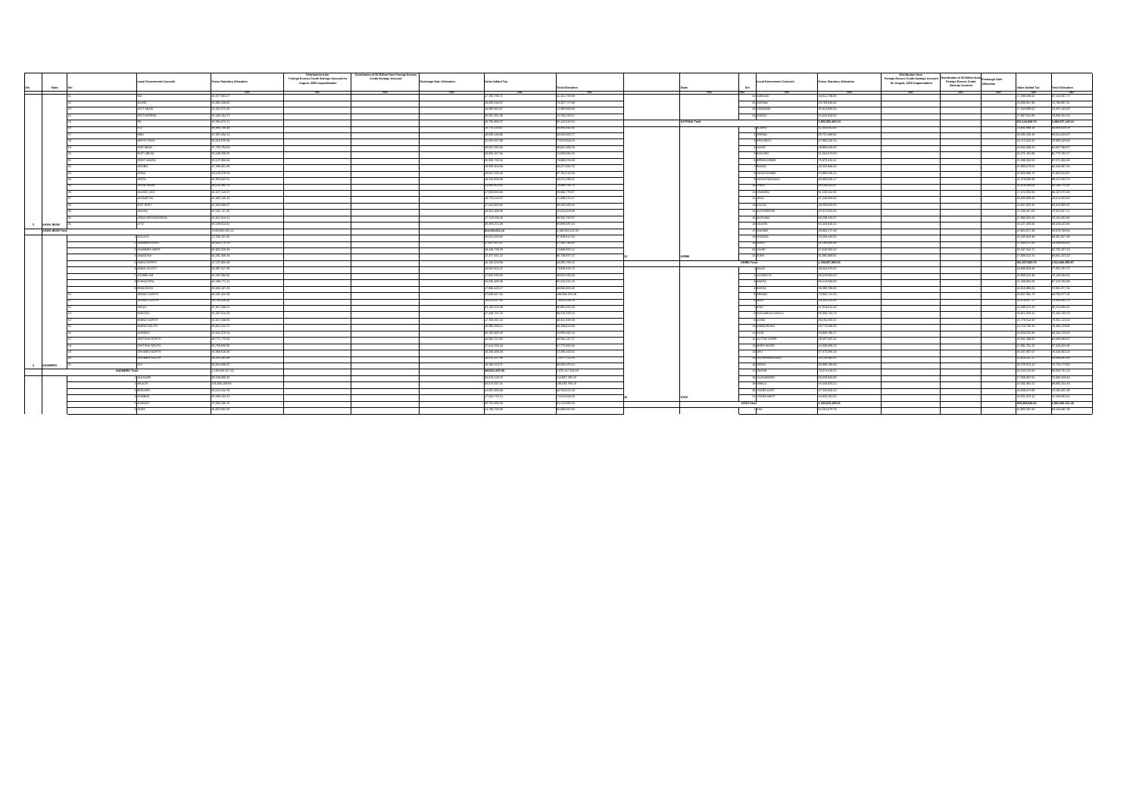|                       |               |                                  |                          | Distribution from                        | <b>Distribution of \$2 Billion from Foreign Exces</b> |                         |                |                  |                      |                    |                          |                                   | Distribution from                   |                                |                   |                 |                  |
|-----------------------|---------------|----------------------------------|--------------------------|------------------------------------------|-------------------------------------------------------|-------------------------|----------------|------------------|----------------------|--------------------|--------------------------|-----------------------------------|-------------------------------------|--------------------------------|-------------------|-----------------|------------------|
|                       |               |                                  |                          | Foreign Excess Crude Savings Account for | Crude Savings Account                                 |                         |                |                  |                      |                    |                          |                                   | Foreign Excess Crude Savings Accoun | stribution of \$2 Billion from | Exchange Gain     |                 |                  |
|                       |               | <b>Local Government Councils</b> | oss Statutory Allocation | August, 2009 Augmentation                |                                                       | schange Gain Allocation | alue Added Tax |                  |                      |                    | ocal Government Councils | <b>Gross Statutory Allocation</b> | for August, 2009 Augmentation       | Foreign Excess Crude           | <b>Allocation</b> |                 |                  |
| State                 |               |                                  |                          |                                          |                                                       |                         |                | tal Allocation   |                      | Sh.                |                          |                                   |                                     | <b>Savings Account</b>         |                   | alue Added Tax  | notal Allocation |
|                       |               |                                  |                          |                                          |                                                       |                         |                |                  | <b>START</b>         | $\sim$             |                          |                                   |                                     | - 1991                         |                   | $   -$          | $-10$            |
|                       |               |                                  | 3,377,963.27             |                                          |                                                       |                         | 783,795.71     | 161,758.98       |                      |                    |                          | 11,798.69                         |                                     |                                |                   | 7,299,039.02    | 210,837.7        |
|                       |               | GMC                              | 3,382,239.82             |                                          |                                                       |                         | 0,955,538.07   | 337,777.89       |                      |                    |                          | 709,949.40                        |                                     |                                |                   | 3,055,947.80    | 2,766,897.21     |
|                       |               | IKOT ABASI                       | 2,421,072.69             |                                          |                                                       |                         | 9,959,920.97   | 200,993.66       |                      |                    | 33 SANDAMI               | 1,912,849.30                      |                                     |                                |                   | 17,344,599.02   | 0,257,448.32     |
|                       |               |                                  |                          |                                          |                                                       |                         |                |                  |                      |                    |                          |                                   |                                     |                                |                   |                 |                  |
|                       |               | KOT EXPENE                       | 52,426,164.27            |                                          |                                                       |                         | 20,367,051.30  | 2.793.215.57     |                      |                    |                          | 02.818.50                         |                                     |                                |                   | 17.987.521.68   | 0.630.340.18     |
|                       |               |                                  | 5,394,672.17             |                                          |                                                       |                         | 18,750,058.37  | 5,145,540.53     | <b>KATSINA Total</b> |                    |                          | 1,852,392,490.34                  |                                     |                                |                   | 631,144,658.79  | 2,483,537,149.14 |
|                       |               |                                  | 49,884,708.38            |                                          |                                                       |                         | 19,776,134.07  | 0,000,042.45     |                      |                    |                          | 003,641.60                        |                                     |                                |                   | 13,941,998.18   | 4,945,639.78     |
|                       |               |                                  | 47,597,254.11            |                                          |                                                       |                         | 18,928,246.00  | 6,525,500.77     |                      |                    |                          | 1,721,468.82                      |                                     |                                |                   | 18,290,160.45   | 4,011,629.27     |
|                       |               | <b>IKPAT ENIN</b>                | 8,015,876.36             |                                          |                                                       |                         | 1,654,627.68   | 7,670,504.04     |                      |                    |                          | 383,226.16                        |                                     |                                |                   | 18.712.023.20   | 5,025,242.35     |
|                       |               |                                  |                          |                                          |                                                       |                         |                |                  |                      |                    |                          |                                   |                                     |                                |                   |                 |                  |
|                       |               | MONT 15                          | 1,733,753.64             |                                          |                                                       |                         | 9,097,632.62   | 0,200,100,20     |                      |                    |                          | 005,449.32                        |                                     |                                |                   | 5,831,946.24    | 14,037,335.57    |
|                       |               | SIT UBIUM                        | 0,189,326.55             |                                          |                                                       |                         | 9,820,257.66   | 000358420        |                      |                    |                          | 504,573.09                        |                                     |                                |                   | 20,271,191.68   | 1,775,764.77     |
|                       |               | <b>BOT AKARA</b>                 | 3,127,856.64             |                                          |                                                       |                         | 558,720.04     | 636,576.68       |                      |                    |                          | 873,234.41                        |                                     |                                |                   | 1,398,332.04    | 7,271,566.45     |
|                       |               | CECX                             | 7,298,061.69             |                                          |                                                       |                         | 8,929,904.06   | 05,227,965.75    |                      |                    | UNZA                     | 332,808.44                        |                                     |                                |                   | 15,985,679.01   | 14,318,487.45    |
|                       |               | NNA.                             | 139,678.24               |                                          |                                                       |                         | 641,332.46     | 7,781,010.69     |                      |                    | ANDI KAMI                | 800,048.14                        |                                     |                                |                   | 682586873       | 1,625,916.87     |
|                       |               |                                  |                          |                                          |                                                       |                         |                |                  |                      |                    |                          |                                   |                                     |                                |                   |                 |                  |
|                       |               | RON                              | 1,953,842.31             |                                          |                                                       |                         | 00.033.01CL    | 3,272,498.41     |                      |                    | WIASAGU                  | 003,094.17                        |                                     |                                |                   | 21,279,846.58   | 18,147,940.75    |
|                       |               | MANA XILIR                       | 58,133,392.73            |                                          |                                                       |                         | 21,456,403.01  | 9.589.795.74     |                      |                    |                          | 1,109,262.87                      |                                     |                                |                   | 15,976,508.08   | 15,145,770.95    |
|                       |               | DUNG UKO                         | 2,027,119.37             |                                          |                                                       |                         | 030,000.00     | 0,086,779.97     |                      |                    |                          | 033,342.36                        |                                     |                                |                   | 17,074,330.94   | 18,107,673.29    |
|                       |               | KANAFUN .                        | 1,092,140.10             |                                          |                                                       |                         | 19,776,134.07  | 1,468,274.17     |                      |                    |                          | 440,003.40                        |                                     |                                |                   | 8.633.499.42    | 074,402.82       |
|                       |               | ESIT EKET                        | 1050.908.87              |                                          |                                                       |                         | 17.443.550.55  | 0,494,459.42     |                      |                    | 13 KALGO                 | 33,000.05                         |                                     |                                |                   | 14,657,625.32   | 3,010,685.97     |
|                       |               |                                  |                          |                                          |                                                       |                         | 9,454,488.58   | 03 023 373       |                      |                    | <b>DKO/BESSP</b>         | 1317,520.06                       |                                     |                                |                   | 17,205,407.05   |                  |
|                       |               | <b>UAN</b>                       | ,161,721.30              |                                          |                                                       |                         |                |                  |                      |                    |                          |                                   |                                     |                                |                   |                 | (523,927.11      |
|                       |               | URUE OFFONG/ORUX                 | 1,612,514.11             |                                          |                                                       |                         | 7,718,236.45   | 19,330,750.57    |                      |                    |                          | 1,208,240.57                      |                                     |                                |                   | 17,982,842.24   | 78,191,082.80    |
| 3 AKWA IBOM           |               |                                  | 0,199,814.62             |                                          |                                                       |                         | 26,499,272.39  | 5,020,057.00     |                      |                    | <b>ASK</b>               | 420,818.24                        |                                     |                                |                   | 16, 107, 405.60 | 6,528,223.84     |
| <b>KWA IBOM Total</b> |               |                                  | 555,902,091.21           |                                          |                                                       |                         | 12,404,011.12  | 168,306,102.33   |                      |                    | <b>UCAIS</b>             | 1054.171.30                       |                                     |                                |                   | 14.824.617.26   | 13,678,788.64    |
|                       |               | <b>GUATA</b>                     | 335,161.00               |                                          |                                                       |                         | 5,614,450.94   | 943,611.94       |                      |                    |                          | 206,444.50                        |                                     |                                |                   | 6,195,063.48    | 15,401,507.98    |
|                       |               | AMBRA EAS                        | 533,775.75               |                                          |                                                       |                         | ,627,971.07    | 161,746.82       |                      |                    |                          | 164,585.38                        |                                     |                                |                   | 7,045,271.24    | 209,856.62       |
|                       |               |                                  |                          |                                          |                                                       |                         |                |                  |                      |                    |                          |                                   |                                     |                                |                   |                 |                  |
|                       |               | <b>IAMBRA WEST</b>               | 1,822,225.83             |                                          |                                                       |                         | 8,146,736.29   | 058,952.12       |                      |                    |                          | 545,302.42                        |                                     |                                |                   | 15,187,034.71   | 12,732,337.13    |
|                       |               | NADCHA                           | 4,261,006.34             |                                          |                                                       |                         | 22,477,551.13  | 06,738,557.47    | <b>KEBBI</b>         |                    |                          | 391,690.91                        |                                     |                                |                   | 7,609,412.31    | 9,601,103.22     |
|                       |               | AWKA NORTH                       | 47,137,064.48            |                                          |                                                       |                         | 16,128,100.56  | 53,265,765.04    |                      | <b>KEBBI Total</b> |                          | 1,150,657,886.91                  |                                     |                                |                   | 361,037,063.76  | 1,511,694,950.67 |
|                       |               | WKA SOUTH                        | 1,587,317.49             |                                          |                                                       |                         | 1,943,502.21   | 530,819.70       |                      |                    |                          | 444,979.02                        |                                     |                                |                   | 8,806,818.26    | 7,251,797.27     |
|                       |               | <b>YAMELUM</b>                   | 1,187,594.56             |                                          |                                                       |                         | 17,815,035.93  | 002,630.49       |                      |                    | <b>AJAOKUTA</b>          | 1,278,553.53                      |                                     |                                |                   | 15,865,012.48   | 2,143,566.01     |
|                       |               |                                  |                          |                                          |                                                       |                         |                |                  |                      |                    |                          |                                   |                                     |                                |                   |                 |                  |
|                       |               | unukofia.                        | 408,771.11               |                                          |                                                       |                         | 530,480.08     | 2,019,251.19     |                      |                    |                          | 213,068.80                        |                                     |                                |                   | 206 692 69      | 7,419,760.89     |
|                       |               | <b>DOISONNE</b>                  | 0,092,157.23             |                                          |                                                       |                         | 17.008.443.17  | 1,500,600.40     |                      |                    | <b>BASSA</b>             | 5,385,786.65                      |                                     |                                |                   | 6,515,890.64    | 72,901,677.30    |
|                       |               | <b>JEMILI NORTH</b>              | 0,161,412.28             |                                          |                                                       |                         | 27,546,817.20  | 08.008.229.48    |                      |                    |                          | 180271229                         |                                     |                                |                   | 20.947.364.73   | 4.750.077.02     |
|                       |               | HTUOS LIMID                      | 3,790,624.50             |                                          |                                                       |                         | 9,629,811.84   | AC 20,436.34     |                      |                    |                          | 4,351,025.56                      |                                     |                                |                   | 16.078.927.17   | (429,952.73      |
|                       |               | <b>SALA</b>                      | 1,872,168.01             |                                          |                                                       |                         | 3,109,424.48   | 03 981 592 49    |                      |                    |                          | 914,614.18                        |                                     |                                |                   | 14,299,472.23   | 6,214,086.41     |
|                       |               | <b>NJIKOKA</b>                   | 51,027,514.33            |                                          |                                                       |                         | 17,448,751.22  | 88,476,265.54    |                      |                    | GALAMELA-COOLU           | 5,350,704.73                      |                                     |                                |                   | 16,811,533.41   | 72,162,238.15    |
|                       |               |                                  |                          |                                          |                                                       |                         |                |                  |                      |                    |                          |                                   |                                     |                                |                   |                 |                  |
|                       |               | NEW NORTH                        | 1,547,538.96             |                                          |                                                       |                         | ,784,061.02    | 8,331,599.98     |                      |                    |                          | 154,200.61                        |                                     |                                |                   | 1776.912.63     | 3.931.113.24     |
|                       |               | MNEWI SOUTH                      | 0,612,314.72             |                                          |                                                       |                         | 586,498.14     | 198,812.86       |                      |                    | DDA/DUNL                 | 1,773,498.55                      |                                     |                                |                   | 16,716,730.31   | 5,490,228.86     |
|                       |               | <b>DOBARU</b>                    | 56,841,679.14            |                                          |                                                       |                         | 0,152,665.30   | 14.142,102.5     |                      |                    |                          | 1,006,188.17                      |                                     |                                |                   | 5,628,520.36    | 0.434,708.53     |
|                       |               | <b>NITSHA NORTH</b>              | 771,772.64               |                                          |                                                       |                         | 6,582,374.63   | 1,354,147.27     |                      |                    | <b>TON KARFE</b>         | 5,097,620.32                      |                                     |                                |                   | 18,551,468.65   | 649,088.97       |
|                       |               | NITSHA SOUTH                     | 0,759,550.50             |                                          |                                                       |                         | 014,034.44     | 7,773,584.94     |                      |                    | 3 MOPA-MURO              | 1336,695.23                       |                                     |                                |                   | 12,981,731.22   | 7,318,426.46     |
|                       |               |                                  |                          |                                          |                                                       |                         |                |                  |                      |                    |                          |                                   |                                     |                                |                   |                 |                  |
|                       |               | <b>IRLIMBA NORTH</b>             | 4,058,618.65             |                                          |                                                       |                         | 18,330,486.35  | 1399.105.01      |                      |                    |                          | 373,356.16                        |                                     |                                |                   | 18,437,587.07   | 5,410,943.23     |
|                       |               | RUMBA SOUTH                      | 1,102,393.49             |                                          |                                                       |                         | 18,875,327.95  | 1,977,721.44     |                      |                    |                          | 130,460.51                        |                                     |                                |                   | 12,819,122.17   | ,949,582.69      |
| 4 ANAMBRA             |               |                                  | 0,924,056.52             |                                          |                                                       |                         | 8,109,313.71   | 0,023,370.24     |                      |                    |                          | 0,989,199.48                      |                                     |                                |                   | 18,725,974.12   | 5,715,173.60     |
|                       | ANAMBRA Total |                                  | 1,109,525,317.53         |                                          |                                                       |                         | 405.621.837.65 | 1,575,147,155.18 |                      |                    | KENE                     | 1,374,419.20                      |                                     |                                |                   | 23,155,312.00   | 13,529,731.20    |
|                       |               | <b>LKALERI</b>                   | 0,248,655.50             |                                          |                                                       |                         | 3,619,129.72   | 12,067,785.22    |                      |                    | <b>EMARCH</b>            | 53,040.05                         |                                     |                                |                   | 17.258.367.61   | 2,892,208.46     |
|                       |               |                                  |                          |                                          |                                                       |                         | 29.673.637.31  |                  |                      |                    |                          | 340.053.22                        |                                     |                                |                   |                 | 0.022.414.43     |
|                       |               | BAUCHI                           | 08.827,0356.001          |                                          |                                                       |                         |                | 36,039,796.19    |                      |                    | <b>CIMALA</b>            |                                   |                                     |                                |                   | 15,352,361.21   |                  |
|                       |               |                                  | 116,244.78               |                                          |                                                       |                         | 587,826.8      |                  |                      |                    |                          | HS.926.43                         |                                     |                                |                   |                 | 194,401.38       |
|                       |               | MADAN                            | 10.000,003.31            |                                          |                                                       |                         | 044,715.14     | 2,510,818.45     |                      |                    | AGBA WEST                | 1,922,291.50                      |                                     |                                |                   | 16.521.673.12   | 13,443,954.61    |
|                       |               | ARAZO                            | 70,363,205.10            |                                          |                                                       |                         | 20,752,680.25  | 1,115,005.35     |                      | <b>KOGI Total</b>  |                          | 192,619,195.01                    |                                     |                                |                   | 359,305,946.42  | 1,551,925,141.43 |
|                       |               | MSS                              | 5,870,052.59             |                                          |                                                       |                         | 14,798,795.06  | 03.047.00        |                      |                    |                          | 2,251,873.79                      |                                     |                                |                   | 16,892,207.60   | 10,144,081.39    |
|                       |               |                                  |                          |                                          |                                                       |                         |                |                  |                      |                    |                          |                                   |                                     |                                |                   |                 |                  |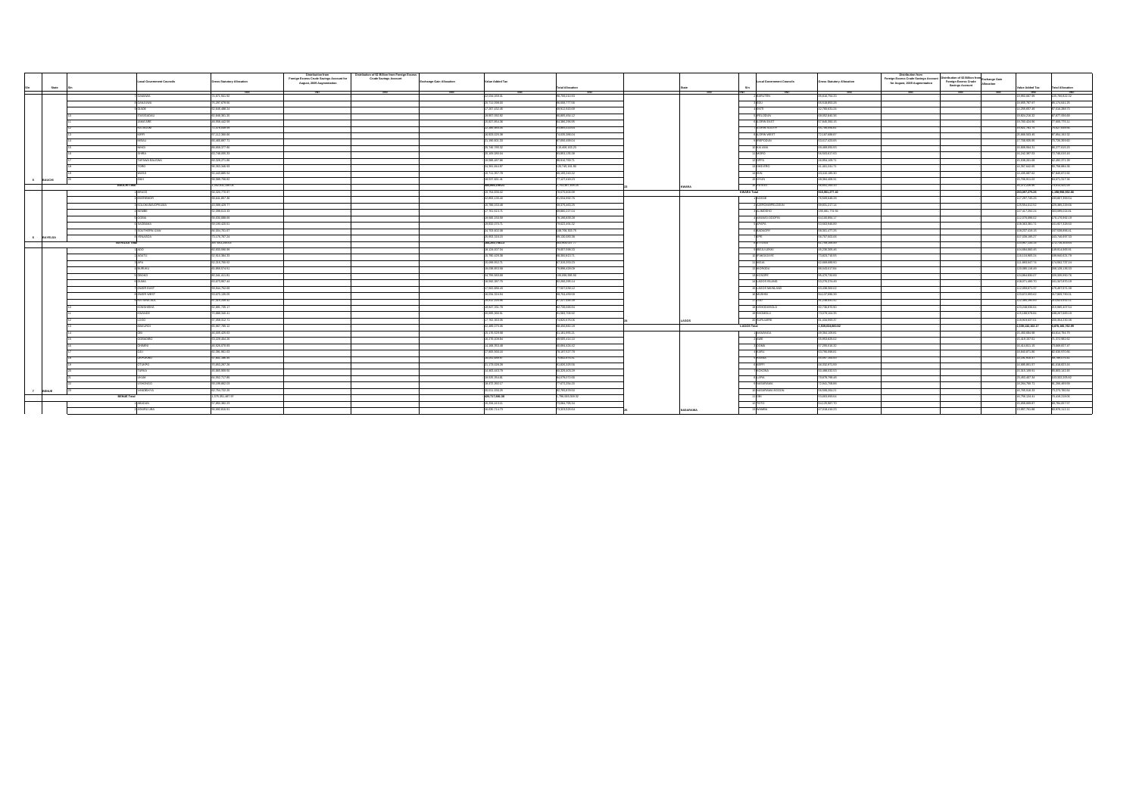|              |                  |                      |                                  |                           | <b>Clatribution from</b>                 | <b>Distribution of \$2 Billion from Foreign Excess</b> |                         |                 |                         |                 |                    |                         |                                   | Distribution from                   |                                 |               |                        |                   |
|--------------|------------------|----------------------|----------------------------------|---------------------------|------------------------------------------|--------------------------------------------------------|-------------------------|-----------------|-------------------------|-----------------|--------------------|-------------------------|-----------------------------------|-------------------------------------|---------------------------------|---------------|------------------------|-------------------|
|              |                  |                      |                                  |                           | Foreign Excess Crude Savings Account for | Crude Savings Account                                  |                         |                 |                         |                 |                    |                         |                                   | Foreign Excess Crude Savings Accoun | latribution of \$2 Billion from | Exchange Gain |                        |                   |
|              |                  |                      | <b>Local Government Councils</b> | ross Statutory Allocation | August, 2009 Augmentation                |                                                        | schange Gain Allocation | Value Added Tax |                         |                 |                    | cal Government Councils | <b>Gross Statutory Allocation</b> | for August, 2009 Augmentation       | Foreign Excess Crude            | Allowation.   |                        |                   |
|              | State            |                      |                                  |                           |                                          |                                                        |                         |                 | <b>Total Allocation</b> |                 | <b>Sta</b>         |                         |                                   |                                     | <b>Savings Account</b>          |               | <b>Falue Added Tax</b> | otal Allocation   |
|              |                  |                      |                                  |                           |                                          |                                                        |                         |                 |                         |                 | --                 |                         |                                   |                                     | <b>AND</b>                      |               | <b>STATE</b>           | <b>CONTRACTOR</b> |
|              |                  |                      |                                  | (671,941.92               |                                          |                                                        |                         | 034,009.0       | 706,010.93              |                 |                    |                         | 816,754.33                        |                                     |                                 |               | 3,950,057.99           | 1,766,822.32      |
|              |                  |                      | <b>MAJAWA</b>                    | 1,297,679.56              |                                          |                                                        |                         | 711,098.00      | 6,008,777.56            |                 |                    |                         | 518,853.28                        |                                     |                                 |               | 9,655,787.97           | 174,641.25        |
|              |                  |                      |                                  |                           |                                          |                                                        |                         |                 |                         |                 |                    |                         |                                   |                                     |                                 |               |                        |                   |
|              |                  |                      | ADE                              | 2,645,488.24              |                                          |                                                        |                         | 7,267,432.45    | 3,912,920.69            |                 |                    |                         | 2,760,631.24                      |                                     |                                 |               | 14,255,657.49          | 7,016,288.73      |
|              |                  |                      | <b>ASGADAU</b>                   | 0,848,361.20              |                                          |                                                        |                         | 19,957,092.92   | 80,005,454.12           |                 |                    | FELODUN                 | 1,052,840.36                      |                                     |                                 |               | 19,824,216.32          | 17,877,056.69     |
|              |                  |                      | MA'ARE                           | 1,558,442.59              |                                          |                                                        |                         | 5,827,854.36    | 20.000.000.00           |                 |                    | <b>ORIN EAS</b>         | 1,845,350.15                      |                                     |                                 |               | 3,760,424.96           | 7,605,775.11      |
|              |                  |                      |                                  |                           |                                          |                                                        |                         |                 |                         |                 |                    |                         |                                   |                                     |                                 |               |                        |                   |
|              |                  |                      | TAGIN                            | 478,049.59                |                                          |                                                        |                         | 22,386,984.05   | 13.005.033.64           |                 |                    | <b>ORIN SOUTH</b>       | 5,706,056.81                      |                                     |                                 |               | 19,921,781.75          | 5,627,838.56      |
|              |                  |                      |                                  | 7,112,350.55              |                                          |                                                        |                         | 16,923,025.38   | 74,035,386.04           |                 |                    | <b>ILORIN WEST</b>      | 2,187,588.87                      |                                     |                                 |               | 25,006,503.45          | 07,054,192.32     |
|              |                  |                      |                                  | 6,465,897.71              |                                          |                                                        |                         | 02.190,001.33   | 10.099,323,57           |                 |                    | <b>EDODI IN</b>         | 017,423.65                        |                                     |                                 |               | 7,708,935.95           | 0,726,359.60      |
|              |                  |                      | arza                             | 9,659,377.90              |                                          |                                                        |                         |                 |                         |                 |                    | 10 KAI AMA              | 469,050.93                        |                                     |                                 |               |                        |                   |
|              |                  |                      |                                  |                           |                                          |                                                        |                         | 25,746,785.32   | 15,406,163.23           |                 |                    |                         |                                   |                                     |                                 |               | 10.003.554.31          | 6,277,615.23      |
|              |                  |                      |                                  | 1748.055.33               |                                          |                                                        |                         | 10,105,080.04   | 83,853,135.38           |                 |                    |                         | 503,617.63                        |                                     |                                 |               | 6.242.397.53           | 2,746,015.16      |
|              |                  |                      | AFAWA BALEWA                     | 0,328,271.86              |                                          |                                                        |                         | 19,588,487.86   | 88,916,759.71           |                 |                    |                         | 6,954,109.71                      |                                     |                                 |               | 5,538,261.68           | 2,492,371.39      |
|              |                  |                      |                                  | 6353346.93                |                                          |                                                        |                         | 12341.844.97    | 120,745,191.90          |                 |                    | <b>OKE-ERO</b>          | 1,401,241.71                      |                                     |                                 |               | 4357,642.85            | 30,004.35         |
|              |                  |                      |                                  | 1413,885.54               |                                          |                                                        |                         |                 |                         |                 |                    |                         |                                   |                                     |                                 |               | 1.435.687.62           |                   |
|              |                  |                      |                                  |                           |                                          |                                                        |                         | 5,711,357.78    | 155,243.32              |                 |                    |                         | 410,185.30                        |                                     |                                 |               |                        | 7,845,872.92      |
| - 51         | BAUCHI           |                      |                                  | 8,589,756.82              |                                          |                                                        |                         | 8.537.661.41    | 7,127,418.23            |                 |                    |                         | 1204,405.31                       |                                     |                                 |               | 5.706.911.02           | 4.071.317.34      |
|              |                  | BAUCHI Total         |                                  | 352,631,336.04            |                                          |                                                        |                         | 400,856,159.21  | 753,487,495.25          | <b>KWARA</b>    |                    |                         | 001,193.33                        |                                     |                                 |               | 6,372,226.96           | (013,420.29       |
|              |                  |                      |                                  | 1,320,770.97              |                                          |                                                        |                         | 0,754,836.02    | 18,075,000.99           |                 | <b>KWARA Total</b> |                         | 15,901,277.40                     |                                     |                                 |               | 283,097,275.26         | 198,998,552.66    |
|              |                  |                      |                                  |                           |                                          |                                                        |                         |                 |                         |                 |                    |                         |                                   |                                     |                                 |               |                        |                   |
|              |                  |                      | <b>SOMBRE</b>                    | 30.1357.36                |                                          |                                                        |                         | 2,893,135.40    | 1,534,992.76            |                 |                    | <b>GEGE</b>             | 509,648.28                        |                                     |                                 |               | 17,297,745.26          | 03,007,393.54     |
|              |                  |                      | <b>DLOKUMA/OPKUMA</b>            | 3,589,429.77              |                                          |                                                        |                         | 5,786,033.48    | 59,375,463.25           |                 |                    | 2 AJEROMINTELODUR       | 0,831,217.14                      |                                     |                                 |               | 25,554,012.52          | 25,385,229.66     |
|              |                  |                      | EMBE                             | 098,613.33                |                                          |                                                        |                         | 7,761,613.71    | 10,000,227.04           |                 |                    | LIMOSHO                 | 55,681,774.56                     |                                     |                                 |               | 147,417,250.24         | 1,099,024.81      |
|              |                  |                      |                                  |                           |                                          |                                                        |                         |                 |                         |                 |                    |                         |                                   |                                     |                                 |               |                        |                   |
|              |                  |                      | 28W                              | 630,688.69                |                                          |                                                        |                         | 3,566,150.59    | 18,196,839.28           |                 |                    | <b>ID-ODDFIN</b>        | 100,894.17                        |                                     |                                 |               | 12,076,098.02          | 76,176,992.19     |
|              |                  |                      |                                  | 130,420.61                |                                          |                                                        |                         | 19,832,070.71   | 9,022,491.32            |                 |                    | 0404                    | 03.046.00                         |                                     |                                 |               | 108,363,381.71         | 61,927,328.60     |
|              |                  |                      | WALI KRIHITUC                    | 4,004,701.67              |                                          |                                                        |                         | 4,703,602.08    | 08,708,303.75           |                 |                    |                         | 301,477.25                        |                                     |                                 |               | 09,237,419.15          | 07,538,896.41     |
|              |                  |                      |                                  |                           |                                          |                                                        |                         |                 |                         |                 |                    |                         |                                   |                                     |                                 |               |                        |                   |
|              | <b>6 BAYELSA</b> |                      |                                  | 176,767.24                |                                          |                                                        |                         | 15,953,316.15   | 19,130,083.38           |                 |                    |                         | 707,502.06                        |                                     |                                 |               | 07,039,195.27          | 03,746,097.33     |
|              |                  | <b>BAYELSA Total</b> |                                  | 497,653,249.64            |                                          |                                                        |                         | 166,250,758.13  | 053,904,007.77          |                 |                    | <b>SETI-OSA</b>         | 11,759,169.49                     |                                     |                                 |               | 10,957,134.14          | 72,716,303.64     |
|              |                  |                      |                                  | (933,590.99               |                                          |                                                        |                         | 1,124,007.34    | 0,057,598.33            |                 |                    | <b>BEJU-LEKK</b>        | 230,305.46                        |                                     |                                 |               | 34,684,660.45          | 49,914,955.91     |
|              |                  |                      | GATH                             | 2,510,384.33              |                                          |                                                        |                         | 5,790,429.38    | 18,300,813.71           |                 |                    | <b><i>AKOILIAYE</i></b> | 3,823,716.55                      |                                     |                                 |               | 116,116,905.24         | 89,940,621.79     |
|              |                  |                      |                                  |                           |                                          |                                                        |                         |                 |                         |                 |                    |                         |                                   |                                     |                                 |               |                        |                   |
|              |                  |                      |                                  | 2,215,700.52              |                                          |                                                        |                         | 5.099.552.71    | 731525123               |                 |                    | œu                      | 2,000,080.50                      |                                     |                                 |               | 111.023.047.74         | 74,552,737.24     |
|              |                  |                      | <b>BURUKU</b>                    | 0,859,574.51              |                                          |                                                        |                         | 19,038,853.58   | 13,038,428.09           |                 |                    | 12 IKORDO               | D43,017.84                        |                                     |                                 |               | 20,085,118.49          | 06,128,136.33     |
|              |                  |                      | 00005                            | 0,341,411.81              |                                          |                                                        |                         | 14,755,583.69   | 05,096,995.50           |                 |                    | <b>LOSOF</b>            | 5,470,720.69                      |                                     |                                 |               | 124.054.030.07         | 20,335,550.76     |
|              |                  |                      |                                  |                           |                                          |                                                        |                         |                 |                         |                 |                    |                         |                                   |                                     |                                 |               |                        |                   |
|              |                  |                      |                                  | (673,907.44               |                                          |                                                        |                         | 592,387.70      | 266,295.1               |                 |                    |                         | 276,374.49                        |                                     |                                 |               | 1,071,495.70           | 347,870.19        |
|              |                  |                      | WER EAST                         | 0,944,752.69              |                                          |                                                        |                         | 7,562,886.43    | 7,507,639.12            |                 |                    | AGOS MAINI AND          | 33438,300.02                      |                                     |                                 |               | 12,059,671.37          | 75,497,971.39     |
|              |                  |                      | GWER WEST                        | 53,670,135.05             |                                          |                                                        |                         | 16,034,324.54   | 03,704,459.59           |                 |                    |                         | 4,137,696.39                      |                                     |                                 |               | 123,672,093.62         | 17,809,790.01     |
|              |                  |                      | ATSINA ALA                       | 7,415,249.42              |                                          |                                                        |                         | 19,812,194.96   | 7.227.444.39            |                 |                    |                         | 238,641.42                        |                                     |                                 |               | 22.385.290.69          | 3,623,932.11      |
|              |                  |                      |                                  |                           |                                          |                                                        |                         |                 |                         |                 |                    |                         |                                   |                                     |                                 |               |                        |                   |
|              |                  |                      | <b>ANSNISK</b>                   | 52,091,735.17             |                                          |                                                        |                         | 19,847,331.78   | 82,739,000.94           |                 |                    | 51001150LO              | 2,736,870.90                      |                                     |                                 |               | 23:248.536.64          | 15,985,407.54     |
|              |                  |                      | <b>IANDE</b>                     | 0,888,340.41              |                                          |                                                        |                         | 12.000,000,01   | 1,583,705.92            |                 |                    | SHOMOL U                | 3,079,104.35                      |                                     |                                 |               | 15,188,578.84          | 88,267,683.19     |
|              |                  |                      |                                  | 058.312.71                |                                          |                                                        |                         | 7,762,363.35    | 4,820,676.06            | LAGOS           |                    | 20 SURULERE             | 1,434,593,37                      |                                     |                                 |               | 118.919.637.01         | 00,354,230.38     |
|              |                  |                      | <b>MACURER</b>                   | 5,967,785.12              |                                          |                                                        |                         | 2,489,075.06    | 81.000,324,88           |                 | LAGOS Total        |                         | 539,034,000.82                    |                                     |                                 |               | 2,339,132,102.17       | 1,578,166,762.99  |
|              |                  |                      |                                  |                           |                                          |                                                        |                         |                 |                         |                 |                    |                         |                                   |                                     |                                 |               |                        |                   |
|              |                  |                      |                                  | 6,005,425.63              |                                          |                                                        |                         | 5,176,529.58    | 61,181,955.21           |                 |                    |                         | 0,364,109.81                      |                                     |                                 |               | 5,450,684.98           | 4,814,794.79      |
|              |                  |                      | CONTRO                           | 229,404.26                |                                          |                                                        |                         | 6,276,009.84    | 3,505,414.10            |                 |                    |                         | 953,825.02                        |                                     |                                 |               | 5,419,157.61           | ,372,982.62       |
|              |                  |                      | <b>IMN</b>                       | 526,070.93                |                                          |                                                        |                         | 14,168,353.48   | 094,424.42              |                 |                    |                         | 255,016.32                        |                                     |                                 |               | 6,414,811.15           | 009,827.47        |
|              |                  |                      |                                  |                           |                                          |                                                        |                         |                 |                         |                 |                    |                         |                                   |                                     |                                 |               |                        |                   |
|              |                  |                      |                                  | 50,391,951.63             |                                          |                                                        |                         | 7,005,566.16    | 18,197,527.78           |                 |                    |                         | 53,790,098.81                     |                                     |                                 |               | 18,840,871.86          | 2,630,970.66      |
|              |                  |                      | <b>GACIATI</b>                   | 7,801,186.45              |                                          |                                                        |                         | 1,041,682.97    | 5,842,876.41            |                 |                    |                         | 597,164.93                        |                                     |                                 |               | 4,191,910.47           | 789,075.41        |
|              |                  |                      | <b>LIKPO</b>                     | 0,053,297.28              |                                          |                                                        |                         | 1,173,028.28    | 25.25.325.56            |                 |                    |                         | 5,332,971.59                      |                                     |                                 |               | 14,685,851.57          | 1,018,823.16      |
|              |                  |                      | <b>IBKA</b>                      | 5,065,959.50              |                                          |                                                        |                         | 14,463,443.79   | 0,329,403.29            |                 |                    |                         | 0,488,032.53                      |                                     |                                 |               | 15.315.109.91          | 5,803,142.45      |
|              |                  |                      | $\overline{a}$                   |                           |                                          |                                                        |                         |                 |                         |                 |                    |                         |                                   |                                     |                                 |               |                        |                   |
|              |                  |                      |                                  | 1,552,717.85              |                                          |                                                        |                         | 9,525,354.01    | 14,078,072.66           |                 |                    |                         | 3,575,795.45                      |                                     |                                 |               | 23,453,407.34          | 1,332,205.82      |
|              |                  |                      | temagn                           | 0,199,862.03              |                                          |                                                        |                         | 18,472,392.17   | 7,672,254.20            |                 |                    |                         | 2,941,703.88                      |                                     |                                 |               | 18.264.700.71          | 1,206,409.59      |
| $\mathbf{r}$ | <b>SENUE</b>     |                      |                                  | 1,754,722.25              |                                          |                                                        |                         | 011,156.25      | 12,765,878.50           |                 |                    |                         | 508,264.21                        |                                     |                                 |               | 6.765.516.33           | 3,273,780.54      |
|              |                  | <b>BENUE Total</b>   |                                  | 375,351,487.97            |                                          |                                                        |                         | 120,717,881.36  | 1,796,009,369.32        |                 |                    |                         | 851,091.64                        |                                     |                                 |               | 6.756.124.41           |                   |
|              |                  |                      |                                  |                           |                                          |                                                        |                         |                 |                         |                 |                    |                         |                                   |                                     |                                 |               |                        | 0,419,218.06      |
|              |                  |                      | <b>WACARIA</b>                   | 57,850,382.23             |                                          |                                                        |                         | 5.234.413.11    | 73,084,795.34           |                 |                    | 12/7070                 | 4.125.987.70                      |                                     |                                 |               | 15.058.009.87          | 09,784,657.57     |
|              |                  |                      | <b>SIORAUGA</b>                  | 1,092,810.91              |                                          |                                                        |                         | 16,630,714.73   | 1,121,525.64            | <b>NASARAWA</b> |                    | 13 WAMBA                | 018,410.23                        |                                     |                                 |               | 13,957,701.88          | 50,976,112.11     |
|              |                  |                      |                                  |                           |                                          |                                                        |                         |                 |                         |                 |                    |                         |                                   |                                     |                                 |               |                        |                   |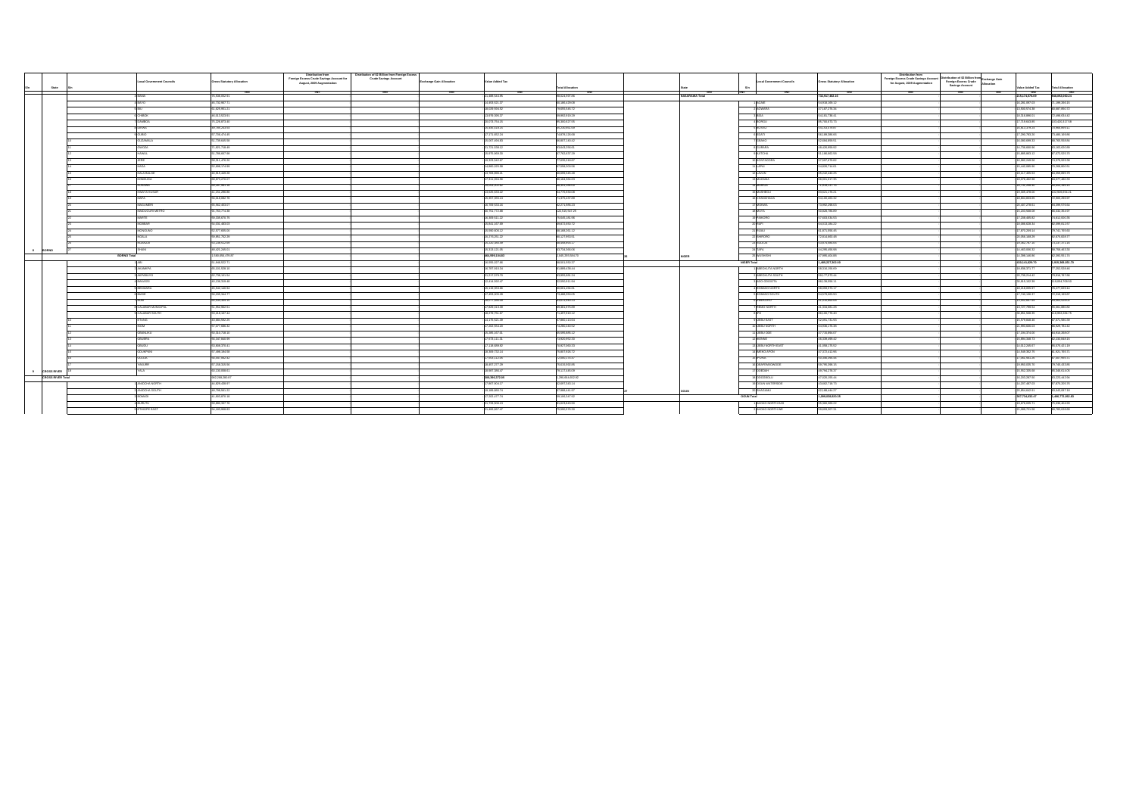|        |                          |                    |                                  |                                   | Distribution from                        | istribution of \$2 Billion from Foreign Exces |                         |                |                         |                   |             |                               |                           | <b>Clatribution from</b>            |                                |               |                |                         |
|--------|--------------------------|--------------------|----------------------------------|-----------------------------------|------------------------------------------|-----------------------------------------------|-------------------------|----------------|-------------------------|-------------------|-------------|-------------------------------|---------------------------|-------------------------------------|--------------------------------|---------------|----------------|-------------------------|
|        |                          |                    |                                  |                                   | Foreign Excess Crude Savings Account for | Crude Savings Account                         |                         |                |                         |                   |             |                               |                           | Foreign Excess Crude Savings Accour | stribution of \$2 Billion from | Exchange Gain |                |                         |
|        |                          |                    | <b>Local Government Councils</b> | <b>Gross Statutory Allocation</b> | August, 2009 Augmentation                |                                               | schange Gain Allocation | alus Added Tax |                         |                   |             | Local Government Councils     | ross Statutory Allocation | for August, 2009 Augmentation       | Foreign Excess Crude           | discation     |                |                         |
|        | State                    |                    |                                  |                                   |                                          |                                               |                         |                | <b>Total Allocation</b> |                   |             |                               |                           |                                     | <b>Savings Account</b>         |               | alue Added Tax | <b>Total Allocation</b> |
|        |                          |                    |                                  |                                   | $-Mn$                                    | <b>STATE</b>                                  |                         |                |                         |                   | n T         | <b>STATE</b>                  |                           |                                     | - 1991                         | . .           | $   -$         | $-$                     |
|        |                          |                    |                                  | 6,536,052.91                      |                                          |                                               |                         | 21,488,544.95  | 98,024,597.86           | <b>RAWA Total</b> |             |                               | 2,917,482.16              |                                     |                                |               | 15,174,578.09  | 48,092,000.24           |
|        |                          |                    |                                  | 5,732,907.71                      |                                          |                                               |                         | 4,453,521.37   | 0,186,429.08            |                   |             |                               | 918,169.12                |                                     |                                |               | 16,281,097.03  | 1,199,266.15            |
|        |                          |                    |                                  |                                   |                                          |                                               |                         |                |                         |                   |             |                               |                           |                                     |                                |               |                |                         |
|        |                          |                    |                                  | 61,625,951.21                     |                                          |                                               |                         | 18,029,594.52  | 9,655,545.72            |                   |             |                               | 187,276.34                |                                     |                                |               | 3,500,574.38   | 10,687,850.72           |
|        |                          |                    | HIDOK                            | 46,013,523.91                     |                                          |                                               |                         | 13,979,395.37  | 59,992,919.29           |                   |             |                               | 4,181,738.41              |                                     |                                |               | 18.316.896.01  | 2.498.634.42            |
|        |                          |                    | <b>MBOA</b>                      | 5,226,873.40                      |                                          |                                               |                         | 20,073,754.15  | 95,300,627.55           |                   |             | sorce:                        | 700,673.73                |                                     |                                |               | 7,719,643.85   | 0,420,317.58            |
|        |                          |                    |                                  |                                   |                                          |                                               |                         |                |                         |                   |             |                               |                           |                                     |                                |               |                |                         |
|        |                          |                    |                                  | 49,785,243.54                     |                                          |                                               |                         | 15,445,418.15  | 05,230,061.09           |                   |             |                               | 153,479.87                |                                     |                                |               | 16,813,379.24  | 10,966,859.11           |
|        |                          |                    | CIBIC                            | 57,706,474.45                     |                                          |                                               |                         | 7,171,652.24   | 74,578,126.68           |                   |             |                               | 33,350,031,5              |                                     |                                |               | 17,290,783.20  | 23,480,169.86           |
|        |                          |                    | <b>CAMALA</b>                    | 1,739,645.58                      |                                          |                                               |                         | 15,057,494.83  | 06,007,140.42           |                   |             |                               | 584.859.51                |                                     |                                |               | 16.000.022.33  | 10.052.035.04           |
|        |                          |                    | <b>IOZA</b>                      | 1,921,718.49                      |                                          |                                               |                         | 1,721,538.12   | 1,543,256.61            |                   |             |                               | 426,959.92                |                                     |                                |               | 14,736,660.96  | 3,163,620.89            |
|        |                          |                    |                                  |                                   |                                          |                                               |                         |                |                         |                   |             |                               |                           |                                     |                                |               |                |                         |
|        |                          |                    |                                  | 1,786,667.98                      |                                          |                                               |                         | 15,975,969.30  | 17,762,637.29           |                   |             |                               | 106,052.58                |                                     |                                |               | 15,005,003.12  | 17,072,525.70           |
|        |                          |                    |                                  | 58,311,476.20                     |                                          |                                               |                         | 19,323,542.67  | 77,635,018.87           |                   |             | <b>IDNTAGOR</b>               | 597,679.82                |                                     |                                |               | 16,982,249.56  | 4,579,929.38            |
|        |                          |                    | <b>AGA</b>                       | 52,098,174.99                     |                                          |                                               |                         | 14,860,025.58  | 67,558,200.56           |                   |             |                               | 1,826,714.61              |                                     |                                |               | 15,442,005.90  | 10,268,800.51           |
|        |                          |                    |                                  |                                   |                                          |                                               |                         |                |                         |                   |             |                               |                           |                                     |                                |               |                |                         |
|        |                          |                    | ALA BALGE                        | 46,915,449.28                     |                                          |                                               |                         | 13,783,896.21  | 0,022,345.48            |                   |             |                               | 242,440.25                |                                     |                                |               | 9.117.455.53   | 4,359,835.79            |
|        |                          |                    | <b>DUGA</b>                      | 58,873,270.07                     |                                          |                                               |                         | 17,311,094.55  | 86,184,364.63           |                   |             |                               | 001,017.35                |                                     |                                |               | 18,076,462.98  | 4,077,480.33            |
|        |                          |                    |                                  | 69,287,981.18                     |                                          |                                               |                         | 19,053,202.82  | 88,341,184.00           |                   |             |                               | 1,919,137.75              |                                     |                                |               | 18,731,208.40  | 0,050,346.15            |
|        |                          |                    |                                  |                                   |                                          |                                               |                         |                |                         |                   |             |                               |                           |                                     |                                |               |                |                         |
|        |                          |                    | <b>TAYA KUSAR</b>                | 1,151,296.86                      |                                          |                                               |                         | 13,625,633.22  | 54,776,930.08           |                   |             | <b>VASHEGL</b>                | 621,176.21                |                                     |                                |               | 19,305,478.00  | 02,926,654.21           |
|        |                          |                    |                                  | 56,018,082.76                     |                                          |                                               |                         | 15,357,355.13  | 71,375,437.89           |                   |             | <b>HANCHAGA</b>               | 100,463.32                |                                     |                                |               | 18.804.833.55  | 72,905,296.97           |
|        |                          |                    | <b>AGUMERI</b>                   | 55,562,453.07                     |                                          |                                               |                         | 16,709,533.16  | 82,271,986.23           |                   |             | <b>MOROVA</b>                 | 1992299803                |                                     |                                |               | 20.407.278.61  | 24,320,576.64           |
|        |                          |                    | <b>DUGURI METRO</b>              | 1,763,774.38                      |                                          |                                               |                         | 30,751,772.88  | 22,515,547.25           |                   |             |                               | 1,828,786.89              |                                     |                                |               | 15,203,568.08  | 6,032,354.97            |
|        |                          |                    |                                  |                                   |                                          |                                               |                         |                |                         |                   |             |                               |                           |                                     |                                |               |                |                         |
|        |                          |                    | <b>MRTE</b>                      | 59,335,670.75                     |                                          |                                               |                         | 16,309,511.22  | 75,645,181.96           |                   |             | PAIKORC                       | 003,534.53                |                                     |                                |               | 17,208,465.82  | 4,812,000.35            |
|        |                          |                    | DBBA                             | 54,031,483.03                     |                                          |                                               |                         | 15,841,167.69  | 09,872,650.72           |                   |             |                               | 013,184.22                |                                     |                                |               | 18,006,628.34  | 12,099,812.57           |
|        |                          |                    | ONGUNO                           | 52,577,655.00                     |                                          |                                               |                         | 15,590,606.12  | 08.108.201.12           |                   |             |                               | 1.871.556.45              |                                     |                                |               | 17.870.209.14  | 9,741,765.60            |
|        |                          |                    |                                  |                                   |                                          |                                               |                         |                |                         |                   |             |                               |                           |                                     |                                |               |                |                         |
|        |                          |                    |                                  | 0,051,702.29                      |                                          |                                               |                         | 20,276,251.22  | 10,127,953.51           |                   |             | annor                         | 1014,000.48               |                                     |                                |               | 0,056,168.29   | 2.870.828.7             |
|        |                          |                    |                                  | 1,238,512.69                      |                                          |                                               |                         | 15,220,380.40  | 68,458,893.17           |                   |             | <b>ULES</b>                   | 874,584.06                |                                     |                                |               | 19,362,787.10  | 3,237,371.16            |
|        | <b>DIRROS</b>            |                    |                                  | 48,421,245.01                     |                                          |                                               |                         | 15,313,121.05  | 3,734,355.05            |                   |             |                               | 225,455.98                |                                     |                                |               | 14,463,006.32  | 00.039,653.30           |
| $\sim$ |                          |                    |                                  |                                   |                                          |                                               |                         |                |                         |                   |             |                               |                           |                                     |                                |               |                |                         |
|        |                          | <b>BORNO Total</b> |                                  | 580,656,479.87                    |                                          |                                               |                         | 464,599,104.83 | 045,255,584.70          | NAGER             |             |                               | 325,404.88                |                                     |                                |               | 14,398,146.86  | 12,393,551.74           |
|        |                          |                    |                                  | 51,946,522.71                     |                                          |                                               |                         | 16,555,027.66  | 08,501,550.37           |                   | NIGER Total |                               | 1,485,227,302.00          |                                     |                                |               | 430,141,629.70 | 1,915,368,931.70        |
|        |                          |                    |                                  | 101,528.10                        |                                          |                                               |                         | 16,787,910.34  | 11,003,435.44           |                   |             | <b>BEOKUTA NORTH</b>          | (316,156.69               |                                     |                                |               | 8,936,371.77   | 7,252,528.46            |
|        |                          |                    |                                  |                                   |                                          |                                               |                         |                |                         |                   |             |                               |                           |                                     |                                |               |                |                         |
|        |                          |                    | <b>CPABLIYO</b>                  | 52,738,101.54                     |                                          |                                               |                         | 21,217,579.70  | 83,955,681.24           |                   |             | <b>BEOKUTA SOUTH</b>          | 1,177,573.44              |                                     |                                |               | 10,739,214.42  | 9,916,787.00            |
|        |                          |                    |                                  | 136,319.48                        |                                          |                                               |                         | 2,414,592.47   | 2,550,911.94            |                   |             | 10-000/0T/                    | 139,556.11                |                                     |                                |               | 0,915,152.39   | 19,054,708.50           |
|        |                          |                    | <b>EKWARA</b>                    | 45,542,140.94                     |                                          |                                               |                         | 15,119,353.00  | 00,001,494.61           |                   |             | <b>JEADO NORTH</b>            | 059,573.17                |                                     |                                |               | 18,218,055.97  | 5,277,629.14            |
|        |                          |                    |                                  | 6,035,344.77                      |                                          |                                               |                         | 17,453,005.28  | 73.488.350.05           |                   |             | GEADO SOUTH                   | 579.063.50                |                                     |                                |               | 7.740.136.37   | 2.319.199.87            |
|        |                          |                    |                                  |                                   |                                          |                                               |                         |                |                         |                   |             |                               |                           |                                     |                                |               |                |                         |
|        |                          |                    |                                  | 55,534,354.15                     |                                          |                                               |                         | 18,077,586.09  | 83,611,940.23           |                   |             | IWEKORO                       | 010,000.08                |                                     |                                |               | 13,552,667.94  | 14,563,528.02           |
|        |                          |                    | ALABAR MUNICIPAL                 | 1,552,962.51                      |                                          |                                               |                         | 17,829,013.39  | 03,381,975.03           |                   |             | <b>EMO NORTH</b>              | 334,081.28                |                                     |                                |               | 13,727,799.54  | 55,061,880.82           |
|        |                          |                    | HTUOS RABAIA                     | 53,218,167.44                     |                                          |                                               |                         | 18,279,751.67  | 71,497,919.12           |                   |             |                               | 6,100,776.40              |                                     |                                |               | 30,851,508.35  | 116,952,284.75          |
|        |                          |                    |                                  | 3,684,592.25                      |                                          |                                               |                         | 14,175,521.39  |                         |                   |             |                               | 091,731.93                |                                     |                                |               | 15.579.848.46  |                         |
|        |                          |                    |                                  |                                   |                                          |                                               |                         |                | 17,000,113.64           |                   |             | JEBU EAST                     |                           |                                     |                                |               |                | 17,671,580.39           |
|        |                          |                    |                                  | 57,077,686.32                     |                                          |                                               |                         | 17,202,554.20  | 74,280,240.52           |                   |             | <b>JEBU NORTH</b>             | 4,936,176.38              |                                     |                                |               | 03 303 593 1   | 16,929,782.42           |
|        |                          |                    | LOUJIANI                         | 0,310,718.10                      |                                          |                                               |                         | 15,285,167.01  | 05,595,885.12           |                   |             | <b>DEBRICOE</b>               | 715,894.07                |                                     |                                |               | 7,194,374.00   | 14,910,268.07           |
|        |                          |                    | <b>SUBRA</b>                     | 56,347,840.99                     |                                          |                                               |                         | 7,573,111.31   | 73,920,952.30           |                   |             | <b>ENN</b>                    | 339,499.42                |                                     |                                |               | 5,094,348.73   | 233, 848.15             |
|        |                          |                    |                                  |                                   |                                          |                                               |                         |                |                         |                   |             |                               |                           |                                     |                                |               |                |                         |
|        |                          |                    | <b>GUDU</b>                      | 53,008,370.41                     |                                          |                                               |                         | 17,118,689.92  | 70,927,060.33           |                   |             | <b>JUEBU NORTH EAST</b>       | 1,058,175.52              |                                     |                                |               | 14,012,245.67  | 15,070,421.19           |
|        |                          |                    | <b>CUICPANI</b>                  | 57,498,194.58                     |                                          |                                               |                         | 18,309,732.14  | 75,807,926.72           |                   |             | <b>HMEKO-AFON</b>             | 7,372,412.96              |                                     |                                |               | 14.549.352.75  | 51,921,705.71           |
|        |                          |                    |                                  | 4,447,062.42                      |                                          |                                               |                         | 7,553,112.05   | 2,000,174.47            |                   |             |                               | 346,394.44                |                                     |                                |               | 17,061,561.26  | 17,407,955.71           |
|        |                          |                    |                                  |                                   |                                          |                                               |                         |                |                         |                   |             |                               |                           |                                     |                                |               |                |                         |
|        |                          |                    | AND IDD                          | 158,315.56                        |                                          |                                               |                         | 18,457,277.29  | 75,615,592.85           |                   |             | <b>BAFEMIOWODE</b>            | 22,725,328.15             |                                     |                                |               | 19,950,035.70  | 3,745,433.85            |
|        | 9 CROSS RIVER            |                    | <b>YALA</b>                      | 13.530,058.61                     |                                          |                                               |                         | 18,987,386.47  | 79.117.445.09           |                   |             | <b>DOFDAH</b>                 | 0,794,278.37              |                                     |                                |               | 15,552,335.68  | 15,346,614.05           |
|        | <b>CROSS RIVER Total</b> |                    |                                  | 02,268,280.87                     |                                          |                                               |                         | 308,396,372.05 | 1,290,004,052.92        |                   |             | <b>DOGBOLU</b>                | 020,155.44                |                                     |                                |               | 16.203.287.50  | 223,442.94              |
|        |                          |                    |                                  |                                   |                                          |                                               |                         |                |                         |                   |             |                               |                           |                                     |                                |               |                |                         |
|        |                          |                    | <b>UOCHA NORTH</b>               | 44,829,438.97                     |                                          |                                               |                         | 17.057.904.17  | 62.037.343.14           |                   |             | <b>DGUN WATERSDE</b>          | 062,718.73                |                                     |                                |               | 14,207,487.03  | 17,870,205.76           |
|        |                          |                    | HA SOU                           | 798,561.22                        |                                          |                                               |                         | 3,189,880.74   | 388,441.97              |                   |             |                               | 100,444.2                 |                                     |                                |               |                | 043,087.1               |
|        |                          |                    | OMADI                            | 41,903,870.18                     |                                          |                                               |                         | 17,202,477.74  | 59,106,347.92           |                   | OGUN Total  |                               | ,099,038,920.35           |                                     |                                |               | 367.734.032.47 | 1,466,772,952.83        |
|        |                          |                    | <b>URUTL</b>                     | 59,890,337.76                     |                                          |                                               |                         | 11,733,506.13  | 1523,843.90             |                   |             | <b><i>UIDIO NORTH EAS</i></b> | 300,300.22                |                                     |                                |               | 19,676,035.71  | 036,404.93              |
|        |                          |                    |                                  |                                   |                                          |                                               |                         |                |                         |                   |             |                               |                           |                                     |                                |               |                |                         |
|        |                          |                    | THIOPE EAST                      | 54,183,908.83                     |                                          |                                               |                         | 21,406,667.47  | 75,590,576.30           |                   |             | AIGNO NORTH WE                | 0.023.307.31              |                                     |                                |               | 21,009,721.58  | 10,783,028.89           |
|        |                          |                    |                                  |                                   |                                          |                                               |                         |                |                         |                   |             |                               |                           |                                     |                                |               |                |                         |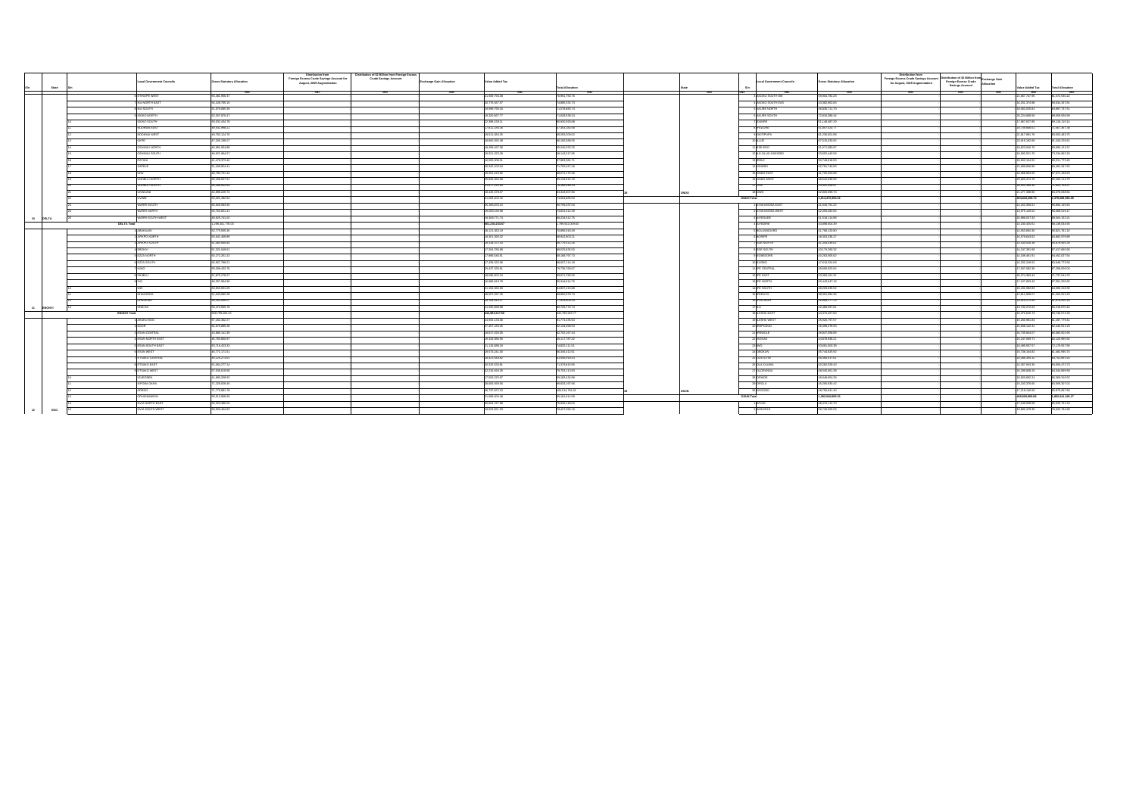|          |           |                     |                                  |                          | Distribution from                        | .<br>Distribution of \$2 Billion from Foreign Exces |                         |                 |                |         |            |                           |                           | Distribution from                    |                                                |               |                 |                  |
|----------|-----------|---------------------|----------------------------------|--------------------------|------------------------------------------|-----------------------------------------------------|-------------------------|-----------------|----------------|---------|------------|---------------------------|---------------------------|--------------------------------------|------------------------------------------------|---------------|-----------------|------------------|
|          |           |                     |                                  |                          | Foreign Excess Crude Savings Account for | Crude Savings Account                               |                         |                 |                |         |            |                           |                           | Foreign Excess Crude Savings Account | tetribution of \$2 Billion from                | Exchange Gain |                 |                  |
|          |           |                     | <b>Local Government Councils</b> | oss Statutory Allocation | August, 2009 Augmentation                |                                                     | schange Gain Allocation | Value Added Tax |                |         |            | Local Government Councils | ross Statutory Allocation | for August, 2009 Augmentation        | Foreign Excess Crude<br><b>Savings Account</b> | location      |                 |                  |
|          | State     |                     |                                  |                          |                                          |                                                     |                         |                 | notazofiA lato |         |            |                           |                           |                                      |                                                |               | due Added Tax   | stal Allocation  |
|          |           |                     |                                  |                          | - No                                     | <b>AND</b>                                          |                         |                 |                |         | $\sim$     |                           |                           |                                      | $-180$                                         | - -           | $-2000$         | $  -$            |
|          |           |                     | THOPE WEST                       | 5,481,956.37             |                                          |                                                     |                         | 509,794.38      | 991.750.76     |         |            | MOKO SOUTH WE             | 304,782.28                |                                      |                                                |               | 067,747.95      | 172,530.22       |
|          |           |                     | <b>CA NORTH EAST</b>             | 4,109,765.15             |                                          |                                                     |                         | 0,775,567.57    | 4,885,332.73   |         |            | VICKO SOUTH EAS           | 382,962.83                |                                      |                                                |               | 6,251,374.98    | 18.524,337.81    |
|          |           |                     | IKA SOUTH                        | 1,579,085.39             |                                          |                                                     |                         | 10,000,705.34   | 71,578,880.74  |         |            | <b>VIURE NORTH</b>        | 1,835,711.70              |                                      |                                                |               | 18,062,025.81   | 4,897,737.51     |
|          |           |                     | HTROW DXDS                       | 52,307,870.47            |                                          |                                                     |                         | 19.320.067.77   | 71,628,538.24  |         |            | AKURE SOUTH               | 2,834,388.44              |                                      |                                                |               | 1,224,003.56    | 0030,056.99      |
|          |           |                     |                                  |                          |                                          |                                                     |                         |                 |                |         |            |                           |                           |                                      |                                                |               |                 |                  |
|          |           |                     | SOKO SOUTH                       | 8,532,434.78             |                                          |                                                     |                         | 22,398,159.11   | 0,930,593.88   |         |            | <b>IANRE</b>              | 1,148,487.29              |                                      |                                                |               | 17,967,627.85   | 0,116,115.14     |
|          |           |                     | <b>JOKWA EAST</b>                | 49,541,998.21            |                                          |                                                     |                         | 17,811,184.36   | 17,353,182.58  |         |            | EDORE                     | 1,857,520.77              |                                      |                                                |               | 2,702,546.61    | 1,567,367.38     |
|          |           |                     | DOKWA WEST                       | 49,782,124.76            |                                          |                                                     |                         | 19,511,084.25   | 03,233,209.02  |         |            | CIGTIPUPA                 | 1,235,501.98              |                                      |                                                |               | 21,817,981.76   | 3,053,483.75     |
|          |           |                     |                                  | 7,305,196.07             |                                          |                                                     |                         | 18,000,392.48   | 05,105,588.55  |         |            | LA.E                      | 515.033.92                |                                      |                                                |               | 1,919,192.58    | 1,434,226.61     |
|          |           |                     | SHIMLI NORTH                     | 6,981,834.88             |                                          |                                                     |                         | 18,258,497.36   | 15,240,332.25  |         |            | ESE-EDO                   | 1,071,580.87              |                                      |                                                |               | 1923 540 70     | 0,995,121.57     |
|          |           |                     |                                  |                          |                                          |                                                     |                         |                 |                |         |            |                           |                           |                                      |                                                |               |                 |                  |
|          |           |                     | SHMLI SOUTH                      | 1,621,994.57             |                                          |                                                     |                         | 9,521,323.28    | 8,143,317.85   |         |            | <b>E-OLUJI-OKEIGB</b>     | 052,440.59                |                                      |                                                |               | 582,521.70      | 1,234,982.29     |
|          |           |                     | <b>TANI</b>                      | 1,478,373.40             |                                          |                                                     |                         | 6,505,008.31    | 7,983,381.71   |         |            |                           | 749,618.93                |                                      |                                                |               | 8,562,154.52    | 311,773.45       |
|          |           |                     | <b>APELE</b>                     | (409,924.41              |                                          |                                                     |                         | 20,342,103.04   | 71,752,027.46  |         |            | ODIGE                     | 2,781,740.83              |                                      |                                                |               | 1,699,606.80    | 14,481,347.62    |
|          |           |                     | DU .                             | 1780.751.44              |                                          |                                                     |                         | 9,291,423.92    | 8,072,175.36   |         |            | DNDO EAS                  | 702.203.68                |                                      |                                                |               | 5,968,954.55    | 7,671,158.23     |
|          |           |                     | GHELLI NORTH                     | 0,298,557.61             |                                          |                                                     |                         | 25,835,084.58   | 5,133,642.19   |         |            | MDO WES                   | 542,639.99                |                                      |                                                |               | 053,474.76      | 2005, 114.75     |
|          |           |                     |                                  |                          |                                          |                                                     |                         |                 |                |         |            |                           |                           |                                      |                                                |               |                 |                  |
|          |           |                     | UGMELLI SOUTH                    | 56,288,932.64            |                                          |                                                     |                         | 21,877,515.50   | 78,166,448.14  |         |            |                           | 53,401,359.97             |                                      |                                                |               | 18,552,394.30   | 1,953,754.27     |
|          |           |                     | KWUANI.                          | 1,030,229.73             |                                          |                                                     |                         | 18,445,378.07   | 3,343,607.80   | CONTACT |            |                           | 1,000,099.73              |                                      |                                                |               | 277,338.90      | 1078,038.64      |
|          |           |                     | wwe                              | 2,001,482.84             |                                          |                                                     |                         | 21,063,402.16   | 13,054,885.00  |         | ONDO Total |                           | 1,014,470,350.31          |                                      |                                                |               | 364,616,203.73  | 279,006,560.05   |
|          |           |                     | WARRI SOUTH                      | 5,006,583.90             |                                          |                                                     |                         | 25.186.453.10   | 00.723.037.00  |         |            | <b>TAKUMOSA EAS</b>       | 1.640.791.22              |                                      |                                                |               | 1425335821      | 0.091.142.43     |
|          |           |                     | <b>ARRINGRTH</b>                 | 1,762,821.41             |                                          |                                                     |                         | 19,058,190.98   | 3,831,012.39   |         |            | <b>AKUMOSA WES</b>        | 33,582,093                |                                      |                                                |               | 13,975,136.52   | 5,068,519.17     |
|          |           |                     |                                  |                          |                                          |                                                     |                         |                 |                |         |            |                           |                           |                                      |                                                |               |                 |                  |
| 10 DELTA |           |                     | ARRI SOUTH-WEST                  | 49,925,741.02            |                                          |                                                     |                         | 18.308.771.74   | 58,234,512.75  |         |            | VYEDADE                   | 1,518,114.88              |                                      |                                                |               | EC TEO, 309, 31 | 18,504,152.21    |
|          |           | <b>DELTA Total</b>  |                                  | 298,301,776.03           |                                          |                                                     |                         | 501,230,233.57  | 799,532,009.60 |         |            | ANTIDIRE                  | 00.003.000.1              |                                      |                                                |               | 14,240,430.51   | 0,139,034.90     |
|          |           |                     | <b>BAKALIKI</b>                  | 2,775,555.30             |                                          |                                                     |                         | 18,121,363.19   | 0,006,918.49   |         |            | <b><i>CLUWADURO</i></b>   | 768,120.80                |                                      |                                                |               | 4,053,660.30    | 5,821,781.10     |
|          |           |                     | <b>FIKPO NORTH</b>               | (641,409.89              |                                          |                                                     |                         | 18,301,323.32   | 8,942,803.21   |         |            | SORIPE                    | 1,303,336.27              |                                      |                                                |               | 579,643,62      | 1,882,979.89     |
|          |           |                     | FIKPO SOUTH                      | 460,940.54               |                                          |                                                     |                         | 18,318,372.43   | 09,779,313.26  |         |            | EDE NORTH                 | 344,032.01                |                                      |                                                |               | 1,534,526.38    | 5,878,565.39     |
|          |           |                     |                                  |                          |                                          |                                                     |                         |                 |                |         |            |                           |                           |                                      |                                                |               |                 |                  |
|          |           |                     |                                  | 1,321,049.61             |                                          |                                                     |                         | 17,204,785.89   | 18,525,835.50  |         |            | EDE SOUTH                 | 1170,269.32               |                                      |                                                |               | 4,247,391.58    | 02.003.37        |
|          |           |                     | EZZA NORTH                       | 50,272,251.22            |                                          |                                                     |                         | 17,036,546.51   | 58,168,797.73  |         |            | <b>GBEDORE</b>            | 263,565.62                |                                      |                                                |               | 14,188,461.91   | 4,452,027.54     |
|          |           |                     | EZZA SOUTH                       | 50,567,788.21            |                                          |                                                     |                         | 17,439,325.96   | 58,007,114.18  |         |            | EJIGBO                    | 7,616,524.08              |                                      |                                                |               | 6,332,249.52    | 3,948,773.59     |
|          |           |                     |                                  | 1,299,432.76             |                                          |                                                     |                         | 0,437,335.91    | 9,736,768.67   |         |            | <b>TE CENTRAL</b>         | 030,923.04                |                                      |                                                |               | 007,082.36      | 00.300,002       |
|          |           |                     | <b>210LU</b>                     | 1,875,278.27             |                                          |                                                     |                         | 18,096,502.24   | 03,971,780.50  |         |            | FE EAST                   | 10.101.023.02             |                                      |                                                |               | 8374,383.44     | 1,737,544.75     |
|          |           |                     |                                  |                          |                                          |                                                     |                         |                 | 5,344,814.75   |         |            |                           |                           |                                      |                                                |               |                 |                  |
|          |           |                     |                                  | 48,357,994.96            |                                          |                                                     |                         | 6,986,819.79    |                |         |            | IFE NORTI                 | 443,547.19                |                                      |                                                |               | 107,653.43      | 7,551,200.62     |
|          |           |                     |                                  | 1,053,051.05             |                                          |                                                     |                         | 21,154,362.63   | 4,007,413.68   |         |            | <b><i>ATE SOUTH</i></b>   | 263,635.52                |                                      |                                                |               | 16,431,582.83   | 4,035,218.35     |
|          |           |                     | DNAOZARA                         | 51,943,682.28            |                                          |                                                     |                         | 18,007,297.45   | 03.950.979.73  |         |            | FEDAYO                    | 30,391,084.36             |                                      |                                                |               | 12.811.828.07   | 1,202,912.43     |
|          |           |                     | DMALIKWU                         | 8,160,066.07             |                                          |                                                     |                         | 19,764,543.27   | 7,924,609.34   |         |            | <b>FELODUN</b>            | 6,968,277.23              |                                      |                                                |               | 1,010,272.94    | 1,978,550.18     |
|          | 11 EBONYI |                     | ONICHA                           | 59,470,905.76            |                                          |                                                     |                         | 21,255,868.98   | 00,726,774.74  |         |            |                           | 2,486,597.81              |                                      |                                                |               | 1,732,272.63    | 6,218,870.44     |
|          |           | <b>EBONYI Total</b> |                                  | 100,700,406.22           |                                          |                                                     |                         | 242.984.517.56  | 942,783,923.77 |         |            | LESHA EAST                | 4,373,457.60              |                                      |                                                |               | 5,372,616.73    | 0,746,074.33     |
|          |           |                     |                                  |                          |                                          |                                                     |                         |                 |                |         |            |                           |                           |                                      |                                                |               |                 |                  |
|          |           |                     | <b>OCE CINCINA</b>               | 110230227                |                                          |                                                     |                         | 24.592.133.36   | 1.774.435.64   |         |            | <b>LESHA WES</b>          | 5,926,797.57              |                                      |                                                |               | 5.260.981.84    | 10277941         |
|          |           |                     | GOR                              | 4,676,885.28             |                                          |                                                     |                         | 7,457,183.25    | 2,134,058.53   |         |            |                           | 498,378.93                |                                      |                                                |               | 1,848,142.31    | 346,521.23       |
|          |           |                     | <b>SAN CENTRAL</b>               | 3,885,141.39             |                                          |                                                     |                         | 18,817,026.05   | 12,702,167.44  |         |            | REWOLE                    | 9,847,058.09              |                                      |                                                |               | 6,735,844.07    | 6,583,502.96     |
|          |           |                     | SAN NORTH EAST                   | 5,783,800.87             |                                          |                                                     |                         | 19,333,986.55   | 5,117,787.42   |         |            |                           | 4,878,936.21              |                                      |                                                |               | 1,247,059.71    | 125,995.92       |
|          |           |                     | SAN SOUTH EAST                   | 3,716,423.32             |                                          |                                                     |                         | 1,115,688.18    | 74,832,111.51  |         |            |                           | 801,000.38                |                                      |                                                |               | 18,495,557.57   | 176,557.95       |
|          |           |                     |                                  |                          |                                          |                                                     |                         |                 |                |         |            |                           |                           |                                      |                                                |               |                 |                  |
|          |           |                     | <b>ESAN WEST</b>                 | 6,772,171.51             |                                          |                                                     |                         | 19,573,241.00   | 05,345,412.51  |         |            | 24 OBDIO.IN               | 5,744,825.92              |                                      |                                                |               | 5,738,164.82    | 1.482.990.74     |
|          |           |                     | SAKO CENTRAL                     | 125,273.61               |                                          |                                                     |                         | 8,421,644.82    | 3,546,918.43   |         |            | ODO-OTIN                  | 366,537.61                |                                      |                                                |               | 0,386,354.32    | 1,752,891.92     |
|          |           |                     | TSAKO EAST                       | 1,064,277.14             |                                          |                                                     |                         | 0,315,533.81    | 1,379,810.95   |         |            | <b>DLA-OLUWA</b>          | 0,282,529.43              |                                      |                                                |               | 14,267,943,30   | 4,550,472.73     |
|          |           |                     | TSAKO WEST                       | 7,536,619.58             |                                          |                                                     |                         | 22,216,494.35   | 79,753,113.93  |         |            | 27 OLORUNDA               | 8,045,061.38              |                                      |                                                |               | 0.299,838.20    | 4,344,820.58     |
|          |           |                     | <b>GUEGBEN</b>                   | ,680,208.92              |                                          |                                                     |                         | 1,503,225.97    | 03.183,434.00  |         |            | ORIADE                    | 648.654.28                |                                      |                                                |               | 6,920,662.24    | 6,509,316.52     |
|          |           |                     |                                  |                          |                                          |                                                     |                         |                 |                |         |            |                           |                           |                                      |                                                |               |                 |                  |
|          |           |                     | <b>SPOBA OKHA</b>                | 226.628.40               |                                          |                                                     |                         | 25,000,000.00   | 20,833,197.96  |         |            | 29 OROLL                  | 205 930 42                |                                      |                                                |               | 243,376.60      | ,509,307.02      |
|          |           |                     |                                  | 776,881.78               |                                          |                                                     |                         | 1,737,672.23    |                |         |            |                           | ,756,941.4                |                                      |                                                |               | 218,146.56      | 975,087.S        |
|          |           |                     | REFERANTING                      | 58,513,908.50            |                                          |                                                     |                         | 21,668,006.48   | 00,181,914.99  |         | OSUN Total |                           | 1,382,540,685.31          |                                      |                                                |               | 403,500,059.00  | 1,852,041,345.17 |
|          |           |                     | VIA NORTHEAST                    | 5,323,380.02             |                                          |                                                     |                         | 20,004,767.98   | 75,928,148.00  |         |            |                           | 476,112.70                |                                      |                                                |               | 049,638.58      | 525,751.29       |
|          | cpo       |                     | <b>TESM HTUDE ANY</b>            | 0,503,404.53             |                                          |                                                     |                         | 19,923,651.53   | 29,427,056.16  |         |            | AKINYELE                  | 55,728,305.53             |                                      |                                                |               | 19,892,479.35   | 6,620,784.88     |
| 12       |           |                     |                                  |                          |                                          |                                                     |                         |                 |                |         |            |                           |                           |                                      |                                                |               |                 |                  |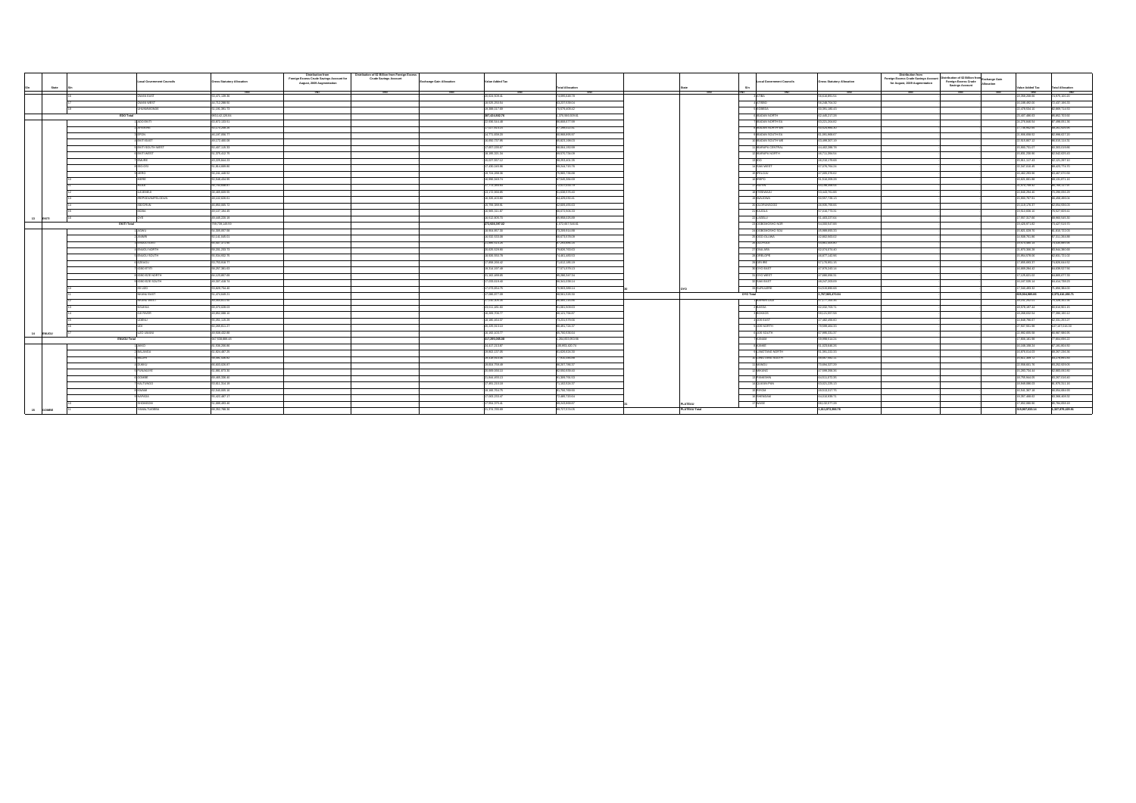|          |       |                    |                                  |                          | Distribution from                        | .<br>Distribution of \$2 Billion from Foreign Exces |                         |                |                  |                |                  |                           |                           | Distribution from                    |                                 |                      |                |                  |
|----------|-------|--------------------|----------------------------------|--------------------------|------------------------------------------|-----------------------------------------------------|-------------------------|----------------|------------------|----------------|------------------|---------------------------|---------------------------|--------------------------------------|---------------------------------|----------------------|----------------|------------------|
|          |       |                    |                                  |                          | Foreign Excess Crude Savings Account for | Crude Savings Account                               |                         |                |                  |                |                  |                           |                           | Foreign Excess Crude Savings Account | tetribution of \$2 Billion from | <b>Exchange Gain</b> |                |                  |
|          |       |                    | <b>Local Government Councils</b> | oss Statutory Allocation | August, 2009 Augmentation                |                                                     | schange Gain Allocation | alus Added Tax |                  |                |                  | Local Government Councils | toss Statutory Allocation | for August, 2009 Augmentation        | Foreign Excess Crude            | <b>Allowation</b>    |                |                  |
|          | State |                    |                                  |                          |                                          |                                                     |                         |                | notal Allocation |                | <b>State</b>     |                           |                           |                                      | <b>Savings Account</b>          |                      | alue Added Tax | notably late     |
|          |       |                    |                                  |                          |                                          |                                                     |                         |                |                  |                |                  |                           |                           |                                      |                                 |                      |                |                  |
|          |       |                    |                                  |                          |                                          |                                                     |                         |                |                  |                |                  |                           |                           |                                      |                                 |                      |                | aNo.             |
|          |       |                    | NAN EAS                          | 3,471,139.36             |                                          |                                                     |                         | 0,624,509.41   | 025,648.78       |                |                  |                           | 010,891.54                |                                      |                                 |                      | 338208.66      | 1,975,100.20     |
|          |       |                    | <b>MAN WEST</b>                  | 4,712,288.50             |                                          |                                                     |                         | 1,525,250.54   | 53,237,539.04    |                |                  | 1580                      | 248,704.32                |                                      |                                 |                      | 6,188,492.00   | 2,437,196.33     |
|          |       |                    |                                  |                          |                                          |                                                     |                         |                |                  |                |                  |                           |                           |                                      |                                 |                      |                |                  |
|          |       |                    | <b>HUNMINONDE</b>                | 1,191,391.73             |                                          |                                                     |                         | 9,388,017.69   | 0,579,409.42     |                |                  |                           | (391,180.43)              |                                      |                                 |                      | 2,478,534.10   | 2,009,714.53     |
|          |       | EDO Total          |                                  | 083,142,126.84           |                                          |                                                     |                         | 387.424.002.76 | 1,370,566,929.61 |                |                  | <b>JADAN NORTH</b>        | 2,445,217.28              |                                      |                                 |                      | 23.407.406.63  | 15,852,703.92    |
|          |       |                    |                                  |                          |                                          |                                                     |                         |                |                  |                |                  |                           |                           |                                      |                                 |                      |                |                  |
|          |       |                    | DO EKITI                         | 1,872,133.51             |                                          |                                                     |                         | 2,930,544.48   | 6,008,677.99     |                |                  | <b>DAN NORTHEA</b>        | 221,204.82                |                                      |                                 |                      | 276,846.54     | 498,051.36       |
|          |       |                    | ITEKRE                           | 170,208.26               |                                          |                                                     |                         | 7,027,814.15   | 7,198,022.41     |                |                  | <b>DAN NORTH WE</b>       | 0,524,984.30              |                                      |                                 |                      | 736,942.85     | 18,261,926.95    |
|          |       |                    |                                  |                          |                                          |                                                     |                         |                |                  |                |                  |                           |                           |                                      |                                 |                      |                |                  |
|          |       |                    | EFON                             | 46,197,056.77            |                                          |                                                     |                         | 14,771,839.20  | 00,968,895.97    |                |                  | <b>BADAN SOUTH EA</b>     | 1,091,958.67              |                                      |                                 |                      | 21,906,658.52  | 12,998,627.20    |
|          |       |                    | EKITIEAS <sup>:</sup>            | 9,172,460.08             |                                          |                                                     |                         | 16,650,737.95  | 05,023,198.03    |                |                  | DAN SOUTH WE              | 3,499,307.19              |                                      |                                 |                      | 2,515,807.12   | 1,015,114.31     |
|          |       |                    |                                  |                          |                                          |                                                     |                         |                |                  |                |                  |                           |                           |                                      |                                 |                      |                |                  |
|          |       |                    | EKITI SOUTH WEST                 | 0,407,115.33             |                                          |                                                     |                         | 17,657,035.67  | 58,054,150.99    |                |                  | <b>RAPA CENTRAL</b>       | 402,288.78                |                                      |                                 |                      | 15,900,731.07  | 38.919.05        |
|          |       |                    | <b>EXITIWEST</b>                 | 1.375.412.75             |                                          |                                                     |                         | 18.195.321.34  | 03/570734.09     |                |                  | <b>BARAPA NORTH</b>       | 45,992,711,294            |                                      |                                 |                      | 5.831.230.90   | 2542.625.43      |
|          |       |                    | <b>IMURE</b>                     |                          |                                          |                                                     |                         |                |                  |                |                  |                           |                           |                                      |                                 |                      |                |                  |
|          |       |                    |                                  | 1,225,844.23             |                                          |                                                     |                         | 5,027,557.12   | 58,253,401.35    |                |                  |                           | 210,172.68                |                                      |                                 |                      | 5,911,117.43   | 2,121,297.10     |
|          |       |                    | XD-DSI                           | 51,814,009.80            |                                          |                                                     |                         | 17,430,045.96  | 03,244,715.76    |                |                  | SAKI WES                  | 7,076,764.24              |                                      |                                 |                      | 22,347,010.45  | 19,423,774.70    |
|          |       |                    |                                  | 1241,448.52              |                                          |                                                     |                         | 9,724,288.36   | 5,965,736.88     |                |                  |                           | 005,376.62                |                                      |                                 |                      | 1462,293.96    | 1,467,670.58     |
|          |       |                    |                                  |                          |                                          |                                                     |                         |                |                  |                |                  |                           |                           |                                      |                                 |                      |                |                  |
|          |       |                    | <b>CERE</b>                      | 0,548,434.95             |                                          |                                                     |                         | 16.936.943.74  | 17,545,384.03    |                |                  | <b>DENT</b>               | 510.209.28                |                                      |                                 |                      | 16.621.661.88  | 18,131,871.16    |
|          |       |                    |                                  | 1,743,648.87             |                                          |                                                     |                         | 7,773,384.93   | 2,517,033.79     |                |                  |                           | 198,358.54                |                                      |                                 |                      | 570.759.42     | 1709.117.97      |
|          |       |                    | œu                               |                          |                                          |                                                     |                         |                |                  |                |                  |                           |                           |                                      |                                 |                      |                |                  |
|          |       |                    | <b>LEJEMEJI</b>                  | 18.465.009.55            |                                          |                                                     |                         | 13,172,956.85  | 1,638,576.40     |                |                  |                           | 443,761.88                |                                      |                                 |                      | 6,846,294.40   | 0,290,056.29     |
|          |       |                    | EPCOUNTELCOUN                    | 8,102,626.61             |                                          |                                                     |                         | 08.026,403.00  | 54,429,030.41    |                |                  | WAJOWA                    | 0,557,728.13              |                                      |                                 |                      | 5,900,767.91   | 80.324,625,031   |
|          |       |                    |                                  |                          |                                          |                                                     |                         |                |                  |                |                  |                           |                           |                                      |                                 |                      |                |                  |
|          |       |                    | SE/ORUN                          | 46,850,065.72            |                                          |                                                     |                         | 15,759,389.91  | 12,009,455.63    |                |                  | 20 OLORUNSOG              | 335,759.66                |                                      |                                 |                      | 5,119,176.37   | 00309,935.03     |
|          |       |                    | <b>ADDI</b>                      | 0,107,194.45             |                                          |                                                     |                         | 16,965,311.87  | 6,072,506.33     |                |                  | <b>LAJOLA</b>             | 01627331                  |                                      |                                 |                      | 510,836.10     | 1527.009.41      |
|          |       |                    |                                  |                          |                                          |                                                     |                         |                |                  |                |                  |                           |                           |                                      |                                 |                      |                |                  |
|          |       |                    |                                  | 2,445,220.19             |                                          |                                                     |                         | 16,512,805.70  | 5,958,025.89     |                |                  | LAGELL                    | 403227.64                 |                                      |                                 |                      | 557,317.66     | 1,960,545.30     |
|          |       | <b>EXITI Total</b> |                                  | 759,739,149.59           |                                          |                                                     |                         | 272,928,397.02 | 072,057,546.61   |                |                  |                           |                           |                                      |                                 |                      |                |                  |
|          |       |                    |                                  |                          |                                          |                                                     |                         |                |                  |                |                  | <b>CBOMOSHO NOR</b>       | 000,547.88                |                                      |                                 |                      | 9,426,971.82   | 3,427,519.70     |
|          |       |                    |                                  | 54,305,057.58            |                                          |                                                     |                         | 18,904,857.30  | 3,209,914.88     |                |                  | <b>COOMOSHO SOU</b>       | 000,023.33                |                                      |                                 |                      | 5,821,028.70   | 1,810,722.03     |
|          |       |                    |                                  | 0,141,045.01             |                                          |                                                     |                         | 16,532,533.08  | 06,673,578.09    |                |                  | 20-OLUW                   | 002,563.02                |                                      |                                 |                      | 4,508,701.86   | 7,311,264.88     |
|          |       |                    |                                  |                          |                                          |                                                     |                         |                |                  |                |                  |                           |                           |                                      |                                 |                      |                |                  |
|          |       |                    | <b>NUGU EAST</b>                 | 55,407,371.90            |                                          |                                                     |                         | 21,886,514.26  | 87,293,886.16    |                |                  | 20 OLUYOLE                | 4,861,405.80              |                                      |                                 |                      | 19,574,480.14  | 4,435,885.94     |
|          |       |                    | NUGU NORTH                       | 0,201,233.73             |                                          |                                                     |                         | 0,625,529.90   | 2,826,763.63     |                |                  | <b>DNA-ARA</b>            | 074,074.40                |                                      |                                 |                      | 870,306.28     | 83.000,000       |
|          |       |                    |                                  |                          |                                          |                                                     |                         |                |                  |                |                  |                           |                           |                                      |                                 |                      |                |                  |
|          |       |                    | NUGU SOUTH                       | 534,932.75               |                                          |                                                     |                         | 18,926,550.78  | 4,461,483.53     |                |                  | ORELOPE                   | 1,877,142.96              |                                      |                                 |                      | 5,954,578.06   | 831,721.02       |
|          |       |                    |                                  | 3,753,918.77             |                                          |                                                     |                         |                |                  |                |                  |                           |                           |                                      |                                 |                      |                |                  |
|          |       |                    | EZEAGU                           |                          |                                          |                                                     |                         | 17,858,266.42  | 71,612,185.19    |                |                  | <b>DIGRI IRE</b>          | 170,951.15                |                                      |                                 |                      | 17,655,693.37  | 4,826,644.52     |
|          |       |                    | <b>GBO ETITI</b>                 | 8,257,381.63             |                                          |                                                     |                         | 19,314,197.49  | 7,571,579.13     |                |                  | DYO EAS                   | 970,243.14                |                                      |                                 |                      | 6,009,284.42   | 639,527.56       |
|          |       |                    | <b>IGBO EZE NORTH</b>            | 14,123,857.69            |                                          |                                                     |                         | 21,162,489.05  | 15,286,347.34    |                |                  | <b>IT OYO WES</b>         | 000,056.31                |                                      |                                 |                      | 7,125,621.02   | 14,805,677.33    |
|          |       |                    |                                  |                          |                                          |                                                     |                         |                |                  |                |                  |                           |                           |                                      |                                 |                      |                |                  |
|          |       |                    | 200 EZE SOUTH                    | 0,307,418.74             |                                          |                                                     |                         | 033,619.40     | 6,341,038.14     |                |                  | 12 SAKI EAS               | 247,203.09                |                                      |                                 |                      | 167,535.14     | 414,738.23       |
|          |       |                    | <b>LUZO</b>                      | 3,829,734.40             |                                          |                                                     |                         | 7,073,654.75   | 0,903,389.14     |                |                  | <b>GIBIER</b>             | 515,890.68                |                                      |                                 |                      | 7,340,493.32   | 1,856,384.00     |
|          |       |                    |                                  |                          |                                          |                                                     |                         |                |                  |                |                  |                           |                           |                                      |                                 |                      |                |                  |
|          |       |                    | <b>IKANU EAST</b>                | 1,474,649.21             |                                          |                                                     |                         | 17.005.877.09  | 08,561,526.30    |                | <b>OYO Total</b> |                           | 1.767.905.470.84          |                                      |                                 |                      | 005.504.905.00 | 2,373,410,456.71 |
|          |       |                    | <b>IKANU WEST</b>                | 0,454,811.50             |                                          |                                                     |                         | 17,010,305.35  | 55,465,116.56    |                |                  | RICIN LAD                 | 177,100.36                |                                      |                                 |                      | 18,151,252.01  | 5,328,352.36     |
|          |       |                    |                                  |                          |                                          |                                                     |                         |                |                  |                |                  |                           |                           |                                      |                                 |                      |                |                  |
|          |       |                    | <b>SUKKA</b>                     | 1,070,028.03             |                                          |                                                     |                         | 23,011,481.60  | 21,081,509.63    |                |                  |                           | 032,703.71                |                                      |                                 |                      | 18,578,197.44  | 0,650,905.15     |
|          |       |                    | <b>OJI RIVER</b>                 | 49,852,088.10            |                                          |                                                     |                         | 16,209,706.77  | 56,121,794.87    |                |                  | SCKKOOS                   | 121,557.58                |                                      |                                 |                      | 18.268.632.54  | 7,390,190.12     |
|          |       |                    |                                  |                          |                                          |                                                     |                         |                |                  |                |                  |                           |                           |                                      |                                 |                      |                |                  |
|          |       |                    | <b>DENU</b>                      | (051,115.29              |                                          |                                                     |                         | 18,180,464.37  | 3,231,579.66     |                |                  |                           | 7,482,456.60              |                                      |                                 |                      | 14,848,796.67  | 2,331,253.27     |
|          |       |                    |                                  | 0,265,811.27             |                                          |                                                     |                         | 20,225,913.10  | 00,491,724.37    |                |                  | JOS NORTH                 | 2,522,464.33              |                                      |                                 |                      | 27,507,551.98  | 07,107,016.30    |
|          |       |                    |                                  |                          |                                          |                                                     |                         |                |                  |                |                  |                           |                           |                                      |                                 |                      |                |                  |
| 14 ENUGU |       |                    | CO UWANI                         | 0,508,432.55             |                                          |                                                     |                         | 16,192,103.77  | 5,700,536.64     |                |                  | JOS SOUTH                 | 395,331.37                |                                      |                                 |                      | 22.992.655.58  | 0,987,986.95     |
|          |       | <b>ENUGU Total</b> |                                  | 147,538,888.48           |                                          |                                                     |                         | 17,235,065.08  | 354,833,953,56   |                |                  | CANAM                     | 020,514.24                |                                      |                                 |                      | 17,006,181.98  | ,804,696.22      |
|          |       |                    |                                  |                          |                                          |                                                     |                         |                |                  |                |                  |                           |                           |                                      |                                 |                      |                |                  |
|          |       |                    |                                  | 536,206.06               |                                          |                                                     |                         | 4,417,213.87   | 05.953.420.74    |                |                  |                           | 023,646.26                |                                      |                                 |                      | 168.158.24     | 7,191,804.50     |
|          |       |                    | <b>IALANGA</b>                   | 1,824,487.25             |                                          |                                                     |                         | 19,802,137.05  | 11,626,624.30    |                |                  | ANGTANG NORTH             | 1,391,222.33              |                                      |                                 |                      | 6,876,014.03   | 18,267,236.36    |
|          |       |                    | шв                               | 58,491,436.82            |                                          |                                                     |                         | 19,418,910.05  | 77,910,346.88    |                |                  | ANGTANG SOUTH             | 8,667,582.11              |                                      |                                 |                      | 1,611,309.72   | 4,278,891.83     |
|          |       |                    |                                  |                          |                                          |                                                     |                         |                |                  |                |                  |                           |                           |                                      |                                 |                      |                |                  |
|          |       |                    | <b>CIKIGT</b>                    | 6,003,026.87             |                                          |                                                     |                         | 19,004,759.49  | 10,207,786.37    |                |                  |                           | 024,327.29                |                                      |                                 |                      | 2,558,601.76   | 252,929.05       |
|          |       |                    |                                  |                          |                                          |                                                     |                         |                |                  |                |                  |                           |                           |                                      |                                 |                      |                |                  |
|          |       |                    | UNAKAYE                          | 51,881,873.30            |                                          |                                                     |                         | 01.330,003,00  | 12,550,939.40    |                |                  | 2 IMBCANO                 | 522,358.36                |                                      |                                 |                      | 15,283,734.44  | 2,883,092.80     |
|          |       |                    | SOME                             | 0,455,335.40             |                                          |                                                     |                         | 1,544,455.13   | 1,309,791.53     |                |                  | PANKSHIP                  | 511,072.35                |                                      |                                 |                      | 1755.944.05    | 3,267,016.40     |
|          |       |                    |                                  | (611,314.19)             |                                          |                                                     |                         | 491,210.18     | 102,524.37       |                |                  |                           | 021,225.13                |                                      |                                 |                      | 03/080,090.1   |                  |
|          |       |                    | <b>ALTUNGO</b>                   |                          |                                          |                                                     |                         |                |                  |                |                  | <b>UA'AN-PAN</b>          |                           |                                      |                                 |                      |                | 370,311.16       |
|          |       |                    |                                  | 2.540.005.16             |                                          |                                                     |                         | 9.166.764.75   | 11,706,769.90    |                |                  |                           | 513517.75                 |                                      |                                 |                      | 6.541.367.18   | 6.054.654.93     |
|          |       |                    | <b>ATADA</b>                     | 1422,487.17              |                                          |                                                     |                         | 1,053,233.47   | 2,485,720.64     |                |                  | SHENDAM                   | 010,939.71                |                                      |                                 |                      | 9,357,468.62   | 1,358,408.32     |
|          |       |                    |                                  |                          |                                          |                                                     |                         |                |                  |                |                  |                           |                           |                                      |                                 |                      |                |                  |
|          |       |                    | HOMGOM                           | 38.029.003               |                                          |                                                     |                         | 7,554,375.41   | 03,243,868.87    | <b>PLATEAU</b> |                  |                           | 1,132,577.28              |                                      |                                 |                      | 7,652,080.90   | 15,784,658.18    |
|          |       |                    | AMALTULDEBA                      | 8,352,788.36             |                                          |                                                     |                         | 1,374,785.09   | 9,727,574.05     | PLATEAU Total  |                  |                           | 011,972,396.76            |                                      |                                 |                      | 15,907,033.14  | 1,327,879,429.91 |
| 15 GOMBE |       |                    |                                  |                          |                                          |                                                     |                         |                |                  |                |                  |                           |                           |                                      |                                 |                      |                |                  |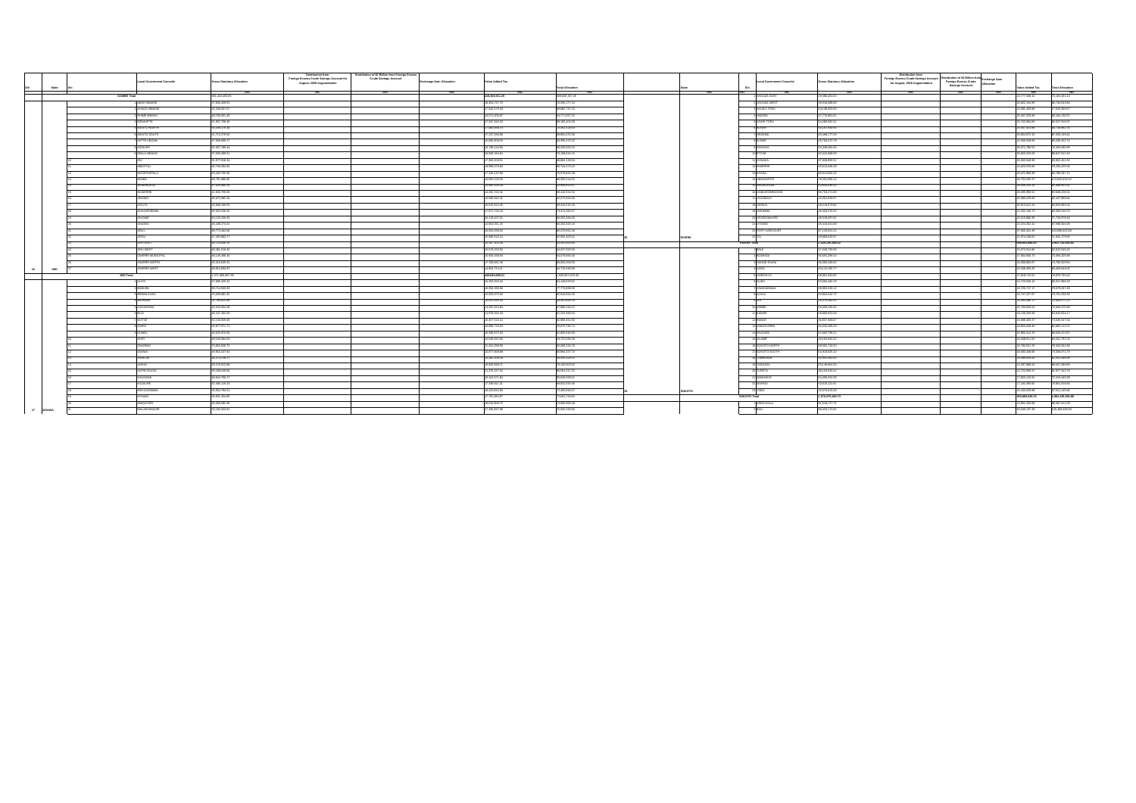|              |            |                    |                          |                                   | <b>Distribution from</b>                 | latribution of \$2 Billion from Foreign Exces |                         |                |                         |              |                     |                           |                                   | Distribution from                   |                                         |               |                   |                 |
|--------------|------------|--------------------|--------------------------|-----------------------------------|------------------------------------------|-----------------------------------------------|-------------------------|----------------|-------------------------|--------------|---------------------|---------------------------|-----------------------------------|-------------------------------------|-----------------------------------------|---------------|-------------------|-----------------|
|              |            |                    |                          |                                   | Foreign Excess Crude Savings Account for | Crude Savings Account                         |                         |                |                         |              |                     |                           |                                   | Foreign Excess Crude Savings Accoun | <b>Natribution of \$2 Billion from</b>  | Exchange Gain |                   |                 |
|              |            |                    | ocal Government Councils | <b>Iross Statutory Allocation</b> | August, 2009 Augmentation                |                                               | schange Gain Allocation | alue Added Tax |                         |              |                     | Local Government Councils | <b>Gross Statutory Allocation</b> | for August, 2009 Augmentation       | Foreign Excess Crude<br>Savings Account | Allocation    |                   |                 |
|              | State      |                    |                          |                                   |                                          |                                               |                         |                | <b>Total Allocation</b> |              |                     |                           |                                   |                                     |                                         |               | alue Added Tax    | otal Allocation |
|              |            |                    |                          |                                   | <b>STATE</b>                             | <b>AND I</b>                                  |                         |                |                         | <b>START</b> | $\sim$              |                           |                                   | - 25                                | - 1991                                  | <u>т м</u>    | $ -$              | $-$ 100 $-$     |
|              |            | <b>GOMBE Total</b> |                          | 091,418,455.85                    |                                          |                                               |                         | 218,406,911.20 | 09,825,367.05           |              |                     |                           | 386,453.0                         |                                     |                                         |               | 77,038.10         | 163,491.13      |
|              |            |                    | <b>ABON MEAISE</b>       | 7,840,429.53                      |                                          |                                               |                         | 8,454,747.70   | 6,295,177.24            |              |                     | MDA WES                   | 918,488.89                        |                                     |                                         |               | 1,822,154.95      | 140,643.84      |
|              |            |                    | <b>IAZU MBAISE</b>       | 52,339,557.67                     |                                          |                                               |                         | 7,543,179.43   | 09,882,737.10           |              |                     | MOURCU-TORO               | 138,923.69                        |                                     |                                         |               | 1,301,435.88      | 7,520,359.57    |
|              |            |                    |                          |                                   |                                          |                                               |                         |                |                         |              |                     |                           |                                   |                                     |                                         |               |                   |                 |
|              |            |                    | OWADVI 3MH2              | 48,706,651.45                     |                                          |                                               |                         | 16,071,005.87  | 64,777,657.32           |              |                     | NDON                      | 7.776.881.91                      |                                     |                                         |               | 5.407,253.66      | 3.184.135.57    |
|              |            |                    | ZININTTE                 | 51,837,758.46                     |                                          |                                               |                         | 17,347,643.43  | 09,185,401.89           |              |                     | <b>SARI-TORI</b>          | A,285,832.31                      |                                     |                                         |               | 1742,084.00       | 0,027,916.97    |
|              |            |                    | HTRON OTABE              | 53,269,175.30                     |                                          |                                               |                         | 7,082,938.73   | 70,352,114.03           |              |                     |                           | 167,550.90                        |                                     |                                         |               | 5.567.431.86      | 0,734,982.76    |
|              |            |                    | HTUO2 OTA30              | \$1,713,279.50                    |                                          |                                               |                         | 7,137,190.86   | 00.050,470.36           |              |                     |                           | 1,498,177.29                      |                                     |                                         |               |                   | 7,333,149.44    |
|              |            |                    |                          |                                   |                                          |                                               |                         |                |                         |              |                     | ecem                      |                                   |                                     |                                         |               | 6,834,972.15      |                 |
|              |            |                    | <b>HITTE UBOMA</b>       | 17,059,006.27                     |                                          |                                               |                         | 5,025,008.05   | 63,355,474.32           |              |                     | 1 PART                    | 769,372.79                        |                                     |                                         |               | 02.023.023        | 0,435,401.74    |
|              |            |                    | CEDURU                   | 51,507,780.44                     |                                          |                                               |                         | 16,748,144.55  | 68,255,925.00           |              |                     |                           | 348,264.46                        |                                     |                                         |               | 071,795.53        | 0,420,000.99    |
|              |            |                    | DALA MEANO               | 57,630,289.51                     |                                          |                                               |                         | 18,568,334.64  | 76,198,624.15           |              |                     | ETCHE                     | 024,688.58                        |                                     |                                         |               | 6,823,223.05      | 8,847,911.63    |
|              |            |                    |                          | \$1,577,918.34                    |                                          |                                               |                         | 7,306,208.51   | 18,854,126.84           |              |                     |                           | 1208,055.51                       |                                     |                                         |               | 063,545.99        | 02.109.502      |
|              |            |                    |                          |                                   |                                          |                                               |                         |                |                         |              |                     |                           |                                   |                                     |                                         |               |                   |                 |
|              |            |                    | LOTIAS                   | 60,746,394.60                     |                                          |                                               |                         | 19,998,078.84  | 80,744,473.43           |              |                     |                           | 613,046.49                        |                                     |                                         |               | 623,378.60        | 8,236,425.09    |
|              |            |                    | <b>IGOROKPALA</b>        | 53,440,700.38                     |                                          |                                               |                         | 7,139,142.90   | 70,579,843.28           |              |                     |                           | 5,314,506.15                      |                                     |                                         |               | 471,890.96        | 4,786,397.11    |
|              |            |                    |                          | 08.000,137.93                     |                                          |                                               |                         | 6,593,233.20   | 06,355,214.00           |              |                     | <b>AVAKPOR</b>            | 291,699.14                        |                                     |                                         |               | 754,235.37        | 3,045,934.52    |
|              |            |                    | KWANGELE                 | 47,929,484.34                     |                                          |                                               |                         | 15,980,438.34  | 63,909,922.67           |              |                     | 18/00/18                  | 1,930,636.42                      |                                     |                                         |               |                   |                 |
|              |            |                    |                          |                                   |                                          |                                               |                         |                |                         |              |                     |                           |                                   |                                     |                                         |               | 8,058,315.19      | 1,988,951.62    |
|              |            |                    | <b><i>OKWERRE</i></b>    | 41,943,759.09                     |                                          |                                               |                         | 14,200,762.41  | 56,144,521.50           |              |                     | BA/DGBEMA/N               | 753,271.69                        |                                     |                                         |               | 095,956.52        | 13,849,228.21   |
|              |            |                    | mmmmm                    | 46,673,982.26                     |                                          |                                               |                         | 15,598,942.41  | 02,272,924.66           |              |                     | GUIDOLO                   | 1,001,633.57                      |                                     |                                         |               | 386.225.09        | 2,447,858.00    |
|              |            |                    | <b>OGUTA</b>             | 52,908,195.93                     |                                          |                                               |                         | 16,515,014.35  | 03/424.010.29           |              |                     | 18 CHRISA                 | 1,019,873.80                      |                                     |                                         |               | 25,813,021.24     | 13.832.895.04   |
|              |            |                    | MARGEEMA                 | 55,502,536.25                     |                                          |                                               |                         | 17,971,745.43  | 73,474,281.67           |              |                     |                           | 028,370.03                        |                                     |                                         |               | 332,156.73        | 0,300,526.76    |
|              |            |                    |                          |                                   |                                          |                                               |                         |                |                         |              |                     |                           |                                   |                                     |                                         |               |                   |                 |
|              |            |                    | <b>KIGWE</b>             | 50,133,159.25                     |                                          |                                               |                         | 16,119,107.21  | 05,252,205.46           |              |                     | POBONKORO                 | 1,518,097.81                      |                                     |                                         |               | 23.215.880.35     | 1,733,978.16    |
|              |            |                    | NUMC                     | 45,428,274.01                     |                                          |                                               |                         | 14,904,051.15  | 00,332,325.16           |              |                     |                           | 444,041.68                        |                                     |                                         |               | 154,262.41        | 7,598,304.09    |
|              |            |                    |                          | 48,773,464.96                     |                                          |                                               |                         | 16,505,096.52  | 05,278,561.48           |              |                     | 22 PORT HARCOURT          | 133,501.21                        |                                     |                                         |               | 565.401.45        | 24,038,902.66   |
|              |            |                    |                          | 7,283,883.77                      |                                          |                                               |                         | 5,008,516.24   | 12,952,400.01           | RIVERS       |                     |                           | 1,058,020.97                      |                                     |                                         |               | 974.158.62        | 1,842,179.59    |
|              |            |                    | <b>ORU EAST</b>          | 8,724,649.19                      |                                          |                                               |                         | 15,367,201.49  | 64,021,850.68           |              | <b>RIVERS Total</b> |                           | 1,325,130,188.32                  |                                     |                                         |               | 02.888,100,000    | ,921,732,036.62 |
|              |            |                    |                          |                                   |                                          |                                               |                         |                |                         |              |                     |                           |                                   |                                     |                                         |               |                   |                 |
|              |            |                    | RU WEST                  | 48,461,019.40                     |                                          |                                               |                         | 5,576,033.50   | 4,037,052.90            |              |                     |                           | 549,730.56                        |                                     |                                         |               | 072,814.86        | 2,622,545.43    |
|              |            |                    | VERRI MUNICIPAL          | 48, 145, 496.40                   |                                          |                                               |                         | 15,934,068.05  | 64,070,564.45           |              |                     |                           | 021,252.24                        |                                     |                                         |               | 054,945.73        | 3,356,205.98    |
|              |            |                    | VERRI NORTH              | 52,216,545.31                     |                                          |                                               |                         | 17,708,661.30  | 03,925,206.00           |              |                     | <b>JOANGE-SHUNI</b>       | A3.00.436.64                      |                                     |                                         |               | 18,369,892.87     | 14,700,329.50   |
|              | <b>IMO</b> |                    | <b>ERRIVEST</b>          | 0,810,834.87                      |                                          |                                               |                         | 14,904,714.11  | 4,715,548.98            |              |                     |                           | 112,150.77                        |                                     |                                         |               | 348,493.25        | 4,450,544.02    |
|              |            | <b>MOTotal</b>     |                          | 1,371,966,867.29                  |                                          |                                               |                         | 448,640,009.21 | 1,820,607,676.49        |              |                     | GORDNY                    | 8,961,020.82                      |                                     |                                         |               | 918,712.61        |                 |
|              |            |                    |                          |                                   |                                          |                                               |                         |                |                         |              |                     |                           |                                   |                                     |                                         |               |                   | 76,679,733.42   |
|              |            |                    |                          | 7,895,325.22                      |                                          |                                               |                         | 6,253,553.40   | 148,878.62              |              |                     |                           | 594,450.19                        |                                     |                                         |               | 723.546.10        | 1,317,996.29    |
|              |            |                    | <b>BABURA</b>            | 58,714,503.93                     |                                          |                                               |                         | 19,056,395.00  | 7,770,899.59            |              |                     |                           | 3,953,320.12                      |                                     |                                         |               | 725.717.17        | 9,679,037.29    |
|              |            |                    | RNIN KUDU                | 70,009,981.20                     |                                          |                                               |                         | 22,933,673.06  | 22.943.054.26           |              |                     | <b>LELA</b>               | \$54,010.72                       |                                     |                                         |               | 6.747.227.67      | 0,701,238.39    |
|              |            |                    |                          | 51,768,923.88                     |                                          |                                               |                         | 16,633,944.40  | 03,402,868.28           |              |                     |                           | 5,479,384.50                      |                                     |                                         |               | 6.585.686.72      | 2,065,071.22    |
|              |            |                    |                          |                                   |                                          |                                               |                         |                |                         |              |                     |                           |                                   |                                     |                                         |               |                   |                 |
|              |            |                    | <b>AGARAWA</b>           | 43,532,604.28                     |                                          |                                               |                         | 14,352,813.84  | 7,885,418.12            |              |                     |                           | 030,230.64                        |                                     |                                         |               | 5.795.845.04      | 0,826,075.68    |
|              |            |                    |                          | 46,247,262.06                     |                                          |                                               |                         | 14,978,094.43  | 01,225,356.50           |              |                     |                           | 1005123.48                        |                                     |                                         |               | 63.000,361.31     | 4,942,824.17    |
|              |            |                    | NUTSE                    | 2,130,929.66                      |                                          |                                               |                         | 10,457,522.14  | 02.508.451.00           |              |                     |                           | 237,083.67                        |                                     |                                         |               | 035-653.37        | 3,635,547.04    |
|              |            |                    | <b>DARAZ</b>             | 53,677,071.71                     |                                          |                                               |                         | 16,938,719.03  | 70,675,790.74           |              |                     | ABON BIRN                 | 032,465.29                        |                                     |                                         |               | 050.648.45        | 2.883.113.74    |
|              |            |                    |                          |                                   |                                          |                                               |                         |                | 61,050,540.99           |              |                     |                           |                                   |                                     |                                         |               |                   |                 |
|              |            |                    |                          | 46,520,870.66                     |                                          |                                               |                         | 15,338,670.33  |                         |              |                     |                           | 563,799.21                        |                                     |                                         |               | 1965,414.76       | 0,629,213.97    |
|              |            |                    |                          | 48, 109, 584.53                   |                                          |                                               |                         | 5,628,051.82   | 13,737,636.36           |              |                     |                           | 1192,842.24                       |                                     |                                         |               | 048.911.52        | 1,241,753.76    |
|              |            |                    | <b>MARAM</b>             | 70,053,926.72                     |                                          |                                               |                         | 21,431,298.05  | 22,285,224.76           |              |                     | SOKOTO NORTH              | 1,562,743.20                      |                                     |                                         |               | 1,780,521.76      | 8,343,264.96    |
|              |            |                    | <b>MINE</b>              | 49,916,247.81                     |                                          |                                               |                         | 15,977,909.89  | 05.894.157.70           |              |                     | SOKOTO SOUTH              | 016,625.10                        |                                     |                                         |               | 03/244-021        | 3,300,071.79    |
|              |            |                    | ADEJ                     | 44,273,216.17                     |                                          |                                               |                         | 5,282,208.34   | 10,555,424.52           |              |                     |                           | 052,482.92                        |                                     |                                         |               | 403,004.06        | 2,441,486.99    |
|              |            |                    |                          |                                   |                                          |                                               |                         |                |                         |              |                     |                           |                                   |                                     |                                         |               |                   |                 |
|              |            |                    | <b>SHEIN</b>             | 59,276,912.88                     |                                          |                                               |                         | 19,829,589.71  | 79,106,502.60           |              |                     |                           | 3,149,804.26                      |                                     |                                         |               | 15,397,885.63     | 18,547,689.89   |
|              |            |                    | <b>AFIN HAUSA</b>        | 55,189,049.00                     |                                          |                                               |                         | 21,375,167.54  | 86.564.217.20           |              |                     | <b>TURETA</b>             | 1,154,643.42                      |                                     |                                         |               | 1722 699 37       | 11,877,342.79   |
|              |            |                    | 1444                     | 49,844,756.17                     |                                          |                                               |                         | 16,104,571.84  | 05,949,328.01           |              |                     |                           | 1,425,324.36                      |                                     |                                         |               | 820.115.91        | 2,315,440.28    |
|              |            |                    | CAZAURE                  | 52.483.119.15                     |                                          |                                               |                         | 17.339.811.31  | 03.822.930.46           |              |                     | 22 MURNO                  | 3.619.121.91                      |                                     |                                         |               | 182,496.92        | 0,801,618.83    |
|              |            |                    |                          |                                   |                                          |                                               |                         | 8,445,810.65   | 2,400,594.6             |              |                     |                           |                                   |                                     |                                         |               |                   |                 |
|              |            |                    |                          | 3,954,784.                        |                                          |                                               |                         |                |                         | SOKOTO       |                     |                           | 070,613.4                         |                                     |                                         |               |                   | 11,149.40       |
|              |            |                    | <b>AWV</b>               | 54,931,334.85                     |                                          |                                               |                         | 7,760,384.97   | 72,691,719.82           |              | SOKOTO Total        |                           | 1,270,270,166.73                  |                                     |                                         |               | 393, 809, 228, 15 | 654,132,394.88  |
|              |            |                    | <b>VGATAR</b>            | 56,055,082.36                     |                                          |                                               |                         | 18,010,909.72  | 74,065,992.08           |              |                     | DO-KOLA                   | 516,177.71                        |                                     |                                         |               | 4,551,234.58      | 6,067,412.29    |
| $17 - 364WA$ |            |                    | <b>MALAM MADUR</b>       | 53,183,322.81                     |                                          |                                               |                         | 17,336,827.99  | 70,520,150.80           |              |                     |                           | 6,423,171.62                      |                                     |                                         |               | 12.045.137.28     | 00.000,030.00   |
|              |            |                    |                          |                                   |                                          |                                               |                         |                |                         |              |                     |                           |                                   |                                     |                                         |               |                   |                 |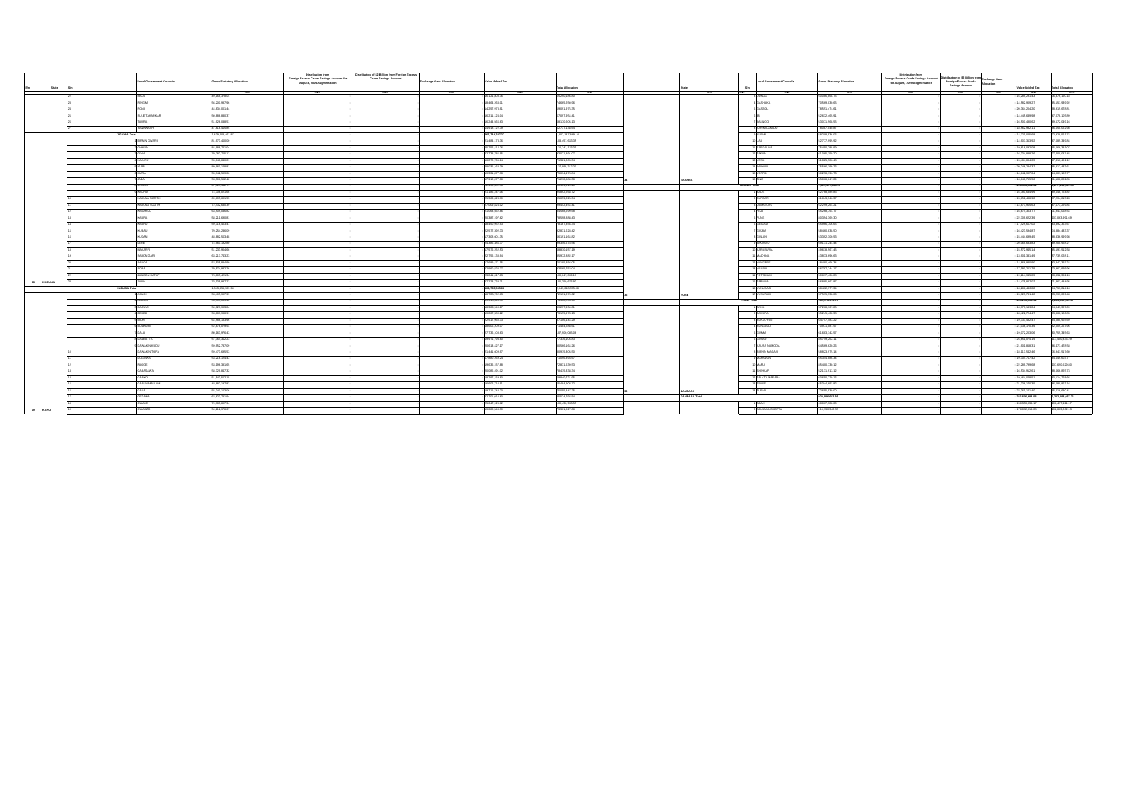|         |             |                     |                                  |                                   | <b>Clatribution from</b>                 | Xatribution of \$2 Billion from Foreign Excess |                         |                |                      |                      |                     |                          |                            | Distribution from                    |                                        |               |                                    |                  |
|---------|-------------|---------------------|----------------------------------|-----------------------------------|------------------------------------------|------------------------------------------------|-------------------------|----------------|----------------------|----------------------|---------------------|--------------------------|----------------------------|--------------------------------------|----------------------------------------|---------------|------------------------------------|------------------|
|         |             |                     |                                  |                                   | Foreign Excess Crude Savings Account for | Crude Savings Account                          |                         |                |                      |                      |                     |                          |                            | Foreign Excess Crude Savings Account | <b>Natribution of \$2 Billion from</b> | Exchange Gain |                                    |                  |
|         |             |                     | <b>Local Government Councils</b> | <b>Gross Statutory Allocation</b> | August, 2009 Augmentation                |                                                | schange Gain Allocation | alus Added Tax |                      |                      |                     | ocal Government Councils | Gross Statutory Allocation | for August, 2009 Augmentation        | Foreign Excess Crude                   | Allowation.   |                                    |                  |
|         | State       |                     |                                  |                                   |                                          |                                                |                         |                | noite of Allen       |                      | Sh.                 |                          |                            |                                      | <b>Savings Account</b>                 |               | alue Added Tax                     | otal Allocation  |
|         |             |                     |                                  |                                   |                                          |                                                |                         |                |                      | - 65                 | $\sim$              |                          |                            | <b>SANTA</b>                         | - 1991                                 |               |                                    |                  |
|         |             |                     |                                  | 0,168,378.04                      |                                          |                                                |                         | 121,008.76     | 290,186.80           |                      |                     |                          | 086,568.75                 |                                      |                                        |               | <b>START START</b><br>1,203,291.43 | (376,160.18      |
|         |             |                     | GIM                              | 16,200,987.96                     |                                          |                                                |                         | 464,263.01     | 005,250.96           |                      |                     |                          | 53 030 032                 |                                      |                                        |               | 4,582,909.27                       | 151,939.92       |
|         |             |                     |                                  |                                   |                                          |                                                |                         |                |                      |                      |                     |                          |                            |                                      |                                        |               |                                    |                  |
|         |             |                     |                                  | 44,834,001.44                     |                                          |                                                |                         | 14,257,973.91  | 0,091,975.35         |                      |                     |                          | 1,551,474.61               |                                      |                                        |               | 20,364,204.20                      | 6,915,678.81     |
|         |             |                     | <b>GHE TAKADKAR</b>              | \$0,886,830.37                    |                                          |                                                |                         | 6.211.124.04   | 7.097.954.41         |                      |                     |                          | 2.632.465.91               |                                      |                                        |               | 4.445.639.98                       | 57,078,105.89    |
|         |             |                     | <b>TALIRA</b>                    | 51,926,038.51                     |                                          |                                                |                         | 6,244,556.63   | 1,170,605.13         |                      |                     | <b>JALING</b>            | 1,071,568.55               |                                      |                                        |               | 5,500,480.62                       | 572,049.16       |
|         |             |                     | ANKWASHI                         | 47,818,415.85                     |                                          |                                                |                         | 4,918,722.79   | 2,737,138.64         |                      |                     | ARIBAT AMB               | 1,037,040.87               |                                      |                                        |               | 18,552,982.11                      | 5,650,022.98     |
|         |             |                     |                                  |                                   |                                          |                                                |                         |                |                      |                      |                     |                          |                            |                                      |                                        |               |                                    |                  |
|         |             | <b>JIGAWA Total</b> |                                  | 1,439,403,461.87                  |                                          |                                                |                         | 057,744,387.27 | 1,907,147,849.14     |                      |                     |                          | 303,536.06                 |                                      |                                        |               | 14,721,025.68                      | 2,929,561.74     |
|         |             |                     | PMN CWAR                         | 81,973,460.00                     |                                          |                                                |                         | 1,484,173.36   | 03,457,633.35        |                      |                     |                          | <b>JTT 505.92</b>          |                                      |                                        |               | 14.907.353.92                      | 7,685,349.84     |
|         |             |                     | <b>CHEKLIN</b>                   | 84,988,721.04                     |                                          |                                                |                         | 5,752,412.26   | 10,741,133.31        |                      |                     | JPDAI IN                 | 5,450,288.99               |                                      |                                        |               | 19,616,092.08                      | 10.186,380,0     |
|         |             |                     | IWA.                             | 70,282,705.12                     |                                          |                                                |                         | 2,738,785.95   | 1,021,491.07         |                      |                     | TAKUM                    | 065,159.20                 |                                      |                                        |               | 02.000.002.20                      | 7,400,047.45     |
|         |             |                     |                                  |                                   |                                          |                                                |                         |                |                      |                      |                     |                          |                            |                                      |                                        |               |                                    |                  |
|         |             |                     | KAJURU                           | 5,048,840.21                      |                                          |                                                |                         | 6,272,765.14   | 321,605.34           |                      |                     |                          | 1,525,586.48               |                                      |                                        |               | 5.484.864.85                       | 100,451.12       |
|         |             |                     |                                  | 89,960,148.81                     |                                          |                                                |                         | 8,035,163.39   | 7,995,312.20         |                      |                     | VUKAR                    | 5,566,199.23               |                                      |                                        |               | 0,246,234.37                       | 10/22/433-01     |
|         |             |                     | ARA.                             | 55,742,599.06                     |                                          |                                                |                         | 9,331,877.76   | 074,476.84           |                      |                     |                          | 0,258,196.73               |                                      |                                        |               | 4.642.907.04                       | 4,901,103.77     |
|         |             |                     |                                  | 3,306,502.42                      |                                          |                                                |                         | ,912,077.96    | 218,580.38           | TARABA               |                     |                          | 058, D47.29                |                                      |                                        |               | 040,755.56                         | 108,802.85       |
|         |             |                     | <b>EMA'A</b>                     |                                   |                                          |                                                |                         | 455,481.58     | 1,109,614.29         |                      | <b>TARABA Total</b> |                          | 1,011,157,808.57           |                                      |                                        |               | 10.100,001,002                     | 1,277,493,809.59 |
|         |             |                     |                                  | 67,714,132.71                     |                                          |                                                |                         |                |                      |                      |                     |                          |                            |                                      |                                        |               |                                    |                  |
|         |             |                     |                                  | 74,706,021.66                     |                                          |                                                |                         | 186,247.06     | 1,022,268.72         |                      |                     |                          | 768,089.83                 |                                      |                                        |               | 6,780,634.99                       | 0,548,724.82     |
|         |             |                     | DUNA NORTH                       | 69,695,601.55                     |                                          |                                                |                         | 5,363,623.79   | 059,225.34           |                      |                     |                          | IC 2NC 27                  |                                      |                                        |               | 5,051,468.92                       | 7,294,815.28     |
|         |             |                     | ADUNA SOUTH                      | 72,432,630.39                     |                                          |                                                |                         | 27,009,824.02  | 0.442.454.41         |                      |                     | <b>DAMATURU</b>          | 2,299,264.21               |                                      |                                        |               | 14,873,955.63                      | 173,229.84       |
|         |             |                     | ARKO                             | 13,505,036.82                     |                                          |                                                |                         | 063,562.86     | 568,599.68           |                      |                     |                          | 1,268,754.77               |                                      |                                        |               | 6,674,303.77                       | 343,058.54       |
|         |             |                     | <b>AURA</b>                      |                                   |                                          |                                                |                         |                | 1,598,881.43         |                      |                     |                          |                            |                                      |                                        |               |                                    |                  |
|         |             |                     |                                  | 58,211,090.81                     |                                          |                                                |                         | 0,387,197.62   |                      |                      |                     | FUNE                     | 0,354,369.30               |                                      |                                        |               | 2,709,622.39                       | 03,063,991.09    |
|         |             |                     | AURU                             | 0.716.403.41                      |                                          |                                                |                         | 8.450.952.93   | AC 200, 101, 8       |                      |                     |                          | 33,301,336                 |                                      |                                        |               | 7.425.657.02                       | 3,392,363.67     |
|         |             |                     | <b>UBAU</b>                      | 70,254,236.09                     |                                          |                                                |                         | 22,577,392.33  | 22,831,628.42        |                      |                     | <b>GUJBA</b>             | 8,460,838.50               |                                      |                                        |               | 6.423.594.87                       | 4,884,433.37     |
|         |             |                     | <b>IDAN</b>                      | 48,882,553.48                     |                                          |                                                |                         | 201.001.25     | 1,191,164.82         |                      |                     |                          | 392,300.53                 |                                      |                                        |               | 5,444,622.45                       | 8,836,999.98     |
|         |             |                     |                                  | 74,950,192.80                     |                                          |                                                |                         | 24,386,385.77  | 9,346,578.56         |                      |                     | DIAKUSKO                 | 9,131,244.44               |                                      |                                        |               | 20,009,003.83                      | 0.200.928.27     |
|         |             |                     | <b>AKADTI</b>                    | 1,233,904.66                      |                                          |                                                |                         | 576,252.53     | 1,810,157.19         |                      |                     |                          | 1,518,557.45               |                                      |                                        |               |                                    |                  |
|         |             |                     |                                  |                                   |                                          |                                                |                         |                |                      |                      |                     |                          |                            |                                      |                                        |               | 5,572,945.14                       | 5,191,512.58     |
|         |             |                     | ABON GARI                        | 13,217,743.23                     |                                          |                                                |                         | 1,755,138.94   | 1,972,882.17         |                      |                     |                          | 63,003,000                 |                                      |                                        |               | 13,901,331.49                      | 735,028.11       |
|         |             |                     | ANGA -                           | \$2,505,884.90                    |                                          |                                                |                         | 17,689,471.15  | 0,195,356.05         |                      |                     |                          | AC 233-034.                |                                      |                                        |               | 14,006,930.90                      | 53,347,397.24    |
|         |             |                     | xиА                              | 70,574,932.26                     |                                          |                                                |                         | 1990.820.77    | 565,753.04           |                      |                     |                          | 5,787,744.17               |                                      |                                        |               | 180,251.79                         | 3,967,995.96     |
|         |             |                     | <b>NGON KATA</b>                 | 76,005,421.34                     |                                          |                                                |                         | 3,541,617.83   | 0,647,039.17         |                      |                     |                          | 1,617,406.28               |                                      |                                        |               | 9,214,945.85                       | 8,832,352.13     |
|         |             |                     |                                  | 78,135,937.22                     |                                          |                                                |                         | 7,223,738.71   | 5,359,675.93         |                      |                     |                          | 6,005,062.07               |                                      |                                        |               | 4.475.822.07                       | 71,361,484.95    |
| 18      | <b>ANUX</b> |                     |                                  |                                   |                                          |                                                |                         |                |                      |                      |                     |                          |                            |                                      |                                        |               |                                    |                  |
|         |             | <b>KADUNA Total</b> |                                  | 543,855,309.98                    |                                          |                                                |                         | 503,733,565.08 | 047,648,875.06       |                      |                     | <b>UNUSAR</b>            | 1,492,777.34               |                                      |                                        |               | 6,266,436.82                       | 4,759,214.16     |
|         |             |                     | uwa                              | 53,405,907.99                     |                                          |                                                |                         | 18,725,762.63  | 2,131,670.62         | YOBE                 |                     | 17 YUSUFARI              | 7,575,338.06               |                                      |                                        |               | 15,723,731.42                      | 3,299,009.48     |
|         |             |                     | LBASU                            | 13,793,055.40                     |                                          |                                                |                         | 315,648.59     | 108,703.99           |                      | YOBE Total          |                          | 88,576,573.75              |                                      |                                        |               | 283,256,026.32                     | 1,263,832,600.07 |
|         |             |                     |                                  | 50,927,993.84                     |                                          |                                                |                         | 8,309,940.17   | 237,934.01           |                      |                     | 1 ANKA                   | 7,268,167.85               |                                      |                                        |               | 5,779,139.24                       | 4,047,307.09     |
|         |             |                     | LOCUI                            | 53,887,988.91                     |                                          |                                                |                         | 9,267,989.22   | 3,155,978.13         |                      |                     |                          | 5,245,462.38               |                                      |                                        |               | 18.422.724.47                      | 3,003,100.05     |
|         |             |                     |                                  |                                   |                                          |                                                |                         |                |                      |                      |                     | 2 BAKURA                 |                            |                                      |                                        |               |                                    |                  |
|         |             |                     | <b>SCORE</b>                     | 04,588,183.95                     |                                          |                                                |                         | 2,517,960.33   | 106,144.29           |                      |                     |                          | 4,747,483.22               |                                      |                                        |               | 9,333,482.47                       | 4,080,965.69     |
|         |             |                     | <b>BUNKURE</b>                   | 52,878,079.54                     |                                          |                                                |                         | 18,006,209.07  | 1,454,255.61         |                      |                     | BUNGUOU                  | 0.971.087.57               |                                      |                                        |               | 1.038.170.39                       | 2,009,257.96     |
|         |             |                     |                                  | 63,976.43                         |                                          |                                                |                         | (736,108.63    | 7,900,085.06         |                      |                     |                          | 683,142.57                 |                                      |                                        |               | 9,072,203.06                       | 0,755,345.63     |
|         |             |                     | MMMATTA                          | 17,364,312.23                     |                                          |                                                |                         | 9,971,793.60   | 2,336,105.83         |                      |                     |                          | 1749,262.11                |                                      |                                        |               | 5.651.074.19                       | 11,400,336.29    |
|         |             |                     |                                  |                                   |                                          |                                                |                         |                |                      |                      |                     |                          |                            |                                      |                                        |               |                                    |                  |
|         |             |                     | DIGIUNI VIOLANI                  | 59,952,737.09                     |                                          |                                                |                         | 613,427.17     | 566,164.26           |                      |                     | AURA NAMODI              | 569,620.26                 |                                      |                                        |               | 1,901,858.31                       | 6,471,478.58     |
|         |             |                     | <b>WAXN TOFA</b>                 | \$9,473,695.53                    |                                          |                                                |                         | 21,441,609.97  | 0,915,305.50         |                      |                     | NNMAGAJI                 | 8,823,975.14               |                                      |                                        |               | 18,117,542.46                      | 6,941,517.60     |
|         |             |                     | <b>COWA</b>                      | 3,216,124.43                      |                                          |                                                |                         | 7,550,269.24   | 1006,393.67          |                      |                     | o n                      | 34,355,34                  |                                      |                                        |               | 12:304.717.42                      | 649,603.77       |
|         |             |                     | <b>LGGE</b>                      | 13, 196, 381.65                   |                                          |                                                |                         | 535,157.00     | 1,831,539.53         |                      |                     |                          | 5,400,730.12               |                                      |                                        |               | 2,209,799.68                       | ,090,529.50      |
|         |             |                     |                                  | 58,329,847.32                     |                                          |                                                |                         | 0.085,491.02   | <b>NC BEE, 219,1</b> |                      |                     |                          | 2,131,913.12               |                                      |                                        |               | 5534.912.6                         | 8,000,825.73     |
|         |             |                     | <b>URKC</b>                      | 1,543,562.15                      |                                          |                                                |                         | 1,297,159.80   | 1,540,721.95         |                      |                     |                          | 1,650,720.16               |                                      |                                        |               | 3,464,048.51                       | 33.537,971)      |
|         |             |                     |                                  |                                   |                                          |                                                |                         |                |                      |                      |                     | TALATA MAFARA            |                            |                                      |                                        |               |                                    |                  |
|         |             |                     | <b>GARUN MALLAM</b>              | 48,882,197.82                     |                                          |                                                |                         | 6,602,710.91   | 1,484,908.72         |                      |                     | TSAFE                    | 344,032.82                 |                                      |                                        |               | 1,336,170.35                       | 5,680,863.16     |
|         |             |                     | KYA.                             | 55,340,103.06                     |                                          |                                                |                         | 715.744.20     | 055.847.25           | ZAMFARA              | 14 ZURM             |                          | 655,539.00                 |                                      |                                        |               | 2.361.141.40                       | 016.680.41       |
|         |             |                     | <b>TAME</b>                      | 62,823,781.94                     |                                          |                                                |                         | ,701,010.60    | 524,792.54           | <b>ZAMFARA Total</b> |                     |                          | 20,586,682.66              |                                      |                                        |               | 22302,000,105                      | 1,202,193,667.21 |
|         |             |                     | <b>WALE</b>                      | 74,783,807.94                     |                                          |                                                |                         | 5,647,125.62   | 0,430,933.55         |                      |                     | 1 ABAJI                  | 8,057,382.00               |                                      |                                        |               | 50.350.039.17                      | 198,417,421.17   |
|         |             |                     |                                  | 4,212,978.67                      |                                          |                                                |                         | 088,548.39     | 301,527.06           |                      |                     | ABUJA MUNICIPAL          | 5,730,342.85               |                                      |                                        |               |                                    |                  |
| 19 KAND |             |                     |                                  |                                   |                                          |                                                |                         |                |                      |                      |                     |                          |                            |                                      |                                        |               | 176,872,919.28                     | 92,603,262.13    |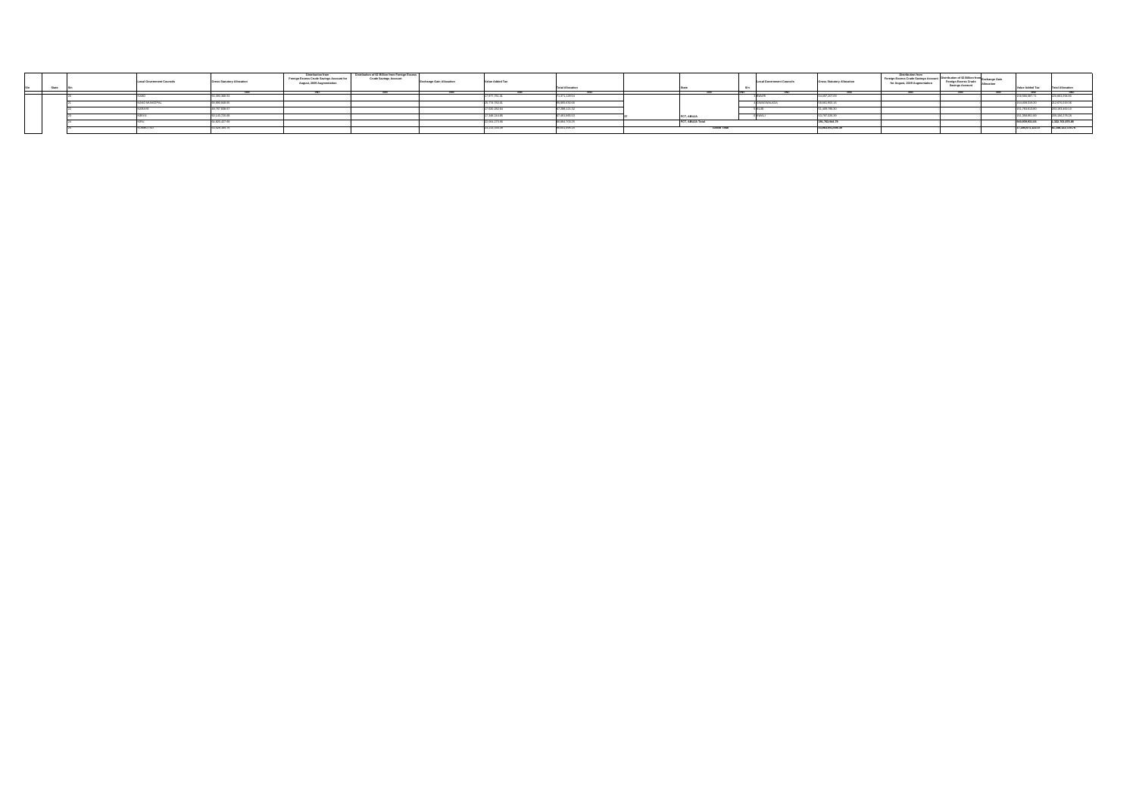| State | <b>Local Government Councils</b> | <b>Gross Statutory Allocation</b> | Distribution from<br>Foreign Excess Crude Savings Account for<br>August, 2003 Augmentation | Distribution of \$2 Billion from Foreign Escess<br>Crude Savings Account | Eschange Gain Allocation | Value Added Tax | Total Allocation    |                         | <b>Local Government Councils</b> | Gross Statutory Allocation | Distribution fro<br>Foreign Excess Crude Savings Account<br>for August, 2009 Augmentation | Distribution of \$2 Billion from<br>Foreign Excess Crud<br>Sayings Account | Value Added Tax      | Total Allocation  |
|-------|----------------------------------|-----------------------------------|--------------------------------------------------------------------------------------------|--------------------------------------------------------------------------|--------------------------|-----------------|---------------------|-------------------------|----------------------------------|----------------------------|-------------------------------------------------------------------------------------------|----------------------------------------------------------------------------|----------------------|-------------------|
|       |                                  |                                   |                                                                                            |                                                                          |                          |                 |                     |                         |                                  |                            |                                                                                           |                                                                            |                      |                   |
|       |                                  | 53 203 358 53                     |                                                                                            |                                                                          |                          | 1977 761 01     | 71.371.129.54       |                         |                                  | M4 097 207 00              |                                                                                           |                                                                            | $-156.566.087.71$    | 220 653 204 80    |
|       | KANO MUNICIPAL                   | 150 800 545 65                    |                                                                                            |                                                                          |                          | .               | <b>K BBS 630 BB</b> |                         | <b>LIPSALSI AP</b>               | <b>Range con to</b>        |                                                                                           |                                                                            | $-154,008,319,20$    | 212 520 203 35    |
|       |                                  | 49.767.838.67                     |                                                                                            |                                                                          |                          | 17.520.282.64   | 07.288.121.32       |                         |                                  | 51,409,786.30              |                                                                                           |                                                                            | 151,783,613,80       |                   |
|       |                                  | 50.143.720.68                     |                                                                                            |                                                                          |                          | 17.348.244.85   | 67.491.965.53       | FCT, ABUJ               |                                  | <b>BET 707 126 1</b>       |                                                                                           |                                                                            | 151,358,951.89       |                   |
|       |                                  | 1820.42                           |                                                                                            |                                                                          |                          |                 |                     | <b>FCT, ABUJA Total</b> |                                  | 291.763.944.7              |                                                                                           |                                                                            | $-240,232,231.06$    | 1.332.703.875.    |
|       |                                  | 63.428.164.75                     |                                                                                            |                                                                          |                          | -מרמוד דולול    | 86.641.495.15       | <b>Grand Total</b>      |                                  | 43,963,551,598.39          |                                                                                           |                                                                            | $-17,184,571,122.37$ | 61.148.122.720.70 |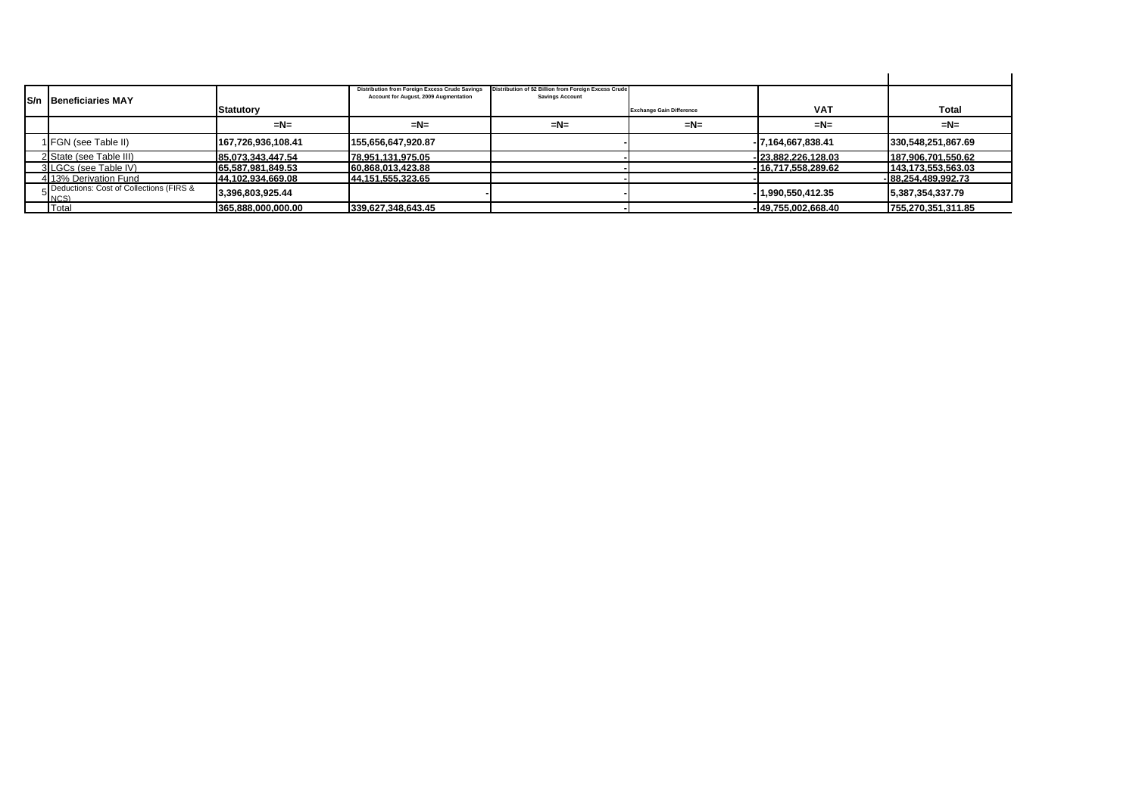| <b>IS/n Beneficiaries MAY</b>                   |                    | Distribution from Foreign Excess Crude Savings<br>Account for August, 2009 Augmentation | Distribution of \$2 Billion from Foreign Excess Crude<br><b>Savings Account</b> |                                 |                       |                       |
|-------------------------------------------------|--------------------|-----------------------------------------------------------------------------------------|---------------------------------------------------------------------------------|---------------------------------|-----------------------|-----------------------|
|                                                 | <b>Statutory</b>   |                                                                                         |                                                                                 | <b>Exchange Gain Difference</b> | <b>VAT</b>            | <b>Total</b>          |
|                                                 | $=N=$              | $=N=$                                                                                   | $=N=$                                                                           | $=N=$                           | $=N=$                 | $=N=$                 |
| 1 FGN (see Table II)                            | 167,726,936,108.41 | 155,656,647,920.87                                                                      |                                                                                 |                                 | $-17,164,667,838.41$  | 330,548,251,867.69    |
| 2 State (see Table III)                         | 85.073.343.447.54  | 78.951.131.975.05                                                                       |                                                                                 |                                 | $-123.882.226.128.03$ | 187.906.701.550.62    |
| 3 LGCs (see Table IV)                           | 65.587.981.849.53  | 60.868.013.423.88                                                                       |                                                                                 |                                 | -16.717.558.289.62    | 143.173.553.563.03    |
| 4 13% Derivation Fund                           | 44.102.934.669.08  | 44.151.555.323.65                                                                       |                                                                                 |                                 |                       | $-188,254,489,992.73$ |
| Deductions: Cost of Collections (FIRS &<br>NCS) | 3,396,803,925.44   |                                                                                         |                                                                                 |                                 | $-1,990,550,412.35$   | 5,387,354,337.79      |
| Total                                           | 365.888.000.000.00 | 339.627.348.643.45                                                                      |                                                                                 |                                 | $-149.755.002.668.40$ | 755.270.351.311.85    |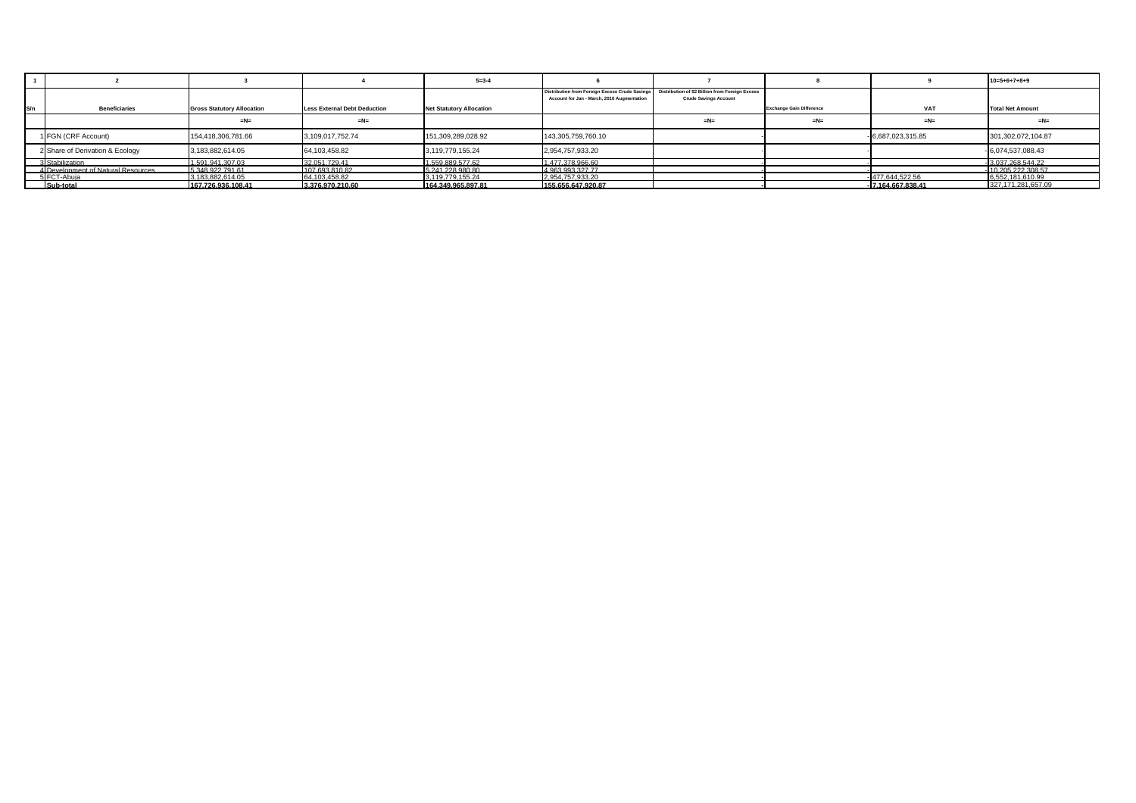|                                           |                                   |                                     | $5 = 3 - 4$                     |                                                                                                                                               |                              |                                 |                      | $10=5+6+7+8+9$           |
|-------------------------------------------|-----------------------------------|-------------------------------------|---------------------------------|-----------------------------------------------------------------------------------------------------------------------------------------------|------------------------------|---------------------------------|----------------------|--------------------------|
|                                           |                                   |                                     |                                 | Distribution from Foreign Excess Crude Savings  Distribution of \$2 Billion from Foreign Excess<br>Account for Jan - March, 2010 Augmentation | <b>Crude Savings Account</b> |                                 |                      |                          |
| <b>Beneficiaries</b>                      | <b>Gross Statutory Allocation</b> | <b>Less External Debt Deduction</b> | <b>Net Statutory Allocation</b> |                                                                                                                                               |                              | <b>Exchange Gain Difference</b> | <b>VAT</b>           | <b>Total Net Amount</b>  |
|                                           | $=N=$                             | $=N=$                               |                                 |                                                                                                                                               | $=N=$                        | $=N=$                           | $=N=$                | –N-                      |
| I FGN (CRF Account)                       | 154,418,306,781.66                | 3,109,017,752.74                    | 151,309,289,028.92              | 143,305,759,760.10                                                                                                                            |                              |                                 | $-6,687,023,315.85$  | 301,302,072,104.87       |
| 2 Share of Derivation & Ecology           | 3,183,882,614.05                  | 64,103,458.82                       | 3,119,779,155.24                | 2,954,757,933.20                                                                                                                              |                              |                                 |                      | $-6,074,537,088.43$      |
| Stabilization                             | 1.591.941.307.03                  | 32 051 729 41                       | 155988957762                    | 147737896660                                                                                                                                  |                              |                                 |                      | $-303726854422$          |
| <b>4 Development of Natural Resources</b> | 5 348 922 791 61                  | 107 693 810 82                      | 5 241 228 980 80                | 4 963 993 327 77                                                                                                                              |                              |                                 |                      | $-10, 205, 222, 308, 57$ |
| 5 FCT-Abuja                               | 3,183,882,614.05                  | 64,103,458.82                       | 3,119,779,155.24                | 2,954,757,933.20                                                                                                                              |                              |                                 | $-477,644,522.56$    | 6,552,181,610.99         |
| Sub-total                                 | 167.726.936.108.41                | 3.376.970.210.60                    | 164.349.965.897.81              | 155.656.647.920.87                                                                                                                            |                              |                                 | $-17.164.667.838.41$ | 327, 171, 281, 657.09    |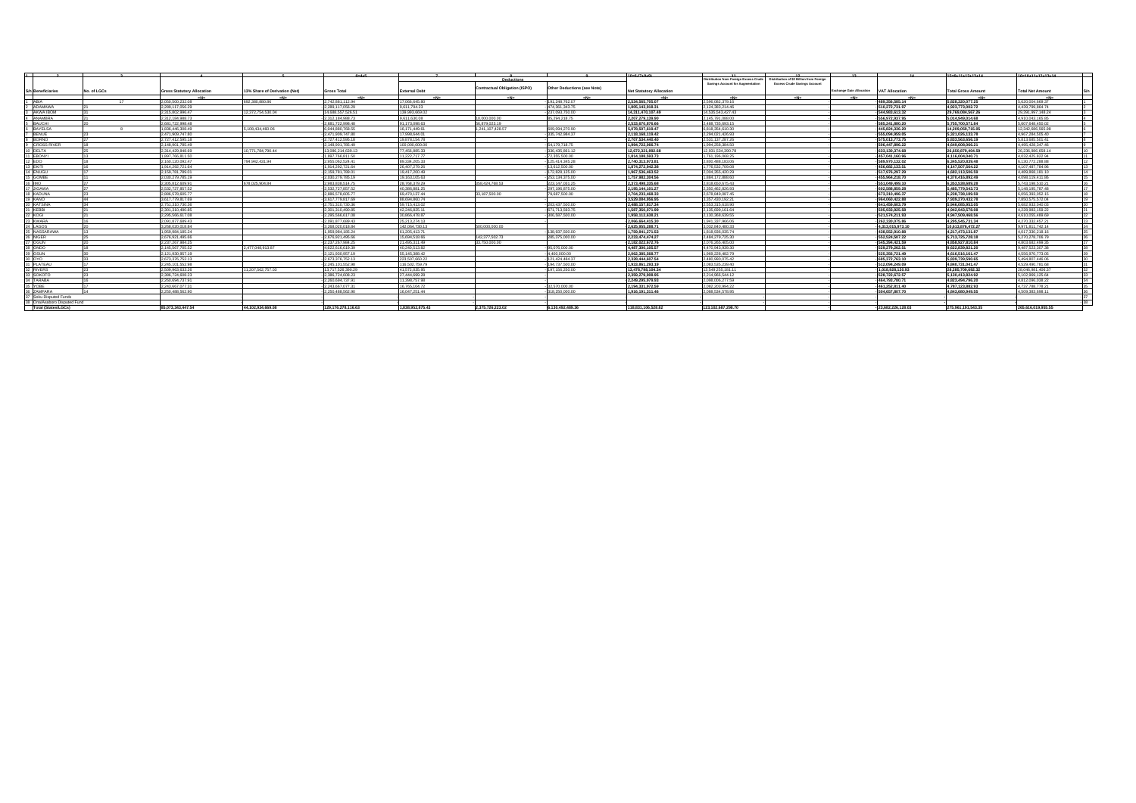| $\sim$                       |             |                                   | $\overline{\phantom{a}}$      | $6 - 4.5$                    |                      |                                      |                                    | $10 - 6 - (7 + 8 + 9)$          |                                       |                                          | $-11$                                   | $\overline{14}$   | 15-6+11+12+13+14          | 16-10-11-12-13-14       |  |
|------------------------------|-------------|-----------------------------------|-------------------------------|------------------------------|----------------------|--------------------------------------|------------------------------------|---------------------------------|---------------------------------------|------------------------------------------|-----------------------------------------|-------------------|---------------------------|-------------------------|--|
|                              |             |                                   |                               |                              |                      |                                      |                                    |                                 | istribution from Foreign Excess Crude | Distribution of \$2 Billion from Foreign |                                         |                   |                           |                         |  |
|                              |             |                                   |                               |                              |                      | <b>Contractual Obligation (ISPO)</b> | <b>Other Deductions (see Note)</b> |                                 | Savings Account for Augmentation      | Excess Crude Savings Account             |                                         |                   |                           |                         |  |
| <b>S/n Beneficiaries</b>     | No. of LGCs | <b>Gross Statutory Allocation</b> | 13% Share of Derivation (Net) | iross Total                  | <b>External Debt</b> |                                      |                                    | <b>Net Statutory Allocation</b> |                                       |                                          | Exchange Gain Allocation VAT Allocation |                   | <b>Total Gross Amount</b> | <b>Total Net Amount</b> |  |
|                              |             |                                   |                               |                              |                      |                                      |                                    |                                 |                                       |                                          |                                         |                   |                           |                         |  |
| <b>ARIA</b>                  | 17          | 2.050.500.232.08                  | 88 088 082 393                | 742 881 112 94               | 7 066 645 80         |                                      | 191 248 762 07                     | 2.534.565.705.07                | 81 PTF CRO 3P3 1                      |                                          |                                         | 489.356.585.14    | 5828320.077.25            | 5.620.004.669.37        |  |
| ADAMAWA                      |             | 2289 117 056 29                   |                               | 289 117 056 29               | 611 794 23           |                                      | 474 381 343 75                     | 1.805.143.918.31                | 124 383 214 48                        |                                          |                                         | 510 272 731 97    | 492377300272              | 4 439 799 864 74        |  |
| <b>AKWA IROM</b>             |             | 315 802 996 47                    | 12.372.754.530.04             | 4 688 557 526 51             | 39 993 669 02        |                                      | 237 093 750 00                     | 14.311.470.107.49               | 14 535 543 427 43                     |                                          |                                         | 544 983 613 32    | 29.769.084.567.26         | 29 391 997 148 24       |  |
| 4 ANAMRRA                    |             | 2 312 184 988 73                  |                               | 312 184 988 73               | 961163008            | 10.000.000.00                        | 85 294 218 75                      | 2.207.279.139.90                | 2 145 791 088 00                      |                                          |                                         | 556 972 937 95    | 014.949.014.68            | 4 910 043 165 85        |  |
| 5 BAUCHI                     |             | R81 722 998 48                    |                               | 681 722 998 48               | 11 173 098 63        | 66 879 023 19                        |                                    | 2.533.670.876.66                | 488 735 893 15                        |                                          |                                         | 585 241 880 20    | 5.755.700.571.84          | 5 607 648 450 02        |  |
| 6 BAYELSA                    |             | 1 836 446 308 49                  | 108 434 480 06                | 944 880 768 55               | 6 171 449 61         | 241 107 428 57                       | 609.094.270.90                     | 5.078.507.619.47                | 06.018.354.810                        |                                          |                                         | 445 824 336 20    | 14.209.059.715.05         | 12 342 688 585 98       |  |
| 7 RENUE                      |             | 2 471 909 747 80                  |                               | 471 909 747 80               | 7 998 644 01         |                                      | 335 742 984 37                     | 2.118.168.119.42                | 2 294 021 426 93                      |                                          |                                         | 555.094.959.05    | 5.321.026.133.78          | 4 987 284 505 40        |  |
| <b>RORNO</b>                 |             | 727 412 595 18                    |                               | 727 412 595 18               | 9 878 154 78         |                                      |                                    | 2.707.534.440.40                | 631 137 287 26                        |                                          |                                         | 575.013.773.75    | 5.833.563.656.19          | 5 813 685 501 41        |  |
| 9 CROSS RIVER                |             | 2.148.901.785.49                  |                               | 148.901.785.49               | 00.000.000.00        |                                      | 54.179.718.75                      | 1.994.722.066.74                | 1.994.258.384.50                      |                                          |                                         | 506.447.896.22    | 4.649.608.066.21          | 4.495.428.347.46        |  |
| 10 DELTA                     |             | 2.314.429.848.69                  | 10.771.784.790.44             | 3.086.214.639.13             | 7,456,885.33         |                                      | 336.435.861.12                     | 12.672.321.892.68               | 12.931.534.390.78                     |                                          |                                         | 633.130.374.68    | 26.650.879.404.59         | 26.236.986.658.14       |  |
| 11 EBONYI                    |             | 1.897.766.811.50                  |                               | 897.766.811.50               | 1,222,717.77         |                                      | 72.355.500.00                      | 1.814.188.593.73                | 1.761.196.068.25                      |                                          |                                         | 457.041.160.96    | 4.116.004.040.71          | 4.032.425.822.94        |  |
| 12 FDO                       |             | 160 120 092 47                    | 794 942 431 94                | 955.082.524.41               | 9.334.205.33         |                                      | 125 414 345 28                     | 2.740.313.973.81                | 800 488 183.06                        |                                          |                                         | 589.970.132.02    | 6345 520 839 48           | R 130 772 288 88        |  |
| 13 EKITI                     |             | 1914 292 721 R4                   |                               | 914 292 721 R4               | 26.407.279.26        |                                      | 13.612.500.00                      | 1.874.272.942.38                | 776 532 709 08                        |                                          |                                         | 456 682 133 51    | 4.147.507.564.22          | 4 107 487 784 96        |  |
| 14 ENUGU                     |             | 2.159.781.789.01                  |                               | 159 781 789 01               | 9.417.200.49         |                                      | 172.828.125.00                     | 1.967.536.463.52                | 2.004.355.420.29                      |                                          |                                         | 517.976.297.29    | 4.682.113.506.59          | 4 489 868 181 10        |  |
| 15 GOMBE                     |             | 030 279 785 19                    |                               | 030 279 785 19               | P3 201 F31 P         |                                      | 253 134 375 00                     | 1.757.982.304.56                | 1.884.172.888.60                      |                                          |                                         | 455 964 218 70    | 4.370.416.892.49          | 4.098.119.411.86        |  |
| 16 IMO                       |             | 2.305.812.609.91                  | 678 025 904 84                | 983 838 514 75               | 28 768 379 29        | 358 424 768 53                       | 223 147 031 25                     | 2.373.498.335.68                | 2 818 650 675 43                      |                                          |                                         | 551.049.499.10    | 6 353 538 689 28          | 5 743 198 510 21        |  |
| 17 JIGAWA                    |             | 632 727 857 52                    |                               | 532 727 857 52               | 10.386.881.25        |                                      | 297 196 875 00                     | 2.195.144.101.27                | 2350 462 826 93                       |                                          |                                         | 602 588 859 28    | 5.485.779.543.73          | 148 195 787 48          |  |
| 18 KADUNA                    |             | 2 886 578 605 77                  |                               | <b><i>BBB 578 605 77</i></b> | 89 470 137 44        | 33 187 500 00                        | 79 687 500 00                      | 2.704.233.468.33                | 2 678 849 087 45                      |                                          |                                         | 673 310 496 37    | 6 238 738 189 59          | 8 056 393 052 15        |  |
| 19 KANO                      |             | 3 617 779 817 69                  |                               | 617 779 817 69               | 8 894 880 74         |                                      |                                    | 3.529.084.956.95                | 3357.430.192.21                       |                                          |                                         | 964 060 422 88    | 7.939.270.432.78          | 7 850 575 572 04        |  |
| 20 KATSINA                   |             | 2751 310 730 36                   |                               | 751 310 730 36               | 69 715 413 02        |                                      | 203 437 500 00                     | 2.488.157.817.34                | 653 315 618 90                        |                                          |                                         | 641 459 603 79    | 30.222.280.305.3          | E 682 933 040 03        |  |
| 21 KEBBI                     |             | 2.301.310.490.85                  |                               | 301.310.490.85               | 2.246.825.11         |                                      | 671.713.593.75                     | 1.587.350.071.99                | 135.699.161.64                        |                                          |                                         | 505.933.925.58    | 4.942.943.578.08          | 4,228,983,159.22        |  |
| 22 KOGI                      |             | 2295 566 617 08                   |                               | 295 566 617 08               | IN 866 478 87        |                                      | 306 587 500.00                     | 1.958.112.638.21                | 2 130 388 639 55                      |                                          |                                         | 521.574.211.93    | 4.947.509.468.56          | 4 610 055 489 69        |  |
| 23 KWARA                     |             | 2 091 877 689 43                  |                               | 091.877.689.43               | 5.213.274.13         |                                      |                                    | 2.066.664.415.30                | 941 337 966 06                        |                                          |                                         | 262.330.075.86    | 4.295.545.731.34          | 4.270.332.457.21        |  |
| 24 LAGOS                     |             | 3.268.020.018.84                  |                               | 1268.020.018.84              | 42.064.730.13        | 000.000.000.00                       |                                    | 2.625.955.288.71                | 032.840.480.33                        |                                          |                                         | 4.313.015.973.10  | 10,613,876,472.27         | 9.971.811.742.14        |  |
| 25 NASSARAWA                 |             | 1.959.984.185.24                  |                               | 959.984.185.24               | 61.205.413.71        |                                      | 138,937,500.00                     | 1.759.841.271.53                | 1.818.936.035.74                      |                                          |                                         | 438.552.910.88    | 4.217.473.131.87          | 4.017.330.218.16        |  |
| 26 NIGER                     |             | 2.676.921.495.66                  |                               | 1676.921.495.66              | 5.694.518.66         | 142.377.502.73                       | 285.375.000.00                     | 2.233.474.474.27                | 2.484.279.725.30                      |                                          |                                         | 552.524.507.22    | 1713.725.728.18           | 5.270.278.706.79        |  |
| 27 OGUN                      |             | 2.237.267.984.25                  |                               | 237.267.984.25               | 1.495.311.49         | 33.750.000.00                        |                                    | 2.182.022.672.76                | 2.076.265.405.00                      |                                          |                                         | 545.394.421.59    | 4.858.927.810.84          | 4.803.682.499.35        |  |
| 28 ONDO                      |             | 2 145 567 705 52                  | 2 477 048 913 87              | 622 616 619 39               | 40.240.513.82        |                                      | - 95.076.000.00                    | 4.487.300.105.57                | 4.470.943.939.30                      |                                          |                                         | 529.279.262.51    | 9.622.839.821.20          | 9.487.523.307.38        |  |
| 29 OSUN                      |             | 121 930 957 19                    |                               | 121 930 957 19               | 55.145.388.42        |                                      | 4 400 000 00                       | 2.062.385.568.77                | 969 228 482 79                        |                                          |                                         | 525 356 721 49    | 4.616.516.161.47          | 4 556 970 773 05        |  |
| 30 OYO                       |             | 0 673 376 752 13                  |                               | 673.376.752.13               | 23 507 660 22        |                                      | 121 424 484 37                     | 2.328.444.607.54                | 480 990 075 42                        |                                          |                                         | 685 372 763 10    | 5839 739 590 65           | 80 845 508 495 8        |  |
| 31 PLATEAU                   |             | 2245 101 552 98                   |                               | 245 101 552 98               | 16 502 759 79        |                                      | 194 737 500 00                     | 1.933.861.293.19                | 083 535 239 40                        |                                          |                                         | 512.094.249.09    | 484073104147              | 4 529 490 781 68        |  |
| 32 RIVERS                    |             | FOR RELEASE OR                    | 11 207 582 757 03             | 3717 526 390 29              | 41 572 035 95        |                                      | 197 156 250 00                     | 13,478,798,104,34               | 3 549 255 181 11                      |                                          |                                         | 1.018.928.120.93  | 28.285.709.692.32         | 28 046 981 406 37       |  |
| 33 SOKOTO                    |             | 2386 724 608 23                   |                               | 386 724 608 23               | 7 444 699 28         |                                      |                                    | 2.359.279.908.95                | 214 988 544 12                        |                                          |                                         | 528 722 672 57    | 130.413.824.92            | 102 989 125 84          |  |
| 34 TARABA                    |             | 2260 694 737 91                   |                               | 260 694 737 91               | 1.398.757.98         |                                      |                                    | 2.249.295.979.93                | 098.006.277.59                        |                                          |                                         | 464 793 780 71    | 482349479620              | 4 812 096 038 22        |  |
| 35 YOBE                      |             | 2.243.667.077.31                  |                               | 243.667.077.31               | 6.765.104.72         |                                      | 32.570.000.00                      | 2.194.331.972.59                | 082.203.994.22                        |                                          |                                         | 461.252.811.40    | 4.787.123.882.93          | 4.737.788.778.21        |  |
| 36 ZAMEARA                   |             | 2250 488 562 90                   |                               | 250 488 562 90               | 6 047 251 44         |                                      | 318 250 000 00                     | 1.916.191.311.46                | 088 534 578 95                        |                                          |                                         | 504.657.807.70    | 4.843.680.949.55          | 4 509 383 698 11        |  |
| 37 Soku Disputed Funds       |             |                                   |                               |                              |                      |                                      |                                    |                                 |                                       |                                          |                                         |                   |                           |                         |  |
| 38 Ona/Asaboro Disputed Fund |             |                                   |                               |                              |                      |                                      |                                    |                                 |                                       |                                          |                                         |                   |                           |                         |  |
| Total (States/LGCs)          |             | 85.073.343.447.54                 | 44.102.934.669.08             | 129.176.278.116.63           | 1.838.952.875.43     | 2,375.726.223.02                     | 6.130.492.489.36                   | 118.831.106.528.82              | 123.102.687.298.70                    |                                          |                                         | 23.682.226.128.03 | 275.961.191.543.35        | 265.616.019.955.55      |  |
|                              |             |                                   |                               |                              |                      |                                      |                                    |                                 |                                       |                                          |                                         |                   |                           |                         |  |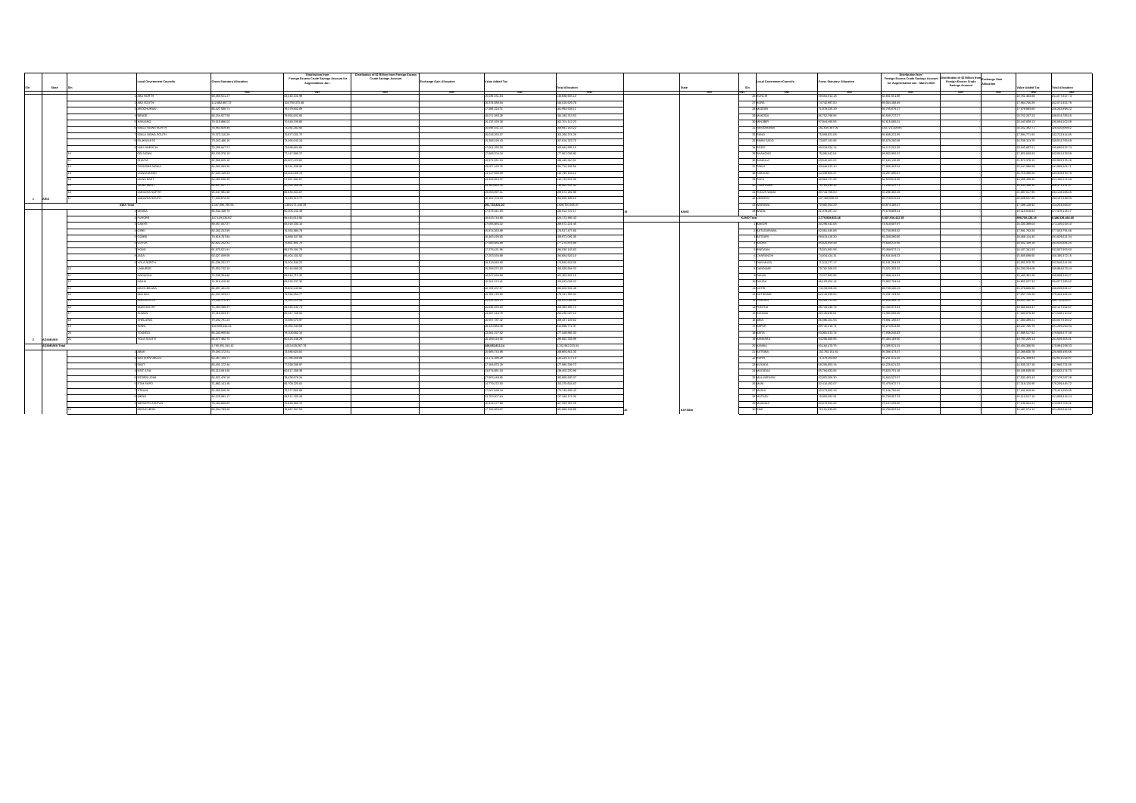|                |                   |                                  |                                   | Distribution from                        | ribution of \$2 Billion from Foreign Ex |                         |                |                  |         |            |                                  |                                   | Distribution from                    |                                                       |            |                        |                  |
|----------------|-------------------|----------------------------------|-----------------------------------|------------------------------------------|-----------------------------------------|-------------------------|----------------|------------------|---------|------------|----------------------------------|-----------------------------------|--------------------------------------|-------------------------------------------------------|------------|------------------------|------------------|
|                |                   | <b>Local Government Councils</b> | <b>Gross Statutory Allocation</b> | Foreign Excess Crude Savings Account for | Crude Savings Account                   |                         | alue Added Tax |                  |         |            | <b>Local Government Councils</b> | <b>Fross Statutory Allocation</b> | Foreign Excess Crude Savings Account | tribution of \$2 Billion from<br>Foreign Excess Crude | hange Gain |                        |                  |
|                |                   |                                  |                                   | Augmentation Jan -                       |                                         | schange Gain Allocation |                |                  |         |            |                                  |                                   | for Augmentation Jan - March 2010    | <b>Savings Account</b>                                | cation     |                        |                  |
|                | <b>State</b>      |                                  |                                   |                                          |                                         |                         |                | nel Albertalien  |         |            |                                  |                                   |                                      |                                                       |            | Value Added Tax        | Total Allocation |
|                |                   | <b>BANCRTH</b>                   | 8.359.521.2                       |                                          |                                         |                         | 039.031.84     |                  |         |            |                                  | 064912.18                         | 651,551.06                           |                                                       |            |                        |                  |
|                |                   |                                  |                                   | 3,440,101.99                             |                                         |                         |                | 5.838.655.1      |         |            |                                  |                                   |                                      |                                                       |            | 5,761,463.68           | 51.077.927.73    |
|                |                   | <b>BASOUTH</b>                   | 12,882,867.37                     | 04,759,373.48                            |                                         |                         | 10.000, 174, 2 | 4.016.629.78     |         |            |                                  | 742 987.00                        | 0,364,188.49                         |                                                       |            | 17.954.746.29          | 162,071,921.78   |
|                |                   | ROCHURNU                         | 85,427,500.71                     | 9,279,802.69                             |                                         |                         | 7,286,224.71   | 81,993,528.11    |         |            |                                  | 878,325.39                        | 1,705,679.17                         |                                                       |            | 7,678,893.66           | 55,262,898.22    |
|                |                   | <b>SENDE</b>                     | 86,154,627.58                     | 79,954,602.66                            |                                         |                         | 18,071,083.28  | 184,180,313.53   |         |            |                                  | 6,752,798.95                      | 80,509,727.27                        |                                                       |            | 10,752,257.23          | 188,014,783.45   |
|                |                   | <b>CMALIVY</b>                   | 76,019,886.02                     | 0,549,196.85                             |                                         |                         | 6,132,029.36   | 12,701,112.23    |         |            |                                  | 30,004,400                        | ,615,006.01                          |                                                       |            | 0,443,939.13           | 90,004,102.09    |
|                |                   |                                  |                                   |                                          |                                         |                         |                |                  |         |            |                                  |                                   |                                      |                                                       |            |                        |                  |
|                |                   | <b>ZALA NGWA NORTH</b>           | 78,963,829.49                     | 73,281,282.60                            |                                         |                         | 15,096,031.13  | 68,941,143.22    |         |            |                                  | 1,635,387.06                      | 10,723,109.85                        |                                                       |            | 14,162,392.71          | 26,520,889.62    |
|                |                   | SIALA NGWA SOUTH                 | 76.373.110.29                     | 70,877,001.72                            |                                         |                         | 16,016,262.27  | 63,206,374.29    |         |            |                                  | 059,821.08                        | 0,658,221.95                         |                                                       |            | 17 034 771 07          | 162,712,814.95   |
|                |                   | <b>UIKWUATO</b>                  | 79,162,486.16                     | 73,465,643.16                            |                                         |                         | 15,288,194.43  | 167,916,323.75   |         |            |                                  | 1,897,191.85                      | 8,579,260.08                         |                                                       |            | 6,538,313.75           | 59,014,765.69    |
|                |                   | <b>MU-NNEOCHE</b>                | 79,295,047.27                     | 23.528,004.05                            |                                         |                         | 7,061,283.28   | 100,044,935.19   |         |            |                                  | 634.624.14                        | 4,112,201.09                         |                                                       |            | 20.943.697.51          | 195,690,522.74   |
|                |                   |                                  |                                   |                                          |                                         |                         |                |                  |         |            |                                  |                                   |                                      |                                                       |            |                        |                  |
|                |                   | <b>CEINGWA</b>                   | 27.070.021.02                     | 7,147,988.27                             |                                         |                         | HC POT, 883,1  | 7,957,058.80     |         |            |                                  | 00604204                          | 663.995.22                           |                                                       |            | 7.821.640.82           | 162,551,678.08   |
|                |                   |                                  | 92,568,625.16                     | 85,907,023.82                            |                                         |                         | 19,971,261.54  | 98,446,910.51    |         |            |                                  | 53.134.025                        | 02.3E1,031,1                         |                                                       |            | 21,872,378.15          | 202,992,976.16   |
|                |                   | SISIOMA NGWA                     | 84,352,053.90                     | 78,291,038.90                            |                                         |                         | 19,057,163.76  | 81,710,208.56    |         |            |                                  | 1,946,523.10                      | 305,402.04                           |                                                       |            | 20,047,980.58          | 181,899,905.71   |
|                |                   | wi inacche                       | 17,243,146.34                     | 62,404,065.79                            |                                         |                         | 4,147,936.99   | 43,795,149.12    |         |            |                                  | 128,905.37                        | 8,267,690.87                         |                                                       |            | 715.280.53             | 83,319,876.79    |
|                |                   | KWA EAST                         | 62,462,530.35                     | 57,967,481.67                            |                                         |                         | 3,296,864.37   | 33,726,876.39    |         |            |                                  | 13,964,757.99                     | 1,929,819.58                         |                                                       |            | 16.205.406.49          | 51,180,074.06    |
|                |                   |                                  |                                   |                                          |                                         |                         |                |                  |         |            |                                  |                                   |                                      |                                                       |            |                        |                  |
|                |                   | KWA WEST                         | 64,937,517.77                     | 00,264,359.29                            |                                         |                         | 4,360,660.35   | 0,562,537.42     |         |            |                                  | 30, 201, 107, 2                   | 256,127.71                           |                                                       |            | 18,433,358.30          | 105,471,131.37   |
|                |                   | <b><i>IUAHIA NORTH</i></b>       | 93,347,991.68                     | 10.000,000.07                            |                                         |                         | 9,093,997.11   | 19,072,292.86    |         |            | JOUN WADA                        | 1744,768.00                       | 3,286,382.49                         |                                                       |            | 21.087.017.95          | 194,118,168.45   |
|                |                   | <b>IUANA SOUTH</b>               | 7,004,672.00                      | 71,463,113.77                            |                                         |                         | 16,152,703.33  | 64,620,489.10    |         |            |                                  | 17,450,639.94                     | 09,718,070.44                        |                                                       |            | 6,028,527.65           | 233,197,238.03   |
|                |                   | <b>ABIA Total</b>                | 1,367,695,799.55                  | 1,209,271,045.39                         |                                         |                         | 201,733,821.03 | 1,928,700,665.97 |         |            |                                  | 70,982,354.29                     | 5,874,185.67                         |                                                       |            | 17,398,128.92          | 154,254,008.87   |
|                |                   |                                  |                                   |                                          |                                         |                         |                |                  |         |            |                                  |                                   |                                      |                                                       |            |                        |                  |
|                |                   | MSA                              | 16,532,446.76                     | 0,305,232.49                             |                                         |                         | 575,041.93     | 14,512,721.17    | KAND    |            |                                  | 978,287.22                        | 1,078,808.14                         |                                                       |            | 2,419,018.81           | 7,476,114.17     |
|                |                   | URORE                            | 107,119,230.82                    | 0,410,510.82                             |                                         |                         | 18,643,744.80  | 25,173,486.43    |         | KAND Total |                                  | 779,928,923.46                    | 3,507,910,412.35                     |                                                       |            | 898,700,128.19         | 1,186,539,464.00 |
|                |                   | <b>ANYE</b>                      | 89,457,007.27                     | 37.019,330.16                            |                                         |                         | 7,095,884.02   | 189,572,221.45   |         |            |                                  | 1,296,542.08                      | 4,518,087.97                         |                                                       |            | <b>PO 930 2000 311</b> | 1,145,019.10     |
|                |                   |                                  | 82,282,232.99                     | 76,360,880.78                            |                                         |                         | 15,874,363.89  | 74,517,477.66    |         |            |                                  | 35.294,183.2                      | 6,730,993.52                         |                                                       |            | 7,591,752.26           | 7,003,791.66     |
|                |                   | <b>IGMOG</b>                     | 79.618.787.84                     | 73,889,107.58                            |                                         |                         | 16,463,195.93  | 109.971.091.35   |         |            |                                  | 00.013.416.30                     | 1350.090.00                          |                                                       |            | 18.466.114.45          | 191.629.621.34   |
|                |                   |                                  |                                   |                                          |                                         |                         |                |                  |         |            |                                  |                                   |                                      |                                                       |            |                        |                  |
|                |                   | annak                            | 82,822,202.31                     | 6,861,991.79                             |                                         |                         | 586,684.88     | 7,270,878.98     |         |            |                                  | 1,825,559.48                      | 649,215.59                           |                                                       |            | 18,052,169.18          | 83,526,944.25    |
|                |                   |                                  | 91,675,521.91                     | 85,078,191.78                            |                                         |                         | 7,276,431.95   | 94,030,145.63    |         |            |                                  | 5,501,991.56                      | 068,572.11                           |                                                       |            | 16.437.341.92          | 03.2007, 302.31  |
|                |                   |                                  | 92,027,059.69                     | 55,404,431.52                            |                                         |                         | 253,034.89     | 94,684,526.10    |         |            |                                  | 334,424.31                        | 1,541,849.23                         |                                                       |            | 5,909,098.60           | 00,385,372.15    |
|                |                   | <b>OLA NORTH</b>                 | 81,036,231.27                     | 75,204,546.22                            |                                         |                         | 18,319,840.00  | 74,560,618.09    |         |            | AN-MUSA                          | 1,313,277.17                      | 06,181,294.03                        |                                                       |            | 15,051,970.70          | 152,546,541.90   |
|                |                   |                                  | 5,553,732.15                      | 0,116,589.25                             |                                         |                         | 258,372.63     | 0,928,694.03     |         |            |                                  | 0.0000.03                         | 022,353.32                           |                                                       |            |                        | 02, 984, 973.44  |
|                |                   | MURDE                            |                                   |                                          |                                         |                         |                |                  |         |            | NDUM                             |                                   |                                      |                                                       |            | 1,200,254.08           |                  |
|                |                   | DAGALI                           | 75,338,354.86                     | 69,916,711.35                            |                                         |                         | 15,047,404.99  | 161,302,561.19   |         |            |                                  | 1,227,962.85                      | 7,958,191.43                         |                                                       |            | 5,482,361.99           | 56,668,516.27    |
|                |                   |                                  | 74,916,416.49                     | 69,525,137.32                            |                                         |                         | 5,201,474.41   | 0,643,028.22     |         |            |                                  | 163,454.16                        | 9,962,794.04                         |                                                       |            | 18.851.037.32          | 184,977,285.52   |
|                |                   | <b>YO BELWA</b>                  | 84,037,401.00                     | 78,602,243.82                            |                                         |                         | 16,703,257.67  | 80,002,902.48    |         |            |                                  | 133,008.28                        | 8,798,106.23                         |                                                       |            | 5,278,846.96           | 58,209,961.47    |
|                |                   | <b>SYDES</b>                     | 81,101,323.07                     | 75,264,953.77                            |                                         |                         | 16,781,116.50  | 73,147,323.34    |         |            | <b>DESTRONAL</b>                 | 08/02/213                         | 6,231,704.50                         |                                                       |            | 17.057.740.29          | 175,432,484.62   |
|                |                   | <b>JUBI NORTH</b>                | 79,040,270.41                     |                                          |                                         |                         |                | 19,022,048.08    |         |            |                                  |                                   | 2,659,369.75                         |                                                       |            |                        | 189,730,869.07   |
|                |                   |                                  |                                   | 73,352,222.54                            |                                         |                         | 6,629,555.13   |                  |         |            |                                  | 009,133.99                        |                                      |                                                       |            | 18,002,365.32          |                  |
|                |                   | <b>JUBI SOUTH</b>                | 74,453,399.37                     | 02.005.440.73                            |                                         |                         | 15,836,455.63  | 59,385,295.74    |         |            |                                  | 1.726.046.76                      | 2,340,972.43                         |                                                       |            | 10.060.643.47          | 190,127,662.67   |
|                |                   | 144.54                           | 70,415,053.37                     | 05,347,709.94                            |                                         |                         | 14,467,243.79  | 50,230,007.10    |         |            |                                  | 1,126,836.81                      | 4,360,595.35                         |                                                       |            | 17,060,678.36          | 71,548,110.52    |
|                |                   | HELLENG                          | 79.292.791.23                     | 3,586,570.97                             |                                         |                         | 6.557.787.42   | 09.437.149.62    |         |            |                                  | 006261.93                         | 1,891,156.87                         |                                                       |            | 000.400.21             | 83.037.918.02    |
|                |                   |                                  | 00,593,443.31                     | 03.354,344.58                            |                                         |                         | 5,120,983.48   | 2,068,771.37     |         |            |                                  | 1732.410.71                       | 274,914.48                           |                                                       |            | 18:247.705.75          | 191,255,090.94   |
|                |                   |                                  |                                   |                                          |                                         |                         |                |                  |         |            |                                  |                                   |                                      |                                                       |            |                        |                  |
|                |                   |                                  | 5,240,955.60                      | 9,106,682.10                             |                                         |                         | 3,081,227.62   | 7,428,855.33     |         |            |                                  | 1,981,913.74                      | (338,245.83)                         |                                                       |            | 1,585,517.82           | 79,505,677.39    |
| $\overline{2}$ | <b>ADAMAWA</b>    | <b>OLA SOUTH</b>                 | 86,877,482.70                     | 0,025,438.29                             |                                         |                         | 5,189,419.00   | 85,092,339.99    |         |            |                                  | 268,069.96                        | 484,169.90                           |                                                       |            | 19,783,205.14          | 101,535,505.01   |
|                | <b>MAWA Total</b> |                                  | 29.944.100.007                    | 1,633,428,267.78                         |                                         |                         | 349,062,611.14 | 1,742,582,223.34 |         |            |                                  | 164,470.75                        | 4,395,521.01                         |                                                       |            | 6,404,306.56           | 70,964,298.33    |
|                |                   | <b>ABAK</b>                      | 79,293,172.51                     | 73,586,924.81                            |                                         |                         | 15,985,743.98  | 168,865,841.30   |         |            |                                  | 02.783.151.81                     | 6,386,473.07                         |                                                       |            | 22.388.830.78          | 220.558.455.00   |
|                |                   | STERN CECLO                      | 12,267,154.77                     | 7,786,166.08                             |                                         |                         | 1,171,396.29   | 13,224,717.14    |         |            |                                  | 378,163.89                        | 1,241,511.25                         |                                                       |            | E& DAC.101,2           | 52,811,024.97    |
|                |                   |                                  |                                   |                                          |                                         |                         |                |                  |         |            |                                  |                                   |                                      |                                                       |            |                        |                  |
|                |                   |                                  | 83,401,172.46                     | 7,399,296.97                             |                                         |                         | 184,870.29     | 7,985,339.73     |         |            |                                  | 205,953.15                        | 4,225,621.32                         |                                                       |            | 14,535,157.18          | 147,966,731.65   |
|                |                   | <b>ISIT ATAI</b>                 | 05,210,081.00                     | 00,517,308.36                            |                                         |                         | 13,674,881.00  | 10,402,270.96    |         |            | MATADUK                          | <b>MAILBART,2</b>                 | 9,620,701.18                         |                                                       |            | 18.106.639.58          | 183,602,174.70   |
|                |                   | <b>SIEN UDIM</b>                 | 84,521,476.18                     | 78,438,979.24                            |                                         |                         | 7,905,449.05   | 180,865,905.07   |         |            |                                  | 2,802,306.30                      | 6,843,527.57                         |                                                       |            | 532.453.42             | 77,178,287.29    |
|                |                   | TIM EKPO                         | 71.882.141.48                     | 06,709,220.64                            |                                         |                         | 14,779,272.50  | <b>DIMANTS</b>   |         |            |                                  | 2,410,452.07                      | 6,479,872.71                         |                                                       |            | 17,319,120.95          | 76,209,445.72    |
|                |                   |                                  |                                   |                                          |                                         |                         |                | 745,939.43       |         |            |                                  |                                   |                                      |                                                       |            |                        |                  |
|                |                   |                                  | 12,300,535.20                     | 377,865.09                               |                                         |                         | 067,598.34     |                  |         |            |                                  | 373,065.29                        | 166,765.60                           |                                                       |            | 181,819.9              | 5,421,650.85     |
|                |                   |                                  | 64,125,961.17                     | 59,511,205.49                            |                                         |                         | 3,703,007.64   | 17,340,174.30    |         |            |                                  | 1,900,591.91                      | 5,798,307.23                         |                                                       |            | 110,517.10             | 151,809,416.24   |
|                |                   | ESKPO ASUTAN                     | 78,494,858.65                     | 72,846,060.75                            |                                         |                         | 15,914,477.89  | 67,255,397.29    |         |            |                                  | 374,502.45                        | 147,259.65                           |                                                       |            | 7,130,941.21           | 73,252,703.31    |
|                |                   | <b>ICNO ISOM</b>                 | 85,004,785.28                     | 78,887,507.53                            |                                         |                         | 10.000,007     | 151,039,245.03   | KATSINA |            |                                  | 5,191,939.85                      | 1780.832.94                          |                                                       |            | 16.487.074.12          | 161,459,846.91   |
|                |                   |                                  |                                   |                                          |                                         |                         |                |                  |         |            |                                  |                                   |                                      |                                                       |            |                        |                  |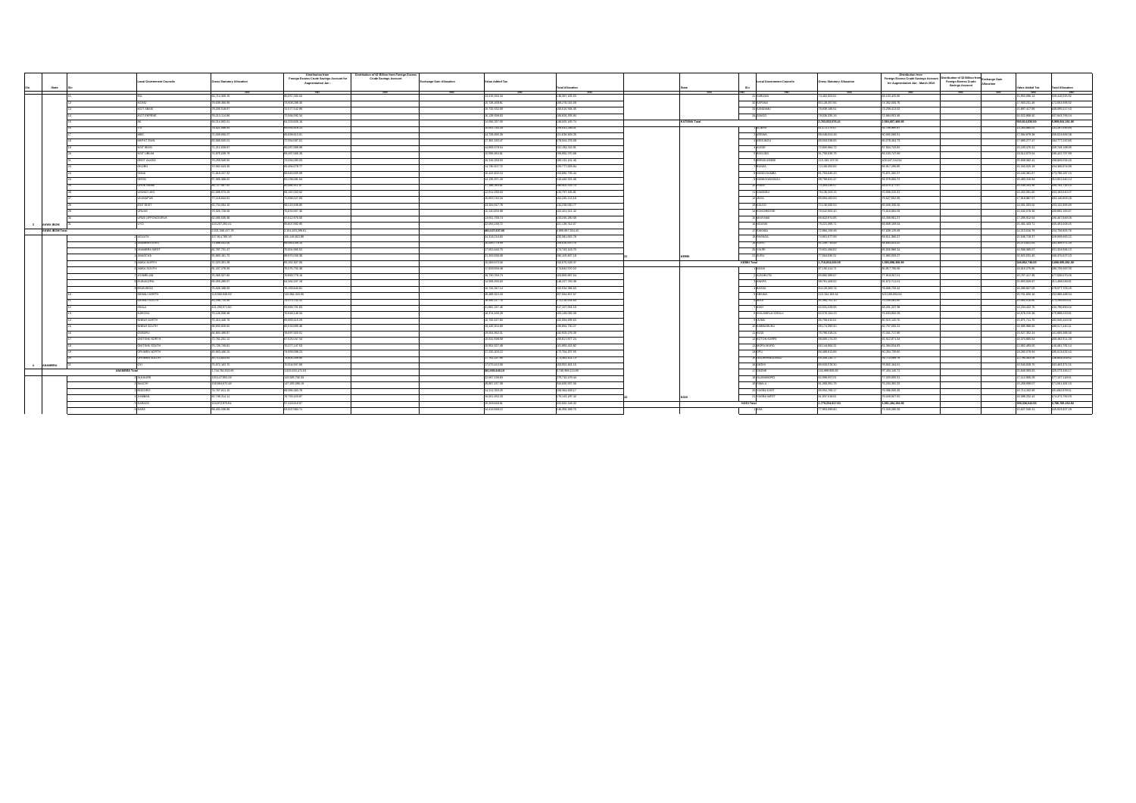|                        |               |                                  |                                   | Distribution from                        | stribution of \$2 Billion from Foreign Exc |                         |                 |                  |                      |                    |                                  |                            | Distribution fro                     |                          |              |                             |                  |
|------------------------|---------------|----------------------------------|-----------------------------------|------------------------------------------|--------------------------------------------|-------------------------|-----------------|------------------|----------------------|--------------------|----------------------------------|----------------------------|--------------------------------------|--------------------------|--------------|-----------------------------|------------------|
|                        |               |                                  |                                   | Foreign Excess Crude Savings Account for | Crude Savings Account                      |                         |                 |                  |                      |                    |                                  |                            | Foreign Excess Crude Savings Account | tribution of \$2 Billion | schange Gain |                             |                  |
|                        |               | <b>Local Government Councils</b> | <b>Gross Statutory Allocation</b> | Augmentation Jan -                       |                                            | schange Gain Allocation | Value Added Tax |                  |                      |                    | <b>Local Government Councils</b> | Gross Statutory Allocation | for Augmentation Jan - March 2010    | Foreign Excess Crude     |              |                             |                  |
| <b>State</b>           |               |                                  |                                   |                                          |                                            |                         |                 | nel Albertalien  |                      | <b>BM</b>          |                                  |                            |                                      | Savings Account          |              | <b>Inform Artified Term</b> | otal Allocation  |
|                        |               |                                  |                                   |                                          |                                            |                         |                 |                  |                      | $\mathbf{H}$       |                                  |                            |                                      |                          |              |                             |                  |
|                        |               |                                  | 64,714,359.15                     | 1057,200.04                              |                                            |                         | 3.615.546.34    | 8.387.105.3      |                      |                    |                                  | 62.003                     | 0.103.425.96                         |                          |              | 5.053.096.14                | 0,418,525.92     |
|                        |               |                                  | 79.639.456.99                     | 3,908,289.30                             |                                            |                         | 5.728.268.01    | 0276.015.09      |                      |                    |                                  | 128,357.66                 | 25.302.006                           |                          |              | 7.563.231.49                | 72,053,595.92    |
|                        |               |                                  | 78,205,518.87                     | 2,577,542.99                             |                                            |                         | 15,732,532.59   | 06,515,594.45    |                      |                    |                                  | 1,939,186.51               | 3,258,413.03                         |                          |              | 5,897,417.99                |                  |
|                        |               | OT ABAS                          |                                   |                                          |                                            |                         |                 |                  |                      |                    |                                  |                            |                                      |                          |              |                             | 8,095,017.53     |
|                        |               | OT EKPENE                        | 78,213,114.86                     | 72,584,592.34                            |                                            |                         | 16,128,598.63   | 166,926,305.84   |                      | 34 2ANGO           |                                  | 536,335.18                 | 72,884,552.46                        |                          |              | 16,522,868.40               | 67,943,756.04    |
|                        |               |                                  | 69,214,902.01                     | 4,233,926.18                             |                                            |                         | 14,556,337.55   | 48,005,165.74    | <b>KATSINA Total</b> |                    |                                  | 63,532,076.4               | 2,564,657,468.95                     |                          |              | 02.303,314,035.59           | 1,909,004,181.95 |
|                        |               |                                  | 74,421,588.54                     | 53,065,919.13                            |                                            |                         | 5,553,740.34    | 0,041,248.01     |                      |                    | <b>LIERS</b>                     | 172,175.67                 | 56,769,985.97                        |                          |              | 13,354,884.02               | 31,297,045.06    |
|                        |               |                                  |                                   |                                          |                                            |                         |                 |                  |                      |                    |                                  |                            |                                      |                          |              |                             |                  |
|                        |               |                                  | 71,009,000.07                     | 05,000,913.91                            |                                            |                         | 14,728,895.36   | 151,636,009.35   |                      |                    | aptwy                            | 83.000,000.                | 90,992,085.51                        |                          |              | 17.584.879.38               | 06,624,909.38    |
|                        |               | <b>INPAT ENIN</b>                | 83,568,505.01                     | 7,554,587.61                             |                                            |                         | 17,381,183.47   | 78,504,276.09    |                      |                    |                                  | 503,538.65                 | 80,278,404.73                        |                          |              | 7,995,277.47                | 54,777,220.85    |
|                        |               | <b>SIT INCAR</b>                 | 71,212,639.87                     | 00.007.008.99                            |                                            |                         | 14,033,678.04   | 152.194.216.91   |                      |                    |                                  | 000 984 72                 | 67,654,743.92                        |                          |              | 15.193.470.31               | 55,749,198.95    |
|                        |               | SIT UBIUM                        | 74,876,039.79                     | 02.487,000.28                            |                                            |                         | 15,596,064.81   | 59,960,370.88    |                      |                    |                                  | 756,936.76                 | 5,153,747.09                         |                          |              | 19.512.073.54               | 96,422,757.99    |
|                        |               | <b>MOTAKARA</b>                  | 79,259,949.90                     | 3,556,093.03                             |                                            |                         | 16,315,058.53   | 20.001110.05     |                      |                    |                                  | 3,193,137.05               | 105,047,314.94                       |                          |              | 20,608,582.41               | 08.020,034.40    |
|                        |               |                                  |                                   |                                          |                                            |                         |                 |                  |                      |                    |                                  |                            |                                      |                          |              |                             |                  |
|                        |               | KODO                             | 70,562,643.35                     | 05,484,678.77                            |                                            |                         | 14,730,507.72   | 50,777,829.84    |                      |                    |                                  | 106,352.82                 | 05,917,295.85                        |                          |              | 15,343,025.19               | 54,306,674.80    |
|                        |               |                                  | 71,818,227.32                     | 6,640,905.99                             |                                            |                         | 5,422,602.13    | 3.890.735.44     |                      |                    |                                  | 754,645.20                 | 75,871,260.27                        |                          |              | 6.160.381.6                 | 73,786,287.15    |
|                        |               | ORON.                            | 67,065,368.62                     | 62,239,081.64                            |                                            |                         | 14,135,871.20   | 43,440,321.46    |                      |                    | <b>OWASAGU</b>                   | 758 522.47                 | 02,579,600.72                        |                          |              | <b>H2 31E ESP-01</b>        | 2,831,540.14     |
|                        |               | MAIK ANAM                        | 86,727,567.92                     | 0,486,311.97                             |                                            |                         | 7,188,345.81    | 84,402,225.70    |                      |                    |                                  | 134,235.57                 | 68,075,377.07                        |                          |              | 15,334,103.49               | 56,763,716.14    |
|                        |               | DUNG UKO                         | 12,099,073.25                     | 58,187,002.02                            |                                            |                         | 12,911,090.53   | 33,797,165.81    |                      |                    |                                  | 135,203.15                 | 0,656,215.31                         |                          |              | 16,402,091.00               | 3.193.510.07     |
|                        |               |                                  |                                   |                                          |                                            |                         |                 |                  |                      |                    |                                  |                            |                                      |                          |              |                             |                  |
|                        |               | <b>KANAFUN</b>                   | 7,118,044.91                      | 71,568,327.93                            |                                            |                         | 15,553,740.34   | 164,240,113.18   |                      |                    |                                  | 094,462.63                 | 79,527,552.99                        |                          |              | 17,918,887.67               | 83, 140, 903.29  |
|                        |               | <b>ISIT EKET</b>                 | 02,734,564.15                     | 58,219,938.85                            |                                            |                         | 13,284,547.78   | 34.239.050.77    |                      |                    | 13 KALGO                         | 2,136,566.53               | 06.945,336.26                        |                          |              | 14,051,053.06               | 53, 132, 965.85  |
|                        |               |                                  | 76,326,728.08                     | 30.132,057.36                            |                                            |                         | 5,240,835.98    | 12,401,521.42    |                      |                    | <b>XOBISS</b>                    | 542,903.40                 | 73,818,684.09                        |                          |              | 530,578.38                  | 0,002,105.07     |
|                        |               | URUE OFFONG/DRUK                 | 62,080,535.38                     | 57,612,976.56                            |                                            |                         | 13,551,768.74   | 33,245,280.68    |                      |                    |                                  | 1,822,974.85               | 83,358,961.27                        |                          |              | 17,285,912.94               | 190,467,549.05   |
|                        |               |                                  |                                   |                                          |                                            |                         |                 |                  |                      |                    |                                  |                            |                                      |                          |              |                             |                  |
| 3 AKWA ISOM            |               |                                  | 103,237,250.41                    | 95,807,892.95                            |                                            |                         | 22,094,168.72   | 21,139,312.07    |                      |                    | <b>CLARK</b>                     | 5.221.395.71               | 69,808,169.04                        |                          |              | 15.461.443.71               | 60,491,008.45    |
| <b>AKWA IBOM Total</b> |               |                                  | 2,321,206,417.76                  | 2,154,163,299.61                         |                                            |                         | 481,527,637.05  | 1,956,897,354.43 |                      |                    |                                  | 884,152.48                 | 07,639,129.49                        |                          |              | 14213.516.79                | 54,736,805.76    |
|                        |               | <b>AGUATA</b>                    | 107.914.785.19                    | 100.148.813.98                           |                                            |                         | 24.318.216.60   | 232.381.815.78   |                      |                    | SHANG                            | 4.901.577.58               | 02:511.366.27                        |                          |              | 5.546.719.37                | 59.959.663.22    |
|                        |               | AMBRA EAST                       | 73,098,042.05                     | 8,580,049.10                             |                                            |                         | 6,548,779.59    | 39,026,870.76    |                      |                    |                                  | 249,718.68                 | 4,683,031.02                         |                          |              | 16,373,821.64               | 192,306,571.35   |
|                        |               | NAMBRA WEST                      | 81,787,731.47                     | 75,901,965.52                            |                                            |                         | 17,053,446.70   | 74,743,143.70    |                      |                    |                                  | 331,494.82                 | 05,826,986.24                        |                          |              | 14,566,005.07               | 51,324,566.13    |
|                        |               |                                  |                                   |                                          |                                            |                         |                 |                  |                      |                    |                                  |                            |                                      |                          |              |                             |                  |
|                        |               | NADCHA                           | 95,869,181.72                     | 88,970,059.38                            |                                            |                         | 21,200,500.08   | 206, 105, 207.18 | <b>TEMPLE</b>        |                    |                                  | 564,936.31                 | 1,983,059.27                         |                          |              | 16,922,631.45               | 66,470,627.03    |
|                        |               | wka north                        | 70,323,351.28                     | 05,202,007.09                            |                                            |                         | 15,089,670.00   | 50,675,628.37    |                      | <b>KEBBI Total</b> |                                  | 716,634,026.55             | 1,593,098,308.95                     |                          |              | 346,052,746.09              | 1,656,585,081.59 |
|                        |               | WKA SOUTH                        | 11,437,278.35                     | 1,576,732.38                             |                                            |                         | 7,828,559.48    | 4,842,570.22     |                      |                    |                                  | 192,414.71                 | 0,917,706.56                         |                          |              | 8,619,275.80                | 86,729,397.06    |
|                        |               | YAMELUM                          | 76,365,327.66                     | 70,869,779.16                            |                                            |                         | 6,730,760.73    | 12.505,007.54    |                      |                    | <b>JAOKUT</b>                    | 3,960,385.67               | 77,918,267.01                        |                          |              | 5,757,417.38                | 7,636,070.05     |
|                        |               | UNUKOFIA                         | 69,355,285.57                     | 64,364,207.19                            |                                            |                         | 4,508,290.63    | 48,227,783.38    |                      |                    |                                  | 781,408.62                 | 1,672,711.01                         |                          |              | 0.951.920.0                 | 1,408,049.61     |
|                        |               |                                  |                                   |                                          |                                            |                         |                 |                  |                      |                    |                                  |                            |                                      |                          |              |                             |                  |
|                        |               | <b>MUSICO</b>                    | 5,626,198.69                      | 70,183,840.81                            |                                            |                         | 16,724,347.14   | 03/03/2016       |                      |                    |                                  | 120,363.74                 | 78,066,732.42                        |                          |              | 6,390,607.09                | 78,577,703.25    |
|                        |               | <b>DEMILI NORTH</b>              | 119.590.548.59                    | 110,984,343.65                           |                                            |                         | 26.489.915.43   | 257.064.007.67   |                      |                    | DEKINA                           | 10.104.183.54              | 102.180.654.64                       |                          |              | 20,701,650.16               | 132,986,488.34   |
|                        |               | JEMILI SOUTH                     | 10,248,714.56                     | 4,473,702.31                             |                                            |                         | 18,496,217.76   | 3,218,634.64     |                      |                    |                                  | 084,761.10                 | 75,249,583.65                        |                          |              | 5,965,518.66                | 2,299,863.41     |
|                        |               | nas a                            | 101,255,571.90                    | 93,969,751.83                            |                                            |                         | 21,881,267.46   | 17.107.591.19    |                      |                    |                                  | 531,229.95                 | 58,031,237.38                        |                          |              | 14 234 422 70               | 34,796,890.02    |
|                        |               | <b>ANDMA</b>                     | 76,126,508.48                     | 70,648,146.34                            |                                            |                         | 16,374,430.28   | 63,149,085.09    |                      |                    | GALAMELA-ODOLU                   | 2,576,154.23               | 76,633,650.29                        |                          |              | 16,678,215.39               | 75,888,019.91    |
|                        |               |                                  |                                   |                                          |                                            |                         |                 |                  |                      |                    |                                  |                            |                                      |                          |              |                             |                  |
|                        |               | INFIM NOPTH                      | 75.410.446.78                     | 03.003.615.25                            |                                            |                         | 16.700.627.60   | F3 004 689 63    |                      |                    |                                  | 758.610.61                 | 0.515.120.70                         |                          |              | 5.671.711.75                | 02:045.443.05    |
|                        |               | NEWI SOUTH                       | 88,933,929.90                     | 2,533,895.48                             |                                            |                         | 19,426,904.89   | 10,094,730.27    |                      |                    | ADDA/DUNL                        | 174,395.50                 | 2,757,056.23                         |                          |              | 16.585.988.68               | 88.517.440.41    |
|                        |               | GBARU                            | 84,800,496.87                     | 78,697,920.51                            |                                            |                         | 19,004,862.01   | 82,503,279.39    |                      |                    |                                  | 796,318.24                 | 70,341,717.89                        |                          |              | 15,527,352.24               | 30.005,355.35    |
|                        |               | <b>NITSHA NORTH</b>              | 72,761,231.12                     | 7,525,047.54                             |                                            |                         | 15,531,598.59   | 55,817,877.24    |                      |                    | <b>TON KARTE</b>                 | 009,174.29                 | 01,512,871.34                        |                          |              | 18,370,865.64               | 08,492,911.28    |
|                        |               | NITSHA SOUTH                     | 75,726,740.81                     | 70,277,147.53                            |                                            |                         | 15,951,527.48   | 161,955,415.82   |                      |                    | <b>MOPA-MURO</b>                 | 144,054.31                 | 01,384,634.83                        |                          |              | 12,952,493.00               | 40,481,792.14    |
|                        |               |                                  |                                   |                                          |                                            |                         |                 |                  |                      |                    |                                  |                            |                                      |                          |              |                             |                  |
|                        |               | <b>CRUMBA NORTH</b>              | 80,053,446.20                     | 74,858,588.23                            |                                            |                         | 17,232,203.12   | 72.754.237.55    |                      |                    |                                  | 88.013.00                  | 80,264,739.60                        |                          |              | 18.260.078.94               | 85,013,632.42    |
|                        |               | RUMBA SOUTH                      | 0,713,833.92                      | 4,905,349.85                             |                                            |                         | 7,762,237.95    | 3,381,421.73     |                      |                    | 6.MAGONGI                        | 36,116.77                  | 59,714,589.79                        |                          |              | 12,794,303.06               | 36,854,009.62    |
| ANAMERA                |               |                                  | 75,972,162.70                     | 0,504,907.89                             |                                            |                         | 17,075,410.56   | 63,552,481.15    |                      |                    |                                  | 020,578.30                 | 78,902,164.01                        |                          |              | 18,540,628.70               | 102,463,371.01   |
|                        | ANAMBRA Total |                                  | 1,744,781,813.80                  | 1,619,220,471.03                         |                                            |                         | 381.995.840.10  | 1.745.998.124.93 |                      |                    | KENE                             | 04.989.609.83              | 97.434.145.71                        |                          |              | 22 842 523 53               | 25,273,349.17    |
|                        |               |                                  |                                   | 23,565,730.33                            |                                            |                         |                 |                  |                      |                    |                                  |                            |                                      |                          |              |                             |                  |
|                        |               | LKALERI                          | 133,147,550.28                    |                                          |                                            |                         | 22,997,198.83   | 79,710,479.44    |                      |                    | <b>IL AMARCO</b>                 | 998557.01                  | 7,025,055.31                         |                          |              | 7.112.906.29                | 1,137,118.61     |
|                        |               | <b>AUCH</b>                      | 58.684.670.48                     | 147.205.099.19                           |                                            |                         | 28.887.167.38   | 34.836.937.06    |                      |                    | CIMALA                           | 068391.76                  | 75,234,392.32                        |                          |              | 5.258.698.07                | 71,561,482.15    |
|                        |               |                                  | 14,767,011.15                     | 3,386,483.78                             |                                            |                         | 211,333,2       | 8,364,828        |                      |                    |                                  | 552,769                    | 9,396,056.35                         |                          |              | ,714,152.99                 | ,662,978.5       |
|                        |               | <b>AMBAN</b>                     | 82,748,314.11                     | 76,793,420.87                            |                                            |                         | 16,001,452.43   | 76,143,187.42    |                      |                    | AGBA WES                         | 337.016.61                 | 76,040,507.52                        |                          |              | 16.396.232.42               | 74,373,756.55    |
|                        |               | ARAZI                            | 104,972,879.84                    | 07,418,619.67                            |                                            |                         | 20,208,648.81   | 22,000,148.32    |                      | KOGI Total         |                                  | 779,234,917.83             | 1,051,194,194.56                     |                          |              | 356,336,042.55              | 3,786,765,154.94 |
|                        |               |                                  | 68,432,236.88                     |                                          |                                            |                         |                 | 146,356,389.70   |                      |                    |                                  | 08.203.025                 |                                      |                          |              |                             |                  |
|                        |               | AS5                              |                                   | 63,507,584.71                            |                                            |                         | 14,416,568.12   |                  |                      |                    |                                  |                            | 72,343,285.28                        |                          |              | 15,627,546.21               | (5,923,927.28)   |
|                        |               |                                  |                                   |                                          |                                            |                         |                 |                  |                      |                    |                                  |                            |                                      |                          |              |                             |                  |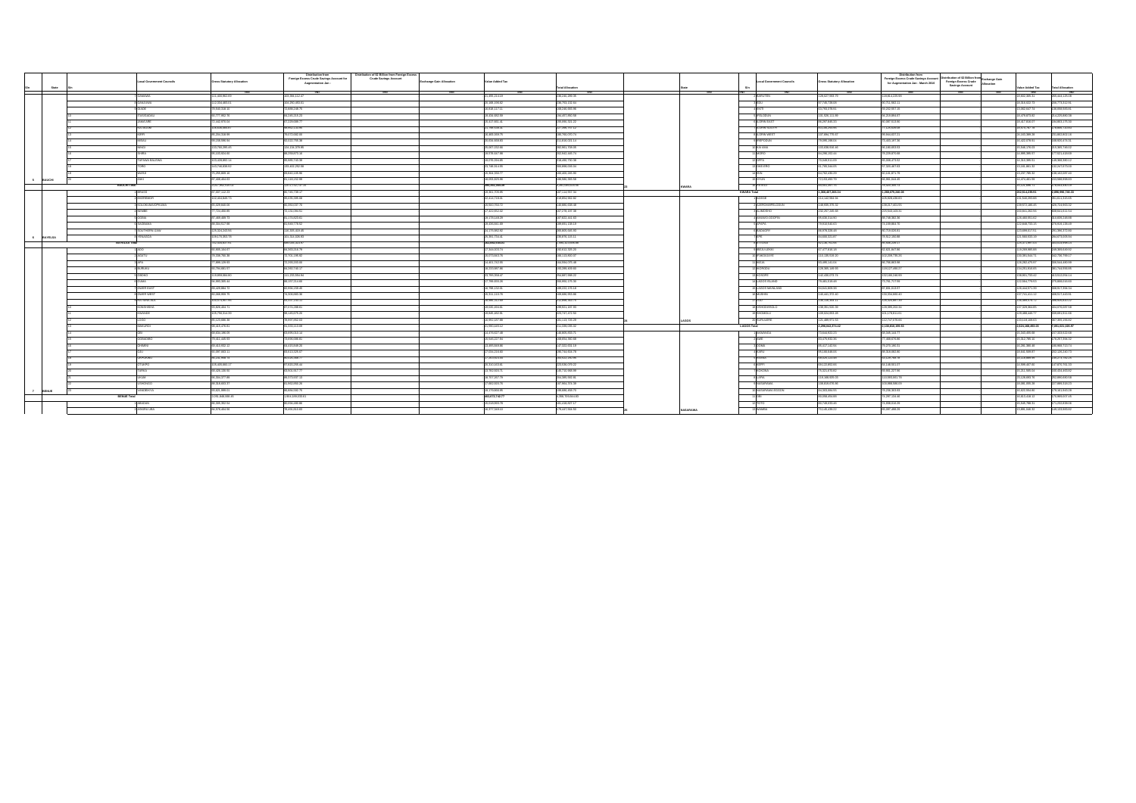|                  |                      |                          |                              | Distribution from                        | Xatribution of \$2 Billion from Foreign Exces |                         |                          |                               |       |                    |                          |                           | <b>Clatribution from</b>             | stribution of \$2 Billion from |              |                            |                               |
|------------------|----------------------|--------------------------|------------------------------|------------------------------------------|-----------------------------------------------|-------------------------|--------------------------|-------------------------------|-------|--------------------|--------------------------|---------------------------|--------------------------------------|--------------------------------|--------------|----------------------------|-------------------------------|
|                  |                      | ocal Government Councils | ross Statutory Allocation    | Foreign Excess Crude Savings Account for | Crude Savings Account                         | schange Gain Allocation | staT babbA sula          |                               |       |                    | ocal Government Councils | toss Statutory Allocation | Foreign Excess Crude Savings Account | Foreign Excess Crude           | achange Gain |                            |                               |
|                  |                      |                          |                              | Augmentation Jan -                       |                                               |                         |                          |                               |       |                    |                          |                           | for Augmentation Jan - March 2010    | <b>Savings Account</b>         | noites       |                            |                               |
| State            |                      |                          |                              |                                          |                                               |                         |                          | tal Allocation                |       |                    |                          |                           |                                      |                                |              | due Added Tax              | otal Allocation               |
|                  |                      |                          | 11,400,962.69                | 03,384,112.47                            |                                               |                         | 455,214.19               | 5,240,289.35                  |       |                    |                          | 1,027,593.79              | 118,814,225.98                       | <b>AND</b>                     |              | 1,602,305.31               | $  -$<br>35,444,125.08        |
|                  |                      | <b>ANJUWA</b>            | 12,334,483.01                | 04,250,453.01                            |                                               |                         | 168,196.62               | 236,753,132.64                |       |                    |                          | 745,728.08                | 0,711,562.11                         |                                |              | 8,316,022.73               | 06,773,312.91                 |
|                  |                      |                          |                              |                                          |                                               |                         |                          |                               |       |                    |                          |                           |                                      |                                |              |                            |                               |
|                  |                      | <b>GIADE</b>             | 18,540,318.10                | 72,888,248.75                            |                                               |                         | 16,818,117.11            | 02.023,045,03                 |       |                    |                          | 1,793,378.91              | 59,202,557.15                        |                                |              | 3,062,647.74               | 36,058,583.81                 |
|                  |                      | <b>TAS/GADAU</b>         | 10,777,952.76                | 84,245,215.23                            |                                               |                         | 10.434.682.59            | 194.457.850.58                |       |                    | ELODUN                   | 1,526,111.89              | 04:219.004.07                        |                                |              | 18.479.873.82              | 14:225.880.38                 |
|                  |                      | <b>AMA'AR</b>            | 2,442,970.04                 | 7,229,689.77                             |                                               |                         | 5,417,661.41             | 5,090,321.22                  |       |                    |                          | 207,845.33                | 80,087,513.90                        |                                |              | 8,417,816.07               | 84,803,175.30                 |
|                  |                      | TAGUM                    | 106,636,084.87               | 08, 062, 133.95                          |                                               |                         | 10.020.021.11            | 27,396,757.12                 |       |                    | OBIN SOUTH               | 32.503.301                | 77,125,639.08                        |                                |              | 18,574,787.78              | 78,806,720.83                 |
|                  |                      |                          | 85,204,318.99                | 79,072,682.00                            |                                               |                         | 16.483.009.75            | 180,760,070.74                |       |                    | LORIN WEST               | 07,694,775.67             | 99,944,637.21                        |                                |              | 24.163.389.28              | 231,802,802.16                |
|                  |                      | <b>ISAU</b>              | 10,158,596.94                | 2,022,755.38                             |                                               |                         | 634,668,83               | 11,816,021.14                 |       |                    |                          | 095,198.04                | 73,403,197.36                        |                                |              | 6,422,078.91               | 08,920,474.31                 |
|                  |                      | anga                     | 133,760,295.45               | 124, 134, 379.95                         |                                               |                         | 25.067.032.66            | 20.001,708.05                 |       |                    | <b>ORKAI AMA</b>         | 3,638,916.46              | 96,180,653.53                        |                                |              | 5.546.176.03               | 15,365,746.02                 |
|                  |                      |                          | 5, 103, 224.60               | 8,259,873.16                             |                                               |                         | 578,647.98               | 2,942,445.74                  |       |                    |                          | 296,152.44                | 78,229,870.68                        |                                |              | 095,395.57                 | 7,521,418.69                  |
|                  |                      | AFAWA BALEWA             | 03,428,892.14                | 05, 085, 743.39                          |                                               |                         | 9,076,094.85             | 18,490,730.38                 |       |                    |                          | 042511.09                 | 05,008,473.52                        |                                |              | 14,310,325.51              | 49,368,380.12                 |
|                  |                      |                          | 43,746,838.92                | 33,402,252.58                            |                                               |                         | 3,748,914.55             | 10.300,000,00                 |       |                    | <b>KE-ER</b>             | 20.000.201                | 57,320,467.63                        |                                |              | 3,161,861.32               | 32,247,673.00                 |
|                  |                      |                          | 5,255,809.16                 | 0,840,105.96                             |                                               |                         | 304330.77                | 10,400,245.90                 |       |                    |                          | 762,430.29                | 60,101,871.79                        |                                |              | 3,237,785.32               | 38,102,087.40                 |
|                  |                      |                          | 2,408,404.63                 | 1,118,152.99                             |                                               |                         | 053,825.96               | 86,580,383.58                 |       |                    |                          | 153,492.79                | 06.961,044.45                        |                                |              | 4,474,461.59               | 3,588,998.83                  |
| UCHI             |                      |                          |                              |                                          |                                               |                         |                          |                               |       |                    |                          |                           |                                      |                                |              |                            |                               |
|                  | BAUCHI Total         |                          | 1,017,952,515.02             | 872,732,737.15                           |                                               |                         | 020,361,364.39           | 331,046,616.56                | KWAPA |                    | <b>PATE GI</b>           | 501,397.75                | 78,420,345.73                        |                                |              | 121,696.71                 | 8,043,440.19                  |
|                  |                      |                          | 7,007,112.23                 | 0,745,739.17                             |                                               |                         | 9,361,705.95             | 17,114,557.34                 |       | <b>KWARA Total</b> |                          | 366,407,266.34            | 1,268,075,240.08                     |                                |              | 262,514,239.91             | 2,006,006,746.33              |
|                  |                      | <b>SOMERS</b>            | 02,404,849.73                | 5,035,395.08                             |                                               |                         | 2,414,718.01             | 9,854,962.82                  |       |                    |                          | (142,584.94)              | 105,928,435.83                       |                                |              | 1,540,293.88               | 51,611,315.65                 |
|                  |                      | KOLOKUMA/OPKUMA          | 15,029,840.06                | 0,350,037.70                             |                                               |                         | 15,500,760.72            | 140,880,638.48                |       |                    | <b>AJEROMMPELODUN</b>    | 148,935,375.32            | 138,217,401.55                       |                                |              | 39,572,186.45              | 26,724,963.32                 |
|                  |                      |                          | 7,724,450.85                 | 2,131,094.51                             |                                               |                         | 422,652.02               | 17,278,197.38                 |       |                    | LIMOSHO                  | 12,257,245.58             | 215,543,103.31                       |                                |              | 10,841,262.56              | 0,641,611.54                  |
|                  |                      | YONIA                    | 17,450,459.73                | 1,174,823.61                             |                                               |                         | 9,178,148.29             | 87,822,441.63                 |       |                    | UWO-ODOFIN               | 02.314.90                 | 88,748,382.36                        |                                |              | 26,460,551.62              | 0,839,248.88                  |
|                  |                      | <b>SACRAMA</b>           | 88,304,517.98                | 81,949,778.52                            |                                               |                         | 12.435.841.02            | 189,091,138.19                |       |                    | DADA.                    | 1,910,540.83              | 74,159,864.70                        |                                |              | 22,548,733.15              | 176,919,138.49                |
|                  |                      | <b>DUTHERN LIAW</b>      | 25,324,243.55                | 116,305,419.45                           |                                               |                         | 24,175,982.92            | 65,805,645.93                 |       |                    |                          | 378,328.48                | 10,719,026.81                        |                                |              | 1,629,017.51               | 191,396,372.80                |
| <b>6</b> BAYELSA |                      | MAGOA                    | 09,170,353.78                | 01,314,026.93                            |                                               |                         | 391.734.41               | 35.876.115.11                 |       |                    |                          | 600,321.87                | 78,512,150.88                        |                                |              | 11,560,533.19              | 84,673,005.94                 |
|                  | <b>BAYELSA Total</b> |                          | 742,434,837.91               | 022006314.97                             |                                               |                         | 162.882.544.01           | 594 323 596 58                |       |                    | ETI-OSA                  | 22,136,761.94             | 85.506.239.17                        |                                |              | 25.371.997.03              | 03.014.998.14                 |
|                  |                      |                          |                              |                                          |                                               |                         |                          |                               |       |                    |                          |                           |                                      |                                |              |                            |                               |
|                  |                      |                          | 0,905,104.57                 | 84,383,216.79                            |                                               |                         | 344,003.74               | 12,612,325.20                 |       |                    | <b>BEJU-LEKK</b>         | 57,477,816.18             | 02,621,847.86                        |                                |              | 19,209,985.88              | 149,369,649.92                |
|                  |                      |                          | 78,338,700.35                | 72,701,195.92                            |                                               |                         | 5.073.843.76             | 66.113.800.07                 |       |                    | <b>AKO/LIAY</b>          | 0,135,519.20              | 102,209,735.26                       |                                |              | 30,391,544.71              | 42,736,799.17                 |
|                  |                      |                          | 7,899,129.93                 | 72,293,203.00                            |                                               |                         | 4,401,742.55             | 164,594,075.48                |       |                    |                          | 495,141.04                | 86,766,853.98                        |                                |              | 26,282,475.97              | 06,544,480.99                 |
|                  |                      | <b>BURUKU</b>            | 0.794.681.57                 | 84,260,740.17                            |                                               |                         | 8.233.987.00             | 3.289.409.60                  |       |                    | KOROC                    | 28,365,149.93             | 119,127,490.27                       |                                |              | 4251.916.05                | 81.744.556.85                 |
|                  |                      | 00000                    | 19,859,084.80                | 1,233,554.94                             |                                               |                         | 3,795,358.47             | 14,887,998.22                 |       |                    | osor                     | 2,430,073.74              | 132,180,245.99                       |                                |              | 18,901,733.42              | 3,512,054.14                  |
|                  |                      |                          | 1.993.305.44                 | 8,157,214.60                             |                                               |                         | 799.655.26               | 0.950.175.30                  |       |                    | 4GOS 15LAN               | ,481,519.48               | 73,761,717.59                        |                                |              |                            | 5,808,016.60                  |
|                  |                      | WER EAST                 | 19,429,884.72                | 2,994,159.45                             |                                               |                         | 16,798,132.01            | 19,222,176.18                 |       |                    | AGOS MAINLAND            | 80.000.143.               | 87,831,013.57                        |                                |              | 15,444,571.39              | 00,917,394.34                 |
|                  |                      | <b>WER WEST</b>          | 0,068,959.75                 | 30.088,303.30                            |                                               |                         | 311,110.76               | 00.000,053.00                 |       |                    |                          | 40,441,372.40             | 130,334,660.40                       |                                |              | 37,741,411.12              | 08,517,443.91                 |
|                  |                      | CATSINA ALA              | 00,574,907.96                | 0,337,143.11                             |                                               |                         | 8,986,312.69             | 2,098,363.75                  |       |                    |                          | 136,116,354.11            | 126,320,887.39                       |                                |              | 16,489,578.72              | 198,926,820.22                |
|                  |                      | <b>AHRING</b>            | 3,826,404.71                 | 7,074,288.61                             |                                               |                         | 020,494.61               | 10,921,187.93                 |       |                    |                          | 38,351,520.39             | 128,395,202.34                       |                                |              | 7,329,354.85               | 4,076,087.58                  |
|                  |                      | <b>ANDE</b>              | 05,756,314.39                | 08,145,675.20                            |                                               |                         | 9,545,482.91             | 13,747,472.50                 |       |                    |                          | 0,024,653.28              | 101,178,811.61                       |                                |              | 29,455,446.77              | 33,091,911.66                 |
|                  |                      |                          | 5,123,686.38                 | 78,997,852.03                            |                                               |                         | 1,932,187.88             | 11,113,726.29                 |       |                    |                          | 1,409,971.53              | 112,747,076.66                       |                                |              | 13,118,108.63              | 07,355,156.82                 |
|                  |                      | AKUROL                   | 10,415,476.81                |                                          |                                               |                         |                          |                               | LAGOS |                    |                          | 296,042,374.42            | 2,130,810,159.53                     |                                |              |                            | ,051,021,026.97               |
|                  |                      |                          |                              | 1,333,113.09                             |                                               |                         | 590,445.12               | 1,339,035.02                  |       | LAGOS Total        |                          |                           |                                      |                                |              | 2,624,168,493.03           |                               |
|                  |                      |                          | 68,634,196.09                | 3,655,010.14                             |                                               |                         | 14,476,627.48            | 146,805,833.71                |       |                    | manarsa                  | 644,922.23                | 08,345,144.77                        |                                |              | 5,343,455.68               | 57,333,522.68                 |
|                  |                      | <b>GEADIDO</b>           | 9,411,445.93                 | 18.353,003,0                             |                                               |                         | 546,227.94               | 83.030, 859, 8                |       |                    |                          | 1,475,932.36              | 77,468,676.86                        |                                |              | 5,312,785.10               | 16,257,394.32                 |
|                  |                      | MINK                     | 69,410,932.12                | 54,415,849.20                            |                                               |                         | 3,425,542.00             | 47,322,631.19                 |       |                    |                          | 5,417,142.94              | 79,270,190.31                        |                                |              | 16,201,300.40              | 80,968,713.74                 |
|                  |                      |                          |                              |                                          |                                               |                         |                          |                               |       |                    |                          |                           |                                      |                                |              | 8.641.509.87               | 02,126,240.73                 |
|                  |                      |                          | 0.097.053.11                 | 3613325.07                               |                                               |                         | 034,216.00               | 0.744.004.78                  |       |                    |                          | 100 040 00                | 88,318,082.80                        |                                |              |                            |                               |
|                  |                      | <b><i>CKPCKWU</i></b>    | 16,231,958.74                | 0,026,368.77                             |                                               |                         | 263.923.44               | 13,522,250.95                 |       |                    | <b>TANA</b>              | 025.123.48                | 63,129,768.78                        |                                |              | 4.118.889.99               | 45,273,782.25                 |
|                  |                      | TUKPO                    | 05,405,660.17                | 7,820,255.44                             |                                               |                         | 310.163.61               | 1536.079.22                   |       |                    |                          | 122,852.66                | 64,148,501.07                        |                                |              | 4,599,407.60               | 47,870,761.33                 |
|                  |                      | AJRIKA                   |                              |                                          |                                               |                         | 3.782.920.71             |                               |       |                    | <b>DKDN</b>              |                           |                                      |                                |              |                            |                               |
|                  |                      | KUM                      | 68,426,130.50                | 3,501,917.77                             |                                               |                         |                          | 45,710,958.99                 |       |                    |                          | 1321,670.82               | £9,901,227.96                        |                                |              | 15,211,565.04              | 00,434,463.82                 |
|                  |                      |                          | 6,304,377.89                 | 03,373,937.13                            |                                               |                         | 18,707,267.79            | 04,385,582.81                 |       |                    |                          | 13,168,925.03             | 10,593,061.78                        |                                |              | 1,128,693.76               | 152,090,080.58                |
|                  |                      | <b>HONGO</b>             | 18,318,603.37                | 1,962,850.26                             |                                               |                         | 7,682,920.76             | 187,964,374.39                |       |                    |                          | 8.019,676.86              | 100,988,586.09                       |                                |              | 18,081,055.28              | 27,889,318.23                 |
|                  |                      | NDEIKY                   | 1,621,999.0                  | 6,884,592.75                             |                                               |                         | 179,006.95               | 0,686,458.70                  |       |                    |                          | 303,084.5                 | 18,236,303.93                        |                                |              | 022,554.80                 | 79,161,943.28                 |
|                  | <b>BENUE Total</b>   |                          | 1.051.848.068.45             | 904.189.033.61                           |                                               |                         | 02.672.742.7             | 58,709,844.83                 |       |                    |                          | 058.454.88                | 74,297,134.46                        |                                |              | 5513-418.12                | 0.969.007.45                  |
|                  |                      | <b>JORA UBA</b>          | 6,305,352.54<br>4,578,404.56 | 38.033.400.0<br>78,491,810.83            |                                               |                         | 018,993.78<br>377,349.10 | 11,418,827.13<br>9,447,564.50 |       |                    |                          | 749,033.40<br>145,439.22  | 74,938,016.29<br>5,007,498.29        |                                |              | 545,788.31<br>1,091,046.32 | 1,232,838.06<br>49,133,983.82 |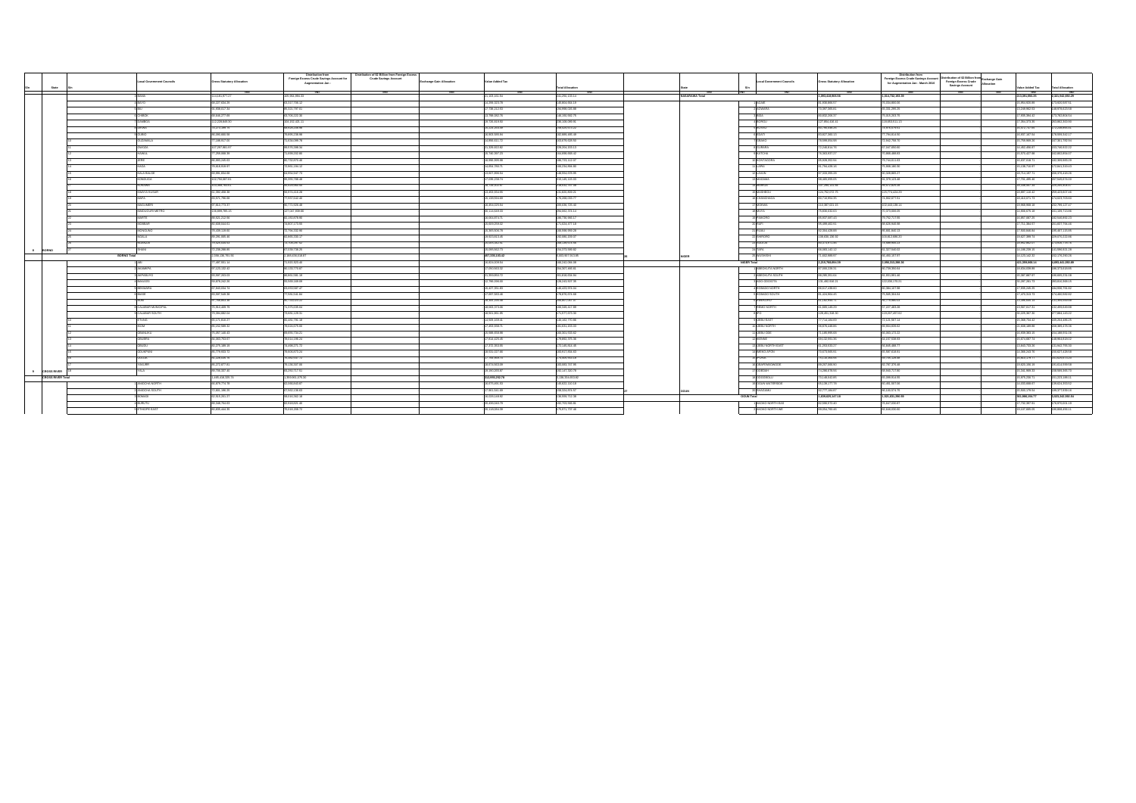|        |                          |                    |                                  |                                   | Distribution from                        | stribution of \$2 Billion from Foreign Exces |                         |                |                 |                      |                    |                          |                                   | Distribution from                    | tetribution of \$2 Billion from                |              |                |                         |
|--------|--------------------------|--------------------|----------------------------------|-----------------------------------|------------------------------------------|----------------------------------------------|-------------------------|----------------|-----------------|----------------------|--------------------|--------------------------|-----------------------------------|--------------------------------------|------------------------------------------------|--------------|----------------|-------------------------|
|        |                          |                    |                                  |                                   | Foreign Excess Crude Savings Account for | Crude Savings Account                        |                         |                |                 |                      |                    |                          |                                   | Foreign Excess Crude Savings Account |                                                | achange Gain |                |                         |
|        |                          |                    | <b>Local Government Councils</b> | <b>Iross Statutory Allocation</b> | Augmentation Jan -                       |                                              | schange Gain Allocation | slue Added Tax |                 |                      |                    | ocal Government Councils | <b>Gross Statutory Allocation</b> | for Augmentation Jan - March 2010    | Foreign Excess Crude<br><b>Savings Account</b> | ration.      |                |                         |
|        | State                    |                    |                                  |                                   |                                          |                                              |                         |                | otal Allocation |                      |                    |                          |                                   |                                      |                                                |              | alue Added Tax | tal Allocation          |
|        |                          |                    |                                  | 14,181,977.27                     | 105,954,994.33                           |                                              |                         | 1,103,161.54   | 1,250,133.14    | <b>ASARAWA Total</b> | - 5                | <b>SING</b>              | 32.338,818,000                    | 1,014,732,193.39                     | <b>AND</b>                                     |              | 13,391,550.35  | nNs<br>2,321,542,650.29 |
|        |                          |                    |                                  |                                   |                                          |                                              |                         |                |                 |                      |                    |                          |                                   |                                      |                                                |              |                |                         |
|        |                          |                    |                                  | 8,227,634.29                      | 63,317,706.12                            |                                              |                         | 4,259,323.78   | 45,804,664.19   |                      |                    |                          | 330,000.57                        | 30.008,820.00                        |                                                |              | 1,954,920.89   | 3,920,587.51            |
|        |                          |                    |                                  | 91,938,017.34                     | 85,321,797.01                            |                                              |                         | 7,738,212.53   | 194,998,026.88  |                      |                    |                          | 18.230,190,01                     | 25,331,295.25                        |                                                |              | 1,249,952.53   | 48,978,623.58           |
|        |                          |                    | HIDOK                            | 68,646,277.69                     | 63,706,222.30                            |                                              |                         | 13,798,082.76  | 146,150,582.75  |                      |                    |                          | 10.832.206.37                     | 5.015.203.75                         |                                                |              | 7.935.394.42   | 3.782.804.54            |
|        |                          |                    |                                  | 2,228,849.30                      | 104,152,421.11                           |                                              |                         | 9,726,819.50   | 10.000,000.30   |                      |                    |                          | 27.054,416.41                     | 18,653,511.13                        |                                                |              | 7,354,373.35   | 63,862,300.90           |
|        |                          |                    |                                  | 74,273,199.75                     | 08.028.208.98                            |                                              |                         | 15,224,264.49  | 58,425,673.22   |                      |                    |                          | 3,790,048.26                      | 14,976,079.51                        |                                                |              | 6,472,737.65   | 72,238,865.41           |
|        |                          |                    | CIBIC                            | 85,090,000.58                     | 79,895,238.98                            |                                              |                         | 16,903,585.94  | 182,589,485.49  |                      |                    |                          | 13,827,360.13                     | 7,794,814.50                         |                                                |              | 6,937,167.54   | 78,559,342.17           |
|        |                          |                    | <b>CAMALA</b>                    | 188,917.00                        | 71,634,000.78                            |                                              |                         | 14,856,611.72  | 13,679,628.50   |                      |                    |                          | 0.522.054.98                      | 2,942,758.70                         |                                                |              | 759,969.26     | 167,301,782.94          |
|        |                          |                    |                                  | 07,297,981.97                     | 99,576,398.34                            |                                              |                         | 1,329,822.82   | 28,204,203.13   |                      |                    |                          | 2,246,814.76                      | 7,047,050.00                         |                                                |              | 452,456.87     | 3,746,922.22            |
|        |                          |                    | OZA                              |                                   |                                          |                                              |                         |                |                 |                      |                    |                          |                                   |                                      |                                                |              |                |                         |
|        |                          |                    | <b>WUL</b>                       | (259,068.39                       | 71,699,202.80                            |                                              |                         | 5,740,397.23   | 64,038,068.42   |                      |                    | итсни                    | 0.363,937.27                      | 0,868,488.83                         |                                                |              | 570,427.98     | 02,002,054.07           |
|        |                          |                    |                                  | 16,993,245.63                     | 80,732,870.46                            |                                              |                         | 18,996,995.98  | 86,723,112.07   |                      |                    | <b>INTAGOR</b>           | 5,928,352.94                      | 9,744,611.63                         |                                                |              | 1,637,018.71   | 182,309,983.29          |
|        |                          |                    | AGA.                             | 78,618,919.97                     | 72,961,194.12                            |                                              |                         | 14,054,780.71  | 08.0234.024.00  |                      |                    |                          | 1,794,428.16                      | 75,908,180.30                        |                                                |              | 5,138,710.97   | 72,841,319.43           |
|        |                          |                    | ALA BALGE                        | 0,991,834.68                      | 64.954.947.73                            |                                              |                         | 3,607,896.54   | 6,554,678.95    |                      |                    |                          | 200,000.28                        | 0,328,865.27                         |                                                |              | 1,714,197.71   | 06,376,418.26           |
|        |                          |                    | DUGA                             | 2,750,087.81                      | 25,355,788.48                            |                                              |                         | 039,238.74     | 5,145,115.03    |                      |                    |                          | 83,055,056.05                     | 1,379,123.48                         |                                                |              | 701,495.46     | 7,545,674.00            |
|        |                          |                    |                                  | 03,368,783.61                     | 25,229,960.50                            |                                              |                         | 18,734,002.97  | 18,032,747.08   |                      |                    |                          | 07,294,131.84                     | 0,572,825.28                         |                                                |              | 8,338,447.34   | 225, 205, 404.47        |
|        |                          |                    | <b>TAYA KUSAR</b>                | 1,392,458.38                      | 56,974,416.28                            |                                              |                         | 3,453,934.55   | 31,820,809.21   |                      |                    | <b>IASHEG</b>            | 14,752,072.75                     | 15,774,424.29                        |                                                |              | 8,897,110.42   | 10,423,607.46           |
|        |                          |                    |                                  | 13,571,796.68                     | 77,557,642.40                            |                                              |                         | 5,138,594.69   | 76,268,033.77   |                      |                    |                          | 1,710,954.35                      | 14,902,677.51                        |                                                |              | 410.071.73     | 14,023,703.60           |
|        |                          |                    |                                  |                                   |                                          |                                              |                         |                |                 |                      |                    |                          |                                   |                                      |                                                |              |                |                         |
|        |                          |                    | <b>AGUMERI</b>                   | 97,810,773.37                     | 20,771,925.48                            |                                              |                         | 16,454,025.54  | 05.036.725.40   |                      |                    |                          | 110,387,021.15                    | 102,443,138.14                       |                                                |              | 10.068.068.18  | 232,799,127.47          |
|        |                          |                    | <b>CATINIMIST RO</b>             | 36,899,785.15                     | 127,047,939.66                           |                                              |                         | 0.093.33       | 94,052,374.14   |                      |                    |                          | 830,032.63                        | 0,373,006.05                         |                                                |              | 4,906,675.18   | 61,109,713.86           |
|        |                          |                    | <b>MRTE</b>                      | 18,521,212.56                     | 82,150,878.90                            |                                              |                         | 15,054,874.71  | 186,736,955.17  |                      |                    | PAIKORO                  | 15,937,087.43                     | 19,752,717.55                        |                                                |              | 16,857,087.25  | 182,546,892.23          |
|        |                          |                    | DBBA                             | 13.990,000,00                     | 74,807,173.55                            |                                              |                         | 15,009,259.02  | 1,024,477.18    |                      |                    |                          | 5,420,462.91                      | 88,626,946.98                        |                                                |              | 711,384.57     | 01,837,724.46           |
|        |                          |                    | ONGUNO                           | 63.439,119.50                     | 72,794,332.90                            |                                              |                         | 15,305,506.78  | 66,598,959.28   |                      |                    |                          | 2.304.428.88                      | 15,661,840.13                        |                                                |              | 500 846 84     | 125.467.115.85          |
|        |                          |                    |                                  | 0,291,065.46                      | 82,865,330.17                            |                                              |                         | 0,923,813.45   | 12,080,209.07   |                      |                    |                          | 08,630,136.92                     | 00,812,686.20                        |                                                |              | 1527.300.74    | 0.070.222.06            |
|        |                          |                    |                                  | 425,034.53                        | 73,709,297.52                            |                                              |                         | 005,342.51     | 68,139,674.56   |                      |                    |                          | 3,373,971.46                      | 14,589,945.23                        |                                                |              | 8,952,862.07   | 13,916,778.76           |
|        |                          |                    |                                  |                                   |                                          |                                              |                         |                |                 |                      |                    |                          |                                   |                                      |                                                |              |                |                         |
| $\sim$ | <b>DIRROS</b>            |                    |                                  | 2,238,288.85                      | 67,039,738.25                            |                                              |                         | 5,095,562.73   | 54,373,589.82   |                      |                    |                          | 083,142.12                        | 1,327,540.02                         |                                                |              | 106,239.15     | 41,596,921.28           |
|        |                          | <b>BORNO Total</b> |                                  | 2,358,136,791.56                  | 2,188,436,018.87                         |                                              |                         | 457,335,103.42 | 003,907,913.85  | NAGER                |                    |                          | 1,602,989.97                      | 15,450,157.97                        |                                                |              | 1,123,142.32   | 52,176,290.26           |
|        |                          |                    |                                  | 77,497,551.14                     | 71,920,523.40                            |                                              |                         | 16,824,009.54  | 166,242,054.08  |                      | <b>NIGER Total</b> |                          | 2,215,768,694.39                  | 2,056,313,288.36                     |                                                |              | 421,359,068.14 | 4,033,441,050.09        |
|        |                          |                    |                                  | 1,123,132.42                      | 90,133,770.87                            |                                              |                         | 050,563.32     | 04,307,466.61   |                      |                    | <b>IOKUTA NORTH</b>      | 00022831                          | 10,739,350.64                        |                                                |              | 634,039.89     | 86,373,618.85           |
|        |                          |                    | CPABUYO                          | 93,597,203.03                     | 86,861,581.19                            |                                              |                         | 21,359,850.72  | 101,818,634.94  |                      |                    | EOKUTA SOUTH             | 18,205,351.64                     | 81,931,991.46                        |                                                |              | 20,387,887.97  | 0,005,231.08            |
|        |                          |                    |                                  | 0,878,242.26                      | 55,569,169.09                            |                                              |                         | 2,796,096.00   | 8,243,507.35    |                      |                    |                          | 1,492,916.21                      | 22,030,170.21                        |                                                |              | 207,201.73     | 83,810,368.15           |
|        |                          |                    | KWARA                            | 67,943,034.74                     | 63,053,587.47                            |                                              |                         | 15,427,351.83  | 46,423,974.04   |                      |                    | <b>IADO NORTH</b>        | 6,617,438.60                      | 80,384,107.98                        |                                                |              | 7,935,245.25   | 84,936,791.82           |
|        |                          |                    |                                  | 3,597,549.38                      | 77,581,541.84                            |                                              |                         | 7,037,583.46   | 78,876,674.68   |                      |                    | BADO SOUTH               | 1.424.964.45                      | 5,565,304.64                         |                                                |              | 147031373      | 4.460.582.82            |
|        |                          |                    |                                  | 7,768,853.38                      | 90,733,023.22                            |                                              |                         | 18,305,190.48  | 206,807,057.07  |                      |                    | wwwnen                   | 1,182,944.71                      | 55,779,980.03                        |                                                |              | 1,398,645.14   | 131,359,509.88          |
|        |                          |                    | ALABAR MUNICIPAL                 | 76,910,409.79                     | 71,375,635.04                            |                                              |                         | 18,053,373.06  | 66,349,417.89   |                      |                    | <b>EMO NORTH</b>         | 1,005,149.29                      | 17,227,483.28                        |                                                |              | 1,567,017.31   | 132,459,649.88          |
|        |                          |                    |                                  |                                   |                                          |                                              |                         |                |                 |                      |                    |                          |                                   |                                      |                                                |              |                |                         |
|        |                          |                    | ALABAR SOUTH                     | 79,394,682.04                     | 73,681,129.31                            |                                              |                         | 18,501,861.95  | 71,577,673.30   |                      |                    |                          | 28,451,318.30                     | 119,207,457.62                       |                                                |              | 30,225,367.30  | 77,884,143.22           |
|        |                          |                    |                                  | 171,810.27                        | 00,481,791.18                            |                                              |                         | 4,509,169.41   | 40,162,770.86   |                      |                    | UEBU EAST                | 7,714,184.00                      | 2,121,567.14                         |                                                |              | 368.734.42     | 05,204,486.25           |
|        |                          |                    |                                  | 152,589.32                        | 79,024,675.00                            |                                              |                         | 453,938.71     | 81,631,203.03   |                      |                    | JEBU NORTH               | 35,576,448.86                     | 0,004,830.62                         |                                                |              | 1,608,189.88   | 08,389,478.36           |
|        |                          |                    | LOUJIANI                         | 5,057,140.43                      | 02.055,734.21                            |                                              |                         | 5,588,658.98   | 60,301,533.62   |                      |                    | nten coe                 | 53,595,000                        | 35,063,172.22                        |                                                |              | 6,939,383.15   | 154,188,551.06          |
|        |                          |                    |                                  | 14,063,753.67                     | 78,014,196.24                            |                                              |                         | 17,814,425.45  | 9,022,375.36    |                      |                    |                          | 1,132,591.36                      | 4,157,538.93                         |                                                |              | 1,674,687.74   | 48,964,818.02           |
|        |                          |                    | <b>GUDU</b>                      | 80,275,189.19                     | 74,458,271.72                            |                                              |                         | 17,372,353.55  | 72,145,814.45   |                      |                    | <b>UEBU NORTH EAST</b>   | 1,253,533,27                      | 55,845,488.77                        |                                                |              | 13,843,733.26  | 131,942,755.30          |
|        |                          |                    | <b>CUICPANI</b>                  | 5,779,933.72                      | 79,606,873.24                            |                                              |                         | 18,531,027.66  | 183,917,834.63  |                      |                    | <b>IMEKO-AFON</b>        | 0,673,565.91                      | 10.887,618.91                        |                                                |              | 14,366,243.76  | 50,627,428.58           |
|        |                          |                    |                                  | 228,035.76                        | 75,382,547.72                            |                                              |                         | 07.020.907.70  | 4,405,553.18    |                      |                    |                          | 110,364.94                        | 10,705,128.48                        |                                                |              | 1,810,179.77   | 1,625,673.20            |
|        |                          |                    | AND IDD                          | 5,272,877.81                      | 79,136,307.06                            |                                              |                         | 18,674,563.09  | 83,083,747.95   |                      |                    | <b>BAFEMIOWODE</b>       | 12,207,066.90                     | 12,787,376.48                        |                                                |              | 9,620,156.19   | 191,614,599.58          |
|        | 9 CROSS RIVER            |                    | <b>YALA</b>                      | 89,706,337.40                     | 83,250,717.51                            |                                              |                         | 19,190,265.87  | 92.147.320.78   |                      |                    |                          | 4.206.678.56                      | 68,940,717.80                        |                                                |              | 15,341,959.33  | 158,569,365.70          |
|        | <b>CROSS RIVER Total</b> |                    |                                  | 1,405,418,325.74                  | 1,359,961,075.30                         |                                              |                         | 312,955,252.78 | 138,334,653.82  |                      |                    | <b>DOGBOLU</b>           | 148,042.85                        | 5,099,914.55                         |                                                |              | 5.975.230.71   | 51,223,188.11           |
|        |                          |                    |                                  |                                   |                                          |                                              |                         |                |                 |                      |                    |                          |                                   |                                      |                                                |              |                |                         |
|        |                          |                    | <b>UOCHA NORTH</b>               | 55,879,774.78                     | 62,006,843.87                            |                                              |                         | 16,675,491.53  | 45.622.110.18   |                      |                    | OGUN WATERSIDE           | 5.139.177.78                      | 10,451,507.06                        |                                                |              | 1.033.668.67   | 10,624,353.52           |
|        |                          |                    |                                  | ,801,196.25                       | 7,562,136.63                             |                                              |                         | 961,541.69     | 6,324,874.57    |                      |                    |                          |                                   | 100,574.75                           |                                                |              |                | 9,377,939.1             |
|        |                          |                    | OMADI                            | 12,515,201.27                     | 58,016,362.18                            |                                              |                         | 16,028,148.92  | 36,559,712.38   |                      | OGUN Total         |                          | 1,639,625,147.18                  | 1,521,631,290.59                     |                                                |              | 361,986,154.77 | 3,523,242,592.54        |
|        |                          |                    | URUTL                            | 0,348,704.63                      | 82,918,821.40                            |                                              |                         | 20,436,040.79  | 92,703,566.81   |                      |                    | KOKO NORTH EAS           | 2,590,572.40                      | 6,647,030.87                         |                                                |              | 732,397.91     | 76,970,001.19           |
|        |                          |                    | THOPE EAST                       | 00,035,444.35                     | 75,018,208.72                            |                                              |                         | 20,118,084.39  | 75,971,737.46   |                      |                    | <b>JAKOKO NORTH WE</b>   | 12,054,760.46                     | 2.646.030.60                         |                                                |              | 19,107,665.05  | 190,808,455.11          |
|        |                          |                    |                                  |                                   |                                          |                                              |                         |                |                 |                      |                    |                          |                                   |                                      |                                                |              |                |                         |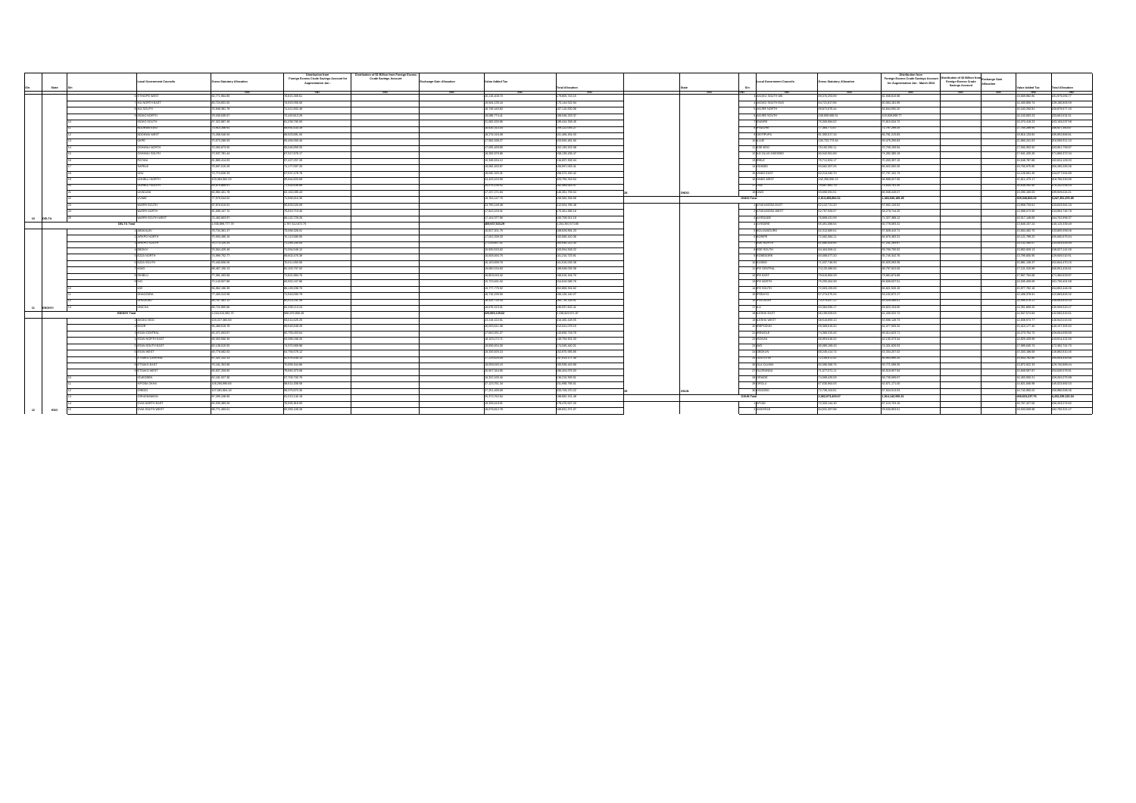|               |              |                                  |                                | Distribution from                        | Xatribution of \$2 Billion from Foreign Exces |                         |                                |                                 |  |            |                          |                           | Distribution from                    |                                                |                   |                               |                                |
|---------------|--------------|----------------------------------|--------------------------------|------------------------------------------|-----------------------------------------------|-------------------------|--------------------------------|---------------------------------|--|------------|--------------------------|---------------------------|--------------------------------------|------------------------------------------------|-------------------|-------------------------------|--------------------------------|
|               |              |                                  |                                | Foreign Excess Crude Savings Account for | Crude Savings Account                         |                         |                                |                                 |  |            |                          |                           | Foreign Excess Crude Savings Account | stribution of \$2 Billion from                 | achange Gain      |                               |                                |
|               |              | <b>Local Government Councils</b> | ross Statutory Allocation      | Augmentation Jan -                       |                                               | schange Gain Allocation | alue Added Tax                 |                                 |  |            | ocal Government Councils | ross Statutory Allocation | for Augmentation Jan - March 2010    | Foreign Excess Crude<br><b>Savings Account</b> | ration.           |                               |                                |
|               |              |                                  |                                |                                          |                                               |                         |                                | notas allA lato?                |  |            |                          |                           |                                      |                                                |                   | alue Added Tax                | notabilities                   |
|               |              | THIOPE WEST                      | 82,771,964.85                  | 76,815,369.61                            |                                               |                         | 20,218,408.70                  | 9,805,743.15                    |  | i          | MOKO SOUTH WE            | 370,253.99                | 82,938,819.98                        | <b>AND</b>                                     | <b>CONTRACTOR</b> | 089,982.80                    | $   -$<br>1,979,056.77         |
|               |              | A NORTH EAST                     | 0,724,831.50                   | 4,915,556.00                             |                                               |                         | 0,504,135.44                   | 5,144,522.94                    |  |            |                          | 1,721,817.86              | 0,064,181.99                         |                                                |                   | 400,006.74                    | 39,186,806.59                  |
|               |              |                                  |                                |                                          |                                               |                         |                                |                                 |  |            | AKOKO SOUTH EAS          |                           |                                      |                                                |                   |                               |                                |
|               |              | KA SOUTH                         | 76,949,381.78                  | 71,411,802.46                            |                                               |                         | 18,749,445.82                  | 67,110,630.06                   |  |            | AKURE NORTH              | 9,872,876.44              | 04.844,550.20                        |                                                |                   | 16,162,250.81                 | 10,879,677.45                  |
|               |              | SOKO NORTH                       | 78,036,635.67                  | 72,420,813.29                            |                                               |                         | 18.088.774.41                  | 168,546,223.37                  |  |            | AKURE SOUTH              | 108.659.568.51            | 100,839,999.77                       |                                                |                   | 4.103.053.23                  | 3,602,631.51                   |
|               |              | SOKO SOUTH                       | 87,322,887.49                  | 81,038,790.00                            |                                               |                         | 21,082,630.96                  | 189,444,308.45                  |  |            | <b>IANR</b>              | 5,306,984.62              | 70,815,634.72                        |                                                |                   | 1,070,418.23                  | 3,193,037.58                   |
|               |              | OXWA EAST                        | 73,910,308.91                  | 03.591,433.19                            |                                               |                         | 16,620,313.16                  | 159, 122, 055.27                |  |            | <b>FEDORS</b>            | 364,771.67                | 1,797,299.25                         |                                                |                   | ,765,289.95                   | 105,927,300.87                 |
|               |              | DOKWA WEST                       | 74,208,546.94                  | 68,923,891.00                            |                                               |                         | 18,274,016.08                  | 101,400,454.03                  |  |            | CKINDRUPA                | 1,355,517.16              | 84,781,215.83                        |                                                |                   | 19,816,133.82                 | 195,952,866.81                 |
|               |              |                                  | 70,573,286.93                  | 5,494,556.40                             |                                               |                         | 7.582.638.27                   | 53,650,481.60                   |  |            | <b>LAR</b>               | 0.723.773.64              | 23,475,295.83                        |                                                |                   | 1,860,241.63                  | 6.059.311.10                   |
|               |              | HIMLI NORTH                      | 0,090,873.50                   | 5,046,859.33                             |                                               |                         | 7,055,409.85                   | 52,193,202.68                   |  |            | ESE-EDO                  | 192.250.11                | 70,709,156.94                        |                                                |                   | 00035252                      | 13,901,759.97                  |
|               |              | SHIMLI SOUTH                     | 72,537,781.44                  | 67,317,678.17                            |                                               |                         | 18,283,976.86                  | 158, 139, 436.47                |  |            | FE-OFTIMERSION           | 1,042,561.89              | 74,282,385.19                        |                                                |                   | 541,425.26                    | 1,966,372.34                   |
|               |              | <b>ANI</b>                       | 1,880,414.63                   | 57,427,257.29                            |                                               |                         | 5,349,634.12                   | 134,657,306.04                  |  |            |                          | 11.924.1                  | 0,263,397.15                         |                                                |                   | 6,648,787.88                  | 12,624,109.20                  |
|               |              | APELE                            |                                | 1,177,597.25                             |                                               |                         |                                |                                 |  |            | opicac                   |                           |                                      |                                                |                   |                               |                                |
|               |              |                                  | 76,697,015.29                  |                                          |                                               |                         | 19,082,450.87                  | 166,957,053.41                  |  |            |                          | 052,307.25                | 86,922,000.26                        |                                                |                   | 9,700,975.85                  | 00,285,283.36                  |
|               |              |                                  | 72,774,626.33                  | 7,537,478.78                             |                                               |                         | 18.060.325.31                  | 58,372,430.42                   |  |            | ONDO EA!                 | 2,214,340.70              | 57,737,152.73                        |                                                |                   | 126,061.45                    | 14,077,554.89                  |
|               |              | GHELLI NORTH                     | 03,384,562.29                  | 03.003.046.0                             |                                               |                         | 24,426,153.56                  | 223,755,319.54                  |  |            | MDO WEST                 | 12,256,830.13             | 94,898,027.56                        |                                                |                   | 611,473.17                    | 30.000,335.81                  |
|               |              | GHELLI SOUTH                     | 83,975,809.97                  | 7,932,636.99                             |                                               |                         | 20,576,136.52                  | 182,454,543.47                  |  |            |                          | 9,667,981.79              | 73,934,761.35                        |                                                |                   | 6,639,292.90                  | 70,242,035.04                  |
|               |              | KWUANI                           | 66,982,401.78                  | 62,162,085.43                            |                                               |                         | 17,237,271.84                  | 146,381,759.04                  |  |            |                          | 090,591.51                | 86,948,249.07                        |                                                |                   | 2,290,183.63                  | 0,929,024.21                   |
|               |              |                                  | 77,579,544.62                  | 00.313,390,11                            |                                               |                         | 19,784,147.76                  | 109,300,308.08                  |  | ONDO Total |                          | 513,459,684.31            | 1,404,545,189.28                     |                                                |                   | 229,346,003.26                | 1,247,351,676.85               |
|               |              | VARRI SOUTH                      | 97.876.610.91                  | 00.833,026.09                            |                                               |                         | 23,795,149.48                  | 212,504,786.48                  |  |            | ATAKUMOSA EAST           | 2,122,721.20              | 57,652,126.52                        |                                                |                   | 13,058,733.61                 | 1,633,581.33                   |
|               |              | HTRICKI NARN                     | 81,099,107.70                  | 5,819,719.46                             |                                               |                         | 17,843,159.01                  | 175,301,986.16                  |  |            | TAKUMOSA WEST            | 2,797,929.57              | 58,278,744.25                        |                                                |                   | 588,072.95                    | 34,004,746.78                  |
|               |              | ARRI SOUTH-WEST                  | 74,482,803.97                  | 03,122,729.26                            |                                               |                         | 17,104,377.96                  | 160,709,911.19                  |  |            | AIYEDADE                 | 6,050,421.59              | 71,327,388.12                        |                                                |                   | 16,517,148.66                 | 164,702,958.37                 |
|               |              | <b>DELTA Total</b>               | 1,936,099,777.78               | 1,797,512,872.79                         |                                               |                         | 469,937,923.29                 | 204,350,573.85                  |  |            | <b>UYEDIR</b>            | 421,088.94                | 00,778,093.31                        |                                                |                   | 3,846,157.24                  | 40,115,339.49                  |
|               |              | <b>DAKALIKI</b>                  | 78,734,361.47                  | 73,068,328.01                            |                                               |                         | 16,827,201.75                  | 68.629.891.23                   |  |            | <b><i>CLUWADURO</i></b>  | 312,680.61                | 57.828.415.71                        |                                                |                   | 1,004,402.75                  | 13,805,559.06                  |
|               |              | <b><i>FIKPO NORTH</i></b>        | 5,550,490.16                   | 113,580.56                               |                                               |                         | 7,002,339.33                   | 52,666,410.06                   |  |            | <b>IORIPE</b>            | 062,384.11                | 05,876,492.31                        |                                                |                   | 121,799.22                    | 5.060.675.64                   |
|               |              | FIKPO SOUTH                      | 76,773,125.25                  | 1,248,230.04                             |                                               |                         | 17,018,857.01                  | 65,040,212.30                   |  |            | EDE NORTH                | 50,004.95                 | 57,241,269.87                        |                                                |                   | 1,132,260.67                  | 3,053,535.49                   |
|               |              |                                  | 76,564,425.48                  | 1,054,549.12                             |                                               |                         | 5,935,533.62                   | 63,554,508.22                   |  |            | EDE SOUTH                | 404,505.41                | 59,769,705.52                        |                                                |                   | 1,852,929.13                  | 38,027,141.05                  |
|               |              | <b>ZZA NORTH</b>                 | 74,999,752.77                  | 62,602,476.39                            |                                               |                         | 16,008,494.75                  | 51,210,723.91                   |  |            | <b>GBEDORS</b>           | 068,077.20                | 55,745,342.76                        |                                                |                   | 1,795,600.95                  | 9,609,020.91                   |
|               |              | <b>IZZA SOUTH</b>                | 75,440,656.06                  | 70,011,650.56                            |                                               |                         | 16,163,699.76                  |                                 |  |            | <b>DESCRIPT</b>          | 1,037,748.39              | 05,925,593.39                        |                                                |                   | 15,001,120.37                 | 52,844,470.15                  |
|               |              |                                  | 88,467,150.13                  | 2,100,707.02                             |                                               |                         | 13,080,234.93                  | 19,648,092.08                   |  |            | FE CENTRAL               | 1,132,486.56              | 08,797,622.06                        |                                                |                   | 121,315.99                    | 0,051,424.61                   |
|               |              | <b>SELL</b>                      | 77,391,263.58                  | 71,821,884.70                            |                                               |                         | 16,803,016.42                  | 166,016,164.70                  |  |            | <b>FE EAST</b>           | 610,994.29                | 73,881,874.89                        |                                                |                   | 17,067,764.68                 | 1,360,633.87                   |
|               |              |                                  | 72,143,927.88                  | 6,952,167.86                             |                                               |                         | 5,723,491.02                   | 4,819,586.76                    |  |            | FE NOR                   | 255,304.38                | 10,830,637.51                        |                                                |                   | 635.459.65                    | 1,730,401.58                   |
|               |              |                                  | 94,962,190.39                  | 88,128,338.70                            |                                               |                         | 19,777,775.52                  | 202,868,304.62                  |  |            | <b>LIFE SOUTH</b>        | 003,155.69                | 06.821,526.19                        |                                                |                   | 15,977,762.18                 | 54,802,444.05                  |
|               |              | <b>CIZARA</b>                    | 77,493,313.58                  | 1,916,590.79                             |                                               |                         | 16,716,235.90                  | 166.126.140.27                  |  |            |                          | 274.575.25                | 53.152.872.17                        |                                                |                   | 456,378.91                    | 22.883.826.32                  |
|               |              | HALIKWU                          | 86,767,361.12                  | 00,523,241.49                            |                                               |                         | 18,425,726.30                  | 185,716,328.91                  |  |            | <b>FELOCAIN</b>          | 070,647.22                | 05,028,088.61                        |                                                |                   | 595,078.21                    | 10,033,814.04                  |
|               | <b>BONYI</b> | MCHA                             | 88,722,965.86                  | 82,338,113.24                            |                                               |                         | 19,876,523.31                  | 190,937,602.41                  |  |            |                          | 1,384,556.17              | 58,823,154.90                        |                                                |                   | 13,351,809.20                 | 135,559,520.27                 |
|               |              | <b>EBONYI Total</b>              | 1,044,010,983.75               | 268,879,858.49                           |                                               |                         | 225,959,129.62                 | 2,238,849,971.87                |  |            | <b>LESHAEAS</b>          | 5,199,509.05              | 61,435,532.72                        |                                                |                   | 4,947,574.84                  | 142,582,616.61                 |
|               |              | DOS ONOXI                        | 00,227,380.68                  | 1014,625.25                              |                                               |                         | 23,218,422.61                  | 15,460,428.55                   |  |            | LESIA WES                | 1,516,893.10              | 3.586.148.73                         |                                                |                   | 1038.973.77                   | 46,942,015.60                  |
|               |              |                                  | 96,489,619.78                  | 0,545,848.29                             |                                               |                         | 15,005,611.08                  | 112,041,079.15                  |  |            | REPODUN                  | 2.369.619.20              | 64,377,509.32                        |                                                |                   | 410.177.40                    | 49, 157, 305.92                |
|               |              | SAN CENTRAL                      | 65,471,003.87                  | 0,759,453.64                             |                                               |                         | 17,600,261.27                  | 43,830,718.79                   |  |            | REWOLE                   | (306,315.45)              | 09.014.023.71                        |                                                |                   | 273,754.72                    | 0,054,093.09                   |
|               |              | <b>JAN NORTH EAS</b>             | 88,303,550.36                  | 03.388,168.26                            |                                               |                         | 18,103,172.71                  | 00,704,901.33                   |  |            |                          | 5,953,618.32              | 2,135,373.34                         |                                                |                   | 1,825,429.99                  | 13,914,421.66                  |
|               |              | SAN SOUTH EAST                   | 80,138,015.92                  | 74,370,969.98                            |                                               |                         | 19,836,454.30                  | 174,345,440.21                  |  |            |                          | 0,085,169.43              | 74,321,926.53                        |                                                |                   | 7,985,645.74                  | 72,392,741.70                  |
|               |              |                                  |                                |                                          |                                               |                         |                                |                                 |  |            |                          |                           |                                      |                                                |                   |                               |                                |
|               |              | SAN WEST<br>AKO CENTRAL          | 69,778,082.63<br>17,321,122.13 | 04.756,578.12<br>2,476,430.13            |                                               |                         | 18,335,925.10<br>7,215,625.04  | 152,870,585.85<br>47,013,177.30 |  |            | 24 OBOXUN                | 8245.414.74<br>156,672.41 | 03,334,207.02<br>05.963,995.25       |                                                |                   | 5,303,188.68<br>1,933,762.80  | 146,882,810.45<br>5,054,430.46 |
|               |              | SAKO EAS                         | 76,181,353.88                  | 35.33.003.00                             |                                               |                         | 19,058,045.15                  | 105,938,443.09                  |  |            | OLA-OLUW                 | 37,036,368.76             |                                      |                                                |                   |                               | 129,740,889.44                 |
|               |              | <b>TSAKO WEST</b>                | 85,837,258.90                  | 79,660,073.08                            |                                               |                         |                                | 186,404,676.63                  |  |            | 27 OLORUNDA              | 1.677.071.11              | 55,771,598.35                        |                                                |                   | 3,872,922.33<br>15,849,597.87 | 54,045,576.91                  |
|               |              | UDGBEN                           | 62,181,527.36                  | 7,706,700.76                             |                                               |                         | 20,907,344.05<br>16,322,165.40 | 136,210,323.51                  |  |            | ORIADE                   | 4,069,426.09              | 06,518,907.94<br>08.739,099.07       |                                                |                   | 453,550.21                    | 59,262,075.98                  |
|               |              | <b>POBA OKHA</b>                 | 106,260,996.68                 | 03.014.038.58                            |                                               |                         | 27.123.761.34                  | 231.998.796.61                  |  |            |                          | 230 364 05                | 62.671.171.00                        |                                                |                   | 4.821.846.98                  | 15,023,982.03                  |
|               |              |                                  | 107,081,904.18                 |                                          |                                               |                         | 251,495.69                     |                                 |  |            | 29 OROLU                 |                           |                                      |                                                |                   |                               | 5,986,558.36                   |
|               |              | PERMINON                         | 87,295,248.66                  | 375,870.35<br>81,013,140.18              |                                               |                         |                                | 3,709,270.22<br>188,682,151.48  |  | OSUN Total |                          | 2,062,573,429.07          | 504,513.53<br>1,914,142,555.21       |                                                |                   | 456.523.237.76                | 4,433,239,222.04               |
|               |              |                                  |                                |                                          |                                               |                         | 20,373,762.64                  |                                 |  |            |                          |                           |                                      |                                                |                   |                               |                                |
|               |              | VIA NORTH EAST<br>VIA SOUTH WEST | 82,535,389.26                  | 76,595,818.93<br>82,383,108.28           |                                               |                         | 19,339,419.01                  | 78,470,627.20<br>189,831,371.07 |  |            |                          | 2,320,144.40              | 7,115,703.16<br>78.540.953.51        |                                                |                   | 6,767,427.06<br>533,009.98    | 56,203,274.62                  |
| $\frac{1}{2}$ | EDO          |                                  | 88,771,450.01                  |                                          |                                               |                         | 18,676,812.78                  |                                 |  |            | AKNYELE                  | 14,631,357.98             |                                      |                                                |                   |                               | 182,705,321.47                 |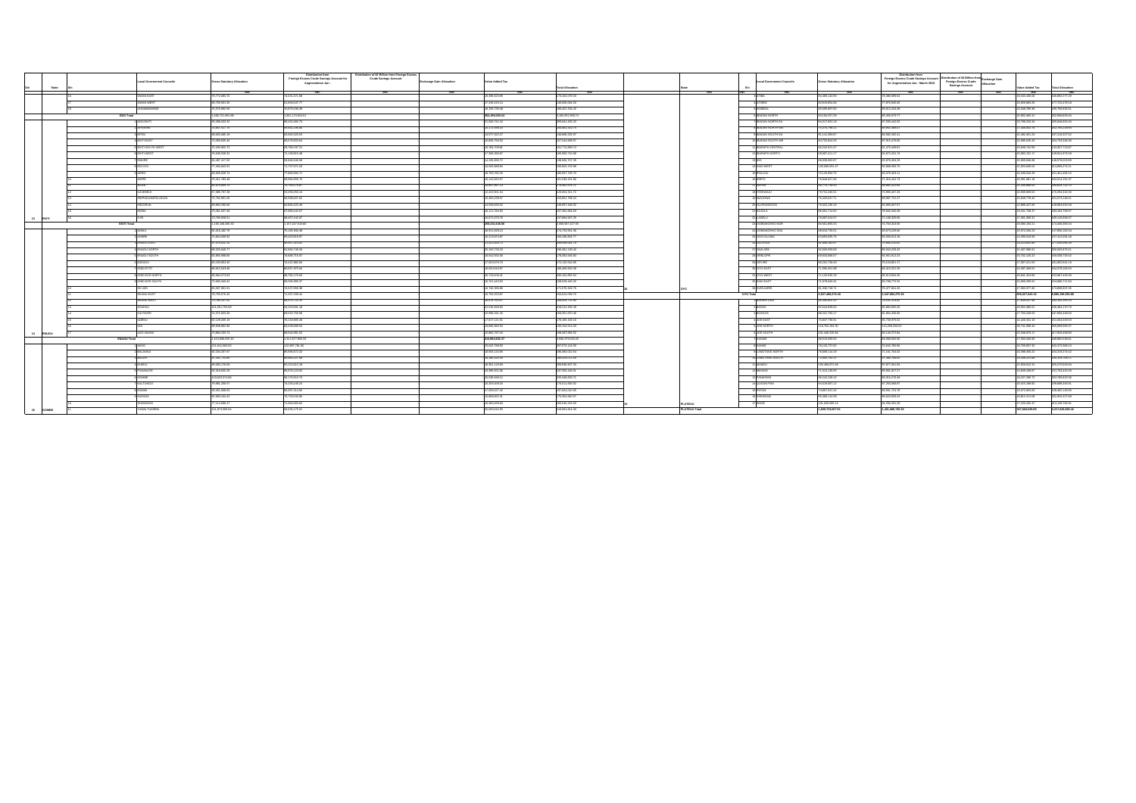|          |          |                    |                                  |                         | Distribution from                        | <b>Distribution of \$2 Billion from Foreign Excess</b> |                         |                |                  |                |           |                          |                                   | Distribution from                    |                                                |              |                 |                         |
|----------|----------|--------------------|----------------------------------|-------------------------|------------------------------------------|--------------------------------------------------------|-------------------------|----------------|------------------|----------------|-----------|--------------------------|-----------------------------------|--------------------------------------|------------------------------------------------|--------------|-----------------|-------------------------|
|          |          |                    |                                  |                         | Foreign Excess Crude Savings Account for | Crude Savings Account                                  |                         |                |                  |                |           |                          |                                   | Foreign Excess Crude Savings Account | stribution of \$2 Billion from                 | schange Gain |                 |                         |
|          |          |                    | <b>Local Government Councils</b> | as Statutory Allocation | Augmentation Jan -                       |                                                        | schange Gain Allocation | alus Added Tax |                  |                |           | ocal Government Councils | <b>Iross Statutory Allocation</b> | for Augmentation Jan - March 2010    | Foreign Excess Crude<br><b>Savings Account</b> | oration.     |                 |                         |
|          | State    |                    |                                  |                         |                                          |                                                        |                         |                | notas allA lato? |                |           |                          |                                   |                                      |                                                |              | Value Added Tax | <b>Total Allocation</b> |
|          |          |                    |                                  |                         |                                          |                                                        |                         |                |                  |                | -         |                          |                                   |                                      |                                                |              |                 |                         |
|          |          |                    | NAN EAS                          | 9,772,083.70            | 14,031,371.68                            |                                                        |                         | 19,358,623.95  | 73, 162, 079.33  |                |           |                          | A.465.142.59                      | 1386,099.64                          |                                                |              | 1.040.435.06    | 80,892,277.29           |
|          |          |                    | WAN WEST                         | 00.105,001.30           | 1,904,647.77                             |                                                        |                         | 7,316,415.14   | 145,926,054.20   |                |           |                          | 915,854.48                        | 33.040.45                            |                                                |              | 15,929,683.25   | 77,722,478.18           |
|          |          |                    | <b><i>SCIVONNATIVE</i></b>       | 6,370,992.55            | 70,875,036.39                            |                                                        |                         | 18,155,735.48  | 165,401,764.42   |                |           |                          | 33.123.220.0                      | 0,612,243.49                         |                                                |              | 22,048,785.36   | 195,756,926.51          |
|          |          | EDO Total          |                                  | 466,721,991.88          | 1,361,170,924.51                         |                                                        |                         | 364.129.053.34 | 3,192,091,969.74 |                |           | ADAN NORTH               | 23,160,257.28                     | 86,456,079.77                        |                                                |              | 22 952 492 41   | 202,568,829.46          |
|          |          |                    |                                  |                         |                                          |                                                        |                         |                |                  |                |           |                          |                                   |                                      |                                                |              |                 |                         |
|          |          |                    | ADO EXITI                        | 5,289,033.32            | 80,431,660.73                            |                                                        |                         | 11,920,741.18  | 05,641,435.23    |                |           | MN NORTH EA              | AL317,931.19                      | 7,530,442.92                         |                                                |              | 1,798,226.34    | 05,646,600.45           |
|          |          |                    | VYEKRE                           | 4,847,517.75            | 08.321,156.83                            |                                                        |                         | 16,172,588.20  | 160,481,302.75   |                |           | <b>VOAN NORTH WE</b>     | 5,376,798.11                      | 0,952,388.07                         |                                                |              | 7,436,052.76    | 162,765,238.94          |
|          |          |                    | EFON                             | 58,920,085.18           | 63,960,325.53                            |                                                        |                         | 13,977,922.27  | 146,858,332.97   |                |           | ASI HTUDE WADA!          | 01,141,383.87                     | 04,582,492.41                        |                                                |              | 21,492,451.23   | 197,216,327.52          |
|          |          |                    | <b>SOTI BAR</b>                  | 3,359,005.40            | 83,079,803.64                            |                                                        |                         | 15,005,759.53  | 157,244,568.57   |                |           | DAN SOUTH WE             | 1,732,824.26                      | 7,915,478.66                         |                                                |              | 22 085 045 43   | 204,733,348.36          |
|          |          |                    | EKITI SOUTH WEST                 | 5,200,952.72            | 69,789,197.21                            |                                                        |                         | 16,784,709.81  | 161,774,859.74   |                |           | RAPA CENTRAL             | 1,242,521.47                      | 1,475,449.81                         |                                                |              | 15,649,742.59   | 143,367,713.87          |
|          |          |                    | <b>EXITIVEST</b>                 | 5.645.528.32            | 1,129,815.48                             |                                                        |                         | 17,308,306.87  | 165,083,710.68   |                |           | <b>URAPA NORTH</b>       | 0.687.411.17                      | 1.672.431.74                         |                                                |              | 15.582.131.17   | 49.941.974.09           |
|          |          |                    | <b>SAUNI</b>                     | 54,487,417.05           | 50,846,649.58                            |                                                        |                         | 14,226,690.72  | 138,560,757.35   |                |           |                          | 18,939,662.87                     |                                      |                                                |              | 15.059.046.08   | 148,578,003.89          |
|          |          |                    |                                  |                         |                                          |                                                        |                         |                |                  |                |           |                          |                                   | 3,978,494.33                         |                                                |              |                 |                         |
|          |          |                    | <b>SOS</b>                       | 7.300.843.52            | 1,737,971.63                             |                                                        |                         | 16.563.888.84  | 165,602,703.98   |                |           | SAKI WEST                | 00.009.931.47                     | 02.868.506.70                        |                                                |              | 21.920.836.04   | 214.859.274.21          |
|          |          |                    |                                  | 3,905,029.74            | 7,866,894.71                             |                                                        |                         | 18,795,782.25  | 180,567,706.70   |                |           |                          | 125,994.75                        | 8,079,453.11                         |                                                |              | 196.044.29      | 151,401,492.15          |
|          |          |                    | CERE                             | 5,411,783.48            | 03.984,855.75                            |                                                        |                         | 16,142,562.57  | 161,539,201.80   |                |           |                          | 5,846,627.46                      | 316,442.73                           |                                                |              | 16.351.001.18   | 164,514,151.37          |
|          |          |                    | COLE                             | 1,670,504.72            | 5,793,174.87                             |                                                        |                         | 16,027,027.13  | 174,361,576.71   |                |           |                          | 775,719.25                        | 1,883,322.83                         |                                                |              | 1,165,680.63    | 205,824,722.70          |
|          |          |                    | <b>EJEMEJI</b>                   | 7,385,757.28            | 13,256,053.10                            |                                                        |                         | 12,422,501.34  | 123,064,311.72   |                |           |                          | 1,731,240.01                      | 1,993,467.26                         |                                                |              | 6.569.609.02    | 70,294,316.30           |
|          |          |                    | EPODUNIFELODUN                   | 1,762,951.05            | 06,508,607.62                            |                                                        |                         | 5,490,239.57   | 153,851,798.24   |                |           | <b><i>INAJOW</i></b>     | 425,647.71                        | 0,997,722.27                         |                                                |              | 15,649,778.42   | 161,073,148.41          |
|          |          |                    |                                  |                         |                                          |                                                        |                         |                |                  |                |           |                          |                                   |                                      |                                                |              |                 |                         |
|          |          |                    | <b>ZUORUN</b>                    | 09,094,290.00           | 04.004.423.49                            |                                                        |                         | 14,938,635.02  | 149,097,349.32   |                |           | ORUNSOG                  | 0,022,135.16                      | 54,983,067.67                        |                                                |              | 14,552,427.55   | 49,894,630.49           |
|          |          |                    | <b>COLA</b>                      | 73,261,637.46           | 67,989,442.67                            |                                                        |                         | 16,111,784.50  | 157,362,864.63   |                |           |                          | 5,061,714.92                      | 1,940,340.28                         |                                                |              | 19.161.738.37   | 183,163,793.57          |
|          |          |                    |                                  | 3,765,928.51            | 18,457,442.97                            |                                                        |                         | 5,671,575.76   | 57,894,947.25    |                |           |                          | 6,687,024.57                      | 168,325.50                           |                                                |              | 7,261,309.31    | 05,116,059.37           |
|          |          | <b>EXITI Total</b> |                                  | 123,108,206.30          | 107,247,515.80                           |                                                        |                         | 259,231,645.56 | 2,559,587,427.65 |                |           | GBOMOSHO NOR             | 00,561,893.33                     | 4,764,343.50                         |                                                |              | 19,080,153.21   | 174,406,390.04          |
|          |          |                    |                                  | 1,016,182.76            | 5,185,940.48                             |                                                        |                         | 18,521,828.13  | 74,723,951.36    |                |           | UO2 ON2OMOG              | 610,725.51                        | 3,673,228.60                         |                                                |              | 15,572,206.23   | 147,856,160.34          |
|          |          |                    |                                  | 4,804,009.92            | 0,420,819.97                             |                                                        |                         | 16,213,974.87  | 60,438,804.77    |                |           |                          | 1,855,935.76                      | 0,260,612.16                         |                                                |              | 4,295,543.56    | 137,412,091.48          |
|          |          |                    |                                  |                         |                                          |                                                        |                         |                |                  |                |           |                          |                                   |                                      |                                                |              | 19:223.652.80   |                         |
|          |          |                    | <b>ENUGU EAST</b>                | 97,579,412.15           | 90,557,214.92                            |                                                        |                         | 21,422,454.73  | 209,559,081.79   |                |           | 26 OLUYOLE               | 81,846,182.97                     | 5,956,210.62                         |                                                |              |                 | 77,026,046.39           |
|          |          |                    | NUGU NORTH                       | 8,320,649.77            | 1,954,749.40                             |                                                        |                         | 20,195,739.23  | 190,481,138.40   |                |           | INA-ARJ                  | 2,006,559.08                      | 5,942,228.42                         |                                                |              | 21,457,086.91   | 100,005,875.01          |
|          |          |                    | NUGU SOUTH                       | 2,850,998.80            | 76,888,715.97                            |                                                        |                         | 18,542,932.06  | 178,282,646.83   |                |           | OREI ORE                 | 12,004,006.57                     | 4,901,912.23                         |                                                |              | 15,702,126.22   | 50,538,725.02           |
|          |          |                    | ZEAGU                            | 0,193,954.32            | 74,422,882.83                            |                                                        |                         | 17,503,679.70  | 72,120,516.85    |                |           | <b>ORI IRS</b>           | 291,728.49                        | 9,153,801.17                         |                                                |              | 17.357.011.53   | 181.802.541.19          |
|          |          |                    | <b>GBO ETITI</b>                 | 6,912,543.46            | 80,657,975.94                            |                                                        |                         | 18,920,043.97  | 186,490,563.38   |                |           | OYO EAS                  | 1,565,451.88                      | 06,415,321.26                        |                                                |              | 16,397,409.51   | 54,378,182.65           |
|          |          |                    | GBO EZE NORTH                    | 6,664,573.53            | 88,780,175.60                            |                                                        |                         | 20,718,106.41  | 205,162,855.54   |                |           |                          | 1.132.530.33                      | 1,013,554.45                         |                                                |              | 16.841.344.58   | 153,987,429.36          |
|          |          |                    | 200 EZE SOUT                     | 560,346.42              | 1,266,655.37                             |                                                        |                         | 6,701,443.53   | 8,528,445.32     |                |           |                          | 378,540.6                         | 1,798,775.32                         |                                                |              |                 | 4,686,711.84            |
|          |          |                    |                                  | 10,307,061.51           | 74,527,850.38                            |                                                        |                         | 16,740,390.86  | 71,575,302.75    |                |           | <b>21011111</b>          | 330,718.71                        | 5,477,841.20                         |                                                |              | 7.050.377.45    | 173,858,937.35          |
|          |          |                    |                                  |                         |                                          |                                                        |                         |                |                  |                |           |                          |                                   |                                      |                                                |              |                 |                         |
|          |          |                    | <b><i>OKANU EAST</i></b>         | 76,793,576.40           | 71,267,209.44                            |                                                        |                         | 16,753,253.87  | 164,814,039.70   |                | OYO Total |                          | 2,637,488,276.48                  | 2,447,684,275.25                     |                                                |              | 595,027,042.16  | 5,680,199,593.89        |
|          |          |                    | <b>WANU WEST</b>                 | 3,780,237.52            | 68,470,722.25                            |                                                        |                         | 16,678,763.07  | 158,929,722.84   |                |           | <b>DICINI LAP</b>        | 5,300,902.32                      | 9,162,314.82                         |                                                |              | 1.639.037.96    | 182,102,255.10          |
|          |          |                    | <b>SUKKA</b>                     | 01,551,753.68           | 94,243,691.18                            |                                                        |                         | 22,516,849.62  | 218,312,294.49   |                |           |                          | 2,544,832.92                      | 5,884,950.26                         |                                                |              | 18.054.380.61   | 196,484,170.79          |
|          |          |                    | DJI RIVER                        | 4,372,923.26            | 12,020,755.99                            |                                                        |                         | 15,958,291.20  | 159,351,970.46   |                |           |                          | 8,201,783.17                      | 02.354,435.90                        |                                                |              | 7,753,228.53    | 187,809,448.60          |
|          |          |                    | <b>JDENU</b>                     | 2,129,205.19            | 76,218,865.46                            |                                                        |                         | 17,817,121.51  | 76,165,192.16    |                |           | JOS EAST                 | 1,837,736.91                      | 1,739,975.52                         |                                                |              | 14.426.331.10   | 51,004,043.53           |
|          |          |                    |                                  | 9,906,862.95            | 83,438,668.54                            |                                                        |                         | 19,806,982.53  | 193,154,514.03   |                |           | JOS NORTH                | 8,752,194.30                      | 10,206,320.62                        |                                                |              | 26,741,068.44   | 255,099,583.37          |
|          |          |                    |                                  |                         |                                          |                                                        |                         |                |                  |                |           |                          |                                   |                                      |                                                |              |                 |                         |
|          | 14 ENUGU |                    |                                  | 3,000,233.74            | 08,544,961.02                            |                                                        |                         | 15,882,797.16  | 158,287,992.52   |                |           | <b>LIDS SOUTH</b>        | 01,440,315.84                     | 04,140,272.84                        |                                                |              | 22,348,870.17   | 217,929,458.85          |
|          |          | ENUGU Total        |                                  | 13,000,525.40           | 311,877,855.33                           |                                                        |                         | 10,034,052.47  | 036,379,033.20   |                |           |                          | 510,090.06                        | 068,592.90                           |                                                |              | 33 245,000,7    | 89,882,028.61           |
|          |          |                    | 9000                             | 1,641,565.83            | 12,887,761.65                            |                                                        |                         | 13,042,788.83  | 57,572,116.30    |                |           |                          | 5,120,737.82                      | 0,642,790.96                         |                                                |              | 5,709,837.32    | 162,473,366.10          |
|          |          |                    | <b>BALANGA</b>                   | 2,234,207.67            | 85,596,672.32                            |                                                        |                         | 18,553,132.65  | 196,384,012.64   |                |           | ANGTANG NORTH            | 6,662,114.19                      | 151,704.02                           |                                                |              | 16,398,455.22   | 64,219,274.42           |
|          |          |                    | <b>LLRI</b>                      | 7,261,723.80            | 80,982,027.89                            |                                                        |                         | 18,180,320.35  | 86,424,072.05    |                |           | WGTANG SOUTH             | 605,792.21                        | 7,380,794.62                         |                                                |              | 5,168,121.88    | 55, 154, 708.71         |
|          |          |                    | <b>DOKKU</b>                     | 20,353,175.05           | 92,212,612.18                            |                                                        |                         | 18,361,119.09  | 209,936,907.33   |                |           |                          | 05,466,871.69                     | 07,877,061.94                        |                                                |              | 1,926,612.31    | 125,270,545.94          |
|          |          |                    | <b>INAKAYE</b>                   | 2,319,820.29            | 85,676,123.92                            |                                                        |                         | 19,396,501.80  | 197,392,446.01   |                |           |                          | 1,012,139.35                      | 5,901,827.27                         |                                                |              | 14.842.448.87   | 151,763,415.49          |
|          |          |                    | <b>SQVOS</b>                     | 03,633,374.86           | 16,175,510.73                            |                                                        |                         | 20,539,948.12  | 220,348,833.71   |                |           | MCOL                     | 6,242,248.15                      | 0,316,278.49                         |                                                |              | 18,227,296.72   | 03,785,823.36           |
|          |          |                    | CALTUNGO                         | 79,981,206.57           | 74,225,445.24                            |                                                        |                         | 16,305,008.20  | 70,511,660.02    |                |           | <b>OILE'AN PAN</b>       | A.019,587.12                      | 7,253,568.87                         |                                                |              | 18,415,189.82   | 199,688,345.81          |
|          |          |                    |                                  | 0,301,668.63            | 6,587,314.60                             |                                                        |                         | 7,935,027.42   | 197,824,010.65   |                |           |                          | 1,067,521.34                      | 8,551,724.78                         |                                                |              | 6,072,903.83    | 158,492,149.95          |
|          |          |                    |                                  |                         |                                          |                                                        |                         |                |                  |                |           |                          |                                   |                                      |                                                |              |                 |                         |
|          |          |                    | <b>AFADA</b>                     | 2.683.244.42            | 0,733,033.85                             |                                                        |                         | 15.888.002.31  | 75.304.940.57    |                |           | DIEMOAN                  | 5,496,114.38                      | 1,623,839.43                         |                                                |              | 18.812.474.08   | 202,932,427.89          |
|          |          |                    | SHOMGOM                          | 114,096.47              | 1,564,663.62                             |                                                        |                         | 16,305,456.84  | 165,045,216.93   | <b>PLATEAU</b> |           | WASE                     | 101.645.002.14                    | 4330.291.29                          |                                                |              | 17.153.432.47   | 213, 128, 792.91        |
| 15 GOMBE |          |                    | <b>AMALTU, DE BA</b>             | 01,973,595.84           | 04,635,175.91                            |                                                        |                         | 20,083,042.55  | 00.418,009.31    | PLATEAU Total  |           |                          | 1,509,733,057.91                  | 1,401,006,745.53                     |                                                |              | 307,000,035.99  | 3,217,819,839.42        |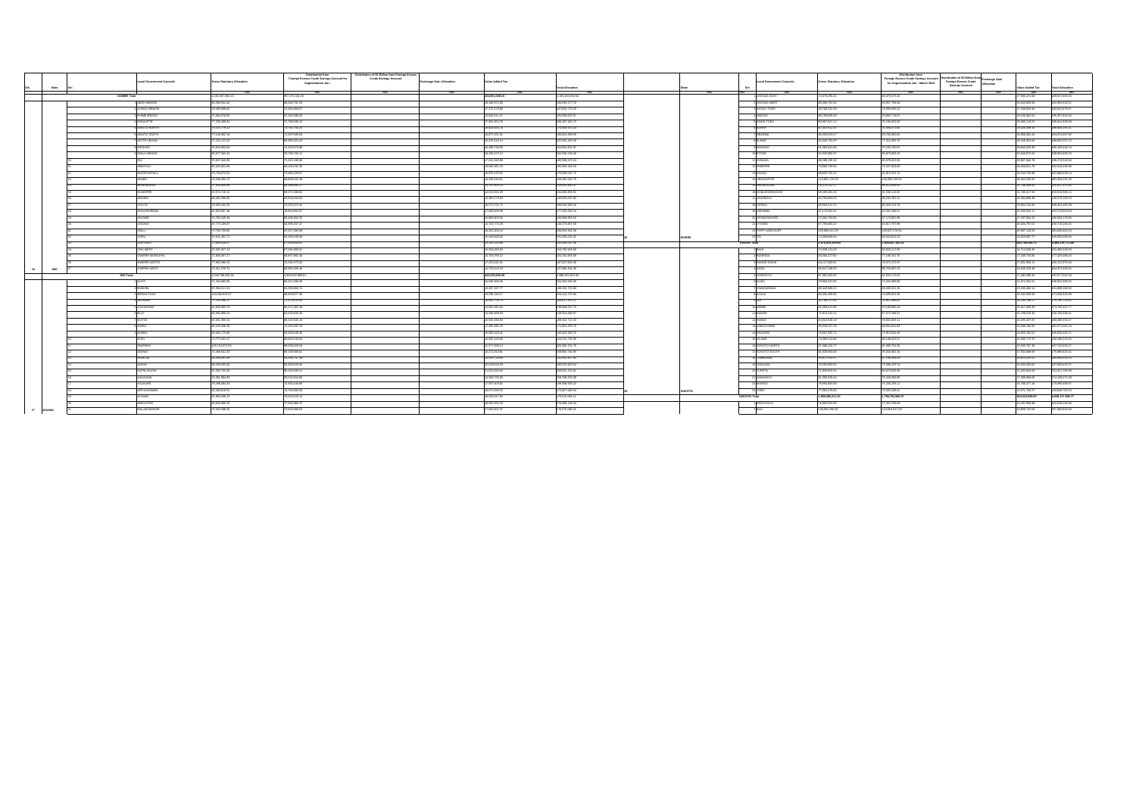|           |            |                    |                          |                                   | Distribution from                        | stribution of \$2 Billion from Foreign Exces |                         |                |                 |        |                     |                          |                           | Distribution from                    | stribution of \$2 Billion fre |                             |                 |                              |
|-----------|------------|--------------------|--------------------------|-----------------------------------|------------------------------------------|----------------------------------------------|-------------------------|----------------|-----------------|--------|---------------------|--------------------------|---------------------------|--------------------------------------|-------------------------------|-----------------------------|-----------------|------------------------------|
|           |            |                    | ocal Government Councils | <b>Jross Statutory Allocation</b> | Foreign Excess Crude Savings Account for | Crude Savings Account                        | schange Gain Allocation | slue Added Tax |                 |        |                     | ocal Government Councils | ross Statutory Allocation | Foreign Excess Crude Savings Account | Foreign Excess Crude          | Ischange Gain               |                 |                              |
|           |            |                    |                          |                                   | Augmentation Jan -                       |                                              |                         |                |                 |        |                     |                          |                           | for Augmentation Jan - March 2010    | <b>Savings Account</b>        | <b><i><u>Patinn</u></i></b> |                 |                              |
|           |            |                    |                          |                                   |                                          |                                              |                         |                | otal Allocation |        |                     |                          |                           |                                      |                               |                             | alue Added Tax  | notal Allocation             |
|           |            | <b>GOMBE Total</b> |                          | 1,031,507,680.43                  | 957,276,341.92                           |                                              |                         | 204,652,008.15 | 93,436,030.50   |        | $\sim$              |                          | 678.255.4                 | 02.376,079.20                        | <b>AND</b>                    |                             | 1,583,471.68    | <b>STATE</b><br>2,637,806.33 |
|           |            |                    | <b>BOH MBAISE</b>        | 6,290,504.40                      | 0,080,701.25                             |                                              |                         | 8,158,972.06   | 4,530,177.70    |        |                     | HOADA WES                | 390,702.50                | 82,957,796.94                        |                               |                             | 1,545,833.56    | 02,094,333.01                |
|           |            |                    |                          |                                   |                                          |                                              |                         |                |                 |        |                     |                          |                           |                                      |                               |                             |                 |                              |
|           |            |                    | HIAZU MBAISE             | 78,083,908.92                     | 2,464,684.57                             |                                              |                         | 17,272,176.82  | 167,820,770.30  |        |                     | ACUICU-TORU              | 768,332.29                | 74,955,926.31                        |                               |                             | 7,198,620.46    | 82,922,879.07                |
|           |            |                    | EHIME MBANO              | 72.664.078.65                     | 67,434,886.55                            |                                              |                         | 15,840,011.47  | 55,938,976.67   |        |                     | ANDONE                   | 6.195.699.49              | 79.992.718.87                        |                               |                             | PO REE 031.05   | 195,357,802.40               |
|           |            |                    | ZININTTE                 | 7,335,288.84                      | 1,769,938.13                             |                                              |                         | 7,081,954.76   | 66,187,181.73   |        |                     | <b>SARI-TORU</b>         | 1,987,501.12              | 75,159,322.89                        |                               |                             | 12,425,115.57   | 85,641,939.58                |
|           |            |                    | <b>JEATO NORTH</b>       | 79,470,779.22                     | 73,751,750.25                            |                                              |                         | 16,824,443.76  | 0,046,973.23    |        |                     |                          | 302,912.20                | 76.380.071.82                        |                               |                             | 20.325.209.19   | 88,008,193.21                |
|           |            |                    | <b>EATO SOUTH</b>        | 7,149,582.19                      | 1,597,595.05                             |                                              |                         | 16,877,221.51  | 05,024,399.35   |        |                     | <b>DEGEMA</b>            | 255,523,27                | 83,760,381.81                        |                               |                             | 30,558,302.44   | 204,574,207.52               |
|           |            |                    | <b>HITTE UBOMA</b>       | 1.102.111.02                      | 05:005:324:23                            |                                              |                         | 15,475,010.14  | 52.562.445.39   |        |                     | 110140                   | 200,753,29                | 77,213,300.75                        |                               |                             | 28.448.303.06   | 88.862.357.10                |
|           |            |                    | EDURU                    | 10.043,003.94                     | 1,313,079.98                             |                                              |                         | 6,498,748.05   | 64,654,831.97   |        |                     |                          | 080 641.88                | 75,245,760.87                        |                               |                             | <b>BEDOENLE</b> | 185, 169, 446.14             |
|           |            |                    |                          |                                   |                                          |                                              |                         |                |                 |        |                     |                          |                           |                                      |                               |                             |                 |                              |
|           |            |                    | <b>CIALA MEANO</b>       | 85,977,002.43                     | 79,789,760.11                            |                                              |                         | 8,209,472.12   | 84,036,234.00   |        |                     | етсне                    | 532,882.37                | 85,873,853.22                        |                               |                             | 1,546,872.64    | 108,953,608.23               |
|           |            |                    |                          | 03.047.040.09                     | 1.410.186.66                             |                                              |                         | 041,645.89     | 65.399.473.24   |        |                     |                          | 200.156.16                | 10,078,522.00                        |                               |                             | 29,807,840.78   | 196,174,518.94               |
|           |            |                    | <b>MITOLI</b>            | 00,025,831.66                     | 84,104,041.35                            |                                              |                         | 19,000,361.18  | 194,390,234.19  |        |                     |                          | 983,790.94                | 74,227,843.63                        |                               |                             | 28,406,811.79   | 82,018,446.36                |
|           |            |                    | <b>VGOR OKPALA</b>       | 9,726,672.64                      | 3,989,228.57                             |                                              |                         | 16,879,120.51  | 0,595,021.72    |        |                     |                          | 032,740.14                | 91,813,152.12                        |                               |                             | 150.735.88      | 2.896.628.14                 |
|           |            |                    | 48A                      | 74,238,494.72                     | 68,006,001.46                            |                                              |                         | 6,348,046.61   | 59,482,542.79   |        |                     | OBIAIAKPOR               | 6,001,176.33              | 108,395,705.56                       |                               |                             | 38,262,349.50   | 03/459.231.39                |
|           |            |                    | KWANGELE                 | 1,504,644.98                      | 06.358,890.27                            |                                              |                         | 5,751,905.23   | 3,615,440.47    |        |                     | <b>BUACCUAL</b>          | 376,312.17                | 88,512,658.66                        |                               |                             | 1,748,322.56    | 15,637,370.40                |
|           |            |                    | KWERRE                   | 02,574,710.41                     | 18,071,588.82                            |                                              |                         | 4,020,594.29   | 14,000,023.51   |        |                     | <b>GBA/DGBEMA/?</b>      | 095,450.28                | 030,110.92                           |                               |                             | 785,017.94      | 20,916,585.14                |
|           |            |                    | nman                     | 69,631,596.85                     | 64,620,634.03                            |                                              |                         | 15,380,776.94  | 49,633,007.82   |        |                     | ocniparo                 | 1750,564.02               | 58,234,787.31                        |                               |                             | 24,284,808.38   | 45,270,159.70                |
|           |            |                    |                          |                                   |                                          |                                              |                         |                |                 |        |                     |                          |                           |                                      |                               |                             |                 |                              |
|           |            |                    | <b>COUTA</b>             | 78,932,244.29                     | 73,251,970.40                            |                                              |                         | 16,272,731.72  | 68,456,946.40   |        |                     | CIKRIKA                  | 558,212.23                | 80,329,143.78                        |                               |                             | 20,564,124.36   | 196,451,480.38               |
|           |            |                    | NAJEGOEMA                | 12,002,057.38                     | 6,843,862.67                             |                                              |                         | 003,005.00     | 7,335,626.04    |        |                     |                          | 176,554.4                 | 62,342,266.07                        |                               |                             | 5.205.033.1     | 4,723,853.59                 |
|           |            |                    |                          | 74,792,245.38                     | 02.409.902.05                            |                                              |                         | 15,886,805.60  | 50.038,953.02   |        |                     | OPODONKOR                | 2,382,780.80              | 07,173,831.99                        |                               |                             | 27,037,564.12   | 02,594,176.90                |
|           |            |                    | NUMO                     | 67,773,159.87                     | 02.095.937.47                            |                                              |                         | 14.704.770.25  | 145.373.867.59  |        |                     | 21 OYIGBO                | 796 683 22                | 62,917,767.98                        |                               |                             | 26.004.797.01   | 55,719,248.20                |
|           |            |                    |                          | 72,763,755.85                     | 67,527,390.58                            |                                              |                         | 16,262,305.15  | 56,553,451.58   |        |                     | PORT HARCOURT            | 9,992,011.29              | 120,637,276.30                       |                               |                             | 0,997,118.52    | 191,626,406.10               |
|           |            |                    |                          | 70.541.491.71                     | 05,405,049.28                            |                                              |                         | 15,448,460.02  | 51.455.001.01   | RIVERS |                     |                          | 4.396.693.06              | 02.042.015.23                        |                               |                             | 25.829.587.77   | 20.209.035.03                |
|           |            |                    | RU EAST                  | 2,690,928.97                      | 7,459,804.61                             |                                              |                         | 155,333.89     | 5,306,057.48    |        | <b>RIVERS Total</b> |                          | 376, 924, 328.90          | 1,834,657,100.22                     |                               |                             | 682,798,344.75  | 4,494,379,773.88             |
|           |            |                    | RU WES                   | 72,297,627.13                     | 67,094,806.31                            |                                              |                         | 15,358,490.62  | 54,750,924.06   |        |                     |                          | 338,101.03                | 05,833,117.05                        |                               |                             | 14.714.028.45   | 51,485,246.53                |
|           |            |                    | VERRI MUNICIPAL          | 1,826,907.27                      | 00.130.133.33                            |                                              |                         | 5,706,795.12   | 54,191,053.09   |        |                     |                          | 084,217.90                | 77,105,151.70                        |                               |                             | 235,715.80      | 77,425,085.40                |
|           |            |                    | VERRI NORTH              | 77,900,390.24                     | 72,294,372.62                            |                                              |                         | 17,433,161.51  | 167,627,924.36  |        |                     | DANGE-SHUNI              | 4,127,300.91              | 78,073,170.37                        |                               |                             | 17,921,504.11   | 80,121,975.40                |
|           | <b>IMO</b> |                    | ERRI WEST                | 4,311,378.74                      | 8,963,640.46                             |                                              |                         | ,705,415.19    | 00,000,434.38   |        |                     |                          | 647,108.30                | 88,763,967.23                        |                               |                             | 3,546,333.48    | 104,257,409.02               |
|           |            | <b>IMO Total</b>   |                          | 046,798,648.39                    | 1000,002,009.61                          |                                              |                         | 442,003,826.39 | 388,305,464.39  |        |                     | CORDINYO                 | 962,282.90                | 81,632,172.02                        |                               |                             | 7,482,585.26    | 87,077,040.18                |
|           |            |                    |                          | 20.083.041                        | 6,311,596.59                             |                                              |                         | 6,540,006.36   | 54,305,946.90   |        |                     |                          | SO6.047.65                | 74,202,096.86                        |                               |                             | 14.374.251.5    | 68,532,396.02                |
|           |            |                    |                          |                                   |                                          |                                              |                         |                |                 |        |                     |                          |                           |                                      |                               |                             |                 |                              |
|           |            |                    | ABUR                     | 7,594,511.31                      | 1,250,865.71                             |                                              |                         | 9,267,337.77   | 188,152,715.80  |        |                     |                          | 442,005.22                | 13,006,021.15                        |                               |                             | 9,240,482.14    | 01,689,169.52                |
|           |            |                    | DIRNIN KUDU              | 104,445,915.07                    | 96,929,577.36                            |                                              |                         | 23,039,245.17  | 224,414,737.60  |        |                     | <b>LLELA</b>             | 492,465.85                | 74,699,912.30                        |                               |                             | 16,342,936.93   | 71,535,315.08                |
|           |            |                    | <b>SINTAYA</b>           | 7,232,595.47                      | 1,674,635.90                             |                                              |                         | 6,910,719.74   | 65,817,952.11   |        |                     |                          | 768,127.94                | 76,811,008.82                        |                               |                             | 16,185,786.07   | 75,765,722.82                |
|           |            |                    | AGARAWA                  | 64,945,063.70                     | 00,271,362.19                            |                                              |                         | 14,031,581.84  | 39,908,007.73   |        |                     |                          | 098.047.98                | 76,189,950.44                        |                               |                             | 15,417,409.35   | 73,705,407.77                |
|           |            |                    |                          | 68.994.985.04                     | 04.029.835.30                            |                                              |                         | 5,299,809.63   | 48,324,689.97   |        |                     | <b>TMAD1</b>             | 1013224.11                | 07,573,298.91                        |                               |                             | 15.748.515.40   | 55,135,038.41                |
|           |            |                    | DUTSE                    | 92,091,380.44                     | 86,000,945.15                            |                                              |                         | 20,630,386.84  | 199,342,712.43  |        |                     |                          | 342,828.19                | 78,830,009.11                        |                               |                             | 16,295,497.87   | 80,068,335.17                |
|           |            |                    | <b>DKRAL</b>             | 80,079,308.36                     | 74,316,487.24                            |                                              |                         | 7,265,581.15   | 71,001,376.75   |        |                     | SABON BIRNI              | 528,227.78                | 88,653,641.83                        |                               |                             | 18.302.194.55   | 102,571,064.16               |
|           |            |                    | <b>UMEL</b>              | 09,403,173.98                     | 06.039.049.36                            |                                              |                         | 1630,646.41    | 49,462,469.75   |        |                     | shagai                   | 1.567.635.71              | 72.913.600.49                        |                               |                             | 16.555.194.51   | 68.036.430.71                |
|           |            |                    |                          | 1,773,331.37                      | EG.008,240.94                            |                                              |                         | 5,932,163.59   | 54,313,735.90   |        |                     | 11 8 8 8 9               | 389,412.98                | 68,108,022.97                        |                               |                             | 14,690,774.70   | 55,188,210.65                |
|           |            |                    |                          | 105,704,973.56                    | \$8,098,029.06                           |                                              |                         | 21,577,699.13  | 25,380,701.76   |        |                     | <b>CKOTO NORTH</b>       | 368,103.77                | 81,000,752.35                        |                               |                             | 19,293,797.35   | 07,742,053.47                |
|           |            |                    | viwa                     | 24,468,641.33                     | 09.109.585.81                            |                                              |                         | 16,272,513.81  | 59,850,740.95   |        |                     | <b>CKOTO SOUTH</b>       | 328,553.08                | 76,032,662.34                        |                               |                             | 7,934,689.60    | 75,095,915.01                |
|           |            |                    | ALDER                    | 03.130,061,055                    | 61,296,747.38                            |                                              |                         | 5,595,718.85   | 42,942,427.92   |        |                     | AMBUWAL                  | 017,032.57                | 87,158,394.54                        |                               |                             | 9.010.202.02    | 00,085,629.13                |
|           |            |                    |                          |                                   |                                          |                                              |                         |                |                 |        |                     |                          |                           |                                      |                               |                             |                 |                              |
|           |            |                    |                          | 3C 023,553.36                     | 2,069,528.00                             |                                              |                         | 019,519.28     | 0,522,600.64    |        |                     | <b>ANGAZA</b>            | 292,692.93                | 73,586,479.74                        |                               |                             | 030,205.00      | 07,909,437.67                |
|           |            |                    | AFIN HAUSA               | 07,253,703.36                     | 00,254,945.41                            |                                              |                         | 1,523,094.04   | 09,031,742.81   |        |                     | URETA                    | 840 553 45                | 06,670,625.45                        |                               |                             | 13,400,604.08   | 51,911,782.99                |
|           |            |                    | <b>UGAMA</b>             | 24,351,954.95                     | 38,010,604.85                            |                                              |                         | 16,395,733.56  | 59,768,323.38   |        |                     |                          | 300,036.40                | 75,449,366.90                        |                               |                             | 7,386,008.05    | 74,136,071.36                |
|           |            |                    | <b>AZAURE</b>            | 5,298,054.23                      | 2,003,446.99                             |                                              |                         | 597,403.81     | 68,558,935.02   |        |                     |                          | 992,854.68                | 74,236,255.11                        |                               |                             | 16.766.377.18   | 70,995,486.97                |
|           |            |                    | <b>KASAMMA</b>           | 80,493,619.51                     | 4,700,982.93                             |                                              |                         | 8,673,346.20   | 73,067,948.64   | SOKOTO |                     | 23 YABO                  | 692.678.66                | 72.092.328.41                        |                               |                             | 5.071.756.27    | 64.846.763.34                |
|           |            |                    |                          | 11,950,508.13                     | 6,053,028.14                             |                                              |                         | 8,006,547.84   | 6,010,054.11    |        | SOKOTO Total        |                          | 895,000,211.01            | 1,758,702,806.07                     |                               |                             | 384,334,503.03  | 1,038,117,586.77             |
|           |            |                    | <b>AIGATARI</b>          | 83.626.995.34                     | 7.608.868.75                             |                                              |                         | 18,250,264.25  | 79,486,128.34   |        |                     | appoure a                | 10051531.59               | 71,324,706.09                        |                               |                             | 14,437,956.98   | 03.018,194.00                |
| 17 JIGAWA |            |                    | <b>LAM MADURI</b>        | 9,342,098.30                      | 1,632,886.53                             |                                              |                         | 594,501.57     | 0,570,086.41    |        |                     |                          | 8,932,290.62              | 9,653,817.29                         |                               |                             | 18,809,732.09   | 7,325,840.00                 |
|           |            |                    |                          |                                   |                                          |                                              |                         |                |                 |        |                     |                          |                           |                                      |                               |                             |                 |                              |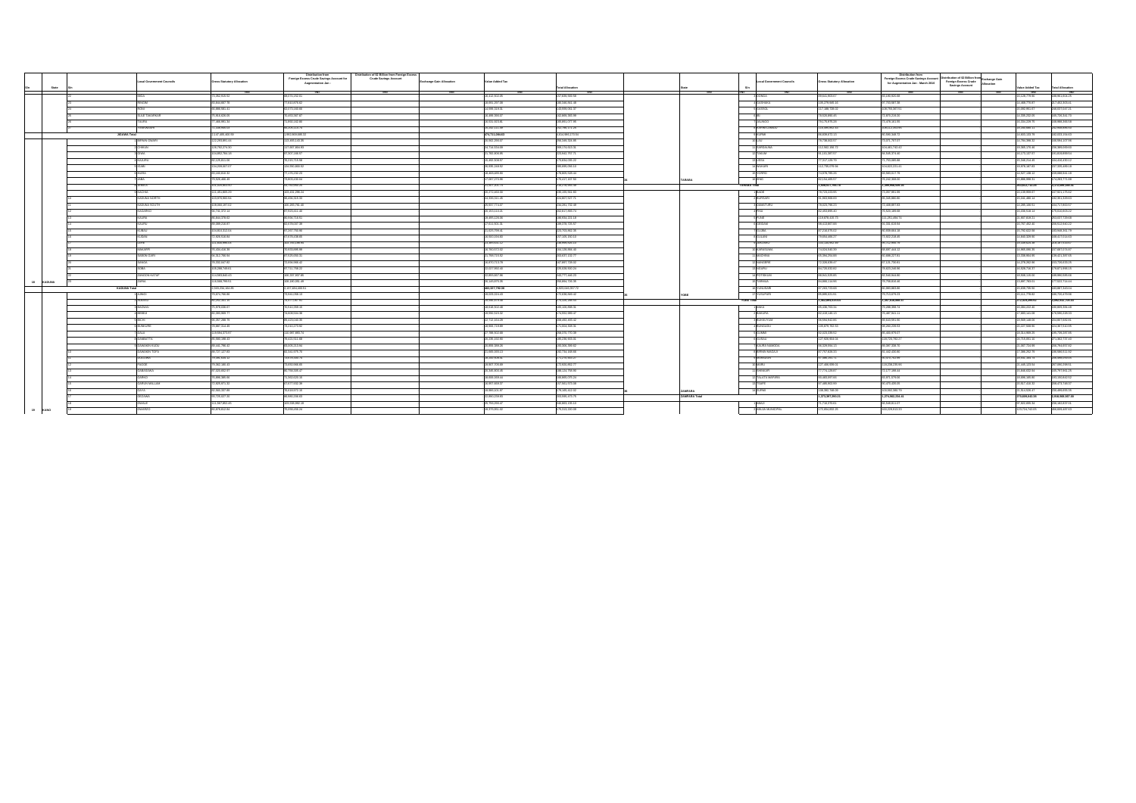|         |              |                     |                                  |                                   | Distribution from                        | stribution of \$2 Billion from Foreign Exces |                         |                 |                |                      |                     |                                  |                            | Distribution fro                    |                           |               |                |                  |
|---------|--------------|---------------------|----------------------------------|-----------------------------------|------------------------------------------|----------------------------------------------|-------------------------|-----------------|----------------|----------------------|---------------------|----------------------------------|----------------------------|-------------------------------------|---------------------------|---------------|----------------|------------------|
|         |              |                     |                                  |                                   | Foreign Excess Crude Savings Account for | Crude Savings Account                        |                         |                 |                |                      |                     |                                  |                            | Foreign Excess Crude Savings Accoun | stribution of \$2 Billion | Ischange Gain |                |                  |
|         |              |                     | <b>Local Government Councils</b> | <b>Gross Statutory Allocation</b> | Augmentation Jan -                       |                                              | schange Gain Allocation | Value Added Tax |                |                      |                     | <b>Local Government Councils</b> | Gross Statutory Allocation | for Augmentation Jan - March 2010   | Foreign Excess Crude      | Allocation    |                |                  |
|         | <b>State</b> |                     |                                  |                                   |                                          |                                              |                         |                 | noitezoilA les |                      | Sin.                |                                  |                            |                                     | <b>Savings Account</b>    |               | alue Added Tax | otal Allocation  |
|         |              |                     |                                  |                                   |                                          |                                              |                         |                 |                |                      | $\sim$              |                                  |                            |                                     |                           |               |                |                  |
|         |              |                     |                                  | 3,352,915.52                      | (074,152.01                              |                                              |                         | 412,502.05      | 839,509.58     |                      |                     |                                  | 641,903.67                 | 83,190,920.68                       |                           |               | 128,779.90     | 88,961,004.25    |
|         |              |                     |                                  | 1844.667.78                       | ,810,876.62                              |                                              |                         | 091,297.08      | 0.346.841.48   |                      |                     |                                  | 5,279,945.16               | 27.703.587.38                       |                           |               | 4.468.770.87   | 17,452,303.41    |
|         |              |                     |                                  | 6,886,581.41                      | 2,073,160.66                             |                                              |                         | 599,319.31      | 1,559,061.37   |                      |                     |                                  | 188,728.02                 | 108,755,367.51                      |                           |               | 0.092.951.67   | 46,037,047.21    |
|         |              |                     |                                  |                                   |                                          |                                              |                         |                 |                |                      |                     |                                  |                            |                                     |                           |               |                |                  |
|         |              |                     | SULE TAKARKAR                    | 75,916,626.05                     | 70,453,367.87                            |                                              |                         | 10.000,009,07   | 62,809,383.99  |                      |                     |                                  | 520,890.45                 | 72,870,219.20                       |                           |               | 4,335,232.05   | 05,726,341.70    |
|         |              |                     | <b>ALIRA</b>                     | 7,466,991.34                      | 1,892,162.80                             |                                              |                         | 531,923.81      | 5,891,077.95   |                      |                     |                                  | 175,975.28                 | 73,478,161.55                       |                           |               | 5334229.75     | 52,008,306.58    |
|         |              |                     | Nowashi                          | 1,338,945.03                      | 6,205,114.74                             |                                              |                         | (242,111.49     | 2,786,171.25   |                      |                     |                                  | 6,495,852.43               | 108,112,353.96                      |                           |               | 1,340,680.11   | 2,948,886.50     |
|         |              | <b>JIGAWA Total</b> |                                  | 2,147,405,400.59                  | 392.869.685.32                           |                                              |                         | (74,711,084.63) | 014.986.170.54 |                      |                     |                                  | 5,839,672.13               | 80,590,348.72                       |                           |               | 14.603.133.79  | 02,033,154.63    |
|         |              |                     | NN GWAR                          | 122,293,891.44                    | 13,493,143.35                            |                                              |                         | 0,562,290.07    | 8,349,324.85   |                      |                     |                                  | 738,002.57                 | 13,071,707.07                       |                           |               | 4,784,398.32   | 06,594,107.96    |
|         |              |                     | <b>MICHAEL</b>                   | 126,792,274.30                    | 17,057,004.93                            |                                              |                         | 4,714,534.09    | 10,174,613.31  |                      |                     |                                  | 2,562,156.72               | 104,461,742.42                      |                           |               | 3.305.170.46   | 26,389,009.60    |
|         |              |                     |                                  |                                   |                                          |                                              |                         |                 | 3.942.757.71   |                      |                     |                                  | 1.101.387.57               |                                     |                           |               |                | 91.819.899.54    |
|         |              |                     | <b>AWE</b>                       | 104,852,784.18                    | 7,307,166.57                             |                                              |                         | 1,782,806.95    |                |                      |                     | TAKUM                            |                            | 84,545,374.40                       |                           |               | 6.173.137.57   |                  |
|         |              |                     | KAJURU                           | 12,125,811.06                     | 6,215,715.58                             |                                              |                         | 492,508.57      | 1,834,035.22   |                      |                     |                                  | 317,129.79                 | 1,753,085.88                        |                           |               | 5,346,214.45   | 4,416,430.12     |
|         |              |                     | <b>TABE</b>                      | 134,209,007.07                    | 24,550,800.52                            |                                              |                         | 6,935,248.52    | 85,095,056.10  |                      |                     | <b>WUKAR</b>                     | 12,735,079.94              | 104,622,221.41                      |                           |               | 19,978,187.83  | 37,335,489.18    |
|         |              |                     |                                  | 13,160,810.32                     | 176,232.23                               |                                              |                         | 8,468,485.90    | 8,805,528.44   |                      |                     |                                  | 1,978,785.26               | 10.583.017.79                       |                           |               | 527,138.12     | 0.088,941.18     |
|         |              |                     |                                  | 79,526,466.49                     | 3,803,430.04                             |                                              |                         | 7.087.270.96    | 70.417.167.50  | TARABA               |                     |                                  | 154,465.57                 | 76,242,308.00                       |                           |               | 5,886,998.31   | 74.283.771.88    |
|         |              |                     | EMA'A                            | 01,020,003.50                     | 3,750,950.25                             |                                              |                         | 507,201.74      | 6,278,955.49   |                      | <b>TARABA Total</b> |                                  | 508,517,796.78             | 1,399,958,939.35                    |                           |               | 163,612,712.28 | 172,003,448.41   |
|         |              |                     |                                  | 11,451,005.29                     | 03,431,256.24                            |                                              |                         | 0,272,460.30    | 15, 155,561.83 |                      |                     |                                  | 723,223.95                 | 73.057.991.99                       |                           |               | 6.139.959.67   | 67.921.175.62    |
|         |              |                     | <b>DUNA NORTH</b>                | 03,976,900.94                     | 6,494,315.33                             |                                              |                         | 4,336,311.45    | 14,807,527.71  |                      |                     |                                  | 03.000.000                 | 85,345,880.80                       |                           |               | 5.041.480.14   | 92,351,329.63    |
|         |              |                     |                                  |                                   |                                          |                                              |                         |                 |                |                      |                     |                                  |                            |                                     |                           |               |                |                  |
|         |              |                     | <b>ADUNA SOUTH</b>               | 108,060,197.02                    | 00,283,761.40                            |                                              |                         | 25,937,774.07   | 34,281,732.49  |                      |                     | DAMATURI                         | 1,023,795.23               | 72,408,897.83                       |                           |               | 14,205,106.51  | 64,717,800.57    |
|         |              |                     | ARKO                             | 14,741,372.14                     | 323,411.40                               |                                              |                         | (153,110.21)    | 2,817,893.74   |                      |                     |                                  | 63,895.40                  | 6,520,189.68                        |                           |               | 036,518.14     | 010,603.22       |
|         |              |                     | AURA                             | 6,844,378.62                      | 0,594,716.51                             |                                              |                         | 495,126.06      | 6,934,221.18   |                      |                     |                                  | 9,878,415.73               | 11,251,494.74                       |                           |               | 1,907,819.21   | 1,037,729.68     |
|         |              |                     | 411011                           | 19,089,216.87                     | 2.678.007.39                             |                                              |                         | 7,611,501.31    | 19,378,725.57  |                      |                     |                                  | 413,867.88                 | 91,331,619.94                       |                           |               | 6,767,452.40   | 06,512,940.22    |
|         |              |                     | EMU                              | 104,810,312.04                    | 7,267,750.90                             |                                              |                         | 1,625,799.41    | 3,703,862.35   |                      |                     |                                  | 216,075.02                 | 80,939,664.18                       |                           |               | 792,622.58     | 03,948,361.79    |
|         |              |                     | <b>DAN</b>                       | 72,926,516.84                     | 7,678,438.65                             |                                              |                         | 6,500,194.60    | 7.105.150.10   |                      |                     |                                  | 054,405.27                 | 73,922,218.45                       |                           |               | 4.840.329.90   | 68.417.014.63    |
|         |              |                     |                                  | 111,830,995.04                    | 03,783,198.94                            |                                              |                         |                 | 6.999.826.10   |                      |                     |                                  | 3.134.952.49               |                                     |                           |               | 333252438      |                  |
|         |              |                     |                                  |                                   |                                          |                                              |                         | 3,385,631.12    |                |                      |                     | JAKUSKO                          |                            | 05,712,055.79                       |                           |               |                | 18,187,533.67    |
|         |              |                     | <b>LKAPTI</b>                    | 76,434,416.39                     | (233,855.99                              |                                              |                         | 6,760,572.02    | 4,128,884.40   |                      |                     |                                  | 024,540.39                 | 08.007.444.12                       |                           |               | 14,965,090.35  | 57,687,074.87    |
|         |              |                     | SABON GARI                       | 94,312,700.94                     | 7,525,650.31                             |                                              |                         | 1,798,715.52    | 0,637,132.77   |                      |                     |                                  | 394,254.88                 | 00,008,227.81                       |                           |               | 1333590495     | 39,421,387.65    |
|         |              |                     | <b>ANGA</b>                      | 78,332,047.82                     | 2,004,905.42                             |                                              |                         | 16,870,713.78   | 67,897,728.02  |                      |                     | NGERI                            | 2,326,639.47               | 67,121,730.81                       |                           |               | 14,278,262.96  | 3,726,633.25     |
|         |              |                     | <b>AIX</b>                       | 105,288,749.61                    | 711,758.22                               |                                              |                         | 2,027,992.40    | 5,028,500.24   |                      |                     |                                  | 720,032.82                 | 78,623,246.96                       |                           |               | 5528,716.37    | 79,871,996.15    |
|         |              |                     | <b>NGON KATAF</b>                | 14,583,840.43                     | 06,337,937.85                            |                                              |                         | 30.133,007      | 3,777,446.23   |                      |                     | OTISKUM                          | 1,941,525.85               | 82,540,944.80                       |                           |               | 8,508,115.00   | 0,990,585.06     |
|         | <b>DUNA</b>  |                     |                                  | 16,568,799.51                     | 08.180.051.49                            |                                              |                         | 145,875.35      | 0,894,726.35   |                      |                     |                                  | 806,114.96                 | 78,758,816.46                       |                           |               | 3.697.783.9    | 522,714.44       |
|         |              | <b>KADUNA Total</b> |                                  | 303,234,164.85                    | 137,484,400.51                           |                                              |                         | 82,327,792.36   | 223,046,357.72 |                      |                     | UNUSAR                           | 263,723.68                 | 80,983,883.86                       |                           |               | 5,639,735.50   | 83,887,343.04    |
|         |              |                     |                                  |                                   |                                          |                                              |                         |                 |                |                      |                     |                                  |                            |                                     |                           |               |                |                  |
|         |              |                     |                                  | 79,674,766.86                     | 2,941,058.13                             |                                              |                         | 023,024.43      | 2,638,649.42   | YORE                 |                     | 17 YUSUFARI                      | 5,895,021.91               | 19,713,679.23                       |                           |               | 111,778.82     | 80,720,479.96    |
|         |              |                     | LBASU                            | 0,252,341.15                      | 477,067.91                               |                                              |                         | 596,879.48      | 1,326,288.54   |                      | <b>YOBE Total</b>   |                                  | 462,004,515.64             | 1,357,618,888.47                    |                           |               | 272,419,299.92 | 1,022,932,704.03 |
|         |              |                     |                                  | 5,978,036.67                      | 510,359.15                               |                                              |                         | 1,618,502.48    | 5,106,898.31   |                      |                     |                                  | 436,763,34                 | 79,288,398.74                       |                           |               | 5,084,222.40   | 80,809,384.48    |
|         |              |                     | <b>LECCH</b>                     | 80.393.909.77                     | 4,008,504.38                             |                                              |                         | ,550,515.32     | 4,552,989.47   |                      |                     | <b>BAKTID</b>                    | 2,419,146.13               | 76,487,941.11                       |                           |               | 17.683.141.08  | 76,590,228.33    |
|         |              |                     |                                  | 96,357,288.79                     | 0,423,040.35                             |                                              |                         | 1,712,164.28    | 0,422,423.42   |                      |                     |                                  | 33.342.00                  | 19,643,591.90                       |                           |               | 8,509,148.06   | 04,807,682.81    |
|         |              |                     | <b>SUNKURE</b>                   | 78,887,314.49                     | 3,210,273.92                             |                                              |                         | 18,906,719.89   | 1004,308.31    |                      |                     |                                  | 05,879,762.53              | 98,260,239.53                       |                           |               | 10.227.508.90  | 24,357,510.95    |
|         |              |                     |                                  | 19.594.373.97                     | 10.987.893.74                            |                                              |                         | 788.502.68      | 8,370,770.39   |                      |                     |                                  | 023 339 52                 | 85.400.979.07                       |                           |               | 8.314.989.25   | 05,739,287.05    |
|         |              |                     |                                  |                                   |                                          |                                              |                         |                 |                |                      |                     |                                  |                            |                                     |                           |               |                |                  |
|         |              |                     | ANBATTA                          | 15,580,198.43                     | 9,421,511.68                             |                                              |                         | 0,235,192.90    | 5,236,903.01   |                      |                     |                                  | 27,926,904.04              | 118,720,782.27                      |                           |               | 4.715.051.10   | 71,362,737.40    |
|         |              |                     | UCLOI VIOLANI                    | 10,441,706.42                     | 005,213.94                               |                                              |                         | 2010/02/02      | 3,306,399.62   |                      |                     | AURA NAMODI                      | 329.594.13                 | 05.027,338.70                       |                           |               | 1.067.724.99   | 06,794,657.82    |
|         |              |                     | <b>WAKN TOFA</b>                 | 88,727,127.83                     | 2,341,975.70                             |                                              |                         | 1,005,005.13    | 2,734,168.66   |                      |                     | ININ MAGAJI                      | 7,757,828.33               | 81,442,430.80                       |                           |               | 7,386,252.79   | 05,586,511.92    |
|         |              |                     | <b>GUWA</b>                      | 79,391,634.12                     | 3.678.300.74                             |                                              |                         | 200.508.41      | 270,443.27     |                      |                     |                                  | 486.191.71                 | 0.470.702.99                        |                           |               | 1541.164.74    | 6.498.059.45     |
|         |              |                     | AGGE                             | 79,362,180.43                     | 23.332.033                               |                                              |                         | 1,907,705.69    | 2,920,852.77   |                      |                     |                                  | 7,406,939.01               | 18,238,235.96                       |                           |               | 46.123.54      | 7,090,298.51     |
|         |              |                     |                                  | 17,020,652.97                     | 0,758,305.47                             |                                              |                         | 0,345,800.45    | 18,124,758.90  |                      |                     |                                  | 774,129.87                 | 2,177,198.44                        |                           |               | 5,846,632.94   | 05,797,961.25    |
|         |              |                     |                                  | 76,096,385.66                     | 1,362,620.15                             |                                              |                         | 88.000,000.14   | 6,005,075.24   |                      |                     | TALATA MAFARA                    | 483,097.00                 | 13,971,579.06                       |                           |               | 1,696,165.80   | 0,150,842.52     |
|         |              |                     |                                  |                                   |                                          |                                              |                         |                 |                |                      |                     |                                  |                            |                                     |                           |               |                |                  |
|         |              |                     | GARUN MALLAM                     | 72,925,971.32                     | 7,677,932.39                             |                                              |                         | 6,957,669.37    | 7,561,573.08   |                      |                     | <b>TSAFE</b>                     | 405,902.99                 | 90,470,435.05                       |                           |               | 0,517,410.32   | 08,473,748.37    |
|         |              |                     |                                  | 82,560,337.89                     | 6,618,972.15                             |                                              |                         | 386.101.97      | 9.955.412.02   | <b>ZAMEARA</b>       | 14 ZURM             |                                  | 8.392.748.09               | 00.592.380.79                       |                           |               | 514.526.47     | 0.499.655.35     |
|         |              |                     |                                  | 13,725,027.20                     | 0,980,206.63                             |                                              |                         | 1,000,239.93    | 1,595,473.75   | <b>ZAMFARA Total</b> |                     |                                  | 373,397,290.21             | 1,274,562,234.41                    |                           |               | 70,009,042.38  | 2,918,568,567.00 |
|         |              |                     | <b>WALE</b>                      | 111,567,852.45                    | 03,538,992.19                            |                                              |                         | 5.756.290.47    | 40,863,135.10  |                      |                     | <b>SABAJI</b>                    | 710,370.61                 | 05,549,811.07                       |                           |               | 17,922,655.34  | 36,182,837.01    |
| 19 KAND |              |                     |                                  | 0,878,812.84                      | 058,455.24                               |                                              |                         | 375,951.02      | 5,313,220.09   |                      |                     | <b>BUJA MUNICIPAL</b>            | 1,054,032.25               | 10,229,913.33                       |                           |               | 23,724,742.05  | 55,009,487.53    |
|         |              |                     |                                  |                                   |                                          |                                              |                         |                 |                |                      |                     |                                  |                            |                                     |                           |               |                |                  |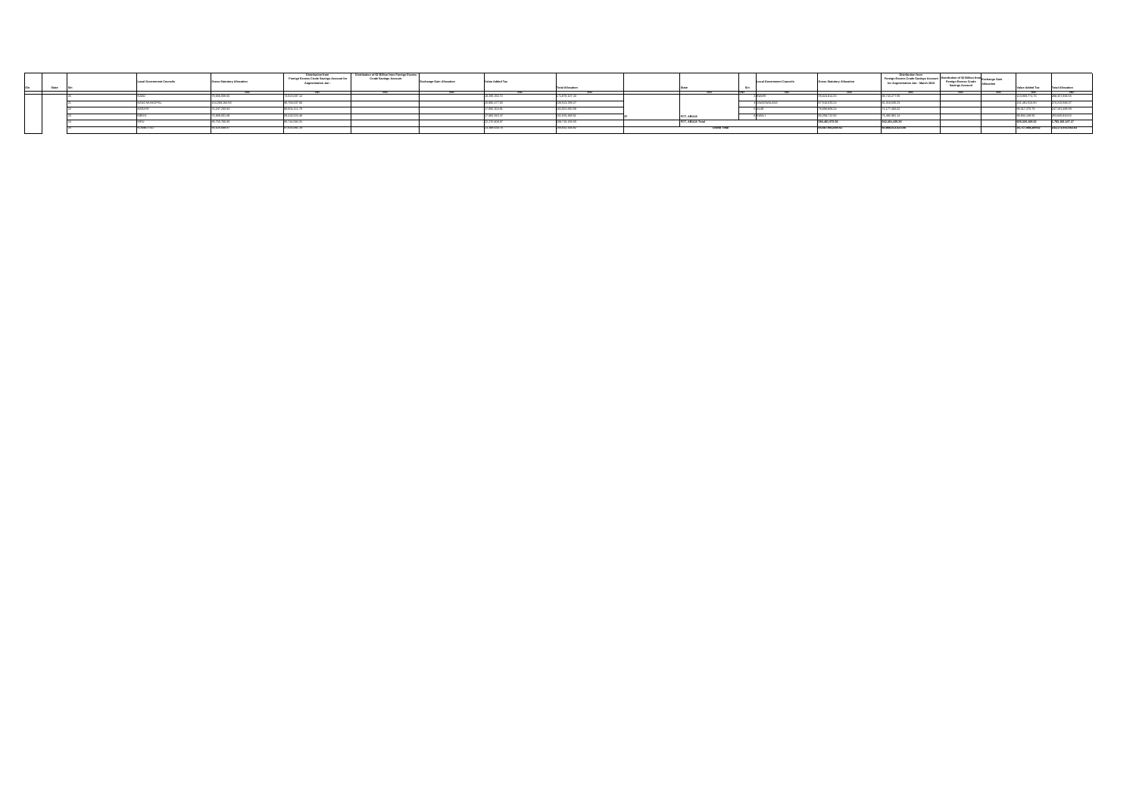| State | <b>Local Government Councils</b> | Gross Statutory Allocation | Distribution from<br>Foreign Excess Crude Savings Account for<br>Augmentation Jan - | Distribution of \$2 Billion from Foreign Escess<br>Crude Savings Account | Eschange Gain Allocation | Value Added Tax      | Total Allocation |                         | <b>Local Government Councils</b> | Gross Statutory Allocation | Distribution from<br>Foreign Excess Crude Savings Account<br>for Augmentation Jan - March 2010 | Distribution of \$2 Billion from<br>Economy Excuse<br><b>Savings Account</b> | Value Added Tax    | <b>Total Allocation</b> |
|-------|----------------------------------|----------------------------|-------------------------------------------------------------------------------------|--------------------------------------------------------------------------|--------------------------|----------------------|------------------|-------------------------|----------------------------------|----------------------------|------------------------------------------------------------------------------------------------|------------------------------------------------------------------------------|--------------------|-------------------------|
|       |                                  |                            |                                                                                     |                                                                          |                          |                      |                  |                         |                                  |                            |                                                                                                |                                                                              |                    |                         |
|       |                                  | 70 655 050 60              | 73.923.697.1                                                                        |                                                                          |                          | 48.205.350.72        | 71.875.107.43    |                         |                                  | 25.624.814.25              | <b>88 743 77</b>                                                                               |                                                                              | 103.969.774.7      |                         |
|       | KAND MUNCENT                     | 104,255,154.55             | 26,764,637.0                                                                        |                                                                          |                          | 25,880 ATT 6         | 26.913.299.27    |                         | <b>INACINAL ADA</b>              | 87.516.033.24              | 81.215.035.2                                                                                   |                                                                              | $-101,481,516.90$  | 1215.586.3              |
|       |                                  | 74:247.233.92              | 68, 904.11                                                                          |                                                                          |                          | 17.850.304.91        | 161.001.650.59   |                         |                                  | 26 806 809 2               | 177,406.0                                                                                      |                                                                              |                    | 17.191.485.99           |
|       |                                  | 74.808.001.68              | 09.424,524.46                                                                       |                                                                          |                          | 17 682 042 AT        | 1.915.468.61     | FCT, ABUJA              |                                  | 50. OKU 712.1              | T4 482 9811                                                                                    |                                                                              | 08,904,149.55      | 5.645.843.62            |
|       |                                  |                            | 89.744.584.3                                                                        |                                                                          |                          | 22 270 808 9         | 719.159.93       | <b>FCT, ABUJA Total</b> |                                  | 584.461.572.5              | 542,401,425.2                                                                                  |                                                                              | $-625,320,102.3$   | 752.183.107             |
|       |                                  | 14.626.688.87              | 87.816.981.19                                                                       |                                                                          |                          | <b>AT 300 FEB 20</b> | 05.832.306.82    | <b>Grand Total</b>      |                                  | 05,587,981,849.53          | 60.068.013.423.00                                                                              |                                                                              | -16,717,558,289.62 | 143.173.553.563.0       |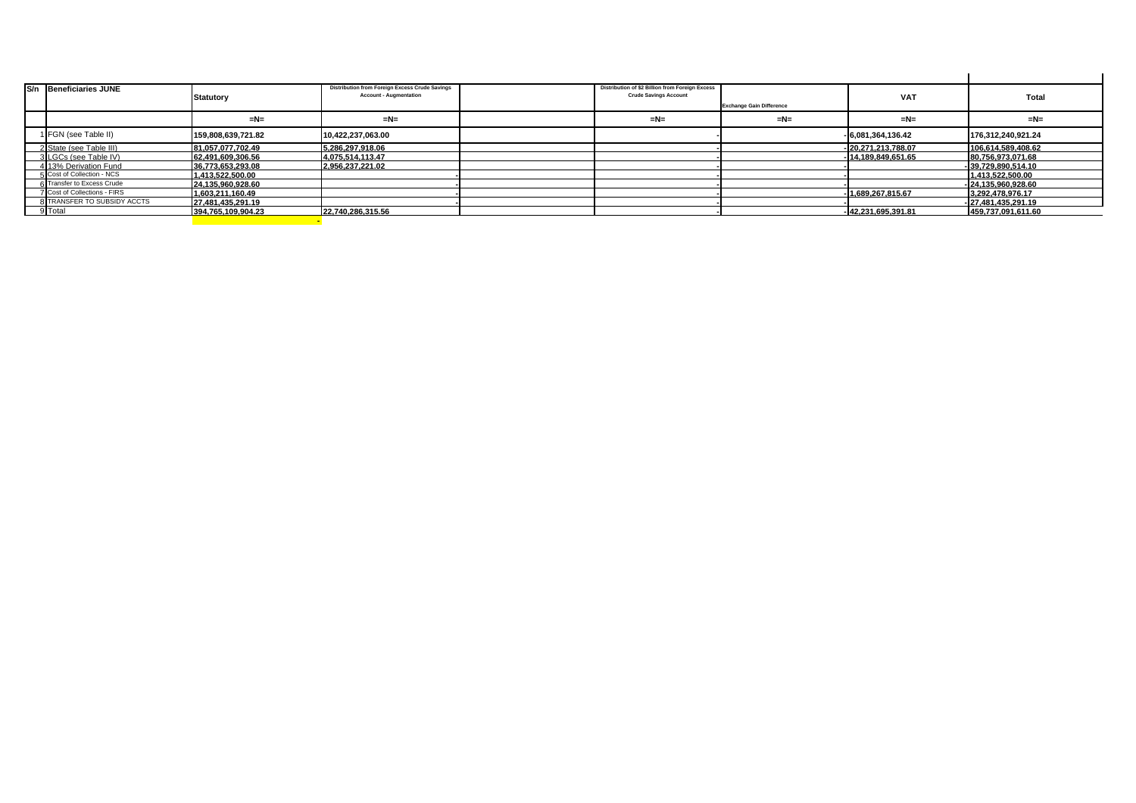| S/n Beneficiaries JUNE       | <b>Statutory</b>   | Distribution from Foreign Excess Crude Savings<br><b>Account - Augmentation</b> | Distribution of \$2 Billion from Foreign Excess<br><b>Crude Savings Account</b> | <b>Exchange Gain Difference</b> | <b>VAT</b>           | Total                 |
|------------------------------|--------------------|---------------------------------------------------------------------------------|---------------------------------------------------------------------------------|---------------------------------|----------------------|-----------------------|
|                              | $=N=$              | $=N=$                                                                           | $=N=$                                                                           | $=N=$                           | $=N=$                | $=N=$                 |
| FGN (see Table II)           | 159,808,639,721.82 | 10,422,237,063.00                                                               |                                                                                 |                                 | - 6,081,364,136.42   | 176,312,240,921.24    |
| 2 State (see Table III)      | 81.057.077.702.49  | 5.286.297.918.06                                                                |                                                                                 |                                 | - 20.271.213.788.07  | 106.614.589.408.62    |
| 3 LGCs (see Table IV)        | 62.491.609.306.56  | 4.075.514.113.47                                                                |                                                                                 |                                 | -14.189.849.651.65   | 80.756.973.071.68     |
| 4 13% Derivation Fund        | 36.773.653.293.08  | 2.956.237.221.02                                                                |                                                                                 |                                 |                      | $-139.729.890.514.10$ |
| 5 Cost of Collection - NCS   | 1.413.522.500.00   |                                                                                 |                                                                                 |                                 |                      | 1.413.522.500.00      |
| 6 Transfer to Excess Crude   | 24.135.960.928.60  |                                                                                 |                                                                                 |                                 |                      | - 24.135.960.928.60   |
| 7 Cost of Collections - FIRS | 1.603.211.160.49   |                                                                                 |                                                                                 |                                 | -1.689.267.815.67    | 3.292.478.976.17      |
| 8 TRANSFER TO SUBSIDY ACCTS  | 27.481.435.291.19  |                                                                                 |                                                                                 |                                 |                      | $-27.481.435.291.19$  |
| 9 Total                      | 394.765.109.904.23 | 22.740.286.315.56                                                               |                                                                                 |                                 | $-42.231.695.391.81$ | 459.737.091.611.60    |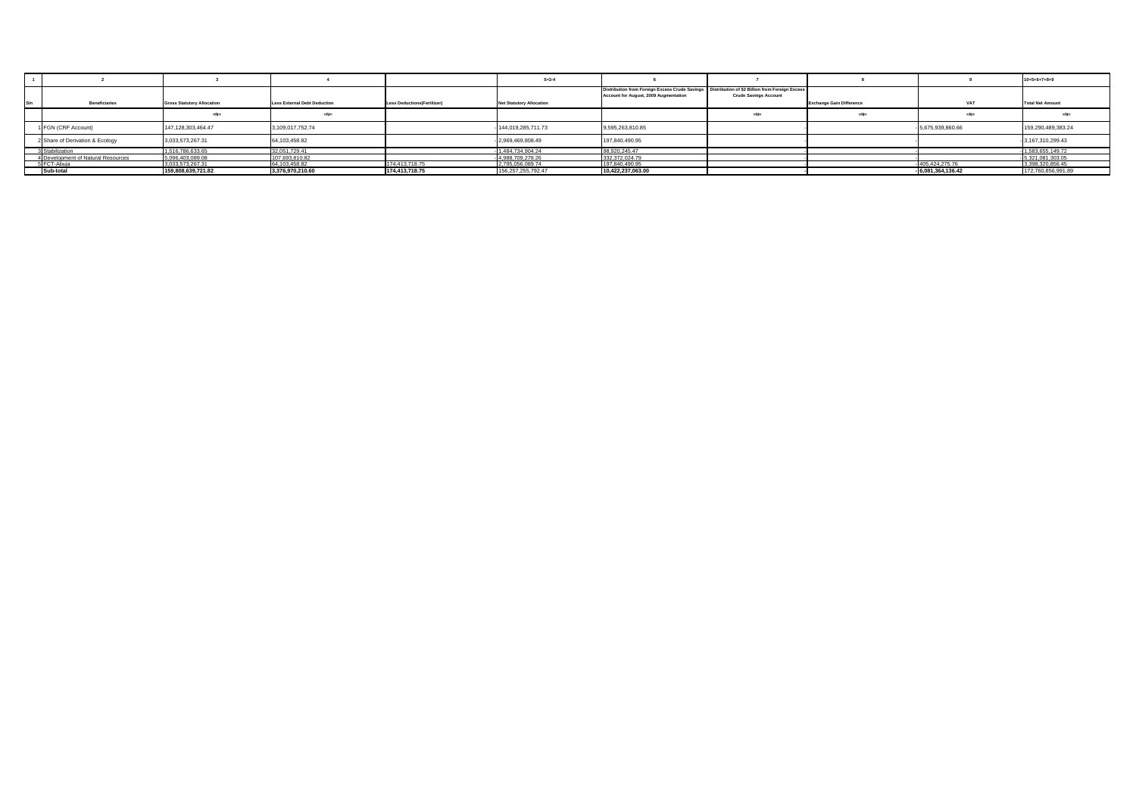|                                    |                                   |                                     |                                    | $5 = 3 - 4$                     |                                                                                                                                          |                              |                                 |                     | $10=5+6+7+8+9$          |
|------------------------------------|-----------------------------------|-------------------------------------|------------------------------------|---------------------------------|------------------------------------------------------------------------------------------------------------------------------------------|------------------------------|---------------------------------|---------------------|-------------------------|
| <b>Beneficiaries</b>               | <b>Gross Statutory Allocation</b> | <b>Less External Debt Deduction</b> | <b>Less Deductions(Fertilizer)</b> | <b>Net Statutory Allocation</b> | Distribution from Foreign Excess Crude Savings  Distribution of \$2 Billion from Foreign Excess<br>Account for August, 2009 Augmentation | <b>Crude Savings Account</b> | <b>Exchange Gain Difference</b> | VAT                 | <b>Total Net Amount</b> |
|                                    | $= N =$                           | $=N=$                               |                                    |                                 |                                                                                                                                          | $=N=$                        | $=$ N $=$                       | =N:                 | $-M$                    |
| FGN (CRF Account)                  | 147, 128, 303, 464. 47            | 3,109,017,752.74                    |                                    | 144,019,285,711.73              | 9,595,263,810.85                                                                                                                         |                              |                                 | - 5,675,939,860.66  | 159,290,489,383.24      |
| 2 Share of Derivation & Ecology    | 3,033,573,267.31                  | 64,103,458.82                       |                                    | $-2,969,469,808.49$             | 197,840,490.95                                                                                                                           |                              |                                 |                     | $-3,167,310,299.43$     |
| Stabilization                      | 1.516.786.633.65                  | 32.051.729.41                       |                                    | 1,484,734,904.24                | 98.920.245.47                                                                                                                            |                              |                                 |                     | 1,583,655,149.72        |
| 4 Development of Natural Resources | 5.096.403.089.08                  | 107.693.810.82                      |                                    | -4.988.709.278.26               | 332.372.024.79                                                                                                                           |                              |                                 |                     | $-5.321.081.303.05$     |
| FCT-Abuia                          | 3.033.573.267.31                  | 64.103.458.82                       | 174.413.718.75                     | 2.795.056.089.74                | 197.840.490.95                                                                                                                           |                              |                                 | $-405.424.275.76$   | 3.398.320.856.45        |
| Sub-total                          | 159,808,639,721.82                | 3,376,970,210.60                    | 174,413,718.75                     | 156,257,255,792.47              | 10,422,237,063.00                                                                                                                        |                              |                                 | $-6,081,364,136.42$ | 172,760,856,991.89      |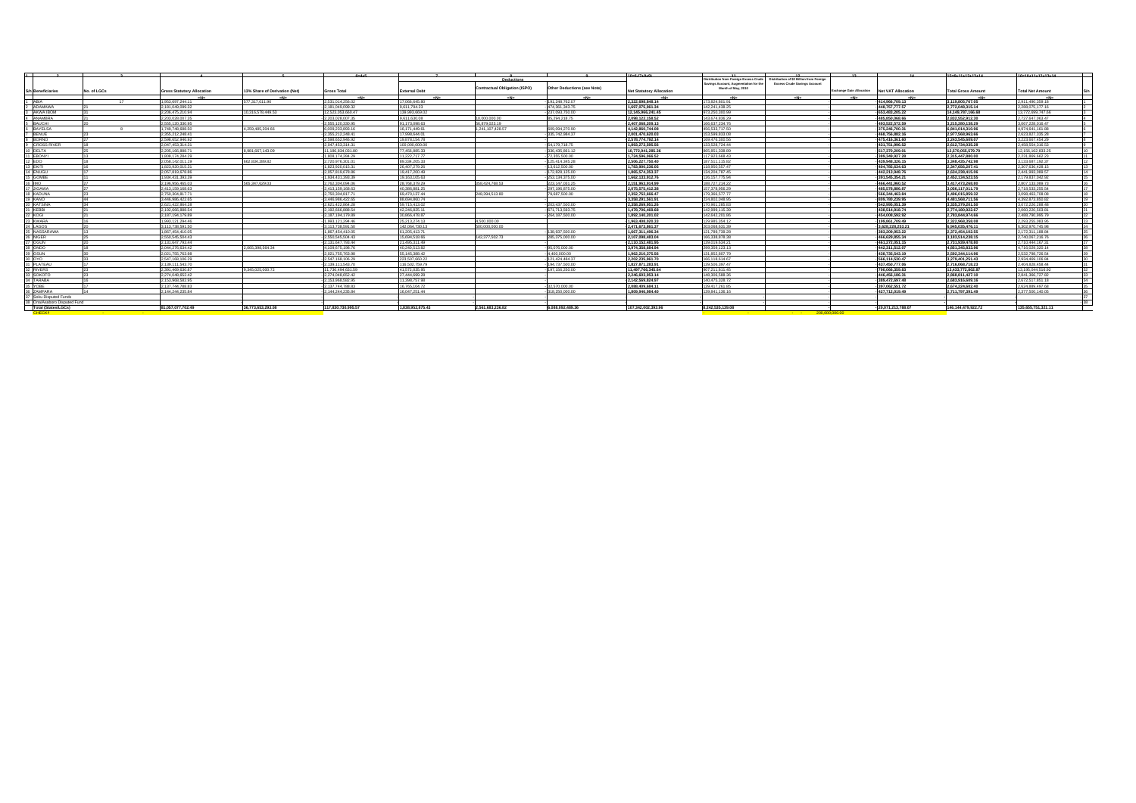|                              |             |                                   |                               | $6 - 4 - 5$        |                      |                                      |                                    | $10m$ 6-(7+8+9)                 |                                       |                                                                                 | $-11$                                       | $\overline{14}$       | 15-6+11+12+13+14          | 16-10-11-12-13-14       |  |
|------------------------------|-------------|-----------------------------------|-------------------------------|--------------------|----------------------|--------------------------------------|------------------------------------|---------------------------------|---------------------------------------|---------------------------------------------------------------------------------|---------------------------------------------|-----------------------|---------------------------|-------------------------|--|
|                              |             |                                   |                               |                    |                      |                                      |                                    |                                 |                                       | listribution from Foreign Excess Crude Distribution of \$2 Billion from Foreign |                                             |                       |                           |                         |  |
|                              |             |                                   |                               |                    |                      |                                      |                                    |                                 | Savings Account, Augmentation for the | Excess Crude Savings Account                                                    |                                             |                       |                           |                         |  |
| In Beneficiaries             | No. of LGCs | <b>Gross Statutory Allocation</b> | 13% Share of Derivation (Net) | Gross Total        | <b>External Debt</b> | <b>Contractual Obligation (ISPO)</b> | <b>Other Deductions (see Note)</b> | <b>Net Statutory Allocation</b> | Month of May, 2010                    |                                                                                 | Exchange Gain Allocation Net VAT Allocation |                       | <b>Total Gross Amount</b> | <b>Total Net Amount</b> |  |
|                              |             |                                   |                               |                    |                      |                                      |                                    |                                 |                                       |                                                                                 |                                             |                       |                           |                         |  |
| <b>ARIA</b>                  |             | 953 697 244 11                    | 377 317 011 90                | 2 531 014 256 02   | 7 ORR R45 80         |                                      | 191 248 762 07                     | 2.322.698.848.14                | 173 824 801 91                        |                                                                                 |                                             | 414 966 709 13        | 119 805 767.0             | 2 911 490 359 18        |  |
| <b>ADAMAWA</b>               |             | 181 049 099 32                    |                               | 2 181 049 099 32   | 961179423            |                                      | 474 381 343 75                     | 1.697.075.961.34                | 142 241 438 25                        |                                                                                 |                                             | 448 757 777 57        | 772 048 315 14            | 2288 075 177 16         |  |
| <b>LAKWA IROM</b>            |             | 206.475.210.94                    | 0.316.578.449.53              | 12 523 053 660 47  | 39 993 669 02        |                                      | 237 093 750 00                     | 12.145.966.241.45               | 973,250,300.99                        |                                                                                 |                                             | 653.483.205.22        | 14 149 787 166 68         | 13 772 699 747 66       |  |
| <b>ANAMRRA</b>               |             | 203 028 007 35                    |                               | 203 028 007 35     | 961163008            | 10.000.000.00                        | 85 294 218 75                      | 2.098.122.158.52                | 143 674 836 29                        |                                                                                 |                                             | <b>AR5 850 068 66</b> | 2.832.552.912.30          | 727 647 063 47          |  |
| RAUCHL                       |             | 555 120 330 95                    |                               | 655 120 330 95     | 1173.098.63          | 56 879 023 19                        |                                    | 2.407.068.209.13                | 166 637 234 76                        |                                                                                 |                                             | 493 522 572 59        | 321528013829              | 3.067.228.016.47        |  |
| <b>RAYELSA</b>               |             | 749 748 688 50                    | 259 485 204 66                | 009 233 893 16     | 16 171 449 61        | 241 107 428 57                       | 609 094 270 90                     | 4.142.860.744.08                | 456 533 717 50                        |                                                                                 |                                             | 375 246 700 31        | 6.841.014.310.96          | 4 974 641 161 88        |  |
| <b>BENUE</b>                 |             | 2.355.212.248.41                  |                               | 355 212 248 41     | 7 998 644 01         |                                      | 335 742 984 37                     | 2.001.470.620.03                | 153 599 833 08                        |                                                                                 |                                             | 468.756.882.16        | 2.977.568.963.66          | 2.623.827.335.28        |  |
| <b>BORNO</b>                 |             | <b>598 652 946 92</b>             |                               | CP 346 C23 802     | 19 878 154 78        |                                      |                                    | 2.578.774.792.14                | 169 476 300 56                        |                                                                                 |                                             | 475.416.361.60        | 3.243.545.609.07          | 3.223.887.454.29        |  |
| <b>CROSS RIVER</b>           |             | 047 453 314 31                    |                               | 047 453 314 31     | 00.000.000.00        |                                      | 54.179.718.75                      | 1.893.273.595.56                | 133.528.724.44                        |                                                                                 |                                             | 431.751.996.52        | 2.612.734.035.28          | 2.458.554.316.53        |  |
| 10 DELTA                     |             | 205 166 888 71                    | 3.981.667.143.09              | 11 186 834 031 80  | 7 456 885 33         |                                      | 336 435 861 12                     | 10.772.941.285.36               | 865.851.338.89                        |                                                                                 |                                             | 517.370.209.01        | 12.570.055.579.70         | 12.156.162.833.25       |  |
| 11 EBONYI                    |             | 1.808.174.284.29                  |                               | 1.808.174.284.29   | 11.222.717.77        |                                      | 72.355.500.00                      | 1.724.596.066.52                | 117.923.668.43                        |                                                                                 |                                             | 389.349.927.28        | 2.315.447.880.00          | 2.231.869.662.23        |  |
| 2 EDO                        |             | 058.142.011.19                    | 62.834.289.82                 | 2.720.976.301.01   | 89.334.205.33        |                                      | 125.414.345.28                     | 2.506.227.750.40                | 187.511.115.82                        |                                                                                 |                                             | 439.948.326.15        | 3.348.435.742.98          | 3.133.687.192.37        |  |
| 13 EKITI                     |             | 1.823.920.015.31                  |                               | 1.823.920.015.31   | 26.407.279.26        |                                      | 13.612.500.00                      | 1.783.900.236.05                | 118.950.557.47                        |                                                                                 |                                             | 404.785.634.63        | 2.347.656.207.41          | 2.307.636.428.15        |  |
| 14 ENUGU                     |             | 057 819 678 86                    |                               | 2.057.819.678.86   | 19.417.200.49        |                                      | 172.828.125.00                     | 1.865.574.353.37                | 134 204 787 45                        |                                                                                 |                                             | 442.213.948.76        | 2.634.238.415.06          | 2 441 993 089 57        |  |
| 5 GOMBE                      |             | 934 431 393 39                    |                               | 1934 431 393 39    | 19.163.105.63        |                                      | 253.134.375.00                     | 1.662.133.912.76                | 126.157.775.94                        |                                                                                 |                                             | 391.545.354.21        | 2.452.134.523.55          | 2.179.837.042.92        |  |
| 16 IMO                       |             | 196.956.465.03                    | 565.347.629.03                | 2.762.304.094.06   | 28.768.379.29        | 358.424.768.53                       | 223.147.031.25                     | 2.151.963.914.99                | 188.727.214.22                        |                                                                                 |                                             | 466.441.960.52        | 3.417.473.268.80          | 2.807.133.089.73        |  |
| 17 JIGAWA                    |             | 413 159 168 63                    |                               | 2 413 159 168 63   | 40 386 881 25        |                                      | 297 198 875 00                     | 2.075.575.412.38                | 157 378 956 29                        |                                                                                 |                                             | <b>485 578 886 87</b> | 3.056.117.011.79          | 2 718 533 255 54        |  |
| 18 KADI INA                  |             | 750 304 817 71                    |                               | 75030481771        | 89 470 137 44        | 248 394 513 80                       | 79 687 500 00                      | 2.352.752.666.47                | 179.386.577.77                        |                                                                                 |                                             | 566 344 463 84        | 496 015 859 33            | 098 463 708 08          |  |
| 19 KANO                      |             | 446 986 422 65                    |                               | 3 446 986 422 65   | <b>88 694 860 74</b> |                                      |                                    | $-3.358.291.561.91$             | 224 802 048 95                        |                                                                                 |                                             | 809.780.239.95        | 4 481 568 711 56          | 4 392 873 850 82        |  |
| 20 KATSINA                   |             | 621 422 864 28                    |                               | 2821 422 884 28    | 59 715 413 02        |                                      | 203 437 500 00                     | 2.358.269.951.26                | 170 961 285 83                        |                                                                                 |                                             | 542 995 051 39        | 3.335.379.201.50          | 3 072 226 288 48        |  |
| 21 KEBBI                     |             | 192 RRR RRR F4                    |                               | 192 RRR RRR R4     | 42 246 825 11        |                                      | 671 713 693 76                     | 1 478 706 469 68                | 142 999 115 39                        |                                                                                 |                                             | 438 514 918 74        | 774 180 922 67            | 080 220 503 81          |  |
| 22 KOGI                      |             | 187 194 179 89                    |                               | 2 187 194 179 89   | 30 ARR 478 87        |                                      | 264 187 500 00                     | 1.892.140.201.02                | 142.642.201.86                        |                                                                                 |                                             | 454 008 592 92        | 2,783,844,974.66          | 2 488 790 995 79        |  |
| 23 KWARA                     |             | 993 121 294 46                    |                               | 993 121 294 46     | 5 213 274 13         | 00.000.001                           |                                    | 1.963.408.020.33                | 29 985 354 12                         |                                                                                 |                                             | 199,861,709.49        | 2.322.968.358.08          | 29 29 25 26 29 29       |  |
| 24 LAGOS                     |             | 113 738 591 50                    |                               | 1113 738 591 50    | 142 064 730 13       | 500.000.000.00                       |                                    | 2.471.673.861.37                | 203.068.631.39                        |                                                                                 |                                             | 3 628 228 253 21      | 3945.035.476.11           | 302 970 745 98          |  |
| 25 NASSARAWA                 |             | 867 454 410 05                    |                               | 1867 454 410 05    | 81 205 413 71        |                                      | 138 937 500 00                     | 1.667.311.496.34                | 121 789 739 28                        |                                                                                 |                                             | 383 209 953 22        | 2.372.454.102.55          | 2 172 311 188 84        |  |
| 26 NIGER                     |             | ESO 545 504 43                    |                               | ESO 545 504 43     | 38 813 893 31        | 142 377 502 73                       | 385,375,000.00                     | 2.107.098.483.04                | 166 338 878 38                        |                                                                                 |                                             | 466.629.855.34        | 3.183.514.238.15          | 740 067 216 76          |  |
| 27 OGUN                      |             | 131.647.793.44                    |                               | 2.131.647.793.44   | 21 495 311 49        |                                      |                                    | 2.110.152.481.95                | 139 019 634 21                        |                                                                                 |                                             | 461.272.051.15        | 2.731.939.478.80          | 710 444 167 31          |  |
| 28 ONDO                      |             | 1044.276.634.42                   | .065.398.564.34               | 109.675.198.76     | 40.240.513.82        |                                      | 95.076.000.00                      | 3.974.358.684.94                | 299.359.123.13                        |                                                                                 |                                             | 442.311.512.07        | 4.851.345.833.96          | 4.716.029.320.14        |  |
| 29 IOSUN                     |             | 021 755 763 98                    |                               | 021 755 763 98     | 5 145 388 42         |                                      | 4 400 000 00                       | 1.962.210.375.56                | 131 852 807 79                        |                                                                                 |                                             | 438 735 543 19        | 2.592.344.114.96          | 2.532.798.726.54        |  |
| 30 OYO                       |             | 1547.168.106.29                   |                               | 2.547.168.106.29   | 223.507.660.22       |                                      | 121.424.484.37                     | 2.202.235.961.70                | 166.118.614.67                        |                                                                                 |                                             | 566.114.530.47        | 3.279.401.251.43          | 2.934.469.106.84        |  |
| 31 PLATEAU                   |             | 139.111.543.70                    |                               | 2.139.111.543.70   | 16.502.759.79        |                                      | 194.737.500.00                     | 1.827.871.283.91                | 139.506.397.47                        |                                                                                 |                                             | 437.450.777.06        | 2.716.068.718.23          | 2.404.828.458.44        |  |
| 32 RIVERS                    |             | 391 489 630 87                    | 345 025 000 72                | 11 736 494 631 69  | 41.572.035.95        |                                      | 197.156.250.00                     | 11,497,766,345,64               | 907.211.811.45                        |                                                                                 |                                             | <b>FR P25 330 0PT</b> | 13.433.772.802.87         | 13 195 044 516 92       |  |
| 33 SOKOTO                    |             | 274 048 652 42                    |                               | 2 274 048 852 42   | 7 444 699 28         |                                      |                                    | $-2.2466603.953.14$             | 148.306.588.36                        |                                                                                 |                                             | 446 456 186 31        | <b>RGR R11 427 10</b>     | 284136672782            |  |
| 34 TARABA                    |             | 153 968 582 95                    |                               | 2 153 988 582 95   | 1.398.757.98         |                                      |                                    | 2.142.569.824.97                | 140.475.328.72                        |                                                                                 |                                             | 389.472.697.48        | 2.683.916.609.16          | 2.672.517.851.18        |  |
| 35 YOBE                      |             | 137 744 788 83                    |                               | 2 137 744 788 83   | 16 765 104 72        |                                      | 32.570.000.00                      | 2.088.409.684.11                | 139.417.261.85                        |                                                                                 |                                             | 397.062.551.72        | 2.674.224.602.40          | 2 624 889 497 68        |  |
| 36 ZAMEARA                   |             | 144 244 235 84                    |                               | 144 244 235 84     | 6.047.251.44         |                                      | 318 250 000 00                     | 1,809,946,984,40                | 139 841 136 16                        |                                                                                 |                                             | 427 712 019 49        | 1.711.797.391.49          | 377 500 140 05          |  |
| 37 Soku Disnuted Funds       |             |                                   |                               |                    |                      |                                      |                                    |                                 |                                       |                                                                                 |                                             |                       |                           |                         |  |
| 38 Ona/Asaboro Disputed Fund |             |                                   |                               |                    |                      |                                      |                                    |                                 |                                       |                                                                                 |                                             |                       |                           |                         |  |
| Total (States/LGCs)          |             | 1.057.077.702.49                  | 36 773 653 293 08             | 117 830 730 995 57 | 183895287543         | 561 683 236 82                       | 6.088.092.489.36                   | 107.342.002.393.96              | 8 242 535 139 08                      |                                                                                 |                                             | 20.071.213.788.07     | 46 144 479 922 72         | 135 655 751 321 11      |  |
|                              |             |                                   |                               |                    |                      |                                      |                                    |                                 |                                       |                                                                                 |                                             |                       |                           |                         |  |

 $-200,000,000,00$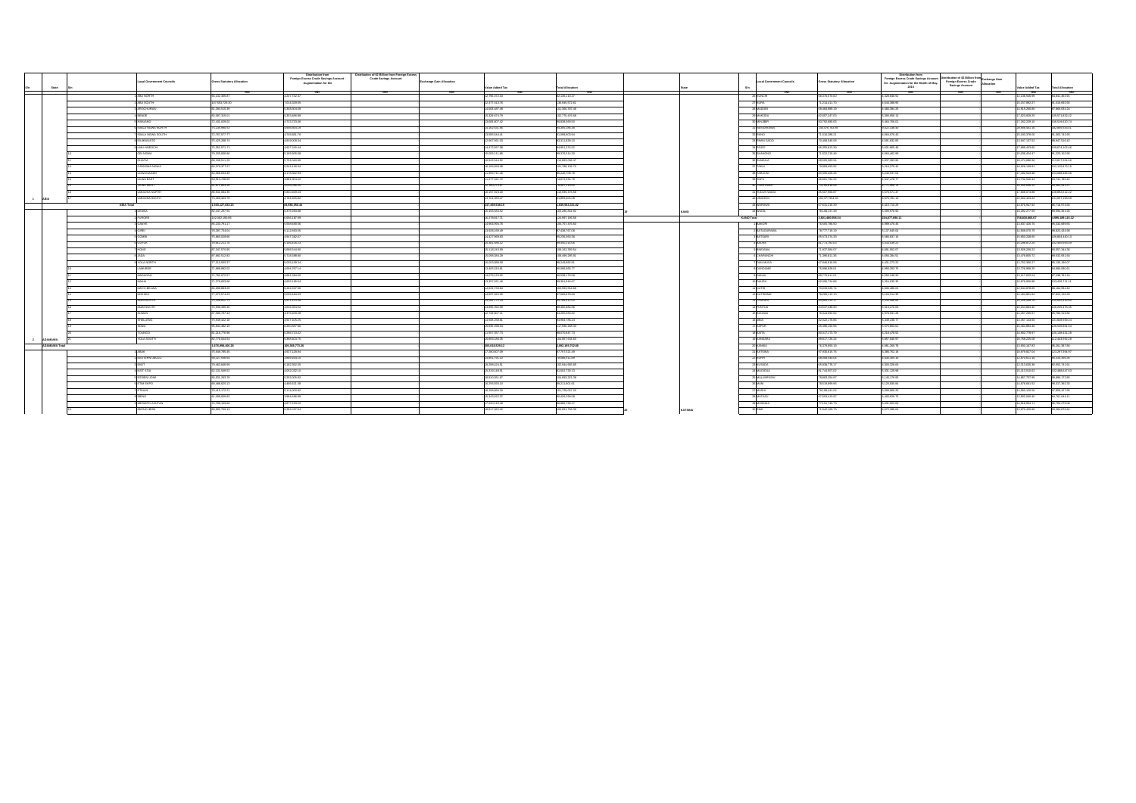|          |                   |                                  |                                   | Distribution from                    | ribution of \$2 Billion from Foreign Exc |                          |                    |                  |                |            |                                  |                            | Distribution fn                         |                              |            |                |                  |
|----------|-------------------|----------------------------------|-----------------------------------|--------------------------------------|------------------------------------------|--------------------------|--------------------|------------------|----------------|------------|----------------------------------|----------------------------|-----------------------------------------|------------------------------|------------|----------------|------------------|
|          |                   |                                  |                                   | Foreign Excess Crude Savings Account | Crude Savings Account                    |                          |                    |                  |                |            |                                  |                            | Foreign Excess Crude Savings Account    | stribution of \$2 Billion fr | hange Gain |                |                  |
|          |                   | <b>Local Government Councils</b> | <b>Gross Statutory Allocation</b> | Augmentation for the                 |                                          | Eschange Gain Allocation |                    |                  |                |            | <b>Local Government Councils</b> | Gross Statutory Allocation | for- Augmentation for the Month of May, | Foreign Excess Crude         | ation      |                |                  |
|          | <b>State</b>      |                                  |                                   |                                      |                                          |                          | than Artisted Taxa | next allowation  |                |            |                                  |                            | 2010                                    | Savings Account              |            | sing Added Tex | otal Allocation  |
|          |                   |                                  |                                   |                                      |                                          |                          |                    |                  |                |            |                                  |                            |                                         |                              |            |                |                  |
|          |                   | <b>BANORTH</b>                   | 5.132.305.8                       | 247,732.37                           |                                          |                          | 756.072.03         |                  |                |            |                                  |                            | 4,328,846.91                            |                              |            | 136,546.99     | 141.463.9        |
|          |                   | <b>BASOUTH</b>                   | 07,553,729.30                     | 014,329.55                           |                                          |                          | 12,377,513.76      | 36.945.572.61    |                |            |                                  | 214,411.70                 | 4,644,388.95                            |                              |            | 157,892.27     | 016,022.92       |
|          |                   | ROCHURNU                         | 11,394,515.39                     | 5,308,304.59                         |                                          |                          | 14,053,487.48      | 01,355,307.46    |                |            |                                  | 484,989.19                 | 4,466,384.26                            |                              |            | 14,915,260.80  | 805,634.24       |
|          |                   |                                  |                                   |                                      |                                          |                          |                    |                  |                |            |                                  |                            |                                         |                              |            |                |                  |
|          |                   | <b>SENDE</b>                     | 82,087,315.01                     | 5,353,486.89                         |                                          |                          | 15,329,674.79      | 102,770,476.68   |                |            |                                  | 2,657,247.03               | 5,390,656.13                            |                              |            | 7,523,929.25   | 05,571,832.42    |
|          |                   | <b>CMALIVY</b>                   | 72,431,029.02                     | 723,733.06                           |                                          |                          | 3,683,807.42       | 02.032.509.50    |                |            | <b>APAJIDIR</b>                  | 792,685.63                 | 5,464,706.01                            |                              |            | 262.229.10     | 06,519,620.74    |
|          |                   | SIALA NGWA NORTH                 | 75,235,990.53                     | 4,906,664.19                         |                                          |                          | 14,162,531.66      | 94,305,186.38    |                |            |                                  | 14,476,763.85              | 9,422,338.40                            |                              |            | 8,905,441.16   | 12,805,543.41    |
|          |                   | SIALA NGWA SOUTH                 | 72.767.577.77                     | 4,745,681.76                         |                                          |                          | 13,585,544.41      | 91,098,803.94    |                |            |                                  | 516,288.21                 | 4,054,076.43                            |                              |            | 5,183,378.00   | 1,363,742.65     |
|          |                   |                                  |                                   |                                      |                                          |                          |                    |                  |                |            |                                  |                            |                                         |                              |            |                |                  |
|          |                   | <b>UIKWUATO</b>                  | 75,425,268.74                     | 4,919,008.34                         |                                          |                          | 12,967,561.03      | 93,311,838.10    |                |            | RIMIN GAD                        | 408,546.08                 | 4,591,832.83                            |                              |            | 3,947,137.52   | 1,947,516.42     |
|          |                   | <b>MU-NNEOCHE</b>                | 75,551,571.71                     | 4,927,245.44                         |                                          |                          | 14,472,557.38      | 94,951,374.52    |                |            |                                  | 6,355,813.39               | 5,631,865.46                            |                              |            | 036.423.60     | 09,674,102.46    |
|          |                   | <b>CEINGWA</b>                   | 79,205,836.86                     | 105,565.58                           |                                          |                          | 15,005,111.86      | 99,376,514.30    |                |            | ачалов                           | 522.215.49                 | 4.054.462.99                            |                              |            | 036.424.47     | 223,102.95       |
|          |                   |                                  | 88,198,511.29                     | 752,040.66                           |                                          |                          | 16,942,544.52      | 110,033,036.47   |                |            |                                  | 150558154                  | 5,837,283.96                            |                              |            | 8,474,686.96   | 3,817,554.46     |
|          |                   | SISIOMA NGWA                     | 80,379,377.27                     | 5,242,100.34                         |                                          |                          | 16,100,059.08      | 101,788,136.70   |                |            | TAKAI                            | 9,983,453.92               | 5,216,279.42                            |                              |            | 6,926,139.81   | 102,125,873.15   |
|          |                   | wi inacche                       | E4.058.634.39                     |                                      |                                          |                          | 11.939.711.46      | 3,246,708.78     |                |            |                                  | 355,406.46                 | 5,240,537.04                            |                              |            | 492,543.48     | 1.088.486.98     |
|          |                   |                                  |                                   | (178,362.93)                         |                                          |                          |                    |                  |                |            |                                  |                            |                                         |                              |            |                |                  |
|          |                   | KWA EAST                         | 10,513,708.65                     | 3,881,304.42                         |                                          |                          | 11,277,321.72      | 74,672,334.79    |                |            |                                  | 6,001,703.25               | 4,347,478.77                            |                              |            | 732.546.44     | 1,741,785.45     |
|          |                   | KWA WEST                         | 61,871,853.28                     | 4,035,095.50                         |                                          |                          | 12,180,270.87      | 78,087,219.65    |                |            | TSANYAWA                         | 53.316.54                  | 4,771,066.74                            |                              |            | 555,058.25     | 1,483,541.57     |
|          |                   | MUAHIA NORTH                     | 88,941,084.35                     | 5,800,469.03                         |                                          |                          | 16,197,923.20      | 10,939,476.58    |                |            | <b>UDUN WADA</b>                 | 5,507,966.87               | 5.576.571.47                            |                              |            | 55,073.00      | 0,092,612.22     |
|          |                   | MUAHIA SOUTH                     | 73,369,323.79                     | 4,784,925.82                         |                                          |                          | 13,701,355.47      | 91,855,605.08    |                |            |                                  | 02,377,954.33              | 6,676,781.13                            |                              |            | 002,423.22     | 31,057,158.69    |
|          |                   |                                  |                                   |                                      |                                          |                          |                    |                  |                |            |                                  |                            |                                         |                              |            |                |                  |
|          |                   | <b>ABIA Total</b>                | 1,303,127,633.23                  | 84,906,050.44                        |                                          |                          | 247,403,648.15     | 1,635,583,331.82 |                |            |                                  | 57,631,316.39              | 4,410,710.29                            |                              |            | 14,676,947.92  | 05,718,974.60    |
|          |                   | MSA                              | 82,447,297.55                     | 376,953.86                           |                                          |                          | 15,456,583.52      | 03,280,844.92    |                |            |                                  | 108,137.38                 | 003,976.93                              |                              |            | 1392,277.59    | 594,391.90       |
|          |                   | URORE                            | 102,062,190.86                    | 6,656,187.99                         |                                          |                          | 16,278,817.71      | 124,997,196.56   |                | KAND Total |                                  | 1,001,480,558.34           | 234,877,690.11                          |                              |            | 13.300,000.07  | (,595,189,115.12 |
|          |                   | <b>ANYE</b>                      | 05/233.791.17                     | 5,558,690.56                         |                                          |                          | 14,954,994.76      | 105,757,476.50   |                |            | RAKOR                            | 6,505,786.50               | 4,989,476.45                            |                              |            | 13,837,426.70  | 5,332,689.65     |
|          |                   |                                  | 78,397,734.04                     | 5,112,863.55                         |                                          |                          | 13,928,169.49      | 27,438,767.08    |                |            |                                  | 777,719.19                 | 5,137,645.04                            |                              |            | 4,908,070.75   | 823,434.98       |
|          |                   | <b>IGMOG</b>                     | 75.860.028.06                     | 4,947,352.07                         |                                          |                          | 14.427.909.63      | 05/235 369 36    |                |            | <b>BATSARI</b>                   | 5.573.374.33               | 5.580.837.15                            |                              |            | 050228.05      | 06.804.440.13    |
|          |                   |                                  |                                   |                                      |                                          |                          |                    |                  |                |            |                                  |                            |                                         |                              |            |                |                  |
|          |                   | annak                            | 78,912,211.70                     | 146,416.23                           |                                          |                          | 15,381,586.12      | 0,440,214.06     |                |            |                                  | 773,782.03                 | 5,333,039.21                            |                              |            | 298,872.25     | 12,405,693.49    |
|          |                   |                                  | 87,347,570.95                     | 5,696,544.90                         |                                          |                          | 15,118,243.09      | 108, 162,359.54  |                |            |                                  | 1,937,584.07               | 4,091,552.07                            |                              |            | 1928, 208.22   | 0,557,344.36     |
|          |                   |                                  | 87,682,512.83                     | 5,718,388.80                         |                                          |                          | 15,098,384.29      | 108,499,285.91   |                |            |                                  | 396,811.36                 | 4,056,284.51                            |                              |            | 3,479,835.72   | 532,931.60       |
|          |                   | <b><i>FOLA NORTH</i></b>         | 77,210,555.37                     | 5,035,439.34                         |                                          |                          | 16,003,888.09      | 98,249,882.81    |                |            | DAN-MUSA                         | 52.010,092.7               | 4,431,273.22                            |                              |            | 2,752,306.27   | 15, 130, 196.07  |
|          |                   | MURDE                            | 1,986,882.02                      | 4,694,767.14                         |                                          |                          | 13,405,316.61      | 0,086,965.77     |                |            | <b>MNDUME</b>                    | 006,828.61                 | 4,956,283.75                            |                              |            | 726,968.25     | 680,080.61       |
|          |                   |                                  |                                   |                                      |                                          |                          |                    |                  |                |            |                                  |                            |                                         |                              |            |                |                  |
|          |                   | DAGALI                           | 71,781,672.57                     | 4,681,384.00                         |                                          |                          | 14,075,123.02      | 10,538,179.58    |                |            |                                  | 770.911.0                  | 4,550,248.20                            |                              |            | 117,622.04     | 438,781.24       |
|          |                   |                                  | 71,379,653.68                     | 655,165.54                           |                                          |                          | 13,357,021.46      | 13,291,840.67    |                |            |                                  | 095,724.88                 | 5,354,035.35                            |                              |            | 5,976,950.88   | 3,426,711.11     |
|          |                   | <b><i>AWJBBOYA</i></b>           | 80,098,883.29                     | 5,262,937.56                         |                                          |                          | 14,631,733.84      | 00,593,554.69    |                |            |                                  | 633,229.74                 | 4,006,486.02                            |                              |            | 23.878.849.00  | 1,184,594.40     |
|          |                   | <b>SYDES</b>                     | 77,272,574.23                     | 5,039,484.03                         |                                          |                          | 14,037,820.35      | 27.009.878.60    |                |            | <b>CELLER CONTACT</b>            | 8,265,112.10               | 5,104,214.35                            |                              |            | 14.454.001.84  | 7,824,128.29     |
|          |                   | <b>JUBI NORTH</b>                | 75,308,822.73                     | 4,911,414.08                         |                                          |                          | 14,569,175.19      | 4,789,412.00     |                |            | <b>ASKAR</b>                     | 1,054,229.17               | 5,534,588.84                            |                              |            | 5,256,598.78   | 5,055,416.80     |
|          |                   |                                  |                                   |                                      |                                          |                          |                    |                  |                |            |                                  |                            |                                         |                              |            |                |                  |
|          |                   | <b>JUBI SOUTH</b>                | 70,938,495.35                     | 4,626,394.52                         |                                          |                          | 13,025,002.00      | 89,460,882.86    |                |            | <b>UMTLE</b>                     | 537,338,90                 | 5,513,270.05                            |                              |            | 6,154,854.40   | 106,205,473.35   |
|          |                   | 144.54                           | 67,090,797.43                     | 4,375,459.28                         |                                          |                          | 12,733,807.11      | 84,200,063.82    |                |            |                                  | 5,344,092.92               | 4,978,931.28                            |                              |            | 14,457,295.67  | 25,780,319.86    |
|          |                   | <b>HELLENG</b>                   | 75.549.422.18                     | 4,927,105.25                         |                                          |                          | 14,508,258.81      | 94,984,786.24    |                |            |                                  | 022.176.86                 | 5.349.238.77                            |                              |            | 4.457.143.60   | 01.828.559.24    |
|          |                   |                                  | 95,844,482.19                     | 250,687.80                           |                                          |                          | 15,835,098.34      | 17,930,268.33    |                |            |                                  | 5,496,192.96               | 1575.003.61                             |                              |            | 38.803.834     | 0,536,091.04     |
|          |                   | <b>DUNGC</b>                     | 81,216,776.98                     | 5,296,713.02                         |                                          |                          | 11,557,357.73      | 98,070,847.73    |                |            |                                  | 017,173.79                 | 5,218,478.52                            |                              |            | 4,902,778.97   | 00,138,431.28    |
|          |                   |                                  |                                   |                                      |                                          |                          |                    |                  |                |            | KAMKARA                          |                            |                                         |                              |            |                |                  |
| $\sim$ 2 | <b>ADAMAWA</b>    | <b>CLA SOUTH</b>                 | 2,776,044.54                      | 5,398,403.75                         |                                          |                          | 15,093,186.35      | 034,007,034.03   |                |            |                                  | 1,817,726.24               | 5,857,640.97                            |                              |            | 6,768,225.08   | 2,443,592.28     |
|          | <b>MAWA Total</b> |                                  | 1,676,938,400.28                  | 109,368,773.26                       |                                          |                          | 305,018,529.12     | 2,092,185,702.66 |                |            | KANKIA                           | 379,950.19                 | 4,981,209.78                            |                              |            | 1,900,167.83   | 5,261,387.00     |
|          |                   | <b>ABAK</b>                      | 75,549,785.45                     | 4,927,128.94                         |                                          |                          | 17,280,607.09      | 97,757,521.49    |                |            | 21 KATSINA                       | 330,815.76                 | 6,386,752.18                            |                              |            | 18,979,827.04  | 23,297,394.97    |
|          |                   | STERN COOLO                      | 59,327,556.64                     | 3,869,164.15                         |                                          |                          | 14,091,791.10      | 18,088,511.89    |                |            |                                  | 008,440.04                 | 4,435,305.16                            |                              |            | 31.113,013.1   | 314,356.35       |
|          |                   |                                  | 70,463,848.99                     | 5,182,392.35                         |                                          |                          | 18,298,424.51      | 102,944,665.85   |                |            |                                  | 5,938,778.17               | 4,300,328.06                            |                              |            | 2,313,635.38   | 2,552,741.61     |
|          |                   |                                  |                                   |                                      |                                          |                          |                    |                  |                |            |                                  |                            |                                         |                              |            |                |                  |
|          |                   | <b>ISIT ATAI</b>                 | 62,131,549.52                     | 4,052,032.10                         |                                          |                          | 15,319,148.51      | 81,502,730.13    |                |            | 24 MAI ADUA                      | 1,744,507.02               | 5,331,129.98                            |                              |            | 5,413,010.52   | 02,488,647.63    |
|          |                   | <b>SIEN UDIM</b>                 | 80,531,263.79                     | 5,252,005.92                         |                                          |                          | 18,910,051.67      | 04,023,321.38    |                |            | MAILBREAD                        | 893 254 97                 | 5,145,179.93                            |                              |            | 4,857,737.95   | 1,096,172.85     |
|          |                   | TIM EKPO                         | 03.488.625.13                     | 4,466,621.38                         |                                          |                          | 16.256.555.10      | 89,211,801.61    |                |            |                                  | 519,899.96                 | 5.120.830.84                            |                              |            | 4.676.661.52   | 8,317,392.33     |
|          |                   |                                  | 18,415,172.21                     | 14,000.8                             |                                          |                          | 5,198,884.18       | 4,728,057.20     |                |            |                                  | 198,441.                   | 099,866.26                              |                              |            | 560,120.56     | 158,427.0        |
|          |                   |                                  | 61,098,609.82                     | 3,984,000.09                         |                                          |                          | 15,343,022.37      | 80,426,299.08    |                |            |                                  | 553,413.97                 | 4,405,629.73                            |                              |            | 2802000.40     | 14,761,044.11    |
|          |                   |                                  | 74,789,159.56                     | 4,877,523.22                         |                                          |                          |                    | 6,555,799.27     |                |            |                                  | 151,740.73                 |                                         |                              |            | 4,516,934.71   | 1700,279.08      |
|          |                   | ESKPO ASUTAN                     |                                   |                                      |                                          |                          | 17,220,116.49      |                  |                |            |                                  |                            | 031,003.63                              |                              |            |                |                  |
|          |                   | <b>IONO IBOM</b>                 | 80,991,756.13                     | 5,282,037.84                         |                                          |                          | 18,817,962.42      | 105,091,755.39   | <b>KATSINA</b> |            |                                  | 1.642.169.73               | 4.672.286.04                            |                              |            | 13.970.420.86  | 1,254,576.64     |
|          |                   |                                  |                                   |                                      |                                          |                          |                    |                  |                |            |                                  |                            |                                         |                              |            |                |                  |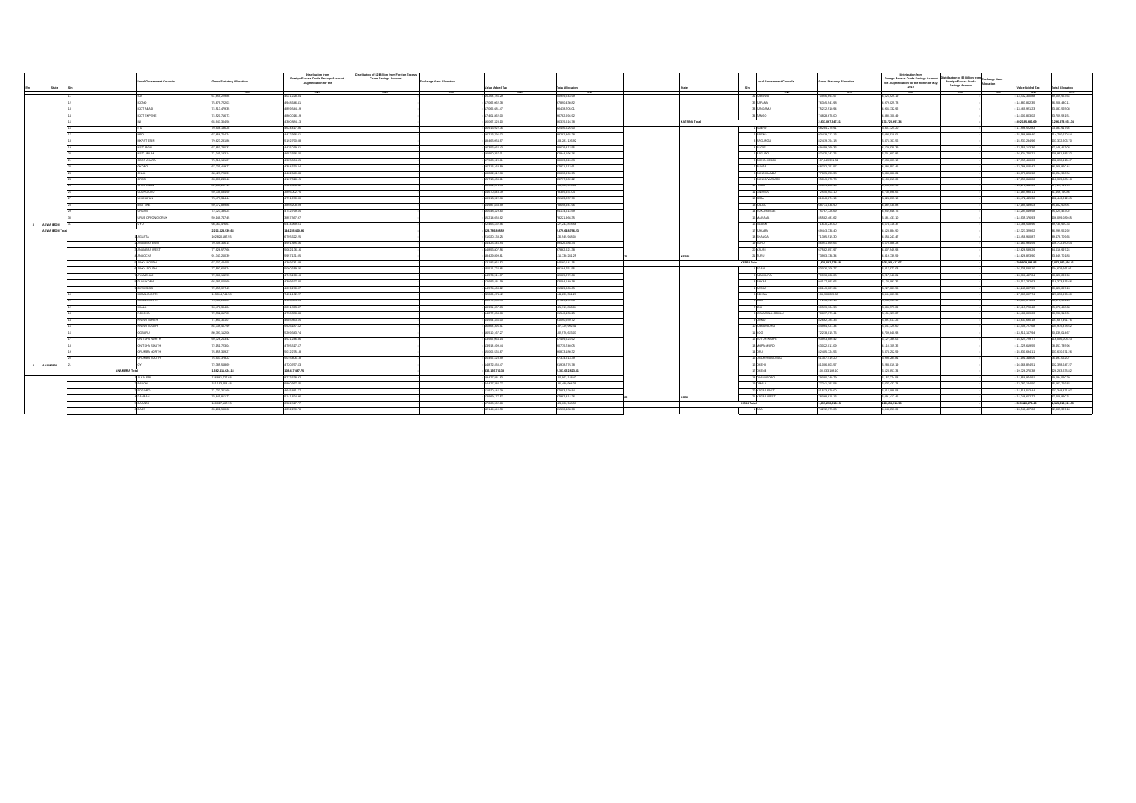|                        |               |                                  |                                   | <b>Distribution from</b>             | tribution of \$2 Billion from Foreign Ex |                          |                |                  |               |                    |                                  |                            | Distribution fro                        |                            |              |                             |                  |
|------------------------|---------------|----------------------------------|-----------------------------------|--------------------------------------|------------------------------------------|--------------------------|----------------|------------------|---------------|--------------------|----------------------------------|----------------------------|-----------------------------------------|----------------------------|--------------|-----------------------------|------------------|
|                        |               |                                  |                                   | Foreign Excess Crude Savings Account | Crude Savings Account                    |                          |                |                  |               |                    |                                  |                            | Foreign Excess Crude Savings Accoun     | tribution of \$2 Billion f | schange Gain |                             |                  |
|                        |               | <b>Local Government Councils</b> | <b>Gross Statutory Allocation</b> | Augmentation for the                 |                                          | tschange Gain Allocation |                |                  |               |                    | <b>Local Government Councils</b> | Gross Statutory Allocation | for- Augmentation for the Month of May, | Foreign Excess Crude       |              |                             |                  |
| <b>State</b>           |               |                                  |                                   |                                      |                                          |                          | alue Added Tax | nel Albertalian  |               | <b>State</b>       |                                  |                            | 2010                                    | Savings Account            |              | <b>Inform Artified Term</b> | otal Allocation  |
|                        |               |                                  |                                   |                                      |                                          |                          |                |                  |               |                    |                                  |                            |                                         |                            |              |                             |                  |
|                        |               |                                  | 1.059.229.06                      | 021,228.84                           |                                          |                          | 268,785.29     |                  |               |                    |                                  |                            | 4,626,929.19                            |                            |              | 1432300.88                  | 05.923.6         |
|                        |               |                                  | 75,879,722.03                     | 348.646.41                           |                                          |                          | 7,062,062.38   | 2,000,430.02     |               |                    |                                  | 345.541.98                 | 4.979.025.78                            |                            |              | 14.003.002.35               | 0208-430.11      |
|                        |               |                                  | 74,513,479.35                     | 4,850,544.19                         |                                          |                          | 17,005,031.47  | 0.201,824,20     |               |                    |                                  | 212,510.94                 | 4,905,132.92                            |                            |              | 13,409,921.23               | 13,587,565.08    |
|                        |               | OT ABAS                          |                                   |                                      |                                          |                          |                |                  |               |                    |                                  |                            |                                         |                            |              |                             |                  |
|                        |               | <b>OT EKPENE</b>                 | 74,520,716.73                     | 4,860,016.19                         |                                          |                          | 17,401,862.00  | 96,782,594.92    |               | 34 2ANGO           |                                  | ,828,678.00                | 4,880,100.49                            |                            |              | 14,000,803.02               | 13,709,581.51    |
|                        |               |                                  | 05,947,304.55                     | 300,884.13                           |                                          |                          | 16,057,328.10  | 5,315,516.78     | KATSINA Total |                    |                                  | 633,067,247.3              | 71,720,697.34                           |                            |              | 492,185,986.09              | 3,206,973,931.34 |
|                        |               |                                  | 70,908,186.28                     | 4,624,417.86                         |                                          |                          | 16,913,922.76  | 2,446,526.90     |               |                    | <b>LIERS</b>                     | 204,270.91                 | 3,801,124.20                            |                            |              | 598,522.83                  | 883,917.94       |
|                        |               |                                  |                                   |                                      |                                          |                          |                |                  |               |                    |                                  |                            |                                         |                            |              |                             |                  |
|                        |               |                                  | 67,656,704.24                     | 4,412,366.01                         |                                          |                          | 16,213,795.02  | 18,282,865.28    |               |                    | aptwy                            | 419,212.13                 | 6,092,519.01                            |                            |              | 15.188.939.40               | 14,700,670.54    |
|                        |               | <b>INPAT ENIN</b>                | 79,623,281.06                     | 5,192,790.08                         |                                          |                          | 18,405,054.97  | 03,281,126.92    |               |                    |                                  | 419,754.18                 | 5,375,167.56                            |                            |              | 5,537,284.96                | 0,332,206.70     |
|                        |               | <b>SIT INCAR</b>                 | 67,850,730.32                     | 4,425,019.81                         |                                          |                          | 16,353,662.43  | 18,629,412.55    |               |                    |                                  | 002030233                  | 4,529,930.39                            |                            |              | 13,159,113.36               | 7,148,413.08     |
|                        |               | SIT UBIUM                        | 71.341.183.14                     | 652,656.60                           |                                          |                          | 16,950,357.01  | 2,944,195.76     |               |                    |                                  | 425,142.25                 | 30.003.00                               |                            |              | 16.824.740.21               | 09,951,486.32    |
|                        |               | <b>MOTAKARA</b>                  | 75,518,131.27                     | 4,925,064.55                         |                                          |                          | 7,560,129.01   | 0,003,324.83     |               |                    |                                  | 7,849,351.32               | 033,609.12                              |                            |              | 7,755,456.03                | 32.638.416.47    |
|                        |               |                                  |                                   |                                      |                                          |                          |                |                  |               |                    |                                  |                            |                                         |                            |              |                             |                  |
|                        |               | KODO                             | 67,231,419.77                     | 4,384,630.24                         |                                          |                          | 16,215,163.59  | 17,831,213.61    |               |                    |                                  | 1,702,251.57               | 4,480,553.45                            |                            |              | 13,286,055.42               | 6,458,860.44     |
|                        |               |                                  | 68,427,728.31                     | 4,462,649.88                         |                                          |                          | 16,802,612.76  | 102209305        |               |                    |                                  | 805,053.38                 | 5.080.080.24                            |                            |              | 13.979.826.92               | 954,980.5        |
|                        |               | <b>DRON</b>                      | 63,899,249.46                     | 4,167,316.15                         |                                          |                          | 15,710,436.61  | 13,777,002.22    |               |                    | <b>MYASAGU</b>                   | 049.072.78                 | 03.013.007.3                            |                            |              | 7.657.618.80                | 18,905,505.18    |
|                        |               | MAIK ANAM                        | 82,633,207.15                     | 5,389,088.32                         |                                          |                          | 18,301,374.53  | 06,323,670.00    |               |                    |                                  | 1,091,222.46               | 4,558,094.55                            |                            |              | 13,278,482.69               | 7,727,799.70     |
|                        |               | DUNG UKO                         | 59,739,084.50                     | 3,896,002.75                         |                                          |                          | 14,670,843.79  | 10.105,031.04    |               |                    |                                  | 540,902.10                 | 4,730,898.65                            |                            |              | 14,184,990.11               | 455,790.86       |
|                        |               | <b>KANAFUN</b>                   | 73,477,344.44                     | 4,791,970.60                         |                                          |                          | 16,913,922.76  | 25,183,237.79    |               |                    |                                  | 648,874.19                 | 5,324,893.10                            |                            |              | 15,472,445.36               | 2,446,212.65     |
|                        |               |                                  |                                   |                                      |                                          |                          |                |                  |               |                    |                                  |                            |                                         |                            |              |                             |                  |
|                        |               | <b>ISIT EKET</b>                 | 59,772,899.88                     | 3,898,208.09                         |                                          |                          | 14,987,833.99  | 30.1142.52.57    |               |                    | <b>INALGO</b>                    | 8,731,038.90               | 4,482,430.88                            |                            |              | 12,189,439.03               | 15,402,908.81    |
|                        |               |                                  | 72,723,385.24                     | 4,742,799.65                         |                                          |                          | 16,648,329.80  | 114,514.02       |               |                    | <b>XOBISS</b>                    | 787,726.69                 | 4,942,646.75                            |                            |              | 4,294,049.58                | 024,423.02       |
|                        |               | URUE OFFONG/DRUK                 | 59,149,747.45                     | 3,857,567.97                         |                                          |                          | 15,214,050.92  | 78,221,966.35    |               |                    |                                  | 582,481.62                 | 5,581,431.10                            |                            |              | 14,935,176.93               | 23.029.029.00    |
| 3 AKWA IBOM            |               |                                  | 10.353.476.61                     | 6,414,959.01                         |                                          |                          | 22,405,432.96  | 127.243.878.58   |               |                    | CARK                             | 670 235.00                 | 4,674,116.37                            |                            |              | 13,300,555,96               | 19,730,920.33    |
| <b>AKWA IBOM Total</b> |               |                                  | 2,211,623,539.68                  | 144,235,410.96                       |                                          |                          | 523.789.805.59 | 2,579,645,756.23 |               |                    |                                  |                            |                                         |                            |              |                             |                  |
|                        |               |                                  |                                   |                                      |                                          |                          |                |                  |               |                    |                                  | 443,338.40                 | 4,528,884.90                            |                            |              | 12,327,329.62               | 200,552.92       |
|                        |               | <b>AGUATA</b>                    | 102.820.187.55                    | 6.705.622.25                         |                                          |                          | 21.020.138.25  | 30.545.948.04    |               |                    | HANG                             | 30551530                   | 4,054,243.47                            |                            |              | 13.458.950.87               | 0.478.709.65     |
|                        |               | AMBRA EAST                       | 70,409,355.14                     | 4,591,885.00                         |                                          |                          | 14,425,446.54  | AC 883,854.0     |               |                    |                                  | 1,941,862.66               | 670,086.28                              |                            |              | 14,160,994.59               | 06,772,950.54    |
|                        |               | NAMBRA WEST                      | 77,926,577.66                     | 5,082,135.16                         |                                          |                          | 14,853,807.56  | 27,062,521.38    |               |                    |                                  | 582.857.97                 | 4,407,549.98                            |                            |              | 12.626.589.29               | 14,616,937.24    |
|                        |               | NADCHA                           | 91,343,250.39                     | 5,957,131.05                         |                                          |                          | 18,429,099.01  | 15,730,281.25    | <b>TEMPLE</b> |                    |                                  | 1,903,138.34               | 4,819,739.59                            |                            |              | 14,626,823.90               | 3,349,701.83     |
|                        |               |                                  |                                   |                                      |                                          |                          |                |                  |               |                    |                                  |                            |                                         |                            |              |                             |                  |
|                        |               | wka north                        | 67,003,424.55                     | 4,369,761.08                         |                                          |                          | 13,186,955.52  | 54,560,141.15    |               | <b>KEBBI Total</b> |                                  | 635,592,678.48             | 106,668,417.07                          |                            |              | 209.929.398.00              | 2,042,190,494.41 |
|                        |               | WKA SOUTH                        | 7,592,669.24                      | 000,359.00                           |                                          |                          | 5,511,722.65   | 8,164,751.55     |               |                    |                                  | 076,108.77                 | 417,973.03                              |                            |              | 6,135,580.10                | 04,629,661.91    |
|                        |               | YAMELUM                          | 72,760,162.55                     | 4,745,198.16                         |                                          |                          | 14,579,911.97  | 2,085,272.68     |               |                    | <b>JAOKUT</b>                    | 336,062.05                 | 5,217,140.81                            |                            |              | 3,705,437.04                | (920,239.90      |
|                        |               | UNUKOFIA                         | 66,081,060.69                     | 4,309,607.30                         |                                          |                          | 12,693,481.19  | 3,084,149.18     |               |                    |                                  | 117,592.66                 | 8,138,091.36                            |                            |              | 6.117.232.63                | 18,373,316.66    |
|                        |               | 2012UM                           | 72,055,927.45                     | 4,699,270.07                         |                                          |                          | 14,574,468.12  | 1,329,005.05     |               |                    |                                  | 149,057.64                 | 5,227,081.55                            |                            |              | 14,243,887.95               | 620,057.13       |
|                        |               | <b>DEMILI NORTH</b>              | 113.944.744.58                    | 7,431,132.27                         |                                          |                          | 22,053,474.42  | 144.239.351.27   |               |                    | DEKINA                           | 04.906.225.80              | 6,841,057.35                            |                            |              | 17.903.097.74               | 29,650,990.69    |
|                        |               |                                  |                                   |                                      |                                          |                          |                |                  |               |                    |                                  |                            |                                         |                            |              |                             |                  |
|                        |               | JEMILI SOUTH                     | 76,460,216.89                     | 4,986,504.53                         |                                          |                          | 6,078,430.45   | 525,151.00       |               |                    |                                  | 256,794.13                 | 5,038,454.90                            |                            |              | 3,883,073.24                | 6,178,322.26     |
|                        |               | nas a                            | 26,476,304.84                     | 6,291,893.37                         |                                          |                          | 18,951,657.83  | 21,719,856.04    |               |                    |                                  | 2,572,164.98               | 3,885,573.29                            |                            |              | 12.413.720.42               | 5,878,458.68     |
|                        |               | <b>ANDMA</b>                     | 72,532,617.89                     | 4,730,358.38                         |                                          |                          | 14,277,458.98  | 1,540,435.25     |               |                    | ALAMELA-COOLL                    | 577,779.41                 | 5,131,127.27                            |                            |              | 14,488,009.63               | 10,296,916.31    |
|                        |               | INFIM NOPTH                      | 71.850.361.07                     | 4,685,863.65                         |                                          |                          | 14,554,335.00  | 1.090.559.72     |               |                    |                                  | 052.784.33                 | 5.391.017.26                            |                            |              | 3.633.690.18                | 01,687,491.76    |
|                        |               | NEWI SOUTH                       | 84,735,407.99                     | 5,526,187.52                         |                                          |                          | 10.302,338,31  | 7,129,992.41     |               |                    | ADDA/DUNL                        | 364,521.34                 | 541,129.60                              |                            |              | 14.409.727.58               | 04,915,378.62    |
|                        |               |                                  |                                   |                                      |                                          |                          |                |                  |               |                    |                                  |                            |                                         |                            |              |                             |                  |
|                        |               | GBARU                            | 80,797,112.05                     | 5,260,343.74                         |                                          |                          | 16,510,167.27  | 02,576,623.07    |               |                    |                                  | 218,015.75                 | 4,709,840.98                            |                            |              | 3,511,157.94                | (439,014.67      |
|                        |               | <b>NITSHA NORTH</b>              | 09,326,213.42                     | 4,521,246.36                         |                                          |                          | 13,562,064.14  | 7,409,523.92     |               |                    | TON KARFE                        | 253,889.42                 | 5,127,389.05                            |                            |              | 15,924,729.77               | 15,005,008.23    |
|                        |               | NITSHA SOUTH                     | 72,151,723.04                     | 4,705,517.57                         |                                          |                          | 13,918,499.44  | 0,775,740.05     |               |                    | <b>MOPA-MURO</b>                 | 022,011.09                 | 4,110,105.32                            |                            |              | 1,325,619.55                | 8,457,735.96     |
|                        |               | <b>HTROW ABMUNIC</b>             | 76,855,309.27                     | 5,012,275.18                         |                                          |                          | 15,005,535.87  | 06,873,180.32    |               |                    |                                  | 2,405,724.55               | 5,374,252.59                            |                            |              | 15.830.694.11               | 03,610,671.26    |
|                        |               | RUMBA SOUTH                      | 76,903,378.22                     | 015,406.18                           |                                          |                          | 5,455,428.99   | 7,374,213.39     |               |                    | <b>CRUMAGONGE</b>                | 307,419.20                 | 3,998,284.81                            |                            |              | 30.842,191,1                | 6,497,052.07     |
|                        |               |                                  | 72,385,558.09                     | 4,720,767.63                         |                                          |                          | 14,872,450.47  | 1,978,776.78     |               |                    |                                  | 006,803.57                 | 5,283,019.19                            |                            |              | 16.068.824.5                | 02,358,647.27    |
| ANAMERA                |               |                                  |                                   |                                      |                                          |                          |                |                  |               |                    |                                  |                            |                                         |                            |              |                             |                  |
|                        | ANAMBRA Total |                                  | 1,062,411,624.18                  | 108,417,467.75                       |                                          |                          | 332.193.731.38 | 2.103.022.823.31 |               |                    | KENE                             | 0,033,108.10               | 6,523,857.34                            |                            |              | 19,726,270.38               | 26,283,235.82    |
|                        |               | <b>I KAI FIRE</b>                | 126,861,727.68                    | 273,538.92                           |                                          |                          | 19,427,881.83  | 54,563,148.42    |               |                    | LAMATION                         | 080 240.79                 | (157,374.58                             |                            |              | 14.856.974.91               | 9,094,590.29     |
|                        |               | <b>AUCH</b>                      | 51.193.254.48                     | 9,860,367.65                         |                                          |                          | 24,427,282.27  | 15.480.904.39    |               |                    | AJAMC                            | 241.197.58                 | 5.037.437.74                            |                            |              | 13,283,124,50               | 15,561,759.82    |
|                        |               |                                  | 1,237,301.69                      | 145,881.                             |                                          |                          | 02.244.019.1   |                  |               |                    |                                  | 513,870.C                  | 316,088.53                              |                            |              |                             | 348,471.         |
|                        |               | MBAR                             | 78,841,811.73                     | 5,141,824.95                         |                                          |                          | 13.999.177.57  | 7,982,814.26     |               |                    | AGBA WES                         | 1,058,815.13               | 5,091,412.45                            |                            |              | 14:248.662.72               | 17,408,890.31    |
|                        |               |                                  |                                   |                                      |                                          |                          |                |                  |               |                    |                                  |                            |                                         |                            |              |                             |                  |
|                        |               | ARAZI                            | 100,017,167.93                    | 6,522,817.77                         |                                          |                          | 7,050,952.88   | 23,000,948.57    |               | KOGI Total         |                                  | 695,238,216.13             | 110,558,318.98                          |                            |              | 309,420,376.49              | 115,216,911.59   |
|                        |               | AS5                              | 65,201,588.62                     | 4,252,250.78                         |                                          |                          | 2,144,649.58   | 1,598,488.98     |               |                    |                                  | 272973.03                  | 4,843,859.09                            |                            |              | 13.548.427.06               | 2.005.329.10     |
|                        |               |                                  |                                   |                                      |                                          |                          |                |                  |               |                    |                                  |                            |                                         |                            |              |                             |                  |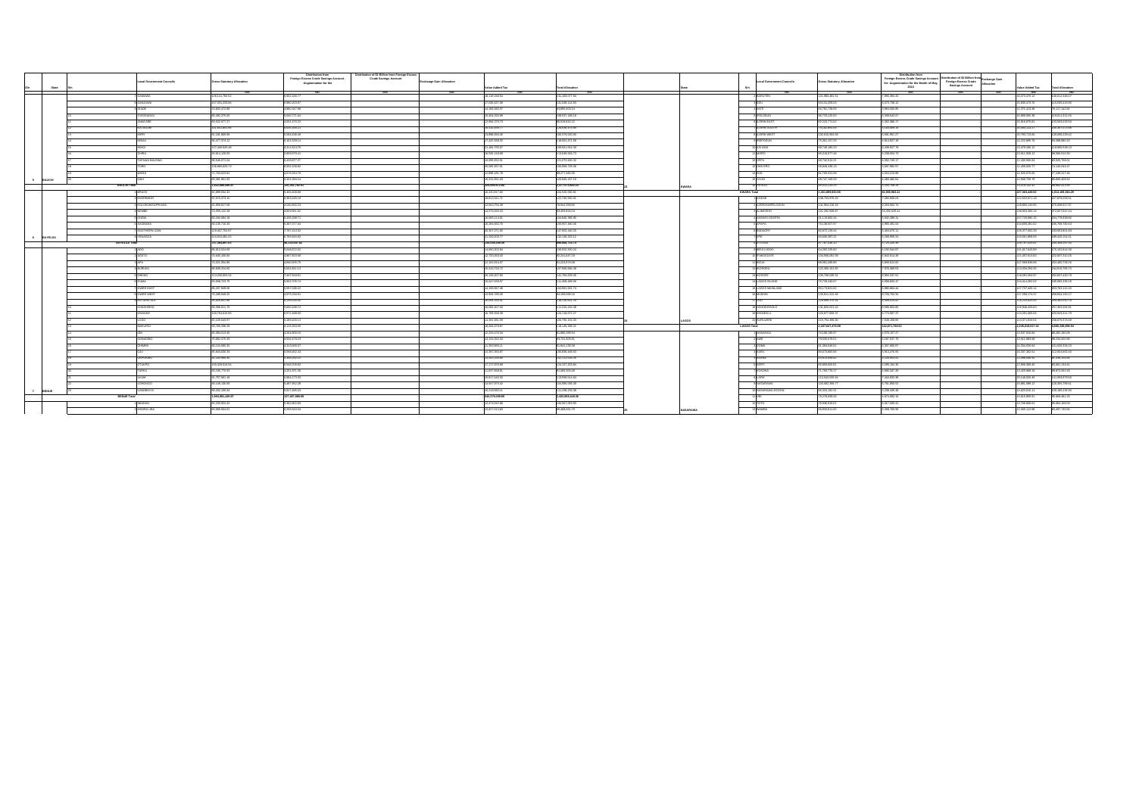|                  |                      |                                  |                                | Distribution from                    | Xatribution of \$2 Billion from Foreign Exces |                                 |                              |                 |                |                                   |                            | Distribution from                       |                                                       |               |                                |                                   |
|------------------|----------------------|----------------------------------|--------------------------------|--------------------------------------|-----------------------------------------------|---------------------------------|------------------------------|-----------------|----------------|-----------------------------------|----------------------------|-----------------------------------------|-------------------------------------------------------|---------------|--------------------------------|-----------------------------------|
|                  |                      | <b>Local Government Councils</b> | ross Statutory Allocation      | Foreign Excess Crude Savings Account | Crude Savings Account                         | <b>Ischange Gain Allocation</b> |                              |                 |                | ocal Government Councils          | Gross Statutory Allocation | Foreign Excess Crude Savings Accoun     | stribution of \$2 Billion fro<br>Foreign Excess Crude | Exchange Gain |                                |                                   |
|                  |                      |                                  |                                | Augmentation for the                 |                                               |                                 |                              |                 |                |                                   |                            | for- Augmentation for the Month of May, | <b>Savings Account</b>                                | Alloyation    |                                |                                   |
| State            |                      |                                  |                                |                                      |                                               |                                 | alus Added Tax               | notazottA late  |                | <b>Ster</b>                       |                            | 2010                                    |                                                       |               | alue Added Tax                 | otal Allocation                   |
|                  |                      |                                  | 06,141,784.52                  | 922,246.77                           |                                               |                                 | 119,046.54                   | ,183,077.0      |                |                                   | 1,983,481.51               | 7,955,394.43                            | <b>AND</b>                                            |               | <b>STATE</b><br>6,073,470.12   | <b>CONTRACTOR</b><br>6,012,346.07 |
|                  |                      | <b>ANJUWA</b>                    | 07,031,233.86                  | 380,253.97                           |                                               |                                 | 1,026,627.09                 | 11,038,114.93   |                |                                   | 03/200.03                  | 6,073,736.12                            |                                                       |               | 5,830,473.70                   | 1,035,415.85                      |
|                  |                      | <b>GIADE</b>                     | 14,832,472.89                  | 4,880,347.98                         |                                               |                                 | 4,183,082.37                 | 1,025,901.24    |                |                                   | 1,781,728.59               | 3,964,000.85                            |                                                       |               | 11,371,413.36                  | (117,142.81)                      |
|                  |                      | <b>TAS/GADAU</b>                 | 86.492.375.55                  | 5.640.771.64                         |                                               |                                 | 6.404.020.99                 | 108,537,168.18  |                | <b>TEL CICEIN</b>                 | 5,733,120.00               | 6.308.642.07                            |                                                       |               | 15.969.550.38                  | 19,011,312.45                     |
|                  |                      | <b>AMA'AR</b>                    | 19,022,977.27                  | 4,501,470.22                         |                                               |                                 | 2,994,376.73                 | 1,518,824.22    |                |                                   | 223,771.52                 | 5,362,386.17                            |                                                       |               | 5,916,875.81                   | 1,503,033.50                      |
|                  |                      | <b>ATAGUM</b>                    | 30.028,103,101                 | 5,626,166.21                         |                                               |                                 | 8.410.459.77                 | 26,638,479.94   |                | <b>DRIN SOUTH</b>                 | 9,182,891.54               | 5,164,009.15                            |                                                       |               | 6.050.113.27                   | 00,397,073.95                     |
|                  |                      |                                  | 81,181,809.95                  | 5,294,436.49                         |                                               |                                 | 3,898,694.45                 | 00.375.000.90   |                | LORIN WEST                        | 102,610,564.56             | 6,091,951.27                            |                                                       |               | 20.793.713.60                  | 30,096,229.42                     |
|                  |                      | <b>ISAU</b>                      | 94,477,374.12                  | 5,161,529.14                         |                                               |                                 | 1,422,568.32                 | 18,001,471.58   |                | EPODUN                            | 5,361,157.25               | 4,914,827.18                            |                                                       |               | 14 222 895 76                  | 4,498,550.19                      |
|                  |                      | INGI                             | 127,445,545.48                 | 8,311,613.75                         |                                               |                                 | 11,184,755.07                | 00.419.1430     |                | 10 IKAI AMA                       | 8.746.180.23               | 6,439,927.79                            |                                                       |               | 13,479,430.12                  | 18,005,538.13                     |
|                  |                      |                                  | 0,614,120.63                   | 909,579.41                           |                                               |                                 | 5,526,218.69                 | 3,049,918.73    |                |                                   | 316,577.46                 | 5,238,004.73                            |                                                       |               | 13.011.928.12                  | 0,566,510.30                      |
|                  |                      | AFAWA BALEWA                     | 0,546,071.04                   | 6,426,877.27                         |                                               |                                 | 0227520                      | 21,072,600.32   |                |                                   | 742,512.21                 | 4,352,745.17                            |                                                       |               | 2.430.500.64                   | 3,525,758.01                      |
|                  |                      |                                  | 136,960,629.73                 | 8,932,158.82                         |                                               |                                 | 10,065,937.51                | 65,958,726.06   |                | <b>KE-ER</b>                      | 849,436.13                 | 3,837,982.57                            |                                                       |               | 1,455,625.7                    | 143,044.47                        |
|                  |                      |                                  | 1,703,023.81                   | 676,254.76                           |                                               |                                 | 2,098,181.78                 | 1277.460.35     |                |                                   | 705,031.58                 | 1,024,215.89                            |                                                       |               | 520.070.00                     | 7,249,317.46                      |
|                  |                      |                                  | 13,281,901.93                  | 431,394.24                           |                                               |                                 | 5,231,951.03                 | 03,945,247.19   |                |                                   | 747,166.09                 | 483,482.64                              |                                                       |               | 2,569,759.79                   | 300,408.52                        |
| UCHI             | BAUCHI Total         |                                  | 1,922,686,006.87               | 125,391,782.51                       |                                               |                                 | 129,495,972.85               | 1377,573,842.23 |                |                                   | 0,512,133.25               | 5,250,758.29                            |                                                       |               | 13,119,132.42                  | 8,882,023.95                      |
|                  |                      |                                  | 12,099,554.32                  | 5,406,458.68                         |                                               |                                 | 1,220,917.60                 | 04,526,930.61   | KWARA          | <b>ATEG</b><br><b>KWARA Total</b> | 101,000,000.90             | 84,905,983.41                           |                                                       |               | 227,363,449.92                 | 614,169,364.29                    |
|                  |                      | <b>SOMERS</b>                    | 17,570,373.10                  | 363,245.19                           |                                               |                                 | 8,812,311.71                 | 22,745,930.01   |                |                                   | 18,753,976.29              | 7,092,606.03                            |                                                       |               | 2,032,671.18                   | 27,879,253.51                     |
|                  |                      |                                  |                                |                                      |                                               |                                 |                              |                 |                | 2 AJEROMNIFELODUR                 |                            |                                         |                                                       |               |                                |                                   |
|                  |                      | KOLOKUMA/OPKUMA                  | 61,959,817.08<br>14,055,122.28 | 4,040,832.23<br>829, 651.52          |                                               |                                 | 2,943,750.49<br>1,575,050.23 | 15,944,322.00   |                |                                   | 41,904,218.18              | 9,254,564.74<br>14,432,029.41           |                                                       |               | 18,850,134.95<br>31.000,000.16 | 70,008,917.87                     |
|                  |                      |                                  |                                |                                      |                                               |                                 |                              | 1,459,824.04    |                | <b>IMOSHO</b>                     | 21,292,508.87              |                                         |                                                       |               |                                | 2,627,847.44                      |
|                  |                      | Y2NM                             | 13,340,084.18                  | 435,188.71                           |                                               |                                 | 5,065,114.01                 | 02.382,098,90   |                | WO-ODOFIN                         | 115,000.34                 | 5,942,288.31                            |                                                       |               | 107,720,990.15                 | 04,778,938.80                     |
|                  |                      | <b>SACRAMA</b>                   | 84,135,710.26                  | 5,487,077.04                         |                                               |                                 | 6.284.092.76                 | 05,907,480.06   |                | 1404                              | 6,138,007.97               | 4,955,491.04                            |                                                       |               | 104,655,281.62                 | 85,758,780.63                     |
|                  |                      | <b>OUTHERN IJAW</b>              | 19,407,754.97                  | 7,787,413.32                         |                                               |                                 | 3,307,271.92                 | 47,502,440.20   |                |                                   | 872,129.44                 | 5,404,670.11                            |                                                       |               | 05,377,002.28                  | 23,653,801.83                     |
| <b>6</b> BAYELSA |                      | MAGOA                            | 04,015,481.43                  | 783,640.92                           |                                               |                                 | 1339200.77                   | 132,139,323.12  |                |                                   | 606,387.21                 | 5,256,905.24                            |                                                       |               | 13.561.858.56                  | 89,425,151.01                     |
|                  | <b>BAYELSA Total</b> |                                  | 707,384,097.63                 | 46,133,507.62                        |                                               |                                 | 136.548.309.49               | 890.006.714.74  |                | $7 - 054$                         | 87,787,036.10              | 5,725,205.49                            |                                                       |               | 106.797.025.91                 | 00.309.267.50                     |
|                  |                      |                                  | 16,613,524.69                  | 648,672.62                           |                                               |                                 | 4,660,302.94                 | 06,922,500.24   |                | <b>BEJU-LEKK</b>                  | 4,292,225.60               | 4,192,944.87                            |                                                       |               | 01/017.043.09                  | 0,102,814.36                      |
|                  |                      |                                  | 4.640.430.60                   | 4,867,823.56                         |                                               |                                 | 2.733.393.03                 | 2.241.647.19    |                | <b>AKO/LIAYE</b>                  | 04.936,081.93              | 6.843.614.49                            |                                                       |               | 11,057,613.83                  | 22,837,310.25                     |
|                  |                      |                                  | 74,221,554.86                  | 4,840,505.75                         |                                               |                                 | 2,162,914.07                 | 224,974.68      |                |                                   | 35.001,205.00              | 5,809,612.62                            |                                                       |               | 07,009,039.03                  | 02,460,739.16                     |
|                  |                      | <b>BURUKU</b>                    | 6.508.314.60                   | 5,641,811.13                         |                                               |                                 | 5.415.720.72                 | 07:505.846.46   |                | KOROC                             | 22.305.101.82              | 7,976,309.53                            |                                                       |               | 34.334.35                      | 44,615,765.70                     |
|                  |                      | 00000                            | 14,200,603.34                  | 447,818.61                           |                                               |                                 | 10,136,207.50                | 1,784,629.45    |                | nsor                              | 35,706,028.31              | 8,850,337.51                            |                                                       |               | 18,281,054.97                  | 02,837,420.79                     |
|                  |                      |                                  | 0,508,723.7                    | 302,705.74                           |                                               |                                 | 047.059.5                    | 1,458,489.06    |                |                                   | 729,240.67                 | 4,938,832.47                            |                                                       |               | 34,414,262.02                  | 5,082,335.16                      |
|                  |                      | WER EAST                         | 85,207,949.06                  | 5,557,005.22                         |                                               |                                 | 4,196,967.46                 | 04,961,921.74   |                | GOS MAINLAND                      | 173,821.62                 | 5,880,854.44                            |                                                       |               | 07,707,426.14                  | 03,762,112.20                     |
|                  |                      | <b>SWER WEST</b>                 | 76,288,948.20                  | 4,975,334.91                         |                                               |                                 | 2,934,785.05                 | 4,199,058.16    |                |                                   | 33,811,212.46              | 8,726,763.34                            |                                                       |               | 17,296,174.37                  | 59,834,150.17                     |
|                  |                      | <b>CATSINA ALA</b>               | 5,826,821.88                   | 249,536.05                           |                                               |                                 | 6,054,293.41                 | 18,130,651.34   |                |                                   | 29,690,375.91              | 8,458,014.82                            |                                                       |               | 16.233.620.06                  | 54,382,010.78                     |
|                  |                      | WSHISHA                          | 19,396,911.75                  | (830,196.72                          |                                               |                                 | 00.700,000                   | 1,310,415.48    |                |                                   | 11,820,021.22              | 8,596,903.85                            |                                                       |               | 16,946,429.83                  | 57,363,354.91                     |
|                  |                      | VANDE                            | 00.753,615.95                  | 571,498.92                           |                                               |                                 | 6,783,556.39                 | 24,118,672.27   |                |                                   | 13,877,659.37              | 6,774,587.37                            |                                                       |               | 10,291,065.05                  | 20,943,311.79                     |
|                  |                      |                                  | 1,105,043.97                   | 289,426.13                           |                                               |                                 | 4,361,681.93                 | 00,756,152.03   | LAGOS          | 20 SURULERI                       | 5,754,495.80               | 7,549,158.85                            |                                                       |               | 13,371,919.04                  | 36,675,574.69                     |
|                  |                      | MAKUROE                          | 13,769,336.29                  | (115,353.05                          |                                               |                                 | 1,264,678.87                 | 18,149,358.21   |                | LAGOS Total                       | 187,647,476.98             | 142,671,764.52                          |                                                       |               | 2,235,019,617.04               | ,565,338,858.54                   |
|                  |                      |                                  | 05,394,013.45                  | 4,264,800.15                         |                                               |                                 | 12,226,476.34                | 11,005,202.94   |                | WAMCA                             | 10,168,185.97              | 4,576,157.27                            |                                                       |               | 13,537,916.84                  | 8,282,260.08                      |
|                  |                      | <b>GENDIDO</b>                   | 5,062,475.25                   | 334,478.23                           |                                               |                                 | 1,134,352.33                 | 1,731,305.81    |                |                                   | 535,079.51                 | 5,187,037.79                            |                                                       |               | 3,511,883.68                   | (234,000.99                       |
|                  |                      | <b>MINK</b>                      | 66,134,080.20                  | 313,065.07                           |                                               |                                 | 1203003.11                   | 15,841,138.38   |                |                                   | 13,364,646.61              | 5,307,660.97                            |                                                       |               | 14.334,026.64                  | 01,026,334.23                     |
|                  |                      |                                  | 5.843.630.33                   | 5,598,462.43                         |                                               |                                 | 4.397.355.87                 | 25.839.448.63   |                |                                   | 573,882.95                 | 5,913,476.93                            |                                                       |               | 6.337.302.51                   | 12,924,662.40                     |
|                  |                      | <b><i>CKPCKWU</i></b>            | 82,160,995.40                  | 5,358,292.10                         |                                               |                                 | 14,522,330.85                | 02,111,618.35   |                | <b>TANA</b>                       | \$8,953,094.82             | 4,226,953.52                            |                                                       |               | 2.498.506.50                   | 1,539,154.84                      |
|                  |                      | TUKPO                            | 00,429,516.94                  | 549,709.92                           |                                               |                                 | 177.976.99                   | 24,157,203.84   |                |                                   | 859 500.81                 | 4,295,164.35                            |                                                       |               | 12,906,369.45                  | 13.4421,130,0                     |
|                  |                      | ARKA                             | 65,195,770.53                  | 4,251,871.35                         |                                               |                                 | 1,637,658.61                 | 11,085,300.48   |                |                                   | 1,705,776.17               | 4,680,347.28                            |                                                       |               | 13,425,968.18                  | 9,872,091.63                      |
|                  |                      | KUM                              | 1,757,901.19                   | 384,173.32                           |                                               |                                 | (5,817,440.33)               | 3,559,514.84    |                |                                   | 1,541,025.84               | 7,404,933.38                            |                                                       |               | 10,146,020.49                  | 41,093,979.50                     |
|                  |                      | <b>HONGO</b>                     | 14, 149, 130.69                | 5,487,952.28                         |                                               |                                 | 14,947,975.42                | 04,585,058.39   |                |                                   | 1,682,359.77               | 6,761,850.52                            |                                                       |               | 15,061,509.12                  | 26,305,729.41                     |
|                  |                      | NDEIKY                           | 9,202,155.9                    | 817,495.33                           |                                               |                                 | 5,218,582.1                  | 1,238,233.38    |                |                                   | 323,182.31                 | 5,238,435.48                            |                                                       |               |                                | 00,185,232.90                     |
|                  | <b>BENUE Total</b>   |                                  | (354,981,442.87                | 27,497,988.59                        |                                               |                                 | 140,379,009.89               | 422,858,448.36  |                |                                   | 1278 939 26                | 4,974,682.15                            |                                                       |               | 4.615.859.91                   | 5.809.481.33                      |
|                  |                      |                                  | 2,230,924.32                   | 162,852.65                           |                                               |                                 | 2,474,042.96                 | 0,067,819.93    |                |                                   | 936,916.0                  | 017,593.41                              |                                                       |               | 3,709,656.6                    | 5,054,105.03                      |
|                  |                      | SKIRA UBA                        | 0,585,504.61                   | 255,543.34                           |                                               |                                 | 627,013.83                   | 07.120.051.79   | <b>ASARAWA</b> |                                   | 833,911.62                 | 4,358,705.96                            |                                                       |               | 2,305,112.98                   | 3,497,730.56                      |
|                  |                      |                                  |                                |                                      |                                               |                                 |                              |                 |                |                                   |                            |                                         |                                                       |               |                                |                                   |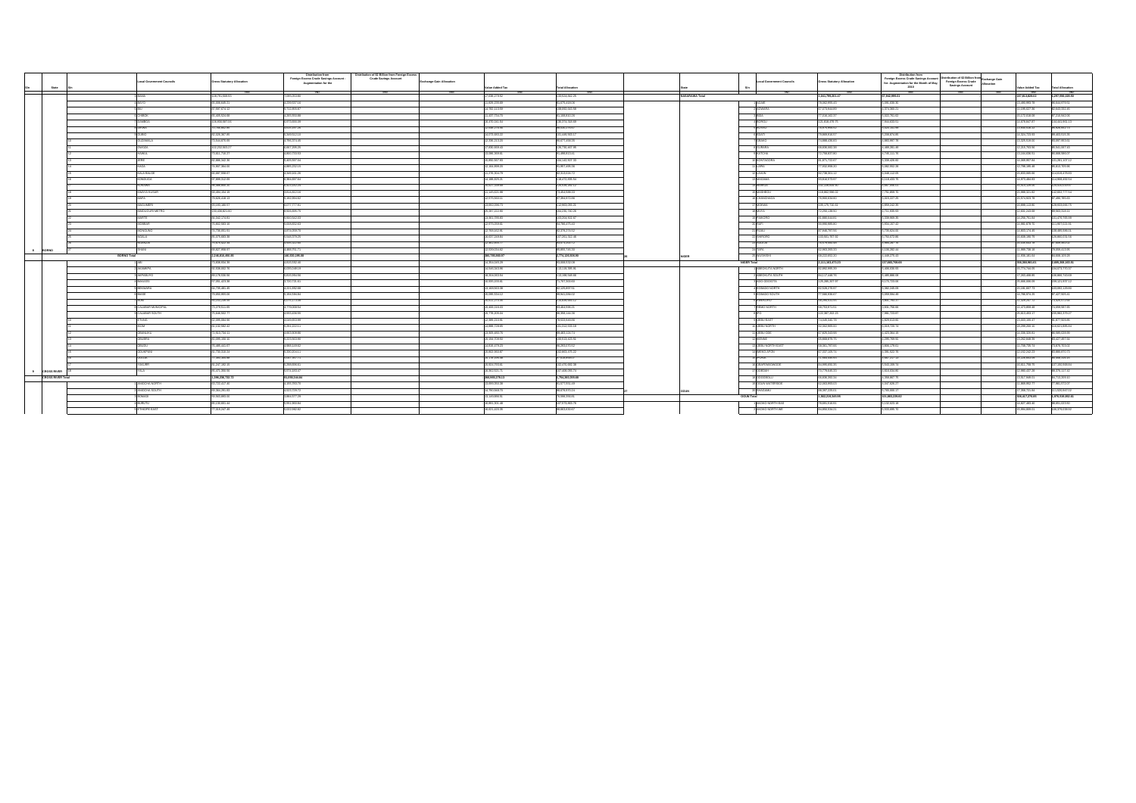|        |                          |                    |                                  |                                   | Distribution from                      | stribution of \$2 Billion from Foreign Exces |                         |                |                  |                     |                          |                               |                           | <b>Clatribution from</b>                | stribution of \$2 Billion from                 |                 |                |                   |
|--------|--------------------------|--------------------|----------------------------------|-----------------------------------|----------------------------------------|----------------------------------------------|-------------------------|----------------|------------------|---------------------|--------------------------|-------------------------------|---------------------------|-----------------------------------------|------------------------------------------------|-----------------|----------------|-------------------|
|        |                          |                    |                                  |                                   | Foreign Excess Crude Savings Account - | Crude Savings Account                        |                         |                |                  |                     |                          |                               |                           | Foreign Excess Crude Savings Account    |                                                | Exchange Gain   |                |                   |
|        |                          |                    | <b>Local Government Councils</b> | <b>Iross Statutory Allocation</b> | Augmentation for the                   |                                              | schange Gain Allocation |                |                  |                     |                          | Local Government Councils     | ross Statutory Allocation | for- Augmentation for the Month of May, | Foreign Excess Crude<br><b>Savings Account</b> | <b>Horation</b> |                |                   |
|        | State                    |                    |                                  |                                   |                                        |                                              |                         | alus Added Tax | notas allA lato? |                     |                          |                               |                           | 2010                                    |                                                |                 | alue Added Tax | notal Allocation  |
|        |                          |                    |                                  |                                   |                                        |                                              |                         |                |                  |                     | $\overline{\phantom{0}}$ |                               |                           |                                         | <b>CONTRACTOR</b>                              |                 | $\frac{1}{2}$  | <b>CONTRACTOR</b> |
|        |                          |                    |                                  | 108,791,508.93                    | 7,095,053.80                           |                                              |                         | 7,638,279.52   | 3,524,842.25     | <b>SARAWA Total</b> |                          |                               | 041.799.201.47            | 67,942,999.01                           |                                                |                 | 187,813,828.02 | 1,297,556,028.50  |
|        |                          |                    |                                  | 5,006,645.21                      | 4,239,537.16                           |                                              |                         | 1,829,235.69   | 075,418.06       |                     |                          |                               | 052,955.43                | 00.000.100.30                           |                                                |                 | 3,490,993.78   | 644,979.51        |
|        |                          |                    |                                  | 87,597,674.12                     | 5,712,855.87                           |                                              |                         | 14,782,113.59  | 08,092,643.58    |                     |                          |                               | 073,944.89                | 4,374,360.21                            |                                                |                 | 1,195,027.36   | 2,643,332.45      |
|        |                          |                    | HIDOK                            | 65,405,524.68                     | 4,265,550.88                           |                                              |                         | 11,437,734.70  | 26.010.007,10    |                     |                          |                               | 7.016.162.37              | 5,022,761.62                            |                                                |                 | 15.172.018.08  | 7.210.942.06      |
|        |                          |                    |                                  | 106,930,587.06                    | 6,973,690.09                           |                                              |                         | 16,470,041.54  | 30,374,318.02    |                     |                          |                               | 21,818,479.75             | 7,944,633.51                            |                                                |                 | 14,678,847.87  | 44,441,961.13     |
|        |                          |                    |                                  | 70,766,802.85                     | 4,615,197.26                           |                                              |                         | 12,648,276.56  | 8.030.276.67     |                     |                          |                               | 6.975.994.52              | 5,020,141.99                            |                                                |                 | 13.930.516.22  | 6,926,652.73      |
|        |                          |                    |                                  |                                   |                                        |                                              |                         |                |                  |                     |                          |                               |                           |                                         |                                                |                 |                |                   |
|        |                          |                    | CIBIC                            | 82,026,367.85                     | 5,349,512.10                           |                                              |                         | 14,073,683.22  | 101,449,563.17   |                     |                          |                               | 3,869,916.57              | 5,208,874.85                            |                                                |                 | 14,324,723.93  | 10,403,515.35     |
|        |                          |                    | <b>CAMALA</b>                    | 1,544,870.09                      | 4,756,374.45                           |                                              |                         | 12,336,213.20  | 90,677,458.35    |                     |                          |                               | 03043683                  | 4.883.997.78                            |                                                |                 | 13.325.519.00  | 13.097.953.61     |
|        |                          |                    | OZA                              | 02.232,503.27                     | 6,667,295.25                           |                                              |                         | EA 033,000.43  | 126,730,467.95   |                     |                          |                               | 80,002.38                 | 4,489,281.49                            |                                                |                 | 12.215.703.56  | 5,541,057.43      |
|        |                          |                    |                                  | 3,611,710.27                      | 4,800,733.53                           |                                              |                         | 13,086,369.61  | 17.498,813.41    |                     |                          |                               | 1,758,837.80              | 4,745,111.76                            |                                                |                 | 13,164,636.51  | 0,008,586.07      |
|        |                          |                    |                                  | 12,006,342.36                     | 5,405,597.04                           |                                              |                         | 15,850,567.93  | 104,142,507.33   |                     |                          | <b>DNTAGOR</b>                | 371,722.67                | 5,339,426.60                            |                                                |                 | 14,003,957.84  | 01,281,107.12     |
|        |                          |                    | <b>AGA</b>                       |                                   |                                        |                                              |                         | 12,164,899.20  |                  |                     |                          |                               |                           |                                         |                                                |                 |                |                   |
|        |                          |                    |                                  | 74,907,354.00                     | 4,885,232.15                           |                                              |                         |                | 91,957,495.36    |                     |                          |                               | 932,958.20                | 5,082,552.28                            |                                                |                 | 12,798,195.48  | 15,813,705.96     |
|        |                          |                    | ALA BALGE                        | 6,687,558.67                      | 4,340,161.26                           |                                              |                         | 11,276,304.79  | 2,313,024.72     |                     |                          |                               | 2,738,301.12              | 6,048,112.05                            |                                                |                 | 383300566      | 14,619,478.83     |
|        |                          |                    | DUGA                             | 7,899,312.69                      | 6,384,037.64                           |                                              |                         | 14,188,825.21  | 18,472,835.54    |                     |                          |                               | 1,016,573.97              | 0,110,433.75                            |                                                |                 | 14,973,484.83  | 4,908,492.54      |
|        |                          |                    |                                  | 06,458,800.20                     | 6,423,142.24                           |                                              |                         | 15,627,339.68  | 120,539,282.12   |                     |                          |                               | 2228 834 90               | 0.007,055.01                            |                                                |                 | 15,514,129.06  | (24,410,019.97    |
|        |                          |                    | <b>TAYA KUSAR</b>                | 58,494,154.19                     | 3,814,812.16                           |                                              |                         | 11,145,621.98  | 73,454,588.33    |                     |                          | WASHEG                        | 1,062,596.02              | 7,751,859.70                            |                                                |                 | 15,988,321.82  | 42,002,777.54     |
|        |                          |                    |                                  | 9,626,418.13                      | 5,192,994.62                           |                                              |                         | 12,575,560.11  | 97,394,972.86    |                     |                          | <b>HANCHAGA</b>               | 03 AC3 000                | 5,015,227.25                            |                                                |                 | 15.574.923.78  | 17,490,785.63     |
|        |                          |                    | <b>AGUMERI</b>                   | 33,193,180.57                     | 6,077,777.91                           |                                              |                         | 13,692,096.73  | 112.953.055.21   |                     |                          | <b>MOROVA</b>                 | 15,175,710.61             | 6.859.242.35                            |                                                |                 |                | 28,933,066.75     |
|        |                          |                    |                                  |                                   |                                        |                                              |                         |                |                  |                     |                          |                               |                           |                                         |                                                |                 | 16,898,113.80  |                   |
|        |                          |                    | <b>UNTER INLOCK</b>              | 30,436,821.60                     | 8,506,695.75                           |                                              |                         | 25,287,222.90  | 164,230,740.26   |                     |                          |                               | 250,138.50                | 4,711,935.93                            |                                                |                 | 12,601,243.68  | 10,553,318.11     |
|        |                          |                    | <b>MRTE</b>                      | 84,342,174.81                     | 5,500,542.03                           |                                              |                         | 13,361,785.83  | 103,204,502.67   |                     |                          | PAIKORO                       | 880,044.81                | 5,339,909.35                            |                                                |                 | 14,256,751.84  | 01,476,705.99     |
|        |                          |                    | DBBA                             | 76,002,583.16                     | 5,008,832.63                           |                                              |                         | 12,975,059.61  | 94,786,475.40    |                     |                          |                               | 990,985.80                | 5,934,157.42                            |                                                |                 | 14,981,878.70  | 11,907,021.91     |
|        |                          |                    | ONGUNO                           | 74,736,051.91                     | 4,874,059.70                           |                                              |                         | 12,768,162.91  | 22.378.274.52    |                     |                          |                               | 946,787.56                | 5,735,624.00                            |                                                |                 | 14.003.174.45  | 08,485,586.01     |
|        |                          |                    |                                  | 1,075,683.38                      | 5,548,379.25                           |                                              |                         | 16,637,249.84  | 07,261,312.46    |                     |                          |                               | 13,501,767.92             | 1750,072.86                             |                                                |                 | 6,608,190.79   | 26.860.031.56     |
|        |                          |                    |                                  | 1,675,422.34                      | 4,935,322.60                           |                                              |                         | 12,462,455.77  | 13,073,200.72    |                     |                          |                               | 579,560.48                | 4,994,287.76                            |                                                |                 | 6,035,643.78   | 7,609,492.02      |
|        |                          |                    |                                  | 58,827,958.97                     | 4,488,751.71                           |                                              |                         | 2,539,034.62   | 5,855,745.30     |                     |                          |                               | 003.323.33                | 4,106,282.44                            |                                                |                 |                | 3,059,413.95      |
| $\sim$ | <b>DIRROS</b>            |                    |                                  |                                   |                                        |                                              |                         |                |                  |                     |                          |                               |                           |                                         |                                                |                 | 1,989,738.18   |                   |
|        |                          | <b>BORNO Total</b> |                                  | 2,246,810,450.85                  | 146,530,195.08                         |                                              |                         | 380,785,860.97 | 1,774,126,506.90 | NAGER               |                          |                               | 222,652.20                | 4,449,275.43                            |                                                |                 | 1,936,181.64   | 14,608,109.25     |
|        |                          |                    |                                  | 73,838,934.39                     | 4,815,552.40                           |                                              |                         | 14,354,045.29  | 23,008,532.08    |                     | NIGER Total              |                               | 111,163,473.23            | 137,683,708.68                          |                                                |                 | 10.109.001.01  | 2,605,208,163.51  |
|        |                          |                    |                                  | 2,538,002.76                      | 6,035,049.19                           |                                              |                         | 14,546,343.96  | 13,119,325.91    |                     |                          | <b>IEOKUTA NORTH</b>          | 892,995.39                | 5,406,030.93                            |                                                |                 | 5,774,744.05   | 04,073,770.37     |
|        |                          |                    | <b>CPABLIYO</b>                  | 89,178,530.56                     | 5,815,954.56                           |                                              |                         | 18,204,063.54  | 113,198,548.00   |                     |                          | <b>BEOKUTA SOUTH</b>          | 1,117,448.76              | 5,485,886.08                            |                                                |                 | 17,263,408.85  | 08.056,743.09     |
|        |                          |                    |                                  | 7,051,423.38                      | 3,720,721.61                           |                                              |                         | 10,935,155.61  | 1,707,300.60     |                     |                          | 10-000/0T/                    | 5,285,207.97              | 170,723.06                              |                                                |                 | 006.006.0      | 59,121,937.12     |
|        |                          |                    | <b>EKWARA</b>                    | 64,735,481.45                     | 4,221,852.68                           |                                              |                         | 13,168,563.38  | 82,125,897.51    |                     |                          | GEADO NORTH                   | 528,276.97                | 5,382,245.09                            |                                                |                 | 15,181,007.73  | 03,092,129.80     |
|        |                          |                    |                                  |                                   |                                        |                                              |                         |                |                  |                     |                          |                               |                           |                                         |                                                |                 |                |                   |
|        |                          |                    |                                  | 9.650.955.06                      | 5.194.594.84                           |                                              |                         | 15,095,534.12  | 20,941,054.02    |                     |                          | GEADO SOUTH                   | 580 936 67                | 1059.594.49                             |                                                |                 | 14.705.974.25  | 17.427.505.41     |
|        |                          |                    |                                  | 0,153,239.59                      | 6,075,173.08                           |                                              |                         | 15,611,270.45  | 14,839,683.12    |                     |                          | IWEKORO                       | 294,531.55                | 3,801,793.37                            |                                                |                 | 11:329.247.72  | 3,425,572.64      |
|        |                          |                    | ALABAR MUNICIPAL                 | 3,279,511.65                      | 4,779,058.54                           |                                              |                         | 15,406,016.03  | 23,464,596.21    |                     |                          | <b>EMO NORTH</b>              | 753,971.51                | 3,831,756.66                            |                                                |                 | 11,473,859.48  | 4,059,587.65      |
|        |                          |                    | ALABAR SOUTH                     | 75,646,502.77                     | 4,933,436.55                           |                                              |                         | 15,778,205.04  | 00.358,144.36    |                     |                          |                               | 22,387,202.23             | 7,981,723.87                            |                                                |                 | 25,613,453.17  | 55,982,379.27     |
|        |                          |                    |                                  | 2,095,084.95                      | 4,049,653.99                           |                                              |                         | 12,389,210.91  | 3.533.949.86     |                     |                          | JEBU EAST                     | 045340.78                 | 4.829.013.60                            |                                                |                 | 13.003.155.47  | 1,877,509.85      |
|        |                          |                    |                                  | 1,132,582.42                      | 5,291,222.11                           |                                              |                         | 14,888,728.65  | 101,312,533.18   |                     |                          | <b>JEBU NORTH</b>             | 302,965.00                | 6,019,720.74                            |                                                |                 | 18,299,200.10  | 16,621,885.84     |
|        |                          |                    |                                  |                                   | 4,053,909.85                           |                                              |                         |                |                  |                     |                          |                               | 7,825,343.98              |                                         |                                                |                 |                |                   |
|        |                          |                    | LOUJIANI                         | 513,734.11                        |                                        |                                              |                         | 13,305,480.76  | 10,483,124.74    |                     |                          | <b>DEBRICOE</b>               |                           | 4,423,354.19                            |                                                |                 | 14,336,320.81  | 16,585,028.99     |
|        |                          |                    |                                  | 0,095,150.10                      | 5,223,563.90                           |                                              |                         | 5,194,709.50   | 0,513,423.51     |                     |                          | <b>ENN</b>                    | 008.879.75                | 4,295,709.50                            |                                                |                 | 13,262,848.39  | 3,427,427.64      |
|        |                          |                    | <b>GUDU</b>                      | 76,485,441.67                     | 4,988,149.62                           |                                              |                         | 14,819,479.23  | 96,293,070.52    |                     |                          | <b>JUEBU NORTH EAST</b>       | 33,361,787.66             | 3,806,179.61                            |                                                |                 | 1,708,735.74   | 3,876,703.02      |
|        |                          |                    | <b>CUICPANI</b>                  | 1,730,310.24                      | 5,330,204.11                           |                                              |                         | 15,802,960.87  | 102,863,475.22   |                     |                          | <b>MEKO-AFON</b>              | 337,105.74                | 4,391,522.76                            |                                                |                 | 12,152,242.23  | 13,880,870.73     |
|        |                          |                    |                                  | 7,393,304.88                      | 5,047,357.71                           |                                              |                         | 5,178,195.48   | 10.058,077       |                     |                          |                               | 564,445.93                | 4,667,217.13                            |                                                |                 | 14,226,653.09  | 0,458,316.15      |
|        |                          |                    | AND IDD                          | 11,247,192.15                     | 5,298,096.61                           |                                              |                         | 15,924,793.61  | 102,470,682.38   |                     |                          | <b>BAFEMIOWODE</b>            | 4,995,650.35              | 5,543,159.74                            |                                                |                 | 16,611,758.75  | 07,150,568.84     |
|        | 9 CROSS RIVER            |                    | <b>YALA</b>                      | 85,471,350.56                     | 5,574,183.47                           |                                              |                         | 16,362,521.71  | 107.408.055.74   |                     |                          | <b>IDEDAH</b>                 | 779 845 33                | 4.616.034.00                            |                                                |                 | 12 980 437 28  | 18,376,117.42     |
|        | <b>CROSS RIVER Total</b> |                    |                                  | 1,396,236,732.72                  | 91,058,344.84                          |                                              |                         | 266,965,278.13 | 1,754,260,355.68 |                     |                          | <b>DOGBOLU</b>                |                           |                                         |                                                |                 | 13.517.949.01  |                   |
|        |                          |                    |                                  |                                   |                                        |                                              |                         |                |                  |                     |                          |                               | 1,036,392.34              | 4,358,867.75                            |                                                |                 |                | 14,713,209.10     |
|        |                          |                    | <b>UOCHA NORTH</b>               | 3.722.417.40                      | 4,155,783.70                           |                                              |                         | 13,020,350.30  | 81.577.551.49    |                     |                          | <b>DGUN WATERSDE</b>          | 063,993.03                | 4,047,626.27                            |                                                |                 | 11.869.952.77  | 7,981,572.07      |
|        |                          |                    |                                  | 364,291.83                        | 523,729.72                             |                                              |                         | 4,790,948.70   | 678,970.24       |                     |                          |                               | 397,225                   |                                         |                                                |                 | 358,721.0      | ,520,947.02       |
|        |                          |                    | OMADI                            | 59,563,893.00                     | 3,884,577.29                           |                                              |                         | 13,149,886.51  | 76,598,356.81    |                     | OGUN Total               |                               | 562,219,345.95            | 101,003,229.02                          |                                                |                 | 306,417,276.85 | 1,970,519,852.61  |
|        |                          |                    | URUTL                            | 5,130,601.44                      | 5,551,960.84                           |                                              |                         | 16,031,301.48  | 107,573,863.76   |                     |                          | <b><i>UICKO NORTH EAS</i></b> | 091,516.91                | 5,132,023.18                            |                                                |                 | 14,827,483.40  | 18,651,023.50     |
|        |                          |                    | THIOPE EAST                      | 7,019,247.49                      | 5,022,962.82                           |                                              |                         | 16,621,420.35  | 13.053,630.67    |                     |                          | AKOKO NORTH WE                | 4,850,534.21              | 5533,695.70                             |                                                |                 | 15,994,809.01  | 106,379,038.92    |
|        |                          |                    |                                  |                                   |                                        |                                              |                         |                |                  |                     |                          |                               |                           |                                         |                                                |                 |                |                   |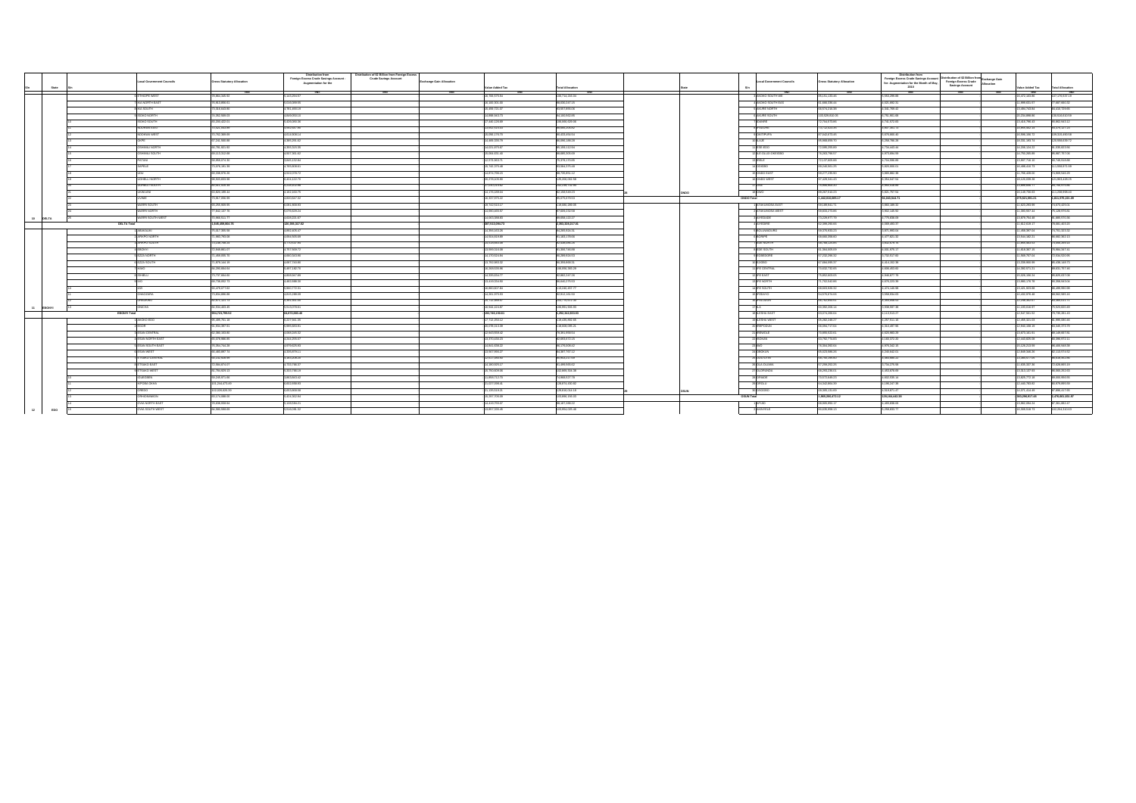|               |        |                                  |                           | Distribution from                      | istribution of \$2 Billion from Foreign Exces |                         |                |                  |  |            |                          |                           | Distribution from                       | istribution of \$2 Billion from                |                   |                |                  |
|---------------|--------|----------------------------------|---------------------------|----------------------------------------|-----------------------------------------------|-------------------------|----------------|------------------|--|------------|--------------------------|---------------------------|-----------------------------------------|------------------------------------------------|-------------------|----------------|------------------|
|               |        |                                  |                           | Foreign Excess Crude Savings Account - | Crude Savings Account                         |                         |                |                  |  |            |                          |                           | Foreign Excess Crude Savings Account    |                                                | achange Gain      |                |                  |
|               |        | <b>Local Government Councils</b> | ross Statutory Allocation | Augmentation for the                   |                                               | schange Gain Allocation |                |                  |  |            | ocal Government Councils | ross Statutory Allocation | for- Augmentation for the Month of May, | Foreign Excess Crude<br><b>Savings Account</b> | ration.           |                |                  |
|               |        |                                  |                           |                                        |                                               |                         | alus Added Tax | notas allA lato? |  |            |                          |                           | 2010                                    |                                                |                   | alue Added Tax | notabilities     |
|               |        |                                  |                           |                                        |                                               |                         |                |                  |  |            |                          |                           |                                         | <b>AND</b>                                     | <b>CONTRACTOR</b> |                | $   -$           |
|               |        | THOPE WEST                       | 78,864,345.92             | (143,294.57                            |                                               |                         | 16,706,575.54  | 0,714,216.04     |  |            | WOKO SOUTH WE            | 151,133.46                | 5,553,299.88                            |                                                |                   | 1,472,103.86   | 176,537.19       |
|               |        | A NORTH EAST                     | 76,913,856.61             | 016,089.55                             |                                               |                         | 16,100,301.00  | 1,030,247.15     |  |            | AKOKO SOUTH EAS          | 88.000,000.1              | 1,021,032.31                            |                                                |                   | 223,631.57     | 037,000.32       |
|               |        | KA SOUTH                         | 73,316,643.80             | 4,781,490.19                           |                                               |                         | 15,459,721.07  | 23,557,855.06    |  |            | AKURE NORTH              | 5,574,216.38              | 4,341,709.42                            |                                                |                   | 1,494,743.84   | 1,410,729.65     |
|               |        | SOKO NORTH                       | 74,352,569.03             | 4,849,050.10                           |                                               |                         | 14,038,943.73  | 94,100,562.85    |  |            | AKURE SOUTH              | 13.529.810.05             | 6.751.901.68                            |                                                |                   | 0.234.098.86   | 30.516.610.59    |
|               |        | SOKO SOUTH                       | 83,200,422.01             | 5,426,080.36                           |                                               |                         | 17,440,126.69  | 00.023,000,001   |  |            | <b>IANR</b>              | 704,573.86                | 4,741,572.83                            |                                                |                   | 3,416,796.43   | 0,002,943.12     |
|               |        |                                  |                           |                                        |                                               |                         |                |                  |  |            |                          |                           |                                         |                                                |                   |                |                  |
|               |        | OKWA EAST                        | 70,421,043.89             | 4,592,647.90                           |                                               |                         | 13,652,515.03  | 18,000,200.82    |  |            | EDORE                    | 712,423.35                | 4,007,301.73                            |                                                |                   | 14,855,402.14  | 1,375,127.23     |
|               |        | DOKWA WEST                       | 70,762,369.69             | 4,614,908.14                           |                                               |                         | 15,056,176.70  | 90,433,454.54    |  |            | CKINDRUPA                | 39.073.45                 | 5,676,660.40                            |                                                |                   | 6,596,156.72   | 109,315,490.58   |
|               |        |                                  | 67,241,550.88             | 4,385,291.62                           |                                               |                         | 14,409,335.79  | 86,096,188.28    |  |            | <b>LAR</b>               | 3968.659.70               | 6,258,786.28                            |                                                |                   | 8.331.193.74   | 0,558,639.72     |
|               |        | HIMLI NORTH                      | 66,781,921.92             | 4,355,315.35                           |                                               |                         | 14,021,875.67  | 5,159,112.94     |  |            | ESE-EDO                  | 525,255.09                | 4.734.443.44                            |                                                |                   | 206, 124.22    | 535,823.56       |
|               |        |                                  |                           |                                        |                                               |                         |                |                  |  |            |                          |                           |                                         |                                                |                   |                |                  |
|               |        | SHIMLI SOUTH                     | 69,113,312.68             | 4,507,361.62                           |                                               |                         | 15,064,631.40  | 88,685,305.69    |  |            | FE-OFTIMERSION           | 6,263,796.57              | 4,973,094.59                            |                                                |                   | 1,750,205.89   | 5,987,757.06     |
|               |        | TANI                             | 58,959,074.30             | 3,845,132.84                           |                                               |                         | 12,573,963.71  | 75,378,170.85    |  |            |                          | 137,005.00                | 4,704,595.89                            |                                                |                   | 1,907,716.10   | 749,918.88       |
|               |        | APELE                            | 73,076,191.39             | 4,765,808.61                           |                                               |                         | 15,742,375.48  | 23,584,375.48    |  |            | opicac                   | 1,240,561.25              | 5,820,000.01                            |                                                |                   | 6,498,410.73   | 1,558,971.99     |
|               |        |                                  | 69,338,976.26             | 522,078.72                             |                                               |                         | 14,874,796.15  | 0,735,051.12     |  |            | ONDO EA!                 | 1,277,235.90              | 3,065,082.38                            |                                                |                   | 766,428.00     | 909.545.29       |
|               |        | GHELLI NORTH                     | 98,503,833.98             | 6,424,122.70                           |                                               |                         | 20,278,105.90  | 25,206,062.58    |  |            | MDO WEST                 | 429,341.43                | 6,354,047.54                            |                                                |                   | 120,039.28     | 1,903,428.25     |
|               |        | <b>GHELLI SOUTH</b>              | 80,011,415.34             | 5,218,102.98                           |                                               |                         | 17,010,214.62  | 102,239,732.94   |  |            |                          | 5,906,900.20              | 4,950,418.89                            |                                                |                   | 3.899.656.73   | 34,756,975.86    |
|               |        |                                  |                           |                                        |                                               |                         |                |                  |  |            |                          |                           |                                         |                                                |                   |                |                  |
|               |        | KWUANI                           | 63,820,199.44             | 4,162,160.75                           |                                               |                         | 14,176,189.04  | 2,158,549.23     |  |            |                          | 9,267,510.23              | 5,821,757.54                            |                                                |                   | 6,149,730.63   | 1,238,998.40     |
|               |        |                                  | 73,917,056.99             | 4,820,647.32                           |                                               |                         | 16,337,975.22  | 15,075,673.53    |  | ONDO Total |                          | 442,010,005.17            | 94,043,544.71                           |                                                |                   | 275,521,591.21 | 1,811,575,221.09 |
|               |        | VARRI SOUTH                      | 93.255.909.95             | 0,001,008.93                           |                                               |                         | 19,742,510.17  | 119.080.289.05   |  |            | <b>TAKUMOSA EAST</b>     | 102.941.71                | 3,860,189.32                            |                                                |                   | 1.623.293.99   | 4.673.425.01     |
|               |        | HTRICKI NARN                     | 77,842,137.76             | 076,629.24                             |                                               |                         | 14,090,465.57  | 97,009,232.58    |  |            | AKUMOSA WEST             | 833,273.86                | 3,902,145.50                            |                                                |                   | 1,393,557.44   | 128,976.81       |
|               |        | ARRI SOUTH-WEST                  | 70,966,511.77             | 4,628,221.67                           |                                               |                         | 14,053,388.83  | 09/058,122.27    |  |            | AIYEDADE                 | 1,229,977.79              | 4,775,838.09                            |                                                |                   | 13,879,754.48  | 1,885,570.36     |
|               |        |                                  |                           |                                        |                                               |                         |                |                  |  |            |                          |                           |                                         |                                                |                   |                |                  |
|               |        | <b>DELTA Total</b>               | 1,845,459,804.76          | 120,355,317.52                         |                                               |                         | 387,513,094.73 | 2,353,328,217.01 |  |            | <b>UYEDIR</b>            | 33.022.000                | 4,069,493.37                            |                                                |                   | 1,612,619.17   | 8,081,403.20     |
|               |        | <b>DAKALIKI</b>                  | 75,017,355.58             | 4,892,405.47                           |                                               |                         | 14,356,163.26  | 94.265.924.31    |  |            | <b><i>CLUWADURO</i></b>  | 370,933,23                | 3,871,993.04                            |                                                |                   | 1,458,397.04   | 4,701,323.32     |
|               |        | <b><i>FIKPO NORTH</i></b>        | 1,983,793.08              | 4,004,555.00                           |                                               |                         | 14,504,819.89  | 183,178.66       |  |            | <b>IORIPE</b>            | 1,000,358.00              | 4,477,821.32                            |                                                |                   | 544.182.21     | 682.362.13       |
|               |        | FIKPO SOUTH                      | 73,148,708.24             | 770,537.94                             |                                               |                         | 14,518,840.08  | 22,438,086.26    |  |            | EDE NORTH                | 1,768,125.85              | 3,832,679.76                            |                                                |                   | 1,055,463.53   | 4,456,269.14     |
|               |        |                                  | 72,949,861.07             | 4,757,569.72                           |                                               |                         | 3,599,316.08   | EG.245,200, N    |  |            | EDE SOUTH                | 364,005.09                | 4,001,975.17                            |                                                |                   | 618,367.15     | 1,984,347.41     |
|               |        |                                  |                           |                                        |                                               |                         |                |                  |  |            |                          |                           |                                         |                                                |                   |                |                  |
|               |        | <b>ZZA NORTH</b>                 | 71,459,055.70             | 4,660,343.90                           |                                               |                         | 14,170,524.94  | 0,289,924.53     |  |            | <b>GBEDORS</b>           | 232,296.32                | 1,732,517.60                            |                                                |                   | 569,707.04     | 534,520.95       |
|               |        | EZZA SOUTH                       | 71,879,144.19             | 4,687,740.80                           |                                               |                         | 13,792,983.32  | 00,359,868.31    |  |            | <b>ORDILER</b>           | 7,684,095.37              | 4,414,152.35                            |                                                |                   | 13,339,900.99  | 15,438,148.73    |
|               |        |                                  | 84,290,054.54             | 5,497,182.70                           |                                               |                         | 16,268,535.96  | 06,056,383.29    |  |            | FE CENTRAL               | 1,632,732.65              | 4,006,453.00                            |                                                |                   | 392,571.21     | 631,757.46       |
|               |        | MELL                             | 73,737,004.00             | 4,808,947.89                           |                                               |                         | 14,335,634.77  | 22,882,247.26    |  |            | <b>FE EAST</b>           | 5,852,603.05              | 4,946,877.79                            |                                                |                   | 5,026,156.24   | 5,825,637.08     |
|               |        |                                  | 38,738,052.73             | 4,482,888.30                           |                                               |                         | 3,419,334.50   | 640,275.53       |  |            | FE NOR                   | 702,542.86                | 1,676,223.39                            |                                                |                   | 1,980,176.78   | 358,943.04       |
|               |        |                                  |                           |                                        |                                               |                         |                |                  |  |            |                          |                           |                                         |                                                |                   |                |                  |
|               |        |                                  | 90,479,077.62             | 5,900,772.31                           |                                               |                         | 16,000,007.04  | 13,240,457.77    |  |            | <b>LIFE SOUTH</b>        | 003.926.32                | 4,474,140.98                            |                                                |                   | 13,421,923.58  | 1,420,930.98     |
|               |        | <b>ICIZARA</b>                   | 73.834.896.88             | 4,815,289.09                           |                                               |                         | 14,261,975.53  | 22,912,161.50    |  |            | EDAYO                    | 570.674.06                | 1558.934.63                             |                                                |                   | 432976.48      | 1562.585.16      |
|               |        | HALIKWU                          | 82,671,121.73             | 5,391,561.00                           |                                               |                         | 15,712,989.57  | 03,775,672.30    |  |            | <b>FELOCAIN</b>          | 1762,650.51               | 4,354,058.53                            |                                                |                   | 2,248,302.67   | 1365.011.7       |
|               | EBONYI | MCHA                             | 84,534,403.45             | 513,078.61                             |                                               |                         | 16,944,424.87  | 106,991,906.93   |  |            |                          | 322 206 14                | 3,938,597.38                            |                                                |                   | 193,016.97     | 5,523,820.40     |
|               |        | <b>EBONYI Total</b>              | 994,723,799.52            | 64,872,883.40                          |                                               |                         | 192,746,150.61 | 1,252,342,833.53 |  |            | <b>LESHAEAS</b>          | 1,074,266.64              | 4,113,513.27                            |                                                |                   | 2,547,501.52   | 79,735,281.43    |
|               |        | DOS ONOXI                        | 05.495.701.18             | 5,227,941.35                           |                                               |                         | 7,712,250.12   | 19,435,892.65    |  |            | LESIA WES                | 5,282,248.27              | 4:257.511.16                            |                                                |                   | 455321.03      | 295,000.46       |
|               |        |                                  |                           |                                        |                                               |                         |                |                  |  |            |                          |                           |                                         |                                                |                   |                |                  |
|               |        |                                  | 91,934,397.91             | 305,083.91                             |                                               |                         | 20,078,013.39  | 18,008,095.21    |  |            | REPODUN                  | 094.717.64                | 4,310,497.95                            |                                                |                   | 1,940,158.19   | 345,373.79       |
|               |        | SAN CENTRAL                      | 62,380,153.80             | 4,068,245.32                           |                                               |                         | 12,943,559.42  | 79,391,958.54    |  |            | REWOLE                   | 855,522.61                | 4,620,983.29                            |                                                |                   | 1,673,161.91   | 1,149,667.81     |
|               |        | <b>JAN NORTH EAS</b>             | 65,078,986.85             | 4,244,255.07                           |                                               |                         | 13,370,430.23  | 693,672.15       |  |            |                          | 1,792,774.83              | 1,160,372.20                            |                                                |                   | 1443,825.08    | 396,972.11       |
|               |        | SAN SOUTH EAST                   | 76,354,744.28             | 4,979,625.93                           |                                               |                         | 14,841,638.22  | 96,176,008.42    |  |            |                          | 6,304,392.64              | 4,976,342.15                            |                                                |                   | 126,213.59     | 0,400,948.38     |
|               |        | SAN WEST                         | 05.483.897.74             | 4,335,879.11                           |                                               |                         | 13,567,990.27  | 84,387,767.12    |  |            | 24 OBDIOJN               | 5.023.586.26              | 4,240,642.01                            |                                                |                   | 2,849,346.26   | 113.574.52       |
|               |        |                                  |                           |                                        |                                               |                         |                |                  |  |            |                          |                           |                                         |                                                |                   |                |                  |
|               |        | AKO CENTRAL                      | 64,142,928.99             | 4,183,208.20                           |                                               |                         | 12,617,080.50  | 0,943,217.69     |  |            |                          | 1,750,195.60              | 4,483,680.22                            |                                                |                   | 1,384,577.05   | 1,618,452.86     |
|               |        | SAKO EAS                         | 72,584,874.07             | 4,733,766.37                           |                                               |                         | 14,180,925.17  | 91,499,565.62    |  |            | OLA-OLUWA                | 259,252.25                | 3,734,275.58                            |                                                |                   | 1,635,337.36   | 2,628,865.19     |
|               |        | TSAKO WEST                       | 81,784,929.13             | \$1,335,766.19                         |                                               |                         | 15,750,609.06  | 102.809.304.38   |  |            | 27 OLORUNDA              | 8.293.236.01              | 4,453,878.09                            |                                                |                   | 13,313,137.93  | 6,000,252.63     |
|               |        | UDGBEN                           | 59,245,971.66             | 3,863,843.42                           |                                               |                         | 11,858,712.70  | 74,968,527.78    |  |            | ORIADE                   | 572 649 23                | 4,602,535.14                            |                                                |                   | 1,825,772.18   | 000,956.55       |
|               |        | <b>CPOBA OKHA</b>                | 101,244,473.49            | 5,602,858.93                           |                                               |                         | 21.027.098.41  | 128.874.430.82   |  |            |                          | 434286439                 | 4,196,247.38                            |                                                |                   | 2.440.783.82   | 1979.025.59      |
|               |        |                                  |                           |                                        |                                               |                         |                |                  |  |            | 29 OROLU                 |                           |                                         |                                                |                   |                |                  |
|               |        |                                  | 2,026,626.32              | 153,068.58                             |                                               |                         | 135,519.2      | ,856,014.18      |  |            |                          | 305,131.6                 |                                         |                                                |                   |                |                  |
|               |        | PERMINON                         | 83,174,088.00             | 5,424,352.94                           |                                               |                         | 15,297,705.09  | 103,896,156.03   |  | OSUN Total |                          | 365,200,472.12            | 120,164,442.38                          |                                                |                   | 383,296,917.48 | 2,476,661,831.97 |
|               |        | VIA NORTH EAST                   | 78,638,938.94             | 5,128,594.21                           |                                               |                         | 14,419,755.07  | 98,187,288.22    |  |            |                          | 1,905,950.17              | 4,493,838.06                            |                                                |                   | 13,952,094.24  | 7,361,882.47     |
| $\frac{1}{2}$ | EDO    | VIA SOUTH WEST                   | 84,580,598.69             | 5,516,091.32                           |                                               |                         | 13,857,335.45  | 103,954,025.46   |  |            | 2 AIGNYELE               | 0,635,958.13              | 5.258.833.77                            |                                                |                   | 16,309,518.73  | 02,204,310.63    |
|               |        |                                  |                           |                                        |                                               |                         |                |                  |  |            |                          |                           |                                         |                                                |                   |                |                  |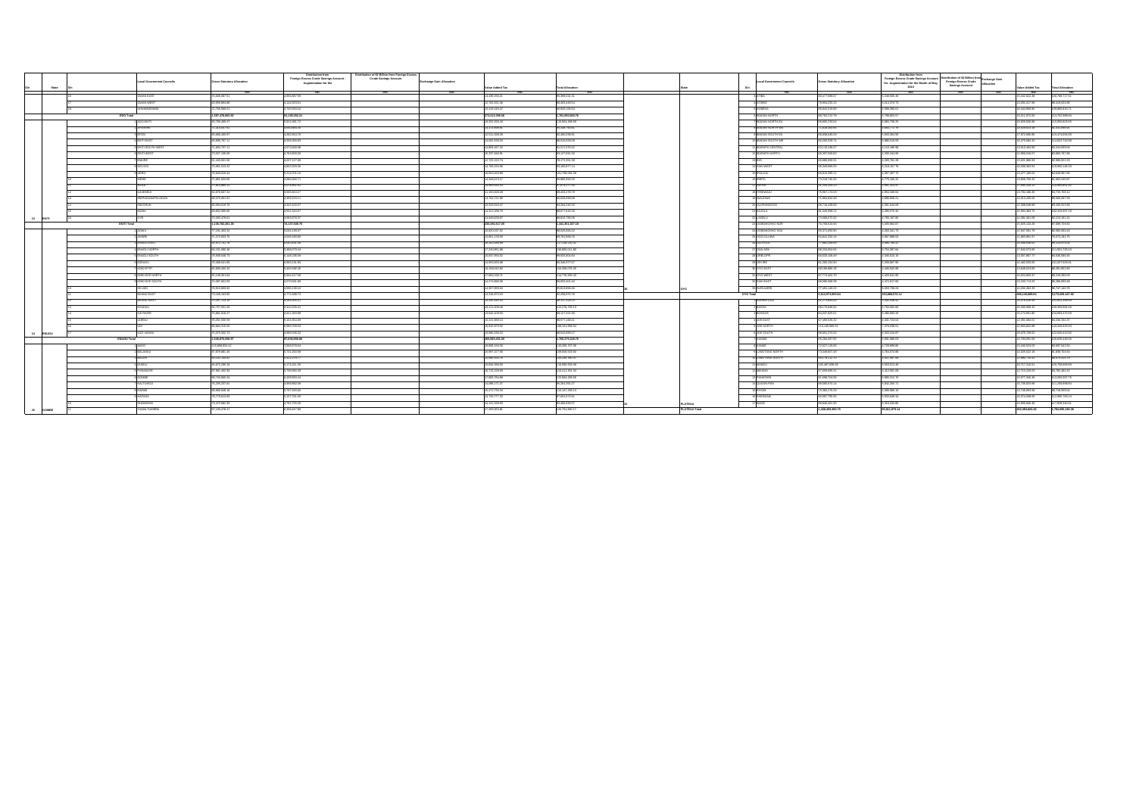|          |       |                    |                                  |                          | Distribution from                     | latribution of \$2 Billion from Foreign Exces |                         |                 |                  |                      |              |                          |                                   | Distribution from                       |                                         |               |                |                  |
|----------|-------|--------------------|----------------------------------|--------------------------|---------------------------------------|-----------------------------------------------|-------------------------|-----------------|------------------|----------------------|--------------|--------------------------|-----------------------------------|-----------------------------------------|-----------------------------------------|---------------|----------------|------------------|
|          |       |                    |                                  |                          | Foreign Excess Crude Savings Account- | Crude Savings Account                         |                         |                 |                  |                      |              |                          |                                   | Foreign Excess Crude Savings Accoun     | shibution of \$2 Billion from           | Exchange Gain |                |                  |
|          |       |                    | <b>Local Government Councils</b> | oss Statutory Allocation | Augmentation for the                  |                                               | schange Gain Allocation |                 |                  |                      |              | ocal Government Councils | <b>Iross Statutory Allocation</b> | for- Augmentation for the Month of May, | Foreign Excess Crude<br>Savings Account | Alloyation    |                |                  |
|          | State |                    |                                  |                          |                                       |                                               |                         | also Added Tax  | tal Allocation   |                      | <b>Still</b> |                          |                                   | 2010                                    |                                         |               | alue Added Tax | otal Allocation  |
|          |       |                    |                                  |                          |                                       |                                               |                         |                 |                  |                      |              |                          |                                   |                                         |                                         |               |                |                  |
|          |       |                    | <b>NAN EAS</b>                   | 006,087.51               | 4,956,887.59                          |                                               |                         | 436,056.21      |                  |                      |              |                          | 17589.0                           | 5,248,505.46                            |                                         |               | 5,042,622.38   | 0,768,717.51     |
|          |       |                    | <b>MAN WEST</b>                  | 555,094.08               | 4,144,923.61                          |                                               |                         | 2,702,631.06    | 403,449.54       |                      |              |                          | 354,233.15                        | 5,214,373.73                            |                                         |               | 13,251,017.99  | 419,624.86       |
|          |       |                    | <b>HUNMINONDE</b>                | 1,765,560.01             | 4,745,550.16                          |                                               |                         | 3,415,045.47    | 0,926,155.64     |                      |              |                          | 542,519.89                        | 5,598,390.01                            |                                         |               | 18,444,906.80  | 09,885,816.71    |
|          |       | EDO Total          |                                  | 327,478,853.50           | 91,139,352.21                         |                                               |                         | 273.212.355.06  | 1,761,830,560.76 |                      |              | MOAN NORTH               | 1762,212.78                       | 5.788.803.57                            |                                         |               | 19.211.972.60  | 13,762,988.94    |
|          |       |                    |                                  |                          |                                       |                                               |                         |                 |                  |                      |              |                          |                                   |                                         |                                         |               |                |                  |
|          |       |                    | DO EXITI                         | 1,790,490.47             | 5,921,081.72                          |                                               |                         | 252,926.40      | 5,964,498.59     |                      |              | <b>AN NORTH EA</b>       | 005,233.54                        | 5,000,739.25                            |                                         |               | 3,929,830.86   | 5,055,003.05     |
|          |       |                    | ITEKRE                           | 1,314,007.61             | 4,650,884.30                          |                                               |                         | 1273.098.91     | 0.338.790.01     |                      |              | <b>DAN NORTH WE</b>      | 1,010,200.94                      | 4,683,772.79                            |                                         |               | 14.529.623.18  | 1031,036.91      |
|          |       |                    | <b>TON</b>                       | 55,000,405.87            | 4,282,564.76                          |                                               |                         | 12,511,058.28   | 12.460.038.91    |                      |              | A3 HTUCE WAG             | 6,838,649.28                      | 5,003,354.56                            |                                         |               | 17,972,690.85  | 10,474,694.69    |
|          |       |                    | <b>SOTI PART</b>                 | 1,035,767.11             | 4,558,390.93                          |                                               |                         | 062,535.03      | 8,516,693.08     |                      |              | DAN SOUTH WE             | 200,539.74                        | 5,886,519.93                            |                                         |               | 18.475.684.32  | 14,622,743.99    |
|          |       |                    | EKITI SOUTH WEST                 | 1050.757.11              | 4,672,846.08                          |                                               |                         | 14,023,467.22   | 1,217,070.42     |                      |              | <b>RAPA CENTRAL</b>      | 115,248.47                        | 4,116,185.98                            |                                         |               | 13,013,404.59  | 0,244,832.04     |
|          |       |                    | <b>KITI WEST</b>                 | 1027.135.09              | 4,762,609.30                          |                                               |                         | 5.337.946.91    | 0.127.691.30     |                      |              |                          | 03.002.100.03                     | 4,330,244.95                            |                                         |               |                |                  |
|          |       |                    |                                  |                          |                                       |                                               |                         |                 |                  |                      |              | <b>URAPA NORTH</b>       |                                   |                                         |                                         |               | 12.955.016.07  | 1,683,767.06     |
|          |       |                    | <b>SALMA</b>                     | 1,443,001.56             | 4,007,127.08                          |                                               |                         | 2,722,222.74    | 8,172,351.38     |                      |              |                          | 00500231                          | 4,283,781.28                            |                                         |               | 13,021,980.93  | 2,990,821.53     |
|          |       |                    | anti                             | 3.651.513.22             | 4,803,329.35                          |                                               |                         | 14.706.034.55   | 3.160.877.14     |                      |              | AKI WES                  | 30,003,061                        | 6.218.157.76                            |                                         |               | 18.336.303.52  | 19,900,146.33    |
|          |       |                    |                                  | 343,919.44               | 5,213,701.10                          |                                               |                         | 000,463.85      | 1,758,084.39     |                      |              |                          | 815.385.1                         | 4,357,497.72                            |                                         |               | 3.477.105.02   | 649,987.05       |
|          |       |                    | ERE                              | 1.851.634.66             | 4.685.946.71                          |                                               |                         | 345.413.17      | 0.885.994.55     |                      |              |                          | 1218.740.45                       | 4,775,105.22                            |                                         |               | 13,608,700.20  | 1,002,545.87     |
|          |       |                    | $\overline{\text{out}}$          | 7,814,885.12             | 5,074,851.91                          |                                               |                         | 003,540.53      | 7,879,277.55     |                      |              |                          | 254,200.23                        | 5,951,323.47                            |                                         |               | 7.695.328.23   | 14,900,851.92    |
|          |       |                    |                                  |                          |                                       |                                               |                         |                 |                  |                      |              |                          |                                   |                                         |                                         |               |                |                  |
|          |       |                    | <b>EJEMEJI</b>                   | 4,676,607.24             | 3,565,843.27                          |                                               |                         | 190,528.28      | 433,278.79       |                      |              |                          | 957.172.03                        | 4,954,349.64                            |                                         |               | 13,794,186.45  | 4,715,708.12     |
|          |       |                    | EPODUNIFELODUN                   | 58,375,061.61            | 4,459,215.11                          |                                               |                         | 3,794,721.96    | 6,628,998.68     |                      |              |                          | 80104.000                         | 4,686,808.21                            |                                         |               | 3,013,435.00   | 0,565,087.59     |
|          |       |                    | <b>ZUORUN</b>                    | 6,594,619.78             | 4,343,100.07                          |                                               |                         | 3,326,520.47    | 4,264,240.32     |                      |              | 20 OLORUNSOGO            | 5,716,428.68                      | 4,351,044.08                            |                                         |               | 12,368,049.89  | 3,435,522.66     |
|          |       |                    | <b>COLA</b>                      | 0,002,995.85             | 4,552,340.67                          |                                               |                         | 4,322,288.78    | 18,677,625.30    |                      |              | uou                      | 045,998.15                        | 5,285,575.34                            |                                         |               | 15.994.383.70  | 02,325,957.19    |
|          |       |                    |                                  | 203,479.61               | 4,583,676.37                          |                                               |                         | ,948,639.97     | 1,815,795.95     |                      |              | AGELU                    | 006.672.32                        | 4,765,187.00                            |                                         |               | 14,381,301.08  | 12,213,161.21    |
|          |       |                    |                                  |                          |                                       |                                               |                         |                 |                  |                      |              |                          |                                   |                                         |                                         |               |                |                  |
|          |       | <b>EXITI Total</b> |                                  | 1,136,782,281.38         | 74,137,508.75                         |                                               |                         | 230,381,517.05  | 1,441,301,307.18 |                      |              | CROMOSHO NOR             | 33.013.327.1                      | 5,005,954.87                            |                                         |               | 15,925,134.28  | 17,689,709.82    |
|          |       |                    |                                  | 1,191,453.34             | 5,034,193.57                          |                                               |                         | ,820,037.52     | 045,684.42       |                      |              | DOMOSHIO SOU             | 371,650.90                        | 4,263,341.73                            |                                         |               | 2947.591.79    | 2,582,584.43     |
|          |       |                    | <b>COUNT</b>                     | 272,553.76               | 4,648,180.80                          |                                               |                         | 1,001,133.59    | 10,781,868.15    |                      |              | <b>DOLUM</b>             | 1,841,332.16                      | 3,967,888.02                            |                                         |               | 11,863,961.57  | 5,673,181.75     |
|          |       |                    | ENUGU EAST                       | 92,972,741.78            | 6,063,401.56                          |                                               |                         | 18,282,086.98   | 117,318,230.32   |                      |              | 26 OLUYOLE               | 7,982,269.69                      | 5,085,768.22                            |                                         |               | 16,046,936.62  | 10,114,974.54    |
|          |       |                    | NUGU NORTH                       | 1,151,080.48             | 1,488,079.44                          |                                               |                         | 240,051.08      | 08.110,000,01    |                      |              | <b>NA-ARA</b>            | 234,654.94                        | 5,754,397.84                            |                                         |               | 942,673.65     | 11,931,726.43    |
|          |       |                    |                                  |                          |                                       |                                               |                         |                 |                  |                      |              | <b>IDEI ODE</b>          |                                   |                                         |                                         |               | 13.057.057.77  |                  |
|          |       |                    | NUGU SOUTH                       | 1,939,648.73             | 5,148,205.59                          |                                               |                         | 15,837,950.52   | 0,925,804.84     |                      |              |                          | 5,633,108.49                      | 4,345,610.19                            |                                         |               |                | 14,036,586.45    |
|          |       |                    | ZEAGU                            | 6.408.041.85             | 4,983,101.83                          |                                               |                         | 14.955.833.98   | 6.346.977.67     |                      |              | פסו וסר                  | 205.152.90                        | 5,299,867.95                            |                                         |               | 14.462.533.05  | 01,027,553.91    |
|          |       |                    | <b>GBO ETITI</b>                 | 2,809,450.10             | 5,400,582.36                          |                                               |                         | 16,158,042.80   | 04.358.075.25    |                      |              | 30 OYO EAST              | 1,100,000.20                      | 4,446,942.88                            |                                         |               | 3.648.023.65   | 16,281,852.80    |
|          |       |                    | GBO EZE NORTH                    | 148,301.64               | 5,944,417.08                          |                                               |                         | 654 236.71      | 14,776,955.43    |                      |              | <b>IYO WES</b>           | 1774,402.70                       | 4,420,041.95                            |                                         |               | 14.024.835.37  | 6.219.280.03     |
|          |       |                    | 200 EZE SOUT                     | 087,602.93               | 570,901.89                            |                                               |                         | 274,896.58      | 233,401.40       |                      |              |                          | 500,560.58                        | 472,617.66                              |                                         |               |                | 286,039.4        |
|          |       |                    | <b>HERD</b>                      | 6,515,809.32             | 4,990,130.10                          |                                               |                         | 14,307,955.04   | 25,813,894.46    |                      |              | 2102111-0103             | 7,491,140.22                      | 5,053,738.24                            |                                         |               | 14,202,262.29  | 6,747,140.76     |
|          |       |                    |                                  |                          |                                       |                                               |                         |                 |                  |                      |              |                          |                                   |                                         |                                         |               |                |                  |
|          |       |                    | <b>IKANU EAST</b>                | 73, 168, 193.90          | 4,771,000.73                          |                                               |                         | 14,318,873.15   | 22,258,875.78    |                      | OYO Total    |                          | 2,512,973,905.84                  | 163,000,572.14                          |                                         |               | 496,145,689.94 | 1,173,008,167.92 |
|          |       |                    | KANU WEST                        | 227.113.10               | 4.584.565.51                          |                                               |                         | 255,645.42      | 9.137.324.03     |                      |              | PKW1AD                   | 273.893.64                        | 5,300,438.00                            |                                         |               | 5.078.026.94   | 01,652,358.59    |
|          |       |                    | SUKKA                            | 06,757,551.26            | 6,310,235.41                          |                                               |                         | 19,211,008.46   | 122,278,795.13   |                      |              |                          | 1,175,848.94                      | 5,750,562.69                            |                                         |               | 5.430.569.43   | 00,356,981.05    |
|          |       |                    | UI RIVER                         | 0,051,818.47             | 4,621,393.89                          |                                               |                         | 644,109.50      | 9,127,321.85     |                      |              | <b>OKXO!</b>             | 037,825.51                        | 5,480,693.29                            |                                         |               | 15,174,951.80  | 04,093,470.59    |
|          |       |                    | <b>DENU</b>                      | 78,251,930.59            | 5,103,354.09                          |                                               |                         | 15,221,883.13   | 8.577.168.41     |                      |              | <b>DS EAS</b>            | 493,526.32                        | 4,401,724.04                            |                                         |               | 12.351.084.01  | TE ME, 245,31    |
|          |       |                    |                                  | 00.215.00                | 5,586,768.03                          |                                               |                         | 6,910,875.52    | 105.020,101.000  |                      |              | JOS NORTH                | 3,145,958.53                      | 7,379,038.51                            |                                         |               | 22,803,822.88  | 43,328,829.93    |
|          |       |                    |                                  |                          |                                       |                                               |                         |                 |                  |                      |              |                          |                                   |                                         |                                         |               |                |                  |
| 14 ENUGU |       |                    |                                  | 70,373,332.73            | 4,589,536.32                          |                                               |                         | 3,580,030.22    | 8,542,899.27     |                      |              | <b>CLIDS SOUTH</b>       | 051,374.33                        | 6,303,310.87                            |                                         |               | 19,075,728.62  | 2,030,413.82     |
|          |       | <b>ENUGU Total</b> |                                  | 346,870,938.97           | 87,838,856.80                         |                                               |                         | 65,565,451.00   | 700,275,246.76   |                      |              |                          | 204,367.95                        | 5,561,989.03                            |                                         |               | 14,793,091.59  | 1,639,448.56     |
|          |       |                    | юс                               | 5,898,934.42             | 7,558,578.64                          |                                               |                         | 0,008,194.00    | 3,265,707.06     |                      |              | ANKE                     | 527,119.66                        | 4,729,999.80                            |                                         |               | 1,440,523.03   | 0,097,642.50     |
|          |       |                    | <b>BALANGA</b>                   | 17,679,881.46            | 5,731,260.58                          |                                               |                         | 5,997,377.56    | 19,608,519.60    |                      |              | ANGTANG NORTH            | 1,042,507.48                      | 4,764,074.88                            |                                         |               | 14,025,022.18  | 1,838,704.54     |
|          |       |                    | <b>LLRI</b>                      | 142,145.82               | 5,422,279.77                          |                                               |                         | 550,934.78      | 4,245,300.37     |                      |              | <b>IGTANG SOUTH</b>      | 178,112.70                        | 4,511,587.68                            |                                         |               | 2.980.715.4    | 670,415.79       |
|          |       |                    |                                  |                          |                                       |                                               |                         |                 |                  |                      |              |                          |                                   |                                         |                                         |               |                |                  |
|          |       |                    | <b>DOKKU</b>                     | 94,672,295.18            | 6,174,241.30                          |                                               |                         | 03/200, M.D. 21 | 00.020.933.08    |                      |              |                          | 00,487,838.69                     | 6,553,513.49                            |                                         |               | 8,717,316.51   | 25,758,008.09    |
|          |       |                    | <b>INAKAYE</b>                   | 17,961,452.36            | 5,736,580.39                          |                                               |                         | 6,713,228.59    | 10,411,261.34    |                      |              |                          | 059 095 31                        | 4,412,561.08                            |                                         |               | 12.710.226.03  | 14,782,482.42    |
|          |       |                    | 30MOG                            | 8,740,900.24             | 6,439,583.44                          |                                               |                         | 583,784.88      | 22,864,268.56    |                      |              |                          | 023,704.56                        | 5,980,312.70                            |                                         |               | 5,577,340.49   | 3,256,357.75     |
|          |       |                    | <b>ALTUNGO</b>                   | 6,205,337.81             | 4,969,882.09                          |                                               |                         | 4.089.171.37    | 5.264.391.27     |                      |              | <b><i>ESCANDAN</i></b>   | 3,580,974.14                      | 5.842.200.71                            |                                         |               | 15,736,823.99  | 1,159,998.84     |
|          |       |                    |                                  | 1,096,948.18             | 5,797,590.60                          |                                               |                         | 472,730.34      | 10,167,269.13    |                      |              |                          | 300,276.29                        | 4,589,989.16                            |                                         |               | 3.748.693.58   | 718,959.04       |
|          |       |                    | <b>AFADA</b>                     | 779,813.93               | 5,137,781.65                          |                                               |                         | 1735.777.33     | 653.372.91       |                      |              | SHENDAM                  | 1,987,795.35                      | 333.942.34                              |                                         |               | 6.074.038.55   | 12,995,783.24    |
|          |       |                    |                                  |                          |                                       |                                               |                         |                 |                  |                      |              |                          |                                   |                                         |                                         |               |                |                  |
|          |       |                    | <b>HOMGOM</b>                    | 73,473,582.39            | 4,791,725.25                          |                                               |                         | 14.141.328.93   | 2.406.636.57     | <b>PLATEAU</b>       |              |                          | 5.046.461.35                      | 0,316,033.06                            |                                         |               | 14,005,045,40  | 17.828.340.61    |
| 15 GOMBE |       |                    | AMALTULDEBA                      | 159,478.47               | 6,336,447.00                          |                                               |                         | 205,963.81      | 10,791,890.17    | <b>PLATEAU Total</b> |              |                          | 1,438,459,390.75                  | 93,811,979.14                           |                                         |               | 262,383,820.46 | 1,794,655,190.35 |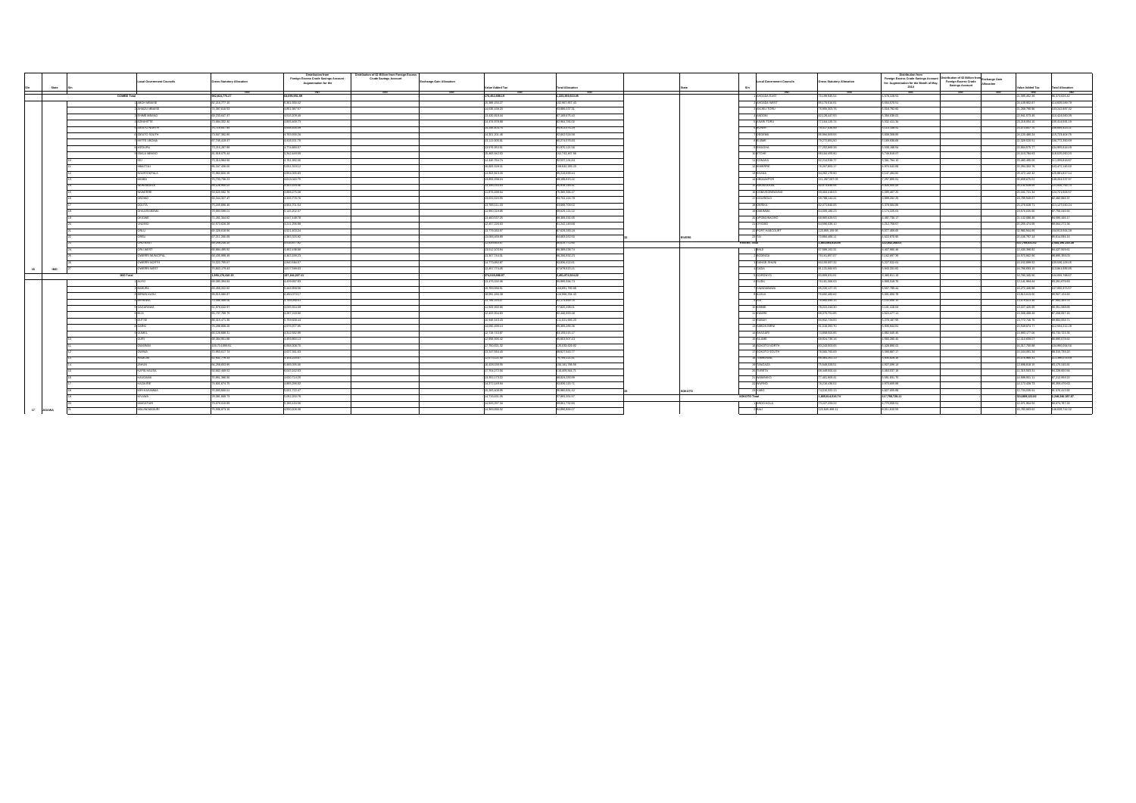|           |              |                    |                          |                                   | Distribution from                      | tribution of \$2 Billion from Foreign Ex |                          |                |                  |        |                     |                                  |                            | Distribution fro                        |                                                     |             |                 |                  |
|-----------|--------------|--------------------|--------------------------|-----------------------------------|----------------------------------------|------------------------------------------|--------------------------|----------------|------------------|--------|---------------------|----------------------------------|----------------------------|-----------------------------------------|-----------------------------------------------------|-------------|-----------------|------------------|
|           |              |                    | ocal Government Councils | <b>Gross Statutory Allocation</b> | Foreign Excess Crude Savings Account - | Crude Savings Account                    | Eschange Gain Allocation |                |                  |        |                     | <b>Local Government Councils</b> | Gross Statutory Allocation | Foreign Excess Crude Savings Account    | stribution of \$2 Billion f<br>Foreign Excess Crude | change Gain |                 |                  |
|           |              |                    |                          |                                   | Augmentation for the                   |                                          |                          |                |                  |        |                     |                                  |                            | for- Augmentation for the Month of May, | Savings Account                                     |             |                 |                  |
|           | <b>State</b> |                    |                          |                                   |                                        |                                          |                          | slue Added Tax | next Allowadden  |        |                     |                                  |                            | 2010                                    |                                                     |             | sing Added Tax  | otal Allocation  |
|           |              | <b>GOMBE Total</b> |                          | 082,810,770.23                    | 64.095.951.59                          |                                          |                          | 6.452.888.19   | 23.359.610.05    |        |                     |                                  | 199,945.5                  | 4,578,228.53                            |                                                     |             | 595.452.35      | 373,626.42       |
|           |              |                    | <b>BOH MBAISE</b>        | 12.216.777.15                     | \$361,930.02                           |                                          |                          | 5,389,150.27   | 02,967,857.43    |        |                     | <b>IDADA WES</b>                 | 170,616.61                 | 1554.570.51                             |                                                     |             | 24.109.902.67   | 14,835,089.79    |
|           |              |                    | <b>IAZU MBAISE</b>       | 74,397,610.53                     | 4,851,987.57                           |                                          |                          | 14,535,439.20  | 10.586,037.31    |        |                     | <b>UCLICU-TOR</b>                | 355,303.76                 |                                         |                                                     |             | 1,268,790.96    |                  |
|           |              |                    |                          |                                   |                                        |                                          |                          |                |                  |        |                     |                                  |                            | 5,018,722.60                            |                                                     |             |                 | 03,242,887.32    |
|           |              |                    | OWARD MERC               | 0,233,647.47                      | 4,515,209.49                           |                                          |                          | 13,420,818.44  | 17,169,675.40    |        |                     | ANDONE                           | 126,447.93                 | 5,356,039.02                            |                                                     |             | 22,941,573.45   | 10,424,060.39    |
|           |              |                    | ZNINTE                   | 3,684,332.40                      | 4,805,469.73                           |                                          |                          | 474,978.88     | 2,954,781.00     |        |                     | <b>SARI-TORU</b>                 | 164,125.74                 | 5,032,411.34                            |                                                     |             | 1218,054.10     | 05,414,591.19    |
|           |              |                    | <b>EATO NORTH</b>        | 5,719,007.45                      | 4,938,165.09                           |                                          |                          | 14,256,403.75  | A,913,576.29     |        |                     |                                  | 417,436.99                 | 5,114,148.52                            |                                                     |             | 13,073,837.70   | 6,605,423.21     |
|           |              |                    | <b>EATO SOUTH</b>        | 73,507,392.85                     | 4,793,930.26                           |                                          |                          | 14,301,201.46  | 12,602,524.58    |        |                     | necessa                          | 334,003.00                 | 5,008,308.85                            |                                                     |             | 24.120.486.24   | 15,723,404.75    |
|           |              |                    | HITTE UBOMA              | 57,745,419.47                     | 4,418,151.75                           |                                          |                          | 3,111,005.61   | 15,274,576.83    |        |                     | <b>LEME</b>                      | 272,891.50                 | 5,169,938.68                            |                                                     |             | 232952051       | 06,772,350.69    |
|           |              | <b>STOURS!</b>     |                          | 73,215,287.99                     | 4,774,880.07                           |                                          |                          | 13,979,953.51  | 91,970,121.56    |        |                     | <b><i>PARTICULAR</i></b>         | 252,869.38                 | 5,038,198.94                            |                                                     |             | 22 054 575 77   | 04.955.644.09    |
|           |              |                    | SIALA MBANO              | 81,918,075.44                     | 1342,449.59                            |                                          |                          | (482,942.63    | 02,743,467.66    |        |                     |                                  | 164,455.90                 | 5.749.819.67                            |                                                     |             | 24.110.784.63   | 18.025.060.20    |
|           |              |                    |                          | 73,314,984.90                     | 4,781,382.00                           |                                          |                          | 4,440,764.74   | 2,537,131.64     |        |                     |                                  | 214.539.7                  | 5,361,784.10                            |                                                     |             | 23,483,495.00   | 1,059,818.87     |
|           |              | <b>MITOLI</b>      |                          | 00.007/130.00                     | 5,631,319.12                           |                                          |                          | 6,663,528.11   | 08,642,283.23    |        |                     | OVERE                            | 6,207,800.17               | 4,970,042.68                            |                                                     |             | 22,294,302.76   | 03,472,145.60    |
|           |              |                    | гля гиеми                | 5,962,820.29                      | 354,065.83                             |                                          |                          | 14,302,813.33  | 5.219.699.44     |        |                     |                                  | 262,179.90                 | 6.147.494.82                            |                                                     |             | 5,472,142.42    | 25,881,817.14    |
|           |              | <b>HEA</b>         |                          | 70,733,736.23                     | 4,613,040.75                           |                                          |                          | 13,852,038.24  | 19,198,815.22    |        |                     | OBIAIAKPOR                       | 1,287,057.05               | 7,257,805.91                            |                                                     |             | 259.675.01      | 49,204,537.97    |
|           |              |                    | KWANGELE                 | 58,128,950.02                     | 4,443,164.46                           |                                          |                          | 1,346,033.93   | 15,918,148.41    |        |                     | <b>ABUA/COUAL</b>                | 1,873,648.94               | 5,926,505.06                            |                                                     |             | 5,130,632.62    | 21,930,793.70    |
|           |              | KWERRE             |                          | 59,620,592.76                     | 3,888,275.08                           |                                          |                          | 11,876,498.64  | 5,385,306.47     |        |                     | <b>CRAINCREMAN</b>               | 464,418.03                 | 6,095,467.20                            |                                                     |             | 25,161,721.34   | 24,721,606.57    |
|           |              | covo               |                          | 06,344,327.47                     | 4,326,776.76                           |                                          |                          | 13,031,020.55  | 13,702,124.78    |        |                     | ocuporo                          | 1,703,144.41               | 3,099,202.29                            |                                                     |             | 18,795,549.67   | 12,482,896.37    |
|           |              | <b>COUTA</b>       |                          | 75,205,896.46                     | 4,904,701.54                           |                                          |                          | 13,788,111.03  | 23,828,702.02    |        |                     | <b>CIKROKA</b>                   | 2.471.846.65               | 5,378,564.88                            |                                                     |             | 23.276.628.71   | 11,127,040.24    |
|           |              |                    | NAJEGOEMA                | 8,093,599.01                      | 145,202.37                             |                                          |                          | 4,990,319.85   | 0,22,121.22      |        |                     |                                  | 005,186.23                 | 4,174,225.03                            |                                                     |             | 2,576,635.86    | 756,046.92       |
|           |              |                    |                          |                                   |                                        |                                          |                          |                |                  |        |                     |                                  |                            |                                         |                                                     |             |                 |                  |
|           |              |                    |                          | 71,261,344.62                     | 4,647,449.78                           |                                          |                          | 3,460,537.25   | 23.102.331.05    |        |                     | OPOBO/MORORO                     | 8,905,629.53               | 4,497,730.17                            |                                                     |             | 1,132,006.46    | 14,595,446.17    |
|           |              | NUMO               |                          | 64,573,626.28                     | 4,211,295.98                           |                                          |                          | 12,457,226.63  | 81,242,149.88    |        |                     | 21 OYIGBO                        | 596.039.10                 | 4,212,758.67                            |                                                     |             | 20 255 474.59   | 19,064,272.36    |
|           |              |                    |                          | 09,328,618.96                     | 4,521,403.24                           |                                          |                          | 3,779,260.97   | 7,629,283.18     |        |                     | PORT HARCOURT                    | 3,855,159.95               | 8,077,459.65                            |                                                     |             | 2.980.944.69    | 04,913,554.28    |
|           |              |                    |                          | 67.211.266.69                     | 4,383,315.92                           |                                          |                          | 3,088,409.89   | 4.683.052.50     | RIVERS |                     |                                  | 1004.466.11                | 4.622.870.90                            |                                                     |             | 0.105.757.14    | 5.614.094.14     |
|           |              | RU EAST            |                          | 10,250,230.20                     | 516,877.92                             |                                          |                          | 1339,004.67    | 6,615,772.80     |        | <b>RIVERS Total</b> |                                  | 283,594,818.85             | 122,842,368.01                          |                                                     |             | 537,759,031.52  | 544,196,218.38   |
|           |              | RU WEST            |                          | 08,884,495.92                     | 4,492,438.88                           |                                          |                          | 3,012,103.94   | 86,389,038.74    |        |                     |                                  | 589,152.31                 | 4,407,950.48                            |                                                     |             | 12.430.396.82   | 14,427,509.61    |
|           |              |                    | VERRI MUNICIPAL          | (8,435,998.49                     | 4,463,189.23                           |                                          |                          | 3,307,744.51   | 0,206,932.23     |        |                     |                                  | 161,557.67                 | 5,162,097.39                            |                                                     |             | 14,570,802.96   | 0,025,358.03     |
|           |              |                    | <b>VERRI NORTH</b>       | 74,222,755.67                     | 4,840,584.07                           |                                          |                          | 14,773,082.87  | 93,836,422.61    |        |                     | DANGE-SHUNI                      | 155,697.32                 | 5,227,512.61                            |                                                     |             | 15, 152, 899 52 | 00,536,109.45    |
|           | IMO          |                    | ERRI WEST                | 0,003,179.43                      | (617,569.63                            |                                          |                          | 457,774.05     | 1,878,523.11     |        |                     |                                  | 131,000.93                 | 5,943,331.82                            |                                                     |             | 6,786,693.10    | 13,861,685.85    |
|           |              | <b>IMO Total</b>   |                          | 1,950,170,410.15                  | 127,184,227.11                         |                                          |                          | 174,519,886.97 | 2,451,874,524.22 |        |                     | CORDINYO                         | ,009,631.91                | 5,465,811.19                            |                                                     |             | 14,780,345.56   | 04,055,788.67    |
|           |              |                    |                          | 38,080,394.84                     | 439,997.83                             |                                          |                          | 3,475,192.06   | 5,935,584.73     |        |                     |                                  | 191,366.63                 | 4,968,318.76                            |                                                     |             | 2.141.994.44    | 13,291,679.83    |
|           |              | <b>ASUZA</b>       |                          | 13,459,222.62                     | 5,442,958.56                           |                                          |                          | 5,789,588.51   | 63.031,703.68    |        |                     | WADABAW                          | 220,127.15                 | 5,557,799.44                            |                                                     |             | 16,272,446.98   | 07,050,373.57    |
|           |              |                    | <b>BIRNIN KUDU</b>       | 99,515,080.87                     | 6,490,073.17                           |                                          |                          | 18,991,180.39  | EARC200.174.43   |        |                     | LLELA                            | 022460.82                  | 5,001,050.78                            |                                                     |             | 03/210/21021    | 15,507,124.60    |
|           |              |                    |                          | 73,586,488.08                     | 4,799,088.61                           |                                          |                          | 3,789,293.07   | 2,174,009.76     |        |                     |                                  | 1,000,090.15               | 5,143,056.15                            |                                                     |             | 3,679,623.48    | 7,683,369.78     |
|           |              |                    | <b>MGARAWA</b>           | 61,879,042.97                     | 4,035,564.39                           |                                          |                          | 11,905,090.00  | 7,820,298.01     |        |                     |                                  | 222,244.30                 | 5.101.418.64                            |                                                     |             | 13,027,425.95   | 06,351,088.89    |
|           |              |                    |                          | 65,737,769.75                     | 4,287,218.90                           |                                          |                          | 12,422,004.83  | 2,446,993.48     |        |                     | <b>KWARD</b>                     | 375,751.85                 | 4,524,477.11                            |                                                     |             | 13,308,468.49   | 17,208,697.45    |
|           |              | <b>DUTSE</b>       |                          | 88,315,471.36                     | 759,008.44                             |                                          |                          | 0.040,543.43   | 1,021,683.23     |        |                     |                                  | 932724.00                  | 5.278.187.95                            |                                                     |             | 13,772,746.76   | 0.983.058.7      |
|           |              | <b>DKRAL</b>       |                          | 5,298,808.26                      | 4,975,977.95                           |                                          |                          | 090,499.14     | 5,365,285.36     |        |                     | SABON BIRN                       | 018 392 70                 | 5.935.944.81                            |                                                     |             | 549.874.77      | 2,504,212.28     |
|           |              |                    |                          | 05,126,688.31                     | 4,312,582.99                           |                                          |                          | 2,719,743.87   | 1,159,015.17     |        |                     | SHAGAR                           | 350,500.05                 | 4,882,045.45                            |                                                     |             | 13,993,177.06   | 03,733,723.36    |
|           |              |                    |                          | 68,384,951.88                     | 4,459,860.13                           |                                          |                          | 2,958,695.42   | 5,003,507.43     |        |                     | <b>ELAM</b>                      | 324,732.16                 | 4,550,280.40                            |                                                     |             | 2,410,659.07    | 6,035,578.64     |
|           |              | MARAM              |                          | 00,714,039.91                     | 6,568,308.70                           |                                          |                          | 7,750,621.32   | 25,033,629.92    |        |                     | <b>CKOTO NORTH</b>               | 243,503.05                 | 5,428,890.02                            |                                                     |             | 16,317,700.88   | 04,990,094.56    |
|           |              | www                |                          | 70,953,017.74                     | 4,627,341.63                           |                                          |                          | 13,247,584.40  | 88,827,943.77    |        |                     | <b>CKOTO SOUTH</b>               | 8.000.760.69               | 5.090.887.17                            |                                                     |             | 15.164.091.34   | 0,315,739.20     |
|           |              | <b>ADEJIA</b>      |                          | 12,931,779.33                     | 104,220.67                             |                                          |                          | 573,121.40     | 0,709,121.41     |        |                     | <b>AMBUWAL</b>                   | 483,261.13                 | 5,835,828.16                            |                                                     |             | 6,076,985.41    | 206,074.00       |
|           |              | HI <sub>IN</sub>   |                          | \$4,258,053.95                    | 5,495,095.06                           |                                          |                          | 6,428,039.55   | 06,181,788.56    |        |                     | <b>ANGAZA</b>                    | 549,328.51                 | 4,927,099.14                            |                                                     |             | 12,698,818.15   | 3,175,245.81     |
|           |              |                    | <b>AFIN HAUSA</b>        | 92,052,409.52                     | 6,043,162.63                           |                                          |                          | 17,704,272.56  | 15.409.844.71    |        |                     | <b>STURETA</b>                   | 449.000.44                 | 4.464.037.18                            |                                                     |             | 11,315,553.31   | 14,228,600.94    |
|           |              |                    | CAMA                     | 70,851,396.56                     | 4,620,714.20                           |                                          |                          | 3,352,173.22   | 18,824,283.99    |        |                     |                                  | 461,906.41                 | 5.051.831.70                            |                                                     |             | 14.698.931.11   | 212,669.22       |
|           |              | CAZALIRE           |                          | 14.001.074.75                     | 4,865,296.02                           |                                          |                          | 14.372.149.94  | 13.839.120.71    |        |                     | 22 MILIRING                      | 216.436.02                 | 4.970.005.88                            |                                                     |             | 14.172.428.73   | 5,359,470.63     |
|           |              |                    |                          |                                   | 001,722.41                             |                                          |                          | 285,408.95     | 1,980,091.42     | SOKOTO |                     |                                  | 15,322                     | ,827,055.88                             |                                                     |             |                 | 576,413.9        |
|           |              | <b>AW</b>          |                          | 78,081,009.73                     | 5,092,250.79                           |                                          |                          | 14,719,431.05  | 17,093,351.57    |        | SOKOTO Total        |                                  | 1,005,014,516.74           | 117,756,728.11                          |                                                     |             | 124,803,122.82  | 2,248,240,367.67 |
|           |              |                    | <b>UGATARI</b>           | 79,679,010.89                     | 196,424.55                             |                                          |                          | 14,926,297.34  | 99,801,732.80    |        |                     | <b>JRDO-KCL</b>                  | 227,224.22                 | 4,775,658.51                            |                                                     |             | 12,071,904.52   | 0,074,787.26     |
|           |              |                    | <b>MALAM MADUR</b>       | 5,596,973.16                      | 4,930,206.38                           |                                          |                          | 14,309,086.52  | 10.000,000.07    |        |                     |                                  | 22,845,468.11              | 8.011.610.59                            |                                                     |             | 15,782,663.62   | 146,639,742.32   |
| 17 JIGAWA |              |                    |                          |                                   |                                        |                                          |                          |                |                  |        |                     |                                  |                            |                                         |                                                     |             |                 |                  |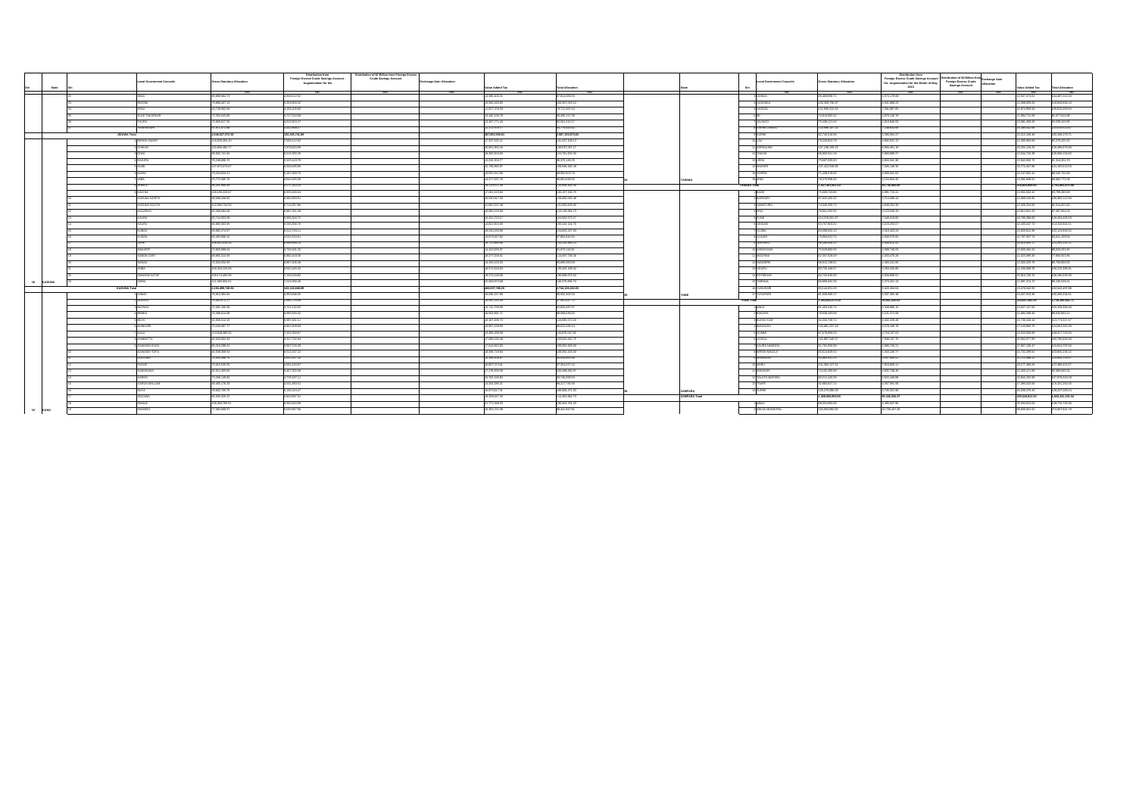|         |             |                     |                                  |                           | <b>Clatribution from</b>              | <b>Xatribution of \$2 Billion from Foreign Excess</b> |                         |                |                  |                      |                     |                          |                            | Distribution from                       |                                       |                   |                    |                  |
|---------|-------------|---------------------|----------------------------------|---------------------------|---------------------------------------|-------------------------------------------------------|-------------------------|----------------|------------------|----------------------|---------------------|--------------------------|----------------------------|-----------------------------------------|---------------------------------------|-------------------|--------------------|------------------|
|         |             |                     |                                  |                           | Foreign Excess Crude Savings Account- | Crude Savings Account                                 |                         |                |                  |                      |                     |                          |                            | Foreign Excess Crude Savings Accoun     | <b>Natribution of \$2 Billion fro</b> | Exchange Gain     |                    |                  |
|         |             |                     | <b>Local Government Councils</b> | ross Statutory Allocation | Augmentation for the                  |                                                       | schange Gain Allocation |                |                  |                      |                     | ocal Government Councils | Gross Statutory Allocation | for- Augmentation for the Month of May, | Foreign Excess Crude                  | <b>Allowation</b> |                    |                  |
|         |             |                     |                                  |                           |                                       |                                                       |                         | alus Added Tax | noiteagiA letc   |                      | Sh.                 |                          |                            | 2010                                    | <b>Savings Account</b>                |                   | alue Added Tax     | otal Allocation  |
|         |             |                     |                                  |                           |                                       |                                                       |                         |                |                  |                      |                     |                          |                            |                                         | <b>AND</b>                            |                   | <b>START START</b> | $-10$            |
|         |             |                     |                                  | 0,889,964.73              | 558,012.52                            |                                                       |                         | 10.209,220     | 314,381.55       |                      |                     |                          | 09.958.7                   | 5,570,179.68                            |                                       |                   | 507,073.62         | 4,487,212.00     |
|         |             |                     |                                  | 9,886,407.13              | 209,950.32                            |                                                       |                         | 300,645.05     | 0,397,003.10     |                      |                     |                          | 1,309,736.87               | 6,541,098.23                            |                                       |                   | 2,098,059.33       | 8,949,694.43     |
|         |             |                     |                                  | 13,728,902.69             | 4,156,206.65                          |                                                       |                         | 11,827,378.29  | 1,712,487.64     |                      |                     |                          | 1,056,312.64               | 7,281,887.65                            |                                       |                   | 16,871,852.34      | 35,810,059.63    |
|         |             |                     | <b>GHE TAKADKAD</b>              |                           |                                       |                                                       |                         |                |                  |                      |                     |                          |                            |                                         |                                       |                   |                    |                  |
|         |             |                     |                                  | 72,332,643.89             | (717,316.68                           |                                                       |                         | 3.440.156.78   | 0.490.117.36     |                      |                     |                          | 1813.962.41                | 4,879,140.78                            |                                       |                   | 1108471100         | 1,677,814.88     |
|         |             |                     | <b>TAILIRA</b>                   | 73,809,817.30             | 813, 653.47                           |                                                       |                         | 3,467,771.40   | 1,091,242.17     |                      |                     |                          | 5,438,121.04               | 4,919,846.53                            |                                       |                   | 3,681,459.28       | 4,039,426.85     |
|         |             |                     | <b><i>EMICWARH</i></b>           | 17,971,072.68             | 432,868.17                            |                                                       |                         | 1372979.77     | 1,776,920.62     |                      |                     | ADIBAT AM                | 0,996,147.32               | 7,238,833.66                            |                                       |                   | 5,384,532.69       | 33,619,513.67    |
|         |             | <b>JIGAWA Total</b> |                                  | 2,046,027,572.92          | 133,435,741.89                        |                                                       |                         | 387,092,555.01 | 2,567,155,870.63 |                      |                     |                          | 2,740,018.98               | 5,396,054.27                            |                                       |                   | 2,212,106.46       | 00,348,179.71    |
|         |             |                     | PMN CWAR                         | 16.520.464.10             | 599,112.92                            |                                                       |                         | 7,327,531.11   | 41,447,108.13    |                      |                     |                          | 020 824 78                 | 4.892.631.72                            |                                       |                   | 2,305,963.65       | 2,279,420.15     |
|         |             |                     | HIKUN                            | 120, 806, 480.77          | 02.023.075.7                          |                                                       |                         | 0,851,952.40   | 19,537,067.17    |                      |                     | 80 M PA                  | 7,248,159.22               | 6,994,401.19                            |                                       |                   | 6,254,119.25       | 30,496,679.66    |
|         |             |                     |                                  |                           |                                       |                                                       |                         |                |                  |                      |                     |                          |                            |                                         |                                       |                   |                    |                  |
|         |             |                     |                                  | 99,902,741.92             | 515,355.25                            |                                                       |                         | 8,363,504.83   | 4,781,602.00     |                      |                     | TAKUM                    | 5,000,541.18               | 5,000,009.27                            |                                       |                   | 3,544,724.38       | 06,006,134.82    |
|         |             |                     | KAJURU                           | 78,248,696.70             | 103,143.79                            |                                                       |                         | 024304.77      | 1,376,145.25     |                      |                     |                          | 03.003.120.0               | 4,004,341.36                            |                                       |                   | 2.842.832.72       | ,314,204.70      |
|         |             |                     |                                  | 127,873,073.67            | 8,339,495.85                          |                                                       |                         | 2,736,892.97   | 18,949,462.49    |                      |                     | <b>LIKAR</b>             | 7,412,918.83               | 7,005,146.32                            |                                       |                   | 6,774,447.88       | 1,192,513.03     |
|         |             |                     | ЧA                               | 79.234.834.21             | 167,456.70                            |                                                       |                         | 550,311.06     | 952.602.76       |                      |                     |                          | 30,078.06                  | 1,659,041.02                            |                                       |                   | 2.147.601.41       | 8,245,720.48     |
|         |             |                     |                                  | 5,772,065.76              | (941,625.39                           |                                                       |                         | ,377,937.76    | 091,628.92       | TARABA               |                     |                          | 275,998.45                 | 104,924.32                              |                                       |                   | 13,301,842.61      | ,682,772.38      |
|         |             |                     | <b>EMA'A</b>                     | 96,251,666.94             | 277,243.16                            |                                                       |                         | 1,129,571.36   | 10,058,481.45    |                      | <b>TARABA Total</b> |                          | LA37,301,501.43            | 93,736,465.09                           |                                       |                   | 220.825.909.45     | 1,751,863,875.98 |
|         |             |                     |                                  | 106,190,226.87            | 325,406.04                            |                                                       |                         | 081,523.84     | 0,197,156.75     |                      |                     |                          | 006,743.86                 | 4,091,713.41                            |                                       |                   | 3,900,632.42       | 220,003.02       |
|         |             |                     |                                  |                           |                                       |                                                       |                         |                |                  |                      |                     |                          |                            |                                         |                                       |                   |                    |                  |
|         |             |                     | DUNA NORTH                       | 23.852,206.65             | 460,929.51                            |                                                       |                         | 1,530,917.33   | 6,060,055.48     |                      |                     |                          | 522,400.32                 | 1714,468.44                             |                                       |                   | 2,958,243.90       | 06,305,112.66    |
|         |             |                     | ADUNA SOUTH                      | 102,958,734.55            | 5,714,657.86                          |                                                       |                         | 21,090,237.48  | 11,563,629.90    |                      |                     | <b>DAMATURU</b>          | 4,340,335.73               | 4,548,252.28                            |                                       |                   | 2.326.234.59       | 1,514,822.60     |
|         |             |                     |                                  | 0,258,554.08              | ,887,051.08                           |                                                       |                         | 1,980,219.58   | 135,954.73       |                      |                     |                          | 1,561,292.35               | (123,530.33)                            |                                       |                   | 3,012,031.33       | 7,497,654.02     |
|         |             |                     | <b>AURA</b>                      | 12,744,503.28             | 5,396,346.72                          |                                                       |                         | 6,421,723.17   | 4,562,573.17     |                      |                     | 1 IMF                    | 14,219,021.67              | 7,449,019.80                            |                                       |                   | 0.796,386.83       | 40,464,428.29    |
|         |             |                     | AURU                             | 4.883.353.95              | 535.836.76                            |                                                       |                         | 4.822.904.05   | 5.242.104.76     |                      |                     |                          | 1,767,803.31               | 115253.07                               |                                       |                   | 4.433.247.73       | 14,316,304.11    |
|         |             |                     | <b>UBAU</b>                      | 99,862,274.87             | 6,512,716.11                          |                                                       |                         | 8,230,236.96   | 14,005,227.93    |                      |                     | <b>GILBA</b>             | 1,098,652.10               | 5,419,443.24                            |                                       |                   | 1,605,812.98       | 02,123,908.32    |
|         |             |                     | <b>IDAN</b>                      | 0.483.036.10              | 531,516.91                            |                                                       |                         | 1.879.627.83   | <b>ML040.041</b> |                      |                     |                          | 894,022.74                 | 4.949.579.05                            |                                       |                   | 2,797,507.74       | 3,641,109.54     |
|         |             |                     |                                  |                           |                                       |                                                       |                         |                |                  |                      |                     |                          |                            |                                         |                                       |                   |                    |                  |
|         |             |                     |                                  | 106,551,516.24            | 5,948,958.24                          |                                                       |                         | 9,723,980.66   | 3.224.405.13     |                      |                     | DIAKUSKO                 | 8,266,008.12               | 6,408,612.41                            |                                       |                   | 6.616.505.17       | 21,291,125.71    |
|         |             |                     | <b>AKADTI</b>                    | 72,825,989.54             | 749,491.20                            |                                                       |                         | 100,635.97     | 1,676,116.81     |                      |                     |                          | 529,882.56                 | 4,599,746.03                            |                                       |                   | 12,903,404.31      | 033,032.90       |
|         |             |                     | ABON GARI                        | 0,050,313.09              | 360,418.36                            |                                                       |                         | 1,377,008.01   | 4,097,739.46     |                      |                     |                          | 2,307,028.09               | 4,063,476.28                            |                                       |                   | 1,523,099.49       | 893,603.85       |
|         |             |                     | <b>NGA</b>                       | 74,634,034.93             | 39.305,425,4                          |                                                       |                         | 14,194,124.20  | 3,025,505.52     |                      |                     |                          | 8,912,138.61               | 4,494,241.65                            |                                       |                   | 2,320,425.79       | 5,726,806.05     |
|         |             |                     | xиА                              | 100,318,125.66            | 542,445.32                            |                                                       |                         | 1,571,618.03   | 5.432.189.02     |                      |                     |                          | 720,446.67                 | 5,264,343.86                            |                                       |                   | 1230,608.78        | 00,215,399.31    |
|         |             |                     | <b>NGON KATA</b>                 | 09,174,400.35             | 120,024.82                            |                                                       |                         | 274,148.36     | 558,573.54       |                      |                     |                          | 742,645.35                 | 5,526,659.51                            |                                       |                   | 910,720.70         | 06,180,025.56    |
|         |             |                     |                                  | 11,065,650.61             | 243,355.45                            |                                                       |                         | 03 018,000     | 0,375,890.74     |                      |                     |                          | 859,632.36                 | 5.273.421.13                            |                                       |                   | 1997.474.72        | 0,130,528.21     |
|         | <b>CINA</b> |                     |                                  |                           |                                       |                                                       |                         |                |                  |                      |                     |                          |                            |                                         |                                       |                   |                    |                  |
|         |             | <b>KADUNA Total</b> |                                  | 2,194,429,746.94          | 143,110,648.89                        |                                                       |                         | 406,507,786.20 | 744,126,182.03   |                      |                     | <b>UNUSAR</b>            | 144,051.29                 | 5,422,404.04                            |                                       |                   | 1,476,042.55       | 2,042,497.88     |
|         |             |                     | UNGI                             | 75,913,354.94             | 4,950,840.50                          |                                                       |                         | 6,056,157.89   | 6,920,361.33     | <b>YORE</b>          |                     | 17 YUSUFARI              | 1,839,965.17               | 5,337,355.48                            |                                       |                   | 13,027,913.36      | 00,205,234.01    |
|         |             |                     | LBASU                            | 5,463,672.27              | 305,729.88                            |                                                       |                         | 543,245.58     | 993,647.73       |                      | <b>YOBE Total</b>   |                          | 393,832,070.30             | \$0,901,520.02                          |                                       |                   | 234,647,092.39     | ,719,380,682.71  |
|         |             |                     |                                  | 72,391,155.36             | 721,132.62                            |                                                       |                         | 1,712,799.99   | 1,825,087.97     |                      |                     |                          | 1,403,340.74               | 5,308,880.15                            |                                       |                   | 627,137.60         | 0,339,358.48     |
|         |             |                     | LOCUI                            | 76,598,614.68             | 4,995,530.42                          |                                                       |                         | 503.891.71     | 6,098,036.82     |                      |                     | BAKUR.                   | 8,528,183.58               | 5,121,371.08                            |                                       |                   | 14,984,298.45      | 8,633,853.11     |
|         |             |                     | <b>DETA</b>                      | 1,808,314.19              | 5,987,461.11                          |                                                       |                         | 19,187,496.73  | 6,983,272.03     |                      |                     |                          | 2,034,748.74               | 6,002,228.48                            |                                       |                   | 5,736,340.44       | 3,773,317.67     |
|         |             |                     | <b>BUNKURE</b>                   | 75,163,087.77             | 4,901,909.69                          |                                                       |                         | 5,957,438.69   | 6.022.436.14     |                      |                     | <b>MINICA IDI</b>        | 00.881.237.18              | 6,579,109.76                            |                                       |                   | 1143.955.75        |                  |
|         |             |                     |                                  |                           |                                       |                                                       |                         |                |                  |                      |                     |                          |                            |                                         |                                       |                   |                    | 24,004,362.09    |
|         |             |                     |                                  | 13,948,389.35             | 431,369.97                            |                                                       |                         | 496,288.58     | 4,876,047.91     |                      |                     |                          | 578,958.29                 | 1718, 157.63                            |                                       |                   | 520.523.68         | 08,917,719.60    |
|         |             |                     | MMMATTA                          | 1540,004.34               | 317,792.94                            |                                                       |                         | 7,085,045.48   | 3,942,542.75     |                      |                     |                          | 1,887,545.27               | 7,949,137.76                            |                                       |                   | 10.952.977.85      | 50,789,660.88    |
|         |             |                     | <b>UCLOI VIOLANI</b>             | 5,219,298.41              | 557,745.39                            |                                                       |                         | 614,862.83     | 08,391,905.63    |                      |                     | <b>URA NAMODI</b>        | 1,781,926.98               | 5,985,740.21                            |                                       |                   | 7,857,130.47       | 15,624,797.66    |
|         |             |                     | WAKN TOFA                        | 84,538,358.94             | 513,337.22                            |                                                       |                         | 18,298,719.84  | 08,350,426.00    |                      |                     | NIN MAGAJI               | 614,829.53                 | 5,453,106.77                            |                                       |                   | 14,732,299.91      | 03,800,236.22    |
|         |             |                     | <b>GUWA</b>                      | 5,643,598.75              | 333,247.16                            |                                                       |                         | 358,006.97     | 334,852.88       |                      |                     |                          | 883 922 23                 | 1,057,609.02                            |                                       |                   | 5,712,588.22       | 4,054,119.47     |
|         |             |                     |                                  | 5,015,535.55              | 331,416.97                            |                                                       |                         | 1,007,074.61   | 354,027.12       |                      |                     |                          | 1,392,127.51               | 7,916,828.11                            |                                       |                   | 8,177,466.05       | 7,486,421.67     |
|         |             |                     | LGGE                             |                           |                                       |                                                       |                         |                |                  |                      |                     |                          |                            |                                         |                                       |                   |                    |                  |
|         |             |                     |                                  | 12,912,455.82             | 5,407,300.08                          |                                                       |                         | 178,929.08     | 5,498,684.97     |                      |                     |                          | 102,455.98                 | 4,832,738.48                            |                                       |                   | 3.425.471.86       | 2,300,000.32     |
|         |             |                     |                                  | 3,266,149.60              | 778,197.11                            |                                                       |                         | 02.246.83      | 746,593.53       |                      |                     | TALATA MAFARA            | 211,440.39                 | 5,622,449.89                            |                                       |                   | 5,844,152.99       | 07,678,043.28    |
|         |             |                     | <b>GARUN MALLAM</b>              | 09,483,176.33             | 531,483.01                            |                                                       |                         | 1,303,086.21   | 317,745.56       |                      |                     | <b>TSAFE</b>             | 2,003,647.14               | 6,057,591.08                            |                                       |                   | 2,390,023.84       | 16,331,262.05    |
|         |             |                     | KYA.                             | 78,662,709.75             | 130.544.47                            |                                                       |                         | 16.110.617.31  | 0.666.471.53     | ZAMFARA              | 14 ZURM             |                          | 3,275,586.08               | 1735.321.96                             |                                       |                   | 236,375,20         | 28.247.283.24    |
|         |             |                     |                                  | 19,300,320.22             | 823,897.31                            |                                                       |                         | 1,338,647.20   | 4,462,054.73     | <b>ZAMFARA Total</b> |                     |                          | 108,559,959.65             | 85,340,330.37                           |                                       |                   | 229,340,012.32     | 623,241,102.34   |
|         |             |                     | <b>WALE</b>                      | 106,300,795.51            | 332,616.99                            |                                                       |                         | (22886,111)    | 15,004,761.03    |                      |                     | 1 ABAJ                   | 1,324,953.46               | 4,455,947.05                            |                                       |                   | 0,934,812.04       | 49,715,723.36    |
|         |             |                     |                                  | 7,060,568.57              | 25,057.00                             |                                                       |                         |                | 441,947.91       |                      |                     | <b>BUJA MUNICIPAL</b>    | 503,892.60                 | 0,728,447.28                            |                                       |                   | 835,601.91         | 74,067,941.79    |
| 19 KAND |             |                     |                                  |                           |                                       |                                                       |                         | 355,721.68     |                  |                      |                     |                          |                            |                                         |                                       |                   |                    |                  |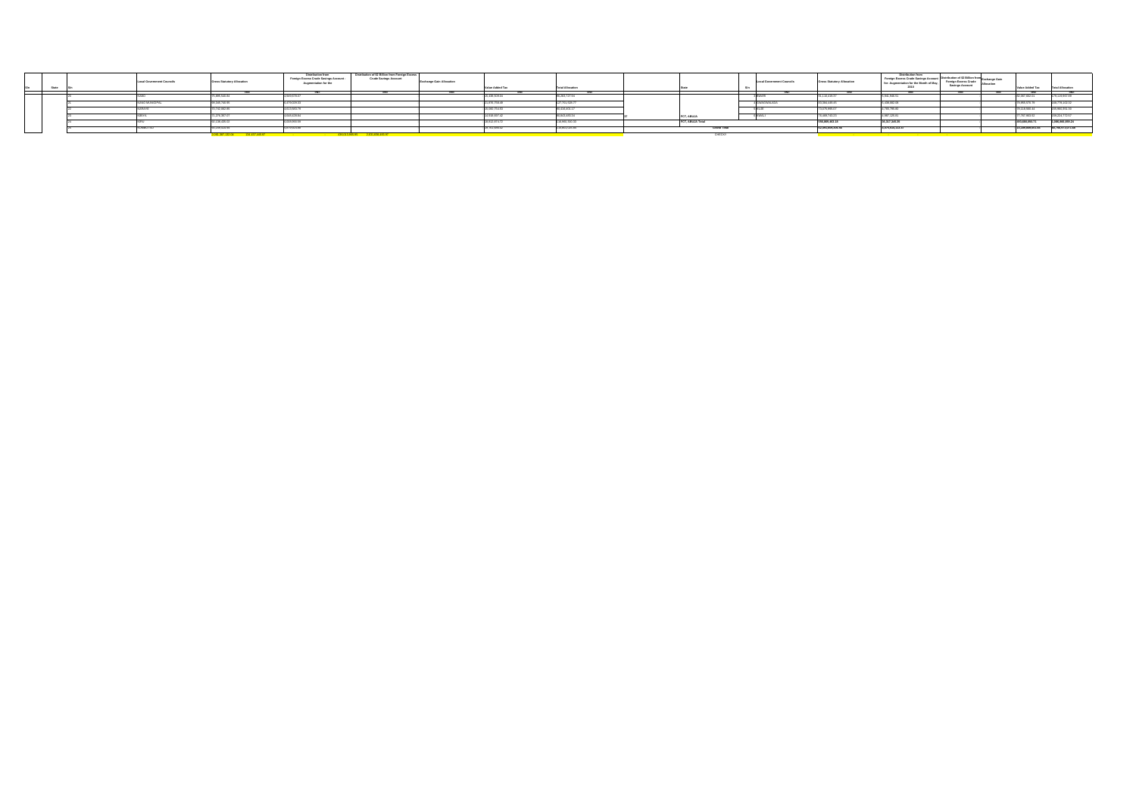| State | <b>Local Government Councils</b> | <b>Gross Statutory Allocation</b> | Distribution from<br>Foreign Excess Crude Savings Account -<br>Augmentation for the | Distribution of \$2 Billion from Foreign Excess<br>Crude Savings Account | Eschange Gain Allocation | Value Added Tax | <b>Total Allocation</b> |                   | <b>Local Government Councils</b> | Gross Statutory Allocation | Distribution from<br>Foreign Excess Crude Savings Account<br>for-Augmentation for the Month of May. | Distribution of \$2 Billion from<br>Foreign Excess Crude<br>Savings Account | change Ga<br>ocation | Value Added Tax      | <b>Total Allocation</b> |
|-------|----------------------------------|-----------------------------------|-------------------------------------------------------------------------------------|--------------------------------------------------------------------------|--------------------------|-----------------|-------------------------|-------------------|----------------------------------|----------------------------|-----------------------------------------------------------------------------------------------------|-----------------------------------------------------------------------------|----------------------|----------------------|-------------------------|
|       |                                  |                                   |                                                                                     |                                                                          |                          |                 |                         |                   |                                  |                            |                                                                                                     |                                                                             |                      |                      |                         |
|       |                                  | 75.805.540.BL                     | 4.949.678.0                                                                         |                                                                          |                          | 15.438.509.0    | GE 283 727 G            |                   |                                  | 31 110 419 17              | <b>M10455</b>                                                                                       |                                                                             |                      | 12,067,602.01        | 179,119,967.89          |
|       | KAND MUNICIPAL                   | 29.345.740.95                     | 6.479.029.33                                                                        |                                                                          |                          | 21.876.758.49   | (27.701.528.7")         |                   | 4 CINACINAL ADA                  | TT TAL 440 44              | 438.082.0                                                                                           |                                                                             |                      | 79,955,570.79        | 158.778.102.32          |
|       |                                  | 20 742 062 B                      | 4.613.583.7                                                                         |                                                                          |                          | 15.000.754.53   | 415, 401, 17            |                   |                                  | <b>PT 075 005 00</b>       | 88.708.BO                                                                                           |                                                                             |                      | 78.118.500.44        | 155,960,351             |
|       |                                  | 225.352                           | 4.648.428.84                                                                        |                                                                          |                          | 4.918.697       | 843.483.34              | <b>TCT, ABUJA</b> |                                  | <b>76 480 74</b>           |                                                                                                     |                                                                             |                      | 767.903.52           |                         |
|       |                                  | 92.138.435.0                      | 6.008.990.5                                                                         |                                                                          |                          | 18.812.87       | 115,950,300,331         | FCT. ABUJA Total  |                                  | 556,003,463.               |                                                                                                     |                                                                             |                      | $-423.680.050.71$    | 1.005.005.059.24        |
|       |                                  | 00 150 454 G                      | 5.879.924.88                                                                        |                                                                          |                          | 10 761 FAC      | 5,801.07                | <b>Grand Tota</b> |                                  | 62.491.609.306.56          | <b>075.514.113.</b>                                                                                 |                                                                             |                      | $-14.103.049.651.65$ | 80.756.973.071.68       |
|       |                                  | 055 387 132 04 134 437 445 97     |                                                                                     |                                                                          |                          |                 |                         |                   |                                  |                            |                                                                                                     |                                                                             |                      |                      |                         |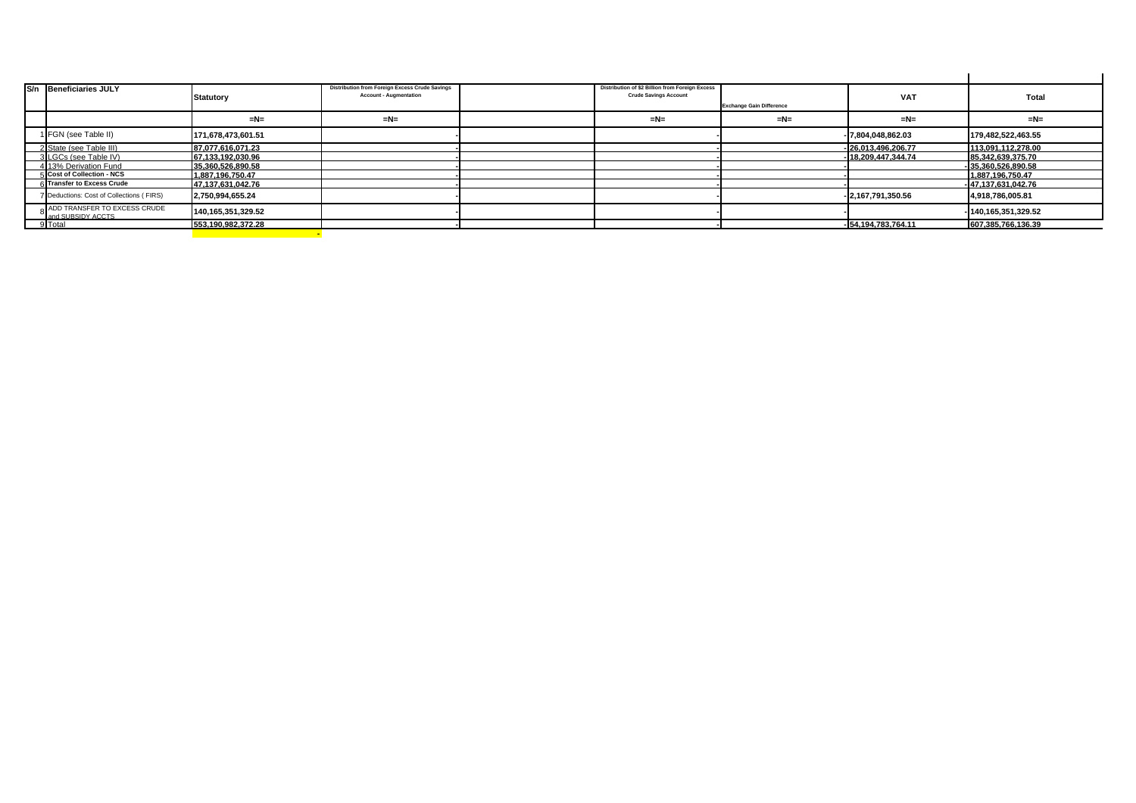| S/n Beneficiaries JULY                              | Statutory          | Distribution from Foreign Excess Crude Savings<br><b>Account - Augmentation</b> | Distribution of \$2 Billion from Foreign Excess<br><b>Crude Savings Account</b> | <b>Exchange Gain Difference</b> | <b>VAT</b>           | <b>Total</b>         |
|-----------------------------------------------------|--------------------|---------------------------------------------------------------------------------|---------------------------------------------------------------------------------|---------------------------------|----------------------|----------------------|
|                                                     | $=N=$              | $=N=$                                                                           | $=N=$                                                                           | $=N=$                           | $=N=$                | $=N=$                |
| 1 FGN (see Table II)                                | 171,678,473,601.51 |                                                                                 |                                                                                 |                                 | -17.804.048.862.03   | 179,482,522,463.55   |
| 2 State (see Table III)                             | 87.077.616.071.23  |                                                                                 |                                                                                 |                                 | $-26.013.496.206.77$ | 113.091.112.278.00   |
| 3 LGCs (see Table IV)                               | 67.133.192.030.96  |                                                                                 |                                                                                 |                                 | -18.209.447.344.74   | 85.342.639.375.70    |
| 4 13% Derivation Fund                               | 35.360.526.890.58  |                                                                                 |                                                                                 |                                 |                      | $-35.360.526.890.58$ |
| 5 Cost of Collection - NCS                          | 1.887.196.750.47   |                                                                                 |                                                                                 |                                 |                      | 1.887.196.750.47     |
| 6 Transfer to Excess Crude                          | 47.137.631.042.76  |                                                                                 |                                                                                 |                                 |                      | $-47.137.631.042.76$ |
| 7 Deductions: Cost of Collections (FIRS)            | 2,750,994,655.24   |                                                                                 |                                                                                 |                                 | $-2,167,791,350.56$  | 4,918,786,005.81     |
| o ADD TRANSFER TO EXCESS CRUDE<br>and SUBSIDY ACCTS | 140,165,351,329.52 |                                                                                 |                                                                                 |                                 |                      | - 140,165,351,329.52 |
| 9 Total                                             | 553.190.982.372.28 |                                                                                 |                                                                                 |                                 | -54.194.783.764.11   | 607.385.766.136.39   |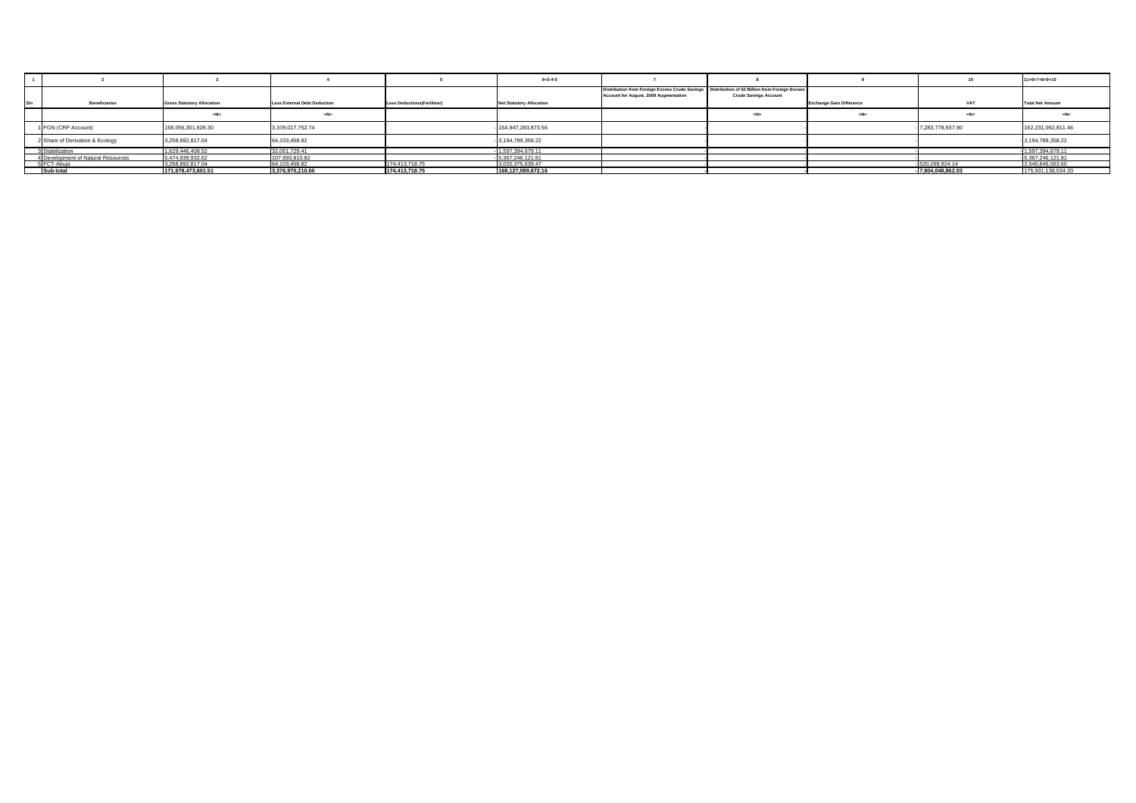|                                    |                                   |                                     |                                    | $6 = 3 - 4 - 5$                 |                                                                                                                                                 |                              |                                 |                     | $11=6+7+8+9+10$         |
|------------------------------------|-----------------------------------|-------------------------------------|------------------------------------|---------------------------------|-------------------------------------------------------------------------------------------------------------------------------------------------|------------------------------|---------------------------------|---------------------|-------------------------|
| <b>Beneficiaries</b>               | <b>Gross Statutory Allocation</b> | <b>Less External Debt Deduction</b> | <b>Less Deductions(Fertilizer)</b> | <b>Net Statutory Allocation</b> | Distribution from Foreign Excess Crude Savings  Distribution of \$2 Billion from Foreign Excess<br><b>Account for August, 2009 Augmentation</b> | <b>Crude Savings Account</b> | <b>Exchange Gain Difference</b> | VAT                 | <b>Total Net Amount</b> |
|                                    | $= N =$                           | $= N =$                             |                                    |                                 |                                                                                                                                                 | $=N=$                        | $=N=$                           | =N:                 | $= N$                   |
| FGN (CRF Account)                  | 158,056,301,626.30                | 3,109,017,752.74                    |                                    | - 154,947,283,873.56            |                                                                                                                                                 |                              |                                 | - 7,283,778,937.90  | 162,231,062,811.46      |
| 2 Share of Derivation & Ecology    | 3,258,892,817.04                  | 64,103,458.82                       |                                    | 3,194,789,358.22                |                                                                                                                                                 |                              |                                 |                     | $-3,194,789,358.22$     |
| 3 Stabilization                    | 1.629.446.408.52                  | 32.051.729.41                       |                                    | 1.597.394.679.11                |                                                                                                                                                 |                              |                                 |                     | $-1.597.394.679.11$     |
| 4 Development of Natural Resources | 5.474.939.932.62                  | 107.693.810.82                      |                                    | $-5.367.246.121.81$             |                                                                                                                                                 |                              |                                 |                     | $-5.367.246.121.81$     |
| FCT-Abuia                          | 3.258.892.817.04                  | 64.103.458.82                       | 174,413,718.75                     | 3 020 375 639 47                |                                                                                                                                                 |                              |                                 | $-520.269.924.14$   | 3.540.645.563.60        |
| Sub-total                          | 171.678.473.601.51                | 3.376.970.210.60                    | 174,413,718,75                     | 168.127.089.672.16              |                                                                                                                                                 |                              |                                 | $-7.804.048.862.03$ | 175.931.138.534.20      |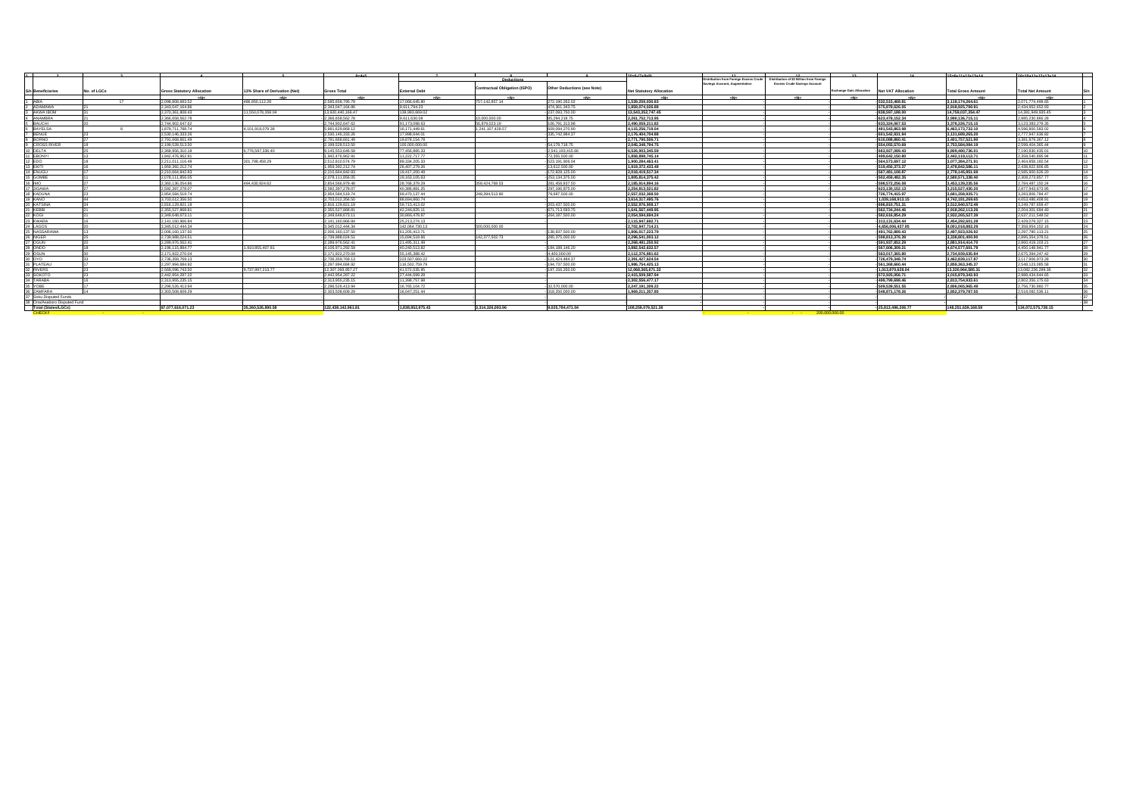|                             |             |                                   |                               | $6 - 4 - 5$           |                      |                                      |                                    | $10 - 6 - (7 + 8 + 9)$          |                               |                                                                                   | $-11$                                       | $\overline{14}$   | 15-6-11-12-13-14          | 16-10-11-12-13-14       |  |
|-----------------------------|-------------|-----------------------------------|-------------------------------|-----------------------|----------------------|--------------------------------------|------------------------------------|---------------------------------|-------------------------------|-----------------------------------------------------------------------------------|---------------------------------------------|-------------------|---------------------------|-------------------------|--|
|                             |             |                                   |                               |                       |                      |                                      |                                    |                                 |                               | listribution from Foreign Excess Crude   Distribution of \$2 Billion from Foreign |                                             |                   |                           |                         |  |
|                             |             |                                   |                               |                       |                      |                                      |                                    |                                 | Savings Account, Augmentation | Excess Crude Savings Account                                                      |                                             |                   |                           |                         |  |
| In Beneficiaries            | No. of LGCs | <b>Gross Statutory Allocation</b> | 13% Share of Derivation (Net) | <b>Gross Total</b>    | <b>External Debt</b> | <b>Contractual Obligation (ISPO)</b> | <b>Other Deductions (see Note)</b> | <b>Net Statutory Allocation</b> |                               |                                                                                   | Exchange Gain Allocation Net VAT Allocation |                   | <b>Total Gross Amount</b> | <b>Total Net Amount</b> |  |
|                             |             |                                   |                               |                       |                      |                                      |                                    |                                 |                               |                                                                                   |                                             |                   |                           |                         |  |
| <b>ARIA</b>                 |             | 098 808 683 52                    | <b>IRR R50 112 2R</b>         | <b>585 658 795 79</b> | 7 ORR R45 BC         | 757 142 857 14                       | 272.190.262.02                     | 1.539.259.030.83                |                               |                                                                                   |                                             | 532.515.468.81    | 3.118.174.264.61          | 2071 774 499 65         |  |
| <b>ADAMAWA</b>              |             | 343 047 164 86                    |                               | 34304716486           | 611 794 23           |                                      | 474 381 343 75                     | 1.859.074.026.88                |                               |                                                                                   |                                             | 575 878 626 05    | 2.918.925.790.91          | 2.434.952.652.93        |  |
| <b>LAKWA IROM</b>           |             | 370 361 808 43                    | 1.550.078.358.04              | 13 920 440 166 47     | 39 993 669 02        |                                      | 237 093 750 00                     | 13 543 352 747 45               |                               |                                                                                   |                                             | 838 597 188 00    | 14.759.037.354.47         | 14 381 949 935 45       |  |
| <b>ANAMBRA</b>              |             | ARR REA 562 78                    |                               | 386 658 562 78        | 611630.08            | 10.000.000.00                        | 85.294.218.75                      | 2.261.752.713.95                |                               |                                                                                   |                                             | 623.478.152.34    | 1990.136.715.11           | <b>RR5 230 RR6 28</b>   |  |
| <b>BALICHE</b>              |             | 744 902 647 62                    |                               | 744 902 647 62        | 1173.098.63          | 56 879 023 19                        | 106 791 313 98                     | 2.490.059.211.82                |                               |                                                                                   |                                             | 633 324 067 53    | 378 226 715 15            | 123 383 279 35          |  |
| BAYELSA                     |             | .879.711.788.74                   | 101.918.079.38                | 5.981.629.868.12      | 16.171.449.61        | 241.107.428.57                       | 609.094.270.90                     | 4.115.256.719.04                |                               |                                                                                   |                                             | 481.543.863.98    | 6.463.173.732.10          | L 596 800 583.02        |  |
| RENUE                       |             | 530 146 333 26                    |                               | 2.530.146.333.26      | 7 998 644 01         |                                      | 335 742 984 37                     | 2.176.404.704.88                |                               |                                                                                   |                                             | 601.542.931.94    | 3 131 689 265 20          | 2 777 947 636 82        |  |
| BORNO                       |             | 791 668 661 49                    |                               | 791 668 661 49        | 19.878.154.78        |                                      |                                    | 2.771.790.506.71                |                               |                                                                                   |                                             | 610.088.860.41    | 3.401.757.521.90          | 381 879 367 12          |  |
| <b>CROSS RIVER</b>          |             | 199.528.513.50                    |                               | 2.199.528.513.50      | 00.000.000.00        |                                      | 54.179.718.75                      | 2.045.348.794.75                |                               |                                                                                   |                                             | 554.055.570.69    | 2.753.584.084.19          | 1.599.404.365.44        |  |
| 10 DELTA                    |             | 388 956 310 18                    | 776.597.336.40                | 3.145.553.646.58      | 7 456 885 33         |                                      | 2.541.193.415.66                   | 6.526.903.345.59                |                               |                                                                                   |                                             | 663.927.089.43    | 9.809.480.736.01          | 190 830 435 01          |  |
| 11 EBONYI                   |             | .942.476.962.91                   |                               | 1.942.476.962.91      | 11.222.717.77        |                                      | 72.355.500.00                      | 1.858.898.745.14                |                               |                                                                                   |                                             | 499.642.150.80    | 2.442.119.113.71          | 2.358.540.895.94        |  |
| 12 EDO                      |             | 1211.011.116.49                   | 01.799.458.29                 | 2.512.810.574.79      | 89.334.205.33        |                                      | 523 191 908 04                     | 1.900.284.463.41                |                               |                                                                                   |                                             | 564.573.697.12    | 3.077.384.271.91          | AR4 858 160 54          |  |
| 3 EKITI                     |             | 1.959.392.212.74                  |                               | 1.959.392.212.74      | 26.407.279.26        |                                      | 13.612.500.00                      | 1.919.372.433.48                |                               |                                                                                   |                                             | 519.450.373.37    | 2,478.842.586.11          | 2.438.822.806.85        |  |
| 14 ENUGU                    |             | 210.664.842.83                    |                               | 2.210.664.842.83      | 19.417.200.49        |                                      | 172 828 125 0                      | 2.018.419.517.34                |                               |                                                                                   |                                             | 567 481 108 87    | 2.778.145.951.69          | 2 585 900 626 20        |  |
| 15 GOMBE                    |             | 078 111 856 05                    |                               | 2028 111 856 05       | 19.163.105.63        |                                      | 253 134 375 00                     | 1.805.814.375.42                |                               |                                                                                   |                                             | 502.459.482.35    | 1580.571.338.40           | 2.308.273.857.77        |  |
| 16 IMO                      |             | 380 136 054 86                    | 494 430 924 62                | 2 854 566 979 48      | 28.768.379.29        | 358 424 768 53                       | 281 458 937 50                     | 2.185.914.894.16                |                               |                                                                                   |                                             | 598.572.256.08    | 3.453.139.235.56          | 2.784.487.150.24        |  |
| 17 JIGAWA                   |             | 592 397 278 07                    |                               | 692 397 278 07        | 40 386 881 25        |                                      | 297 198 875 00                     | 2.254.813.521.82                |                               |                                                                                   |                                             | 623 130 152 13    | 3 215 527 430 20          | 287794367395            |  |
| 18 KADUNA                   |             | 954 584 519 74                    |                               | 954 584 519 74        | 69.470.137.44        | 248 394 513 80                       | 79 687 500 00                      | 2.557.032.368.50                |                               |                                                                                   |                                             | 726 774 415 97    | 3.681.358.935.71          | 3 283 806 784 47        |  |
| 19 KANO                     |             | 703.012.356.50                    |                               | 703.012.356.50        | 88 694 860 74        |                                      |                                    | 3.614.317.495.76                |                               |                                                                                   |                                             | 1.039.168.913.15  | 4 742 181 269 65          | 4 653 486 408 91        |  |
| 20 KATSINA                  |             | 816 129 821 19                    |                               | 2.816.129.821.19      | 9 715 413 02         |                                      | 203 437 500 00                     | 2.552.976.908.17                |                               |                                                                                   |                                             | 696 810 751 31    | 3.512.940.572.49          | 3 249 787 859 47        |  |
| 21 KEBBI                    |             | 1.355.527.868.81                  |                               | 355.527.868.81        | 42.246.825.11        |                                      | 671.713.593.75                     | 1.641.567.449.95                |                               |                                                                                   |                                             | 562.734.244.46    | 2.918.262.113.26          | 2.204.301.694.40        |  |
| 22 KOGI                     |             | 349 648 673 11                    |                               | 2349 648 673 11       | 30 866 478 87        |                                      | 264 187 500 00                     | 2.054.594.694.24                |                               |                                                                                   |                                             | 582.616.854.29    | 2.932.265.527.39          | 2.637.211.548.52        |  |
| <b>BANARA</b>               |             | 141 160 966 84                    |                               | 141 160 966 84        | 5.213.274.13         |                                      |                                    | 2.115.947.692.71                |                               |                                                                                   |                                             | 313.131.634.44    | 1454.292.601.28           | 2.429.079.327.15        |  |
| 24 LAGOS                    |             | 1345.012.444.34                   |                               | 3.345.012.444.34      | 142.064.730.13       | 500.000.000.00                       |                                    | 2.702.947.714.21                |                               |                                                                                   |                                             | 4 656 006 437 95  | 8.001.018.882.29          | 358.954.152.16          |  |
| 25 NASSARAWA                |             | 006.160.137.50                    |                               | 2.006.160.137.50      | 61.205.413.71        |                                      | 138 937 500.00                     | 1.806.017.223.79                |                               |                                                                                   |                                             | 491.762.889.43    | 2.497.923.026.92          | 2.297.780.113.21        |  |
| 26 NIGER                    |             | 1739.988.024.51                   |                               | 739.988.024.51        | 5.694.518.66         | 142.377.502.73                       | 285.375.000.00                     | 2.296.541.003.12                |                               |                                                                                   |                                             | 598.813.376.39    | 1338.801.400.90           | 2.895.354.379.51        |  |
| 27 OGUN                     |             | 289.976.562.41                    |                               | 2.289.976.562.41      | 21,495,311.49        |                                      |                                    | 2.268.481.250.92                |                               |                                                                                   |                                             | 591.937.852.29    | 2.881.914.414.70          | 2.860.419.103.21        |  |
| 28 ONDO                     |             | 196.115.884.77                    | .910.855.407.81               | 4.106.971.292.59      | 40.240.513.82        |                                      | 184.188.146.20                     | 3.882.542.632.57                |                               |                                                                                   |                                             | 567.606.309.21    | 4.674.577.601.79          | 4.450.148.941.77        |  |
| 29 OSUN                     |             | 171 922 270 04                    |                               | 2.171.922.270.04      | 6.145.388.42         |                                      | 4 400 000 00                       | 2.112.376.881.62                |                               |                                                                                   |                                             | 563.017.365.80    | 734 939 635 84            | 2.675.394.247.42        |  |
| 30 OYO                      |             | 736 359 769 13                    |                               | 2 736 359 769 13      | 223 507 660 22       |                                      | 121 424 484 37                     | 2.391.427.624.54                |                               |                                                                                   |                                             | 726.479.348.74    | 3 462 839 117 87          | 3 117 906 973 28        |  |
| 31 PLATEAU                  |             | 297 994 684 92                    |                               | 2.297.994.684.92      | 16.502.759.79        |                                      | 194.737.500.00                     | 1.986.754.425.13                |                               |                                                                                   |                                             | 561.368.660.44    | 285936334537              | 2.548.123.085.58        |  |
| 32 RIVERS                   |             | 589 098 743 50                    | 3.737.997.213.77              | 12:307.093.957.27     | 41.572.035.95        |                                      | 197.156.250.00                     | 12.068.365.671.32               |                               |                                                                                   |                                             | 1.013.870.628.04  | 3.320.964.585.31          | 13 082 236 299 36       |  |
| 33 SOKOTO                   |             | 442 954 287 22                    |                               | 2 442 954 287 22      | 27 444 699 28        |                                      |                                    | 2.415.509.587.94                |                               |                                                                                   |                                             | 572 925 056 71    | 301587934393              | 2 988 434 644 65        |  |
| 34 TARARA                   |             | 313 955 235 15                    |                               | 231395523515          | 1.398.757.98         |                                      |                                    | 2.302.556.477.17                |                               |                                                                                   |                                             | 499 799 698 46    | 281375493361              | 2.802.356.175.63        |  |
| 35 YOBE                     |             | 296 526 413 94                    |                               | 296.526.413.94        | 6.765.104.72         |                                      | 32.570.000.00                      | 2.247.191.309.22                |                               |                                                                                   |                                             | 509 539 551 55    | <b>PA 23P 230 3061</b>    | 756 730 860 77          |  |
| 36 ZAMEARA                  |             | 303 508 609 29                    |                               | 303 508 609 29        | 16 047 251 44        |                                      | 318 250 000 00                     | 1.969.211.357.85                |                               |                                                                                   |                                             | 548.871.178.26    | 2.852.379.787.55          | 2 518 082 538 11        |  |
| 37 Soku Disputed Funds      |             |                                   |                               |                       |                      |                                      |                                    |                                 |                               |                                                                                   |                                             |                   |                           |                         |  |
| 8 Ona/Asaboro Disputed Fund |             |                                   |                               |                       |                      |                                      |                                    |                                 |                               |                                                                                   |                                             |                   |                           |                         |  |
| <b>Total (States/LGCs)</b>  |             | 7.077.616.071.23                  | 35.360.526.890.58             | 122.438.142.961.81    | 1.838.952.875.43     | 3.314.326.093.96                     | 9.025.784.471.04                   | 108.259.079.521.38              |                               |                                                                                   |                                             | 25 813 496 206 77 | 148.251.639.168.58        | 134.072.575.728.15      |  |
|                             |             |                                   |                               |                       |                      |                                      |                                    |                                 |                               |                                                                                   |                                             |                   |                           |                         |  |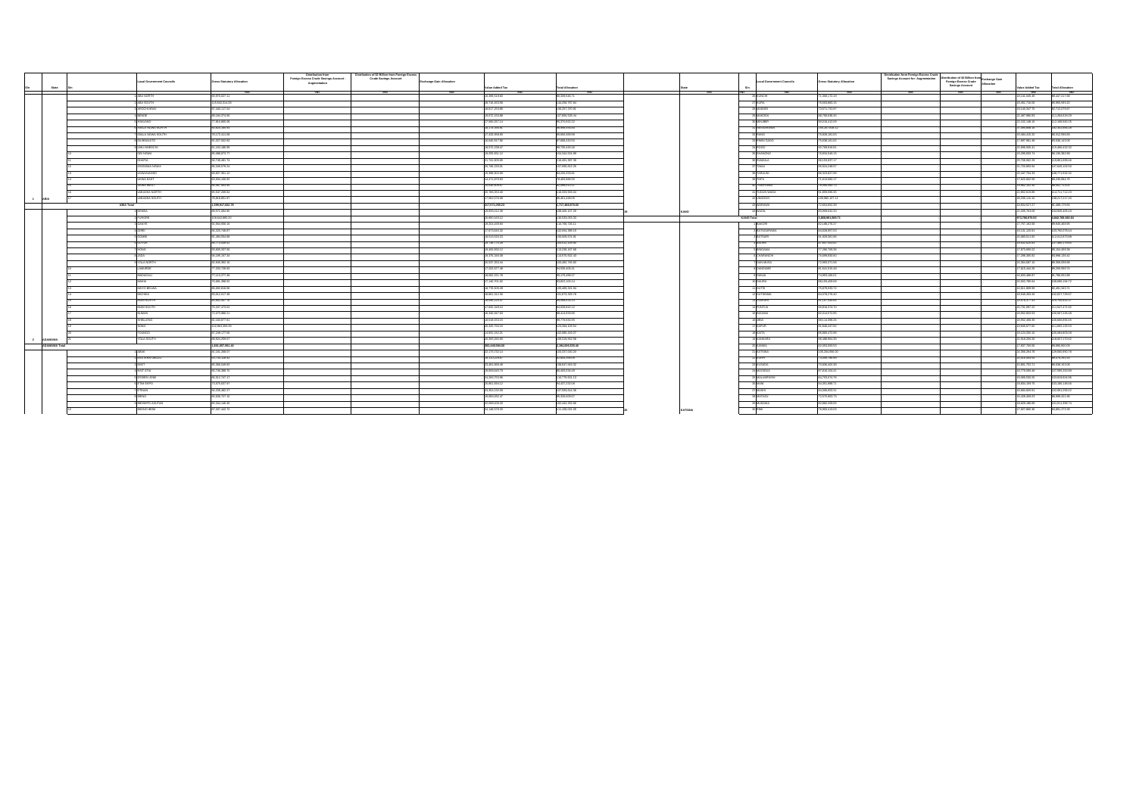|                      |                   |                                  |                                   | <b>Distribution from</b>               | <b>Distribution of \$2 Billion from Foreign Excess</b> |                         |                 |                  |               |            |                           |                                   | Distribution from Foreign Excess Crude | stribution of \$2 Billion from |               |                         |                         |
|----------------------|-------------------|----------------------------------|-----------------------------------|----------------------------------------|--------------------------------------------------------|-------------------------|-----------------|------------------|---------------|------------|---------------------------|-----------------------------------|----------------------------------------|--------------------------------|---------------|-------------------------|-------------------------|
|                      |                   | <b>Local Government Councils</b> | <b>Jross Statutory Allocation</b> | Foreign Excess Crude Savings Account - | Crude Savings Account                                  | schange Gain Allocation |                 |                  |               |            | Local Government Councils | <b>Gross Statutory Allocation</b> | Savings Account for-Augmentation       | Foreign Excess Crude           | Exchange Gain |                         |                         |
|                      |                   |                                  |                                   | Augmentation                           |                                                        |                         |                 |                  |               |            |                           |                                   |                                        | <b>Savings Account</b>         | Alloyation    |                         |                         |
| State                |                   |                                  |                                   |                                        |                                                        |                         | value Added Tax | notas alla lato  |               |            |                           |                                   |                                        |                                |               | alue Added Tax          | <b>Total Allocation</b> |
|                      |                   | ABA NORTH                        | 69,970,027.1                      |                                        |                                                        |                         | 6,303,519.00    | 1325467          |               | $\sim$     |                           | 306,172.19                        |                                        | - 1991                         |               | $   -$<br>18,141,045.49 | $ -$<br>447,217.68      |
|                      |                   | BA SOUTH                         | 15,542,314.28                     |                                        |                                                        |                         | 28,716,453.56   | 44,258,767.84    |               |            |                           | 503,883.15                        |                                        |                                |               | 19,451,710.06           | 355,593.20              |
|                      |                   |                                  |                                   |                                        |                                                        |                         |                 |                  |               |            |                           |                                   |                                        |                                |               |                         |                         |
|                      |                   | <b><i>REGENERANCE</i></b>        | 87,440,117.04                     |                                        |                                                        |                         | 18,817,253.86   | 06,257,370.91    |               |            | 28 MADOE                  | 571,731.97                        |                                        |                                |               | 19,140,347.70           | ,712,079.67             |
|                      |                   | <b>BENDE</b>                     | 88,184,374.56                     |                                        |                                                        |                         | 19,672,153.88   | 107,856,528.44   |               |            | MAKODA                    | 8,796,638.45                      |                                        |                                |               | 22.487.980.83           | 11:284.619.29           |
|                      |                   |                                  | 77,810,865.08                     |                                        |                                                        |                         | 17,560,057.14   | 5,370,922.22     |               |            |                           | 016,412.09                        |                                        |                                |               | 22,152,148.16           | 12,168,560.25           |
|                      |                   | SIALA NGWA NORTH                 | 80,824,165.93                     |                                        |                                                        |                         | 18,174,390.91   | 10,000,000.04    |               |            |                           | 55,207,818.12                     |                                        |                                |               | 37,094,848.16           | 192,302,666.28          |
|                      |                   | ISIALA NGWA SOUTH                | 78,172,411.08                     |                                        |                                                        |                         | 17,433,958.90   | 05,006,309.99    |               |            |                           | 6,828,181.63                      |                                        |                                |               | 12,484,415.20           | 0.312,596.83            |
|                      |                   | <b>DTAUNIARS</b>                 |                                   |                                        |                                                        |                         | 16.640.917.00   |                  |               |            | <b>HMNGADI</b>            | 5,638,161.62                      |                                        |                                |               | 17.897.981.48           |                         |
|                      |                   |                                  | 81,027,502.83                     |                                        |                                                        |                         |                 | 17,003,420.50    |               |            |                           |                                   |                                        |                                |               |                         | 13,536,143.09           |
|                      |                   | <b>IND-NNEOCHE</b>               | 81,163,186.99                     |                                        |                                                        |                         | 18,572,238.47   | 20,735,425.46    |               |            |                           | 2,769,916.91                      |                                        |                                |               | 22 696 505 41           | 15,466,422.32           |
|                      |                   | <b>CEI NGWA</b>                  | 85,088,873.77                     |                                        |                                                        |                         | 19,255,651.12   | 04,344,524.89    |               |            | SHANONO                   | 6,834,542.15                      |                                        |                                |               | 19,295,833.74           | 03 282.007              |
|                      |                   |                                  | 94,749,481.74                     |                                        |                                                        |                         | 21,741,905.65   | 116,491,387.39   |               |            |                           | 153,637.17                        |                                        |                                |               | 23,708,062.29           | 19,001,099.46           |
|                      |                   | SISIOMA NGWA                     | 86,349,579.24                     |                                        |                                                        |                         | 20,746,233.01   | 07,095,812.25    |               |            |                           | 324,248.57                        |                                        |                                |               | 1,720,853.94            | 07,645,102.50           |
|                      |                   | GWUNAGBO                         | 68.827.351.12                     |                                        |                                                        |                         | 15,398,902.69   | 1226.253.01      |               |            | <b>TARALIN</b>            | 323,827.99                        |                                        |                                |               | 22.447.704.33           | 08,771,532.32           |
|                      |                   | KWA EAST                         | 63,934,106.92                     |                                        |                                                        |                         | 14,471,879.63   | 8,405,986.55     |               |            |                           | 613,082.17                        |                                        |                                |               | 622,602.59              | 235, 554.76             |
|                      |                   |                                  |                                   |                                        |                                                        |                         |                 |                  |               |            |                           |                                   |                                        |                                |               |                         |                         |
|                      |                   | KWA WEST                         | 05,467,403.45                     |                                        |                                                        |                         | 15,630,609.67   | 2,098,013.11     |               |            |                           | 1,590,560.73                      |                                        |                                |               | 19,962,152.30           | 16,552,713.02           |
|                      |                   | <b>HUAHIA NORTH</b>              | 95,547,209.64                     |                                        |                                                        |                         | 20,786,353.40   | 16,333,553.04    |               |            | <b>DUN WAD</b>            | 359,095.35                        |                                        |                                |               | 22,852,615.89           | 14,711,712.23           |
|                      |                   | <b><i>IUANIA SOUTH</i></b>       | 78,818,851.97                     |                                        |                                                        |                         | 17,582,576.08   | 20.859,109,36    |               |            |                           | 10,982,107.11                     |                                        |                                |               | 1235.110.10             | 38,217,217.20           |
|                      | <b>ABIA Total</b> |                                  | 1,399,917,822.78                  |                                        |                                                        |                         | 317,571,055.23  | 1,717,488,878.00 |               |            | 43 WARAWA                 | 054,052.38                        |                                        |                                |               | 18,834,527.27           | 01,400,170.05           |
|                      |                   | <b>CMSA</b>                      | 88,571,094.90                     |                                        |                                                        |                         | 19,835,012.39   | 08,406,107.29    |               |            | <b>JOU</b>                | 009.642.33                        |                                        |                                |               | 1,035,763.09            | 04,945,405.43           |
|                      |                   | <b>TURORE</b>                    | 109,642,890.20                    |                                        |                                                        |                         | 20,890,163.12   | 30,533,053.33    |               | KAND Total |                           | 3,868,981,589.71                  |                                        |                                |               | 973,786,970.93          | 1,842,768,550.64        |
|                      |                   |                                  |                                   |                                        |                                                        |                         | 19,204.169.94   | 10.768.726.11    |               |            |                           |                                   |                                        |                                |               |                         |                         |
|                      |                   | ANYE                             | 91,564,556.16                     |                                        |                                                        |                         |                 |                  |               |            |                           | 100,276.37                        |                                        |                                |               | 7,757,192.58            | 0,945,468.95            |
|                      |                   | <b>GREE</b>                      | 84,220,748.87                     |                                        |                                                        |                         | 17,873,640.32   | 02,094,389.19    |               |            |                           | 028,957.53                        |                                        |                                |               | 19,131,120.91           | 03,760,078.44           |
|                      |                   |                                  | 81,494,554.68                     |                                        |                                                        |                         | 18,515,020.23   | 0.009.574.91     |               |            | ATSAR                     | 329,361.96                        |                                        |                                |               | 0.083.511.92            | 12,012,873.88           |
|                      |                   | GUYUK                            | 84,773,439.52                     |                                        |                                                        |                         | 19,738,770.28   | 104,512,209.80   |               |            | BAURE                     | 7,847,553.82                      |                                        |                                |               | 19.632.625.83           | 07,480,179.65           |
|                      |                   |                                  | 23,835,337.56                     |                                        |                                                        |                         | 19,400,830.12   | 13,236,167.68    |               |            |                           | 7,280,769.36                      |                                        |                                |               | 17,873,690.02           | 15, 154, 459.38         |
|                      |                   |                                  | 94,195,157.34                     |                                        |                                                        |                         | 19,375,345.08   | 3,570,502.43     |               |            | <b><i>URANCH</i></b>      | 03.000.003                        |                                        |                                |               | 7,298,305.82            | 3,998,136.42            |
|                      |                   | YOLA NORTH                       | 82,945,392.16                     |                                        |                                                        |                         | 20,537,353.44   | 03,482,745.00    |               |            | DAN-MUSA                  | 1,993,371.58                      |                                        |                                |               | 16,364,687.10           | 19,358,058.68           |
|                      |                   |                                  |                                   |                                        |                                                        |                         |                 |                  |               |            |                           |                                   |                                        |                                |               |                         |                         |
|                      |                   | <b>AMURDE</b>                    | 77,333,728.93                     |                                        |                                                        |                         | 17,202,677.48   | 4,536,406.41     |               |            | ANDUM                     | E41,515.48                        |                                        |                                |               | 17.615.444.26           | 0.256.959.74            |
|                      |                   | <b>MGAL</b>                      | 7,113,277.49                      |                                        |                                                        |                         | 18,062,221.78   | 5,175,499.27     |               |            |                           | 253,106.01                        |                                        |                                |               | 16,833,486.87           | 1,786,652.88            |
|                      |                   | uma.                             | 76,681,398.52                     |                                        |                                                        |                         | 17,140,701.62   | 33,822,100.14    |               |            |                           | 193,409.08                        |                                        |                                |               | 20,502,785.64           | 08,096,194.72           |
|                      |                   | <b>AYO BELWA</b>                 | 86,092,816.06                     |                                        |                                                        |                         | 18,776,505.28   | 105,409,321.94   |               |            |                           | 1,879,533,72                      |                                        |                                |               | 16,611,809.99           | 2,491,343.71            |
|                      |                   | <b>ICHRA</b>                     | 83,012,017.48                     |                                        |                                                        |                         | 18,061,312.30   | 101,673,329.76   |               |            | 12 DUTSINMA               | 4,078,276.40                      |                                        |                                |               | 18,549,453.26           | 102,627,729.67          |
|                      |                   | UBI NORTH                        | 80,902,407.76                     |                                        |                                                        |                         | 18,096,225.47   | 3,598,633.23     |               |            |                           | 167,544.84                        |                                        |                                |               | 19,578,377.43           | 10,745,922.27           |
|                      |                   | MUBI SOUTH                       | 76,207,473.02                     |                                        |                                                        |                         | 17,832,349.10   | 4,039,822.12     |               |            |                           | 0,816,374.70                      |                                        |                                |               |                         |                         |
|                      |                   |                                  |                                   |                                        |                                                        |                         |                 |                  |               |            |                           |                                   |                                        |                                |               | 20,731,097.22           | 11,547,471.92           |
|                      |                   | <b>UMAN</b>                      | 72,073,986.21                     |                                        |                                                        |                         | 16,340,947.63   | 15,414,933.85    |               |            |                           | 014,572.95                        |                                        |                                |               | 18,552,653.53           | 100,567,226.48          |
|                      |                   | HELLENG                          | 81,160,877.81                     |                                        |                                                        |                         | 18,618,053.15   | 9,778,930.95     |               |            |                           | 35.000,811,1                      |                                        |                                |               | 18,552,458.39           | 23.325,333,001          |
|                      |                   | ONG                              | 102,963,359.39                    |                                        |                                                        |                         | 20,320,750.15   | 123,284,109.54   |               |            | <b>KATUR</b>              | 1,846,447.92                      |                                        |                                |               | 12.845.677.00           | 11,092,125.53           |
|                      |                   | OUNG                             | 87,249,177.05                     |                                        |                                                        |                         | 14,831,242.21   | 12,080,419.27    |               |            |                           | 360,472.99                        |                                        |                                |               | 19, 124, 330.10         | 05,084,803.09           |
| 2 ADAMAWA            |                   | <b>CLA SOUTH</b>                 | \$8,924,259.57                    |                                        |                                                        |                         | 20,395,292.90   | 09,319,552.58    |               |            | AMK AIR                   | 30.403,004.35                     |                                        |                                |               | 21,518,206.26           | 18.007.170.62           |
| <b>IDAMAWA Total</b> |                   |                                  | 1,001,557,951.40                  |                                        |                                                        |                         | 222,448,584.00  | 194,006,535.40   |               |            |                           | 053,093.53                        |                                        |                                |               | 17,837,706.56           | 0,000,000.00            |
|                      |                   |                                  |                                   |                                        |                                                        |                         |                 |                  |               |            |                           |                                   |                                        |                                |               |                         |                         |
|                      |                   | <b>VELAK</b>                     | \$1,161,258.07                    |                                        |                                                        |                         | 22,175,732.14   | 03,337,000.20    |               |            | 21 KATSIN                 | 5,204,656.00                      |                                        |                                |               | 24,356,294.78           | 29,560,950.78           |
|                      |                   | ASTERN COOLO                     | 63,734,128.42                     |                                        |                                                        |                         | 19,110,229.67   | 2,544,358.09     |               |            |                           | 059,785.99                        |                                        |                                |               | 16.516.504.54           | 19,576,291.53           |
|                      |                   |                                  | 85,366,049.83                     |                                        |                                                        |                         | 23,481,803.40   | 08,847,919.32    |               |            |                           | 80,000,000                        |                                        |                                |               | 15,801,752.71           | 5,638,153.08            |
|                      |                   | <b>SIT ATAI</b>                  | 66,746,388.70                     |                                        |                                                        |                         | 19,058,045.79   | 6,405,034.49     |               |            |                           | 7,816,104.41                      |                                        |                                |               | 19,779,096.48           | 07,595,200.89           |
|                      |                   | <b>SSEN UDM</b>                  | 86,512,747.17                     |                                        |                                                        |                         | 24,266,753.96   | 10,779,501.13    |               |            | <b>MLUMFASH</b>           | 753,074.76                        |                                        |                                |               | 12,006,530.20           | 03,819,604.95           |
|                      |                   | DRIZ TIM                         | 73,575,637.97                     |                                        |                                                        |                         | 20,061,594.12   | 4,437,232.09     |               |            |                           | A.351,988.71                      |                                        |                                |               | 18,834,159.75           | 03, 186, 148.46         |
|                      |                   | TINAN                            | 84,239,482.27                     |                                        |                                                        |                         | 23,354,132.09   | 07.593.614.36    |               |            |                           | 006 653 31                        |                                        |                                |               | 18.604.605.91           | 02,691,259.22           |
|                      |                   |                                  |                                   |                                        |                                                        |                         |                 |                  |               |            |                           |                                   |                                        |                                |               |                         |                         |
|                      |                   |                                  | 5,636,727.10                      |                                        |                                                        |                         | 19,689,282.47   | 5,326,009.57     |               |            |                           | 570,953.73                        |                                        |                                |               | 16,428,458.23           | 18,999,421.96           |
|                      |                   | ISESIKPO ASUTAN                  | 80,344,146.45                     |                                        |                                                        |                         | 22,098,105.20   | 02,442,252.66    |               |            |                           | 2,882,209.05                      |                                        |                                |               | 18,629,186.69           | 101,511,395.74          |
|                      |                   | MORE CAOS                        | 17,007,442.72                     |                                        |                                                        |                         | 14,148,578.33   | 1,156,021.05     | <b>ATSINA</b> |            |                           | 053,413.03                        |                                        |                                |               | 17,927,860.36           | 14,891,273.39           |
|                      |                   |                                  |                                   |                                        |                                                        |                         |                 |                  |               |            |                           |                                   |                                        |                                |               |                         |                         |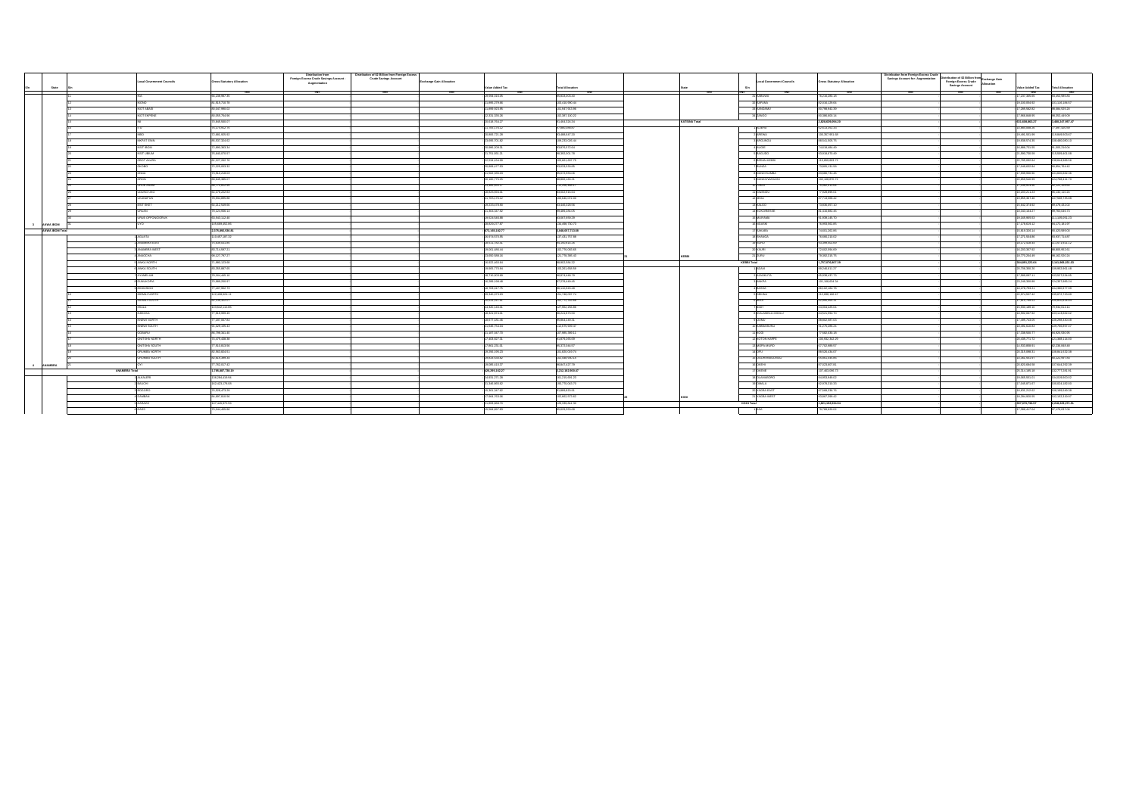|             |                 |                      |                                  |                                   | Distribution from                      | stribution of \$2 Billion from Foreign Exc |                         |                |                  |                      |                                       |                            | latribution from Foreign Excess Crud |                                                     |              |                |                   |
|-------------|-----------------|----------------------|----------------------------------|-----------------------------------|----------------------------------------|--------------------------------------------|-------------------------|----------------|------------------|----------------------|---------------------------------------|----------------------------|--------------------------------------|-----------------------------------------------------|--------------|----------------|-------------------|
|             |                 |                      | <b>Local Government Councils</b> | <b>Gross Statutory Allocation</b> | Foreign Excess Crude Savings Account - | Crude Savings Account                      | schange Gain Allocation |                |                  |                      | ocal Government Councils              | Gross Statutory Allocation | Savings Account for-Augmentation     | tribution of \$2 Billion fr<br>Foreign Excess Crude | ıchange Gain |                |                   |
|             |                 |                      |                                  |                                   | Augmentation                           |                                            |                         |                |                  |                      |                                       |                            |                                      | Savings Account                                     | Allocation   |                |                   |
|             | <b>State</b>    |                      |                                  |                                   |                                        |                                            |                         | slue Added Tax | nd Alloyaddan    |                      | <b>Sin</b>                            |                            |                                      |                                                     |              | alue Added Tax | otal Allocation   |
|             |                 |                      |                                  | 05,238,987.35                     |                                        |                                            |                         | 0.010.00       |                  |                      | $\sim$                                | 216,280.18                 |                                      |                                                     |              | 237,305.85     | 453,585.83        |
|             |                 |                      |                                  | 15,515,710.78                     |                                        |                                            |                         | 1,025,279.06   | 3.410.990.44     |                      |                                       | 2,016,129.64               |                                      |                                                     |              | 100.054.92     | 1,116,184.57      |
|             |                 |                      |                                  |                                   |                                        |                                            |                         |                |                  |                      |                                       |                            |                                      |                                                     |              |                |                   |
|             |                 |                      | <b>CABA TO</b>                   | 00,047,990.02                     |                                        |                                            |                         | 1,099,923.95   | 00.047,913.96    |                      |                                       | 798,942.39                 |                                      |                                                     |              | 205,582.82     | 0,084,525.20      |
|             |                 |                      | KOT EKPENE                       | 80,055,764.95                     |                                        |                                            |                         | 22,331,335.26  | 102,387,100.22   |                      | 34 ZANGO                              | 0,386,600.14               |                                      |                                                     |              | 7,955,848.95   | 10,353,449.09     |
|             |                 |                      |                                  | 0,845,560.07                      |                                        |                                            |                         | 20,618,764.27  | 464,324.34       | <b>KATSINA Total</b> |                                       | 1828,639,094.20            |                                      |                                                     |              | 1,008,063.27   | 460,247,957.47    |
|             |                 |                      |                                  | 6,174,912.75                      |                                        |                                            |                         | ,705,176.12    | ,550,055.57      |                      | <b>ALIERS</b>                         | 613,352.33                 |                                      |                                                     |              | 1,004,008.26   | 7,497,420.59      |
|             |                 |                      |                                  |                                   |                                        |                                            |                         |                |                  |                      | <b>IDTINIA</b>                        |                            |                                      |                                                     |              |                |                   |
|             |                 |                      |                                  | 72,681,925.92                     |                                        |                                            |                         | 20,006,721.28  | 23,488,647.20    |                      |                                       | 100,357,951.68             |                                      |                                                     |              | 9.491.551.99   | 19,849,503.67     |
|             |                 |                      | MOPAT ENIN                       | 15,537,324.62                     |                                        |                                            |                         | 3,695,701.82   | 9,233,026.44     |                      |                                       | 8,541,505.75               |                                      |                                                     |              | 238,574.35     | 08,480,080.10     |
|             |                 |                      | <b>URIT INCAF</b>                | 72,090,353.34                     |                                        |                                            |                         | 20,986,209.31  | 13,876,572.64    |                      |                                       | 4,618,484.49               |                                      |                                                     |              | 1885.731.55    | 1,505,216.04      |
|             |                 |                      | <b>ISIT UBIUM</b>                | 6,640,070.57                      |                                        |                                            |                         | 1,751,931.21   | 8,322,001.78     |                      |                                       | 03.018.670.49              |                                      |                                                     |              | 590.730.59     | 15,509,401.08     |
|             |                 |                      | ARANT TOBC                       | 11,127,262.76                     |                                        |                                            |                         | 2,534,434.99   | 03,661,697.75    |                      |                                       | 15,859,893.72              |                                      |                                                     |              | 2,785,092.84   | 38,644,986.56     |
|             |                 |                      |                                  |                                   |                                        |                                            |                         |                |                  |                      |                                       |                            |                                      |                                                     |              |                |                   |
|             |                 |                      | <b>DECKC</b>                     | 72,225,053.32                     |                                        |                                            |                         | 20,008,477.53  | 033,530.85       |                      |                                       | 3,805,131.58               |                                      |                                                     |              | 043,632.84     | 0,854,764.42      |
|             |                 |                      |                                  | 3,510,218.03                      |                                        |                                            |                         | 542,335.03     | 072,553.06       |                      |                                       | 680,731.46                 |                                      |                                                     |              | 239 230 50     | 01,620,662.36     |
|             |                 |                      | <b>ORON</b>                      | 58,645,385.07                     |                                        |                                            |                         | 0,160,775.15   | 15,006,160.21    |                      | KO/WASAGU                             | 02,108,870.72              |                                      |                                                     |              | 059.540.99     | 24,768,411.70     |
|             |                 |                      | MAIK ANAM                        | 18,770,812.99                     |                                        |                                            |                         | 3,485,055.17   | 2,255,468.17     |                      |                                       | 082,413.64                 |                                      |                                                     |              | 039,914.96     | 2,122,328.60      |
|             |                 |                      | DUNG UKO                         | 14,176,222.63                     |                                        |                                            |                         | 18,826,694.01  | 002916.64        |                      |                                       | 328,822.01                 |                                      |                                                     |              | 20321123       | 6,132,110.24      |
|             |                 |                      | <b>JKANAFUN</b>                  | 78,934,895.88                     |                                        |                                            |                         | 21,705,176.12  | 0,640,072.00     |                      |                                       | 713,368.42                 |                                      |                                                     |              | 2,055,357.46   | 07,568,735.88     |
|             |                 |                      |                                  |                                   |                                        |                                            |                         |                |                  |                      |                                       |                            |                                      |                                                     |              |                |                   |
|             |                 |                      | <b>DSIT EKET</b>                 | 64,212,549.66                     |                                        |                                            |                         | 19,233,478.90  | 3,446,028.56     |                      | 13 KALGO                              | 3,836,057.10               |                                      |                                                     |              | 1,642,374.92   | 19,478,432.02     |
|             |                 |                      | RUAN                             | 5,124,935.14                      |                                        |                                            |                         | 1,364,347.92   | 20.003.284.05    |                      | <b>XOBESSI</b>                        | 416,882.46                 |                                      |                                                     |              | 343,164.27     | 0,700,046.73      |
|             |                 |                      | URUE OFFONG/ORUX                 | 53,543,112.40                     |                                        |                                            |                         | 9,524,546.88   | 3,057,659.29     |                      |                                       | 1,939,145.70               |                                      |                                                     |              | 165,905.53     | 11,105,051.23     |
| 3 AKWA ISOM |                 |                      | JYO                              | 105,669,452.86                    |                                        |                                            |                         | 28.829.277.87  | 134.498.730.73   |                      | GASK                                  | 0,993,562.85               |                                      |                                                     |              | 178,619.12     | 4,172,181.97      |
|             | AKWA IBOM Total |                      |                                  | 2,375,092,530.01                  |                                        |                                            |                         | 172,165,182.77 | 1,048,057,713.58 |                      |                                       | 08.525,100.1               |                                      |                                                     |              | 1,019,326.14   | 0,420,589.00      |
|             |                 |                      |                                  |                                   |                                        |                                            |                         |                |                  |                      |                                       |                            |                                      |                                                     |              |                |                   |
|             |                 |                      | <b>AGUATA</b>                    | 10.457.187.32                     |                                        |                                            |                         | 26.974.570.55  | 37.431.757.00    |                      | 18 SHANGA                             | 0.006210.02                |                                      |                                                     |              | 7.271.504.86   | 13,937,714.87     |
|             |                 |                      | <b>VAMBRA EAST</b>               | 5,639,031.85                      |                                        |                                            |                         | 511,782.41     | 150,814.26       |                      |                                       | 399,502.09                 |                                      |                                                     |              | 172,418.44     | 11,571,921.12     |
|             |                 |                      | NAMBRA WEST                      | 13,714,597.21                     |                                        |                                            |                         | 12,001,486.44  | 102,776,083.65   |                      |                                       | 2,602,504.60               |                                      |                                                     |              | 6,203,357.92   | 18,805,952.61     |
|             |                 |                      | NADCHA                           | 10,127,797.27                     |                                        |                                            |                         | 23,650,588.16  | 21,778,385.43    | KEBBI                |                                       | 3322,315.75                |                                      |                                                     |              | 770,204.49     | 16, 162,520.24    |
|             |                 |                      | VAKA NORTH                       | 71,980,123.68                     |                                        |                                            |                         | 16,922,460.64  | 18,902,584.32    |                      | <b>KEBBI Total</b>                    | 1,757,076,807.39           |                                      |                                                     |              | 384,091,223.64 | 00.141,958,031.03 |
|             |                 |                      | WKA SOUTH                        | 13,355,887.65                     |                                        |                                            |                         | 305,770.94     | 13,261,658.59    |                      |                                       | 246,611.27                 |                                      |                                                     |              | 02.022.307.1   | 09,952,961.48     |
|             |                 |                      |                                  |                                   |                                        |                                            |                         |                |                  |                      |                                       |                            |                                      |                                                     |              |                |                   |
|             |                 |                      | YAMELLIM                         | 78,164,445.10                     |                                        |                                            |                         | 1,710,003.69   | 6,874,448.79     |                      | <b>AJAOKUT</b>                        | 5,938,437.73               |                                      |                                                     |              | 589,097.11     | 03,527,534.85     |
|             |                 |                      | <b>UNUKOFIA</b>                  | 70,989,250.97                     |                                        |                                            |                         | 6,289,198.48   | 7,278,449.45     |                      |                                       | 108,634.34                 |                                      |                                                     |              | 249,350.89     | 24,357,985.24     |
|             |                 |                      | cwnardo                          | 77,407,902.73                     |                                        |                                            |                         | 1,703,017.75   | 6,110,920.48     |                      |                                       | 5,102,184.78               |                                      |                                                     |              | 1,278,793.21   | 04,380,977.99     |
|             |                 |                      | <b>IDEMILI NORTH</b>             | 122.408.024.11                    |                                        |                                            |                         | 29,340,073.63  | 51.748.097.74    |                      | SIDEKINA                              | 12,698.166.47              |                                      |                                                     |              | 22.974.557.42  | 35,672,723.89     |
|             |                 |                      | DEMILI SOUTH                     | 12,139,322.07                     |                                        |                                            |                         | 1833,011.61    | 12,772,333.68    |                      |                                       | 2,995,065.31               |                                      |                                                     |              | ,015,709.53    | 00,810,834.54     |
|             |                 |                      | ear a                            |                                   |                                        |                                            |                         |                |                  |                      |                                       |                            |                                      |                                                     |              |                |                   |
|             |                 |                      |                                  | 103,642,110.86                    |                                        |                                            |                         | 10.340.020.02  | 127,962,256.06   |                      |                                       | 004,425.04                 |                                      |                                                     |              | 5.930.189.10   | 9,934,614.14      |
|             |                 |                      | <b>UKOKA</b>                     | 77,919,999.49                     |                                        |                                            |                         | 18,321,874.01  | 6,241,873.50     |                      | GALAMELA-COOLU                        | 4,521,594.70               |                                      |                                                     |              | 8,592,057.92   | 03,113,002.62     |
|             |                 |                      | NNEW NORTH                       | 77.187.067.84                     |                                        |                                            |                         | 18.677.181.46  | 1054242.31       |                      |                                       | 1802587.03                 |                                      |                                                     |              | 495.743.05     | 06,298,330.08     |
|             |                 |                      | WEW SOUTH                        | 1,029,155.43                      |                                        |                                            |                         | 1,546,754.04   | 2,675,909.47     |                      | ADDA/DUNG                             | 1,275,286.24               |                                      |                                                     |              | 08.013.199.1   | 09,766,897.07     |
|             |                 |                      | <b>COLARU</b>                    | 08.798,341.40                     |                                        |                                            |                         | 1,187,047.70   | 07,985,389.11    |                      |                                       | 582,030.18                 |                                      |                                                     |              | 338,500.77     | 4,920,530.95      |
|             |                 |                      | <b>CNITSHA NORTH</b>             | 74,475,438.38                     |                                        |                                            |                         | 7,403,827.31   | 21,879,265.69    |                      | <b>OTON KARFE</b>                     | 00.932,342.29              |                                      |                                                     |              | 1435.771.72    | 21,358,114.00     |
|             |                 |                      |                                  |                                   |                                        |                                            |                         |                |                  |                      |                                       |                            |                                      |                                                     |              |                |                   |
|             |                 |                      | NITSHA SOUTH                     | 7,510,813.56                      |                                        |                                            |                         | 7,061,231.01   | 5,372,044.57     |                      | MOPA-MURO                             | 702,989.57                 |                                      |                                                     |              | 533,058.91     | 2,236,548.48      |
|             |                 |                      | <b>ORUMBA NORTH</b>              | 12,553,824.51                     |                                        |                                            |                         | 19,256,195.23  | 101,820,019.74   |                      |                                       | 8,526,434.07               |                                      |                                                     |              | 20.315.098.31  | 08,841,532.38     |
|             |                 |                      | RUMBA SOUTH                      | 12,615,399.34                     |                                        |                                            |                         | 58.002.02      | 12,448,930.15    |                      | <b><i><i><b>ISMAGONGO</b></i></i></b> | 35,001,045.00              |                                      |                                                     |              | 4,361,551.97   | 0,222,597.83      |
| 4 ANAMBRA   |                 |                      |                                  | 7,762,017.42                      |                                        |                                            |                         | 19,085,410.37  | 05,547,427.79    |                      |                                       | 023,607.81                 |                                      |                                                     |              | 620,684.58     | 07,644,232.39     |
|             |                 | <b>ANAMBRA Total</b> |                                  | 1,785,887,738.19                  |                                        |                                            |                         | 426.295.162.27 | 2,212,182,900.47 |                      |                                       |                            |                                      |                                                     |              |                | 32,777,281.91     |
|             |                 |                      |                                  |                                   |                                        |                                            |                         |                |                  |                      | XXNE                                  | 107,463,096.73             |                                      |                                                     |              | 25,314,185.18  |                   |
|             |                 |                      | <b>N.KALERI</b>                  | 136,284,419.94                    |                                        |                                            |                         | 4,931,271.28   | 61,215,691.23    |                      | <b>JLAMADORO</b>                      | 322,942.02                 |                                      |                                                     |              | 065551.01      | 04,019,500.02     |
|             |                 |                      | SAUCHI                           | (2,423,178.08                     |                                        |                                            |                         | 23.203.02      | 3,770,043.70     |                      | 19 GMALA                              | 2.978.310.33               |                                      |                                                     |              | 045,871,67     | 00,024,182.00     |
|             |                 |                      |                                  | 6,528,473.29                      |                                        |                                            |                         | 361,347.62     |                  |                      |                                       | 568,336.76                 |                                      |                                                     |              | 31,212.6       | 0,199,549.38      |
|             |                 |                      | AMBAN                            | 14,037,810.56                     |                                        |                                            |                         | 17,954,763.06  | 02,002,573.62    |                      | AGBA WES                              | 03.057.399.42              |                                      |                                                     |              | 18.284.920.55  | 02,152,319.97     |
|             |                 |                      | ARAZD                            | 107,445,972.59                    |                                        |                                            |                         | 21,023,058.70  | 29,339,841.30    |                      | <b>KOGI Total</b>                     | ,821,152,534.94            |                                      |                                                     |              | 397,070,736.57 | 218,223,271.51    |
|             |                 |                      |                                  | 0,044,455.86                      |                                        |                                            |                         | 5,584,897.83   | 15,629,353.68    |                      |                                       |                            |                                      |                                                     |              | 7.386.417.04   | 17,176,037.06     |
|             |                 |                      | <b>JASS</b>                      |                                   |                                        |                                            |                         |                |                  |                      | 1854                                  | 9,789,620.02               |                                      |                                                     |              |                |                   |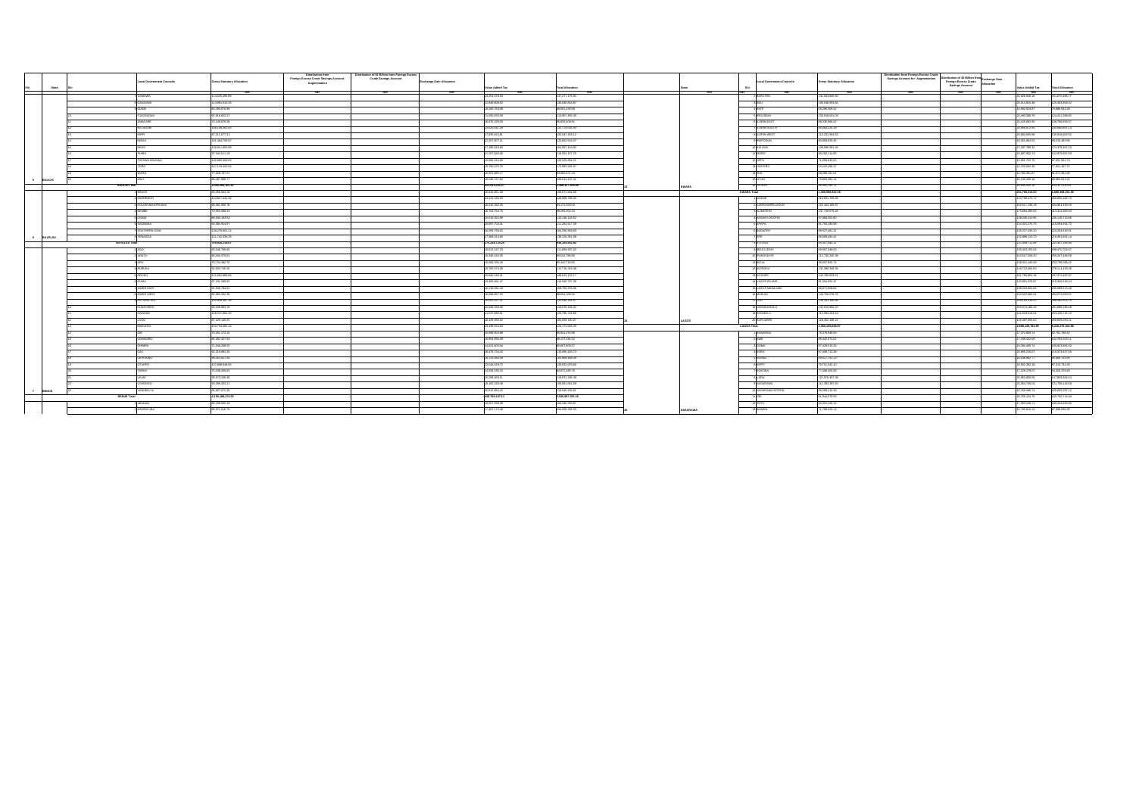|              |                  |                      |                                  |                           | <b>Clatribution from</b>               | <b>Distribution of \$2 Billion from Foreign Excess</b> |                         |                |                  |                 |                    |                         |                            | <b>Olatribution from Foreign Excess Crude</b> | atribution of \$2 Billion from |               |                        |                                   |
|--------------|------------------|----------------------|----------------------------------|---------------------------|----------------------------------------|--------------------------------------------------------|-------------------------|----------------|------------------|-----------------|--------------------|-------------------------|----------------------------|-----------------------------------------------|--------------------------------|---------------|------------------------|-----------------------------------|
|              |                  |                      | <b>Local Government Councils</b> | ross Statutory Allocation | Foreign Excess Crude Savings Account - | Crude Savings Account                                  | schange Gain Allocation |                |                  |                 |                    | cal Government Councils | Gross Statutory Allocation | Savings Account for-Augmentation              | Foreign Excess Crude           | Exchange Gain |                        |                                   |
|              |                  |                      |                                  |                           | Augmentation                           |                                                        |                         |                |                  |                 |                    |                         |                            |                                               | <b>Savings Account</b>         | Allowation.   |                        |                                   |
|              | <b>State</b>     |                      |                                  |                           |                                        |                                                        |                         | alus Added Tax | notas Allocation |                 | <b>Sta</b>         |                         |                            |                                               |                                |               | <b>Falue Added Tax</b> | otal Allocation                   |
|              |                  |                      |                                  | 1,025,496.89              |                                        |                                                        |                         | 251,678.63     | 7.277.175.53     |                 | --                 |                         | 03.043.00                  |                                               | <b>AN</b>                      |               | $ -$<br>57.046.000     | <b>CONTRACTOR</b><br>1,670,486.77 |
|              |                  |                      |                                  |                           |                                        |                                                        |                         |                |                  |                 |                    |                         |                            |                                               |                                |               |                        |                                   |
|              |                  |                      | MUUWA                            | 4,981,010.35              |                                        |                                                        |                         | 1,849,806.52   | 18,830,816.87    |                 |                    |                         | 1048,553.84                |                                               |                                |               | 0,314,815.48           | 20,363,369.32                     |
|              |                  |                      | ADE                              | 0,390,676.89              |                                        |                                                        |                         | 18,200,763.08  | 10,591,439.98    |                 |                    |                         | 5,206,309.42               |                                               |                                |               | 4,592,624.87           | 9,888,934.28                      |
|              |                  |                      | <b>ASGADAU</b>                   | 2,916,622.27              |                                        |                                                        |                         | 00 050,033.09  | 113,967,455.35   |                 |                    | FELODUN                 | 03.918.001.03              |                                               |                                |               | 20.493.200.79          | 124,411,289.82                    |
|              |                  |                      | MA'ARE                           | 1,149,679.28              |                                        |                                                        |                         | 16,675,329.53  | 0,825,008.81     |                 |                    | <b>ORIN EAS</b>         | 1,330,966.42               |                                               |                                |               | 10,425,692.95          | 08,756,659.37                     |
|              |                  |                      | TAGUM                            | 09,148,361.65             |                                        |                                                        |                         | 13,625,641.29  | 132,774,002.93   |                 |                    | <b>ORIN SOUTH</b>       | 5,064,224.18               |                                               |                                |               | 10,596,672.95          | 05,050,097.13                     |
|              |                  |                      |                                  |                           |                                        |                                                        |                         |                |                  |                 |                    |                         |                            |                                               |                                |               |                        |                                   |
|              |                  |                      |                                  | 7,211,677.31              |                                        |                                                        |                         | 17,835,815.81  | 105,047,493.12   |                 |                    | <b>ILORIN WEST</b>      | 10,231,994.52              |                                               |                                |               | 26,684,005.98          | 02.000,316,000                    |
|              |                  |                      |                                  | 01,494,708.97             |                                        |                                                        |                         | 22,357,907.11  | 23,852,616.07    |                 |                    | <b>EDODI IN</b>         | 358,629.45                 |                                               |                                |               | 18,251,854.52          | 9,210,483.96                      |
|              |                  |                      | arza i                           | 136,911,600.98            |                                        |                                                        |                         | 27,185,818.83  | 164,097,419.82   |                 |                    | 10 KAI AMA              | 06,080,581.90              |                                               |                                |               | 17,297,785.32          | 23,378,367.22                     |
|              |                  |                      |                                  | 7,344,511.19              |                                        |                                                        |                         | 21,207,646.06  | 18.552.157.25    |                 |                    |                         | 6,282,114.95               |                                               |                                |               | 6.697.852.74           | 02,979,967.09                     |
|              |                  |                      | AFAWA BALEWA                     | 05,865,609.55             |                                        |                                                        |                         | 10,000,244.00  | 26,525,854.21    |                 |                    |                         | 00328.0200                 |                                               |                                |               | 15,951,722.70          | 7,651,554.70                      |
|              |                  |                      |                                  |                           |                                        |                                                        |                         |                |                  |                 |                    |                         |                            |                                               |                                |               |                        |                                   |
|              |                  |                      |                                  | 17,133,420.92             |                                        |                                                        |                         | 5.750.070.75   | 72.883.491.67    |                 |                    | <b>OKE-ERO</b>          | 3,220,495.37               |                                               |                                |               | 4.700.692.35           | 7,921,187.72                      |
|              |                  |                      |                                  | 1,028,787.07              |                                        |                                                        |                         | 16,551,885.17  | 580,672.23       |                 |                    |                         | 200,191.01                 |                                               |                                |               | 4.783.391.87           | 1,071,582.88                      |
| - 51         | BAUCHI           |                      |                                  | 0,467,689.77              |                                        |                                                        |                         | 9,546,747.64   | 09,014,437.41    |                 |                    |                         | 3,853,382.14               |                                               |                                |               | 6.130.430.18           | 0,983,812.32                      |
|              |                  | BAUCHI Total         |                                  | 065,494,163.41            |                                        |                                                        |                         | (22,833,202.27 | 2,488,327,365.69 | <b>KWARA</b>    |                    |                         | 6,492,195.71               |                                               |                                |               | 6.835.425.10           | 03,327,620.81                     |
|              |                  |                      | <b>A55</b>                       | 01.056,943.19             |                                        |                                                        |                         | 0,015,001.40   | 09,872,904.68    |                 | <b>KWARA Total</b> |                         | 398,598,932.56             |                                               |                                |               | 201,703,313.00         | 1,090,368,251.56                  |
|              |                  |                      |                                  |                           |                                        |                                                        |                         |                |                  |                 |                    |                         |                            |                                               |                                |               |                        |                                   |
|              |                  |                      | <b>SOMBRE</b>                    | 04,817,441.35             |                                        |                                                        |                         | 14,141,326.93  | 128,958,768.30   |                 |                    | AGE GE                  | 16,831,709.98              |                                               |                                |               | 43,768,473.72          | 60,600,183.70                     |
|              |                  |                      | <b>DLOKUMA/OPKUMA</b>            | 55,561,900.78             |                                        |                                                        |                         | 16,610,362.25  | 13,172,263.03    |                 |                    | 2 AJEROMINTELODUR       | 52,444,195.87              |                                               |                                |               | 52,517,139.18          | 104,961,335.05                    |
|              |                  |                      | EMBE                             | 555,588.34                |                                        |                                                        |                         | 8,703,764.75   | 98,259,353.10    |                 |                    | CFEDMLIA                | 17,729,075.28              |                                               |                                |               | 75,684,285.65          | 13,413,360.93                     |
|              |                  |                      | <b>Stark</b>                     | 0,530,193.53              |                                        |                                                        |                         | 10,615,922.99  | 10,146,116.52    |                 |                    | VO-ODOFIN               | 02.502.000                 |                                               |                                |               | 138,235,410.96         | 36,118,713.86                     |
|              |                  |                      |                                  | 0,384,914.97              |                                        |                                                        |                         | 10,027,702.41  | 11,282,617.39    |                 |                    | <b>DADA</b>             | 1,793,180.96               |                                               |                                |               | 134,301,270.75         | 16,094,451.73                     |
|              |                  |                      |                                  |                           |                                        |                                                        |                         |                |                  |                 |                    |                         |                            |                                               |                                |               |                        |                                   |
|              |                  |                      | WALI KRIHITUC                    | 28,276,801.21             |                                        |                                                        |                         | 5,059,768.62   | 54,336,569.83    |                 |                    |                         | 1027,481.31                |                                               |                                |               | 35,227,435.20          | 24,254,916.51                     |
|              | <b>6</b> BAYELSA |                      | <b>HOD</b>                       | 1,742,336.29              |                                        |                                                        |                         | 084.014.00     | 139,126,351.08   |                 |                    |                         | 523,450.41                 |                                               |                                |               | 132,098,110.73         | 19,491,561.14                     |
|              |                  | <b>BAYELSA Total</b> |                                  | 750,926,119.67            |                                        |                                                        |                         | 175,228,724.25 | 935,154,843.92   |                 |                    | <b>SETI-OSA</b>         | 11.307,444.11              |                                               |                                |               | 137,049,712.84         | 231,357,156.95                    |
|              |                  |                      |                                  | 08.035,390,0              |                                        |                                                        |                         | 18,813,167.23  | 1,059,937.02     |                 |                    | <b>BEJU-LEKK</b>        | 1,067,542.63               |                                               |                                |               | 130,403,153.04         | 99,470,702.67                     |
|              |                  |                      | GATH                             | 0,184,370.61              |                                        |                                                        |                         | 16,340,416.25  | 16,524,786.86    |                 |                    | <b><i>AKOILIAYE</i></b> | 12,730,240.38              |                                               |                                |               | 142,517,209.20         | 55,247,449.58                     |
|              |                  |                      |                                  |                           |                                        |                                                        |                         |                |                  |                 |                    |                         |                            |                                               |                                |               |                        |                                   |
|              |                  |                      |                                  | 9,734,382.75              |                                        |                                                        |                         | 37.303.336     | 5,342,718.90     |                 |                    | œu                      | 5,527,825.74               |                                               |                                |               | 38.041.443.02          | 33,739,209.42                     |
|              |                  |                      | <b>BURUKU</b>                    | 2,933,745.20              |                                        |                                                        |                         | 19,782,574.28  | 12,716,319.48    |                 |                    | 12 IKORDOL              | 31,389,349.35              |                                               |                                |               | 146,722,084.00         | 78,111,433.36                     |
|              |                  |                      | CONCIDE                          | 2,682,886.86              |                                        |                                                        |                         | 15,340,246.31  | 148,523,133.17   |                 |                    | <b>LOSOF</b>            | 45,785,633.61              |                                               |                                |               | 30,386,854.36          | 97,572,487.97                     |
|              |                  |                      |                                  | 231,285.92                |                                        |                                                        |                         | 3,309,481.47   | 6,540,767.39     |                 |                    |                         | 354,052.37                 |                                               |                                |               | 3,991,976.81           | 346,029.24                        |
|              |                  |                      | WER EAST                         | 1,536,794.62              |                                        |                                                        |                         | 18,218,581.43  | 09,755,376.06    |                 |                    | AGOS MAINLAND           | 6,871,508.84               |                                               |                                |               | 38,218,004.64          | 35,089,513.48                     |
|              |                  |                      |                                  |                           |                                        |                                                        |                         |                |                  |                 |                    |                         |                            |                                               |                                |               |                        |                                   |
|              |                  |                      | GWER WEST                        | 11,955,332.35             |                                        |                                                        |                         | 16,598,857.15  | 98,554,189.50    |                 |                    |                         | 143,750,079.76             |                                               |                                |               | 150,522,983.91         | 294,273,063.67                    |
|              |                  |                      | ATSINA ALA                       | 02,944,387.36             |                                        |                                                        |                         | 10,602,037.21  | 23,546,424.57    |                 |                    |                         | 39,323,100.86              |                                               |                                |               | 149,159,436.93         | 88,482,603.78                     |
|              |                  |                      | <b>ANSNISK</b>                   | 6,036,093.76              |                                        |                                                        |                         | 20,639,269.56  | 116,676,163.32   |                 |                    | 351001150LO             | 141,610,992.20             |                                               |                                |               | 50.074.166.28          | 91,685,158.48                     |
|              |                  |                      | <b>IANDE</b>                     | 0,247,054.35              |                                        |                                                        |                         | 1537,880.51    | 29,785,744.86    |                 |                    | 19 SHOMOLU              | 1,593,203.18               |                                               |                                |               | 141,533,518.04         | 53, 126, 721.22                   |
|              |                  |                      |                                  | 1,129,145.05              |                                        |                                                        |                         | 18,429,955.02  | 105,559,100.07   | LAGOS           |                    | 20 SURULERE             | 24,352,196.22              |                                               |                                |               | 45,487,094.00          | 09,839,290.21                     |
|              |                  |                      | AKUROG                           | 0,734,081.42              |                                        |                                                        |                         | 13,438,554.63  | 24,172,546.05    |                 | LAGOS Total        |                         | 1350,135,638.97            |                                               |                                |               | 2,008,139,763.99       | 5,218,275,402.96                  |
|              |                  |                      |                                  |                           |                                        |                                                        |                         |                |                  |                 |                    |                         |                            |                                               |                                |               |                        |                                   |
|              |                  |                      |                                  | 0,251,173.10              |                                        |                                                        |                         | 5,689,903.88   | 15,941,076.98    |                 |                    |                         | 03.040.00                  |                                               |                                |               | 17,372,839.74          | 2,752,788.42                      |
|              |                  |                      | CONTRO                           | 282,327.93                |                                        |                                                        |                         | 00.000.000.00  | 0,137,284.32     |                 |                    |                         | 442,571.02                 |                                               |                                |               | 339,432.09             | 02,782,003.11                     |
|              |                  |                      | <b>IMN</b>                       | ,046,208.53               |                                        |                                                        |                         | 4,621,600.84   | 15,007,009.37    |                 |                    |                         | 429,515.26                 |                                               |                                |               | 18,394,465.74          | 05,823,981.00                     |
|              |                  |                      |                                  | 2,219,691.30              |                                        |                                                        |                         | 18,475,734.42  | 10,035,425.73    |                 |                    |                         | 17,408,712.38              |                                               |                                |               | 20,965,215.07          | 18,373,927.45                     |
|              |                  |                      | <b>RPORMU</b>                    | 1,263,527.59              |                                        |                                                        |                         | 18,725,940.49  | 06,989,468.08    |                 |                    |                         | 627,751.13                 |                                               |                                |               | 6,038,992.7            | 006,743.90                        |
|              |                  |                      |                                  |                           |                                        |                                                        |                         |                |                  |                 |                    |                         |                            |                                               |                                |               |                        |                                   |
|              |                  |                      | <b>DRANT</b>                     | 07,888,948.95             |                                        |                                                        |                         | 12,044,029.72  | 29,932,978.66    |                 |                    |                         | 0,751,342.10               |                                               |                                |               | 6,562,392.18           | 7,313,734.28                      |
|              |                  |                      | <b>IBKA</b>                      | 0,038,205.62              |                                        |                                                        |                         | 14,934,290.13  | 84,972,495.75    |                 |                    |                         | 7,096,200.38               |                                               |                                |               | 17.229.179.07          | 14,325,379.45                     |
|              |                  |                      | $\overline{a}$                   | 1,573,246.38              |                                        |                                                        |                         | 10,298,090.11  | 18,871,336.49    |                 |                    |                         | 21,976,467.38              |                                               |                                |               | 25,052,039.06          | 47,829,306.44                     |
|              |                  |                      | SHONGO                           | 0,399,332.21              |                                        |                                                        |                         | 19,182,329.48  | 109,581,661.69   |                 |                    |                         | 11,383,397.65              |                                               |                                |               | 03/054,745.04          | 31,738,142.69                     |
|              |                  |                      |                                  | 5,827,672.39              |                                        |                                                        |                         | 10,812,064.42  | 16,640,536.81    |                 |                    |                         | 209,210.38                 |                                               |                                |               | 18,766,086.74          | 05,055,297.12                     |
| $\mathbf{r}$ | BENUE            |                      |                                  |                           |                                        |                                                        |                         |                |                  |                 |                    |                         |                            |                                               |                                |               |                        |                                   |
|              |                  | <b>BENUE Total</b>   |                                  | 2,100,188,274.03          |                                        |                                                        |                         | 436,799,107.11 | 2,536,987,381.15 |                 |                    |                         | 944,572.99                 |                                               |                                |               | 18,756,134.70          | 00,700,714.69                     |
|              |                  |                      | <b>VACABAR</b>                   | 8.338.650.49              |                                        |                                                        |                         | 16.007.599.38  | 104,346,249.87   |                 |                    | 12 TOTO                 | 2.651.428.15               |                                               |                                |               | 17.593.228.71          | 00:244.056.06                     |
|              |                  |                      | SKIRA UBA                        | 1,571,016.75              |                                        |                                                        |                         | 7,487,175.48   | 104,058,192.23   | <b>NASARAWA</b> |                    | 13 WAMBA                | 1,798,020.13               |                                               |                                |               | 15,790,816.13          | 17,588,836.26                     |
|              |                  |                      |                                  |                           |                                        |                                                        |                         |                |                  |                 |                    |                         |                            |                                               |                                |               |                        |                                   |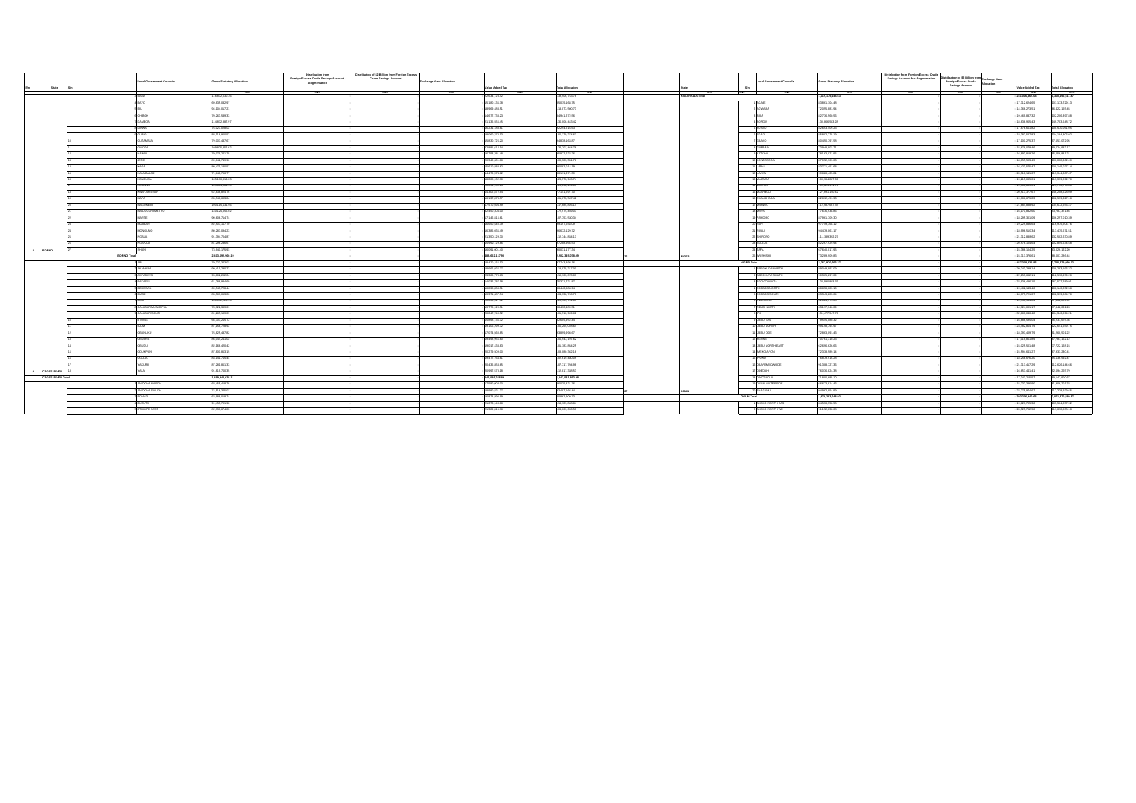|        |                          |                    |                                  |                                   | Distribution from                      | stribution of \$2 Billion from Foreign Exces |                         |                |                         |                     |             |                               |                           | Distribution from Foreign Excess Crude | stribution of \$2 Billion from |                 |                          |                         |
|--------|--------------------------|--------------------|----------------------------------|-----------------------------------|----------------------------------------|----------------------------------------------|-------------------------|----------------|-------------------------|---------------------|-------------|-------------------------------|---------------------------|----------------------------------------|--------------------------------|-----------------|--------------------------|-------------------------|
|        |                          |                    | <b>Local Government Councils</b> | <b>Gross Statutory Allocation</b> | Foreign Excess Crude Savings Account - | Crude Savings Account                        | schange Gain Allocation |                |                         |                     |             | Local Government Councils     | ross Statutory Allocation | Savings Account for-Augmentation       | Foreign Excess Crude           | Exchange Gain   |                          |                         |
|        | State                    |                    |                                  |                                   | Augmentation                           |                                              |                         | alus Added Tax | <b>Total Allocation</b> |                     |             |                               |                           |                                        | <b>Savings Account</b>         | <b>Horation</b> | alue Added Tax           | <b>Total Allocation</b> |
|        |                          |                    |                                  |                                   |                                        |                                              |                         |                |                         |                     | <u>ы г</u>  | <b>STATE</b>                  |                           |                                        | $-180$                         |                 |                          | $-$                     |
|        |                          |                    |                                  | 6,872,030.36                      |                                        |                                              |                         | 2,634,723.42   | 19,506,753.78           | <b>SARAWA Total</b> |             |                               | 119,179,144.63            |                                        |                                |                 | $   -$<br>241,016,367.04 | 1,360,195,511.67        |
|        |                          |                    |                                  | 0,835,032.97                      |                                        |                                              |                         | 5,180,135.78   | 15,015,168.75           |                     |             |                               | 88.801,106                |                                        |                                |                 | 7,312,624.65             | 01,173,729.13           |
|        |                          |                    |                                  | 94,104,017.21                     |                                        |                                              |                         | 18,909,483.51  | 13,073,500.73           |                     |             |                               | 055,881.94                |                                        |                                |                 | 14,366,273.51            | 15,422,155.45           |
|        |                          |                    |                                  | 70,263,539.33                     |                                        |                                              |                         | 14,677,733.23  | 84,941,272.56           |                     |             |                               | 12.736.560.56             |                                        |                                |                 | 19.469.837.32            |                         |
|        |                          |                    | HIBOK                            |                                   |                                        |                                              |                         |                |                         |                     |             |                               |                           |                                        |                                |                 |                          | 102,206,397.55          |
|        |                          |                    | <b>MBOA</b>                      | 114,872,887.97                    |                                        |                                              |                         | 21,135,555.45  | 136,008,443.42          |                     |             |                               | 30,000,503.20             |                                        |                                |                 | 18,836,905.43            | 49,703,548.72           |
|        |                          |                    |                                  | 76,023,028.02                     |                                        |                                              |                         | 16,231,188.61  | 22,254,216.63           |                     |             |                               | 033,409.23                |                                        |                                |                 | 17,876,651.82            | 00,570,061.05           |
|        |                          |                    | CHECK                            | 88,118,900.53                     |                                        |                                              |                         | 18,000,374.13  | 106,179,274.67          |                     |             |                               | 5,802,278.19              |                                        |                                |                 | 18,382,527.83            | 104,184,806.02          |
|        |                          |                    | <b>CAMALA</b>                    | 79,007,437.67                     |                                        |                                              |                         | 15,830,726.20  | 94,838,163.87           |                     |             |                               | 450,797.58                |                                        |                                |                 | 7.100.275.37             | 17,551,072.95           |
|        |                          |                    | <b>IOZA</b>                      | 09,825,852.62                     |                                        |                                              |                         | 22,881,612.14  | 132,707,464.76          |                     |             |                               | 948,902.71                |                                        |                                |                 | 5,676,079.46             | 9,624,982.17            |
|        |                          |                    | MJL                              | 79,079,241.78                     |                                        |                                              |                         | 16,793,381.48  | 95,872,623.26           |                     |             |                               | 1,163,021.95              |                                        |                                |                 | 16,093,019.26            | 15,056,841.21           |
|        |                          |                    |                                  | 19,042,749.90                     |                                        |                                              |                         | 20,340,001.00  | 109,383,351.76          |                     |             | <b>IDNTAGOR</b>               | 352,769.03                |                                        |                                |                 | 18,055,593.45            | 06,008,352.49           |
|        |                          |                    | <b>AGA</b>                       | 80,471,130.57                     |                                        |                                              |                         | 15,610,883.62  |                         |                     |             |                               |                           |                                        |                                |                 |                          |                         |
|        |                          |                    |                                  |                                   |                                        |                                              |                         |                | 96,082,014.19           |                     |             |                               | 1,721,451.68              |                                        |                                |                 | 16,423,575.47            | 00, 145, 027.14         |
|        |                          |                    | ALA BALGE                        | 1,640,796.77                      |                                        |                                              |                         | 14,470,574.62  | 6,111,371.39            |                     |             |                               | 626,465.81                |                                        |                                |                 | 20.318.141.67            | 19,944,607.47           |
|        |                          |                    | <b>DUGA</b>                      | 05,170,813.03                     |                                        |                                              |                         | 18,208,132.70  | 123,378,945.74          |                     |             |                               | 0,784,827.69              |                                        |                                |                 | 19,215,065.01            | 19,999,892.70           |
|        |                          |                    | KAMA                             | 00,004,084.90                     |                                        |                                              |                         | 20,054,139.13  | 125,858,224.03          |                     |             |                               | 109,821,911.79            |                                        |                                |                 | 19,908,859.01            | 29,730,770.80           |
|        |                          |                    | <b>TAYA KUSAR</b>                | 52,838,824.76                     |                                        |                                              |                         | 14,302,872.94  | 7,141,697.70            |                     |             | <b>VASHEGL</b>                | 7,691,150.42              |                                        |                                |                 | 20,517,377.67            | 48,208,528.09           |
|        |                          |                    |                                  | 5,540,033.84                      |                                        |                                              |                         | 16,137,873.57  | 101,678,567.41          |                     |             | <b>HANCHAGA</b>               | 512,451.93                |                                        |                                |                 | 19,986,875.23            | 02,599,327.16           |
|        |                          |                    | <b>AGUMERI</b>                   | 100,115,131.56                    |                                        |                                              |                         | 17,570,694.59  | 117,685,826.14          |                     |             | <b>MOROVA</b>                 | 12.987.667.55             |                                        |                                |                 | 21,684,888.92            | 134,672,556.47          |
|        |                          |                    | <b>AIDUGURI METRO</b>            | 40,125,055.02                     |                                        |                                              |                         | 12,450,404.00  | 72,575,459.03           |                     |             |                               | 35.003,010                |                                        |                                |                 | 16,170,832.60            | 23,787,371.46           |
|        |                          |                    | <b>MRTE</b>                      | 90,606,714.74                     |                                        |                                              |                         | 17,146,815.61  | 107,753,530.34          |                     |             | PAIKORC                       | 17,961,709.30             |                                        |                                |                 | 18,295,301.09            | 006,257,010.39          |
|        |                          |                    |                                  |                                   |                                        |                                              |                         |                |                         |                     |             |                               |                           |                                        |                                |                 |                          |                         |
|        |                          |                    | DBBA                             | 12,507,117.70                     |                                        |                                              |                         | 10,000,540.30  | 99,157,658.09           |                     |             |                               | 749,368.12                |                                        |                                |                 | 19,225,836.64            | 15,975,204.76           |
|        |                          |                    | ONGUNO                           | 80,287,094.23                     |                                        |                                              |                         | 16,385,035.49  | 96,672,129.72           |                     |             |                               | 4.479.061.17              |                                        |                                |                 | 18,995,510,34            | 13,475,571.51           |
|        |                          |                    | ۹LA                              | 1,394,704.87                      |                                        |                                              |                         | 11,350,129.30  | 12,744,834.17           |                     |             | annor                         | 1,189,392.27              |                                        |                                |                 | 1.312.838.62             | 32.502.230.89           |
|        |                          |                    |                                  | 1,296,236.67                      |                                        |                                              |                         | 15,992,729.86  | 97,288,966.53           |                     |             | <b>ULES</b>                   | 267,529.94                |                                        |                                |                 | 20,578,104.64            | 02,845,634.58           |
| $\sim$ | <b>DIRROS</b>            |                    |                                  | 1,940,175.93                      |                                        |                                              |                         | 16,091,001.40  | 0,031,177.34            |                     |             |                               | 640,017.95                |                                        |                                |                 | 15,386,104.25            | 13,026,122.20           |
|        |                          | <b>BORNO Total</b> |                                  | 2,413,692,960.19                  |                                        |                                              |                         | 488,652,117.90 | 2,902,345,078.09        | NAGER               |             |                               | 209,909.83                |                                        |                                |                 | 15,317,376.61            | 18,007,286.44           |
|        |                          |                    |                                  | 79,323,343.03                     |                                        |                                              |                         | 18,420,155.13  | 27,743,498.16           |                     | NIGER Total |                               | 2,267,970,763.27          |                                        |                                |                 | 457.308.335.00           | 2,725,279,099.12        |
|        |                          |                    |                                  | 0,411,290.23                      |                                        |                                              |                         | 18,000,926.77  | 18,078,217.00           |                     |             | <b>BEOKUTA NORTH</b>          | 049,897.09                |                                        |                                |                 | 0,243,299.14             | 09,293,196.22           |
|        |                          |                    | <b>CPABLIYO</b>                  | 95,802,292.24                     |                                        |                                              |                         | 23,360,778.63  | 119,163,070.87          |                     |             | ABECKUTA SOUTH                | 0305297.09                |                                        |                                |                 | 22,153,662.11            | 12,518,959.20           |
|        |                          |                    |                                  | 288,934.09                        |                                        |                                              |                         | 4,032,787.18   | 75,321,721.87           |                     |             | <b>IO-ODDIOTA</b>             | 1,590,803.76              |                                        |                                |                 | 2.936.486.13             | 67,527,289.91           |
|        |                          |                    | <b>EKWARA</b>                    | 09,543,728.44                     |                                        |                                              |                         | 16,038,058.51  | 86,442,586.94           |                     |             | GBADO NORTH                   | 0658,089.10               |                                        |                                |                 | 12,482,143.46            |                         |
|        |                          |                    |                                  |                                   |                                        |                                              |                         |                |                         |                     |             |                               |                           |                                        |                                |                 |                          | 08, 140, 232.56         |
|        |                          |                    |                                  | 15,567,053.26                     |                                        |                                              |                         | 19,371,687.54  | 104,938,740.79          |                     |             | GEADO SOUTH                   | 3020364                   |                                        |                                |                 | 18.975.721.07            | 02.319.004.70           |
|        |                          |                    |                                  | 0,072,223.96                      |                                        |                                              |                         | 20,033,517.92  | 120,105,741.87          |                     |             | IWEKORO                       | 524,375.08                |                                        |                                |                 | 14.538.514.84            | 7,162,589.92            |
|        |                          |                    | ALABAR MUNICIPAL                 | 78,722,309.01                     |                                        |                                              |                         | 19,770,120.51  | 98,492,489.51           |                     |             | <b>EMO NORTH</b>              | 117,940.09                |                                        |                                |                 | 14.724.091.17            | 7,842,031.26            |
|        |                          |                    | ALABAR SOUTH                     | 81,265,169.09                     |                                        |                                              |                         | 20,247,740.52  | 101,512,909.61          |                     |             |                               | 131,477,547.79            |                                        |                                |                 | 12,869,046.42            | 64,346,594.21           |
|        |                          |                    |                                  | 06,707,215.72                     |                                        |                                              |                         | 15,098,736.72  | 12,005,952.44           |                     |             | JEBU EAST                     | 545,080.32                |                                        |                                |                 | 16.606.595.04            | 05,231,675.36           |
|        |                          |                    |                                  | 7,158,728.92                      |                                        |                                              |                         | 19,106,299.72  | 106,265,028.64          |                     |             | <b>JEBU NORTH</b>             | 0,158,794.97              |                                        |                                |                 | 23,482,864.79            | 22,641,659.75           |
|        |                          |                    | LOUJIANI                         | 76,825,437.82                     |                                        |                                              |                         | 17,074,560.85  | 23,020,008.67           |                     |             | <b>DEBRICOE</b>               | 263,091.43                |                                        |                                |                 | 18,397,409.79            | 1,260,501.22            |
|        |                          |                    | <b>SUBRA</b>                     | 6,044,241.02                      |                                        |                                              |                         | 19,498,956.60  | 05,543,197.62           |                     |             | <b>ENN</b>                    | 761,310.23                |                                        |                                |                 | 7,019,851.89             | 7,781,162.12            |
|        |                          |                    | <b>GUDU</b>                      | 12,166,420.42                     |                                        |                                              |                         | 19,017,433.83  | 101,183,854.25          |                     |             | <b>JUEBU NORTH EAST</b>       | 33,025,026                |                                        |                                |                 | 15,025,501.48            | 7,722,128.15            |
|        |                          |                    | <b>CUICPANI</b>                  | 87,800,853.15                     |                                        |                                              |                         | 20,279,509.00  | 108,080,362.16          |                     |             | <b>HMEKO-AFON</b>             | 2.338.589.14              |                                        |                                |                 | 15,594,641.27            | 17,933,230.41           |
|        |                          |                    |                                  |                                   |                                        |                                              |                         | 19,477,764.61  | 02,619,480.05           |                     |             |                               | 85.310.25                 |                                        |                                |                 |                          |                         |
|        |                          |                    |                                  | 141,715.44                        |                                        |                                              |                         |                |                         |                     |             |                               |                           |                                        |                                |                 | 18,256,676.20            | 15, 136,592.47          |
|        |                          |                    | AND IDD                          | 17,281,851.33                     |                                        |                                              |                         | 20,435,853.65  | 107,717,704.98          |                     |             | <b>SEAFEMI OWCDE</b>          | 1,308,727.36              |                                        |                                |                 | 21,317,417.29            | 12,626,144.66           |
|        | 9 CROSS RIVER            |                    | <b>YALA</b>                      | 91,819,700.35                     |                                        |                                              |                         | 20,997,578.18  | 112,817,338.53          |                     |             | <b>IDEDAH</b>                 | 80.108,824.38             |                                        |                                |                 | 16.057.441.41            | 12,094,205.79           |
|        | <b>CROSS RIVER Total</b> |                    |                                  | 1,420,942,628.11                  |                                        |                                              |                         | 342,589,265.86 | 1,842,531,893.96        |                     |             | <b>DOGBOLU</b>                | 800,685.10                |                                        |                                |                 | 17,347,215.57            | 19,147,900.67           |
|        |                          |                    | NIOCHA NORTH                     | 18.455.418.76                     |                                        |                                              |                         | 17.580.003.00  | 86.035.421.76           |                     |             | <b>DGUN WATERSDE</b>          | 6,673,814.43              |                                        |                                |                 | 15,232,386.90            | 11,906,201.33           |
|        |                          |                    | :HA SOU                          | 516,345.0                         |                                        |                                              |                         | 18,980,821.37  | 427,166.44              |                     |             |                               | 962,954.9                 |                                        |                                |                 |                          | ,238,929.65             |
|        |                          |                    | OMADI                            | 53,988,018.74                     |                                        |                                              |                         | 16,574,890.99  | 80,862,909.73           |                     | OGUN Total  |                               | 1,678,253,648.92          |                                        |                                |                 | 333,216,940.05           | 2,071,470,589.57        |
|        |                          |                    | <b>URUTL</b>                     | 21,453,701.98                     |                                        |                                              |                         | 21,576,146.05  | 113,129,848.84          |                     |             | <b><i>UIDIO NORTH EAS</i></b> | 536,352.55                |                                        |                                |                 | 19,027,705.36            | 03,564,057.92           |
|        |                          |                    | THIOPE EAST                      | 12,739,874.83                     |                                        |                                              |                         | 21,329,815.76  | 104,009,090.59          |                     |             | AKOKO NORTH WE                | 152,832.68                |                                        |                                |                 | 20,525,702.50            | 11,678,535.18           |
|        |                          |                    |                                  |                                   |                                        |                                              |                         |                |                         |                     |             |                               |                           |                                        |                                |                 |                          |                         |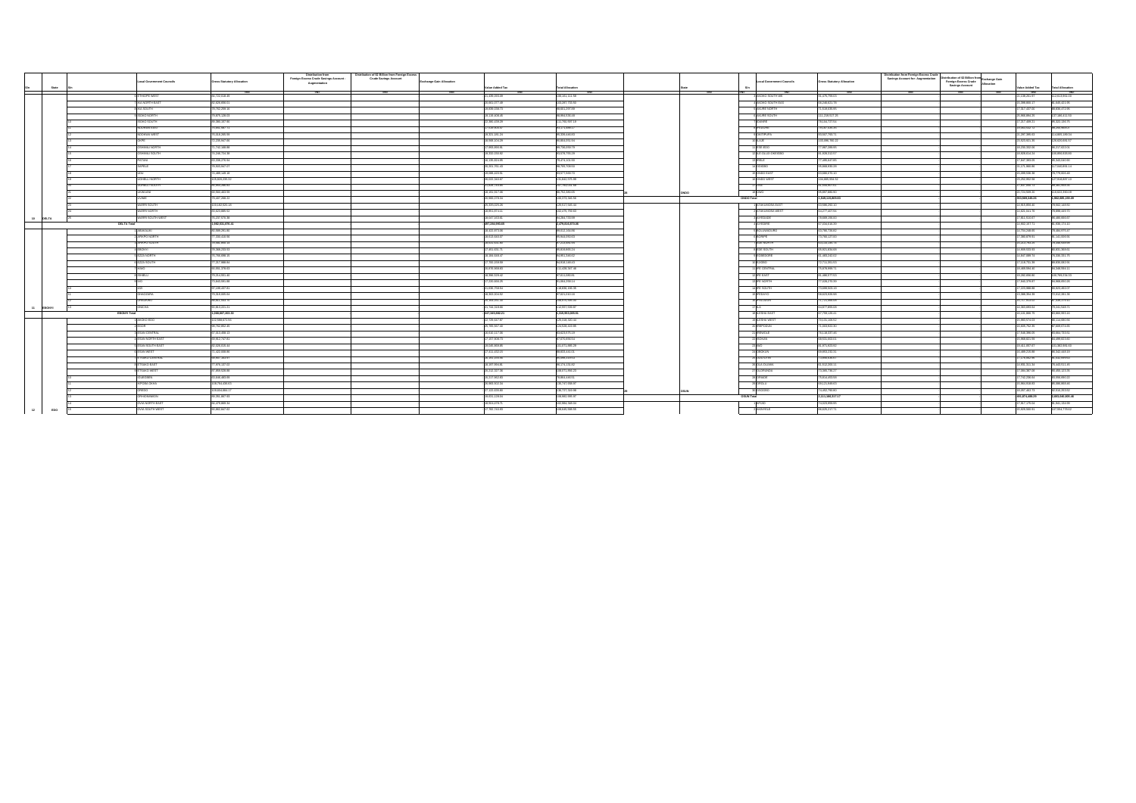|          |        |                    |                                  |                          | Distribution from                      | <b>Distribution of \$2 Billion from Foreign Exces</b> |                         |                |                  |              |                   |                          |                            | Distribution from Foreign Excess Crude | stribution of \$2 Billion from |               |                        |                  |
|----------|--------|--------------------|----------------------------------|--------------------------|----------------------------------------|-------------------------------------------------------|-------------------------|----------------|------------------|--------------|-------------------|--------------------------|----------------------------|----------------------------------------|--------------------------------|---------------|------------------------|------------------|
|          |        |                    | <b>Local Government Councils</b> | oss Statutory Allocation | Foreign Excess Crude Savings Account - | Crude Savings Account                                 | schange Gain Allocation |                |                  |              |                   | ocal Government Councils | Gross Statutory Allocation | Savings Account for-Augmentation       | Foreign Excess Crude           | Exchange Gain |                        |                  |
|          | State  |                    |                                  |                          | Augmentation                           |                                                       |                         | also Added Tax | tal Allocation   |              |                   |                          |                            |                                        | <b>Savings Account</b>         | Alloyation    | alue Added Tax         | notal Allocation |
|          |        |                    |                                  |                          | - 544                                  |                                                       |                         |                |                  | <b>START</b> | $\sim$            |                          |                            |                                        | $-180$                         |               |                        | $ -$             |
|          |        |                    | THOPE WEST                       | 722,018.49               |                                        |                                                       |                         | 439,093.09     | 6.561.111.5      |              |                   | DKO SOUTH WE             | 475,759.03                 |                                        |                                |               | $   -$<br>1,138,201.97 | 2,613,961.00     |
|          |        |                    | <b>CA NORTH EAST</b>             | 626,656.01               |                                        |                                                       |                         | 681,077.49     | 13,287,733.50    |              |                   | KOKO SOUTH EAS           | 246,621.78                 |                                        |                                |               | 15,398,800.17          | 1,645,421.95     |
|          |        |                    | IKA SOUTH                        | 8,762,259.16             |                                        |                                                       |                         | 19,839,038.73  | 8,601,297.89     |              |                   | AKURE NORTH              | 519,035.95                 |                                        |                                |               | 17,317,437.00          | 18,836,472.95    |
|          |        |                    | <b>ISOKO NORTH</b>               | 79,875,128.03            |                                        |                                                       |                         | 19,119,408.45  | 8,994,536.48     |              |                   | <b>AKURE SOUTH</b>       | 11,219,517.25              |                                        |                                |               | 25.008.894.25          | 37.186.411.50    |
|          |        |                    |                                  |                          |                                        |                                                       |                         |                |                  |              |                   |                          |                            |                                        |                                |               |                        |                  |
|          |        |                    | SOKO SOUTH                       | 9,380,157.90             |                                        |                                                       |                         | 2,380,439.29   | 1,760,597.19     |              |                   |                          | 1,104,727.54               |                                        |                                |               | 17,217,409.21          | 15,322,136.75    |
|          |        |                    | DOKWA EAST                       | 75,051,587.71            |                                        |                                                       |                         | 17,519,900.47  | 0.171.488.17     |              |                   | nne                      | 9,187,435.35               |                                        |                                |               | 19,063,532.72          | 10,250,958.07    |
|          |        |                    | DOKWA WEST                       | 76,018,265.59            |                                        |                                                       |                         | 19,321,181.24  | 03.339,446.83    |              |                   | <b>GIGTIPUPA</b>         | 1,507,793.71               |                                        |                                |               | 21,297,395.63          | 114,005,109.34   |
|          |        |                    |                                  | 225,947.00               |                                        |                                                       |                         | 8,568,104.29   | 0.804.051.94     |              |                   | LAE                      | 13,096,760.22              |                                        |                                |               | 23.523.921.35          | 26,620,681.57    |
|          |        |                    | HIMLI NORTH                      | 742,168.88               |                                        |                                                       |                         | 1000,000.91    | 9,736,059.79     |              |                   | SE-EDO                   | 387,289.95                 |                                        |                                |               | 8,230,332.06           | 6,217,622.01     |
|          |        |                    | GHIMLI SOUTH                     | 4,246,724.35             |                                        |                                                       |                         | 9,332,030.92   | 0,578,755.29     |              |                   | CONTROVITION             | 928,312.57                 |                                        |                                |               | 18,928,614.24          | 00,856,926.80    |
|          |        |                    | TANI                             | 1,338,276.94             |                                        |                                                       |                         | 16,135,824.95  | 9,474,101.90     |              |                   |                          | 495,547.85                 |                                        |                                |               | 7,847,393.05           | 343,040.90       |
|          |        |                    | <b>APELE</b>                     | 1,503,947.07             |                                        |                                                       |                         | 0,201,761.43   | 38,705,708.50    |              |                   | DIGEO                    | 1008.030.28                |                                        |                                |               | 1,171,950.86           | 7,040,891.14     |
|          |        |                    |                                  |                          |                                        |                                                       |                         | 088-620.51     |                  |              |                   |                          |                            |                                        |                                |               | 5.099.536.38           |                  |
|          |        |                    |                                  | 4,489,149.18             |                                        |                                                       |                         |                | 577,569.70       |              |                   | ONDO EAS                 | 680,070.10                 |                                        |                                |               |                        | 0,779,606.48     |
|          |        |                    | GHELLI NORTH                     | 05, 820, 235.32          |                                        |                                                       |                         | 1,022,340.67   | 11,842,575.99    |              |                   | NDO WEST                 | 4,665,934.52               |                                        |                                |               | 23,252,952.58          | 27,918,887.10    |
|          |        |                    | GHELLI SOUTH                     | 15,954,286.83            |                                        |                                                       |                         | 21,828,744.85  | 07,783,031.68    |              |                   |                          | 544,907.61                 |                                        |                                |               | 17,837,050.73          | 20,381,958.35    |
|          |        |                    | KWUANI                           | 8,560,463.59             |                                        |                                                       |                         | 18,191,917.06  | 6,752,380.05     |              |                   |                          | 5,897,880.90               |                                        |                                |               | 0,724,509.20           | 15,622,390.09    |
|          |        |                    | <b>VWE</b>                       | 79,407,268.22            |                                        |                                                       |                         | AC 810,009,0   | 100,373,346.56   |              | ONDO Total        |                          | 1,549,115,809.83           |                                        |                                |               | 353,503,343.26         | 1,902,685,159.09 |
|          |        |                    | VARRI SOUTH                      | 100,182,520.18           |                                        |                                                       |                         | 25,335,025.26  | 5.517.545.44     |              |                   | TAKUMOSA EAST            | 3,586,292.10               |                                        |                                |               | 14,915,856.40          | 18,502,148.50    |
|          |        |                    | <b>MARRI NORTH</b>               | 3,623,885.52             |                                        |                                                       |                         | 18,851,874.11  | 02,475,759.63    |              |                   | AKUMOSA WES              | 4,277,407.94               |                                        |                                |               | 14,621,041.76          | 07.035,449.70    |
| 10 DELTA |        |                    | ARRI SOUTH-WEST                  | /6,237,570.38            |                                        |                                                       |                         | 18,047,163.61  | 14,284,733.99    |              |                   | YEDADE                   | 8,669,156.00               |                                        |                                |               | 17.811.510.67          | 13.333,006.67    |
|          |        |                    |                                  |                          |                                        |                                                       |                         |                |                  |              |                   |                          |                            |                                        |                                |               |                        |                  |
|          |        | <b>DELTA Total</b> |                                  | 1,982,531,876.41         |                                        |                                                       |                         | 497,284,993.65 | 2,479,816,870.06 |              |                   | YEDIRE                   | 02.310.103                 |                                        |                                |               | 14,902,157.71          | 1,936,174.10     |
|          |        |                    | DI JAXAL BO                      | 0,589,291.80             |                                        |                                                       |                         | 18,422,873.06  | 9,012,164.86     |              |                   | LUWADURO                 | 3,780,726.82               |                                        |                                |               | 14,704,248.85          | 15,454,975.47    |
|          |        |                    | <b>FIKPO NORTH</b>               | 330,410.56               |                                        |                                                       |                         | 10.040.078     | 344,050.63       |              |                   | <b>CRUPS</b>             | 1,760,127.00               |                                        |                                |               | 1200879.91             | 1,141,006.91     |
|          |        |                    | FIKPO SOUTH                      | 8,581,850.14             |                                        |                                                       |                         | 8,631,631.80   | 7,213,481.94     |              |                   | DE NORT                  | 133,145.74                 |                                        |                                |               | 15,213,793.25          | 02.022.345.07    |
|          |        |                    |                                  | 8,368,233.53             |                                        |                                                       |                         | 451,631.71     | 5,819,865.24     |              |                   | DE SOUTH                 | 53 AC8, 159                |                                        |                                |               | 14,909,533.93          | 0,831,368.61     |
|          |        |                    | <b>ZZA NORTH</b>                 | 1700,098.15              |                                        |                                                       |                         | 18,184,648.47  | 4,951,346.62     |              |                   | GBEDOR                   | 483,242.02                 |                                        |                                |               | 14,847,089.74          | 5,330,331.75     |
|          |        |                    | EZZA SOUTH                       | 77,217,988.84            |                                        |                                                       |                         | 17,700,159.59  | 94,918,148.43    |              |                   | 10 0300                  | 2,711,351.53               |                                        |                                |               | 17,118,731.39          | 19,830,082.91    |
|          |        |                    |                                  | 551,378.63               |                                        |                                                       |                         | 0,876,958.83   | 1,428,347.46     |              |                   | <b>E CENTRAL</b>         | 1,878,999.71               |                                        |                                |               | 18,409,594.40          | 4,348,594.11     |
|          |        |                    | <b>SHELU</b>                     | 0,214,551.40             |                                        |                                                       |                         | 18,396,529.42  | 1811,080.81      |              |                   | FE EAST                  | 1,406,577.53               |                                        |                                |               | 19,282,656.80          | 00,769,234.33    |
|          |        |                    |                                  | 1,843,591.88             |                                        |                                                       |                         | 220,006.25     | 054,258.14       |              |                   | <b>ENOR</b>              | 028,270.39                 |                                        |                                |               | 7.940.379.1            | 4,968,650.26     |
|          |        |                    |                                  | 1,199,437.81             |                                        |                                                       |                         | 21,636,758.54  | 18,836,196.35    |              |                   | 14 IFE SOUTH             | 0223503.19                 |                                        |                                |               | 17,223,988.88          | 0,923,492.07     |
|          |        |                    | <b>MAGZARA</b>                   | 0,319,005.64             |                                        |                                                       |                         | 18,302,004.52  | 7.621.010.16     |              |                   |                          | 023 926 98                 |                                        |                                |               | 13,388,354.39          | 2.012.281.36     |
|          |        |                    | MALIKWU                          | 88,811,543.70            |                                        |                                                       |                         | 20,164,051.30  | 08,975,595.00    |              |                   | ELOCAT                   | 721,466.08                 |                                        |                                |               | 5,717,913.02           | 17,439,379.10    |
|          |        |                    |                                  |                          |                                        |                                                       |                         |                |                  |              |                   |                          |                            |                                        |                                |               | 14.363.693.64          |                  |
|          | EBONYI |                    | MCHA                             | 00,813,221.21            |                                        |                                                       |                         | 3,744,318.00   | 12,557,539.87    |              |                   |                          | 8,877,855.08               |                                        |                                |               |                        | 9,241,548.71     |
|          |        | EBONYI Total       |                                  | 1,068,007,203.30         |                                        |                                                       |                         | 247,345,882.21 | 1,315,953,085.51 |              |                   | LESHA EAST               | 7,759,126.41               |                                        |                                |               | 16,101,866.75          | 3,860,993.16     |
|          |        |                    | <b>OCI3 ONOXA</b>                | 02,588,672.56            |                                        |                                                       |                         | 2.729.647.87   | 25,318,320.44    |              |                   | LESHA WEST               | 131,105.52                 |                                        |                                |               | 5.983.574.03           | 5,114,680.56     |
|          |        |                    | <b>SOR</b>                       | 08,762,852.45            |                                        |                                                       |                         | 5,765,567.40   | 14,528,419.85    |              |                   | :PODUM                   | 003.922.30                 |                                        |                                |               | 6,605,752.35           | ,009,674.05      |
|          |        |                    | <b>SAN CENTRAL</b>               | 7,013,458.13             |                                        |                                                       |                         | 6,610,117.06   | 623,575.19       |              |                   |                          | 118,337.46                 |                                        |                                |               | 7,546,396.05           | 03,064,733.51    |
|          |        |                    | SAN NORTH EAST                   | 0,912,747.81             |                                        |                                                       |                         | 7,157,908.73   | 070,056.54       |              |                   |                          | 1,531,002.01               |                                        |                                |               | 15,968,821.59          | 499,823.60       |
|          |        |                    | ESAN SOUTH EAST                  | 2,026,015.44             |                                        |                                                       |                         | 19,045,009.05  | 101,071,885.29   |              |                   |                          | 1,971,923.92               |                                        |                                |               | 19,411,057.67          | 03.182,981.00    |
|          |        |                    | <b>ESAN WEST</b>                 | 422,008.86               |                                        |                                                       |                         | 17,411,432.15  | 8833-441.01      |              |                   | 24 050 0.N               | 1,853,232.31               |                                        |                                |               | 16,489,215.88          | 16,342,448.19    |
|          |        |                    | SAKO CENTRAL                     | 8,907,163.97             |                                        |                                                       |                         | 16,191,155.56  | 038,319.53       |              |                   |                          | 1,056,036,07               |                                        |                                |               | 176,052.96             | ,032,099.63      |
|          |        |                    | TSAKO EAST                       | 7,976,137.02             |                                        |                                                       |                         | 18,197,994.81  | 6,174,131.82     |              |                   | <b>TEACHING</b>          | 512,200.11                 |                                        |                                |               | 14,931,311.34          | 5,443,511.45     |
|          |        |                    | TSAKO WEST                       | 17,059,528.88            |                                        |                                                       |                         | 20,212,327.36  | 008,071,856.23   |              |                   | <b>CLORUNDA</b>          | 3,365,736.27               |                                        |                                |               | 17,084,387.08          | 0,450,123.35     |
|          |        |                    | GUEGEEN                          | 0.046,483.69             |                                        |                                                       |                         |                |                  |              |                   | RIADE                    |                            |                                        |                                |               | 1.742.236.64           |                  |
|          |        |                    |                                  |                          |                                        |                                                       |                         | 5,217,962.83   | 1,064,446.51     |              |                   |                          | 1014,453.58                |                                        |                                |               |                        | 3,556,690.22     |
|          |        |                    | <b>SPODA OKHA</b>                | 08,764,436.63            |                                        |                                                       |                         | MC 502.002.36  | 35.747.938.97    |              |                   | 29 OROLD                 | 1121.942.63                |                                        |                                |               | 15,964,918.83          | 15,086,868.46    |
|          |        |                    |                                  |                          |                                        |                                                       |                         | 122,635.8      | 6,727,319.98     | OSUN         |                   |                          | 452,790.80                 |                                        |                                |               | 057,462.73             |                  |
|          |        |                    | REFERANTING                      | 19,351,867.93            |                                        |                                                       |                         | 19,631,128.04  | 108,982,995.97   |              | <b>OSUN Total</b> |                          | 111,166,317.17             |                                        |                                |               | 491,574,488.29         | 2,003,040,005.46 |
|          |        |                    | VIA NORTHEAST                    | 4,479,859.34             |                                        |                                                       |                         | 8,504,478.71   | 102,954,348.04   |              |                   |                          | 023,959.95                 |                                        |                                |               | 17,917,175.04          | 02341,134.99     |
| 12       | cpo    |                    | <b>TESM HTUDE ANY</b>            | 0,052,547.52             |                                        |                                                       |                         | 7,782,740.93   | 08,645,588.55    |              |                   | 2 AKINYELE               | 625,217.71                 |                                        |                                |               | 20,929,560.91          | 07,554,778.62    |
|          |        |                    |                                  |                          |                                        |                                                       |                         |                |                  |              |                   |                          |                            |                                        |                                |               |                        |                  |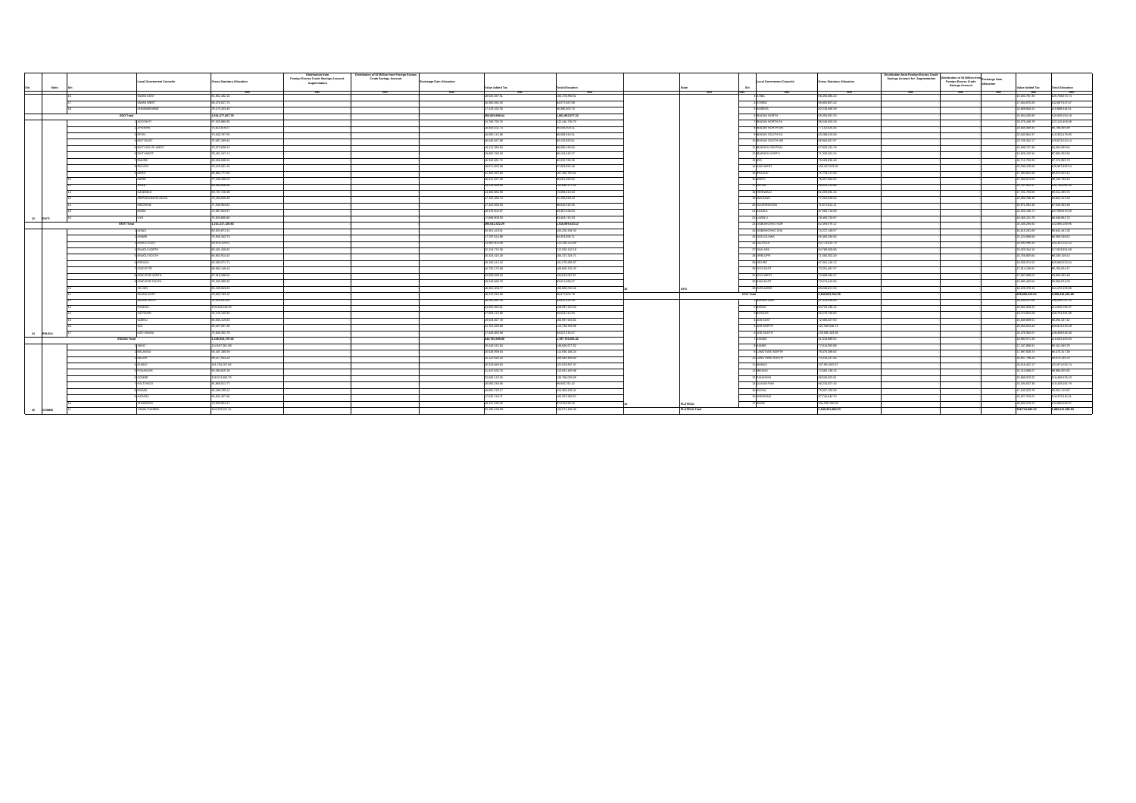|          |                    |                                  |                          | Distribution from                      | <b>Distribution of \$2 Billion from Foreign Exces</b> |                         |                |                  |                      |              |                          |                            | Distribution from Foreign Excess Crude | stribution of \$2 Billion from |               |                |                          |
|----------|--------------------|----------------------------------|--------------------------|----------------------------------------|-------------------------------------------------------|-------------------------|----------------|------------------|----------------------|--------------|--------------------------|----------------------------|----------------------------------------|--------------------------------|---------------|----------------|--------------------------|
|          |                    | <b>Local Government Councils</b> | oss Statutory Allocation | Foreign Excess Crude Savings Account - | Crude Savings Account                                 | schange Gain Allocation |                |                  |                      |              | ocal Government Councils | Gross Statutory Allocation | Savings Account for-Augmentation       | Foreign Excess Crude           | Exchange Gain |                |                          |
| State    |                    |                                  |                          | Augmentation                           |                                                       |                         | also Added Tax | noite of Allen   |                      | <b>Still</b> |                          |                            |                                        | <b>Savings Account</b>         | Alloyation    | alue Added Tax | notal Allocation         |
|          |                    |                                  |                          |                                        |                                                       |                         |                |                  |                      | $\sim$       |                          |                            |                                        | <b>AN</b>                      |               |                | <b>CONTRACTOR</b>        |
|          |                    | NAN EAS                          | 1,651,462.10             |                                        |                                                       |                         | 525,397.51     | 0,176,859.6      |                      |              |                          | 455,086.40                 |                                        |                                |               | 19,303,787.35  | 1,758,873.74             |
|          |                    | WAN WEST                         | 8,276,527.73             |                                        |                                                       |                         | 6,300,940.25   | 4,577,467.98     |                      |              |                          | 892,857.42                 |                                        |                                |               | 7,004,670.25   | 02,897,527.67            |
|          |                    | <b>SCIVO/MARUHI</b>              | 170,243.45               |                                        |                                                       |                         | 17,215,162.25  | 25,385,405.70    |                      |              | <b>GBED</b>              | 218,498.39                 |                                        |                                |               | 23,009,046.22  | 15,888,344.61            |
|          |                    |                                  |                          |                                        |                                                       |                         | 350.005.903.44 | 1.051.002.977.22 |                      |              |                          |                            |                                        |                                |               |                |                          |
|          | EDO Total          |                                  | 1,501,277,007.78         |                                        |                                                       |                         |                |                  |                      |              | <b>BADAN NORTH</b>       | 1005.002.33                |                                        |                                |               | 24,654,200.85  | 20,009,253.18            |
|          |                    | <b>DO EXITI</b>                  | 533,980.95               |                                        |                                                       |                         | 4,706,755.75   | 2,240,736.70     |                      |              | <b>AN NORTH EA</b>       | 540,000.28                 |                                        |                                |               | 15,575,408.79  | 22,115,409.08            |
|          |                    | ITEKRE                           | 6,610,876.57             |                                        |                                                       |                         | 18,445,632.74  | 5,056,509.31     |                      |              | <b>DAN NORTH WE</b>      | 152,526.44                 |                                        |                                |               | 18,645,469.45  | 15,798,095.89            |
|          |                    | EFON                             | 70,543,797.55            |                                        |                                                       |                         | 16,055,112.96  | 10,598,910.51    |                      |              | ADAN SOUTH EA            | 23,288,615.58              |                                        |                                |               | 23,063,864.37  | 116,352,479.95           |
|          |                    | <b>SOTI BAST</b>                 | 5,087,295.84             |                                        |                                                       |                         | 18,046,057.95  | 0,133,363.01     |                      |              | DAN SOUTH WE             | 364,667.97                 |                                        |                                |               | 23,709,342.17  | 20,674,010.14            |
|          |                    | EKITI SOUTH WEST                 | 76,972,638.24            |                                        |                                                       |                         | 19,112,380.60  | 005,018.04       |                      |              | VRAPA CENTRAL            | 1,803,152.18               |                                        |                                |               | 16,699,747.46  | 14,502,899.64            |
|          |                    | EKITI WEST                       | 78,451,247.11            |                                        |                                                       |                         | 9,682,769.26   | 12.016.37        |                      |              | ARAPA NORTH              | 329,201.24                 |                                        |                                |               | 16.626.102.34  | 17.955.303.58            |
|          |                    | <b>SALMA</b>                     | 6,006,038.64             |                                        |                                                       |                         | 16,326,081.72  | 12,332,700.36    |                      |              |                          | 563,836.48                 |                                        |                                |               | 16,710,753.25  | 17,274,589.73            |
|          |                    |                                  |                          |                                        |                                                       |                         |                |                  |                      |              |                          |                            |                                        |                                |               |                |                          |
|          |                    | $0-05$                           | 79,122,001.10            |                                        |                                                       |                         | 18.871.053.30  | 7.993.854.48     |                      |              | SAKI WEST                | 2427.513.95                |                                        |                                |               | 23530.478.59   | 25,957,992.54            |
|          |                    |                                  | 881.777.66               |                                        |                                                       |                         | 302,922.85     | 17,184,700.51    |                      |              |                          | 778,117.56                 |                                        |                                |               | 17,294,801.58  | 0,072,919.14             |
|          |                    | CERE                             | 0.0263.037               |                                        |                                                       |                         | 18,412,927.59  | 5,001,353.62     |                      |              |                          | 03.03.123.1                |                                        |                                |               | 17.463.674.09  | 16,120,758.10            |
|          |                    | $_{\text{out}}$                  | 534,608.68               |                                        |                                                       |                         | 19,235,008.05  | 02,830,277.52    |                      |              |                          | 1,032,132.88               |                                        |                                |               | 22,707,932.47  | 20,740,065.35            |
|          |                    | <b>LIMES</b>                     | 58,737,728.38            |                                        |                                                       |                         | 14.350.884.95  | 020,013.33       |                      |              |                          | 009.056.16                 |                                        |                                |               | 7,701,703.55   | 0,311,359.70             |
|          |                    | EPCOUNTELCOUN                    | 3,453,639.49             |                                        |                                                       |                         | 7,702,390.74   | 156,030.23       |                      |              |                          | 202,626.90                 |                                        |                                |               | 16,699,786.49  | 3,902,413.39             |
|          |                    | <b>ZUORUN</b>                    | 1,540,954.82             |                                        |                                                       |                         | 7,101,560.53   | 8,642,515.35     |                      |              | 20 OLORUNSOCO            | 1,671,811.11               |                                        |                                |               | 15,871,581.36  | 7,543,392.48             |
|          |                    | <b>COLA</b>                      | 74,987,633.97            |                                        |                                                       |                         | 18,379,402.87  | 14.200,120,0     |                      |              | <b>AJOLA</b>             | 62.013.58                  |                                        |                                |               | 20,525,156.71  | 7,590,870.29             |
|          |                    |                                  |                          |                                        |                                                       |                         |                |                  |                      |              |                          |                            |                                        |                                |               |                |                          |
|          |                    |                                  | 503,805.80               |                                        |                                                       |                         | 120,000.0253   | 403,715.33       |                      |              | AGELU                    | 493,720.97                 |                                        |                                |               | 18,455,131.75  | 6,948,852.73             |
|          | <b>EXITI Total</b> |                                  | 1,221,217,120.83         |                                        |                                                       |                         | 205,642,322.20 | 1,516,859,443.12 |                      |              | <b>ROM OHDOMOGIC</b>     | 2,459,879.12               |                                        |                                |               | 20,436,290.82  | 02,096,109.95            |
|          |                    |                                  | 2,924,871.31             |                                        |                                                       |                         | 1,301,423.01   | 13,226,234.32    |                      |              | DOS ONZOMOGI             | 227,149.57                 |                                        |                                |               | 16,615,291.69  | 5,542,441.26             |
|          |                    | NIMPI                            | 5,566,343.73             |                                        |                                                       |                         | 17,787,614.98  | 4,353,958.71     |                      |              | <b>D-OLUWA</b>           | 30.094.006                 |                                        |                                |               | 5,224,698.56   | 10,585,038.62            |
|          |                    | <b>ENUGU EAST</b>                | 29,878,319.61            |                                        |                                                       |                         | 23,460,903.98  | 23,339,223.59    |                      |              | 26 OLUYOLE               | 1,774,425.79               |                                        |                                |               | 20.592.596.44  | 104,367,022.23           |
|          |                    | NUGU NORTH                       | 1,401,426.82             |                                        |                                                       |                         | 1,124,715.36   | 2,526,142.18     |                      |              | <b>NA-ARA</b>            | 1,788,309.98               |                                        |                                |               | 1,025,344.10   | 17,813,654.08            |
|          |                    | NUGU SOUTH                       | 1,002,914.43             |                                        |                                                       |                         | 0,324,410.28   | 05,127,324.71    |                      |              | <b>IDELOPE</b>           | 582,302.29                 |                                        |                                |               | 16,756,805.84  | 18,339,108.13            |
|          |                    | ZEAGU                            | 2.083.271.71             |                                        |                                                       |                         | 19,192,414.16  | 101.275.685.87   |                      |              | <b>ORI IRE</b>           | 7,301,146.12               |                                        |                                |               | 18.559.374.52  | 05.860.520.64            |
|          |                    | <b>IGBO ETITI</b>                | 88,960,146.44            |                                        |                                                       |                         | 20,735,175.98  | 0,005,322.42     |                      |              | 30 OYO EAST              | 3,251,487.37               |                                        |                                |               | 7,514,136.81   | 0,765,624.17             |
|          |                    | GBO EZE NORTH                    | 27,918,358.54            |                                        |                                                       |                         | 2,693,699.03   |                  |                      |              |                          | 2,000,366.47               |                                        |                                |               |                |                          |
|          |                    |                                  |                          |                                        |                                                       |                         |                | 20,612,057.67    |                      |              | <b>IYO WES</b>           |                            |                                        |                                |               | 17,997,689.02  | 0,006,055.48             |
|          |                    | 200 EZE SOUT                     | 293,380.32               |                                        |                                                       |                         | 318,585.75     | 611,966.01       |                      |              |                          | 674,410.56                 |                                        |                                |               | 6,982,463.54   | 656,874.09               |
|          |                    | LUZD.                            | 2,199,043.63             |                                        |                                                       |                         | 18,361,008.77  | 100,560,052.40   |                      |              | 20010-001                | 1,246,817.53               |                                        |                                |               | 18,225,376.15  | 01,472,193.68            |
|          |                    | <b>IKANU EAST</b>                | 78,602,783.10            |                                        |                                                       |                         | 18,375,019.69  | 06,977,802.78    |                      | OYO Total    |                          | 2,099,025,784.35           |                                        |                                |               | 636,690,242.54 | <b>03.350,010,026.89</b> |
|          |                    | KANU WEST                        | 5,518,451.92             |                                        |                                                       |                         | 18,293,881.26  | 23,812,333.18    |                      |              | <b>BICNITADI</b>         | 310,536.08                 |                                        |                                |               | 19,349,221.06  | 06,659,757.14            |
|          |                    | <b>SUKKA</b>                     | 03,944,246.93            |                                        |                                                       |                         | 24,652,963.61  | 128,597,210.54   |                      |              |                          | 4,725,136.14               |                                        |                                |               | 19.801.629.23  | 14,526,765.37            |
|          |                    | DJI RIVER                        | 6,125,100.95             |                                        |                                                       |                         | 509,113.88     | 0534,214.83      |                      |              | OKXOS                    | 0,279,759.80               |                                        |                                |               | 19,473,602.08  | 09,753,361.88            |
|          |                    | <b>DENU</b>                      | 4,064,115.83             |                                        |                                                       |                         | 19,533,827.78  | 13,597,943.61    |                      |              | <b>DS EAS</b>            | 506,627.90                 |                                        |                                |               | 15,849,809.51  | 18,355,437.42            |
|          |                    |                                  | 12,027,057.28            |                                        |                                                       |                         | 1,701,265.68   | 3,728,322.96     |                      |              | JOS NORTH                | 1,549,918.74               |                                        |                                |               | 20,263,524.44  | 50,813,443.18            |
| 14 ENUGU |                    | ZO UWAN                          | 5,000,332.79             |                                        |                                                       |                         | 17,426,882.69  | 3,027,215.47     |                      |              | <b>6 JOS SOUTH</b>       | 03.030.103.09              |                                        |                                |               | 24,479,362.67  | 128,309,546.36           |
|          | <b>ENUGU Total</b> |                                  | 1,446,910,175.46         |                                        |                                                       |                         | 340,732,935.86 | 787,703,081.32   |                      |              |                          | 618,889.54                 |                                        |                                |               | 18,983,571.28  | 10,002,460.83            |
|          |                    |                                  | 24,507,361.98            |                                        |                                                       |                         | 5,419,315.54   | 9,926,677.52     |                      |              |                          | 914,092.88                 |                                        |                                |               | 7,247,856.91   | 15,161,949.79            |
|          |                    | юс                               |                          |                                        |                                                       |                         |                |                  |                      |              | ANKE                     |                            |                                        |                                |               |                |                          |
|          |                    | <b>BALANGA</b>                   | 04,407,185.59            |                                        |                                                       |                         | 20,528,998.64  | 14,936,184.24    |                      |              | ANGTANG NORTH            | 13,475,388.64              |                                        |                                |               | 17,997,928.74  | 05,473,317.38            |
|          |                    | LLRI                             | 0,317,553.24             |                                        |                                                       |                         | 122,916.26     | 0,440,403.50     |                      |              | NGTANG SOUTH             | 316,337.44                 |                                        |                                |               | 16,657,798.33  | 0,974,135.76             |
|          |                    | <b>DOKKU</b>                     | 101,704,107.84           |                                        |                                                       |                         | 20,319,849.63  | 12,023,957.47    |                      |              |                          | 07,951,602.57              |                                        |                                |               | 24,019,422.17  | 31,971,024.74            |
|          |                    | <b>INAKAYE</b>                   | 14,424,815.19            |                                        |                                                       |                         | 21,447,630.76  | 15,942,445.96    |                      |              | <b>IDCANIT</b>           | 2,685,139.15               |                                        |                                |               | 16.310.606.67  | 8.995.825.82             |
|          |                    | cover                            | 106,074,909.75           |                                        |                                                       |                         | 1,693,119.20   | 28,758,028.95    |                      |              | WKSHI                    | 509,652.91                 |                                        |                                |               | 19,989,976.52  | 8,499,629.43             |
|          |                    | <b>ALTUNGO</b>                   | 1.865.511.77             |                                        |                                                       |                         | 18,080,249.66  | 20.945.761.42    |                      |              | <b><i>ESCANDAN</i></b>   | 1,234,627.43               |                                        |                                |               | 20,194,637.36  | 16,429,264.79            |
|          |                    |                                  | 5,499,795.24             |                                        |                                                       |                         | 1,855,733.17   | 5,355,528.41     |                      |              |                          | 607,792.08                 |                                        |                                |               | 7,643,323.79   | 13,251,115.87            |
|          |                    | <b>IAFADA</b>                    | 4,631,207.86             |                                        |                                                       |                         | 7.626.748.71   | 12,257,956.57    |                      |              | 16 SHENDAM               | 745,940.70                 |                                        |                                |               | 10,627,375.61  | 18,373,316.31            |
|          |                    | SHOMGOM                          | 8,930,854.41             |                                        |                                                       |                         | 18,147,182.02  | 7.078.036.43     | <b>PLATEAU</b>       |              | NASE                     | 04.039.760.84              |                                        |                                |               | 18.820.279.72  | 122.860.040.57           |
| 15 GOMBE |                    | AMALTULDEBA                      | 104,376,027.41           |                                        |                                                       |                         | 2,195,438.99   | 26,571,466.40    | <b>PLATEAU Total</b> |              |                          | 1,545,301,386.53           |                                        |                                |               | 336,710,006.10 | 1,882,011,392.63         |
|          |                    |                                  |                          |                                        |                                                       |                         |                |                  |                      |              |                          |                            |                                        |                                |               |                |                          |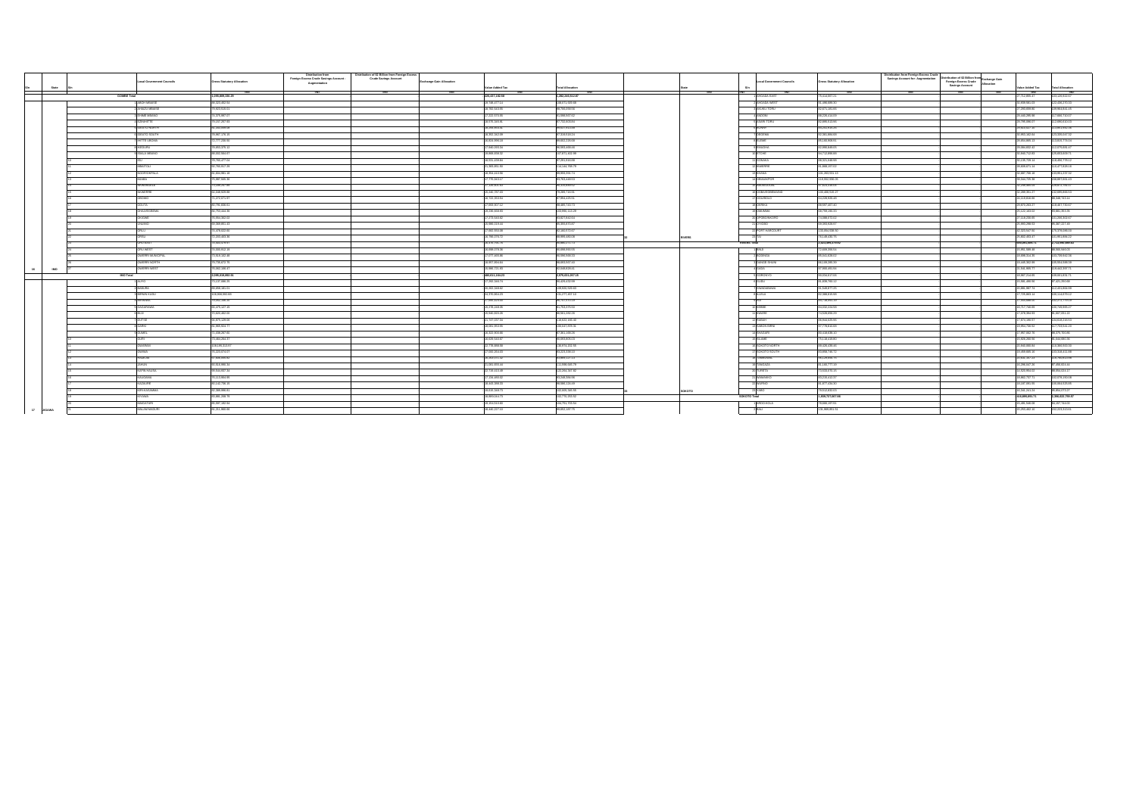|           |            |                    |                          |                                   | <b>Distribution from</b>               | stribution of \$2 Billion from Foreign Exces |                         |                |                         |              |                     |                           |                            | <b>Jistribution from Foreign Excess Crude</b> | shibution of \$2 Billion fro |               |                      |                              |
|-----------|------------|--------------------|--------------------------|-----------------------------------|----------------------------------------|----------------------------------------------|-------------------------|----------------|-------------------------|--------------|---------------------|---------------------------|----------------------------|-----------------------------------------------|------------------------------|---------------|----------------------|------------------------------|
|           |            |                    | ocal Government Councils | <b>Gross Statutory Allocation</b> | Foreign Excess Crude Savings Account - | Crude Savings Account                        | schange Gain Allocation |                |                         |              |                     | Local Government Councils | Gross Statutory Allocation | Savings Account for-Augmentation              | Foreign Excess Crude         | Exchange Gain |                      |                              |
|           |            |                    |                          |                                   | Augmentation                           |                                              |                         |                |                         |              |                     |                           |                            |                                               | <b>Savings Account</b>       | Allowation.   |                      |                              |
|           | State      |                    |                          |                                   |                                        |                                              |                         | also Added Tax | <b>Total Allocation</b> |              |                     |                           |                            |                                               |                              |               | alue Added Tax       | otal Allocation              |
|           |            | <b>GOMBE Total</b> |                          | 1,055,000,330.20                  |                                        |                                              |                         | 226,437,182.58 | 1,282,246,512.87        | <b>START</b> | $\sim$              |                           | 414,067.21                 | <b>START OF</b>                               | - 1991                       | . .           | $-$ 100<br>12,855.47 | $ N_{\rm H}$<br>3,126,922.67 |
|           |            |                    | <b>ABON MBAISE</b>       | 18,323,452.54                     |                                        |                                              |                         | 0,748,477.14   | 08,071,929.68           |              |                     | DADA WES                  | 496,689.30                 |                                               |                              |               | 939,581.03           | 22,436,270.33                |
|           |            |                    |                          |                                   |                                        |                                              |                         |                |                         |              |                     |                           |                            |                                               |                              |               |                      |                              |
|           |            |                    | HIAZU MBAISE             | 79,923,515.01                     |                                        |                                              |                         | 18,782,543.55  | 98,706,058.56           |              |                     | MOURCU-TORO               | 53.181,173,                |                                               |                              |               | 293,659.80           | 09,954,841.45                |
|           |            |                    | EHIME MBANO              | 74,375,997.07                     |                                        |                                              |                         | 17,222,570.55  | 91,598,567.62           |              |                     | NDON                      | 1226,414.09                |                                               |                              |               | 440.295.98           | 17,666,710.07                |
|           |            |                    | ZINHITTE                 | 79,157,257.93                     |                                        |                                              |                         | 18,575,345.91  | 17,732,603.84           |              |                     | SARI-TORU                 | 2,025,513.96               |                                               |                              |               | 1795,096.07          | 2,090,610.03                 |
|           |            |                    | <b>HTRON OTABE</b>       | 81,343,059.08                     |                                        |                                              |                         | 18,294,854.41  | 20,637,913.48           |              |                     |                           | (241,915.26)               |                                               |                              |               | 07.510.027.10        | 13,051,942.36                |
|           |            |                    | HTUO2 OTA30              | 78,967,176.15                     |                                        |                                              |                         | 18,352,342.09  | 97,319,518.24           |              |                     | ecem                      | 53.105,105,2               |                                               |                              |               | 00,953,162.64        | 23,335,047.32                |
|           |            |                    | HITTE UBOMA              | 2,777,230.50                      |                                        |                                              |                         | 16,824,996.18  | 89,002,226.08           |              |                     | 1 PART                    | 160,008.91                 |                                               |                              |               | 8.054.005.13         | 13,815,774.04                |
|           |            |                    | CEDURU                   | 78, 653, 375.12                   |                                        |                                              |                         | 7,940,093.34   | 06,593,468.46           |              |                     |                           | 300,842.05                 |                                               |                              |               | 054 832 42           | 12,075,681.47                |
|           |            |                    |                          |                                   |                                        |                                              |                         |                |                         |              |                     |                           |                            |                                               |                              |               |                      |                              |
|           |            |                    | DALA MEANO               | 18,002,554.57                     |                                        |                                              |                         | 19,868,838.32  | 107,671,402.99          |              |                     | ETCHE                     | 1,712,896.88               |                                               |                              |               | 1,940,712.83         | 15,053,009.71                |
|           |            |                    |                          | 8,760,477.04                      |                                        |                                              |                         | 18,531,432.84  | 97,291,916.88           |              |                     |                           | 321,048.98                 |                                               |                              |               | 135,729.14           | 18,456,778.12                |
|           |            |                    | LOTIAS                   | 92,760,917.29                     |                                        |                                              |                         | 21,383,851.50  | 114, 144, 768.79        |              |                     |                           | 868,157.02                 |                                               |                              |               | 1,009,671.14         | 10,477,828.16                |
|           |            |                    | <b>NGORGKPALA</b>        | 11,004,981.18                     |                                        |                                              |                         | 18,354,410.56  | 99,959,391.74           |              |                     |                           | 1,263,531.13               |                                               |                              |               | 1,687,706.18         | 33,951,237.32                |
|           |            |                    | 48A                      | 75,987,505.36                     |                                        |                                              |                         | 7,775,943.17   | 23,763,448.53           |              |                     | <b>IAVAKPOR</b>           | 1,552,936.05               |                                               |                              |               | 344,725.38           | 58,897,661.43                |
|           |            |                    | KWANGELE                 | 73,189,247.89                     |                                        |                                              |                         | 17,126,601.63  | 90,315,849.52           |              |                     | 114-171-144               | 40.016.023                 |                                               |                              |               | 2,249,465.04         | 29,872,781.07                |
|           |            |                    | NKWERRE                  | 14,048,929.88                     |                                        |                                              |                         | 15,240,787.03  | 79,289,716.91           |              |                     | <b>ZEA/DGEEMA/NO</b>      | 0,406,515.27               |                                               |                              |               | 2,289,351.27         | 32,095,000.53                |
|           |            |                    | <b>BOWD</b>              | 71,272,071.97                     |                                        |                                              |                         | 16,722,353.54  | 87,994,425.51           |              |                     | <b>GUIDOLO</b>            | 228,926.48                 |                                               |                              |               | 33,316.67            | 8,348,743.14                 |
|           |            |                    |                          |                                   |                                        |                                              |                         |                |                         |              |                     |                           | 8597.467.40                |                                               |                              |               |                      |                              |
|           |            |                    | <b>OGUTA</b>             | 80,791,836.61                     |                                        |                                              |                         | 17,693,907.12  | 08,485,743.73           |              |                     | 18 CHRISA                 |                            |                                               |                              |               | 29,870,263,27        | 18,467,730.67                |
|           |            |                    | MARGEEMA                 | 36,753,444.36                     |                                        |                                              |                         | 19,236,008.93  | 103,990,113.29          |              |                     |                           | 1,759,190.33               |                                               |                              |               | 122,163.02           | 13,881,353.35                |
|           |            |                    | <b>KIGWE</b>             | 76,554,302.02                     |                                        |                                              |                         | 17,273,540.62  | 23,827,842.64           |              |                     | POBONKORO                 | 4,088,072.02               |                                               |                              |               | 118.230.65           | 01,206,302.67                |
|           |            |                    | NUMC                     | 69,369,851.43                     |                                        |                                              |                         | 15,986,019.44  | 85,355,870.87           |              |                     |                           | 393,928.97                 |                                               |                              |               | 5,993,298.53         | 5,387,227.49                 |
|           |            |                    | UJRK                     | 74,478,022.60                     |                                        |                                              |                         | 17,682,550.08  | 22,160,572.67           |              |                     | 22 PORT HARCOURT          | 105453850                  |                                               |                              |               | 232354750            | 75,378,086.00                |
|           |            |                    |                          | 2,203,403.36                      |                                        |                                              |                         | 16,796,076.72  | 88,999,480.08           | RIVERS       |                     |                           | 149,430.75                 |                                               |                              |               | 00245141             | 01,951,884.22                |
|           |            |                    | <b>ORU EAST</b>          | 4,403,479.97                      |                                        |                                              |                         | 16,476,791.76  | 90,880,271.73           |              | <b>RIVERS Total</b> |                           | 2,023,459,379.92           |                                               |                              |               | 120,001,503.71       | 713,590,889.63               |
|           |            |                    | RU WEST                  | 4,000,912.19                      |                                        |                                              |                         | 16,098,078.36  | 90,098,990.55           |              |                     |                           | 009.355.54                 |                                               |                              |               | 5,951,589.48         | 8,500,946.03                 |
|           |            |                    | VERRI MUNICIPAL          | 3,519,102.48                      |                                        |                                              |                         | 17,077,465.86  | 00,506,568.33           |              |                     |                           | 041,628.02                 |                                               |                              |               | 098,314.35           | 03,739,942.36                |
|           |            |                    | WERRI NORTH              | 79,735,672.75                     |                                        |                                              |                         | 18,957,894.64  | 28,023,567.40           |              |                     | <b>JOANGE-SHUNI</b>       | 5,109,285.39               |                                               |                              |               | 9,445,302.99         | 05,554,588.39                |
|           | <b>IMO</b> |                    | <b>ERRIVEST</b>          | 6,062,106.47                      |                                        |                                              |                         | 15,986,721.93  | 2,048,828.41            |              |                     |                           | 300,491.94                 |                                               |                              |               | 541,905.77           | 19,442,397.71                |
|           |            | <b>MOTotal</b>     |                          | 2,035,013,092.91                  |                                        |                                              |                         | 480,611,164.23 | 2,575,631,057.15        |              |                     | GORDNY                    | 034,617.06                 |                                               |                              |               | 18,957,214.55        | 09,001,831.71                |
|           |            |                    |                          | 3,137,086.25                      |                                        |                                              |                         | 7,292,346.74   | 3,429,432.99            |              |                     |                           | 839,760.12                 |                                               |                              |               | 581.490.56           | 7,421,250.68                 |
|           |            |                    |                          |                                   |                                        |                                              |                         |                |                         |              |                     |                           |                            |                                               |                              |               |                      |                              |
|           |            |                    | <b>BABURA</b>            | 89,658,181.01                     |                                        |                                              |                         | 20,262,348.62  | 109,920,529.63          |              |                     | <b>MADAMAM</b>            | 549,877.25                 |                                               |                              |               | 20,881,987.74        | 12,431,854.99                |
|           |            |                    | RNIN KUDU                | 106,906,592.88                    |                                        |                                              |                         | 24,370,864.23  | 131,277,457.10          |              |                     | <b>LELA</b>               | 388,815.98                 |                                               |                              |               | 725.003.14           | 00,114,679.12                |
|           |            |                    | NEWS                     | 79,052,146.20                     |                                        |                                              |                         | 17,025,424.00  | 96,747,570.19           |              |                     |                           | A.718,091.19               |                                               |                              |               | 554,688.00           | 02,272,779.19                |
|           |            |                    | AGARAWA                  | 05,475,127.15                     |                                        |                                              |                         | 15,278,248.35  | 11,753,375.50           |              |                     |                           | 032,224.58                 |                                               |                              |               | 1,717,740.69         | 00,749,965.27                |
|           |            |                    |                          | 70,620,462.00                     |                                        |                                              |                         | 15,940,820.26  | 86,561,282.26           |              |                     |                           | 528,056.29                 |                                               |                              |               | 17,078,394.93        | 1,007,051.22                 |
|           |            |                    | NUTSE                    | 94,875,129.06                     |                                        |                                              |                         | 11,747,037.34  | 16,622,166.40           |              |                     |                           | 344,025.96                 |                                               |                              |               | 574.190.57           | 04,618,216.53                |
|           |            |                    | <b>DARAZ</b>             | 81,965,924.77                     |                                        |                                              |                         | 18,081,953.55  | 100,047,878.31          |              |                     | ABON BIRN                 | 778,510.68                 |                                               |                              |               | 054.730.52           | 7,733,541.20                 |
|           |            |                    |                          | 71,038,267.00                     |                                        |                                              |                         | 16,322,900.66  | 87,361,168.26           |              |                     |                           | 418,638.10                 |                                               |                              |               | 7,957,062.76         | 8,375,700.86                 |
|           |            |                    |                          | 73,464,264.37                     |                                        |                                              |                         | 6,629,540.67   | 0,023,005.03            |              |                     |                           | 118,419.80                 |                                               |                              |               | 1926,200.56          | 044,680.36                   |
|           |            |                    | <b>MARAM</b>             | 108,195,313.97                    |                                        |                                              |                         | 22,778,888.58  | 130,974,202.55          |              |                     | 6 SOKOTO NORTH            | 3,426,439.46               |                                               |                              |               | 340,000.84           | 10,366,500.30                |
|           |            |                    | www                      |                                   |                                        |                                              |                         | 17,000,264.03  | 93,223,338.10           |              |                     |                           |                            |                                               |                              |               | 9.459.005.16         |                              |
|           |            |                    |                          | 76,223,074.07                     |                                        |                                              |                         |                |                         |              |                     | SOKOTO SOUTH              | 0,050,746.72               |                                               |                              |               |                      | 03,318,411.88                |
|           |            |                    | ADEJIA                   | 7,006,055.82                      |                                        |                                              |                         | 16,263,071.32  | 83,009,127.13           |              |                     |                           | 129,056.75                 |                                               |                              |               | 631,157.23           | 16,750,813.98                |
|           |            |                    | AH IN                    | 90,516,990.34                     |                                        |                                              |                         | 21,081,055.44  | 111,598,645.79          |              |                     |                           | 160,777.19                 |                                               |                              |               | 6,296,047.26         | 7,456,824.44                 |
|           |            |                    | <b>AFIN HAUSA</b>        | 20,544,937.34                     |                                        |                                              |                         | 22,719,410.49  | 122,264,347.82          |              |                     | <b>TURETA</b>             | 533,070.15                 |                                               |                              |               | 452095402            | 8.054.024.17                 |
|           |            |                    | 1004554                  | 76,113,904.95                     |                                        |                                              |                         | 7,134,480.02   | 23,248,384.96           |              |                     |                           | 215,412.37                 |                                               |                              |               | 062737.71            | 02,078,150.08                |
|           |            |                    | <b>KAZAURE</b>           | 80,142,736.15                     |                                        |                                              |                         | 18,443,388.33  | 98,586,124.49           |              |                     | 22 M/URNO                 | 377.434.30                 |                                               |                              |               | 18.187.091.55        | 00,064,525.85                |
|           |            |                    |                          | 100,000                           |                                        |                                              |                         | 615,348.72     | 2,005,345.55            | SOKOTO       |                     |                           | 512.832.0                  |                                               |                              |               |                      | 1,854,073.2                  |
|           |            |                    | <b>AWV</b>               | 83,881,208.79                     |                                        |                                              |                         | 18,889,044.73  | 102,770,253.52          |              | SOKOTO Total        |                           | 1,939,727,067.86           |                                               |                              |               | 15,895,691.71        | 1,356,622,759.57             |
|           |            |                    | <b>AIGATARI</b>          | 15,597,192.94                     |                                        |                                              |                         | 19,154,510.60  | 104,751,703.54          |              |                     | DO-KOLA                   | 000,197.91                 |                                               |                              |               | 5,491,546.08         | 4,157,744.00                 |
| 17 JIGAWA |            |                    | <b>MALAM MADURI</b>      | 81,211,960.66                     |                                        |                                              |                         | 18,440,227.10  | 99,652,187.75           |              |                     |                           | 31,909,851.51              |                                               |                              |               | 20,253,462.10        | 52.223.313.61                |
|           |            |                    |                          |                                   |                                        |                                              |                         |                |                         |              |                     |                           |                            |                                               |                              |               |                      |                              |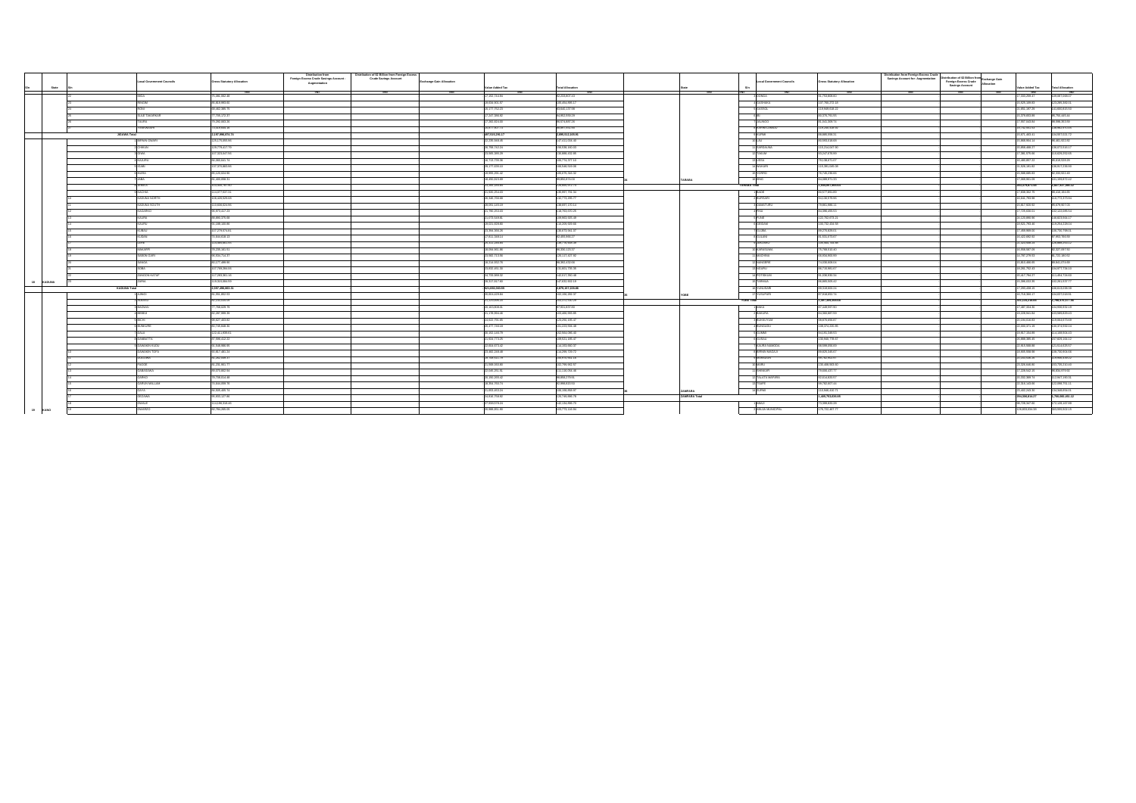|         |             |                     |                                  |                                   | <b>Clatribution from</b>              | <b>Xatribution of \$2 Billion from Foreign Excess</b> |                          |                |                  |               |                     |                          |                            | <b>Jistribution from Foreign Excess Crude</b> |                                                |               |                        |                  |
|---------|-------------|---------------------|----------------------------------|-----------------------------------|---------------------------------------|-------------------------------------------------------|--------------------------|----------------|------------------|---------------|---------------------|--------------------------|----------------------------|-----------------------------------------------|------------------------------------------------|---------------|------------------------|------------------|
|         |             |                     |                                  |                                   | Foreign Excess Crude Savings Account- | Crude Savings Account                                 |                          |                |                  |               |                     |                          |                            | Savings Account for-Augmentation              | atribution of \$2 Billion from                 | Exchange Gain |                        |                  |
|         |             |                     | <b>Local Government Councils</b> | <b>Jross Statutory Allocation</b> | Augmentation                          |                                                       | Eschange Gain Allocation |                |                  |               |                     | ocal Government Councils | Gross Statutory Allocation |                                               | Foreign Excess Crude<br><b>Savings Account</b> | Allowation.   |                        |                  |
|         | State       |                     |                                  |                                   |                                       |                                                       |                          | alus Added Tax | notas alla lato  |               | Sh.                 |                          |                            |                                               |                                                |               | <b>Falue Added Tax</b> | otal Allocation  |
|         |             |                     |                                  |                                   |                                       |                                                       |                          |                |                  | - 65          | $\sim$              |                          |                            |                                               | $-100$                                         |               | $   -$                 |                  |
|         |             |                     |                                  | 75,081,062.48                     |                                       |                                                       |                          | 52,744.94      | 13,807.4         |               |                     |                          | 53,808.60                  |                                               |                                                |               | 333,259.47             | 0,087,058.07     |
|         |             |                     | NGIM                             | 5,819,993.60                      |                                       |                                                       |                          | 534,901.57     | 5,454,895.17     |               |                     |                          | 760,272.18                 |                                               |                                                |               | 5,525,109.83           | 3,285,382.01     |
|         |             |                     |                                  | 68,462,385.75                     |                                       |                                                       |                          | 177,752.23     | 3,640,137.98     |               |                     |                          | 9,949,618.22               |                                               |                                                |               | 21,651,197.29          | 41,000,815.50    |
|         |             |                     | <b>GHE TAKADKAR</b>              | 77,705,172.37                     |                                       |                                                       |                          | 7,247,386.92   | 4.952.559.29     |               |                     |                          | 0.370.791.55               |                                               |                                                |               | 5.379.653.89           | 5.750.445.44     |
|         |             |                     | <b>FALIRA</b>                    | 79,292,063.26                     |                                       |                                                       |                          | 7,282,824.00   | 6,574,887.26     |               |                     | <b>JALING</b>            | 1,041,309.74               |                                               |                                                |               | 1,557,043.84           | 0,598,353.59     |
|         |             |                     | <b>ANKWASHI</b>                  | 3,019,644.16                      |                                       |                                                       |                          | 5,877,907.73   | 8,027,551.90     |               |                     | <b>CARIBAJ AMBI</b>      | 19,240,418.92              |                                               |                                                |               | 19,742,551.53          | 38,982,970.45    |
|         |             |                     |                                  |                                   |                                       |                                                       |                          |                |                  |               |                     |                          |                            |                                               |                                                |               |                        |                  |
|         |             | <b>JIGAWA Total</b> |                                  | 2,197,996,874.74                  |                                       |                                                       |                          | 497,515,291.17 | 2,695,512,165.91 |               |                     |                          | 12.053.558.31              |                                               |                                                |               | 5,671,463.41           | 104,557,021.72   |
|         |             |                     | PMN CWAR                         | 125,175,055.96                    |                                       |                                                       |                          | 2235.948.45    | 47,411,004.40    |               |                     |                          | 593,018.68                 |                                               |                                                |               | 5.008.904.14           | 36,461,922.82    |
|         |             |                     | <b>CHEKLIN</b>                   | 129,779,417.79                    |                                       |                                                       |                          | 6,758,742.24   | 16,538,160.03    |               |                     | ARDAUNA                  | 5,214,047.90               |                                               |                                                |               | 00,058,468.27          | 36,072,516.17    |
|         |             |                     | <b>AWE</b>                       | 107,323,047.56                    |                                       |                                                       |                          | 3,565,385.29   | 0,888,432.85     |               |                     | TAKUM                    | 3,247,676.99               |                                               |                                                |               | 7,381,575.66           | 10,629,252.65    |
|         |             |                     | KAJURU                           | 4.060.641.74                      |                                       |                                                       |                          | 1,713,735.36   | 0,774,377.10     |               |                     |                          | 9,138,671.07               |                                               |                                                |               | 6.480.857.22           | 5,619,528.29     |
|         |             |                     | ä                                | 137,370,883.96                    |                                       |                                                       |                          | 9,177,635.10   | 15,548,519.05    |               |                     | VUKAR                    | 5,391,045.08               |                                               |                                                |               | 1,526,191.82           | 36,917,236.90    |
|         |             |                     |                                  |                                   |                                       |                                                       |                          |                |                  |               |                     |                          |                            |                                               |                                                |               |                        |                  |
|         |             |                     | ARA.                             | 85,120,034.90                     |                                       |                                                       |                          | 9,955,291.42   | 6,075,316.32     |               |                     |                          | 5,745,236.66               |                                               |                                                |               | 5588.685.83            | 2.333.922.49     |
|         |             |                     |                                  | 1,400,058.31                      |                                       |                                                       |                          | 630,015.00     | 850,874.00       | TARABA        |                     |                          | 089,971.33                 |                                               |                                                |               | 003,901.09             | 1,159,872.42     |
|         |             |                     | <b>JEMA'A</b>                    | 103,400,787.90                    |                                       |                                                       |                          | 205,184.84     | 26,665,972.74    |               | <b>TARABA Total</b> |                          | 344,057,494.64             |                                               |                                                |               | 283,379,871.48         | 1,827,437,366.12 |
|         |             |                     |                                  | 14,077,537.31                     |                                       |                                                       |                          | 220,254.03     | 85,997,791.34    |               |                     |                          | 577,891.89                 |                                               |                                                |               | 7,838,302.75           | 8,416,194.05     |
|         |             |                     | DUNA NORTH                       | 06,426,529.08                     |                                       |                                                       |                          | 6,346,706.68   | 2,773,295.77     |               |                     |                          | 4,130,579.96               |                                               |                                                |               | 5,641,793.98           | 0,772,373.94     |
|         |             |                     | ADUNA SOUTH                      | 110,606,024.96                    |                                       |                                                       |                          | 28,091,145.19  | 38,697,170.14    |               |                     | <b>DAMATURU</b>          | 11.205.138.9               |                                               |                                                |               | 15,817,920.92          | 5,679,907.03     |
|         |             |                     | ARKO                             | 96,973,417.23                     |                                       |                                                       |                          | ,790,253.03    | 8,763,670.25     |               |                     |                          | 1,396,455.53               |                                               |                                                |               | 25,630.01              | 2,122,085.54     |
|         |             |                     |                                  |                                   |                                       |                                                       |                          |                |                  |               |                     |                          |                            |                                               |                                                |               |                        |                  |
|         |             |                     | <b>AURA</b>                      | 88,890,375.68                     |                                       |                                                       |                          | 1,073,549.81   | 0,063,925.49     |               |                     | FUNE                     | 22,702,673.21              |                                               |                                                |               | 24,120,890.96          | 146,823,554.17   |
|         |             |                     | AURU                             | 1,188,100.86                      |                                       |                                                       |                          | 9,021,828.80   | 0.209.929.66     |               |                     | <b>SEIDAN</b>            | 0,732,434.58               |                                               |                                                |               | 8.521.793.46           | 19,254,228.04    |
|         |             |                     | <b>UBAU</b>                      | 107,279,574.81                    |                                       |                                                       |                          | 3,394,366.26   | 30,673,941.07    |               |                     | <b>GULEA</b>             | 1,270,829.01               |                                               |                                                |               | 7.459.969.00           | 06,730,798.01    |
|         |             |                     | <b>IDAN</b>                      | 14,644,618.13                     |                                       |                                                       |                          | 7,011,348.14   | 1,455,966.27     |               |                     |                          | 531,073.67                 |                                               |                                                |               | 6,422,692.92           | 7,953,766.59     |
|         |             |                     |                                  | 114,465,661.55                    |                                       |                                                       |                          | 5,311,246.84   | 39,776,908.39    |               |                     | 9 JAKUSKO                | 35,564,744.88              |                                               |                                                |               | 21,323,508.24          | 26,888,253.12    |
|         |             |                     | <b>AKADTI</b>                    | 78,235,161.51                     |                                       |                                                       |                          | 38.136,961     | 1,330,123.37     |               |                     |                          | 5,768,510.40               |                                               |                                                |               | 6,558,587.09           | 2,327,097.50     |
|         |             |                     | ABON GARI                        | 6,534,714.37                      |                                       |                                                       |                          | 582,713.56     |                  |               |                     |                          | 02.000.000                 |                                               |                                                |               | 14,787,279.53          |                  |
|         |             |                     |                                  |                                   |                                       |                                                       |                          |                | 0,117,427.92     |               |                     |                          |                            |                                               |                                                |               |                        | ,722,180.52      |
|         |             |                     | ANGA -                           | 80,177,499.90                     |                                       |                                                       |                          | 18,214,932.76  | 8,392,432.66     |               |                     |                          | 030,008.04                 |                                               |                                                |               | 5,810,400.05           | 19,841,074.69    |
|         |             |                     | xиА                              | 107,769,284.06                    |                                       |                                                       |                          | 3,832,451.30   | 11,001,735.35    |               |                     | 1 NGURI                  | 715,981.67                 |                                               |                                                |               | 18,261,752.43          | 04,977,734.10    |
|         |             |                     | <b>NGON KATA</b>                 | 17,283,361.16                     |                                       |                                                       |                          | 1,733,989.32   | 2,017,350.48     |               |                     |                          | AC 003,300.14              |                                               |                                                |               | 0,417,794.27           | 1,454,724.60     |
| 18      | <b>ANUX</b> |                     |                                  | 19,315,084.59                     |                                       |                                                       |                          | 8,317,817.60   | 47,632,902.19    |               |                     |                          | 6,005,505.42               |                                               |                                                |               | 15,396,032.35          | 02,261,537.77    |
|         |             | <b>KADUNA Total</b> |                                  | 2,357,496,063.31                  |                                       |                                                       |                          | 121,000,363.55 | 2,879,157,226.86 |               |                     | YUNUSAI                  | 319,600.24                 |                                               |                                                |               | 7,293,438.15           | 06,613,038.39    |
|         |             |                     | uwa                              | 81,551,852.53                     |                                       |                                                       |                          | 0,004,429.84   | 02,156,282.37    |               |                     | 17 YUSUFARI              | 7,918,652.74               |                                               |                                                |               | 16,718,300.17          | 04,637,018.91    |
|         |             |                     |                                  | 2,143,034.09                      |                                       |                                                       |                          | 229,495.20     | 1,372,530.29     | YOBE          | <b>YOBE Total</b>   |                          | 1,497,359,358.68           |                                               |                                                |               | 001,116,218.00         | 1,798,475,577.56 |
|         |             |                     | LBASU                            |                                   |                                       |                                                       |                          |                |                  |               |                     |                          |                            |                                               |                                                |               |                        |                  |
|         |             |                     |                                  | 7,768,029.79                      |                                       |                                                       |                          | 10.808,631     | 7,931,837.80     |               |                     | 1 ANKA                   | 7,449,597.90               |                                               |                                                |               | 7,487,334.30           | 04,936,932.19    |
|         |             |                     | LOCUI                            | 82,287,999.39                     |                                       |                                                       |                          | 1,178,994.46   | 03,405,993.85    |               |                     | 2 BAKURA                 | 4,360,887.59               |                                               |                                                |               | 19,228,941.84          | 03,589,829.43    |
|         |             |                     | <b>SCORE</b>                     | 98,627,403.82                     |                                       |                                                       |                          | 4,622,791.65   | 3,250,195.47     |               |                     | BUKKUYUR                 | 6,870,656.87               |                                               |                                                |               | 0,194,016.83           | 9,064,673.69     |
|         |             |                     | <b>BUNKURE</b>                   | 80,745,848.30                     |                                       |                                                       |                          | 20,477,746.18  | 01,223,594.48    |               |                     | <b>BUNGUOU</b>           | 08,374,220.85              |                                               |                                                |               | 22.000.371.19          | 30,374,592.04    |
|         |             |                     |                                  | 22,411,939.61                     |                                       |                                                       |                          | 152,146.79     | 2,554,085.40     |               |                     |                          | (191,342.53)               |                                               |                                                |               | 19,917,154.89          | 14,108,504.43    |
|         |             |                     | <b>MMMATTA</b>                   | 17,596,412.22                     |                                       |                                                       |                          | 1,924,773.25   | 0,521,185.47     |               |                     |                          | 10.940,778.67              |                                               |                                                |               | 26,008,305.45          | 57,829,164.12    |
|         |             |                     |                                  |                                   |                                       |                                                       |                          |                |                  |               |                     |                          |                            |                                               |                                                |               |                        |                  |
|         |             |                     | DIGIUNI VIOLANI                  | 1,548,986.95                      |                                       |                                                       |                          | 004,673.42     | 4,153,660.37     |               |                     | AURA NAMODI              | 500,056.00                 |                                               |                                                |               | 22,915,568.88          | 21,514,625.57    |
|         |             |                     | <b>WAXN TOFA</b>                 | 90,817,481.24                     |                                       |                                                       |                          | 3,482,248.48   | 14,299,729.72    |               |                     | ININ MAGAJI              | 1,825,345.67               |                                               |                                                |               | 18,905,558.98          | 33.002,004       |
|         |             |                     | <b>COWA</b>                      | 1,262,049.37                      |                                       |                                                       |                          | ,708,511.79    | 0,970,561.16     |               |                     | 40 I.N                   | 782,902.97                 |                                               |                                                |               | 0,163,536.26           | 9,946,439.22     |
|         |             |                     | <b>LGGE</b>                      | 11,231,901.77                     |                                       |                                                       |                          | 568,000.80     | 2,799,962.57     |               |                     |                          | 03/03/2030                 |                                               |                                                |               | 1326,646.80            | 3,735,210.40     |
|         |             |                     |                                  | 89,070,802.94                     |                                       |                                                       |                          | 045,251.51     | 39.320,311,1     |               |                     |                          | 1,006,437.77               |                                               |                                                |               | 7,228,542.15           | 5,834,979.92     |
|         |             |                     | <b>URKO</b>                      | 78,708,014.48                     |                                       |                                                       |                          | 150,265.42     | 1,858,279.91     |               |                     | TALATA MAFARA            | 2,614,820.57               |                                               |                                                |               | 0,332,369.74           | 12,947,190.31    |
|         |             |                     |                                  | 74,644,059.76                     |                                       |                                                       |                          | 8,354,760.74   |                  |               |                     |                          | 0,782,607.44               |                                               |                                                |               |                        |                  |
|         |             |                     | GARUN MALLAM                     |                                   |                                       |                                                       |                          |                | 2,998,820.50     |               |                     | <b>TSAFE</b>             |                            |                                               |                                                |               | 2,316,143.56           | 22,098,751.11    |
|         |             |                     | KYA.                             | 84,505,405.74                     |                                       |                                                       |                          | 653,453.24     | 16,158,858.97    | ZAMFARA       | 14 ZURM             |                          | 0.946.410.71               |                                               |                                                |               | 1-0224130              | 4.348.654.01     |
|         |             |                     | <b>TAME</b>                      | 15,933,127.86                     |                                       |                                                       |                          | 4,816,758.92   | 0,749,886.78     | ZAMFARA Total |                     |                          | 405,753,636.85             |                                               |                                                |               | 294,306,814.27         | 1,700,060,451.12 |
|         |             |                     | <b>WALE</b>                      | 114,196,318.46                    |                                       |                                                       |                          | 27,938,578.24  | 12,134,896.70    |               |                     | 1 ABAJI                  | 3,399,820.28               |                                               |                                                |               | 38,728,347.60          | 72,128,167.89    |
| 19 KAND |             |                     |                                  | 2,784,265.05                      |                                       |                                                       |                          | 02.125.000     | 1,773,116.94     |               |                     | ABUJA MUNICIPAL          | 6,722,467.77               |                                               |                                                |               | 026,033,034.38         | 0,555,502.15     |
|         |             |                     |                                  |                                   |                                       |                                                       |                          |                |                  |               |                     |                          |                            |                                               |                                                |               |                        |                  |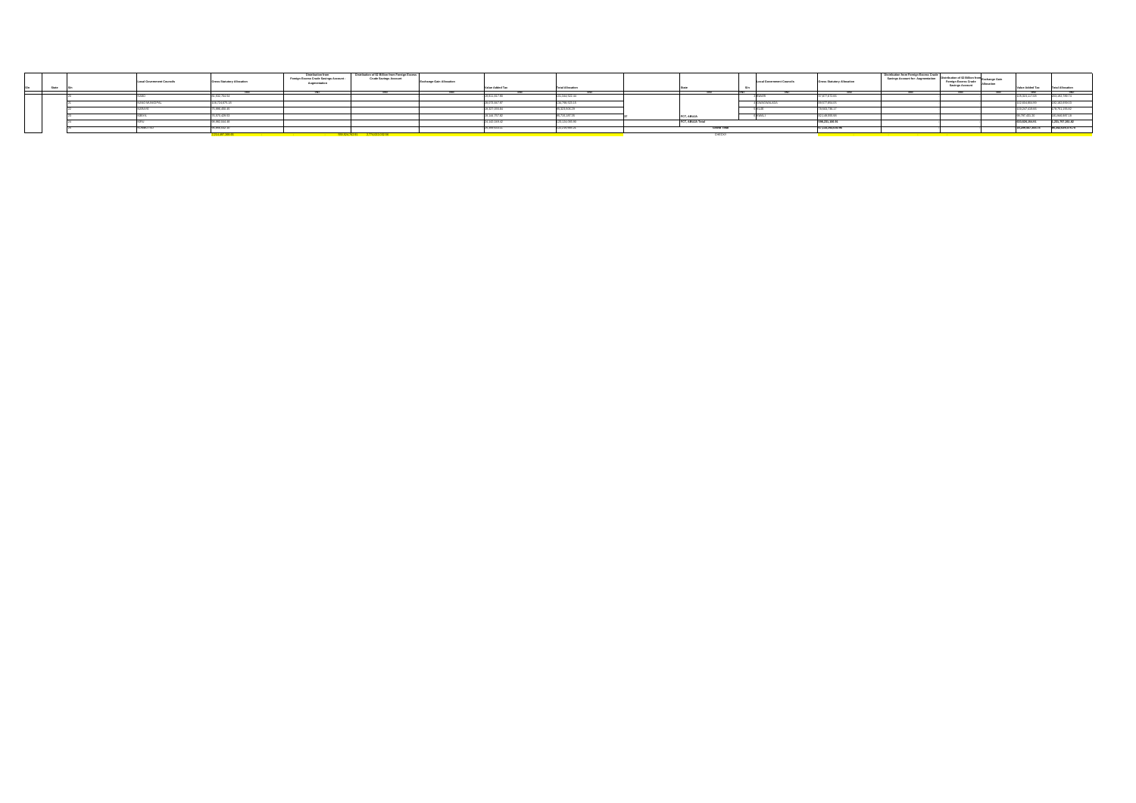| State | <b>Local Government Councils</b> | <b>Gross Statutory Allocation</b> | Distribution from<br>Foreign Excess Crude Savings Account -<br>Augmentation | Distribution of \$2 Billion from Foreign Excess<br>Crude Savings Account | Eschange Gain Allocation | Value Added Tax | <b>Total Allocation</b> |                   |               | <b>Local Government Councils</b> | Gross Statutory Allocation | Distribution from Foreign Excess Crude<br>Savings Account for-Augmentation | Distribution of \$2 Billion from<br>Foreign Excess Crude<br>Savings Account | ocation | Value Added Tax      | <b>Total Allocation</b> |
|-------|----------------------------------|-----------------------------------|-----------------------------------------------------------------------------|--------------------------------------------------------------------------|--------------------------|-----------------|-------------------------|-------------------|---------------|----------------------------------|----------------------------|----------------------------------------------------------------------------|-----------------------------------------------------------------------------|---------|----------------------|-------------------------|
|       |                                  |                                   |                                                                             |                                                                          |                          |                 |                         |                   | <b>MALLEY</b> |                                  |                            |                                                                            |                                                                             |         |                      |                         |
|       |                                  | 81.532.704.54                     |                                                                             |                                                                          |                          | 10 811 817      | 1011 344 577 44         |                   |               |                                  |                            |                                                                            |                                                                             |         | 105,315,117.0b       | 203 592 780             |
|       | KAND MUNICIPAL                   | 1005224 625.51                    |                                                                             |                                                                          |                          | 38.073.847      | 134.798.523.15          |                   |               | 4 CINACINAL ADA                  | 89 577 854 0               |                                                                            |                                                                             |         | 02,004,004.99        | 192.182.059.0           |
|       |                                  | 75.006.450.45                     |                                                                             |                                                                          |                          | 10 127 055 B    | 05.323.505.26           |                   |               |                                  | <b>78 503 735 1</b>        |                                                                            |                                                                             |         | 100.247.419.66       | 178,751,155.8           |
|       |                                  |                                   |                                                                             |                                                                          |                          |                 |                         | <b>PCT, ABUJA</b> |               |                                  | 82.140.55                  |                                                                            |                                                                             |         | 9.797.431.20         | 101.946.907             |
|       |                                  | 26.952.044.45                     |                                                                             |                                                                          |                          | 24.142.042.4    | 123 134 003 00          | FCT. ABUJA Total  |               |                                  | 598.231.106.91             |                                                                            |                                                                             |         | 633.526.154.91       | <b>11.231.757.261.8</b> |
|       |                                  | <b>GEO 355 350</b>                |                                                                             |                                                                          |                          |                 |                         | <b>Grand Tota</b> |               |                                  | 67.133.192.030.96          |                                                                            |                                                                             |         | $-18,202,447,344,74$ | 85.342.639.375.70       |
|       |                                  | 14 807 000 PA                     |                                                                             |                                                                          |                          |                 |                         |                   |               |                                  |                            |                                                                            |                                                                             |         |                      |                         |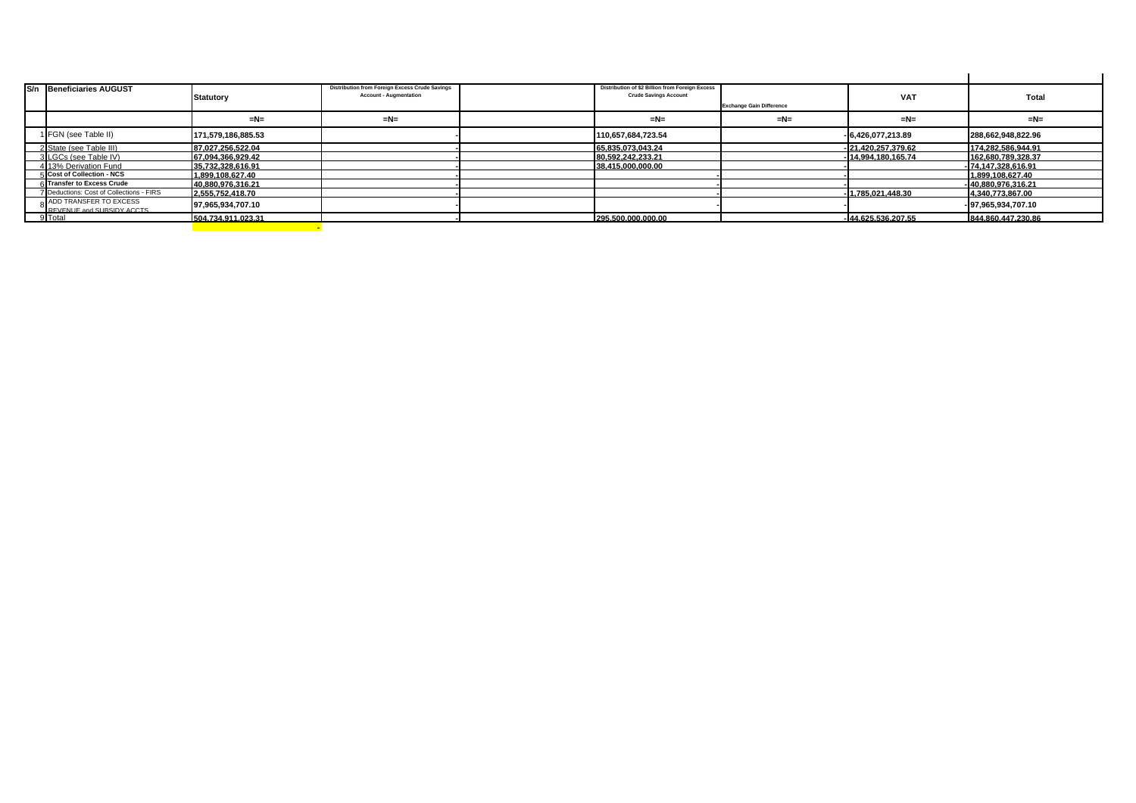| S/n Beneficiaries AUGUST                              | <b>Statutory</b>   | Distribution from Foreign Excess Crude Savings<br><b>Account - Augmentation</b> | Distribution of \$2 Billion from Foreign Excess<br><b>Crude Savings Account</b> | <b>Exchange Gain Difference</b> | <b>VAT</b>           | <b>Total</b>         |
|-------------------------------------------------------|--------------------|---------------------------------------------------------------------------------|---------------------------------------------------------------------------------|---------------------------------|----------------------|----------------------|
|                                                       | $=N=$              | $=N=$                                                                           | $=N=$                                                                           | $=N=$                           | $=N=$                | $=N=$                |
| 1 FGN (see Table II)                                  | 171.579.186.885.53 |                                                                                 | 110.657.684.723.54                                                              |                                 | -16.426.077.213.89   | 288,662,948,822.96   |
| 2 State (see Table III)                               | 87.027.256.522.04  |                                                                                 | 65.835.073.043.24                                                               |                                 | $-21.420.257.379.62$ | 174.282.586.944.91   |
| 3 LGCs (see Table IV)                                 | 67.094.366.929.42  |                                                                                 | 80.592.242.233.21                                                               |                                 | -14.994.180.165.74   | 162.680.789.328.37   |
| 4 13% Derivation Fund                                 | 35.732.328.616.91  |                                                                                 | 38.415.000.000.00                                                               |                                 |                      | -174.147.328.616.91  |
| 5 Cost of Collection - NCS                            | 1.899.108.627.40   |                                                                                 |                                                                                 |                                 |                      | 1.899.108.627.40     |
| 6 Transfer to Excess Crude                            | 40.880.976.316.21  |                                                                                 |                                                                                 |                                 |                      | - 40.880.976.316.21  |
| 7 Deductions: Cost of Collections - FIRS              | 2.555.752.418.70   |                                                                                 |                                                                                 |                                 | $-1.785.021.448.30$  | 4.340.773.867.00     |
| o ADD TRANSFER TO EXCESS<br>REVENUE and SUBSIDY ACCTS | 97,965,934,707.10  |                                                                                 |                                                                                 |                                 |                      | $-97,965,934,707.10$ |
| 9 Total                                               | 504.734.911.023.31 |                                                                                 | 295.500.000.000.00                                                              |                                 | $-44.625.536.207.55$ | 844,860,447,230.86   |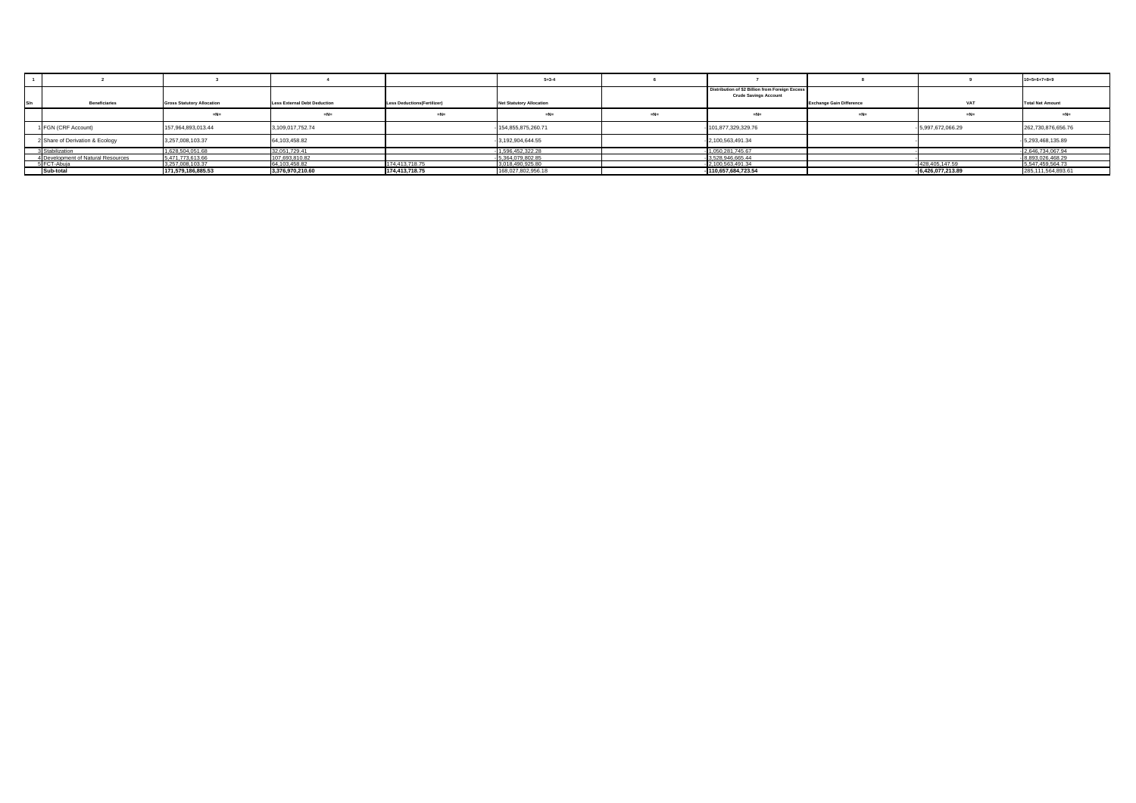|     |                                    |                                   |                                     |                                    | $5 = 3 - 4$                     |           |                                                                                 |                                 |                     | $10=5+6+7+8+9$          |
|-----|------------------------------------|-----------------------------------|-------------------------------------|------------------------------------|---------------------------------|-----------|---------------------------------------------------------------------------------|---------------------------------|---------------------|-------------------------|
|     |                                    |                                   |                                     |                                    |                                 |           | Distribution of \$2 Billion from Foreign Excess<br><b>Crude Savings Account</b> |                                 |                     |                         |
| S/n | <b>Beneficiaries</b>               | <b>Gross Statutory Allocation</b> | <b>Less External Debt Deduction</b> | <b>Less Deductions(Fertilizer)</b> | <b>Net Statutory Allocation</b> |           |                                                                                 | <b>Exchange Gain Difference</b> | VAT                 | <b>Total Net Amount</b> |
|     |                                    | $=$ N $=$                         | $=N=$                               | $=N=$                              | $=$ N=                          | $=$ N $=$ | $=N=$                                                                           | $=$ N $=$                       | =N=                 | $-M$                    |
|     | 1 FGN (CRF Account)                | 157,964,893,013.44                | 3,109,017,752.74                    |                                    | 154,855,875,260.71              |           | - 101,877,329,329.76                                                            |                                 | $-5,997,672,066.29$ | 262,730,876,656.76      |
|     | 2 Share of Derivation & Ecology    | 3,257,008,103.37                  | 64,103,458.82                       |                                    | 3,192,904,644.55                |           | $-2,100,563,491.34$                                                             |                                 |                     | $-5,293,468,135.89$     |
|     | 3 Stabilization                    | 1.628.504.051.68                  | 32.051.729.41                       |                                    | 1,596,452,322.28                |           | $-1.050.281.745.67$                                                             |                                 |                     | $-2,646,734,067.94$     |
|     | 4 Development of Natural Resources | 5.471.773.613.66                  | 107.693.810.82                      |                                    | - 5.364.079.802.85              |           | $-3.528.946.665.44$                                                             |                                 |                     | $-8.893.026.468.29$     |
|     | 5 FCT-Abuia                        | 3.257.008.103.37                  | 64.103.458.82                       | 174.413.718.75                     | 3.018.490.925.80                |           | $-2.100.563.491.34$                                                             |                                 | $-428.405.147.59$   | 5.547.459.564.73        |
|     | Sub-total                          | 171,579,186,885.53                | 3,376,970,210.60                    | 174,413,718.75                     | 168,027,802,956.18              |           | -110,657,684,723.54                                                             |                                 | $-6,426,077,213.89$ | 285,111,564,893.61      |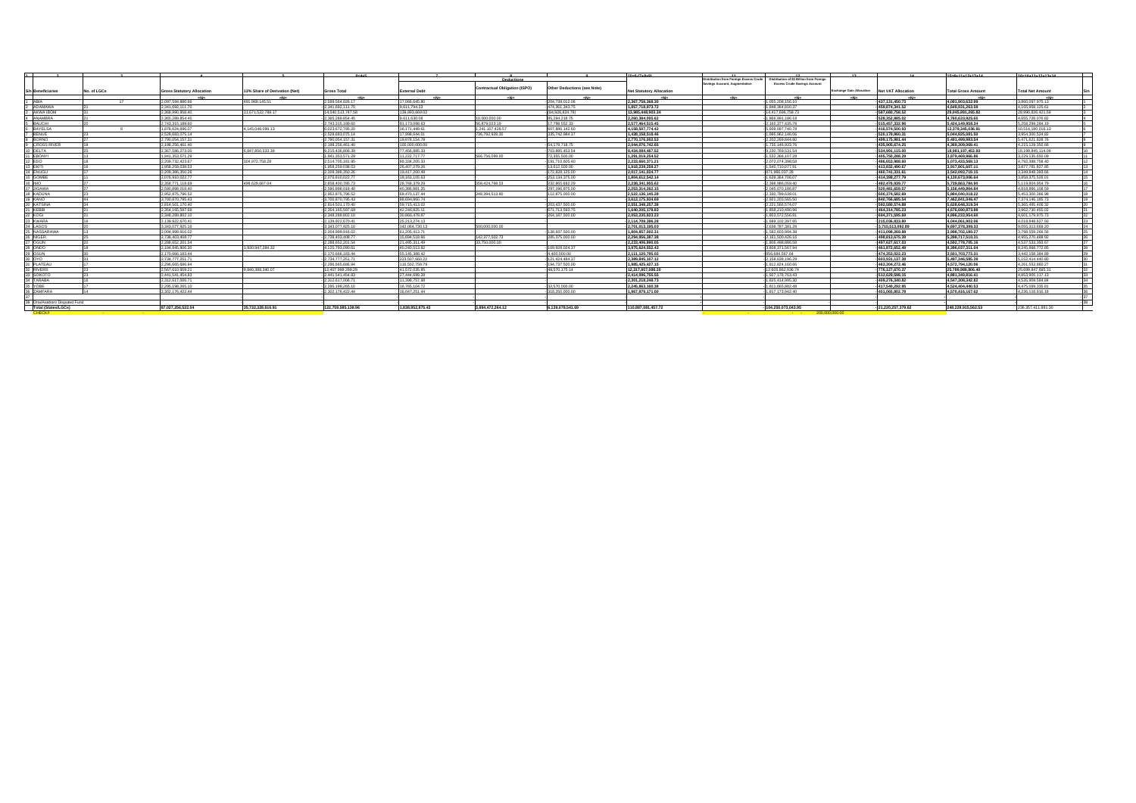|                              |             |                                   |                               | $6 - 4 - 5$           |                      |                                      |                                    | $10 - 6 - (7 + 8 + 9)$          |                                      |                                          | $\overline{11}$                 | $\overline{14}$           | 15-6+11+12+13+14          | 16=10+11+12+13+14<br>j               |
|------------------------------|-------------|-----------------------------------|-------------------------------|-----------------------|----------------------|--------------------------------------|------------------------------------|---------------------------------|--------------------------------------|------------------------------------------|---------------------------------|---------------------------|---------------------------|--------------------------------------|
|                              |             |                                   |                               |                       |                      |                                      |                                    |                                 | stribution from Foreign Excess Crude | Distribution of \$2 Billion from Foreign |                                 |                           |                           |                                      |
|                              |             |                                   |                               |                       |                      |                                      |                                    |                                 | vings Account, Augmentation          | Excess Crude Savings Account             |                                 |                           |                           |                                      |
| In Beneficiaries             | No. of LGCs | <b>Gross Statutory Allocation</b> | 13% Share of Derivation (Net) | <b>Gross Total</b>    | <b>External Debt</b> | <b>Contractual Obligation (ISPO)</b> | <b>Other Deductions (see Note)</b> | <b>Net Statutory Allocation</b> |                                      |                                          | <b>Exchange Gain Allocation</b> | <b>Net VAT Allocation</b> | <b>Total Gross Amount</b> | <b>Total Net Amount</b>              |
|                              |             |                                   |                               |                       |                      |                                      |                                    |                                 |                                      |                                          |                                 |                           |                           |                                      |
| ARIA                         |             | 097 594 880 66                    | 191 989 145 51                | <b>589 584 026 17</b> | 17 066 645 80        |                                      | 204 739 012 06                     | 2.367.758.368.30                |                                      | 055 208 156 10                           |                                 | 437.131.450.73            | 4 081 903 632 99          | 3 880 097 975 13                     |
| <b>ADAMAWA</b>               |             | 341 892 111 70                    |                               | 341 692 111 70        | 981179423            |                                      | 474 361 343 75                     | 1.857.718.973.72                |                                      | A48 384 810 37                           |                                 | 459 874 341 52            | 4 649 931 263 59          | 165 958 125 61                       |
| <b>AKWA IBOM</b>             |             | 388 990 958 40                    | 1671 622 789 17               | 4 040 513 747 58      | 139 993 669 02       |                                      | (R4 928 824 79)                    | 13 985 448 903 34               |                                      | 14.417.696.759.73                        |                                 | 587.680.758.52            | 29.045.891.265.82         | 28 990 826 421 58                    |
| <b>ANAMRRA</b>               |             | 385 289 854 45                    |                               | 365 289 854 45        | 9 611 630 08         | 0.000.000.00                         | 85.294.218.75                      | 2.260.384.005.62                |                                      | AR 2011 186 18                           |                                 | 528 352 885 02            | 4 760 633 925 65          | 4 655 728 076 82                     |
| <b>BAUCHI</b>                |             | 2743 315 189 80                   |                               | 743 315 189 80        | 91 173 098 63        | A 879 023 19                         | 17 798 552 33                      | 2.577.464.515.45                |                                      | 165 377 435 78                           |                                 | 515 457 332 96            | 5 424 149 958 34          | 5 258 299 284 19                     |
| <b>RAYELSA</b>               |             | 878 624 696 07                    | 145 048 099 13                | 023 672 795 20        | 16 171 449 61        | 241 107 428 57                       | 607 886 142 60                     | 4 158 507 774 42                |                                      | 939 097 740 78                           |                                 | 416.574.500.93            | 12.379.345.036.91         | 10 514 180 016 13                    |
| <b>BENUE</b>                 |             | F28 683 075 14                    |                               | 528 683 075 14        | 17 998 644 01        | 26 782 928 30                        | 335.742.984.37                     | 1.438.158.518.46                |                                      | 1995 982 146 06                          |                                 | 520.179.860.31            | 5.044.825.081.50          | 3 954 300 524 82                     |
| RORNO                        |             | 790.054.157.31                    |                               | 790.054.157.31        | 19 878 154 78        |                                      |                                    | 2.770.176.002.53                |                                      | 2002269 844 80                           |                                 | 499.175.981.44            | 5 491 499 983 54          | 5 471 621 828 76                     |
| <b>CROSS RIVER</b>           |             | 198 256 461 40                    |                               | 198 256 461 40        | 100,000,000.00       |                                      | 54.179.718.75                      | 2.044.076.742.65                |                                      | 1.735.146.933.76                         |                                 | 435.905.674.25            | 4.369.309.069.41          | 4.215.129.350.66                     |
| 10 DELTA                     |             | 2.367.586.273.00                  | 3847 850 533 39               | 9 215 436 806 39      | <b>77 456 885 33</b> |                                      | 703.895.453.54                     | 8.434.084.467.52                |                                      | 9.230.769.531.54                         |                                 | 534.991.115.00            | 18.981.197.452.93         | 18.199.845.114.06                    |
| 11 EBONYI                    |             | 1.941.353.571.29                  |                               | 1.941.353.571.29      | 11,222,717.77        | 566 756 099 00                       | 72.355.500.00                      | 1.291.019.254.52                |                                      | 1.532.366.107.28                         |                                 | 405.750.288.29            | 3,879,469,966,86          | 3 229 135 650 09<br>i                |
| 12 EDO                       |             | 2.209.732.423.67                  | 304.972.758.28                | 2.514.705.181.95      | 89.334.205.33        |                                      | 191.710.605.40                     | 2.233.660.371.21                |                                      | 2.072.074.398.58                         |                                 | 486.653.988.60            | 5.073.433.569.13          | 4.792.388.758.40                     |
| 13 EKITI                     |             | 1.958.259.038.53                  |                               | 958 259 038 53        | 26.407.279.26        |                                      | 13.612.500.00                      | 1.918.239.259.27                |                                      | 1.545.710.077.91                         |                                 | 413.832.490.67            | 3.917.801.607.11          | 3.877.781.827.85<br>13 <sub>1</sub>  |
| 14 ENUGU                     |             | 220928825026                      |                               | 220938635026          | 19.417.200.49        |                                      | 172 828 125 00                     | 2.017.141.024.77                |                                      | 871 966 037 28                           |                                 | 460.741.331.61            | 3.542.093.719.15          | 3.349.848.393.66<br>114              |
| 5 GOMBE                      |             | 076.910.022.77                    |                               | 076.910.022.77        | 19.163.105.63        |                                      | 253.134.375.00                     | 1.804.612.542.14                |                                      | 1.639.364.706.07                         |                                 | 414.398.277.79            | 4.130.673.006.64          | 3.858.375.526.01                     |
| 16 IMO                       |             | 2.358.771.118.69                  | 499.629.667.04                | 2.858.400.785.73      | 28,768,379.29        | 58.424.768.53                        | 232.865.682.29                     | 2.238.341.955.62                |                                      | 2.398.986.059.40                         |                                 | 482.476.939.77            | 5.739.863.784.90          | 5.119.804.954.79<br>16               |
| 17 JIGAWA                    |             | 590 898 018 40                    |                               | 690 898 018 40        | 40 386 881 25        |                                      | 297 196 875 00                     | 2.253.314.262.15                |                                      | 0.045.070.186.87                         |                                 | 520 481 659 57            | 5 156 449 864 84          | 17<br>4 818 866 108 59               |
| 18 KADI INA                  |             | 952 875 798 52                    |                               | 952 875 796 52        | R9 470 137 44        | 48.394.513.80                        | 112 875 000 00                     | 2.522.136.145.28                |                                      | 2330 789 639 01                          |                                 | 600 374 582 69            | 5884 040 018 22           | 18<br>5 453 300 366 98               |
| 19 KANO                      |             | 3700 870 795 43                   |                               | 700 870 795 43        | 88 694 860 74        |                                      |                                    | $-3.612.175.934.69$             |                                      | 2 921 203 565 50                         |                                 | 840.766.685.54            | 7.462.841.046.47          | 10<br>7 374 146 185 73               |
| 20 KATSINA                   |             | 814 501 170 40                    |                               | 2814 501 170 40       | 59 715 413 02        |                                      | 203 437 500 00                     | 2.551.348.257.38                |                                      | 2 221 566 574 07                         |                                 | 592 580 574 88            | 562864831934              | 5.385.495.408.32<br>$20 -$           |
| 21 KEBBI                     |             | 354 165 597 69                    |                               | 354 165 597 69        | 42 246 825 11        |                                      | 871 713 693 76                     | 1.640.205.178.83                |                                      | 858 210 490 96                           |                                 | 464 314 785 23            | 4 676 690 873 88          | 3 982 730 455 02                     |
| 22 KOGI                      |             | 2.348.289.802.10                  |                               | 348 289 802.10        | 30 866 478 87        |                                      | 264 187 500 00                     | 2.053.235.823.23                |                                      | 1.853.572.556.81                         |                                 | 694.371.595.69            | 4.896.233.954.60          | 4.601.179.975.73                     |
| 23 KWARA                     |             | 139 922 670 41                    |                               | 139 922 670 41        | 25 213 274 13        |                                      |                                    | 2.114.709.396.28                |                                      | 1.689.102.397.85                         |                                 | 215,036,833,80            | 80.509.180.840.84         | 4018 848 627 93                      |
| 24 LAGOS                     |             | 343 077 925 16                    |                               | 343.077.925.16        | 142 064 730 13       | 200.000.000                          |                                    | 2.701.013.195.03                |                                      | A38 787 381 28                           |                                 | 3 715 513 092 89          | 9.697.378.399.33          | 9 055 313 669 20                     |
| 25 NASSARAWA                 |             | 004 999 916 02                    |                               | 00 818 999 900 1      | R1 205 413 71        |                                      | 138 937 500 00                     | 180485700231                    |                                      | 1 582 603 994 38                         |                                 | 411.098.269.88            | 3.998.702.180.27          | 3 798 559 266 56<br>25               |
| 26 NIGER                     |             | 738 403 408 77                    |                               | 738 403 408 77        | 15 694 518 66        | 42 377 502 73                        | 285.375.000.00                     | 2.294.956.387.38                |                                      | 161 800 426 16                           |                                 | 498.813.675.39            | 5.398.717.510.31          | 4 955 270 488 92                     |
| 27 OGUN                      |             | 288 652 201 54                    |                               | 288 652 201 54        | 21 495 311 49        | R3 750.000.00                        |                                    | 2.233.406.890.05                |                                      | <b>1 806 498 886 58</b>                  |                                 | 497.627.617.03            | 4.592.778.705.16          | 4 537 533 393 67                     |
| 28 ONDO                      |             | 194.845.806.30                    | 930.947.284.32                | 1.125.793.090.61      | 40.240.513.82        |                                      | 109.928.024.37                     | 3.975.624.552.43                |                                      | 3.808.371.567.94                         |                                 | 461.872.652.49            | 8.396.037.311.04          | 8.245.868.772.85                     |
| 29 IOSUN                     |             | 2 170 RRR 183 44                  |                               | 2170 666 183 44       | 55 145 388 42        |                                      | 4 400 000 00                       | 2.111.120.795.02                |                                      | RRR RRA RR7 RA                           |                                 | 474.353.022.23            | 3.501.703.773.31          | 3 442 158 384 89                     |
| 30 OYO                       |             | 2.734.777.251.71                  |                               | 1734.777.251.71       | 223.507.660.22       |                                      | 121.424.484.37                     | 2.389.845.107.12                |                                      | 2.158.638.196.29                         |                                 | 603.931.137.38            | 5,497,346,585,39          | 5.152.414.440.80                     |
| 31 PLATEAU                   |             | 2.296.665.686.94                  |                               | 2.296.665.686.94      | 116.502.759.79       |                                      | 194.737.500.00                     | 1.985.425.427.15                |                                      | 1.812.824.160.66                         |                                 | 463.304.272.46            | 4,572,794,120.06          | 4.261.553.860.27                     |
| 32 RIVERS                    |             | 567 610 959 21                    | 3 840 388 340 07              | 12 407 999 299 29     | 41.572.035.95        |                                      | 48.570.175.14                      | 12.317.857.088.20               |                                      | 12.605.862.936.74                        |                                 | 776.127.670.37            | 25.789.989.906.40         | 25 899 847 895 31<br>32 <sup>7</sup> |
| 33 SOKOTO                    |             | 441 541 454 83                    |                               | 2 441 541 454 83      | 27 444 699 28        |                                      |                                    | 2.414.096.755.55                |                                      | 1.927.178.763.43                         |                                 | 512.629.598.15            | 4.881.349.816.41          | 4 853 905 117 13<br>22               |
| 34 TARABA                    |             | 312.617.006.71                    |                               | 2.312.617.006.71      | 11.398.757.98        |                                      |                                    | 2.301.218.248.73                |                                      | 1.825.414.995.30                         |                                 | 409.276.340.82            | 4.547.308.342.82          | 34<br>4 535 909 584 84               |
| 35 YOBE                      |             | 2295 198 265 10                   |                               | 229519826510          | 16.765.104.72        |                                      | 32.570.000.00                      | 2.245.863.160.38                |                                      | 1 811 665 882 48                         |                                 | 417.540.292.95            | 4.524.404.440.53          | 4 475 069 335 81<br>$35 -$           |
| 36 ZAMEARA                   |             | 302.176.422.44                    |                               | 1302.176.422.44       | 16.047.251.44        |                                      | 318.250.000.00                     | 1.967.879.171.00                |                                      | 1.817.173.942.40                         |                                 | 451.065.802.71            | 4.570.416.167.62          | 28<br>4 236 118 916 18               |
|                              |             |                                   |                               |                       |                      |                                      |                                    |                                 |                                      |                                          |                                 |                           |                           | $-37$                                |
| 38 Ona/Asaboro Disputed Fund |             |                                   |                               |                       |                      |                                      |                                    |                                 |                                      |                                          |                                 |                           |                           | $-38$                                |
| <b>Total (States/LGCs)</b>   |             | 7.027.256.522.04                  | 35 732 328 616 91             | 122 759 585 138 96    | 183895287543         | 1.894.472.264.12                     | 6.139.078.541.69                   | 110 887 081 457 72              |                                      | 104 250 073 043 95                       |                                 | 21.220.257.379.62         | 248 229 915 562 53        | 236 357 411 881 30                   |
|                              |             |                                   |                               |                       |                      |                                      |                                    |                                 |                                      |                                          |                                 |                           |                           |                                      |

 $-200,000,000,00$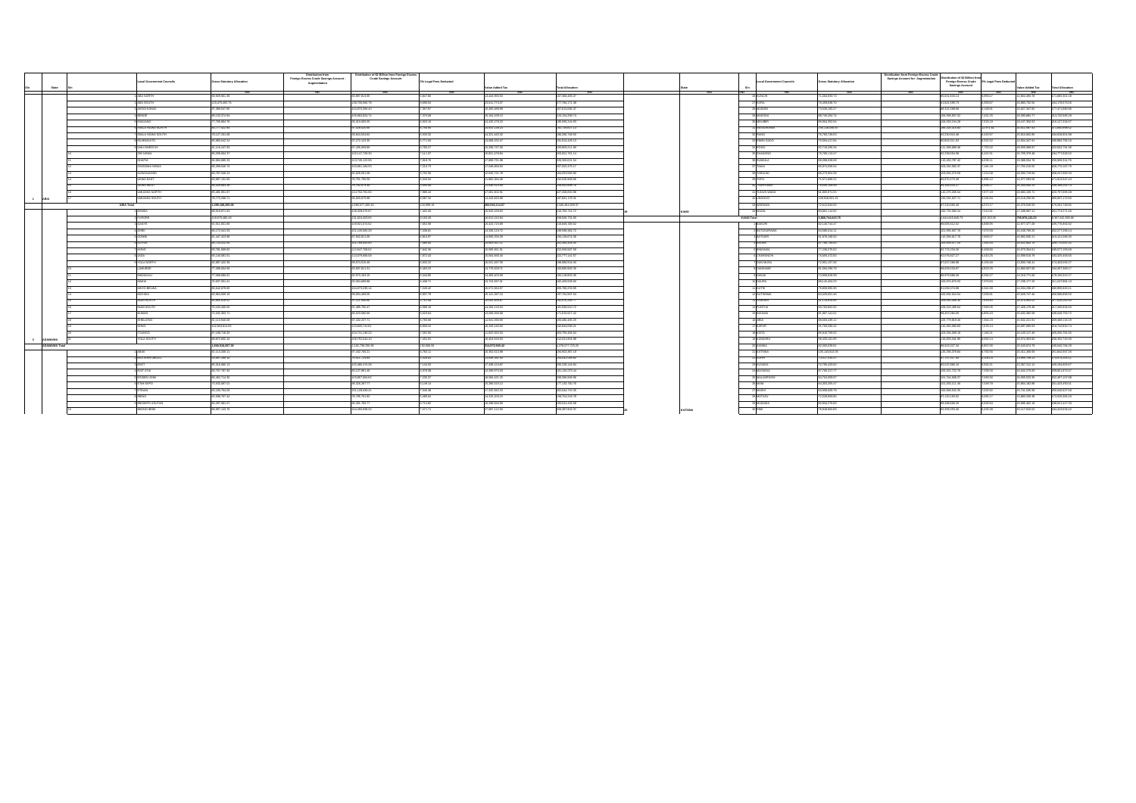|       |                    |                                  |                           | Distribution from                                      | stribution of \$2 Billion from Foreign Exces |                              |                |                 |         |            |                                  |                                   | listribution from Foreign Excess Crude | stribution of \$2 Billion from            |            |                 |                         |
|-------|--------------------|----------------------------------|---------------------------|--------------------------------------------------------|----------------------------------------------|------------------------------|----------------|-----------------|---------|------------|----------------------------------|-----------------------------------|----------------------------------------|-------------------------------------------|------------|-----------------|-------------------------|
|       |                    | <b>Local Government Councils</b> | ross Statutory Allocation | Foreign Excess Crude Savings Account -<br>Augmentation | Crude Savings Account                        | <b>K Legal Fees Deducted</b> |                |                 |         |            | <b>Local Government Councils</b> | <b>Gross Statutory Allocation</b> | Savings Account for-Augmentation       | Foreign Excess Crude 3% Legal Fees Deduct |            |                 |                         |
|       |                    |                                  |                           |                                                        |                                              |                              | also Added Tax | otal Allocation |         |            |                                  |                                   |                                        | <b>Savings Account</b>                    |            | Value Added Tax | <b>Total Allocation</b> |
|       |                    |                                  |                           |                                                        |                                              |                              |                |                 | - 1991  | --         |                                  |                                   |                                        |                                           |            |                 | $-100$                  |
|       |                    | <b>BANORTH</b>                   | 09,929,561.39             |                                                        | 13,997,813.95                                | 5,547.00                     | 1,444,955.53   | 67.355.483.0    |         |            |                                  | 264,933.73                        |                                        | (601,833.13)                              |            | 14,004,493.78   | 1,005,301.18            |
|       |                    | <b>BA SOUTH</b>                  | 15,475,492.76             |                                                        | 38,706,560.78                                | 555.54                       | 3,611,774.37   | 7,784,171.38    |         |            |                                  | 459,638.70                        |                                        | 1,841,595.73                              |            | 15,883,732.50   | 84,178,573.05           |
|       |                    | <b><i>UROCHLIKINU</i></b>        | 87,389,547.85             |                                                        | 04.970,355.40                                | 7,307.87                     | 15,400,489.99  | 207,813,086.37  |         |            |                                  | 1,529,183.27                      |                                        | 88,321,558.68                             | 0,148.81   | 15,627,347.82   | 77,471,980.95           |
|       |                    | ENDE                             | 88.133.374.94             |                                                        | 105.863.824.74                               | 7,370.08                     | 6,164,432.13   | 10,154,268.74   |         |            |                                  | 174528474                         |                                        | 06,598,837.02                             | 7.421.25   | 18.383.884.77   | 213,720,585.28          |
|       |                    |                                  | 77,765,864.76             |                                                        | 93,410,605.05                                |                              | 14,425,278.22  | 85,595,244.93   |         |            |                                  | 0.054,352.94                      |                                        | 03.053.154.28                             |            |                 | 216,127,334.57          |
|       |                    |                                  |                           |                                                        |                                              | 6,503.10                     |                |                 |         |            |                                  |                                   |                                        |                                           | 523.19     | 18,107,350.53   |                         |
|       |                    | SALA NGWA NORTH                  | 0,777,422.94              |                                                        | 7,028,020.90                                 | 1754.94                      | 14,931,138.23  | 92,729,827.13   |         |            |                                  | 5,118,056.87                      |                                        | 06,324,315.83                             | 12.971.61  | 30,411,527.43   | 371,840,998.52          |
|       |                    | SIALA NGWA SOUTH                 | 78,127,201.68             |                                                        | 23,844,634.82                                | 6,533.32                     | 14,321,445.32  | 186,286,748.50  |         |            |                                  | 6,783,749.63                      |                                        | 2220,910.48                               | 6.420.97   | 15,910,662.85   | 184,918,901.98          |
|       |                    | OTAUNIVIL                        | 0,980,642.24              |                                                        | 27,272,123.35                                | 1,771.93                     | 3,668,432.47   | 91,914,426.13   |         |            | <b>IN GADO</b>                   | 594.417.84                        |                                        | 0,802,311.92                              | 6,321.52   | 14.604.347.91   | 180,994,756.16          |
|       |                    | <b>MU-NNEOCHE</b>                | 11,116,247.93             |                                                        | 97.435.009.85                                | 6,783.27                     | 15,258,737.30  | 93,803,211.80   |         |            |                                  | 2,716,265.34                      |                                        | 1,368,689.46                              | 753.32     | 18.555.589.87   | 22,632,791.36           |
|       |                    | AWGM 180                         | 5,039,054.37              |                                                        | 02,147,729.30                                | 111.37                       | 5,821,478.84   | 03,001,761.14   |         |            |                                  | 1,790,113.47                      |                                        | 2,238,554.58                              | 421.5      | 5,755,379.48    | 84,777,626.02           |
|       |                    |                                  | 4,034,035.33              |                                                        | 13,745,122.99                                | 318.76                       | 7,058,731.98   | 26,300,621.54   |         |            |                                  | 098,028.69                        |                                        | 5,430,787.42                              |            | 19,388,534.76   | 130,909,314.76          |
|       |                    | SISIOMA NGWA                     | 6,299,640.74              |                                                        | 103,661,184.53                               | 7,216.73                     | 7,048,855.63   | 07,002,475.17   |         |            |                                  | 5,874,556.04                      |                                        | 0,150,582.37                              | 101.10     | 7,752,210.52    | 206,770,167.75          |
|       |                    | <b>WUNAGBO</b>                   | 68,787,546.24             |                                                        | 82.626.051.08                                | 5,752.30                     | 2,645,721.78   | 64,053,566.80   |         |            |                                  | 3,273,904.38                      |                                        | 0.630.270.59                              | 7,214.58   | 18,350,719.94   | 208,247,680.33          |
|       |                    |                                  |                           |                                                        |                                              |                              |                |                 |         |            |                                  |                                   |                                        |                                           |            |                 |                         |
|       |                    | KWA EAST                         | 63,097,131.95             |                                                        | 6,751,795.59                                 | 3031                         | 1,532,354.46   | 2,525,968.00    |         |            |                                  | 571,666.21                        |                                        | 070,273.28                                | 985.12     | 14,377,593.06   | 71,913,547.43           |
|       |                    | KWA WEST                         | 05,428,953.39             |                                                        | 79,792,974.49                                | 5,555.06                     | 12,836,515.94  | 159,052,098.76  |         |            |                                  | 18,545,109.49                     |                                        | 34,346,616.27                             | 6,568,27   | 16,304,045.25   | 189,189,202.74          |
|       |                    | <b>HUAHIA NORTH</b>              | 95,491,951.87             |                                                        | 14,702,781.00                                | 1,005.43                     | 7,081,902.91   | 17,268,650.96   |         |            |                                  | 805,971.53                        |                                        | 0,275,285.04                              |            | 18,684,135.71   | 20,757,695.08           |
|       |                    | <b>IUANIA SOUTH</b>              | 78,773,268.71             |                                                        | 04,620,675.98                                | 6,587.34                     | 14,443,820.96  | 187,831,178.31  |         |            |                                  | 29,918,501.22                     |                                        | 32,031,627.71                             | 9,191.84   | 1,116,235.50    | 265,057,172.60          |
|       |                    | <b>ABIA Total</b>                | 1,222,108,209.08          |                                                        | 1,680,577,265.40                             | 115,999.19                   | 260,916,114.07 | 1340.484.589.37 |         |            |                                  | 2.612.634.05                      |                                        | 17,220,660.40                             | 1072.17    | 15.375.526.53   | 175.202.748.82          |
|       |                    | <b>DEMSA</b>                     | 88,519,871.63             |                                                        | 106,328,075.87                               | 402.40                       | 5,943,169.62   | 10,783,714.72   |         |            |                                  | 0,001,114.92                      |                                        | 00,732,082.24                             | 012.81     | 7,188,087.11    | 01,774,271.46           |
|       |                    | URORE                            | 109,579,480.49            |                                                        | 23,624,403.65                                | 9,163.49                     | 16,812,010.94  | 58,006,731.60   |         | KAND Total |                                  | 1006,744,043.75                   |                                        | 644,645,845.73                            | 121.353.05 | 795,976,122.23  | 3307,042,058.00         |
|       |                    | <b>SANYE</b>                     | 91,511,601.69             |                                                        | 109,921,674.62                               | 7,652.58                     | 15,423,715.89  | 53.049,339.62   |         |            |                                  | 140,744.47                        |                                        | 30,005,012.02                             | 308.95     | 14,977,377.28   | 195,776,854.82          |
|       |                    | ardi                             | 84,172,041.53             |                                                        | 01,105,560.29                                | 7.038.01                     | 14,328,119.72  | 99,598,682.72   |         |            |                                  | 550.014.11                        |                                        | 1,595,007.76                              | 072.93     | 6.108.709.20    | 202,277,258.14          |
|       |                    |                                  |                           |                                                        |                                              |                              | 4,856,250.29   |                 |         |            |                                  |                                   |                                        |                                           |            | 6.892.935.21    |                         |
|       |                    |                                  | 11,447,423.98             |                                                        | 27,832,811.05                                | 1,810.97                     |                | 14,129,674.36   |         |            |                                  | 1,876,196.50                      |                                        | 0,359,617.70                              | 583.07     |                 | 19, 121, 066.35         |
|       |                    | amuk                             | 84,724,412.54             |                                                        | 01,769,055.90                                | 7,085.00                     | 5,863,921.11   | 02,350,304.55   |         |            |                                  | 7,796,749.00                      |                                        | 05,459,477.25                             | 7,341.93   | 16,521,662.70   | 109,770,547.02          |
|       |                    |                                  | 93,781,009.82             |                                                        | 12,647,708.62                                | 542.35                       | 5,585,051.51   | 22,006,587.59   |         |            |                                  | 236,075.62                        |                                        | 774,234.26                                | 458.80     | 15,073,304.61   | 185,077,155.69          |
|       |                    | <b>ADA</b>                       | 94,140,681.51             |                                                        | 13,079,006.08                                | 7,872.43                     | 15,564,006.40  | 22,777,141.57   |         |            |                                  | 1,055,472.83                      |                                        | 22,076,827.27                             | 410.25     | 4,599,516.79    | 183,325,406.65          |
|       |                    | <b>YOLA NORTH</b>                | 82,097,422.39             |                                                        | 00,574,516.49                                | 6,932.22                     | 10,521,497.35  | 198,986,504.00  |         |            | 100107-012                       | 72,951,157.36                     |                                        | 87,627,286.98                             | 6.100.48   | 13.830.748.41   | 174,403,092.27          |
|       |                    | <b>AMURDE</b>                    | 77,289,004.56             |                                                        | 92,837,811.31                                | 463.22                       | 1,775,629.71   | 83,895,982.35   |         |            |                                  | 594,299.79                        |                                        | 8,009,234.97                              | 823.25     | 4,000,057.00    | 194,457,309.17          |
|       |                    |                                  | 77,068,680.61             |                                                        | 92,573,163.15                                | 0,444.00                     | 14,483,403.09  | 184,118,802.05  |         |            |                                  | 4,909,818.39                      |                                        | 82,979,986.49                             | 6.264.27   | 14,216,771.56   | 179,100,312.17          |
|       |                    |                                  | 76,637,051.41             |                                                        | 2,054,099.88                                 | 1,408.71                     | 3,724,597.01   | 82,409,939.00   |         |            |                                  | 142,404.23                        |                                        | 6,874,670.53                              | 1,370.83   | 7,238,177.20    | 211,247,001.13          |
|       |                    | <b>AYO-BELWA</b>                 | 86,642,679.65             |                                                        | 04,073,235.14                                | 7,245.42                     | 5,071,564.57   | 05,780,233.95   |         |            |                                  | 325,050.35                        |                                        | 01,092,074.98                             | 03/140.0   | 4,034,236.47    | 180,955,620.11          |
|       |                    | <b>AXPECIA</b>                   | 82,964,009.19             |                                                        | 09.054.429.05                                | 6,937.79                     | 15,141,397.10  | 197,752,967.54  |         |            | <b>DESTRONAL</b>                 | A 029 551.46                      |                                        | A2.824.524.54                             | 7,026.91   | 15.629.747.40   | 02.008.008.002          |
|       |                    | <b>JUBI NORTH</b>                | 80,855,619.52             |                                                        | 97,121,948.86                                | 6,761.48                     | 5,005,459.87   | 122,976,266.77  |         |            |                                  | 114,819.96                        |                                        | 09.445,069.35                             | 7,619.40   | 16,476,993.02   | 17,029,262.93           |
|       |                    | <b>JUBI SOUTH</b>                | 76,163,400.00             |                                                        | 91,485,760.47                                | 6,309.10                     | 14,294,119.34  | 181,936,910.72  |         |            |                                  | 1,763,852.92                      |                                        | 09.023.405.64                             | 550.05     | 17,426,175.48   | 217,205,934.00          |
|       |                    |                                  | 72,032,303.71             |                                                        | 86,523,580.66                                | 1,023.64                     | 83,000,000.03  | 1,615,917.42    |         |            |                                  | 1,967,141.51                      |                                        | 08,457,084.05                             | 1054.43    | 15,632,382.59   | 196,049,753.72          |
|       |                    |                                  |                           |                                                        |                                              |                              |                |                 |         |            |                                  |                                   |                                        |                                           |            |                 |                         |
|       |                    | HELLENG                          | 1.113.940.08              |                                                        | 97.432.237.71                                | 6.783.08                     | 14,941,090.55  | 03.480.485.25   |         |            |                                  | 48,053,439.11                     |                                        | 05.779.819.40                             | 364.23     | 5.632.221.91    | 209.468.116.19          |
|       |                    |                                  | 02,903,812.65             |                                                        | 23,605,741.81                                | 005.24                       | 6,343,140.00   | 2,544,089.21    |         |            |                                  | 793,330.42                        |                                        | 200,000.03                                | 676.14     | 6,697,095.63    | 18,742,830.74           |
|       |                    |                                  | 17,198,718.29             |                                                        | 104,741,135.23                               | 7,291.92                     | 1,822,922.03   | 03,755,484.64   |         |            |                                  | 5,910,759.52                      |                                        | 03,194,069.16                             | 184.21     | 16, 103, 117.45 | 205,200,761.92          |
| $2-1$ | <b>ADAMAWA</b>     | <b>OLA SOUTH</b>                 | 88,872,832.16             |                                                        | 06,752,044.10                                | 19.103                       | 12.052,104.3   | 2,021,954.98    |         |            |                                  | 32.101.05                         |                                        | 5,833,341.95                              | 054.14     | 18,074,303.60   | 130,332,743.36          |
|       | <b>AMAWA Total</b> |                                  | 1,000,516,057.39          |                                                        | 2,162,739,330.95                             | 150,566.56                   | 314,972,903.42 | 278,077,725.20  |         |            |                                  | 2,005,639.81                      |                                        | 8,503,327.34                              | 857.65     | 5,043,674.79    | 195,545,784.29          |
|       |                    | <b>ABAK</b>                      | 1,114,330.11              |                                                        | 97,432,706.21                                | 6,783.11                     | 16,362,613.98  | 194,902,867.19  |         |            |                                  | 05.143.013.05                     |                                        | 126,296,379.84                            | 8,792.56   | 20:411.206.93   | 251.842.087.26          |
|       |                    | STERN DEGLO                      | 13,697,269.10             |                                                        | 16,511,724.84                                | 5,326.63                     | 13,838,391.50  | 4,042,058.82    |         |            |                                  | 1,017,534.37                      |                                        | 707,017.54                                | (106.03    | 3,955,759.23    | 74,674,205.11           |
|       |                    |                                  | 85,316,680.13             |                                                        | 102,480,474.38                               | 7,134.53                     | 7,438,124.87   | 05,228,144.84   |         |            |                                  | 03.025.433                        |                                        | 5,037,880.15                              | 120.21     | 13,367,212.12   | 102,194,005.67          |
|       |                    | <b>ISIT ATAI</b>                 | 06,707,787.30             |                                                        | 80,127,891.49                                | 5,578.38                     | 14,289,973.03  | 61,120,073.44   |         |            | MATADUK                          | 765317.77                         |                                        | 05,421,722.76                             | 1,339.30   | 16,642,270.83   | 209,821,972.07          |
|       |                    | <b>SSEN UDM</b>                  | 86,462,714.30             |                                                        | 103,857,064.82                               | 7,230.37                     | 18,054,421.20  | 30.030,300,300  |         |            | <b>ALLMEAD</b>                   | 1,704,052.57                      |                                        | 1,744,608.37                              | 00.003.30  | 6.055.523.35    | 202,497,107.98          |
|       |                    |                                  |                           |                                                        |                                              |                              |                |                 |         |            |                                  |                                   |                                        |                                           |            |                 |                         |
|       |                    | TIM EKPO                         | 13,533,087.01             |                                                        | 88.326.287.77                                | 6.149.14                     | 5,280,515.12   | 7,133,740.76    |         |            |                                  | A 303 205.47                      |                                        | 01.263.111.45                             | 7,049.78   | 15.004.102.00   | 201,423,450.01          |
|       |                    |                                  | 1,190,764.09              |                                                        |                                              | ,040.38                      | 332,942.23     | (644,715.35     |         |            |                                  | 058,069.79                        |                                        | 1,648,542.25                              |            | 741,035.9       | 0,540,627.08            |
|       |                    |                                  | 65,598,767.44             |                                                        | 78,795,761.82                                | 5,405.64                     | 14,315,200.15  | 58,704,243.78   |         |            |                                  | 2,528,993.80                      |                                        | 7.120.193.62                              |            | 13,883,259.38   | 173,526,381.63          |
|       |                    | ESKPO ASUTAN                     | 10,297,681.07             |                                                        | 96,451,765.77                                | 1,714.82                     | 16,238,034.56  | 03,041,426.58   |         |            |                                  | 134,275.83                        |                                        | 20,400,000.25                             | 326.94     | 5,095,402.19    | 198,021,417.33          |
|       |                    | <b>IONO IBOM</b>                 | 86,957,123.76             |                                                        | 104,450,938.32                               | 7.271.71                     | 7,987,112.00   | 209,387,902.37  | KATSINA |            |                                  | 76,918,902.83                     |                                        | 22,303,253.45                             | 6,432.28   | 15.117.910.02   | 184,423,634.02          |
|       |                    |                                  |                           |                                                        |                                              |                              |                |                 |         |            |                                  |                                   |                                        |                                           |            |                 |                         |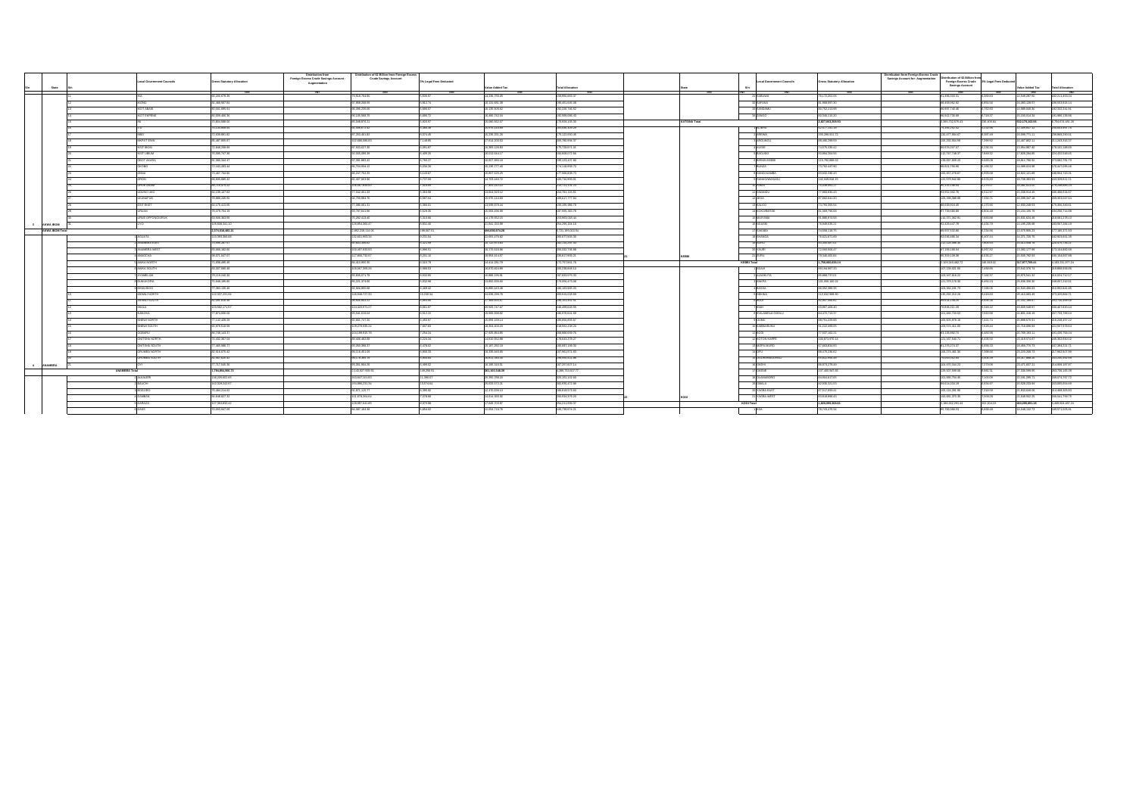|                 |                      |                                  |                                   | Distribution from                      | .<br>Distribution of \$2 Billion from Foreign Exces |                       |                |                  |                      |                    |                          |                           | Distribution from Foreign Excess Crude | atribution of \$2 Billion from |                       |                               |                         |
|-----------------|----------------------|----------------------------------|-----------------------------------|----------------------------------------|-----------------------------------------------------|-----------------------|----------------|------------------|----------------------|--------------------|--------------------------|---------------------------|----------------------------------------|--------------------------------|-----------------------|-------------------------------|-------------------------|
|                 |                      | <b>Local Government Councils</b> | <b>Jross Statutory Allocation</b> | Foreign Excess Crude Savings Account - | Crude Savings Account                               | % Legal Fees Deducted |                |                  |                      |                    | ocal Government Councils | ross Statutory Allocation | Savings Account for-Augmentation       | Foreign Excess Crude           | 3% Legal Fees Deducti |                               |                         |
|                 |                      |                                  |                                   | Augmentation                           |                                                     |                       |                |                  |                      |                    |                          |                           |                                        | <b>Savings Account</b>         |                       |                               |                         |
| State           |                      |                                  |                                   |                                        |                                                     |                       | alus Added Tax | notazofiA lato   |                      |                    |                          |                           |                                        |                                |                       | <b>Jue Added Tax</b>          | <b>Total Allocation</b> |
|                 |                      |                                  | 66,200,679.39                     |                                        | 518,754.90                                          |                       | 4,236,755.05   | 320.003.3        |                      | ł                  |                          | 172,202.06                |                                        | 496,333.3                      |                       | <b>STATE</b><br>14,549,287.50 | $-$<br>211,453.04       |
|                 |                      |                                  | 81,468,567.84                     |                                        | 7,858,208.59                                        | 5.812.74              | 06,131,681.38  | 95,451,645.08    |                      |                    |                          | 968,697.30                |                                        | 458,952.82                     | 6.854.56              | 16,083,128.57                 | 06,503,924.14           |
|                 |                      |                                  |                                   |                                        |                                                     |                       |                |                  |                      |                    |                          |                           |                                        |                                |                       |                               |                         |
|                 |                      | ICABA TOX                        | 80,001,035.91                     |                                        | 5,096,235.06                                        | 10.093.0              | 16,135,505.62  | 92,226,746.52    |                      |                    |                          | 752,213.98                |                                        | 6,997,740.46                   | 6,752.83              | 14,589,040.30                 | 92,332,241.91           |
|                 |                      | KOT EKPENE                       | 80,009,466.36                     |                                        | 96.105.568.75                                       | 6.690.72              | 16,490,742.04  | 192,599,086.43   |                      |                    |                          | 340.110.20                |                                        | 6502730.69                     | 6.718.37              | 15.150.014.34                 | 20.003.138.00           |
|                 |                      |                                  | 70,804,588.00                     |                                        | 15,048,876.21                                       | 1,920.97              | 15,080,562.07  | 70,928,105.30    | <b>KATSINA Total</b> |                    |                          | 2,827,003,208.93          |                                        | 1, 195, 732, 575.43            | 236,405.64            | 532,175,102.56                | 754,674,481.28          |
|                 |                      |                                  | 76,130,858.55                     |                                        | 1,446,672.42                                        | 02.000.0              | 15,975,144.69  | 183,546,309.29   |                      |                    |                          | 577.141.18                |                                        | 5,166,252.42                   | 5.232.96              | 12,305,837.12                 | 50,043,997.76           |
|                 |                      |                                  | 72,639,891.82                     |                                        | 07,253,401.82                                       | 5,074.45              | 15,235,331.26  | 75,122,550.45    |                      |                    |                          | 00,299,911.72             |                                        | 20,477,994.67                  | 8,387.49              | 16.099.771.1                  | 236,869,290.01          |
|                 |                      | IKPAT ENIN                       | 85,487,855.87                     |                                        | 02.686.086.83                                       | 148.85                | 17,614,200.53  | 05.780.994.37    |                      |                    |                          | 490,299.59                |                                        | 06.292.554.59                  | 7.399.92              | 16.467.862.11                 | 11,243,316.37           |
|                 |                      | <b>SIT IDOM</b>                  | 72,848,208.69                     |                                        | 17,503,627.35                                       | 5,091.87              | 15,383,126.83  | 75,728,871.01    |                      |                    |                          | 575,330.42                |                                        | 578,207.07                     | 5,236,30              | 13,954,887.40                 | 78, 102, 188.60         |
|                 |                      |                                  |                                   |                                        |                                                     |                       |                |                  |                      |                    |                          |                           |                                        |                                |                       |                               |                         |
|                 |                      | SIT UBIUM                        | 76,595,747.36                     |                                        | 22,005,086.39                                       | 5,425.25              | 16,013,644.17  | 14,008,072.00    |                      |                    |                          | 3,004,354.55              |                                        | 2,747,748.37                   | 7,849.32              | 17,828,294.85                 | 24,432,548.45           |
|                 |                      | <b>BOT AKARA</b>                 | 81,080,344.47                     |                                        | 27,391,883.42                                       | 1780.27               | 16,657,980.18  | 95,123,427.80    |                      |                    |                          | 5,792,888.53              |                                        | 29.087,009.43                  | 3.683.00              | 18,811,766.92                 | 3,682,781.79            |
|                 |                      | COD                              | 72,183,283.44                     |                                        | 86,704,934.12                                       | 6,036.26              | 15,236,777.40  | 74,118,958.70    |                      |                    |                          | 1,762,447.90              |                                        | 1,601,790.90                   | 6,168.32              | 14,089,024.98                 | 76,447,095.46           |
|                 |                      |                                  | 73,467,704.90                     |                                        | 18, 247, 752, 25                                    | 5.143.67              | 15,857,525.25  | 77.566.038.73    |                      |                    |                          | 102232643                 |                                        | 00.457.278.67                  | 6.993.68              | 14,822,121.89                 | 98,904,743.31           |
|                 |                      |                                  | 68,005,085.42                     |                                        | 12,407,603.95                                       | 1,737.09              | 14,703,440.72  | 55,710,993.01    |                      |                    |                          | 2,049,818.15              |                                        | 2,579,942.86                   | 533.83                | 18,708,383.93                 | 3,329,611.11            |
|                 |                      | MANA XIZRC                       | 88,719,474.22                     |                                        | 106,567,834.00                                      | 7.419.09              | 17,441,242.10  | 12,721,131.23    |                      |                    |                          | 5,038,991.27              |                                        | 0,135,146.04                   | 6.275.00              | 14,081,023.00                 | 79,248,885.24           |
|                 |                      | DUNG UKO                         | 64,139,107.63                     |                                        | 7,042,451.33                                        | 5,363.58              | 13,604,920.12  | 54,781,115.51    |                      |                    |                          | EA DES, ESS.              |                                        | 552,302.76                     | 512.97                | 5,038,914.45                  | 05,468,534.67           |
|                 |                      | <b>KANAFUN</b>                   | 78,889,245.50                     |                                        | 94,759,984.70                                       | 5.597.04              | 15,975,144.69  | 89,617,777.84    |                      |                    |                          | 062,641.20                |                                        | 02 030,389.98                  | 7.330.71              | 16.399.347.18                 | 09,353,047.64           |
|                 |                      |                                  | 64.175.413.05                     |                                        | 77.086.061.31                                       |                       | 13.939.878.44  | 55.195.986.79    |                      |                    |                          | 793355.54                 |                                        | M.638.916.45                   |                       |                               |                         |
|                 |                      | <b>DSIT EKET</b>                 |                                   |                                        |                                                     | 13,356.51             | 15,034,435.93  |                  |                      |                    | 13 KALGO                 |                           |                                        |                                | 6,170.90              | 12,930,248.53                 | 75,356,349.61           |
|                 |                      | 111430                           | 78,079,754.19                     |                                        | 03,787,641.95                                       | 5,529.35              |                | 87,555,363.78    |                      |                    | DKD BESS                 | 1,303,795.68              |                                        | 7,739,555.89                   | 6.804.48              | 15, 154, 155.79               | 94,256,714.88           |
|                 |                      | URUE OFFONG/DRUK                 | 63,506,363.55                     |                                        | 76,282,413.40                                       | 3310.00               | 14,179,552.15  | 53,953,018.44    |                      |                    |                          | 1,005,974.58              |                                        | 110,371,362.91                 | 7.683.88              | 15,831,624.49                 | 15,051,275.10           |
| 3 AKWA IBOM     |                      |                                  | 105,608,341.10                    |                                        | 26,854,360.47                                       | 03.103.40             | 21,841,333.99  | 54,295,204.16    |                      |                    |                          | 949,035.21                |                                        | 2,429,447.79                   | 6,434.79              | 14, 195, 235.98               | 83,567,284.19           |
| AKWA IBOM Total |                      |                                  | 2,374,518,482.21                  |                                        | 2.852.218.114.06                                    | 198,567.01            | 494,656,974.28 | 721.195.003.54   |                      |                    |                          | 4.558.118.75              |                                        | 557.532.80                     | 5.234.86              | 13,075,955.23                 | 7,185,371.93            |
|                 |                      | <b>IGUATA</b>                    | 10,393,306.68                     |                                        | 132,601,953.34                                      | 2231.54               | 12,091,476.82  | 55,677,505.30    |                      |                    |                          | 521,571.69                |                                        | 006,466.34                     | 6.407.44              | 14271.720.75                  | 02.923.051.35           |
|                 |                      | <b>IAMBRA EAST</b>               | 75,595,287.57                     |                                        | 0,803,356.62                                        | 5,321.59              | 15,722,974.83  | 82,115,297.43    |                      |                    |                          | 1,345,487.01              |                                        | 2,124,496.35                   | 7,805.93              | 15,013,558.78                 | 20,475,736.21           |
|                 |                      | <b>KAMBRA WEST</b>               | 83,000,182.00                     |                                        | 00,497,933.93                                       | 5,996.51              | 16,175,616.86  | 00,332,736.88    |                      |                    |                          | 560,006.47                |                                        | 158,166.04                     | 6.067.82              | 13,392,177.99                 | 73,104,882.69           |
|                 |                      | NADCHA                           | 98,071,047.07                     |                                        | 7,800,732.67                                        | 1,201.10              | 10,954,414.57  | 35,817,993.21    | KEBBI                |                    |                          | 346,400.84                |                                        | 5,309,109.38                   | 55.2                  | 5,505,792.93                  | 00,154,057.55           |
|                 |                      | VAKA NORTH                       | 71,938,495.45                     |                                        | 86,410,900.30                                       | 6,015.79              | 14,414,281.79  | 172,757,661.76   |                      | <b>KEBBI Total</b> |                          | ,756,060,638.14           |                                        | 2,109,340,482.72               | 146,849.02            | 317.977.705.41                | 1,183,231,977.24        |
|                 |                      | WKA SOUTH                        | 83,307,680.48                     |                                        | 00,067,309.26                                       | 72.226,2              | 16,870,824.89  | 00,238,848.10    |                      |                    |                          | 194,997.33                |                                        | 07.139.021.65                  | 458.85                | 1,542,376.74                  | 9,868,936.86            |
|                 |                      | YAMELUM                          | 78,119,240.30                     |                                        | 23,835,071.78                                       | 5,532.65              | 15,886,195.91  | 87,833,975.33    |                      |                    | <b>AJAOKUT</b>           | 5,888,737.01              |                                        | 103,167,616.22                 | 7.182.37              | 20,975,541.32                 | 0,024,712.17            |
|                 |                      |                                  | 70,948,195.80                     |                                        |                                                     |                       | 13,822,835.60  | 0,056,473.08     |                      |                    |                          |                           |                                        |                                |                       | 5.636.356.30                  |                         |
|                 |                      | <b>UNUKOFIA</b>                  |                                   |                                        | 5,221,374.66                                        | 5,932.98              |                |                  |                      |                    |                          | 1,050,160.24              |                                        | 21,379,176.30                  |                       |                               | 48,057,242.61           |
|                 |                      | KWUSIGO                          | 77,363,135.46                     |                                        | 22,926,855.68                                       | 5,403.42              | 15,880,443.48  | 186, 163, 965.20 |                      |                    |                          | 052,389.35                |                                        | 03,364,191.73                  | 7.196.05              | 1,543,456.83                  | 10,952,841.85           |
|                 |                      | <b>JEMILI NORTH</b>              | 122,337,231.94                    |                                        | 146.948.727.33                                      | 10.230.34             | 34.639.299.76  | 93.915.028.69    |                      |                    |                          | 2 632 989 80              |                                        | 135,292,210.26                 | 2.418.83              | 25.410.083.49                 | 73.325.854.71           |
|                 |                      | HTUDE LIMID                      | 82,091,818.48                     |                                        | 08,006,843.22                                       | 30, 100.2             | 17,409,055.67  | 198, 161,452.51  |                      |                    |                          | 2,947,066.82              |                                        | (634,148.26                    | 80.302.3              | 21,162,189.87                 | 103,736,468.58          |
|                 |                      |                                  | 103.582.171.57                    |                                        | 24,420,571.27                                       | 1,001.97              | 20.505.747.67  | 248.499.828.55   |                      |                    |                          | \$67,409.40               |                                        | 6.836.211.28                   | 5349.22               | 19,609,548.97                 | 60,407,820.44           |
|                 |                      | <b>CIRCOKA</b>                   | 77,874,935.05                     |                                        | 03,541,619.04                                       | 5,512.22              | 15,566,598.82  | 186,976,641.69   |                      |                    | GALAMELA-ODOLU           | A.472,713.37              |                                        | 01,466,720.53                  | 30.033.30             | 21,801,416.19                 | 07,733,786.14           |
|                 |                      | NEW NORTH                        | 7,142,428.29                      |                                        | 2.661.747.20                                        | 5.450.97              | 15.859.169.14  | 85.056.093.07    |                      |                    |                          | 1751,229.88               |                                        | 06 505 978 18                  | 7.421.74              | 1003870.91                    | 16,248,457.22           |
|                 |                      | WEW SOUTH                        | 90,976,510.59                     |                                        | 09,278,935.24                                       | 7,007.83              | 18,304,400.20  | 18,552,238.20    |                      |                    | <b>COAGUN.</b>           | 222,499.05                |                                        | 09.574,411.05                  | 7.628.40              | 1.718.696.94                  | 22.507.978.64           |
|                 |                      |                                  | 86,748,143.37                     |                                        | 104,199,915.78                                      | 7,254.24              | 17,925,864.85  | 37.033,336,60    |                      |                    |                          | 537,162.21                |                                        | 3,135,892.70                   | 52.034.0              | 20,769,193.11                 | 01,435,764.04           |
|                 |                      | <b>NITSHA NORTH</b>              | 74,432,357.04                     |                                        | 10,406,482.68                                       | 5,224.34              | 14,810,652.88  | 78,643,278.27    |                      |                    | <b>TON KARFS</b>         | 00,873,970.14             |                                        | 1,167,540.71                   | 8435.50               | 1,319,574.67                  | 45,352,650.02           |
|                 |                      | NITSHA SOUTH                     | 77,465,986.77                     |                                        | 23,050,398.37                                       | 6,478.02              | 15,187,292.19  | 185,037,199.30   |                      |                    | MOPA-MURO                | EG ACA, E23               |                                        | 1,276,274.37                   | 00332                 | 18,459,770.73                 | 67,394,221.71           |
|                 |                      |                                  |                                   |                                        |                                                     |                       |                |                  |                      |                    |                          |                           |                                        |                                |                       |                               |                         |
|                 |                      | <b>HTROW ABMUSE</b>              | 82,516,075.42                     |                                        | 00,116,451.09                                       | EC.000.3              | 16,335,945.05  | 197,961,571.83   |                      |                    |                          | 8,475,236.62              |                                        | 106,274,461.30                 | 33,802.1              | 23 220 208 73                 | 117,962,507.99          |
|                 |                      | RUMBA SOUTH                      | 82,567,620.42                     |                                        | 10,178,305.79                                       | A3.A0R.3              | 00.040.118,01  | 98,550,421.86    |                      |                    |                          | 1,822,956.48              |                                        | 005,052.64                     | 5,504.39              | 18,317,888.26                 | 3,200,322.99            |
| 4 ANAMBRA       |                      |                                  | 77,717,045.36                     |                                        | 23,351,964.29                                       | 5,429.02              | 16,195,316.51  | 187,257,827.14   |                      |                    |                          | 6,973,279.49              |                                        | 104,470,344.23                 | 7,273.06              | 23,471,837.21                 | 14,908,187.87           |
|                 | <b>ANAMBRA Total</b> |                                  | 1,784,854,906,73                  |                                        | 2.143.927.509.55                                    | 149.255.91            | 361.100.348.39 | 1209.733.507.77  |                      |                    | KENE                     | 07.400.947.55             |                                        | 29.007.599.08                  | 5.981.31              | 27,336,599.95                 | 02.236,105.39           |
|                 |                      | LKALERI                          | 136,205,602.65                    |                                        | 63.607.101.83                                       | 1.390.07              | 20,350,788.20  | 20,152,102.60    |                      |                    | <b>LAMARCOS</b>          | 304.817.65                |                                        | 1.985.754.45                   | 100.09                | 22.191.205.71                 | 109,074,767.72          |
|                 |                      | AUCH                             | 162.329.243.97                    |                                        | 194.985.231.34                                      | 13.574.64             | 25.633.572.21  | 82.935.472.89    |                      |                    | 19 OMALA                 | 2.930.321.53              |                                        | 2.614.034.19                   | 5.934.97              | 20.528.233.94                 | 03.065.054.09           |
|                 |                      |                                  | 6,484,214.62                      |                                        |                                                     |                       | 2,470,639.13   | 419,573.6        |                      |                    |                          | 17,693                    |                                        | 5,124,281.96                   |                       |                               | 1,458,305.83            |
|                 |                      | <b>AMBAN</b>                     | 84,648,827.32                     |                                        | 101,678,264.64                                      | 7,078.68              | 14,614,365.92  | 00,934,379.20    |                      |                    | AGBA WES                 | 2,010,006.43              |                                        | 100,681,370.35                 | 7.009.28              | 1.548.502.25                  | 06,041,759.75           |
|                 |                      | ARAZI                            | 107,383,833.42                    |                                        | 28,987,041.85                                       | 1,979.88              | 17,549,703.97  | 54,211,599.37    |                      | <b>KOGI Total</b>  |                          | 820.099.308.81            |                                        | 2,186,262,291.44               | 152,204.19            | 463,295,091.18                | 403,504,487.24          |
|                 |                      | AS5                              | 70,003,947.09                     |                                        | 84,087,164.38                                       | 5,854.02              | 12,654,716.76  | 166,739,974.21   |                      |                    |                          | 743,475.34                |                                        | 25,786,006.33                  | 53.633.0              | 14,048,132.73                 | 89.571.005.91           |
|                 |                      |                                  |                                   |                                        |                                                     |                       |                |                  |                      |                    |                          |                           |                                        |                                |                       |                               |                         |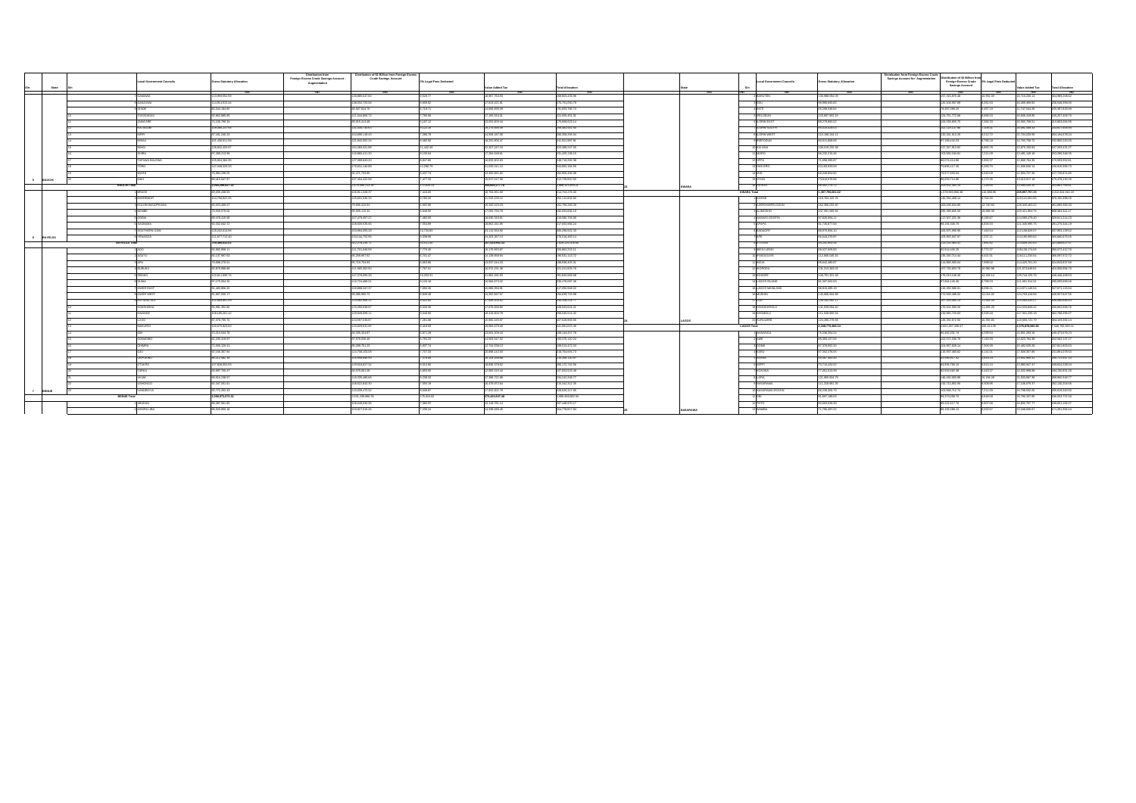|                  |                      |                          |                           | Distribution from                     | Xatribution of \$2 Billion from Foreign Exces |                       |                |                  |       |                    |                                |                           | <b>Distribution from Foreign Excess Crude</b> | <b>Statribution of \$2 Billion from</b> |                      |                  |                       |
|------------------|----------------------|--------------------------|---------------------------|---------------------------------------|-----------------------------------------------|-----------------------|----------------|------------------|-------|--------------------|--------------------------------|---------------------------|-----------------------------------------------|-----------------------------------------|----------------------|------------------|-----------------------|
|                  |                      | ocal Government Councils | ross Statutory Allocation | Foreign Excess Crude Savings Account- | Crude Savings Account                         | % Legal Fees Deducted |                |                  |       |                    | ocal Government Councils       | ross Statutory Allocation | Savings Account for-Augmentation              | Foreign Excess Crude                    | 3% Legal Fees Deduct |                  |                       |
|                  |                      |                          |                           | Augmentation                          |                                               |                       |                |                  |       |                    |                                |                           |                                               | <b>Savings Account</b>                  |                      |                  |                       |
| State            |                      |                          |                           |                                       |                                               |                       | also Added Tax | noitecoliA let   |       |                    |                                |                           |                                               |                                         |                      | lue Added Tax    | stal Allocation       |
|                  |                      |                          | 13,959,552.59             |                                       | 0.085,647.60                                  |                       | 967,763.53     | 0,003,433.90     |       | ł                  |                                | 3968.054.0                |                                               | 57,315,876.48                           |                      | 716,230.14       | $  -$<br>4,989,208.62 |
|                  |                      | <b>ANJUWA</b>            | 14,914,513.44             |                                       | 38,032,725.06                                 | 209.62                | 17,813,421.91  | 0,751,050.79     |       |                    |                                |                           |                                               | 20,106,567.89                           | 1361.63              | 6,459,459.82     | 36,548,358.90         |
|                  |                      |                          |                           |                                       |                                               |                       |                |                  |       |                    |                                | 000,002.02                |                                               |                                         |                      |                  |                       |
|                  |                      | <b>GIADE</b>             | 10,344,184.60             |                                       | 6,507,624.76                                  | 718.71                | 14,008,095.09  | 91,653,785.74    |       |                    |                                | 258,546.64                |                                               | 78,387,096.25                           | 5,457.19             | 1,747,644.28     | 55,387,829.99         |
|                  |                      | <b>TAS/GADAU</b>         | 92.052.005.05             |                                       | 11:544.005.72                                 | 765.58                | 7.155.524.31   | 21:555.451.31    |       |                    | <b>THOMAS</b>                  | 03.857.902.19             |                                               | 124.751.772.68                          | 100503               | 6.606.419.85     | 145,207,409.70        |
|                  |                      | <b>AMA'AR</b>            | 4,106,796.34              |                                       | 0,015,414.48                                  | 197.12                | 552,009.44     | 5,008,623.14     |       |                    |                                | 279,882.02                |                                               | 06.039.805.75                           | 7.382.33             | 1,550,759.51     | 10,863,064.95         |
|                  |                      | <b>ATAGUM</b>            | 09.085,237.94             |                                       | 131,030,730.63                                | 122.16                | 19,275,695.09  | 259,382,541.50   |       |                    | ORIN SOUTH                     | 015 029.03                |                                               | 102,118,137.88                          | 109.31               | 16,031,543.33    | 03,817,606.94         |
|                  |                      |                          | 87,161,240.23             |                                       | 104,696,118.43                                | 288.78                | 14,508,187.06  | 206.358.256.94   |       |                    | LORIN WEST                     | 10.168.244.11             |                                               | 132,331,613.26                          | 2212.72              | 21.704.033.59    | 264,194,678.24        |
|                  |                      | <b>ISAU</b>              | 01,436,011.59             |                                       | 1,842,652.24                                  | 482.50                | 8,231,806.47   | 241,501,987.81   |       |                    |                                | 03.003.02                 |                                               | 7.189.442.03                            | 1706.18              | 14,760,758.72    | 192,855,243.25        |
|                  |                      |                          |                           |                                       |                                               |                       |                |                  |       |                    |                                |                           |                                               |                                         |                      |                  |                       |
|                  |                      | anga                     | 136,832,420.97            |                                       | 164,360,021.88                                | 1,442.49              | 22,207,247.19  | 23,388,247.55    |       |                    | <b>ORKAI AMA</b>               | 06,019,232.38             |                                               | 127,347,913.82                          | 3,865.76             | 13,975,150.83    | 147,333,431.27        |
|                  |                      |                          | 17,288,213.99             |                                       | 16,860,411.20                                 | 135.64                | 284,648.61     | 11,425,138.15    |       |                    |                                | 232,215.46                |                                               | 03,580,194.81                           | 7.211.09             | 1,481,149.18     | 03,286,348.35         |
|                  |                      | AFAWA BALEWA             | 105,804,384.35            |                                       | 27,089,843.20                                 | 1,847.80              | 16,833,902.63  | 49,719,282.38    |       |                    |                                | 058,305.87                |                                               | 00,074,414.96                           | 5,992.37             | 2,866,764.35     | 10,593,552.81         |
|                  |                      |                          | 47,048,329.33             |                                       | 76,631,140.88                                 | 2,296.79              | 025,011.12     | 44,032,184.55    |       |                    | <b>KE-ER</b>                   | 03.233.09                 |                                               | 1895, 117.20                            | 283.70               | 1,036,630.14     | 50,910,396.73         |
|                  |                      | <b>ARJI</b>              | 5.984.239.05              |                                       | 2,471,733.85                                  | $-437.74$             | 3.450.961.82   | 2.900.495.98     |       |                    |                                | 249.854.60                |                                               | 19,577,833.04                           | 540.09               | 1,904,727.30     | 17,726,874.85         |
| UCHI             |                      |                          | 19,415,947.97             |                                       | 07,404,422.58                                 | AT7.33                | 5,917,017.30   | 2,729,910.53     |       |                    |                                | 32.013.018                |                                               | 0,050,714.06                            | 72.35                | 013.917.19       | 5,478,130.26          |
|                  | BAUCHI Total         |                          | 2,064,299,627.33          |                                       | 479,590,213.35                                | 72,625.23             | 44,006,277.76  | 888,323,493.21   |       |                    |                                | 442,174.72                |                                               | 03,832,393.14                           | 7.228.65             | 1,594,430.20     | 103,861,769.41        |
|                  |                      |                          |                           |                                       |                                               |                       |                |                  | KWAPA |                    | <b>PATE GI</b>                 |                           |                                               |                                         |                      |                  |                       |
|                  |                      |                          | 0,005,438.93              |                                       | 06,911,328.37                                 | 443.00                | 18,794,951.09  | 4,704,276.00     |       | <b>KWARA Total</b> |                                | 397,790,001.62            |                                               | 80.030,000,000.1                        | 32,003,011           | 235,957,757.15   | 12,624,910.19         |
|                  |                      | <b>KEREMOR</b>           | 04,756,822.35             |                                       | 25,831,535.33                                 | ,760.20               | 533,235.12     | 52,112,832.60    |       |                    |                                | 6,764,142.76              |                                               | 40,254,458.14                           | 764.30               | 9,141,561.66     | 76,150,398.26         |
|                  |                      | KOLOKUMA/OPKUMA          | 16,523,406.07             |                                       | 12,006,416.91                                 | 542.96                | 15,332,023.23  | 161,756,283.26   |       |                    | <b>LA IMIDIOARISMES CICLIN</b> | 52,356,032.90             |                                               | 83,006,634.85                           | 12,740.64            | 26,345,463.22    | 051,035,330.33        |
|                  |                      |                          | 9,509,579.00              |                                       | 6,505,115.32                                  | 548.92                | 055,790.78     | 2,053,835.19     |       |                    | LIMOSHO                        | 17,591,589.56             |                                               | 205,389,005.55                          | 12.868.39            | 5,421,954.75     | 68,383,341.47         |
|                  |                      | <b>COM</b>               | 19,478,415.58             |                                       | 07,479,457.27                                 | A12.55                | 13,530,316.61  | 5,580,706.90     |       |                    | <b>MINO-ODOFIN</b>             | 1,826,694.11              |                                               | 17,507,221.39                           | 1100.63              | 4,585,479.40     | 29,911,214.23         |
|                  |                      | <b>SACRAMA</b>           | 0,332,642.72              |                                       | 08.505.535.66                                 | 553.99                | 18,002,341.05  | 17,032,955.24    |       |                    | DADA.                          | 1,745,877.58              |                                               | 28,191,306.79                           | 0.000.03             | 11,345,995.75    | 191,276,344.19        |
|                  |                      | <b>CUTHERN LIAW</b>      | 28,202,614.96             |                                       | 13,994,093.28                                 | 0,720.83              | 3,112,934.92   | 05,298,922.33    |       |                    |                                | 1,975,994.10              |                                               | 06.875.959.90                           | 440.54               | 2,108,626.07     | 07,953,139.52         |
|                  |                      |                          |                           |                                       |                                               |                       |                |                  |       |                    |                                |                           |                                               |                                         |                      |                  |                       |
| <b>6</b> BAYELSA |                      | <b>ENAGOA</b>            | 11,677,712.40             |                                       | 34,144,752.56                                 | <b>SCEES</b>          | 24.203.357.13  | 0.016.483.14     |       |                    |                                | 543,370.87                |                                               | 13 953 947.67                           | 7.237.11             | 10,190,593.62    | 0,680,675.05          |
|                  | <b>BAYELSA Total</b> |                          | 759,486,632.02            |                                       | 912,278,234.71                                | 3.511.40              | 157,524,951,33 | 829 226 306 66   |       |                    | ETI-OSA                        | 34.252.503.34             |                                               | 13214464.41                             | 7.881.82             | 1.609.141.63     | 21.068.627.57         |
|                  |                      |                          | 12,992,958.11             |                                       | 11,701,045.59                                 | 776.45                | 6,175,993.87   | 10,862,222.11    |       |                    | <b>BEJU-LEKK</b>               | 027,605.83                |                                               | 12,914,405.25                           | 5.772.37             | 08,136,174.05    | 10,072,412.76         |
|                  |                      |                          | 0,137,997.63              |                                       | 6.259.957.62                                  | 701.47                | 14.139.859.94  | 90.531.113.72    |       |                    | <b>AKO/LIAY</b>                | 2 665 045.16              |                                               | 35 330 714.44                           | 0.471.51             | 18,111,234.64    | 166,097,572.72        |
|                  |                      |                          | 9,688,270.01              |                                       | 6,719,754.93                                  | 00.00                 | 3,537,044.23   | 10.038,405.31    |       |                    |                                | 642,480.87                |                                               | 14,883,593.64                           | 7.998.02             | 14,425,761.20    | 124,943,837.69        |
|                  |                      | <b>BURUKU</b>            | 2.879.998.88              |                                       | 1565.362.50                                   | 767.01                | 16,974,231.38  | 21.411.825.76    |       |                    | KORDO                          | 31,313,363.02             |                                               | 57.730.653.79                           | 0.980.96             | 1573.648.91      | 0.006.684.76          |
|                  |                      |                          |                           |                                       |                                               |                       |                |                  |       |                    |                                |                           |                                               |                                         |                      |                  |                       |
|                  |                      | CONDE                    | 22,611,935.74             |                                       | 147,278,095.33                                | 3253.31               | 052,291.93     | 1,842,669.68     |       |                    | <b>DSOF</b>                    | 45,701,321.49             |                                               | 15,013,145.40                           | 184.14               | 5,744,125.79     | 46,446,408.53         |
|                  |                      |                          | 175,054.2                 |                                       | 16.724.486.21                                 | 126.10                | 584,673.22     | 10.476.087.46    |       |                    | 4GOS 15LAN                     | 307,002.93                |                                               | 7.664.140.45                            |                      | 1,091,314.31     | 0.055.058.46          |
|                  |                      | WER EAST                 | 1,483,856.20              |                                       | 09.888,347.37                                 | ,650.26               | 5,686,394.91   | 7,050,948.22     |       |                    | AGOS MAINLAND                  | 6,815,485.19              |                                               | 16,292,580.01                           |                      | 4,571,146.54     | 27,671,115.64         |
|                  |                      | <b>SWER WEST</b>         | 81,907,935.17             |                                       | 98,385,966.72                                 | 1,542.48              | 14,352,667.57  | 94,639,719.98    |       |                    |                                | 3,000,944.00              |                                               | 72,569,498.02                           | 12,014.02            | 124,703,418.69   | 40,927,847.55         |
|                  |                      | <b>CATSINA ALA</b>       | 02,884,851.59             |                                       | 23.582.966.22                                 | 603.65                | 549,000.62     | 44,108,214.77    |       |                    |                                | 39,242,592.17             |                                               | 67.255.065.23                           | 1.644.04             | 1,580,635.07     | 20,000,048.43         |
|                  |                      | WSHISHA                  | 5,981,352.80              |                                       | 5,290,638.97                                  | ,026.36               | 679,658.80     | 8,943,624.21     |       |                    |                                | 1,529,094.40              |                                               | 70,001,550.20                           | 1,835.25             | 14,333,849.41    | 15,852,008.76         |
|                  |                      | VANDE                    | 108, 185, 261.42          |                                       | 29,949,699.11                                 | 02.040.90             | 18,419,600.78  | 56,545,514.42    |       |                    |                                | 528,005.54                |                                               | 133,965,720.83                          | 2.326.49             | 7,301,235.18     | 362,786,295.07        |
|                  |                      |                          | 17,078,755.70             |                                       | 4,597,039.87                                  | 201.00                | 5,000,445.97   | 17,528,959.66    |       |                    |                                | 4,280,279.68              |                                               | 49,282,672.50                           | 0,392.83             | 0,556,722.79     | 04, 109, 282.14       |
|                  |                      |                          |                           |                                       |                                               |                       |                |                  | LAGOS |                    |                                |                           |                                               |                                         |                      |                  |                       |
|                  |                      | MAKUROE                  | 00,675,823.93             |                                       | 20,929,531.95                                 | 418.93                | 0.984,678.49   | 41,581,615.45    |       | LAGOS Total        |                                | 340,776,486.34            |                                               | 2,821,297,408.47                        | 196,414.35           | 2,376,878,082.66 | 546,755,563.11        |
|                  |                      |                          | 0,210,544.78              |                                       | 14,335,324.87                                 | 5,871.29              | 13,004,209.43  | 168, 144, 207.78 |       |                    | WAMGA                          | 5,336,354.24              |                                               | 00,492,331.74                           | 42002.34             | 14,651,293.19    | 80,473,679.23         |
|                  |                      | CONDITION                | ,235,319.97               |                                       | 1,578,036.49                                  | 793.23                | 563,547.02     | 3,370,110.24     |       |                    |                                | 393,157.06                |                                               | 02,572,336.76                           | 140.93               | 4,623,784.38     | 02,582,137.27         |
|                  |                      | <b>MINE</b>              | 1,005,120.41              |                                       | 85,289,751.23                                 | 1937.74               | 12,724,538.13  | 0,013,472.03     |       |                    |                                | 7,378,952.20              |                                               | 104,957,629.14                          | 7.306.99             | 15,492,529.28    | 107,821,803.63        |
|                  |                      |                          | 2.166.357.94              |                                       | 10.708.153.08                                 | 707.33                | 5.898.142.04   | 18.764.945.73    |       |                    |                                | 352,378.05                |                                               | 16.937.483.62                           | 141.01               | 7,609,357.86     | 31,091,078.53         |
|                  |                      | <b><i>CKPCKWU</i></b>    | 88,212,482.19             |                                       | 05.358,846.59                                 | 576.69                | 16,104,168.88  | 10,268,120.97    |       |                    | <b>CEANA</b>                   | 2.587.483.35              |                                               | 11586917.52                             | 5.819.19             | 1,552,955.41     | 66,721,547.10         |
|                  |                      |                          | 07.826.553.59             |                                       |                                               | 02.310.9              | 18,836,378.52  |                  |       |                    |                                |                           |                                               | A 935.769.15                            |                      |                  | 09,024,228.04         |
|                  |                      | TUKPO                    |                           |                                       | 29,518,827.34                                 |                       |                | 16,172,742.56    |       |                    |                                | 710,424.52                |                                               |                                         | 5.913.10             | 1,981,947.47     |                       |
|                  |                      | AJRIKA                   | 69,997,700.47             |                                       | 14,079,661.08                                 | 02.023.50             | 1,982,015.44   | 17,053,523.49    |       |                    | <b>DKDN</b>                    | 051,613.38                |                                               | 22,552,662.38                           | 5.443.37             | 4,532,998.88     | 84,130,831.26         |
|                  |                      | KUM                      | 0,516,238.57              |                                       | 18,335,486.00                                 | 238.33                | 7,398,721.88   | 34,242,208.77    |       |                    |                                | 21,905,924.79             |                                               | 03.033,004.391                          | 0.194.28             | 1,633,957.36     | 189,960,348.77        |
|                  |                      | <b>HONGO</b>             | 0,347,051.61              |                                       | 08,522,843.30                                 | 555.19                | 16,479,972.64  | 5,342,312.35     |       |                    |                                | 1,318,981.35              |                                               | 33,713,852.90                           | 3,308.95             | 106,679.37       | 152,130,204.66        |
|                  |                      | NDEIKY                   | 1772,252.43               |                                       | 5,039,472.32                                  | 64.6                  | 822,601.78     | 8,626,317.65     |       |                    |                                | 239,306.79                |                                               | 33,588,712.74                           | 211.69               | 198,532.65       | 8,619,340.50          |
|                  | <b>BENUE Total</b>   |                          | 2,098,973,673.32          |                                       | 1521 239 896 35                               | 5.524.82              | 5,420,837.48   | 05.458.882.34    |       |                    |                                | 897.189.03                |                                               | 35,373,058.70                           | 1848.58              | 1,790,337.85     | 96.053.737.00         |
|                  |                      |                          | 18,287,561.65             |                                       | 06,049,030.35                                 | 82.9                  | 119,761.14     | 7,448,970.17     |       |                    |                                | 003.028.39                |                                               | 0,221,617.76                            |                      | 4,832,767.77     | 96,651,106.27         |
|                  |                      | SKIRA UBA                | 5,520,950.18              |                                       | 03,927,016.45                                 | 235.24                | 238,006.45     | 4,778,817.84     |       |                    |                                | 756,497.22                |                                               | 6,192,288.13                            |                      | 1348,609.67      | 71,291,394.44         |
|                  |                      |                          |                           |                                       |                                               |                       |                |                  |       |                    |                                |                           |                                               |                                         | 000.57               |                  |                       |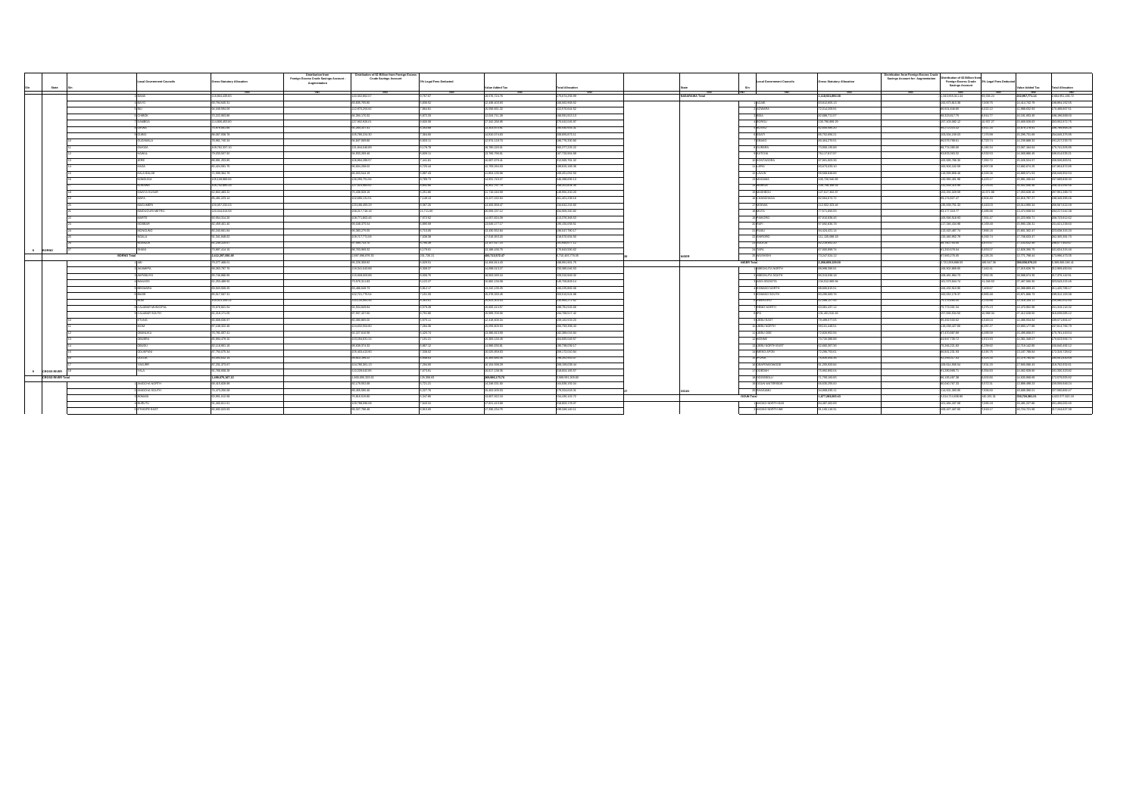|                          |                    |                                  |                                   | Distribution from                      | stribution of \$2 Billion from Foreign Exces |                       |                |                  |                   |                    |                               |                           | Distribution from Foreign Excess Crude | stribution of \$2 Billion from |                      |                         |                           |
|--------------------------|--------------------|----------------------------------|-----------------------------------|----------------------------------------|----------------------------------------------|-----------------------|----------------|------------------|-------------------|--------------------|-------------------------------|---------------------------|----------------------------------------|--------------------------------|----------------------|-------------------------|---------------------------|
|                          |                    | <b>Local Government Councils</b> | <b>Iross Statutory Allocation</b> | Foreign Excess Crude Savings Account - | Crude Savings Account                        | % Legal Fees Deducted |                |                  |                   |                    | Local Government Councils     | ross Statutory Allocation | Savings Account for-Augmentation       | Foreign Excess Crude           | 3% Legal Fees Deduct |                         |                           |
| State                    |                    |                                  |                                   | Augmentation                           |                                              |                       | alus Added Tax | notas allA lato? |                   |                    |                               |                           |                                        | <b>Savings Account</b>         |                      | <b>Jue Added Tax</b>    | notal Allocation          |
|                          |                    |                                  |                                   |                                        |                                              |                       |                |                  |                   | n T                |                               |                           |                                        |                                |                      |                         |                           |
|                          |                    |                                  | (6,804,439.83                     |                                        | 140,302,862.07                               | 9,767.67              | 18,576,724.76  | 5,674,258.99     | <b>RAWA Total</b> |                    |                               | 18.531.890.38             |                                        | <b>START</b><br>43,555,311.44  |                      | $  -$<br>202,957,771.14 | $    -$<br>004,951,436.72 |
|                          |                    |                                  | 104,645.31                        |                                        | 3,835,755.80                                 | 5,836.52              | 2,438,403.93   | 66,062,958.52    |                   |                    |                               | 812,605.13                |                                        | 80.073,813.38                  | 008.75               | 14,414,742.79           | 08,894,152.55             |
|                          |                    |                                  | 34,049,534.09                     |                                        | 12,970,253.92                                | 7,064.01              | 15,558,001.32  | 22,570,644.52    |                   |                    |                               | 014,209.91                |                                        | 501,846.80                     | 6,022.12             | 1,988,632.93            | 70,498,667.51             |
|                          |                    |                                  | 0.222.903.86                      |                                        | 4.350.170.32                                 | 5.872.33              | 12,024,711.28  |                  |                   |                    |                               | 588711.57                 |                                        | 9.323.817.75                   |                      | 16.191.053.45           | 00.030.003.00             |
|                          |                    | <b>HIBOK</b><br>smost            |                                   |                                        |                                              |                       |                | 100,591,913.13   |                   |                    |                               |                           |                                        |                                | 6.914.77             |                         |                           |
|                          |                    |                                  | 14,806,453.60                     |                                        | 137,902,926.01                               | 9,000.59              | 17,342,205.95  | 170,042,045.97   |                   |                    | <b>IORGI</b>                  | 30,790,899.29             |                                        | 57,103,082.12                  | 10.937.27            | 15,009,928.63           | 0,552,972.75              |
|                          |                    |                                  | 25,979,061.06                     |                                        | 1,264,337.41                                 | 1,353.68              | 13.303.870.91  | 180.540.916.31   |                   |                    |                               | 545,585.20                |                                        | 272015.32                      | 6.911.16             | 14,879,178.91           | 96,789,868.26             |
|                          |                    |                                  | 88,067,938.78                     |                                        | 105,785,224.30                               | 7,364.60              | 14,810,074.63  | 208,655,873.11   |                   |                    |                               | 752,056.21                |                                        | 03,004,159.03                  | 7.170.99             | 15,295,731.69           | 104,045,375.95            |
|                          |                    | EAMALA                           | 78.961.745.34                     |                                        | 94.847.009.05                                | 023.11                | 12,974,118.70  | 186,776,330.80   |                   |                    |                               | 404,270.51                |                                        | 6.579.798.61                   | 1723.74              | 14 239 888 32           | 191,217,233.70            |
|                          |                    |                                  | 109,762,337.10                    |                                        | 31,844,046.89                                | 9,178.78              | 18,780,020.01  | 260,377,225.22   |                   |                    |                               | 506,135.88                |                                        | 8,774,385.66                   | 180.34               | 13,067,164.64           | 5,741,505.85              |
|                          |                    |                                  | 0,033,507.92                      |                                        | 94,933,209.46                                | 6,609.11              | 13,700,790.01  | 187,726,954.89   |                   |                    |                               | 1,117,817.93              |                                        | 23,833,363.32                  | 653253               | 14,009,886.45           | 86,014,535.21             |
|                          |                    |                                  | 18,991,253.85                     |                                        | 06,894,289.57                                | 18.095                | 6,687,679.41   | 12,565,781.02    |                   |                    |                               | 301,003.36                |                                        | 5,585,786.30                   | 350.72               | 026,524.57              | 08,506,863.51             |
|                          |                    | 16.04                            | 80,424,591.75                     |                                        | 96,604,208.02                                | 6,725.44              | 12,793,094.03  | 189,815,168.36   |                   |                    |                               | 1,673,033.10              |                                        | 100,506,162.59                 | 5,997.08             | 13,682,674.25           | 197,854,872.85            |
|                          |                    | ALA BALGE                        | 599,354.79                        |                                        | 6.003.544.19                                 |                       | 11,854,130.96  | 109,451,052.50   |                   |                    |                               | 568,848.89                |                                        | 0,599,858.46                   | 8226.36              | 6.809.571.53            | 36.049.952.53             |
|                          |                    |                                  |                                   |                                        |                                              | 5,987.43              |                |                  |                   |                    |                               |                           |                                        |                                | 842357               |                         |                           |
|                          |                    |                                  | 05,109,989.66                     |                                        | 26,255,751.94                                | 8,789.73              | 14,931,743.27  | 246,288,695.13   |                   |                    |                               | 0,726,540.85              |                                        | 20,990,451.96                  |                      | 15,981,200.04           | 06.363.030.7              |
|                          |                    | <b>IKAMA</b>                     | 105,742,895.28                    |                                        | 127,015,983.92                               | 8,542.66              | 16,451,797.79  | 249,201,834.35   |                   |                    |                               | 03,758,398.54             |                                        | 02.21C, 003.1C                 | 0.178.45             | 16,552,555.48           | 258, 141, 092.56          |
|                          |                    | <b>WAYA KUSAR</b>                | 62,802,483.22                     |                                        | 5,436,928.19                                 | \$,251.00             | 11,716,040.59  | 149,950,200.20   |                   |                    | WASHEG                        | 7,617,302.87              |                                        | 3,291,029.59                   | 10,671.88            | 17,053,628.16           | 197,951,288.73            |
|                          |                    |                                  | 15,491,223.14                     |                                        | 02,690,131.51                                | 7,149.13              | 13,227,032.64  | 201,401,238.16   |                   |                    | <b>HANCHAGA</b>               | 564.674.72                |                                        | 174.827.47                     | na ann a             | 16,616,797.27           | 198,349,395.06            |
|                          |                    | AGUMERI                          | 00.057.232.03                     |                                        | 120,186,493.29                               | 8,367.20              | 14,406,858.47  | 234,642,216.60   |                   |                    | unww                          | 12 922 323 46             |                                        | 135 539 751 33                 | 2.443.03             | 18.014.990.34           | 105,567,622.09            |
|                          |                    | <b>CATINIMISTIC</b>              | 65.310,044                        |                                        | 168,217,718.18                               | 11,711.05             | 26,659,237.12  | 334,909,260.82   |                   |                    |                               | 571,650.93                |                                        | 177,319.77                     | 0.405.05             | 13,474,558.54           | 84,217,042.38             |
|                          |                    | <b>LOTE</b>                      | 0,554,314.20                      |                                        | 08,771,802.46                                | 572.52                | 14,057,824.39  | 213,376,368.53   |                   |                    | NIKORY                        | 310,838.45                |                                        | 05,596,518.93                  | 7.351.47             | 15,223,906.71           | 08,723,912.62             |
|                          |                    | OBBAR                            | 12,459,401.40                     |                                        | 0,048,375.54                                 | 6,025.59              | 13,649,177.17  | 195, 150, 058.51 |                   |                    |                               | 022, 836.78               |                                        | 17,346,434.98                  | 8,169.48             | 15,990,136.31           | 131,021,238.60            |
|                          |                    | OWGUNO                           | 0,240,661.84                      |                                        | 96.383.275.55                                | 6,710.05              | 13,430,552.84  | 120,047,780.17   |                   |                    |                               | 4,424,421.14              |                                        | 3,420,487.74                   | 7.096.16             | 15.801.302.47           | 3.638.315.20              |
|                          |                    |                                  | 341,848.62                        |                                        | 09,717,771.06                                | 02.02.35              | 7,518,953.20   | 8,570,934.50     |                   |                    |                               | 1,125,088.18              |                                        | 0,480,952.79                   | 292.74               | 708,633.47              | 152,305,381.70            |
|                          |                    |                                  | 81,249,220.67                     |                                        | 97,594,733.70                                | 023439                | 13,107,517.15  | 191,944,677.12   |                   |                    | <b>SULE JA</b>                | 219,952.20                |                                        | 20,760,754.55                  | 6.875.57             | 7,103,632.49            | 198,077,463.67            |
|                          |                    |                                  | 1,037,414.15                      |                                        | 5,763,909.32                                 | 179.61                | 13,188,436.75  | 75,843,580.62    |                   |                    |                               | 000,022.74                |                                        | 200,678.04                     |                      | 12,828,390.75           | 01,024,315.46             |
| <b>BORNO</b>             |                    |                                  |                                   |                                        |                                              |                       |                |                  |                   |                    |                               |                           |                                        |                                |                      |                         |                           |
|                          | <b>BORNO Total</b> |                                  | 2,412,297,050.49                  |                                        | 2,897,596,879.30                             | 201,726.21            | 400,713,572.47 | 10,405,776.05    | <b>NIGER</b>      |                    |                               | 247,524.12                |                                        | 7,983,276.05                   | 6,125.26             | 2,771,798.44            | 3,996,473.35              |
|                          |                    |                                  | 79,277,468.01                     |                                        | 05,226,308.82                                | 6.629.51              | 14,494,814.43  | 188,991,961.75   |                   | <b>NIGER Total</b> |                               | 2205.059.129.00           |                                        | 2.722.659.888.55               | 109.547.36           | 380.536.576.23          | 18.040.003.000.1          |
|                          |                    | <b>КАМКРА</b>                    | 99,353,797.75                     |                                        | 19,341,543.88                                | 1,308.37              | 14,098,013.27  | 233,385,046.53   |                   |                    | <b>ABEGICUTA NORTH</b>        | 10.200,300.91             |                                        | 33.033.302.001                 | 7.442.41             | 015,626.79              | 2,909,450.94              |
|                          |                    | KPABUYO.                         | 15,746,886.95                     |                                        | 5.009.003.88                                 | 8,006.75              | 18.563.005.24  | 229 310 949 32   |                   |                    | <b>BEOKUTA SOUTH</b>          | 0.313.036.18              |                                        | 108.481.984.73                 | 7.552.35             | 18.588.674.35           | 17,376,142.91             |
|                          |                    |                                  | 51,253,489.50                     |                                        | 3,576,311.83                                 | 122.27                | 10,882,130.08  | 45,706,809.14    |                   |                    | 3-000/01/                     | 4,512,965.94              |                                        | 1,573,944.74                   | 218.53               | 7.467.500.30            | 1,543,222.45              |
|                          |                    | <b>EKWARA</b>                    | 0.503.509.25                      |                                        | 13.486.049.73                                | 5.812.17              | 13,242,135.25  | 105.225.882.06   |                   |                    | GEADO NORTH                   | 8.606.815.51              |                                        | 06.432.510.90                  | 7,400.63             | EA 020.002.43           | 11:420.786.17             |
|                          |                    |                                  | 5,517,567.31                      |                                        | 02,721,775.54                                | 7,151.33              | 15,278,333.45  | 3,510,524.98     |                   |                    | <b>BADO SOUTH</b>             | 295,083.76                |                                        | 0,052,178.37                   | 6.965.48             | 15,971,866.73           | 199,312,163.38            |
|                          |                    |                                  | 0,014,349.24                      |                                        | 20,134,983.46                                | 1363.61               | 15,823,303.53  | 135,964,272.62   |                   |                    | VEKOR                         | 588.157.56                |                                        | 5,179,485.05                   | 5.233.88             | 12.318.144.11           | 50,080,552.84             |
|                          |                    | ALABAR MUNICIPAL                 | 78,676,841.54                     |                                        | 1,504,849.84                                 | 1,579.28              | 5,006,414.57   | 188,781,526.00   |                   |                    | EMO NORTH                     | 081,437.12                |                                        | 772,001.34                     | 5.275.13             | 12,470,952.98           | 51,319,116.32             |
|                          |                    | HTUOS RADALIA:                   | 81,218,171.05                     |                                        | 97,557,437.60                                | 0,791.00              | 15,999,700.56  | 194,768,517.42   |                   |                    |                               | 131,401,510.45            |                                        | 57,836,534.50                  | 10,988.34            | 27,412,028.50           | 16,639,085.12             |
|                          |                    | LING                             | 5,008,630.97                      |                                        | 0,080,085.00                                 | 1,575.11              | 12,418,006.34  | 159,162,533.20   |                   |                    | JEBU EAST                     | 499,077.05                |                                        | 5,492,500.62                   | 6.648.04             | 14,006,934.84           | 89,071,864.47             |
|                          |                    |                                  | 7,108,322.46                      |                                        | 04,632,554.80                                | 7,284.36              | 15,059,805.53  | 206,733,338.43   |                   |                    | <b>JEBU NORTH</b>             | 1,101,448.51              |                                        | 19.038,427.66                  | 1207.27              | 9,683,177.88            | 137,814,766.79            |
|                          |                    | <b>UNITING</b>                   | 76,781,007.41                     |                                        | 92,227,616.58                                | 6,420.74              | 13,386,013.59  | 182,389,016.84   |                   |                    | <b>JEBU COE</b>               | 120,952.56                |                                        | 17,470,887.89                  | 6000.55              | 15,495,668.67           | 75,781,419.54             |
|                          |                    | ORUBBA                           | 15,994,479.10                     |                                        | 03,294,631.24                                |                       | 15,383,130.45  | 204,005,049.57   |                   |                    | <b>KENNE</b>                  | 1720,386.88               |                                        | 4,947,735.72                   | 5,913.93             | 14,361,348.07           |                           |
|                          |                    |                                  |                                   |                                        |                                              | 7,191.21              |                |                  |                   |                    |                               |                           |                                        |                                |                      |                         | 0,023,556.74              |
|                          |                    | umu                              | 12,118,901.16                     |                                        | 0,639,374.32                                 | 6,067.12              | 14,986,630.81  | 195,738,039.17   |                   |                    | <b>JEBU NORTH EAST</b>        | 500 367.36                |                                        | 5266221.83                     | 5.239.92             | 12,719,142.85           | 50,640,492.12             |
|                          |                    | <b>CUICPANI</b>                  | 7,750,075.34                      |                                        | 05,403,413.90                                | 2,338.02              | 16,025,859.63  | 209,172,010.84   |                   |                    | MEKD-AFON                     | 2,296,753.61              |                                        | 86,841,231.93                  | 6,045.75             | 13,187,788.84           | 72,319,728.62             |
|                          |                    | nıa                              | 3,093,632.14                      |                                        | 20,810,199.22                                | C348.G3               | 15,305,000.35  | 198,262,563.07   |                   |                    |                               | 30.454.36                 |                                        | 203.017.03                     | 06.2530              | 15,379,784.60           | 64,501,830.69             |
|                          |                    | <b>430 199</b>                   | 17,231,373.67                     |                                        | 104,780,361.13                               | 7,294.05              | 16,154,598.29  | 208,159,038.44   |                   |                    | <b>BAFEMIOWODE</b>            | 255,920.84                |                                        | 03.514,556.54                  | 7.631.20             | 17,900,086.43           | 18,762,932.61             |
| 9 CROSS RIVER            |                    | <b>YALA</b>                      | 1,766,658.28                      |                                        | 10,228,042.85                                | 7,673.91              | 16,617,138.35  | 218,604,165.57   |                   |                    |                               | 392,850.04                |                                        | 1,280,899.71                   | 0.354.83             | 14,052,928.90           | 01,330,323.02             |
| <b>CROSS RIVER Total</b> |                    |                                  | 1,429,075,167.13                  |                                        | 000,055,323.62                               | 125,358.83            | 269,986,173.70 | 3,509,591,305.60 |                   |                    | ODOGBOLU                      | 759,160.65                |                                        | 05,195,487.38                  | 08.000.8             | 14.630.908.69           | 72,579,555.92             |
|                          |                    | <b>OCHA NORTH</b>                | 1,415,828.98                      |                                        | 2,179,552.68                                 | 721.21                | 14,248,531.60  | 164,838,192.04   |                   |                    | <b>GUN WATERSDE</b>           | 535,255.00                |                                        | 040,767.33                     | 572.31               | 2,009,498.23            | 0,559,948.24              |
|                          |                    | OCHA SOUTH                       | 4,473,250.08                      |                                        | 10,455,590.46                                | 6.227.76              | 15,402,005.53  | 179,324,618.31   |                   |                    |                               | 308,035.11                |                                        | 4.001.393.95                   | 7.936.60             | 18.692.390.01           | 27,590,882.47             |
|                          |                    |                                  | 53,951,012.58                     |                                        | 76,816,515.00                                | 5,347.05              | 13,667,922.19  | 154,430,102.72   |                   | OGUN Total         |                               | 677,283,065.43            |                                        | 014,714,636.86                 | 140,261.31           | 330,720,381.21          | 022,577,822.18            |
|                          |                    | <b>URUTU</b>                     | 01,400,811.61                     |                                        | 109,788,596.08                               | 7,643.31              | 17,621,413.69  | 218,803,178.07   |                   |                    | ANOKO NORTH EAS               | 487,462.69                |                                        | 01,484,437.08                  | 7,005.19             | 15,491,227.86           | 101,456,062.45            |
|                          |                    | <b>HIOPE EAST</b>                | 2,092,023.93                      |                                        | 0,327,796.48                                 | 1,915.05              | 7,336,234.75   | 199,349,140.11   |                   |                    | <b><i>UICHIO NORTH WE</i></b> | 100,116.31                |                                        | 09.427,407.65                  | 7.618.17             | 16,724,721.58           | 244,627.38                |
|                          |                    |                                  |                                   |                                        |                                              |                       |                |                  |                   |                    |                               |                           |                                        |                                |                      |                         |                           |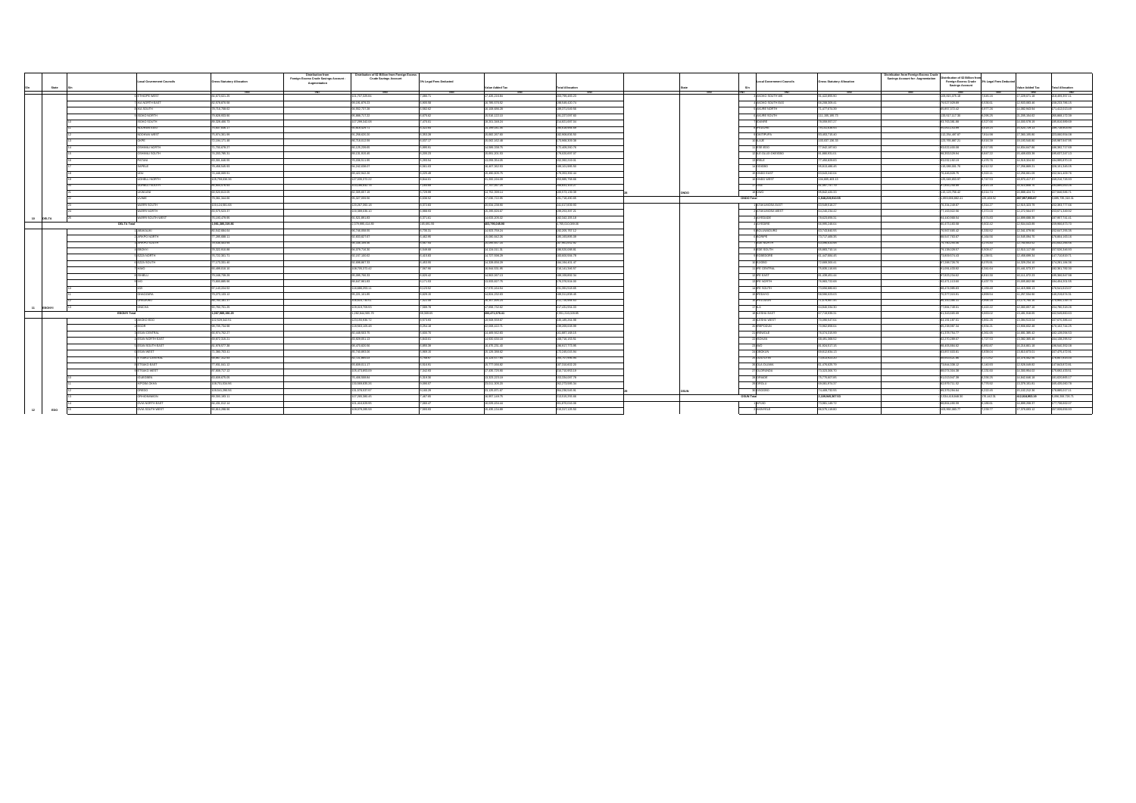|        |        |                                  |                                   | Distribution from                     | istribution of \$2 Billion from Foreign Exces |                       |                  |                  |  |            |                          |                           | Distribution from Foreign Excess Crude | <b>Natibution of \$2 Billion from</b> |                      |                |                  |
|--------|--------|----------------------------------|-----------------------------------|---------------------------------------|-----------------------------------------------|-----------------------|------------------|------------------|--|------------|--------------------------|---------------------------|----------------------------------------|---------------------------------------|----------------------|----------------|------------------|
|        |        | <b>Local Government Councils</b> | <b>Jross Statutory Allocation</b> | Foreign Excess Crude Savings Account- | Crude Savings Account                         | % Legal Fees Deducted |                  |                  |  |            | ocal Government Councils | ross Statutory Allocation | Savings Account for-Augmentation       | Foreign Excess Crude                  | 3% Legal Fees Deduct |                |                  |
|        |        |                                  |                                   | Augmentation                          |                                               |                       | staff bebbA exis | notas alla lato? |  |            |                          |                           |                                        | <b>Savings Account</b>                |                      | lue Added Tax  | tal Allocation   |
|        |        |                                  |                                   |                                       |                                               |                       |                  |                  |  | $-$        |                          |                           |                                        |                                       |                      |                | $   -$           |
|        |        | THOPE WEST                       | 84,673,021.25                     |                                       | 01,707,325.84                                 |                       | 7,426,216.84     | 03.799.483.23    |  |            | MOKO SOUTH WE            | 422,855.90                |                                        | 09.815,075.18                         |                      | 229,071.18     | 0,459,357.11     |
|        |        | <b>A NORTH EAST</b>              | 82,578,870.58                     |                                       | 99,191,879.23                                 | 1,005.58              | 16,785,576.52    | 138,549,420.74   |  |            | AKOKO SOUTH EAS          | 208,309.41                |                                        | 527,929.89                            |                      | 303,033.46     | 18,233,786.15    |
|        |        | KA SOUTH                         | 78,716,708.62                     |                                       | 94,552,737.28                                 | 6,582.62              | 16,108,686.28    | 189,371,549.56   |  |            | AKURE NORTH              | 477,674.39                |                                        | 05,057,372.42                         | 5,977.26             | 14,082,943.94  | 1,412,013.49     |
|        |        | SOKO NORTH                       | 79,828,933.90                     |                                       | 05.008.717.22                                 | 6.675.62              | 15.516.122.10    | 191,227,097.60   |  |            | AKURE SOUTH              | 11.155.195.73             |                                        |                                       |                      | 21.205.154.62  | 205.068.172.39   |
|        |        |                                  |                                   |                                       |                                               |                       |                  |                  |  |            |                          |                           |                                        | 133.517.117.30                        | 1295.25              |                |                  |
|        |        | SOKO SOUTH                       | 89,328,466.73                     |                                       | 107,299,342.08                                | 470.01                | 18,201,348.24    | 14,821,687.04    |  |            | <b>IANR</b>              | 059,557.27                |                                        | 23,763,381.88                         | 6.527.66             | 1,000,578.19   | 185,816,989.09   |
|        |        | <b>OKWA EAST</b>                 | 75,007,836.17                     |                                       | 90,818,429.71                                 | 6.322.64              | 14,199,041.45    | 180,618,984.02   |  |            | <b>FEDORS</b>            | 0,141,638.93              |                                        | 05,053,153.99                         | 6.618.15             | 5,520,729.13   | 189,718,903.90   |
|        |        | DOKWA WEST                       | 75,974,301.99                     |                                       | 91,258,620.20                                 | 6,353.28              | 15,682,267.60    | 182,908,836.50   |  |            | CKINDRUPA                | 3,453,715.40              |                                        | 12,254,497.87                         | 7,814.98             | 17,360,155.80  | 23,060,554.08    |
|        |        |                                  | 72,194,171.48                     |                                       | 86.718.012.59                                 | 6.037.17              | 15,052,162.48    | 173,968,309.38   |  |            | <b>LAR</b>               | 3.037.136.33              |                                        | 123,765,887.21                        | 1.616.39             | 193,540.80     | 145,987,947.95   |
|        |        | HIMLI NORTH                      | 1,700,678.27                      |                                       | 05,125,239.65                                 | 5.995.91              | 14,589,338.75    | 72,409,260.76    |  |            | ESE-EDO                  | 5942,187.60               |                                        | 0,622,400.08                          | 17.85                | 35/1647.86     | 86,392,717.69    |
|        |        | SHIMLI SOUTH                     | 74,203,785.31                     |                                       | 89,131,915.45                                 | 6,205.23              | 15,091,201.53    | 79,020,097.07    |  |            | FE-OFTIMERSION           | 1,880,931.01              |                                        | 98,353,529.94                         | 6.847.22             | 1,409,633.39   | 05,637,247.13    |
|        |        | TANI                             | 63,301,646.55                     |                                       | 6,036,511.95                                  | 223.54                | 13,059,354.05    | 52,392,219.01    |  |            |                          | 450,829.83                |                                        | 032,192.19                            | 1476.76              | 4,519,324.92   | 84,995,870.19    |
|        |        | APELE                            | 78,458,545.93                     |                                       | 94,242,638.07                                 | 6,561.03              | 16,407,362.53    | 189,101,985.50   |  |            | opicac                   | 5,813,486.45              |                                        | 5,082,001.70                          | 012.32               | 7,256,009.21   | 228, 151, 345.05 |
|        |        |                                  |                                   |                                       |                                               |                       |                  |                  |  |            |                          |                           |                                        |                                       |                      |                |                  |
|        |        |                                  | 74.445.009.91                     |                                       | 89,422,942.26                                 | 6,225.49              | 15,490,605.75    | 79.353.392.44    |  |            | ONDO EA!                 | 1,643,242.04              |                                        | 6.446.628.75                          |                      | 2,256,001.09   | 152,341,409.76   |
|        |        | GHELLI NORTH                     | 105,759,036.36                    |                                       | 27,035,372.22                                 | 1,544.01              | 21,200,194.09    | 53,985,758.00    |  |            | MDO WEST                 | 14,605,403.13             |                                        | 25,640,653.97                         | 1,747.53             | 1,970,417.37   | 49,216,726.93    |
|        |        | <b>GHELLI SOUTH</b>              | 85,904,576.93                     |                                       | 103,186,642.78                                | 7.183.69              | 17,747,067.25    | 206,831,103.27   |  |            |                          | 11,407,747.79             |                                        | 97,893,258.89                         | 6.015.10             | 14,510,808.76  | 193,895,000.26   |
|        |        | KWUANI                           | 68,520,813.05                     |                                       | 82,305,657.19                                 | 5,729.99              | 14,752,399.14    | 165,573,139.39   |  |            |                          | 5,842,420.33              |                                        | 15,123,756.42                         | 014.74               | 6,888,424.71   | 27,846,586.71    |
|        |        | <b>CARD</b>                      | 20,301,344.00                     |                                       | 95,327,059.56                                 | 6,636.52              | 17,036,722.95    | 191,718,490.05   |  | ONDO Total |                          | 548,219,910.55            |                                        | 14.183,686,882.41                     | 129,468.52           | 287,957,993.87 | 095,735,318.31   |
|        |        | VARRI SOUTH                      | 100,124,581.68                    |                                       | 120,267,392.18                                | 8,372.83              | 20,634,238.90    | 241,017,839.93   |  |            | ATAKUMOSA EAST           | 1542518.27                |                                        | 76,334,249.87                         | 5.314.27             | 12,515,323.79  | 152,393,777.66   |
|        |        | HTRICKI NARN                     | 83,575,523.37                     |                                       | 100,389,035.10                                | 0,008.03              | 15,295,826.67    | 199,253,397.21   |  |            | TAKUMOSA WEST            | (240,234.42               |                                        | 7,163,922.56                          |                      | 2,272,564.97   | 13,671,349.92    |
|        |        | ARRI SOUTH-WEST                  | 76,193,479.95                     |                                       | 91,521,891.83                                 | 6.371.61              | 14,633,205.02    | 182,342,205.18   |  |            | AIYEDADE                 | 8,623,659.31              |                                        | 94,440,968.54                         | 6.574.83             | 14,020,000.32  | 187,957,741.41   |
|        |        |                                  |                                   |                                       |                                               |                       |                  |                  |  |            |                          |                           |                                        |                                       |                      |                |                  |
|        |        | <b>DELTA Total</b>               | 1,981,385,319.86                  |                                       | 1,379,935,414.89                              | 165,691.59            | 403,795,045.90   | 765,010,089.06   |  |            | <b>VYEDIR</b>            | 6,995,248.64              |                                        | 80,473,183.58                         | 5.002.42             | 2,504,043.89   | 59,966,873.70    |
|        |        | <b>DAKALIKI</b>                  | 0.542.684.64                      |                                       | 96.746.058.55                                 | 6.735.31              | 14,923,759.24    | 192.205.767.12   |  |            | <b><i>DLUWADURO</i></b>  | 1743140.55                |                                        | 76.567.685.42                         | 330.52               | 12,341,079.90  | 12,647,255.35    |
|        |        | <b><i>FIKPO NORTH</i></b>        | 7,285,688.11                      |                                       | 02/833/827-57                                 | 6,462.95              | 5,080,842.26     | 185, 193,895.09  |  |            | <b>IORIPE</b>            | 1.717.469.35              |                                        | 8,547,763.67                          | 164.56               | 545.094.70     | 51.037,400,76    |
|        |        | FIKPO SOUTH                      | 78,536,403.94                     |                                       | 04,336,159.36                                 | 6,567.54              | 15,095,057.16    | 187,961,652.92   |  |            | EDE NORTH                | 02.000.000.0              |                                        | 5,790,255.46                          |                      | 1700,053.52    | 1,642,266.56     |
|        |        |                                  | 78,322,910.88                     |                                       | 4,079,716.30                                  | 6,549.68              | 14,124,011.31    | 186,520,088.81   |  |            | EDE SOUTH                | 883,710.14                |                                        | 9,138,028.57                          |                      | 1,510,117.68   | 1,526,346.93     |
|        |        | <b>ZZA NORTH</b>                 | 76,722,301.71                     |                                       | 22,157,100.62                                 | 6,415.83              | 14,727,598.29    | 183,000,584.78   |  |            | <b>GBEDOR</b>            | 1,447,584.45              |                                        | 1,809,574.43                          | 138.51               | 1458,022.34    | 17,710,819.71    |
|        |        | EZZA SOUTH                       | 77,173,331.40                     |                                       | 92,098,867.33                                 | 6,453.55              | 14,328,656.29    | 184,194,401.47   |  |            | <b>ORDILER</b>           | 2,669,300.41              |                                        | 37,288,726.76                         | 10.076.91            | 14,329,234.10  | 174,281,184.36   |
|        |        |                                  | 0,499,010.10                      |                                       | 08,705,372.42                                 | 7,567.90              | 16,944,531.95    | 116,141,346.57   |  |            | FE CENTRAL               | 3335,116.66               |                                        | 91,091,433.92                         | 1341.64              | 1,441,573.37   | 182,361,782.30   |
|        |        | MELL                             | 79,168,739.29                     |                                       | 05,095,706.33                                 | 6,620.42              | 14,902,067.13    | 189,159,892.34   |  |            | IFE EAST                 | 1.439.451.44              |                                        | 97,823,234.62                         | 6.810.30             | 16,111,072.23  | 195,366,947.98   |
|        |        |                                  | 3,800,885.96                      |                                       | (647,961.83)                                  | 71.53                 | 1,933,827.75     | 76,376,554.00    |  |            | FE NOR                   | 383,722.68                |                                        | 171.113.60                            | 437.70               | 005,802.98     | 84,454,201.55    |
|        |        |                                  | 7,143,224.52                      |                                       | 16,686,253.11                                 | 8,123.52              | 17,570,164.54    | 231,391,518.65   |  |            | <b>LIFE SOUTH</b>        | 1,03,003,033,0            |                                        | 03,474,985.83                         | 159.49               | 14,415,906.13  | 76,541,613.07    |
|        |        |                                  |                                   |                                       |                                               |                       |                  |                  |  |            |                          |                           |                                        |                                       |                      |                |                  |
|        |        | <b>ICIZARA</b>                   | 79.273.133.12                     |                                       | 05:221.101.85                                 | 6.629.15              | 14,824,232.63    | 189,311,838.45   |  |            | EDAYO                    | 1,590.023.03              |                                        | 70.377.015.91                         | 109.54               | 257.534.90     | 40.219.674.31    |
|        |        | HALIKWU                          | 88,760,181.37                     |                                       | 106,616,730.51                                | 7,422.40              | 16,357,495.24    | 11,726,984.63    |  |            | <b>FELOCAIN</b>          | 1,679,987.45              |                                        | 06,100,386.31                         | 1.994.18             | 1,175,760.16   | 70,950,139.74    |
|        | EBONYI | MCHA                             | 90,760,701.25                     |                                       | 09.019,709.93                                 | 7,589.78              | 17,658,732.62    | 17,431,554.03    |  |            |                          | 00 ACC, 040.1             |                                        | 1,884,749.01                          | 422.22               | 2,060,657.16   | 154,780,318.26   |
|        |        | <b>EBONYI Total</b>              | 1,057,989,195.29                  |                                       | 1,282,844,565.79                              | 89,309.65             | 200,471,576.41   | 2,551,216,028.85 |  |            | <b>ILESHAEAS</b>         | 7,719,939.31              |                                        | 03.333,042,18                         |                      | 3,491,918.65   | 162,549,860.63   |
|        |        | DOI ONCY                         | 02:529.342.51                     |                                       | 23.155.936.72                                 | 8.573.93              | 19,508,559.67    | 245,185,264.98   |  |            | LESIA WES                | 1,090,547.64              |                                        | 4.191.187.01                          | 861.26               | 394,513.04     | 67,670,386.44    |
|        |        |                                  | 80,705,734.98                     |                                       | 18,563,105.48                                 | 8.254.18              | 22,008,422.71    | 239,209,008.99   |  |            | REPODUN                  | 362.558.64                |                                        | 05,230,987.34                         |                      | 1,906,832.48   | 0,102,744.25     |
|        |        | SAN CENTRAL                      | 66,974,702.27                     |                                       | 80,448,503.75                                 | 5,000.70              | 14,403,552.83    | 161,887,168.15   |  |            | REWOLE                   | 074,315.99                |                                        | 91,378,754.77                         | 6.361.65             | 14,681,385.42  | 182,128,094.53   |
|        |        | <b>JAN NORTH EAS</b>             | 69,872,315.21                     |                                       | 3,929,051.13                                  | 843.01                | 14,920,630.18    | 168,716,153.51   |  |            |                          | 1,491,368.52              |                                        | 2,270,289.07                          | 727.53               | 1,382,355.46   | 04, 138, 295.52  |
|        |        | SAN SOUTH EAST                   | 81,978,577.38                     |                                       | 28,470,820.56                                 | 6,855.39              | 16,475,231.40    | 196,917,773.95   |  |            |                          | 1,924,517.15              |                                        | 98,405,884.62                         | 6.850.87             | 16,216,801.18  | 196,540,352.08   |
|        |        | SAN WEST                         | 71,380,703.41                     |                                       | 85.740.023.05                                 | 5,909.15              | 15,129,388.62    | 172,245,015.94   |  |            | 24 OBDIO.IN              | 23.812.834.13             |                                        | 83,857,603.81                         | 10,838.2             | 13,810,873.01  | 167,475,472.91   |
|        |        | AKO CENTRAL                      | 68,867,312.93                     |                                       | 82,721,865.03                                 | 1,758.97              | 14,124,577.94    | 10.000,107,236   |  |            |                          | ,013,923,20               |                                        | 38.153.023.00                         |                      | 376,442.56     | 6,847,815.00     |
|        |        |                                  |                                   |                                       |                                               |                       |                  |                  |  |            |                          |                           |                                        |                                       |                      |                |                  |
|        |        | <b>TSAKO EAS</b>                 | 77,931,041.12                     |                                       | 93,609,011.17                                 | 6.516.91              | 15,777,066.82    | 187,310,602.20   |  |            | <b>OLA OLUWA</b>         | 1,476,625.79              |                                        | 73,844,338.12                         | 5.140.93             | 2,528,049.82   | 147,843,872.81   |
|        |        | TSAKO WEST                       | 87,000,717.12                     |                                       | 105.473.853.09                                | 7,342.93              | 17,435,725.90    | 210,710,953.19   |  |            | 27 OLORUNDA              | 332330570                 |                                        | 80,074,304.38                         | 6.131.60             | 14,300,954.02  | 5,092,433.51     |
|        |        | UDGBEN                           | 13,009,075.05                     |                                       | 76,406,508.84                                 | 5,319.30              | 13,323,223.19    | 153,334,087.78   |  |            | <b>BORIADE</b>           | 770,607.85                |                                        | RETACTO.N                             | 336.25               | 4.842.646.18   | 1.620.865.17     |
|        |        | <b>SPOBA OKHA</b>                | 108.701.534.95                    |                                       | 130.569.835.26                                | 9.090.07              | 23,011,305.20    | 262.273.585.34   |  |            | 29 OROLU                 | 2081.274.37               |                                        | 82979.711.52                          | 1776.92              | 13,379,151.81  | 05,435,000.78    |
|        |        |                                  | 0,541,296.50                      |                                       | 31,578,537.9                                  |                       | 125,871.6        | 4,236,545.91     |  |            |                          | 409,732.5                 |                                        |                                       |                      | 12,212.36      |                  |
|        |        | RHONMANON                        | 89,300,193.11                     |                                       | 107,265,380.45                                | 7.467.05              | 16,957,149.75    | 13,515,255.00    |  | OSUN Total |                          | 109,945,367.53            |                                        | 2,534,418,848.30                      | 176.442.31           | 412,018,953.19 | 5,056,206,726.71 |
|        |        | VIA NORTH EAST                   | 84,431,012.14                     |                                       | 01,415,629.95                                 | 7,000.47              | 16,029,434.44    | 20.210,015.05    |  |            |                          | 1,981,149.72              |                                        | 02.004.450.59                         |                      | 4,899,208.37   | 7,738,662.07     |
| $-0.1$ | EDO    | <b>WA SOUTH WEST</b>             | 90,810,298.95                     |                                       | 109,079,285.58                                | 7,593.93              | 15,435,134.89    | 215,317,125.50   |  |            | 2 AIGNYELE               | 16,575,119.80             |                                        | 103 992 083 77                        | 7,239.77             | 7.379.693.12   | 07,939,656.93    |
|        |        |                                  |                                   |                                       |                                               |                       |                  |                  |  |            |                          |                           |                                        |                                       |                      |                |                  |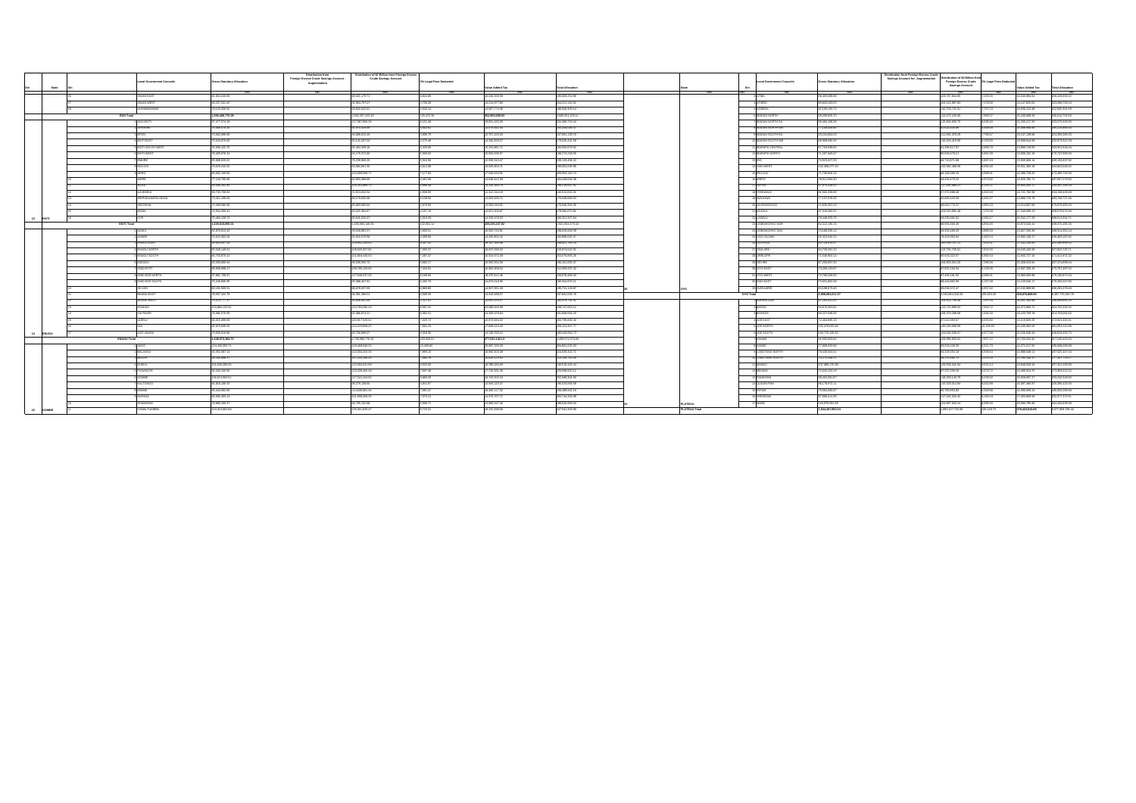|          |       |                    |                                  |                          | Distribution from                     | <b>Distribution of \$2 Billion from Foreign Exces</b> |                       |                |                  |                      |              |                          |                                   | listribution from Foreign Excess Crude | atribution of \$2 Billion fro |                       |                         |                  |
|----------|-------|--------------------|----------------------------------|--------------------------|---------------------------------------|-------------------------------------------------------|-----------------------|----------------|------------------|----------------------|--------------|--------------------------|-----------------------------------|----------------------------------------|-------------------------------|-----------------------|-------------------------|------------------|
|          |       |                    | <b>Local Government Councils</b> | oss Statutory Allocation | Foreign Excess Crude Savings Account- | Crude Savings Account                                 | % Legal Fees Deducted |                |                  |                      |              | ocal Government Councils | <b>Iross Statutory Allocation</b> | Savings Account for-Augmentation       | Foreign Excess Crude          | 3% Legal Fees Deducte |                         |                  |
|          | State |                    |                                  |                          | Augmentation                          |                                                       |                       | also Added Tax | noitecoliA let   |                      | <b>Still</b> |                          |                                   |                                        | <b>Savings Account</b>        |                       | alue Added Tax          | notal Allocation |
|          |       |                    |                                  |                          |                                       |                                                       |                       |                |                  |                      |              |                          |                                   |                                        |                               |                       |                         |                  |
|          |       |                    | <b>NAN EAS</b>                   | 004,240.05               |                                       |                                                       |                       | 046,059.58     | 1,005,251.00     |                      |              |                          | 405,086.88                        |                                        | 1787.844.05                   |                       | $-2000$<br>6,040,984.64 | 5,226,690.02     |
|          |       |                    | <b>MAN WEST</b>                  | 1,237,041.40             |                                       | 364,737.07                                            | ,706.26               | 4,214,977.80   | 4,411,110.01     |                      |              |                          | 80,183.05                         |                                        | 0,112,897.83                  | 7.178.56              | 14,147,825.81           | 0,096,728.13     |
|          |       |                    | <b>SCIVO/MARUHI</b>              | 1,125,035.30             |                                       | 1,842,032.61                                          | 533.14                | 14,957,774.35  | 86,928,309.14    |                      |              |                          | 105,105.72                        |                                        | 0,706,721.01                  | 1,707.23              | 9,636,122.48            | 22,500,301.99    |
|          |       | EDO Total          |                                  | 500,408,775.08           |                                       |                                                       |                       | 02.000.006.93  |                  |                      |              | MOAN NORTH               | 299 905 70                        |                                        |                               | 7.969.37              | 20.446.003.26           | 130.210.704.65   |
|          |       |                    |                                  |                          |                                       | 1,802,257,223.45                                      | 125,470.36            |                | 1,605,501,225.11 |                      |              |                          |                                   |                                        | 114,472,100.06                |                       |                         |                  |
|          |       |                    | DO EXITI                         | 477,574.18               |                                       | 7,087,855.39                                          | 151.40                | 3,031,430.35   | 34,388,719.44    |                      |              | <b>AN NORTH EA</b>       | 484,168.36                        |                                        | 5,894,609.70                  | 3,068.40              | 1,205,217.25            | 0,575,926.90     |
|          |       |                    | ITEKRE                           | 1,566,570.25             |                                       | 1,970,039.49                                          | 402.81                | 14,675,842.44  | 13,206,049.37    |                      |              | <b>DAN NORTH WE</b>      | 08.000,000                        |                                        | 1620.400.89                   | 6,448.09              | 15,498,906.84           | 85,220,866.44    |
|          |       |                    | EFON                             | 70,502,999.99            |                                       | 4,686,615.49                                          | 1225.75               | 12,707,420.03  | 37,031,133.76    |                      |              | A3 HTUD2 WAD             | 0.234,054.03                      |                                        | 111,991,378.29                | 1,796.67              | 19,137,139.68           | 224,355,385.33   |
|          |       |                    | <b>SOTI PART</b>                 | 043,870.65               |                                       | 141,007.04                                            | 275.48                | 4,346,829.37   | 9.525.431.58     |                      |              | DAN SOUTH WE             | \$08,590.45                       |                                        | 6,404,415.95                  | 8.103.90              | 3.003.044.58            | 132,973,547.08   |
|          |       |                    | EKITI SOUTH WEST                 | 6,928,122.70             |                                       | 02,404,328.16                                         | 433.05                | 15,224,861.71  | 84,550,879.52    |                      |              | VRAPA CENTRAL            | 763,932.62                        |                                        | 396.517.87                    | 5,666.70              | 13,896,743.65           | 53,051,534.44    |
|          |       |                    | <b>KITI WEST</b>                 | 8,405,876.44             |                                       | 94,179,372.66                                         | 556.62                | 5,094,536.07   | 188,273,228.55   |                      |              | ARAPA NORTH              | 287,949.47                        |                                        | 5.629.479.12                  | 5.001.39              | 13,836,102.16           | 70.747.509.35    |
|          |       |                    | <b>SALMA</b>                     | 5,968,525.02             |                                       | 9,239,906.29                                          | 516.56                | 12,930,543.47  | 58, 133, 458.22  |                      |              |                          | 523,027.33                        |                                        | 710.671.88                    | 5.897.43              | 13,905,806.14           | (69,133,607.92   |
|          |       |                    | anti                             | 9,076,242.52             |                                       | 4.984.601.30                                          | 612.68                | 15.026.804.71  | 189,081,035.85   |                      |              | AKI WES                  | 22368277.10                       |                                        | 22.952.468.58                 | 1,560.46              | 19.521.363.19           | 44.843.548.42    |
|          |       |                    |                                  | 432.509.69               |                                       | 3.099.596.                                            |                       | 028,616.91     |                  |                      |              |                          |                                   |                                        |                               | 5.998.91              |                         |                  |
|          |       |                    |                                  |                          |                                       |                                                       |                       |                | 5,953,145.74     |                      |              |                          | 736,606.16                        |                                        | 168,395.43                    |                       | 14,386,728,25           | 2,285,730.93     |
|          |       |                    | CERE                             | 143,795.09               |                                       | 02.053.389.09                                         | 451.00                | 4,548,912.09   | 54.449.646.38    |                      |              |                          | 1511,594.30                       |                                        | 4.426.476.32                  | 6.573.82              | 14525.782.71            | 87.557.279.50    |
|          |       |                    | $_{\text{out}}$                  | 1,546,263.45             |                                       | 00,353,889.75                                         | 305.40                | 5,326,380.79   | 10,210,547.51    |                      |              |                          | 375,438.01                        |                                        | 7,685,889.21                  |                       | 18,844,055.17           | 134,497,189.28   |
|          |       |                    | <b>LIMES</b>                     | 8,703,758.63             |                                       | 513,632.54                                            | 309.05                | 1,312,344.19   | 40.524.826.31    |                      |              |                          | 552,458.89                        |                                        | 17.970.988.40                 | 6.820.59              | 14,721,782.98           | 04,248,409.68    |
|          |       |                    | EPODUNIFELODUN                   | 3,411,159.09             |                                       | 179,830.68                                            | 138.94                | 4,053,835.71   | 5,048,030.53     |                      |              |                          | 157,978.35                        |                                        | (580,425.59)                  | 6.452.27              | 13,896,775.79           | 83,728,727.46    |
|          |       |                    | <b>ZUORUN</b>                    | 1,499,580.58             |                                       | 5,883,685.64                                          | 5,979.09              | 3,509,094.91   | 70,946,382.05    |                      |              | 20 OLORUNSOGO            | 1,630,361.19                      |                                        | 6,040,776.37                  | 5 990.03              | 13,214,807.99           | 70,879,955.53    |
|          |       |                    | <b>COLA</b>                      | 1,944,255.41             |                                       | 00,021,364.67                                         | 267.15                | 14,621,306.87  | 9,580,670.81     |                      |              | uou                      | 015,360.92                        |                                        | 104,520,891.48                | 7.276.58              | 1.046.025.13            | 108,575,670.95   |
|          |       |                    |                                  | 460,139.72               |                                       | 0,641,020.07                                          | 310.29                | 226,478.33     | 0,321,327.84     |                      |              | AGELL                    | 1,448,325.75                      |                                        | 4,230,361.81                  | 560.17                | 5,342,177.33            | 88,014,304.71    |
|          |       | <b>EXITI Total</b> |                                  | 1,220,510,855.01         |                                       | 405,050,146.05                                        | 10205414              | 235,235,237.92 | 921 694 175 44   |                      |              | CROMOSHO NOR             | 2,412,190.15                      |                                        | 33, 991, 006.45               | 5.891.65              | 16,973,520.41           |                  |
|          |       |                    |                                  |                          |                                       |                                                       | 930.51                |                |                  |                      |              |                          |                                   |                                        |                               |                       |                         | 198,370,485.36   |
|          |       |                    |                                  | 1,876,913.42             |                                       | 1,549,881.57                                          |                       | 505,743.91     | 98,925,008.39    |                      |              | DOS ONZOMOGI             | 100,535.14                        |                                        | 20.339,300.                   | 5.869.29              | 13,827,200.36           | (58,314,351.24)  |
|          |       |                    | NIMPI                            | 522,063.16               |                                       | ,916,578.58                                           | 222.09                | 14,435,802.42  | 82,868,045.07    |                      |              | <b>D-OLUWA</b>           | 322,540.25                        |                                        | 10,463,963.94                 | 5,462.54              | 2,682,146.17            | 55,463,187.82    |
|          |       |                    | ENUGU EAST                       | 9,820,557.04             |                                       | 119,902,204.63                                        | 1347.41               | 19,107,350.98  | 238,821,765.24   |                      |              | 30 OLUVOLE               | 1,725,976.57                      |                                        | 100.569.757.11                | 7,001.51              | 17,102,226.93           | 101,390,959.10   |
|          |       |                    | NUGU NORTH                       | 1,349,145.01             |                                       | 108,525,357.85                                        | 555.37                | 007,095.02     | 5,874,042.51     |                      |              | <b>NA-ARA</b>            | 733,491.10                        |                                        | 13,791,735.61                 | 7,922.00              | 9,105,420.99            | 27,622,725.71    |
|          |       |                    | NUGU SOUTH                       | 1,753,870.41             |                                       | 101,804,440.03                                        | 087.47                | 6,524,672.28   | 3,075,895.26     |                      |              | <b>IDEI OD</b>           | 540,004.14                        |                                        | 5,933,322.57                  | 1002.54               | 13,943,727.16           | 71,411,971.32    |
|          |       |                    | ZEAGU                            | 2.035.800.54             |                                       | 8.539.555.73                                          | 553.17                | 15.592.554.20  | 12030.050.09     |                      |              | DRI IRE                  | 250, 557.30                       |                                        | 04.803.524.20                 | 7,296.26              | 5.428.013.81            | 07,474,899.04    |
|          |       |                    | <b>GBO ETITI</b>                 | 8.908.698.17             |                                       | 106,795,125.55                                        | A34.91                | 16,062,908.52  | 2,559,297.32     |                      |              | 30 GYO EAST              | 1,209,123.87                      |                                        | 937.150.54                    | 6,122.05              | 14,567,335.15           | 75,707,487.52    |
|          |       |                    | <b>GBO EZE NORTH</b>             | 7,861,739.57             |                                       | 17,549,317.20                                         | 183.60                | 18,475,612.46  | 13.878.485.63    |                      |              | <b>IYO WES</b>           | 2,706,259.25                      |                                        | 17.405.191.52                 | 6,085.01              | 14,965,505.88           | 75.130.871.64    |
|          |       |                    | 200 EZE SOUT                     | 149,835.9                |                                       | 0,388,407.9                                           |                       | 873,018.95     | 504,970.1        |                      |              |                          | 631,802.48                        |                                        | 44,002.                       |                       |                         | 1,200,047.80     |
|          |       |                    | <b>HERD</b>                      | 2,151,505.51             |                                       | 08,678,537.93                                         | ang an                | 14,907,951.28  | 195,731,124.87   |                      |              | 2102111-0103             | 1,198,673.45                      |                                        | 0,036,372.47                  | 6057.42               | 15, 152, 989.99         | 98,281,078.49    |
|          |       |                    | <b>IKANU EAST</b>                | 78,557,324.79            |                                       | 94,361,289.01                                         | 1,503.29              | 14,919,488.27  | 187,831,532.79   |                      | OYO Total    |                          | 2,698,064,511.27                  |                                        | 3,240,854,316.20              | 225,623.26            | 529,076,058.55          | 5,467,770,062.76 |
|          |       |                    | KANU WEST                        | 5,474,777.37             |                                       | 058.002.49                                            | 100.00                | 4.852.676.57   | 80.979.744.92    |                      |              | <b>PICINI I AM</b>       | 200 041.83                        |                                        | 104.814.795.68                | 7,297.04              |                         |                  |
|          |       |                    |                                  |                          |                                       |                                                       |                       |                |                  |                      |              |                          |                                   |                                        |                               |                       | 58.001,340.55           | 108,068,882.35   |
|          |       |                    | <b>SUKKA</b>                     | 03.884.132.91            |                                       | 124,783,280.43                                        | 1,617.22              | 0,088,926.99   | 248,747,653.12   |                      |              |                          | 18.070.353.81                     |                                        | 13,715,896.52                 | 7.916.72              | 16.373.805.72           | 124,752,200.32   |
|          |       |                    | DJI RIVER                        | 6,081,075.56             |                                       | 386,874.21                                            |                       | 4,206,476.64   | 11,008,004.20    |                      |              | <b>OKXO!</b>             | 1,227,548.35                      |                                        | 63.022,074.001                | 7,545.20              | 16,103,759.78           | 14,703,061.62    |
|          |       |                    | <b>DENU</b>                      | 4,015,499.08             |                                       | 100,917,525.02                                        | 025.72                | 15,873,684.02  | 00,729,682.40    |                      |              | <b>DS EAS</b>            | 2,464,695.19                      |                                        | 7.042.959.57                  | 5.059.80              | 13,119,825.25           | 72,621,420.21    |
|          |       |                    |                                  | 1,973,835.32             |                                       | 0,476,899.25                                          | 591.23                | 7,658,414.43   | 20,101,457.77    |                      |              | JOS NORTH                | 1,479,622.84                      |                                        | 45,918,586.59                 | 10,158.63             | 24,165,062.08           | 191,553,112.89   |
| 14 ENUGU |       |                    |                                  | 556,610.89               |                                       | 0,756,899.07                                          | 3,118.35              | 14,138,765.12  | 180,445,956.73   |                      |              | <b>6 JOS SOUTH</b>       | 13,770,135.63                     |                                        | 24,646,349.47                 | 03.113.8              | 0,225,646.34            | 148,633,453.75   |
|          |       | <b>ENUGU Total</b> |                                  | 446,073,384.70           |                                       | 736,990,776.45                                        | 20,926.61             | 7,031,142.13   | 63,974,376.68    |                      |              |                          | 565,903.64                        |                                        | 09.986,900.91                 | 7.657.12              | 5,700,254.40            | 7.245.401.83     |
|          |       |                    | юс                               | 14,435,355.71            |                                       | 149,468,946.33                                        | 1,405.80              | 0,987,330.29   | 14,881,226.53    |                      |              | ANKE                     | 869,032.86                        |                                        | 534,528.25                    | 6,511.73              | 14,271,017.50           | 5,008,000.00     |
|          |       |                    | <b>BALANGA</b>                   | 94,352,587.14            |                                       | 13,334,202.35                                         | 220.15                | 16,960,503.35  | 14,639,402.71    |                      |              | ANGTANG NORTH            | 1,430,004.01                      |                                        | 34,208,354.16                 | 6.558.64              | 14,555,645.11           | 07,520,447.64    |
|          |       |                    | <b>LLRI</b>                      | 1,265,898.27             |                                       | 07,224,186.26                                         | 464.78                | 6,626,123.52   | 3,108,743.26     |                      |              | <b>IGTANG SOUTH</b>      | 273,358.11                        |                                        | 0,215,484.73                  | 6.211.04              | 13,785,146.37           | 7,267,778.17     |
|          |       |                    | <b>DOKKU</b>                     | 101,645,289.36           |                                       | 22,094,031.99                                         | ,500.00               | 16,788,284.09  | 40,519,105.44    |                      |              |                          | 17,689,170.98                     |                                        | 23,534,041.94                 | 2,022.14              | 12,546,918.16           | 57,321,108.95    |
|          |       |                    | INAKAYE                          | 4,440,166.05             |                                       | 13,439,400.18                                         | 7,027.40              | 17,716,931.36  | 25,588,600.12    |                      |              | <b>DCANI</b>             | 2543.103.19                       |                                        | 17.257.259.25                 | 6.074.72              | 13.499.324.70           |                  |
|          |       |                    |                                  |                          |                                       |                                                       |                       |                |                  |                      |              |                          |                                   |                                        |                               |                       |                         | 73,393,612.42    |
|          |       |                    | COMBE                            | 06,013,563.51            |                                       | 127,341,104.50                                        | 865.29                | 18,742,502.19  | 52,088,304.90    |                      |              |                          | 1,452,681.87                      |                                        | 18,259,143.79                 | 8233.02               | 6,528,957.27            | 1,232,549.92     |
|          |       |                    | <b>ALTUNGO</b>                   | 1,818,100.53             |                                       | 08,278,138.66                                         | 5845.97               | 14,944,133.37  | 05/033 596.58    |                      |              | <b><i>ESCANDAN</i></b>   | 6,178,972.11                      |                                        | 15.528.014.84                 | 5.042.55              | 16,697,480.87           | 28,396,424.93    |
|          |       |                    |                                  | 1444,564.90              |                                       | 4,645,861.44                                          | 981.47                | 1,406,117.32   | 15,455,562.19    |                      |              |                          | 564,065.87                        |                                        | 765,853.82                    | 6.318.98              | 4,596,656.24            | 80,920,256.96    |
|          |       |                    | <b>AFADA</b>                     | 4.582.263.14             |                                       | 1.598.309.25                                          | 073.12                | 570.707.71     | 0.744.206.98     |                      |              | SHENDAM                  | 689.411.35                        |                                        | 7,342,320.42                  | 8.169.19              | 7,053,809.93            | 32,077,372.51    |
|          |       |                    | <b>HOMGOM</b>                    | 78,885,206.37            |                                       | 94,755,132.95                                         | 5,596.71              | 4,939,247.40   | 88.632.990.04    | <b>PLATEAU</b>       |              |                          | 03.979.591.59                     |                                        | 124.897.943.24                | 8,695.20              | 15.565.795.45           | 144.434.635.08   |
| 15 GOMBE |       |                    | AMALTULDEBA                      | 04,315,003.08            |                                       | 125,301,625.47                                        | 723.31                | 1,332,698.06   | 47,941,263.90    | <b>PLATEAU Total</b> |              |                          | 1,544,407,693.24                  |                                        | 1,855,107,732.86              | 129,149.73            | 278,423,510.06          | 1,677,809,786.44 |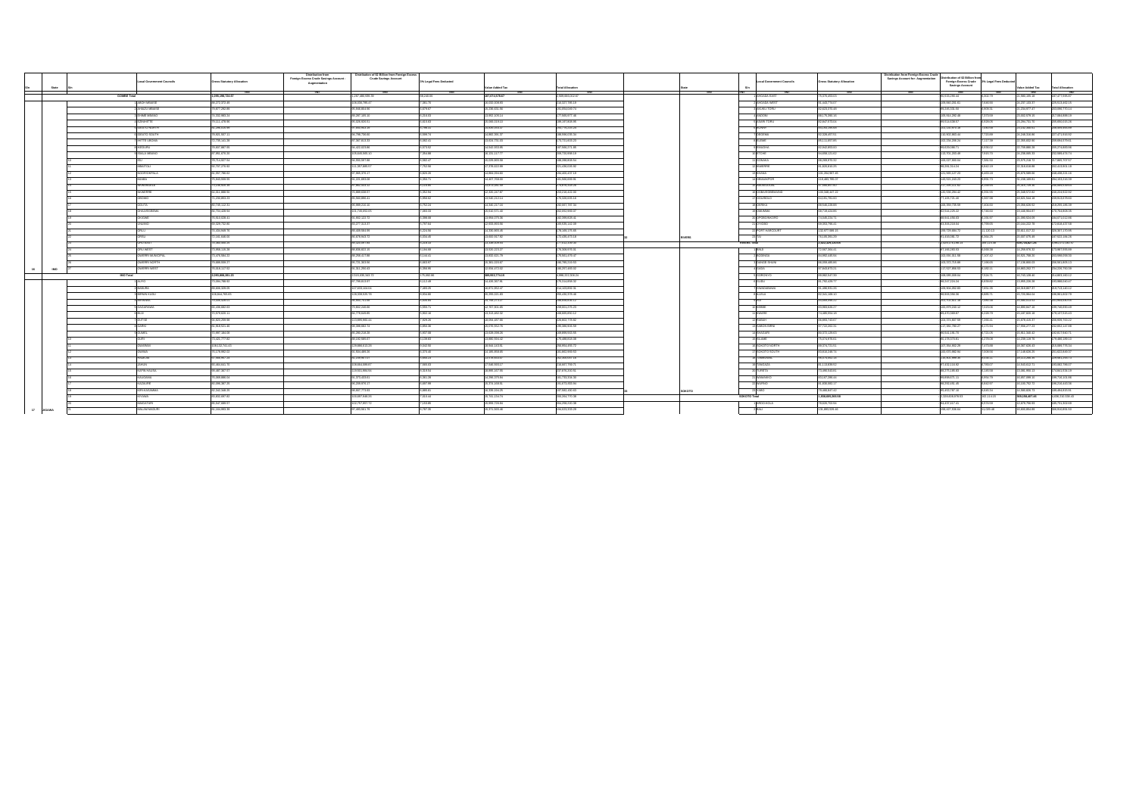|           |           |                    |                             |                                   | Distribution from                      | stribution of \$2 Billion from Foreign Exces |                              |                                |                  |              |                     |                          |                           | Distribution from Foreign Excess Crude | Istribution of \$2 Billion from            |              |                      |                  |
|-----------|-----------|--------------------|-----------------------------|-----------------------------------|----------------------------------------|----------------------------------------------|------------------------------|--------------------------------|------------------|--------------|---------------------|--------------------------|---------------------------|----------------------------------------|--------------------------------------------|--------------|----------------------|------------------|
|           |           |                    | ocal Government Councils    | <b>Jross Statutory Allocation</b> | Foreign Excess Crude Savings Account - | Crude Savings Account                        | <b>S Legal Fees Deducted</b> |                                |                  |              |                     | ocal Government Councils | ross Statutory Allocation | Savings Account for-Augmentation       | Foreign Excess Crude 3% Legal Fees Deducts |              |                      |                  |
|           |           |                    |                             |                                   | Augmentation                           |                                              |                              | also Added Tax                 | otal Allocation  |              |                     |                          |                           |                                        | <b>Savings Account</b>                     |              | <b>Jue Added Tax</b> | notal Allocation |
|           |           |                    |                             |                                   |                                        |                                              |                              |                                |                  | <b>SINCE</b> | $\sim$              |                          |                           |                                        |                                            |              |                      | $-10$            |
|           |           | <b>GOMBE Total</b> |                             | 1,055,198,724.67                  |                                        | 267,480,939.39                               | 8.240.00                     | 187,074,578.67                 | 1000 002         |              |                     |                          |                           |                                        | 13,290.44                                  |              | 1,580,155.18         | 07,477,595.87    |
|           |           |                    | <b>ABON MBAISE</b>          | 88,272,372.49                     |                                        | 0,030,785.47                                 | ,381.70                      | 6,032,008.93                   | 10,327,785.19    |              |                     | HOADA WES                | 40,774.07                 |                                        | 0,840,201.61                               |              | 4,237,133.37         | 25,513,462.15    |
|           |           |                    | <b>HIAZU MBAISE</b>         | 79,877,292.89                     |                                        | 26,946,804.95                                | 6,679.67                     | 15,236,631.56                  | 121,054,042.74   |              |                     | AKUKU-TORU               | 523,370.48                |                                        | 1,245,331.50                               | 100023       | 1,234,977.47         | 0,096,770.14     |
|           |           |                    | OWADVI 3MH2                 | 74,332,983.24                     |                                        | 89,287,105.10                                | 6,216.03                     | 13,952,105.14                  | 77,565,977.46    |              |                     | ANDONE                   | 8.175.390.16              |                                        | 05.914.292.48                              | 7,373.59     | 23.002.579.15        | 17.084.888.19    |
|           |           |                    | ZININTTE                    | 79,111,478.96                     |                                        | 05,026,926.51                                | E3.213,3                     | 15,066,019.10                  | 89,197,808.95    |              |                     | <b>SARI-TORU</b>         | 547,573.04                |                                        | 514,638.57                                 | 6.928.05     | 23,294,731.70        | 05,650,015.26    |
|           |           |                    |                             |                                   |                                        |                                              |                              |                                |                  |              |                     |                          |                           |                                        |                                            |              |                      |                  |
|           |           |                    | <b>EATO NORTH</b>           | 11,296,015.99                     |                                        | 7,650,943.19                                 | 5,798.31                     | 14,835,054.37                  | 93,775,215.24    |              |                     |                          | 193.195.68                |                                        | 101,130,970.18                             | 040.58       | 23,142,340.61        | 108,459,465.89   |
|           |           |                    | <b>EATO SOUTH</b>           | 78,921,507.11                     |                                        | 03.325,736.60                                | 6,529.74                     | 14,882,391,37                  | 188,596,035.34   |              |                     | <b>DEGEMA</b>            | 328,457.51                |                                        | 10,902,863.44                              | 720.89       | 24,248,316.86        | 227,471,916.92   |
|           |           |                    | <b>HITTE UBOMA</b>          | 2.735.141.28                      |                                        | 7.367.813.33                                 | 5,082.41                     | 3,624,731.03                   | 73,721,603.23    |              |                     |                          | 111,657.85                |                                        | 02 234 205 24                              | 117.39       | 22.355.832.90        | 09.094.579.61    |
|           |           |                    | CEDURU                      | 78,007,887.55                     |                                        | 1,422,023.86                                 | 5,573.52                     | 4,542,933.95                   | 87,566,271.85    |              |                     |                          | 942,853.00                |                                        | 1629.006.71                                | 1936.02      | 2,709,880.28         | 105,274,883.96   |
|           |           |                    | <b>CIALA MEANO</b>          | 17,951,670.20                     |                                        | 07.045,565.10                                | 7,354.88                     | 6,131,117.77                   | 109,720,998.19   |              |                     |                          | 1,058,121.02              |                                        | 13,701,203.49                              | 915.70       | 24,238,005.33        | 132,589,474.74   |
|           |           |                    |                             | 78,714,927.54                     |                                        | 1,550,597.88                                 | 582.47                       | 5,029,865.58                   | 88,255,808.54    |              |                     |                          | 269,970.32                |                                        | 06.027,900.04                              | 7.381.50     | 1,575,218.72         | 17,055,707.57    |
|           |           |                    | LOTIAS                      | 92,707,270.92                     |                                        | 1,357,885.57                                 | 7,752.56                     | 17,378,622.99                  | 21,436,026.92    |              |                     |                          | 820,810.25                |                                        | 0,201,314.24                               | 6.842.19     | 22,318,618.88        | 102,413,901.18   |
|           |           |                    | <b>IGOROKPALA</b>           | 11,557,786.62                     |                                        | ,965,376.11                                  | 5,820.20                     | 4,854,094.60                   | 94,400,437.19    |              |                     |                          | 01:204:967:45             |                                        | 21.565.127.23                              | 8463.18      | 5.676.589.66         | 48,438,221.16    |
|           |           |                    |                             | 5,943,559.55                      |                                        | 221,093.08                                   | 350.71                       | 14,407,768.00                  | 10.000,000.18    |              |                     | ROTALANDE                | 3,483,795.07              |                                        | 0,521,243.23                               | 2.991.73     | 1,158,169.81         | 194, 153, 216.39 |
|           |           |                    | KWANGELE                    | 73,146,920.39                     |                                        | 7,862,433.12                                 | 5,116.05                     | 13,873,081.59                  | 74,876,318.26    |              |                     | <b>ABUA/ODUAL</b>        | 1506357.00                |                                        | 17,195,111.62                              | 815894       | 25,315,729.36        | 40,009,539.64    |
|           |           |                    | NKWERRE                     | 14,011,888.50                     |                                        | 1,009,638.57                                 | 5,352.94                     | 12,320,247.87                  | 53,216,422.00    |              |                     | <b>SBA/DGBEMA/N</b>      | 0,348,447.22              |                                        | 20,536,294.42                              | 1.391.55     | 5,348,572.82         | 46,224,922.92    |
|           |           |                    | mmmmm                       | 1,230,853.23                      |                                        | 5,560,896.41                                 | 1,956.62                     | 3,540,212.14                   | 70,326,005.16    |              |                     | CJOSUDO                  | 4,191,781.00              |                                        | 105.721.40                                 | 5.367.98     | 18.621.544.18        | 59,913,678.00    |
|           |           |                    |                             |                                   |                                        |                                              |                              |                                |                  |              |                     |                          |                           |                                        |                                            |              |                      |                  |
|           |           |                    | <b>OGUTA</b>                | 80,745,112.31                     |                                        | 96,989,210.10                                | 6,752.24                     | 14,340,217.16                  | 192,067,787.34   |              |                     | <b>BIOKRIKA</b>          | 546.228.88                |                                        | 106.359.735.59                             | 7,404.60     | 23.356.626.52        | 218,255,186.39   |
|           |           |                    | NAJIEGEEMA                  | \$4,704,428.94                    |                                        | 1,745,052.05                                 | 083.33                       | 15,610,571.40                  | 02,052,969.07    |              |                     | OMUMBER                  | 719.424.86                |                                        | 2544.225.22                                | 5.746.60     | 19,446,904.87        | 70,704,808.35    |
|           |           |                    | <b>KIGWE</b>                | 76,510,028.41                     |                                        | 91,902,122.72                                | 6,398.08                     | 13,994,075.36                  | 182,399,828.41   |              |                     | 20 OPOBO/NKDRO           | 4,045,224.71              |                                        | 10.041.455.03                              | 6.191.97     | 1.090.524.09         | 84,071,012.86    |
|           |           |                    | NUMC                        | 69,329,732.80                     |                                        | 0,277,313.37                                 | 5,797.64                     | 12,933,893.56                  | 65,535,142.09    |              |                     | onca                     | 353,796.41                |                                        | 1,306,218.04                               | 799.65       | 10,164,222.78        | 72,818,437.58    |
|           |           |                    | UJRK                        | 14.434.949.76                     |                                        | 09.409.584.99                                | 6,224.56                     | 14,330,865.45                  | 78,109,175.65    |              |                     | 22 PORT HARCOURT         | 132.977.589.15            |                                        | 59.729.684.72                              | 1.120.13     | 3.611.017.22         | 26.307.170.95    |
|           |           |                    |                             | 2,161,646.00                      |                                        | 6,678,943.72                                 | ,034.45                      | 1,600,917.92                   | 2,435,473.18     | RIVERS       |                     |                          | 105,391.29                |                                        | 1,416,081.72                               | 364.25       | 007.075.49           | 07:522.184.26    |
|           |           |                    | RU EAST                     | 74,360,450.25                     |                                        | 0,320,097.54                                 | 218.33                       | 1,338,009.54                   | 7,012,332.30     |              | <b>RIVERS Total</b> |                          | 2,022,329,130.65          |                                        | 429,176,198.14                             | 109.115.48   | 539,734,827.26       | 1,991,071,040.57 |
|           |           |                    | RU WEST                     | 73,958,115.28                     |                                        | 1,836,822.15                                 | 5,184.68                     | 3,520,223.27                   | 10.359,976.01    |              |                     |                          | 567,364.41                |                                        | 105,283.53                                 | 008.38       | 14,259,976.32        | 73,987,555.89    |
|           |           |                    | VERRI MUNICIPAL             | 3,476,584.22                      |                                        | 1,258,417.88                                 | 5,144.41                     | 13,832,621.79                  | 5,561,479.47     |              |                     |                          | 992,445.94                |                                        | 12,091,011.58                              | 107.42       | 6,521,708.20         | 0,598,058.30     |
|           |           |                    | WERRINGRTH                  | 79,689,559.27                     |                                        | 05,721,303.56                                | 12.053.07                    | 15,381,020.67                  | 190,785,219.53   |              |                     | DANGE-SHUNI              | 35.259,405                |                                        | 103,372,715.89                             | 7,196.65     | 17,136,800.03        | 206,561,805.13   |
|           | <b>MO</b> |                    | <b>ERRIVEST</b>             | 6,018,117.52                      |                                        | (311,250.43)                                 | 356.95                       | 2,934,472.02                   | 80,257,483.02    |              |                     |                          | 843,873.21                |                                        | 17,527,856.53                              | 182.11       | 18,863,202.77        | 134,226,750.39   |
|           |           | <b>IMO Total</b>   |                             | 2,033,008,201.23                  |                                        | 515,035,343.72                               | 175,092.86                   | 389,553,774.15                 | 1,998,222,306.24 |              |                     | GORDNYD                  | 0.002.547.30              |                                        | 108,085,009.04                             | 753475       | 16,743,128.40        | 14,803,160.12    |
|           |           |                    |                             | 3,094,788.92                      |                                        | 799,813.97                                   | 112.49                       | 4,426,367.91                   | 5,354,858.32     |              |                     |                          | 792,429.77                |                                        | 247.224.2                                  |              | 19552262             | 93,988,040.41    |
|           |           |                    |                             |                                   |                                        |                                              |                              |                                |                  |              |                     |                          |                           |                                        |                                            |              |                      |                  |
|           |           |                    | <b>BABURA</b>               | 89,006,329.05                     |                                        | 07,633,104.04                                | 7,493.25                     | 16,871,952.47                  | 214,103,892.31   |              |                     | GWADABAWA                | 496,931.26                |                                        | 22 004 052 83                              | 7.651.35     | 18,319,807.37        | 19,713,140.12    |
|           |           |                    | RNIN KUDU                   | 106,844,765.65                    |                                        | 28.339.525.78                                | 08.ACR,B                     | 20,255,021.83                  | 55.430.378.46    |              |                     |                          | 1341.168.10               |                                        | 30, 350, 202, 26                           | 6.885.7      | 15.720.954.04        | 06.061.002.79    |
|           |           |                    |                             | 79,006,428.01                     |                                        | 94,900,741.68                                | 6,000.04                     | 14,758,273.27                  | 88,658,836.12    |              |                     |                          | 009.096.22                |                                        | 01,702,611.18                              | 7.080.38     | 5,580,013.53         | 01,944,640.55    |
|           |           |                    | <b>AGARAWA</b>              | 05,436,682.63                     |                                        | 1002 246.66                                  | 555.71                       | 12,767,901.65                  | 59,001,275.23    |              |                     |                          | 983 626 27                |                                        | 00,879,240.12                              | 023.06       | 14.090.047.16        | 199,746,690.49   |
|           |           |                    |                             | 70,579,620.11                     |                                        | 14,778,649.85                                | 5,902.16                     | 13,313,482.32                  | 168,005,850.12   |              |                     | <b>KWARI</b>             | 4,485,554.18              |                                        | 10,470,369.87                              | 6,228.79     | 15,187,820.18        | 179,137,515.43   |
|           |           |                    | NUTSE                       | 34,820,259.98                     |                                        | 3.895.960.44                                 | 7,929.26                     | 8,034,487.66                   | 26,002,778.82    |              |                     |                          | 893743.67                 |                                        | 04:374.807.59                              | 205.41       | 15.678.415.37        | 06.939.700.22    |
|           |           |                    | <b>DARAZ</b>                | 81,918,521.46                     |                                        | 0,390,682.74                                 | SE DORE                      | 5,076,552.76                   | 95,386,906.59    |              |                     | SABON BIRNI              | 1722-262-31               |                                        | 17,381,780.27                              | .171.94      | 1556277.23           | 132.652.147.88   |
|           |           |                    |                             | 70,997,184.08                     |                                        | 5,280,218.28                                 | 5,937.08                     | 13,628,098.26                  | 09,099,563.55    |              |                     |                          | 372,129.63                |                                        | 6,541,191.70                               | 6.721.05     | 15,911,340.42        | 192,817,940.71   |
|           |           |                    |                             | 73,421,777.82                     |                                        | 1,192,585.67                                 | (132.83)                     | 13,880,594.42                  | 5,455,818.08     |              |                     | ELAM                     | 074,976.61                |                                        | 1,178,370.81                               | 278.00       | 4,239,119.76         | 79,486,189.10    |
|           |           |                    | <b>MARAM</b>                | 108,132,741.43                    |                                        | 29,886,613.28                                | 9,042.50                     | 18,944,143.51                  | 256,954,455.72   |              |                     | DKOTO NORTH              | 1,374,721.51              |                                        | 07,354,902.29                              | 1,473.88     | 18,367,626.43        | 15,089,776.34    |
|           |           |                    | <b>MINE</b>                 | 76,178,992.02                     |                                        | 1,504,489.26                                 | <b>GAONE, 8</b>              | 14,185,858.65                  | 181.862.969.53   |              |                     | SOKOTO SOUTH             | 3.810.248.74              |                                        | 00.670.982.94                              | 7.008.56     | 17.148.626.25        | 01.022.849.37    |
|           |           |                    | ADE.37                      | 1,566,957.24                      |                                        | 1,159,907.07                                 | ,650.23                      | 3,578,833.07                   | 62,300,047.16    |              |                     | AMBUWAL                  | 074,052.14                |                                        | 15,401,999.35                              |              | 8,113,206.35         | 29,581,293.73    |
|           |           |                    | HI <sub>IN</sub>            | 20,464,641.70                     |                                        | 08,664,089.87                                | 565.03                       | 7,546,593.17                   | 116,057,759.71   |              |                     | <b>ANGAZA</b>            | 113,832.52                |                                        | 7.432.115.92                               | <b>TAY O</b> | 14.543.612.71        | 93,082,786.07    |
|           |           |                    |                             |                                   |                                        |                                              |                              |                                |                  |              |                     |                          | 490,543.81                |                                        |                                            |              |                      |                  |
|           |           |                    | <b>AFIN HAUSA</b><br>120555 | 20,487,367.57                     |                                        | 19,501,984.94                                | 8,312.54                     | 18,895,167.55<br>14,296,375.94 | 237,876,200.51   |              |                     | 20 TURETA                |                           |                                        | 10.275.185.03<br>808 671 11                | 6.145.58     | 13,081,950.13        | 74,841,534.19    |
|           |           |                    |                             | 76,069,886.04                     |                                        | 1,373,433.61                                 | 6,361.28                     |                                | 00.323,334.30    |              |                     |                          | 167,206.44                |                                        |                                            | 6.954.79     | 6.657.099.10         | 199,716,101.86   |
|           |           |                    | KAZAURE                     | 00,096,387.25                     |                                        | 06,209,976.17                                | 6.027.00                     | 15,374,168.51                  | 101,673,833.94   |              |                     | 22 MURNO                 | 1.830.082.17              |                                        | 1292.451.45                                | 6.842.97     | 16,100,752.72        | 196,216,443.36   |
|           |           |                    |                             | 2,342,348.25                      |                                        |                                              |                              | 1,339,194.25                   | 7,582,430.63     | SOKOTO       |                     |                          | 406,847.                  |                                        | 453,787                                    |              | 500,826.7            | (494,815.        |
|           |           |                    | www                         | 83,832,097.82                     |                                        | 00,697,948.26                                | 010.44                       | 5,741,134.74                   | 00,264,770.38    |              | SOKOTO Total        |                          | 320,005.208.58            |                                        | 2.328.608.978.53                           | 162.114.15   | 303,158,407.46       | (636,210,538.43) |
|           |           |                    | <b>UGATARI</b>              | 15,547,689.57                     |                                        | 2,757,957.72                                 | 7,153.85                     | 15,959,726.94                  | 04,258,220.38    |              |                     | ARDO-KOLA                | 620,702.94                |                                        | 4,437,417.41                               | 6.574.59     | 12,679,756.93        | 185,731,302.69   |
| 17 JIGAWA |           |                    | <b>MALAM MADUR</b>          | 51,164,993.39                     |                                        | 07,403,561.70                                | 6,787.35                     | 15,371,565.46                  | 194,023,333.29   |              |                     |                          | 131,093,529.46            |                                        | 158,427,536.64                             | 11.029.48    | 16,600,854.89        | 106.910.091.50   |
|           |           |                    |                             |                                   |                                        |                                              |                              |                                |                  |              |                     |                          |                           |                                        |                                            |              |                      |                  |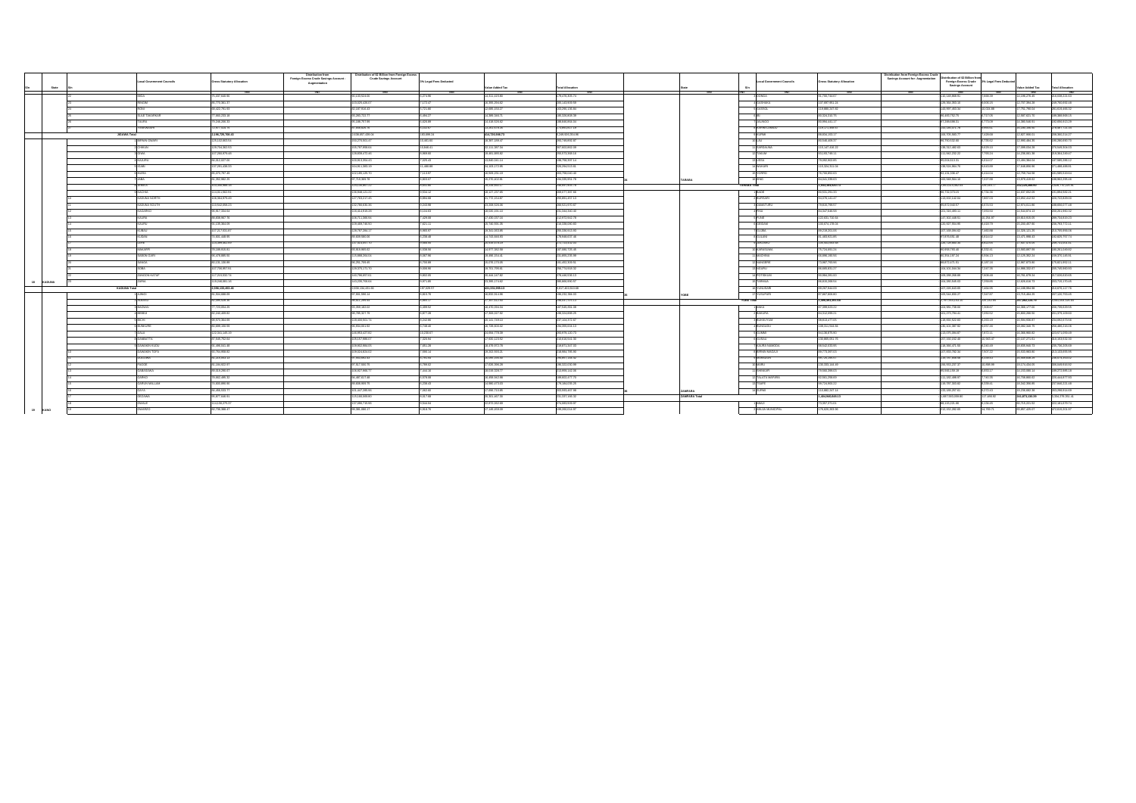|         |           |                     |                                  |                           | <b>Clatribution from</b>               | <b>Distribution of \$2 Billion from Foreign Excess</b> |                              |                               |                            |                      |                          |                             | Distribution from Foreign Excess Crude | istribution of \$2 Billion from           |            |                |                              |
|---------|-----------|---------------------|----------------------------------|---------------------------|----------------------------------------|--------------------------------------------------------|------------------------------|-------------------------------|----------------------------|----------------------|--------------------------|-----------------------------|----------------------------------------|-------------------------------------------|------------|----------------|------------------------------|
|         |           |                     | <b>Local Government Councils</b> | ross Statutory Allocation | Foreign Excess Crude Savings Account - | Crude Savings Account                                  | <b>S Legal Fees Deducted</b> |                               |                            |                      | ocal Government Councils | Gross Statutory Allocation  | Savings Account for-Augmentation       | Foreign Excess Crude 7% Legal Fees Deduct |            |                |                              |
|         |           |                     |                                  |                           | Augmentation                           |                                                        |                              |                               |                            |                      |                          |                             |                                        | <b>Savings Account</b>                    |            |                |                              |
|         |           |                     |                                  |                           |                                        |                                                        |                              | alus Added Tax                | notas Allocation           |                      | $\sim$                   |                             |                                        |                                           |            | lue Added Tax  | otal Allocation              |
|         |           |                     |                                  | 1,037,640.90              |                                        | 13,524.0                                               |                              | 311,415.80                    | 1476.305.74                | <b>START</b>         |                          | 100.744.0                   |                                        | <b>SALES</b><br>0.148.868.91              |            | 1,196,276.45   | $-$ 1700 $-$<br>6,038,221.63 |
|         |           |                     |                                  | 1770,361.37               |                                        | 1,025,426.07                                           | 172.47                       | 5,355,294.62                  | 25, 143,909.59             |                      |                          | 7,697,951.24                |                                        | 23,364,353.10                             | 006.15     | 2,707,394.28   | 49,760,692.48                |
|         |           |                     |                                  | 68,422,791.93             |                                        | 02,187,916.43                                          | 721,00                       | 12,685,150.27                 | 163,290,136.84             |                      |                          | 19,880,247.82               |                                        | 13,997,453.34                             | 88.920,01  | 7,751,790.04   | 181,619,466.32               |
|         |           |                     | SULE TAKARKAR                    | 7,000,233.18              |                                        | 0,283,722.77                                           | 494.27                       | 4389346.71                    | 85,326,808,39              |                      |                          | 324310.75                   |                                        | 05.483.752.75                             | 17.05      | 12,587,621.70  | 89,388,968.15                |
|         |           |                     | <b>AURA</b>                      | 9,246,206.33              |                                        | 05,188,757.99                                          | 0325.02                      | 4,418,526.62                  | 88,846,054.04              |                      | MI PAS                   | 394,441.17                  |                                        | 7.288.698.31                              | 773.09     | 14,380,546.91  | 92,656,913.29                |
|         |           |                     |                                  |                           |                                        |                                                        |                              |                               |                            |                      |                          |                             |                                        |                                           |            |                |                              |
|         |           |                     | ANKWASHI                         | 2,977,414.75              |                                        | 7,658,826.76                                           | 102.67                       | 3,261,678.35                  | 73,091,017.19              |                      | <b>DIMAI AM</b>          | 9,171,458.67                |                                        | 143,146,071.78                            | 2.965.61   | 6,180,156.50   | 78,487,721.34                |
|         |           | <b>JIGAWA Total</b> |                                  | 2,196,725,708.43          |                                        | 2,638,657,439.04                                       | 83,099.24                    | 414,726,906.73                | 5,249,926,354.96           |                      |                          | 8,834,153.17                |                                        | 106,705,583.77                            | 1,428.68   | 12,827,906.01  | 208,360,214.27               |
|         |           |                     | RNIN GWAR                        | 25.102.663.54             |                                        | 0,270,501.47                                           | 0,461.00                     | 18,387,189.47                 | 193,749,892.87             |                      |                          | 546,409.37                  |                                        | 1750 532 60                               | 1735.62    | 2,990,484.35   | 90.280.690.70                |
|         |           |                     | <b>PERCIPI</b>                   | 129,704,352.53            |                                        | 55,797,958.64                                          | 1845.41                      | 2,111,387.34                  | 07,002,052.09              |                      |                          | 5,147,416.22                |                                        | 138,312,482.63                            | 9.629.10   | 02203428       | 0.549.304.03                 |
|         |           |                     |                                  | 07,260,979.45             |                                        | 28,839,472.46                                          | ,902.00                      | 19,481,885.82                 | 55,573,368.16              |                      |                          | 1,193,749.11                |                                        | 1,942,232.22                              |            | 4,236,061.38   | 19,354,249.47                |
|         |           |                     | <b>URLEAD</b>                    | 4,012,027.00              |                                        | 0,913,354.43                                           | 125.43                       | 3,840,041.14                  | 198,758,397.14             |                      |                          | 092,902.85                  |                                        | 004.613.31                                |            | 10.100,101     | 87,585,286.12                |
|         |           |                     |                                  | 37,291,438.33             |                                        | 164,911,383.19                                         | 1,400.05                     | 4,103,172.95                  | 26,294,513.61              |                      | 14 MUKAR                 | 5,324,311.04                |                                        | 38,524,964.70                             | 1643.89    | 02.033.043     | 71,488,488.81                |
|         |           |                     | ARA.                             | 15,070,797.49             |                                        | 02,185,125.70                                          | 113.97                       | 5,509,231.19                  | 33.758.040.40              |                      |                          | 700,852.63                  |                                        | 2.131.336.47                              | 6.414.04   | 2,759,744.58   | 81,585,519.64                |
|         |           |                     |                                  | 1,352,982.25              |                                        | 719,309.78                                             |                              | 270,402.81                    | 14,335,951.78              | TARABA               |                          | E3.002,190.                 |                                        | 00,948,554.10                             | 027.88     | 1,979,419.52   | 08,062,205.46                |
|         |           |                     | <b>AWAIL</b>                     | 103,340,988.18            |                                        | 124,130,867.22                                         | 541.00                       | 10,234,692.17                 | 246,697,905.78             |                      | <b>TARABA Total</b>      | 1,543,164,520.73            |                                        | 1,853,614,462.04                          | 129.045.77 | 232,120,288.90 | 1,628,770,225.91             |
|         |           |                     |                                  | 14,011,552.91             |                                        | 16,948,121.22                                          | 534.12                       | 8,127,237.65                  | 03.587.077                 |                      |                          | 531,291.33                  |                                        | 1,732,373.15                              | 734.36     | 4,637,652.09   | 91,094,582.21                |
|         |           |                     | DUNA NORTH                       | 106,364,979.49            |                                        | 127,763,217.45                                         | 1,034.03                     | 11,772,154.87                 | 155,091,457.13             |                      | 2 BURSARI                | 1,076,141.47                |                                        | 13,002,142.04                             | 7,867.03   | 3,652,412.52   | 10,722,829.00                |
|         |           |                     | ADUNA SOUTH                      | 10.542.058.23             |                                        | 32.780.630.36                                          | 241.95                       | 13,208,526.06                 | 165.521.970.67             |                      | <b>DAMATURU</b>          | 9.815.799.57                |                                        | 25.872.940.57                             | 6.674.53   | 12.974.011.86  | 88.656.077.48                |
|         |           |                     |                                  | 96,917,334.64             |                                        | 16,414,919.28                                          | $-04.83$                     | 1,020,191.10                  | 0344,340.40                |                      |                          | 62.043.14C.M                |                                        | 101,316,493.11                            | 7.053.50   | 4,544,874.13   | 00,201,960.32                |
|         |           |                     | <b>ALIRA</b>                     | 8.838.957.76              |                                        | 06,711,355.94                                          | 429.00                       | 7,430,037.16                  | 12,972,942.78              |                      |                          | 22,631,710.64               |                                        | 47,302,448.51                             | 10.254.97  | 9,810,915.05   | 189,734,819.23               |
|         |           |                     |                                  |                           |                                        |                                                        |                              |                               |                            |                      |                          |                             |                                        |                                           |            |                |                              |
|         |           |                     | <b>AURL</b>                      | 1,135,364.09              |                                        | 09.469,746.50<br>28,787,284.17                         | 965.97                       | 5,740,591.35<br>12,341,053.85 | 00.000,000.01<br>02.012.22 |                      |                          | 0,674,178.04<br>2219.201.06 |                                        | 20,927,554.95<br>07.168.094.62            | 8,418.79   | 5,200,457.90   | 136,793,772.11               |
|         |           |                     | LIAU                             | 07,217,531.87             |                                        |                                                        |                              |                               |                            |                      | 211.094                  |                             |                                        |                                           | 460.55     | 4,326,121.25   | 10,705,956.06                |
|         |           |                     | <b>IDAN</b>                      | 4,001,448.95              |                                        | 009,580.06                                             | 235.45                       | 4,743,846.93                  | 78,948,637.46              |                      |                          | 483,921.85                  |                                        | 27,876,651.48                             | 5.814.02   | 3,471,998.43   | 192,825,757.74               |
|         |           |                     |                                  | 14,399,462.69             |                                        | 37,414,057.70                                          | 566.55                       | 10,919,478.19                 | 72,723,432.03              |                      |                          | 5,503,693.68                |                                        | 26,728,660.34                             | 8.822.65   | 507,470.05     | 149,731,001.41               |
|         |           |                     |                                  | 5,189,915.81              |                                        | 0,919,955.52                                           | 538.56                       | 4,977,382.58                  | 87,080,725.45              |                      |                          | 724,691.24                  |                                        | 0,958,793.40                              |            | 1,581,897.59   | 80,261,049.82                |
|         |           |                     | <b>LABON GARD</b>                | 96,478,885.50             |                                        | 15,888,264.04                                          | 1,057.95                     | 12,426,154.41                 | 131,855,235.99             |                      |                          | 8,896,190.56                |                                        | 0,354,197.24                              | 5,594.13   | 2,125,352.24   | 59,370,145.91                |
|         |           |                     | <b>NGA</b>                       | 80,131,130.89             |                                        | 06,251,709.45                                          | 5,700.89                     | 15,076,170.05                 | 91,452,309.51              |                      | <b><i>UANGERS</i></b>    | 3,987,793.96                |                                        | 18.872.471.51                             | 6.187.16   | 12,967,873.80  | 75,821,952.11                |
|         |           |                     |                                  | 07,706,957.91             |                                        | 29,375,171.70                                          | 008.90                       | 0,701,795.61                  | 6,774,918.32               |                      |                          | 025,831.27                  |                                        | 104,101,044.34                            | 7.247.35   | 4,986,332.67   | 05,745,960.93                |
|         |           |                     | <b>INGON KATAF</b>               | 17,215,532.74             |                                        | 40,796,657.61                                          | 802.05                       | 0,444,147.82                  | 78,446,536.13              |                      |                          | 0,984,281.00                |                                        | 03.203,203.00                             | 7.608.48   | 6,761,679.24   | 7,026,620.65                 |
|         | 18 KADUNA |                     |                                  | 19,246,081.16             |                                        | 43,235,706.64                                          | ,971.85                      | 3,395,174.62                  | 15,000,990.57              |                      |                          | 815,268.54                  |                                        | 04,280,545.03                             | 259.85     | 2,626,616.73   | 03,715,170.45                |
|         |           | <b>KADUNA Total</b> |                                  | 1,356,133,453.46          |                                        | 330,134,431.00                                         | 97,029.57                    | 131,331,955.13                | 1,617,402,810.68           |                      | 16-YUNUSARI              | 12,267,944.00               |                                        | 07,226,643.65                             | 7.464.95   | 4,188,994.98   | 10,676,117.76                |
|         |           |                     | <b>AJNG!</b>                     | 01.504.688.69             |                                        | 07.001.506.14                                          | 5,815.76                     | 16,832,914.96                 | 195,232,384.03             | YOBE                 | 17 YUSUFARI              | 03.203.120.12               |                                        | 05544.830.27                              | 7.347.87   | 13.715.464.25  | 07.120.753.45                |
|         |           |                     | <b>NLBASU</b>                    | 12,095,528.36             |                                        | 98,611,299.44                                          | 865.17                       | 7,347,612.50                  | 98,047,575.13              |                      | <b>YOBE Total</b>        | 1,496,493,391.68            |                                        | 1,797,554,153,10                          | 125,142.94 | 247,082,124.79 | 1,541,004,526.64             |
|         |           |                     | <b>IAGWAI</b>                    | 7,723,054.25              |                                        | 93,359,182.02                                          | 429.52                       | AC F00,077,39                 | 87,545,831.08              |                      |                          | 329.023.22                  |                                        | 104,981,738.00                            | 7.308.67   | 14,366,177.00  | 06,739,629.55                |
|         |           |                     | <b>Last</b>                      | 2,240,409.82              |                                        | 98,785,327.79                                          | ,877.28                      | 7,306,027.92                  | 138,324,888.25             |                      |                          | 1312,099.21                 |                                        | 101,273,794.41                            | 050.52     | 5,000,200.50   | 03.0079,009.00               |
|         |           |                     | <b>CHE</b>                       | 98.570.354.69             |                                        | 18,400,501.74                                          | 1242.00                      | 0,141,749.10                  | 137.104.372.67             |                      | SURROUTFUM               | 8.813.477.05                |                                        | 18.692.522.83                             | 8,263.19   | 6.594.936.87   | 34.092.673.56                |
|         |           |                     | <b>UNKURE</b>                    | 0,099,150.59              |                                        | 1,934,001.92                                           | 748.40                       | 728,600.02                    | 124,355,004.13             |                      | <b>GUDI</b>              | 38,311,544.84               |                                        | 30,101,387.92                             | CST AG     | 1,082,340.75   | 0.3/12/05/25                 |
|         |           |                     |                                  | 22,341,145.19             |                                        | 46,953,427.82                                          | 220.57                       | 14,004,778.30                 | 193,979,120.73             |                      |                          | A,136,875.90                |                                        | 13,075,094.87                             |            | 6,366,960.82   | 23,571,059.49                |
|         |           |                     | NBATTA                           | 7,545,752.64              |                                        | 5,157,986.07                                           | 320.94                       | 7,920,123.52                  | 10,616,541.30              |                      |                          | 03,065,051.76               |                                        | 57,192,152.40                             | 1943.4     | 2,107,271.61   | 0,153,532.30                 |
|         |           |                     |                                  |                           |                                        |                                                        |                              |                               |                            |                      |                          |                             |                                        |                                           |            |                |                              |
|         |           |                     | <b>UNAKIN KUDU</b>               | 1,496,041.48              |                                        | 109,902,984.05                                         | 7,651.28                     | 18,479,972.78                 | 19,871,347.03              |                      | AURA NAMODA              | 542,033.95                  |                                        | 18,366,471.50                             | 8.240.49   | 8,835,940.73   | 135,736,205.69               |
|         |           |                     | <b>INAKN TOFA</b>                | 90,764,958.82             |                                        | 09,024,824.02                                          | 7.590.14                     | 19,202,593.21                 | 18.984.785.90              |                      | RNIN MAGAJI              | 1.773.397.03                |                                        | 07,833,782.34                             | 1,507.22   | 5,533,983.80   | 13.133.055.95                |
|         |           |                     | <b>GUWA</b>                      | 1,215,053.13              |                                        | 0,553,692.43                                           | ,791.54                      | 6,025,190.40                  | 04,057,144.42              |                      |                          | 1725,195.57                 |                                        | 19,787,658.58                             | 1339.43    | 0,509,838.29   | 36,074,353.02                |
|         |           |                     | <b>AGGE</b>                      | 1,184,922.97              |                                        | 7,517,500.75                                           | 789.02                       | 7,626,396.28                  | 196,322,030.99             |                      |                          | 04.447,000,00               |                                        | 56.553.237.37                             | 10,898.99  | 9,174,434.05   | 06,049,916.92                |
|         |           |                     | <b>BASAWA</b>                    | 19,019,290.67             |                                        | 106,927,966.77                                         | 444.16                       | 8.019.328.77                  | 13,959.142.05              |                      |                          | 2.560.399.03                |                                        | 0.566.159.19                              | 105111     | 4.153.000.14   | 89,272,985.18                |
|         |           |                     |                                  | 78,052,495.32             |                                        | 04,487,617.48                                          | 578.00                       | 6,458,942.98                  | 89.602.477.70              |                      | <b>FALATA MAFARA</b>     | 2,561,258.00                |                                        | 11.182.498.97                             | 740.35     | 6,708,860.62   | 20,444,877.93                |
|         |           |                     | <b>ARUN MALLAM</b>               | 14,000,090.90             |                                        | 0.008.909.75                                           | 1238.43                      | 4,980,473.03                  | 79,184,035.25              |                      | 13 TSAFE                 | 1,724,900.22                |                                        | 119,787,303.82                            | 1339.41    | 18,342,356.85  | 37,846,221.48                |
|         |           |                     |                                  | 1,456,533.7               |                                        | 1,447,285.96                                           |                              | 696,710. <i>B</i>             | 1,593,467.98               | <b>74MF4PA</b>       |                          | 1,002,247.1                 |                                        | 3,189,257.6                               |            | 236,682.38     | 3,298,914.0                  |
|         |           |                     | <b>ZAWA</b>                      | 16,877,646.91             |                                        | 15,166,069.80                                          | 017.68                       | 00,301,467.30                 | 131,337,166.32             | <b>ZAMFARA Total</b> |                          | 404,940,648.13              |                                        | 1,687,583,059.80                          | 117,486.92 | 241,873,130.39 | 1,334,279,351.41             |
|         |           |                     | WALE                             | 14,130,275.37             |                                        | 17,000,715.96                                          | 544.04                       | 2,872,052.69                  | 74,083,509.97              |                      |                          | 1,357,371.01                |                                        | 8,115,221.66                              | 134.45     | 0,715,221.52   | 122,181,679.74               |
| 19 KAND |           |                     | VARZD                            | 82,736,388.47             |                                        | 09,381,086.17                                          | 5.918.76                     | (149,459.09                   | 139,260,014.97             |                      | 2 ABUJA MUNICIPAL        | 76,620,263.96               |                                        | 212,152,282.05                            | 14.769.71  | 83,857,425.07  | 172,615,201.97               |
|         |           |                     |                                  |                           |                                        |                                                        |                              |                               |                            |                      |                          |                             |                                        |                                           |            |                |                              |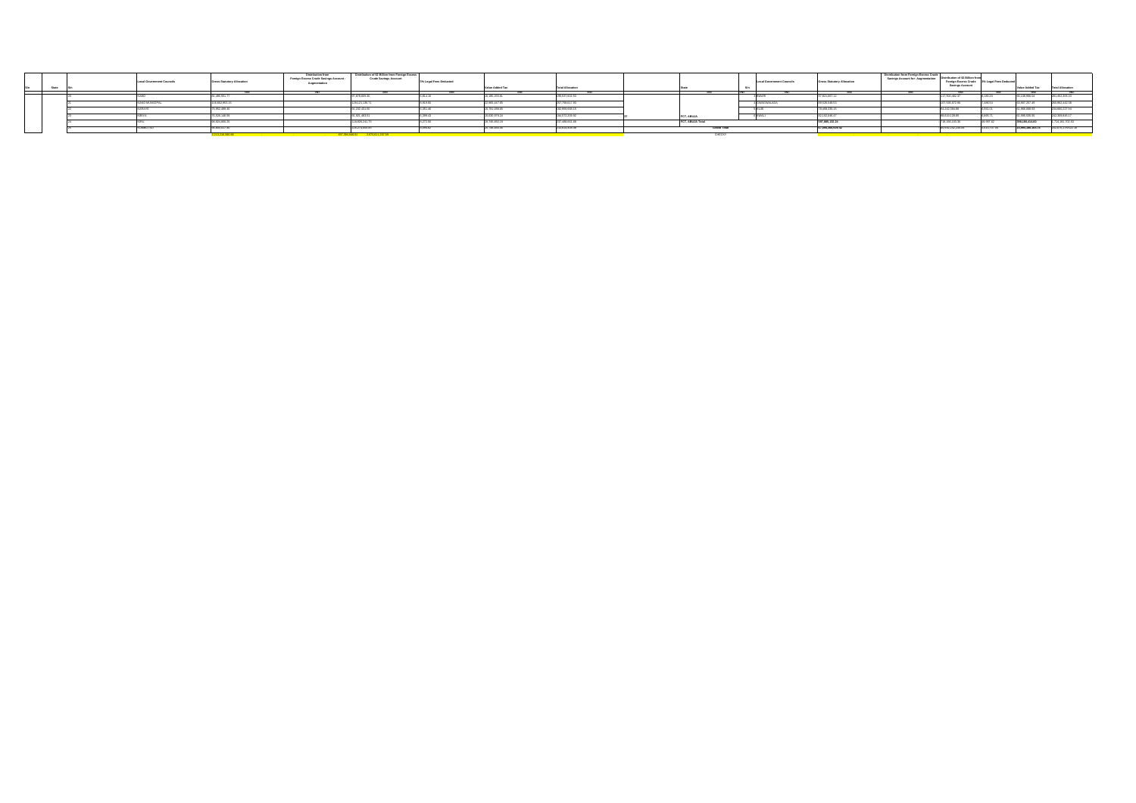| State | <b>Local Government Councils</b> | <b>Gross Statutory Allocation</b> | Distribution from<br>Foreign Excess Crude Savings Account -<br>Augmentation | Distribution of \$2 Billion from Foreign Escess<br>Crude Savings Account | 3% Legal Fees Deducted | Value Added Tax         | Total Allocation |                         |        | <b>Local Government Councils</b> | Gross Statutory Allocation | Distribution from Foreign Excess Crude<br>Savings Account for-Augmentation | Distribution of \$2 Billion from<br>Foreign Excess Crude 3% Legal Fees Deductor<br>Sayings Account |            | Value Added Tax   | Total Allocation |
|-------|----------------------------------|-----------------------------------|-----------------------------------------------------------------------------|--------------------------------------------------------------------------|------------------------|-------------------------|------------------|-------------------------|--------|----------------------------------|----------------------------|----------------------------------------------------------------------------|----------------------------------------------------------------------------------------------------|------------|-------------------|------------------|
|       |                                  |                                   |                                                                             |                                                                          |                        |                         |                  |                         | ALC: U |                                  |                            |                                                                            |                                                                                                    |            |                   |                  |
|       |                                  | 81,485,551.77                     |                                                                             | $J$ or aza and 1                                                         | 814.16                 | <b>15, 180, 255, 81</b> | 195.537.602.53   |                         |        |                                  | 27.821.067.12              |                                                                            | 17.500.462.1                                                                                       |            | 05.138.956.04     | 281.452.305.33   |
|       | KAND MUNICIPAL                   | 106,682,053.15                    |                                                                             | 31281211167                                                              |                        | 22.983.447.65           | 257.758.617.93   |                         |        | wai a                            | <b>BO FOR OAK *</b>        |                                                                            | $-107.536.672.90$                                                                                  | 7.486.54   | 63,907,207.49     | 260.952.442.38   |
|       |                                  | 75.052.400.45                     |                                                                             | 3012324315                                                               |                        | 5.781.055.65            | 182 050 658 15   |                         |        |                                  | 78,458,335.9               |                                                                            | -04.242.384.88                                                                                     |            | 6195505891        | 274 650 227 94   |
|       |                                  | 5.526.146.5                       |                                                                             | 91.921.483                                                               |                        | 15.630.979.24           | 184.022.200.02   | FCT, ABUJ.              |        |                                  | 82.102.046.4               |                                                                            | $-28.619.128.85$                                                                                   |            | 01.595.535.55     |                  |
|       |                                  | 108 024 800 2                     |                                                                             | $-118.826.241.7$                                                         |                        | 10 745 807 11           | 17.455.661.6     | <b>FCT, ABUJA Total</b> |        |                                  | 227.005.132.2              |                                                                            | 718.166.153.30                                                                                     |            | 398.180.414.60    | 1.714.181.702.53 |
|       |                                  |                                   |                                                                             | 1116-274-000-45                                                          |                        | 1745 ABS 4              | 3.814.408.48     | <b>Grand Total</b>      |        |                                  | 67.094.166.929.42          |                                                                            | $-80.592.242.234.06$                                                                               | 610.707.05 | 14.994.180.165.74 | 148282512882248  |
|       |                                  |                                   |                                                                             |                                                                          |                        |                         |                  |                         |        |                                  |                            |                                                                            |                                                                                                    |            |                   |                  |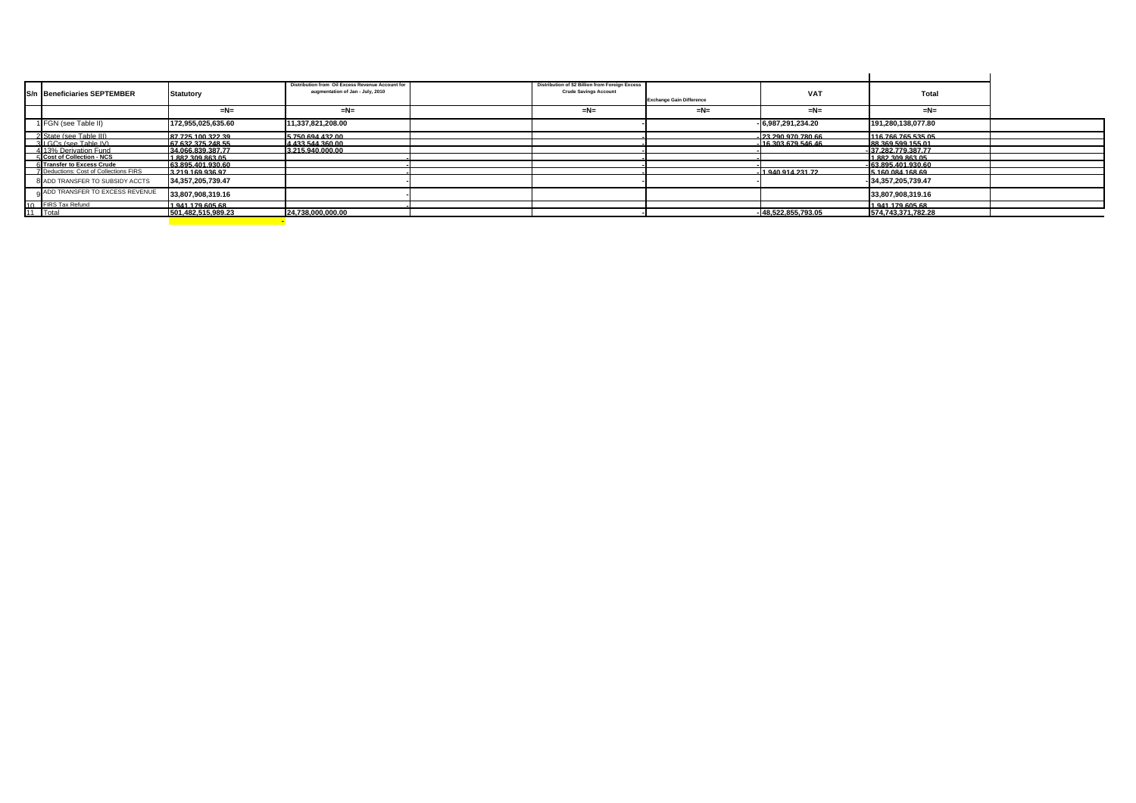| <b>S/n Beneficiaries SEPTEMBER</b>                  | <b>Statutory</b>                      | Distribution from Oil Excess Revenue Account for<br>augmentation of Jan - July, 2010 | Distribution of \$2 Billion from Foreign Excess<br><b>Crude Savings Account</b> | <b>Exchange Gain Difference</b> | <b>VAT</b>         | Total                                  |
|-----------------------------------------------------|---------------------------------------|--------------------------------------------------------------------------------------|---------------------------------------------------------------------------------|---------------------------------|--------------------|----------------------------------------|
|                                                     | $=N=$                                 | $=N=$                                                                                | $=N=$                                                                           | $=N=$                           | $=N=$              | $=N=$                                  |
| 1 FGN (see Table II)                                | 172,955,025,635.60                    | 11.337.821.208.00                                                                    |                                                                                 |                                 | 6.987.291.234.20   | 191,280,138,077.80                     |
| 2 State (see Table III)                             | 87 725 100 322 39                     | 5 750 694 432 00                                                                     |                                                                                 |                                 | 23 290 970 780 66  | 116.766.765.535.05                     |
| 3 LGCs (see Table IV)                               | 67 632 375 248 55                     | 4 433 544 360 00                                                                     |                                                                                 |                                 | 16.303.679.546.46  | 88.369.599.155.01                      |
| 4 13% Derivation Fund<br>5 Cost of Collection - NCS | 34.066.839.387.77<br>1.882.309.863.05 | 3.215.940.000.00                                                                     |                                                                                 |                                 |                    | -37 282 779 387 77<br>1 882 309 863 05 |
| 6 Transfer to Excess Crude                          | 63 895 401 930 60                     |                                                                                      |                                                                                 |                                 |                    | $-6389540193060$                       |
| 7 Deductions: Cost of Collections FIRS              | 3 219 169 936 97                      |                                                                                      |                                                                                 |                                 | 1.940.914.231.72   | 5 160 084 168 69                       |
| 8 ADD TRANSFER TO SUBSIDY ACCTS                     | 34, 357, 205, 739. 47                 |                                                                                      |                                                                                 |                                 |                    | -34.357.205.739.47                     |
| O ADD TRANSFER TO EXCESS REVENUE                    | 33,807,908,319.16                     |                                                                                      |                                                                                 |                                 |                    | 33,807,908,319.16                      |
| 10 FIRS Tax Refund                                  | 1941 179 605 68                       |                                                                                      |                                                                                 |                                 |                    | 194117960568                           |
| 11 Total                                            | 501.482.515.989.23                    | 24.738.000.000.00                                                                    |                                                                                 |                                 | -48.522.855.793.05 | 574.743.371.782.28                     |
|                                                     |                                       |                                                                                      |                                                                                 |                                 |                    |                                        |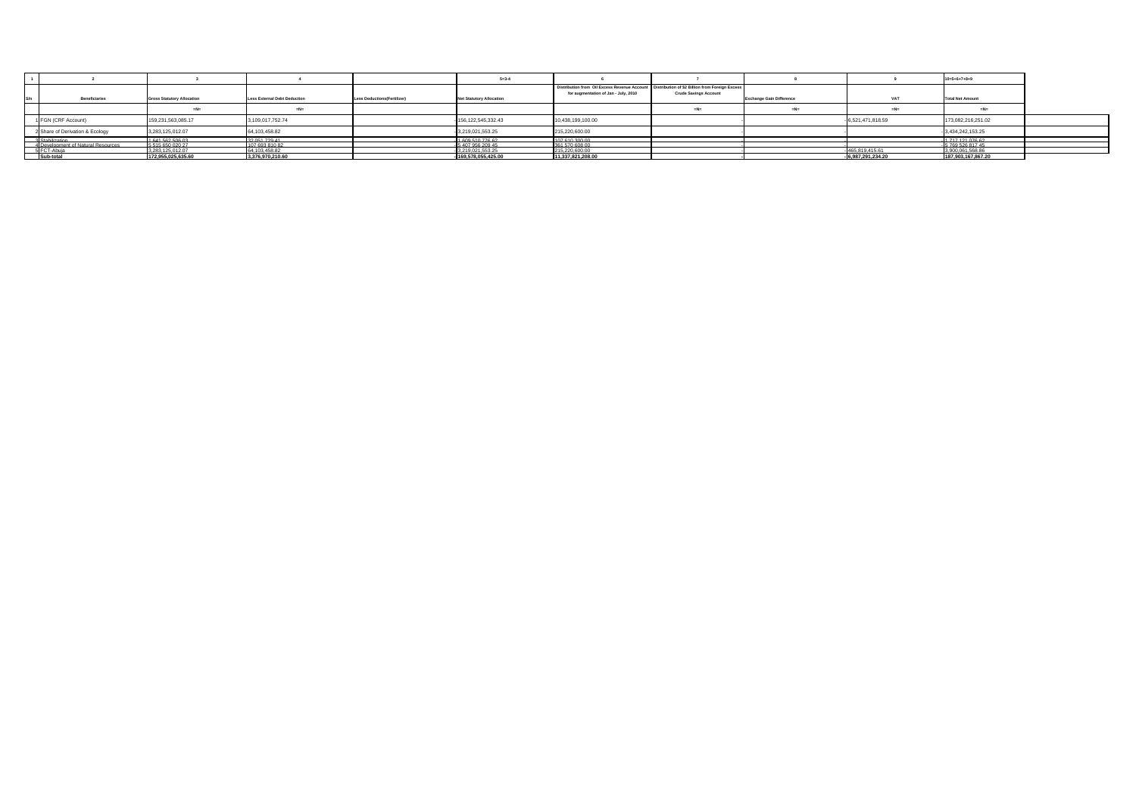|     |                                    |                                   |                                     |                                     | $5 = 3 - 4$                     |                                                                                                                                       |                              |                                 |                     | $10 = 5 + 6 + 7 + 8 + 9$ |  |
|-----|------------------------------------|-----------------------------------|-------------------------------------|-------------------------------------|---------------------------------|---------------------------------------------------------------------------------------------------------------------------------------|------------------------------|---------------------------------|---------------------|--------------------------|--|
| S/n | <b>Beneficiaries</b>               | <b>Gross Statutory Allocation</b> | <b>Less External Debt Deduction</b> | <b>Less Deductions (Fertilizer)</b> | <b>Net Statutory Allocation</b> | Distribution from Oil Excess Revenue Account  Distribution of \$2 Billion from Foreign Excess<br>for augmentation of Jan - July, 2010 | <b>Crude Savings Account</b> | <b>Exchange Gain Difference</b> | VAT                 | <b>Total Net Amount</b>  |  |
|     |                                    |                                   |                                     |                                     |                                 |                                                                                                                                       | -∾N⊶                         | <b>ALC:</b>                     |                     | <b>ALC UNK</b>           |  |
|     | 1 FGN (CRF Account)                | 159.231.563.085.17                | 3,109,017,752.74                    |                                     | 156.122.545.332.43              | 10,438,199,100.00                                                                                                                     |                              |                                 | $-6,521,471,818.59$ | 173,082,216,251.02       |  |
|     | 2 Share of Derivation & Ecology    | 3,283,125,012.07                  | 64,103,458.82                       |                                     | 3,219,021,553.25                | 215,220,600.00                                                                                                                        |                              |                                 |                     | 3,434,242,153.25         |  |
|     | 3 Stabilization                    | 1.641.562.506.03                  | 32.051.729.41                       |                                     | 1,609,510,776.62                | 107 610 300 00                                                                                                                        |                              |                                 |                     | 1717 121 076 62          |  |
|     | 4 Development of Natural Resources | 5.515.650.020.27                  | 107 693 810 82                      |                                     | 5 407 956 209 45                | 361,570,608.00                                                                                                                        |                              |                                 |                     | - 5 769 526 817 45       |  |
|     | 5 FCT-Abuia                        | 3.283.125.012.07                  | 64.103.458.82                       |                                     | 3.219.021.553.25                | 215,220,600.00                                                                                                                        |                              |                                 | 465.819.415.61      | 3.900.061.568.86         |  |
|     | Sub-total                          | 172.955.025.635.60                | 3.376.970.210.60                    |                                     | - 169.578.055.425.00            | 11.337.821.208.00                                                                                                                     |                              |                                 | $-6.987.291.234.20$ | 187.903.167.867.20       |  |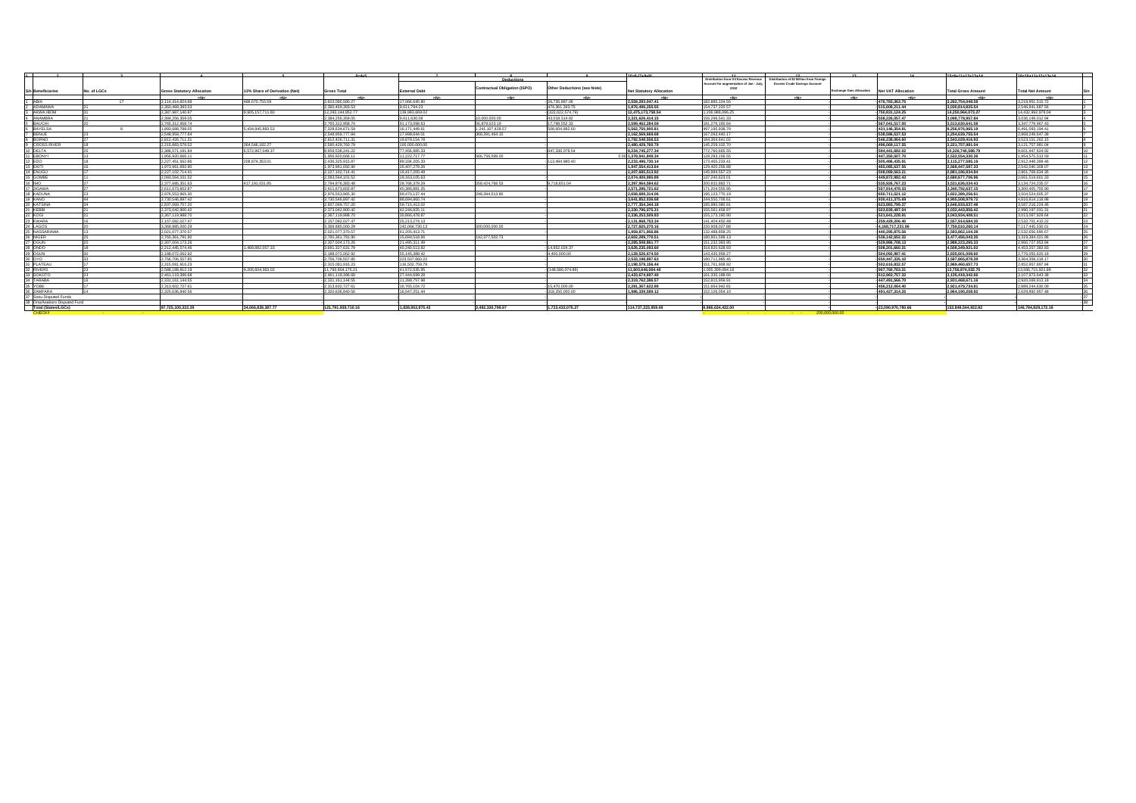|                              |             |                                   |                               | $6 - 4 - 5$        |                      |                                      |                                    | $10 - 6 - (7 + 8 + 9)$          |                                         |                                          | $\overline{11}$                             | $\overline{14}$       | 15-6+11+12+13+14          | 16=10+11+12+13+14       |  |
|------------------------------|-------------|-----------------------------------|-------------------------------|--------------------|----------------------|--------------------------------------|------------------------------------|---------------------------------|-----------------------------------------|------------------------------------------|---------------------------------------------|-----------------------|---------------------------|-------------------------|--|
|                              |             |                                   |                               |                    |                      |                                      |                                    |                                 | Vistribution from Oil Excess Revenue    | Distribution of \$2 Billion from Foreign |                                             |                       |                           |                         |  |
|                              |             |                                   |                               |                    |                      |                                      |                                    |                                 | Account for augmentation of Jan - July. | Excess Crude Savings Account             |                                             |                       |                           |                         |  |
| In Beneficiaries             | No. of LGCs | <b>Gross Statutory Allocation</b> | 13% Share of Derivation (Net) | Gross Total        | <b>External Debt</b> | <b>Contractual Obligation (ISPO)</b> | <b>Other Deductions (see Note)</b> | <b>Net Statutory Allocation</b> | 2010                                    |                                          | Exchange Gain Allocation Net VAT Allocation |                       | <b>Total Gross Amount</b> | <b>Total Net Amount</b> |  |
|                              |             |                                   |                               |                    |                      |                                      |                                    |                                 |                                         |                                          |                                             |                       |                           |                         |  |
| ARIA                         |             | 114 414 824 68                    | <b>IRR 670 755 59</b>         | 2 603 085 580 27   | 7 ORR R45 80         |                                      | 26 735 887 06                      | 2.559.283.047.41                | 182 885 104 55                          |                                          |                                             | 476 783 363 75        | 262.754.048.58            | 3 218 951 515 72        |  |
| <b>ADAMAWA</b>               |             | 380 489 393 53                    |                               | 2.360.469.393.53   | 961179423            |                                      | 474 381 343 75                     | 1.876.496.255.55                | 154 737 220 57                          |                                          |                                             | 515 608 211 44        | 3 030 814 825 54          | 2 546 841 687 56        |  |
| <b>AKWA IBOM</b>             |             | 387 987 140 97                    | 905 157 711 80                | 12 293 144 852 77  | 39 993 669 02        |                                      | 322.022.574.79)                    | 12,475,173,758,54               | 1 206 988 096 25                        |                                          |                                             | 750.831.124.25        | 14.250.964.073.2          | 14.432.992.979.04       |  |
| <b>ANAMRRA</b>               |             | 384 256 359 05                    |                               | 2384 256 359 05    | 961163008            | 10.000.000.00                        | 43 018 314 82                      | 2.321.626.414.15                | 156 296 541 33                          |                                          |                                             | 558 226 057 47        | 098 778 957 84            | 3 036 149 012 94        |  |
| <b>BAUCHI</b>                |             | 785 312 958 74                    |                               | 2 785 312 958 74   | 1173.098.63          | 56 879 023 19                        | 17 798 552 33                      | 2.599.462.284.59                | 181 276 165 84                          |                                          |                                             | 567.041.517.00        | 3.513.630.641.58          | 3.347.779.967.43        |  |
| <b>RAYELSA</b>               |             | 893 688 788 05                    | 434 945 883 53                | 328 634 671 69     | 16 171 449 61        | 1241 107 428 57                      | 508 604 892 60                     | 5.562.750.900.81                | 497 195 938 79                          |                                          |                                             | 431 146 354 81        | 8.256.976.965.19          | 8 491 093 194 41        |  |
| <b>BENUE</b>                 |             | <b>648 959 777 84</b>             |                               | 548 959 777 84     | 7 998 644 01         | 368 391 464 15                       |                                    | 2.162.569.669.68                | 167 093 440 17                          |                                          |                                             | <b>538 586 537 53</b> | 1254.639.755.54           | 2 888 249 847 38        |  |
| RORNO                        |             | 812 426 711 31                    |                               | 281242671131       | 19 878 154 78        |                                      |                                    | $-2.792.548.556.53$             | 184.364.641.02                          |                                          |                                             | 546 238 064 60        | 3.543.029.416.93          | 3 523 151 262 15        |  |
| <b>CROSS RIVER</b>           |             | 215.883.578.52                    | 364.546.182.27                | 580.429.760.79     | 100.000.000.00       |                                      |                                    | 2.480.429.760.79                | 145,259,102.70                          |                                          |                                             | 496.069.117.55        | 3.221.757.981.04          | 3.121.757.981.04        |  |
| 10 DELTA                     |             | 386 571 191 84                    | 572.967.049.37                | 3.959.538.241.22   | 7 456 885 33         |                                      | 647.336.078.54                     | 8.234.745.277.34                | 772.760.665.55                          |                                          |                                             | 594.441.682.02        | 10.326.740.588.79         | 9.601.947.624.92        |  |
| 11 EBONYI                    |             | 1.956.920.666.11                  |                               | 1.956.920.666.11   | 11.222.717.77        | 566 756 099 00                       |                                    | 0.00 1.378.941.849.34           | 128.283.156.55                          |                                          |                                             | 447.350.507.70        | 2.532.554.330.36          | 1.954.575.513.59        |  |
| 12 EDO                       |             | 227.451.562.86                    | 208.874.353.01                | 2.436.325.915.87   | 89.334.205.33        |                                      | 113.494.980.40                     | 2.233.496.730.14                | 173.465.233.41                          |                                          |                                             | 505.486.435.91        | 3.115.277.585.19          | 2.912.448.399.46        |  |
| 13 EKITI                     |             | 1.973.961.692.90                  |                               | 1.973.961.692.90   | 26.407.279.26        |                                      |                                    | $-1.947.554.413.64$             | 129.400.256.88                          |                                          |                                             | 465.085.637.55        | 2.568.447.587.33          | 2.542.040.308.07        |  |
| 14 ENUGU                     |             | 227 102 714 41                    |                               | 2.227.102.714.41   | 19.417.200.49        |                                      |                                    | $-2.207685.513.92$              | 145 994 557 23                          |                                          |                                             | 508.089.563.21        | 2.881.186.834.84          | 2 861 769 634 35        |  |
| 5 GOMBE                      |             | 093 564 101 52                    |                               | 2.093.564.101.52   | 19.163.105.63        |                                      |                                    | 2.074.400.995.89                | 137.240.623.01                          |                                          |                                             | 449.872.982.43        | 2.680.677.706.96          | 2.661.514.601.33        |  |
| 16 IMO                       |             | 1377.685.351.63                   | 417.191.031.85                | 2.794.876.383.48   | 28.768.379.29        | 358.424.768.53                       | 9.718.651.04                       | 2.397.964.584.62                | 200.832.883.71                          |                                          |                                             | 535.926.767.23        | 3.531.636.034.43          | 3.134.724.235.57        |  |
| 17 JIGAWA                    |             | 611 673 602 87                    |                               | 2 611 673 602 87   | 40 386 881 25        |                                      |                                    | 2.571.286.721.62                | 171 204 555 95                          |                                          |                                             | 557 914 478 33        | 3 340 792 637 15          | 3.300.405.755.90        |  |
| 18 KADLINA                   |             | 976 553 965 30                    |                               | 2 976 553 965 30   | 89 470 137 44        | 248 394 513 80                       |                                    | 2.658.689.314.06                | 195 123 770 19                          |                                          |                                             | 650 711 521 12        | 382238925661              | 504 524 605 37          |  |
| 19 KANO                      |             | 3730 546 897 42                   |                               | 3.730.546.897.42   | <b>88 694 860 74</b> |                                      |                                    | 3.641.852.036.68                | 244 550 706 61                          |                                          |                                             | 930 411 375 69        | 4.905.508.979.72          | 4 816 814 118 98        |  |
| 20 KATSINA                   |             | 837 069 757 20                    |                               | 283708975720       | 59 715 413 02        |                                      |                                    | 2,777,354,344,18                | 185,980,080.91                          |                                          |                                             | 623 883 799 37        | 3 646 933 637 48          | 3 587 218 224 46        |  |
| 21 KEBBI                     |             | 373 042 900 42                    |                               | 237304290042       | 42 246 825 11        |                                      |                                    | 2.330.796.075.31                | 155 561 458 97                          |                                          |                                             | 503 839 497 04        | 032 443 856 42            | 990 197 031 31          |  |
| 22 KOGI                      |             | 367 119 988 70                    |                               | 2.367.119.988.70   | 30 ARR 478 87        |                                      |                                    | 2.336.253.509.83                | 155, 173, 190, 90                       |                                          |                                             | 521.641.228.91        | 1.043.934.408.51          | 3 013 067 929 64        |  |
| 23 KWARA                     |             | 157 082 027 47                    |                               | 2.157.082.027.47   | 5 213 274 13         |                                      |                                    | 2.131.868.753.34                | 141 404 450 48                          |                                          |                                             | 259.428.206.40        | 557 914 684 35            | 2.532.701.410.22        |  |
| 24 LAGOS                     |             | 389 885 000 29                    |                               | 369 885 000 29     | 142 064 730 13       | 500.000.000.00                       |                                    | 2.727.820.270.16                | 220 908 027 88                          |                                          |                                             | 4.168.717.231.96      | 759.510.260.14            | 117 445 530 01          |  |
| 25 NASSARAWA                 |             | 021 077 370 57                    |                               | 202107737057       | 81 205 413 71        |                                      |                                    | 1.959.871.956.86                | 132 488 858 25                          |                                          |                                             | 440 295 875 56        | 2 593 862 104 38          | 2 532 656 690 67        |  |
| 26 NIGER                     |             | 760.361.791.90                    |                               | 760 361 791 90     | 38 813 893 31        | 142.377.502.73                       |                                    | 2.602.289.770.51                | 180,951,599.13                          |                                          |                                             | 536.142.652.32        | 3,477,456,043,35          | 319.384.021.96          |  |
| 27 OGUN                      |             | 1307.004.173.26                   |                               | 307.004.173.26     | 21 495 311 49        |                                      |                                    | 2.285.508.861.77                | 151.232.383.95                          |                                          |                                             | 529.986.708.13        | 2,988,223,265,33          | 2.966.727.953.84        |  |
| 28 ONDO                      |             | 212.445.574.46                    | 468.882.057.33                | 3.681.327.631.79   | 40.240.513.82        |                                      | 14.852.024.37                      | 3.626.235.093.60                | 318.820.628.93                          |                                          |                                             | 508.201.660.31        | 4.508.349.921.02          | 4.453.257.382.83        |  |
| 29 OSUN                      |             | 188.072.062.92                    |                               | 2.188.072.062.92   | 55 145 388 42        |                                      | 4 400 000 00                       | 2.128.526.674.50                | 143 435 958 27                          |                                          |                                             | 504.092.987.41        | 2.835.601.008.60          | 2 776 055 620 18        |  |
| 30 OYO                       |             | 1756.706.557.85                   |                               | 2.756.706.557.85   | 223.507.660.22       |                                      |                                    | $-2.533.198.897.63$             | 180.711.985.45                          |                                          |                                             | 650.447.335.10        | 3.587.865.878.39          | 3.364.358.218.17        |  |
| 31 PLATEAU                   |             | 1315.081.916.23                   |                               | 2.315.081.916.23   | 16.502.759.79        |                                      |                                    | $-2.198.579.156.44$             | 151.761.908.92                          |                                          |                                             | 502.616.832.57        | 2.969.460.657.73          | 2.852.957.897.94        |  |
| 32 RIVERS                    |             | <b>588 199 812 19</b>             | 205 604 363 02                | 11 793 804 175 21  | 41.572.035.95        |                                      | (148 586 074 86)                   | 11.603.646.064.40               | 105530909418                            |                                          |                                             | 907 760 763 31        | 13.756.874.032.70         | 13 566 715 921 89       |  |
| 33 SOKOTO                    |             | 461 119 396 68                    |                               | 2 461 119 396 68   | 7 444 699 28         |                                      |                                    | $-2.433.674.697.40$             | 161 335 188 66                          |                                          |                                             | 512 963 757 33        | 3 135 418 342 66          | 3 107 973 643 38        |  |
| 34 TARABA                    |             | 331 161 144 55                    |                               | 2.331.161.144.55   | 1.398.757.98         |                                      |                                    | $-2.319.762.386.57$             | 152.815.959.91                          |                                          |                                             | 447.491.566.70        | 2.931.468.671.16          | 2.920.069.913.18        |  |
| 35 YOBE                      |             | 1313.602.727.61                   |                               | 231360272761       | 16.765.104.72        |                                      | 15.470.000.00                      | 2.281.367.622.89                | 151,664,942.81                          |                                          |                                             | 456.212.064.40        | 2.921.479.734.81          | 2 889 244 630 09        |  |
| 36 ZAMEARA                   |             | 320 636 840 56                    |                               | 2320 636 840 56    | 6.047.251.44         |                                      | 318 250 000 00                     | 1.986.339.589.12                | 152 126 054 10                          |                                          |                                             | 491.427.314.25        | 964 190 208 92            | 2 629 892 957 48        |  |
| 37 Soku Disnuted Funds       |             |                                   |                               |                    |                      |                                      |                                    |                                 |                                         |                                          |                                             |                       |                           |                         |  |
| 38 Ona/Asaboro Disputed Fund |             |                                   |                               |                    |                      |                                      |                                    |                                 |                                         |                                          |                                             |                       |                           |                         |  |
| Total (States/LGCs)          |             | 7.725.100.322.39                  | 34 066 839 387 77             | 121.791.939.710.16 | 183895287543         | 1492 330 799 97                      | 1723 432 075 27                    | 114 737 223 959 49              | 8.966.634.432.00                        |                                          |                                             | 23,090,970,780.66     | 53 849 544 922 82         | 146 794 829 172 16      |  |
|                              |             |                                   |                               |                    |                      |                                      |                                    |                                 |                                         |                                          |                                             |                       |                           |                         |  |

 $-200,000,000,00$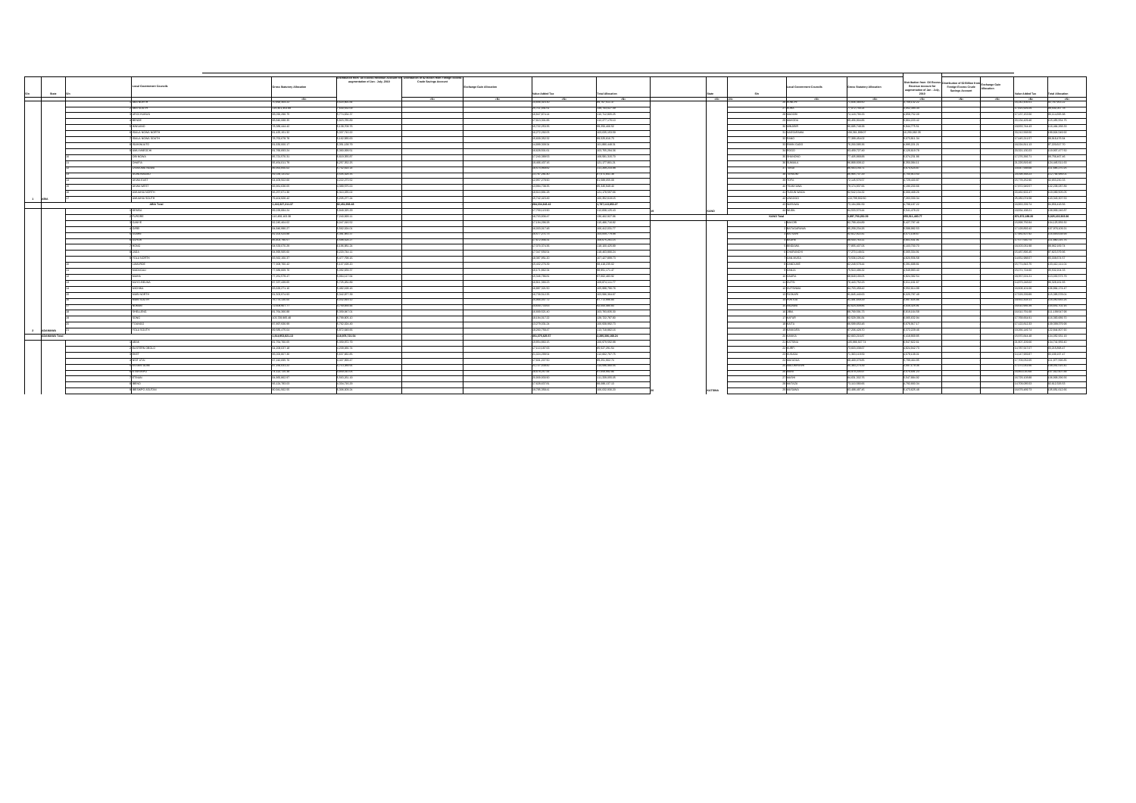|                      |                                  |                            | suson from OI Escess Revenue Account | ution of \$2 Billion from Foreign Exce |                         |                 |                         |             |                   |                                  |                                   |                                                   |                                 |               |                 |                         |
|----------------------|----------------------------------|----------------------------|--------------------------------------|----------------------------------------|-------------------------|-----------------|-------------------------|-------------|-------------------|----------------------------------|-----------------------------------|---------------------------------------------------|---------------------------------|---------------|-----------------|-------------------------|
|                      | <b>Local Government Councils</b> |                            | augmentation of Jan - July, 2010     | Crude Savings Account                  |                         |                 |                         |             |                   |                                  |                                   | Housion from Oil Esces                            | Distribution of \$2 Billion fro | schange Gain  |                 |                         |
|                      |                                  | Gross Statutory Allocation |                                      |                                        | scharge Gain Allocation |                 |                         |             |                   | <b>Local Government Councils</b> | <b>Gross Statutory Allocation</b> | Revenue Account for<br>sugmentation of Jan - July | Foreign Excess Crude            | <b>cation</b> |                 |                         |
| State                |                                  |                            |                                      |                                        |                         | Value Added Tax | <b>Total Allocation</b> |             | S/n               |                                  |                                   | 2010                                              | <b>Savings Account</b>          |               | Value Added Tax | <b>Total Allocation</b> |
|                      |                                  |                            |                                      |                                        |                         |                 |                         | - - -       |                   |                                  |                                   |                                                   |                                 |               |                 |                         |
|                      | ABA NORTH                        | 490,304.22                 | MA.103,000                           |                                        |                         | 14,050,315.30   | 09.707.511.37           |             |                   | <b>INCHE</b>                     | 71,036,304.50                     | 4,709,132.22                                      |                                 |               | 6,242,436.51    | 02,787,953.22           |
|                      | BA SOUTH                         | 6,401,453.09               | 630 532 09                           |                                        |                         | 5,711,041.51    | 149,743,027.49          |             |                   |                                  | 2,072,744.14                      | 052,394.34                                        |                                 |               | 415,929.29      | 00,541,067.78           |
|                      | COLDINATI                        | 1090,296.75                | 74,634,37                            |                                        |                         | 16,047,074.14   | 10,712,005.25           |             |                   | ADOB                             | 74,118,790.33                     | 4,858,752.09                                      |                                 |               | 7,137,153.56    | 00,114,005.00           |
|                      |                                  |                            |                                      |                                        |                         |                 |                         |             |                   |                                  |                                   |                                                   |                                 |               |                 |                         |
|                      | ENDE                             | 1,840,000.35               | 5,823,785.89                         |                                        |                         | 17,613,301.86   | 12,277,176.10           |             |                   |                                  | 08.456,004.05                     | 5,064,220.42                                      |                                 |               | 0,134,429.46    | 115,455,554.75          |
|                      | OAAUV                            | 389,444.42                 | 5,138,708.76                         |                                        |                         | 15,722,253.35   | 99,250,406.52           |             |                   | N HING                           | 00.685,748.38                     | 5,944,775.51                                      |                                 |               | 2,833,744.43    | 16,464,268.33           |
|                      | <b>ALA NGWA NORTH</b>            | 1,425,151.22               | 5,337,710.22                         |                                        |                         | 16.272.292.05   | 103,035,153.59          |             |                   |                                  | 156,361,099.07                    | 10.250,082.35                                     |                                 |               | 33,212,568.50   | 199.824.549.92          |
|                      | IALA NGWA SOUTH                  | 8,753,678.78               | 142,585.63                           |                                        |                         | 15,009,352.32   | 99,525,616.73           |             |                   |                                  | 7,399,454.02                      | 14.110.073.2                                      |                                 |               | 7,445,211.57    | 99,918,476.94           |
|                      | IKWUATO                          | 630,000.17                 | 5,351,138.79                         |                                        |                         | 14,099,309.34   | 101,000,440.31          |             |                   | IMN GADO                         | 76,200,585.36                     | 4,995,221.21                                      |                                 |               | 5,024,811.13    | 97,220,617.70           |
|                      | <b>JU-NNEOCHE</b>                | 706,093.24                 | 300,000.51                           |                                        |                         | 16,628,501.61   | 103,755,294.36          |             |                   |                                  | 03,459,727.49                     | 6,126,619.78                                      |                                 |               | 0,321,130.23    | 9,907,477.50            |
|                      |                                  |                            |                                      |                                        |                         |                 |                         |             |                   |                                  |                                   |                                                   |                                 |               |                 |                         |
|                      | <b>COINGWA</b>                   | 5,721,570.31               | 5,619,355.87                         |                                        |                         | 17,240,389.53   | 108,581,315.70          |             |                   | IANONO                           | 77,405,068.88                     | 5,074,231.06                                      |                                 |               | 7,276,366.71    | 09,756,467.46           |
|                      | <b>ALAFIA</b>                    | 5.454.011.79               | 1,257,352.25                         |                                        |                         | 19,466,437.16   | 121,177,001.21          |             |                   | <b>SUMAILA</b>                   | \$6,068,608.12                    | 6,350,004.11                                      |                                 |               | 1,226,819.40    | 124,445,511.63          |
|                      | <b>AWGIN AMONG</b>               | \$991,650.02               | 702,614.14                           |                                        |                         | 18,574,969.82   | 111, 203, 233, 98       |             |                   |                                  | 06.563,156.71                     | 5,674,524.87                                      |                                 |               | 9,447,588.68    | 1,685,270.25            |
|                      | OBDAVUNG                         | 9,339,131.62               | 545,428.35                           |                                        |                         | 13,707,201.40   | 17,671,041.30           |             |                   | <b>TARALINE</b>                  | 86,965,707.29                     | 5,700,913.50                                      |                                 |               | 0,098,368.23    | 112,764,989.01          |
|                      | KWA EAST                         | 409,502.66                 | 1,222,273.52                         |                                        |                         | 12,957,278.90   | 81,589,055.08           |             |                   | <b>TOFA</b>                      | 72,145,576.57                     | 4,729,400.87                                      |                                 |               | 5,778,252.90    | 2,653,230.33            |
|                      | WA WEST                          | 6,961,636.05               | 303,575.00                           |                                        |                         | 3,994,730.35    | 06.045.042.42           |             |                   | SANYAINA                         | 9,174,937.66                      | 33.002,000                                        |                                 |               | 1072049.57      | 102,238,087.09          |
|                      | <b>ILIAHA NORTH</b>              | 6,257,671.36               | 310,035.02                           |                                        |                         | 18,610,091.28   | 121,178,597.00          |             |                   | UDUN WADA                        | 02.542,134.32                     | 6,066,468.26                                      |                                 |               | 20,460,902.47   | 20.232,620.05           |
|                      |                                  |                            |                                      |                                        |                         |                 |                         |             |                   |                                  |                                   |                                                   |                                 |               |                 |                         |
|                      | MUAHA SOUTH                      | 404,926.42                 | 5,205,277.24                         |                                        |                         | 15,742,415.49   | 100,352,619.15          |             |                   |                                  | 110,799,902.60                    | 7,263,330.34                                      |                                 |               | 5,200,074.58    | 143,343,307.53          |
|                      | <b>ABIA Total</b>                | 410,327,211.37             | 2,451,998.40                         |                                        |                         | 284,334,643.42  | 1,787,113,053.27        |             |                   |                                  | 73,194,891.59                     | 4,758,187.22                                      |                                 |               | 5,063,329.74    | 4,856,418.56            |
|                      | <b>MSA</b>                       | 229.694.24                 | 1849.325.29                          |                                        |                         | 17,759,115.90   | 112,030,125.43          | <b>CANO</b> |                   |                                  | 4533570.44                        | 5,541,478.22                                      |                                 |               | 10,034,150.21   | 108,909,246.87          |
|                      | <b>URORE</b>                     | 0,458,163.38               | 7,240,928.11                         |                                        |                         | 18,703,836.47   | 136,402,927.96          |             | <b>KANO Total</b> |                                  | 3,097,750,230.39                  | 255,511,483.77                                    |                                 |               | 171,072,109.20  | 5,025,133,903.36        |
|                      |                                  | 1245,404.02                | 047,016.52                           |                                        |                         | 17,194,296.28   | 115,486,716.82          |             |                   | <b>BAKOR</b>                     | 02,799,404.03                     | 5,427,797.46                                      |                                 |               | 5,090,756.94    | 104,125,959.30          |
|                      |                                  | 1,846,990.27               | 562,024.01                           |                                        |                         | 6,003,017.48    | 106,412,031.77          |             |                   | TAGARAM                          | 15,258,234.26                     | 5,588,982.53                                      |                                 |               | 7,128,092.42    | 07,976,109.21           |
|                      |                                  |                            |                                      |                                        |                         |                 |                         |             |                   |                                  |                                   |                                                   |                                 |               |                 |                         |
|                      | <b>MACC</b>                      | 1,100,524.88               | 5,381,983.37                         |                                        |                         | 16,577,271.73   | 104,059,779.98          |             |                   | <b>IRARTA</b>                    | 02.612.922.41                     | 6,071,108.67                                      |                                 |               | 7,981,607.92    | 16,665,638.99           |
|                      | JYUK.                            | 15,403,790.57              | 5,598,524.27                         |                                        |                         | 17,672,946.31   | 108,675,261.15          |             |                   | DALIRE                           | 88,500,763.11                     | 5,801,541.91                                      |                                 |               | 7,577,993.74    | 111,880,215.76          |
|                      |                                  | 33,070.29                  | 196.981.24                           |                                        |                         | 7,370,374.36    | 118,100,425.09          |             |                   |                                  | 2,055,407.06                      | 5,103,700.70                                      |                                 |               | 6,003,064.98    | 98,962,169.74           |
|                      |                                  | 4,095,565.00               | 5,220,744.11                         |                                        |                         | 17,347,556.54   | 110,463,006.24          |             |                   | <b>HARANCHI</b>                  | 77,270,148.61                     | 5,065,334.91                                      |                                 |               | 5,487,896.45    | 07,023,379.96           |
|                      | <b><i>CLANGRTH</i></b>           | 3,562,150.37               | 5,477,798.16                         |                                        |                         | 18,307,951.20   | 107,427,099.73          |             |                   | <b>AN-MUSA</b>                   | 73,536,129.42                     | 4,820,556.58                                      |                                 |               | 14,651,988.57   | 0,008,674.57            |
|                      | MI IDOC                          | 508,760.42                 | 02.007.198                           |                                        |                         | 5,402,276.39    | 98,418,235.02           |             |                   | MADINE                           | 12,248,578.44                     | 5,391,688.81                                      |                                 |               | 771,843.75      | 103,412,111.01          |
|                      |                                  | 35,033,003                 | 092,639.37                           |                                        |                         | 16,171,052.34   | 98,951,171.47           |             |                   |                                  | 5,510,496.32                      | (349,983.40                                       |                                 |               |                 |                         |
|                      | DAGALI                           |                            |                                      |                                        |                         |                 |                         |             |                   |                                  |                                   |                                                   |                                 |               | 5,071,724.60    | 6,532,204.33            |
|                      | <b>JIA</b>                       | 7,251,579.47               | 1064,117.64                          |                                        |                         | 15,346,706.01   | 97,662,483.92           |             |                   | DAURA                            | 00,049,190.05                     | 5,024,302.54                                      |                                 |               | 18,357,001.21   | 3,030,573.79            |
|                      | YO-BELWA                         | 337,439.65                 | 725,281.09                           |                                        |                         | 6,811,390.23    | 09.874.111.77           |             |                   |                                  | 6,443,752.23                      | 011,161.67                                        |                                 |               | 1,873,248.02    | 6,328,161.93            |
|                      | <b>HKA</b>                       | (629,271.10                | 5,482,158.16                         |                                        |                         | 16,007,321.50   | 105,998,790.76          |             |                   |                                  | 4,703,458.42                      | 5,552,614.99                                      |                                 |               | 16,608,101.06   | 106,064,174.47          |
|                      | <b>ICRON IDJA</b>                | 503,974.93                 | 5,342,877.39                         |                                        |                         | 16,739,512.35   | 103,586,364.67          |             |                   | ASKARI                           | 21,045,440.63                     | 6,020,797.49                                      |                                 |               | 7,529,339.09    | 115,395,578.01          |
|                      | AJBI SOUTH                       | 1774,130.00                | 032,819.12                           |                                        |                         | 15,966,047.72   | 97,772,996.84           |             |                   | <b>UNTUA</b>                     | 01,401,050.20                     | 5,997,005.06                                      |                                 |               | 10,561,410.11   | 16,050,083.26           |
|                      | <b>MAN</b>                       | 609.907.77                 | 759.839.44                           |                                        |                         | 14,630,733.63   | 92.000.400.03           |             |                   | <b>24355</b>                     | 02/024-409.05                     | 5416.325.91                                       |                                 |               | 00.000.010.2    | 4,651,702.16            |
|                      |                                  |                            |                                      |                                        |                         |                 |                         |             |                   |                                  |                                   |                                                   |                                 |               |                 |                         |
|                      | SIELLENG                         | 1,764,366.00               | 5,359,947.01                         |                                        |                         | 16,669,521.40   | 103,793,835.30          |             |                   | <b>AIGLE</b>                     | 08,709,591.73                     | 5,819,164.58                                      |                                 |               | 6,610,751.68    | 11,122,547.98           |
|                      |                                  | 13,728,965.40              | 799,805.10                           |                                        |                         | 18,194,017.22   | 128,722,787.00          |             |                   |                                  | 02.529.391.84                     | 1,065,632.94                                      |                                 |               | 1.768.664.91    | 16.363.689.70           |
|                      |                                  | 897,936.99                 | 42,024.49                            |                                        |                         | 3,279,031.24    | 106,938,992.73          |             |                   |                                  | 6,599,650.48                      | 676,917.17                                        |                                 |               | 122,612.33      | 20,399,379.98           |
| <b>ADAMAWA</b>       | <b>OLA SOUTH</b>                 | 585.475.04                 | 3,872,648.66                         |                                        |                         | 18,200,758.47   | 113,718,002.16          |             |                   | ANKARA                           | 07,206,428.70                     | 1,372,229.46                                      |                                 |               | 0,200,143.74    | 122,844,807.90          |
| <b>ADAMAWA Total</b> |                                  | 1,814,953,821.13           | 110,976,721.54                       |                                        |                         | 151,375,625.57  | 2,285,306,160.24        |             |                   | ANKIA                            | 02.063,216.07                     | 5,418,009.85                                      |                                 |               | 15,970,844.48   | 34,052,931.19           |
|                      |                                  | 764,760.05                 | 5,359,972.79                         |                                        |                         | 19,854,000.15   | 106,979,592.98          |             |                   | <b>GATIONAL</b>                  | 105 986 927.74                    | 6,947,022.61                                      |                                 |               | 21,007,209.06   | 134,741,959.40          |
|                      | LASTERN OBCLO                    |                            | 209.066.74                           |                                        |                         |                 |                         |             |                   |                                  |                                   | (824,942.73                                       |                                 |               |                 |                         |
|                      |                                  | (208,037.18                |                                      |                                        |                         | 7,110,187.63    | 05,527,291.54           |             |                   |                                  | 3,603,038.67                      |                                                   |                                 |               | 4,787,917.07    | 03,215,898.47           |
|                      |                                  | 1,000,007.36               | 20.033,123.3                         |                                        |                         | 21,024,299.54   | 112,662,767.75          |             |                   | USADA                            | 71,363,119.59                     | 4,678,108.01                                      |                                 |               | 14,147,909.07   | 90,189,197.47           |
|                      | II ATAL                          | 242,695.76                 | 1,427,599.47                         |                                        |                         | 17,601,207.50   | 12,251,902.74           |             |                   |                                  | 03.409,079.05                     | 5,799,464.95                                      |                                 |               | 709,052.05      | 111,977,596.05          |
|                      | <b>SSIEN UDIM</b>                | 7,156,031.22               | 12.992.21                            |                                        |                         | 21,727,039.42   | 114,596,460.55          |             |                   | <b>ALLIMEASHI</b>                | 05,303,274.39                     | 5,597,179.36                                      |                                 |               | 17,071,061.66   | 100,051,515.41          |
|                      | OQKITATI                         | 1,122,725.38               | 20.010.05                            |                                        |                         | 10,670,257.44   | 17,659,992.06           |             |                   |                                  | 84,979,205.97                     | 570,091.23                                        |                                 |               | 6,063,010.68    | 107,412,907.88          |
|                      | <b>TNAN</b>                      | 1,005,002.97               | 563,261.19                           |                                        |                         | 20,909,930.90   | 11,339,055.05           |             |                   |                                  | 84,631,302.76                     | 5,547,004.92                                      |                                 |               | 6,729,108.88    | 106,908,296.56          |
|                      |                                  | 124,703.03                 | 334,716.29                           |                                        |                         | 7,628,637.81    | 1008,137.13             |             |                   |                                  | 3,110,580.66                      | 1,792,000.34                                      |                                 |               | (709,085.53     |                         |
|                      |                                  |                            |                                      |                                        |                         |                 |                         |             |                   | <b>MATAZI</b>                    |                                   |                                                   |                                 |               |                 | 0,612,326.53            |
|                      | ESIKPO ASUTAN                    | 0,941,562.55               | 5,306,009.24                         |                                        |                         | 19,705,350.41   | 06,032,930.20           | KATSINA     |                   | <b>IUSAWA</b>                    | 13,498,497.45                     | 5,473,625.48                                      |                                 |               | 16,679,489.73   | 105,651,612.66          |
|                      |                                  |                            |                                      |                                        |                         |                 |                         |             |                   |                                  |                                   |                                                   |                                 |               |                 |                         |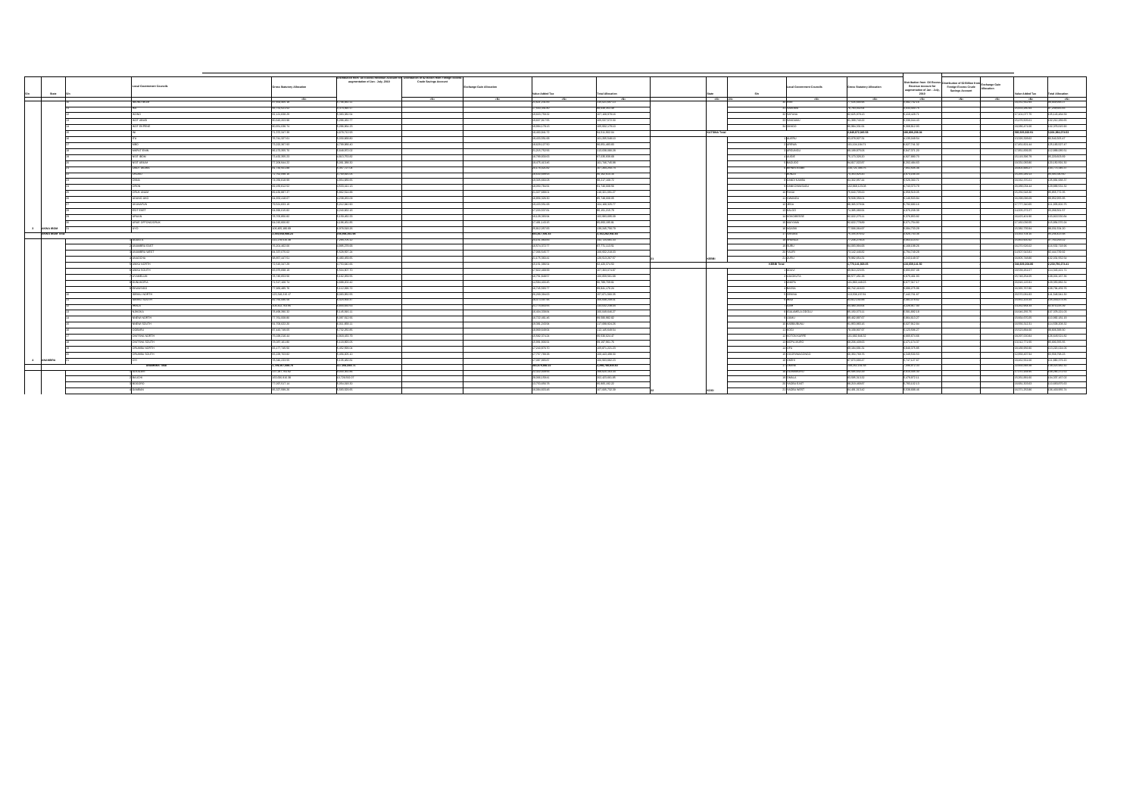|                  |                                  |                            | tution from Oil Escess Revenue Account | ution of \$2 Billion from Foreign Exc. |                          |                 |                         |               |                    |                                  |                            |                                                   |                             |                     |                        |                         |
|------------------|----------------------------------|----------------------------|----------------------------------------|----------------------------------------|--------------------------|-----------------|-------------------------|---------------|--------------------|----------------------------------|----------------------------|---------------------------------------------------|-----------------------------|---------------------|------------------------|-------------------------|
|                  |                                  |                            | augmentation of Jan - July, 2010       | Crude Savings Account                  |                          |                 |                         |               |                    |                                  |                            | atribution from OI Exc.                           | infoution of \$2 Billion fr | <b>Schange Gain</b> |                        |                         |
|                  | <b>Local Government Councils</b> | Gross Statutory Allocation |                                        |                                        | Eschange Gain Allocation |                 |                         |               |                    | <b>Local Government Councils</b> | Gross Statutory Allocation | Revenue Account for<br>augmentation of Jan - July | Foreign Excess Crude        |                     |                        |                         |
| State            |                                  |                            |                                        |                                        |                          | Value Added Tax | <b>Total Allocation</b> |               | 5m                 |                                  |                            | 2010                                              | Savings Account             |                     | <b>Value Added Tax</b> | <b>Total Allocation</b> |
|                  |                                  |                            |                                        |                                        |                          |                 |                         | - - -         |                    |                                  |                            |                                                   |                             |                     |                        |                         |
|                  | MORE CAGE                        | 7,654,405.18               | 1746,000.11                            |                                        |                          | 21,621,231.83   | 15,021,097.13           |               |                    |                                  | 7.535,690.96               | 5,082,742.16                                      |                             |                     | 1,051,582.94           | 022396.07               |
|                  |                                  | 1731,521.52                | 374.490.17                             |                                        |                          | 17,543,341.00   | 03.049.353.49           |               |                    | <b>A FAILBANA</b>                | 76.783.002.64              | 033.400.75                                        |                             |                     | 433,200.44             | 249,683.83              |
|                  |                                  |                            |                                        |                                        |                          |                 |                         |               |                    |                                  |                            |                                                   |                             |                     |                        |                         |
|                  |                                  | 1,121,030.29               | 383,380.54                             |                                        |                          | 19,603,759.32   | 07,108,978.16           |               |                    | AFANA                            | 02.025,970.13              | 5,416,420.71                                      |                             |                     | 101,077.75             | 05,143,484.59           |
|                  | KOT ABASI                        | 043,203.98                 | 1,286,450.77                           |                                        |                          | 19,607,917.55   | 105,537,572.30          |               |                    | <b>UMACIAN</b>                   | 01,399,740.22              | \$336,044.43                                      |                             |                     | 5,476,505.01           | 102,212,209.05          |
|                  | DT ENPENE                        | 1651,036.74                | 206,964.23                             |                                        |                          | 19,994,179.13   | 05,932,179.10           |               |                    |                                  | 00,984,331.91              | 5,308,812.93                                      |                             |                     | 086,471.06             | 02.379.615.90           |
|                  |                                  | 1,372,347.29               | 678,712.93                             |                                        |                          | 18,460,841.72   | H.511,902.04            | KATSINA Total |                    |                                  | 2,049,672,045.58           | 106.006.206.04                                    |                             |                     | 15,505,822.94          | 3,601,984,074.53        |
|                  |                                  |                            |                                        |                                        |                          |                 |                         |               |                    |                                  |                            |                                                   |                             |                     |                        |                         |
|                  |                                  | 6,741,327.61               | 08.833.000.2                           |                                        |                          | 19,433,551.68   | 101,205,548.10          |               |                    | <b>ALIERU</b>                    | 03,078,927.31              | 1.135.049.54                                      |                             |                     | 3,326,328.62           | 540,305.47              |
|                  |                                  | 1,222,367.93               | 799,988.40                             |                                        |                          | 18,629,127.50   | 96,651,403.03           |               |                    |                                  | 101,104,184.71             | 5,627,741.32                                      |                             |                     | 7,451,601.44           | 125,183,527.47          |
|                  | <b>INPAT ENIN</b>                | 1173,355.70                | 648,972.02                             |                                        |                          | 21,215,752.56   | 13,038,080.28           |               |                    | CUNG                             | 89,199,875.06              | 5,847,371.20                                      |                             |                     | 7,051,039.25           | 2,099,005.51            |
|                  | <b>NSIT IBOM</b>                 | 43235523                   | 813,753.02                             |                                        |                          | 18,789,830.63   | 17.035.939.68           |               |                    | UGIE                             | 75,173,326.20              | 1927,000.70                                       |                             |                     | 5,119,396.79           | 220 803.69              |
|                  |                                  |                            |                                        |                                        |                          |                 |                         |               |                    |                                  |                            |                                                   |                             |                     |                        |                         |
|                  | <b>NSIT UBILM</b>                | 7,209,944.22               | 00.000.100.2                           |                                        |                          | 12,475,413.46   | 101,746,745.98          |               |                    | <b>AGUDO</b>                     | 94,617,022.07              | 1,202,484.63                                      |                             |                     | 9,331,083.00           | 20,150,591.30           |
|                  | <b>OBOT AKARA</b>                | 230,501.00                 | 357.727.04                             |                                        |                          | 20,176,021.82   | 107,264,250.74          |               |                    | RNN-KESSE                        | 116,721,394.75             | 1.651.505.36                                      |                             |                     | 400-446-27             | 4.773.346.37            |
|                  | OKOBO                            | 2,762,098.16               | 703,816.06                             |                                        |                          | 10,630,699.93   | 96,162,614.16           |               |                    |                                  | 74,353,925.43              | 1,074,166.04                                      |                             |                     | 15,265,249.13          | 04,423,340.00           |
|                  |                                  | 02.010.333                 | 33,003,128                             |                                        |                          | 19,305,000.08   | 98,217,168.72           |               |                    | ANDI KAMBA                       | 84,302,957.44              | \$526,360.71                                      |                             |                     | 1,062,370.21           | 05,091,000.37           |
|                  | nens:                            | 155,012.52                 | 533,411.13                             |                                        |                          | 18,050,704.91   | 91,740,008.56           |               |                    |                                  | 102,868,123.08             | 5,743,373.79                                      |                             |                     | 208,034.44             | 9,899,531.32            |
|                  |                                  | 9,430,007.27               | 062,514.00                             |                                        |                          |                 |                         |               |                    | WCA1                             |                            |                                                   |                             |                     |                        |                         |
|                  | <b>ORUK ANAM</b>                 |                            |                                        |                                        |                          | 21,027,689.01   | 116,321,091.27          |               |                    |                                  | 75,640,705.00              | 1,958,519.05                                      |                             |                     | 5,256,548.30           | 5,055,772.35            |
|                  | UDUNG UKD                        | (653,418.67)               | (238,263.09                            |                                        |                          | 16,056,326.30   | 85,748,008.05           |               |                    | WANDU                            | 78,508,356.01              | 146,503.84                                        |                             |                     | 5,298,096.09           | 0.052.055.05            |
|                  | <b>UKANAFUN</b>                  | 1,521,833,19               | 212,940.90                             |                                        |                          | 19,433,551.68   | 104,168,325.77          |               |                    |                                  | 08.365,579.94              | 792,680.16                                        |                             |                     | 77,343.65              | 1,935,600.75            |
|                  | ESIT ENET                        | 690,015.02                 | 243,662.16                             |                                        |                          | 17,220,537.81   | 86,151,215.79           |               |                    |                                  | 74,385,000.91              | (876,208.29                                       |                             |                     | 005.272.27             | 23.266.561.57           |
|                  | <b>LIRUAN</b>                    | 78,705,850.82              | 5,159,450.33                           |                                        |                          | 19,120,393.94   | 102,993,695.09          |               |                    | <b>SCIENCIA</b>                  | 82,022,275.11              | 5,376,853.82                                      |                             |                     | 423,401.90             | 0.822,530.84            |
|                  | URUE OFFONG ORUX                 | 015,000.02                 | 4,196,451.05                           |                                        |                          | 17,401,143.15   | 05,093,195.01           |               |                    | AIYAMA                           | 92,622,778.89              | 08.1275.120.2                                     |                             |                     | 33.000,000,7           | 5,854,570.24            |
|                  |                                  |                            |                                        |                                        |                          |                 |                         |               |                    |                                  |                            |                                                   |                             |                     |                        |                         |
| <b>AKWA ISOM</b> |                                  | 03.001.224.30              | 378,518.26                             |                                        |                          | 25,012,057.03   | 39, 245, 756.79         |               |                    |                                  | 7,566,064.97               | 084,733.29                                        |                             |                     | 5,380,735.94           | 031534.20               |
| AKWA IDOM Total  |                                  | 2,393,558,988.23           | 02.135,309,321                         |                                        |                          | C01,017,591.43  | 3,152,202,941.64        |               |                    | akana                            | 75, 155, 976.52            | (326,743.36                                       |                             |                     | 14,163,704.10          | 04,246,423.98           |
|                  | AGUATA                           | 1,278,515.30               | 294,705.12                             |                                        |                          | 24,151,460.83   | 142,724,681.33          |               |                    | wa                               | 77,236,278.03              | 5063.114.57                                       |                             |                     | 5,463,900.42           | 7,763,293.02            |
|                  | <b>MARRA EAST</b>                | 4,201,462.06               | 995,278.60                             |                                        |                          | 16,574,372.77   | 7,771,113.51            |               |                    |                                  | H.093,994.68               | 1568.198.26                                       |                             |                     | 1,270,536.02           | 16,532,718.96           |
|                  | NAMBRA WEST                      | 4,337,075.02               | 5,528,597.24                           |                                        |                          | 17,006,545.77   | 106,932,218.03          |               |                    | <b>AURI</b>                      | 73,142,446.82              | 1,704,749.28                                      |                             |                     | 4,507,543.01           | 2,444,739.92            |
|                  |                                  |                            |                                        |                                        |                          |                 |                         |               |                    |                                  |                            |                                                   |                             |                     |                        |                         |
|                  | <b>WADCHA</b>                    | 8,857,447.51               | 400,459.05                             |                                        |                          | 21,175,360.41   | 126,513,267.57          | KEGOI         |                    | 21 ZURL                          | 70,902,054.31              | 5,243,149.37                                      |                             |                     | 16,005,748.06          | 02,031,552.54           |
|                  | <b><i>VINA NORTH</i></b>         | 515,347.29                 | 53,640.00                              |                                        |                          | 15,151,306.54   | 92,420,374.50           |               | <b>KEDDI Total</b> |                                  | 1,770,141,928.05           | 116,039,141.50                                    |                             |                     | 344,009,204.00         | 2,230,790,274.41        |
|                  | WAKA SOUTH                       | 1,975,698.19               | 504,907.70                             |                                        |                          | 17,022,408.99   | 07,303,074.87           |               |                    |                                  | 89,910,223.55              | 5,893,937.08                                      |                             |                     | 1,539,261.07           | 4,343,421.71            |
|                  | <b>AYAMELUM</b>                  | 18,745,053.56              | 5,162,059.55                           |                                        |                          | 16,751,040.57   | 100,059,561.08          |               |                    | <b>AJAQKUTA</b>                  | 86,577,451.38              | 5,675,461.93                                      |                             |                     | 1741, 254.05           | 00,001,107.36           |
|                  | <b>UNUKOFIA</b>                  | 517.106.74                 | 688,202.42                             |                                        |                          | 4,584,400.45    | 90,789,709.61           |               |                    |                                  | 01,860,449.23              | 6877,317.17                                       |                             |                     | 1816.115.91            | 935388231               |
|                  |                                  | 583,485.76                 |                                        |                                        |                          | 6,745,593.7     |                         |               |                    |                                  |                            | 686,275.96                                        |                             |                     |                        |                         |
|                  |                                  |                            | 12,096.72                              |                                        |                          |                 | 8,841,176.24            |               |                    |                                  | 1.742,416.00               |                                                   |                             |                     | 1,365,767.60           | 1,794,459.76            |
|                  | <b>GMILI NORTH</b>               | 13,318,215.17              | 003,050.55                             |                                        |                          | 26.209,394.63   | 157,671,560.35          |               |                    |                                  | 113,536,157.81             | 1,442,701.67                                      |                             |                     | (570,001.03            | 41,548,941.30           |
|                  | DEMILI SOUTH                     | 2,750,006.58               | 5,424,564.47                           |                                        |                          | 18,473,597.96   | 106,648,249.01          |               |                    |                                  | 83,612,192.88              | 5,481,078.62                                      |                             |                     | 15,951,203.34          | 5,044,474.05            |
|                  | 44.44                            | 04,412,763.95              | 544,630.53                             |                                        |                          | 21,774,843.55   | 33,032,238.04           |               |                    |                                  | 04.480,343.64              | (226.917.40)                                      |                             |                     | 14,202,964.34          | (970,225.39             |
|                  | <b>AXION ILE</b>                 | 8,499,390.32               | 145.916.11                             |                                        |                          | 16,404,339.84   | 03049.646.27            |               |                    | ALAMELA-ODOLU                    | 85,150,073.11              | 5,581,092.18                                      |                             |                     | 6,646,255.75           | 07,378,221.03           |
|                  | enewi north                      | 761,008.03                 | 097,512.56                             |                                        |                          | 6,722,461.46    | 13,580,982.82           |               |                    |                                  | 89.462,897.67              | 864.613.2                                         |                             |                     | 664,670.25             | 0,992,181.19            |
|                  |                                  |                            |                                        |                                        |                          |                 |                         |               |                    |                                  |                            |                                                   |                             |                     |                        |                         |
|                  | HNOR INDIA                       | 706,022.20                 | 011,658.11                             |                                        |                          | 19,301,243.94   | 17,098,924.26           |               |                    | manan                            | 51,053,083.16              | 1027.912.04                                       |                             |                     | 556312.31              | 14,538,208.32           |
|                  | <b>TANGOC</b>                    | 7,443,749.05               | 1,732,250.85                           |                                        |                          | 18,909,649.64   | 112,145,649.54          |               |                    | oa                               | 78,158,907.97              | 5,123,596.27                                      |                             |                     | 523,004.00             | 02.030,300,00           |
|                  | <b>ONITSHA NORTH</b>             | 5,029,216.44               | 4,918,433.79                           |                                        |                          | 15,582,374.24   | 95,530,024.47           |               |                    | <b>OTON KARFE</b>                | 101,682,046.32             | 80.074.033.0                                      |                             |                     | 18,297,000.84          | 126,645,521.82          |
|                  | HTUOR ANETHIC                    | (087,161.00                | 30.098.811                             |                                        |                          | 15,991,906.91   | 99,197,961.76           |               |                    | <b>CPAMLRO</b>                   | 08.206,409.63              | 4,471,174.27                                      |                             |                     | 1,012,771.55           | 5,090,355.55            |
|                  | <b>DRUMBA NORTH</b>              | 177,745.50                 | 452,599.04                             |                                        |                          | 17,240,876.70   | 105,871,221.23          |               |                    |                                  | 09.104.091.31              | 5.846.375.85                                      |                             |                     | 10,103,956.90          | 220,024.06              |
|                  | <b>ORUMBA SOUTH</b>              |                            | 456 005.10                             |                                        |                          |                 |                         |               |                    | GORIMAGONGO                      |                            | (349.530.53)                                      |                             |                     | 150,497.94             |                         |
|                  |                                  | 229,703.82                 |                                        |                                        |                          | 17,757,709.38   | 100,443,498.30          |               |                    |                                  | 05.037,022.20              |                                                   |                             |                     |                        | 3,558,798.23            |
| 4 ANAMERA        |                                  | 78,340,233.55              | 5,535,482.01                           |                                        |                          | 17,087,965.87   | 100,560,682.23          |               |                    |                                  | 87,670,690.47              | 5,747,127.67                                      |                             |                     | 10,462,561.06          | 11,003,379.20           |
|                  | ANAMBRA Total                    | 799.167.008.70             | 17:941.844.71                          |                                        |                          | 381.079.002.22  | 2,298,700,015.63        |               |                    |                                  | 108.262.161.58             | 7.096.972.33                                      |                             |                     | 2,004.043.30           | 30,023,982.30           |
|                  | <b>ALKALERI</b>                  | 17,297,791.92              | 000,361.00                             |                                        |                          | 22,322,009.56   | 168,620,163.34          |               |                    | LAMABORO                         | 05.585,642.29              | 00.046.023.2                                      |                             |                     | 20.14.27.07.1          | 08,266,272.53           |
|                  | 411016                           | 12,630,910.30              | 0,726,592.07                           |                                        |                          | 28,000,159.41   | 202,423,661.05          |               |                    | <b>AAAA</b>                      | 83,595,313.32              | 479,972.11                                        |                             |                     | 15,261,881.00          | 104,337,167.02          |
|                  | OGORO                            | 097,517.14                 | 054,018.30                             |                                        |                          | 13,753,056.78   | 95,905,192.22           |               |                    |                                  |                            |                                                   |                             |                     | 6,681,303.63           | 10,683,875.63           |
|                  |                                  |                            |                                        |                                        |                          |                 |                         |               |                    | AGBA EAST                        | 08.219,469.87              | 5,783,102.13                                      |                             |                     |                        |                         |
|                  | <b>MARIAN</b>                    | 5,327,599.26               | 593,529.05                             |                                        |                          | 16,004,003.48   | 07,005,732.39           |               |                    | YAGBA WEST                       | 84,491,013.42              | 24.003.022.2                                      |                             |                     | 16,371,253.06          | 06,400,955.74           |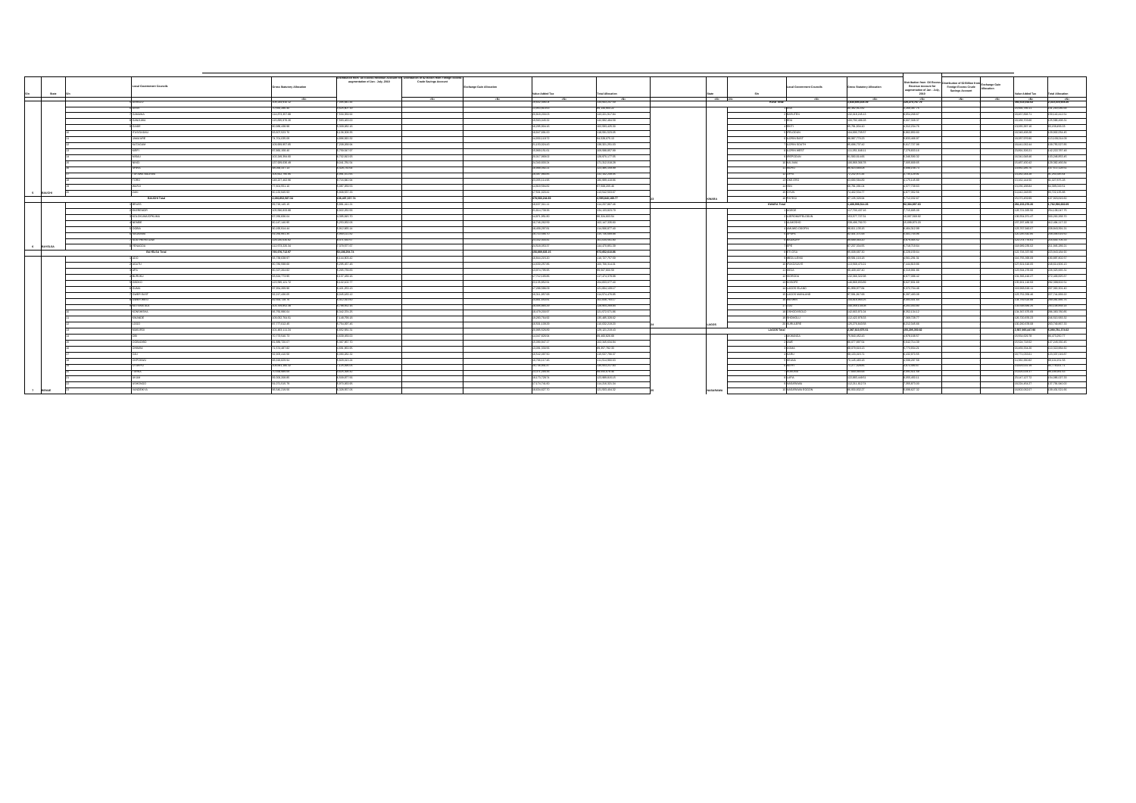|                  |                                  |                            | bution from Oil Escess Revenue Account | xion of \$2 Billion from Foreign Exce |                         |                  |                         |              |             |                                  |                            |                                                   |                                                                |                     |                  |                         |
|------------------|----------------------------------|----------------------------|----------------------------------------|---------------------------------------|-------------------------|------------------|-------------------------|--------------|-------------|----------------------------------|----------------------------|---------------------------------------------------|----------------------------------------------------------------|---------------------|------------------|-------------------------|
|                  | <b>Local Government Councils</b> | Gross Statutory Allocation | augmentation of Jan - July, 2010       | Crude Savings Account                 | schange Gain Allocation |                  |                         |              |             | <b>Local Government Councils</b> | Gross Statutory Allocation | Distribution from Oil Esca<br>Revenue Account for | <b>Distribution of \$2 Billion fro</b><br>Foreign Excess Crude | <b>Schange Gain</b> |                  |                         |
|                  |                                  |                            |                                        |                                       |                         |                  |                         |              |             |                                  |                            | augmentation of Jan - July                        | <b>Savings Account</b>                                         |                     |                  |                         |
| State            |                                  |                            |                                        |                                       |                         | Value Added Tax  | <b>Total Allocation</b> |              | 5/n         |                                  |                            | 2010                                              |                                                                |                     | Value Added Tax  | <b>Total Allocation</b> |
|                  |                                  |                            |                                        |                                       |                         |                  |                         | - - -        |             |                                  |                            |                                                   |                                                                |                     |                  |                         |
|                  |                                  | 18,244,910.12              | 7,095,841.44                           |                                       |                         | 19,002,496.04    | 134,943,247,59          |              | KOGI Total  |                                  | 1,034,094,104.39           | 120,270,767.79                                    |                                                                |                     | 155,514,032.02   | 2,310,478,904.20        |
|                  |                                  | 56520640                   | 4,625,807.19                           |                                       |                         | 1,953,810.63     | 03.144.904.22           |              |             |                                  | 00,302,912.02              | 5,269,307.75                                      |                                                                |                     | 566,786.11       | 101,219,006.68          |
|                  | <b>MAYKA</b>                     | 4,073,357.00               | 530,359.92                             |                                       |                         | 20.010,200.03    | 143,221,917.04          |              |             | ARUTEN                           | 22.010,245.13              | 1,654,268.67                                      |                                                                |                     | 0,467,050.71     | 159,140,412.51          |
|                  | GANJUWA                          | 5,035,976.26               | 593,463.00                             |                                       |                         | 19.563,045.32    | 142,992,484.58          |              |             |                                  | 100,792,486.28             | \$507,008.37                                      |                                                                |                     | 0,100,703.00     | 125,588,498.31          |
|                  |                                  | 500,430.98                 | 322,082.16                             |                                       |                         | 16,256,904.16    | 102,593,425.30          |              |             |                                  | 6,781,834.10               | 4,312,234.76                                      |                                                                |                     | 065,387.16       | 0,159,456.03            |
|                  |                                  |                            | 2010/09/23                             |                                       |                         | 18,047,091.00    | 110,591,523.05          |              |             | <b>LOOUN</b>                     |                            | 6.862.850.60                                      |                                                                |                     | 0,340,450.20     |                         |
|                  | TAS/GADAU                        | 1,607,523.70               |                                        |                                       |                         |                  |                         |              |             |                                  | 104,690,705.57             |                                                   |                                                                |                     |                  | 29,932,054.45           |
|                  | <b>JAMA'ARE</b>                  | 1,701,035.09               | 4,896,920.32                           |                                       |                         | 14,930,119.72    | 94,528,075.13           |              |             | <b>CRINEAST</b>                  | 08,907,770.23              | 5,833,466.97                                      |                                                                |                     | 0,287,976.90     | 113,109,214.09          |
|                  | KATAGUM                          | 10,050,057.05              | 7,208,268.94                           |                                       |                         | 21,153,024.43    | 138,321,251.03          |              |             | CRIN SOUTH                       | 05.096,737.42              | 5,617,727.98                                      |                                                                |                     | 0,441,002.44     | 109,755,527.05          |
|                  |                                  | 7,000,150.40               | 759.547.97                             |                                       |                         | 15,909,151.61    | 109.588.857.99          |              |             | <b>CRIN WEST</b>                 | 11,051,040.11              | 7,279,833.16                                      |                                                                |                     | 13,091,306.21    | 142,222,787.48          |
|                  | <b>ASAU</b>                      | 2,249,394.00               | 702,813.93                             |                                       |                         | 0.017,969.02     | 128,970,177.55          |              |             | EPODUN                           | 20.013.032.10              | 5,346,590.32                                      |                                                                |                     | 0,341,643.46     | 03.248.853.45           |
|                  | NNGI                             | 17,929,636.49              | 9,041,781.54                           |                                       |                         | 24,340,600.24    | 171,312,018.28          |              |             | <b>AMA IA</b>                    | 106,000,000.78             | 2,005,009.05                                      |                                                                |                     | 5,417,430.42     | 129,362,466.84          |
|                  |                                  | 068,337.13                 | 428,730.64                             |                                       |                         | 18,988,092.21    | 123,485,159.99          |              |             |                                  | 06.923,684.08              | 5,698,158.73                                      |                                                                |                     | 350,285.70       | 107,572,128.51          |
|                  | <b><i>AFAWA BALEWA</i></b>       | 06.652.795.95              | 6,991,472.65                           |                                       |                         | 18,497,980.85    | 132,142,249.45          |              |             |                                  | 72,232,971.44              | 4,735,129.91                                      |                                                                |                     | 4,282,244.28     | 91,250,345.64           |
|                  |                                  | 48,227,462.96              | 716.840.94                             |                                       |                         | 23,055,114.96    | 103 999 410 06          |              |             | OKE-ERO                          | 03/02/02/03                | 4.175.145.09                                      |                                                                |                     |                  |                         |
|                  |                                  |                            |                                        |                                       |                         |                  |                         |              |             |                                  |                            |                                                   |                                                                |                     | 3,162,144.50     | 01,027,075.20           |
|                  | <b>TANK</b>                      | 7,601,551.10               | 5,087,059.53                           |                                       |                         | 14.019,594.02    | 97,508,205.46           |              |             |                                  | 06.781,091.04              | 4,377,739.63                                      |                                                                |                     | 13,236,188.84    | 04,295,019.51           |
| <b>AUCHI</b>     |                                  | 1122,945.93                | 5,908,537.33                           |                                       |                         | 7,501,020.41     | 113 542 503 67          |              |             | VI IN                            | 74.402.534.77              | 4,877,352.56                                      |                                                                |                     | 4,442,248.55     | 23,722,135.00           |
|                  | <b>GAUCH Total</b>               | 000,052,507.34             | 136,407,337.74                         |                                       |                         | 178,580,244.03   | 2,595,040,169.77        | <b>KWARA</b> |             | <b>ATEGI</b>                     | 7,135,326.94               | 1712,032.67                                       |                                                                |                     | 073,459.99       | 107,920,819.60          |
|                  |                                  | 719,145.15                 | 481.411.21                             |                                       |                         | 18,637,211.11    | 114,237,067.46          |              | WARA Total  |                                  | 1,408,998,514.26           | 92,364,097.63                                     |                                                                |                     | 261, 233, 270.20 | 1,762,596,682.09        |
|                  | <b>ALSEMOR</b>                   | 5,596,033.00               | 922 250 56                             |                                       |                         | 21,614,729.36    | 134,133,023.79          |              |             |                                  | 17,700,437.16              | 7,715,685.09                                      |                                                                |                     | 9,721,925.50     | 254,138,047.75          |
|                  | KOLOKUMA CPKUMA                  | 10308,030.04               | 4,225,815.70                           |                                       |                         | 14,871,951.80    | 06.324.003.54           |              |             | <b>JEROMIFELODUN</b>             | 153,577,727.31             | 10,067,569.92                                     |                                                                |                     | 136,554,971.47   | 100,200,268.70          |
|                  |                                  |                            |                                        |                                       |                         |                  |                         |              |             |                                  |                            |                                                   |                                                                |                     |                  |                         |
|                  | NEMBE                            | 0,147,140.95               | 5 253 932 06                           |                                       |                         | 16,746,262.59    | 102,147,335.60          |              |             | CHOCKER                          | 229,496,760.70             | 15,699,870.20                                     |                                                                |                     | 57,237,486.32    | 412,494,117.22          |
|                  | <b>COIA</b>                      | 1,195,914.44               | 012,005.14                             |                                       |                         | 10,450,297.01    | 114,506,077.40          |              |             | MIDAD-ODDRIN                     | 98,611,125.15              | 6,464,312.99                                      |                                                                |                     | 23,767,943.07    | 220,843,391.21          |
|                  | <b>AGBAMA</b>                    | 1,056,991.35               | 969.111.02                             |                                       |                         | 18,710,586.70    | 115,736,689.00          |              |             |                                  | 82,401,371.68              | \$,401,704.95                                     |                                                                |                     | 0,245,542.85     | 208,048,619.50          |
|                  | WALI VISIDADI DA                 | 13,230,630.82              | 471,530.57                             |                                       |                         | 23,332,400.41    | 161,034,551.00          |              |             | ADAGRY                           | 02.029,464.20              | 5,879,465.52                                      |                                                                |                     | 1,074,776.61     | 16,643,706.33           |
| <b>6 BAYELSA</b> | YENAGOA                          | 2,571,220.34               | 7,279,577.67                           |                                       |                         | 24,518,053.37    | 144,470,051.39          |              |             |                                  | 87,227,334.55              | 5,718,719.64                                      |                                                                |                     | 10,989,235.02    | 211,945,289.21          |
|                  | <b>BAYELSA Total</b>             | 05,576,712.97              | 50,106,294.74                          |                                       |                         | 156,009,003.15   | 172,652,610.06          |              |             | <b>HOSA</b>                      | 05,008,687.33              | 6,228,159.64                                      |                                                                |                     | 22,706,337.96    | 223,943,184.90          |
|                  |                                  | 3,738,638.97               | 144,903.42                             |                                       |                         | 16, 044, 215. 20 | 116,727,757.59          |              |             | 0633-1200                        | 03.581,116.18              | 4,561,291.31                                      |                                                                |                     | 16,755,395.09    | 190,897,802.57          |
|                  | AGATU                            | 0.780,590.66               | 5.295.457.40                           |                                       |                         | 14,630,257.06    | 100,706,314.01          |              |             | <b>AKO/UAYE</b>                  |                            |                                                   |                                                                |                     |                  |                         |
|                  |                                  |                            |                                        |                                       |                         |                  |                         |              |             |                                  | 113,568,470.21             | 7,444,019.06                                      |                                                                |                     | 20.011,000.05    | 248,614,906.13          |
|                  |                                  | 0,327,264.82               | 5,205,739.83                           |                                       |                         | 13,974,795.95    | 03.567,000.59           |              |             | <b>ALZA</b>                      | 06.409,407.40              | 4,319,981.86                                      |                                                                |                     | 23,594,276.06    | 226,323,665.31          |
|                  | <b>DURUKU</b>                    | 1024,773.95                | 6,127,429.16                           |                                       |                         | 712,165.06       | 117,474,378.90          |              |             | <b>CORODU</b>                    | 132,366,322.98             | 1,677,006.42                                      |                                                                |                     | 1,366,416.27     | 72,409,825.67           |
|                  |                                  | 3,595,121.72               |                                        |                                       |                         | 136,052.91       | 54,833,077.40           |              |             |                                  | 45,000,053.03              | 1,627,031.69                                      |                                                                |                     | 6,901,116.93     | 292.293.602.5           |
|                  | ama                              | 354,269.96                 | 421,253.13                             |                                       |                         | 7,208,506.09     | 121,664,109.17          |              |             | GOS ISLAN                        | 1.958.977.84               | 5,372,704.46                                      |                                                                |                     | 9,968,619.11     | 207,333,301.40          |
|                  | <b>GIVER EAST</b>                | 217,436.05                 | 6,045,183.12                           |                                       |                         | 16,311,057.68    | 114,574,476.05          |              |             | AGOS MAINLAND                    | 97,591,017.60              | 0.007,493.00                                      |                                                                |                     | 1,752,358.46     | 227,741,669.22          |
|                  | <b>GWER WEST</b>                 | 2,564,720.76               | 5,412,413.60                           |                                       |                         | 14,001,050.01    | 102,838,793.17          |              |             | <b>MIGHT</b>                     | 144,010,064.25             | 3,493,401.64                                      |                                                                |                     | 134,709,520.88   | 209,001,006.76          |
|                  | <b>KATSINA ALA</b>               | 13,709,852.38              | 6,798,552.16                           |                                       |                         | 10,445,005.29    | 120,954,200.04          |              |             |                                  | 140,359,134.08             | 3,201,043.80                                      |                                                                |                     | 0,540,600.25     | 203,108,858.14          |
|                  |                                  |                            |                                        |                                       |                         | 18,479,200.97    | 121,572,571.06          |              |             |                                  |                            |                                                   |                                                                |                     |                  |                         |
|                  | <b>CONSIESIA</b>                 | 1750,996.64                | 6,342,374.25                           |                                       |                         |                  |                         |              |             | CHOCHISCLO                       | 142,663,971.04             | 9,352,134.12                                      |                                                                |                     | 34,357,675.69    | 206,383,780.05          |
|                  | <b>JONAKY</b>                    | 9.052.764.51               | 148,799.18                             |                                       |                         | 9,283,764.92     | 135,485,328.62          |              |             | <b>KOMOLL</b>                    | 12,422,978.33              | 7,369,720.77                                      |                                                                |                     | 6,720,876.23     | 246,513,583.32          |
|                  | $_{\rm oo}$                      | 777,012.45                 | 5,754,097.46                           |                                       |                         | 16,501,109.29    | 110,032,219.20          | LAGOS        |             | LRULER                           | 125,276,043.58             | 8,212,345.66                                      |                                                                |                     | 0,260,678.08     | 263,749,867.33          |
|                  | AAXURDI                          | 01,483,111.24              | 0,052,581.31                           |                                       |                         | 20,985,526.89    | 129,121,219.43          |              | LAGOS Total |                                  | 2,367,610,575.51           | 155,205,350.62                                    |                                                                |                     | 2,567,965,447.90 | 5,090,781,374.02        |
|                  |                                  | 773,540.73                 | 00.029,020                             |                                       |                         | 4,047,826.94     | 89,400,026.00           |              |             | жныса                            | 5,940,452.43               | 4,978,168.57                                      |                                                                |                     | 554,629.78       | 06,473,250.77           |
|                  | <b>DGBADIDO</b>                  | 1,886,720.07               | 5,367,967.70                           |                                       |                         | 15,090,947.17    | 102,345,634.94          |              |             |                                  | 86,077,097.54              | \$,642,714.29                                     |                                                                |                     | 5,524,718.52     | 107,245,330.45          |
|                  | MINE                             | 574,407.02                 | 8,031,003.05                           |                                       |                         | 13,091,330.56    | 03.357,702.33           |              |             |                                  | 08.079,616.13              | 5,773,934.21                                      |                                                                |                     | 0,409,334.26     | 10,322,884.60           |
|                  |                                  |                            |                                        |                                       |                         | 16,542,097.50    | 115,537,790.37          |              |             |                                  |                            |                                                   |                                                                |                     |                  |                         |
|                  |                                  | 1905,410.56                | 6,090,282.32                           |                                       |                         |                  |                         |              |             |                                  | 0.133,015.71               | 6,432,970.55                                      |                                                                |                     | (771,033.61)     | 23,337,019.87           |
|                  | <b>TANOACHO</b>                  | 1,919,829.94               | 829-013-24                             |                                       |                         | 16,766,117.46    | 111,514,960.63          |              |             |                                  | 70,145,483.18              | 4,598,287.58                                      |                                                                |                     | 1,360,380.02     | 89,104,151.58           |
|                  | ORIGICO                          | 10,001,100.32              | 125,096.05                             |                                       |                         | 19,736,941.47    | 135,553,217.03          |              |             |                                  | 71,277,420.05              | 4,672,490.67                                      |                                                                |                     | 4,829,002.19     | 90,778,921.71           |
|                  | apica                            | 558,909.03                 | 025,394.42                             |                                       |                         | 13,371,294.36    | 03.555,678.46           |              |             | <b>BOTHNA</b>                    | 23.239,033.7               | 5,091,511.58                                      |                                                                |                     | 426,004.37       | 00,100,001.03           |
|                  | <b>DOM</b>                       | 306,208.85                 | 509,877.56                             |                                       |                         | 8,173,720.74     | 123,989,015.15          |              |             |                                  | 22,883,449.51              | 8,055,450.11                                      |                                                                |                     | 147,127.72       | 54,006,027.33           |
|                  | <b>USHONGO</b>                   | 1,071,515.79               | 320,063.95                             |                                       |                         | 17,174,741.60    | 114,216,321.34          |              |             | <b>ARAWA</b>                     | 112,211,612.74             | 7,355,873.00                                      |                                                                |                     | 10,224,454.27    | 137,791,940.00          |
| 7 DENUE          | <b>AYSIBDIAN</b>                 | 6,540,219.56               | 6,328,557.06                           |                                       |                         | 18,634,627.70    | 121,503,404.32          |              |             | AWA EGGON                        | 06.930,032.27              | 5,000,027.32                                      |                                                                |                     | 6,832,062.07     | 109,431,521.66          |
|                  |                                  |                            |                                        |                                       |                         |                  |                         |              |             |                                  |                            |                                                   |                                                                |                     |                  |                         |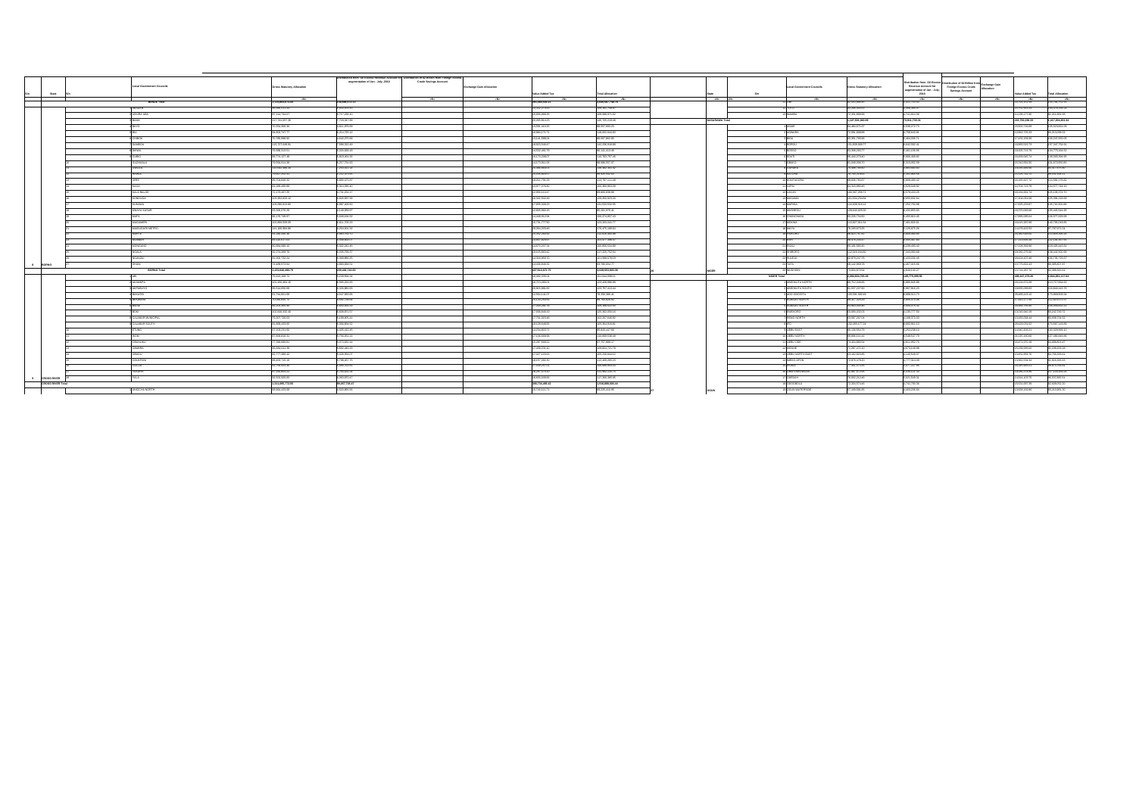|                  |                                  |                                | ution from Oil Escess Revenue Account | sion of \$2 Billion from Foreign Ex |                         |                 |                                |                       |                    |                                  |                                   |                                                    |                               |              |                 |                  |
|------------------|----------------------------------|--------------------------------|---------------------------------------|-------------------------------------|-------------------------|-----------------|--------------------------------|-----------------------|--------------------|----------------------------------|-----------------------------------|----------------------------------------------------|-------------------------------|--------------|-----------------|------------------|
|                  |                                  |                                | augmentation of Jan - July, 2010      | Crude Savings Account               |                         |                 |                                |                       |                    |                                  |                                   | Housion from Oil Escess                            | Xentbusion of \$2 Billion fro | schange Gain |                 |                  |
|                  | <b>Local Government Councils</b> | Gross Statutory Allocation     |                                       |                                     | achange Gain Allocation |                 |                                |                       |                    | <b>Local Government Councils</b> | <b>Gross Statutory Allocation</b> | Revenue Account for<br>sugmentation of Jan - July, | Foreign Excess Crude          |              |                 |                  |
| State            |                                  |                                |                                       |                                     |                         | Value Added Tax | Total Allocation               |                       | 5/n                |                                  |                                   | 2010                                               | <b>Savings Account</b>        |              | Value Added Tax | Total Allocation |
|                  |                                  |                                |                                       |                                     |                         |                 |                                | - - -                 |                    |                                  |                                   |                                                    |                               |              |                 |                  |
|                  | <b>DENUE Total</b>               | 115,004,673.44                 | 130,698,572.13                        |                                     |                         | 391,084,503.21  | 2,645,587,740.78               |                       |                    |                                  | 2,553,096.45                      | 5,411,703.50                                       |                               |              | 6,793,151.59    | A,758,751.55     |
|                  | <b>MADAN</b>                     | 1995.511.43                    | 123.974.43                            |                                     |                         | 14,332,273.00   | 109,101,758.07                 |                       |                    |                                  | 120600051                         | 5,458,384.47                                       |                               |              | 5,751,953.24    | 476,338.24       |
|                  | ASIORA UBA                       | 214,734.07                     | 17,238.10                             |                                     |                         | 15,050,000.35   | 108,588,971.52                 |                       |                    |                                  | 2,331,009.68                      | 4,741,614.36                                       |                               |              | 4,138,177.90    | 211,681.93       |
|                  |                                  | 17,741,057.36                  | 710,347.09                            |                                     |                         | 20,205,014.23   | 145,725,219.40                 | <b>NASARAWA Total</b> |                    |                                  | 1,127,501,040.00                  | 73,911,730.31                                      |                               |              | 215,792,000.33  | A17,204,001.34   |
|                  |                                  |                                | 41.976.69                             |                                     |                         | 13,591,410.25   |                                |                       |                    |                                  | 4,484,671.67                      |                                                    |                               |              | 500,716.69      | 523.661.09       |
|                  |                                  | 354,306.30                     |                                       |                                     |                         |                 | 1,557,660.23                   |                       |                    |                                  |                                   | 5,538,272.73                                       |                               |              |                 |                  |
|                  |                                  | 4803.747.77                    | 6,214,725.12                          |                                     |                         | 16,904,171.71   | 118,002,644.60                 |                       |                    |                                  | 72.591.660.00                     | 4,758,643.81                                       |                               |              | 12,062,725.33   | 213.038.02       |
|                  | DIEDOK                           | 0,785,998.92                   | 640,275.60                            |                                     |                         | 13,141,500.24   | 03,567,002.03                  |                       |                    |                                  | 83,351,705.96                     | 5,464,006.71                                       |                               |              | 7,432,159.39    | 1,247,932.05     |
|                  | <b>ADBMAD</b>                    | 15,727,049.91                  | 506,322.40                            |                                     |                         | 18,923,546.47   | 142,236,918.00                 |                       |                    |                                  | 131,839,669.77                    | 1,642,562.41                                       |                               |              | 16,005,522.73   | 57,347,754.91    |
|                  | DOM 2                            | 658831351                      | 020538-10                             |                                     |                         | 14,532,461.79   | 6,141,413.49                   |                       |                    |                                  | 13.308.293.77                     | \$,461,156.95                                      |                               |              | 100571379       | 775,164.52       |
|                  | cntro                            | 1,774,127.48                   | (819,461.92                           |                                     |                         | 16,170,208.07   | 110,763,797.46                 |                       |                    |                                  | 06.440,279.40                     | 1,000,400.02                                       |                               |              | 1,450,645.74    | 32.003.204.05    |
|                  | GUZAMALA                         | 1,594,914.38                   | 5,217,731.63                          |                                     |                         | 14,173,911.06   | 98,986,557.07                  |                       |                    | COAA (C)                         | 05.000,006.70                     | 5,313,052.59                                       |                               |              | 5.310.591.50    | 1,672,650.80     |
|                  |                                  | 1642,406.26                    |                                       |                                     |                         | 20,406,064.03   | 138,382,361.42                 |                       |                    |                                  | 4.498,765.60                      | 1,003,000.03                                       |                               |              | 035,443.36      | 117,875.00       |
|                  | <b>UAWAL</b>                     | 9867252.41                     | 222.473.65                            |                                     |                         | 15,035,016.57   | 99.925.542.63                  |                       |                    | THA                              | 78,744,219.83                     | \$,101,905.56                                      |                               |              | 5,125,742.72    | 031,928.11       |
|                  |                                  |                                |                                       |                                     |                         |                 |                                |                       |                    |                                  |                                   |                                                    |                               |              |                 |                  |
|                  | <b>JERE</b>                      | 9,704,846.22                   | (880,473.87                           |                                     |                         | 18,211,791.29   | 113,797,111.40                 |                       |                    | ONTAGORA                         | 88,606,760.67                     | \$,000,490.42                                      |                               |              | 1,165,927.72    | 0,581,178.82     |
|                  | KAGA                             | 00.009,490.02                  | 314,395.40                            |                                     |                         | 13,977,076.80   | 100,380,963.09                 |                       |                    | AP AL                            | 84.343,980.45                     | 5,529,049.92                                       |                               |              | 4,704,713.79    | 1,577,744.15     |
|                  | KALA BALGE                       | 173.497.25                     | 231.231.17                            |                                     |                         | 12,956,110.47   | 08.000.000.00                  |                       |                    |                                  | 100,367,259.71                    | 579,433.25                                         |                               |              | 0,191,681.74    | 138,374.70       |
|                  | CONDUGA                          | 15,952,833.12                  | 345,587.58                            |                                     |                         | 16,302,502.43   | 129,200,923.20                 |                       |                    |                                  | 1,534,234.84                      | 6,655,932.64                                       |                               |              | 204,051.09      | 394,218.58       |
|                  | <b>GJKAWA</b>                    | 6,590,813.82                   | 987,409.50                            |                                     |                         | 1,955,309.23    | 1,533,532.55                   |                       |                    |                                  | 10:638.516.12                     | 252,750.00                                         |                               |              | ,825,233.67     | 716,500.06       |
|                  | <b><i>WAYA KUSAR</i></b>         | 3,306,076.29                   | 1949-939-97                           |                                     |                         | 12,005,960.15   | 03,261,976.41                  |                       |                    |                                  | 28.640,625.32                     | 8.432,053.63                                       |                               |              | 0.370,006.06    | 443,544.95       |
|                  | <b>MAFA</b>                      | 6,176,749.97                   | 649,194.52                            |                                     |                         | 14,440,912.94   | 106,274,057.43                 |                       |                    | <b>ANCHAGA</b>                   | 03.226,734.50                     | \$,455,010.45                                      |                               |              | 7,035,005.04    | 577,629.99       |
|                  |                                  |                                |                                       |                                     |                         |                 |                                |                       |                    |                                  |                                   |                                                    |                               |              |                 |                  |
|                  | MAGUMERI                         | 20.050.050.05                  | 611,705.23                            |                                     |                         | 15,721,777.50   | 123,203,041.77                 |                       |                    |                                  | 113,827,011.54                    | 7,461,820.61                                       |                               |              | 19,415,387.69   | 2010/01/2012     |
|                  | <b>IAIDUGURI METRO</b>           | 41,100,904.00                  | 254,001.32                            |                                     |                         | 29.054,203.46   | 79,475,189.64                  |                       |                    |                                  | 8,193,673.25                      | 5,125,875.26                                       |                               |              | 4,478,422.53    | ,797,971.04      |
|                  | <b>AART</b>                      | 1,200,440.35                   | 383,759.70                            |                                     |                         | 15,352,360.92   | 12,616,460.98                  |                       |                    | AKORO                            | 03.015,767.41                     | \$,809,000.85                                      |                               |              | 1,303,548.00    | 05.005.200.00    |
|                  | MOBBAR                           | 1,120,617.03                   | 5,448,854.07                          |                                     |                         | 14,907,924.97   | 103,477,396.07                 |                       |                    |                                  | 08.476,204.47                     | 0,455,467.00                                       |                               |              | 7,213,005.38    | 2,145,367.05     |
|                  |                                  | 1,884,006.10                   | 332,241.45                            |                                     |                         | 4.670,207.34    | 03,856,534.89                  |                       |                    |                                  | 6,181,580.45                      | 229,493.43                                         |                               |              | 7,008,369.96    |                  |
|                  | 4544.4                           | 2,074,209.76                   | 035,799.37                            |                                     |                         | 19,115,003.42   | 17,225,752.54                  |                       |                    | <b>HIROR</b>                     | 12.016,164.00                     | 80.000,042.7                                       |                               |              | 0.002,275.50    | 0,441,500.99     |
|                  | NGANZAI                          | 1,900,732.24                   | 201105.25                             |                                     |                         | 14,318,959.70   | 01,588,578.19                  |                       |                    | ULEJA                            | 82,879,247.76                     | \$,433,031.45                                      |                               |              | 1,424,437.46    | 6,736,716.67     |
|                  | <b>SHANE</b>                     |                                | 4,033,004.51                          |                                     |                         |                 |                                |                       |                    | ATA                              |                                   |                                                    |                               |              |                 |                  |
|                  |                                  | 4,409,973.94<br>431,640,490.79 |                                       |                                     |                         | 14,406,946.32   | 93,780,004.77<br>1020551903.36 |                       |                    |                                  | 08,142,909.78                     | 4,467,015.66                                       |                               |              | 1,775,822.43    | 6,385,807.87     |
|                  | <b>BORNO Total</b>               |                                | 59,402,740.03                         |                                     |                         | 437,510,671.75  |                                | NIGER                 |                    |                                  | 3,034,072.64                      | 6,840,140.27                                       |                               |              | 1714207.70      | 10/000,000       |
|                  |                                  | 3,913,160.72                   | 230,504.34                            |                                     |                         | 6,492,335.04    | 01,644,098.11                  |                       | <b>NIGER Total</b> |                                  | 2,204,034,745.20                  | 149,779,098.56                                     |                               |              | 409,447,273.20  | 844,061,117.04   |
|                  |                                  | 03,150,484.15                  | 95.222.B3                             |                                     |                         | 6,713,200.01    | 23,428,986.99                  |                       |                    | <b>DOKUTA NORTI</b>              | 1712,046.66                       | 68.240,088.2                                       |                               |              | 124672.09       | 717,664.63       |
|                  | WPABUYI                          | 514,650.69                     | 326,880.93                            |                                     |                         | 20,915,001.02   | 23,757,413.44                  |                       |                    | EOKUTA SOUT                      | M.037,227.63                      | 5,967,016.23                                       |                               |              | 0,835,099.93    | (840,143.76      |
|                  | <b>BAKASSI</b>                   | 1744.001.00                    | 047,583.05                            |                                     |                         | 12,564,141.07   | 78,356,306.41                  |                       |                    | <b>COODTA</b>                    | 135,591,582.49                    | 1,000,513.73                                       |                               |              | 9.409.413.12    | 003,509.34       |
|                  | ASAWARA                          | 1060,035.72                    | 592,738.64                            |                                     |                         | 15, 130, 254.56 | 03,703,020.92                  |                       |                    | GBADO NORTH                      | 89,317,325.29                     | 5,855,070.48                                       |                               |              | 1,443,177.59    | 2,615,573.37     |
|                  | <b>IASE</b>                      | 1,203,305.40                   | 550,935.33                            |                                     |                         | 17,344,201.78   | 109, 198, 522, 50              |                       |                    | HTUO2 OQAB2                      | 83,963,000.46                     | 5,504,075.32                                       |                               |              | 16,923,755.45   | 5,456,832.22     |
|                  |                                  | 00.016.332.40                  | 608.871.57                            |                                     |                         | 17,936,846.19   | 125,362,050.16                 |                       |                    | CRONZW                           | 3.090.032.03                      | 1,135,777.50                                       |                               |              | 1016340.19      | 242,749.72       |
|                  |                                  | 1,307,726.03                   | 198.905.41                            |                                     |                         | 7,701,015.48    | 02,207,646.92                  |                       |                    | EMO NORTH                        |                                   |                                                    |                               |              | 1583094.44      | 938,734.52       |
|                  | CALABAR MUNICIPAL                |                                |                                       |                                     |                         |                 |                                |                       |                    |                                  | 03,587,267.04                     | 168,373.03                                         |                               |              |                 |                  |
|                  | CALABAR SOUTH                    | 1.009.433.65                   | 366.834.52                            |                                     |                         | 18.128,648.65   | 105,364,916.01                 |                       |                    |                                  | 132,455,177.24                    | 1,682,911.13                                       |                               |              | 2.429.031.52    | 567.119.89       |
|                  |                                  | 7,203,231.50                   | 405,412.45                            |                                     |                         | 14,234,003.71   | 03.043,447.00                  |                       |                    | UEBU EAST                        | 00,136,554.79                     | 5,253,230.10                                       |                               |              | (940,206.21     | 1,229,999.10     |
|                  | <b>DM</b>                        | 7,006,016.31                   | 756.051.21                            |                                     |                         | 7,106,008.98    | 10.669.536.49                  |                       |                    | UEBU NORTH                       | 09.096.111.41                     | 6,548,547.79                                       |                               |              | 025190.66       | 00.010.005       |
|                  | <b>COANLIKU</b>                  | 18.003,000.1                   | 073,630.14                            |                                     |                         | 15,207,568.22   | 97,757,000.17                  |                       |                    | 330 OSC                          | 73,404,000.54                     | 4,811,952.75                                       |                               |              | 6,471,970.19    | 688,803.47       |
|                  | COURRA                           | \$5.140,041                    | (682,449.29                           |                                     |                         | 17,458,231.10   | 09,824,721.78                  |                       |                    | <b>CENNE</b>                     | 71,287,471.10                     | 4,673,148.98                                       |                               |              | 5,238,585.00    | 199,205.08       |
|                  | 100.00                           | 777,386.42                     | 426,354.07                            |                                     |                         | 7,027,103.63    | 05,230,044.12                  |                       |                    | EBU NORTH EAST                   | 3,162,820.85                      | 140,549.07                                         |                               |              | 1,452,959.70    | 756,329.61       |
|                  | ODLIKPANI                        | 1,453,715.19                   | 798-457.75                            |                                     |                         | 18.157,092.30   | 12,409,265.23                  |                       |                    | <b>ALKO-AFON</b>                 | 22,076,478.20                     | 222,314.09                                         |                               |              | 1962.534.34     | 616,226.63       |
|                  | <b>ALODC</b>                     |                                |                                       |                                     |                         |                 |                                |                       |                    | <b>ROKO</b>                      |                                   |                                                    |                               |              |                 |                  |
|                  |                                  | 759,933.46                     | 490,763.55                            |                                     |                         | 17,439,257.02   | 06.689.954.03                  |                       |                    |                                  | 77,451,573.35                     | 5,077,227.95                                       |                               |              | 12.202.205      | 874,766.81       |
|                  | <b>YAKURR</b>                    | 330,054.22                     | 764,182.34                            |                                     |                         | 18,297,074.20   | 11,992,110.75                  |                       |                    | <b>BAFEM/OWCCO</b>               | 91,987,672.95                     | 6,030,121.33                                       |                               |              | 006374.99       | 104,109.26       |
| 9 CROSS RIVER    | <b>YALA</b>                      | 502 505.83                     | 063.870.47                            |                                     |                         | 18,800,009.66   | 17,306,385.95                  |                       |                    | HACIDS                           | 76,602,212.46                     | 5,021,549.31                                       |                               |              | 14.914.103.75   | 537,865.51       |
| ROSS RIVER Total |                                  | 511,095,772.55                 | 99,057,738.47                         |                                     |                         | 306,734,493.42  | 1,316,000,004.44               |                       |                    | DOGBOLU                          | 2,334,574.46                      | 4,741,790.36                                       |                               |              | 5,531,687.39    | 031,052.20       |
|                  | ANOCHA NORTH                     | 1,964,433.68                   | 02.008.00                             |                                     |                         | 15,740,111.71   | 9,225,410.95                   |                       |                    | <b>GUN WATERSIDE</b>             | 07,109,581.85                     | 4,403,206.60                                       |                               |              | 13,638,192.06   | 210,981.30       |
|                  |                                  |                                |                                       |                                     |                         |                 |                                |                       |                    |                                  |                                   |                                                    |                               |              |                 |                  |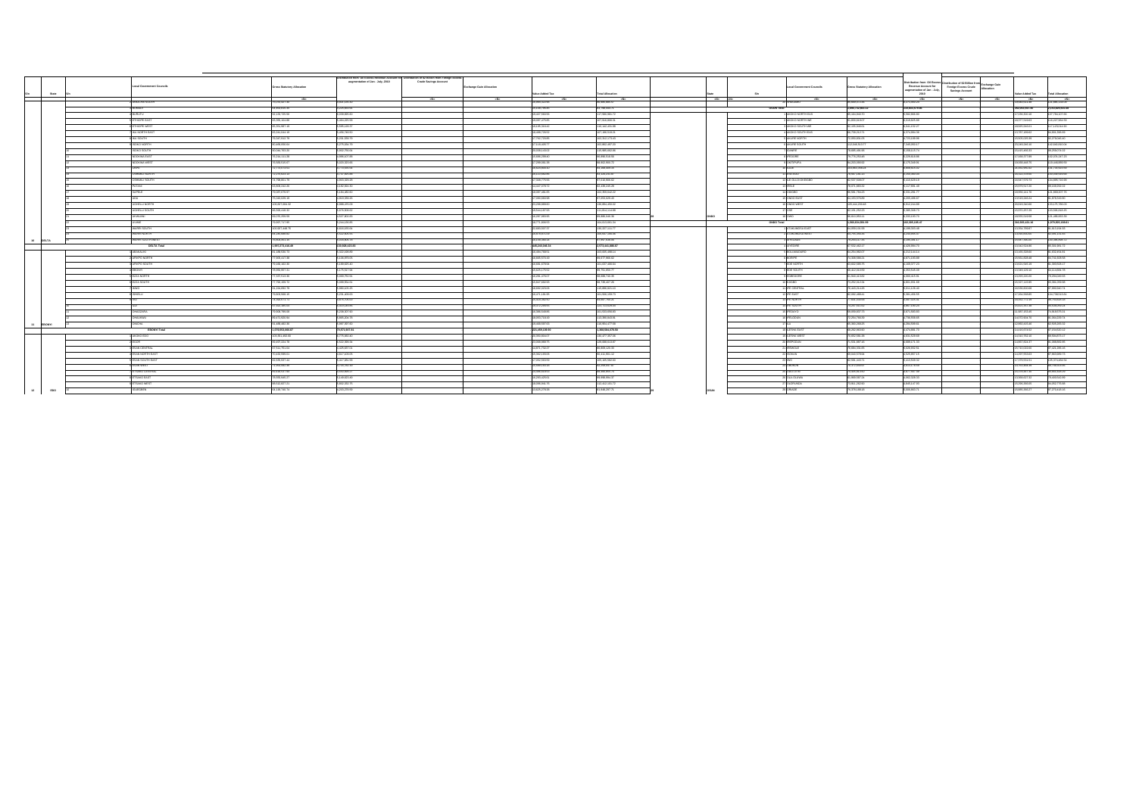|    |               |                                  |                            | stribution from Oil Escess Revenue Account for Distribution of \$2 Billion from Foreign Exces |                       |                          |                        |                   |            |                   |                                  |                            |                            |                                 |              |                 |                         |
|----|---------------|----------------------------------|----------------------------|-----------------------------------------------------------------------------------------------|-----------------------|--------------------------|------------------------|-------------------|------------|-------------------|----------------------------------|----------------------------|----------------------------|---------------------------------|--------------|-----------------|-------------------------|
|    |               |                                  |                            | augmentation of Jan - July, 2010                                                              | Crude Savings Account |                          |                        |                   |            |                   |                                  |                            | latituden from Oil Esces   | Distribution of \$2 Billion fro |              |                 |                         |
|    |               | <b>Local Government Councils</b> | Gross Statutory Allocation |                                                                                               |                       | Eschange Gain Allocation |                        |                   |            |                   | <b>Local Government Councils</b> | Gross Statutory Allocation | Revenue Account for        | Foreign Excess Crude            | schange Gain |                 |                         |
|    |               |                                  |                            |                                                                                               |                       |                          |                        |                   |            |                   |                                  |                            | augmentation of Jan - July | Savings Account                 |              |                 |                         |
|    | <b>Course</b> |                                  |                            |                                                                                               |                       |                          | <b>Value Added Tax</b> | Treal Alloration  |            | 5/n               |                                  |                            | 2010                       |                                 |              | Value Added Tax | <b>Total Allocation</b> |
|    |               | OCHA SOUTH                       | 070,427.33                 | 921,135.30                                                                                    |                       |                          | 1994,322.96            | 4,985,005.57      | __         |                   |                                  |                            | 271,450.24                 |                                 |              | 344,611.40      | 121,005,134.09          |
|    |               |                                  |                            |                                                                                               |                       |                          |                        |                   |            |                   |                                  | 009,072.36                 |                            |                                 |              |                 |                         |
|    |               | <b>DAMO</b>                      | 4,463,815.35               | 225,833.91                                                                                    |                       |                          | 15,100,795.45          | 03,750,444.71     |            | <b>OGUN Total</b> |                                  | 1,690,732,663.12           | 110,833,579.85             |                                 |              | 152,063,567.40  | 153,629,010.38          |
|    |               | DURUTU                           | 12,133,725.56              | 033885.00                                                                                     |                       |                          | 19,407,560.56          | 117,580,981.72    |            |                   | AKOKO NORTHEAS                   | 05.164,940.70              | 5,582,000.00               |                                 |              | 7,036,300.16    | 107,784,107.66          |
|    |               | THEOPE EAST                      | 13,355,104.00              | 464,225.58                                                                                    |                       |                          | 19,097,475.85          | 107,916,006.31    |            |                   | <b><i>KOKO NORTH WE</i></b>      | 1,030,619.07               | 019,825.09                 |                                 |              | 1,377,519.63    | 116,227,964.59          |
|    |               | THOPE WEST                       |                            | 595.128.37                                                                                    |                       |                          | 19.195,316.42          | 110, 142, 431.98  |            |                   |                                  |                            |                            |                                 |              |                 |                         |
|    |               |                                  | 15,351,987.19              |                                                                                               |                       |                          |                        |                   |            |                   | MOKO SOUTH WE                    | 82,155,946.61              | 041,152.27                 |                                 |              | 1,925,916.01    | 17,123,014.90           |
|    |               | (A NORTH EAS                     | 83,241,044.19              | 456,748.50                                                                                    |                       |                          | 10,498,726.52          | 107,196,519.21    |            |                   | KOKO SOUTH EAS                   | 06,729,212.71              | 4,374,994.36               |                                 |              | 1,787,189.62    | 63.005,100,60           |
|    |               | <b>KA SOUTH</b>                  | 9,347,912.79               | 201,539.79                                                                                    |                       |                          | 7,762,720.85           | 102,312,173.43    |            |                   | HTRUN 3RUN                       | 2,050,831.05               | 1,723,189.96               |                                 |              | 550502539       | 02,279,046.40           |
|    |               | <b>ISOKO NORTH</b>               | 13.330,038.0               | 275,034.79                                                                                    |                       |                          | 7,110,405.77           | 102,862,497.20    |            |                   | KURE SOUTH                       | 12.046,513.77              | 345,050.17                 |                                 |              | 3,243,246.10    | 142,640,810.04          |
|    |               |                                  |                            |                                                                                               |                       |                          |                        |                   |            |                   |                                  |                            |                            |                                 |              |                 |                         |
|    |               | <b>IITUO2 GXO2</b>               | 1044,763.20                | 302,756.64                                                                                    |                       |                          | 20,038,143.02          | 115,985,062.06    |            |                   | ANRE                             | 73,685,491.96              | 5,158,115.74               |                                 |              | 5,415,406.33    | 0,259,074.02            |
|    |               | DOKWA EAST                       | 6,214,111.28               | (996,107.00                                                                                   |                       |                          | 15,000,200.40          | 96,096,510.56     |            |                   | EDORE                            | 79,776,250.48              | 229,610.06                 |                                 |              | 7,068,377.09    | 102,074,247.23          |
|    |               | DOKWA WEST                       | 10.583,515.67              | 020322.00                                                                                     |                       |                          | 17,299,061.38          | 98,902,900.72     |            |                   | OKITIPUPA                        | 04.203,090.92              | 6,175,349.91               |                                 |              | 9,068,448.75    | 19,446,889.59           |
|    |               |                                  | 2.773.073.5                | 70.535.54                                                                                     |                       |                          | 6,624,800.10           | 94,168,409.15     |            |                   |                                  | 03.063.358.24              | 808,615.02                 |                                 |              | 06195032        | 11.722.922.59           |
|    |               | HTMCH LIMIN                      | 2,275,623.13               | 737,925.00                                                                                    |                       |                          | 16,110,682.86          | 23,124,221.07     |            |                   | <b>SELEN</b>                     | 78,567,181.13              | 5,150,360.04               |                                 |              | 6,322,378.50    | 00,039,919.68           |
|    |               |                                  |                            |                                                                                               |                       |                          |                        |                   |            |                   |                                  |                            |                            |                                 |              |                 |                         |
|    |               | <b>HAILI SOUTH</b>               | 4,798,801.79               | (903,329.20                                                                                   |                       |                          | 7,300,775.56           | 27.010.906.62     |            |                   | E-OLUJI-OKEIGBO                  | 02.537,508.07              | 410,629.19                 |                                 |              | 5,947,579.73    | 04,035,716.99           |
|    |               | <b>ATANI</b>                     | 13,809,242.26              | (182,924.30                                                                                   |                       |                          | 14,447,070.72          | 02,439,245.20     |            |                   |                                  | 70,071,003.32              | 5,117,091.49               |                                 |              | 15,979,517.20   | 00.103.292.02           |
|    |               | SAPELE                           | 79,087,679.97              | 03.034.450                                                                                    |                       |                          | 18,007,401.65          | 102,359,642.22    |            |                   | <b>OKADO</b>                     | 98,581,704.23              | 6,331,201.77               |                                 |              | 10,956,141.76   | 121,009,207.76          |
|    |               |                                  | 5,043,029.19               | (919,339.26                                                                                   |                       |                          | 7,090,000.98           | 7,053,029.43      |            |                   | NDO EAS                          | 4,153,576.09               | 205,496.67                 |                                 |              | 1,519,246.24    | 01.070,319.00           |
|    |               | <b>GHELLI NORTH</b>              | 06,607,004.32              | 0031476.09                                                                                    |                       |                          | 23,298,009.60          | 136,894,450.02    |            |                   | NDO WES                          | 05,444,200.48              | 312,244.89                 |                                 |              | 3,819,340.66    | 133,175,786.03          |
|    |               |                                  |                            |                                                                                               |                       |                          |                        |                   |            |                   |                                  |                            |                            |                                 |              |                 |                         |
|    |               | SHELLI SOUTH                     | 1,593,418.32               | 676,508.62                                                                                    |                       |                          | 19,544,107.93          | 111,014,114.00    |            |                   |                                  | 82.151,252.23              | 5,385,308.73               |                                 |              | 1,970, 257.28   | 1,506,818.25            |
|    |               | MAUM.                            | 1070259.59                 | 527,802.83                                                                                    |                       |                          | 16,207,983.95          | 00.000.000.00     | <b>NDO</b> |                   |                                  | 6.610.950.11               | 6,333,193.70               |                                 |              | 1555,513.58     | 121,422,003.20          |
|    |               | <b>WE</b>                        | 13,997,717.95              | 244,136.05                                                                                    |                       |                          | 18,771,006.53          | 104,013,001.34    |            | <b>ONDO Total</b> |                                  | 1,560,634,591.99           | 102,305,105.47             |                                 |              | 316,565,421.16  | 1,979,505,198.61        |
|    |               | HRRI SOUTH                       | 03,927,448.75              | 10.0227,010.                                                                                  |                       |                          | 22,683,507.37          | 130,227,111.77    |            |                   | TAXUMOGA EAST                    | 64,059,101.58              | 4,199,303.48               |                                 |              | 13,354,789.87   | 01,613,194.93           |
|    |               | <b>HERI NORTH</b>                | 4,245,688.82               | 522,606.55                                                                                    |                       |                          | 16,878,871.09          | 106,647,166.46    |            |                   | AKUMOSA WEST                     | 06.026.225.30              | 4244.945.47                |                                 |              | 00.020.020.00   | 02,091,131.03           |
|    |               |                                  |                            |                                                                                               |                       |                          |                        |                   |            |                   |                                  |                            |                            |                                 |              |                 |                         |
|    | 10 DELTA      | ARRI SOUTH-WEST                  | 6,804,451.15               | 034,006.70                                                                                    |                       |                          | 16,158,380.14          | 27,997,638.06     |            |                   | EDADE                            | 73, 254, 117.35            | \$,195,391.17              |                                 |              | 5,947,290.20    | 100,296,898.72          |
|    |               | <b>DELTA Total</b>               | 397,273,416.49             | 30,928,423.83                                                                                 |                       |                          | 445,240,046.34         | 573,441,886.67    |            |                   | TDRE                             | 67,532,462.17              | 1426,994.70                |                                 |              | 1342.534.06     | 05,331,981.72           |
|    |               | AKALIKI                          | 1,100,530.73               | 322,198.89                                                                                    |                       |                          | 16,494,768.51          | 03,005,498.14     |            |                   | <b>ILLIWADURC</b>                | 04.254,982.07              | 212,144.14                 |                                 |              | 1,165,328.60    | 01,632,454.01           |
|    |               | <b>FIKPO NORTH</b>               | 7,905,417.38               | 106.979.05                                                                                    |                       |                          | 16,665,570.19          | 99.677,966.62     |            |                   | <b>VIDY DID</b>                  | 74,308,586.21              | 4,871,193.89               |                                 |              | 5565.020.40     | 4,741,608.58            |
|    |               | AFIKPO SOUTH                     | 13,166,162.33              | 109,025.40                                                                                    |                       |                          | 16,601,670.94          | 101,037,466.64    |            |                   | EDE NORTH                        | 03.002.585.75              | 4,109,377.23               |                                 |              | 3,621,545.19    | 01,223,508.17           |
|    |               | <b>MACADI</b>                    |                            |                                                                                               |                       |                          |                        |                   |            |                   |                                  |                            |                            |                                 |              |                 |                         |
|    |               |                                  | 18,950,957.31              | 175,517.94                                                                                    |                       |                          | 15,625,175.52          | 99,751,650.77     |            |                   | <b>FOE SOUTH</b>                 | 06.412,010.59              | 4,353,545.09               |                                 |              | 3,349,129.10    | 04,114,684.78           |
|    |               | ZZA NORTH                        | 7,337,513.36               | 009,750.91                                                                                    |                       |                          | 16,201,476.07          | 98,688,740.35     |            |                   | GBEDORS                          | 1,940,413.82               | 000,415.91                 |                                 |              | 293,220.20      | 9,294,049.93            |
|    |               | 22A SOUTH                        | 732,159.72                 | 099.554.61                                                                                    |                       |                          | 15,047,022.93          | 98,739,407.26     |            |                   |                                  | 23,252,012.34              | 601,931.69                 |                                 |              | 5,327,115.95    | 93.381.059.98           |
|    |               |                                  | 1.224,692.79               | 980,105.25                                                                                    |                       |                          | 8,692,023.06           | 115,896,821.10    |            |                   | E CENTRA                         | 6,443,214.26               | 011,126.40                 |                                 |              | 536,600.00      | 7.993.940.7             |
|    |               | HELU                             | 3.803.568.15               | 221,409.63                                                                                    |                       |                          | 16,471,181.95          | 101,506,159.73    |            |                   | <b>TEAC</b>                      | 12.092.400.41              | \$381,456.55               |                                 |              | 264,568.05      | 104,738,513.81          |
|    |               |                                  | 4,392,671.71               | 4,876,706.00                                                                                  |                       |                          | 15,418,302.50          | 94,687,760.21     |            |                   | FE NORTH                         | 77,601,030.58              | 5,087,025.41               |                                 |              | 6,062,772.19    | 90,750,828.10           |
|    |               |                                  |                            |                                                                                               |                       |                          |                        |                   |            |                   |                                  |                            |                            |                                 |              |                 |                         |
|    |               |                                  | 17,922,185.04              | 419,149.05                                                                                    |                       |                          | 19,372,294.55          | 123,713,629.44    |            |                   | FE SOUTH                         | 74,247,511.02              | 4,067,190.24               |                                 |              | 15,421,357.30   | 94,536,059.24           |
|    |               | AOZARA                           | 3,908,799.08               | 238,307.90                                                                                    |                       |                          | 16,300,549.00          | 01,533,656.03     |            |                   | COAYO                            | 03.059.037.73              | 1,871,583.83               |                                 |              | 387,153.45      | 74,918,575.01           |
|    |               | HUNWU                            | 12.471,920.94              | 865,204.78                                                                                    |                       |                          | 8,053,718.19           | 13,390,043.91     |            |                   |                                  | 2,254,766.29               | 1236,558.65                |                                 |              | 072,904.70      | 1.064.229.74            |
|    | EBONYI        | NICHA                            | 1,488,482.35               | 5,997,397.60                                                                                  |                       |                          | 19,468,597.63          | 116,954,477.58    |            |                   |                                  | 45,360,268.25              | 4.284.599.61               |                                 |              | 2,000,415.46    | 02:505.203.32           |
|    |               | EBONYI Total                     | 076,553,060.87             | 0,571,907.01                                                                                  |                       |                          | 221,459,109.90         | 1,368,584,070.58  |            |                   | ESHAEAS                          | 08.202.003.90              | 4,474,001.70               |                                 |              | 1410,074.52     | 7,154,520.12            |
|    |               |                                  |                            |                                                                                               |                       |                          |                        |                   |            |                   |                                  |                            |                            |                                 |              |                 |                         |
|    |               | COID CIACH                       | 03,351,492.60              | 775,060.40                                                                                    |                       |                          | 20,350,004.07          | 130,477,357.06    |            |                   | ESHA WES                         | 10,052,581.38              | 4.631,529.69               |                                 |              | (310,782.10     | 0,594,873.17            |
|    |               | <b>SOR</b>                       | 99,497,224.78              | 522,399.34                                                                                    |                       |                          | 23,068,989.75          | 129,008,013.07    |            |                   | EPODUN                           | 71,531,007.16              | 4,689,171.33               |                                 |              | 14,057,034.37   | 20.203.000.11           |
|    |               | SAN CENTRAL                      | 17,511,751.04              | 425,637.01                                                                                    |                       |                          | 14,871,732.27          | 06.000.120.33     |            |                   | <b>SJOW23</b>                    | 76,684,331.65              | 5,026,932.51               |                                 |              | 5,710,022.00    | 97,421,286.16           |
|    |               | AN NORTH EAST                    | 1,432,599.01               | 617,109.05                                                                                    |                       |                          | 5,362,193.06           | 90,411,901.12     |            |                   |                                  | 0,040,578.94               | 525,057.15                 |                                 |              | 1,297,553.63    | 07,063,989.73           |
|    |               | SAN SOUTH EAST                   | 2,635,937.44               | 417,001.50                                                                                    |                       |                          | 7,052,563.59           | 105, 105, 582, 60 |            |                   |                                  | 02,581,443.71              | 413,509.32                 |                                 |              | 1,379,531.51    | 105,374,484.54          |
|    |               |                                  |                            |                                                                                               |                       |                          |                        |                   |            |                   | COCKUN                           |                            |                            |                                 |              |                 |                         |
|    |               | SANWEST                          | 1,953,082.49               | 716,782.19                                                                                    |                       |                          | 15,589,183.18          | 22,259,047.07     |            |                   |                                  | 1,372,640.97               | 4,613,170.59               |                                 |              | 4,763,484.39    | 09.749.303.95           |
|    |               | <b>ISAKO CENTRAL</b>             | 8,419,537.94               | 550,099.27                                                                                    |                       |                          | 14,496,618.53          | 80,400,055.74     |            |                   |                                  | 74,405,013.50              | 4,877,567.49               |                                 |              | 5,378,447.30    | 00.001.120.20           |
|    |               | TSAKO EAST                       | 1555.945.27                | 143 523.49                                                                                    |                       |                          | 16,293,425.61          | 23,558,994.37     |            |                   | <b>LA-OLUMA</b>                  | 01,909,587.24              | 4,062,320.33               |                                 |              | 1368627.32      | 9.400.542.09            |
|    |               | SAKO WEST                        | 1,512,027.21               | 002,332.75                                                                                    |                       |                          | 18,096,941.76          | 112,412,101.72    |            |                   | <b>LORUNDA</b>                   | 73,911,262.90              | 4,845,147.93               |                                 |              | 5,296,366.05    | 94,052,776.00           |
| 12 | mo            | SUEGBEN                          | 4,119,740.74               | 203,278.59                                                                                    |                       |                          | 13,625,278.38          | 81,948,297.71     |            |                   | <b>SCHOOL</b>                    | 76,378,188.18              | 5,006,063.71               |                                 |              | 5,005,366.27    | 97,270,418.16           |
|    |               |                                  |                            |                                                                                               |                       |                          |                        |                   |            |                   |                                  |                            |                            |                                 |              |                 |                         |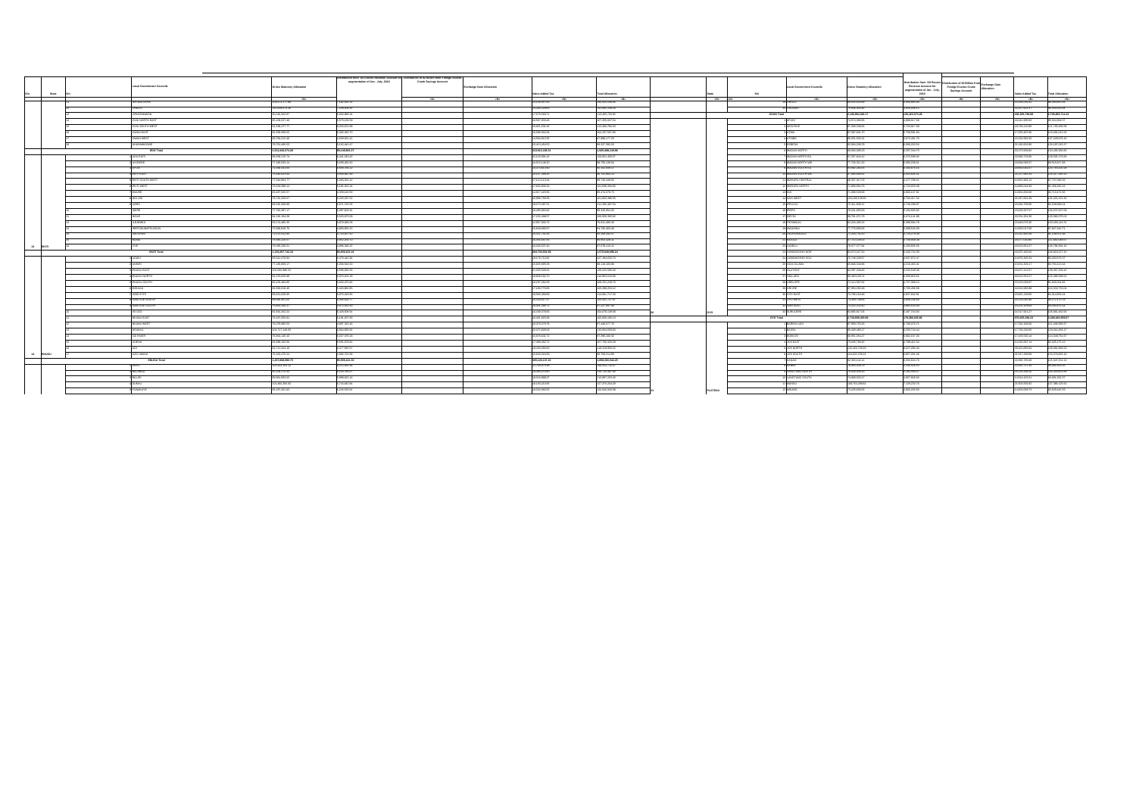|       |                                  |                            | bution from Oil Escess Revenue Account | xion of \$2 Billion from Foreign Exce |                         |                  |                         |                |                  |                                  |                            |                                                   |                                        |                     |                 |                         |
|-------|----------------------------------|----------------------------|----------------------------------------|---------------------------------------|-------------------------|------------------|-------------------------|----------------|------------------|----------------------------------|----------------------------|---------------------------------------------------|----------------------------------------|---------------------|-----------------|-------------------------|
|       |                                  |                            | augmentation of Jan - July, 2010       | <b>Crude Savings Account</b>          |                         |                  |                         |                |                  |                                  |                            | Distribution from Oil Esca                        | <b>Distribution of \$2 Billion fre</b> | <b>Schange Gain</b> |                 |                         |
|       | <b>Local Government Councils</b> | Gross Statutory Allocation |                                        |                                       | schange Gain Allocation |                  |                         |                |                  | <b>Local Government Councils</b> | Gross Statutory Allocation | Revenue Account for<br>augmentation of Jan - July | Foreign Excess Crude                   | oration.            |                 |                         |
|       |                                  |                            |                                        |                                       |                         | Value Added Tax  | <b>Total Allocation</b> |                | 5/n              |                                  |                            | 2010                                              | <b>Savings Account</b>                 |                     | Value Added Tax | <b>Total Allocation</b> |
| State |                                  |                            |                                        |                                       |                         |                  |                         | - -            |                  |                                  |                            |                                                   |                                        |                     |                 |                         |
|       | <b>KPOBA OKHA</b>                | 19,573,177.00              | 7,182,914.14                           |                                       |                         | 24,159,457.03    | 140,915,549.05          |                |                  |                                  | 19.635,920.68              | 4,564,003.94                                      |                                        |                     | 4,294,059.32    | 10,434,863,94           |
|       |                                  |                            |                                        |                                       |                         |                  |                         |                |                  |                                  |                            |                                                   |                                        |                     |                 |                         |
|       | COLOR                            | 0.419.673.26               | 238,404.95                             |                                       |                         | 24,204,029.83    | 141,942,108.04          |                |                  | socac                            | \$,006,400.46              | 4,916,938.12                                      |                                        |                     | 167,601.37      | 80.000,000.04           |
|       | RHICMINON                        | 016,262.87                 | MC.003.000.                            |                                       |                         | 7,576,509.71     | 113,493,720.92          |                | OSUN Total       |                                  | 2,126,004,346.17           | 129,423,573.28                                    |                                        |                     | 440,225,724.68  | 2,706,683,714.13        |
|       | DVIA NORTH EAST                  | 5,108,037.49               | 579,136.59                             |                                       |                         | 10,567,033.46    | 107,255,007.54          |                |                  |                                  | 74,574,380.95              | 4,000,017.03                                      |                                        |                     | 041,995.93      | 05,504,994.57           |
|       | WA SOUTH WEST                    | 530,477.77                 | 03,674.98                              |                                       |                         | 15,921,631.45    | 113,460,784.20          |                |                  |                                  | 17,269,338.06              | 720,017.58                                        |                                        |                     | 729,110.95      | 729,266.59              |
|       |                                  |                            |                                        |                                       |                         |                  |                         |                |                  |                                  |                            |                                                   |                                        |                     |                 |                         |
|       | DWAN EAST                        | 2.258.599.02               | 5.292.345.70                           |                                       |                         | 16.506,502.94    | 104.237.507.66          |                |                  | <b>TIBA</b>                      | 47,097,941.70              | 5,709,581.94                                      |                                        |                     | 7.283.487.90    | 110,091,011.54          |
|       | <b>TESN WAND</b>                 | 8,784,212.46               | 509,051.41                             |                                       |                         | 14,594,913.35    | 17,000,177.23           |                |                  | OBSIT                            | 06.531,532.14              | 5,672,451.76                                      |                                        |                     | 224,992.25      | 107,428,976.15          |
|       | <b>UNUVANYONCE</b>               | 1,751,495.03               | 5,162,442.47                           |                                       |                         | 15,413,454.53    | 99,327,392.03           |                |                  | GEEDA                            | 02, 004, 208.78            | 6,090,203.54                                      |                                        |                     | 192,602.96      | 120,187,015.27          |
|       | EDO Total                        | 512,440,074.28             | 99,145,062.27                          |                                       |                         | 313,912,183.31   | 1.925.490.119.05        |                |                  | <b>JADAN NORTH</b>               | 96.064,085.23              | 6297.344.75                                       |                                        |                     | 20.023.07       | 24,435,366.00           |
|       |                                  |                            |                                        |                                       |                         | 22,120,991.42    | 126,821,450.57          |                |                  |                                  |                            |                                                   |                                        |                     |                 |                         |
|       | ITIXE GOA                        | 1,259,215.74               | 0,441,243.42                           |                                       |                         |                  |                         |                |                  | ADAN NORTH EA                    | 97,257,044.12              | 6,375,599.92                                      |                                        |                     | 2,090,732.00    | 126,532,176.84          |
|       | <b>AIYEKIRE</b>                  | 7.180.533.14               | 00.039.400.30                          |                                       |                         | 16,515,146.20    | 98,755,139.64           |                |                  | <b>JADAN NORTH WE</b>            | 77,726,311.30              | 5,005,238.01                                      |                                        |                     | 0,094,008.37    | 99,515,617.68           |
|       |                                  | 068,341.05                 | 658,784.22                             |                                       |                         | 4,374,013.90     | 90,101,939.17           |                |                  | DAN SOUTH EA                     | 0.982,203.05               | 6,160,875.16                                      |                                        |                     | (650,042.07     | 0,793,200.28            |
|       | EKITI EAST                       | 645.623.50                 | 950.041.40                             |                                       |                         | 16,157,399.16    | 96,761,064.13           |                |                  | <b>JADAN SOUTH WE</b>            | 17,085,000.51              | 6.403.645.41                                      |                                        |                     | 227,965.34      | 125,317,280.25          |
|       | EKITI SOUTH WEST                 | 544,984.77                 | 5,083,351.41                           |                                       |                         | 17,112,113.44    | 20,740,440.02           |                |                  | <b>IARAPA CENTRAL</b>            | 08,307,317.03              | 4,477,789.21                                      |                                        |                     | 14,951,982.12   | 07,737,000.36           |
|       | EKITI WEST                       | 034,588.14                 | 5,181,000.24                           |                                       |                         | 17,622,806.26    | 101,838,394.05          |                |                  | 1ARAPA NORTH                     | 71,059,504.79              |                                                   |                                        |                     | 4,006,044.56    | 01,456,282.43           |
|       |                                  |                            |                                        |                                       |                         |                  |                         |                |                  |                                  |                            | 4,710,653.08                                      |                                        |                     |                 |                         |
|       | <b>MURE</b>                      | 1497,505.57                | 4,359,149.59                           |                                       |                         | 4,617,423.56     | 05,474,070.73           |                |                  |                                  | 1,088,528.99               | 4,660,107.61                                      |                                        |                     | 00.003,100.4    | 00,710,472.66           |
|       | <b>DOGG</b>                      | 710,329.67                 | 225,297.52                             |                                       |                         | 16,096,759.36    | 101,832,386.55          |                |                  | SAXI WEST                        | 103,189,135.65             | 6,764,417.32                                      |                                        |                     | 1,067,821.29    | 121,021,274.26          |
|       |                                  | 520,369.99                 | 11,720.05                              |                                       |                         | 9,073,397.51     | 111,265,487.54          |                |                  |                                  | 2,311,839.1                | 1,740,299.91                                      |                                        |                     | 484,758.95      | 2,536,898.04            |
|       | KERE                             | 7,762,387.17               | 5,097,602.91                           |                                       |                         | 16,405,063.92    | 00.345,054.00           |                |                  |                                  | 79.241,955.59              | 5.194.593.92                                      |                                        |                     | 635,957.57      | 00,072,507.08           |
|       | KOLE                             | 4,216,194.28               | 520,673.08                             |                                       |                         | 7,222,498.57     | 106,959,365.92          |                |                  | SEYIN                            | 98,761,071.79              | 6,474,141.00                                      |                                        |                     | 0,331,361.36    | 125,566,575.02          |
|       |                                  |                            |                                        |                                       |                         |                  |                         |                |                  |                                  |                            |                                                   |                                        |                     |                 |                         |
|       | LEJEMEJI                         | 1174,485.33                | 02/02/2020                             |                                       |                         | 12,057,900.72    | 75,911,405.45           |                |                  | <b>TESIWAJU</b>                  | 82,216,482.22              | 5,389,584.79                                      |                                        |                     | (849,075.30     | 103,455,142.31          |
|       | EPODUNIFELODUN                   | 1,999,819.75               | (850,953.15                            |                                       |                         | 15,049,090.57    | 94,700,463.46           |                |                  | <b>AJONA</b>                     | 7,776,683.56               | \$,098,540.09                                     |                                        |                     | (952,017.06     | 97,827,240.71           |
|       | SDORUN                           | 072,912.90                 | 724,637.50                             |                                       |                         | 15,311,742.16    | 92,109,292.57           |                |                  | LORUNSOGO                        | 72,204,742.20              | 4,733,279.39                                      |                                        |                     | 210,490.39      | 91,148,511.98           |
|       | MOGA                             | 545,220.57                 | 4,952,259.70                           |                                       |                         | 16,455,047.03    | 96,953,328.11           |                |                  | <b>AJOLA</b>                     | 87,713,109.33              | 5,749,908.38                                      |                                        |                     | 10,377,033.96   | 11,840,048.67           |
|       |                                  | 065,230.5                  | 986,348.22                             |                                       |                         | 6.026,537.40     | 97,078,116.12           |                |                  |                                  | 79.077.377.84              | 5,183,005.26                                      |                                        |                     | 523.654.8       | 100,784,834.16          |
|       |                                  |                            |                                        |                                       |                         |                  |                         |                |                  |                                  |                            |                                                   |                                        |                     |                 |                         |
|       | <b>EXITI Total</b>               | 230,297,742.10             | 00,650,422.16                          |                                       |                         | 264,700,931.98   | 1,575,649,096.24        |                |                  | <b>SON ONDOWOR</b>               | 83,073,027.20              | 5,445,734.38                                      |                                        |                     | 0,297,405.02    | 106,816,227.20          |
|       | <b>UNG</b>                       | 541,476.94                 | 476,442.94                             |                                       |                         | 18,176,712.82    | 107,194,632.70          |                |                  | <b>DOS ONDOWORD</b>              | 70,749,338.57              | 4,637,672.47                                      |                                        |                     | 4,876,365.34    | 0,263,576.37            |
|       | ANINRI                           | 7,135,669.17               | 5,056,519.30                           |                                       |                         | 15,925,995.39    | 98,118,183.00           |                |                  | <b>CO-OLUWA</b>                  | 08.046,040.00              | 4,316,463.41                                      |                                        |                     | 13,631,309.17   | 03,734,113.44           |
|       | TRADUCERS                        | 0,620,986.23               | 596.065.93                             |                                       |                         | 1,005,528.24     | 128,222,580.40          |                |                  | <b>KUYOLE</b>                    | 24.037,340.46              | 5,532,540.38                                      |                                        |                     | (437,412.57     | 108,367,309.42          |
|       | INJGU NORTH                      | 073,625.98                 | 970,202.20                             |                                       |                         | 19,009,102.70    | 116,853,010.95          |                |                  |                                  | 05.493,120.74              | 6,259,916.51                                      |                                        |                     | (615,553.27     | 122,308,508.52          |
|       | NJGU SOUTH                       | 433,404.65                 | 00,470.82                              |                                       |                         | 8.197,294.29     | 109, 231, 249.76        |                |                  | RELOPE                           | 2,114,567.82               | 4.727.360.52                                      |                                        |                     | 003,068.67      | 1.845.004.02            |
|       |                                  |                            |                                        |                                       |                         |                  |                         |                |                  |                                  |                            |                                                   |                                        |                     |                 |                         |
|       | <b>ZEAGU</b>                     | 693,619.45                 | 420,062.05                             |                                       |                         | 7,183,770.83     | 105,298,253.12          |                |                  |                                  | 17,050,292.48              | 5,765,456.58                                      |                                        |                     | 616,983.98      | 10,332,733.04           |
|       | IGBO ETITI                       | 0.621.620.65               | 5.875.018.05                           |                                       |                         | 18,565,069.99    | 114,001,717.30          |                |                  | <b>YO EAST</b>                   | 73,796,164.48              | 4,837,602.81                                      |                                        |                     | 5,681,138.95    | 04.314.906.24           |
|       | <b>GEO EZE NORTH</b>             | 0,646,461.63               | 0,406,628.77                           |                                       |                         | 20,318,617.57    | 125,431,707.97          |                |                  | T23W OYO                         | 73,349,748.66              | 4,000,330.00                                      |                                        |                     | 0,114,003.46    | 94,272,170.78           |
|       | IGBO EZE SOUTH                   | 5,853,240.37               | 4,972,451.50                           |                                       |                         | 16,401,395.72    | 97,227,087.59           |                |                  | SAXIEAST                         | 74,222,232.43              | 4,065,533.09                                      |                                        |                     | 5,205,109.64    | 94,292,875.14           |
|       | si uzo                           | 1,810,252.22               | 420,500.54                             |                                       |                         | 16,439,378.83    | 104,678,139.58          |                |                  | URULERE                          | 03.005.017.06              | \$497,704.60                                      |                                        |                     | 317,941.27      | 105,681,462.93          |
|       |                                  |                            |                                        |                                       |                         |                  |                         |                |                  |                                  |                            |                                                   |                                        |                     |                 |                         |
|       | <b>BOANU EAS</b>                 | 107,250.91                 | 5,191,007.03                           |                                       |                         | 6,451,923.39     | 100,830,182.13          |                | <b>ITO Total</b> |                                  | 1719,000,429.66            | 178,286,035.69                                    |                                        |                     | 70,055,294.23   | 468,040,059.57          |
|       | ekanu west                       | 079,985.53                 | 4,987,315.46                           |                                       |                         | 16,379,276.76    | 97,446,577.76           |                |                  | ARKIN LADE                       | 87,959,752.26              | 5,766,076.71                                      |                                        |                     | 324,106.00      | 111,043,995.57          |
|       | NSUKKA                           | 04,717,146.63              | 064,583.91                             |                                       |                         | 2,072,829.06     | 133,654,559.00          |                |                  |                                  | 05.429,405.17              | 6,255,744.44                                      |                                        |                     | 729,226.55      | 119,414,456.17          |
|       | <b>D'IL SIVEK</b>                | 6.691.145.43               | (027,379.18                            |                                       |                         | 15,676,641.72    | 27,395,106.32           |                |                  | OKKOS                            | 90,951,054.27              | 5,962,167.26                                      |                                        |                     | 435,530.14      | 114,348,751.67          |
|       | <b>UDENU</b>                     | 4,689,192.56               | 5,551,679.01                           |                                       |                         | 17,409,452.72    | 107,730,325.09          |                |                  | <b>DS EAST</b>                   | 73,045,766.45              | 4,788,411.54                                      |                                        |                     | 4,190,997.14    | 92,025,175.13           |
|       |                                  |                            |                                        |                                       |                         |                  |                         |                |                  |                                  |                            |                                                   |                                        |                     |                 |                         |
|       |                                  | 1711;344.16                | 6,077,560.57                           |                                       |                         | 19,430,050.50    | 110,210,055.22          |                |                  | IOS NORTH                        | 122,453,729.18             | 8,027,200.40                                      |                                        |                     | 0,200,856.94    | 156,681,866.52          |
| ugu   | LIZO UWANI                       | 162,475.24                 | 992,722.96                             |                                       |                         | 60.010,000.0     | 06.758.214.00           |                |                  | OS SOUTH                         | 04.002.235.24              | 80.120,128.9                                      |                                        |                     | 317,396.09      | 133,376,683.18          |
|       | <b>ENGINEER</b>                  | 457,668,985,75             | 6.555.421.30                           |                                       |                         | 305, 126, 137.30 | 1,858,350,544.25        |                |                  |                                  | 02,300,141.41              | 6.050.004.76                                      |                                        |                     | 396,785.08      | 115,347,531.24          |
|       |                                  | 5,433,163.12               | 222,592.96                             |                                       |                         | 22,758,975.98    | 156,414,732.07          |                |                  |                                  | 13,493,439.79              | 5,145,526.03                                      |                                        |                     | 442,727.43      | 0,081,003.25            |
|       | <b>BALANGA</b>                   | 5,109,170.43               | 6,234,746.67                           |                                       |                         | 18,300,470.00    | 119,724,387.90          |                |                  | <b>INGTANG NORTH</b>             | 79.058,909.19              | 5,102,594.57                                      |                                        |                     | (114,298.10     | 100,355,801.86          |
|       | <b>BILLIRI</b>                   | 9.981.093.02               |                                        |                                       |                         | 8,016,000.27     |                         |                |                  |                                  |                            |                                                   |                                        |                     |                 |                         |
|       |                                  |                            | 898.622.16                             |                                       |                         |                  | 113,897,203.45          |                |                  | ANGTANG SOUTH                    | 74,068,932.47              | 4,907,926.60                                      |                                        |                     | 4,914,422.31    | 94,091,282.37           |
|       | <b>DUROCU</b>                    | 2,460,350.50               | 716,642.04                             |                                       |                         | 18, 193, 210.95  | 127, 270, 204, 29       |                |                  | ANGU                             | 108,754,209.81             | 7,129,233.76                                      |                                        |                     | 21,505,582.92   | 137,389,126.50          |
|       | FUNAKAYE                         | 5,197,451.62               | 240,533.01                             |                                       |                         | 19,202,960.55    | 120,640,945.98          | <b>PLATEAU</b> |                  | EKANG                            | 73,225,605.06              | 4,800,200.60                                      |                                        |                     | (603,639.73     | 02.029.445.39           |
|       |                                  |                            |                                        |                                       |                         |                  |                         |                |                  |                                  |                            |                                                   |                                        |                     |                 |                         |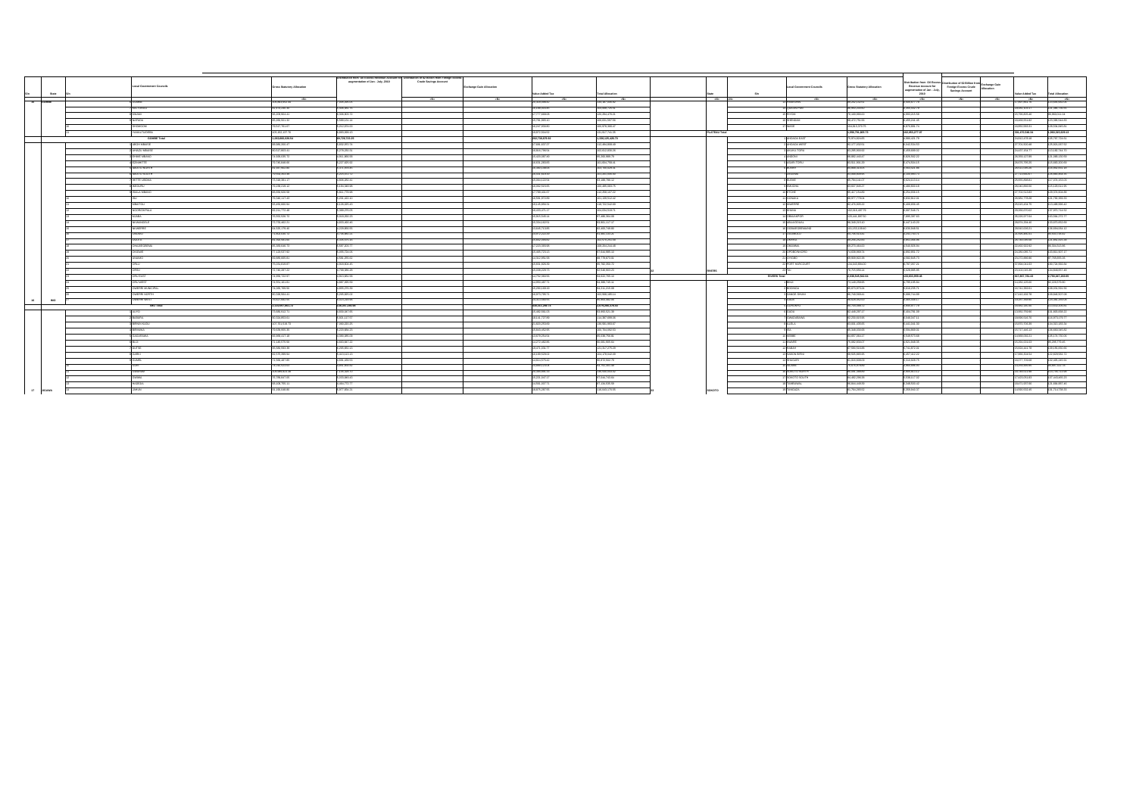|                 |             | <b>Local Government Councils</b>         | Gross Statutory Allocation | tribution from OI Excess Revenue Account fo<br>augmentation of Jan - July, 2010 | faution of \$2 Billion from Foreign Excer<br>Crude Savings Account | scharge Gain Allocation |                                |                                  |                     |              | <b>Local Government Councils</b> | <b>Gross Statutory Allocation</b> | latribution from Oil Esces<br>Revenue Account for<br>augmentation of Jan - July | Distribution of \$2 Billion fro<br>Foreign Excess Crude | schange Gain |                 |                         |
|-----------------|-------------|------------------------------------------|----------------------------|---------------------------------------------------------------------------------|--------------------------------------------------------------------|-------------------------|--------------------------------|----------------------------------|---------------------|--------------|----------------------------------|-----------------------------------|---------------------------------------------------------------------------------|---------------------------------------------------------|--------------|-----------------|-------------------------|
|                 | State       |                                          |                            |                                                                                 |                                                                    |                         | Value Added Tax                | <b>Total Allocation</b>          |                     | 5m           |                                  |                                   | 2010                                                                            | Savings Account                                         |              | Value Added Tax | <b>Total Allocation</b> |
| $\overline{15}$ | <b>JONG</b> |                                          | 14.033.052.44              | 005,295.05                                                                      |                                                                    |                         | 310,090.42                     | 34,187,045.92                    | --                  |              |                                  | 242.142.5                         | 505,677.79                                                                      |                                                         |              | 37,001.76       | 645,682.06              |
|                 |             |                                          |                            |                                                                                 |                                                                    |                         |                                |                                  |                     |              |                                  |                                   |                                                                                 |                                                         |              |                 |                         |
|                 |             | KALTUNGO                                 | 2,474,240.33               | 5,406,481.76                                                                    |                                                                    |                         | 16,100,003.45                  | 104,068,725.51                   |                     |              | <b>UA'AN-PAN</b>                 | 00.000,000.00                     | 6,355,432.79                                                                    |                                                         |              | 10,001,103.17   | 121,386,736.55          |
|                 |             | <b>BAAW</b>                              | 209,904.41                 | 5,306,903.72                                                                    |                                                                    |                         | 7,777,008.08                   | 120,294,476.21                   |                     |              | MOYIS                            | 76,169,990.00                     | 4,993,215.58                                                                    |                                                         |              | 5,796,805.46    | 06,960,011.04           |
|                 |             | <b>ULFADA</b><br>109/609                 | 260,501.32                 | 509,131.14                                                                      |                                                                    |                         | 15,701,965.10<br>16,247,930.80 | 106,631,597.56<br>100,978,366.47 |                     |              | SHENDAM                          | 08.472,751.56                     | 1,455,241.45                                                                    |                                                         |              | 0,460,551.02    | 123,396,544.03          |
|                 |             |                                          | 517,761.67                 | 1212174.00                                                                      |                                                                    |                         |                                |                                  |                     |              |                                  | 04,813,370.75                     | 870,091.74                                                                      |                                                         |              | 1,850,583.31    | 20,534,845.01           |
|                 |             | <b>AMALTU DEBA</b><br><b>GOMBE Total</b> | 05,152,137.70              | 1,093,099.13                                                                    |                                                                    |                         | 19,872,504.52                  | 131,917,741.35                   | <b>PLATEAU Tots</b> |              |                                  | 1,556,791,805.73                  | 102,053,277.07                                                                  |                                                         |              | 01,470,546.34   | 1,960,315,629.13        |
|                 |             |                                          | 063,000,026.54             | 10,726,723.25                                                                   |                                                                    |                         | 202,738,676.92                 | 1,336,125,426.70                 |                     |              | AHOADA EAST                      | 5,074,024.65                      | (380,421.73                                                                     |                                                         |              | 4,012,470.10    | 105,767,724.61          |
|                 |             | <b>BOH MBAISE</b>                        | 1,980,200.47               | 5,832,970.74                                                                    |                                                                    |                         | 17,681,637.27                  | 12,454,008.49                    |                     |              | <b>ICADA WEST</b>                | 2,177,032.51                      | 1,042,534.53                                                                    |                                                         |              | 7,701,500.48    | 125,921,067.52          |
|                 |             | <b>EAZU MILAISE</b>                      | 517,003.41                 | 5,278,230.31                                                                    |                                                                    |                         | 16,016,796.54                  | 102,612,830.26                   |                     |              | AKUKU-TORU                       | 83,285,900.92                     | 5,459,689.02                                                                    |                                                         |              | 24,437,154.77   | 113,182,744.70          |
|                 |             | CIASA 2MH                                | 1,929,035.72               | 02.008.110.                                                                     |                                                                    |                         | 15,420,087.49                  | 05,200,909.79                    |                     |              | NDON                             | 03.002,440.47                     | 5,826,562.22                                                                    |                                                         |              | 26,359,127.09   | 121,068,130.59          |
|                 |             | <b>ZNHITE</b>                            | 1745, 040.00               | 5,227,625.92                                                                    |                                                                    |                         | 16,631,203.03                  | 101,004,758.41                   |                     |              | GARS-TORU                        | 03.511,901.29                     | 5,474,504.15                                                                    |                                                         |              | 26,676,795.25   | 5,663,200.69            |
|                 |             | EATO NORTH                               | \$47,902.80                | 1271978.45                                                                      |                                                                    |                         | 16,380,148.06                  | 103,700,029.31                   |                     |              |                                  | 80.000.314.05                     | 563,421.06                                                                      |                                                         |              | 1511.005.26     | 16:942.831.10           |
|                 |             | EATO SOUTH                               | 554,353.49                 | 215,072.72                                                                      |                                                                    |                         | 16,431,619.19                  | 101,201,045.40                   |                     |              | CEMA                             | 22,068,009.95                     | 100,993.73                                                                      |                                                         |              | 713,660.67      | 126,003,464.35          |
|                 |             | AMOGU 3TTE                               | 1310,301.17                | 006,282.41                                                                      |                                                                    |                         | 5,064,122.54                   | 23,100,706.12                    |                     |              |                                  | 05,794,141.07                     | 5,624,113.14                                                                    |                                                         |              | 10.055,000.01   | 7,074,153.03            |
|                 |             | IDURU                                    | 79,238,219.12              | 5,194,348.98                                                                    |                                                                    |                         | 16,062,515.65                  | 100,495,083.75                   |                     |              | <b>JUDITA</b>                    | 83,607,945.27                     | \$,480,000.18                                                                   |                                                         |              | 02.043.060.50   | 15,129,611.95           |
|                 |             | <b>CIALA MIANO</b>                       | 1,050,926.58               | 5,811,778.98                                                                    |                                                                    |                         | 17,789,401.67                  | 112,258,107.22                   |                     |              | TOHE                             | 05,417,154.03                     | 6,254,936.15                                                                    |                                                         |              | 7,702,513.83    | 129,374,604.00          |
|                 |             |                                          | 346,117.43                 | 5,201,422.10                                                                    |                                                                    |                         | 16,591,972.09                  | 101,139,512.42                   |                     |              | омик                             | 00.077,779.04                     | 5,832,812.01                                                                    |                                                         |              | 26,981,778.20   | 121,792,369.33          |
|                 |             | INTOLE                                   | 1450,000.94                | 1,126,025.43                                                                    |                                                                    |                         | 19.145,056.31                  | 18,722,542.69                    |                     |              |                                  | 2,476,905.22                      | 5,406,656.45                                                                    |                                                         |              | 5,615,434.75    | 13,498,996.42           |
|                 |             | ORIOKPALA                                | 2,211,772.48               | 5,389,276.05                                                                    |                                                                    |                         | 16,433,471.1                   | 104,034,519.71                   |                     |              |                                  | 02.016,497.70                     | 6,687,546.71                                                                    |                                                         |              | 206670.0        | 137,970,714.52          |
|                 |             |                                          | 55252672                   | 018,292.23                                                                      |                                                                    |                         | 15,915,545.14                  | 00.000,000.00                    |                     |              | OBIA/AVDOR :                     | 120,441,097.50                    | 2,005,007.03                                                                    |                                                         |              | 1206 077 04     | 63,564,272.77           |
|                 |             | WANGELE                                  | 1733,462.21                | (833,492.46                                                                     |                                                                    |                         | 15,334,162.51                  | 93,901,117.17                    |                     |              | <b>AUAOOUAL</b>                  | 01.215,000                        | 1,447,143.20                                                                    |                                                         |              | 20,074,254.40   | 13,670,652.69           |
|                 |             | WERRE                                    | (525,179.40)               | 229,856.55                                                                      |                                                                    |                         | 13,645,713.85                  | 22,400,749.00                    |                     |              | COACODIANO                       | 101,153,109.40                    | 6,630,948.51                                                                    |                                                         |              | 20,910,006.21   | 136,694,064.12          |
|                 |             | OWO                                      | 802,030.72                 | 1706.880.21                                                                     |                                                                    |                         | 14,972,222.29                  | 91,481,133.21                    |                     |              | OJOGUDO                          | 04.706.514.41                     | 4,241,743.71                                                                    |                                                         |              | 1,595,480.31    | 90,543,738.42           |
|                 |             | <b>SUTA</b>                              | 1,392,581.00               | 5,335,575.16                                                                    |                                                                    |                         | 15, 042, 094.82                | 102,570,251.58                   |                     |              |                                  | 03.256.252.03                     | 5,851,000.96                                                                    |                                                         |              | 0,744,095.58    | 121,051,415.30          |
|                 |             | <b>AADGEEM</b>                           | 5.383.646.73               | 5597,203.77                                                                     |                                                                    |                         | 7,223,393.98                   | 108,204,244.40                   |                     |              |                                  | 03.270,464.00                     | 1,540,926.94                                                                    |                                                         |              | 249292292       | 06,334,313.00           |
|                 |             |                                          | 123,537.92                 | 1,055,724.06                                                                    |                                                                    |                         | 15,465,723.13                  | 27,644,905.10                    |                     |              | <b>OPOBO/NKORO</b>               | 74,638,969.74                     | 4,892,851.72                                                                    |                                                         |              | 24,280,005.71   | 103,811,907.17          |
|                 |             | LIMO                                     | 9.885.005.01               | 581255.02                                                                       |                                                                    |                         | 14,312,951.58                  | 03.779.073.01                    |                     |              | <b>CIGAC</b>                     | 03.909,922.38                     | 4,582,045.73                                                                    |                                                         |              | 1,272,006.96    | 20.223,227,7            |
|                 |             |                                          | 5,031,019.07               | 310,004.45                                                                      |                                                                    |                         | 15,831,926.39                  | 95,782,350.72                    |                     |              | ORT HARCOURT                     | 134,043,094.00                    | 8,787,057.21                                                                    |                                                         |              | 7,094,041.63    | 100,724,992.04          |
|                 |             | <b>RSJ</b>                               | 2,740,207.22               | 02.386.20                                                                       |                                                                    |                         | 15,038,229.73                  | 22,546,903.23                    | RIVERS              |              |                                  | 76,715,656.14                     | 5,028,985.95                                                                    |                                                         |              | 3,102,015.39    | 104,846,657.48          |
|                 |             | <b>RU EAST</b>                           | 1,956,722.97               | 913,681.58                                                                      |                                                                    |                         | 14,752,300.56                  | 94,622,765.10                    |                     | RIVERS Total |                                  | 2,030,545,542.64                  | 133,633,959.48                                                                  |                                                         |              | 017,067,701.43  | 2,790,047,203.55        |
|                 |             | RU WES                                   | 4,551,161.01               | 887.095.59                                                                      |                                                                    |                         | 14,950,487.71                  | 94,388,745.11                    |                     |              |                                  | 73,149,258.95                     | 795,195.84                                                                      |                                                         |              | 1,282,125.00    | 92,226,579.80           |
|                 |             | <b>ERRI MUNICIPA</b>                     | 065,769.50                 | 855,276.39                                                                      |                                                                    |                         | 15,290,169.19                  | 94,211,215.00                    |                     |              |                                  | 6,673,973.24                      | 5,616,235.71                                                                    |                                                         |              | 1,741,382.6     | 0,031,551.56            |
|                 |             | <b>NERRI NORTH</b>                       | 1320.564.41                | 5,265,825.02                                                                    |                                                                    |                         | 16,973,795.71                  | 102,568,185.14                   |                     |              | MAGE-SHUN                        | 05/749/569-41                     | 5,686,744.03                                                                    |                                                         |              | 7,410,192.78    | 109,846,507.08          |
|                 | 1980        | <b>INERRI WEST</b>                       | 76,627,682.55              | 5,023,218.96                                                                    |                                                                    |                         | 14,313,580.55                  | 00.004.402.06                    |                     |              | GADA                             | 98,629,452.00                     | 6,465,448.17                                                                    |                                                         |              | 19,287,368.90   | 124,381,269.08          |
|                 |             | <b>IMO Total</b>                         | 110,597,061.72             | 130,357,246.98                                                                  |                                                                    |                         | -430,311,269.74                | 2,679,266,370.43                 |                     |              | CRONYO                           | 90,704,000.72                     | 5,945,977.79                                                                    |                                                         |              | 16,932,140.30   | 3,632,206.01            |
|                 |             |                                          | (680,912.71)               | 23,740,000                                                                      |                                                                    |                         | 15,402,561.03                  | 93,993,521.39                    |                     |              |                                  | 12,448,297.17                     | 5,404,781.09                                                                    |                                                         |              | 3,950,759.96    | 101,003,038.22          |
|                 |             | 461424                                   | 324,853.6                  | 921.117.57                                                                      |                                                                    |                         | 18.141,727.09                  | 14,387,699.06                    |                     |              |                                  | 2,230,615.96                      | 1,046,047.11                                                                    |                                                         |              | 1,696,596.70    | 16,973,179.77           |
|                 |             | RNIN KLICIL                              | 07,701,519.73              | 1,060,220.25                                                                    |                                                                    |                         | 21.020,253.09                  | 136,581,993.67                   |                     |              |                                  | 03/001-025-05                     | 06.141,041.30                                                                   |                                                         |              | 5,870,706.39    | 104,212,183.34          |
|                 |             | <b>INFALL</b>                            | 1039,955.35                | 220 684 23                                                                      |                                                                    |                         | 15,043,452.95                  | 100,704,092.53                   |                     |              |                                  | 83.000,036,28                     | 5,504,009.01                                                                    |                                                         |              | 5,717,446.13    | 106,660,345.82          |
|                 |             | <b>GARAWA</b>                            | 569,417.18                 | 1290085.09                                                                      |                                                                    |                         | 12,679,254.54                  | 05.030,756.01                    |                     |              |                                  | 04.057,064.17                     | 5,549,573.68                                                                    |                                                         |              | (968,092.21     | 05,174,730.06           |
|                 |             |                                          | 145,575.56                 | 063,847.22                                                                      |                                                                    |                         | 14,272,402.05                  | 90,001,905.64                    |                     |              | <b>OWARE</b>                     | 75,082,830.07                     | 4,921,948.35                                                                    |                                                         |              | 15,291,001.03   | 05,205,770.45           |
|                 |             | <b>SUTSE</b>                             | 580,593.39                 | 1,265,650.13                                                                    |                                                                    |                         | 19,471,031.77                  | 121, 317, 275.29                 |                     |              | <b>LOAM</b>                      | 17,590,516.88                     | 5,741,872.01                                                                    |                                                         |              | 15,024,441.70   | 109,156,830.66          |
|                 |             |                                          | 575,399.94                 | 413,113.13                                                                      |                                                                    |                         | 16,189,529.02                  | 104,178,042.09                   |                     |              | <b>SADON BIRNI</b>               | 0.525,005.95                      | 1,457,412.22                                                                    |                                                         |              | A2. A02, 204.7  | 122,829,582.72          |
|                 |             |                                          | 566,487.85                 | 691.439.53                                                                      |                                                                    |                         | 4,614,575.42                   | 90.072.502.79                    |                     |              | ---                              | 0.000,000                         | 5.310.920.75                                                                    |                                                         |              | 1077,709.08     | 102.405.245.91          |
|                 |             |                                          | 10.523.63                  | 1,051,054.02                                                                    |                                                                    |                         | 14,009,123.04                  | 93,751,301.49                    |                     |              | <b>SLAME</b>                     | 75,676,978.89                     | 4,960,096.93                                                                    |                                                         |              | 14,250,446.95   | 94,097,322.70           |
|                 |             | <b>MARAM</b>                             | 08,999,823.38              | 1,145,328.70                                                                    |                                                                    |                         | 20,394,091.33                  | 136,540,043.42                   |                     |              | SOKOTO NORTH                     | 00.001,300.00                     | 5,905,013.12                                                                    |                                                         |              | 1,740,511.90    | 114,745,713.90          |
|                 |             | <b>NTNIA</b>                             | 6.789.047.05               | 123.849.43                                                                      |                                                                    |                         | 15,221,047.17                  | 17,044,743.64                    |                     |              | OKOTO SOUTH                      | 04.402,206.38                     | 5,538,117.02                                                                    |                                                         |              | 7.423.051.03    | 107,443,465.23          |
|                 |             | <b>ACCJA</b>                             | 8,108,755.11               | 464,772.77                                                                      |                                                                    |                         | 14,561,007.71                  | 07.134,535.59                    |                     |              | <b>FAMBUWAL</b>                  | 00.044,449.22                     | 6,348,500.42                                                                    |                                                         |              | 10,471,937.66   | 121,664,887.46          |
|                 | 17 JIGAWA   | HUN                                      | 08.8H0,047.1               | 5,977,834.21                                                                    |                                                                    |                         | 10,075,207.55                  | 16,043,170.55                    | OTOXOZ              |              | ANGAZA                           | 01,764,205.52                     | 5,359,940.37                                                                    |                                                         |              | 4,590,532.45    | 101,714,738.33          |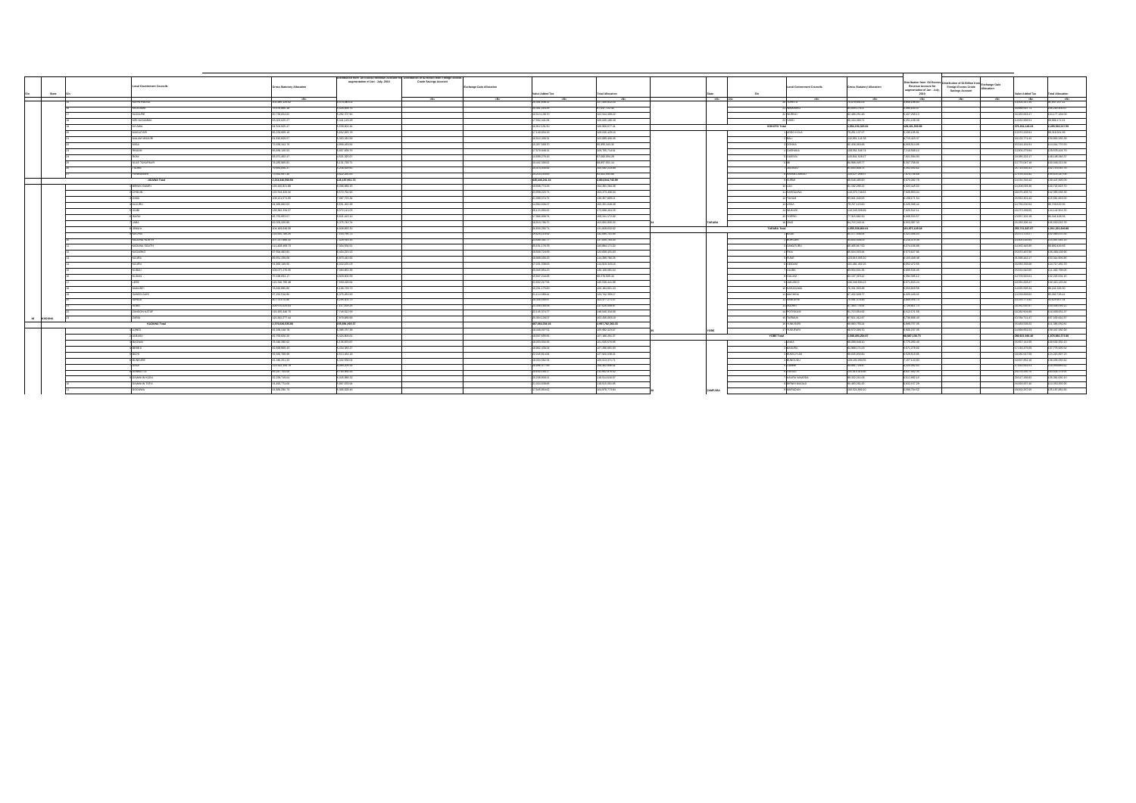|           |        |                                  |                            | tution from Oil Escess Revenue Account | ution of \$2 Billion from Foreign Exce |                         |                 |                         |              |              |                                  |                            |                                                   |                                 |              |                  |                         |
|-----------|--------|----------------------------------|----------------------------|----------------------------------------|----------------------------------------|-------------------------|-----------------|-------------------------|--------------|--------------|----------------------------------|----------------------------|---------------------------------------------------|---------------------------------|--------------|------------------|-------------------------|
|           |        |                                  |                            | augmentation of Jan - July, 2010       | Crude Savings Account                  |                         |                 |                         |              |              |                                  |                            | Housion from Oil Esces                            | Distribution of \$2 Billion fro | schange Gain |                  |                         |
|           |        | <b>Local Government Councils</b> | Gross Statutory Allocation |                                        |                                        | achange Gain Allocation |                 |                         |              |              | <b>Local Government Councils</b> | Gross Statutory Allocation | Revenue Account for<br>sugmentation of Jan - July | Foreign Escess Crude            |              |                  |                         |
|           | State  |                                  |                            |                                        |                                        |                         | Value Added Tax | <b>Total Allocation</b> |              | 5/n          |                                  |                            | 2010                                              | <b>Savings Account</b>          |              | Value Added Tax  | <b>Total Allocation</b> |
|           |        |                                  |                            |                                        |                                        |                         |                 |                         | - - -        |              |                                  |                            |                                                   |                                 |              |                  |                         |
|           |        | FIN HAUSA                        | 0,285,125.02               | 574,049.02                             |                                        |                         | 20,341,638.11   | 127,200,012.16          |              |              | <b>IDETA</b>                     | 079.841.02                 | 4,056,198.03                                      |                                 |              | 3,001,217.25     | 91,937,257.12           |
|           |        |                                  |                            |                                        |                                        |                         |                 |                         |              |              |                                  |                            |                                                   |                                 |              |                  |                         |
|           |        | IGAMA                            | 079,000.10                 | 026,639.79                             |                                        |                         | 15,341,216.35   | 97.047.722.32           |              |              | AMANDO                           | 0.034,170.37               | 12.003,630                                        |                                 |              | 6,000,597.73     | 106,218,406.67          |
|           |        | <b>ZAURE</b>                     | 1738,654.62                | 292,707.90                             |                                        |                         | 16,513,136.70   | 102,544,400.22          |              |              | <b>URNO</b>                      | 02,406,251.40              | 5,407,269.13                                      |                                 |              | 6,283,663.47     | 104,177,184.09          |
|           |        | RI-KASAMMA                       | 002,625.27                 | 02.011,199.2                           |                                        |                         | 17,562,441.84   | 106,006,186.39          |              |              |                                  | 00,104,066.71              | 5,251,108.39                                      |                                 |              | 14,630,996.51    | 00,006,171.61           |
|           |        |                                  | 504,925.47                 | 539,600.44                             |                                        |                         | 6,912,151.50    | 106,956,677.41          |              | SOKOTO Tetal |                                  | 1,954,150,323.62           | 128,101,550.69                                    |                                 |              | 73, 264, 543, 24 | 2,455,516,017.55        |
|           |        |                                  |                            |                                        |                                        |                         |                 |                         |              |              |                                  |                            |                                                   |                                 |              |                  |                         |
|           |        | <b>SATARI</b>                    | 233,000.19                 | 1,652,925.70                           |                                        |                         | 17,149,834.19   | 109,036,429.16          |              |              | DO-KOLA                          | 79,251,137.27              | 5,195,195.81                                      |                                 |              | 3,870,228.91     | 0,316,561.99            |
|           |        | IALAM MADURI                     | 1415,029.57                | 5,363,320.58                           |                                        |                         | 16,510,306.31   | 103,689,456.45          |              |              |                                  | 132,951,141.58             | 1,715,423.37                                      |                                 |              | 1,133,771.42     | 59,000,336.30           |
|           |        |                                  | 639,343.79                 | 958,429.82                             |                                        |                         | 15,357,569.70   | 05:055.343.32           |              |              |                                  | 22,436,063.68              | 1059,514.95                                       |                                 |              | 5,519,191.91     | 14,014,770.53           |
|           |        | <b>CIM</b>                       | 6,458,126.53               | 5667.639.76                            |                                        |                         | 7,579,940.31    | 09,705,714.61           |              |              | ASHAKA                           | 100,561,546.74             | 116,598.10                                        |                                 |              | 1900.279.94      | 20,578,424.79           |
|           |        |                                  |                            |                                        |                                        |                         |                 |                         |              |              |                                  |                            |                                                   |                                 |              |                  |                         |
|           |        |                                  | 18,971,452.47              | (521,325.67                            |                                        |                         | 13,589,276.16   | 87,082,054.29           |              |              | A\$50L                           | 120,841,529.27             | 7,921,594.93                                      |                                 |              | 0,385,222.17     | 140,140,346.37          |
|           |        | SULE TAKARKAR                    | 78,282,965.81              | 5,131,728.71                           |                                        |                         | 15,442,306.62   | 98,857,001.14           |              |              |                                  | 00.968,405.77              | 5,307,768.91                                      |                                 |              | 3,770,047.16     | 100,046,221.84          |
|           |        |                                  | 9,881,656.37               | 5,236,528.60                           |                                        |                         | 5,474,034.92    | 100,592,219.89          |              |              |                                  | 1,643,909.75               | 5,352,050.62                                      |                                 |              | 1719,555.41      | 102,715,515.78          |
|           |        | <b><i>REAWAR</i></b>             |                            |                                        |                                        |                         |                 |                         |              |              | RIM-LAMDO                        |                            | 7,074,750.60                                      |                                 |              |                  |                         |
|           |        |                                  | 1,562,597.35               | 1,822,291.65                           |                                        |                         | 14,216,154.65   | 22,601,043.66           |              |              |                                  | 120,127,056.57             |                                                   |                                 |              | 17,676,331.82    | 145,678,147.08          |
|           |        | <b>JIGAWA Total</b>              | 2214340.550.93             | 145.157.951.72                         |                                        |                         | 445.446.241.34  | 2.804.944.743.99        |              |              |                                  | 02 546 405 90              | 5,870,092.78                                      |                                 |              | 4,031,316.42     | 09,447,895.09           |
|           |        | INN GWARI                        | 126,105,021.00             | 206,000.15                             |                                        |                         | 19,908,774.33   | 154,281,284.36          |              |              |                                  | 01,192,205.32              | 5,322,445.02                                      |                                 |              | 4,208,093.36     | 00,722,823.70           |
|           |        | <b>DHIKLIN</b>                   | 130,744,420.42             | 1,570,764.90                           |                                        |                         | 23,958,220.71   | 163,273,406.04          |              |              | ROALINA                          | 116,070,746.61             | 7,608,853.04                                      |                                 |              | 10,675,450.74    | 142,355,058.38          |
|           |        |                                  |                            |                                        |                                        |                         |                 |                         |              |              |                                  |                            |                                                   |                                 |              |                  |                         |
|           |        |                                  | 108,121,071.05             | 7,087,722.34                           |                                        |                         | 21,099,074.72   | 136,307,009.11          |              |              | MUXAR                            | \$3,941,040.05             | 6,158,171.54                                      |                                 |              | 5,562,451.42     | 115,661,663.00          |
|           |        | <b>AJURU</b>                     | 4.685,692.63               | 5,551,450.30                           |                                        |                         | 14,964,506.07   | 105,201,649.00          |              |              |                                  | 79,727,123.60              | 5,226,398.42                                      |                                 |              | 1,756,000.54     | 99.709.522.55           |
|           |        |                                  | 138,392,334.57             | 0.072.113.05                           |                                        |                         | 26.123,956.62   | 173,588,404.25          |              |              |                                  | 16,249,059.89              | 1,620,542.11                                      |                                 |              | 3,273,299.55     | 43,142,901.55           |
|           |        | <b>ARA</b>                       | 1252,953.07                | 5,621,413.12                           |                                        |                         | 17,000,000.74   | 109, 241, 172.92        |              |              |                                  | 77,315,892.30              | 5,068,333.57                                      |                                 |              | 13,957,202.19    | 06,341,428.06           |
|           |        |                                  |                            |                                        |                                        |                         |                 |                         |              |              |                                  |                            |                                                   |                                 |              |                  |                         |
|           |        |                                  | 005325.06                  | 375.742.74                             |                                        |                         | 6,519,706.72    | 03 900 855 32           | <b>ARABA</b> |              |                                  | 1,715,240.31               | 553,387.33                                        |                                 |              | 1201206.14       | 05,552,023.70           |
|           |        | MA'A                             | 04,109,646.59              | 5,828,663.32                           |                                        |                         | 20,030,292.71   | 131,828,632.62          |              | TARABA Total |                                  | 1,555,530,664.61           | 101,971,129.18                                    |                                 |              | 253,721,847.07   | 1,911,221,640.05        |
|           |        | CACHIA                           | 14,925,705.25              | 7,533,796.72                           |                                        |                         | 19,626,119.92   | 142,085,701.90          |              |              | <b>DADS</b>                      | 1,177,046.06               | 5,321,446.03                                      |                                 |              | 15,971,378.27    | 102,409,870.36          |
|           |        | <b>DUNA NORTH</b>                | 107,217,006.32             | 220,516.35                             |                                        |                         | 23,589,361.77   | 137,035,764.44          |              |              |                                  | 04.030,500.03              | 6,216,479.35                                      |                                 |              | 4,900,093.94     | 115,947,081.33          |
|           |        | <b>DUNA SOUTH</b>                |                            | 334.534.51                             |                                        |                         |                 | 143,004,171.02          |              |              |                                  |                            |                                                   |                                 |              |                  | 0.022.429.03            |
|           |        |                                  | 1,428,459.73               |                                        |                                        |                         | 25,151,176.78   |                         |              |              | <b><i>LIBUTAMA</i></b>           | 00,455,817.00              | 5,274,166.88                                      |                                 |              | 1,162,445.95     |                         |
|           |        | <b>AGARKO</b>                    | 584,483.82                 | 1,404,223.22                           |                                        |                         | 19,509,724.59   | 123,008,431.03          |              |              |                                  | 05.024,003.44              | 573,627.06                                        |                                 |              | 15,870,497.66    | 106,468,128.96          |
|           |        | u iba                            | 1,551,339.09               | 5,870,410.92                           |                                        |                         | 18,008,030.23   | 114,209,780.25          |              |              | <b>UNE</b>                       | 1,615,055.20               | 1,103,409.48                                      |                                 |              | 1,596,442.17     | 53,314,906.05           |
|           |        | <b>AURU</b>                      | 1,000,149.50               | 1022.155.03                            |                                        |                         | 7,031,038.63    | 114,919,343.16          |              |              | <b>GEIDAM</b>                    | 101,481,452.15             | 6,652,472.55                                      |                                 |              | 1503336.00       | 24,717,260.79           |
|           |        | CUBAU                            | 108,077,275.05             | 064,052.36                             |                                        |                         | 20,945,954.23   | 136,108,081.64          |              |              | <b>ABLUE</b>                     | 09.934,621.35              | \$,005,536.45                                     |                                 |              | 5,632,640.25     | 11,462,758.06           |
|           |        |                                  |                            |                                        |                                        |                         |                 |                         |              |              |                                  |                            |                                                   |                                 |              |                  |                         |
|           |        | <b>JOAN</b>                      | 199,654.17                 | 1,929,000.59                           |                                        |                         | 15,947,244.68   | 96,076,505.44           |              |              | GULANI                           | 82,137,315.42              | \$384,395.12                                      |                                 |              | 4,703,923.61     | 02.225.634.15           |
|           |        |                                  | 316,795.40                 | 29.428.04                              |                                        |                         | 2,662,217.56    | 145,538,441.00          |              |              |                                  | 06,349,694.13              | 571,603.24                                        |                                 |              | 091,828.47       | 132,413,125.84          |
|           |        |                                  | 08.200,010.0               | 166,729.73                             |                                        |                         | 16,201,175.90   | 100,184,801.43          |              |              |                                  | 76,331,903.38              | 5,003,829.58                                      |                                 |              | 4.825,595.34     | 06,161,328.30           |
|           |        | ADON GARS                        | 252,518.90                 | 375,250.83                             |                                        |                         | 1,114,509.44    | 124,742,359.17          |              |              |                                  | 7.432,609.77               | 4,420,449.02                                      |                                 |              | 1,222,009.02     | 5,092,728.41            |
|           |        |                                  |                            |                                        |                                        |                         |                 |                         |              |              |                                  |                            |                                                   |                                 |              |                  |                         |
|           |        |                                  | 773,676.06                 | 5,295,003.73                           |                                        |                         | 16,308,590.87   | 102,377,271.47          |              |              |                                  | 74,581,078.48              | 4,889,056.74                                      |                                 |              | 4,155,771.02     | 0.625.907.04            |
|           |        |                                  | 108,570,625.63             | 117,193.25                             |                                        |                         | 21,338,190.08   | 137,026,008.97          |              |              | <b><i>IGURU</i></b>              | 87,360,776.91              | 5,726,011.73                                      |                                 |              | 6.350.510.47     | 109,438,099.12          |
|           |        | ANGON KATAF                      | 10,155,446.70              | 745,512.59                             |                                        |                         | 22,145,374.77   | 140,046,334.06          |              |              | <b>OTIGICAL</b>                  | 01,713,054.92              | 6,012,171.58                                      |                                 |              | 10,203,904.00    | 116,006,931.37          |
| $10^{-1}$ | KADUNA |                                  | 20,202,277.44              | 63.663.678.7                           |                                        |                         | 25,354,126.07   | 153,436,093.19          |              |              | RMUA                             | 17,511,412.47              | 5,736,686.43                                      |                                 |              | 1,784,711.47     | 07,032,810.37           |
|           |        | <b>KADUNA Total</b>              | 375,026,535.80             | 155,691,493.37                         |                                        |                         | 467,064,334.16  | 2,597,782,563.33        |              |              | ለአህፍት                            | 89,983,755.24              | 5,898,757.35                                      |                                 |              | 5,483,538.22     | 111,366,050.01          |
|           |        |                                  |                            |                                        |                                        |                         |                 |                         |              |              |                                  |                            |                                                   |                                 |              |                  |                         |
|           |        | <b>JNGI</b>                      | 1,158,248.78               | 5385767.30                             |                                        |                         | 18,448,007.51   | 105,992,023.67          | 380°         |              | YUSUF ARI                        | 8.572.390.70               | 5,806,237.35                                      |                                 |              | 4,968,652.23     | 109,347,280.28          |
|           |        | BASL                             | 153,826.20                 | 424,009.61                             |                                        |                         | 9,007,055.56    | 107,186,291.37          |              | YOBE Total   |                                  | 1,508,493,294.67           | 98,887,136.73                                     |                                 |              | 269,601,940.46   | 1,076,902,371.06        |
|           |        |                                  | 8,346,290.62               | 5,135,879.87                           |                                        |                         | 18,053,500.36   | 101,535,670.85          |              |              | <b>ANNO</b>                      | 01.099.040.10              | 5,775,260.49                                      |                                 |              | 5,657,141.55     | 09,532,250.13           |
|           |        |                                  | 2300,000.43                | 1434303.27                             |                                        |                         | 18,962,439.24   | 107,296,691.93          |              |              |                                  | 04.000,171.03              | 5,571,278.92                                      |                                 |              | 216,475.59       |                         |
|           |        | IL3G                             |                            |                                        |                                        |                         |                 |                         |              |              | AKURA                            |                            |                                                   |                                 |              |                  | 107,775,925.54          |
|           |        |                                  | 9,360,768.99               | 5,513,454.18                           |                                        |                         | 22,045,014.04   | 127,920,038.01          |              |              | UKKUYUM                          | 08.005,030.03              | 6,529,518.85                                      |                                 |              | 0,000,547.50     | 124,215,897.23          |
|           |        | <b>JUNKURE</b>                   | 346.251.33                 | 332.538.04                             |                                        |                         | 18:334.592.34   | 105,013,371.71          |              |              | NGUDU                            | 129.180.060.56             | 157,143.90                                        |                                 |              | 9,697,652.16     | 136.035.056.62          |
|           |        |                                  | 13,322,159.79              | 084,209.14                             |                                        |                         | 26,996,477.68   | 158,402,046.61          |              |              | <b>MML</b>                       | 94,091,729.47              | 6,220,492.63                                      |                                 |              | 17,832,661.51    | 10,944,003.62           |
|           |        | <b>ANDATTA</b>                   | 8,247,754.09               | 32.858,957.2                           |                                        |                         | 19,630,166.17   | 13,662,076.52           |              |              |                                  | 25,914,416.06              | 0,647,462.35                                      |                                 |              | 074,295.70       | 64,636,174.91           |
|           |        |                                  |                            |                                        |                                        |                         |                 |                         |              |              |                                  |                            |                                                   |                                 |              |                  |                         |
|           |        | WAKIN KUDU                       | 229,719.04                 | 1045,988.32                            |                                        |                         | 20,238,909.21   | 18,514,016.57           |              |              | LURA NAMOOA                      | 0,332,211.08               | 1,511,582.10                                      |                                 |              | 0,517,266.92     | 126,361,060.10          |
|           |        | WAKIN TOFA                       | 1,492,774.05               | 1,997,678.94                           |                                        |                         | 21,024,638.86   | 10,515,091.05           |              |              | INN MAGAJI                       | 00,403,261.26              | 5,932,157.29                                      |                                 |              | (6,926,937.40)   | 13,352,355.95           |
|           |        | <b>GUWA</b>                      | 1,000,200.73               | 5,366,628.49                           |                                        |                         | 17,645,054.62   | 104,878,773.84          | ZAMEARA      |              | ARADUN                           | 03,524,860.10              | 6,589,764.52                                      |                                 |              | 18,053,257.05    | 125,167,881.66          |
|           |        |                                  |                            |                                        |                                        |                         |                 |                         |              |              |                                  |                            |                                                   |                                 |              |                  |                         |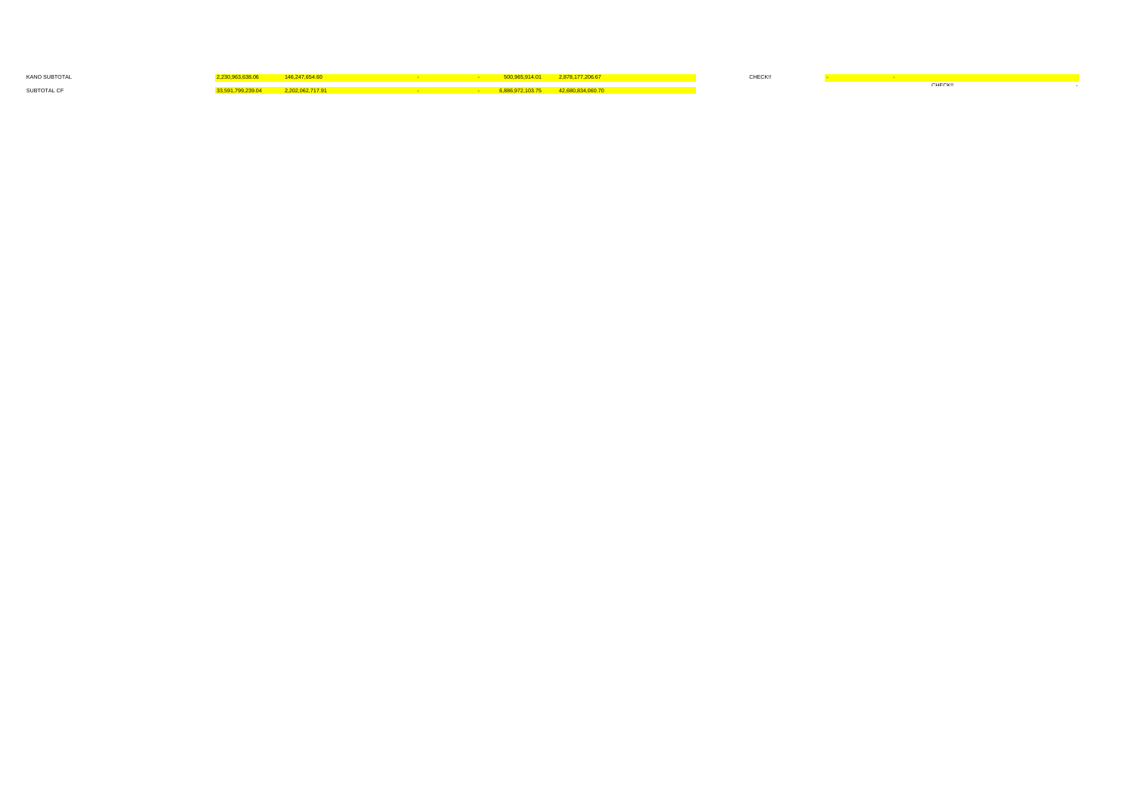| <b>KANO SUBTOTAL</b> |                  |  | 500.965.914.01 2.878.177.206.67 | CHECK! |  |  |
|----------------------|------------------|--|---------------------------------|--------|--|--|
| SUBTOTAL CF          | 2.202.062.717.91 |  |                                 |        |  |  |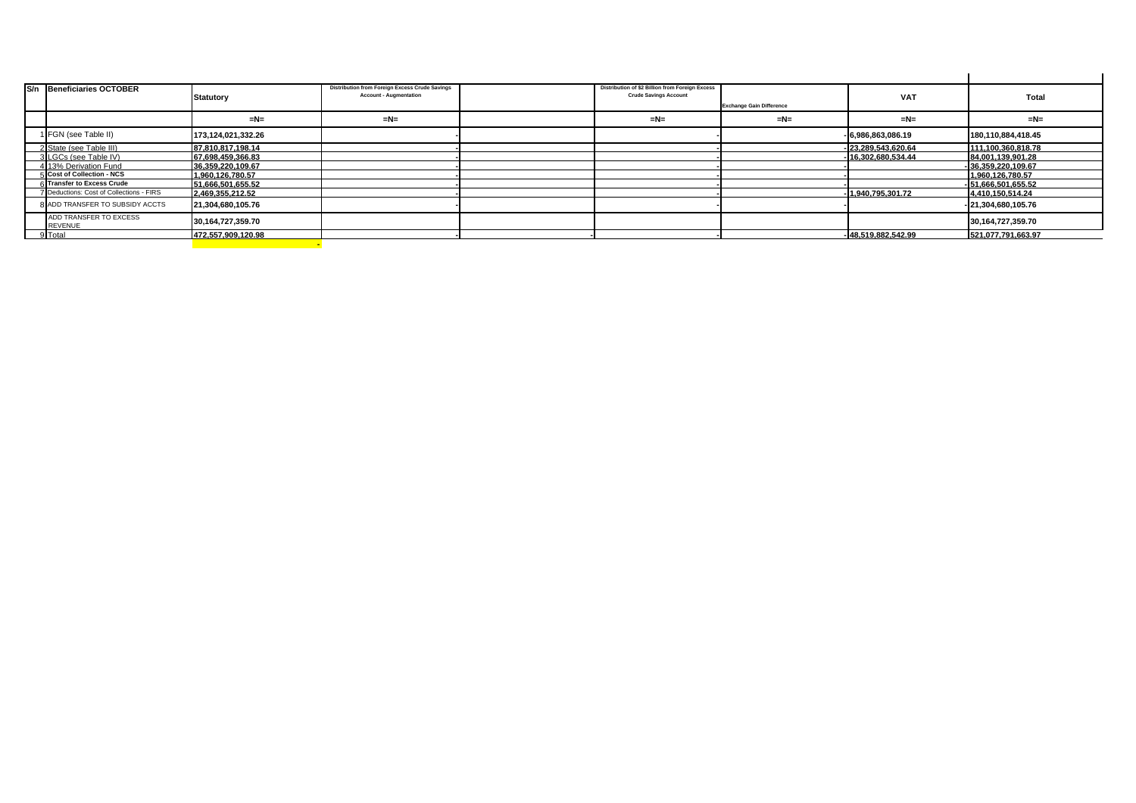| S/n Beneficiaries OCTOBER                | <b>Statutory</b>   | Distribution from Foreign Excess Crude Savings<br><b>Account - Augmentation</b> | Distribution of \$2 Billion from Foreign Excess<br><b>Crude Savings Account</b> | <b>Exchange Gain Difference</b> | VA <sub>1</sub>      | <b>Total</b>         |
|------------------------------------------|--------------------|---------------------------------------------------------------------------------|---------------------------------------------------------------------------------|---------------------------------|----------------------|----------------------|
|                                          | $=N=$              | $=N=$                                                                           | $=N=$                                                                           | $=N=$                           | $=N=$                | $=N=$                |
| 1 FGN (see Table II)                     | 173,124,021,332.26 |                                                                                 |                                                                                 |                                 | 6,986,863,086.19     | 180,110,884,418.45   |
| 2 State (see Table III)                  | 87.810.817.198.14  |                                                                                 |                                                                                 |                                 | $-23.289.543.620.64$ | 111.100.360.818.78   |
| 3 LGCs (see Table IV)                    | 67.698.459.366.83  |                                                                                 |                                                                                 |                                 | $-16.302.680.534.44$ | 84.001.139.901.28    |
| 4 13% Derivation Fund                    | 36.359.220.109.67  |                                                                                 |                                                                                 |                                 |                      | -36.359.220.109.67   |
| 5 Cost of Collection - NCS               | 1.960.126.780.57   |                                                                                 |                                                                                 |                                 |                      | 1.960.126.780.57     |
| 6 Transfer to Excess Crude               | 51.666.501.655.52  |                                                                                 |                                                                                 |                                 |                      | $-51.666.501.655.52$ |
| 7 Deductions: Cost of Collections - FIRS | 2.469.355.212.52   |                                                                                 |                                                                                 |                                 | $-1.940.795.301.72$  | 4.410.150.514.24     |
| 8 ADD TRANSFER TO SUBSIDY ACCTS          | 21,304,680,105.76  |                                                                                 |                                                                                 |                                 |                      | $-21,304,680,105.76$ |
| ADD TRANSFER TO EXCESS<br><b>REVENUE</b> | 30,164,727,359.70  |                                                                                 |                                                                                 |                                 |                      | 30,164,727,359.70    |
| 9 Total                                  | 472.557.909.120.98 |                                                                                 |                                                                                 |                                 | $-48.519.882.542.99$ | 521.077.791.663.97   |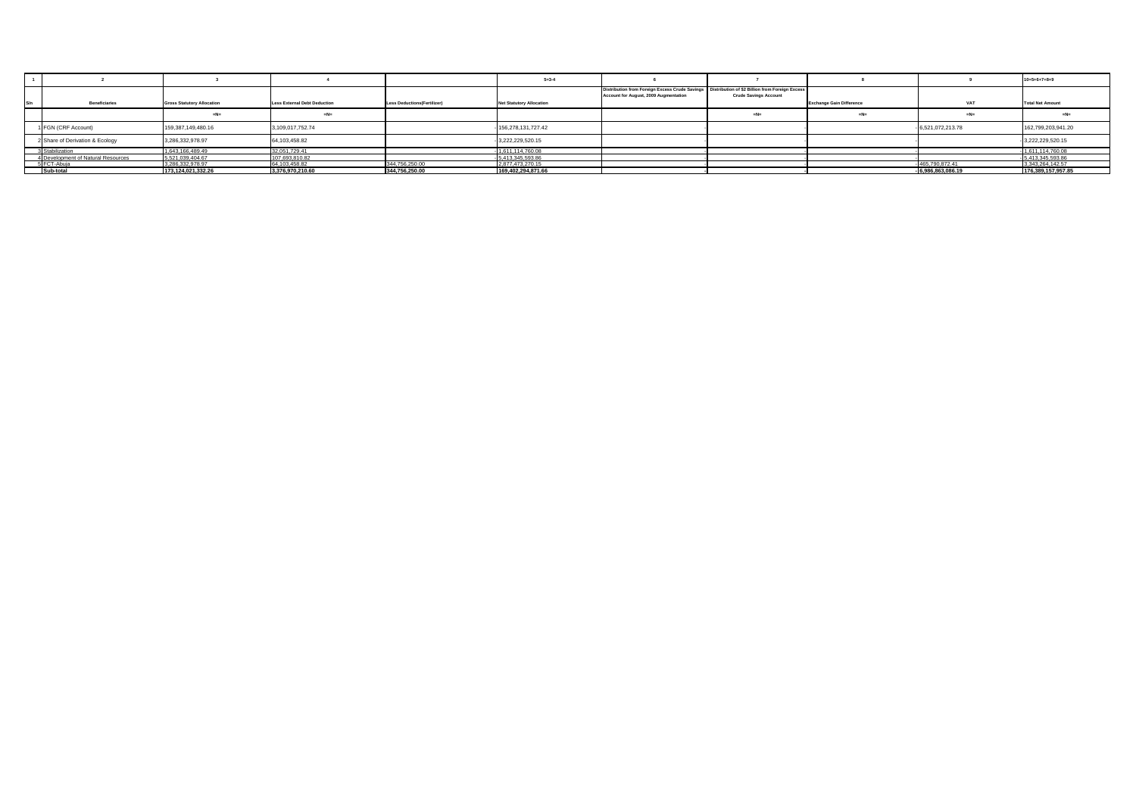|                                    |                                   |                                     |                                    | $5 = 3 - 4$                     |                                                                                                                                                 |                              |                                 |                     | $10=5+6+7+8+9$          |
|------------------------------------|-----------------------------------|-------------------------------------|------------------------------------|---------------------------------|-------------------------------------------------------------------------------------------------------------------------------------------------|------------------------------|---------------------------------|---------------------|-------------------------|
| <b>Beneficiaries</b>               | <b>Gross Statutory Allocation</b> | <b>Less External Debt Deduction</b> | <b>Less Deductions(Fertilizer)</b> | <b>Net Statutory Allocation</b> | Distribution from Foreign Excess Crude Savings  Distribution of \$2 Billion from Foreign Excess<br><b>Account for August, 2009 Augmentation</b> | <b>Crude Savings Account</b> | <b>Exchange Gain Difference</b> | VAT                 | <b>Total Net Amount</b> |
|                                    | $= N =$                           | $= N =$                             |                                    |                                 |                                                                                                                                                 | $=N=$                        | $=N=$                           | =N:                 | $= N$                   |
| FGN (CRF Account)                  | 159, 387, 149, 480. 16            | 3,109,017,752.74                    |                                    | 156,278,131,727.42              |                                                                                                                                                 |                              |                                 | $-6,521,072,213.78$ | 162,799,203,941.20      |
| 2 Share of Derivation & Ecology    | 3,286,332,978.97                  | 64,103,458.82                       |                                    | 3,222,229,520.15                |                                                                                                                                                 |                              |                                 |                     | $-3,222,229,520.15$     |
| 3 Stabilization                    | 1.643.166.489.49                  | 32.051.729.41                       |                                    | 1,611,114,760.08                |                                                                                                                                                 |                              |                                 |                     | 1.611.114.760.08        |
| 4 Development of Natural Resources | 5.521.039.404.67                  | 107.693.810.82                      |                                    | - 5.413.345.593.86              |                                                                                                                                                 |                              |                                 |                     | $-5.413.345.593.86$     |
| FCT-Abuia                          | 3.286.332.978.97                  | 64.103.458.82                       | 344.756.250.00                     | 2.877.473.270.15                |                                                                                                                                                 |                              |                                 | $-465.790.872.41$   | 3.343.264.142.57        |
| Sub-total                          | 173.124.021.332.26                | 3.376.970.210.60                    | 344.756.250.00                     | 169.402.294.871.66              |                                                                                                                                                 |                              |                                 | $-6.986.863.086.19$ | 176.389.157.957.85      |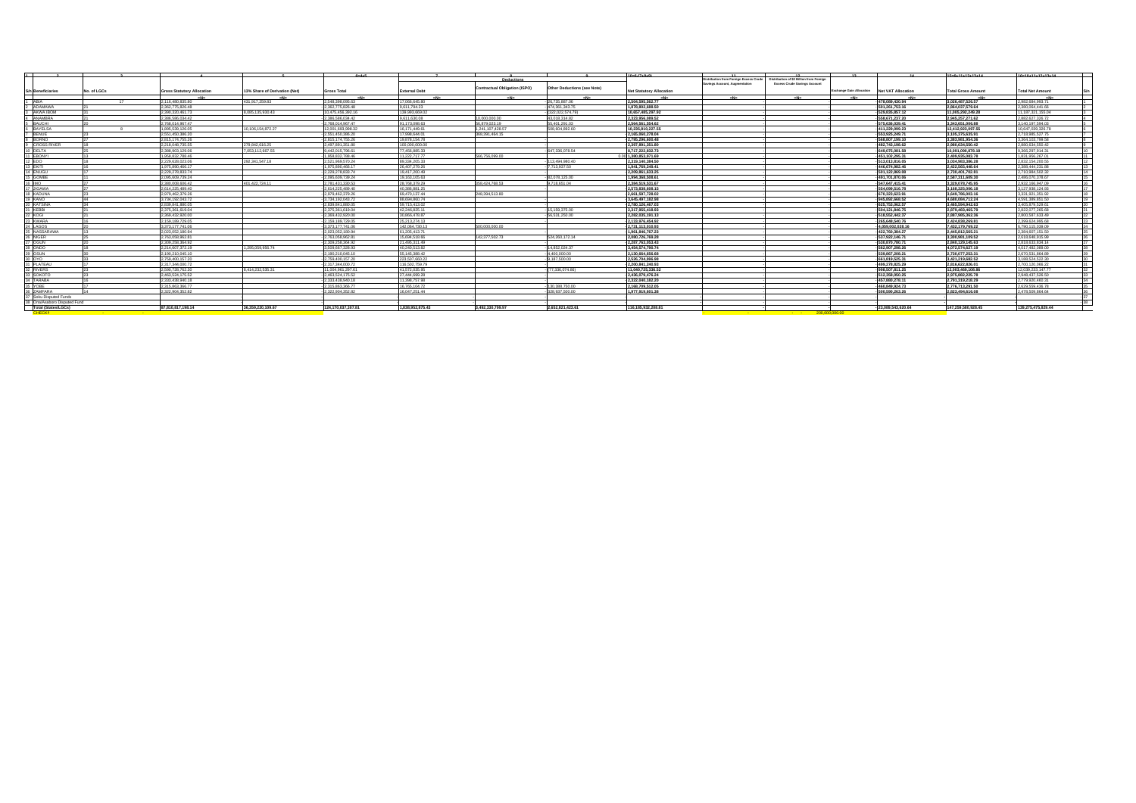|                              |             |                                   |                               | $6 - 4 - 5$        |                      |                                      |                                    | $10 - 6 - (7 + 8 + 9)$          |                               |                                                                                   | $\overline{11}$                             | $\overline{14}$   | 15-6+11+12+13+14          | 16-10-11-12-13-14       |  |
|------------------------------|-------------|-----------------------------------|-------------------------------|--------------------|----------------------|--------------------------------------|------------------------------------|---------------------------------|-------------------------------|-----------------------------------------------------------------------------------|---------------------------------------------|-------------------|---------------------------|-------------------------|--|
|                              |             |                                   |                               |                    |                      |                                      |                                    |                                 |                               | Distribution from Foreign Excess Crude   Distribution of \$2 Billion from Foreign |                                             |                   |                           |                         |  |
|                              |             |                                   |                               |                    |                      |                                      |                                    |                                 | Savings Account, Augmentation | Excess Crude Savings Account                                                      |                                             |                   |                           |                         |  |
| In Beneficiaries             | No. of LGCs | <b>Gross Statutory Allocation</b> | 13% Share of Derivation (Net) | Gross Total        | <b>External Debt</b> | <b>Contractual Obligation (ISPO)</b> | <b>Other Deductions (see Note)</b> | <b>Net Statutory Allocation</b> |                               |                                                                                   | Exchange Gain Allocation Net VAT Allocation |                   | <b>Total Gross Amount</b> | <b>Total Net Amount</b> |  |
|                              |             |                                   |                               |                    |                      |                                      |                                    |                                 |                               |                                                                                   |                                             |                   |                           |                         |  |
| ARIA                         |             | 116 480 835 80                    | 131 917 259 83                | FA 298 095 63      | 7 ORR R45 80         |                                      | 26 735 887 06                      | 2.504.595.562.77                |                               |                                                                                   |                                             | 478 089 430 94    | 026 487 526 57            | 9 982 684 993 71        |  |
| <b>ADAMAWA</b>               |             | 382 775 826 48                    |                               | 2 382 775 826 48   | 961179423            |                                      | 474 381 343 75                     | 1.878.802.688.50                |                               |                                                                                   |                                             | 501 261 753 16    | 2864 037 579 64           | 2.380.064.441.66        |  |
| <b>AKWA IBOM</b>             |             | 390 320 461 73                    | OB5 135 930 43                | 0 475 456 392 16   | 39 993 669 02        |                                      | 322.022.574.79)                    | 10.657.485.297.92               |                               |                                                                                   |                                             | 529 835 857 12    | 11.005.292.249.28         | 11 187 321 155 04       |  |
| <b>ANAMRRA</b>               |             | 386 586 034 42                    |                               | 386 586 034 42     | 961163008            | 10.000.000.00                        | 43 018 314 82                      | 2.323.956.089.52                |                               |                                                                                   |                                             | 558 671 237 20    | 2.945.257.271.62          | 288282732872            |  |
| RAUCHL                       |             | 768 014 967 47                    |                               | 276801496747       | 1173.098.63          | 56 879 023 19                        | 55 401 291 03                      | 2.564.561.554.62                |                               |                                                                                   |                                             | 575 636 039 41    | 3.343.651.006.88          | 3 140 197 594 03        |  |
| <b>RAYELSA</b>               |             | 895 539 126 05                    | 010615487227                  | 12 001 693 998 32  | 16 171 449 61        | 1241 107 428 57                      | 508 604 892 60                     | 10.235.810.227.55               |                               |                                                                                   |                                             | 411 229 099 23    | 12 412 923 097 5          | 0 647 039 326 78        |  |
| <b>BENUE</b>                 |             | 651 450 386 20                    |                               | 651 450 386 20     | 7 998 644 01         | 368 391 464 15                       |                                    | 2.165.060.278.04                |                               |                                                                                   |                                             | 553.925.249.71    | 3.105.375.635.91          | 2 718 985 527 75        |  |
| <b>BORNO</b>                 |             | 815 174 755 26                    |                               | 281517475526       | 19 878 154 78        |                                      |                                    | $-2.795.296.600.48$             |                               |                                                                                   |                                             | 568 807 199 10    | 3.383.981.954.36          | 3.364.103.799.58        |  |
| <b>CROSS RIVER</b>           |             | 218 048 735 55                    | 79.842.616.25                 | 497 891 351 80     | 00.000.000.00        |                                      |                                    | 2.397.891.351.80                |                               |                                                                                   |                                             | 482.743.198.62    | 1980.634.550.42           | 2 880 834 550 42        |  |
| 10 DELTA                     |             | 1388.903.129.06                   | 053.112.667.55                | 9.442.015.796.61   | 7 456 885 33         |                                      | 647.336.078.54                     | 8.717.222.832.73                |                               |                                                                                   |                                             | 649.075.081.58    | 10.091.090.878.18         | 9.366.297.914.31        |  |
| 11 EBONYI                    |             | 1.958.832.788.46                  |                               | 1.958.832.788.46   | 11.222.717.77        | 566 756 099 00                       |                                    | 0.00 1.380.853.971.69           |                               |                                                                                   |                                             | 451.102.295.31    | 2.409.935.083.78          | 1.831.956.267.01        |  |
| 12 EDO                       |             | 1229.628.023.06                   | 92.341.547.18                 | 2.521.969.570.24   | 89.334.205.33        |                                      | 113 494 980 40                     | 2.319.140.384.50                |                               |                                                                                   |                                             | 513.013.816.05    | 3.034.983.386.28          | 2.832.154.200.55        |  |
| 13 EKITI                     |             | 1.975.890.466.17                  |                               | 1.975.890.466.17   | 26.407.279.26        |                                      | 7.713.937.50                       | 1.941.769.249.41                |                               |                                                                                   |                                             | 446.674.982.46    | 2.422.565.448.64          | 2.388.444.231.88        |  |
| 14 ENUGU                     |             | 229 278 833 74                    |                               | 2 229 278 833 74   | 19.417.200.49        |                                      |                                    | $-2.209.861.633.25$             |                               |                                                                                   |                                             | 501.122.869.08    | 2.730.401.702.81          | 2.710.984.502.32        |  |
| 5 GOMBE                      |             | 095.609.739.24                    |                               | 2.095.609.739.24   | 19.163.105.63        |                                      | 82.078.125.00                      | 1.994.368.508.61                |                               |                                                                                   |                                             | 491.701.870.06    | 2.587.311.609.30          | 2.486.070.378.67        |  |
| 16 IMO                       |             | 1380.008.606.42                   | 401.422.724.11                | 2.781.431.330.53   | 28.768.379.29        | 358.424.768.53                       | 9.718.651.04                       | 2.384.519.531.67                |                               |                                                                                   |                                             | 547.647.415.41    | 3.329.078.745.95          | 2.932.166.947.09        |  |
| 17 JIGAWA                    |             | 614 225 489 40                    |                               | 2814 225 489 40    | 40 386 881 25        |                                      |                                    | 2.573.838.608.15                |                               |                                                                                   |                                             | 554 099 516 78    | 3 168 325 006 18          | 3 127 938 124 93        |  |
| 18 KADI INA                  |             | 979 462 379 26                    |                               | 297948237926       | 89 470 137 44        | 248 394 513 80                       |                                    | 2.661.597.728.02                |                               |                                                                                   |                                             | 670 323 623 91    | 649.786.003.16            | 3.331.921.351.92        |  |
| 19 KANO                      |             | 3734 192 043 72                   |                               | 3.734.192.043.72   | <b>88 694 860 74</b> |                                      |                                    | 3.645.497.182.98                |                               |                                                                                   |                                             | 945 892 668 52    | 4 680 084 712 24          | 4 591 389 851 50        |  |
| 20 KATSINA                   |             | 839 841 880 05                    |                               | 283984188005       | 69 716 413 02        |                                      |                                    | 2.780.126.467.03                |                               |                                                                                   |                                             | 625 753 062 57    | 3 465 594 942 63          | 3 405 879 529 61        |  |
| 21 KEBBI                     |             | 375 361 619 04                    |                               | 237538181904       | 42 246 825 11        |                                      | 15 159 375 00                      | 2.317.955.418.93                |                               |                                                                                   |                                             | 504 121 846 75    | 879 483 465 79            | 282207726568            |  |
| 22 KOGI                      |             | 1369.432.920.00                   |                               | 389 432 920 00     | 30 866 478 87        |                                      | 56.531.250.00                      | 2.282.035.191.13                |                               |                                                                                   |                                             | 518.552.442.37    | 1,887.985.362.3           | 2 800 587 633 49        |  |
| 23 KWARA                     |             | 159 189 729 05                    |                               | 159 189 729 05     | 5 213 274 13         |                                      |                                    | 2.133.976.454.92                |                               |                                                                                   |                                             | 265 648 540 76    | 424 838 269 81            | R3 200 5C3 00F 1        |  |
| 24 LAGOS                     |             | 373 177 741 06                    |                               | 3223 127 741 06    | 142 064 730 13       | 500.000.000.00                       |                                    | 2.731.113.010.93                |                               |                                                                                   |                                             | 4.059.002.028.16  | 432.179.769.22            | 290 115 039 09          |  |
| 25 NASSARAWA                 |             | 023 052 180 94                    |                               | 0 023 052 180 94   | 81 205 413 71        |                                      |                                    | 1.961.846.767.23                |                               |                                                                                   |                                             | 422 760 384 27    | 244581256521              | 2.384.607.151.50        |  |
| 26 NIGER                     |             | 763 058 962 81                    |                               | 763 058 962 81     | 38 813 893 31        | 142.377.502.73                       | 24.260.172.14                      | 2.080.726.769.28                |                               |                                                                                   |                                             | 537.922.146.71    | 1300.981.109.52           | P 818 648 915 99        |  |
| 27 OGUN                      |             | 309 258 364 92                    |                               | 309 258 364 92     | 21 495 311 49        |                                      |                                    | 2.287.763.053.43                |                               |                                                                                   |                                             | 530 870 780 71    | 2,840.129.145.63          | 2 818 633 834 14        |  |
| 28 ONDO                      |             | 214.607.372.19                    | 295.059.956.74                | 509.667.328.93     | 40.240.513.82        |                                      | 14.852.024.37                      | 3.454.574.790.74                |                               |                                                                                   |                                             | 562.907.298.26    | 4.072.574.627.19          | 4.017.482.089.00        |  |
| 29 IOSUN                     |             | 190 210 045 10                    |                               | 2.190.210.045.10   | 55 145 388 42        |                                      | 4 400 000 00                       | 2.130.664.656.68                |                               |                                                                                   |                                             | 539.867.208.21    | 2.730.077.253.31          | 2.670.531.864.89        |  |
| 30 OYO                       |             | 1759.400.157.20                   |                               | 2.759.400.157.20   | 223.507.660.22       |                                      | 187,500.00                         | 2.526.704.996.98                |                               |                                                                                   |                                             | 661.819.525.31    | 3.421.219.682.52          | 3.188.524.522.30        |  |
| 31 PLATEAU                   |             | 1317.344.000.72                   |                               | 2.317.344.000.72   | 16.502.759.79        |                                      |                                    | 2.200.841.240.93                |                               |                                                                                   |                                             | 499.278.825.29    | 2.816.622.826.01          | 2.700.120.066.22        |  |
| 32 RIVERS                    |             | 690 728 762 30                    | 8.414.232.535.31              | 11 004 961 297 61  | 41.572.035.95        |                                      | 77.336.074.86)                     | 11.040.725.336.52               |                               |                                                                                   |                                             | 998.507.811.25    | 12,003,469,108.86         | 12.039.233.147.77       |  |
| 33 SOKOTO                    |             | 483 524 175 52                    |                               | 2 463 524 175 52   | 7 444 699 28         |                                      |                                    | 2.436.079.476.24                |                               |                                                                                   |                                             | 512.358.050.25    | 2.975.882.225.78          | 2 948 437 526 50        |  |
| 34 TARABA                    |             | 333 438 940 18                    |                               | 33343894018        | 11.398.757.98        |                                      |                                    | $-2.322.040.182.20$             |                               |                                                                                   |                                             | 457.880.278.11    | 2.791.319.218.29          | 2.779.920.460.31        |  |
| 35 YOBE                      |             | 315 863 366 77                    |                               | 2315 863 366 77    | 16.765.104.72        |                                      | 130 388 750 00                     | 2.168.709.512.05                |                               |                                                                                   |                                             | 460.849.924.73    | 2.776.713.291.50          | 2.629.559.436.78        |  |
| 36 ZAMEARA                   |             | 322.904.352.82                    |                               | 322 904 352 82     | 6.047.251.44         |                                      | 128 937 500 00                     | 1.977.919.601.38                |                               |                                                                                   |                                             | 500 590 263 26    | 1823.494.616.08           | 2 478 509 864 64        |  |
| 37 Soku Disnuted Funds       |             |                                   |                               |                    |                      |                                      |                                    |                                 |                               |                                                                                   |                                             |                   |                           |                         |  |
| 38 Ona/Asaboro Disputed Fund |             |                                   |                               |                    |                      |                                      |                                    |                                 |                               |                                                                                   |                                             |                   |                           |                         |  |
| Total (States/LGCs)          |             | 781081719814                      | 36.359.220.109.67             | 124.170.037.307.81 | 183895287543         | 1492 330 799 97                      | 2 652 821 423 61                   | 116 185 932 208 81              |                               |                                                                                   |                                             | 23.089.543.620.64 | 147.259.580.928.45        | 139.275.475.829.44      |  |
|                              |             |                                   |                               |                    |                      |                                      |                                    |                                 |                               |                                                                                   |                                             |                   |                           |                         |  |

 $-200,000,000,00$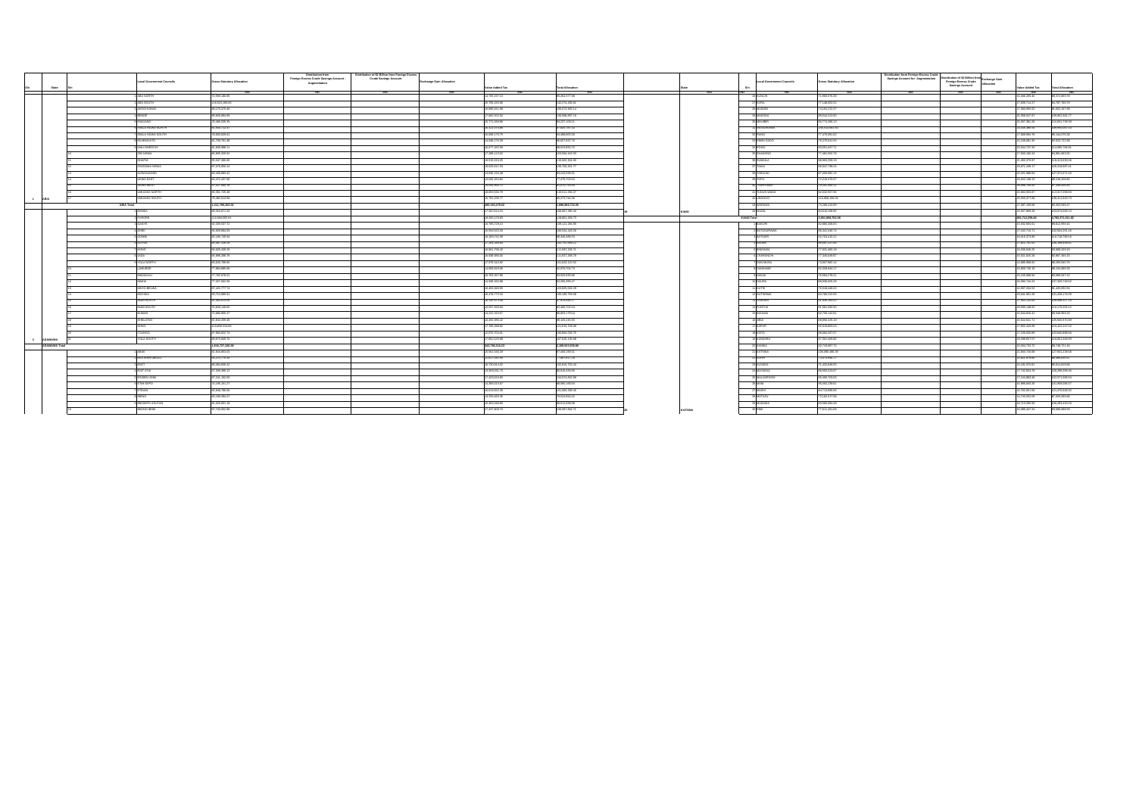|                      |                   |                                  |                                   | <b>Distribution from</b>               | <b>Distribution of \$2 Billion from Foreign Excess</b> |                         |                  |                  |               |            |                           |                                   | Olatribution from Foreign Excess Crude | stribution of \$2 Billion from |               |                         |                         |
|----------------------|-------------------|----------------------------------|-----------------------------------|----------------------------------------|--------------------------------------------------------|-------------------------|------------------|------------------|---------------|------------|---------------------------|-----------------------------------|----------------------------------------|--------------------------------|---------------|-------------------------|-------------------------|
|                      |                   | <b>Local Government Councils</b> | <b>Jross Statutory Allocation</b> | Foreign Excess Crude Savings Account - | Crude Savings Account                                  | schange Gain Allocation |                  |                  |               |            | Local Government Councils | <b>Gross Statutory Allocation</b> | Savings Account for-Augmentation       | Foreign Excess Crude           | Exchange Gain |                         |                         |
|                      |                   |                                  |                                   | Augmentation                           |                                                        |                         |                  |                  |               |            |                           |                                   |                                        | <b>Savings Account</b>         | Alloyation    |                         |                         |
| State                |                   |                                  |                                   |                                        |                                                        |                         | value Added Tax  | notas alla lato  |               |            |                           |                                   |                                        |                                |               | alue Added Tax          | <b>Total Allocation</b> |
|                      |                   | ABA NORTH                        | 70,559,180.85                     |                                        |                                                        |                         | 4,705,197.13     | 264,377.98       |               | $\sim$     |                           | 306,576.38                        |                                        | - 1991                         |               | $   -$<br>16,466,293.40 | $ -$<br>6,372,609.76    |
|                      |                   | BA SOUTH                         | 16,515,190.65                     |                                        |                                                        |                         | 25,759,245.96    | 42,274,436.61    |               |            |                           | 148,052.52                        |                                        |                                |               | 7,639,714.27            | 14,787,766.79           |
|                      |                   |                                  |                                   |                                        |                                                        |                         |                  |                  |               |            |                           |                                   |                                        |                                |               |                         |                         |
|                      |                   | <b><i>REGENERANCE</i></b>        | 88,176,370.46                     |                                        |                                                        |                         | 16,896,621.68    | 35,072,992.14    |               |            | 28 MADOE                  | 1,191,212.37                      |                                        |                                |               | 17,360,955.62           | 1,552,167.99            |
|                      |                   | <b>BENDE</b>                     | 88,926,894.69                     |                                        |                                                        |                         | 17,662,002.50    | 106,588,897.19   |               |            | MAKODA                    | 02.012.90                         |                                        |                                |               | 20.358.047.87           | 109,902,361.77          |
|                      |                   | CIANUM!                          | 78,466,039.35                     |                                        |                                                        |                         | 15,771,009.86    | 4,237,109.21     |               |            |                           | 1,774,358.13                      |                                        |                                |               | 20,057,381.26           | 10,831,739.39           |
|                      |                   | SIALA NGWA NORTH                 | 81,504,712.47                     |                                        |                                                        |                         | 16,321,074.86    | 17,025,707.33    |               |            |                           | 56,514,681.50                     |                                        |                                |               | 33,435,385.54           | 189,950,057.03          |
|                      |                   | ISIALA NGWA SOUTH                | 78,830,629.61                     |                                        |                                                        |                         | 15,658,175.75    | 34,488,805.36    |               |            |                           | 7,475,081.62                      |                                        |                                |               | 17,058,994.76           | 15,144,076.38           |
|                      |                   |                                  |                                   |                                        |                                                        |                         |                  |                  |               |            |                           |                                   |                                        |                                |               |                         |                         |
|                      |                   | <b>DTAUNIARS</b>                 | 81.709.761.48                     |                                        |                                                        |                         | 14,948,176.28    | 06.657.937.76    |               |            | <b>HMNGAD</b>             | 275.041.54                        |                                        |                                |               | 16,248,681.35           | 12,523,722.89           |
|                      |                   | <b>IND-NNEOCHE</b>               | 81,846,588.11                     |                                        |                                                        |                         | 16,677,262.59    | 18,523,850.70    |               |            |                           | 3,551,047.71                      |                                        |                                |               | 20,544,737.20           | 14,095,784.91           |
|                      |                   | <b>CEI NGWA</b>                  | 85,005,329.52                     |                                        |                                                        |                         | 17,289,113.02    | 03,094,442.53    |               |            | SHANONO                   | 481,502.76                        |                                        |                                |               | 7,500,160.24            | 00.033,189,96           |
|                      |                   |                                  | 95,547,280.65                     |                                        |                                                        |                         | 19,515,024.25    | 15,062,304.90    |               |            |                           | 363,259.19                        |                                        |                                |               | 21,450,370.87           | 18,413,630.06           |
|                      |                   | SISIOMA NGWA                     | 87,076,650.24                     |                                        |                                                        |                         | 18,623,611.53    | 105,700,261.77   |               |            |                           | 647,738.24                        |                                        |                                |               | 19,671,249.17           | 06,318,987.41           |
|                      |                   | GWUNAGBO.                        | 09.406.883.42                     |                                        |                                                        |                         | 13,836,216.48    | 3,243,099.91     |               |            | TARALIN                   | 050,682.15                        |                                        |                                |               | 20:321.988.84           | 07,372,671.00           |
|                      |                   |                                  |                                   |                                        |                                                        |                         |                  |                  |               |            |                           |                                   |                                        |                                |               |                         |                         |
|                      |                   | KWA EAST                         | 04,472,437.68                     |                                        |                                                        |                         | 13,006,264.84    | 7,478,702.52     |               |            |                           | 216,070.57                        |                                        |                                |               | 6,002,138.23            | 8,218,208.80            |
|                      |                   | KWA WEST                         | 67,027,064.78                     |                                        |                                                        |                         | 14,043,660.72    | 1,070,725.50     |               |            |                           | 9,252,300.11                      |                                        |                                |               | 18,096,706.55           | 23.349,006.05           |
|                      |                   | <b>HUAHIA NORTH</b>              | 26,351,725.48                     |                                        |                                                        |                         | 18,059,530.79    | 15,011,256.27    |               |            | <b>DUN WAD</b>            | 532,557.96                        |                                        |                                |               | 20,684,500.87           | 13,317,058.83           |
|                      |                   | <b><i>IUANIA SOUTH</i></b>       | 79,482,513.58                     |                                        |                                                        |                         | 15,791,230.77    | 25,273,744.36    |               |            |                           | 0,908,166.05                      |                                        |                                |               | 5,503,377.68            | 36,411,543.73           |
|                      | <b>ABIA Total</b> |                                  | 1,411,705,253.02                  |                                        |                                                        |                         | 285, 163, 479.02 | 1,096,008,732.05 |               |            | 43 WARAWA                 | 3,200,410.89                      |                                        |                                |               | 17,087,158.58           | 0,353,569.47            |
|                      |                   | <b>CMSA</b>                      | 89,316,871.25                     |                                        |                                                        |                         | 7,350,514.15     | 06,057,385.40    |               |            | <b>JOU</b>                | 55.031,315.                       |                                        |                                |               | 19,057,096.28           | 03,674,065.13           |
|                      |                   |                                  |                                   |                                        |                                                        |                         |                  |                  |               |            |                           |                                   |                                        |                                |               |                         |                         |
|                      |                   | <b>TURORE</b>                    | 110,566,092.91                    |                                        |                                                        |                         | 18,295,176.83    | 128,861,209.73   |               | KAND Total |                           | 3,901,558,752.36                  |                                        |                                |               | 881,712,259.46          | 4,783,271,011.82        |
|                      |                   | ANYE                             | 92,335,537.72                     |                                        |                                                        |                         | 16,785,729.13    | 109, 121, 266.85 |               |            |                           | 0003083                           |                                        |                                |               | 5.932.650.61            | 10,012,959.44           |
|                      |                   | <b>GREE</b>                      | 84,929,894.93                     |                                        |                                                        |                         | 15,594,523.33    | 00,524,418.26    |               |            |                           | 5,341,540.74                      |                                        |                                |               | 7.162.710.71            | 02,504,251.45           |
|                      |                   |                                  | 82,180,745.94                     |                                        |                                                        |                         | 16,168,742.39    | 0,342,488.33     |               |            | ATSAR                     | 1703,415.21                       |                                        |                                |               | 18.015.373.95           | 10,718,789.16           |
|                      |                   | GUYUK                            | 85,487,239.28                     |                                        |                                                        |                         | 17,264,342.84    | 102,751,589.12   |               |            | BAURE                     | 18,587,237.89                     |                                        |                                |               | 17,611,701.52           | 106,198,939.41          |
|                      |                   |                                  | 94,625,439.29                     |                                        |                                                        |                         | 16,961,795.42    | 11,587,235.71    |               |            |                           | 331,480.18                        |                                        |                                |               | 16,036,949.25           | 13,958,429.43           |
|                      |                   |                                  |                                   |                                        |                                                        |                         |                  |                  |               |            |                           |                                   |                                        |                                |               |                         |                         |
|                      |                   |                                  | 94,988,288.79                     |                                        |                                                        |                         | 16,938,980.00    | 11,927,268.79    |               |            | RANCI                     | 345,649.87                        |                                        |                                |               | 15,521,815.28           | 12,057,465.15           |
|                      |                   | YOLA NORTH                       | 03,643,799.60                     |                                        |                                                        |                         | 17,979,310.92    | 101,623,110.52   |               |            | DAN-MUSA                  | 3,607,982.14                      |                                        |                                |               | 14,685,958.62           | 18,223,940.76           |
|                      |                   | <b>AMURDE</b>                    | 77,984,885.68                     |                                        |                                                        |                         | 14,933,819.06    | 22,978,704.73    |               |            | ANDUM                     | 1328 944.17                       |                                        |                                |               | 15,805,745.19           | 30,134,603.36           |
|                      |                   | <b>MGAL</b>                      | 7,762,578.01                      |                                        |                                                        |                         | 15,763,357.85    | 1,525,935.86     |               |            |                           | 584,278.21                        |                                        |                                |               | 5,105,668.94            | 0,689,947.15            |
|                      |                   | uma.                             | 77,327,062.59                     |                                        |                                                        |                         | 14,938,332.88    | 22,265,325.47    |               |            |                           | 836,005.28                        |                                        |                                |               | 18,390,744.24           | 07,326,749.52           |
|                      |                   | <b>AYO BELWA</b>                 | 87,422,777.74                     |                                        |                                                        |                         | 16,402,846.55    | 03,825,624.29    |               |            |                           | 518,446.02                        |                                        |                                |               | 14,907,204.52           | 1,425,650.54            |
|                      |                   |                                  |                                   |                                        |                                                        |                         |                  |                  |               |            |                           |                                   |                                        |                                |               |                         |                         |
|                      |                   | <b>ICHRA</b>                     | 83,710,985.91                     |                                        |                                                        |                         | 16,478,773.16    | 100,189,759.05   |               |            | 12 DUTSINMA               | 786,222.83                        |                                        |                                |               | 16,641,951.26           | 01,428,174.09           |
|                      |                   | UBINORTH                         | 81,583,613.09                     |                                        |                                                        |                         | 80.072.000       | 7,914,586.17     |               |            |                           | 935,183.52                        |                                        |                                |               | 2,563,133.64            | 09,498,317.16           |
|                      |                   | MUBI SOUTH                       | 76,849,146.60                     |                                        |                                                        |                         | 15,557,555.84    | 22,406,702.44    |               |            |                           | 1,581,056.50                      |                                        |                                |               | 18,595,148.62           | 10,176,205.12           |
|                      |                   | <b>UMAN</b>                      | 72,680,855.47                     |                                        |                                                        |                         | 14,222,323.57    | 05,903,179.04    |               |            |                           | 2,705,142.81                      |                                        |                                |               | 16,644,816.41           | 10,340,959.23           |
|                      |                   | HELLENG                          | 81,844,259.48                     |                                        |                                                        |                         | 16,200,986.42    | 8,105,245.90     |               |            |                           | 1,056,329.18                      |                                        |                                |               | 6,644,641.71            | 6,500,970.89            |
|                      |                   | ONG                              | 103,830,319.86                    |                                        |                                                        |                         | 17,785,388.82    | 121,615,708.68   |               |            | KAFUR                     | 2.619.803.03                      |                                        |                                |               | 17,802,443.99           | 10,422,247.02           |
|                      |                   |                                  | 87,983,822.74                     |                                        |                                                        |                         | 12,870,704.01    | 00,054,526.75    |               |            |                           | 684,267.67                        |                                        |                                |               | 156,630.99              | 33,840,098.00           |
|                      |                   | OUNG                             |                                   |                                        |                                                        |                         |                  |                  |               |            |                           |                                   |                                        |                                |               |                         |                         |
| 2 ADAMAWA            |                   | <b>CLA SOUTH</b>                 | 89,673,009.70                     |                                        |                                                        |                         | 17,852,125.98    | 07,525,135.68    |               |            | AMK AIR                   | 3301,409.86                       |                                        |                                |               | 19.299.837.07           | 15,001,245.93           |
| <b>IDAMAWA Total</b> |                   |                                  | 1,816,727,226.58                  |                                        |                                                        |                         | 342,796,310.23   | 159,523,536.80   |               |            |                           | 1743,987.74                       |                                        |                                |               | 16,004,733.72           | 10,748,721.46           |
|                      |                   | <b>VELAK</b>                     | 81,844,053.03                     |                                        |                                                        |                         | 15,501,546.29    | 10,406,199.31    |               |            | 21 KATSIN                 | 05,090,488.39                     |                                        |                                |               | 21,840,740.68           | 127,931,229.06          |
|                      |                   | ASTERN COOLO                     | 64,270,775.35                     |                                        |                                                        |                         | 12,817,041.94    | 7,087,817.29     |               |            |                           | 574,955.77                        |                                        |                                |               | 14,821,878.80           | 18,496,835.57           |
|                      |                   |                                  | 86,084,839.42                     |                                        |                                                        |                         | 16,730,914.02    | 02,815,753.43    |               |            |                           | 432,549.05                        |                                        |                                |               | 14,181,970.81           | 5,614,812.86            |
|                      |                   |                                  | 67,308,399.12                     |                                        |                                                        |                         | 13,308,031.73    | 0,616,430.85     |               |            |                           | 555 521 6                         |                                        |                                |               | 17,742,834.78           | 06,298,358.46           |
|                      |                   | <b>SIT ATAI</b>                  |                                   |                                        |                                                        |                         |                  |                  |               |            |                           |                                   |                                        |                                |               |                         |                         |
|                      |                   | <b>SSEN UDM</b>                  | 87,241,192.05                     |                                        |                                                        |                         | E8.010.EEA.T     | 04,674,002.89    |               |            | <b>MLUMFASH</b>           | 466,703.05                        |                                        |                                |               | 03.033.49               | 02,571,586.54           |
|                      |                   | DRIZ TIM                         | 74,195,151.27                     |                                        |                                                        |                         | 14,385,015.67    | 18,580,166.94    |               |            |                           | 052,239.81                        |                                        |                                |               | 16,096,045.26           | 01,959,085.07           |
|                      |                   | TINAN                            | 84,948,786.06                     |                                        |                                                        |                         | 16,616,552.39    | 34,565,338.45    |               |            |                           | 713,996.66                        |                                        |                                |               | 16.762.951.66           | 01,476,948.32           |
|                      |                   |                                  | 06,189,394.07                     |                                        |                                                        |                         | 13,335,460.35    | 9,524,854.42     |               |            |                           | 182,017.58                        |                                        |                                |               | 14,743,052.09           | 17,925,009.66           |
|                      |                   | ISESIKPO ASUTAN                  | 81,020,051.18                     |                                        |                                                        |                         | 15,422,048.80    | 06,512,699.98    |               |            |                           | 3.580.084.48                      |                                        |                                |               | 16,713,335.55           | 00,293,420.03           |
|                      |                   | MORE CAOS                        | 7,740,052.98                      |                                        |                                                        |                         | 7,327,809.73     | 05,067,062.71    |               |            |                           | 611,451.69                        |                                        |                                |               | 16,085,447.24           | 02.020.020.03           |
|                      |                   |                                  |                                   |                                        |                                                        |                         |                  |                  | <b>ATSINA</b> |            |                           |                                   |                                        |                                |               |                         |                         |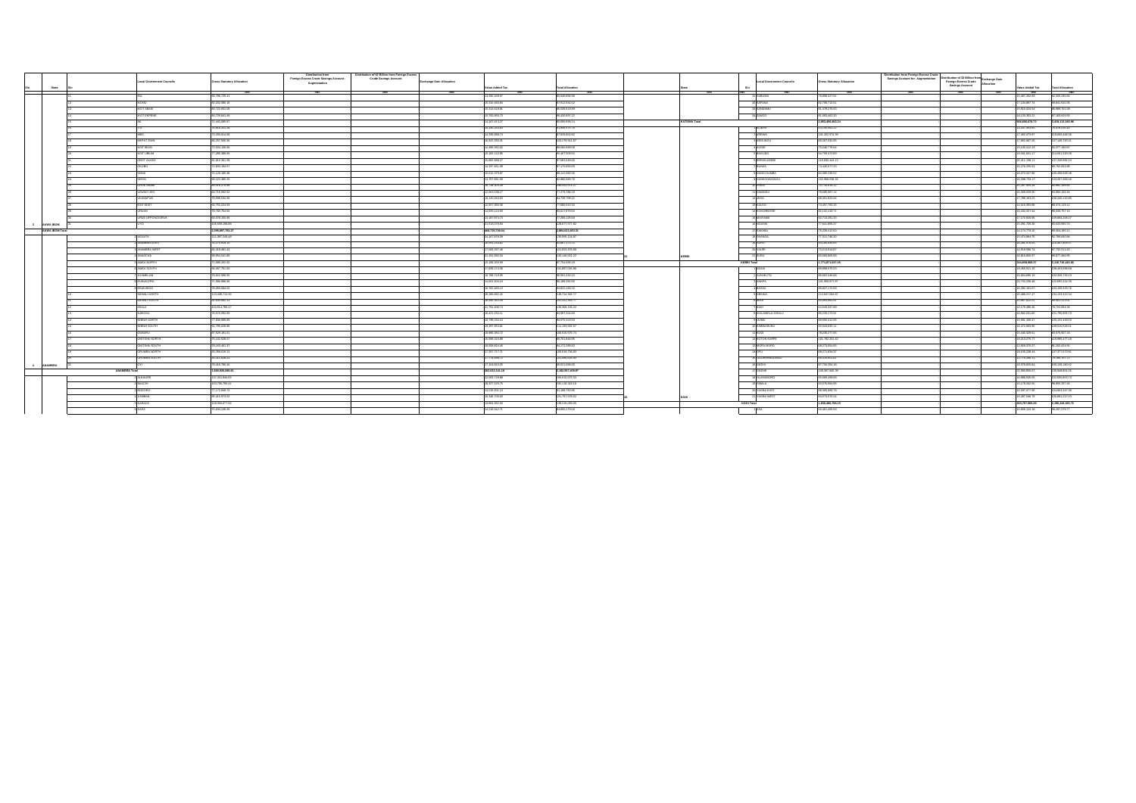|                 |                      |                                  |                                   | Distribution from                      | stribution of \$2 Billion from Foreign Exc |                         |                |                  |                      |                          |                            | latribution from Foreign Excess Crud |                                                     |              |                |                  |
|-----------------|----------------------|----------------------------------|-----------------------------------|----------------------------------------|--------------------------------------------|-------------------------|----------------|------------------|----------------------|--------------------------|----------------------------|--------------------------------------|-----------------------------------------------------|--------------|----------------|------------------|
|                 |                      | <b>Local Government Councils</b> | <b>Gross Statutory Allocation</b> | Foreign Excess Crude Savings Account - | Crude Savings Account                      | schange Gain Allocation |                |                  |                      | ocal Government Councils | Gross Statutory Allocation | Savings Account for-Augmentation     | tribution of \$2 Billion fr<br>Foreign Excess Crude | ıchange Gain |                |                  |
|                 |                      |                                  |                                   | Augmentation                           |                                            |                         |                |                  |                      |                          |                            |                                      | Savings Account                                     | distantia    |                |                  |
| State           |                      |                                  |                                   |                                        |                                            |                         | slue Added Tax | nd Alloyaddan    |                      | <b>Sin</b>               |                            |                                      |                                                     |              | alue Added Tax | otal Allocation  |
|                 |                      |                                  | 6.796.725.4                       |                                        |                                            |                         |                | 046.094.9        |                      | $\sim$                   | 050,027.9                  |                                      |                                                     |              | 467,202.63     | 325,230.54       |
|                 |                      |                                  | 12.202.080.18                     |                                        |                                            |                         | 5,310,400.84   | 512541.02        |                      |                          |                            |                                      |                                                     |              | 134,897.74     | 0,841,610.35     |
|                 |                      |                                  |                                   |                                        |                                            |                         |                |                  |                      |                          | 2,706,712.61               |                                      |                                                     |              |                |                  |
|                 |                      | OT ABASI                         | 10,722,001.08                     |                                        |                                            |                         | 1314,618.81    | 036,619.89       |                      |                          | 479,276.53                 |                                      |                                                     |              | 510,424.54     | 6,989,701.08     |
|                 |                      | KOT EKPENE                       | 10,729,841.49                     |                                        |                                            |                         | 15,700,855.73  | 06,430,697.22    |                      | 34 ZANGO                 | 053,462.33                 |                                      |                                                     |              | 6,120,353.22   | 17,183,815.55    |
|                 |                      |                                  | 1,442,085.87                      |                                        |                                            |                         | 4,167,613.27   | 609,699.14       | <b>KATSINA Total</b> |                          | 852,456,482.24             |                                      |                                                     |              | 006,050,078.73 | 1,412,113,160.96 |
|                 |                      |                                  | 76,816,312.16                     |                                        |                                            |                         | 5,140,261.63   | 956,575.79       |                      | <b>ALIERS</b>            | 140,562.22                 |                                      |                                                     |              | 337,453.92     | 6,478,016.14     |
|                 |                      |                                  | 73,293,914.08                     |                                        |                                            |                         | 14,335,888.74  | 7,629,802.82     |                      | <b>IDTINIA</b>           | 01,202,974.39              |                                      |                                                     |              | 17,462,473.97  | 18,005,448.30    |
|                 |                      |                                  |                                   |                                        |                                            |                         |                |                  |                      |                          |                            |                                      |                                                     |              |                |                  |
|                 |                      | <b>MOPAT ENIN</b>                | 86,257,556.36                     |                                        |                                            |                         | 16,922,355.31  | 13,179,911.67    |                      |                          | 0,287,032.95               |                                      |                                                     |              | 7,062,687.26   | 07,149,720.21    |
|                 |                      | <b>URIT INCAF</b>                | 73,504,106.56                     |                                        |                                            |                         | 14,496,582.02  | 8,000,688.58     |                      |                          | 5,246,778.64               |                                      |                                                     |              | 130.412.23     | 0,377,190.87     |
|                 |                      | <b>ISIT UBIUM</b>                | 77,285,386.65                     |                                        |                                            |                         | 5,182,122.85   | 2.467.509.50     |                      |                          | 03.473.09                  |                                      |                                                     |              | 2341.841.17    | 14,051,315.05    |
|                 |                      | ARANT TOBC                       | 11,810,361.39                     |                                        |                                            |                         | 15,882,688.27  | 33,042.00        |                      |                          | 16,835,444.13              |                                      |                                                     |              | 0.411.138.11   | 37,246,582.24    |
|                 |                      | <b>CACCO</b>                     | 72,833,194.57                     |                                        |                                            |                         | 14,337,461.08  | 170,055.05       |                      |                          | 4,426,577.23               |                                      |                                                     |              | 5,276,255.63   | 9,702,832.86     |
|                 |                      |                                  | 74,129,180.48                     |                                        |                                            |                         | 1,012,379.87   | 141,560.35       |                      |                          | 205,330.52                 |                                      |                                                     |              | 073327.86      | 00,458,658.38    |
|                 |                      |                                  |                                   |                                        |                                            |                         |                |                  |                      |                          |                            |                                      |                                                     |              |                |                  |
|                 |                      | <b>ORON</b>                      | 09,223,385.20                     |                                        |                                            |                         | 13,757,581.59  | 2,980,966.79     |                      | KO/WASAGU                | 02.968.636.32              |                                      |                                                     |              | 298.733.17     | 23,267,369.49    |
|                 |                      | MAIK ANAM                        | 19,518,270.99                     |                                        |                                            |                         | 16,734,303.28  | 06,252,574.27    |                      |                          | 714,614.12                 |                                      |                                                     |              | 5,267,555.34   | 0,982,169.45     |
|                 |                      | DUNG UKO                         | 14,716,592.02                     |                                        |                                            |                         | 12,563,196.17  | 7,279,788.19     |                      |                          | 1,585,067.14               |                                      |                                                     |              | 02.000.000.30  | 4,034,106.44     |
|                 |                      | <b>JKANAFUN</b>                  | 79,599,534.59                     |                                        |                                            |                         | 15,140,263.63  | 14,739,798.22    |                      |                          | 8,451,922.64               |                                      |                                                     |              | 788,193.22     | 06,240,115.85    |
|                 |                      | <b>DSIT EKET</b>                 | 64,753,224.93                     |                                        |                                            |                         | 12,927,385.36  | 00.013.0037      |                      | 13 KALGO                 | 4,457,763.15               |                                      |                                                     |              | 4,016,355.98   | 18,474,119.12    |
|                 |                      | RUAN                             | 78,782,754.92                     |                                        |                                            |                         | 4,835,124.59   | 02.917.573.50    |                      | <b>XOBESSI</b>           | 102,419.71                 |                                      |                                                     |              | 434,337.44     | 0,536,757.15     |
|                 |                      |                                  |                                   |                                        |                                            |                         |                |                  |                      |                          |                            |                                      |                                                     |              |                |                  |
|                 |                      | URUE OFFONG/ORUK                 | 54,078,150.96                     |                                        |                                            |                         | 13,187,974.73  | 205,125.09       |                      |                          | 713,281.33                 |                                      |                                                     |              | 170,926.95     | 09,884,208.27    |
| 3 AKWA ISOM     |                      | JYO                              | 106,559,198.88                    |                                        |                                            |                         | 21,518,378.94  | 128.077.577.82   |                      | GASK                     | 7,641,855.37               |                                      |                                                     |              | 15,391,735.36  | 1,033,590.73     |
| AKWA IBOM Total |                      |                                  | 2,395,897,753.27                  |                                        |                                            |                         | 468,725,700.04 | 2,064,623,453.31 |                      |                          | 229,412.00                 |                                      |                                                     |              | 174,778.10     | 19,404,190.11    |
|                 |                      | <b>AGUATA</b>                    | 11387.246.48                      |                                        |                                            |                         | 24.167.878.39  | 35.555.124.87    |                      | 18 SHANGA                | 7.311.746.20               |                                      |                                                     |              | 15.474.894.75  | 2,786,640.94     |
|                 |                      | <b>VAMBRA EAST</b>               | 76,275,919.10                     |                                        |                                            |                         | 6,591,254.62   | 867,173.72       |                      |                          | 83.ACR.331.M               |                                      |                                                     |              | 281,470.92     | 10,467,405.57    |
|                 |                      | NAMBRA WEST                      | 84,419,481.43                     |                                        |                                            |                         | 17,083,397.46  | 101,502,578.89   |                      |                          | 3,213,914.87               |                                      |                                                     |              | 4,518,596.74   | 7,732,511.62     |
|                 |                      |                                  |                                   |                                        |                                            |                         |                |                  |                      |                          |                            |                                      |                                                     |              |                |                  |
|                 |                      | NADCHA                           | 08,054,041.00                     |                                        |                                            |                         | AC 000,191,15  | 20,146,002.22    | KEBBI                |                          | 000,005.98                 |                                      |                                                     |              | 6,816,660.97   | 6,877,466.95     |
|                 |                      | VAKA NORTH                       | 72,586,202.60                     |                                        |                                            |                         | 15,168,355.59  | 7,754,558.19     |                      | <b>KEBBI Total</b>       | ,771,871,547.45            |                                      |                                                     |              | 344,838,868.37 | 2,116,710,415.82 |
|                 |                      | WKA SOUTH                        | 14,057,751.50                     |                                        |                                            |                         | 7,839,274.36   | 1,027,025.06     |                      |                          | 228,075.53                 |                                      |                                                     |              | 1,455,521.15   | 08,453,596.68    |
|                 |                      | YAMELUM                          | 78,822,596.55                     |                                        |                                            |                         | 6,768,719.55   | 01.316.10        |                      | <b>AJAOKUT</b>           | 5,052,046.88               |                                      |                                                     |              | 1,004,005.15   | 02,326,732.03    |
|                 |                      | <b>UNUKOFIA</b>                  | 1,586,986.06                      |                                        |                                            |                         | 4,601,404.24   | 00.000.001.0     |                      |                          | 1,959,977.87               |                                      |                                                     |              | 732,236.48     | 2,692,214.35     |
|                 |                      | cwnardo                          | 78,059,684.02                     |                                        |                                            |                         | 16,762,465.13  | 4,822,149.15     |                      |                          | 5,827,172.69               |                                      |                                                     |              | 6,282,161.07   | 03,109,333.76    |
|                 |                      | <b>IDEMILI NORTH</b>             | 123,438,710.35                    |                                        |                                            |                         | 26.285.682.42  | 149.724.392.77   |                      | SIDEKINA                 | 13,647,094.87              |                                      |                                                     |              | 0.486.217.47   |                  |
|                 |                      |                                  |                                   |                                        |                                            |                         |                |                  |                      |                          |                            |                                      |                                                     |              |                | 34,133,312.34    |
|                 |                      | DEMILI SOUTH                     | 12,830,942.33                     |                                        |                                            |                         | 18,490,363.44  | 01,321,305.77    |                      |                          | 1,023,891.01               |                                      |                                                     |              | 5,067,622.01   | 10,561,513.01    |
|                 |                      | ear a                            | 104,514,786.47                    |                                        |                                            |                         | 21,791,406.74  | 126,306,193.22   |                      |                          | 03/343.247.00              |                                      |                                                     |              | 4,172,486.46   | 8,722,834.34     |
|                 |                      | <b>UKOKA</b>                     | 78,576,092.69                     |                                        |                                            |                         | 16,421,232.11  | 14,997,324.80    |                      | GALAMELA-COOLU           | 5,233,273.91               |                                      |                                                     |              | 6,562,631.82   | 01,795,905.73    |
|                 |                      | NNEW NORTH                       | 77,836,989.69                     |                                        |                                            |                         | 16,739,334.24  | 34.576.323.93    |                      |                          | 1,550,312.56               |                                      |                                                     |              | 5.581.106.47   | 05,131,419.03    |
|                 |                      | WEW SOUTH                        | 1,795,628.86                      |                                        |                                            |                         | 19,397,953.81  | 1,193,582.67     |                      | ADDA/DUNG                | 043832.11                  |                                      |                                                     |              | 472 693 90     | 08,516,526.01    |
|                 |                      | <b>COLARU</b>                    | 17,529,191.01                     |                                        |                                            |                         | 18,986,384.72  | 06,515,575.74    |                      |                          | 1,235,277.65               |                                      |                                                     |              | 5,440,329.51   | 3,675,607.16     |
|                 |                      | <b>CNITSHA NORTH</b>             | 75, 102,528.07                    |                                        |                                            |                         | 5,599,316.88   | 32.344.05        |                      | <b>OTON KARFE</b>        | 1,782,201.42               |                                      |                                                     |              | 213,275.77     | 19,995,477.18    |
|                 |                      |                                  |                                   |                                        |                                            |                         |                |                  |                      |                          |                            |                                      |                                                     |              |                |                  |
|                 |                      | NITSHA SOUTH                     | 78,163,461.37                     |                                        |                                            |                         | 6,008,824.45   | 4,172,285.82     |                      | MOPA-MURO                | 33.054.05                  |                                      |                                                     |              | 1929.370.27    | 11,202,424.91    |
|                 |                      | <b>ORUMBA NORTH</b>              | 13,259,019.12                     |                                        |                                            |                         | 7.257.717.71   | 00,516,736.83    |                      |                          | 0,271,834.37               |                                      |                                                     |              | 8.105.238.44   | 07,377,072.81    |
|                 |                      | RUMBA SOUTH                      | 13,311,028.21                     |                                        |                                            |                         | 774,598.72     | 1,085,626.93     |                      | <b><i>UMAGONGO</i></b>   | 415,601.61                 |                                      |                                                     |              | 775,106.11     | 9,190,707.72     |
| 4 ANAMBRA       |                      |                                  | 78,416,780.40                     |                                        |                                            |                         | 104,816.25     | 5,521,596.05     |                      |                          | 3756,354.18                |                                      |                                                     |              | 8,378,825.84   | 06,135,180.02    |
|                 | <b>ANAMBRA Total</b> |                                  | 1,000.925.068.01                  |                                        |                                            |                         | 382.032.341.16 | 2,182,957,409.97 |                      | XXNE                     | 108,367,945.38             |                                      |                                                     |              | 22.580.855.67  | 30,948,801.05    |
|                 |                      | <b>N.KALERI</b>                  |                                   |                                        |                                            |                         | 2,583,728.88   |                  |                      | <b>JLAMADORO</b>         |                            |                                      |                                                     |              | 00 002 008 1   |                  |
|                 |                      |                                  | 137,431,946.65                    |                                        |                                            |                         |                | 0,015,675.53     |                      |                          | 003,203.03                 |                                      |                                                     |              |                | 02,055,003.73    |
|                 |                      | SAUCHI                           | (63.790.795.41)                   |                                        |                                            |                         | 28.327.526.75  | 2,118,322.16     |                      | 19 GMALA                 | 32 343 373 1               |                                      |                                                     |              | 178,342.50     | 10,055,337.45    |
|                 |                      |                                  | 172,649.72                        |                                        |                                            |                         | 015,901.13     | 188,750.8        |                      |                          | 305,669.79                 |                                      |                                                     |              | 597,677.5      | H,903,347.36     |
|                 |                      | AMBAN                            | 45,410,973.52                     |                                        |                                            |                         | 16,346,705.00  | 01,757,678.52    |                      | AGBA WES                 | 1,573,570.24               |                                      |                                                     |              | 6.287.646.79   | 00,861,217.03    |
|                 |                      | ARAZD                            | 30.1350,677.06                    |                                        |                                            |                         | 19,864,382.00  | 28,215,059.05    |                      | <b>KOGI Total</b>        | 130,486,798.23             |                                      |                                                     |              | 153,757,565.40 | 190,244,363.72   |
|                 |                      | <b>JASS</b>                      | 0,634,236.29                      |                                        |                                            |                         | 14,216,042.71  | 4,850,279.00     |                      | 1 ASA                    | 80,461,455.59              |                                      |                                                     |              | 15,806,124.18  | 96,267,579.77    |
|                 |                      |                                  |                                   |                                        |                                            |                         |                |                  |                      |                          |                            |                                      |                                                     |              |                |                  |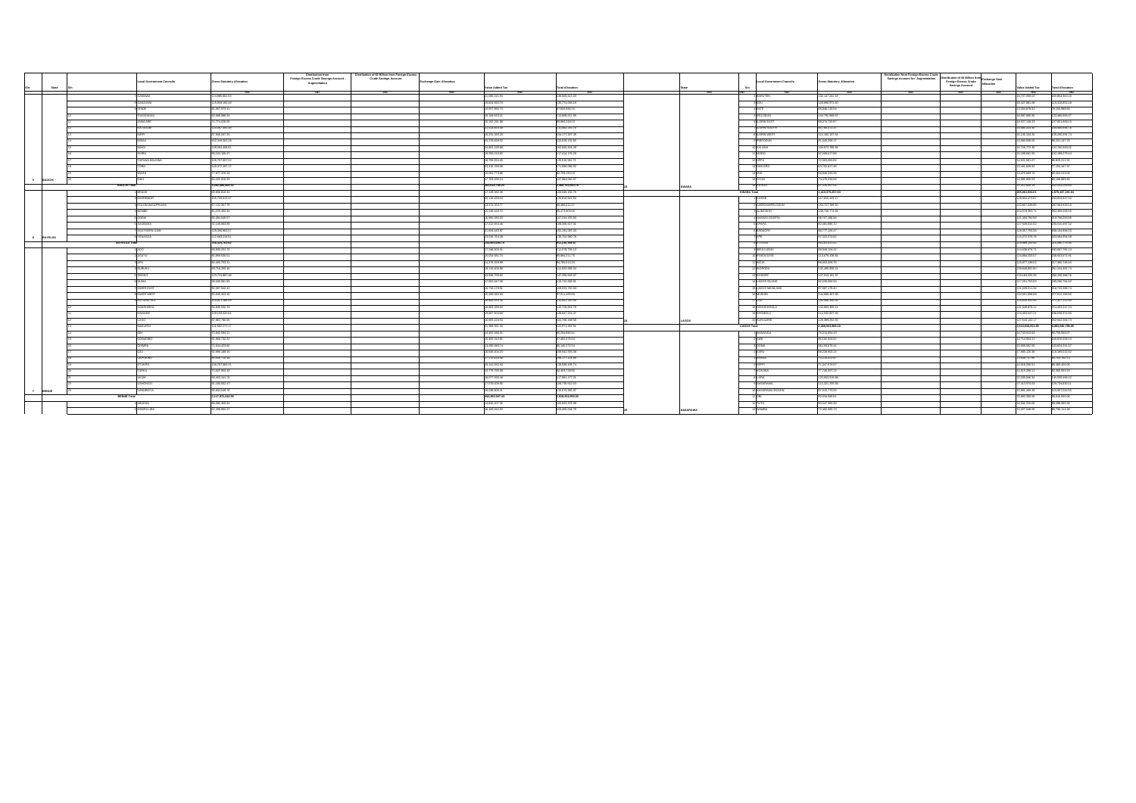|              |                  |                      |                                  |                           | <b>Clatribution from</b>               | <b>Distribution of \$2 Billion from Foreign Excess</b> |                         |                |                  |                 |                    |                         |                            | <b>Olatribution from Foreign Excess Crude</b> | atribution of \$2 Billion from |               |                         |                                   |
|--------------|------------------|----------------------|----------------------------------|---------------------------|----------------------------------------|--------------------------------------------------------|-------------------------|----------------|------------------|-----------------|--------------------|-------------------------|----------------------------|-----------------------------------------------|--------------------------------|---------------|-------------------------|-----------------------------------|
|              |                  |                      | <b>Local Government Councils</b> | ross Statutory Allocation | Foreign Excess Crude Savings Account - | Crude Savings Account                                  | schange Gain Allocation |                |                  |                 |                    | cal Government Councils | Gross Statutory Allocation | Savings Account for-Augmentation              | Foreign Excess Crude           | Exchange Gain |                         |                                   |
|              |                  |                      |                                  |                           | Augmentation                           |                                                        |                         |                |                  |                 |                    |                         |                            |                                               | <b>Savings Account</b>         | Allowation.   |                         |                                   |
|              | <b>State</b>     |                      |                                  |                           |                                        |                                                        |                         | alus Added Tax | notas Allocation |                 | <b>Sta</b>         |                         |                            |                                               |                                |               | <b>Falue Added Tax</b>  | otal Allocation                   |
|              |                  |                      |                                  | 4,985,601.53              |                                        |                                                        |                         | 080,011.50     | 6,065,613.03     |                 | --                 |                         | 2,147,241.18               |                                               | <b>AN</b>                      |               | $   -$<br>18,707,059.02 | <b>CONTRACTOR</b><br>0,854,300.20 |
|              |                  |                      |                                  |                           |                                        |                                                        |                         |                |                  |                 |                    |                         |                            |                                               |                                |               |                         |                                   |
|              |                  |                      | MUUWA                            | 5,949,160.49              |                                        |                                                        |                         | 19,824,933.70  | 35,774,094.19    |                 |                    |                         | 0,890,971.40               |                                               |                                |               | 18,427,881.08           | 19,318,852.48                     |
|              |                  |                      | ADE                              | 11,067,573.41             |                                        |                                                        |                         | 16,557,992.73  | 17,625,566.15    |                 |                    |                         | 5,846,110.04               |                                               |                                |               | 13,304,878.51           | 0,150,988.55                      |
|              |                  |                      | <b>ASGADAU</b>                   | 3,030,988.34              |                                        |                                                        |                         | 19,109,623.21  | 12,808,611.55    |                 |                    | FELODUN                 | 04,792,999.67              |                                               |                                |               | 18.587.665.90           | 23,380,665.57                     |
|              |                  |                      | MA'ARE                           | 1,774,026.05              |                                        |                                                        |                         | 5,192,291.98   | 00.010,000,01    |                 |                    | LORINEAS                | 1,074,720.87               |                                               |                                |               | 8,527,148.23            | 07,001,809.10                     |
|              |                  |                      | TAGUM                            | 0,067,400.38              |                                        |                                                        |                         | 06.216.315     | 11,482,215.76    |                 |                    | LORIN SOUTH             | 5,780,472.37               |                                               |                                |               | 18,680,224.40           | 04,460,696.76                     |
|              |                  |                      |                                  |                           |                                        |                                                        |                         |                |                  |                 |                    |                         |                            |                                               |                                |               |                         |                                   |
|              |                  |                      |                                  | 7,946,007.25              |                                        |                                                        |                         | 16,231,260.20  | 104,177,267.45   |                 |                    | <b>ILORIN WEST</b>      | 11,160,157.54              |                                               |                                |               | 24.130.134.20           | 135,290,291.74                    |
|              |                  |                      |                                  | 2,349,303.28              |                                        |                                                        |                         | 0,279,829.52   | (22,629,132.80)  |                 |                    | <b>EDODI IN</b>         | 1,640,308.17               |                                               |                                |               | 50.000.000.00           | 8,221,247.23                      |
|              |                  |                      | arza i                           | 38,064,408.61             |                                        |                                                        |                         | 24,602,195.88  | 62,666,604.49    |                 |                    | 10 KAI AMA              | 33,037,092,001             |                                               |                                |               | 5,726,773.35            | 22,700,563.02                     |
|              |                  |                      |                                  | 8,164,160.47              |                                        |                                                        |                         | 9.250.015.82   | 17,414,176.29    |                 |                    |                         | 17,008,617.89              |                                               |                                |               | 5.109.001.55            | 02,198,279.44                     |
|              |                  |                      | AFAWA BALEWA                     | 06,757,007.22             |                                        |                                                        |                         | 18,759,934.49  | 25,516,941.71    |                 |                    |                         | 2,303,550.84               |                                               |                                |               | 14,521,661.07           | 5,825,211.91                      |
|              |                  |                      |                                  | 48,372,297.17             |                                        |                                                        |                         | 23,316,709.36  | 1,689,086.52     |                 |                    | <b>OKE-ERO</b>          | 3,752,817.46               |                                               |                                |               | 13.401.629.92           | 154,447.37                        |
|              |                  |                      |                                  |                           |                                        |                                                        |                         | 5,081,773.86   | 2,759,150.03     |                 |                    |                         | 36.DK.0H                   |                                               |                                |               | 13,475,669.72           | 0,322,013.09                      |
|              |                  |                      |                                  | 7,677,376.18              |                                        |                                                        |                         |                |                  |                 |                    |                         |                            |                                               |                                |               |                         |                                   |
| - 51         | BAUCHI           |                      |                                  | 0,221,015.53              |                                        |                                                        |                         | 7.763.035.14   | 13.050,050.67    |                 |                    |                         | 475,234.06                 |                                               |                                |               | 4.681.655.53            | 0,156,889.60                      |
|              |                  | BAUCHI Total         |                                  | 2,082,885,804.53          |                                        |                                                        |                         | 383,818,789.25 | 2,466,704,593.78 | <b>KWARA</b>    |                    |                         | 220,467.54                 |                                               |                                |               | 15,312,828.29           | 02,533,295.83                     |
|              |                  |                      | <b>A55</b>                       | 0,006,010.42              |                                        |                                                        |                         | 7,139,382.36   | 06,946,192.78    |                 | <b>KWARA Total</b> |                         | 1,410,375,257.63           |                                               |                                |               | 10.043.010.234          | 675,437,191.64                    |
|              |                  |                      | <b>SOMBRE</b>                    | 5,700,013.37              |                                        |                                                        |                         | 0,116,628.16   | 25,816,641.53    |                 |                    | <b>AGEGE</b>            | 17,815,443.17              |                                               |                                |               | 26,004,473.87           | 43,819,917.04                     |
|              |                  |                      | <b>DLOKUMA/OPKUMA</b>            | 7,122,357.79              |                                        |                                                        |                         | 13,374,253.77  | 10,496,611.57    |                 |                    | 2 AJEROMINTELODUR       | 53,727,789.30              |                                               |                                |               | 133,837,039.86          | 87,554,829.16                     |
|              |                  |                      | <b>CME</b>                       | 225,453.34                |                                        |                                                        |                         | 15,248,449.72  | 25,473,903.06    |                 |                    | CFEDMLIA                | 239,730,774.84             |                                               |                                |               | 154.578.283.71          | 04,309,058.55                     |
|              |                  |                      |                                  |                           |                                        |                                                        |                         |                |                  |                 |                    |                         |                            |                                               |                                |               |                         |                                   |
|              |                  |                      | <b>COM</b>                       | 1,284,045.57              |                                        |                                                        |                         | 00.000.000.03  | 7,244,425.00     |                 |                    | VO-ODOFIN               | 3,707,488.86               |                                               |                                |               | 21,050,794.99           | 19,758,283.85                     |
|              |                  |                      |                                  | 1,145,963.85              |                                        |                                                        |                         | 7,212,653.46   | 10.358,617.31    |                 |                    | <b>DADA</b>             | 2,481,886.70               |                                               |                                |               | 17,528,610.62           | 00,010,497.32                     |
|              |                  |                      | WALI KRIHITUC                    | 10.000,350.07             |                                        |                                                        |                         | 15,834,183.97  | 51,191,087.03    |                 |                    |                         | 777,100.47                 |                                               |                                |               | 18,357,793.56           | 08,134,094.03                     |
|              | <b>6</b> BAYELSA |                      | NACON                            | 2,683,216.51              |                                        |                                                        |                         | 23,019,764.28  | 135,702,980.79   |                 |                    |                         | 322,574.82                 |                                               |                                |               | 16,272,379.76           | 0,594,954.58                      |
|              |                  | <b>BAYELSA Total</b> |                                  | 766,324,763.92            |                                        |                                                        |                         | 144,905,095.75 | 911,230,459.67   |                 |                    | <b>SETI-OSA</b>         | 5,101,521.02               |                                               |                                |               | 113,383,254.94          | 15,090,775.96                     |
|              |                  |                      |                                  | 830,231.72                |                                        |                                                        |                         | 7,248,503.41   | 11,078,735.13    |                 |                    | <b>BEJU-LEKK</b>        | 1,549,104.42               |                                               |                                |               | 14,038,676.71           | 83,687,781.13                     |
|              |                  |                      |                                  |                           |                                        |                                                        |                         |                |                  |                 |                    |                         |                            |                                               |                                |               |                         |                                   |
|              |                  |                      | GATH                             | 0,859,530.01              |                                        |                                                        |                         | 5,034,681.74   | 15,094,211.75    |                 |                    | <b>FAKO/LIAYE</b>       | 13,679,438.84              |                                               |                                |               | 124,884,233.07          | 38,563,671.91                     |
|              |                  |                      |                                  | 0,405,753.21              |                                        |                                                        |                         | 14,379,259.99  | A,785,013.20     |                 |                    | œu                      | 5,503,609.78               |                                               |                                |               | 20.877.138.62           | 17,380,748.40                     |
|              |                  |                      | <b>BURUKU</b>                    | 0,716,255.45              |                                        |                                                        |                         | 18,116,400.89  | 11,832,656.34    |                 |                    | 12 IKORDOL              | 32,495,659.14              |                                               |                                |               | 128,648,802.60          | 51,144,451.74                     |
|              |                  |                      | CONCIDE                          | 23,715,887.48             |                                        |                                                        |                         | 23,539,755.60  | 47,255,643.07    |                 |                    | KOSOFI                  | 47,013,161.37              |                                               |                                |               | 133,183,225.39          | 80,196,386.76                     |
|              |                  |                      |                                  | (049,981.83               |                                        |                                                        |                         | 692,647.08     | 5,742,828.91     |                 |                    |                         | 039,060.59                 |                                               |                                |               | 251,703.83              | 220,764.42                        |
|              |                  |                      | WER EAST                         | 2,307,542.42              |                                        |                                                        |                         | 16,716,178.51  | 09,023,720.94    |                 |                    | AGOS MAINLAND           | 7,587,175.40               |                                               |                                |               | 121,035,211.34          | 18,722,386.74                     |
|              |                  |                      |                                  |                           |                                        |                                                        |                         |                |                  |                 |                    |                         |                            |                                               |                                |               |                         |                                   |
|              |                  |                      | GWER WEST                        | 2,645,403.40              |                                        |                                                        |                         | 15,266,060.50  | 02.011,463.90    |                 |                    |                         | 144,950,457.98             |                                               |                                |               | 132,051,098.08          | 77,012,105.05                     |
|              |                  |                      | ATSINA ALA                       | 03,811,188.09             |                                        |                                                        |                         | 8,850,055.36   | 22,001,243.45    |                 |                    |                         | 40,496,280.08              |                                               |                                |               | 30,830,932.86           | 71,327,212.94                     |
|              |                  |                      | <b>ANSNISK</b>                   | 6,845,532.79              |                                        |                                                        |                         | 00.002,333.00  | 115,728,921.79   |                 |                    | 351001150LO             | 142,803,369.11             |                                               |                                |               | 131.649.878.11          | 74,453,247.23                     |
|              |                  |                      | <b>IANDE</b>                     | 0,150,320.81              |                                        |                                                        |                         | 33.002,583,61  | 28,847,224.47    |                 |                    | 19 SHOMOLU              | 12,532,827.69              |                                               |                                |               | 24,003,547.21           | 36,536,374.90                     |
|              |                  |                      |                                  | 7,862,780.05              |                                        |                                                        |                         | 6,905,418.53   | 104,768,198.58   | LAGOS           |                    | 20 SURULERE             | 25,399,252.56              |                                               |                                |               | 127,543,132.17          | 52,942,384.73                     |
|              |                  |                      | AKUROG                           | 1,582,271.17              |                                        |                                                        |                         | 1,389,551.34   | 122,971,832.51   |                 | LAGOS Total        |                         | 100,023,006.16             |                                               |                                |               | 2,513,616,811.89        | 4,883,540,798.05                  |
|              |                  |                      |                                  |                           |                                        |                                                        |                         |                |                  |                 |                    |                         |                            |                                               |                                |               |                         |                                   |
|              |                  |                      |                                  | 0,842,694.11              |                                        |                                                        |                         | 14,452,206.51  | 15,294,980.61    |                 |                    |                         | 014,654.43                 |                                               |                                |               | 14,743,913.63           | 0,758,568.07                      |
|              |                  |                      | CONTRO                           | 066,732.22                |                                        |                                                        |                         | 5,495,342.81   | 462,075.04       |                 |                    |                         | 162,004.92                 |                                               |                                |               | 14,714,004.21           | 00,876,009.13                     |
|              |                  |                      | <b>IMN</b>                       | ,644,423.80               |                                        |                                                        |                         | 3,425,848.74   | 5,140,272.54     |                 |                    |                         | 1,165,679.41               |                                               |                                |               | 5,058,562.06            | 0,824,241.47                      |
|              |                  |                      |                                  | 2,996,189.15              |                                        |                                                        |                         | 16,946,404.23  | 109,942,593.38   |                 |                    |                         | 8,228,902.24               |                                               |                                |               | 17,960,120.38           | 16,189,022.62                     |
|              |                  |                      | <b>RPORMU</b>                    | 006,714.19                |                                        |                                                        |                         | 170,410.46     | 06,177,124.65    |                 |                    |                         | 214,022.87                 |                                               |                                |               | 3,549,737.85            | 3,763,760.73                      |
|              |                  |                      | <b>DRANT</b>                     | 108,797,383.31            |                                        |                                                        |                         | 20,141,052.43  | 28,938,435.74    |                 |                    |                         | 1,347,074.57               |                                               |                                |               | 14,018,330.51           | 5,365,405.09                      |
|              |                  |                      |                                  |                           |                                        |                                                        |                         |                |                  |                 |                    |                         |                            |                                               |                                |               |                         |                                   |
|              |                  |                      | <b>IBKA</b>                      | 0,627,933.43              |                                        |                                                        |                         | 13,775,795.38  | 84,403,728.80    |                 |                    |                         | 7,745,357.12               |                                               |                                |               | 14.615.296.11           | 22,300,053.23                     |
|              |                  |                      | $\overline{a}$                   | 2,403,241.72              |                                        |                                                        |                         | 18,577,935.49  | 17,981,177.21    |                 |                    |                         | 3,003,519.88               |                                               |                                |               | 2,335,946.34            | 45,339,466.22                     |
|              |                  |                      | SHONGO                           | 160,502.47                |                                        |                                                        |                         | 17,579,009.56  | 108,739,512.03   |                 |                    |                         | 12,321,255.58              |                                               |                                |               | 17,413,574.53           | 29,734,830.11                     |
| $\mathbf{r}$ | BENUE            |                      |                                  | 1634,549.76               |                                        |                                                        |                         | 1,038,806.21   | 15,673,355.97    |                 |                    |                         | 015,773.06                 |                                               |                                |               | 15,991,269.49           | 03,007,042.55                     |
|              |                  | <b>BENUE Total</b>   |                                  | 117,872,042.59            |                                        |                                                        |                         | 400,382,907.43 | 2,518,254,950.02 |                 |                    |                         | 634,560.51                 |                                               |                                |               | 15.982.359.56           | 8,616,920.06                      |
|              |                  |                      | <b>WACARIA</b>                   | 9,082,469.64              |                                        |                                                        |                         | 14.840.407.35  | 03,922,876.99    |                 |                    | 12 TOTO                 | 00.000.TAC.D               |                                               |                                |               | 14.941.225.00           | 05/200.505.39                     |
|              |                  |                      |                                  |                           |                                        |                                                        |                         |                |                  |                 |                    |                         |                            |                                               |                                |               |                         |                                   |
|              |                  |                      | SKIRA UBA                        | 7,299,952.27              |                                        |                                                        |                         | 16,165,052.52  | 03,405,004.79    | <b>NASARAWA</b> |                    | 13 WAMBA                | 2,402,565.73               |                                               |                                |               | 13,327,548.55           | 15,730,114.28                     |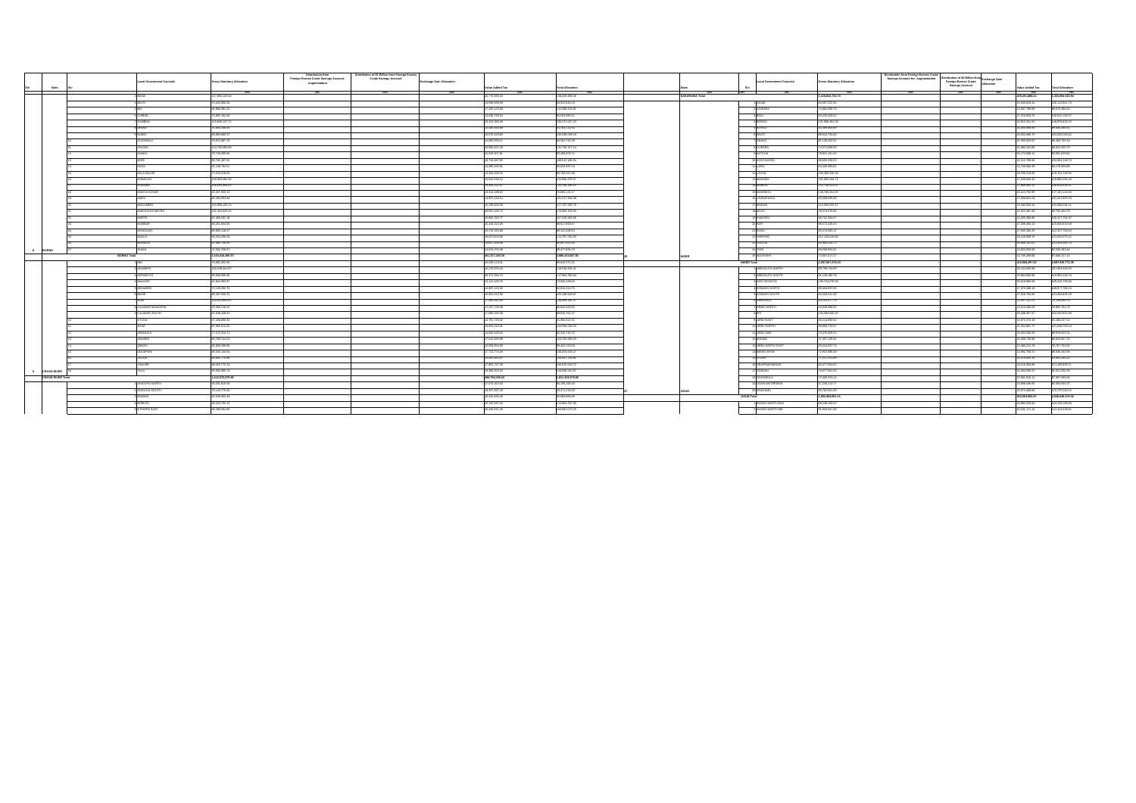|        |                          |                    |                                  |                                   | Distribution from                      | stribution of \$2 Billion from Foreign Exces |                         |                |                         |                     |             |                              |                           | Distribution from Foreign Excess Crude | stribution of \$2 Billion from |                 |                          |                           |
|--------|--------------------------|--------------------|----------------------------------|-----------------------------------|----------------------------------------|----------------------------------------------|-------------------------|----------------|-------------------------|---------------------|-------------|------------------------------|---------------------------|----------------------------------------|--------------------------------|-----------------|--------------------------|---------------------------|
|        |                          |                    | <b>Local Government Councils</b> | <b>Gross Statutory Allocation</b> | Foreign Excess Crude Savings Account - | Crude Savings Account                        | schange Gain Allocation |                |                         |                     |             | Local Government Councils    | ross Statutory Allocation | Savings Account for-Augmentation       | Foreign Excess Crude           | Exchange Gain   |                          |                           |
|        |                          |                    |                                  |                                   | Augmentation                           |                                              |                         |                |                         |                     |             |                              |                           |                                        | <b>Savings Account</b>         | <b>Horation</b> |                          |                           |
|        | State                    |                    |                                  |                                   |                                        |                                              |                         | alus Added Tax | <b>Total Allocation</b> |                     |             |                              |                           |                                        |                                |                 | alue Added Tax           | <b>Total Allocation</b>   |
|        |                          |                    |                                  | 7,856,103.06                      |                                        |                                              |                         | 10,773,585.00  | 8.629.688.00            | <b>SARAWA Total</b> | <u>ы г</u>  | <b>AND</b>                   | 1,128,602,730.70          |                                        | $-180$                         |                 | $   -$<br>205,251,888.24 | $   -$<br>1233,854,618.94 |
|        |                          |                    |                                  | 1,423,050.04                      |                                        |                                              |                         | 14,000,589.99  | 522,640.03              |                     |             |                              | 567,222.30                |                                        |                                |                 | 545,619.41               | 00,112,841.70             |
|        |                          |                    |                                  |                                   |                                        |                                              |                         |                |                         |                     |             |                              |                           |                                        |                                |                 |                          |                           |
|        |                          |                    |                                  | 94,896,381.25                     |                                        |                                              |                         | 17,422,143.55  | 112,388,524.81          |                     |             |                              | 062,598.76                |                                        |                                |                 | 12,907,789.69            | 15,570,388.44             |
|        |                          |                    | HIBOK                            | 70,855,164.46                     |                                        |                                              |                         | 13,649,795.54  | 84,504,960.01           |                     |             |                              | 433209.62                 |                                        |                                |                 | 17.476.943.75            | 100,910,153.37            |
|        |                          |                    | <b>MBOA</b>                      | 15,840,127.71                     |                                        |                                              |                         | 19,431,399.49  | 135,271,527.20          |                     |             |                              | 31,958,491.34             |                                        |                                |                 | 16,910,341.81            | 48,878,833.15             |
|        |                          |                    |                                  | 76,053,148.55                     |                                        |                                              |                         | 15,040,583.88  | 1,703,732.42            |                     |             |                              | 389,694.95                |                                        |                                |                 | 16,050,585.56            | 0,440,280.52              |
|        |                          |                    | CHECK                            | 88,860,869.37                     |                                        |                                              |                         | 16,678,229.80  | 105,539,099.16          |                     |             |                              | 524,740.86                |                                        |                                |                 | 16,503,489.75            | 03,028,230.62             |
|        |                          |                    | <b>CAMALA</b>                    | 79,672,687.19                     |                                        |                                              |                         | 14,682,055.11  | 94,354,742.20           |                     |             |                              | 128,200.31                |                                        |                                |                 | 15.355.505.87            | 6,453,706.18              |
|        |                          |                    | <b>IOZA</b>                      | 0,750,595.89                      |                                        |                                              |                         | 20,994,621.26  | 31,745,217.14           |                     |             |                              | 571,558.93                |                                        |                                |                 | 14,000,441.86            | (652,000.79               |
|        |                          |                    |                                  |                                   |                                        |                                              |                         |                |                         |                     |             |                              |                           |                                        |                                |                 |                          |                           |
|        |                          |                    | MJL                              | 9,745,095.90                      |                                        |                                              |                         | 15,543,907.81  | 95,289,003.71           |                     |             |                              | 1,821,161.42              |                                        |                                |                 | 5,170,668.41             | 13,991,829.82             |
|        |                          |                    |                                  | 10,792,497.62                     |                                        |                                              |                         | 18,719,687.92  | 08,512,185.54           |                     |             | <b>IDNTAGOR</b>              | 00.000.003                |                                        |                                |                 | 6,210,789.68             | 04,904,128.70             |
|        |                          |                    | <b>AGA</b>                       | 11,148,704.51                     |                                        |                                              |                         | 14,485,232.91  | 25,633,937.43           |                     |             |                              | 426,393.61                |                                        |                                |                 | 14,749,665.28            | 9,176,058.88              |
|        |                          |                    | ALA BALGE                        | 2,244,018.53                      |                                        |                                              |                         | 13,464,329.15  | 85,708,347.68           |                     |             |                              | 0,405,329.34              |                                        |                                |                 | 8.236.419.56             | 18,701,748.90             |
|        |                          |                    | <b>DUGA</b>                      | 06,056,350.45                     |                                        |                                              |                         | 16,810,516.12  | 122,006,876.57          |                     |             |                              | 1,633,444.73              |                                        |                                |                 | 248,849.43               | 18,882,294.16             |
|        |                          |                    | KAMA                             | 00,094,964.53                     |                                        |                                              |                         | 18,463,221.57  | 125,158,186.10          |                     |             |                              | 0,746,621.87              |                                        |                                |                 | 17,809,994.15            | 128,616,616.01            |
|        |                          |                    | <b>WAYA KUSAR</b>                | 53,367,933.15                     |                                        |                                              |                         | 13,314,188.02  | 76,682,121.17           |                     |             | <b>VASHEGL</b>               | 28,766,321.05             |                                        |                                |                 | 18,414,792.95            | 47,181,114.00             |
|        |                          |                    |                                  | 86,260,953.94                     |                                        |                                              |                         | 14,957,040.14  | 101,217,994.08          |                     |             | <b>HANCHAGA</b>              | 02.003.000.1              |                                        |                                |                 | 17.932.841.04            | 01,247,897.03             |
|        |                          |                    |                                  |                                   |                                        |                                              |                         |                |                         |                     |             |                              |                           |                                        |                                |                 |                          |                           |
|        |                          |                    | <b>AGUMERI</b>                   | 100,958,109.70                    |                                        |                                              |                         | 16,239,826.09  | 117,197,935.79          |                     |             | <b>MOROVA</b>                | 1939.033.57               |                                        |                                |                 | 19.460.050.54            | 133,399,054.11            |
|        |                          |                    | <b>AIDUGURI METRO</b>            | 41,304,920.22                     |                                        |                                              |                         | 29,561,435.72  | 170,000,355.93          |                     |             |                              | 270,076.89                |                                        |                                |                 | 14,523,387.89            | 12,733,464.78             |
|        |                          |                    | <b>MRTE</b>                      | 91,369,631.18                     |                                        |                                              |                         | 15,000,332.77  | 107,229,953.95          |                     |             | PAIKORC                      | 8,702,354.57              |                                        |                                |                 | 16,425,396.80            | 105, 127, 751.37          |
|        |                          |                    | DBBA                             | 83,201,834.83                     |                                        |                                              |                         | 15,416,024.05  | 98,617,858.87           |                     |             |                              | 572,426.33                |                                        |                                |                 | 17,258,493.13            | 15,830,919.46             |
|        |                          |                    | ONGUNO                           | 80,963,118.57                     |                                        |                                              |                         | 15,178,320.98  | 96,141,432.54           |                     |             |                              | 274583.11                 |                                        |                                |                 | 17,053,180.29            | 12,327,763.40             |
|        |                          |                    | ۹LA                              | 164,256.26                        |                                        |                                              |                         | 13,523,504.55  | 111,787,760.92          |                     |             | HIROR                        | 2,125,616.86              |                                        |                                |                 | 19,126,958.76            | 31,252,575.42             |
|        |                          |                    |                                  | 1,980,758.08                      |                                        |                                              |                         | 14,827,094.86  | 96,007,052.94           |                     |             | <b>ULES</b>                  | 960,229.72                |                                        |                                |                 | 18,409,161.02            | 01,429,390.74             |
|        |                          |                    |                                  | 4,562,758.67                      |                                        |                                              |                         | 14,915,076.09  | 10,477,834.76           |                     |             |                              | 209,552.81                |                                        |                                |                 | 13,820,830.83            | 2,030,383.64              |
| $\sim$ | <b>DIRROS</b>            |                    |                                  |                                   |                                        |                                              |                         |                |                         |                     |             |                              |                           |                                        |                                |                 |                          |                           |
|        |                          | <b>BORNO Total</b> |                                  | 2,434,016,465.57                  |                                        |                                              |                         | 451,227,202.35 | 2,885,243,667.92        | NAGER               |             |                              | 007,017.27                |                                        |                                |                 | 13,759,299.88            | 17,000,317.14             |
|        |                          |                    |                                  | 79,991,252.50                     |                                        |                                              |                         | 16,049,119.01  | 96,040,371.51           |                     | NIGER Total |                              | 2,287,067,275.03          |                                        |                                |                 | 410,568,497.32           | 2,697,635,772.35          |
|        |                          |                    | <b>КАМКРА</b>                    | 0,248,341.97                      |                                        |                                              |                         | 16,270,050.44  | 16,518,322.41           |                     |             | <b>BEOKUTA NORTH</b>         | 799,704.99                |                                        |                                |                 | 8,154,640.93             | 07, 254, 345. 22          |
|        |                          |                    | <b>CPABLIYO</b>                  | 96,608,955.90                     |                                        |                                              |                         | 20,472,394.74  | 17,081,350.64           |                     |             | ABEGKUTA SOUTH               | 21,126,180.78             |                                        |                                |                 | 19,864,963.96            | 10,991,144.74             |
|        |                          |                    |                                  | 1,004,992.87                      |                                        |                                              |                         | 12,121,165.75  | 73,926,158.62           |                     |             | <b>IO-ODDIOTA</b>            | 5,724,070.08              |                                        |                                |                 | 3518.685.58              | 05,242,755.06             |
|        |                          |                    | <b>EKWARA</b>                    | 70,129,292.70                     |                                        |                                              |                         | 14,687,122.00  | 84,816,414.70           |                     |             | GBADO NORTH                  | 1,404,527.95              |                                        |                                |                 | 17,473,188.19            | 106,877,786.13            |
|        |                          |                    |                                  | 16,287,535.31                     |                                        |                                              |                         | 16,901,013.55  | 103.188.548.87          |                     |             | GEADO SOUTH                  | 36.190,041                |                                        |                                |                 | 17,019,794.83            | 01.064.836.18             |
|        |                          |                    |                                  | 100,914,840.82                    |                                        |                                              |                         | 17,493,541.05  | 118,408,382.47          |                     |             | IWEKORO                      | 3,151,677.79              |                                        |                                |                 | 13,047,222.01            | 15, 198,099.79            |
|        |                          |                    | ALABAR MUNICIPAL                 | 79,385,218.22                     |                                        |                                              |                         | 17,257,725.39  | 96,642,943.62           |                     |             |                              | 33,000,093                |                                        |                                |                 | 13,213,366.08            | 6,002,764.73              |
|        |                          |                    |                                  |                                   |                                        |                                              |                         |                |                         |                     |             | <b>EMO NORTH</b>             |                           |                                        |                                |                 |                          |                           |
|        |                          |                    | ALABAR SOUTH                     | 81,949,428.91                     |                                        |                                              |                         | 17,685,332.36  | 20,634,761.27           |                     |             |                              | 12,584,600.22             |                                        |                                |                 | 29,458,307.67            | 62,042,907.89             |
|        |                          |                    |                                  | 7,268,896.30                      |                                        |                                              |                         | 13,791,726.02  | 11,000,622.31           |                     |             | JEBU EAST                    | 214,855.84                |                                        |                                |                 | 14.970.370.18            | 15,185,227.01             |
|        |                          |                    |                                  | 7,892,613.03                      |                                        |                                              |                         | 16,053,415.31  | 104,556,028.33          |                     |             | <b>JEBU NORTH</b>            | 1,993,720.67              |                                        |                                |                 | 1,054,981.77             | 21,048,702.44             |
|        |                          |                    | LOUJIANI                         | 7,472,314.71                      |                                        |                                              |                         | 14,544,426.02  | 92,316,740.73           |                     |             | <b>DEBRICOE</b>              | 476,605.02                |                                        |                                |                 | 16,502,040.29            | 19,978,645.31             |
|        |                          |                    | <b>SUBRA</b>                     | 86,768,741.04                     |                                        |                                              |                         | 17,014,955.89  | 103,783,696.93          |                     |             | <b>ENN</b>                   | 357,126.64                |                                        |                                |                 | 15,268,730.68            | 025.057.32                |
|        |                          |                    | <b>GUDU</b>                      | 82,858,268.85                     |                                        |                                              |                         | 10,583,854.83  | 20,442,123.68           |                     |             | <b>JUEBU NORTH EAST</b>      | 224,537.73                |                                        |                                |                 | 13,483,214.79            | 5,707,752.52              |
|        |                          |                    | <b>CUICPANI</b>                  | 88,540,144.00                     |                                        |                                              |                         | 17,713,774.26  | 106,253,918.27          |                     |             | <b>HMEKO-AFON</b>            | 72,947,686.38             |                                        |                                |                 | 13,992,758.21            | 15,940,444.59             |
|        |                          |                    |                                  | 3,841,775.94                      |                                        |                                              |                         | 16,995,982.97  | 00,837,758.91           |                     |             |                              | 527,251.88                |                                        |                                |                 | AC DIA 077.31            | 3,903,295.22              |
|        |                          |                    |                                  |                                   |                                        |                                              |                         |                |                         |                     |             |                              |                           |                                        |                                |                 |                          |                           |
|        |                          |                    | AND IDD                          | 88,016,772.14                     |                                        |                                              |                         | 17,053,747.59  | 105,870,519.72          |                     |             | <b>BAFEMIOWODE</b>           | 077,554.82                |                                        |                                |                 | 19,116,284.89            | 11,193,839.71             |
|        | 9 CROSS RIVER            |                    | <b>YALA</b>                      | 92,592,890.74                     |                                        |                                              |                         | 18,356,052.23  | 110,949,542.97          |                     |             | NACIDOC                      | 6,677,061.08              |                                        |                                |                 | 14,944,202.31            | 01,621,330.39             |
|        | <b>CROSS RIVER Total</b> |                    |                                  | 1,512,572,275.95                  |                                        |                                              |                         | 238,756,000.02 | 1,811,328,275.96        |                     |             | <b>DOGBOLU</b>               | 405,253.14                |                                        |                                |                 | 15.561.015.11            | 17,967,068.24             |
|        |                          |                    | NIOCHA NORTH                     | 36.931,819.36                     |                                        |                                              |                         | 17.073.363.03  | 86,105,182.40           |                     |             | <b>DGUN WATERSDE</b>         | 23521377                  |                                        |                                |                 | 13,003,436.00            | 10,903,650.37             |
|        |                          |                    | :HA SOU                          | 143,779.20                        |                                        |                                              |                         | 18,327,497.43  | 471,276.63              |                     |             |                              | 762,551.36                |                                        |                                |                 | 9,974,468.80             | 5,737,020.1               |
|        |                          |                    | OMADI                            | 14,526,003.44                     |                                        |                                              |                         | 16,442,085.45  | 03.058.038.02           |                     | OGUN Total  |                              | 1.032,384,031.11          |                                        |                                |                 | 152, 663, 583, 21        | 2,045,048,274.32          |
|        |                          |                    | URUTU                            | 22,223,750.13                     |                                        |                                              |                         | 20,740,587.16  | 112,954,337.30          |                     |             | <b><i>UIOKO NORTHEAS</i></b> | 248,156.02                |                                        |                                |                 | 18,880,033.84            | 04,128,189.86             |
|        |                          |                    | THIOPE EAST                      | 13,436,551.00                     |                                        |                                              |                         | 20,430,521.45  | 103,867,073.25          |                     |             | AKOKO NORTH WE               | 1,920,347.48              |                                        |                                |                 | 20:221.171.12            | 12.141.518.61             |
|        |                          |                    |                                  |                                   |                                        |                                              |                         |                |                         |                     |             |                              |                           |                                        |                                |                 |                          |                           |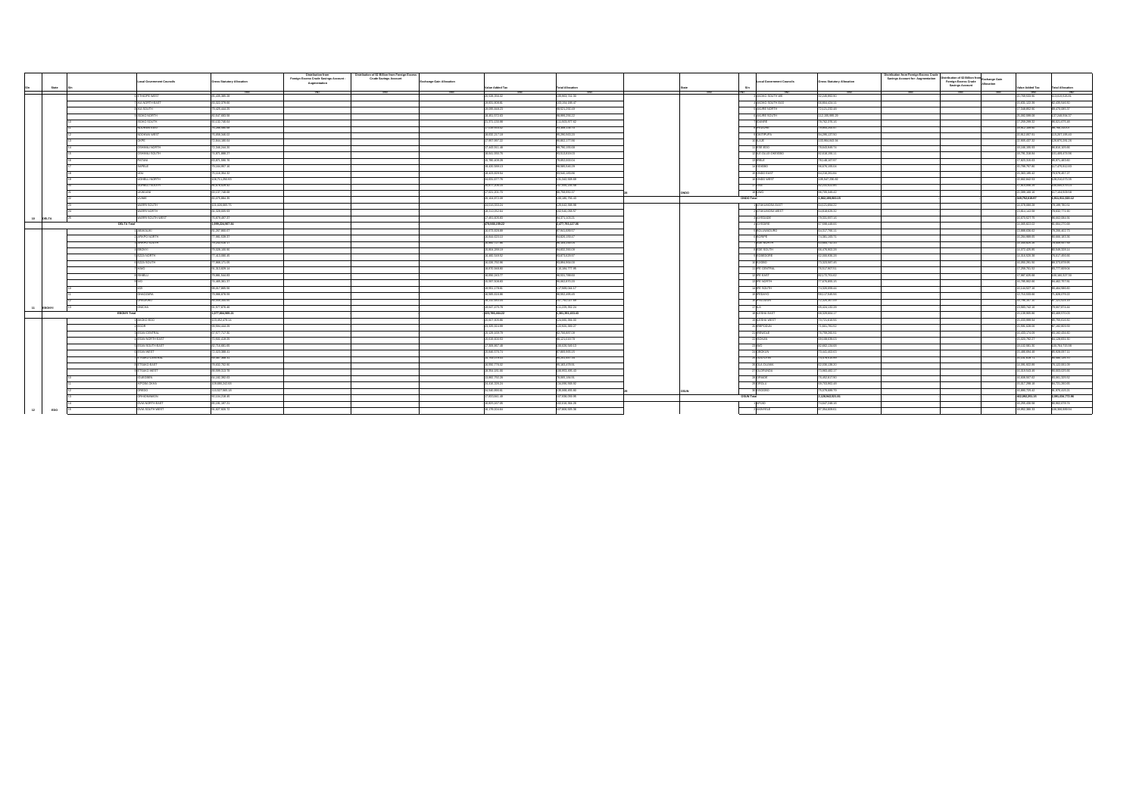|          |           |                     |                                  |                          | Distribution from                      | <b>Distribution of \$2 Billion from Foreign Excess</b> |                          |                |                         |              |                   |                          |                                   | <b>Jistribution from Foreign Excess Crude</b> | stribution of \$2 Billion from |              |                 |                         |
|----------|-----------|---------------------|----------------------------------|--------------------------|----------------------------------------|--------------------------------------------------------|--------------------------|----------------|-------------------------|--------------|-------------------|--------------------------|-----------------------------------|-----------------------------------------------|--------------------------------|--------------|-----------------|-------------------------|
|          |           |                     | <b>Local Government Councils</b> | oss Statutory Allocation | Foreign Excess Crude Savings Account - | Crude Savings Account                                  | Eschange Gain Allocation |                |                         |              |                   | ocal Government Councils | <b>Gross Statutory Allocation</b> | Savings Account for-Augmentation              | Foreign Excess Crude           | schange Gain |                 |                         |
|          | State     |                     |                                  |                          | Augmentation                           |                                                        |                          | alus Added Tax | <b>Total Allocation</b> |              |                   |                          |                                   |                                               | <b>Savings Account</b>         | noisso       | Value Added Tax | <b>Total Allocation</b> |
|          |           |                     |                                  |                          | <b>START</b>                           | <b>AND</b>                                             |                          |                |                         | <b>SINCE</b> | --                |                          |                                   |                                               | <b>CONTRACTOR</b>              |              |                 | $  -$                   |
|          |           |                     | <b>THOPE WEST</b>                | 435,385.28               |                                        |                                                        |                          | 10,528,356.02  | 05,963,741.30           |              |                   | DKO SOUTH WE             | 2,245,992.90                      |                                               |                                |              | 10,769,533.90   | 015,526.81              |
|          |           |                     | <b>CA NORTH EAST</b>             | 3,322,379.66             |                                        |                                                        |                          | 19,831,808.81  | 103, 154, 188.47        |              |                   | <b>UKOKO SOUTH EAS</b>   | 804,424.11                        |                                               |                                |              | 5,631,122.39    | 2,435,546.50            |
|          |           |                     | IKA SOUTH                        | 9,425,444.25             |                                        |                                                        |                          | 19,095,848.23  | 98,521,292.49           |              |                   | AKURE NORTH              | 2,121,232.48                      |                                               |                                |              | 7,348,852.90    | 19,470,005.37           |
|          |           |                     | <b>ISOKO NORTH</b>               | 0,547,683.58             |                                        |                                                        |                          | 18,451,572.63  | 98,999,256.22           |              |                   | AKURE SOUTH              | 12,155,995.29                     |                                               |                                |              | 25.092.599.08   | 137,248,594.37          |
|          |           |                     | SOKO SOUTH                       | 0,132,746.64             |                                        |                                                        |                          | 21,371,130.98  | 11,503,877.62           |              |                   |                          | 78,762,376.16                     |                                               |                                |              | 17,259,299.32   | 06,021,675.48           |
|          |           |                     |                                  |                          |                                        |                                                        |                          |                |                         |              |                   |                          |                                   |                                               |                                |              |                 |                         |
|          |           |                     | DOKWA EAST                       | 76,288,580.68            |                                        |                                                        |                          | 17,019,554.02  | 93,308,134.70           |              |                   | EDORE                    | 1,854,200.47                      |                                               |                                |              | 18,912,109.60   | 10.010,350,399          |
|          |           |                     | <b>COXWA WEST</b>                | 76,658,346.02            |                                        |                                                        |                          | 18,632,217.18  | 05,200,563.20           |              |                   | <b>CKITPUPA</b>          | 94,295,137.50                     |                                               |                                |              | 20,912,057.91   | 115,207,195.40          |
|          |           |                     | KPE                              | 2,844,180.64             |                                        |                                                        |                          | 17,957,997.22  | 90,802,177.86           |              |                   |                          | 03.954.843.94                     |                                               |                                |              | 22 905 437 32   | 126,670,281.26          |
|          |           |                     | HTROW LIMINSC                    | 2,346,244.20             |                                        |                                                        |                          | 17,443,911.48  | 89,790,155.68           |              |                   | ESE-EDO                  | 10.043.049.74                     |                                               |                                |              | 18.106.155.93   | 36,810,105.66           |
|          |           |                     | SHMLI SOUTH                      | 4,871,888.27             |                                        |                                                        |                          | 18,641,930.76  | 13,513,819.03           |              |                   | <b>E-OLUJI-OKEIGBO</b>   | 2,618,156.11                      |                                               |                                |              | 18,791,318.84   | 101,409,474.95          |
|          |           |                     | <b>TANI</b>                      | 53,871,590.76            |                                        |                                                        |                          | 15,780,409.28  | 9,652,000.04            |              |                   |                          | 1,140,167.97                      |                                               |                                |              | 7,823,315.63    | 15,971,483.60           |
|          |           |                     | <b>SAPELE</b>                    | 79,164,957.16            |                                        |                                                        |                          | 19,420,589.13  | 98,585,546.29           |              |                   |                          | 6,676,155.04                      |                                               |                                |              | 20,799,757.80   | 117,475,912.83          |
|          |           |                     | DU.                              | 5,116,354.32             |                                        |                                                        |                          | 18,423,829.54  | 13,540,183.86           |              |                   |                          | 216,261.84                        |                                               |                                |              | 15,363,195.42   | 79,579,457.27           |
|          |           |                     | GHELLI NORTH                     | 06,711,250.93            |                                        |                                                        |                          | 24,631,677.76  | 31,342,928.69           |              |                   |                          | 5,547,230.82                      |                                               |                                |              | 2,662,642.53    | 28,210,073.35           |
|          |           |                     |                                  |                          |                                        |                                                        |                          |                |                         |              |                   |                          |                                   |                                               |                                |              |                 |                         |
|          |           |                     | UGHELLI SOUTH                    | 6,678,029.42             |                                        |                                                        |                          | 20,877,206.16  | 107,555,235.58          |              |                   |                          | 2,231,522.85                      |                                               |                                |              | 17,814,055.29   | 100,045,579.14          |
|          |           |                     | KWUANI                           | 0,137,748.68             |                                        |                                                        |                          | 17,621,201.70  | 10.000,050.37           |              |                   |                          | 1,705,349.42                      |                                               |                                |              | 20,399,160.16   | 17,104,509.58           |
|          |           |                     | <b>JVWE</b>                      | 0,075,884.35             |                                        |                                                        |                          | 20,104,872.09  | 100,180,755.43          |              | ONDO Total        |                          | 362,159,500.15                    |                                               |                                |              | 349,752,019.97  | 1,911,911,520.12        |
|          |           |                     | WARRI SOUTH                      | 01.025.065.75            |                                        |                                                        |                          | 24.016.333.24  | 125.042.398.98          |              |                   | FAKUMOSA EAS             | 64.121.694.22                     |                                               |                                |              | 14.078.006.28   | 78.199.780.51           |
|          |           |                     | HTRICKI NARM                     | 4,328,005.93             |                                        |                                                        |                          | 18,212,052.64  | 02,540,058.57           |              |                   | AKUMOSA WEST             | 4,010,629.32                      |                                               |                                |              | 13,814,142.58   | 5,632,771.90            |
| 10 DELTA |           |                     | ARRI SOUTH-WEST                  | 76,879,497.37            |                                        |                                                        |                          | 17,491,605.83  | 94,371,103.21           |              |                   | VYEDADE                  | 79,331,557.16                     |                                               |                                |              | 16.670.527.75   | 96,002,084.91           |
|          |           | <b>DELTA Total</b>  |                                  | 1,920,224,957.84         |                                        |                                                        |                          | 478,568,159.22 | 2,477,793,127.06        |              |                   |                          | 33.044.002                        |                                               |                                |              | 14,065,822.02   | 11,004,270.08           |
|          |           |                     | <b>VELAKAL IKI</b>               | 11,267,860.67            |                                        |                                                        |                          | 16,673,828.89  | 97,941,689.57           |              |                   | <b>UWADURC</b>           | 4,317,766.11                      |                                               |                                |              | 3.888.636.62    | 78,206,402.73           |
|          |           |                     | VEKPO NORTH                      | 7,981,539.37             |                                        |                                                        |                          | 16,844,620.10  | 94,826,159.47           |              |                   | <b>IORIPI</b>            | 74,381,193.71                     |                                               |                                |              | 16.284.989.55   | 0,000,183.30            |
|          |           |                     | VIKPO SOUTH                      | 9,243,516.17             |                                        |                                                        |                          | 16,000,727.00  | 95,104,244.04           |              |                   | EDE NORTH                | 3,664,732.33                      |                                               |                                |              | 14,344,825.26   | 78,009,557.59           |
|          |           |                     |                                  | 9,028,100.90             |                                        |                                                        |                          | 15,004,209.19  | 94,832,390.09           |              |                   | EDE SOUTH                | 6,476,902.28                      |                                               |                                |              | 14,072,425.85   | 00,549,328.14           |
|          |           |                     |                                  |                          |                                        |                                                        |                          |                |                         |              |                   |                          |                                   |                                               |                                |              |                 |                         |
|          |           |                     | <b>ZZA NORTH</b>                 | 77,413,080.45            |                                        |                                                        |                          | 16,460,549.52  | 23,873,622.97           |              |                   | <b>GBEDORS</b>           | 2,000,936.28                      |                                               |                                |              | 4,016,520.38    | 33.329,570,35           |
|          |           |                     | EZZA SOUTH                       | 77,868,171.05            |                                        |                                                        |                          | 16,026,792.96  | 23,034,954.00           |              |                   | <b>UIGBO</b>             | 73,323,587.45                     |                                               |                                |              | 16.050.291.50   | 89,373,878.95           |
|          |           |                     |                                  | 1,313,829.14             |                                        |                                                        |                          | 18,870,948.80  | 10,154,777.95           |              |                   | <b>E CENTRA</b>          | 5,517,907.51                      |                                               |                                |              | 259,701.52      | 23,777,609.04           |
|          |           |                     | <b>210LU</b>                     | 9,881,544.83             |                                        |                                                        |                          | 16,650,243.77  | 96,531,788.60           |              |                   | <b>TE EAS</b>            | 2,172,701.62                      |                                               |                                |              | 17,987,625.68   | 100,160,327.30          |
|          |           |                     |                                  | 74,465,361.37            |                                        |                                                        |                          | 15,597,508.83  | 10,062,870.20           |              |                   | FE NORTH                 | 676,855.15                        |                                               |                                |              | 6,785,902.66    | 94,462,757.81           |
|          |           |                     |                                  | 8,017,865.56             |                                        |                                                        |                          | 19,551,178.61  | 17.509.044.17           |              |                   | HE SOUTH                 | 4,320,052.44                      |                                               |                                |              | 6,144,527.16    | 00,464,586.60           |
|          |           |                     | <b>CHAOZARA</b>                  | 79,986,878.59            |                                        |                                                        |                          | 16,565,616.86  | 06,552,405.45           |              |                   | <b>CYAND</b>             | 59,117,545.56                     |                                               |                                |              | 12.710.533.66   | 71,828,079.22           |
|          |           |                     | DMALIKWU                         | 0,550,344.65             |                                        |                                                        |                          | 18,232,683.04  | 107,792,027.69          |              |                   |                          | 72,325,367.00                     |                                               |                                |              | 14,796,157.10   | 17,121,524.19           |
|          | 11 EBONYI |                     | ONICHA                           | 11,577,876.46            |                                        |                                                        |                          | 19,647,475.78  | 11,225,352.24           |              |                   |                          | 5,424,132.28                      |                                               |                                |              | 13,583,742.16   | 79,007,874.44           |
|          |           | <b>EBONYI Total</b> |                                  | 1,077,604,969.21         |                                        |                                                        |                          | 223,786,464.22 | 1,301,391,433.43        |              |                   | LESHA EAST               | 8,329,064.17                      |                                               |                                |              | 15, 139, 905.86 | 13,409,570.03           |
|          |           |                     | <b>OCE CINCINA</b>               | 03,452,478.14            |                                        |                                                        |                          | 20,007,905.86  | 124.050.354.00          |              |                   | LESHA WEST               | 70.721.616.56                     |                                               |                                |              | 5.033.999.94    | 15.755.616.50           |
|          |           |                     | GOR                              | 0,594,444.29             |                                        |                                                        |                          | 23,325,924.99  | 22,920,369.27           |              |                   |                          | 1,001,781.52                      |                                               |                                |              | 5,591,028.06    | 7,192,809.59            |
|          |           |                     |                                  |                          |                                        |                                                        |                          |                |                         |              |                   | <b>ENCLE</b>             |                                   |                                               |                                |              |                 |                         |
|          |           |                     | <b>ISAN CENTRAL</b>              | 7,577,717.30             |                                        |                                                        |                          | 15,129,169.79  | 82,706,887.09           |              |                   |                          | 6,759,260.51                      |                                               |                                |              | 16,433,174.09   | 03,122,434.00           |
|          |           |                     | SAN NORTH EAST                   | 0,501,419.25             |                                        |                                                        |                          | 15,619,600.53  | 6,121,019.78            |              |                   |                          | 03.039.03                         |                                               |                                |              | 5,020,792.27    | 14,128,831.30           |
|          |           |                     | <b>ISAN SOUTH EAST</b>           | 2,716,681.65             |                                        |                                                        |                          | 17,309,867.48  | 100,026,549.13          |              |                   |                          | 2,662,134.68                      |                                               |                                |              | 8,102,581.30    | 100,764,715.98          |
|          |           |                     | <b>ESAN WEST</b>                 | 2,023,388.41             |                                        |                                                        |                          | 15,846,576.74  | 87,009,965.15           |              |                   | 24 OBOIO.IN              | 70,441,402.83                     |                                               |                                |              | 15.405.094.40   | 15.928.097.11           |
|          |           |                     | TSAKO CENTRAL                    | 0,487,368.31             |                                        |                                                        |                          | 14,754,079.03  | 84,241,447.34           |              |                   |                          | 1,478,515.99                      |                                               |                                |              | 5,101,619.71    | 0,580,135.70            |
|          |           |                     | TSAKO EAST                       | 8,632,702.90             |                                        |                                                        |                          | 16,550,776.02  | 95,183,478.91           |              |                   | OLA OLI IMA              | 2,030,138.20                      |                                               |                                |              | 14,091,922.89   | 76,122,061.09           |
|          |           |                     | <b>ITSAKO WEST</b>               | 18,599,313.78            |                                        |                                                        |                          | 18,354,181.00  | 106,953,495.43          |              |                   | 27 OLORUNDA              | 73,983,482.17                     |                                               |                                |              | 16,019,543.49   | 0,003,025.66            |
|          |           |                     | GUEGBEN                          | 4,182,392.63             |                                        |                                                        |                          | 13,882,792.28  | 78,005,184.91           |              |                   | 101401                   | 5,452,817.90                      |                                               |                                |              | 6.608.507.62    | 23,061,325.52           |
|          |           |                     | KPOBA OKHA                       | 0,680,242.68             |                                        |                                                        |                          | 24,416,326.24  | 134,096,568.92          |              |                   | 29 OROLL                 | 1,703,962.48                      |                                               |                                |              | 15,017,298.18   | 84,721,260.65           |
|          |           |                     |                                  | 1,527,565.18             |                                        |                                                        |                          | 1,540,890.6    | 15,068,455.80           |              |                   |                          | 179. <i>689.</i> 79               |                                               |                                |              |                 | ,970,415.               |
|          |           |                     | REFERANTING                      | 0,104,218.45             |                                        |                                                        |                          | 17,833,841.49  | 107,938,059.95          |              | <b>OSUN Total</b> |                          | 2,128,942,521.81                  |                                               |                                |              | 462,092,251.15  | 2,591,034,772.96        |
|          |           |                     | <b>VIA NORTHEAST</b>             | 5,191,197.21             |                                        |                                                        |                          | 16,825,167.05  | 02,016,364.26           |              |                   |                          | 4,647,248.16                      |                                               |                                |              | 16,255,430.58   | 00,002,678.74           |
|          |           |                     | TESM HTUDE ANY                   | 01/027,020.72            |                                        |                                                        |                          | 16,179,004.64  | 107,806,925.36          |              |                   | 2 AIONYELE               | 07,354,609.61                     |                                               |                                |              | 18,952,380.33   | 106,306,989.94          |
| 12       | cpo       |                     |                                  |                          |                                        |                                                        |                          |                |                         |              |                   |                          |                                   |                                               |                                |              |                 |                         |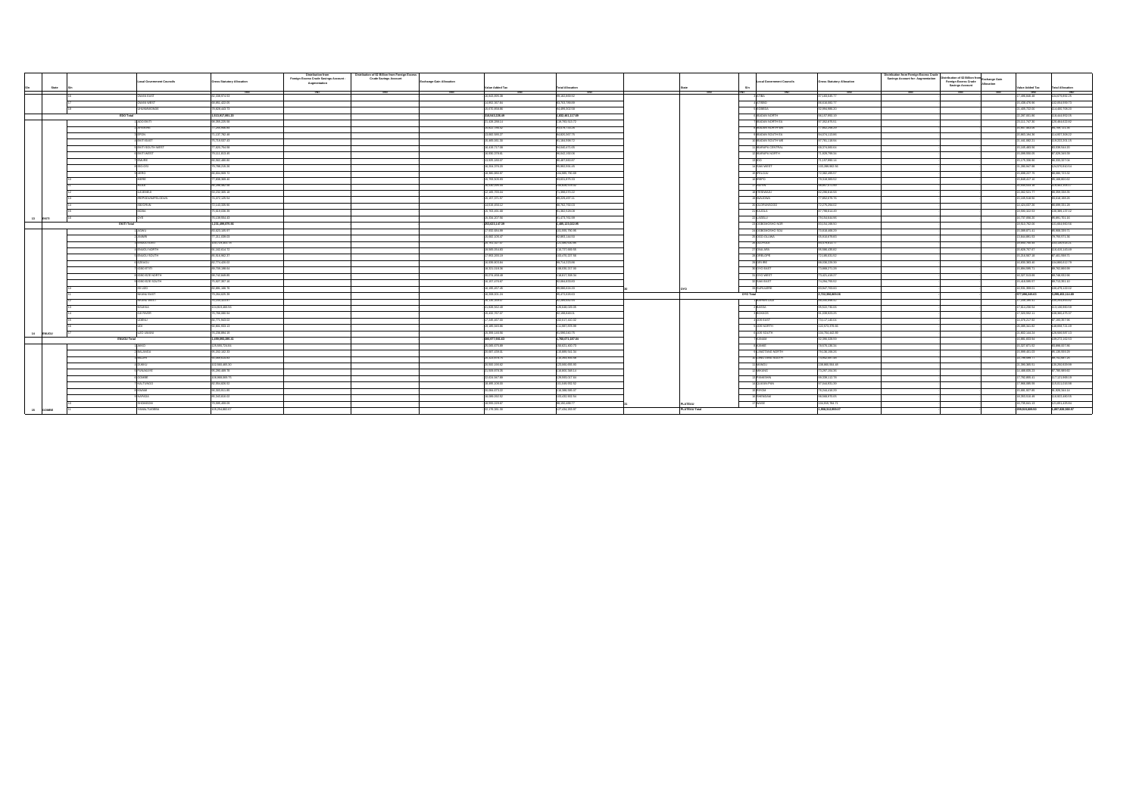|          |       |                    |                                  |                          | Distribution from                      | <b>Distribution of \$2 Billion from Foreign Exces</b> |                         |                |                  |                      |                      |                          |                            | Distribution from Foreign Excess Crude | stribution of \$2 Billion from |               |                        |                   |
|----------|-------|--------------------|----------------------------------|--------------------------|----------------------------------------|-------------------------------------------------------|-------------------------|----------------|------------------|----------------------|----------------------|--------------------------|----------------------------|----------------------------------------|--------------------------------|---------------|------------------------|-------------------|
|          |       |                    | <b>Local Government Councils</b> | oss Statutory Allocation | Foreign Excess Crude Savings Account - | Crude Savings Account                                 | schange Gain Allocation |                |                  |                      |                      | ocal Government Councils | Gross Statutory Allocation | Savings Account for-Augmentation       | Foreign Excess Crude           | Exchange Gain |                        |                   |
|          | State |                    |                                  |                          | Augmentation                           |                                                       |                         | also Added Tax | noite of Allen   |                      | <b>Still</b>         |                          |                            |                                        | <b>Savings Account</b>         | Alloyation    | alue Added Tax         | notal Allocation  |
|          |       |                    |                                  |                          |                                        |                                                       |                         |                |                  |                      | <b>INCORPORATION</b> |                          |                            |                                        | <b>AN</b>                      |               |                        | <b>CONTRACTOR</b> |
|          |       |                    | NAN EAS                          | 338,974.53               |                                        |                                                       |                         | 1,543,095.38   | 182,869.92       |                      |                      |                          | 183,045.7                  |                                        |                                |               | $   -$<br>53.345.365.4 | 4,679,892.25      |
|          |       |                    | WAN WEST                         | 8,851,422.05             |                                        |                                                       |                         | 14,852,367.84  | 1,703,789.89     |                      |                      |                          | 616,082.77                 |                                        |                                |               | 5,438,476.96           | 02,054,559.73     |
|          |       |                    | <b>SCIVO/MARUHI</b>              | 8,828,443.73             |                                        |                                                       |                         | 15,670,858.86  | 4,499,302.58     |                      |                      | <b>GBED</b>              | 1994,986.20                |                                        |                                |               | 21,405,722.00          | 14,400,708.20     |
|          |       |                    |                                  | 1,513,917,891.20         |                                        |                                                       |                         | 318.543.226.49 | 1.832.461.117.69 |                      |                      |                          |                            |                                        |                                |               |                        |                   |
|          |       | EDO Total          |                                  |                          |                                        |                                                       |                         |                |                  |                      |                      | <b>BADAN NORTH</b>       | 5,157,950.19               |                                        |                                |               | 22,287,001.86          | 18,444,952.05     |
|          |       |                    | <b>DO EXITI</b>                  | 0,355,225.58             |                                        |                                                       |                         | 1,428,288.14   | 9,783,513.72     |                      |                      | <b>AN NORTH EA</b>       | 352,875.51                 |                                        |                                |               | 1,111,747.30           | 0,464,622.82      |
|          |       |                    | ITEKRE                           | 7,255,946.84             |                                        |                                                       |                         | 15,822,786.42  | 3,078,733.26     |                      |                      | <b>DAN NORTH WE</b>      | 7,802,258.29               |                                        |                                |               | 16,907,463.06          | 14,709,721.35     |
|          |       |                    | EFON                             | 71,137,782.48            |                                        |                                                       |                         | 13,682,585.27  | 84,820,367.75    |                      |                      | ADAN SOUTH EA            | 34,074,113.86              |                                        |                                |               | 30,863,194.36          | 114,937,308.22    |
|          |       |                    | <b>SOTI BAST</b>                 | 719,537.43               |                                        |                                                       |                         | 15,405,001.30  | 1,184,598.72     |                      |                      | DAN SOUTH WE             | 781,118.94                 |                                        |                                |               | 21,441,082.21          | 19,222,201.15     |
|          |       |                    | EKITI SOUTH WEST                 | 7,620,754.58             |                                        |                                                       |                         | 16,419,717.08  | 4.040.471.65     |                      |                      | VRAPA CENTRAL            | 374,000.64                 |                                        |                                |               | 15,165,483.56          | 3,539,544.20      |
|          |       |                    | EKITI WEST                       | 9,111,813.45             |                                        |                                                       |                         | 18,930,378.61  | 6.042.192.06     |                      |                      | ARAPA NORTH              | 1,929,799.34               |                                        |                                |               | 5.099.550.05           | 7.029.349.39      |
|          |       |                    | <b>SALMA</b>                     |                          |                                        |                                                       |                         |                |                  |                      |                      |                          |                            |                                        |                                |               |                        |                   |
|          |       |                    |                                  | 06,562,480.80            |                                        |                                                       |                         | 13,925,180.07  | 0,487,660.87     |                      |                      |                          | 157,990.14                 |                                        |                                |               | 5,175,336.90           | 5,333,327.04      |
|          |       |                    | $0-05$                           | 9,788,215.26             |                                        |                                                       |                         | 020437620      | 15.992.591.45    |                      |                      | SAKI WES                 | 1209 902 56                |                                        |                                |               | 21,280,947.98          | 24,570,910.54     |
|          |       |                    |                                  | 1,604,909.72             |                                        |                                                       |                         | 8,380,880.97   | 14,985,790.69    |                      |                      |                          | 382,495.57                 |                                        |                                |               | 5.698.227.75           | 8,080,723.32      |
|          |       |                    | CERE                             | 7,838,309.40             |                                        |                                                       |                         | 15,793,505.93  | 3,631,875.33     |                      |                      |                          | 2,319,383.52               |                                        |                                |               | 5.849.417.10           | 5.168.800.62      |
|          |       |                    | $_{\text{out}}$                  | 4,298,482.58             |                                        |                                                       |                         | 6,530,095.44   | 0,828,578.02     |                      |                      |                          | 1,857,571.99               |                                        |                                |               | 0,544,533.18           | 19,402,105.17     |
|          |       |                    | <b>LIMES</b>                     | 0,232,305.18             |                                        |                                                       |                         | 2,165,765.04   | 398,070.22       |                      |                      |                          | 2,296,816.58               |                                        |                                |               | 16,062,521.77          | 0,359,338.35      |
|          |       |                    | EPCOUNTELCOUN                    | 4,072,125.54             |                                        |                                                       |                         | 5,157,371.57   | 229,497.11       |                      |                      |                          | 352,679.76                 |                                        |                                |               | 5,165,518.50           | 3,018,198.26      |
|          |       |                    | <b>ZUORUN</b>                    | 2,143,335.90             |                                        |                                                       |                         | 14,619,456.12  | 06,762,792.03    |                      |                      | 20 OLORUNSOCO            | 2,275,294.02               |                                        |                                |               | 14,424,037.26          | 16,039,331.28     |
|          |       |                    |                                  |                          |                                        |                                                       |                         |                |                  |                      |                      |                          |                            |                                        |                                |               |                        |                   |
|          |       |                    | <b>COLA</b>                      | 5,619,036.39             |                                        |                                                       |                         | 15,763,491.68  | 382,528.08       |                      |                      | <b>AJOLA</b>             | 03.314.49                  |                                        |                                |               | 18,590,322.53          | 06,389,137.02     |
|          |       |                    |                                  | 139,554.43               |                                        |                                                       |                         | 334,207.56     | A73,761.99       |                      |                      | AGELU                    | 154,644.96                 |                                        |                                |               | 16,737,056.20          | 5,891,701.16      |
|          |       | <b>EXITI Total</b> |                                  | 1,231,420,875.56         |                                        |                                                       |                         | 253.623.147.39 | 1,485,123,022.95 |                      |                      | <b>SON ONEOMOGE</b>      | 1,154,198.50               |                                        |                                |               | 18,510,762.06          | 01,004,900.56     |
|          |       |                    |                                  | 1,623,105.97             |                                        |                                                       |                         | 232,654.99     | 1,555,790.95     |                      |                      | DOS ONZOMOGI             | 0.010,460.29               |                                        |                                |               | 5,089,871.41           | 15,908,339.71     |
|          |       |                    | NIMPI                            | 211/039.03               |                                        |                                                       |                         | 5,682,105.47   | 2,823,144.50     |                      |                      | <b>D-OLUWA</b>           | 210,672.83                 |                                        |                                |               | 13,844,891.53          | 19,755,571.36     |
|          |       |                    | <b>ENUGU EAST</b>                | 100,719,303.78           |                                        |                                                       |                         | 20,761,327.07  | 121,480,630.85   |                      |                      | 30 OLUVOLE               | A,479,813.77               |                                        |                                |               | 18,650,700.44          | 03,130,514.21     |
|          |       |                    | NUGU NORTH                       | 162,614.72               |                                        |                                                       |                         | 565,054.83     | 0,727,669.55     |                      |                      | <b>NA-ARA</b>            | 586,435.82                 |                                        |                                |               | 20,828,707.67          | 10,415,143.49     |
|          |       |                    |                                  |                          |                                        |                                                       |                         |                |                  |                      |                      |                          |                            |                                        |                                |               |                        |                   |
|          |       |                    | NUGU SOUTH                       | 5,516,962.37             |                                        |                                                       |                         | 17,953,265.19  | 13,470,227.56    |                      |                      | <b>IDELOPE</b>           | 2,185,031.52               |                                        |                                |               | 15,216,567.18          | 17,401,598.71     |
|          |       |                    | ZEAGU                            | 2,774,420.02             |                                        |                                                       |                         | 16.939.003.04  | 0,714,223.86     |                      |                      | <b>ORI IRE</b>           | 03622939                   |                                        |                                |               | 03.030.303.40          | 04,006,012.79     |
|          |       |                    | <b>IGBO ETITI</b>                | 0,700,198.64             |                                        |                                                       |                         | 18,321,018.36  | 16,030,217.00    |                      |                      | 30 OYO EAST              | 1,003,271.28               |                                        |                                |               | 15.894.595.71          | 19,762,866.99     |
|          |       |                    | GBO EZE NORTH                    | 10,742,849.85            |                                        |                                                       |                         | 0,074,458.49   | 18,817,308.34    |                      |                      | <b>IYO WEST</b>          | 3,421,419.27               |                                        |                                |               | 16.327.513.69          | 19,748,932.96     |
|          |       |                    | 280 EZE SOUT                     | 1,927,357.16             |                                        |                                                       |                         | 157,476.6      |                  |                      |                      |                          | 294,755.52                 |                                        |                                |               |                        | (713,351.10       |
|          |       |                    | LUZD.                            | 12,091,100.76            |                                        |                                                       |                         | 16,195,457.45  | 09,086,624.20    |                      |                      | 20010-001                | 1,947,763.00               |                                        |                                |               | 16,531,359.01          | 00,479,122.02     |
|          |       |                    | NKANU EAST                       | 79,264,625.39            |                                        |                                                       |                         | 16,208,001.24  | 15,472,626.63    |                      | OYO Total            |                          | 2,722,356,869.06           |                                        |                                |               | 577,096,245.63         | 1,299,451,114.69  |
|          |       |                    | KANU WEST                        | 5, 154, 323.87           |                                        |                                                       |                         | 16,135,359.07  | 289,682.94       |                      |                      | <b>BICNITADI</b>         | 045 598 42                 |                                        |                                |               | 17,209,195.41          | 05,254,093.82     |
|          |       |                    |                                  |                          |                                        |                                                       |                         |                |                  |                      |                      |                          |                            |                                        |                                |               |                        |                   |
|          |       |                    | <b>SUKKA</b>                     | 104,819,466.56           |                                        |                                                       |                         | 21,828,562.40  | 26,648,029.05    |                      |                      |                          | 5,522,730.06               |                                        |                                |               | 17,614,230.54          | 13,136,900.59     |
|          |       |                    | DJI RIVER                        | 6,766,080.94             |                                        |                                                       |                         | 15,432,767.07  | 2,198,848.01     |                      |                      | OKXOS                    | 039,923.25                 |                                        |                                |               | 7.320.552.11           | 08,360,475.37     |
|          |       |                    | <b>DENU</b>                      | 4,771,943.02             |                                        |                                                       |                         | 17,245,467.00  | 12,017,410.02    |                      |                      | <b>IDS BAS</b>           | 117,140.04                 |                                        |                                |               | 14.076.217.92          | 17,123,357.96     |
|          |       |                    |                                  | 22,001,933.13            |                                        |                                                       |                         | 19,185,945.86  | 11,987,878.99    |                      |                      | JOS NORTH                | 22,573,379.66              |                                        |                                |               | 26,085,341.82          | 48,658,721.49     |
| 14 ENUGU |       |                    | ZO UWAN                          | 76,236,894.19            |                                        |                                                       |                         | 15,359,146.56  | 01,596,040.75    |                      |                      | <b>6 JOS SOUTH</b>       | 34,704,442.89              |                                        |                                |               | 21,802,144.24          | 26,506,587.13     |
|          |       | <b>ENUGU Total</b> |                                  | 1,439,033,285.41         |                                        |                                                       |                         | 000,977,901.63 | 760,071,187.04   |                      |                      |                          | 390,328.59                 |                                        |                                |               | 16,031,033.94          | 09,272,162.53     |
|          |       |                    | юс                               | 5,555,724.84             |                                        |                                                       |                         | 1,065,675.89   | 0,621,400.73     |                      |                      | ANKE                     | 570,136.34                 |                                        |                                |               | 15,327,871.52          | 38.700,000        |
|          |       |                    |                                  |                          |                                        |                                                       |                         |                |                  |                      |                      |                          |                            |                                        |                                |               |                        |                   |
|          |       |                    | <b>BALANGA</b>                   | 5,202,102.33             |                                        |                                                       |                         | 20,687,439.01  | 5,889,541.34     |                      |                      | ANGTANG NORTH            | 9,136,158.26               |                                        |                                |               | 15,999,401.03          | 15, 135,559.29    |
|          |       |                    | LLRI                             | 009,014.83               |                                        |                                                       |                         | 1,121,878.75   | 0,393,493.58     |                      |                      | <b>IGTANG SOUTH</b>      | 942,087.48                 |                                        |                                |               | 4,799,599.7            | 0,741,687.25      |
|          |       |                    | <b>DOKKU</b>                     | 102,560,465.30           |                                        |                                                       |                         | 20,500,190.62  | 1,000,055.93     |                      |                      |                          | 08,860,564.48              |                                        |                                |               | 21,390,365.51          | 30,250,929.99     |
|          |       |                    | <b>INAKAYE</b>                   | 15,290,409.78            |                                        |                                                       |                         | 21,509,878.35  | 16,000,348.14    |                      |                      | <b>IDCANIT</b>           | 1297.154.36                |                                        |                                |               | 14.403.835.23          | 17,785,989.60     |
|          |       |                    | cover                            | 06,968,069.75            |                                        |                                                       |                         | 2,624,947.89   | 0,593,017.64     |                      |                      | WKSHI                    | 3,339,112.78               |                                        |                                |               | 17,782,855.41          | 7,121,958.19      |
|          |       |                    | <b>ALTUNGO</b>                   | 1,554,826.52             |                                        |                                                       |                         | 18,495,106.00  | 01,049,932.52    |                      |                      | <b><i>ESCANDAN</i></b>   | 044,931.39                 |                                        |                                |               | 17,966,085.59          | 15,011,016.98     |
|          |       |                    |                                  | 6,303,911.85             |                                        |                                                       |                         | 084,673.22     | 16,388,585.07    |                      |                      |                          | 244,416.29                 |                                        |                                |               | 5.681.927.85           | 1,926,344.14      |
|          |       |                    | <b>IAFADA</b>                    | 5,343,810.02             |                                        |                                                       |                         | 1,009,092.52   | 13,432,902.54    |                      |                      | 16 SHENDAM               | 568,970.05                 |                                        |                                |               | 18.353.510.49          | 16,922,480.55     |
|          |       |                    |                                  |                          |                                        |                                                       |                         |                |                  |                      |                      |                          |                            |                                        |                                |               |                        |                   |
|          |       |                    | SHOMGOM                          | 9,595,459.09             |                                        |                                                       |                         | 8.555.029.67   | 35,150,485.77    | <b>PLATEAU</b>       |                      | NASE                     | 104.915.784.71             |                                        |                                |               | 16.735.641.13          | 121,051,425.84    |
| 15 GOMBE |       |                    | AMALTULDEBA                      | 05,254,882.67            |                                        |                                                       |                         | 22,179,381.30  | 17,434,263.97    | <b>PLATEAU Total</b> |                      |                          | 1,558,312,959.07           |                                        |                                |               | 299,515,609.50         | 1,857,828,568.57  |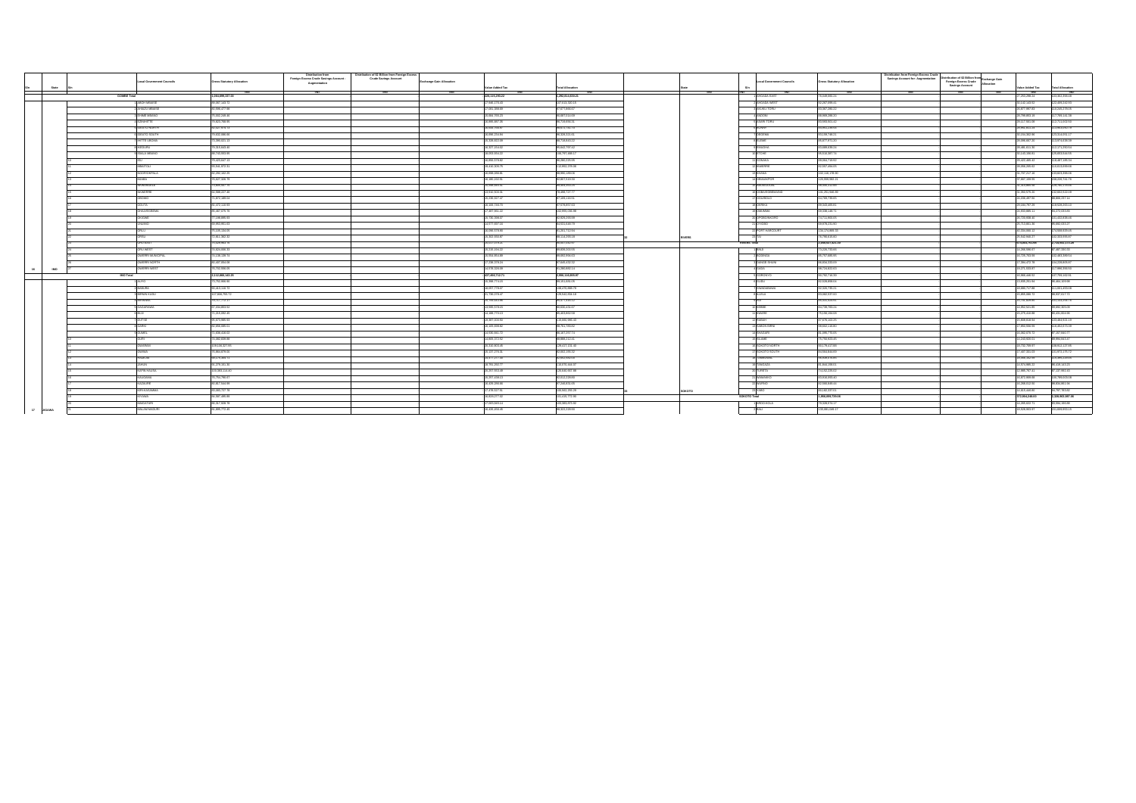|           |            |                    |                          |                                   | <b>Distribution from</b>               | stribution of \$2 Billion from Foreign Exces |                         |                  |                         |              |                     |                           |                            | <b>Jistribution from Foreign Excess Crude</b> | shibution of \$2 Billion fro |               |                    |                                 |
|-----------|------------|--------------------|--------------------------|-----------------------------------|----------------------------------------|----------------------------------------------|-------------------------|------------------|-------------------------|--------------|---------------------|---------------------------|----------------------------|-----------------------------------------------|------------------------------|---------------|--------------------|---------------------------------|
|           |            |                    | ocal Government Councils | <b>Gross Statutory Allocation</b> | Foreign Excess Crude Savings Account - | Crude Savings Account                        | schange Gain Allocation |                  |                         |              |                     | Local Government Councils | Gross Statutory Allocation | Savings Account for-Augmentation              | Foreign Excess Crude         | Exchange Gain |                    |                                 |
|           |            |                    |                          |                                   | Augmentation                           |                                              |                         |                  |                         |              |                     |                           |                            |                                               | <b>Savings Account</b>       | Allowation.   |                    |                                 |
|           | State      |                    |                          |                                   |                                        |                                              |                         | also Added Tax   | <b>Total Allocation</b> |              |                     |                           |                            |                                               |                              |               | alue Added Tax     | otal Allocation                 |
|           |            | <b>GOMBE Total</b> |                          | 1,064,020,337.00                  |                                        |                                              |                         | 228, 115, 203.22 | 1,292,814,630.21        | <b>START</b> | $\sim$              |                           | 342.060.2                  |                                               | $-100$                       | . .           | $ -$<br>253,298.24 | $-$ 1700 $-$<br>03, 302, 358.48 |
|           |            |                    | <b>ABON MBAISE</b>       | 19,067,143.72                     |                                        |                                              |                         | 7,946,176.43     | 07,013,320.15           |              |                     | DADA WES                  | 267,099.41                 |                                               |                              |               | 142,143.52         | 22,409,242.93                   |
|           |            |                    |                          |                                   |                                        |                                              |                         |                  |                         |              |                     |                           |                            |                                               |                              |               |                    |                                 |
|           |            |                    | <b>HIAZU MBAISE</b>      | 80,596,477.98                     |                                        |                                              |                         | 17,081,355.69    | 27,677,866.67           |              |                     | MOURCU-TORO               | 0,367,280.22               |                                               |                              |               | 26,877,997.83      | 10,245,278.05                   |
|           |            |                    | EHIME MBANO              | 75,002,249.46                     |                                        |                                              |                         | 15,684,765.23    | 03.017.014.02           |              |                     | NDON                      | 1,969,288,20               |                                               |                              |               | 8.799.853.19       | 17.769.141.38                   |
|           |            |                    | ZINHITTE                 | 79,823,768.95                     |                                        |                                              |                         | 16,035,037.35    | 96,719,656.31           |              |                     | <b>SARI-TORU</b>          | 593,501.42                 |                                               |                              |               | 117,501.08         | 12,711,002.50                   |
|           |            |                    | HTRON OTABE              | 82,027,974.73                     |                                        |                                              |                         | 16,644,766.97    | 98.672.741.70           |              |                     |                           | A351,239.54                |                                               |                              |               | 28,951,811.24      | 13,903,050.79                   |
|           |            |                    | HTUO2 OTA30              | 79,632,086.06                     |                                        |                                              |                         | 10,030,234.94    | 96,328,321.61           |              |                     | ecess                     | 0,159,748.21               |                                               |                              |               | 0,154,302.96       | 23,314,051.17                   |
|           |            |                    | HITTE UBOMA              | 73,390,021.13                     |                                        |                                              |                         | 15,328,822.09    | 88,718,843.22           |              |                     | 1 PART                    | 1,577,971.20               |                                               |                              |               | 096.057.20         | 13,974,638.39                   |
|           |            |                    | CEDURU                   | 9,315,643.40                      |                                        |                                              |                         | 16,327,154.02    | 05,642,797.42           |              |                     |                           | 689,639.24                 |                                               |                              |               | 00101130           | 12,171,250.54                   |
|           |            |                    |                          |                                   |                                        |                                              |                         |                  |                         |              |                     |                           |                            |                                               |                              |               |                    |                                 |
|           |            |                    | DALA MEANO               | 18,743,553.95                     |                                        |                                              |                         | 18,053,934.22    | 106,727,488.17          |              |                     | ETCHE                     | 5,510,387.74               |                                               |                              |               | 0,143,156.81       | 25,053,544.55                   |
|           |            |                    |                          | 9,423,647.13                      |                                        |                                              |                         | 16,856,578.82    | 96,280,225.95           |              |                     |                           | 064,719.92                 |                                               |                              |               | 422,465.42         | 10,487,185.34                   |
|           |            |                    | LOTIAS                   | 93,541,972.31                     |                                        |                                              |                         | 19,410,305.75    | 112,952,278.06          |              |                     |                           | 557,494.05                 |                                               |                              |               | 1,056,205.62       | 10,613,699.66                   |
|           |            |                    | <b>NGORGKPALA</b>        | 12,292,932.25                     |                                        |                                              |                         | 16,098,005.81    | 98,990,189.06           |              |                     |                           | 22,116,178.90              |                                               |                              |               | ,707,217.16        | 33,823,396.06                   |
|           |            |                    | 48A                      | 76,627,326.79                     |                                        |                                              |                         | 16,180,192.51    | 92,007,519.30           |              |                     | <b>IAVAKPOR</b>           | 0,559,582.21               |                                               |                              |               | 057,159.55         | 58,226,741.76                   |
|           |            |                    | KWANGELE                 | 73,005,507.75                     |                                        |                                              |                         | 15,598,845.51    | 09/404.353.25           |              |                     | 114-171-144               | 8,445,312.88               |                                               |                              |               | 1,314,865.58       | 29,760,178.46                   |
|           |            |                    | NKWERRE                  | 04,588,227.46                     |                                        |                                              |                         | 13,910,500.31    | 78,498,727.77           |              |                     | <b>ZEA/DGEEMA/NO</b>      | 1,251,946.89               |                                               |                              |               | 350,575.20         | 32,602,522.09                   |
|           |            |                    | <b>BOWD</b>              | 71,872,189.04                     |                                        |                                              |                         | 15,236,927.47    | 87,109,116.51           |              |                     | <b>GUIDOLO</b>            | 1,703,733.05               |                                               |                              |               | 036.427.50         | 18,806,237.14                   |
|           |            |                    |                          |                                   |                                        |                                              |                         |                  | 27.578.057.03           |              |                     |                           | 18.039.04                  |                                               |                              |               |                    |                                 |
|           |            |                    | <b>OGUTA</b>             | 81,472,110.93                     |                                        |                                              |                         | 16,106,746.70    |                         |              |                     | 18 CHRISA                 |                            |                                               |                              |               | 9,184,797.29       | 18,528,263.10                   |
|           |            |                    | MARGEEMA                 | 85,467,075.76                     |                                        |                                              |                         | 17,487,961.22    | 102,955,036.98          |              |                     |                           | 2,338,148.71               |                                               |                              |               | 1233.885.11        | 4,272,033.83                    |
|           |            |                    | <b>KIGWE</b>             | 77,198,895.93                     |                                        |                                              |                         | 15,730,398.07    | 02,929,293.99           |              |                     | POBONKORO                 | 711,900.05                 |                                               |                              |               | 26,720,938.40      | 01,432,838.46                   |
|           |            |                    | NUMC                     | 09.953,951.63                     |                                        |                                              |                         | 14,577,697.16    | 84,531,648.79           |              |                     | IGBI                      | 3,978,231.90               |                                               |                              |               | 5,713,801.36       | 5,092,033.27                    |
|           |            |                    | UJRK                     | 75, 105, 134.05                   |                                        |                                              |                         | 16,096,578.90    | 91,201,712.94           |              |                     | 22 PORT HARCOURT          | 34.174.809.33              |                                               |                              |               | 334,060.12         | 74,508,929.45                   |
|           |            |                    |                          | 72,811,362.32                     |                                        |                                              |                         | 15,302,930.87    | 88,114,293.18           | RIVERS       |                     |                           | 03.213.001                 |                                               |                              |               | 542 940 27         | 12,333,555.87                   |
|           |            |                    | <b>ORU EAST</b>          | 5,029,953.76                      |                                        |                                              |                         | 15,017,079.21    | 90,047,042.97           |              | <b>RIVERS Total</b> |                           | 2,040,537,421.30           |                                               |                              |               | 174,003,751.98     | 714,541,173.28                  |
|           |            |                    | RU WEST                  | 4,624,006.33                      |                                        |                                              |                         | 5,215,194.22     | 89,839,200.55           |              |                     |                           | 220,733.66                 |                                               |                              |               | 205,596.67         | 7,487,330.33                    |
|           |            |                    | VERRI MUNICIPAL          | 4,138,139.74                      |                                        |                                              |                         | 15,554,854.89    | 03,032,994.03           |              |                     |                           | ,757,685.95                |                                               |                              |               | 725,703.59         | 02,483,389.54                   |
|           |            |                    | WERRI NORTH              | 80,407,054.08                     |                                        |                                              |                         | 17,238,378.24    | 27,645,432.32           |              |                     | 3 DANGE-SHUNI             | 00.000.000.00              |                                               |                              |               | 394,472.78         | 04,228,805.87                   |
|           | <b>IMO</b> |                    | <b>ERRIVEST</b>          | 5,702,556.05                      |                                        |                                              |                         | 14,578,326.09    | 91,280,882.14           |              |                     |                           | 724,822.63                 |                                               |                              |               | 271,533.87         | 7,996,356.50                    |
|           |            | <b>MOTotal</b>     |                          | 2,112,660,143.25                  |                                        |                                              |                         | 437,456,712.71   | 2,550,116,855.97        |              |                     | GORDNY                    | 0,792,716.39               |                                               |                              |               | 0,006,446.52       | 07,759,962.91                   |
|           |            |                    |                          | 3,752,906.90                      |                                        |                                              |                         | 5,398,774.15     | 151,681.05              |              |                     |                           | 528,858.04                 |                                               |                              |               | 935.251.9          | 6,464,109.98                    |
|           |            |                    |                          |                                   |                                        |                                              |                         |                  |                         |              |                     |                           |                            |                                               |                              |               |                    |                                 |
|           |            |                    | <b>BABURA</b>            | 90,413,110.72                     |                                        |                                              |                         | 18,057,778.07    | 108,470,888.79          |              |                     | <b>MADAMAM</b>            | 2,320,735.21               |                                               |                              |               | 600.717.80         | 11,001,453.08                   |
|           |            |                    | RNIN KUDU                | 107,806,755.72                    |                                        |                                              |                         | 11,736,078.47    | 129.542.834.18          |              |                     | <b>LELA</b>               | 002,537.00                 |                                               |                              |               | 5.055.000.72       | 0.937.617.72                    |
|           |            |                    | NEWS                     | 79,717,772.17                     |                                        |                                              |                         | 15,759,643.96    | 25,477,416.12           |              |                     |                           | 10.421.424                 |                                               |                              |               | 1,701,829.85       | 1,133,254.76                    |
|           |            |                    | AGARAWA                  | 17,034,853.52                     |                                        |                                              |                         | 3,595,578.15     | 13.104.003.00           |              |                     |                           | A739,783.24                |                                               |                              |               | 14,952,521.85      | 0,022,305.09                    |
|           |            |                    |                          | 71,215,092.45                     |                                        |                                              |                         | 14,188,770.13    | 85,403,862.58           |              |                     |                           | 5,156,194.08               |                                               |                              |               | 5,275,410.88       | 00.431,004.95                   |
|           |            |                    | NUTSE                    | 05,673,985.93                     |                                        |                                              |                         | 19,387,000.50    | 15,000,986.43           |              |                     |                           | 576,102.25                 |                                               |                              |               | P2 818.808.2       | 03,484,921.19                   |
|           |            |                    | <b>DARAZ</b>             | 82,656,085.01                     |                                        |                                              |                         | 16,105,098.82    | 98,761,783.82           |              |                     | ABON BIRN                 | 1,502,116.80               |                                               |                              |               | 850,556.59         | 16,452,673.39                   |
|           |            |                    |                          | 71,636,416.02                     |                                        |                                              |                         | 14,530,841.72    | 06,167,257.74           |              |                     |                           | 095,770.05                 |                                               |                              |               | 1,062,070.72       | 7,157,640.77                    |
|           |            |                    |                          | 4,082,839.88                      |                                        |                                              |                         | 14,005,372.52    | 18,888,212.41           |              |                     |                           | 750,923.45                 |                                               |                              |               | 243 920 0          | 204,543.47                      |
|           |            |                    | <b>MARAM</b>             | 109,106,327.95                    |                                        |                                              |                         | 20,310,003.45    | 129,417,131.40          |              |                     | 6 SOKOTO NORTH            | 1,179,417.88               |                                               |                              |               | 1,732,709.97       | 08,912,127.85                   |
|           |            |                    | www                      |                                   |                                        |                                              |                         |                  |                         |              |                     |                           |                            |                                               |                              |               |                    |                                 |
|           |            |                    |                          | 76,864,879.00                     |                                        |                                              |                         | 15,137,276.31    | 22,002,155.32           |              |                     | 7 SOKOTO SOUTH            | 554.844.02                 |                                               |                              |               | 17,407,331.03      | 01,972,175.72                   |
|           |            |                    | ADEJIA                   | 58,175,304.71                     |                                        |                                              |                         | 14,477,277.30    | 82,652,582.00           |              |                     |                           | 333,076.85                 |                                               |                              |               | 1,456,152.59       | 15,395,229.45                   |
|           |            |                    | AH IN                    | 91,279,151.30                     |                                        |                                              |                         | 18,791,292.77    | 10,070,444.07           |              |                     |                           | 1,844,158.01               |                                               |                              |               | 4,574,985.22       | 6,419,143.23                    |
|           |            |                    | <b>AFIN HAUSA</b>        | 100,383,114.40                    |                                        |                                              |                         | 20,257,553.49    | 120.640.667.88          |              |                     | <b>TURETA</b>             | 152,225.02                 |                                               |                              |               | 2.985.767.41       | 7,137,992.43                    |
|           |            |                    | <b>UGAMA</b>             | 76,754,790.67                     |                                        |                                              |                         | 15,257,438.13    | 92,012,228.80           |              |                     |                           | 0316.093.40                |                                               |                              |               | 6.872.909.68       | 00,789,003.08                   |
|           |            |                    | <b>KAZAURE</b>           | 80.817.544.99                     |                                        |                                              |                         | 16,429,205.00    | 97,246,831.65           |              |                     | 22 M/URNO                 | 506.849.44                 |                                               |                              |               | 268.012.50         | PC.130, PC5, 01                 |
|           |            |                    |                          | 3,083,727.78                      |                                        |                                              |                         | A78,527.5        | 10,562,255.29           | SOKOTO       |                     |                           | 182,337.0                  |                                               |                              |               | 15,465.B           | 797,783.82                      |
|           |            |                    | <b>AWV</b>               | 84,587,495.09                     |                                        |                                              |                         | 16,828,277.02    | 101,415,772.90          |              | SOKOTO Total        |                           | 1,956,059,739.06           |                                               |                              |               | 172.904.248.00     | 20.328,953,987.06               |
|           |            |                    | <b>AIGATARI</b>          | 86,317,928.78                     |                                        |                                              |                         | 17,005,945.14    | 103,383,873.92          |              |                     | <b>DO-KOLA</b>            | 328,574.17                 |                                               |                              |               | 4,265,622.71       | 3,594,196.88                    |
|           |            |                    | <b>MALAM MADURI</b>      | 81,895,772.45                     |                                        |                                              |                         | 16,426,456.45    | 98,322,228.90           |              |                     |                           | 33,081,049.17              |                                               |                              |               | 18,528,903.97      | 51,009,953.15                   |
| 17 JIGAWA |            |                    |                          |                                   |                                        |                                              |                         |                  |                         |              |                     |                           |                            |                                               |                              |               |                    |                                 |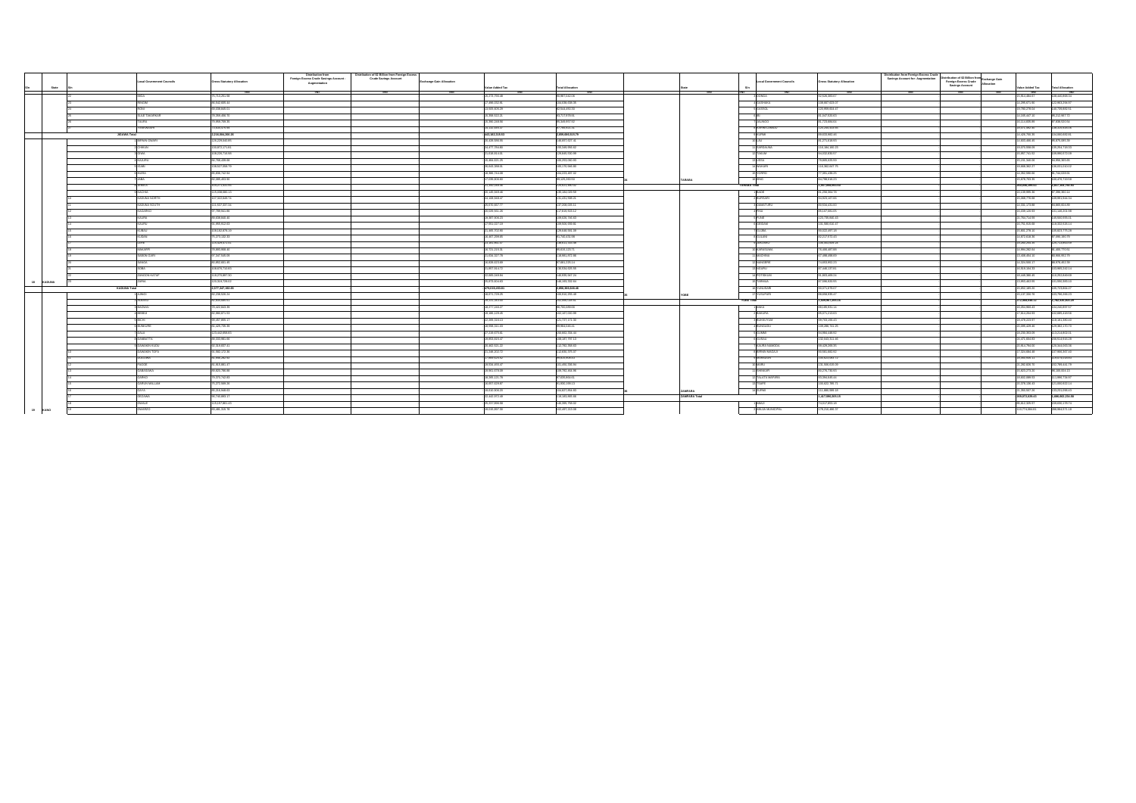|         |        |                     |                                  |                                   | Distribution from                      | <b>Distribution of \$2 Billion from Foreign Excess</b> |                         |                |                  |                      |                     |                                  |                            | Distribution from Foreign Excess Crude | tetribution of \$2 Billion fro |               |                    |                        |
|---------|--------|---------------------|----------------------------------|-----------------------------------|----------------------------------------|--------------------------------------------------------|-------------------------|----------------|------------------|----------------------|---------------------|----------------------------------|----------------------------|----------------------------------------|--------------------------------|---------------|--------------------|------------------------|
|         |        |                     | <b>Local Government Councils</b> | <b>Iross Statutory Allocation</b> | Foreign Excess Crude Savings Account - | Crude Savings Account                                  | schange Gain Allocation |                |                  |                      |                     | <b>Local Government Councils</b> | Gross Statutory Allocation | Savings Account for-Augmentation       | Foreign Excess Crude           | Exchange Gain |                    |                        |
|         |        |                     |                                  |                                   | Augmentation                           |                                                        |                         |                |                  |                      |                     |                                  |                            |                                        | <b>Savings Account</b>         | Allowation.   |                    |                        |
|         |        |                     |                                  |                                   |                                        |                                                        |                         | alus Added Tax | otal Allocation  |                      | <b>Sh</b>           |                                  |                            |                                        |                                |               | alue Added Tax     | otal Allocation        |
|         |        |                     |                                  | 713,251.58                        |                                        |                                                        |                         | 273,790.48     | 987,042.06       | - 69                 | $\sim$              |                                  | 526,383.67                 | <b>START OF</b>                        | $-100$                         | . .           | $  -$<br>014,484.6 | $   -$<br>1,440,858.34 |
|         |        |                     |                                  | 1542,005.44                       |                                        |                                                        |                         | 7,496,032.91   | 02.803.633       |                      |                     |                                  | 8,057,623.07               |                                        |                                |               | (295,671.90)       | 22,063,204.97          |
|         |        |                     | <b>CEM</b>                       |                                   |                                        |                                                        |                         |                |                  |                      |                     |                                  |                            |                                        |                                |               |                    |                        |
|         |        |                     | CMI <sup>-</sup>                 | 10.298,645.01                     |                                        |                                                        |                         | 13,505,605.29  | 2,544,450.30     |                      |                     |                                  | 10,959,604.47              |                                        |                                |               | 9,780,278.04       | 40,739,882.51          |
|         |        |                     | ULE TAKARKAR                     | 8,359,456.70                      |                                        |                                                        |                         | 5,358,522.21   | 3,717,978.91     |                      |                     |                                  | 1,047,520.63               |                                        |                                |               | 4.165.447.10       | 5,212,967.72           |
|         |        |                     | 11074                            | 79,959,709.35                     |                                        |                                                        |                         | 5,390,248.56   | 5,349,957.92     |                      |                     | MI PAS                           | 723, 684. 64               |                                        |                                |               | 5,114,835.89       | 7,838,520.54           |
|         |        |                     | MKWARH                           | 3,634,475.94                      |                                        |                                                        |                         | 4,132,445.37   | 106,921.31       |                      |                     | ARIBAJ AMED                      | 0,244,433.85               |                                        |                                |               | 18,071,492.40      | 38,315,926.06          |
|         |        | <b>JIGAWA Total</b> |                                  | 2,216,504,200.26                  |                                        |                                                        |                         | 443,182,315.53 | 2,659,686,515.79 |                      |                     |                                  | 3,533,982.46               |                                        |                                |               | 4,426,700.35       | 04,060,682.81          |
|         |        |                     | MIN GWARI                        | 26,229,040.85                     |                                        |                                                        |                         | 10,428,586.55  | 46,657,627.41    |                      |                     |                                  | 1,271,618.93               |                                        |                                |               | 4.003.406.45       | 5,875,085.39           |
|         |        |                     |                                  |                                   |                                        |                                                        |                         |                |                  |                      |                     |                                  |                            |                                        |                                |               |                    |                        |
|         |        |                     | <b>SKUN</b>                      | 130,872,171.81                    |                                        |                                                        |                         | 24,477,784.80  | 55,349,956.62    |                      |                     | ARDAUNA                          | 6,184,160.23               |                                        |                                |               | 19,070,558.09      | 35,254,718.33          |
|         |        |                     |                                  | 08,226,716.98                     |                                        |                                                        |                         | 10.018.813.11  | 19,845,530.99    |                      |                     |                                  | 032,830.57                 |                                        |                                |               | 5,957,741.52       | 0,990,572.09           |
|         |        |                     | <b>KAJURU</b>                    | 4.768.439.68                      |                                        |                                                        |                         | 5.484.621.25   | 00 253 000 93    |                      |                     |                                  | 805 025 59                 |                                        |                                |               | 33000.00           | 33.220,220,4           |
|         |        |                     |                                  | 38,527,558.79                     |                                        |                                                        |                         | 10.000,093.01  | 65,170,946.80    |                      |                     |                                  | 16,362,647.75              |                                        |                                |               | 9,058,362.27       | 36,031,010.02          |
|         |        |                     | KARA -                           | 5.835.742.94                      |                                        |                                                        |                         | 18,386,744.08  | 04,223,487.02    |                      |                     |                                  | 7,391,438.25               |                                        |                                |               | 4352500.66         | 1,744,028.91           |
|         |        |                     |                                  | 085,453.90                        |                                        |                                                        |                         | 7,039,806.60   | 125,200.50       | TARABA               |                     |                                  | 798,016.23                 |                                        |                                |               | 5,678,703.35       | 00,476,719.58          |
|         |        |                     | <b>EMA'A</b>                     | 104,271,431.56                    |                                        |                                                        |                         | 11,350,048.46  | 25,621,480.02    |                      | <b>TARABA Total</b> |                                  | 1,557,058,593.50           |                                        |                                |               | 200,046,193.43     | 1,817,104,792.93       |
|         |        |                     |                                  | 5,038,080.13                      |                                        |                                                        |                         | 0,145,942.46   | 15, 184, 029.59  |                      |                     |                                  | 256,364.78                 |                                        |                                |               | 5,139,995.36       | 396,360.14             |
|         |        |                     |                                  |                                   |                                        |                                                        |                         |                |                  |                      |                     |                                  |                            |                                        |                                |               |                    |                        |
|         |        |                     | <b>VOUNA NORTH</b>               | 107,322,649.74                    |                                        |                                                        |                         | 24,108,948.47  | 131,431,598.21   |                      |                     | BURSAR                           | 4,923,167.66               |                                        |                                |               | 5,068,776.68       | 09,991,944.34          |
|         |        |                     | <b>IDUNA SOUTH</b>               | 11,537,337.34                     |                                        |                                                        |                         | 25.670.067.77  | 37,208,005.11    |                      |                     | <b>DAMATURE</b>                  | 534,431.00                 |                                        |                                |               | 14331.173.88       | 4,865,604.89           |
|         |        |                     | ARKO                             | 7,789,941.86                      |                                        |                                                        |                         | 0,029.561.26   | 7,819,503.12     |                      |                     |                                  | 107,081.05                 |                                        |                                |               | 039,120.93         | 1,146,201.98           |
|         |        |                     | <b>AURA</b>                      | 9,638,540.40                      |                                        |                                                        |                         | 13,387,906.23  | 09,026,746.63    |                      |                     | 1 <sub>m</sub>                   | 1,735,840.43               |                                        |                                |               | 1,764,714.59       | 45,500,555.01          |
|         |        |                     | <b>SALIRU</b>                    | 01,955,912.63                     |                                        |                                                        |                         | 7,551,027.19   | 09.506.939.81    |                      |                     | CEIDAN                           | 1,580,610.47               |                                        |                                |               | 6,751,915.68       | 18,332,526.14          |
|         |        |                     | <b>UAD</b>                       | 108, 182, 878. 19                 |                                        |                                                        |                         | 11,465,702.90  | 29,648,581.09    |                      |                     |                                  | 1,022,497.18               |                                        |                                |               | 5,801,278.10       | 05,823,775.28          |
|         |        |                     |                                  |                                   |                                        |                                                        |                         |                |                  |                      |                     |                                  |                            |                                        |                                |               |                    |                        |
|         |        |                     | <b>MAGL</b>                      | 5.273.132.33                      |                                        |                                                        |                         | 16.467.299.65  | 1740.431.98      |                      |                     | <b>BIGULAN</b>                   | 2217.572.43                |                                        |                                |               | 4.872.618.36       | 7,090,190.79           |
|         |        |                     |                                  | 5,429,472.41                      |                                        |                                                        |                         | 13,181,861.07  | 89-EEE, 110,6E   |                      |                     |                                  | 6,453,609.24               |                                        |                                |               | 1,201,254.35       | 25,713,863.59          |
|         |        |                     | <b>AKARFI</b>                    | 04.023, 203.40                    |                                        |                                                        |                         | 6,721,215.31   | 5,615,123.71     |                      |                     | <b>ARASUM</b>                    | 6,406,487.88               |                                        |                                |               | 14,994,282.64      | 1,400,770.51           |
|         |        |                     | veicin Gare                      | 7,347,545.09                      |                                        |                                                        |                         | 1534,327.78    | 118,981,872.86   |                      |                     |                                  | 498,498.69                 |                                        |                                |               | 3,408,454.10       | 0,906,952.79           |
|         |        |                     | ANGA -                           | 80,852,601.45                     |                                        |                                                        |                         | 16,828,623.69  | 97,681,225.14    |                      |                     | <b><i>UNGERE</i></b>             | 1,053,952.23               |                                        |                                |               | 14,324,500.17      | 8,978,452.39           |
|         |        |                     |                                  | 08,676,710.83                     |                                        |                                                        |                         | 15,857,914.72  | 0,534,625.55     |                      |                     |                                  | 446,137.81                 |                                        |                                |               | 5,519,104.33       | 0,965,242.14           |
|         |        |                     | NGON KATAI                       | 18,270,897.30                     |                                        |                                                        |                         | 12,005,049.94  | 40,935,947.24    |                      |                     |                                  | 803,469.24                 |                                        |                                |               | 1,449,380.45       | 0,252,849.69           |
|         |        |                     |                                  |                                   |                                        |                                                        |                         |                |                  |                      |                     | <b>OTISKUM</b>                   |                            |                                        |                                |               |                    |                        |
| 18      | KADUNA |                     |                                  | 20,319,728.02                     |                                        |                                                        |                         | 5,873,604.63   | 46, 193, 332.64  |                      |                     |                                  | 596,920.55                 |                                        |                                |               | 1953,462.55        | 01,550,383.10          |
|         |        | <b>KADUNA Total</b> |                                  | 2,377,347,192.65                  |                                        |                                                        |                         | 479,019,453.81 | 39.303,335,928,1 |                      |                     | <b>UNUSAR</b>                    | 0,071,679.07               |                                        |                                |               | 5,652,185.20       | 05,723,864.27          |
|         |        |                     | <b>ING</b>                       | 12,238,526.24                     |                                        |                                                        |                         | 18,671,729.25  | 100,910,255.49   | YORE                 |                     | <b>TUSUFAR</b>                   | 8,658,935.47               |                                        |                                |               | 15, 137, 330.76    | 03,796,266.23          |
|         |        |                     | <b>ALBASU</b>                    | 2,834,685.61                      |                                        |                                                        |                         | 0,231,343.00   | 02,066,028.61    |                      | <b>YOBE Total</b>   |                                  | 1,509,967,255.16           |                                        |                                |               | 72,468,548.12      | 782,435,003.29         |
|         |        |                     |                                  | 8,422,843.39                      |                                        |                                                        |                         | 8,277,246.27   | 33.003.007,3     |                      |                     |                                  | 8,185,931.14               |                                        |                                |               | 0,054,906.43       | 04,240,897.57          |
|         |        |                     | <b>SEBRUT</b>                    | 12,980,871.53                     |                                        |                                                        |                         | 19,186,129.45  | 102,167,000.99   |                      |                     | 2 BAKURA                         | 5,071,213.63               |                                        |                                |               | 17,614,204.93      | 02,685,418.56          |
|         |        |                     |                                  | 0,457,855.17                      |                                        |                                                        |                         | 2,209,316.13   | 21,727,171.30    |                      |                     |                                  | 703,156.43                 |                                        |                                |               | 8,478,223.97       | 18,181,380.40          |
|         |        |                     |                                  |                                   |                                        |                                                        |                         |                |                  |                      |                     |                                  |                            |                                        |                                |               |                    |                        |
|         |        |                     | <b>BUNKURE</b>                   | 11,425,735.39                     |                                        |                                                        |                         | 18,558,311.03  | 20,054,045.41    |                      |                     | UNGUOL                           | 0.206.741.25               |                                        |                                |               | 0,095,429.46       | 29,382,170.70          |
|         |        |                     |                                  | 23,442,658.83                     |                                        |                                                        |                         | 7.219.675.61   | MACC, 200,0      |                      |                     |                                  | 354,448.92                 |                                        |                                |               | 123035309          | 3.214.802.01           |
|         |        |                     | <b>ANRATTA</b>                   | 0,333,981.00                      |                                        |                                                        |                         | 19,853,815.47  | 108.187.797.13   |                      |                     |                                  | 2,043,311.46               |                                        |                                |               | 24,471,604.83      | 55,514,916.28          |
|         |        |                     | TOCK NOVIN                       | 1319,837.41                       |                                        |                                                        |                         | 0,462,521.22   | 12,782,358.63    |                      |                     | ADDMAR ARUN                      | 429,269.35                 |                                        |                                |               | 20,914,794.00      | 0,344,053.35           |
|         |        |                     | WAKN TOFA                        | 1,582,172.36                      |                                        |                                                        |                         | 21,248,202.72  | 12,830,375.07    |                      |                     | RNIN MAGAJI                      | 0,581,682.92               |                                        |                                |               | 7,324,684.48       | 07,906,367.40          |
|         |        |                     | <b>AWUS</b>                      | (946,282.92                       |                                        |                                                        |                         | 7,009,625.52   | 0,815,908.43     |                      |                     |                                  | 0.623,083.72               |                                        |                                |               | 1.450.935.11       | 9,074,018.83           |
|         |        |                     | GGE                              | ,915,881.47                       |                                        |                                                        |                         | 9,534,455.47   | 1450,336.94      |                      |                     |                                  | 1,506,615.09               |                                        |                                |               | 1,202,826.70       | 2,789,441.79           |
|         |        |                     |                                  |                                   |                                        |                                                        |                         |                |                  |                      |                     |                                  |                            |                                        |                                |               |                    |                        |
|         |        |                     | <b>ANASABA</b>                   | 9,820,786.88                      |                                        |                                                        |                         | 13,961,678.09  | 09,782,464.96    |                      |                     |                                  | 0,276,730.93               |                                        |                                |               | 5,823,273.20       | 5,100,004.13           |
|         |        |                     | RKD                              | 9,370,742.83                      |                                        |                                                        |                         | 8,265,121.78   | 1835,064.61      |                      |                     | <b>FALATA MAFARA</b>             | 394,645.44                 |                                        |                                |               | 8,602,089.53       | 1,996,734.97           |
|         |        |                     | ARUN MALLAM                      | 5,272,569.26                      |                                        |                                                        |                         | 16,657,629.87  | 01,930,199.13    |                      |                     | <b>ESAFE</b>                     | 0,622,785.71               |                                        |                                |               | 0,378,136.43       | 21,000,922.14          |
|         |        |                     |                                  | 1216,948.63                       |                                        |                                                        |                         | 9,610,906.20   | 04,827,854.83    | ZAMFARA              |                     |                                  | 1,000,509.18               |                                        |                                |               | 1,350,507,26       | 0.231.095.43           |
|         |        |                     | ZAWA                             | 6,740,893.17                      |                                        |                                                        |                         | 2,442,972.49   | 19,183,865.66    | <b>ZAMFARA Total</b> |                     |                                  | 417,590,205.15             |                                        |                                |               | 209,072,029.43     | 1,686,052,234.58       |
|         |        |                     | WALE                             | 15,157,001.43                     |                                        |                                                        |                         | 15,237,896.58  | 140,395,758.02   |                      |                     | <b>SABAJI</b>                    | 017,853.18                 |                                        |                                |               | 15,612,325.57      | 59,630,178.74          |
|         |        |                     | <b>ARZO</b>                      | 3,481,315.78                      |                                        |                                                        |                         | 9,015,097.30   | 02,497,213.08    |                      |                     | ABLIJA MUNICIPAL                 | 8,210,486.37               |                                        |                                |               | 10,774,054.81      | 00,904,571.18          |
| 19 KAND |        |                     |                                  |                                   |                                        |                                                        |                         |                |                  |                      |                     |                                  |                            |                                        |                                |               |                    |                        |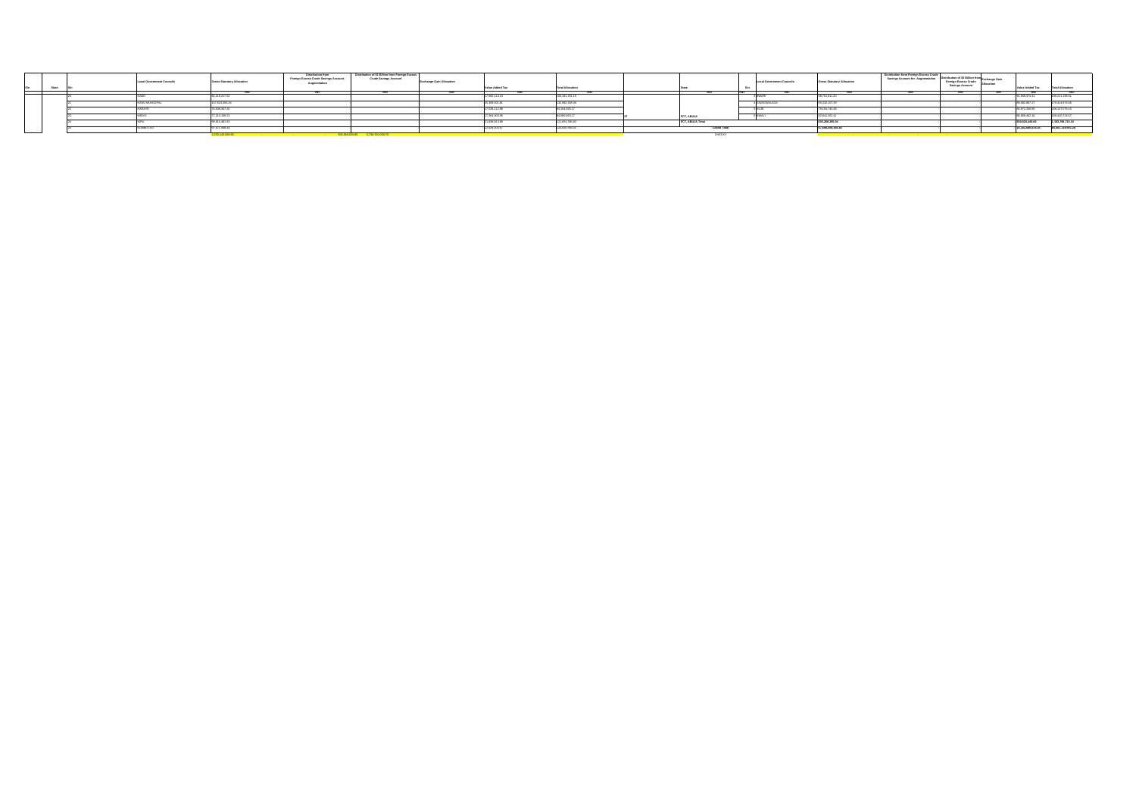| State | <b>Local Government Councils</b> | <b>Gross Statutory Allocation</b> | Distribution from<br>Foreign Excess Crude Savings Account -<br>Augmentation | Distribution of \$2 Billion from Foreign Escess<br>Crude Savings Account | Eschange Gain Allocation | Value Added Tax | Total Allocation |                         |        | <b>Local Government Councils</b> | <b>Gross Statutory Allocation</b> | Distribution from Foreign Excess Crude<br>Savings Account for-Augmentation | Distribution of \$2 Billion from<br>Foreign Excess Crude<br>Savings Account | llocation | Value Added Tax      | <b>Total Allocation</b> |
|-------|----------------------------------|-----------------------------------|-----------------------------------------------------------------------------|--------------------------------------------------------------------------|--------------------------|-----------------|------------------|-------------------------|--------|----------------------------------|-----------------------------------|----------------------------------------------------------------------------|-----------------------------------------------------------------------------|-----------|----------------------|-------------------------|
|       |                                  |                                   |                                                                             |                                                                          |                          |                 |                  |                         | ALC: U |                                  |                                   |                                                                            |                                                                             |           |                      |                         |
|       |                                  | 12 210 217                        |                                                                             |                                                                          |                          | 7 952 114 11    | 500 585 535 55   |                         |        |                                  | GR 701 811 20                     |                                                                            |                                                                             |           | -01,509,374.31       | -100                    |
|       | KAND MUNICIPAL                   | 35 300 FCB 301                    |                                                                             |                                                                          |                          | 25.359.001.8    | 132,982,308.06   |                         |        | wa z                             | GO 332.10                         |                                                                            |                                                                             |           | $-89,082,067.27$     | 179.414.974.66          |
|       |                                  | 76.636.347.21                     |                                                                             |                                                                          |                          | 538 112 0       | 04.154.450.17    |                         |        |                                  | 79 154 744 45                     |                                                                            |                                                                             |           | $-06,972,330.95$     | 1005117-0254            |
|       |                                  |                                   |                                                                             |                                                                          |                          | 17.364.903.95   |                  | FCT, ABUJ.              |        |                                  | 82.841.262                        |                                                                            |                                                                             |           | $-85.569.462.1$      |                         |
|       |                                  | 29.815.481.91                     |                                                                             |                                                                          |                          | 21 838 913 89   | 121 854 305 82   | <b>FCT, ABUJA Total</b> |        |                                  | 003268265.0                       |                                                                            |                                                                             |           | $-550.520.445.06$    | 1.153.788.710.10        |
|       |                                  | <b>17155534</b>                   |                                                                             |                                                                          |                          | 2.929.000 i     |                  | <b>Grand Total</b>      |        |                                  | 67.698.459.366.83                 |                                                                            |                                                                             |           | $-16,302,680,534,44$ | \$4,001,129,901.28      |
|       |                                  |                                   |                                                                             |                                                                          |                          |                 |                  |                         |        |                                  |                                   |                                                                            |                                                                             |           |                      |                         |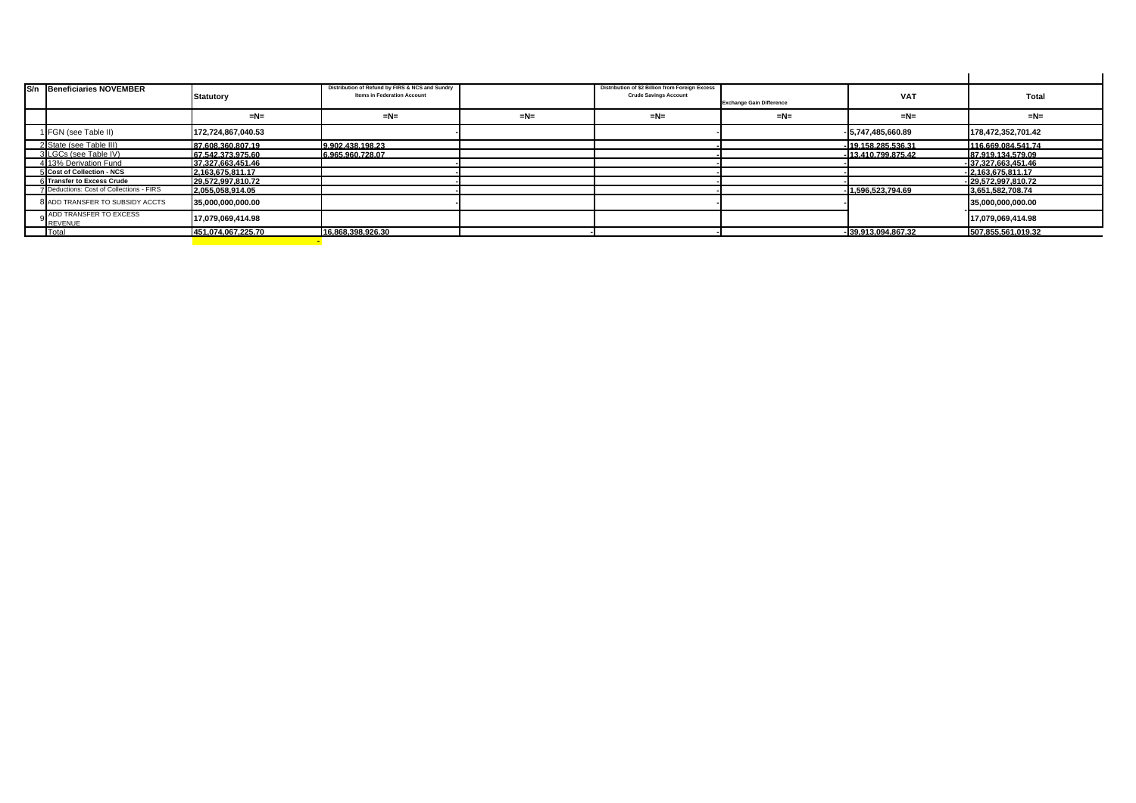| S/n Beneficiaries NOVEMBER               | Statutory          | Distribution of Refund by FIRS & NCS and Sundry<br><b>Items in Federation Account</b> |       | Distribution of \$2 Billion from Foreign Excess<br><b>Crude Savings Account</b> | <b>Exchange Gain Difference</b> | VA <sub>1</sub>      | Total               |
|------------------------------------------|--------------------|---------------------------------------------------------------------------------------|-------|---------------------------------------------------------------------------------|---------------------------------|----------------------|---------------------|
|                                          | $=N=$              | $=N=$                                                                                 | $=N=$ | $=N=$                                                                           | $=N=$                           | $=N=$                | $=N=$               |
| 1 FGN (see Table II)                     | 172,724,867,040.53 |                                                                                       |       |                                                                                 |                                 | - 5,747,485,660.89   | 178,472,352,701.42  |
| 2 State (see Table III)                  | 87.608.360.807.19  | 9.902.438.198.23                                                                      |       |                                                                                 |                                 | $-19.158.285.536.31$ | 116.669.084.541.74  |
| 3 LGCs (see Table IV)                    | 67.542.373.975.60  | 6.965.960.728.07                                                                      |       |                                                                                 |                                 | $-13.410.799.875.42$ | 87.919.134.579.09   |
| 4 13% Derivation Fund                    | 37,327,663,451.46  |                                                                                       |       |                                                                                 |                                 |                      | -37,327,663,451.46  |
| 5 Cost of Collection - NCS               | 2.163.675.811.17   |                                                                                       |       |                                                                                 |                                 |                      | $-2.163.675.811.17$ |
| 6 Transfer to Excess Crude               | 29.572.997.810.72  |                                                                                       |       |                                                                                 |                                 |                      | - 29.572.997.810.72 |
| 7 Deductions: Cost of Collections - FIRS | 2.055.058.914.05   |                                                                                       |       |                                                                                 |                                 | $-1.596.523.794.69$  | 3.651.582.708.74    |
| 8 ADD TRANSFER TO SUBSIDY ACCTS          | 35.000.000.000.00  |                                                                                       |       |                                                                                 |                                 |                      | 35,000,000,000.00   |
| ADD TRANSFER TO EXCESS<br>REVENUE        | 17,079,069,414.98  |                                                                                       |       |                                                                                 |                                 |                      | 17,079,069,414.98   |
| Total                                    | 451.074.067.225.70 | 16.868.398.926.30                                                                     |       |                                                                                 |                                 | -39.913.094.867.32   | 507.855.561.019.32  |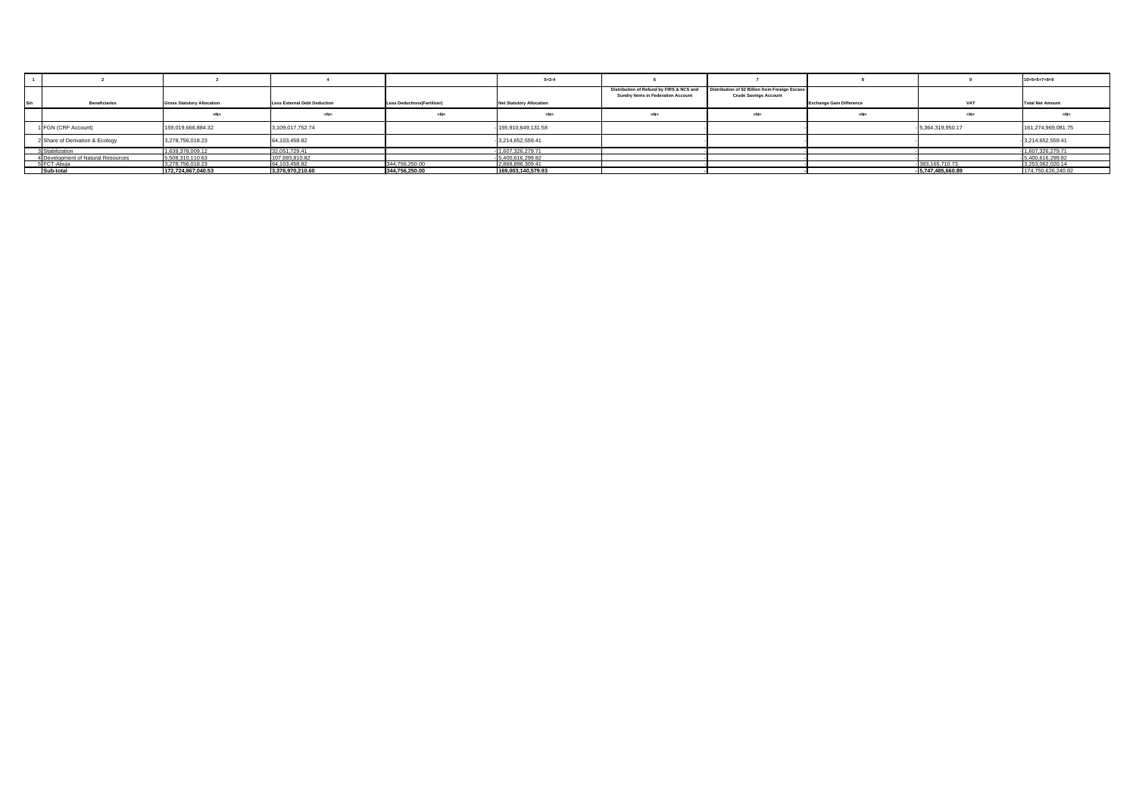|                                    |                                   |                                     |                                    | $5 = 3 - 4$                     |                                                                                |                                                                                 |                                 |                     | $10=5+6+7+8+9$          |
|------------------------------------|-----------------------------------|-------------------------------------|------------------------------------|---------------------------------|--------------------------------------------------------------------------------|---------------------------------------------------------------------------------|---------------------------------|---------------------|-------------------------|
| <b>Beneficiaries</b>               | <b>Gross Statutory Allocation</b> | <b>Less External Debt Deduction</b> | <b>Less Deductions(Fertilizer)</b> | <b>Net Statutory Allocation</b> | Distribution of Refund by FIRS & NCS and<br>Sundry Items in Federation Account | Distribution of \$2 Billion from Foreign Excess<br><b>Crude Savings Account</b> | <b>Exchange Gain Difference</b> | VAT                 | <b>Total Net Amount</b> |
|                                    | =N:                               | $= N =$                             | $= N$                              |                                 | $=$ N $=$                                                                      | $=N=$                                                                           | $=N=$                           |                     |                         |
| FGN (CRF Account)                  | 159,019,666,884.32                | 3,109,017,752.74                    |                                    | - 155,910,649,131.58            |                                                                                |                                                                                 |                                 | $-5,364,319,950.17$ | 161,274,969,081.75      |
| 2 Share of Derivation & Ecology    | 3,278,756,018.23                  | 64,103,458.82                       |                                    | 3,214,652,559.41                |                                                                                |                                                                                 |                                 |                     | $-3,214,652,559.41$     |
| <b>Stabilization</b>               | 1,639,378,009.12                  | 32,051,729.41                       |                                    | 1.607.326.279.71                |                                                                                |                                                                                 |                                 |                     | - 1,607,326,279.71      |
| 4 Development of Natural Resources | 5,508,310,110.63                  | 107.693.810.82                      |                                    | - 5.400.616.299.82              |                                                                                |                                                                                 |                                 |                     | $-5.400.616.299.82$     |
| FCT-Abuia                          | 3.278.756.018.23                  | 64.103.458.82                       | 344.756.250.00                     | 2.869.896.309.41                |                                                                                |                                                                                 |                                 | -383.165.710.73     | 3.253.062.020.14        |
| Sub-total                          | 172.724.867.040.53                | 3.376.970.210.60                    | 344.756.250.00                     | 169.003.140.579.93              |                                                                                |                                                                                 |                                 | $-5.747.485.660.89$ | 174.750.626.240.82      |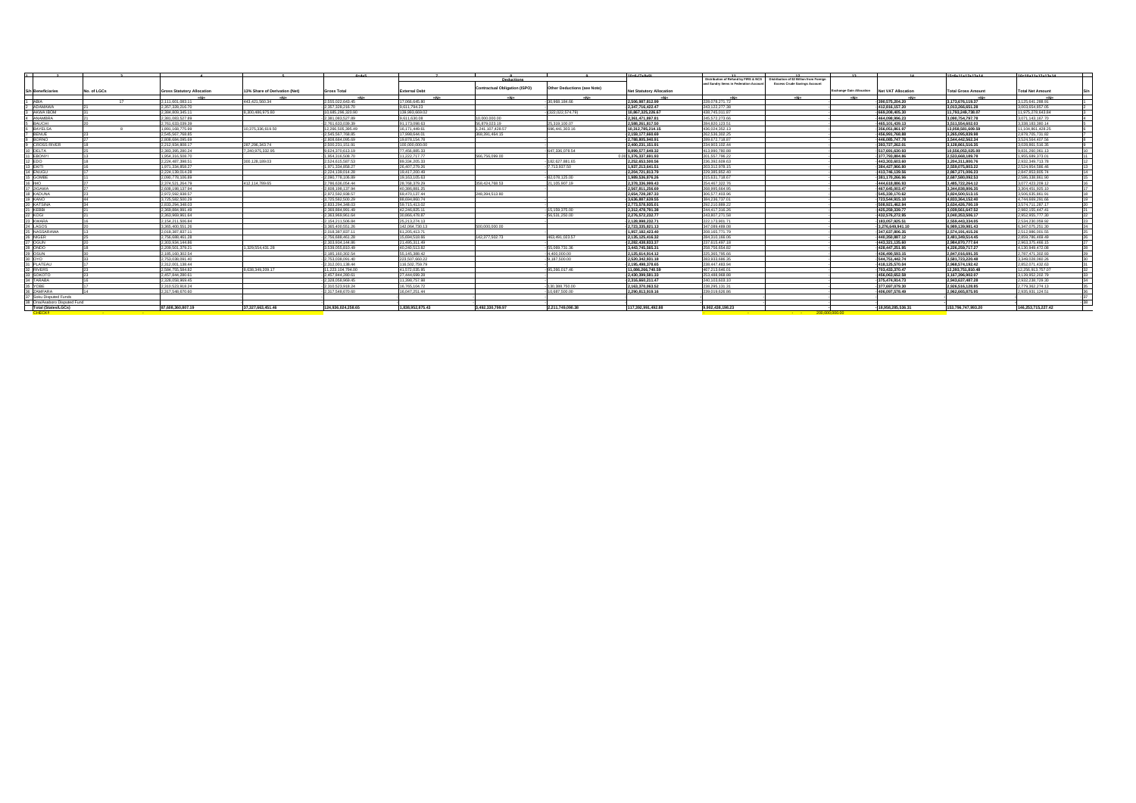|                              |             |                                   |                               | $6 - 4 - 5$           |                      |                                      |                                    | $10m$ 6-(7+8+9)                 |                                        |                                                 | $\overline{11}$                 | $\overline{14}$           | 15-6+11+12+13+14          | 16=10+11+12+13+1<br>j                |
|------------------------------|-------------|-----------------------------------|-------------------------------|-----------------------|----------------------|--------------------------------------|------------------------------------|---------------------------------|----------------------------------------|-------------------------------------------------|---------------------------------|---------------------------|---------------------------|--------------------------------------|
|                              |             |                                   |                               |                       |                      |                                      |                                    |                                 | Distribution of Refund by FIRS & NCS   | <b>Jistribution of \$2 Billion from Foreign</b> |                                 |                           |                           |                                      |
|                              |             |                                   |                               |                       |                      | <b>Contractual Obligation (ISPO)</b> | <b>Other Deductions (see Note)</b> |                                 | and Sundry Items in Federation Account | Excess Crude Savings Account                    |                                 |                           |                           |                                      |
| n Beneficiaries              | No. of LGCs | <b>Gross Statutory Allocation</b> | 13% Share of Derivation (Net) | <b>Gross Total</b>    | <b>External Debt</b> |                                      |                                    | <b>Net Statutory Allocation</b> |                                        |                                                 | <b>Exchange Gain Allocation</b> | <b>Net VAT Allocation</b> | <b>Total Gross Amount</b> | <b>Total Net Amount</b>              |
|                              |             |                                   |                               |                       |                      |                                      |                                    |                                 |                                        |                                                 |                                 |                           |                           |                                      |
| <b>ARIA</b>                  |             | 111 601 083 11                    | 143 421 580 34                | 555.022.643.45        | 17 066 645 80        |                                      | 30 988 184 66                      | 506 987 812 99                  | 228 078 271 72                         |                                                 |                                 | 390.575.204.20            | 3.173.676.119.37          | 125 641 288 91                       |
| <b>ADAMAWA</b>               |             | 35732821670                       |                               | 35732821670           | 981179423            |                                      |                                    | 2.347.716.422.47                | 243 122 277 38                         |                                                 |                                 | 412 816 157 20            | 3.013.266.651.28          | 3 003 654 857 05                     |
| <b>LAKWA IROM</b>            |             | 384 809 345 11                    | 300 486 975 80                | 0 685 296 320 90      | 139 993 669 02       |                                      | (322 022 574 79)                   | 10.867.325.226.67               | 438 745 011 87                         |                                                 |                                 | 669 208 405 30            | 11.793.249.738.07         | 11.975.278.643.84                    |
| ANAMRRA                      |             | 381 083 527 89                    |                               | 381.083.527.89        | 9 611 630 08         | 0.000.000.00                         |                                    | 2.361.471.897.81                | 245 572 273 66                         |                                                 |                                 | 464 098 996 23            | 3 090 754 797 78          | 3 071 143 167 70                     |
| RAUCHL                       |             | 761 633 039 39                    |                               | 761 633 039 39        | 91 173 098 63        | A 879 023 19                         | 25.319.100.07                      | 2.588.261.817.50                | R4 820 123 51                          |                                                 |                                 | 465 101 439 13            | 3.511.554.602.03          | 1338 183 380 14                      |
| <b>RAYELSA</b>               |             | 891 168 775 99                    | 0.375.336.619.50              | 2266 505 395 49       | 16 171 449 61        | 241 107 428 57                       | 696 441 303 16                     | 10.312.785.214.15               | 436 024 352 13                         |                                                 |                                 | 356 051 861 97            | 13.058.581.609.5          | 110486142825                         |
| <b>BENUE</b>                 |             | <b>645 567 768 85</b>             |                               | <b>545 567 768 85</b> | 17 998 644 01        | VRR 391 4R4 15                       |                                    | 2.159.177.660.69                | 282 538 302 25                         |                                                 |                                 | 456.991.768.88            | 3.265.095.839.98          | 2878 705 731 82                      |
| <b>BORNO</b>                 |             | <b>PA 2PD BRA RDR S</b>           |                               | <b>PA 2PD ARA ROA</b> | 19 878 154 78        |                                      |                                    | 2,788,805,940.91                | 289 672 718 87                         |                                                 |                                 | 446.085.747.78            | 3 544 442 562 34          | 3 524 564 407 56                     |
| <b>CROSS RIVER</b>           |             | 212.934.808.17                    | 287 296 343 74                | 500.231.151.91        | 100,000,000.00       |                                      |                                    | 2.400.231.151.91                | 234.903.102.44                         |                                                 |                                 | 393.727.262.01            | 3.128.861.516.35          | 3.028.861.516.35                     |
| 10 DELTA                     |             | 38339528024                       | 240.975.332.95                | 9.624.370.613.19      | <b>77 456 885 33</b> |                                      | 647.336.078.54                     | 8.899.577.649.32                | 413.990.780.88                         |                                                 |                                 | 517.691.630.93            | 10.556.053.025.00         | 9.831.260.061.13                     |
| 11 EBONYI                    |             | 1.954.316.508.70                  |                               | 1.954.316.508.70      | 11.222.717.77        | 566 756 099 00                       |                                    | 0.00 1.376.337.691.93           | 201.557.796.22                         |                                                 |                                 | 377.793.884.86            | 2.533.668.189.78          | 1.955.689.373.01<br>i                |
| 2 EDO                        |             | 2224 487 398 51                   | 00.128.189.03                 | 524.615.587.53        | 89.334.205.33        |                                      | 182.627.881.65                     | 2.252.653.500.56                | 236.392.609.63                         |                                                 |                                 | 443.303.603.60            | 3.204.311.800.76          | 2.932.349.713.78                     |
| 13 EKITI                     |             | 1.971.334.858.27                  |                               | 1.971.334.858.27      | 26.407.279.26        |                                      | 7.713.937.50                       | 1.937.213.641.51                | 203.312.978.15                         |                                                 |                                 | 384.427.966.80            | 2.559.075.803.22          | 2.524.954.586.46<br>13 <sub>1</sub>  |
| 14 ENUGU                     |             | 2.224.139.014.28                  |                               | 2.224.139.014.28      | 19.417.200.49        |                                      |                                    | 2.204.721.813.79                | 229.385.852.40                         |                                                 |                                 | 413.746.139.56            | 2.867.271.006.23          | 2 847 853 805 74<br>114              |
| 5 GOMBE                      |             | 090.778.106.89                    |                               | 090.778.106.89        | 19.163.105.63        |                                      | 82.078.125.00                      | 1.989.536.876.26                | 215.631.718.67                         |                                                 |                                 | 381.170.266.96            | 2.687.580.092.53          | 1.586.338.861.90                     |
| 16 IMO                       |             | 2.374.521.264.79                  | 12.114.789.65                 | 1786.636.054.44       | 28.768.379.29        | 58.424.768.53                        | 21.105.907.19                      | 2.378.336.999.43                | 254.467.322.76                         |                                                 |                                 | 444.618.886.93            | 3.485.722.264.12          | 3.077.423.209.12<br>16               |
| 17 JIGAWA                    |             | ROB 198 137 94                    |                               | 2 608 198 137 94      | 40 386 881 25        |                                      |                                    | 2.567.811.256.69                | 268 995 664 95                         |                                                 |                                 | 467 645 003 47            | 3 344 838 806 35          | 17<br>3.304 451 925 10               |
| 18 KADI INA                  |             | 2 972 592 938 57                  |                               | 2 972 592 938 57      | R9 470 137 44        | 48 394 513 80                        |                                    | 2 654 728 287 3                 | 106 577 403 98                         |                                                 |                                 | 545 330 170 62            | 3824 500 513 15           | 506 635 861 91<br>18                 |
| 19 KANO                      |             | 3725 582 500 29                   |                               | 3 725 582 500 29      | 88 694 860 74        |                                      |                                    | 3 636 887 639 55                | 384 236 737 01                         |                                                 |                                 | 723 544 915 10            | 4833364152.40             | 10<br>4 744 669 291 66               |
| 20 KATSINA                   |             | A33 294 348 03                    |                               | 2 833 294 348 03      | 59 715 413 02        |                                      |                                    | 2 773 578 935 01                | 292 210 889 22                         |                                                 |                                 | 508 921 462 94            | 3 634 426 700 19          | 3 574 711 287 17<br>$20 -$           |
| 21 KEBBI                     |             | 389 884 991 49                    |                               | 369 884 991 49        | 42 246 825 11        |                                      | 15 159 375 00                      | 2.312.478.791.38                | 44 417 316 26                          |                                                 |                                 | 425 259 339 77            | 3 039 561 647 52          | 982 155 447 41                       |
| 22 KOGI                      |             | 2363 969 961 64                   |                               | 283 989 981 84        | 30 866 478 87        |                                      | 56.531.250.00                      | 2.276.572.232.77                | 243 807 271 58                         |                                                 |                                 | 432.576.272.95            | 3 040 353 506 17          | 2 952 955 777 30                     |
| 3 KWARA                      |             | 154 211 508 84                    |                               | 154 211 506 84        | 25 213 274 13        |                                      |                                    | 2.128.998.232.71                | 222 173 901 71                         |                                                 |                                 | 183 057 925 51            | 2.559.443.334.05          | 2 534 230 059 92                     |
| 24 LAGOS                     |             | 385 400 551 26                    |                               | 365 400 551 26        | 142 064 730 13       | 200.000.000                          |                                    | 2.723.335.821.13                | 347 089 489 08                         |                                                 |                                 | 3 276 649 941 10          | FA 139 981 43             | 347 075 251 30                       |
| 25 NASSARAWA                 |             | 018 387 837 11                    |                               | 018 387 837 11        | R1 205 413 71        |                                      |                                    | 1.957.182.423.40                | 208.165.771.79                         |                                                 |                                 | 347 637 806 35            | 2.574.191.415.26          | 2 512 986 001 55<br>25               |
| 26 NIGER                     |             | 756 688 461 28                    |                               | 756 688 461 28        | 15 694 518 66        | 42.377.502.73                        | 483 491 023 57                     | 2.135.125.416.32                | 80.881.015.88                          |                                                 |                                 | 440.350.887.12            | 3.481.349.514.45          | 2.859.786.469.49                     |
| 27 OGUN                      |             | 303 934 144 86                    |                               | 303 934 144 86        | 21 495 311 49        |                                      |                                    | 2 282 438 833 37                | 237 615 497 18                         |                                                 |                                 | 443.321.135.60            | 2984 870 777 64           | 983 375 488 15                       |
| 28 ONDO                      |             | 209.501.379.21                    | 329.554.431.28                | 539.055.810.49        | 40.240.513.82        |                                      | 55.069.731.36                      | 3.443.745.565.31                | 258.756.654.82                         |                                                 |                                 | 428,447,251.95            | 4.226.259.717.27          | 4.130.949.472.08<br>28               |
| 29 IOSUN                     |             | 185 180 302 54                    |                               | 185 180 302 54        | 55 145 388 42        |                                      | 4 400 000 00                       | 2.125.614.914.12                | 225.365.795.66                         |                                                 |                                 | 436 490 593 15            | 2,847.016.691.35          | $29 -$<br>2 787 471 302 93           |
| 30 OYO                       |             | 753,038,091.40                    |                               | 753.038.091.40        | 223.507.660.22       |                                      | 9.187.500.00                       | 2.520.342.931.18                | 28.383.836.25                          |                                                 |                                 | 544.751.442.74            | 3.581.723.220.48          | 1349.028.060.26                      |
| 31 PLATEAU                   |             | 312.001.138.44                    |                               | 2.312.001.138.44      | 116.502.759.79       |                                      |                                    | 2.195.498.378.65                | 238.447.483.94                         |                                                 |                                 | 418.125.570.04            | 2.968.574.192.42          | 2.852.071.432.63                     |
| 32 RIVERS                    |             | <b>FR4 755 584 82</b>             | 883834920917                  | 11.223.104.794.00     | 41.572.035.95        |                                      | 95 266 017 46                      | 11.086.266.740.59               | 467.213.646.01                         |                                                 |                                 | 703 433 370 47            | 12.393.751.810.48         | 12.256.913.757.07<br>32 <sup>7</sup> |
| 33 SOKOTO                    |             | 457 844 280 61                    |                               | 2 457 844 280 61      | 27 444 699 28        |                                      |                                    | 2 430 399 581 3                 | AS ARR ARR RR                          |                                                 |                                 | 456 063 652 51            | 3.167.396.902.07          | 3 139 952 202 79<br>22               |
| 34 TARABA                    |             | 328 058 969 45                    |                               | 328 058 969 45        | 11.398.757.98        |                                      |                                    | 2.316.660.211.47                | 240.103.603.10                         |                                                 |                                 | 375.474.914.73            | 2.943.637.487.28          | 34<br>2.932.238.729.30               |
| 35 YOBE                      |             | 310.523.918.24                    |                               | 310 523 918 24        | 16 765 104 72        |                                      | 130 388 750 00                     | 2.163.370.063.52                | 238 295 131 31                         |                                                 |                                 | 377.697.079.30            | 2.926.516.128.85          | 2.779.362.274.13<br>$35 -$           |
| 36 ZAMEARA                   |             | 317 548 670 RC                    |                               | 317 548 670 60        | 16.047.251.44        |                                      | 10 687 500 00                      | 2.290.813.919.16                | 39.019.626.86                          |                                                 |                                 | 406 097 578 49            | 296266587595              | 28<br>935 931 124 51                 |
| 7 Soku Disnuted Funds        |             |                                   |                               |                       |                      |                                      |                                    |                                 |                                        |                                                 |                                 |                           |                           | $-37$                                |
| 38 Ona/Asaboro Disputed Fund |             |                                   |                               |                       |                      |                                      |                                    |                                 |                                        |                                                 |                                 |                           |                           | $-38$                                |
| Total (States/LGCs)          |             | 7,608,360,807.19                  | 7327 663 451 46               | 124 936 024 258 65    | 183895287543         | 492 330 799 97                       | 221124909038                       | 117 392 991 492 88              | 9.902.438.198.23                       |                                                 |                                 | 18 958 285 536 31         | 153 796 747 993 20        | 146.253.715.227.42                   |
|                              |             |                                   |                               |                       |                      |                                      |                                    |                                 |                                        |                                                 |                                 |                           |                           |                                      |

 $-200,000,000,00$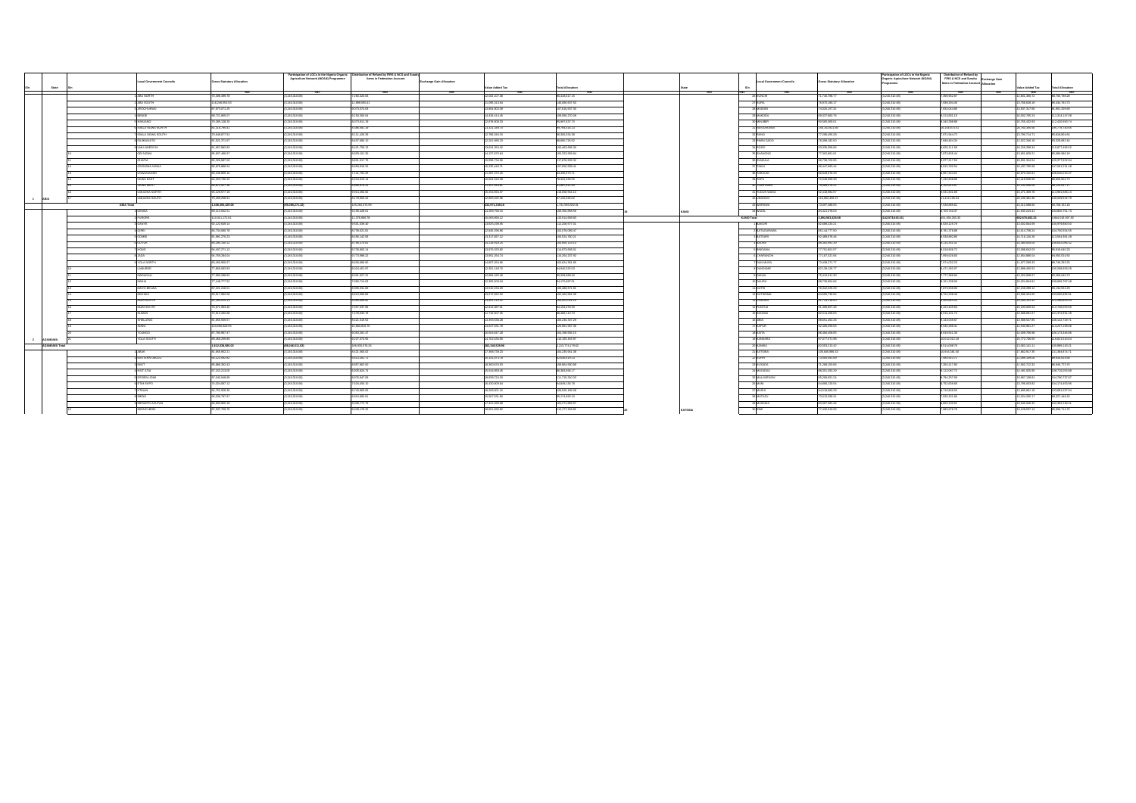|          |                   |                                  |                           | Participation of LGCs in the Nigeria Organic | ribution of Refund by FIRS & NCS and Sun |                         |                |                 |            |            |                           |                           | irticipation of LGCs in the Nigeria | Natribution of Refund by               |                      |                         |
|----------|-------------------|----------------------------------|---------------------------|----------------------------------------------|------------------------------------------|-------------------------|----------------|-----------------|------------|------------|---------------------------|---------------------------|-------------------------------------|----------------------------------------|----------------------|-------------------------|
|          |                   | <b>Local Government Councils</b> | ross Statutory Allocation | Agriculture Network (NOAN) Programme         | Items in Federation Account              | schange Gain Allocation |                |                 |            |            | Local Government Councils | ross Statutory Allocation | Organic Agriculture Network (NOAN)  | FIRS & NCS and Sundry Exchange Gain    |                      |                         |
|          |                   |                                  |                           |                                              |                                          |                         | also Added Tax | otal Allocation |            |            |                           |                           | Programme                           | Items in Federation Account Allocation | Value Added Tax      | <b>Total Allocation</b> |
|          |                   |                                  |                           |                                              |                                          |                         |                |                 | <b>AND</b> | --         |                           |                           |                                     |                                        |                      | $-100$                  |
|          |                   | <b>BANCRTH</b>                   | 70,396,499.78             | 3,240,310.08)                                | 260,320.00                               |                         | 1,002,107.38   | 1418.617.1      |            |            |                           | 740,785.77                | 240,310.08)                         | 398,962.87                             | 12,801,356.72        | 18,700,798.28           |
|          |                   | <b>BA SOUTH</b>                  | 16,246,553.53             | 3,240,310.08)                                | (389,050.41                              |                         | 025,313.64     | 02.503.009.34   |            |            |                           | 1970,180.17               | 240,310.08)                         | 038,294.45                             | 3,706,628.19         | 15,434,792.73           |
|          |                   | ROCHURWU                         | 87,973,071.25             | (3,240,310.08)                               | 073,074.03                               |                         | 13,804,802.09  | 07,610,637.30   |            |            |                           | 1,020,157.31              | 3,240,310.08)                       | 034,044.80                             | 13,537,317.66        | 01,051,209.69           |
|          |                   | ENDE                             | 88,721,865.07             | (80.010.042.2)                               | A3.000.027.2                             |                         | 4,434,414.45   | 09,066,270.08   |            |            |                           | 2337.860.76               | (240,310.08)                        | 213.831.15                             | 16.002.705.24        | 111.314.147.08          |
|          |                   |                                  | 78,285,128.25             | (3, 240, 310.08)                             |                                          |                         | 12,878,908.33  | 5,997,637.70    |            |            |                           | 1,565,069.01              | 3,240,310.08)                       |                                        |                      | 12,420,590.74           |
|          |                   |                                  |                           |                                              | 1,073,911.19                             |                         |                |                 |            |            |                           |                           |                                     | 2,340,398.88                           | 15,755,432.93        |                         |
|          |                   | SALA NGWA NORTH                  | 81,316,725.41             | (3,240,310.08)                               | 1,386,581.19                             |                         | 3,31,349.70    | 0,794,416.23    |            |            |                           | 6,153,821.66              | (240,310.08)                        | 104,873.51                             | 26,760,355.56        | 195,778,740.65          |
|          |                   | SIALA NGWA SOUTH                 | 78,648,877.91             | (3, 240, 310.08)                             | 00.026.277                               |                         | 12,786,040.15  | 00,000,004.30   |            |            |                           | 296,455.28                | 3,240,310.08)                       | 7,971,944.72                           | 13,790,714.71        | 85,818,804.64           |
|          |                   | <b>JIKWUATO</b>                  | 81,521,371.67             | 3,240,310.08)                                | 8.407.680.10                             |                         | 2,201,985.23   | 8,890,726.92    |            |            | <b>IN GADO</b>            | 099,182.00                | (240,310.08)                        | MEADA.8AB                              | 2.622.346.18         | 23,329,682.44           |
|          |                   | <b>MU-NNEOCHE</b>                | 81,057,882.83             | (80.010.042.2)                               | 8,421,759.13                             |                         | 3,624,354.42   | 00,463,686.30   |            |            |                           | 33,350,200,0              | (240,310.08)                        | 1,626,111.59                           | <b>MC BEE 021.01</b> | 15,877,496.52           |
|          |                   | <b>DEI NGWA</b>                  | 85,007,496.97             | 3,240,310.08)                                | 1,829,101.30                             |                         | 4,127,670.64   | 5,323,958.84    |            |            |                           | 302,861.61                | 3,240,310.08)                       | 072,605.44                             | 3.651.829.2          | 5,686,986.18            |
|          |                   |                                  | 95,326,987.09             | 3,240,310.08)                                | 831,517.75                               |                         | 5,958,734.56   | 7,876,929.32    |            |            |                           | 739,700.95                | (240,310.08)                        | 977,217.53                             | 16,901,324.54        | 120,377,932.94          |
|          |                   | AWGW AMORE                       | 86,875,886.54             | (3,240,310.08)                               | 8,959,916.25                             |                         | 5,225,446.71   | 07,820,939.41   |            |            |                           | 6,447,953.44              | 3,240,310.08)                       | 1,915,782.54                           | 5,437,795.58         | 107,561,231.48          |
|          |                   | WUNAGBO                          | 0.246.859.10              | (3, 240, 350.08)                             |                                          |                         |                |                 |            |            |                           | 849.978.33                | 3,240,310.08)                       |                                        |                      | 08:540.015.07           |
|          |                   |                                  |                           |                                              | 7,141,752.25                             |                         | 1,287,272.45   | A35,573.71      |            |            |                           |                           |                                     | 8,957,244.21                           | 15,973,102.61        |                         |
|          |                   | WA EAST                          | 64,323,790.20             | 3,240,310.08)                                | 634,013.14                               |                         | 004.543.28     | 1,322,036.55    |            |            |                           | 1,049,569.38              | (240,310.08)                        | 38.838,004                             | 2,419,536.56         | 6,659,604.73            |
|          |                   | KWA WEST                         | 06,872,527.36             | (3, 240, 310.08)                             | 6,896,876.32                             |                         | 11,457,918.81  | 11,987,012.40   |            |            |                           | 1,069,576.21              | 3,240,310.08)                       | 8,154,814.97                           | 14,142,555.06        | 98,126,637.17           |
|          |                   | <b><i>ILIANIA NORTH</i></b>      | 5,129,577.19              | 3,240,310.08)                                | 914,292.62                               |                         | 5,254,994.37   | 8,058,554.10    |            |            |                           | 1,418,984.57              | (240,310.08)                        | 531,001.85                             | 16,271,309.78        | 114,981,586.13          |
|          |                   | UAHIA SOUTH                      | 79,299,258.91             | (3, 240, 310.08)                             | 178,503.22                               |                         | 12,025,492.96  | 7,132,945.02    |            |            |                           | 0,052,456.47              | 3,240,310.08)                       | 11,412,105.04                          | 20,235,381.36        | 39,059,632.79           |
|          |                   | <b>ABIA Total</b>                | 1.408.450.429.08          | (55,085,271.22)                              | 145.260.075.99                           |                         | 232,971,349.16 | 731596582.91    |            |            |                           | 3,097,488.05              | (240.310.08)                        | 7,538,885.61                           | 13.312.008.60        | 30,708,152.18           |
|          |                   | XIMSA                            | 2,110,942.51              | (3, 240, 310.08)                             | 0,190,428.01                             |                         | 4,289,798.15   | 09,350,858.59   |            |            |                           | A.421,078.03              | 3,240,310.08)                       | 8,706,740.37                           | 14,933,243.41        | 04,820,751.73           |
|          |                   | URORE                            | 10,311,172.01             | (3,240,310.08)                               | 1,376,906.78                             |                         | 5,006,090.12   | 13,514,658.83   |            | KAND Total |                           | 1022,563,328.68           | 142,573,643.41)                     | 01,458,250.33                          | 032,570,062.32       | 4,544,018,597.92        |
|          |                   | <b>ANYE</b>                      | 12,122,649.14             | (3, 240, 310.08)                             | 9,501,032.40                             |                         | 13,825,198.55  | 12,208,577.01   |            |            |                           | 00922021                  | 3,240,310.08)                       | 1,528,125.78                           | 13,002,844.59        | 00,979,880.50           |
|          |                   | ardi                             | 4,734,080.78              | (3,240,310.08)                               | 1,739,021.81                             |                         | 2,545,296.96   | 13,078,089.47   |            |            |                           | 144,777.50                | (240,310.08)                        | 1,781,378.88                           | 14.014.708.24        | 04,700,554.55           |
|          |                   |                                  | 11,991,270.23             | 3,240,310.08)                                | 8,456,142.93                             |                         | 13,317,657.12  | 0,524,760.21    |            |            |                           | 402,670.46                | 240,310.08)                         | 2,538,892.85                           | 14.716.120.26        | 13,504,381.49           |
|          |                   | annak                            | 5,290,140.12              | (3,240,310.08)                               | 1,796,370.81                             |                         | 14,218,918.25  | 05,065,119.10   |            |            |                           | 15,382,991.39             | (240,310.08)                        | 115,351.01                             | 14,384,054.00        | 08,642,086.32           |
|          |                   |                                  | 94,407,271.12             | (3,240,310.08)                               | 9,736,663.14                             |                         | 3,970,033.82   | 4,873,658.01    |            |            |                           | ,751,801.57               | (240,310.08)                        | 018,906.72                             | 3.008.642.03         | 15,619,040.23           |
|          |                   |                                  | 94,769,254.04             | (3,240,310.08)                               | 773,999.22                               |                         | 13,951,264.74  | 15,254,237.92   |            |            |                           | 167,321.94                | 3,240,310.08)                       | 058,626.00                             | 10.003,100.2         | 14,550,524.50           |
|          |                   | YOLA NORTH                       | 83,450,950.67             | (3,240,310.08)                               | 03.353,300,5                             |                         | 14,007,054.66  | 03,624,381.85   |            |            | 100107-012                | 1,438,271.77              | 3,240,310.08)                       | 574,032.23                             | 11,977,299.33        | 19,749,293.25           |
|          |                   |                                  | 77,805,083.93             | 3,240,310.08)                                |                                          |                         |                |                 |            |            |                           |                           | 3,240,310.08)                       |                                        |                      | 00,268,659.28           |
|          |                   | <b>AMURDE</b>                    |                           |                                              | 1,024,401.97                             |                         | 2,351,149.70   | 1,940,325.53    |            |            |                           | 1,139,126.77              |                                     | 471,392.07                             | 2,898,450.52         |                         |
|          |                   |                                  | 77,583,288.82             | (80.010.042.2)                               | 8,001,527.21                             |                         | 12,954,182.46  | 5,328,688.40    |            |            |                           | 410,011.30                | 3,240,310.08)                       | 777,386.94                             | 12,322,558.57        | 22,203,646.73           |
|          |                   |                                  | 7,148,777.52              | (3,240,310.08)                               | 356,714.03                               |                         | 2,305,506.04   | 170,687.51      |            |            |                           | 730,954.66                | 3,240,310.08)                       | 151,238.09                             | 5.024.904.8          | 109,666,787.48          |
|          |                   | <b>AYO-BELWA</b>                 | 87,221,216.01             | (3, 240, 310.08)                             | 1,995,531.69                             |                         | 3,510,234.29   | 106,486,671.91  |            |            |                           | 5,342,025.29              | (240,310.08)                        | 873,509.90                             | 2,159,299.12         | 0,134,524.23            |
|          |                   | <b>ICHIKA</b>                    | 83.517.982.08             | (3,240,310.08)                               | 8.613.599.86                             |                         | 13,572,692.52  | 102.463.954.39  |            |            |                           | A 590 739 94              | 3,240,310.08)                       | 8,724,238.40                           | 13,586,324.65        | 103.660.992.91          |
|          |                   | <b>JUBINORTH</b>                 | 81,395,514.13             | (3, 240, 310.08)                             | 8,394,699.82                             |                         | 13,451,110.22  | 07.901,014      |            |            |                           | 723,218.00                | 3,240,310.08)                       | 1,459,844.20                           | 14,344,101.42        | 12,286,853.54           |
|          |                   | <b>JUBI SOUTH</b>                | 76,671,963.40             | (3, 240, 310.08)                             | 7,907,537.96                             |                         | 12,814,887.01  | 14,154,078.30   |            |            |                           | 369,907.46                | 3,240,310.08)                       | 1,423,405.63                           | 5.193.050.54         | 12,746,053.55           |
|          |                   |                                  | 72,513,282.68             | (3,240,310.08)                               | 478,633.78                               |                         | 1,716,507.35   | 18,468,113.73   |            |            |                           | 3514,458.05               | 3,240,310.08)                       | 510,101.74                             | 13,588,681.57        | 101,372,931.28          |
|          |                   | HELLENG                          | 1.655.559.57              | (3,240,310.08)                               | 8.421.519.52                             |                         | 120323120      | 00.230.307.29   |            |            |                           | 8.651.462.26              | (240.310.08)                        | 143.039.67                             | 3.588.537.85         | 108.142.729.71          |
|          |                   |                                  | 03,590,928.95             | (240,310.08)                                 | 0,683,816.70                             |                         | 4,647,531.78   | 5,681,967.35    |            |            |                           | 406,259.05                | 240,310.08)                         | 530,289.41                             | 4,540,961.27         | 3,237,199.66            |
|          |                   |                                  | 17,780,967.47             | (3, 240, 310.08)                             | 9,053,261.47                             |                         | 0,004,647.28   | 04,198,566.15   |            |            |                           | 5,484,408.05              | 3,240,310.08)                       | 1,919,541.30                           | 14,009,706.98        | 106, 173, 346.86        |
|          |                   | <b>OLA SOUTH</b>                 | 89,406,259.85             | 3,240,310.08)                                | 227,073.55                               |                         | 4,702,430.65   | 0,155,453.97    |            |            |                           | 077,071.98                | 240,310.08)                         | 012,012.18                             | 5,772,736.55         | 19,621,510.64           |
| $\sim$ 2 | <b>ADAMAWA</b>    |                                  | 1,812,538,585.03          | (68, 046, 511.63)                            |                                          |                         | 282,346,529.96 |                 |            |            |                           |                           |                                     |                                        |                      |                         |
|          | <b>MAWA Total</b> |                                  |                           |                                              | 186,935,576.26                           |                         |                | 213,774,179.62  |            |            |                           | 2,553,213.42              | 3,240,310.08)                       | 514,098.76                             | 3,062,141.11         | 00,889,143.21           |
|          |                   | <b>MAK</b>                       | 81,055,952.21             | (3, 240, 310.08)                             | 8,421,560.02                             |                         | 7,398,739.23   | 04,235,941.38   |            |            |                           | 05.845.886.43             | 3,240,310.08)                       | 10,916,381.00                          | 17.862.917.35        | 131.384.874.71          |
|          |                   | <b>STERN COOLD</b>               | 14, 122,592.82            | 3,240,310.08)                                | 613,262.71                               |                         | 5,141,073.78   | 1,636,619.23    |            |            |                           | 505,091.99                | 3,240,310.08)                       | 580,923.71                             | 2,089,109.06         | 19,934,814.68           |
|          |                   |                                  | 85,886,362.43             | (3,240,310.08)                               | 8,857,862.00                             |                         | 12.350,000,81  | 09,864,590.89   |            |            |                           | 268,153.66                | 3,240,310.08)                       | 350,217.80                             | 11,562,712.32        | 05,940,773.70           |
|          |                   | <b>ISIT ATAI</b>                 | 67,153,213.05             | (3,240,310.08)                               | 6,925,824.74                             |                         | 15,544,968.45  | 05.383.696.17   |            |            | MATADI N                  | 03,351,350.29             | 3,240,310.08)                       | 112,087.72                             | 14.491.925.95        | 108,715,053.88          |
|          |                   | SSIEN LIDIM                      | 7,040,048.99              | (3,240,310.08)                               | 8,976,847.09                             |                         | 18,938,724.20  | 1,715,310.20    |            |            | CAMIL                     | 3209.051.24               | (240,310.08)                        | 1,794,257.09                           | 13.967.138.81        | 104,790,737.67          |
|          |                   | TIM EKPO                         | 74,024,087.12             | (3,240,350.08)                               | 634,450.10                               |                         | A3 202,009.54  | 14,549,136.78   |            |            |                           | A 806.120.54              | 3,240,310.08)                       | 1752.639.68                            | 1.795.003.82         | 104, 174, 453.95        |
|          |                   |                                  | 1,752,928.36              | 1,240,350.08)                                | 740,965.65                               |                         | 266,601.15     | (520,185.0)     |            |            |                           | 18,680.23                 | ,240,310.08)                        | 16,806.55                              | 695,061.1            | 0,681,037.94            |
|          |                   |                                  | 66,036,787.97             | (3,240,310.08)                               | 13.583,612                               |                         | 15,567,531.60  | 174,692.10      |            |            |                           | 1,013,289.31              | 3,240,310.08)                       | 530,201.80                             | 12.024.205.1         | 89,327,446.20           |
|          |                   | ESKPO ASUTAN                     | 0,833,850.18              | 3,240,310.08)                                | 1,336,772.79                             |                         | 7,341,509.68   | 03,271,882.57   |            |            |                           | 1,387,382.46              | (240,310.08)                        | 000,130.51                             | 3,645,046.32         | 02,392,249.21           |
|          |                   | <b>ICNO ISOM</b>                 | 87,537,759.75             | 3,240,310.08)                                | 9.028.178.32                             |                         | 18,851,690.82  | 12,177,318.81   |            |            |                           | 432.510.93                | (240,310.08)                        | 7,985,976.78                           | 13.128.537.12        | 25,306,714.75           |
|          |                   |                                  |                           |                                              |                                          |                         |                |                 |            |            |                           |                           |                                     |                                        |                      |                         |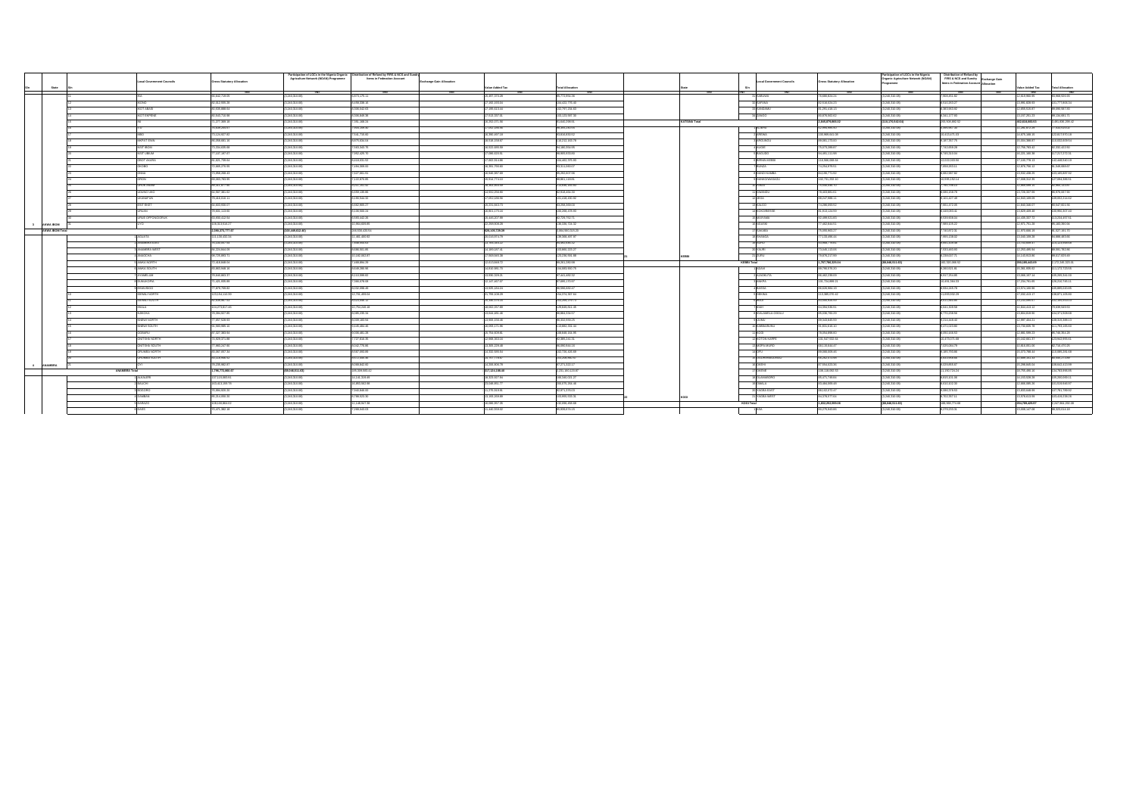|                                       |                      |                                  |                                   | Participation of LGCs in the Nigeria Organic | ation of Refund by FIRS & NCS and Sun |                         |                |                  |                      |                     |                           |                            | irticipation of LGCs in the Nigeria       | tribution of Refund by                 |               |                |                  |
|---------------------------------------|----------------------|----------------------------------|-----------------------------------|----------------------------------------------|---------------------------------------|-------------------------|----------------|------------------|----------------------|---------------------|---------------------------|----------------------------|-------------------------------------------|----------------------------------------|---------------|----------------|------------------|
|                                       |                      | <b>Local Government Councils</b> | <b>Gross Statutory Allocation</b> | Agriculture Network (NOAN) Programme         | Items in Federation Account           | schange Gain Allocation |                |                  |                      |                     | Local Government Councils | Gross Statutory Allocation | <b>Organic Agriculture Network (NOAN)</b> | FIRS & NCS and Sundry                  | Exchange Gain |                |                  |
| <b>State</b>                          |                      |                                  |                                   |                                              |                                       |                         |                | nel Albertalien  |                      |                     |                           |                            | Programme                                 | Items in Federation Account Allocation |               | sing Added Tex |                  |
|                                       |                      |                                  |                                   |                                              |                                       |                         | alue Added Tax |                  |                      | <b>BM</b><br>$\sim$ |                           |                            |                                           |                                        |               |                | otal Allocation  |
|                                       |                      |                                  | 6642.719.05                       | 240,310.08                                   |                                       |                         | 497,370.28     | 72.954.38        |                      |                     |                           | 500.824                    | 3,240,310.08)                             | 08.451.82                              |               | 2.619.960.95   | 968,926.93       |
|                                       |                      |                                  | 82.012.555.28                     | (240,310.08)                                 | 31,852,325.16                         |                         | 7,192,193.04   | 14.422.776.40    |                      |                     |                           | 516.024.23                 | (3,240,310.08)                            | 10.263.27                              |               | 13.991.828.93  | 1,777,806.34     |
|                                       |                      | OT ABAS                          | 0,535,888.64                      | 3,240,310.08)                                | 306,042.63                            |                         | 14.013.44      | 12,797,234.63    |                      |                     |                           | 291,418.13                 | 3,240,310.08)                             | 383,963.92                             |               | 2,055,515.87   | (090,587.83      |
|                                       |                      |                                  |                                   | (3, 240, 310.08)                             |                                       |                         |                |                  |                      |                     |                           |                            |                                           | 1,341,177.93                           |               |                |                  |
|                                       |                      | OT EKPENE                        | 80,543,710.98                     |                                              | 8,306,549.38                          |                         | 17,513,337.01  | 103,123,587.30   |                      |                     | 34 2ANGO                  | 1,876,562.62               | (3,240,310.08)                            |                                        |               | 13,157,251.23  | 10,134,681.71    |
|                                       |                      |                                  | 71,277,309.18                     | 3,240,310.08)                                | 1,351,168.24                          |                         | 16,252,071.56  | 1,540,298.91     | <b>KATSINA Total</b> |                     |                           | 845,879,866.02             | (110, 170, 542.64)                        | 0,500,892.52                           |               | 462,618,083.53 | 491,836,299.42   |
|                                       |                      |                                  | 5,639,204.57                      | (3, 240, 310.08)                             | 1,904,159.40                          |                         | 7,052,186.56   | 1,355,240.55     |                      |                     |                           | 394,985.50                 | (3,240,310.08)                            | 1496,967.30                            |               | 11,201,872.29  | 533,515.02       |
|                                       |                      |                                  | 73,124,927.82                     | (3, 240, 310.08)                             | 7,541,715.60                          |                         | 16,390,497.18  | 13,816,830.52    |                      |                     | aptwy                     | 00,969,641.08              | (3,240,310.08)                            | 0,413,471.03                           |               | 14.675.168.15  | 22,817,970.18    |
|                                       |                      | <b>INPAT ENIN</b>                | 86,058,681.16                     | (3, 240, 310.08)                             | 875,634.04                            |                         | 18,518,158.67  | 10,212,163.78    |                      |                     |                           | 081,173.00                 | (3,240,310.08)                            | 2,187,357.75                           |               | 15,004,388.87  | 0,032,609.54     |
|                                       |                      | <b>SIT INCAR</b>                 | 73,334,635.68                     | (3, 240, 310.08)                             | 553343.75                             |                         | 16,522,685.59  | 94,180,354.95    |                      |                     |                           | 073202.87                  | (3,240,310.08)                            | 742,659.28                             |               | 12.756.783.42  | 2,332,422.50     |
|                                       |                      | SIT UBIUM                        | 77.107.197.57                     | 3,240,310.08)                                | 7,952,425.70                          |                         | 7.086.620.51   | 8.905.933.80     |                      |                     |                           | 491,111.98                 | (3,240,310.08)                            | 745,310.04                             |               | 16.221.160.38  | 17,217,272.31    |
|                                       |                      | <b>MOTAKARA</b>                  | 81,621,739.64                     | (3,240,310.08)                               | 1418,031.52                           |                         | 17,002,914.00  | 04,462,375.93    |                      |                     |                           | 6,506,008.64               | (3,240,310.08)                            | 022,003.50                             |               | 7.100.778.13   | 42,448,540.19    |
|                                       |                      | KODO                             | 72,005,270.55                     | (3,240,310.08)                               | 00.024.309.00                         |                         | 03.021,790.00  | 3,311,060.07     |                      |                     |                           | 254,979.51                 | (3,240,310.08)                            | 1,658,263.11                           |               | 12,876,756.12  | 1,549,688.67     |
|                                       |                      |                                  | 73.958.258.43                     | 3,240,310.08)                                | 1,627,661.91                          |                         | 16.946.987.69  | 5,292,607.96     |                      |                     |                           |                            |                                           | 682,987.82                             |               | 3532.438.25    |                  |
|                                       |                      |                                  |                                   |                                              |                                       |                         |                |                  |                      |                     |                           | 190,771.92                 | (3,240,310.08)                            |                                        |               |                | 03, 165, 887.92  |
|                                       |                      | ORON.                            | 09,063,783.95                     | (3,240,310.08)                               | 1,122,870.85                          |                         | 15,914,774.10  | 1,051.118.01     |                      |                     | <b>MYASAGU</b>            | 02.731.232.10              | (3,240,310.08)                            | 595,152.14                             |               | 7.008.312.35   | 27,094,386.51    |
|                                       |                      | MAIK ANAM                        | 89,311,877.90                     | 3,240,310.08)                                | 1,211,151.42                          |                         | 18,363,464.59  | 3,646,183.83     |                      |                     |                           | 540,046.70                 | (3,240,310.08)                            | 790,798.10                             |               | 12,869,599.15  | 2,960,133.87     |
|                                       |                      | DUNG UKO                         | 64,567,381.62                     | 3,240,310.08)                                | 1,059,135.00                          |                         | 14,932,256.90  | 2,918,464.30     |                      |                     |                           | 403,581.61                 | 3,240,310.08)                             | 1,006,158.78                           |               | 13,726,337.59  | 376.067.90       |
|                                       |                      | <b>KANAFUN</b>                   | 79,416,010.11                     | (3, 240, 310.08)                             | 8,190,544.32                          |                         | 17,052,186.56  | 01,418,430.92    |                      |                     |                           | 247,988.11                 | (3,240,310.08)                            | 101,427.49                             |               | 14,943,109.09  | 09,052,214.62    |
|                                       |                      | <b>ISIT EKET</b>                 | 64,003,930.07                     | (3, 240, 310.08)                             | 5,662,905.27                          |                         | 15,231,843.73  | 13,258,369.00    |                      |                     | <b>INALGO</b>             | 206,093.52                 | (3,240,310.08)                            | ,661,472.05                            |               | 11.840.346.07  | 10,547,601.56    |
|                                       |                      |                                  | 03.001,113.00                     | 3,240,310.08)                                | 100,500.24                            |                         | 6,801,175.16   | 00,258,478.93    |                      |                     |                           | 913,124.59                 | 3,240,310.08)                             | 448,083.41                             |               | 13,829,409.48  | 00,950,307.40    |
|                                       |                      | URUE OFFONG/DRUK                 | 63,930,412.54                     | (3,240,310.08)                               | 5,593,442.25                          |                         | 15,446,207.99  | 2,729,752.71     |                      |                     |                           | 1,499,521.83               | (3,240,310.08)                            | 2,539,908.04                           |               | 14,435,337.72  | 13,234,457.51    |
|                                       |                      |                                  | 106,313,516.27                    | (3, 240, 310.08)                             | 10.964.609.85                         |                         | 22:208.908.28  | 136.336.724.32   |                      |                     | <b>CLARK</b>              | 402.844.51                 | (3,240,310.08)                            | 7,989,105.22                           |               | 12,971,751.28  | 15,183,390.94    |
| 3 AKWA ISOM<br><b>AKWA IBOM Total</b> |                      |                                  | 2,390,373,777.67                  | (100, 449, 612, 40)                          | 146,530,420.54                        |                         | 528,105,729.39 | 064,560,315.20   |                      |                     |                           | 055,953.27                 | (3,240,350.08)                            | 740,872.31                             |               | 11.970.666.19  | 1,527,191.70     |
|                                       |                      |                                  |                                   |                                              |                                       |                         |                |                  |                      |                     |                           |                            |                                           |                                        |               |                |                  |
|                                       |                      | <b>AGUATA</b>                    | 11.130.432.34                     | (3,240,350.08)                               | 11:461:400.92                         |                         | 20.016.974.79  | 19.358.497.97    |                      |                     | SHANG                     | 133,496.44                 | (3,240,310.08)                            | 1.955.138.02                           |               | 13.040.159.28  | 4.888.483.00     |
|                                       |                      | AMBRA EAST                       | 76,100,057.54                     | 3,240,310.08)                                | 1,848,554.63                          |                         | 13,784,344.22  | 4,422,646.32     |                      |                     |                           | 968,779.81                 | 3,240,310.08)                             | 021,439.48                             |               | 13.703.659.47  | 14, 123, 568.68  |
|                                       |                      | NAMBRA WEST                      | \$4,224,844.09                    | (3, 240, 350.08)                             | 8,686,501.85                          |                         | 14.189.187.41  | 03.860.223.27    |                      |                     |                           | 30.011,000                 | (3,240,310.08)                            | 533,483.93                             |               | 12:253.405.94  | 19,591,782.86    |
|                                       |                      | NADCHA                           | 98,725,893.71                     | (3,240,310.08)                               | 0,182,062.87                          |                         | 17,568,945.38  | 23,236,591.88    |                      |                     |                           | 1,876,217.99               | 3,240,310.08)                             | 238,007.71                             |               | 38.010.013.00  | (017,829.49)     |
|                                       |                      | WKA NORTH                        | 72,418,848.04                     | (3,240,310.08)                               | 7,468,894.29                          |                         | 12,613,848.72  | 19,261,200.98    |                      | <b>KEBBI Total</b>  |                           | 767,786,325.04             | (68, 046, 511.63)                         | 182,320,006.52                         |               | 290,185,443.09 | 1,172,245,323.01 |
|                                       |                      | WKA SOUTH                        | 37,053,948.16                     | (240,310.08)                                 | 549,280.95                            |                         | 14,810,981.70  | 34,083,900.75    |                      |                     |                           | 790,576.20                 | 3,240,310.08)                             | 20,521.81                              |               | 15,361,935.62  | 1,172,723.55     |
|                                       |                      | YAMELLIM                         | 78,640,863.37                     | (3,240,310.08)                               | 110,599.82                            |                         | 13,930,329.21  | 7,441,482.32     |                      |                     | <b>JAOKUT</b>             | 462,239.09                 | (3,240,310.08)                            | 917,254.85                             |               | 13,006,157.14  | 05,205,341.00    |
|                                       |                      | UNUKOFIA                         | 71,421,935.89                     | 3,240,310.08)                                | 306,078.08                            |                         | 2,147,467.07   | 1,695,170.97     |                      |                     |                           | 1,724,899.21               | (3, 240, 310.08)                          | 1951, 364.33                           |               | 7.234.791.65   | 26,210,745.11    |
|                                       |                      | cwusico                          | 77,879,709.82                     | (3,240,310.08)                               | 332,098.49                            |                         | 13,925,184.24  | 6,596,682.47     |                      |                     |                           | 626,984.19                 | (3,240,310.08)                            | 234,245.78                             |               | 3,574,100.96   | 05,895,020.85    |
|                                       |                      | <b>DEMILI NORTH</b>              | 123, 154, 110.39                  | (3,240,310.08)                               | 12.701.459.04                         |                         | 21,759,108.29  | 154.374.367.64   |                      |                     | DEKINA                    | 3.385.070.42               | (3,240,310.08)                            | 1.093.932.29                           |               | 17.032.413.17  | 138,871,105.80   |
|                                       |                      | JEMILI SOUTH                     | 82,639,967.53                     | (3,240,310.08)                               | 523,046.12                            |                         | 5,346,576.16   | 3,209,279.73     |                      |                     |                           | 500,926.59                 | (3,240,310.08)                            | 55.040.05                              |               | 1,233,095.67   | 0,105,553.03     |
|                                       |                      | nas a                            | 104,273,817.46                    | (80.010.042.2)                               | 10,754,246.18                         |                         | 18,062,057.89  | 29,849,811.45    |                      |                     |                           | 1204,536.91                | (3,240,310.08)                            | 88.000,183                             |               | 1.844.413.12   | 0,039,949.53     |
|                                       |                      | <b>JIKOKA</b>                    | 78,394,927.85                     | (80.010.042.2)                               | 8,085,235.34                          |                         | 13,644,481.46  | 12.354,334.57    |                      |                     | ALAMELA-COOLU             | 5,036,760.29               | (3,240,310.08)                            | 770,238.55                             |               | 02.034,819.90  | 04,371,508.68    |
|                                       |                      | INFIM NOPTH                      |                                   |                                              |                                       |                         |                |                  |                      |                     |                           |                            |                                           |                                        |               |                |                  |
|                                       |                      |                                  | 77.657.528.93                     | (80.010.042.2)                               | 1,009.183.94                          |                         | 13,906,156.46  | 6332559.25       |                      |                     |                           | 343.845.59                 | (3,240,350.08)                            | 214,448.40                             |               | 12.997.404.21  | 08,315,388.13    |
|                                       |                      | NEWI SOUTH                       | 91,583,985.10                     | 3,240,310.08)                                | 3445,484.46                           |                         | 16,093,171.96  | 3,882,331.44     |                      |                     | ADDA/DUNL                 | 831,616.10                 | 3,240,310.08)                             | 471.023.80                             |               | 13,730,835.78  | 1,793,165.60     |
|                                       |                      | GBARU                            | 87,327,383.94                     | 3,240,310.08)                                | 0,006,481.28                          |                         | 15,754,609.81  | 08,848,164.95    |                      |                     |                           | 054,898.60                 | (3,240,310.08)                            | 050,108.53                             |               | 12,881,599.23  | 5,746,354.28     |
|                                       |                      | <b>NITSHA NORTH</b>              | 74,929,371.88                     | 3,240,310.08)                                | 727,816.35                            |                         | 12,958,353.16  | 2,385,241.31     |                      |                     | TON KARFE                 | 1,547,532.64               | (3,240,310.08)                            | 53.102.54.0                            |               | 15,162,661.37  | 23,942,955.61    |
|                                       |                      | NITSHA SOUTH                     | 77,983,247.90                     | (3,240,310.08)                               | 38.357,042                            |                         | 13,305,229.48  | 36,030,944.16    |                      |                     | <b>MOPA-MURO</b>          | 115,644.47                 | (3,240,310.08)                            | 025,084.79                             |               | 00.059.051.06  | 2,716,470.25     |
|                                       |                      | <b>HTROW ABMUNIC</b>             | 83.067.057.34                     | (3,240,310.08)                               | 8,567,093.89                          |                         | 14,332,585.54  | 102.726.426.69   |                      |                     |                           | 34,000,000                 | (3,240,310.08)                            | 185,793.86                             |               | 15.073.708.44  | 10,085,281.68    |
|                                       |                      | RUMBA SOUTH                      | 83,118,946.52                     | 3,240,310.08)                                | 572,445.46                            |                         | 14,757,778.67  | 3,208,860.57     |                      |                     | <i><b>IMAGONGI</b></i>    | 262,473.98                 | (3,240,310.08)                            | 33,958.00                              |               | 0,689,151.33   | 545,273.89       |
| <b>ANAMBRA</b>                        |                      |                                  | 78,235,982.87                     | (3,240,310.08)                               | 03.542.60                             |                         | 14,206,806.78  | 7,271,322.17     |                      |                     |                           | 554,023.36                 | (3,240,310.08)                            | 029.855.67                             |               | 15,298,845.04  | 08,642,413.99    |
|                                       | <b>ANAMBRA Total</b> |                                  | 1,796,772,860.67                  | (68, 046, 511.63)                            | 185,309,583.42                        |                         | 17.124.188.40  | 2.231.160.120.87 |                      |                     | KENE                      | 08,118,092.53              | (3,240,310.08)                            | 1,150,724.24                           |               | 18,755,490.16  | 134,783,996.85   |
|                                       |                      | <b>IKALERI</b>                   | 137,115,083.91                    | (3,240,310.08)                               | 14,141,319.49                         |                         | 18,323,927.94  | 66.340.021.27    |                      |                     | LAMATION                  | 471,749.84                 | (3,240,350.08)                            | 015.101.06                             |               | 14.153.528.28  | 05,200,009.11    |
|                                       |                      |                                  |                                   |                                              | 16.853.562.98                         |                         | 23.048.851.77  | 0.075.264.46     |                      |                     |                           | 484.009.48                 |                                           |                                        |               | 12,666,085.26  |                  |
|                                       |                      | <b>AUCH</b>                      | (53,413,159.78                    | (3,240,310.08)                               |                                       |                         |                |                  |                      |                     | CIMALA                    |                            | (3,240,310.08)                            | 610,102.30                             |               |                | 01,519,946.97    |
|                                       |                      |                                  | 5,994,920.20                      | (240,310.08)                                 | 140,545.00                            |                         | 1,275,919.9    | 171,376.03       |                      |                     |                           | 102,072.4                  | 3,240,310.08)                             | 205,378.53                             |               |                | 1,781,789.92     |
|                                       |                      | MBAR                             | 85,214,050.20                     | 3,240,310.08)                                | 1,788,523.30                          |                         | 13,193,209.89  | 03/955 533 31    |                      |                     | AGBA WES                  | 378.577.64                 | (3,240,310.08)                            | 702.357.11                             |               | 13.578.613.59  | 03,419,238.26    |
|                                       |                      | ARAZI                            | 108,100,854.02                    | 3,240,310.08)                                | ,148,947.38                           |                         | 16,086,957.35  | 32,096,458.68    |                      | <b>KOGI Total</b>   |                           | ,832,252,500.00            | (68, 046, 511.63)                         | 103,953,774.55                         |               | 204.789.429.97 | 247,954,292.08   |
|                                       |                      | AS5                              | 70,471,382.18                     | 3,240,310.08)                                | 1268.043.03                           |                         | 1,440,559.02   | 5,939,674.15     |                      |                     |                           | 275,943.86                 | (3,240,310.08)                            | 279,233.31                             |               | 13,008.147.08  | 0.323.014.18     |
|                                       |                      |                                  |                                   |                                              |                                       |                         |                |                  |                      |                     |                           |                            |                                           |                                        |               |                |                  |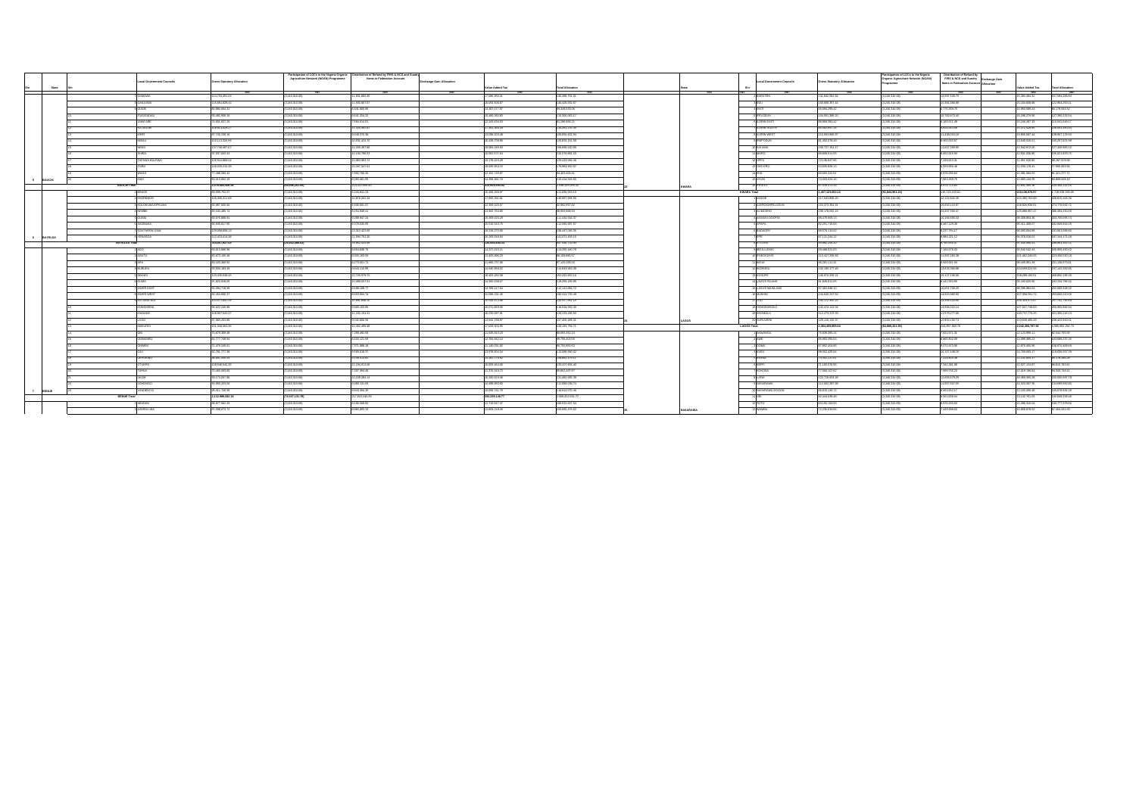|                  |                      |                          |                           | Participation of LGCs in the Nigeria Organic | fribution of Refund by FIRS & NCS and Sur |                         |                |                |              |                    |                          |                                   | srticipation of LGCs in the Nigeria | latribution of Refund by               |                  |                         |
|------------------|----------------------|--------------------------|---------------------------|----------------------------------------------|-------------------------------------------|-------------------------|----------------|----------------|--------------|--------------------|--------------------------|-----------------------------------|-------------------------------------|----------------------------------------|------------------|-------------------------|
|                  |                      | ocal Government Councils | ross Statutory Allocation | Agriculture Network (NOAN) Programme         | Items in Federation Account               | schange Gain Allocation |                |                |              |                    | ocal Government Councils | <b>Iross Statutory Allocation</b> | Organic Agriculture Network (NOAN)  | FIRS & NCS and Sundry Exchange Gain    |                  |                         |
|                  |                      |                          |                           |                                              |                                           |                         |                |                |              |                    |                          |                                   | Programme                           | Items in Federation Account Allocation |                  |                         |
|                  |                      |                          |                           |                                              |                                           |                         | alus Added Tax | notazofiA lato |              | $\sim$             |                          |                                   |                                     |                                        | Value Added Tax  | <b>Total Allocation</b> |
|                  |                      |                          | 14,720,491.03             | 3,240,310.08)                                | 831,000.45                                |                         | 005,950.21     | 0.338.791.     |              |                    |                          | 1,842,552.84                      | (240,310.08)                        | 1,597,539.75                           | 5,394,494.32     | 7,594,286.84            |
|                  |                      | <b>ANJUWA</b>            | 5,681,828.41              | 3,240,310.08)                                | 230,807.67                                |                         | 13.303.450.67  | 40,426,832.67  |              |                    |                          | 0,058,357.44                      | 3,240,310.08)                       | 0,381,355.89                           | 5,164,838.86     | 122,964,253.11          |
|                  |                      | <b>SADE</b>              | 0,880,664.22              | (3,240,310.08)                               | 341,600.95                                |                         | 13,367,077.97  | 3,349,033.06   |              |                    |                          | 5,694,295.42                      | 3,240,310.08)                       | 775,359.75                             | 0,950,589.43     | 0,179,934.52            |
|                  |                      |                          |                           |                                              |                                           |                         |                |                |              |                    |                          |                                   |                                     |                                        |                  |                         |
|                  |                      | <b>ASGADAU</b>           | 3.482.955.19              | (3,240,310.08)                               | 0,641,334.22                              |                         | 5.466.082.83   | 15.350.063.17  |              |                    | <b>TI ODI IN</b>         | 104.551.389.20                    | 3,240,310.08)                       | 10,782,873.45                          | 15.206.279.96    | 127,390,232.54          |
|                  |                      | <b>MA'ARI</b>            | 4,601,627.25              | 3,240,310.08)                                | 094,014.51                                |                         | 243,634.53     | 298,905.22     |              |                    | DRIN EAST                | 15,009,350.42                     | 3,240,310.08)                       | 2,105,511.49                           | 5,246,497.33     | 10,041,049.17           |
|                  |                      | TAGUM                    | 09.813,629.27             | (3,240,310.08)                               | 1,325,592.87                              |                         | 7,362,364.29   | 135,261,276.35 |              |                    | LORIN SOUTH              | 5,582,697.14                      | 3,240,310.08)                       | 1,826,543.58                           | 15,372,419.80    | 106,541,350.44          |
|                  |                      |                          | 7,743,239.16              | (3,240,310.08)                               | 0,049,370.38                              |                         | 13,098,303.48  | 06.650.602.94  |              |                    | LORIN WEST               | 10.903.805.97                     | (3,240,310.08)                      | 1,438,034.18                           | 19.855.587.44    | 138,957,178.50          |
|                  |                      |                          | 02,113,326.99             | (3,240,310.08)                               | 0,531,424.70                              |                         | 5,428,709.96   | 25.833.151.58  |              |                    | <b>FIENDIDI IN</b>       | 1,452,078.49                      | 3,240,310.08)                       | 1,400,533.57                           | 3.645.520.0      | 00,257,821.99           |
|                  |                      |                          | 37,746,087.67             | (3,240,310.08)                               | 14,206,397.86                             |                         | 0,084,345.50   | 68,096,520.95  |              |                    | KAI AMA                  | 106.727.151.17                    | 3,240,310.08)                       | 11,007,269.95                          | 12.942.872.05    | 127,436,983.10          |
|                  |                      |                          | 7,937,833.43              | (3, 240, 310.08)                             | 100,786.53                                |                         | 581,571.64     | 20,379,881.53  |              |                    |                          | 83.110,808,00                     | (240,310.08)                        | 1,952,915.93                           | 12,501,036.80    | 05,021,053.70           |
|                  |                      | AFAWA BALEWA             | 06,510,868.54             | (3, 240, 310.08)                             | 10,984,963.72                             |                         | 5,178,424.28   | 29,433,946.46  |              |                    |                          | 2,136,847.96                      | 3,240,310.08)                       | 439,810.31                             | 11.951.530.80    | 18,287,878.99           |
|                  |                      |                          |                           |                                              |                                           |                         |                |                |              |                    |                          |                                   |                                     |                                        |                  |                         |
|                  |                      |                          | 48,030,210.39             | (3,240,310.08)                               | 5,267,047.51                              |                         | 8,926,953.15   | 78,983,900.97  |              |                    | <b>OKE-ERO</b>           | 005,829.13                        | 3,240,310.08)                       | 559,905.46                             | 1,030,178.41     | 77,955,053.92           |
|                  |                      |                          | 1498.283.42               | 3,240,310.08)                                | ,992,760.20                               |                         | 2,152,720.87   | 4.403.454.41   |              |                    |                          | <i>002222.6</i>                   | 3,240,310.08)                       | 878,280.64                             | 1,091,084.53     | 11,421,277.71           |
|                  |                      |                          | 0,013,002.19              | 3,240,310.08)                                | 283,461.05                                |                         | 4,358,361.74   | 0,414,515.50   |              |                    |                          | 1303,524.16                       | 240,310.08)                         | 553,269.75                             | 2,083,144.35     | 0,009,628.19            |
|                  | BAUCHI Total         |                          | 20.003.003.00             | (64,006,201.55)                              | 14,322,465.40                             |                         | 10,659,493.02  | 538,259,265.33 | <b>KWAPA</b> |                    | 16 PATEGI                | 17,019,372.26                     | 3,240,310.08)                       | 274,714.00                             | 2,602,355.38     | 105,356,132.16          |
|                  |                      |                          | 1,599,752.07              | 3,240,310.08)                                | 240,841.23                                |                         | 5,456,209.97   | 1,056,553.19   |              | <b>KWARA Total</b> |                          | 407,123,500.12                    | 51,844,961.24)                      | 5,123,223.61                           | 218,136,576.57   | 718,538,339.05          |
|                  |                      | <b>SOMERS</b>            | 05,456,311.03             | (3,240,310.08)                               | 0,876,202.34                              |                         | 1,905,391.61   | 30,997,595.56  |              |                    |                          | 7,543,808.20                      | 3,240,310.08)                       | 122,842.35                             | 02.383.764.89    | 228,810,105.36          |
|                  |                      | CLOIGMA OPKUMA           | 55,957,000.00             | (3, 240, 310.08)                             | 13.183,306,5                              |                         | 2,359,025.57   | 12,992,997.82  |              |                    | <b>AJEROMNIFELODUR</b>   | 53,373,354.91                     | (3,240,350.08)                      | 15,818,110.97                          | 108,826,936.91   | 274,778,092.72          |
|                  |                      |                          | 0,040,485.74              | (3,240,310.08)                               | 254,949.41                                |                         | 3,900,763.85   | 1,955,881.93   |              |                    | JM05H0                   | 39,178,052.19                     | 3,240,310.08)                       | 4,667,550.47                           | 25,888,957.47    | 186,494,250.05          |
|                  |                      |                          |                           |                                              |                                           |                         |                |                |              |                    |                          |                                   |                                     |                                        |                  |                         |
|                  |                      | Chile                    | 0,075,886.91              | (3, 240, 310.08)                             | 0,289,947.24                              |                         | 5,309,020.29   | 11,434,544.37  |              |                    | <b>IUVO-ODOLIN</b>       | 8,479,909.13                      | 3,240,310.08)                       | 156,693.33                             | 35,308,803.36    | 03,705,095.74           |
|                  |                      | <b>ACRAMA</b>            | 0,935,817.95              | (3,240,310.08)                               | 1,378,635.95                              |                         | 5,516,543.75   | 12.590.687.57  |              |                    | papa                     | 2,291,716.68                      | (3,240,310.08)                      | 0,487,129.38                           | 25.411.408.07    | 182,949,944.05          |
|                  |                      | <b>DUTHERN LIAW</b>      | 29,058,658.13             | (3,240,310.08)                               | 310,422.65                                |                         | 0,318,275.65   | 58,447,046.35  |              |                    |                          | 570,110.62                        | 3,240,310.08)                       | 2,237,784.17                           | 1023504.8        | 03.003.003.00           |
| <b>6</b> BAYELSA |                      | MAGOA                    | 2423.414.38               | (3,240,310.08)                               | 594,752.20                                |                         | 203,549.64     | 41,071,406.15  |              |                    |                          | 121,244.12                        | 3,240,310.08)                       | 0,905,221.12                           | 10.378,016.01    | 187,244,171.18          |
|                  | <b>BAYELSA Total</b> |                          | 64.557.927.54             | (25, 222, 480.62)                            | 78,852,432.69                             |                         | 130.058.840.33 | 147.546.719.94 |              |                    |                          | A 882 255 20                      | 3240.310.081                        | 9,785,650.47                           | 07.435.506.52    | 198.863.162.11          |
|                  |                      |                          | 3,013,030.98              | (3,240,310.08)                               | 0,054,038.76                              |                         | 227,015.11     | 4,255,440.78   |              |                    | <b>BEJU-LEKK</b>         | 1,488,521.63                      | (3,240,350.08)                      | 7,166,676.03                           | 22,540,542.44    | 105,955,430.02          |
|                  |                      |                          | 0,673,100.49              | (3,240,310.08)                               | (320,193.93                               |                         | 2,405,096.23   | 6.158.880.57   |              |                    | AKO/LIAYE                | 13.417.339.83                     | 3,240,310.08)                       | 1,697,260.38                           | 101.462.240.05   | 123,336,530.18          |
|                  |                      |                          | 0,220,309.92              | (3,240,310.08)                               | 273,501.71                                |                         | 1,006,737.00   | 7,120,299.20   |              |                    |                          | 5,201,111.31                      | 3,240,310.08)                       | 929,921.04                             | 98,105,051.34    | 136,673.61              |
|                  |                      | <b>SURUKU</b>            | 3.500.183.49              | (3,240,310.08)                               | 643,110.95                                |                         | 4,940,959.02   | 14.843.943.39  |              |                    | conoc                    | 32.190.177.49                     | (240,310.08)                        | 3,633,390.88                           | 14.559.024.56    | 247.142.282.85          |
|                  |                      | 00000                    | 23,430,648.45             | (3,240,310.08)                               | 1,729,979.70                              |                         | 1,402,282.08   | 2,322,600.16   |              |                    | <b>IDSOFE</b>            | 46,674,208.21                     | (240,310.08)                        | 127,196.66                             | 08:289.100.51    | 266,850,195.30          |
|                  |                      |                          |                           |                                              | 0,089,037.91                              |                         | 592538.0       | 9,265,183.95   |              |                    |                          | 849.911.55                        | 3,240,310.08)                       |                                        | $-183.620.9$     | 182,234,786.32          |
|                  |                      |                          | 823,918.0                 | 1,240,310.08)                                |                                           |                         |                |                |              |                    | AGOS ISLAN               |                                   |                                     | 441,563.95                             |                  |                         |
|                  |                      | WER EAST                 | 2,094,718.39              | (3,240,310.08)                               | (498,158.77                               |                         | 3,789,117.64   | 12,141,684.72  |              |                    | LAGOS MAINLAND           | 01.040.10                         | (240,310.08)                        | 051,706.25                             | 98.205.984.04    | 202,569,328.32          |
|                  |                      | <b>WER WEST</b>          | 12,454,856.37             | (3,240,310.08)                               | 503,954.74                                |                         | 2,596,231.45   | 00,314,732.49  |              |                    |                          | 4,626,247.50                      | (3,240,310.08)                      | 14,915,980.90                          | 07.358.291.72    | 263,660,210.05          |
|                  |                      | <b>CATSINA ALA</b>       | 03,571,841.28             | (3,240,310.08)                               | 0,681,848.10                              |                         | 5,544,472.86   | 26,557,852.16  |              |                    |                          | 40,172,352.22                     | 3,240,310.08)                       | 4,456,629.86                           | 106,354,073.67   | 257,742,745.68          |
|                  |                      | <b>NSHISH</b>            | 1,622,245.98              | (3,240,310.08)                               | 965,103.85                                |                         | 571,893.55     | 8,918,933.30   |              |                    | ноонзос                  | 42,474,122.04                     | 3,240,310.08)                       | 4,604,022.14                           | 07,027,748.83    | 150,955,582.94          |
|                  |                      | <b>ANDE</b>              | 08,907,643.37             | (3,240,310.08)                               | 1,232,154.31                              |                         | 6,233,697.91   | 33,133,185.50  |              |                    | HOMOL!                   | 12,273,372.30                     | 3,240,310.08)                       | 1,579,277.66                           | 100,737,776.25   | 221,350,116.13          |
|                  |                      |                          | ,000,203.86               | (3,240,310.08)                               | 32.300,090,                               |                         | 1,944,788.97   | 07,405,489.31  | LAGOS        |                    |                          | 5,110,132.37                      | 3,240,310.08)                       | 2,903,192.73                           | 13,649,485.49    | 138,422,500.51          |
|                  |                      | <b>MAXLIREN</b>          | 01,348,063.35             | (3,240,310.08)                               | 0,452,499.48                              |                         | 7,633,503.95   | 26,193,756.71  |              | <b>LAGOS Total</b> |                          | 108,459,095.00                    | (64,006,201.55)                     | 343,857,800.76                         | 2,042,350,797.92 | 1,585,862,292.73        |
|                  |                      |                          | 10,679,359.38             | (3,240,310.08)                               | 7,289,492.69                              |                         | 11,926,810.23  | 6,655,352.23   |              |                    |                          | 15,839,395.24                     | (3,240,310.08)                      | 7,821,671.31                           | 12,123,999.11    | 12,544,755.59           |
|                  |                      | GENDIDO                  | 777,749.94                | 3,240,310.08)                                | 434,121.59                                |                         | 2,784,842.10   | 3,756,403.55   |              |                    |                          | 6,963,350.03                      | 3,240,310.08)                       | 0,003,002.09                           | 2,099,395.22     | 03,688,237.26           |
|                  |                      | <b>HMN</b>               | 1,479,240.61              |                                              | 7,371,988.18                              |                         |                | 6,750,950.63   |              |                    |                          | 17,952,404.85                     |                                     |                                        | 12,876,400.96    | 106,670,469.69          |
|                  |                      |                          |                           | (3,240,310.08)                               |                                           |                         | 1,140,031.92   |                |              |                    |                          |                                   | (3,240,310.08)                      | 3,071,973.96                           |                  |                         |
|                  |                      |                          | 2.781.777.38              | 3240,310.08                                  | 509.018.37                                |                         | 3.978.504.34   | 13,088,990.02  |              |                    |                          | 002.425.94                        | (240,310.08)                        | 0,107,448.26                           | 4,769,693.1      | 19.639.257.29           |
|                  |                      | <b>CASP CASING</b>       | 18,801,500.54             | (3, 240, 310.08)                             | (158,513.82                               |                         | 4,162,774.82   | 08.882.479.11  |              |                    |                          | 1.052.137.61                      | 3,240,310.08)                       | 7,224,804.38                           | 1.141.054.37     | 15,178,286.28           |
|                  |                      | TUKPO                    | 08,546,540.35             | (3, 240, 310.08)                             | 1,194,912.05                              |                         | 0,006,464.06   | 03.007.006.40  |              |                    |                          | 1,182,576.95                      | (240,310.08)                        | 341,391.88                             | 1,527.124.87     | 10.010,783.61           |
|                  |                      |                          | 0,465,093.85              | (3, 240, 310.08)                             | 7,267,394.49                              |                         | 1370319.72     | 5,062,497.97   |              |                    | <b>LOKONA</b>            | 7.566.107.62                      | 3,240,310.08)                       | 999,755.23                             | 12.018.195.54    | 24,343,749.41           |
|                  |                      | KUM                      | 174,057.86                | (3,240,310.08)                               | 0,228,284.14                              |                         | 5,320,623.46   | 21,482,655.39  |              |                    |                          | 2,719,923.28                      | 3,240,310.08)                       | 020,079.29                             | 18,369,305.28    | 150,505,597.78          |
|                  |                      | <b>HONGO</b>             | 0,950,323.06              | (3,240,310.08)                               | 120111-00                                 |                         | 4,498,893.83   | 1,589,038.74   |              |                    |                          | 12,062,287.98                     | 3,240,310.08)                       | 557,507.55                             | 14,320,097.35    | 134,039,582.80          |
|                  |                      | <b>NDEIK</b>             | 411,749.39                | 3,240,310.08)                                | SC HECEHO                                 |                         | 699.741.79     | 8,814,575.46   |              |                    |                          | 815,149.72                        | 3,240,310.08)                       | 853,652.17                             | 50.090.4         | 05,678,582.29           |
|                  | <b>BENUE Total</b>   |                          | 112,989,082.34            | (74.527.131.78)                              | 17.922.440.39                             |                         | 30,238,140.77  | 586,622,531.72 |              |                    |                          | 444, 038, 48                      | (240,310.08)                        | 1502.839.04                            | 13.142.761.05    | 00.849.328.49           |
|                  |                      |                          | 8,877,081.33              | 3,240,310.08)                                | 100,008.82                                |                         | 719,547.43     | 6,522,627.54   |              |                    |                          | 155,194.93                        | (240,310.08)                        | 576,183.93                             | 2,286,310.04     | 00.777.378.82           |
|                  |                      | <b>CORA LIBA</b>         | 098,673.72                | (240,310.08)                                 | 082,023.33                                |                         | 2,809,218.05   | 5,650,475.02   |              |                    |                          | 235,634.56                        | (240,310.08)                        | 440,008.63                             | 10,958,878.52    | 17,404,201.63           |
|                  |                      |                          |                           |                                              |                                           |                         |                |                |              |                    |                          |                                   |                                     |                                        |                  |                         |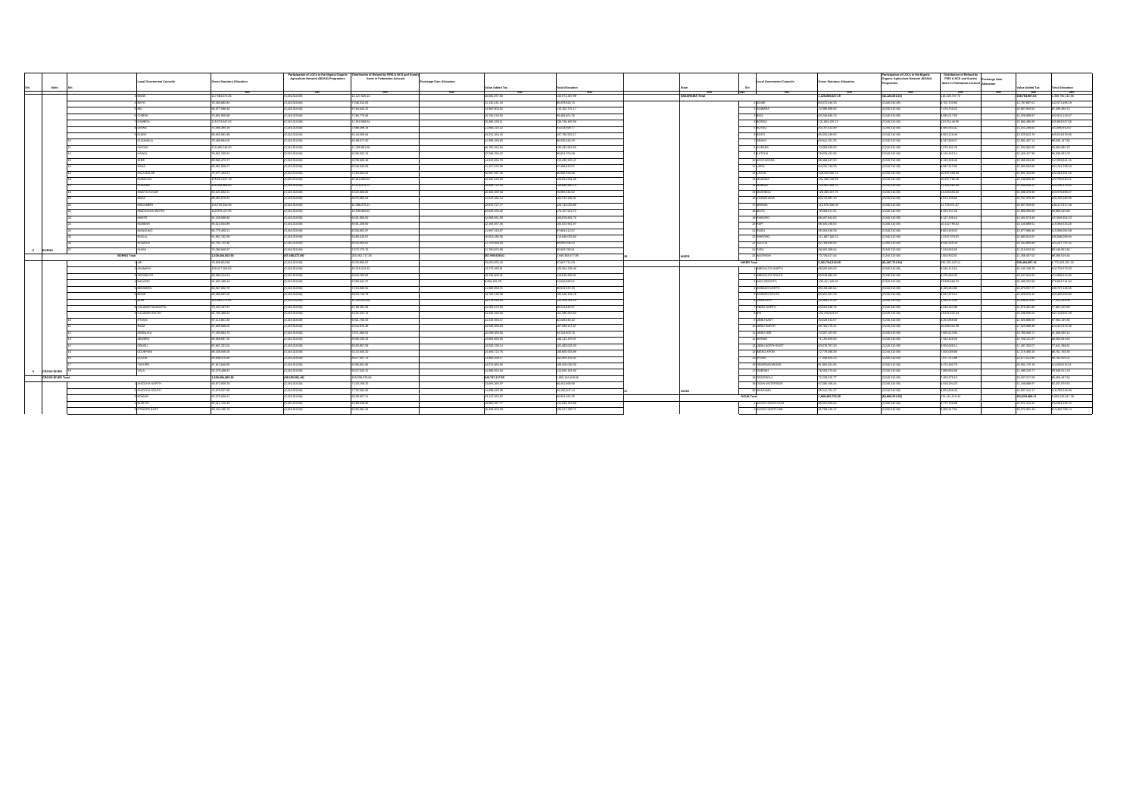|        |                          |                    |                                  |                                   | Participation of LGCs in the Nigeria Organic | tribution of Refund by FIRS & NCS and Sun |                         |                |                 |                    |                    |                               |                                   | srticipation of LGCs in the Nigeria | latribution of Refund by               |               |                      |                          |
|--------|--------------------------|--------------------|----------------------------------|-----------------------------------|----------------------------------------------|-------------------------------------------|-------------------------|----------------|-----------------|--------------------|--------------------|-------------------------------|-----------------------------------|-------------------------------------|----------------------------------------|---------------|----------------------|--------------------------|
|        |                          |                    | <b>Local Government Councils</b> | <b>Iross Statutory Allocation</b> | Agriculture Network (NOAN) Programme         | Items in Federation Account               | schange Gain Allocation |                |                 |                    |                    | ocal Government Councils      | <b>Gross Statutory Allocation</b> | Organic Agriculture Network (NOAN)  | FIRS & NCS and Sundry                  | Exchange Gain |                      |                          |
|        | State                    |                    |                                  |                                   |                                              |                                           |                         | also Added Tax | otal Allocation |                    |                    |                               |                                   | Programme                           | Items in Federation Account Allocation |               | <b>Jue Added Tax</b> | tal Allocation           |
|        |                          |                    |                                  |                                   |                                              |                                           |                         |                |                 |                    | j                  | <b>STATE</b>                  |                                   |                                     |                                        |               |                      |                          |
|        |                          |                    |                                  | 7,584,374.34                      | (3,240,310.08)                               | 127,026.13                                |                         | 1,000,257.00   | 3,071,347.99    | <b>ARAWA Total</b> |                    |                               | 1,126,000,627.19                  | (42, 124, 031.01)                   | $  -$<br>116,129,707.72                |               | 168,783,907.04       | $-$ aNs<br>68,790,210.94 |
|        |                          |                    |                                  | 0,260,682.54                      | 3,240,310.08)                                | 246,312.63                                |                         | NC.191,011,    | 5,376,826.73    |                    |                    |                               | 372,244.33                        | 3,240,310.08)                       | 701,703.92                             |               | 1,737,857.01         | 2,571,425.19             |
|        |                          |                    |                                  | 94,677,588.40                     | (3,240,310.08)                               | 764,542.22                                |                         | 13,900,900.62  | 15, 102, 721.17 |                    |                    |                               | 30.000,000.00                     | 3,240,310.08)                       | 7,476,755.22                           |               | 0,567,943.52         | 220,455.72               |
|        |                          |                    |                                  | 70,091,000.98                     | (3,240,310.08)                               | 7,290,775.86                              |                         | 10,740,134.50  | 15,482,401.26   |                    |                    |                               | 13240.846.23                      | 3,240,310.08)                       | 8.585.017.55                           |               | 14.326,589.87        | 102.912.143.57           |
|        |                          |                    | HIDOK                            |                                   |                                              |                                           |                         |                |                 |                    |                    |                               |                                   |                                     |                                        |               |                      |                          |
|        |                          |                    |                                  | 5,573,047.02                      | (3,240,310.08)                               | 11,919,588.54                             |                         | 15,496,158.11  | 39,748,483.59   |                    |                    |                               | 1,064,225.13                      | 3,240,310.08)                       | 13,579,146.95                          |               | 13,860,495.65        | 55,063,557.65            |
|        |                          |                    |                                  | 75,486,394.19                     | (3,240,310.08)                               | NC 000,000                                |                         | 11,884,215.32  | 3,018,698.77    |                    |                    |                               | 03.197,431.89                     | 3,240,310.08)                       | 8,580,540.02                           |               | 08.895.037           | 01,030,910.67            |
|        |                          |                    |                                  | 88,055,991.98                     | (3,240,310.08)                               | 143,506.84                                |                         | 13,231,364.43  | 07,790,553.17   |                    |                    |                               | 1,325,249.65                      | 3,240,310.08)                       | (903,126.49                            |               | 1,525,813.79         | 105,513,879.85           |
|        |                          |                    | <b>CAMALA</b>                    | 9,488,994.05                      | (3,240,310.08)                               | (198,071.50                               |                         | 509,284.83     | 6.035.040.29    |                    |                    |                               | 1941.151.35                       | 3.240.310.081                       | 8,347,839.27                           |               | 2.501.467.11         | 1.630.147.65             |
|        |                          |                    | œ                                | 0,495,249.60                      | (3,240,310.08)                               | 1,395,891.56                              |                         | 16,782,054.94  | 5,432,916.02    |                    |                    |                               | 1209120-03                        | 3,240,310.08)                       | 7,673,181.28                           |               | 532,582.65           | 355,080.79               |
|        |                          |                    |                                  | 9,561,235.81                      | (3, 240, 310.08)                             | 8,205,522.13                              |                         | 2,208,256.22   | 00.024.704.08   |                    |                    |                               | 3,539,431.55                      | 3,240,310.08)                       | 110,452.14                             |               | (429,417.38          | 1,938,991.00             |
|        |                          |                    |                                  | 0,585,472.27                      | (3,240,310.08)                               | 239,368.49                                |                         | 14,910,094.79  | 0,495,225.47    |                    |                    |                               | 488,847.90                        | 3,240,310.08)                       | (126,268.49                            |               | 205,034.85           | 07,059,841.15            |
|        |                          |                    | AGA.                             |                                   |                                              |                                           |                         |                |                 |                    |                    |                               |                                   |                                     |                                        |               |                      |                          |
|        |                          |                    |                                  | 80,961,608.27                     | (3,240,310.08)                               | 8,349,949.08                              |                         | 11,427,376.29  | 17,498,621.57   |                    |                    |                               | 1,231,740.33                      | 3,240,310.08)                       | 0,687,213.09                           |               | 2,083,094.86         | 01,761,738.00            |
|        |                          |                    | ALA BALGE                        | 2,077,452.91                      | (3, 240, 310.08)                             | 433,684.62                                |                         | 0,587,567.40   | 6.858.394.85    |                    |                    |                               | 0.233.696.74                      | 3,240,310.08)                       | 10,337,569.65                          |               | 351344.69            | 22,282,301.00            |
|        |                          |                    | DUGA                             | 05,811,837.19                     | 3,240,310.08)                                | 1,912,809.34                              |                         | 1,340,184.90   | 26,824,581.36   |                    |                    |                               | 1,399,118.93                      | 3,240,310.08)                       | 10,457,765.08                          |               | 138,956.48           | 2,755,530.41             |
|        |                          |                    |                                  | 06,448,958.90                     | (3,240,310.08)                               | 10,978,579.72                             |                         | 14,699,722.20  | 28,886,960.73   |                    |                    |                               | 10,491,284.75                     | 3,240,310.08)                       | 11,395,482.64                          |               | 4,649,918.31         | 33,296,375.62            |
|        |                          |                    | <b>TAYA KUSAR</b>                | 3,221,832.21                      | 3,240,310.08)                                | 320,363.06                                |                         | 02.020.059.33  | 6,965,944.52    |                    |                    |                               | 28,409,437.76                     | 3,240,310.08)                       | 13,249,653.60                          |               | 5,098,076.99         | 13,576,858.27            |
|        |                          |                    |                                  | 10.002,070.91                     | (3,240,310.08)                               | 875,983.64                                |                         | 11,815,491.14  | 0,513,235.61    |                    |                    |                               | 1115.901.15                       | 3,240,310.08)                       | (572,130.63                            |               | 4,707,375.29         | 03,155,185.99            |
|        |                          |                    | <b>AGUMERI</b>                   | 00.725.340.95                     | (3,240,310.08)                               | 10,388,275.21                             |                         | 12,870,727.77  | 20,744,033.85   |                    |                    |                               | 13.676.336.04                     | 3,240,310.08)                       | 11,723,971.87                          |               | 5,957,919.85         | 138,117,917.48           |
|        |                          |                    | <b>AIDUGURI METRO</b>            | 0,979,127.96                      | (3,240,310.08)                               | 1,539,836.42                              |                         | 3,829,259.42   | 76,107,913.73   |                    |                    |                               | 089.617.67                        | 3,240,310.08)                       | 8,053,747.26                           |               | 1,036,955.09         | 63.010.000               |
|        |                          |                    | <b>MRTE</b>                      | 1,158,909.00                      | (3,240,310.08)                               | 9,401,650.62                              |                         | 12,558,551.56  | 09,878,861.70   |                    |                    | PAIKORO                       | 18,497,842.65                     | 3,240,310.08)                       | 9,127,196.16                           |               | 13,461,573.49        | 07,646,302.23            |
|        |                          |                    |                                  |                                   |                                              |                                           |                         |                |                 |                    |                    |                               |                                   |                                     |                                        |               |                      |                          |
|        |                          |                    |                                  | 3,010,004.89                      | (3,240,310.08)                               | 8,561,209.80                              |                         | 12,193,057.35  | 00,523,961.97   |                    |                    |                               | 1,345,158.00                      | 3,240,310.08)                       | 0,142,795.82                           |               | 4,146,889.51         | 19,394,533.26            |
|        |                          |                    | ONGUNO                           | 00,776,450.21                     | (3,240,310.08)                               | 1330.852.87                               |                         | 11,997,519.67  | 7,064,512.67    |                    |                    |                               | 5,054,918.28                      | 3,240,310.08)                       | 9,803,458.02                           |               | 13,977,996.46        | 5,596,062.68             |
|        |                          |                    |                                  | 1,951,762.59                      | (3, 240, 310.08)                             | 483,415.07                                |                         | 1,054,186.36   | 3,849,053.94    |                    |                    |                               | 11,867,100.13                     | 3,240,310.08)                       | 1,537,376.91                           |               | 653,913,97           | 15,848,080.94            |
|        |                          |                    |                                  | 201,743.46                        | (3, 240, 310.08)                             | 135,564.81                                |                         | 14.202,807,1   | 6,035,594.63    |                    |                    |                               | 2,768,956.83                      | 3,240,310.08)                       | 0,536,349.39                           |               | 142,500.55           | 03,207,727.02            |
| $\sim$ | <b>DIRROS</b>            |                    |                                  | 1,390,846.97                      | (3, 240, 310.08)                             | 672,275.76                                |                         | 30.070.06      | 0,603,783.61    |                    |                    |                               | 052,289.04                        | 3,240,310.08)                       | 018,550.65                             |               | 319,023.20           | 149,552.82               |
|        |                          | <b>BORNO Total</b> |                                  | 2,428,404,003.56                  | (87, 488, 372.09)                            | 0,452,717.38                              |                         | 357,999,529.01 | 949,355,477.85  | NAGER              |                    |                               | 736,617.44                        | 3,240,310.08)                       | 10.008,802,01                          |               | 1,268,407.02         | 0,309,516.40             |
|        |                          |                    |                                  | 79,806,824.88                     | (3, 240, 310.08)                             | 8,230,850.87                              |                         | 13,090,355.40  | 97,887,721.08   |                    | <b>NIGER Total</b> |                               | 2,201,794,218.69                  | (81,007,751.94)                     | 235,332,103.11                         |               | 336,484,697.16       | 772,603,267.02           |
|        |                          |                    |                                  | 0,017,209.65                      | (3, 240, 310.08)                             | 0,315,242.32                              |                         | 1,272,096.51   | 0,354,238.40    |                    |                    | <b>IGKUTA NORTH</b>           | 3,522,663.03                      | 3,240,310.08)                       | (240,110.10                            |               | 140,109.78           | 0,732,572.83             |
|        |                          |                    | CPABUYO                          | 06,386,214.54                     | (3,240,310.08)                               | 9,940,760.82                              |                         | 16,729,000.31  | 19,815,005.01   |                    |                    | EOKUTA SOUTH                  | 0,916,080.49                      | (3,240,310.08)                      | 2,376,600.33                           |               | 8347,044.05          | 3,599,414.80             |
|        |                          |                    |                                  | 052,425.44                        | 3,240,310.08)                                | 359,541.37                                |                         | 859,169,28     | 10.203.043      |                    |                    |                               | -411.145.02                       | 3,240,310.08)                       | 955.584.3                              |               | 400.322.65           | 0,624,741.94             |
|        |                          |                    | KWARA                            | 69,967,602.79                     | (3,240,310.08)                               | 216,085.91                                |                         | 11,969,958.71  | 85,913,337.33   |                    |                    | <b>IADO NORTH</b>             | 12,128,466.94                     | 3,240,310.08)                       | 0,199,454.82                           |               | 4,579,537.77         | 09,737,149.45            |
|        |                          |                    |                                  | 6.088.591.00                      | (3,240,310.08)                               |                                           |                         | 3,791,135.08   | 05.518.134.78   |                    |                    |                               |                                   |                                     | 8647.973.13                            |               | 4206.570.42          | 03.465.500.00            |
|        |                          |                    |                                  |                                   |                                              | 8,878,718.78                              |                         |                |                 |                    |                    | <b>IADO SOUTH</b><br>Attacher | 13,851,267.33                     | 3,240,310.08)                       |                                        |               |                      |                          |
|        |                          |                    |                                  | 0,682,171.82                      | (3,240,310.08)                               | 10,383,822.98                             |                         | 14,278,556.50  | 22,104,241.23   |                    |                    |                               | 1,006,075.44                      | 3,240,310.08)                       | 0,408,111.06                           |               | 0,938,679.66         | ,202,556.08              |
|        |                          |                    | ALABAR MUNICIPAL                 | 79,202,187.87                     | (3,240,310.08)                               | 168,491.83                                |                         | 4,084,570.94   | 8,214,940.57    |                    |                    | <b>EMO NORTH</b>              | 1,502,648.76                      | 3,240,310.08)                       | 549,324.98                             |               | 1,075,351.96         | 1,887,015.63             |
|        |                          |                    | ALABAR SOUTH                     | 81,700,486.52                     | (3,240,310.08)                               | 8,432,341.13                              |                         | 14,436,326.06  | 101,355,543.64  |                    |                    |                               | 32,278,913.51                     | 3,240,310.08)                       | 13,642,542.64                          |               | 24,438,655.02        | 67,119,801.09            |
|        |                          |                    |                                  | 113,801.30                        | (3,240,310.08)                               | 5,921,760.03                              |                         | 1,233,394.17   | 028 645 42      |                    |                    | JEBU EAS                      | 029.913.67                        | 3,240,310.08)                       | 1253,859.06                            |               | 520,686.69           | 1,564,149.35             |
|        |                          |                    |                                  | 7,689,968.05                      | (3,240,310.08)                               | (043,876.28                               |                         | 1,595,683.63   | 17,089,217.87   |                    |                    | JEBU NORTH                    | 12,763,175.41                     | 3,240,310.08)                       | 0,289,042.58                           |               | 525,968.38           | 24,337,676.30            |
|        |                          |                    | LOUJIANI                         | 7,293,694.75                      | (3, 240, 310.08)                             | ,971,660.02                               |                         | 2,099,359.06   | 1,124,403.75    |                    |                    | nten coe                      | 3,307,197.55                      | 3,240,310.08)                       | 560,513.93                             |               | 1,780,658.71         | 1,408,060.11             |
|        |                          |                    |                                  | 6,568,687.25                      | (3, 240, 310.08)                             | 228,233.35                                |                         | 3,884,865.55   | 06,141,476.07   |                    |                    |                               | 192,605.83                        | 3,240,310.08)                       | 342,426.20                             |               | 1706.121.97          | 000,543.93               |
|        |                          |                    | <b>GUCC</b>                      | 82,057,231.04                     | (3,240,310.08)                               | 8,525,857.93                              |                         | 3,530,236.14   | 01,483,015.03   |                    |                    | <b>UEBU NORTH EAST</b>        | 3,078,767.40                      | 3,240,310.08)                       | 6,505,608.12                           |               | 1,297,333.07         | 7,641,398.51             |
|        |                          |                    | <b>CERCPANE</b>                  | 80,336,006.08                     | (3,240,310.08)                               | (110,505.20                               |                         | 14,459,722.75  | 08.005.923.95   |                    |                    | <b>IMEKO-AFON</b>             | 2,779,498.38                      | 3,240,310.08)                       | 7,506,089.85                           |               | (716,490.20          | 88,761,768.35            |
|        |                          |                    |                                  | 1,648,470.56                      | 3,240,310.08)                                | (627,057.75                               |                         | 3,809,258.17   | 02,904,476.41   |                    |                    |                               | 348,505.25                        | 3,240,310.08)                       | 077,312.88                             |               | 1,677,011.96         | 762,520.01               |
|        |                          |                    | <b>430 199</b>                   |                                   | (3,240,310.08)                               | 26.123,329,9                              |                         | 14,574,866.65  | 08,205,049.33   |                    |                    | <b>BAFEMIOWODE</b>            | 21,005,261.05                     |                                     |                                        |               |                      |                          |
|        |                          |                    |                                  | 17,813,840.09                     |                                              |                                           |                         |                |                 |                    |                    |                               |                                   | 3,240,310.08)                       | 9,474,493.76                           |               | 5,931,170.78         | 4,030,615.51             |
|        | 9 CROSS RIVER            |                    | <b>ALA</b>                       | 02,379,408.82                     | (3,240,310.08)                               | 0,527,520.22                              |                         | 14,988,552.64  | 13,655,181.60   |                    |                    |                               | 6.500.274.64                      | 3,240,310.08)                       | 08.008.030.7                           |               | 2,499,215.77         | 649.011.23               |
|        | <b>CROSS RIVER Total</b> |                    |                                  | 509,084,093.25                    | (58, 325, 581.40)                            | 55,638,978.66                             |                         | 243,747,117.55 | 1003145,408.00  |                    |                    | DOGBOLU                       | 2,238,315.77                      | 3,240,310.08)                       | 450.275.16                             |               | 1.007.217.09         | 455.497.94               |
|        |                          |                    | <b>UOCHA NORTH</b>               | 58.872.659.78                     | (3.240.310.08)                               | 103,159.32                                |                         | 1,000,300.87   | 03.033,104,30   |                    |                    | OGUN WATERSIDE                | 7.000.196.44                      | 3,240,310.08)                       | 0.918.294.20                           |               | 449 698 97           | 1,207,679.53             |
|        |                          |                    |                                  | 970,527.90                        | 240,310.08                                   | 32,060.96                                 |                         | 698,028.36     | 60,307.1        |                    |                    |                               |                                   | 240,310.00                          | 63,668.43                              |               |                      | 792,243.9                |
|        |                          |                    | 26440                            | 13.000,812,93                     | (3,240,310.08)                               | (639,607.21                               |                         | 3,147,053.62   | 0,924,391.35    |                    | OGUN Total         |                               | 688.482.733.39                    | (64, 006, 201.55)                   | 74,141,116.44                          |               | 294,222,969.11       | 022,040,617.38           |
|        |                          |                    | URUTL                            | 2,011,119.30                      | (3, 240, 310.08)                             | (403,536.00)                              |                         | 16,683,067.77  | 14,943,413.80   |                    |                    | KOKO NORTH EAS                | 03.051,003.09                     | 3,240,310.08)                       | 771,769.88                             |               | 4,371,124.22         | 04,954,192.12            |
|        |                          |                    | THOPE EAST                       | 13,244,180.70                     | (3.240.310.08)                               | 8,585,361.45                              |                         | 15,428,003.63  | 05,017,235.71   |                    |                    | AKOKO NORTH WE                | 1.708.416.17                      | 3,240,310.08)                       | 9.458.317.61                           |               | 15,474,361.43        | 13,400,785.14            |
|        |                          |                    |                                  |                                   |                                              |                                           |                         |                |                 |                    |                    |                               |                                   |                                     |                                        |               |                      |                          |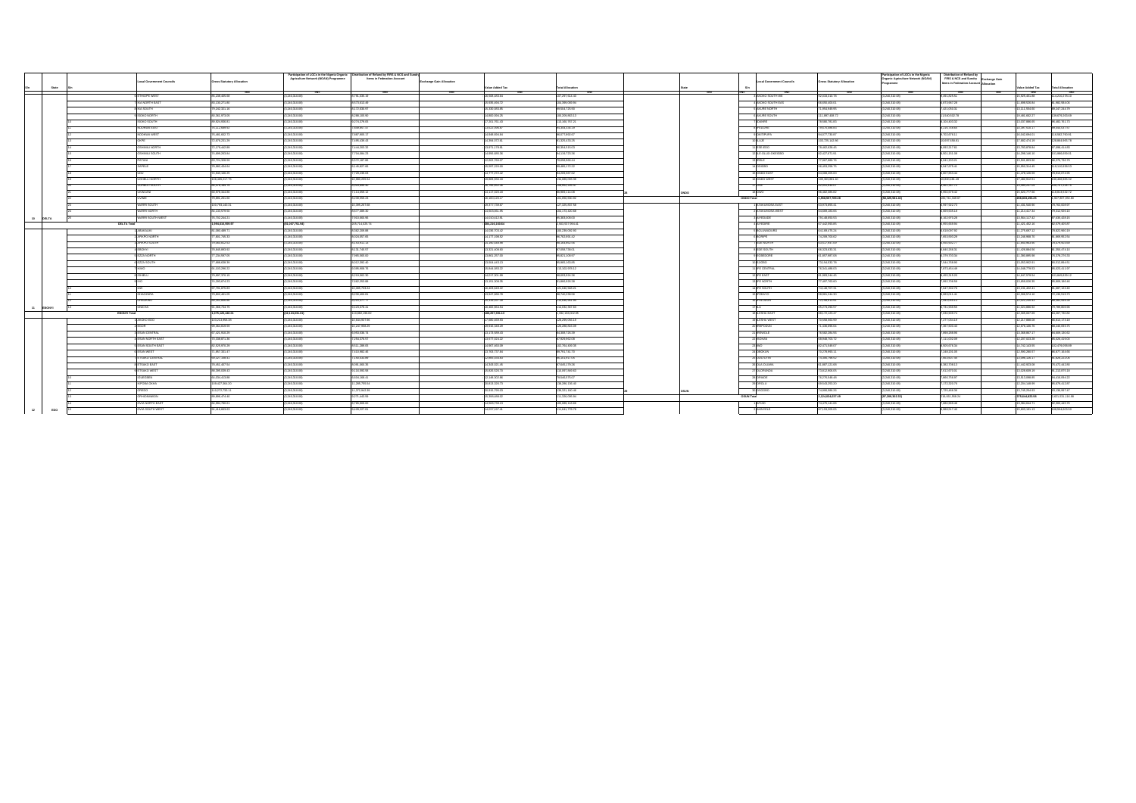|    |             |                                  |                           | Participation of LGCs in the Nigeria Organic | ribution of Refund by FIRS & NCS and Sun |                         |                |                 |     |            |                           |                           | inticipation of LGCs in the Nigeria             | Natribution of Refund by                                                      |                 |                         |
|----|-------------|----------------------------------|---------------------------|----------------------------------------------|------------------------------------------|-------------------------|----------------|-----------------|-----|------------|---------------------------|---------------------------|-------------------------------------------------|-------------------------------------------------------------------------------|-----------------|-------------------------|
|    |             | <b>Local Government Councils</b> | ross Statutory Allocation | Agriculture Network (NOAN) Programme         | Items in Federation Account              | schange Gain Allocation |                |                 |     |            | Local Government Councils | ross Statutory Allocation | Organic Agriculture Network (NOAN)<br>Programme | FIRS & NCS and Sundry Exchange Gain<br>Items in Federation Account Allocation |                 |                         |
|    |             |                                  |                           |                                              |                                          |                         | as T betted as | otal Allocation |     |            |                           |                           |                                                 |                                                                               | Value Added Tax | <b>Total Allocation</b> |
|    |             |                                  |                           |                                              |                                          |                         |                |                 |     | --         |                           |                           |                                                 |                                                                               |                 |                         |
|    |             | HIGPE WEST                       | 85,238,405.68             | 3,240,310.08)                                | 791,035.19                               |                         | 1,508,483.64   | 17,227,614.43   |     |            | KO SOUTH WE               | 033,310.78                | 240,310.08)                                     | 1,491,825.51                                                                  | 1,925,451.88    | 1,210,278.10            |
|    |             | A NORTH EAST                     | 3,130,271.80              | 3,240,310.08)                                | 573,613.49                               |                         | 5,935,494.72   | 04,320,003.94   |     |            | OKO SOUTH EAS             | (0.004.033)               | 240,310.08)                                     | 073,967.28                                                                    | 1,098,526.84    | 1,982,584.06            |
|    |             | KA SOUTH                         | 79,242,321.16             | (3, 240, 310.08)                             | 172,630.97                               |                         | 15,330,083.85  | 9,504,725.90    |     |            | <b>GURE NORTH</b>         | 354,942.95                | 3,240,310.08)                                   | 7,421,050.31                                                                  | 11,554.80       | 19,247,244.79           |
|    |             | HTROW ONDE                       | 80,361,973.05             | (3,240,310.08)                               | 8.288.105.90                             |                         | 14,000,094.25  | 00,209,863.13   |     |            | KURE SOUTH                | 1,897,408.72              | (240,310.08)                                    | 540,502.78                                                                    | 19.401.002.27   | 139,679,263.69          |
|    |             |                                  |                           |                                              |                                          |                         |                |                 |     |            |                           |                           |                                                 |                                                                               |                 |                         |
|    |             | SOKO SOUTH                       | 89,924,936.81             | (3, 240, 310.08)                             | 9,274,379.05                             |                         | 7,201,761.43   | 3,160,767.21    |     |            |                           | 1,580,781.83              | 3,240,310.08)                                   | 8,104,403.32                                                                  | 13,037,886.85   | 06,482,761.73           |
|    |             | OKWA EAST                        | 76,112,689.92             | (80.010.042.2)                               | 849,857.47                               |                         | 3,622,096.87   | 4,344,334.19    |     |            |                           | 03.000.073                | (240,310.08)                                    | 216,748.65                                                                    | 14,397,510.17   | 09,044,037.57           |
|    |             | DOKWA WEST                       | 76,481,602.73             | (3,240,310.08)                               | 7,887,905.17                             |                         | 14,948,094.84  | 96,077,892.67   |     |            | CIGTIPUPA                 | 1,077,730.87              | 3,240,310.08)                                   | 1702,676.11                                                                   | 16,042,694.01   | 115,582,790.91          |
|    |             |                                  | 72,676,231.29             | 3,240,310.08)                                | 425,432.43                               |                         | 4,394,072.61   | 325,433.25      |     |            |                           | 13,725,142.86             | (240,310.08)                                    | 0,697,658.81                                                                  | 5.682.474.19    | 128,864,965.78          |
|    |             | HIMLI NORTH                      | 72,179,442.89             | (80.010.042.2)                               | 1,444,203.32                             |                         | 3,971,178.91   | 354,515.03      |     |            |                           | 1,462,628.45              | (240,310.08)                                    | 8,092,217.65                                                                  | 13,783,878.84   | 7,098,414.83            |
|    |             | HIMLI SOUTH                      | 14,039,253.54             | 3,240,310.08)                                | 704,084.23                               |                         | 14,956,685.36  | 1,119,723.36    |     |            |                           | 2,427,671.91              | 3,240,310.08)                                   | 1,501,151.08                                                                  | 14,298,146.10   | 101,985,659.01          |
|    |             | <b>TANI</b>                      | 13,724,328.59             | 3,240,310.08)                                | 572,187.00                               |                         | 2,602,760.07   | 44.000.000      |     |            |                           | 367,989.76                | (240,310.08)                                    | 1041,203.21                                                                   | 13,501,853.90   | 6,270,736.79            |
|    |             | APELE                            | 78,982,434.64             | (80.010.042.2)                               | 8,145,827.66                             |                         | 5,597,220.00   | 10,485,172.22   |     |            |                           | 6,453,258.75              | 3,240,310.08)                                   | 2,947,675.41                                                                  | 5,950,314.45    | 19,110,938.53           |
|    |             |                                  |                           |                                              |                                          |                         |                |                 |     |            |                           | 06820500                  | 3,240,310.08)                                   |                                                                               |                 |                         |
|    |             |                                  | 74,943,166.25             | (3,240,310.08)                               | ,729,239.03                              |                         | ,111,212.42    | 4209367.62      |     |            |                           |                           |                                                 | 6,607,653.44                                                                  | 1,478,126.59    | 78,913,674.95           |
|    |             | <b>HELLI NORTH</b>               | 06,465,217.75             | (80.010.08)                                  | 0,980,255.54                             |                         | 9,883,930.18   | 14,009,093.39   |     |            |                           | 5,303,881.40              | (240,310.08)                                    | 0,000,481.49                                                                  | 7,482,912.51    | 30,406,965.32           |
|    |             | GHELLI SOUTH                     | 86,478,184.79             | (3,240,310.08)                               | 8,918,899.40                             |                         | 16,795,452.36  | 108,952,226.47  |     |            |                           | 2,041,930.07              | 3,240,310.08)                                   | 8,461,367.72                                                                  | 13,494,237.04   | 100,757,224.75          |
|    |             |                                  | 08.978,344.86             | 3,240,310.08)                                | 114,059.12                               |                         | 1,117,020.18   | 6,909,114.08    | OCM |            |                           | 6,482,385.82              | (240,310.08)                                    | 950,679.42                                                                    | 1620.777.56     | 10,013,532.72           |
|    |             | <b>MAP</b>                       | 79,891,261.00             | (3, 240, 310.08)                             | 239,559.23                               |                         | 16,160,120.17  | 01,050,630.92   |     | ONDO Total |                           | 558,557,789.28            | (58,325,581.40)                                 | 00.741,349.67                                                                 | 266.833.493.25  | 1,927,807,050.80        |
|    |             | ARRI SOUTH                       | 100.793.140.31            | (3,240,310.08)                               | 10.395.267.68                            |                         | 19.377.739.67  | 27.325.837.58   |     |            | AKUMOSA EAST              | 1971555.41                | (240.310.08)                                    | 6,597,922.73                                                                  | 11-431.540.90   | 78.763.008.97           |
|    |             | RRI NORTH                        | 1,133,579.50              | (3,240,310.08)                               | 02.022.30                                |                         | 4,603,061.95   | 4,173,420.68    |     |            | KUMOSA WEST               | 33.022.14                 | 3,240,310.08)                                   | 5,000,035.18                                                                  | 11,214,417.34   | 19,312,926.10           |
|    |             | ARRI SOUTH-WEST                  | 76,702,244.21             | (3,240,310.08)                               | 30.033,019                               |                         | 4,010,412.91   | 5,383,008.00    |     |            | <b>TEDADI</b>             | 148,650.53                | 3,240,310.08)                                   | 1,162,970.28                                                                  | 13.554.117.42   | 07,635,428.15           |
|    |             | <b>DELTA Total</b>               | 1,994,615,559.97          | (81,007,751.94)                              | 05.714,025.74                            |                         | 384,216,160.64 | 503,537,994.41  |     |            |                           | 42,533.85                 | 3,240,310.08)                                   | 10.033,553.3                                                                  | 11,421,452.16   | 12,579,405.87           |
|    |             | <b>BAKALIKI</b>                  | 11,080,489.71             | 3,240,310.08)                                | 8,362,209.88                             |                         | 4,036,703.42   | 0,239,092.93    |     |            | <b>DAVAITH ISN'</b>       | 109.475.24                | (240,310.08)                                    | 618,097.92                                                                    | 1,275,697.12    | 78,822,960.19           |
|    |             | <b><i>FIKPO NORTH</i></b>        | 7,801,745.33              | 3,240,310.08)                                | 1,024,057.65                             |                         | 1,177,198.52   | 6,762,691.42    |     |            |                           | 1,209,700.62              | 240,310.08)                                     | 053.593.29                                                                    | 13.246.968.70   | 1,809,952.54            |
|    |             |                                  |                           |                                              |                                          |                         |                |                 |     |            |                           |                           |                                                 |                                                                               |                 |                         |
|    |             | FIKPO SOUTH                      | 79,060,812.53             | (3, 240, 350.08)                             | 153,911.13                               |                         | 4,190,448.98   | 16,164,062.56   |     |            | <b>IDE NORTH</b>          | 1,517,947.09              | (240,310.08)                                    | 1,550,902.77                                                                  | 1,650,953.90    | 78,479,503.69           |
|    |             |                                  | 78,845,893.92             | (3,240,310.08)                               | 131,745.57                               |                         | 3,321,408.60   | 7,058,738.01    |     |            | EDE SOUTH                 | 123,633.31                | (240,310.08)                                    | 840,288.31                                                                    | 1,426,884.56    | 11,350,474.10           |
|    |             | <b>ZZA NORTH</b>                 | 7,234,597.05              | (3, 240, 310.08)                             | 00.235.205                               |                         | 13,861,257.00  | 95,821,108.97   |     |            |                           | 1,857,987.08              | 3,240,310.08)                                   | 5,379,703.34                                                                  | 1,380,895.98    | 76,378,276.33           |
|    |             | <b>ZZA SOUTH</b>                 | 77,688,638.39             | (3, 240, 310.08)                             | 8,012,392.40                             |                         | 3,504,443.13   | 15,965,163.85   |     |            |                           | 3,154,532.78              | 3,240,310.08)                                   | 1,544,768.90                                                                  | 13.053.902.91   | 00,512,894.51           |
|    |             |                                  | 1,103,296.22              | (3,240,310.08)                               | 9,325,908.76                             |                         | 5,844,083.22   | 3,102,978.12    |     |            |                           | 0341,488.03               | 3,240,310.08)                                   | 873,454.49                                                                    | 4,048,779.53    | 15,023,411.97           |
|    |             |                                  | 79,697,370.15             | (80.010.042.2)                               | 219,562.30                               |                         | 14,017,301.99  | 8,023,924.36    |     |            |                           | 1,933,244.45              | 3,240,310.08)                                   | 1,455,315.20                                                                  | 14,647,579.54   | 101,845,829.12          |
|    |             |                                  | 4,293,674.23              | (3, 240, 350.08)                             | 662,253.88                               |                         | 3,151,308.35   | A 200,000, N    |     |            | 'E NORT                   | 491,763.60                | 3,240,310.08)                                   | 992,706.59                                                                    | 1.659.026.35    | 35,909,186.46           |
|    |             |                                  | 97,791,875.83             | (3, 240, 310.08)                             | 0,085,733.24                             |                         | 6,403,649.22   | 21,040,948.21   |     |            | FE SOUTH                  | 148,707.31                | (240,310.08)                                    | 547,302.76                                                                    | 1,131,422.41    | 01,687,122.40           |
|    |             | <b>ARAIGHT</b>                   | 79,802,461.05             | (3,240,350.08)                               | 8.230.400.01                             |                         | 13,947,686.78  | 98,740,238.56   |     |            |                           | 58.981.244.30             | 3,240,310.08)                                   | 6,083,011.41                                                                  | 10.306.574.10   | 72,130,519.73           |
|    |             | <b>SALIKWU</b>                   | 89,352,856.06             | (3,240,310.08)                               | 9,215,377.77                             |                         | 15,319,037.39  | 10,646,961.94   |     |            |                           | 158,613.91                | 3,240,310.08)                                   | 7,442,055.13                                                                  | 12,022,235.43   | 10,302,594.39           |
|    | <b>MAOR</b> | <b>NICHA</b>                     | 91,366,734.75             | (3,240,310.08)                               | 423.078.41                               |                         | 10,482,064.54  | 14,032,367.63   |     |            |                           | 5,273,290.57              | 3,240,310.08)                                   | 6,731,939.55                                                                  | 11,024,886.92   | 29,789,806.96           |
|    |             | EBONYI Total                     | 1,075,120,446.01          | (42, 124, 031.01)                            | 10,882,196.82                            |                         | 188,257,391.13 | 332,136,002.95  |     |            | LESIA EAS                 | 172,123.47                | 3,240,310.08)                                   | 030,909.74                                                                    | 12,305,007.69   | 14,267,730.82           |
|    |             | DOS ONOXI                        | 0321335838                | (3,240,310.08)                               | 10.644.937.95                            |                         | 7.680.469.93   | 28.299.056.19   |     |            | LESHA WEST                | 1,558,560.99              | (240.310.08)                                    | 277.034.19                                                                    | 12.217.000.00   | 05.013.173.10           |
|    |             |                                  | 10,354,819.59             | (240,310.08)                                 | 0,247,958.29                             |                         | 0,916,348.20   | 00.318,850.09   |     |            |                           | A36,006.64                | 240,310.08)                                     | 367,600.43                                                                    | 12,676,106.76   | 18,240,093.75           |
|    |             |                                  |                           |                                              |                                          |                         |                |                 |     |            |                           |                           |                                                 |                                                                               |                 |                         |
|    |             | SAN CENTRAL                      | 67,421,910.29             | (3,240,310.08)                               | 6,953,536.74                             |                         | 1,173,589.43   | A 308,726.39    |     |            |                           | 5,582,284.56              | 3,240,310.08)                                   | 20.033.05.7                                                                   | 13,368,867.17   | 34,609,130.62           |
|    |             | <b>JAN NORTH EAS</b>             | 70,338,871.36             | 3,240,310.08)                                | 254,376.57                               |                         | 577,024.22     | 229,952.08      |     |            |                           | 948,703.72                | 240,310.08)                                     | 11,002.09                                                                     | 12,207,023.28   | 5,026,419.00            |
|    |             | SAN SOUTH EAST                   | 82,525,970.29             | (3, 240, 310.08)                             | 1,511,289.05                             |                         | 14,957,460.09  | 02,764,409.35   |     |            |                           | 2,471,542.07              | 3,240,310.08)                                   | 8,505,676.34                                                                  | 4,742,143.55    | 02,479,058.89           |
|    |             | SAN WEST                         | 71,057,331.47             | (3, 240, 310.08)                             | 7,410,982.46                             |                         | 13,763,737.84  | 19,791,741.70   |     |            | <b>CIRCUIT IN</b>         | 0.278.993.11              | 3,240,310.08)                                   | 7,248,201.05                                                                  | 12.590.280.57   | 16.077.164.00           |
|    |             | <b>JAKO CENTRAL</b>              | 69,327,158.41             | (3,240,310.08)                               | 150,033.89                               |                         | 2,865,034.83   | 6,101,917.05    |     |            |                           | 1,306,798.52              | 3,240,310.08)                                   | 863,607.45                                                                    | 3,096,126.17    | 1,826,222.06            |
|    |             | SAKO EAS                         | 78,451,407.54             | (3,240,310.08)                               | 8,091,050.35                             |                         | 4,343,021.45   | 7,645,179.26    |     |            | <b>TAOTINI</b>            | 1,037,121.68              | 3,240,310.08)                                   | 5,382,708.13                                                                  | 11,442,923.08   | 76,472,442.80           |
|    |             | <b>TSAKO WEST</b>                | 88.395.039.43             | (3,240,310.08)                               | 110,593.58                               |                         | 15,826,526.70  | 10,097,549.53   |     |            | <b>OLORUNDA</b>           | 3,812,906.05              | 3,240,310.08)                                   | 612,670.01                                                                    | 13.028.609.19   | 01,213,875.18           |
|    |             | UDGBEN                           | 4,034,413.88              | (3,240,310.08)                               | 6,604,168.41                             |                         | 2,148,302.86   | 9,546,575.07    |     |            |                           | 276,548.48                | (240,310.08)                                    | 866,756.97                                                                    | 1.513.098.85    | 34,416,034.22           |
|    |             | <b>SPOBA OKHA</b>                | 109.427.354.20            | (3,240,310.08)                               | 11:285.755.54                            |                         | 20,813,326.73  | 38,286,136.40   |     |            |                           | 54325320                  | 3,240,310.08)                                   | 172.320.76                                                                    | 2,204.148.99    | 15,679,412.87           |
|    |             |                                  | 10,272,733                | 1,240,310.08)                                | 1,372,942.39                             |                         | 915,795.03     | 9,321,160.4     |     |            |                           | 006,586.26                | 240,310.0                                       | 25,466.36                                                                     |                 | 13, 136, 997. 4         |
|    |             | <b><i>DICABANON</i></b>          | 89.895.474.40             | (3,240,310.08)                               | 9,271,443.59                             |                         | 5,398,488.02   | 1,326,095.94    |     | OSUN Total |                           | 124,034,037.49            | [97, 209, 302, 33]                              | 19.061,558.24                                                                 | 175,644,821.58  | 2,621,531,116.98        |
|    |             | VIA NORTH EAST                   | 84,994,780.61             | 3,240,310.08)                                | 765,909.00                               |                         | 4,568,739.13   | 05,089,118.66   |     |            |                           | 4,475,141.66              | (240,310.08)                                    | 580,952.45                                                                    | 3,384,644.71    | 22,300,445.76           |
|    |             | VIA SOUTH WEST                   | 21,416,663.63             | 3,240,310.08)                                | 9.428.227.01                             |                         | 14,037,197.41  | 1,641,778.78    |     |            | <b>AJOINY EL</b>          | 33.205.05                 | (240,310.08)                                    | 1,988,517.40                                                                  | 15.603.191.13   | 108,504,603.50          |
| 12 | EDO         |                                  |                           |                                              |                                          |                         |                |                 |     |            |                           |                           |                                                 |                                                                               |                 |                         |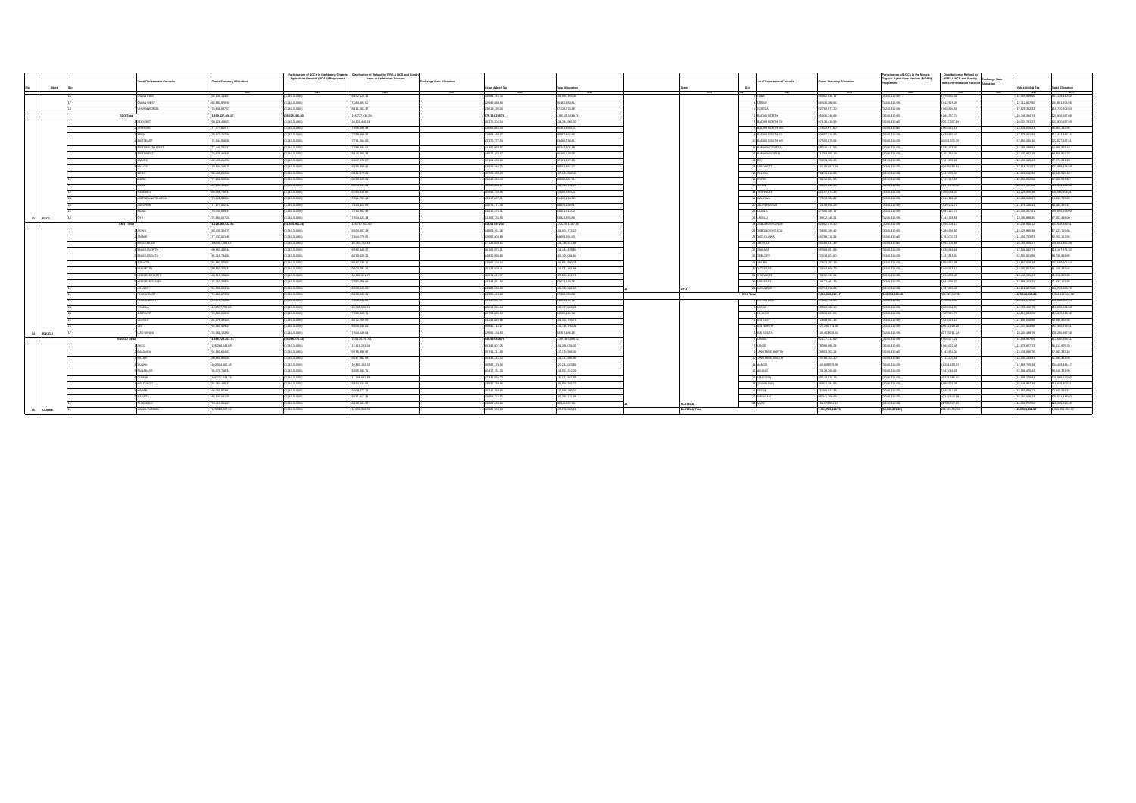|              |                    |                                  |                               | Participation of LGCs in the Nigeria Organic | stribution of Refund by FIRS & NCS and Sun |                         |                                |                                 |               |                          |                          |                               | rticipation of LGCs in the Nigeria | Natribution of Refund by               |                               |                                 |
|--------------|--------------------|----------------------------------|-------------------------------|----------------------------------------------|--------------------------------------------|-------------------------|--------------------------------|---------------------------------|---------------|--------------------------|--------------------------|-------------------------------|------------------------------------|----------------------------------------|-------------------------------|---------------------------------|
|              |                    | <b>Local Government Councils</b> | as Statutory Allocation       | Agriculture Network (NOAN) Programme         | Items in Federation Account                | schange Gain Allocation |                                |                                 |               |                          | ocal Government Councils | ross Statutory Allocation     | Organic Agriculture Network (NOAN) | FIRS & NCS and Sundry Exchange Gain    |                               |                                 |
| <b>State</b> |                    |                                  |                               |                                              |                                            |                         | an T bebbA euk                 | notas alla lato?                |               |                          |                          |                               | Programme                          | Items in Federation Account Allocation | Value Added Tax               | <b>Total Allocation</b>         |
|              |                    |                                  |                               |                                              |                                            |                         |                                |                                 |               | $\overline{\phantom{a}}$ |                          |                               |                                    |                                        |                               |                                 |
|              |                    |                                  | (149,134.0)                   | 3,240,310.08)                                | 472,424.16                                 |                         | 4,584,145.30                   | 01,965,393.40                   |               |                          |                          | 5,982,036.77                  | 240,310.08)                        | 70.864.01                              | 4.405.849.80                  | 0,118,440.50                    |
|              |                    | <b>MAN WEST</b>                  | 0,092,678.39                  | 3,240,310.08)                                | 00.122.000                                 |                         | 12,945,888.50                  | 15,482,853.81                   |               |                          |                          | 416,380.96                    | (240,310.08)                       | 912,525.29                             | 12,712,607.90                 | 104,801,204.05                  |
|              |                    | <b>HUNMINONDE</b>                | 8,646,697.07                  | (3,240,310.08)                               | 111,201.47                                 |                         | 13,619,190.00                  | 17,136,778.46                   |               |                          |                          | 2,780,577.20                  | 3,240,310.08)                      | 02.008.022.5                           | 7,621,342.32                  | 15,730,504.04                   |
|              | EDO Total          |                                  | 1,510,427,406.07              | (58.325.581.40)                              | 155,777,438.28                             |                         | 275.144.285.76                 | 1.883.023.548.71                |               |                          | <b>IOAN NORTH</b>        | 25, 235, 248, 68              | 3,240,310.08)                      | 2,094,353.74                           | 18.346.234.74                 | 120.936.587.08                  |
|              |                    | ADO EXITI                        | 0,120,458.03                  | 3,240,310.08)                                | 0,120,446.54                               |                         | 18,276,206.54                  | 23,254,001.03                   |               |                          | MN NORTH EA              | 128,418.98                    | 3,240,310.08)                      | 0,017,307.84                           | 9.024,741.22                  | 22,930,157.95                   |
|              |                    | VYEKRE                           | 7,077,825.73                  | (3,240,310.08)                               | 1,040,305.44                               |                         | 13,005,046.94                  | 25,451,959.03                   |               |                          | <b>IDAN NORTH WE</b>     | 1,622,877.60                  | 3,240,310.08)                      | 1,005,610.18                           | 13,921,015.23                 | 26,309,192.94                   |
|              |                    | EFON                             | 70,973,767.39                 | (3,240,310.08)                               | 7,319,856.37                               |                         | 11,904,489.27                  | 86,957,802.95                   |               |                          | ASI HTUDE WADA!          | 23,857,216.83                 | (3,240,310.08)                     | 679,933.47                             | 17.175.051.93                 | 117,471,892.16                  |
|              |                    | <b>SOTI BAR</b>                  | 5,544,958.00                  | (3, 240, 310.08)                             |                                            |                         | 13,370,777.54                  | 18.003,730.01                   |               |                          | DAN SOUTH WE             | 555,675.04                    | (240,310.08)                       | 0,061,372.75                           |                               |                                 |
|              |                    |                                  |                               |                                              | 03.004.027                                 |                         |                                |                                 |               |                          |                          |                               |                                    |                                        | 07.050.430.10                 | 22,027,167.81                   |
|              |                    | EKITI SOUTH WEST                 | 7,441,792.37                  | (3, 240, 310.08)                             | 7,986,934.02                               |                         | 14,156,009.97                  | 96,344,506.28                   |               |                          | RAPA CENTRAL             | 1,216,417.58                  | 3,240,310.08)                      | 7,035,478.00                           | 2.488.039.93                  | 14,499,625.43                   |
|              |                    | <b>EXITIVEST</b>                 | 8,929,413.46                  | 3,240,310.08)                                | 0.140.359.33                               |                         | 14,576,166.87                  | 98,405,629.59                   |               |                          | <b>URAPA NORTH</b>       | 763958.19                     | 240,310.081                        | 401,352.44                             | 12.433.802.15                 | 18.358.802.70                   |
|              |                    | <b>MURE</b>                      | 5,409,014.52                  | (3, 240, 310.08)                             | 849,072.07                                 |                         | 12,104,050.94                  | 82,121,827.46                   |               |                          |                          | 393,928.46                    | 3,240,310.08)                      | 7,321,935.68                           | 12,496,145.42                 | 17,571,699.48                   |
|              |                    |                                  | 9.604.255.75                  | 3,240,310.08)                                | 1209 958 97                                |                         | 13.978.947.72                  | 98.552.852.37                   |               |                          | SAKI WEST                | 3.051.817.49                  | 1240.310.081                       | 0.628.215.61                           | 17.518.701.57                 | 127,958,424.59                  |
|              |                    |                                  | 405,233.66                    | 3,240,310.08)                                | 911-375.6                                  |                         | 15,769,369.23                  | 07,645,668.43                   |               |                          |                          | 215,610.68                    | 3,240,310.08)                      | 447,933.47                             | 2 926 282 32                  | 19,349,516.40                   |
|              |                    | ERE                              | 7.058.905.46                  | 3,240,310.08)                                | 009325.91                                  |                         | 13,640,960.43                  | 06.058.001.71                   |               |                          |                          | 9,136,504.95                  | (240,310.08)                       | 161,717.65                             | 1,050,652.68                  | 17,108,565.20                   |
|              |                    | oou                              | 4,104,124.22                  | 3,240,310.08)                                | 1,674,051.44                               |                         | 14,246,888.67                  | 103,784,754.24                  |               |                          |                          | 029.046.23                    | (240,310.08)                       | (172,136.42                            | 16.912.917.04                 | 122,474,389.62                  |
|              |                    | <b>EJEMEJI</b>                   | 0,095,739.33                  | 3,240,310.08)                                | 1,094,819.82                               |                         | 10,656,732.96                  | 72,606,982.03                   |               |                          |                          | 107,073.26                    | (240,310.08)                       | 468,086.24                             | 13,225,955.38                 | 100,550,804.81                  |
|              |                    | EPODUNIFELODUN                   | 73,901,345.04                 | 3,240,310.08)                                | 1,621,791.14                               |                         | 13,117,667.91                  | 50.009,009,00                   |               |                          |                          | 573,182.82                    | 3,240,310.08)                      | 010,798.40                             | 12,488,058.57                 | 34,931,739.82                   |
|              |                    | <b>ZUORUN</b>                    | 71,977,002.42                 | (3,240,310.08)                               | 1,423,324.69                               |                         | 12,675,171.58                  | 88,835,188.61                   |               |                          |                          | 2,108,656.29                  | 3,240,310.08)                      | 7,436,902.77                           | 11,878,116.43                 | 88, 183,365.41                  |
|              |                    | 10BA                             | 444,689.34                    | (3, 240, 310.08)                             | 29.030,007.1                               |                         | 13,616,270.31                  | 3,601,613.02                    |               |                          |                          | 7,596,385.77                  | (240,310.08)                       | 034,224.70                             | 15.305.357.61                 | 00.035,058.00                   |
|              |                    |                                  | 064,007.28                    | 3,240,310.08)                                | 834,523.13                                 |                         | 13,263,135.53                  | 13,821,355.86                   |               |                          |                          | 8,972,146.21                  | 3,240,310.08)                      | 144,766.56                             | 3,780,836.30                  | 00.057,439.00                   |
|              | <b>EXITI Total</b> |                                  | 1,228,660,532.66              | (51, 544, 961, 24)                           | 26,717,503.62                              |                         | 219,017,972.41                 | 1,522,551,047.45                |               |                          | GBOMOSHO NOR             | 2,952,478.40                  | 3,240,310.08)                      | 1,556,308.17                           | 5,239,910.12                  | 103,518,386.61                  |
|              |                    |                                  | 430,304.75                    | 3,240,310.08)                                | 004,557.29                                 |                         | 14,009,161.26                  | 03,003,713.23                   |               |                          | UO2 ON2OMOG              | 055,189.42                    | 3,240,310.08)                      | 286,999.93                             | 2,425,840.38                  | 17,127,719.66                   |
|              |                    |                                  | 033,021.46                    | (3,240,310.08)                               | 344,775.56                                 |                         | 12,957,804.89                  | 4,695,291.83                    |               |                          |                          | 5,758,716.34                  | 3,240,310.08)                      | 1,782,003.78                           | 1,401,703.53                  |                                 |
|              |                    |                                  |                               |                                              |                                            |                         |                                |                                 |               |                          |                          |                               |                                    |                                        |                               | 0,702,113.56                    |
|              |                    | ENUGU EAST<br>NUGU NORTH         | 00,487,085.62<br>(952,430.44) | (3,240,310.08)<br>3,240,310.08)              | 10,363,702.83<br>0,380,349.27              |                         | 17,136,039.52<br>16,151,970.21 | 124,746,517.88<br>13,244,439.84 |               |                          | 26 OLUYOLE               | 84,285,037.33<br>32.00.001.98 | 3,240,310.08)<br>3,240,310.08)     | 8,692,709.86<br>2,835,546.69           | 15,355,025.27<br>7,146,682.73 | 105,092,462.38<br>19,107,971.32 |
|              |                    |                                  |                               |                                              |                                            |                         |                                |                                 |               |                          | <b>1971 COT</b>          |                               |                                    |                                        | 12.530.061.99                 |                                 |
|              |                    | NUGU SOUTH                       | 5,319,794.09                  | (3,240,310.08)                               | 1,720,429.22                               |                         | 14,826,090.80                  | 105,705,004.64                  |               |                          |                          | 2,018,601.90                  | 3,240,310.08)                      | 7,427,615.04                           |                               | 18,735,958.85                   |
|              |                    | ZEAGU                            | 2.583.575.54                  | 3,240,310.08)                                | 1,517,230.15                               |                         | 13.992.404.14                  | 101.852.899.75                  |               |                          | <b>ORI IRS</b>           | 833 253 29                    | 3,240,310.08)                      | 058.653.95                             | 13,857,608,48                 | 07.509.205.64                   |
|              |                    | <b>GBO ETITI</b>                 | 0,502,355.34                  | (3, 240, 350.08)                             | 230,797.28                                 |                         | 15,128,609.41                  | 10,621,461.96                   |               |                          | OYO EA!                  | 3,697,960.79                  | 3,240,310.08)                      | 1,600.815.17                           | 13,087,817.20                 | 1,146,283.07                    |
|              |                    | GBO EZE NORTH                    | 0,515,188.00                  | (3, 240, 310.08)                             | 10,160,331.87                              |                         | 16,571,012.37                  | 122,006,222.76                  |               |                          |                          | 3,252,139.04                  | (240,310.08)                       | 554,835.49                             | 344394123                     | 83.203.000,19                   |
|              |                    | 200 EZE SOUT                     | 752,299.24                    | 3,240,310.08)                                | 412,688.69                                 |                         | 3,348,851.50                   | 673,529.36                      |               |                          |                          | 123,461.73                    | 3,240,310.08)                      |                                        |                               | 1,224,103.93                    |
|              |                    |                                  | 2,700,053.10                  | (3, 240, 310.08)                             | 529,243.02                                 |                         | 13,380,094.99                  | 00.180,000,101                  |               |                          | <b>21011111</b>          | 754,213,26                    | 3,240,310.08)                      | 03-030,003                             | 13,611,627.08                 | 102,763,493.75                  |
|              |                    | <b><i>OKANU EAST</i></b>         | 29,081,873.08                 | (3,240,310.08)                               | 8,156,083.21                               |                         | 13,390,413.68                  | 97,388,059.88                   |               | OYO Total                |                          | 2,716,000,210.17              | (106, 930, 232.56)                 | 200,122,047.31                         | 475,146,515.80                | 1,354,418,540.72                |
|              |                    | <b>IKANU WEST</b>                | 5,978,742.66                  | (3, 240, 310.08)                             | 1,836,042.86                               |                         | 13,330,657.27                  | 23,905,132.72                   |               |                          | FICIN 1 AT               | 1,542,700.48                  | (240,310.08)                       | 059,628.29                             | 14.426.279.55                 | 08.088.298.24                   |
|              |                    | <b>ISLIKKA</b>                   | 04,577,795.08                 | (3,240,310.08)                               | 10,785,596.81                              |                         | 18,013,951.44                  | 130,137,043.25                  |               |                          |                          | 25,302,423.10                 | 3,240,310.08)                      | 1,828,991.57                           | 14.759.466.79                 | 15.650.641.38                   |
|              |                    | DJI RIVER                        | 5,589,089.26                  | 3,240,310.08)                                | 37.000,000.76                              |                         | 12,752,695.83                  | 4,000,465.78                    |               |                          |                          | 0,830,021.85                  | 3,240,310.08)                      | 2,367,724.70                           | 14,517,883.05                 | 11,475,319.52                   |
|              |                    | <b>JDENU</b>                     | 4,576,493.05                  | (3,240,310.08)                               | 722,709.05                                 |                         | 14,243,846.68                  | 104,302,798.71                  |               |                          | JOS EAST                 | 2,948,561.35                  | 3,240,310.08)                      | 523,526.10                             | 1.849.050.98                  | 89,080,028.36                   |
|              |                    |                                  | 2,587,989.24                  | 3,240,310.08)                                | 1,549,030.03                               |                         | 5,540,110.17                   | 114,736,799.36                  |               |                          | JOS NORTH                | 2,290,774.80                  | 3,240,310.08)                      | (612,419.20                            | 21,727,914.58                 | 53,390,798.51                   |
| 14 ENUGU     |                    |                                  | 6,061,122.60                  | (3, 240, 310.08)                             | 1,844,539.09                               |                         | 12,692,134.63                  | 23,357,486.25                   |               |                          | HINDG SOL                | 04.463,036.60                 | 3,240,310.08)                      | 0,773,761.24                           | 18,204,422.72                 | 130,200,987.56                  |
|              | ENUGU Total        |                                  | 455,729,203.74                | 55,085,271.32)                               | 50,136,157.01                              |                         | 248,565,858.79                 | 22,345,948.22                   |               |                          |                          | 177,313.69                    | (240,310.08)                       | 506,677.21                             | 4,156,987.69                  | 12,600,668.51                   |
|              |                    | <b>ANCHOC</b>                    | 5,266,243.88                  | 3,240,310.08)                                | 12,919,293.24                              |                         | 19,342,807.25                  | 54,288,034.30                   |               |                          |                          | 1,388,985.24                  | 3,240,310.08)                      | 084,622.45                             | 2,878,677.72                  | 06,111,975.33                   |
|              |                    | <b>BALANGA</b>                   | 4,982,604.62                  | (3, 240, 310.08)                             | 0,725,922.97                               |                         | 15,741,211.89                  | 117,279,506.40                  |               |                          | ANGTANG NORTH            | 0,953,702.14                  | 3,240,310.08)                      | 8,142,864.34                           | 13,431,086.76                 | 07,287,343.16                   |
|              |                    | LLRI                             | 9,861,950.56                  | (80.010.08)                                  | 0,267,682.99                               |                         | 5,442,142.42                   | 11,331,665.90                   |               |                          | WGTANG SOUTH             | 769,301.20                    | (240,310.08)                       | 711,307.51                             | 2,444,114.42                  | 00.014,413.06                   |
|              |                    | <b>DOKKU</b>                     | 02,324,002.16                 | (3, 240, 310.08)                             | 0,553,152.62                               |                         | 15,587,178.90                  | 25,224,023.60                   |               |                          |                          | 08.009.575.85                 | 3,240,310.08)                      | 11,201,413.21                          | 17,005,705.18                 | 134,436,444.17                  |
|              |                    | INAKAYE                          | 5,070,758.33                  | (3,240,310.08)                               | 9,805,092.71                               |                         | 16,417,761.33                  | 18,053,312.20                   |               |                          |                          | 73.128.160.64                 | 3,240,310.08)                      | 542,049.01                             | 12.100.475.42                 | 09,618,374.99                   |
|              |                    | 30MDC                            | 06,721,444.45                 | (3,240,310.08)                               | 1,006,681.39                               |                         | 7,335,032.23                   | 31,822,847.99                   |               |                          |                          | 110,076.78                    | 3,240,310.08)                      | 0,221,685.47                           | 14,098,179.83                 | 20,989,632.00                   |
|              |                    | CALTUNGO                         | 12,354,455.33                 | (3,240,310.08)                               | 33.34.034.00                               |                         | 13,937,709.86                  | 101.556.582.77                  |               |                          | <b>OILE'AN PAN</b>       | 6.821.184.85                  | 3,240,310.08)                      | 3,985,621.35                           | 15,048,907.39                 | 118,615,403.51                  |
|              |                    |                                  | 6,081,873.81                  | 3,240,310.08)                                | 909,372.74                                 |                         | 5,245,368.80                   | 17,996,305.27                   |               |                          |                          | 068,627.36                    | 3,240,310.08)                      | 545,313.09                             | 1.169.929.1                   | 0,843,559.51                    |
|              |                    | <b>AFADA</b>                     | 5.147.041.55                  | 3,240,310.08)                                | 1,781,612.38                               |                         | 13,603,777.82                  | 104.232.121.68                  |               |                          | DIEMOAN                  | 341,709.69                    | (240,310.08)                       | (142,440.18)                           | 15.367.608.23                 | 20,611,448.02                   |
|              |                    | SHOMGOM                          | 79,411,944.01                 | (3, 240, 310.08)                             | 8,190,124.97                               |                         | 13.987.063.06                  | 28,348,822.76                   | PLATFAIR      |                          | 7 MASE                   | 04.673.891.15                 | 3240.310.081                       | 10,795,507.65                          | 14.036.727.56                 | 126.265.816.29                  |
|              |                    |                                  |                               |                                              |                                            |                         |                                |                                 |               |                          |                          |                               |                                    |                                        |                               | 1,910,951,952.10                |
| 15 GOMBE     |                    | <b>AMALTU, DE BA</b>             | 6,012,207.29                  | 3,240,310.08)                                | 10,830,399.78                              |                         | 16,968,503.28                  | 29,570,000.26                   | PLATEAU Total |                          |                          | 554,720,116.78                | (55,085,271.32)                    | 00,345,552.56                          | 250,971,554.07                |                                 |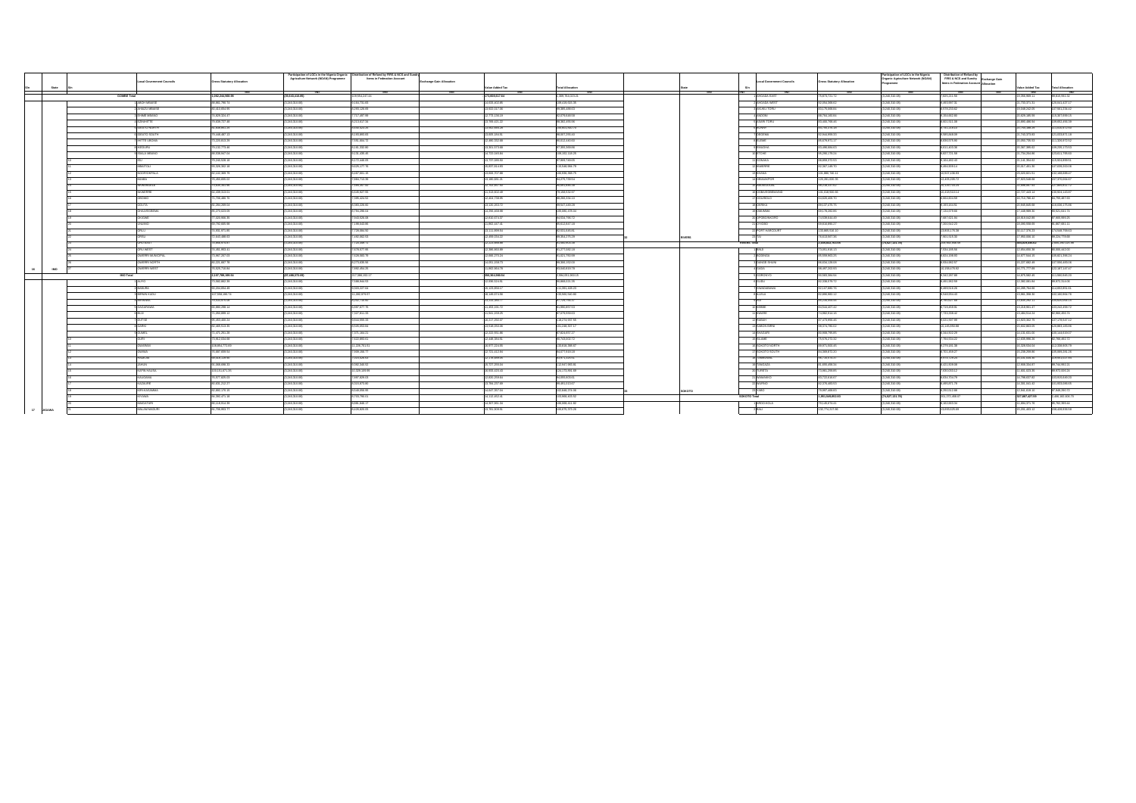|           |              |                    |                           |                                   | Participation of LGCs in the Nigeria Organic | ution of Refund by FIRS & NCS and Su |                          |                             |                             |        |                     |                                  |                                   | articipation of LGCs in the Nigeria       | stribution of Refund by                |               |                             |                                |
|-----------|--------------|--------------------|---------------------------|-----------------------------------|----------------------------------------------|--------------------------------------|--------------------------|-----------------------------|-----------------------------|--------|---------------------|----------------------------------|-----------------------------------|-------------------------------------------|----------------------------------------|---------------|-----------------------------|--------------------------------|
|           |              |                    | ocal Government Councils  | <b>Gross Statutory Allocation</b> | Agriculture Network (NOAN) Programme         | Items in Federation Account          | Eschange Gain Allocation |                             |                             |        |                     | <b>Local Government Councils</b> | <b>Gross Statutory Allocation</b> | <b>Organic Agriculture Network (NOAN)</b> | FIRS & NCS and Sundry                  | Exchange Gain |                             |                                |
|           | <b>State</b> |                    |                           |                                   |                                              |                                      |                          | has Added Tex               | and Alloyaddan              |        |                     |                                  |                                   | Programme                                 | Items in Federation Account Allocation |               | sing Added Tex              | otal Allocation                |
|           |              |                    |                           |                                   |                                              |                                      |                          |                             |                             |        | $\sim$              |                                  |                                   |                                           |                                        |               |                             |                                |
|           |              | <b>GOMBE Total</b> |                           | 062,244,568.98                    | 35,643,410.85)                               | 554,247.4                            |                          | 3,008,617.6                 |                             |        |                     |                                  |                                   | (3,240,310.08)                            | 25.211.50                              |               | 3.356.969.1                 | 815,592.32                     |
|           |              |                    | <b>BOH MBAISE</b>         | 88.861.790.74                     | 3,240,310.08)                                | (164.731.83)                         |                          | 4,633,402.85                | 0.419.615.35                |        |                     | <b>IDADA WES</b>                 | 054,368.62                        | (3, 240, 310.08)                          | 493,997.31                             |               | 1.733.371.31                | 20.041.427.17                  |
|           |              |                    | <b>IAZU MBAISE</b>        | 0,410,654.95                      | 3,240,310.08)                                | 203,126.09                           |                          | 3,922,017.06                | 0,385,488.63                |        |                     | <b>UCLICU-TOR</b>                | 175,068.84                        | 3,240,310.08)                             | 578,233.62                             |               | 9,048,242.05                | 07,561,234.42                  |
|           |              |                    | OWARD MERC                | 74,829,324.47                     | (3, 240, 310.08)                             | ,717,497.99                          |                          | 12,773,136.19               | 12,073,648.58               |        |                     | ANDONE                           | 1,764,160.84                      | (3,240,310.08)                            | 154,662.80                             |               | 10,629,185.59               | 15,307,699.15                  |
|           |              |                    | ZNINTE                    | 9,639,727.48                      | 3,240,310.08)                                | 213,617.34                           |                          | 1,709,421.22                | 8,382,455.95                |        |                     | <b>SARI-TORU</b>                 | 400,768.46                        | (3,240,310.08)                            | 601,511.08                             |               | 890,486.94                  | 09, 052, 456.39                |
|           |              |                    | <b>EATO NORTH</b>         |                                   | 3,240,310.08)                                |                                      |                          |                             |                             |        |                     |                                  | 755,376.18                        |                                           |                                        |               |                             |                                |
|           |              |                    |                           | 11,838,851.25                     |                                              | 440,423.25                           |                          | 3,562,846.28                | 07.021,810.70               |        |                     |                                  |                                   | (3,240,310.08)                            | 741,218.10                             |               | 10,754,188.29               | 010,472.50                     |
|           |              |                    | <b>JEATO SOUTH</b>        | 79,448,487.13                     | (3,240,310.08)                               | 0,193,093.03                         |                          | 13,605,184.51               | 18,007,255.40               |        |                     | necessa                          | 244, 202, 33                      | (3,240,310.08)                            | 0.585,848.09                           |               | 1,743,373.83                | 21,033,871.18                  |
|           |              |                    | MITTE UBOMA               | 13,220,813.29                     | 3,240,310.08)                                | 551,604.72                           |                          | 12,480,332.68               | 0,012,440.60                |        |                     | <b>LEME</b>                      | 679,971.17                        | (3,240,310.08)                            | 1,836,575.90                           |               | 1,050,735.53                | 1,326,972.52                   |
|           |              |                    | <b>STOURS!</b>            | 79,132,773.46                     | (3,240,310.08)                               | 0,161,332.00                         |                          | 13,301,573.68               | 17,355,309.00               |        |                     | <b><i>PARTICULAR</i></b>         | <b>496 534 53</b>                 | (3,240,310.08)                            | 3611.403.35                            |               | 20,367,395.62               | 09.235.173.53                  |
|           |              |                    | SIALA MBANO               | 10.538.947.04                     | 3.240.310.08                                 | (131,435.45)                         |                          | 4,722,045.84                | 09,152,118.25               |        |                     |                                  | 290.179.24                        | (3,240,310.08)                            | 827,721.58                             |               | 1.734.204.86                | 23.611.795.60                  |
|           |              |                    |                           | 9,240,528.18                      | 3,240,310.08)                                | 172,446.05                           |                          | 3,737,085.50                | 7,909,749.65                |        |                     |                                  | 859,372.53                        | (3,240,310.08)                            | 164,482.43                             |               | 1.141.354.62                | 15,924,899.51                  |
|           |              |                    | <b>SAITOLI</b>            | 23,326,302.18                     | (3,240,310.08)                               | 9,625,177.76                         |                          | 15,837,814.93               | 5,548,984.79                |        |                     | OVERE                            | 1367,149.70                       | (3,240,310.08)                            | 1,404,909.14                           |               | 0,017,451.30                | 07,639,200.06                  |
|           |              |                    | гля гием с                | 12,102,369.79                     | 3,240,310.08)                                | 467,601.15                           |                          | 3,606,707.88                | 10,936,368.75               |        |                     |                                  | 1,000,740.1                       | (3,240,310.08)                            | 1,507,436.93                           |               | 020-821-5                   | 32,168,688.4                   |
|           |              |                    | <b>HAA</b>                | 5,450,655.02                      | (3,240,310.08)                               | 7,884,713.39                         |                          | 3,180,681.21                | 94,275,739.54               |        |                     | OBIAIAKPOR                       | 20,281,620.35                     | (3,240,310.08)                            | 2,405,205.72                           |               | 7.923.548.68                | 57,370,064.67                  |
|           |              |                    | KWANGELE                  | 3,635,341.96                      | (3,240,310.08)                               | 394,357.00                           |                          | 2,702,457.50                | 0,021,046.38                |        |                     | ABUA/ODUA                        | 8,218,337.62                      | (3,240,310.08)                            | 1,129,716.24                           |               | 2,698,067.93                | 27,805,811.72                  |
|           |              |                    | KWERRE                    | 04,439,313.01                     | 3,240,310.08)                                | 645,927.55                           |                          | 11,313,602.49               | 9,158,532.97                |        |                     | <b>CRAINCREMAN</b>               | 1,018,500.66                      | (3, 240, 310.08)                          | 1,418,510.14                           |               | 22.727.443.14               | 30,924,143.87                  |
|           |              |                    | covo                      | 1,706,480.70                      | 3,240,310.08)                                | 7,395,424.52                         |                          | 12,404,738.95               | 88,266,334.10               |        |                     | ocuporo                          | (520,406.70                       | (3,240,310.08)                            | 02.001.033                             |               | 16,710,786.42               | 4,755,487.63                   |
|           |              |                    | <b>COUTA</b>              | 81,284,209.04                     | (3,240,310.08)                               | 8,383,226.60                         |                          | 3,120,263.72                | 10,547,440.20               |        |                     | CHOPING                          | 1,137,475.75                      | (3,240,310.08)                            | 1123.164.51                            |               | 20.945.845.68               | 16,036,175.86                  |
|           |              |                    | NAJEGOEMA                 | 5,270,023.09                      | 3,240,310.08)                                | 704,205.04                           |                          | 4,256,468.98                | 5,080,478.04                |        |                     |                                  | 178,282.86                        | (3, 240, 310.08)                          | 134,679.66                             |               | 7,448,989.30                | 0,521,641.74                   |
|           |              |                    |                           | 77,020,906.35                     | (3, 240, 310.08)                             | ,943,526.08                          |                          | 12,810,674.37               | 14,534,796.72               |        |                     | OPOBO/MORORO                     | 532,644.49                        | (3,240,310.08)                            | 1,687,621.94                           |               | 18,919,042.89               | 17,905,999.25                  |
|           |              |                    | NUMO                      | 69,792,665.98                     | (3,240,310.08)                               | 198,043.00                           |                          | 11.862.447.41               | 85,612,847.18               |        |                     | 21 OYIGBO                        | 9.816.890.27                      | (3,240,310.08)                            | 7,200,542.23                           |               | 18.090.558.69               | 1.067.681.11                   |
|           |              |                    |                           | 74,931,971.85                     | 3,240,310.08)                                | 728,084.50                           |                          | 3,111,899.54                | 12,531,645.81               |        |                     | PORT HARCOURT                    | 3,865,516.10                      | (3,240,310.08)                            | 1,806,176.38                           |               | 117,376.23                  | 74,548,758.63                  |
|           |              |                    |                           | 72.643.488.63                     | (3.240.310.08)                               | 7,492,052.53                         |                          | 12.459.034.22               | 10,354,275.20               |        |                     |                                  | 6.613.567.36                      | (3.240.310.08)                            | 7.901.515.30                           |               | 7,950,006.10                | 0.224.778.68                   |
|           |              |                    | RU EAST                   | 14,856,974.87                     | 3,240,310.08)                                | 720,349.71                           |                          | 223,888.88                  | 560,903.38                  | RIVERS | <b>RIVERS Total</b> |                                  | 035,832,763.55                    | (74,527,131.78)                           | 03.964,948.59                          |               | 484,013,445.62              | 1,655,290,025.98               |
|           |              |                    | RU WES                    | 74,451,953.41                     | (3, 240, 310.08)                             | 1,678,577.95                         |                          | 12,386,000.00               | 1,277,082.18                |        |                     |                                  | 1,051,916.13                      | (3,240,310.08)                            | 20.031,165                             |               | 12.654.650.38               | 0,000,442.00                   |
|           |              |                    | VERRI MUNICIPAL           | 73,967,207.03                     | 3,240,310.08)                                | 628,583.79                           |                          | 2,666,270.24                | 1,021,750.99                |        |                     |                                  | 559,953.25                        | (3,240,310.08)                            | 1,824,198.93                           |               | 14,677,544.15               | 05,821,396.24                  |
|           |              |                    |                           |                                   |                                              |                                      |                          |                             |                             |        |                     |                                  |                                   |                                           |                                        |               |                             |                                |
|           |              |                    | VERRI NORTH<br>ERRI WEST  | 80,221,667.78<br>6,525,710.84     | (3, 240, 310.08)<br>3,240,310.08)            | 0,273,635.56<br>892,454.25           |                          | 14,051,158.73<br>052,954.78 | 99,306,152.00<br>040,819.78 |        |                     | DANGE-SHUNI                      | 1,534,128.08<br>497,202.93        | (3,240,310.08)<br>(3, 240, 310.08)        | 1,934,982.57<br>158,476.92             |               | 15,227,682.49<br>771,777.69 | 07,556,483.06<br>22,187,147.47 |
|           | IMO          |                    |                           |                                   |                                              |                                      |                          |                             |                             |        |                     |                                  |                                   |                                           |                                        |               |                             |                                |
|           |              | <b>IMO Total</b>   |                           | 2,107,789,199.54                  | (87, 488, 372.09)                            | 7,386,152.17                         |                          | 356,364,980.54              | 594,051,960.15              |        |                     | CRONYD                           | 583,384.94                        | (3,240,310.08)                            | 342,287.89                             |               | 14,875,582.45               | 1,560,945.20                   |
|           |              |                    |                           | 3,582,062.39                      | 3,240,310.08)                                | 588,944.53                           |                          | 2,936,524.51                | 0,868,021.35                |        |                     |                                  | 238,579.72                        | (3, 240, 310.08)                          | 491.962.59                             |               | 12.302.001.84               | 10,072,314.06                  |
|           |              |                    | <b>ASUZA</b>              | 00,204,654.49                     | 3,240,310.08)                                | 303,227.64                           |                          | 5,123,856.17                | 11,391,428.23               |        |                     | WADABAW                          | 107,880.76                        | (3,240,310.08)                            | 400,516.26                             |               | 16,205,764.00               | 4,652,851.61                   |
|           |              |                    | <b>DIRNIN KUDU</b>        | 107,558,196.74                    | (3,240,310.08)                               | 11,092,979.57                        |                          | 18,149,674.56               | 33,550,540.00               |        |                     | LLELA                            | 2.890.982.12                      | (3,240,310.08)                            | 4,548,934.43                           |               | 13,961,358.30               | 02,160,954.76                  |
|           |              |                    |                           | 19,533,975.08                     | (3,240,310.08)                               | 8,202,710.60                         |                          | 3,233,380.77                | 1,729,756.37                |        |                     |                                  | 234,454.44                        | (3,240,310.08)                            | 790,627.68                             |               | 13,835,292.11               | 4,620,064.15                   |
|           |              |                    | <b>SACARAMA</b>           | 66,880,298.14                     | (3,240,310.08)                               | 6.097.677.75                         |                          | 11,453,191.72               | 11,990,857.53               |        |                     |                                  | 544,407.42                        | (3,240,310.08)                            | 719,459.91                             |               | 13.218.901.47               | 03,242,458.72                  |
|           |              |                    |                           | 71,050,899.12                     | (3,240,310.08)                               | 7,327,811.33                         |                          | 11,941,159.25               | 7,079,559.63                |        |                     | <b>KWARD</b>                     | 382,914.16                        | (3,240,310.08)                            | 733,338.42                             |               | 13,484,514.24               | 2,950,455.74                   |
|           |              |                    | <b>DESTRIP</b>            | 15.453.400.24                     | 3.240.310.08                                 | 0,844,555.33                         |                          | 16,217,292.07               | 18.274.937.55               |        |                     |                                  | AT3 956.46                        | (3,240,310.08)                            | 021.597.99                             |               | 13.923.302.75               | 07,178,547.12                  |
|           |              |                    | <b>DKRAL</b>              | 12,465,513.35                     | 3,240,310.08)                                | 505.053.84                           |                          | 3,518,050.06                | 01,248,307.17               |        |                     | SABON BIRN                       | 374,780.02                        | (3,240,310.08)                            | 145,850.88                             |               | 5,002,863.05                | 20,883,183.86                  |
|           |              |                    |                           | 1,471,251.28                      | (3,240,310.08)                               | 7,371,164.21                         |                          | 2,222,551.86                | 7,824,657.27                |        |                     | SHAGAR                           | 303,795.85                        | (3,240,310.08)                            | 344,502.29                             |               | 14,131,631.00               | 00,144,619.07                  |
|           |              |                    |                           | 73,912,034.68                     | 3,240,310.08)                                | 622,893.61                           |                          | 12,448,384.51               | 0,743,002.72                |        |                     | ELAM                             | 576,272.32                        | (3, 240, 310.08)                          | 794,534.22                             |               | 12,635,996.26               | 2,705,492.72                   |
|           |              |                    | MARAM                     | 108,854,772.69                    | 3,240,310.08)                                | 1,226,701.51                         |                          | 16,977,224.55               | 33,818,388.67               |        |                     | <b>CKOTO NORTH</b>               | 371,500.45                        | (3, 240, 310.08)                          | 279,181.38                             |               | 16.328,534.04               | 12,338,905.79                  |
|           |              |                    | www                       | 76.687.659.54                     | (3, 240, 310.08)                             | 7,909,156.77                         |                          | 2,721,412.94                | 14,077,919.18               |        |                     | <b>CKOTO SOUTH</b>               | 4.309.872.20                      | (3,240,310.08)                            | 1701.459.27                            |               | 15.238.259.86               | 05,069,281.26                  |
|           |              |                    | <b>ADEJIA</b>             | 00.018,119.90                     | 3,240,310.08)                                | 015,026.63                           |                          | 178,409.05                  | 1,971,325.51                |        |                     | <b>AMBUWAL</b>                   | 715,574.37                        | (3,240,310.08)                            | 974,729.24                             |               | 00.000.001.01               | 19,551,027.54                  |
|           |              |                    | HI <sub>IN</sub>          | 058,098.33                        | 3,240,310.08)                                | 0,392,340.52                         |                          | 1,727,255.04                | 12,947,983.81               |        |                     | <b>ANGAZA</b>                    | 025,458.34                        | (3,240,310.08)                            | 1,421,509.08                           |               | 12,908,334.87               | 10,744,932.21                  |
|           |              |                    | <b>CAFIN HAUSA</b>        | 100,151,671.35                    | (3,240,310.08)                               | 10,329,109.99                        |                          | 16,933,420.43               | 124,173,891.69              |        |                     | <b>STURETA</b>                   | 3,981,259.85                      | (3.240.310.08)                            | 1.630.033.12                           |               | 11.601.023.35               | 19,972,006.24                  |
|           |              |                    | CAMA                      | 76,577,825.03                     | 3,240,310.08)                                | 7,897,829.03                         |                          | 2,820,259.64                | 13.055,003.61               |        |                     |                                  | 722.616.67                        | (3,240,310.08)                            | 634.704.79                             |               | 14.798.637.82               | 0,915,649.20                   |
|           |              |                    | CAZALIRE                  | 00,631,212.27                     | 3.240.310.08                                 | 315,873.00                           |                          | 3.784.237.69                | 12.671.013.67               |        |                     | 22 MURNO                         | 376,483.53                        | (3,240,310.08)                            | 1405.871.78                            |               | 14.301.041.42               | 23.300,000.05                  |
|           |              |                    |                           | 2,092,170.1                       | (240,310.08)                                 | 549,056.9                            |                          | 647,357.04                  | 2,848,274.0                 | SOKOTO |                     |                                  |                                   | 1,240,310.08                              | 150,512.80                             |               |                             | 949,290.7                      |
|           |              |                    | www                       | 84,392,471.18                     | (3, 240, 310.08)                             | 8,703,790.01                         |                          | 14,112,452.41               | 03,958,403.52               |        | SOKOTO Total        |                                  | 1,951,549,852,83                  | (74, 527, 131.78)                         | 201,272,458.07                         |               | 327.887.427.59              | 2,406,182,605.70               |
|           |              |                    | <b>UGATARI</b>            | 05,118,914.39                     | (3, 240, 310.08)                             | 0,001,046.17                         |                          | 14,307,961.34               | 06,068,411.82               |        |                     | <b>JRDO-KCL</b>                  | 145,674.41                        | (3,240,310.08)                            | 102,003.34                             |               | 1,094,371.76                | 6,762,399.44                   |
|           |              |                    | <b><i>IALAM MADUR</i></b> | 11,706,953.77                     | 3,240,310.08)                                | 8,426,820.05                         |                          | 13,781,909.51               | 00,675,373.26               |        |                     |                                  | 32,774,217.86                     | (3,240,310.08)                            | 1691625.69                             |               | 15:201.403.12               | 58,428,936.58                  |
| 17 JIGAWA |              |                    |                           |                                   |                                              |                                      |                          |                             |                             |        |                     |                                  |                                   |                                           |                                        |               |                             |                                |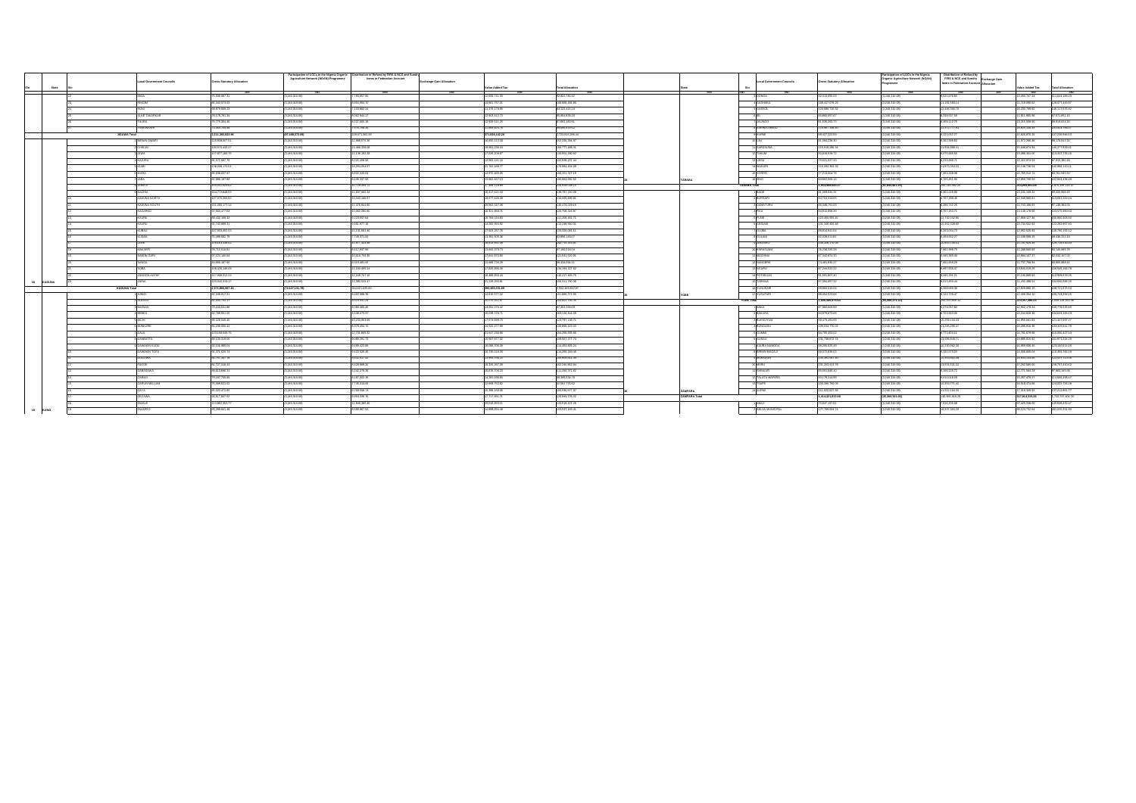|         |               |                     |                                  |                                   | Participation of LGCs in the Nigeria Organic | oution of Refund by FIRS & NCS and Su |                         |                |                  |                      |                          |                            | articipation of LGCs in the Nigeria       | stribution of Refund by                |               |                |                 |
|---------|---------------|---------------------|----------------------------------|-----------------------------------|----------------------------------------------|---------------------------------------|-------------------------|----------------|------------------|----------------------|--------------------------|----------------------------|-------------------------------------------|----------------------------------------|---------------|----------------|-----------------|
|         |               |                     | <b>Local Government Councils</b> | <b>Pross Statutory Allocation</b> | Agriculture Network (NOAN) Programme         | Items in Federation Account           | schange Gain Allocation |                |                  |                      | ccal Government Councils | Gross Statutory Allocation | <b>Organic Agriculture Network (NOAN)</b> | FIRS & NCS and Sundry                  | Exchange Gain |                |                 |
|         | <b>State</b>  |                     |                                  |                                   |                                              |                                       |                         | has Added Tax  | notal Allocation |                      | <b>Ster</b>              |                            | Programme                                 | Items in Federation Account Allocation |               | alue Added Tax | otal Allocation |
|         |               |                     |                                  |                                   |                                              |                                       |                         |                |                  |                      | $\sim$                   |                            |                                           |                                        |               |                |                 |
|         |               |                     |                                  | 1,538,687.31                      | 240,310.08                                   | 90.657.90                             |                         |                | 222.746.42       |                      |                          |                            | (3, 240, 310.08)                          | 120.676.85                             |               | 250,747.34     | 1,644,169.20    |
|         |               |                     |                                  | 5343.073.03                       | 240,310.08)                                  | 304,954.70                            |                         | 4,661,757.21   | 06.003.454.00    |                      |                          | 8.417.079.29               | (3,240,310.08)                            | 1.181.560.14                           |               | 719,090.62     | 28,077,419.97   |
|         |               |                     |                                  | 8,879,669.23                      | (80.010.08)                                  | 03,882.24                             |                         | 1,379,178.85   | 4,122,420.24     |                      |                          | 0,680,720.32               | 3,240,310.08)                             | 2,446,366.76                           |               | 6,230,799.92   | 46,117,576.92   |
|         |               |                     | <b>ULE TAKARKAR</b>              | 78,178,791.34                     | 3,240,310.08)                                | 8,062,944.17                          |                         | 2,903,412.73   | 31.020,000,00    |                      |                          | 1,860,657.67               | (3,240,310.08)                            | 1,339,537.58                           |               | 11,611,905.98  | 7,571,851.16    |
|         |               |                     | <b>AURA</b>                      | 9,775,354.46                      | (80.010.08)                                  | 227,605.18                            |                         | 2,929,511.25   | 17,022,100.81    |                      |                          | 535,262.73                 | (3,240,350.08)                            | 409,112.75                             |               | 1,215,558.90   | 001022430       |
|         |               |                     | NKWASHI                          | 3,464,704.48                      | (240,310.08)                                 | 576,758.35                            |                         | 1,094,025.76   | 095,978.52       |                      |                          | 2,957,198.40               | (3,240,350.08)                            | 2,372,777.91                           |               | 4,825,130.34   | 13, 224, 736.57 |
|         |               | <b>JIGAWA Total</b> |                                  | 211,393,833.96                    | 87,488,372,091                               | 228,071,382.38                        |                         | 171.838.442.20 | 723.815.286.44   |                      |                          | 1,427,322.59               | (3, 240, 310.08)                          | 223 057 77                             |               | 1.826.876.35   | 07,236,946.63   |
|         |               |                     | NN GWAR                          | 25,938,007.51                     | 1,240,310.08)                                | 2,988,575.36                          |                         | 6,650,112.18   | 52,336,384.97    |                      |                          | 084,239.30                 | (3, 240, 310.08)                          | 1,362,596.60                           |               | 1,972,286.48   | 0,178,812.30    |
|         |               |                     | <b>MICHAEL</b>                   |                                   |                                              | 3,406,339.08                          |                         |                |                  |                      |                          |                            |                                           |                                        |               |                |                 |
|         |               |                     |                                  | 30,570,433.27                     | 3,240,310.08)                                |                                       |                         | 10.381,035.03  | 100,777,498.31   |                      | <b>MEDIA INC.</b>        | 5,916,206.34               | (3,240,310.08)                            | 1.954.988.41                           |               | 5.646.974.94   | 40,277,939.61   |
|         |               |                     | AWE                              | 107.977.189.75                    | 3.240.310.08                                 | 1.136.192.28                          |                         | 7.629.208.97   | 13.502.280.92    |                      |                          | 1.016.020.72               | (3,240,310.08)                            | 1675.685.55                            |               | 3,006,331.00   | 13.337.735.19   |
|         |               |                     | <b>URLEA</b>                     | 14,572,997.79                     | (240,310.08)                                 | 722,408.56                            |                         | 2,583,141.16   | 02,638,237.44    |                      |                          | 1,621,027.33               | (3,240,310.08)                            | 211,688.71                             |               | 2,422,974.53   | ,015,380.48     |
|         |               |                     |                                  | 138,208,170.01                    | 3,240,310.08)                                | 4,254,054.57                          |                         | 11,762,489.77  | 70,954,404.28    |                      | NUKAP                    | 0,094,362.33               | (3,240,310.08)                            | 11,973,354.22                          |               | 16,138,736.54  | 40,966,143.01   |
|         |               |                     |                                  | 5,638,837.97                      | 240,310.08                                   | 132,333.64                            |                         | 1,970,465.65   | 36, 201, 327.19  |                      |                          | 213,004.7E                 | (3,240,310.08)                            | 963.338.08                             |               | 765,912.74     | 701,945.50      |
|         |               |                     |                                  | 81,896,197.89                     | 3240.310.08                                  | 8,446,337.68                          |                         | 3.862.457.13   | 00,964,682.62    | TARABA               | 16 ZING                  | 02250614                   | (3,240,310.08)                            | 1725.451.90                            |               | 12,856,790.52  | 02:044.438.49   |
|         |               |                     | <b>EMAY</b>                      | 04.031,023.62                     | (240,310.08)                                 | 729,205.72                            |                         | 7,408,118.89   | 28,928,038.15    |                      | ARABA Total              | 553,468,643.2              | (51, 544, 261.24)                         | 00,216,482.25                          |               | 13,265,951.08  | 875,106,115.37  |
|         |               |                     |                                  | 14,772,848.63                     | 3,240,310.08)                                | 1,837,060.34                          |                         | 6.417.611.18   | 139,787,210.08   |                      |                          | 069.020.3                  | (3,240,350.08)                            | 1,361,026.99                           |               | 3231.159.22    | 0,420,036.45    |
|         |               |                     | DUNA NORTH                       | 07,075,206.92                     | 3,240,310.08)                                | 1,043,166.57                          |                         | 1,577,626.39   | 14,555,689.81    |                      |                          | 704,313.05                 | (3,240,310.08)                            | 767,258.46                             |               | 2,349,960.61   | 13,581,262.04   |
|         |               |                     | DUNA SOUTH                       | 111,280,177.14                    | 3,240,310.08)                                | 1,476,844.80                          |                         | 20,962,317.28  | 140,479,029.15   |                      | <b>DAMATURU</b>          | 1,348,751.03               | (3,240,310.08)                            | 8,286,742.25                           |               | 1,743,198.83   | 7,138,382.03    |
|         |               |                     |                                  | 7,564,477.63                      | (80.010.08)                                  | 0,062,280.00                          |                         | 5,321,868.71   | 20,708,316.87    |                      |                          | 910,858.39                 | 3,240,310.08)                             | 57,253.71                              |               | 1,140,170.50   | 0,575,980.60    |
|         |               |                     | <b>URA</b>                       | 0,432,109.32                      | (240,310.08)                                 | 223,557.64                            |                         | 5,794,034.83   | 1,209,451.71     |                      |                          | 1,450,555.40               | (3,240,310.08)                            | 2,732,032.80                           |               | 1,050,127.30   | 0,000,405.50    |
|         |               |                     | 411011                           | 1.743.099.31                      |                                              |                                       |                         |                | 12:248.560.31    |                      |                          | 1346.406.48                |                                           | 0.452.328.60                           |               |                |                 |
|         |               |                     |                                  |                                   | 3,240,310.08)                                | 9,461,977.16                          |                         | 4,282,993.92   |                  |                      |                          |                            | (3,240,310.08)                            |                                        |               | 3,734,532.93   | 22,292,957.93   |
|         |               |                     | <b>UAD</b>                       | 07,933,452.03                     | (240,310.08)                                 | 1,131,681.40                          |                         | 7,503,257.76   | 133,328,081.11   |                      | <b>CURA</b>              | 814,941.54                 | (3,240,350.08)                            | 253,034.73                             |               | 2,952,525.93   | 08,790,192.12   |
|         |               |                     | IDAN -                           | 5.099.582.79                      | 3,240,310.08)                                | 745,371.00                            |                         | 13,391,505.36  | 12.936.149.07    |                      | <b>GIE ANI</b>           | 028.011.81                 | (3,240,310.08)                            | 450.932.27                             |               | 2.188.598.19   | 0,436,232.19    |
|         |               |                     |                                  | 15, 163, 338.52                   | (80.010.08)                                  | 1,877,333.39                          |                         | 8.914.992.08   | 142,715,353.91   |                      |                          | 05,208,170.08              | (3,240,310.08)                            | 0.953.745.01                           |               | 5,797,925.39   | 29,719,530.40   |
|         |               |                     | <b>AKADTI</b>                    | 8,712,010.81                      | (80.010.08)                                  | (117,937.58                           |                         | 3,600,379.73   | 10.810,027,7     |                      |                          | 1230,325.28                | (3,240,350.08)                            | 1861.989.75                            |               | 2,203,680.83   | 13,140,685.78   |
|         |               |                     | ABON GAR                         | 7,123,100.84                      | 3,240,310.08)                                | 2010, 759.35                          |                         | 7,641,970.80   | 21,541,520.91    |                      |                          | 342,874.33                 | (3,240,310.08)                            | 045,385.40                             |               | 0,984,157.37   | 2,032,107.02    |
|         |               |                     | <b>ANGA</b>                      | 00.000, 187.90                    | 3,240,310.08)                                | 00.109,481.00                         |                         | 3,658,735.28   | 11.140,004       |                      | <b>VIGERS</b>            | 4,481,830.27               | (3,240,310.08)                            | 02.033.297                             |               | 1,737,708.94   | 0,000,055.42    |
|         |               |                     |                                  | 108,426,146.09                    | 3,240,310.08)                                | 102,495.24                            |                         | 7,825,896.36   | 134,194,227.62   |                      | <b>NGURL</b>             | 244,522.22                 | 3.240.310.081                             | 1,997,935.37                           |               | 543.019.25     | 06,545,166.76   |
|         |               |                     | <b>NGON KATAF</b>                | 17,998,212.23                     | (240,310.03)                                 | , 169, 707.16                         |                         | 403,056.44     | 145,417,405.75   |                      | <b>FISKUM</b>            | 591,807.40                 | (3,240,310.08)                            | 445,291.21                             |               | 0.000,002      | 2,928,678.35    |
|         | <b>KADUNA</b> |                     |                                  | 20,042,319.1                      | 1240.350.08                                  | 2,380,525.47                          |                         | 123,255.8      | 50.311.790.36    |                      |                          | 394,957.32                 | (3, 240, 310.08)                          | 013.450.44                             |               | 432,400.5      | 04,600,586.20   |
|         |               | <b>KADUNA Total</b> |                                  | 1,371,865,987.16                  | 74,527,131.78)                               | 4,621,625.60                          |                         | 130,403,331.69 | 1,932,449,812.67 |                      | <b>NNUSAR</b>            | 864,010.04                 | 3,240,310.08)                             | 208,005.39                             |               | 2,829,880.15   | 08,721,675.50   |
|         |               |                     |                                  | 82,048,917.31                     | 3,240,310.08)                                | 8,462,088.35                          |                         | 4,615,577.32   | 101,886,272.90   | YOBE                 | 17 YUSUFARI              | 454,523.00                 | (3,240,310.08)                            | 1,122,728.47                           |               | 12,406,354.10  | 06,743,296.15   |
|         |               |                     | LBASU                            | 2,643,702.17                      | 240,310.08)                                  | 23,431.29                             |                         | ,075,922.97    | 3,002,746.35     |                      | <b>YOBE Total</b>        | 506,485,878.60             | (55,085,271.32)                           | 55,370,930.13                          |               | 23,357,386.05  | 830,128,923.46  |
|         |               |                     |                                  | 5,242,031.55                      | 240,310.08)                                  | 003,405.46                            |                         | 4,291,070.42   | 7,362,258.69     |                      |                          | 982,609.89                 | (3,240,310.08)                            | 074,057.80                             |               | 2,952,178.24   | 06,778,535.85   |
|         |               |                     | <b>LECCH</b>                     | 12,789,551.05                     | 3,240,310.08)                                | 8,538,473.37                          |                         | 5.038.729.71   | 03.126.444.05    |                      | ANT ID A                 | 875,073.66                 | (3,240,310.08)                            | 753,563.06                             |               | 14,244,828.38  | 04,633,155.03   |
|         |               |                     |                                  | 0,228,545.40                      | (240,310.08)                                 | 233,903.69                            |                         | 1,574,999.70   | 23,797,138.71    |                      |                          | 473,281.09                 | 3,240,310.08)                             | 1,259,144.43                           |               | 4,955,581.83   | 1,447,097.27    |
|         |               |                     | <b>SUNKURE</b>                   |                                   |                                              |                                       |                         | 4.522.277.99   |                  |                      | BUNGLIOU                 | 12034.770.02               |                                           | 1.245.255.47                           |               | 00.019.202.01  |                 |
|         |               |                     |                                  | 11,238,000.42                     | 3,240,310.08)                                | 8,378,454.70                          |                         |                | 00,098,423.03    |                      |                          |                            | (3,240,310.08)                            |                                        |               |                | 33,325,641.79   |
|         |               |                     |                                  | 23.158.049.76                     | 240,310.08                                   | 2701.865.32                           |                         | 1.647.230.66   | 54.266.835.66    |                      |                          | 765.453.02                 | 3.240.310.081                             | 73.604.11                              |               | 1751.679.98    | 6.050.427.04    |
|         |               |                     | <b>ANBATTA</b>                   | 30.010,000.05                     | (240,310.08)                                 | 0.089.291.73                          |                         | 5,587,977.02   | 109,567,277.74   |                      |                          | 1,738,872.74               | (3,240,310.08)                            | 1586.845.71                            |               | 9,885,815.92   | 01,971,224.29   |
|         |               |                     | UCLOI VIOLANI                    | 2.106.985.04                      | (80.010.08)                                  | 499,423.88                            |                         | 00.207,880,29  | 14.454.005.24    |                      | AURA NAMODA              | 200.025.49                 | (3,240,310.08)                            | 0,230,962.30                           |               | 6.959.936.45   | 23,150,614.16   |
|         |               |                     | <b>WAKN TOFA</b>                 | 91,371,020.74                     | 3,240,310.08)                                | (423,520.45                           |                         | 6,735,018.35   | 14,289,249.46    |                      | NIN MAGAJ                | 272,838.03                 | (3,240,310.08)                            | 320,573.20                             |               | 14,006,665.04  | 10,459,766.19   |
|         |               |                     | <b>GUWA</b>                      | 1.757.347.78                      | (80.010.08)                                  | 432,017.42                            |                         | 1,955,756.22   | 80.904.811.34    |                      | 4/76.97                  | 03,391,087.40              | 3,240,310.08)                             | 353,802.08                             |               | 4.933.133.66   | 22,437,713.06   |
|         |               |                     | GGE                              | 1,727,016.43                      | (240,310.08)                                 | (428,889.20                           |                         | 5,325,267.28   | 12,240,862.84    |                      |                          | 1,203,413.78               | (3,240,310.08)                            | 1,531,621.32                           |               | 262,685.00     | 58,757,410.02   |
|         |               |                     |                                  | 10,013,036.31                     | 240,310.08)                                  | 242,272.36                            |                         | 5,676,706.23   | 1,292,371.82     |                      |                          | 06.245.10                  | (3, 240, 310.08)                          | 200,225.72                             |               | 2,771,584.34   | 7,883,145.08    |
|         |               |                     |                                  | 9,187,745.86                      | 240,310.08)                                  | 367,002.36                            |                         | 1,281,096.65   | 395,534.79       |                      | <b>LATA MAFARA</b>       | 179,314.99                 | 3,240,310.08)                             | 10,018.28                              |               | 057,475.27     | 4,006,498.47    |
|         |               |                     | <b>ARUN MALLAM</b>               | 5,099,021.02                      | (240,310.08)                                 | 745,313.06                            |                         | 2,958,752.62   | 2,562,776.62     |                      | <b>SAFE</b>              | 30,390,790.00              | (3,240,350.08)                            | 0.353.771.42                           |               | 6,518,474.86   | 24,022,726.28   |
|         |               |                     |                                  | 5.020.472.65                      | 240.310.08                                   | 768,558.74                            |                         | 355.156.00     | 5.936.877.97     | ZAMEARA              | 14 ZURM                  | 1.622.637.58               | 3.240.310.001                             | 51216435                               |               | 31835932       | V 212-851.77    |
|         |               |                     |                                  | 6,517,847.62                      | 240,310.08)                                  | 0,954,336.76                          |                         | 717,051.71     | 0,949,726.02     | <b>ZAMFARA Total</b> |                          | 414,321,812.88             | (45,364,341.02)                           | 45,865,619.25                          |               | 17,914,315.26  | 732,737,406.30  |
|         |               |                     | <b>WALE</b>                      | 14.892.353.77                     |                                              | 1,849,385.46                          |                         | 10,016,993.11  |                  |                      |                          | 1,847,197.81               |                                           | 616,206.68                             |               | 67,425,338.06  |                 |
|         |               |                     |                                  | 3,288,841.48                      | 3,240,310.08)                                |                                       |                         |                | 43,518,422.26    |                      |                          | 7,799,604.74               | (3,240,310.08)                            |                                        |               |                | 45,648,432.47   |
| 19 KAND |               |                     |                                  |                                   | (80.010.08)                                  | 589,967.52                            |                         | 898,694.49     | 1,537,193.41     |                      | <b>SUJA MUNICIPAL</b>    |                            | 3,240,310.08)                             | 337,304.29                             |               | 1,123,732.84   | 11,020,331.80   |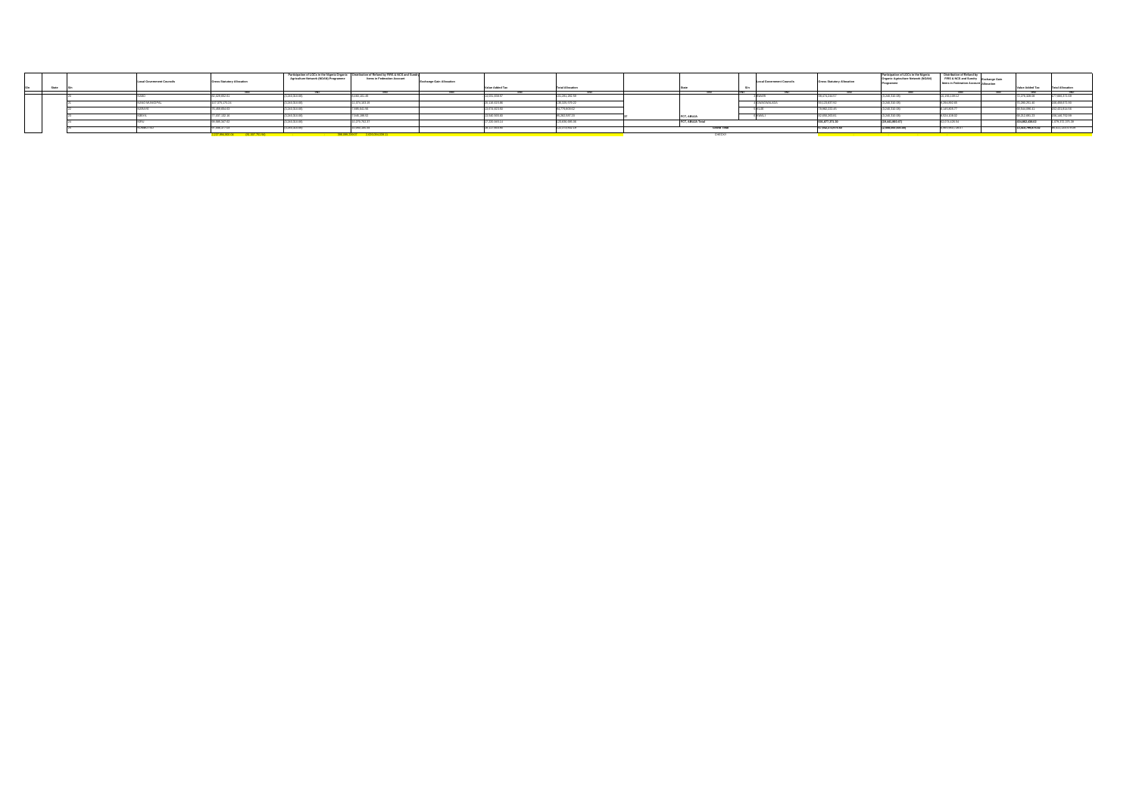| <b>Silm</b>             | State | <b>Local Government Councils</b> | Gross Statutory Allocation    | Participation of LGCs in the Niperia Organic<br>Agriculture Network (NOAN) Programme | Distribution of Refund by FIRS & NCS and Sundry<br>Items in Federation Account | Eschange Gain Allocation | Value Added Tax | <b>Total Allocation</b> |                    | <b>Local Government Councils</b> | Gross Statutory Allocation | Participation of LGCs in the Nigeria<br>Organic Agriculture Network (NOAN)<br>Programm | Distribution of Refund by<br>FIRS & NCS and Sundry Exchange Gain<br>Items in Federation Account Allocation | Value Added Tax   | <b>Total Allocation</b> |
|-------------------------|-------|----------------------------------|-------------------------------|--------------------------------------------------------------------------------------|--------------------------------------------------------------------------------|--------------------------|-----------------|-------------------------|--------------------|----------------------------------|----------------------------|----------------------------------------------------------------------------------------|------------------------------------------------------------------------------------------------------------|-------------------|-------------------------|
|                         |       |                                  |                               |                                                                                      |                                                                                |                          |                 |                         |                    |                                  |                            |                                                                                        |                                                                                                            |                   |                         |
|                         |       |                                  | a cas pen e                   | (3.240.310.08)                                                                       | 5,453,105                                                                      |                          | OTS STR         | 01,281,282.59           |                    |                                  | 08 474 244 5               | (3.240.310.08                                                                          | 10.155.100.12                                                                                              | 276,328.08        | 177,000.371.0           |
|                         |       | KANO MUNICIPAL                   |                               | (3.240.310)                                                                          | 024 M.N                                                                        |                          | 1998.BBS        | 115 125 570 20          |                    |                                  |                            | (3.340.350)                                                                            | 4.294.894.04                                                                                               | 10.200.251.40     | 10051458171             |
|                         |       |                                  | 75.450 654 63                 | 13:240.310.08                                                                        | T and not not                                                                  |                          | 11/074 821.50   | 04.779.809.62           |                    |                                  | 78.982.222.                | 1132403100                                                                             | 15.145.805.77                                                                                              | 68.544.096.41     | 152431.814.9            |
|                         |       |                                  | 77.037.132.10                 | 1132401000                                                                           | 7 GAS 100 S                                                                    |                          | 13,540,555.60   | 95.282.587.20           | FCT, ABUJ.         |                                  | 82.650.263.8/              | 132403101                                                                              | 50,834,525,83                                                                                              | 8.212.691.23      | 156 146 752 99          |
|                         |       |                                  | 100 585 347 6                 | (3.240.310)                                                                          | <b>170.702</b>                                                                 |                          | 17.230.945.14   | 23 836 685 OF           | FCT. ABUJA Total   |                                  | 601.877.371.3              | 119,441,860.4                                                                          | 62.074.426.54                                                                                              | $-434,062,438,02$ | 11.079.372.375.3        |
| the control of the con- |       |                                  | AT 445, 177 f                 | 13:240.3503                                                                          | 50.500.3                                                                       |                          | 18.117 FA4 OF   | ,,,,,,,,                | <b>Grand Total</b> |                                  | 67.542.373.975.60          | (2,508,000,000.00)                                                                     | 6.965.960.728.07                                                                                           | 13.410.799.875.42 | 85.411.134.579.09       |
|                         |       |                                  | 27.934.800.04 481.007.751.941 |                                                                                      |                                                                                |                          |                 |                         |                    |                                  |                            |                                                                                        |                                                                                                            |                   |                         |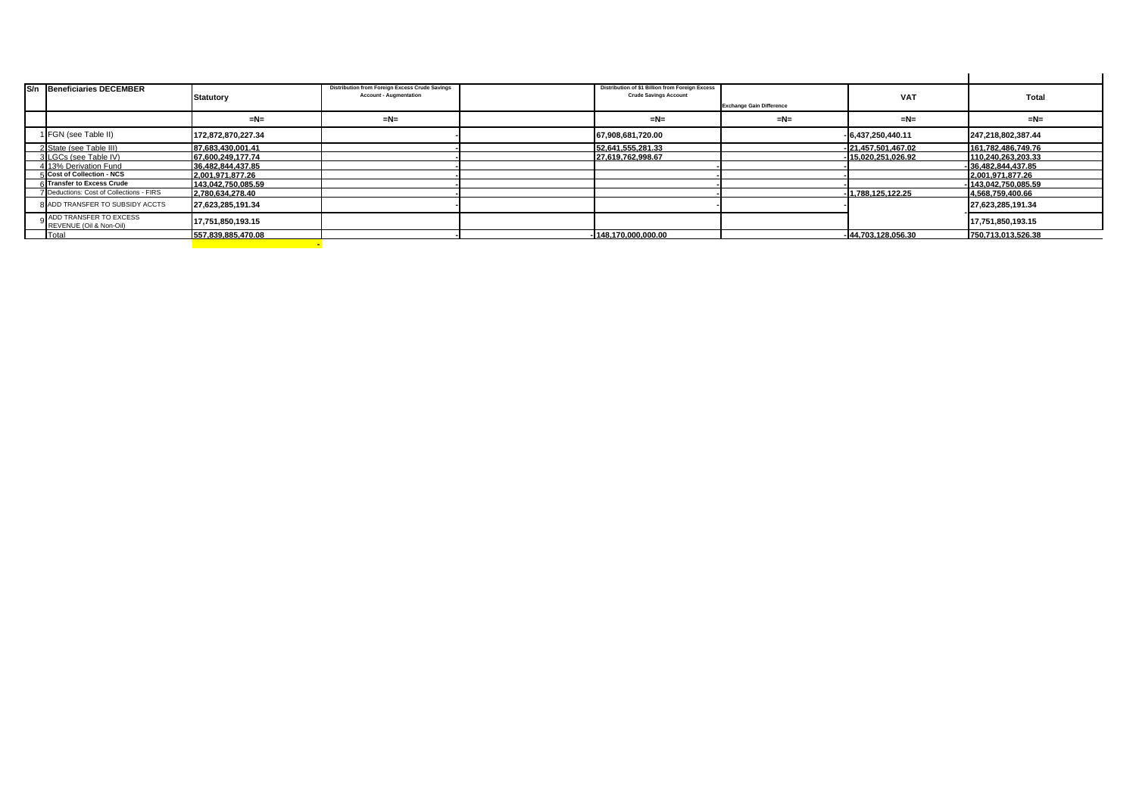| S/n Beneficiaries DECEMBER                        | Statutory          | Distribution from Foreign Excess Crude Savings<br><b>Account - Augmentation</b> | Distribution of \$1 Billion from Foreign Excess<br><b>Crude Savings Account</b> | <b>Exchange Gain Difference</b> | <b>VAT</b>           | Total                 |
|---------------------------------------------------|--------------------|---------------------------------------------------------------------------------|---------------------------------------------------------------------------------|---------------------------------|----------------------|-----------------------|
|                                                   | $=N=$              | $=N=$                                                                           | $=N=$                                                                           | $=N=$                           | $=N=$                | $=N=$                 |
| 1 FGN (see Table II)                              | 172.872.870.227.34 |                                                                                 | 67,908,681,720.00                                                               |                                 | - 6.437.250.440.11   | 247.218.802.387.44    |
| 2 State (see Table III)                           | 87.683.430.001.41  |                                                                                 | 52.641.555.281.33                                                               |                                 | $-21.457.501.467.02$ | 161.782.486.749.76    |
| 3 LGCs (see Table IV)                             | 67.600.249.177.74  |                                                                                 | 27.619.762.998.67                                                               |                                 | $-15.020.251.026.92$ | 110.240.263.203.33    |
| 4 13% Derivation Fund                             | 36.482.844.437.85  |                                                                                 |                                                                                 |                                 |                      | $-136.482.844.437.85$ |
| 5 Cost of Collection - NCS                        | 2.001.971.877.26   |                                                                                 |                                                                                 |                                 |                      | 2.001.971.877.26      |
| 6 Transfer to Excess Crude                        | 143.042.750.085.59 |                                                                                 |                                                                                 |                                 |                      | $-143.042.750.085.59$ |
| 7 Deductions: Cost of Collections - FIRS          | 2.780.634.278.40   |                                                                                 |                                                                                 |                                 | $-1.788.125.122.25$  | 4.568.759.400.66      |
| 8 ADD TRANSFER TO SUBSIDY ACCTS                   | 27.623.285.191.34  |                                                                                 |                                                                                 |                                 |                      | 27,623,285,191.34     |
| ADD TRANSFER TO EXCESS<br>REVENUE (Oil & Non-Oil) | 17,751,850,193.15  |                                                                                 |                                                                                 |                                 |                      | 17,751,850,193.15     |
| Total                                             | 557.839.885.470.08 |                                                                                 | $-148.170.000.000.00$                                                           |                                 | -44.703.128.056.30   | 750.713.013.526.38    |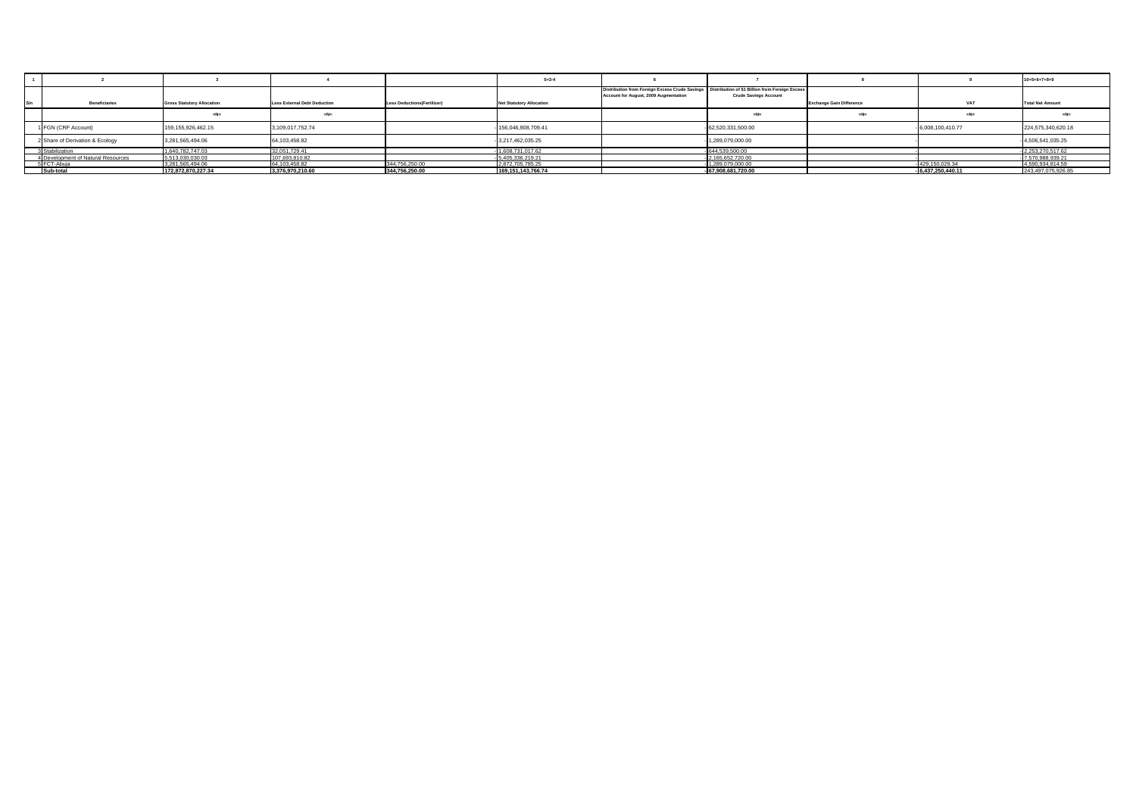|                                    |                                   |                                     |                                    | $5 = 3 - 4$                     |                                                                                                                                                 |                              |                                 |                     | $10=5+6+7+8+9$          |
|------------------------------------|-----------------------------------|-------------------------------------|------------------------------------|---------------------------------|-------------------------------------------------------------------------------------------------------------------------------------------------|------------------------------|---------------------------------|---------------------|-------------------------|
| <b>Beneficiaries</b>               | <b>Gross Statutory Allocation</b> | <b>Less External Debt Deduction</b> | <b>Less Deductions(Fertilizer)</b> | <b>Net Statutory Allocation</b> | Distribution from Foreign Excess Crude Savings  Distribution of \$1 Billion from Foreign Excess<br><b>Account for August, 2009 Augmentation</b> | <b>Crude Savings Account</b> | <b>Exchange Gain Difference</b> | VAT                 | <b>Total Net Amount</b> |
|                                    | $=$ N $=$                         | $=N=$                               |                                    |                                 |                                                                                                                                                 | $=N=$                        | $=N=$                           |                     | $= N$                   |
| FGN (CRF Account)                  | 159, 155, 926, 462. 15            | 3,109,017,752.74                    |                                    | - 156,046,908,709.41            |                                                                                                                                                 | $-62,520,331,500.00$         |                                 | $-6,008,100,410.77$ | 224,575,340,620.18      |
| 2 Share of Derivation & Ecology    | 3,281,565,494.06                  | 64,103,458.82                       |                                    | 3,217,462,035.25                |                                                                                                                                                 | $-1,289,079,000.00$          |                                 |                     | $-4,506,541,035.25$     |
| Stabilization                      | 1.640.782.747.03                  | 32.051.729.41                       |                                    | 1,608,731,017.62                |                                                                                                                                                 | $-644,539,500.00$            |                                 |                     | $-2,253,270,517.62$     |
| 4 Development of Natural Resources | 5.513.030.030.03                  | 107.693.810.82                      |                                    | 5.405.336.219.21                |                                                                                                                                                 | $-2.165.652.720.00$          |                                 |                     | - 7.570.988.939.21      |
| FCT-Abuia                          | 3.281.565.494.06                  | 64.103.458.82                       | 344.756.250.00                     | 2.872.705.785.25                |                                                                                                                                                 | $-1.289.079.000.00$          |                                 | $-429.150.029.34$   | 4,590,934,814,59        |
| Sub-total                          | 172.872.870.227.34                | 3.376.970.210.60                    | 344.756.250.00                     | 169.151.143.766.74              |                                                                                                                                                 | $-67.908.681.720.00$         |                                 | $-6.437.250.440.11$ | 243.497.075.926.85      |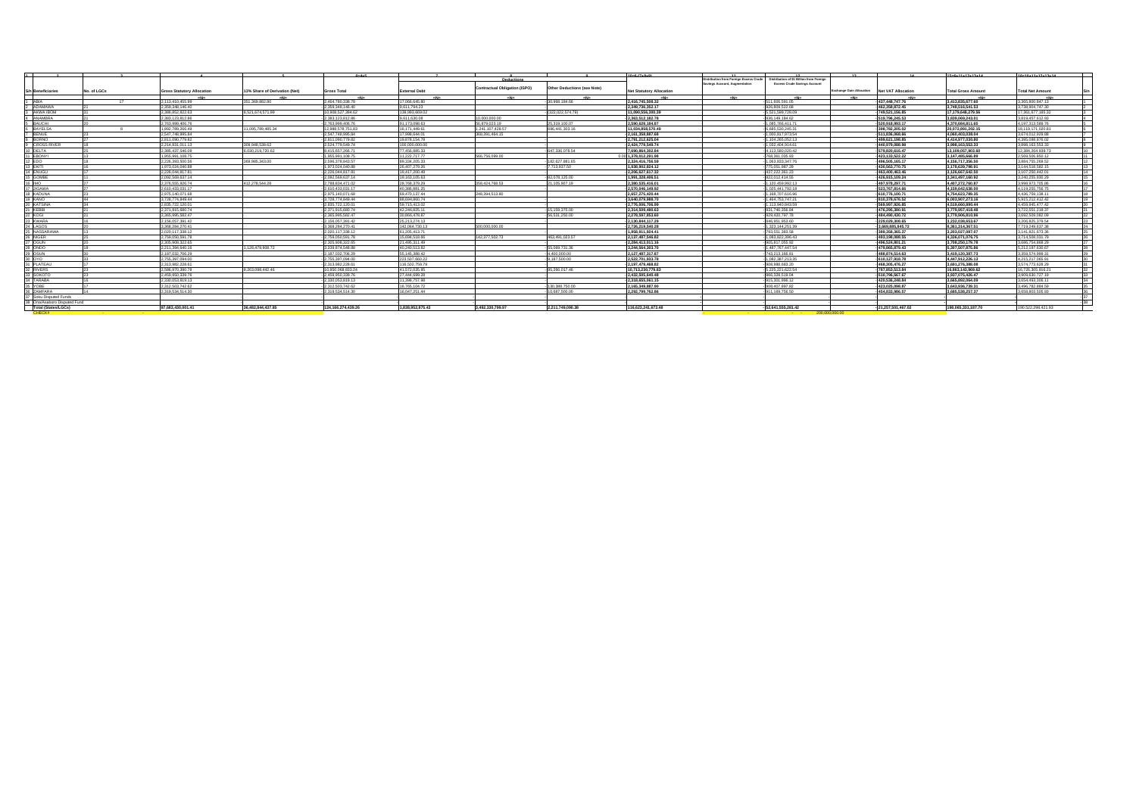|                             |             |                                   |                               | $6 - 4 - 5$        |                      |                                      |                                    | $10 - 6 - (7 + 8 + 9)$          |                               |                                                                                   | $\overline{11}$                             | $\overline{14}$   | 15-6+11+12+13+14          | 16-10-11-12-13-14       |  |
|-----------------------------|-------------|-----------------------------------|-------------------------------|--------------------|----------------------|--------------------------------------|------------------------------------|---------------------------------|-------------------------------|-----------------------------------------------------------------------------------|---------------------------------------------|-------------------|---------------------------|-------------------------|--|
|                             |             |                                   |                               |                    |                      |                                      |                                    |                                 |                               | listribution from Foreign Excess Crude   Distribution of \$1 Billion from Foreign |                                             |                   |                           |                         |  |
|                             |             |                                   |                               |                    |                      |                                      |                                    |                                 | Savings Account, Augmentation | Excess Crude Savings Account                                                      |                                             |                   |                           |                         |  |
| In Beneficiaries            | No. of LGCs | <b>Gross Statutory Allocation</b> | 13% Share of Derivation (Net) | Gross Total        | <b>External Debt</b> | <b>Contractual Obligation (ISPO)</b> | <b>Other Deductions (see Note)</b> | <b>Net Statutory Allocation</b> |                               |                                                                                   | Exchange Gain Allocation Net VAT Allocation |                   | <b>Total Gross Amount</b> | <b>Total Net Amount</b> |  |
|                             |             |                                   |                               |                    |                      |                                      |                                    |                                 |                               |                                                                                   |                                             |                   |                           |                         |  |
| <b>ARIA</b>                 |             | 113 410 455 99                    | A51 389 882 80                | 464 780 338 78     | 7 ORR R45 80         |                                      | 30 ARR 1830 0E                     | 2.416.745.508.32                |                               | 511 606 591 05                                                                    |                                             | 437.448.747.76    | 3.413.835.677.60          | 3.385.800.847.13        |  |
| <b>ADAMAWA</b>              |             | 359.348.146.40                    |                               | 35934814640        | 611 794 23           |                                      |                                    | 2.349.736.352.17                |                               | 926 809 522 68                                                                    |                                             | 462.358.872.45    | 748 516 541 53            | 3 738 904 747 30        |  |
| <b>LAKWA IROM</b>           |             | 386 852 822 63                    | 521 674 571 99                | 10 908 527 394 62  | 39 993 669 02        |                                      | 322 022 574 791                    | 11.090.556.300.39               |                               | 5 521 599 728 09                                                                  |                                             | 749 521 156 85    | 7.179.648.279.56          | 17.361.677.185.32       |  |
| <b>ANAMBRA</b>              |             | 383 123 812 86                    |                               | 2.383.123.812.86   | 961163008            | 10.000.000.00                        |                                    | 2.363.512.182.78                |                               | 936.149.184.62                                                                    |                                             | 519.796.245.53    | 3.839.069.243.01          | 3 819 457 612 93        |  |
| <b>BALICHE</b>              |             | 763 999 406 76                    |                               | 763 999 406 76     | 1173.098.63          | 56 879 023 19                        | 25.319.100.07                      | 2.590.628.184.87                |                               | 1 085 766 411 71                                                                  |                                             | 520 918 993 17    | 4370 684 811 65           | 4 197 313 589 76        |  |
| BAYELSA                     |             | 892.789.266.49                    | 1.095.789.485.34              | 12.988.578.751.83  | 16.171.449.61        | 1.241.107.428.57                     | 696.441.303.16                     | 11.034.858.570.49               |                               | 6.685.530.245.31                                                                  |                                             | 398.782.205.02    | 20.072.891.202.15         | 18.119.171.020.81       |  |
| RENUE                       |             | 647 748 995 84                    |                               | 2 547 748 995 84   | 7 998 644 01         | 368 391 464 15                       |                                    | 2.161.358.887.68                |                               | 1000 817 973 54                                                                   |                                             | 511 836 068 66    | 4.060.403.038.04          | 3 674 012 929 88        |  |
| BORNO                       |             | 1811.090.779.82                   |                               | 2.811.090.779.82   | 19.878.154.78        |                                      |                                    | 2.791.212.625.04                |                               | 1.104.265.052.13                                                                  |                                             | 499.621.198.85    | 4.414.977.030.80          | 395,098,876.02          |  |
| <b>CROSS RIVER</b>          |             | 214.831.011.13                    | 09.948.538.62                 | 2.524.779.549.74   | 00.000.000.00        |                                      |                                    | 2.424.779.549.74                |                               | 1.032.404.914.61                                                                  |                                             | 440.979.088.98    | 1,998.163.553.33          | 3.898.163.553.33        |  |
| 10 DELTA                    |             | 1385.437.546.09                   | 030.219.720.62                | 8.415.657.266.71   | 7 456 885 33         |                                      | 647.336.078.54                     | 7.690.864.302.84                |                               | 4.113.580.020.42                                                                  |                                             | 579.820.616.47    | 13.109.057.903.60         | 12.384.264.939.73       |  |
| 11 EBONYI                   |             | .955.991.108.75                   |                               | 1.955.991.108.75   | 11.222.717.77        | 566.756.099.00                       |                                    | 0.00 1.378.012.291.98           |                               | 768.361.035.93                                                                    |                                             | 423.133.522.22    | 3.147.485.666.89          | 2 589 508 850 11        |  |
| 12 EDO                      |             | 226.393.500.56                    | 69 985 343 00                 | 57 FAR 378 843 57  | 89.334.205.33        |                                      | 182.627.881.65                     | 2.324.416.756.59                |                               | 1.083.833.347.76                                                                  |                                             | 496.505.165.17    | 4.156.717.356.50          | 3.884.755.269.52        |  |
| 3 EKITI                     |             | 1973 024 040 88                   |                               | 1.973.024.040.88   | 26.407.279.26        |                                      | 7.713.937.50                       | 1.938.902.824.12                |                               | 775.051.987.29                                                                    |                                             | 430.563.770.75    | 3.178.639.798.91          | 3.144.518.582.15        |  |
| 14 ENUGU                    |             | 226 044 817 81                    |                               | 2 226 044 817 81   | 19.417.200.49        |                                      |                                    | $-2.206662761732$               |                               | 437 222 381 22                                                                    |                                             | 463 400 463 46    | 3.126.667.642.50          | 3.107.250.442.01        |  |
| 15 GOMBE                    |             | 092 589 637 14                    |                               | 092 589 637 14     | 19.163.105.63        |                                      | 82.078.125.00                      | 1.991.328.406.51                |                               | 822.012.414.55                                                                    |                                             | 426.915.109.24    | 3.341.497.160.92          | 3.240.255.930.29        |  |
| 16 IMO                      |             | 376 555 926 74                    | 412.278.544.28                | 78883447102        | 28.768.379.29        | 358 424 768 53                       | 21.105.907.19                      | 2.380.535.416.01                |                               | 1.120.459.992.13                                                                  |                                             | 497.978.297.71    | 4.407.272.760.87          | 3 998 973 705 86        |  |
| 17 JIGAWA                   |             | 610 433 031 17                    |                               | 2810 433 031 17    | 40 386 881 25        |                                      |                                    | 2.570.046.149.92                |                               | 1 025 441 792 18                                                                  |                                             | 523 767 814 66    | 4 159 642 638 00          | 119 255 756 75          |  |
| 18 KADUNA                   |             | 975 140 071 68                    |                               | 2.975.140.071.68   | 69.470.137.44        | 248 394 513 80                       |                                    | 2.657.275.420.44                |                               | 1.168.707.616.96                                                                  |                                             | 610.776.100.71    | 4.754.623.789.35          | 4.436.759.138.11        |  |
| 19 KANO                     |             | 728 774 849 44                    |                               | 3 728 774 849 44   | 88 694 860 74        |                                      |                                    | 3.640.079.988.70                |                               | 1 484 753 747 21                                                                  |                                             | 810.378.676.52    | 6.003.907.273.16          | 591521241242            |  |
| 20 KATSINA                  |             | 835 722 120 01                    |                               | 2.835.722.120.01   | 9 715 413 02         |                                      |                                    | 2.776.006.706.99                |                               | 111394084359                                                                      |                                             | 569 997 926 85    | 4 519 660 890 44          | 4 459 945 477 42        |  |
| 21 KEBBI                    |             | 1371.915.680.74                   |                               | 2.371.915.680.74   | 42.246.825.11        |                                      | 15.159.375.00                      | 2.314.509.480.63                |                               | 931.746.356.84                                                                    |                                             | 476.295.380.91    | 3.779.957.418.48          | 3.722.551.218.37        |  |
| 22 KOGI                     |             | 2.365.995.582.47                  |                               | 2.385.995.582.47   | 30 866 478 87        |                                      | 56.531.250.00                      | 2.278.597.853.60                |                               | 929.420.797.78                                                                    |                                             | 484.490.430.72    | 3.779.906.810.96          | 3,692,509,082.09        |  |
| <b>BANARA</b>               |             | 156.057.391.42                    |                               | 156.057.391.42     | 5.213.274.13         |                                      |                                    | 2.130.844.117.29                |                               | 846 951 953 60                                                                    |                                             | 229.029.308.65    | 1232.038.653.67           | 1206.825.379.54         |  |
| 24 LAGOS                    |             | 3.368.284.270.41                  |                               | 3.368.284.270.41   | 142.064.730.13       | 500.000.000.00                       |                                    | 2.726.219.540.28                |                               | 1.323.144.251.39                                                                  |                                             | 3.669.885.845.72  | 8.361.314.367.51          | 7.719.249.637.38        |  |
| 25 NASSARAWA                |             | 020.117.338.12                    |                               | 2.020.117.338.12   | 61.205.413.71        |                                      |                                    | $-1.958.911.924.41$             |                               | 793.551.383.58                                                                    |                                             | 389.358.365.37    | 3.203.027.087.07          | 3.141.821.673.36        |  |
| 26 NIGER                    |             | 759 050 591 78                    |                               | 759.050.591.78     | 5.694.518.66         | 142.377.502.73                       | 463.491.023.57                     | 2.137.487.546.82                |                               | 1.083.822.396.43                                                                  |                                             | 493.198.088.55    | 1336.071.076.75           | 3 714 508 031 79        |  |
| 27 OGUN                     |             | 305 908 322 65                    |                               | 2.305.908.322.65   | 21,495,311.49        |                                      |                                    | 2.284.413.011.16                |                               | 905.817.055.92                                                                    |                                             | 496.524.801.21    | 3,708,250,179,78          | 3.686.754.868.29        |  |
| 28 ONDO                     |             | 1211.394.640.16                   | 128.479.908.72                | 3.339.874.548.88   | 40.240.513.82        |                                      | 55.069.731.36                      | 3.244.564.303.70                |                               | 1.487.767.447.54                                                                  |                                             | 479.865.879.43    | 5.307.507.875.86          | 5.212.197.630.67        |  |
| 29 OSUN                     |             | 187.032.706.29                    |                               | 2.187.032.706.29   | 6.145.388.42         |                                      | 4 400 000 00                       | 2.127.487.317.87                |                               | 743 213 166 81                                                                    |                                             | 488 874 514 63    | 3.419.120.387.73          | 3.359.574.999.31        |  |
| 30 OYO                      |             | 755.397.094.00                    |                               | 2.755.397.094.00   | 223 507 660 22       |                                      | 9 187 500 00                       | 2.522.701.933.78                |                               | 1 082 387 213 35                                                                  |                                             | 610 127 918 78    | 4.447.912.226.13          | 4 215 217 065 91        |  |
| 31 PLATEAU                  |             | 1313.982.228.61                   |                               | 2.313.982.228.61   | 16.502.759.79        |                                      |                                    | 2.197.479.468.82                |                               | 008 988 683 20                                                                    |                                             | 468.305.476.27    | 3.691.276.388.08          | 3.574.773.628.29        |  |
| 32 RIVERS                   |             | 586 970 390 78                    | 263 098 442 46                | 10 850 068 833 24  | 41.572.035.95        |                                      | 95 286 017 46                      | 10.713.230.779.83               |                               | 5.225.221.622.54                                                                  |                                             | 787 853 513 84    | 58 289 241 258 31         | 16 726 305 916 21       |  |
| 33 SOKOTO                   |             | 459 950 339 76                    |                               | 2 459 950 339 76   | 27 444 699 28        |                                      |                                    | $-2.432.505.640.48$             |                               | 966 328 519 04                                                                    |                                             | 510.796.567.67    | 3937 075 426 47           | 3 909 630 727 19        |  |
| 34 TARARA                   |             | 330 053 819 13                    |                               | 330 053 819 13     | 1.398.757.98         |                                      |                                    | 2.318.655.061.15                |                               | 915 301 996 12                                                                    |                                             | 420 536 248 84    | <b>PO AND SPR 2882</b>    | 3 654 493 306 11        |  |
| 35 YOBE                     |             | 312.503.742.62                    |                               | 312.503.742.62     | 6.765.104.72         |                                      | 130 388 750 00                     | 2.165.349.887.90                |                               | 908 407 897 82                                                                    |                                             | 423.025.098.87    | 1.643.936.739.31          | 3 496 782 884 59        |  |
| 36 ZAMEARA                  |             | 319 534 514 30                    |                               | 231953451430       | 16 047 251 44        |                                      | 10 687 500 00                      | 2.292.799.762.86                |                               | 911 169 756 50                                                                    |                                             | 454 833 986 57    | 3.685.538.257.37          | 3 658 803 505 93        |  |
| 37 Soku Disputed Funds      |             |                                   |                               |                    |                      |                                      |                                    |                                 |                               |                                                                                   |                                             |                   |                           |                         |  |
| 8 Ona/Asaboro Disputed Fund |             |                                   |                               |                    |                      |                                      |                                    |                                 |                               |                                                                                   |                                             |                   |                           |                         |  |
| <b>Total (States/LGCs)</b>  |             | 17 683 430 001 41                 | 36 482 844 437 85             | 124.166.274.439.26 | 1.838.952.875.43     | 3,492,330,799.97                     | 2.211.749.090.38                   | 116.623.241.673.48              |                               | 52 641 555 281 42                                                                 |                                             | 21.257.501.467.02 | 98.065.331.187.70         | 190.522.298.421.93      |  |
|                             |             |                                   |                               |                    |                      |                                      |                                    |                                 |                               |                                                                                   |                                             |                   |                           |                         |  |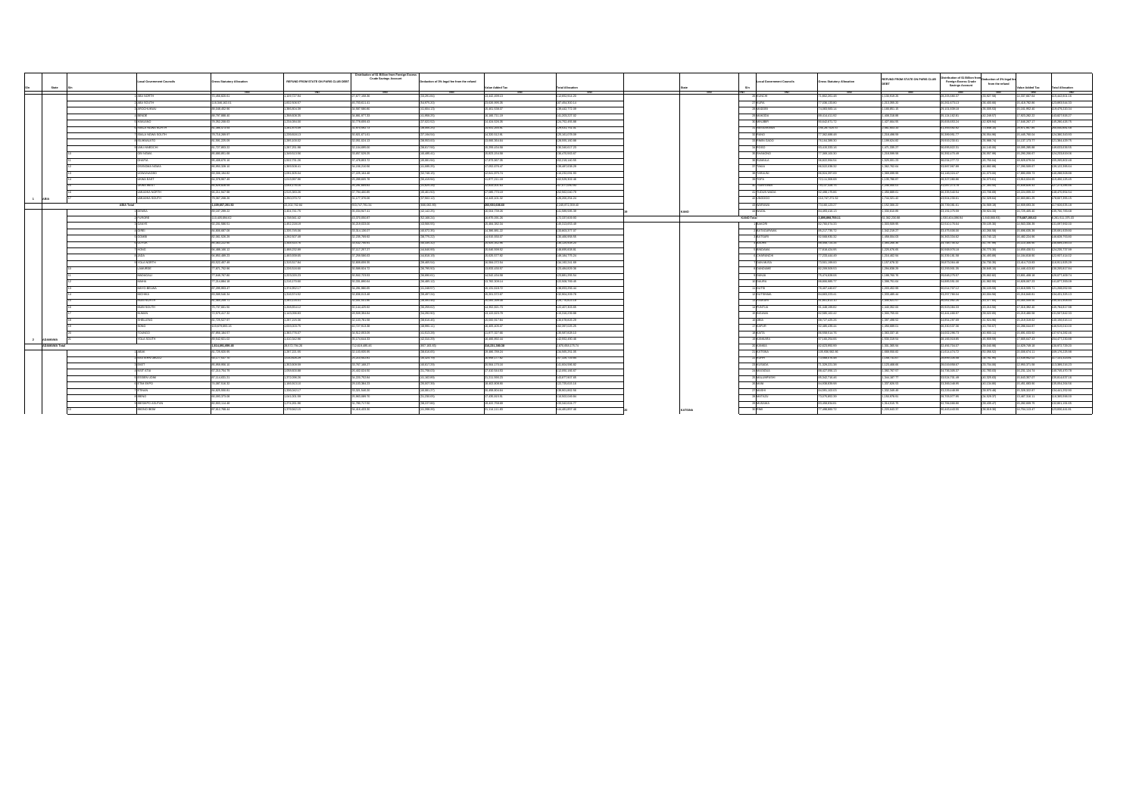|          |                   |                                  |                           |                                      | istribution of \$1 Billion from Foreign Exces |                                          |                |                 |             |            |                           |                                   |                                 | stribution of \$1 Billion from |                    |                 |                         |
|----------|-------------------|----------------------------------|---------------------------|--------------------------------------|-----------------------------------------------|------------------------------------------|----------------|-----------------|-------------|------------|---------------------------|-----------------------------------|---------------------------------|--------------------------------|--------------------|-----------------|-------------------------|
|          |                   | <b>Local Government Councils</b> | ross Statutory Allocation | REFUND FROM STATE ON PARIS CLUB DEBT | Crude Savings Account                         | eduction of 3% legal fee from the refund |                |                 |             |            | Local Government Councils | <b>Gross Statutory Allocation</b> | REFUND FROM STATE ON PARIS CLUB | Foreign Excess Crude           | uction of 3% legal |                 |                         |
|          |                   |                                  |                           |                                      |                                               |                                          | also Added Tax | otal Allocation |             |            |                           |                                   |                                 | Savings Account                | from the refund    | Value Added Tax | <b>Total Allocation</b> |
|          |                   |                                  |                           |                                      |                                               |                                          |                |                 | <b>SANT</b> | --         |                           |                                   |                                 |                                |                    |                 | $-100$                  |
|          |                   | <b>BANCRTH</b>                   | 70,456,820.61             | 109,727.94                           | 7,677,158.36                                  | 13,291.84)                               | 1,442,499.13   | 2,652,914.20    |             |            |                           | 802,261.48                        | 130,919.26                      | 1205,680.37                    | 127.SBI            | 14,337,667.64   | 5,442,601.16            |
|          |                   | <b>BASOUTH</b>                   | 16,346,162.01             | 832,506.57                           | 5,703,611.41                                  | 54,975.20)                               | 3,626,995.35   | 87,454,300.14   |             |            |                           | 036,133.80                        | 213,355.20                      | 0,261,673.13                   | 5.400.66           | 15,418,782.86   | 23,093,544.33           |
|          |                   | ROCHURWU                         | 88,048,452.96             | 1,386,804.39                         | 34,587,580.80                                 | (41,604.13)                              | 15,461,538.07  | 39,442,772.09   |             |            |                           | 003,583.14                        | ,166,851.15                     | 29,101,839.18                  | 35,005.53)         | 15, 161, 252.40 | 19,479,220.34           |
|          |                   | ENDE                             | 88,797,888.40             | 35,800,000.35                        | 34.881.977.33                                 | (41,958.25)                              | 16,166,711.19  | 41,203,227.02   |             |            |                           | 1414.411.92                       | 408,318.88                      | 5.124.162.81                   | 42.249.57          | 7.923.282.22    | 143.827.926.27          |
|          |                   |                                  | 78,352,208.63             | 1,234,084.00                         | 30,778,659.43                                 | (37,022.52)                              | 14,424,526.35  | 24,752,455.88   |             |            |                           | 642,671.72                        | A27,004.55                      | 15,006,053.24                  | 42.829.94          | 17,646,267.17   | 145,280,426.75          |
|          |                   | SALA NGWA NORTH                  |                           |                                      |                                               |                                          |                |                 |             |            |                           |                                   |                                 |                                |                    |                 |                         |
|          |                   |                                  | 1,386,473.54              | 1,281,875.09                         | 31,970,592.73                                 | (38,456.25)                              | 14,931,265.91  | 29,531,751.01   |             |            |                           | 16,287,625.57                     | 001,003.33                      | 1,393,592.92                   | 73.848.100         | 29.971.907.85   | 250,040,881.58          |
|          |                   | SIALA NGWA SOUTH                 | 78,716,209.97             | 1,239,818.13                         | 30,921,671.61                                 | (37, 194.54)                             | 14,320,512.91  | 125,161,078.09  |             |            |                           | 1,362,588.48                      | 1,218,498.59                    | 0,389,951.77                   | 06.554.96          | 15,445,760.04   | 124,380,343.93          |
|          |                   | OTAUNIVIL                        | 81,591,225.09             | 1,285,100.02                         | 32,051,024.13                                 | (38.553.00)                              | 3,000,304.04   | 28,555,160.88   |             |            | <b>IN GADO</b>            | 00.000.301.3                      | 199,624.82                      | 23,919,230.61                  | 35.988.748         | 4,137,173.77    | 21,384,429.75           |
|          |                   | <b>MU-NNEOCHE</b>                | 81,727,853.22             | 1,287,251.98                         | 32,104,035.00                                 | (38,617.56)                              | 5,259,434.58   | 0,340,617.23    |             |            |                           | 43,415,333.16                     | 471,335.27                      | 06,005,022.31                  | (44.140.06)        | 18.095.205.88   | 49.633.636.55           |
|          |                   | <b>DEI NGWA</b>                  | 85,680,851.68             | 349,513.56                           | 33,657,529.25                                 | (40, 485.41)                             | 5,823,154.58   | 36,470,563.67   |             |            |                           | 369,100.30                        | 218,599.58                      | 0,392,470.49                   | 36.557.99          | 5,290,206.67    | 4,233,819.06            |
|          |                   |                                  | 25,408,670.16             | 1,502,731.26                         | 17,478,853.72                                 | (45,081.94)                              | 7,873,957.35   | 52,219,140.55   |             |            |                           | 822,594.54                        | 525,001.23                      | 8,034,277.72                   | 5.750.04           | 8.929.679.04    | 55,265,802.48           |
|          |                   | <b>AWGN AMORE</b>                | 86,950,328.10             | 1,369,508.41                         | 34,156,210.56                                 | (41,085,25)                              | 7,052,676.47   | 39,487,638.29   |             |            |                           | 5,522,038.32                      | 362,762.64                      | 11,987,987.89                  | 40.882.88          | 7,290,509.67    | 139, 122, 395.64        |
|          |                   | WUNAGBO                          | 69.306.194.82             | 091,005.04                           | 27,225,164.48                                 |                                          | 2,641,875.74   | 0,232,091.93    |             |            |                           | 5.924.397.69                      | 200,099.99                      | 4.146.024.47                   | 41,073.00)         | 7,890,059.73    | 140.288.508.88          |
|          |                   | WA EAST                          | 64,378,907.49             | 013,997.96                           | 5,289,605.78                                  | (32,748.15)<br>(30, 412.94)              | 1,877,211.18   | 12,529,302.46   |             |            |                           | 53,202,111                        | 135,786.87                      | 8,327,080.86                   |                    |                 | 15,450,125.45           |
|          |                   |                                  |                           |                                      |                                               |                                          |                |                 |             |            |                           |                                   |                                 |                                | 4.073.61           | 1,910,024.85    |                         |
|          |                   | KWA WEST                         | 06,929,828.59             | 1,054,176.16                         | 26,291,669.83                                 | (31,625.28)                              | 12,833,001.63  | 107,077,050.93  |             |            |                           | 9,137,328.75                      | 1,246,450.01                    | 31,087,073.78                  | 37,393.50)         | 15,839,826.43   | 127,273,285.46          |
|          |                   | <b><i>ILIANIA NORTH</i></b>      | 96,211,947.98             | ,515,383.26                          | 7,794,400.85                                  | (45, 461.50)                             | 085,770.19     | 12,562,040.79   |             |            |                           | 498,175.86                        | 456,889.61                      | 6,335,540.54                   | 3,706.69)          | 1,224,055.22    | 48,470,954.54           |
|          |                   | UAHIA SOUTH                      | 79,367,208.26             | 1,250,070.72                         | 11,177,376.06                                 | (37,502.12)                              | 14,443,101.32  | 26,200,254.24   |             |            |                           | 10,747,271.52                     | ,744,321.42                     | 0,504,230.61                   | 2.329.64           | 2,663,861.25    | 78,607,355.15           |
|          |                   | <b>ABIA Total</b>                | 1,409,657,291.50          | 22,202,762.84                        | 553.747.781.34                                | (000, 002.02)                            | 260,930,006.00 | 1245.872.359.40 |             |            |                           | 3.160.123.27                      | ,152,306.22                     | 20,739,001.61                  | 34,569,198         | 14,909,693,26   | 17.926.635.18           |
|          |                   | XIMSA                            | 89,187,299.22             | 1,404,741.75                         | 15,034,947.41                                 | (42, 142.25)                             | 6,004,739.26   | 41,589,585.39   |             |            |                           | 493,416.13                        | 330,810.89                      | 3,191,075.59                   | 39,924.33          | 16,725,405.40   | 35,700,783.68           |
|          |                   | URORE                            | 10,405,694.62             | 1,738,941.42                         | 43,370,050.87                                 | (52, 168.24)                             | 16,875,091.26  | 72,337,009.93   |             | KAND Total |                           | 1095,098,759.11                   | 1,362,230.88                    | 530,404,096.94                 | 1,840,866.93)      | 775,687,155.02  | 5,261,511,375.03        |
|          |                   | <b>ANYE</b>                      | 92,201,586.51             | 1,452,218.19                         | 36,219,033.00                                 | (43,566,55)                              | 15,454,382.34  | 45,313,653.49   |             |            |                           | 2,760,074.33                      | ,303,509.95                     | 2,510,176.64                   | (39, 105.30)       | 14,563,336.39   | 131,097,992.00          |
|          |                   |                                  | 84.806.687.05             | 1,335,745.06                         | 33.314.136.07                                 | (40,072,35)                              | 14,386,881.22  | 33,003,377.07   |             |            |                           | 1217.735.72                       | 342,219.27                      | 3,475,606.00                   | 40.266.58          | 02.000.000.2    | 135,091,929.80          |
|          |                   |                                  | 82,061,526.29             | 1,292,507.49                         | 32,235,709.92                                 | (38, 775.22)                             | 14,915,930.07  | 0,400,958.55    |             |            |                           | 2,568,930.32                      | 458,004.03                      | 35,363,334.62                  | (43.740.12)        | 6.482.224.96    | 146,828,753.80          |
|          |                   | annak                            | 85,363,222.90             | 1,344,510.76                         | 13,532,756.91                                 | (40,335,32)                              | 5,925,352.96   | 36,125,508.20   |             |            |                           | 8,458,724.34                      | 203,205.36                      | 4,748,745.42                   | 41,797.99          | 6,110,306.90    | 40,009,245.03           |
|          |                   |                                  | 94,488,105.12             | 1,488,232.89                         | 17,117,257.27                                 | (44,646.92)                              | 5,646,529.52   | 10.003,000.01   |             |            |                           | ,010,424.95                       | 225,676.65                      | 0,568,976.18                   | 06.770.30          | 14.059.430.5    | 124,235,737.99          |
|          |                   |                                  | 94,850,489.23             | 1,493,939.65                         | 37,259,586.63                                 | (44, 318, 19)                            | 15,625,577.92  | 149,184,775.24  |             |            |                           | 233,444.49                        | 216,462.94                      | 00,339,181.58                  | (36,493.89)        | 4,184,818.90    | 22,937,414.02           |
|          |                   | YOLA NORTH                       | 83,522,457.49             | 1,315,517.84                         | 32,809,659.35                                 | (39,465.54)                              | 16,584,072.54  | 134,192,241.69  |             |            | 100107-012                | 3501.199.00                       | ,157,678.32                     | 20,073,064.48                  | (34,730.35)        | 13.414.713.83   | 115.911.925.29          |
|          |                   |                                  | 77,871,752.96             | 1,226,516.60                         |                                               |                                          | 3,833,430.57   | 23,484,829.36   |             |            |                           |                                   | 204,838.20                      |                                |                    |                 |                         |
|          |                   | <b>AMURDE</b>                    |                           |                                      | 30,589,924.72                                 | (36, 795.50)                             |                |                 |             |            |                           | 209.509.53                        |                                 | 12,293,901.35                  | 38,845.15          | 4,446,413.82    | 30,205,817.64           |
|          |                   |                                  | 77,649,767.00             | 223,020.23                           | 30,502,723.53                                 | (36,690.61)                              | 14,542,434.58  | 23,881,255.54   |             |            |                           | 474,628.06                        | 1,188,700.76                    | 9,648,275.57                   | 35,662.82          | 13,801,408.18   | 120,077,409.74          |
|          |                   |                                  | 77,214,884.18             | 1,216,170.60                         | 30,331,890.64                                 | (36, 485, 12)                            | 3,782,309.14   | 22,508,769.45   |             |            |                           | 1,806,985.77                      | 398,751.64                      | 4,885,551.00                   | 1.962.55           | 16,828,067.23   | 141,877,393.09          |
|          |                   | <b>AYO-BELWA</b>                 | 87,295,953.47             | 1,374,952.17                         | 34,291,980.05                                 | (41, 248.57)                             | 15,131,618.72  | 38,053,255.44   |             |            |                           | 1,407,440.87                      | ,203,452.99                     | 00,014,707.12                  | 36,103.59          | 3,618,555.71    | 21,208,052.90           |
|          |                   | <b>ICHIKA</b>                    | 83,589,546.34             | 1,316,574.52                         | 32.836.013.48                                 | (39, 497.24)                             | 15,201,572.67  | 132,904,209.78  |             |            |                           | 653223.41                         | 333.485.44                      | 33,257,780.04                  | 40.004.563         | 15.216.840.81   | 134,431,325.13          |
|          |                   | <b>JUBI NORTH</b>                | 81,465,259.71             | 1,283,116.01                         | 32,001,541.86                                 | (35, 423.43)                             | 5,005,399.08   | 29,776,823.18   |             |            |                           | 01.001.013.10                     | 445,921.57                      | 36,061,992.26                  | 43,377.65          | 16,005,559.56   | 145,331,908.84          |
|          |                   | <b>JUBI SOUTH</b>                | 76,737,661.50             | 1,208,654.12                         | 30,144,425.92                                 | (36, 259.62)                             | 14,352,821.73  | 122,407,303.65  |             |            |                           | 448,199.82                        | 440,352.00                      | 35,923,084.33                  | 43.210.567         | 17.016.392.40   | 145,784,817.98          |
|          |                   |                                  | 72,575,417.32             | 1,143,096.83                         | 28,509,394.84                                 | (34,222,90)                              | 13,122,623.79  | 15,316,239.88   |             |            |                           | 1,585,162.42                      | ,300,755.00                     | 12,441,466.97                  | 0,022.65           | 15,219,480.58   | 131,507,642.33          |
|          |                   | HELLENG                          | 1.725.527.97              | 1,287,215.36                         | 32.103.781.58                                 | (38.616.46)                              | 5,000,917.84   | 10.078.826.29   |             |            |                           | 8.727.425.26                      | ,397,498.52                     | 34,854,297.69                  | 41.924.967         | 15.219.319.62   | 140.156.616.14          |
|          |                   |                                  | 379,093.16                | 633,003.75                           | 10,727,913.38                                 | 48,990.11)                               | 6,405,405.07   | 12,397,025.25   |             |            |                           | 405,439.44                        | 456,689.01                      | 330,537.36                     | 3,700.671          | 1206,044.87     | 46,515,010.00           |
|          |                   |                                  | 87,856,184.57             | 1,383,776.07                         | 34,512,053.09                                 | (41,513,28)                              | 11,877,327.66  | 135,587,828.10  |             |            |                           | 558,514.76                        | ,363,337.16                     | 34,002,256.73                  | 0,900.11           | 15,691,033.92   | 137,574,282.46          |
|          |                   | <b>OLA SOUTH</b>                 | 19,542,921.02             | 1,410,342.95                         | 174,644.33                                    | (42,310,20)                              | 6,400,092.44   | 12,552,490.46   |             |            |                           | 33.822.031                        | 530,319.54                      | 8,166,918.85                   | 5.909.59           | 7,005,047.43    | 154,477,230.88          |
| $\sim$ 2 | <b>ADAMAWA</b>    |                                  |                           |                                      |                                               |                                          | 316,231,380.38 |                 |             |            |                           |                                   |                                 |                                | 39.040.98          |                 |                         |
|          | <b>MAWA Total</b> |                                  | 1,014,031,023.45          | 28,572,794.26                        | 12,619,485.46                                 | (057, 103.03)                            |                | 870,658,175.74  |             |            |                           | 2,623,950.99                      | ,301,355.94                     | 12,456,704.07                  |                    | 4,629,749.18    | 130,972,729.20          |
|          |                   | <b>MILAN</b>                     | 11,725,920.95             | 1,287,221.55                         | 32.103.935.95                                 | (23.516.65)                              | 19,486,789.24  | 134,565,251.05  |             |            |                           | 05.936.582.86                     | ,058,550.82                     | 41.614.474.72                  | 50.058.521         | 20.006.674.11   | 169.176.225.98          |
|          |                   | <b>STERN COOLD</b>               | 14,177,537.70             | ,010,826.29                          | 15,210,502.81                                 | (30,324.79)                              | 6,958,177.82   | 07,326,719.84   |             |            |                           | 568,076.48                        | 158,731.67                      | 20,000,335.58                  | (34, 761.95)       | 1,539,942.02    | 7,131,323.81            |
|          |                   |                                  | 85,959,956.10             | 1,353,909.59                         | 33,767,168.27                                 | (40,617,20)                              | 0,564,170.16   | 41,004,586.82   |             |            |                           | 329,221.38                        | 123,468.66                      | 23,019,858.67                  | (33.704.06)        | 12,950,371.58   | 13,389,216.23           |
|          |                   | SIT ATAL                         | 67,210,754.79             | 058,600.88                           | 15,402,024.50                                 | 31,758.03)                               | 7,410,544.53   | 12,050,166.67   |             |            |                           | 427,056.13                        | 292,767.57                      | 726,305.37                     | 1.783.03           | 6,231,124.74    | 40,745,470.78           |
|          |                   | SSIEN UDIM                       | 17,114,631.21             | 1,372,096.26                         | 34,220,752.84                                 | (41, 162.89)                             | 21,211,590.23  | 143,877,907.05  |             |            | <b>ALLIMITARY</b>         | 5,342,716.46                      | 344,187.77                      | 3,524,701.49                   | 0.325.63           | 5.643.357.07    | 135.814.637.16          |
|          |                   | TIM EKPO                         | 74.087.516.32             | 166,913.10                           | 0.103.384.23                                  | (35,007.39)                              | 18,402,808.90  | 22.725.615.16   |             |            |                           | 0207220                           | 337.826.53                      | 13,366,048.95                  | (40, 134.80)       | 15.451.683.90   | 35.054.264.56           |
|          |                   |                                  | 4,825,550.0               | 336,042.1                            | 13,321,546.20                                 | 40,081.27                                | 1,458,804.64   | 19,901,862.56   |             |            |                           | 591,102.03                        | 112,349.49                      |                                |                    |                 | 1,441,252.90            |
|          |                   |                                  | 66,093,373.08             | 1,041,001.59                         | 25,963,089.70                                 | (31, 230.05)                             | 7,435,815.51   | 0,502,049.84    |             |            |                           | 1,075,852.39                      | 150,978.91                      | 28,705,977.95                  | 34.529.37          | 13.467.316.11   | 115,365,596.00          |
|          |                   | ESKPO ASUTAN                     | 80,903,114.48             | 1,274,261.96                         | 1,780,717.50                                  | (38, 227.86)                             | 9,422,758.69   | 33,342,624.77   |             |            |                           | 1458,834.81                       | 314,515.75                      | 2,784,666.80                   | 39,435.47          | 15,202,609.75   | 132,801,191.65          |
|          |                   | <b>ICNO ISOM</b>                 | 87,612,768.44             | 1,379,942.15                         | 34.416.433.30                                 | (41,300.26)                              | 1,114,111.83   | 144,481,857.46  |             |            |                           | 1,498,860.72                      | 220.643.37                      | 0.443.443.55                   | 000.019.30         | 14.704.113.47   | 23.830.441.81           |
|          |                   |                                  |                           |                                      |                                               |                                          |                |                 |             |            |                           |                                   |                                 |                                |                    |                 |                         |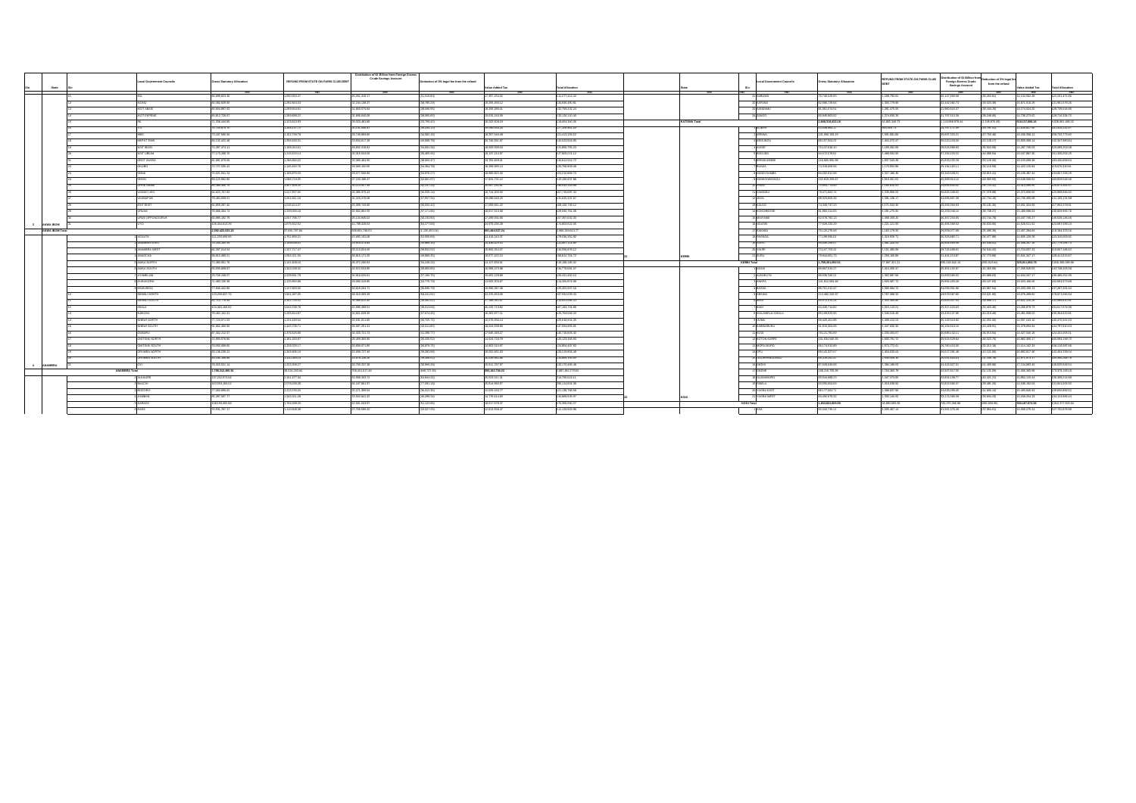|        |                              |                      |                                  |                                   |                                      | <b>Distribution of \$1 Billion from Foreign Exces</b> |                                           |                |                  |                      |                    |                          |                           |                                 | stribution of \$1 Billion f |                      |                |                            |
|--------|------------------------------|----------------------|----------------------------------|-----------------------------------|--------------------------------------|-------------------------------------------------------|-------------------------------------------|----------------|------------------|----------------------|--------------------|--------------------------|---------------------------|---------------------------------|-----------------------------|----------------------|----------------|----------------------------|
|        |                              |                      | <b>Local Government Councils</b> | <b>Jross Statutory Allocation</b> | REFUND FROM STATE ON PARIS CLUB DEBT | Crude Savings Account                                 | Jeduction of 3% legal fee from the refund |                |                  |                      |                    | ocal Government Councils | ross Statutory Allocation | REFUND FROM STATE ON PARIS CLUB | Foreign Excess Crude        | eduction of 3% legal |                |                            |
|        |                              |                      |                                  |                                   |                                      |                                                       |                                           | alus Added Tax | notazofiA lato   |                      |                    |                          |                           | <b>COMME</b>                    | Savings Account             | from the refund      | lue Added Tax  | nstagellA late             |
|        |                              |                      |                                  |                                   |                                      |                                                       |                                           |                |                  |                      |                    |                          |                           |                                 |                             |                      |                |                            |
|        |                              |                      |                                  | 06,099,023.36                     | 050,553.47                           | 6,201,318.17                                          | 31,516.60)                                | 7,357,234.02   | 277,412.42       |                      |                    |                          | 746,529.93                | 1,208,723.81                    | 147,909.66                  |                      | 4,134,502.28   | <b>STATE</b><br>201,471.86 |
|        |                              |                      |                                  | 82,082,829.58                     | 202,843.03                           | 12,244,138.37                                         | 38,785.29)                                | 19,255,455.12  | 34,836,480.81    |                      |                    |                          | 586,729.94                | 300,779.69                      | 442,082.73                  | 39.023.398           | 5,671,010.29   | 31,961,579.26              |
|        |                              |                      | <b>ICOT ABASI</b>                | 80,004,897.63                     | 1,269,564.91                         | 1,003,570.64                                          | 38,086.95)                                | 19,259,286.01  | 32,759,232.24    |                      |                    |                          | 361,074.51                | 1,281,475.05                    | 360,615.37                  | (38,444.25)          | 4,174,324.20   | 28,739,044.86              |
|        |                              |                      | KOT EKPENE                       | 80,612,726.67                     | 1,269,688.22                         | 80.343,533,12                                         | (38.090.65)                               | 19,615,140.09  | 133.126.110.40   |                      |                    |                          | 96.80352                  | 1,274,935.28                    | 1.797.510.36                | 08:248.069           |                |                            |
|        |                              |                      |                                  |                                   |                                      |                                                       |                                           |                |                  |                      |                    |                          |                           |                                 |                             |                      | 14.736.273.62  | 128,716,334.72             |
|        |                              |                      |                                  | 1,338,444.80                      | ,123,613.93                          | 28,023,481.86                                         | (33,708.42)                               | 18,202,508.19  | 18,054,340.36    | <b>KATSINA Total</b> |                    |                          | 1840, 310, 422.18         | 44,862,349.73                   | 110,000,070.44              | (1,345,870.49)       | 518,137,606.16 | 528,861,486.02             |
|        |                              |                      |                                  | 76,704,874.70                     | 1,208,137.72                         | 30,131,546.47                                         | (36, 244.13)                              | 19,098,646.25  | 127,106,961.00   |                      |                    |                          | 048,964.17                | \$93,050.73                     | 34,767,171.59               | (29.791.52)          | 12.635.827.50  | 01,415,222.47              |
|        |                              |                      |                                  | 73,187,586.56                     | 1,152,738.78                         | 28,749,869.86                                         | (34,582,16)                               | 18,357,546.48  | 121,413,159.52   |                      |                    |                          | 01,056,159.19             | 1,591,681.86                    | 10,607,325.21               | (47, 750.46)         | 16,436,358.12  | 158,733,773.92             |
|        |                              |                      | IKPAT ENIN                       | 85.132.422.48                     | 1,356,626.01                         | 33.834.917.28                                         | 40,698.78)                                | 20,740,551.97  | 142.023.818.95   |                      |                    |                          | 157.504.21                | 1,404,272.47                    | 02324320                    | (42.128.17)          | 16,805,089.14  | 42,347,980.84              |
|        |                              |                      | <b>SIT IBOM</b>                  | 73,397,474.11                     | 158,044.61                           | 28,832,318.81                                         | (34,681.34)                               | 18,505,599.03  | 21,856,755.23    |                      |                    |                          | 137,618.10                | 183,452.69                      | 515,889.83                  | 5.503.58             | 14,287,745.03  | 0,089,202.08               |
|        |                              |                      | SIT UBIUM                        | 77,173,268.70                     | 1,215,515.14                         | 30,315,543.06                                         | (36, 465.45)                              | 19,137,212.67  | 27,805,074.12    |                      |                    |                          | 572,078.81                | 1,489,554.55                    | 150,220.22                  | (44, 685, 64)        | 18,167,887.30  | 1,335,054.25               |
|        |                              |                      | <b>BOT AKARA</b>                 | 81,091,079.06                     | 1,286,682.22                         | 12,090,484.90                                         | 38,600.47)                                | 19,782,669.01  | 134,812,914.72   |                      |                    |                          | 6,005,950.89              | 1,837,543.39                    | (829,232.29                 | 55.126.30            | 9,153,069.36   | 3,430,669.64               |
|        |                              |                      | KDBO                             | 72,727,535.42                     | 1,145,492.76                         | 28,569,150.55                                         | (34,364.78)                               | 18,358,995.13  | 120,766,809.08   |                      |                    |                          | 318,000.50                | 1,170,552.88                    | 194,162.11                  | (35, 116.59)         | 4,422,115.84   | 19,070,320.81              |
|        |                              |                      |                                  |                                   |                                      |                                                       |                                           |                |                  |                      |                    |                          |                           |                                 |                             |                      |                |                            |
|        |                              |                      |                                  | 74,021,641.24                     | 165,875.53                           | 29,077,506.89                                         | (34,976,27)                               | 18,980,822.30  | 23.210.869.70    |                      |                    |                          | 262,912.68                | 1,327,180.36                    | 100.528.21                  | (39,815.41)          | 5,156,487.42   | 33,007,293.25              |
|        |                              |                      |                                  | 69,122,962.80                     | 1,088,719.05                         | 27,153,186.47                                         | (32,661.57)                               | 7,824,731.12   | 15, 156, 937.88  |                      |                    |                          | 2,819,259.67              | 1,619,451.52                    | 389,914.10                  | (48,583,55)          | 3,049,506.62   | 3,829,548.36               |
|        |                              |                      | MANA XILING                      | 89,388,406.79                     | 1,407,909.29                         | 35,113,947.36                                         | (42, 237, 28)                             | 20,567,292.81  | 146,435,318.98   |                      |                    |                          | 034,774.89                | 0.000,000.03                    | (522,400.42                 | 05.724.325           | 14,414,099.95  | 120,873,361.57             |
|        |                              |                      | DUNG UKO                         | 64,622,707.63                     | 1,017,837.92                         | 25,385,376.43                                         | 30,535.14)                                | 16,724,300.50  | 07,719,687.34    |                      |                    |                          | 471,053.74                | 1,235,956.02                    | (825,348.62)                | (53.570.00           | 15,373,656.92  | 25,008,946.62              |
|        |                              |                      | <b>KANAFUN</b>                   | 79,484,059.51                     | 1,251,911.18                         | 31,223,278.08                                         | 37,557.34)                                | 19,098,646.25  | 31,020,337.67    |                      |                    |                          | 323,605.39                | 1,391,138.17                    | 005087.39                   | (41,734.15)          | 16,736,455.08  | 141,105,131.88             |
|        |                              |                      | <b>DSIT EKET</b>                 | 64.059.287.40                     | 1,018,414.07                         | 25,399,745.85                                         | (30, 552.42)                              | 17,059,841.22  | 108, 106,736.12  |                      |                    | 13 KALGO                 | 4,349,747.23              | 1,171,043.36                    | 23,206,394.93               | (35,131.30)          | 13,261,324.59  | 17,953,378.81              |
|        |                              |                      | 15550                            | 78,008,404.74                     | 1,239,065.18                         | 30,902,892.55                                         | 37,171.96)                                | 18,817,510.58  | 29,590,761.08    |                      |                    | DKO BESS                 | 003,313.00                | 1,291,275.60                    | 2,205,046.10                | (38, 738.27)         | 15,409,098.63  | 130,929,995.76             |
|        |                              |                      | URUE OFFONG/ORUX                 | 63,985,192.75                     | 1,007,796.77                         | 25, 134, 945.02                                       | (30, 233, 90)                             | 17,299,931.66  | 107,397,632.30   |                      |                    |                          | 2,578,782.13              | 1,458,159.20                    | 36,367,204.65               | (43.744.78)          | 16,167,745.27  | 46,528,146.46              |
|        |                              |                      |                                  | 106,404,613.39                    | 1,675,922.52                         | 1,798,328.53                                          | 50,277.68)                                | 24,975,035.28  | 74,803,622.05    |                      |                    |                          | 529,220.29                | 1,221,121.55                    | 0,455,369.53                | (23.033.05)          | 4,528,511.52   | 23,697,589.24              |
| $\sim$ | AKWA IBOM<br>AKWA IBOM Total |                      |                                  | 202,422,023.20                    | 37,681,767.84                        |                                                       |                                           | 101,484,527.24 | 960 259 613 77   |                      |                    |                          |                           |                                 | 509.077.69                  |                      |                |                            |
|        |                              |                      |                                  |                                   |                                      | 239,801,748.53                                        | (1, 130, 453.04)                          |                |                  |                      |                    |                          | 120,276.66                | 1,183,179.55                    |                             | 05.495.39            | 13,407,284.64  | 19,184,323.16              |
|        |                              |                      | GUATA                            | 11,225,056.95                     | 751,856.21                           | 13,092,152.08                                         | 152.555.691                               | 22,419,243.37  | 79,036,352.92    |                      |                    |                          | 199,590.01                | 1.215.929.71                    | 1325,882.71                 | (36,477.89)          | 4,605.129.28   | 3.310.053.82               |
|        |                              |                      | AMBRA EAST                       | 76,165,265.59                     | 199,638.62                           | 19,919,574.84                                         | (35,989,16)                               | 15,438,625.02  | 22,687,114.90    |                      |                    |                          | 049,299.07                | 1,481,320.53                    | 044,859.58                  | (44.439.62)          | 5,348,257.16   | 47,779,296.73              |
|        |                              |                      | <b>IAMBRA WEST</b>               | 84,297,014.04                     | 327,717.47                           | 13,113,924.05                                         | (39, 831.52)                              | 15,892,054.07  | 34,590,878.12    |                      |                    |                          | 107,703.41                | 1,151,480.58                    | (718,489.81)                | 34,544.42)           | 13,724,057.23  | 15,007,186.62              |
|        |                              |                      | <b>IADCHA</b>                    | 98,810,489.21                     | 556,311.50                           | 8,815,171.25                                          | (46,682,35)                               | 19,677,422.10  | 58,812,704.72    |                      |                    |                          | 944,661.73                | 1,259,165.88                    | 404,213.87                  | 7.774.988            | 5,841,347.17   | 28,411,613.67              |
|        |                              |                      | VAKA NORTH                       | 72,480,901.76                     | 1,141,008.16                         | 28,472,205.83                                         | (34, 248, 24)                             | 14,127,656.51  | 116, 188, 185.02 |                      | <b>KEBBI Total</b> |                          | ,769,301,092.51           | 27,867,321.21                   | 05.024.642.10               | (836,019.64)         | 325,011,053.78 | 2,816,368,089.96           |
|        |                              |                      | WKA SOUTH                        | 83,935,808.87                     | 322,028.32                           | 32,972,033.85                                         | (20,000.05)                               | 16,588,470.88  | 34,778,681.07    |                      |                    |                          | 1,867,515.27              | 1,415,455.47                    | 5,302,152.87                | (42, 463.66)         | 205,545.83     | 43,748,205.58              |
|        |                              |                      | YAMELLIM                         | 78,708,248.57                     | 1,239,691.79                         | 30,918,520.61                                         | (37, 190.75)                              | 15,002,129.89  | 126,431,400.10   |                      |                    | <b>AJAOKUT</b>           | 5,536,326.21              | 1,362,987.68                    | 11,993,580.52               | (0.088,09)           | 14,634,247.17  | 36,486,251.95              |
|        |                              |                      | NUKOFIA                          | 1,483,135.38                      | 125,092.00                           | 18,080,319.85                                         | 33,776.79)                                | 1,605,301.67   | 14,260,874.99    |                      |                    |                          | 1,812,064.48              | 1,603,587.72                    | 094,263.26                  | (48,107.63)          | 19.303.166.06  | 02,064,973.88              |
|        |                              |                      | <b>CAUSIGO</b>                   | 77,946,442.80                     | 1,227,093.00                         | 10,619,264.71                                         | (36, 830.79)                              | 15,596,367.46  | 125,352,937.18   |                      |                    |                          | 1,701,212.47              | 1,365,584.72                    | 06.135.000                  | (40,967.54)          | 15,203,150.13  | 37,287,331.64              |
|        |                              |                      | <b>EMILI NORTH</b>               | 123,259,637.76                    | 1,941,397.05                         | 48,419,333.33                                         | 58.241.911                                | 24,370,453.05  | 197.932.639.33   |                      |                    |                          | 3.482.226.97              | 1,787,398.25                    | 4.578.587.85                | (53.621.95)          | 19.076.499.82  | 78.871.090.94              |
|        |                              |                      | HTUDE LIMID                      | 12,710,779.44                     | 1,302,733.53                         | 32,490,812.40                                         | (39,082.01                                | 7,188,342.87   | 33,053,586.23    |                      |                    |                          | 572,476.24                | 1,316,305.66                    | 12,829,307.93               | 09.489.17            | 14,821,220.26  | 32,499,820.91              |
|        |                              |                      |                                  |                                   | 1,643,768.78                         |                                                       |                                           |                | 167.183.734.00   |                      |                    |                          |                           |                                 |                             |                      |                |                            |
|        |                              |                      |                                  | 104,363,166.82                    |                                      | 40,996,398.51                                         | (40,313,06)                               | 20,229,713.82  |                  |                      |                    |                          | 449,714.82                | 1,015,113.21                    | 5,317,420.63                | (30,453.40)          | 13,205,879.73  | 04,017,674.99              |
|        |                              |                      | <b>CIRCOKA</b>                   | 78,462,102.31                     | 1,235,814.87                         | 30,821,828.35                                         | (37,074.45)                               | 15,281,977.11  | 125,764,648.20   |                      |                    | <b>JALAMELA-COOLU</b>    | 109,625.95                | 1,340,516.49                    | 13,433,137.85               | (40,215.49)          | 15,461,558.02  | 35,304,622.81              |
|        |                              |                      | NEW NORTH                        | 7,724,071.53                      | 1,224,190.54                         | 30.531.911.05                                         | (36, 725.72)                              | 15,575,056.14  | 25,018,504.35    |                      |                    |                          | 420,401.88                | 1,408,413.23                    | 126,515.82                  | (42, 252, 40)        | 14,557,243.10  | 40,470,321.63              |
|        |                              |                      | WEW SOUTH                        | 91,052,400.90                     | 1,443,726.71                         | 36,007,251.31                                         | (68.115, 64)                              | 18,024,538.80  | 47,094,665.91    |                      |                    | <b>DEA/BUNU</b>          | 210,304.08                | 1,447,630.35                    | 104.610.16                  | (43.428.91)          | PR PO3.07C.2   | 44,797,810.63              |
|        |                              |                      |                                  | 87,402,212.37                     | ,376,625.80                          | 34,333,721.73                                         | 41,298.77)                                | 17,645,345.27  | 40,716,606.40    |                      |                    |                          | 1,121,781.69              | 1,230,454.67                    | (688,142.11                 | (36, 913.64)         | 14,427,540.18  | 24,431,005.01              |
|        |                              |                      | <b>NITSHA NORTH</b>              | 74,993,576.80                     | 1,181,183.97                         | 29,459,306.90                                         | 35,435.52)                                | 14,524,716.79  | 20,123,348.93    |                      |                    | <b>TON KARTE</b>         | 1,634,545.93              | 1,000,791.72                    | (924,529.64)                | (48.023.75)          | 16,982,356.17  | 0,094,199.70               |
|        |                              |                      | NITSNA SOUTH                     | 78,050,009.60                     | 1,229,325.17                         | 30,659,971.85                                         | (36, 879.75)                              | 14,902,010.97  | 124,004,497.83   |                      |                    | MOPA-MURO                | 1,174,010.89              | 1,073,772.61                    | 780,415.00                  | (32, 213, 18)        | 2,114,102.33   | 08,110,087.00              |
|        |                              |                      | RUMBA NORTH                      | 83,138,235.22                     | 1,309,466.16                         | 32,658,727.46                                         | (20, 283, 98)                             | 16,052,661.63  | 33.119.806.49    |                      |                    |                          | 9,142,327.67              | 1,404,033.43                    | 15.017.281.48               | (42,121.00)          | 16.882.817.46  | 42,404,339.04              |
|        |                              |                      | <b>UMBA SOUTH</b>                | 83,190,168.86                     | 310,284.14                           | 32,679,128.26                                         | (39,308.52)                               | 16,528,882.86  | 13,009,155.00    |                      |                    |                          | 319,252.47                | 1,044,559.30                    | (051,820.63                 | (31, 336.78)         | 1,971,973.17   | 05,356,268.79              |
|        | <b>ANAMBRA</b>               |                      |                                  | 78,303,021.14                     | 1,233,309.27                         | 30,759,337.38                                         | (36,999.28)                               | 15,911,787.97  | 126,170,456.48   |                      |                    |                          | 023045.99                 | 1,380,198.53                    | 14,422,827.51               | (41,405.96)          | 7,134,883.45   | 40,525,549.54              |
|        |                              | <b>ANAMBRA Total</b> |                                  | 10.239,512,465.91                 | 28,324,263.94                        | 06,421,017.48                                         | 849,727.92)                               | 355,182,760.22 | 2.887.390.779.63 |                      |                    | KENE                     | 08,210,735.95             | 1,704,309.79                    | 0,507,817.55                | (51.131.09)          | 21,006,365.98  | 73,378,158.18              |
|        |                              |                      | LKALERI                          | 137,232,574.06                    | 2,161,477.34                         | 53,908,303.72                                         | (54,844.32)                               | 10,523,011.31  | 13.760.522.11    |                      |                    | LAMATION                 | 544 988 23                | 1,347,373.65                    | 004.158.77                  | (40, 421, 21)        | 5.052.115.44   | 36,308,214.88              |
|        |                              |                      |                                  |                                   |                                      |                                                       |                                           |                |                  |                      |                    |                          |                           |                                 |                             |                      |                |                            |
|        |                              |                      | 411734                           | 03.553.184.02                     | 2,576,039.28                         | 64,247,681.57                                         | (77, 281, 18)                             | 25,814,980.67  | 35.114.004.30    |                      |                    | CIMALA                   | 555 EO4 ED                | 1,316,039.92                    | 2.822.680.37                | (39,481.20)          | 14,186,162.04  | 131,841,005.83             |
|        |                              |                      |                                  | 060,895.02                        | 13,745.2                             |                                                       | 36,412.36)                                |                | 138,788.58       |                      |                    |                          |                           | 388,837.96                      | 638,299.0                   |                      |                | 0,056,083.52               |
|        |                              |                      | <b>AMBAN</b>                     | 85.287.067.77                     | 1,343,311.28                         | 33,502,841.32                                         | (40, 200, 34)                             | 14,776,614.93  | 134.809.535.97   |                      |                    | AGBA WES                 | 450,879.32                | 1,330,140.92                    | 3,174,366.09                | (39.904.23)          | 15:208:204:33  | 34,123,686.44              |
|        |                              |                      | ARAZI                            | 108,193,492.68                    | ,704,098.20                          | 12,501,043.97                                         | (51,122.95)                               | 18,017,578.37  | 70,365,090.27    |                      | <b>KOGI Total</b>  |                          | 833.822.605.96            | 28,883,565.28                   | 20,370,255.95               | (30.300,335)         | 330,167,572.36 | 1,912,377,503.54           |
|        |                              |                      |                                  | 70,531,767.17                     | 110,908.38                           | 27.706.599.20                                         | (33,327.25)                               | 12,813,558.47  | 12,129,505.96    |                      |                    |                          | 1344,730.11               | 1,265,467.14                    | 1.561.370.49                | (37.964.01)          | 14.569.275.24  | 27.702.878.98              |
|        |                              |                      |                                  |                                   |                                      |                                                       |                                           |                |                  |                      |                    |                          |                           |                                 |                             |                      |                |                            |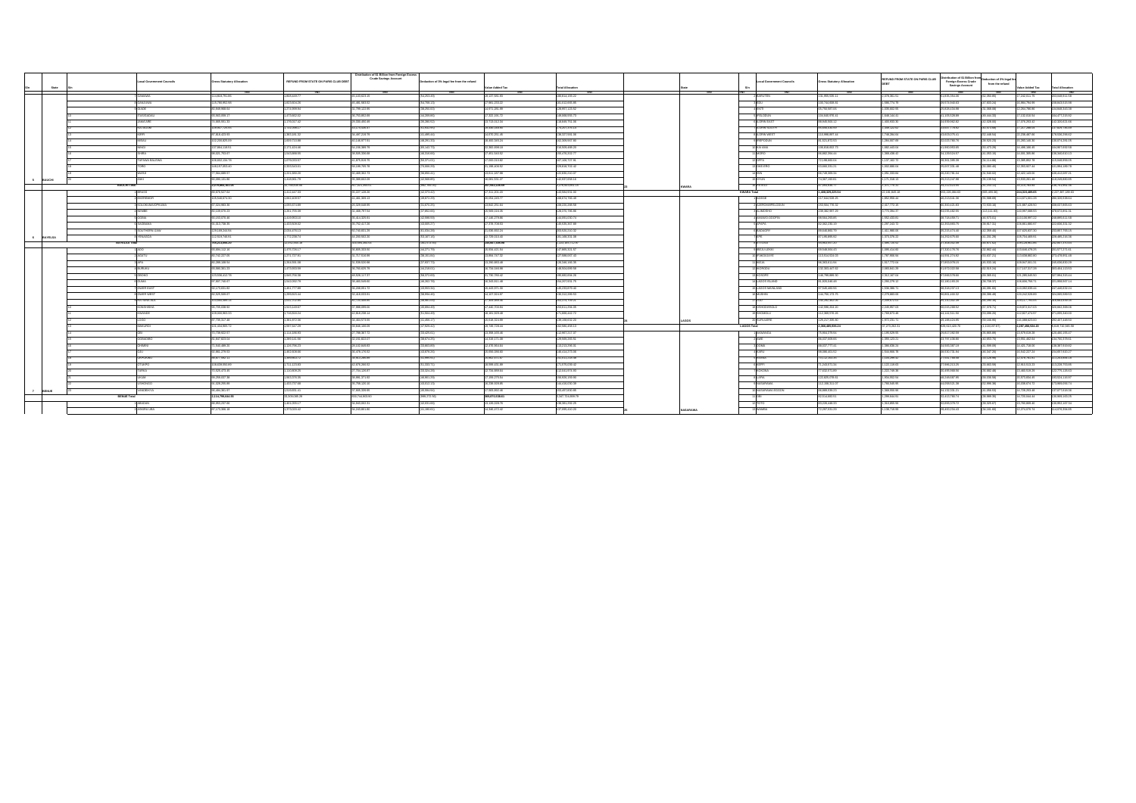|                  |                      |                                  |                            |                                      | <b>Distribution of \$1 Billion from Foreign Exces</b> |                                         |                              |                                 |              |                    |                          |                                   |                                 | stribution of \$1 Billion fr   |                       |                             |                                 |
|------------------|----------------------|----------------------------------|----------------------------|--------------------------------------|-------------------------------------------------------|-----------------------------------------|------------------------------|---------------------------------|--------------|--------------------|--------------------------|-----------------------------------|---------------------------------|--------------------------------|-----------------------|-----------------------------|---------------------------------|
|                  |                      | <b>Local Government Councils</b> | oss Statutory Allocation   | REFUND FROM STATE ON PARIS CLUB DEBT | Crude Savings Account                                 | duction of 3% legal fee from the refund |                              |                                 |              |                    | ocal Government Councils | <b>Iross Statutory Allocation</b> | REFUND FROM STATE ON PARIS CLUB | Foreign Excess Crude           | uction of 3% legal f  |                             |                                 |
| State            |                      |                                  |                            |                                      |                                                       |                                         | also Added Tax               | notazofiA lato                  |              |                    |                          |                                   |                                 | <b>Savings Account</b>         | from the refund       | us Added Tax                | al Allocation                   |
|                  |                      |                                  |                            |                                      |                                                       |                                         |                              |                                 |              |                    |                          |                                   |                                 |                                |                       |                             | <b>STATE</b>                    |
|                  |                      |                                  | 4,810,791.00               | 1,808,449.77                         | 103,623.15                                            |                                         | 0,137,581.93                 | 0,814,193.22                    |              |                    |                          | 1,955,535.11                      | 2,078,361.51                    | 30.435,254.06                  |                       | 242,011.75                  | 048,911.58                      |
|                  |                      | ANJUWA                           | 5,780,952.98               | 323,004.26                           | 1481,583.52                                           | 54,708.13)                              | 7,981,233.22                 | 81,012,665.85                   |              |                    |                          | 0,744,608.81                      | 586,774.79                      | 574,940.63                     | (603.24)              | 0,984,794.99                | 3,543,515.98                    |
|                  |                      | GIADE                            | 0,949,958.54               | 1,274,999.94                         | 1,799,122.95                                          | 38,250.00)                              | 14,971,281.99                | 128,957,123.52                  |              |                    |                          | 750,587.06                        | 1,035,002.55                    | 5,828,434.98                   | (35.530, 10)          | 2,264,786.86                | 04,848,343.38                   |
|                  |                      | <b>TAS/GADAU</b>                 | 3,563,059.17               | 1,473,662.02                         | 36,753,852.69                                         | 44.209.861                              | 17,322,191.72                | 49.068.555.73                   |              |                    | <b>FELOCIAL</b>          | 4,640,976.41                      | 1,648,144.41                    | 41.105.528.89                  | (49.444.33)           | 132,010.54                  | 64,477,215.92                   |
|                  |                      | <b>AMA'ARE</b>                   | 1,005,551.33               | 176,017.42                           | 29,330,450.49                                         | 35,280.52)                              | 3,713,012.34                 | 18,849,751.06                   |              |                    | LORINEAS                 | 945,500.12                        | 1,400,933.30                    | 34, 939, 962.82                | 12,028.00             | 076,253.42                  | 12,320,621.66                   |
|                  |                      | <b>TAGINI</b>                    | 109,907,725.55             | 1,731,098.17                         | 3,174,435.47                                          | (51,932.95)                             | 19,446,048.90                | 174,207,376.14                  |              |                    | COWSOUT                  | 02.000.000                        | 1,349,122.62                    | 0,647,778.92                   | 40.473.68             | 7,217,288.04                | 37,829,746.49                   |
|                  |                      |                                  | 17,818,423.93              | 1,383,181.32                         | 34,497,219.79                                         | (41,425.44)                             | 14,670,251.45                | 138,327,581.06                  |              |                    | LORIN WEST               | 0,998,897.44                      | 1,748,284.64                    | 3,603,075.41                   | (52,448.54)           | 22,238,487.66               | 78,536,296.62                   |
|                  |                      |                                  | 2200.825.09                | 1,609,710.88                         | 0.146.977.91                                          | (48, 201, 33)                           | 8,400,345.24                 | 102.309.567.00                  |              |                    |                          | 521,872.53                        | 1,284,007.69                    | 32,023,780.76                  | 38.520.238            | 283,140.30                  | 10,074,281.05                   |
|                  |                      | INGI                             | 37,864,118.51              | 2,171,424.46                         | 54,156,389.79                                         | (65,142.73)                             | 22,382,698.18                | 16,509,488.20                   |              |                    | CAI AMA                  | 06,818,602.73                     | 1,682,443.04                    | 41,960,953.65                  | 10.473.256            | 4,496,166.45                | 64,907,692.58                   |
|                  |                      | <b>HIRA</b>                      | 1,021,753.67               | 1,543,888.55                         | 38,505,336.68                                         | (33.310.00)                             | 7,451,540.52                 | 155,476,202.77                  |              |                    |                          | 6,882,394.44                      |                                 |                                |                       |                             |                                 |
|                  |                      | AFAWA BALEWA                     | 06.602.134.78              | 1.679.033.57                         | 1,875,919.75                                          | 50.371.011                              |                              | 167,106,727.91                  |              |                    |                          | 198,660.04                        | 1,368,438.42                    | 34,129,524.57<br>28,361,355.39 | 11,053.15             | 35,200,100.<br>1,385,852.78 | 36,340,610.13<br>5,048,956.05   |
|                  |                      |                                  |                            |                                      |                                                       |                                         | 7,000,010.82                 |                                 |              |                    |                          |                                   | 1,137,162.72                    |                                | (34.114.88)           |                             |                                 |
|                  |                      |                                  | 148,157,053.40             | 10.033.543.01                        | 8,199,705.78                                          | 70,006.29)                              | 1,198,406.52                 | 229,818,702.42                  |              |                    | <b>DKE-ERO</b>           | 000,331.21                        | 1,002,680.04                    | 25,007,331.48                  | 0,080.40              | 2,353,927.44                | 01,994,189.78                   |
|                  |                      |                                  | 564,689.51                 | 1221,680.20                          | 30,469,302.73                                         | 36.650.411                              | 13.611.107.90                | 22.830.210.07                   |              |                    |                          | 749,369,34                        | 1.051.333.84                    | 26.220.781.04                  | 1540.025              | 422,143.00                  | 06,412,087.21                   |
|                  |                      |                                  | 36.121,090,                | 1,418,961.79                         | 5,389,602.09                                          | 42,568.85)                              | 6,081,531.27                 | 42,937,658.16                   |              |                    |                          | 367,192.81                        | 1,171,318.13                    | 29,213,247.98                  | 5.139.54              | 533,261.48                  | 8,249,880.85                    |
|                  | <b>BAUCHI Total</b>  |                                  | 2,079,864,161.05           | 32,758,835.06                        | 17,021,393.51                                         | (982,765.05)                            | 347,942,226.59               | 276,603,851.15                  | <b>KWAPA</b> |                    | <b>MTEG</b>              | 093,936.77                        | 1,371,770.31                    | 34,212,623.55                  | 1.153.111             | 4,114,783.84                | 36,751,961.36                   |
|                  |                      |                                  | 0,676,527.64               | 1,412,447.33                         | 1,227,128.26                                          | (42,373,42)                             | 7,311,201.20                 | 43,584,931.00                   |              | <b>KWARA Total</b> |                          | 408,329,225.54                    | 22,181,845.18                   | 53,226,084.63                  | 85,455.36)            | 244,315,489.65              | 227,387,189.63                  |
|                  |                      | <b>ROMINER</b>                   | 25,546,674.30              | 662,409.57                           | 41,461,309.13                                         | (49,872.29)                             | 0,054,245.77                 | 68,674,766.49                   |              |                    |                          | 7,644,528.25                      | 1,052,956.44                    | 8,213,641.36                   | (03.585.05)           | 4,671,001.28                | 10,326,538.64                   |
|                  |                      | KOLOKUMA/OPKUMA                  | 7,024,983.36               | 1,055,674.89                         | 26,329,048.95                                         | (21,670.25)                             | 13,842,251.64                | 108.220.288.58                  |              |                    | AJEROMNIFELODUN          | 1504.776.32                       | 2,417,772.15                    | 00,300,421.83                  | (72,533,16)           | 121,887,428.50              | 38,037,865.63                   |
|                  |                      |                                  | 109,070.23                 | 261,755.39                           | 31,468,797.54                                         | 37,852.66)                              | 509,016.35                   | 28,370,786.86                   |              |                    |                          | 39,382,997.29                     | 3,770,394.37                    | AL035,482.55                   | (3,111.83)            | 40,997,088.93               | 8,072,851.31                    |
|                  |                      | <b>AGOO</b>                      | 34.070.457                 | 1,419,953.10                         | 35,414,325.91                                         | (42,598,59)                             | 7,146,279.86                 | 144,091,030.74                  |              |                    | MUWO-ODOFIN              | 8,564,293.85                      | 1,552,433.81                    | 30,710,459.71                  | 46.573.01             | 0,106,997.22                | 148,895,611.58                  |
|                  |                      | CRAMA                            | 1,013,738.35               | 1,433,509.02                         | 132,417.26                                            | 43.005.271                              | 7,378,708.53                 | 145.535.367.89                  |              |                    |                          | 362 230.19                        | 1,297,243.72                    | 12 353 893 75                  | (38,917.31)           | 12.003.00.00                | 22,836,331.32                   |
|                  |                      | <b>CUTHERN LIAW</b>              | 29,169,244.94              | 2,034,476.13                         | 0,740,831.29                                          | (61,034,23)                             | 21,636,692.24                | 03,520,210.32                   |              |                    | MOACH                    | 646,860.79                        | 1,411,980.05                    | 35.215.474.40                  | 42.359.40             | 07,625,837.30               | 33,857,793.15                   |
| <b>6</b> BAYELSA |                      | 48/2014                          | 2,519,746.91               | 772,238.74                           | 4,200,502.20                                          | 53.167.161                              | 2,729,010.40                 | 00.108.331.00                   |              |                    |                          | 195,895.92                        | 1.373.376.22                    | A252.675.60                    | 41,201.29             | 15,704,469.91               | 28,485,216.36                   |
|                  | <b>BAYELSA Total</b> |                                  | 765,213,056.20             | 12,052,464.18                        | 300,594,360.54                                        | 361.573.931                             | 145,057,405.98               | 223,165,712.97                  |              |                    |                          | 4,963,557.20                      | 1,495,720.52                    | 37,304,002.49                  | (44.871.62)           | 09,128,961.86               | 42.847.370.44                   |
|                  |                      |                                  | (694,112.16                | 1,475,726.17                         | 36,805,333.50                                         | (44,271.79)                             | 5,934,421.54                 | 147,865,321.57                  |              |                    | <b>BEJU-LEKK</b>         | 548,064.43                        | 1,095,414.60                    | 27,320,176.76                  | 32.862.448            | 13,646,478.25               | 01,577,271.61                   |
|                  |                      | GATU                             | 1742,227.05                | 1,271,727.91                         | ,717,516.99                                           | 38,151.84)                              | 13,094,747.32                | 27,588,057.43                   |              |                    | FAKO/LIAYE               | 1,514,524.03                      | 1,787,906.94                    | 44,591,274.92                  | 3.637.211             | 1,638,882.80                | 13,478,951.48                   |
|                  |                      |                                  | 0,289,108.54               | 1,264,591.08                         | 1,539,520.98                                          | (37, 937.73)                            | 13,290,883.48                | 126,346,166.35                  |              |                    |                          | 6,363,611.94                      | 1,517,772.04                    | 37,853,978.15                  | 45,533.16)            | 09.947.001.31               | 45,636,830.29                   |
|                  |                      | <b>DURUKU</b>                    | 1,580,301.23               | 1,473,933.59                         | 36,760,625.79                                         | 44,218.01)                              | 16,734,046.98                | 48,504,689.58                   |              |                    | KORDO                    | 32,303,447.62                     | 2,083,841.29                    | 51,972,022.58                  | 2.515.24              | 7,107,317.28                | 3.404.113.53                    |
|                  |                      |                                  | 3,536,412.78               | 1,945,756.38                         | 1,528,117.37                                          | 58,372.69)                              | 1,730,780.42                 | 95,682,694.26                   |              |                    |                          | 46,799,889.30                     | 2,312,167.04                    | 7,006,578.60                   | 10.355.01             | 1,285,045.50                | 7,994,315.44                    |
|                  |                      | <b>AMA</b>                       | 7,907,740.67               | 1,542,092.79                         | 38,450,549.60                                         | 46.262.701                              | 16,343,011.40                | 54,207,931.75                   |              |                    | AGOS ISLAND              | 320,046.48                        | 1,290,279.12                    | 32,180,193.20                  | 08.708.371            | 6,606,756.71                | 21,958,567.14                   |
|                  |                      | WER EAST                         | (173,631.82                | 1,451,777.89                         | 6,208,051.72                                          | (3,553,34)                              | 5,443,971.30                 | 145,233,879.40                  |              |                    | AGOS MAINLAND            | 545,460.56                        | 1,536,386.71                    | 38,318,237.13                  | (00.199.38            | 0,092,639.44                | 17,446,632.24                   |
|                  |                      | GWER WEST                        | 1,525,509.67               | 1,299,815.44                         | 32,418,033.91                                         | 38,994.46)                              | 14,107,924.97                | 130,312,289.53                  |              |                    |                          | 44,750,173.75                     | 2,279,883.06                    | 56,861,400.32                  | (03.300,03)           | 20,242,528.89               | 04,065,589.53                   |
|                  |                      | ATSINA ALA                       | 0,000,589.14               | 532,702.85                           | 1,720,408.85                                          | 48,981.09)                              | 7,409,989.46                 | 53,374,709.21                   |              |                    |                          | 0,292,462.06                      | 209,672.01                      | 8,110,302.39                   | 35,290.16)            | 117,793.05                  | 0,003,939.35                    |
|                  |                      | <b>ONSHISHA</b>                  | 1705,038.92                | 1,523,149.67                         | 37,988,099.00                                         | 45,034.42)                              | 7,440,700.94                 | 3,611,294.05                    |              |                    |                          | 2,596,204.20                      | 2,245,957.03                    | 56,015,268.52                  | 67,378.71)            | 19,872,317.03               | 20.882,388.06                   |
|                  |                      | WANDE                            | 09,000,963.33              | 1,716,816.24                         | 42,818,238.14                                         | (51,504.42)                             | 18,181,929.48                | 71,666,442.72                   |              |                    | SHOMOLL                  | 12,309,576.26                     | 1,769,873.48                    | 44,141,511.50                  | 53.096.208            | 12,827,474.97               | 71,055,340.00                   |
|                  |                      | OGO.                             | 735,317.48                 | 1,381,872.35                         | 1,464,573.55                                          | 41,456.17)                              | 15,618,324.99                | 139, 158, 632.20                |              |                    |                          | 5,217,335.80                      | 1,972,231.71                    | 0,188,424.95                   | 59,166.95)            | 6,088,623.00                | 92,407,448.50                   |
|                  |                      | MAKUROE                          | 101,434,905.72             | 1,597,647.29                         | 39,846,106.09                                         | 47,929.42)                              | 19,749,728.44                | 102,580,458.13                  | LAGOS        | <b>LAGOS Total</b> |                          | 166.485.936.24                    | 37,273,262.31                   | 222 613 420 70                 | 1,118,197.87)         | 2,287,456,524.20            | 619,710,945.58                  |
|                  |                      |                                  |                            |                                      |                                                       |                                         |                              |                                 |              |                    |                          |                                   |                                 |                                |                       |                             |                                 |
|                  |                      | <b>CRADING</b>                   | 739,922.57<br>1,847,823.04 | 114,186.93<br>1,289,141.55           | 788,367.72<br>32,151,822.07                           | 1.425.611<br>38.674.251                 | 3,358,165.46<br>4,319,171.08 | 12,967,217.07<br>129,509,283.51 |              |                    |                          | 304,372.94<br>037,009.66          | 1,195,529.55                    | 29,817,092.59<br>33,797,436.80 | 15,865.89<br>0553.700 | 79.019.28<br>1,551,462.64   | 10,460,155.47<br>134,700,378.61 |
|                  |                      |                                  |                            |                                      |                                                       |                                         |                              |                                 |              |                    |                          |                                   | 1,355,123.21                    |                                |                       |                             |                                 |
|                  |                      | <b>SMN</b>                       | 540,489.20                 | 1,126,796.23                         | 8,102,849.83                                          | 33,803.89)                              | 2,476,964.64                 | 13,213,236.01                   |              |                    |                          | 037,777.41                        | 1,386,636.24                    | 34,583,387.19                  | 11,500.00)            | 4,421,718.06                | 38,387,919.82                   |
|                  |                      |                                  | 12,051,279.53              | 1,462,608.66                         | 36,478,176.52                                         | (43, 878.26)                            | 03.056.005.00                | 146,414,273.06                  |              |                    |                          | 086,401.52                        | 1,544,906.78                    | 38,530,731.94                  | 46,347.20)            | 6,542,227.24                | 54,057,920.27                   |
|                  |                      | <b>KPOKWU</b>                    | 1877.592.11                | 1,399,863.72                         | 34,913,286.89                                         | 41,925.91)                              | 5,002,471.67                 | 141,011,218.48                  |              |                    |                          | 112,163.35                        | 1,104,299.42                    | 7,541,768.58                   | 33,128.98)            | 2,478,781.81                | 1,203,884.18                    |
|                  |                      | <b>DANLI</b>                     | 0,639,550.09               | 711,123.83                           | 2,676,266.52                                          | 11,333.71)                              | 1,599,431.89                 | 1,575,039.42                    |              |                    |                          | 243,571.34                        | 1,122,119.63                    | 7,986,213.25                   | 13,663.59             | 910,513.23                  | 3,228,753.85                    |
|                  |                      |                                  | 525,473.45                 | 1,110,809.25                         | 1,704,126.87                                          | 13.324.2011                             | 12,734,889.64                | 12,041,974.93                   |              |                    | nerneu                   | 632,571.89                        | 1,222,749.38                    | 30,495,968.56                  | 36,682.48             | 3,460,519.29                | 22,775,126.63                   |
|                  |                      | KUM                              | 0,259,037.38               | 563,376.35                           | 8,991,371.92                                          | 46,901.29)                              | 159,275.54                   | 56,926,159.90                   |              |                    |                          | 2,825,078.61                      | (334,552.54)                    | 8,248,687.95                   | 58,036.58)            | 573,834.45                  | 0,524,116.97                    |
|                  |                      |                                  | (028,255.89                | 1,433,737.68                         | 5,758,120.10                                          | (43,012.13)                             | 16,238,928.85                | 02.020.3914                     |              |                    |                          | 2,158,311.07                      | 1,766,545.95                    | 44,058,521.38                  | 52,996.38)            | 038,674.72                  | 3,969,056.74                    |
|                  |                      | WOEIKYA.                         | (494,361.97                | 512431.41                            | 7,905,339.95                                          | 6524.941                                | 583,092.46                   | 457.830.85                      |              |                    |                          | 889.539.23                        | 1,368,550.96                    | 34.132.331.21                  | H 056.531             | 720,253.40                  | N 077.618.36                    |
|                  | <b>BENUE Total</b>   |                                  | 114,723,644.55             | 33,309,085.29                        | 830,744,903.90                                        | 09,272.56)                              | 369,870,538.61               | 347,724,899.79                  |              |                    |                          | 514,682.51                        | 1,299,644.91                    | 32,413,780.74                  | (20.909.35            | 720, 044.44                 | 30,909,163.25                   |
|                  |                      | <b>BADAN</b>                     | 8,953,237.66               | 1,401,055.17                         | 34,943,002.31                                         | (2,031.66                               | 13,126,028.76                | 138,381,292.25                  |              |                    |                          | 226,448.33                        | 1,310,855.56                    | 32,693,379.72                  | 09.325.67             | 13,760,809.40               | 30,952,167.34                   |
|                  |                      | <b>SKIRA UBA</b>                 | 173,306.18                 | 73,020.42                            | 243,801.80                                            | 1,190.61)                               | 4,346,472.42                 | 7,095,410.20                    |              |                    |                          | 207,531.29                        | 138,719.99                      | 400.234.43                     | 34,161,60)            | 274,070.74                  | 14,076,394.85                   |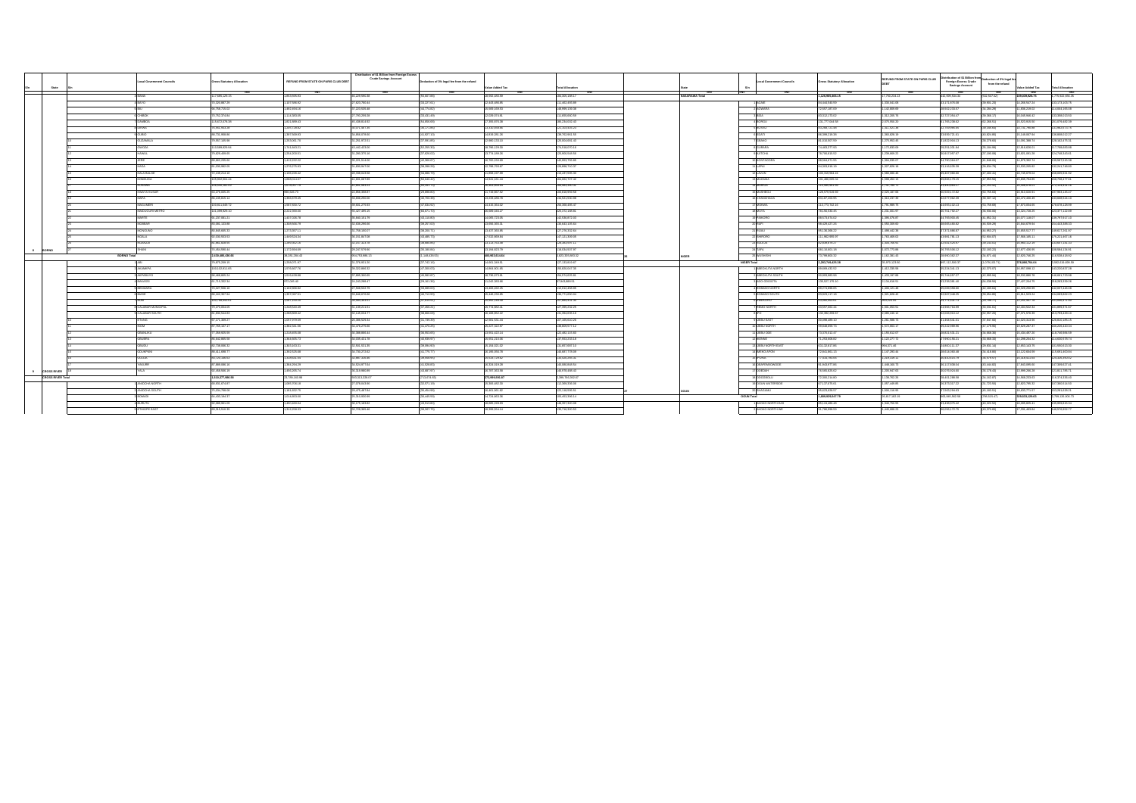|                          |                    |                                  |                                   |                                      | istribution of \$1 Billion from Foreign Exces |                                          |                |                  |              |                               |                               |                           |                                 | stribution of \$1 Billion f   |                                        |                   |                  |
|--------------------------|--------------------|----------------------------------|-----------------------------------|--------------------------------------|-----------------------------------------------|------------------------------------------|----------------|------------------|--------------|-------------------------------|-------------------------------|---------------------------|---------------------------------|-------------------------------|----------------------------------------|-------------------|------------------|
|                          |                    | <b>Local Government Councils</b> | <b>Iross Statutory Allocation</b> | REFUND FROM STATE ON PARIS CLUB DEBT | Crude Savings Account                         | eduction of 3% legal fee from the refund |                |                  |              |                               | ocal Government Councils      | ross Statutory Allocation | REFUND FROM STATE ON PARIS CLUB | Foreign Excess Crude          | duction of 3% legal<br>from the refund |                   |                  |
| State                    |                    |                                  |                                   |                                      |                                               |                                          | alus Added Tax | notas allA lato? |              |                               |                               |                           |                                 | Savings Account               |                                        | ue Added Tax      | nstagellA late   |
|                          |                    |                                  |                                   |                                      |                                               |                                          |                |                  |              | <b>Side Contract Contract</b> |                               |                           |                                 | - 18                          |                                        |                   | <b>STERN</b>     |
|                          |                    |                                  | 7,685,129.15                      | 1,853,595.93                         | 5,229,590.38                                  | 55,007.001                               | 18.592.480.59  | 154.305.188.1    | RAWA Total   |                               |                               | 126.965.466.15            | 7,750,234.13                    | 00.534.34                     |                                        | 189,039,928.75    | 75,922,656.35    |
|                          |                    |                                  | 0,320,887.29                      | 107,586.92                           | 1,623,760.44                                  | 13,227.61)                               | 2,443,486.85   | 11,462,493.89    |              |                               |                               | 44,540.59                 | 30,041.08                       | 171,876.08                    | 39.901.23                              | 420654724         | 33,173,103.75    |
|                          |                    |                                  | 94,758,715.02                     | 1,492,494.16                         | 17,223,535.48                                 | (44, 774.82)                             | 15,509,109.53  | 148,999,139.38   |              |                               |                               | 557,187.09                | 1,142,809.69                    | 502 233 57                    | (34,284.25)                            | 1,836,219.02      | 14,004,165.08    |
|                          |                    | <b>HIBOK</b>                     | 1752,374.84                       | 1,114,383.05                         | 7.793.259.28                                  | (33, 431.42)                             | 12.029.074.91  | 11.055.000.59    |              |                               |                               | 1312.173.02               | 1.312.205.76                    | 1727.054.47                   | 39,365.171                             | 6.045.946.42      | 33.358.013.50    |
|                          |                    | smost                            | 5,672,078.38                      | 1,821,889.43                         | 45,438,814.92                                 | (54,656.68)                              | 17,355,876.38  | 180,234,002.43   |              |                               |                               | 1,777,044.58              | 2,075,550.20                    | 1,765,238.62                  | (02.208.51                             | 5,523,915.50      | 101,079,482.39   |
|                          |                    |                                  | 76,551,933.28                     | 1,205,728.82                         | 0,071,467.35                                  | (36, 171.86)                             | 13,310,458.00  | 21,103,416.23    |              |                               |                               | 265,721.48                | 1,311,521.38                    | 2,709.985.65                  | 09.345.641                             | 14,731,790.88     | 31,982,673.75    |
|                          |                    |                                  | 88,731,958.85                     | 1,397,569.93                         | 34,856,078.60                                 | (41, 227.10)                             | 14,819,281.26  | 139,762,961.55   |              |                               |                               | 399,219.38                | 1,360,828.19                    | 3,939,721.61                  | (40, 824, 85)                          | 15,149,067.94     | 36,808,012.27    |
|                          |                    | <b>AMALA</b>                     | 9,557,105.98                      | 1,253,061.70                         | 31:251:972.51                                 | (37,591.85)                              | 12,980,133.10  | 25.004.681.43    |              |                               |                               | 010.507.59                | 1,275,953.45                    | 1.822.904.13                  | 38.278.60                              | 14.091.388.74     | 28,162,475.31    |
|                          |                    |                                  | 0,589,929.94                      | 1,741,843.21                         | 13,442,423.00                                 | (52, 255, 30)                            | 18,796,129.30  | 74,518,070.16    |              |                               |                               | 463,377.93                | 1,172,833.09                    | (251,031.84)                  | 05.184.99                              | 2.916.626.01      | 1768.683.88      |
|                          |                    |                                  | 9,629,409.65                      | 1,254,200.51                         |                                               |                                          | 13,774,189.26  | 125,900,548.55   |              |                               |                               | 8,706,815.52              | 1,239,669.22                    |                               | 37.190.08                              | 13,921,091.28     | 24,748,343.61    |
|                          |                    |                                  | 0,002,235.00                      |                                      | 31,280,375.16                                 | (37,626.02)                              | 16,700,150.69  | 142,953,755.85   |              |                               |                               |                           |                                 | 10,917,957.67<br>4,790,364.07 |                                        |                   |                  |
|                          |                    |                                  |                                   | 1,412,222.22                         | 5,221,514.00                                  | (42,366.67)                              |                |                  |              |                               |                               | 564,671.55                | (394,935.07                     |                               | (00.05).19                             | 14,879,392.74     | 39,587,515.38    |
|                          |                    | 16.04                            | 11,030,982.05                     | 1,276,275.93                         | 31,830,947.00                                 | (38, 288, 28)                            | 12,798,793.67  | 126,098,710.37   |              |                               |                               | 303,916.19                | 1,327,826.18                    | 116,635.39                    | (39,834.75)                            | 3,533,205.82      | 32,241,748.80    |
|                          |                    | <b>UA BALGE</b>                  | 2139.254.10                       | -136.226.42                          | 8.338.043.58                                  | (34,086.79)                              | 11.858.197.99  | 13.437.595.30    |              |                               |                               | 1,319,584.24              | 580,080.46                      | 9.407.980.60                  | 17.402.411                             | 1745.679.04       | 58,005,921.92    |
|                          |                    |                                  | 05,902,504.44                     | 1,668,014.07                         | 41,001,087.09                                 | (50,040.42)                              | 14,941,161.44  | 164,062,727.42   |              |                               |                               | 1,486,005.04              | 1,598,452.13                    | 9,866,179.15                  | (47,953.56)                            | 5,835,794.85      | 58,738,477.61    |
|                          |                    | <b>IKAMA</b>                     | 06,540,182.09                     | 1,678,057.79                         | 41,851,583.23                                 | (50,341.73)                              | 10.033,034.31  | 105,483,340.31   |              |                               |                               | 0,585,961.69              | 1,741,780.71                    | 1440 884 17                   | 52.253.42                              | 16,408,078.01     | 72,124,431.16    |
|                          |                    | <b>TAYA KUSAR</b>                | 53,276,005.25                     | 206,626.73                           | 24,856,358.87                                 | (29, 096, 00)                            | 11,719,867.52  | 100,818,959.58   |              |                               | WASHEG                        | 18,579,519.69             | 2,025,187.68                    | 509,172.82                    | (00.755.63)                            | 5,910,020.91      | 07,063,145.47    |
|                          |                    |                                  | 6,135,815.14                      | 1,356,679.45                         | 33,836,250.00                                 | (40,700.38)                              | 13,233,486.78  | 134,521,530.98   |              |                               | <b>HANCHAGA</b>               | 1,187,200.95              | 1,310,237.39                    | 1,677,962.39                  | (39,307.12)                            | 6,472,430.49      | 33,608,524.10    |
|                          |                    | AGUMERI                          | 00,811,649.72                     | 1,587,830.72                         | 39,601,275.93                                 | (47,634.92)                              | 14,415,364.02  | 156,368,485.47   |              |                               |                               | 3,773,742.16              | 1,791,989.75                    | 44,693,102.13                 | (53,750.60)                            | 17.873.054.65     | 78,078,128.99    |
|                          |                    | DUGURI METRO                     | 41,000,029.10                     | 2,222,390.00                         | 55,427,495.15                                 | (66, 671.70)                             | 26,689,046.27  | 225,372,188.81   |              |                               |                               | 1,156,530.45              | 1,231,001.97                    | 0,701,792.27                  | 36.930.06                              | 13,324,728.25     | 23,377,122.89    |
|                          |                    | <b>LOTE</b>                      | 1,237,081.21                      | 1,437,026.78                         | 35,840,151.79                                 | (43, 110.80)                             | 14,005,723.05  | 142,536,872.03   |              |                               | NIKORY                        | 573,674.02                | 1,395,076.87                    | 4,793,900.45                  | (41.852.31)                            | 5.077.118.07      | 39,797,917.10    |
|                          |                    | ONNA                             | 83,081,133.88                     | 1,308,566.79                         | 32,636,296.66                                 | (39, 257.00)                             | 13,656,365.31  | 130,643,105.64   |              |                               |                               | 429,427.26                | 1,550,309.60                    | 10,005,400.02                 | (46,509.29)                            | 1041,573.94       | 54,443,388.33    |
|                          |                    | OWGUNO                           | 0,845,665.33                      | 1,273,357.11                         | 11,758,150.07                                 | (38, 200.71)                             | 13,437,360.85  | 127,276,332.64   |              |                               |                               | 136,368.22                | 1,498,442.38                    | 17,371,886.87                 | 44.953.27                              | <b>655 517 77</b> | 49,617,261.97    |
|                          |                    |                                  | 030,553.53                        | 440,524.34                           | 36,151,847.08                                 | (43, 485.73)                             | 532,009.04     | 47,121,309.05    |              |                               |                               | 1,962,955.97              | 20.009,027                      | 3,981,781.13                  | 2.904.071                              | 566.165.11        | 75,221,467.16    |
|                          |                    |                                  |                                   |                                      |                                               |                                          |                | 128,383,597.11   |              |                               | <b>SULE JA</b>                |                           |                                 |                               |                                        |                   |                  |
|                          |                    |                                  | 81,061,828.55<br>4,454,590.44     | 1,289,352.16                         | 32,157,323.78                                 | (38,680.86)                              | 13,113,763.48  |                  |              |                               |                               | 1,839,879.27              | 1,304,705.91                    | 2,541,525.97                  | (39, 143.01)                           | 16,950,112.19     | 33,607,141.33    |
| <b>BORNO</b>             |                    |                                  |                                   | 172,034.03                           | 19,247,579.90                                 | (35, 180.54)                             | 3,194,823.79   | 18,034,507.97    |              |                               |                               | 110,601.18                | 1,072,773.88                    | 755,506.12                    | 32.183.22                              | 2,677,436.95      | 08,584,134.91    |
|                          | <b>BORNO Total</b> |                                  | 2,430,485,436.66                  | 38,281,284.43                        | 054,753,986.13                                | 1,148,438.53)                            | 400,053,614.64 | 823,335,883.32   | <b>NIGER</b> |                               |                               | 799,800.32                | 1,162,381.43                    | 8,990,362.37                  | (34,871.44)                            | 2,620,746.25      | 6,538,418.92     |
|                          |                    |                                  | 79,875,209.15                     | 1,258,071.97                         | 31,376,931.20                                 | (37, 742.16)                             | 14,001,349.51  | 127,133,819.67   |              | <b>NIGER Total</b>            |                               | 2203749.425.38            | 35,970,123.50                   | 127.112.500.37                | (1.079.103.71)                         | 176,866,754.04    | 522 619 622 52   |
|                          |                    | <b>КАМКРА</b>                    | 100,102,911.65                    | 1,576,667.76                         | 39,322,866.32                                 | (47,300.03)                              | 14,864,901.65  | 155,820,047.35   |              |                               | <b>ISEOKUTA NORTH</b>         | 009,432.52                | 1,412,335.58                    | 5,224,341.13                  |                                        | 16,957,098.12     | 1,220,837.28     |
|                          |                    | KPABUYO.                         | 96,468,805.24                     | 1,519,428.88                         | 17,095,300.65                                 | (45,582.87)                              | 18.736.673.91  | 154.574.625.01   |              |                               | <b>BEOKUTA SOUTH</b>          | 0.003.003.00              | 1,433,197.88                    | 744.057.27                    | (42.005.94)                            | 18,532,880.78     | 46,661,723.98    |
|                          |                    |                                  | 715,332.34                        | 272,045.40                           | 4,243,288.47                                  | (29, 161.36)                             | 1,042,383.66   | 7,943,888.51     |              |                               |                               | 5,527,175.10              | 134.655.5                       | 238,381.40                    | 64.038.50                              | 7.427.204.75      | 8,263,339.26     |
|                          |                    | <b>KWAIPA</b>                    | 0.027.556.10                      | 1,102,966.82                         | 7.508.532.79                                  | (33,089.00)                              | 13,406,492.25  | 12.012.458.95    |              |                               | <b>BADO NORTH</b>             | 274,898,65                | 1.406.121.48                    | 5.069.358.60                  | (42.183.64)                            | 16.329.250.99     | 42.037.446.08    |
|                          |                    |                                  | 6,162,357.94                      | 1,357,097.51                         | 3,846,676.66                                  | (40, 712.93)                             | 5,446,230.85   | 136,771,650.04   |              |                               | <b>BADO SOUTH</b>             | 923,117.18                | 1,321,828.42                    | 2,967,048.25                  | 39.654.851                             | 5.911.523.24      | 134,083,862.23   |
|                          |                    |                                  | 00,768,443.61                     | 1,587,150.20                         | 39,584,303.51                                 | (47,614.51)                              | 5,992,148.49   | 157,884,431.30   |              |                               | vencos                        | 050 053 61                | 993225.55                       | 771.531.73                    | (29.796.77                             | 12:251.447.78     | 01,046,471.90    |
|                          |                    | ALABAR MUNICIPAL                 | 9,270,054.05                      | 1,248,540.49                         | 1,139,211.51                                  | (37,456.21)                              | 5,774,882.41   | 27,395,232.25    |              |                               | EMO NORTH                     | 557,062.44                | 1,001,053.51                    | 4,966,764.99                  | 0.031.611                              | 2,404,522.34      | 01,099,371.67    |
|                          |                    | ALABAR SOUTH                     | 81,830,544.83                     | 1,288,869.42                         | 32,145,034.77                                 | (35,555,55)                              | 16,168,852.22  | 131,394,635.16   |              |                               |                               | 12,392,259.67             | 2,085,240.12                    | 2,006,910.12                  | (02,557.20)                            | 27,371,576.39     | 13,793,429.10    |
|                          |                    | LING                             | 7,171,309.27                      | 1,057,979.59                         | 26,386,529.34                                 | (31, 732, 32)                            | 12,581,531.44  | 07,005,010.26    |              |                               | JEBU EAST                     | 020,402.10                | 1,261,588.73                    | 464,641.01                    | 07.847.663                             | 4.023.313.96      | 26,810,185.15    |
|                          |                    |                                  | 7,765,107.17                      | 1,382,341.55                         | 34,476,275.66                                 | (41,470.25)                              | 15,227,322.97  | 138,809,577.12   |              |                               | <b>JEBU NORTH</b>             | 848,659.73                | 1,572,663.17                    | 222,989.96                    | 47.179.90                              | 9,629,287.37      | 0,226,420.34     |
|                          |                    | <b>GANLIKU</b>                   | 7,359,925.59                      | 1,218,455.08                         | 30,388,855.44                                 | (36,553.65)                              | 13,551,422.14  | 122,482,115.00   |              |                               | <b>JEBU COE</b>               | 370,012.47                | 1,155,612.07                    | 20,021,531.21                 | 04.658.352                             | 15,434,497.20     | 18,746,984.59    |
|                          |                    | <b>WAS STRUCK</b>                |                                   |                                      |                                               |                                          |                |                  |              |                               | CENNE                         |                           |                                 |                               |                                        |                   |                  |
|                          |                    |                                  | 05,642,005.58                     | 1,364,665.73                         | 34,035,431.78                                 | (40, 939.97)                             | 15,551,210.06  | 137,553,233.18   |              |                               |                               | 253,608.82                | 1,122,277.72                    | 500,155.21                    | (23,668.33)                            | 14,298,204.32     | 4,630,578.74     |
|                          |                    | a ime                            | 2,738,006.32                      | 1,303,163.31                         | 32,501,531.35                                 | (39,094.90)                              | 15,154,021.02  | 131,657,687.10   |              |                               | JEBU NORTH EAST               | 1,132,817.86              | 094.371.46                      | 800 111 17                    | (29.831.14)                            | 2,653,143.75      | 1,550,613.30     |
|                          |                    | <b>CUICPANI</b>                  | 88,411,038.77                     | 1,392,525.68                         | 34,730,272.62                                 | (41, 775.77)                             | 16,195,056.78  | 140,687,778.09   |              |                               | MEKO-AFON                     | 2,841,861.13              | 1.147.223.44                    | 03.614.060.48                 | 04.418.80                              | 13,122,604.59     | 15,091,400.84    |
|                          |                    |                                  | 3,720,146.63                      | 1,318,631.54                         | 32,887,316.46                                 | (39,558.95)                              | 5,533,729.62   | 133,420,205.31   |              |                               |                               | 414,783.06                | 1,219,319.11                    | (410,415.79                   | 06.579.57                              | 5.318.411.64      | 24,326,350.02    |
|                          |                    | <b>LICE EDG</b>                  | 17,889,086.16                     | 1,384,294.29                         | 34,524,977.64                                 | (41,528.83)                              | 16,324,019.28  | 140,000,848.54   |              |                               | <b>BAFEMIOWODE</b>            | 943,977.86                | 1,448,100.73                    | 05,117,838.04                 | (43.444.82)                            | 7,843,095.00      | 47,309,627.41    |
| 9 CROSS RIVER            |                    |                                  | 2,458,566.19                      | 456,265.74                           | 16,319,980.89                                 | 43,687.97)                               | 16,787,363.58  | 46,978,488.43    |              |                               |                               | 565,825,62                | 1,205,947.63                    | 076,924.6                     | 36,178.43                              | 1,933,266,28      | 21,811,785.71    |
| <b>CROSS RIVER Total</b> |                    |                                  | 1,510,377,986.58                  | 23,789,160.98                        | 593,313,328.07                                | (713, 674.83)                            | 272,999,591.87 | 2,399,705,392.67 |              |                               | ODOGBOLU                      | 300214.80                 | 1,138,762.26                    | 23.401.288.58                 | 34.162.87                              | 14,568,233,63     | 16,374,335.40    |
|                          |                    | <b>CHANORTH</b>                  | 8,931,674.87                      | 87.305,708.18                        | 0218,043.90                                   | (32,571.19)                              | 5,306,482.30   | 12,309,336.06    |              |                               | <b>GUN WATERSDE</b>           | 137,675.61                | 1,057,449.85                    | 373,317.22                    | 1,723.50                               | 2,823,795.32      | 7,360,514.50     |
|                          |                    | XXHA SOUTH                       | 5,034,768.08                      | 1,181,832.75                         | 29.475.487.84                                 | (35.454.98)                              | 16,461,961.82  | 122,118,595.51   |              |                               |                               | 23,628,57                 | 1.506.116.95                    | 563294.63                     | 6.183.51                               |                   | 53,281,628.21    |
|                          |                    |                                  | 4,433,194.37                      | 014,853.00                           | 15,310,930.99                                 | (30,445.59)                              | 14,724,863.36  | 105,453,396.14   |              | OGUN Total                    |                               | 689,929,547.79            | 26,617,182.19                   | 3,845,562.58                  | 798.515.47                             | 29,533,129.63     | 1,709,126,906.73 |
|                          |                    | <b>URUTU</b>                     | 32,089,961.09                     | 1,450,460.04                         | 36,175,183.82                                 | (43,513.80)                              | 18,685,228.93  | 148,357,320.08   |              |                               | AIGNO NORTH EAS               | 124,486.48                | 1,340,750.55                    | 3,438,975.42                  | (40,222.52)                            | 16.095.825.41     | 35,959,815.34    |
|                          |                    | <b>HIOPE EAST</b>                | 315,510.35                        | 312,258.33                           | 2,728,365.46                                  | (39,367.75)                              | 8,399,554.14   | 135,716,320.53   |              |                               | <b><i>UICHIO NORTH WE</i></b> | 706,998.59                | 1,445,688.23                    | 056,172.75                    | 43.370.653                             | 1,331,463.84      | 46,576,952.77    |
|                          |                    |                                  |                                   |                                      |                                               |                                          |                |                  |              |                               |                               |                           |                                 |                               |                                        |                   |                  |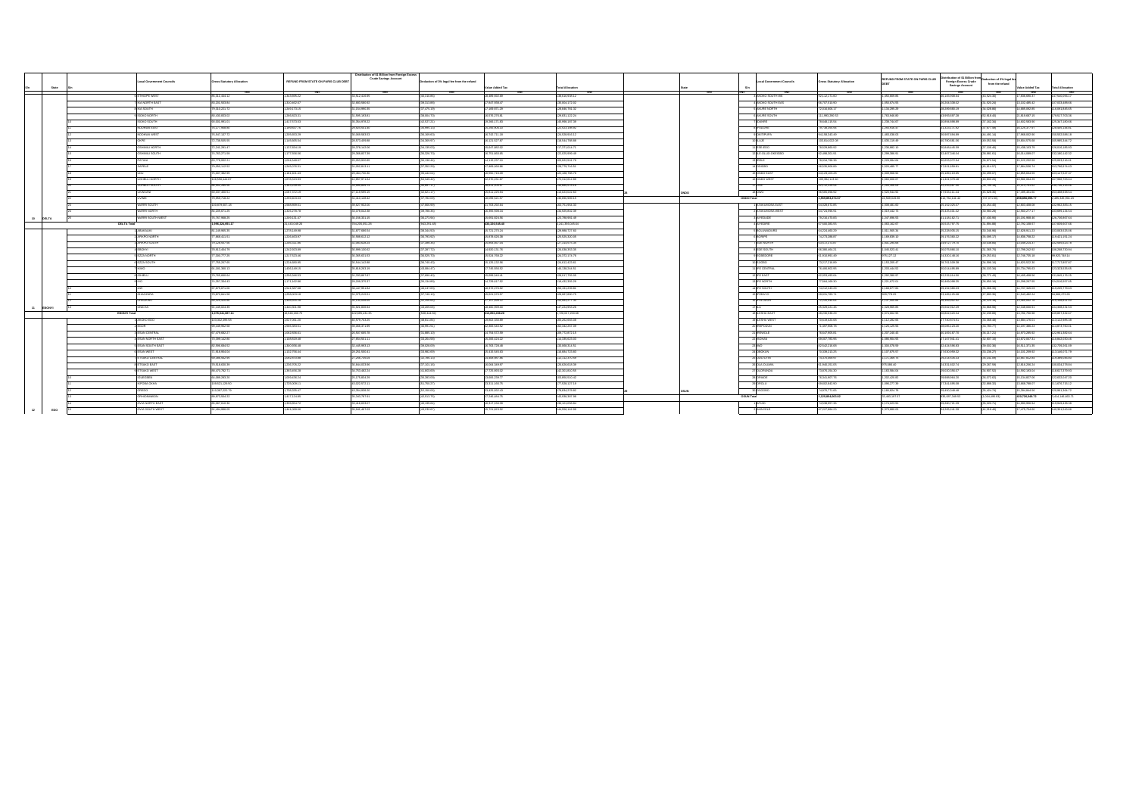|    |      |                     |                                  |                                   |                                      | <b>Distribution of \$1 Billion from Foreign Exces</b> |                                           |                 |                |  |            |                          |                           |                                 | mibution of \$1 Billion f |                      |                 |                   |
|----|------|---------------------|----------------------------------|-----------------------------------|--------------------------------------|-------------------------------------------------------|-------------------------------------------|-----------------|----------------|--|------------|--------------------------|---------------------------|---------------------------------|---------------------------|----------------------|-----------------|-------------------|
|    |      |                     | <b>Local Government Councils</b> | <b>Jross Statutory Allocation</b> | REFUND FROM STATE ON PARIS CLUB DEBT | Crude Savings Account                                 | Jeduction of 3% legal fee from the refund |                 |                |  |            | ocal Government Councils | ross Statutory Allocation | REFUND FROM STATE ON PARIS CLUB | Foreign Excess Crude      | eduction of 3% legal |                 |                   |
|    |      |                     |                                  |                                   |                                      |                                                       |                                           | alus Added Tax  | notazofiA lato |  |            |                          |                           |                                 | Savings Account           | from the refund      | lue Added Tax   | nstagellA late    |
|    |      |                     |                                  |                                   |                                      |                                                       |                                           |                 |                |  | $\sim$     |                          |                           |                                 |                           |                      |                 | <b>CONTRACTOR</b> |
|    |      |                     | THIOPE WEST                      | 85,311,444.12                     | 343,035.22                           | 512,416.95                                            | (20.010.06                                | 15,409,692.69   | 8,616,938.12   |  |            | DKO SOUTH WE             | 112,171.6                 | 1,450,809.86                    | 83,908.64                 |                      | 7,836,690.37    | 1,540,056.17      |
|    |      |                     | A NORTH EAST                     | 83,201,503.84                     | 310,462.67                           | 12,683,580.92                                         | (20,313.00)                               | 17,847,938.47   | 15,004,172.02  |  |            | EAS HTUDE OWON           | 707,510.90                | 050,674.55                      | 204,338.02                | 31,520.24)           | 13,102,485.42   | 23.883.00         |
|    |      |                     | <b>CA SOUTH</b>                  | 79,310,221.72                     | 1,249,173.15                         | 1,154,990.35                                          | 37,475.19)                                | 7,169,871.29    | 128,846,781.32 |  |            | AKURE NORTH              | 016,506.17                | ,134,295.29                     | (289,880.19               | (34,028.86)          | 14,685,092.85   | 15,091,845.65     |
|    |      |                     | SOKO NORTH                       | 80,430,833.02                     | 1,266,823.31                         | 31.595.193.81                                         | (38.004.70)                               | 16,576,276.81   | 129.831.122.24 |  |            | AKURE SOUTH              | 11,993,290.53             | 08.3945.00                      | 1991697.28                | 52.918.40            | 21.819.687.15   | 79.517.703.36     |
|    |      |                     | SOKO SOUTH                       | 90,001,991.01                     | 1,417,573.53                         | 35, 354, 978.22                                       | (42,527.21)                               | 19,266,171.83   | 145,998,187.39 |  |            |                          | 8,648,115.54              | 1,238,744.67                    | 08.003.103.1              | (37, 162.34)         | 14,602,583.90   | 25,347,180.66     |
|    |      |                     | OXWA EAST                        | 76,177,908.80                     | 1,199,837.76                         | 29,924,541.40                                         | (35,935,13)                               | 15,256,906.10   | 122,523,198.92 |  |            |                          | 9,738,355.94              | 1,255,916.47                    | 1,323,171.92              | 07.677.498           | 16.125.377.97   | 28,405,144.81     |
|    |      |                     | DOKWA WEST                       | 76,547,137.72                     | 1,205,053.29                         | 30,009,583.53                                         | (36, 169.60)                              | 16,742,711.18   | 124,528,916.12 |  |            | <b>DISTIPUPA</b>         | 4,158,343.49              | 1,483,038.03                    | 06,087,004.89             | (44, 491.14)         | 17,968,002.90   | 50,552,588.18     |
|    |      |                     |                                  | 72,738,505.55                     | 145,005.54                           | 28,573,459.88                                         | (34.369.97)                               | 16,121,527.87   | 18.544.788.88  |  |            | LAR                      | 13,814,022.08             | 1.635.119.49                    | 30.153.057.0              | (49.053.58)          | 19.804.575.68   | (5,985,344.72     |
|    |      |                     | SHIMLI NORTH                     | 72,241,291.47                     | 1,137,834.19                         | 28,378,142.06                                         | (34, 135.03)                              | 15,647,882.02   | 17.371.014.71  |  |            |                          | 529.860.92                | 1,236,882.10                    | 848,445.59                |                      | 5.438.103.79    | 26,016,185.93     |
|    |      |                     |                                  |                                   |                                      |                                                       |                                           |                 |                |  |            | 58-EDC                   |                           |                                 |                           | (37,106.46)          |                 |                   |
|    |      |                     | SHIMLI SOUTH                     | 74,763,271.59                     | ,177,556.56                          | 29,368,837.39                                         | (35,326.70)                               | 16,751,000.05   | 22,025,920.40  |  |            | D-OLUJI-OKEIGBO          | 498,301.91                | 1,299,386.91                    | 12,407,346.04             | (38, 981.61)         | 16,014,089.07   | 32,180,142.32     |
|    |      |                     | TANI                             | 63,778,932.21                     | 1,004,548.07                         | 15,053,920.85                                         | 30,135.44)                                | 14,115,237.10   | 03,922,501.79  |  |            |                          | 034,798.38                | 1,229,084.54                    | 653,972.94                | 06.872.549           | 5,122,232.59    | 5,003,216.01      |
|    |      |                     | APELE                            | 79,050,112.52                     | 1,245,075.31                         | 31,052,813.11                                         | 37,352.29)                                | 17,409,006.00   | 128,779,716.51 |  |            |                          | 535,906.89                | 1,520,485.77                    | 7,921,659.81              | (45, 614.57)         | 1,064,536.74    | 53,796,974.63     |
|    |      |                     |                                  | 75,007,382.99                     | 1,181,401.43                         | 29,464,730.30                                         | 35,442.04)                                | 6,550,716.09    | 22.168.788.76  |  |            | DNDO E                   | 123,103.28                | 1,009,968.92                    | 5,189,119.65              | (30,259.07           | 280563459       | 03,147,527.37     |
|    |      |                     | GHELLI NORTH                     | 106,556,444.87                    | 1,678,313.93                         | 11,057,971.64                                         | 50,342.42)                                | 22,270,231.87   | 72,312,612.89  |  |            |                          | 5,394,113.40              | 1,000,000.57                    | 1,401,379.48              | (49,800.20)          | 19,581,064.29   | 7,986,763.64      |
|    |      |                     | GHELLI SOUTH                     | 86,552,285.56                     | 1,363,239.05                         | 33,999,849.74                                         | [40, 027.17]                              | 18,811,100.97   | 140,685,578.16 |  |            |                          | 112,229.54                | 1,293,306.09                    | 12,255,687.40             | 08.799.189           | 15,113,701.62   | 30,736,125.46     |
|    |      |                     | KWUANI                           | 69,037,450.51                     | 1,087,372.19                         | 7,119,595.15                                          | 32,621.17)                                | 15,811,225.94   | 023,022.63     |  |            |                          | 505,058.92                | 1,520,944.92                    | 933,111.44                | (45, 628.35)         | 7,495,451.80    | 3,458,938.54      |
|    |      |                     |                                  | 79,959,718.22                     | 1,259,403.03                         | 31,410,128.42                                         | 37,782.09)                                | 18,099,521.57   | 130,090,989.15 |  | ONDO Total |                          | 559,093,274.57            | 24,569,049.96                   | 12.764.141.42             | (737,071.50)         | 298,856,599.77  | 2,495,345,994.23  |
|    |      |                     | ARRI SOUTH                       | 100,879,507.18                    | 1,588,899.51                         | 39,627,932.00                                         | (47,666.92)                               | 21,703,292.64   | 03,751,954.33  |  |            | TAKUMOSA EAST            | 028,672.85                | 1,008,481.00                    | 5,152,025.07              | (30, 254.45)         | 12,803,458.08   | 02,962,383.15     |
|    |      |                     | HTRICKI NARN                     | 84,205,671.25                     | 1,326,278.78                         | 33,078,042.38                                         | (20, 700, 36)                             | NC 802,220,21   | 34,925,802.39  |  |            | <b>AKUMOSA WES</b>       | 1,724,596.91              | 1,019,442.73                    | 5,425,401.02              | (30, 583.28)         | 12,560,277.17   | 03,099,134.54     |
|    |      |                     | ARRI SOUTH-WEST                  | 76,767,958.25                     | 1,209,131.47                         | 30,156,331.15                                         | (36, 273.94)                              | 15,091,024.56   | 23,788,981.49  |  |            | <b>TYEDADE</b>           | 2,216,470.83              | 1,247,036.53                    | 1,118,162.71              | (37,430.90)          | 15, 191, 268.46 | 126,736,867.64    |
|    |      | <b>DELTA Total</b>  |                                  | 1,996,324,691.17                  | 31,443,049.26                        | 154,205,051.28                                        | (943,291.48)                              | (30,326,545.40  | 241,356,045.64 |  |            |                          | 500,383.55                | 1,063,162.67                    | 6,515,797.75              | (31,894.88)          | 12,792,158.57   | 23,539,607.66     |
|    |      |                     | <b>BAKALIKI</b>                  | 11,149,965.35                     | 1,278,149.98                         | 31,877,686.54                                         | (38,344,50)                               | 15,721,270.24   | 20.008.727.00  |  |            | <b>UWADURO</b>           | 224,460.29                | 1,011,555.34                    | 228.935.15                | (30.346.96)          | 2.628.911.23    | 03,063,525.06     |
|    |      |                     | <b>FIKPO NORTH</b>               |                                   | 226,463.97                           |                                                       |                                           |                 |                |  |            |                          |                           |                                 |                           |                      | 483675822       | 19:421.151.24     |
|    |      |                     |                                  | 7,058,411.51                      |                                      | 10,588,612.12                                         | 36,793.92)                                | 15,878,626.38   | 25,525,320.05  |  |            |                          | 273,288.87                | ,169,839.10                     | 9,176,360.22              | 35,095.17)           |                 |                   |
|    |      |                     | FIKPO SOUTH                      | 79,128,557.56                     | 1,246,311.86                         | 11,083,628.24                                         | (37,382,36)                               | 15,023,467.04   | 27,314,575.35  |  |            | DE NORT                  | 572,373.8                 | ,001,294.68                     | 4,972,779.70              | (30,038.84)          | 3,049,214.37    | 02,565,623.78     |
|    |      |                     |                                  | 78,913,454.79                     | 242,923.89                           | 30,999,130.62                                         | 37,287.72)                                | 14,920,131.76   | 26,038,353.35  |  |            | DE SOUT                  | 380,464.21                | 045,523.41                      | 6,075,866.10              | 31,365.70)           | 12,798,242.92   | 06,268,730.94     |
|    |      |                     | <b>ZZA NORTH</b>                 | 77,300,777.25                     | 217,523.46                           | 10,365,631.53                                         | 36,525.70)                                | 15,524,768.22   | 24,372,174.76  |  |            |                          | 910,991.49                | 75,127.12                       | 4,320,148.16              | 29.253.81)           | 2,746,735.18    | 0,023,748.14      |
|    |      |                     | EZZA SOUTH                       | 77,755,207.65                     | 1,224,680.95                         | 30,544,142.88                                         | (36, 740.43)                              | 15,125,132.56   | 124,612,423.61 |  |            | 10 0360                  | 1,217,216.89              | 1,153,205.47                    | 28,761,509.38             | (34,598.16)          | 14,620,522.30   | 17,717,857.87     |
|    |      |                     |                                  | 91,181,360.13                     | 1,436,149.15                         | 35,818,263.19                                         | 43,084.47)                                | 7,745,556.52    | 46,138,244.51  |  |            | <b>E CENTRAL</b>         | 406,902.95                | 203,444.52                      | 014,495.89                | (36,103.34)          | 5,734,795.83    | 3,323,535.65      |
|    |      |                     | MELL                             | 79,765,660.64                     | 1,256,346.53                         | 31,333,897.87                                         | 37,690.40)                                | 15,099,540.41   | 28,017,755.05  |  |            | FF FAS                   | 053,493.64                | 1,292,380.97                    | 232,614.50                | (38,771.43)          | 16,405,458.56   | 31,945,176.25     |
|    |      |                     |                                  | 74,357,334.43                     | 171,162.86                           | 19,209,375.37                                         | 35,134.89)                                | 4,729,617.52    | 19,432,355.29  |  |            |                          | 564,169.30                | 1,221,672.01                    | 469,098.35                | 06.650.16            | 5.298.267.55    | 24,516,557.05     |
|    |      |                     |                                  | 97,875,671.00                     | 1,541,587.68                         | 38,447,951.84                                         | 46,247.63)                                | 18,372,276.92   | 156,191,239.81 |  |            | 14 IFE SOUTH             | 212,243,29                | 1,168,877.00                    | 9,152,380.03              | (05,008.33)          | 14,707,345.03   | 19,205,779.63     |
|    |      |                     | <b>LOZARA</b>                    | 79,870,841.58                     | 1,258,003.18                         | 31.375.215.51                                         | 37.740.101                                | 15,621,570.57   | 128.087.090.75 |  |            |                          | 031,783.7                 | 029.778.25                      | 3,189,125.08              | (27.893.35)          | 1.543.482.24    | 4.666.275.93      |
|    |      |                     | <b>UWORDER</b>                   | 89,429,420.86                     | 1,408,555.28                         | 35, 130,058.09                                        | (42, 256, 66)                             | 7,157,499.12    | 43,083,277.30  |  |            | EL CICK IN               | 220,444.64                | 1,137,505.84                    | 20, 369, 962, 92          | (34,125.18)          | 13,465,042.78   | 15, 158,821.00    |
|    | mown |                     | MCHA                             | 91,445,024.39                     | 1,440,301.98                         | 35,921,836.94                                         | (43,209.06)                               | 18,460,999.00   | 147,224,953.26 |  |            |                          | 329.221.46                | 1,028,965.85                    | 5,662,912.29              | (30,553,00)          | 12,348,000.91   | 04,338,231.53     |
|    |      | <b>EBONYI Total</b> |                                  | 1,076,041,687.14                  | 16,948,160.75                        | 422,605,431.35                                        | 508,444.82)                               | 210,850,456.26  | 726,027,290.68 |  |            | LESNA EAST               | 8,230,538.29              | 1,074,002.95                    | 06,002,020.34             | (32, 230.89)         | 13,781,750.98   | 09,857,332.67     |
|    |      |                     | OCE CACON                        | 03,302,399.58                     | 1,627,061.20                         | 40,579,703.25                                         | (48, 811.84)                              | כמ בכב, כבס, כז | 05.202.683.08  |  |            | <b>ESNAYES</b>           | 619,020.68                | ,112,282.66                     | 1740.874.51               | (33.358.48)          | 13,654.176.01   | 13, 122, 985.38   |
|    |      |                     |                                  | 99,449,962.58                     | 1,566,383.51                         | 39,066,371.99                                         | 46,991.51)                                | 22,306,540.52   | 102,342,207.09 |  |            |                          | 497,908.78                | 1,126,125.56                    | 0,006,123.20              | (33.783.77)          | 14,197,386.23   | 14,873,760.01     |
|    |      |                     |                                  |                                   |                                      |                                                       |                                           |                 |                |  |            |                          |                           |                                 |                           |                      |                 |                   |
|    |      |                     | <b>SAN CENTRAL</b>               | 67,479,682.27                     | 1,062,836.61                         | 26,507,665.78                                         | (31, 685, 10)                             | 14,754,572.59   | 20,772,872.15  |  |            |                          | 647,905.81                | 1,207,240.43                    | 0,109,167.70              | (36, 217, 21)        | 14,973,285.92   | 22,901,382.64     |
|    |      |                     | <b>IAN NORTH EAST</b>            | 70,399,142.80                     | 100,019.48                           | 7,654,501.11                                          | (33,264.58)                               | 15,206,424.22   | 14,335,623.03  |  |            |                          | 007,783.96                | 1,086,904.93                    | 107,941.41                | (32.607.15)          | 13,672,007.31   | 0,842,030.46      |
|    |      |                     | SAN SOUTH EAST                   | 82,596,684.52                     | 1,300,935.48                         | 32,445,993.13                                         | (39,028.09)                               | 16,763,728.48   | 133,068,314.51 |  |            |                          | 542,216.68                | 1,300,078.59                    | 2,424,596.83              | (30,000.36)          | 6,511,371.35    | 132,739,261.09    |
|    |      |                     | SAN WEST                         | 71,918,904.04                     | 1,132,756.44                         | 28,251,500.41                                         | 13.982.691                                | 15,415,545.03   | 16.684.723.83  |  |            | 24 OBDIOR                | 339,213.25                | 1,107,875.57                    | 7,630,959.32              | (33, 236.27)         | 14,101,259.92   | 13,146,071.79     |
|    |      |                     | AKO CENTRAL                      | 09,386,562.95                     | 1,092,870.88                         | 27,256,735.04                                         | (32, 786, 13)                             | 14,408,987.86   | 2,112,370.59   |  |            |                          | 370,469.97                | ,171,309.75                     | 214,535.33                | (35, 141.09)         | 14,057,012.04   | 0,389,046.00      |
|    |      |                     | <b>TSAKO EAS</b>                 | 78,518,630.39                     | 1,236,705.22                         | 30,844,033.95                                         | 37,101.16)                                | 12.054,342.97   | 126,626,618.39 |  |            |                          | 340,151.05                | 975,586.40                      | 24,331,602.74             | (29,267.59)          | 12,816,206.24   | 00,034,278.84     |
|    |      |                     |                                  | 88,470,782.71                     | 1,393,456.28                         | 34,753,482.24                                         | (41, 003, 00)                             | 17,725,893.02   | 42,301,810.55  |  |            |                          | 876,154.30                | 163,584.04                      | (020,356.07               | 34.907.525           | 4.592.193.04    | 18,617,379.93     |
|    |      |                     | <b>LUDGBEN</b>                   | 64,089,283.20                     | 1,009,435.24                         | 25,175,834.29                                         | (30, 283, 00)                             | 13,606,239.77   | 03.850.510.42  |  |            | IRIADI                   | 341,907.76                | 1,202,420.82                    | 02.420.003                | 06.072.625           | 5,134,827.06    | 2,632,047.20      |
|    |      |                     | <b>POBA OKHA</b>                 | 109,521,129.50                    | 1.725.009.11                         | 3.022.572.11                                          | 51,750.27)                                | 23,311,166.75   | 77.528.127.19  |  |            | 29 OROLU                 | E02.842.90                | 1,096,277.39                    | 7.341.695.08              | (22,888,32)          | 13,668,788.07   | 11,676,715.12     |
|    |      |                     |                                  | 10,367,222.70                     | 20,335.4                             | 354,938.2                                             |                                           | 1,425,932.43    |                |  |            |                          |                           | 180,824.78                      | 60,348.4                  |                      |                 | 0,961,364.72      |
|    |      |                     | RHONMANON                        | 89,973,504.22                     | 1,417,124.85                         | 35,343,787.91                                         | (42,513.75)                               | 17,246,484.75   | 143,938,387.98 |  | OSUN Total |                          | 125.854.063.82            | 33,483,197.57                   | 135,087,349.53            | (1.004.495.93)       | 420,726,548.72  | 1,414,146,663.71  |
|    |      |                     | VIA NORTH EAST                   | 85,067,610.30                     | 1,339,854.72                         | 13,416,633.07                                         | (40,195.64)                               | 16,317,156.39   | 136,101,058.84 |  |            |                          | 538,957.36                | ,174,023.50                     | 280,721.29                | 35.220.71            | 4,990,955.94    | 19,949,438.38     |
|    | EDO  |                     | VIA SOUTH WEST                   | 91,494,996.05                     | 1,441,089.05                         | 35.941.467.03                                         | 143.232.671                               | 15,721,823.52   | 44,556,142.99  |  |            | AKINYELE                 | 227,884.23                | 1.373.880.05                    | A26524139                 | (41, 216, 40)        | 17.475.754.80   | 40.301.543.86     |
| 12 |      |                     |                                  |                                   |                                      |                                                       |                                           |                 |                |  |            |                          |                           |                                 |                           |                      |                 |                   |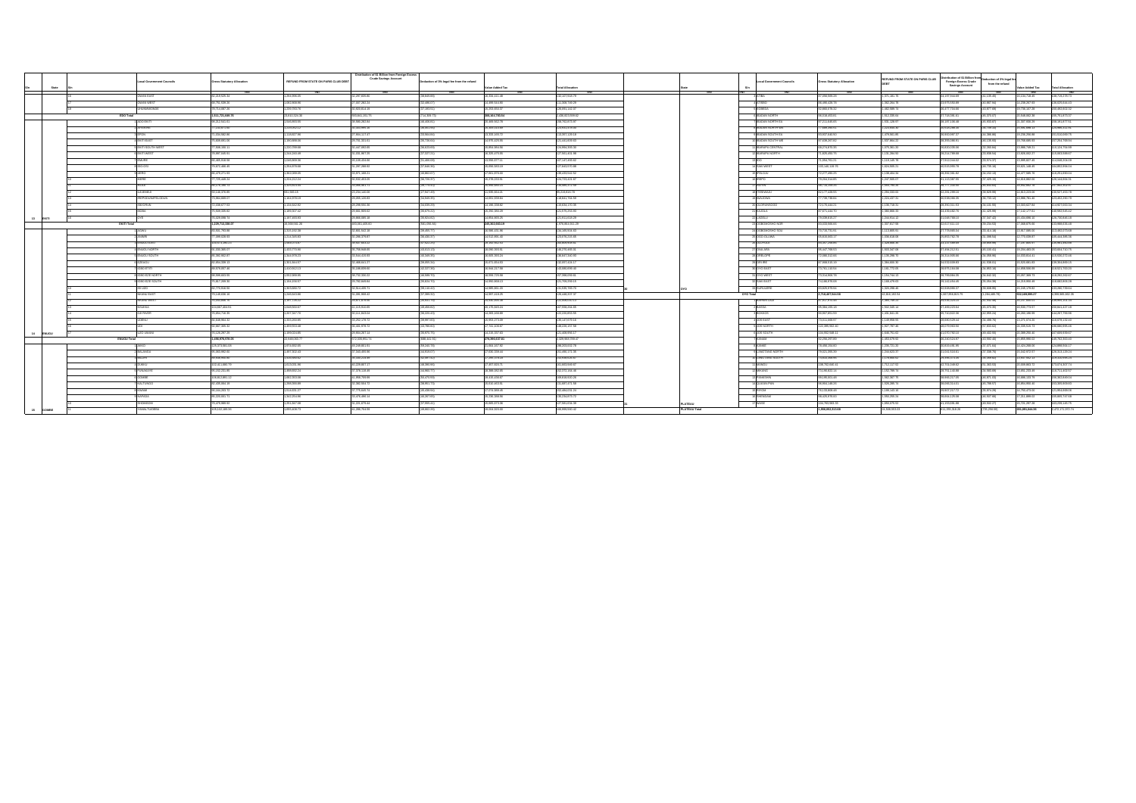|              |                    |                                  |                          |                                      | <b>Distribution of \$1 Billion from Foreign Exces</b> |                                         |                |                |                |           |                          |                                   |                                 | thibution of \$1 Billion f |                        |                |                 |
|--------------|--------------------|----------------------------------|--------------------------|--------------------------------------|-------------------------------------------------------|-----------------------------------------|----------------|----------------|----------------|-----------|--------------------------|-----------------------------------|---------------------------------|----------------------------|------------------------|----------------|-----------------|
|              |                    | <b>Local Government Councils</b> | oss Statutory Allocation | REFUND FROM STATE ON PARIS CLUB DEBT | Crude Savings Account                                 | duction of 3% legal fee from the refund |                |                |                |           | ocal Government Councils | <b>Iross Statutory Allocation</b> | REFUND FROM STATE ON PARIS CLUB | Foreign Excess Crude       | eduction of 3% legal t |                |                 |
| <b>State</b> |                    |                                  |                          |                                      |                                                       |                                         | also Added Tax | noitecoliA let |                |           |                          |                                   | <b>DEB3</b>                     | <b>Savings Account</b>     | from the refund        | ue Added Tax   | nstagellA late  |
|              |                    |                                  |                          |                                      |                                                       |                                         |                |                |                |           |                          |                                   |                                 |                            |                        |                |                 |
|              |                    |                                  | 219,525.34               | 1,294,996.05                         | 297,835.00                                            | 8.042.00                                | 334,411.48     | 2,107,918.79   |                |           |                          | 26,569.28                         | 1,371,181.76                    | 197,944.6                  | 135.45                 | 5,134,718.45   | 8,719,278.73    |
|              |                    | <b>MAN WEST</b>                  | 8,751,539.26             | 1,002,058.95                         | 7,007,282.24                                          | 2,486.07)                               | 4,420,544.90   | 1,308,749.29   |                |           |                          | 490,428.78                        | 1,362,264.78                    | 075,550.89                 | (40, 867.94)           | 14,238,267.93  | 36,025,644.43   |
|              |                    | HUNMINONDE                       | 1,714,087.26             | 1,239,783.76                         | 0,920,854.19                                          | 7,193.51)                               | 5,253,050.37   | 26,091,142.07  |                |           |                          | ,000,078.32                       | 1,462,589.74                    | 477,704.66                 | (43,877.69)            | 19,736,107.28  | 0,492,602.32    |
|              | EDO Total          |                                  | 511,721,649.76           | 23,810,324.30                        | 593.841.151.75                                        | (714,309.73)                            | 308.164.783.54 | 436.823.520.62 |                |           | MOAN NORTH               | 1018 453.81                       | 1,512,335.64                    | 37.718.391.61              | <b>145.370.071</b>     | 20.548.062.38  | 55.751.873.37   |
|              |                    | <b>DO EKITI</b>                  |                          |                                      | 38,580,282.54                                         |                                         | 409,562.78     | 58,762,873.97  |                |           |                          |                                   |                                 |                            | (45.933.87             |                |                 |
|              |                    |                                  | 1,212,541.61             | 1,546,893.55                         |                                                       | 46,406.81)                              |                |                |                |           | <b>WNORTHEA</b>          | 211,645.05                        | 1,531,128.97                    | 33,187,106.48              |                        | 1,307,930.29   | 58,191,877.51   |
|              |                    | ITEKRE                           | (143,871.60              | 1,215,052.12                         | 30,303,995.16                                         | 36,451.56)                              | 5,305,010.09   | 123.931.478.00 |                |           | <b>DAN NORTH WE</b>      | 1,000,390.51                      | 1,223,644.30                    | 0,518,288.30               | 06.709.33              | 15,591,698.13  | 24,986,311.91   |
|              |                    | ron                              | 1,034,582.86             | 1,118,827.96                         | 7.904.117.47                                          | 13.564.841                              | 13,333,165.72  | 113,357,129.18 |                |           | A3 HTUDZ WAO             | 0,937,640.50                      | 1,479,561.85                    | 35, 500, 507, 37           | (38.350.00)            | 19,236,256.88  | 51,510,009.75   |
|              |                    | <b>SCITLEAR</b>                  | 30.009.003               | 1,190,888.06                         | 9,701,331.61                                          | 35,726.64)                              | 14,975,425.55  | 21.441.609.63  |                |           | DAN SOUTH WE             | 639,267.82                        | 537.864.22                      | 35,355,006.91              | (46,135.93)            | 19.768.685.93  | 57,254,768.94   |
|              |                    | KITI SOUTH WEST                  | 508.150.11               | 1,220,789.68                         | 0,447,092.65                                          | 36.623.691                              | 15,854,984.56  | 14,994,393.30  |                |           | <b>RAPA CENTRAL</b>      | 274,870.35                        | 1,075,361.20                    | 820.035.06                 | (32,260.84)            | 13,986,749.21  | 10,124,754.99   |
|              |                    | <b>KITI WEST</b>                 | 8,997,045.91             | 1,244,240.49                         | 31,031,967.25                                         | 37,327.21)                              | 6,325,475.55   | 27,561,401.98  |                |           | <b>RAPA NORTH</b>        | 1,825,450.75                      | 1,131,284.50                    | 20,214,729.68              | (33.938.54)            | 13,926,002.27  | 15,063,588.67   |
|              |                    | <b>AJRE</b>                      | 6,465,918.58             | 1,046,869.36                         | 33.429,007                                            | (80.304.10                              | 1,556,677.11   | 07,147,493.62  |                |           |                          | 054,761.21                        | 1,119,145.78                    | 7,912,044.02               | (33.574.37)            | 13,995,827.45  | 14,048,204.09   |
|              |                    | >051                             | 9,672,466.45             | 1,254,878.68                         | 1,297,288.92                                          | 37,646.36)                              | 15,050,583.19  | 27,843,570.88  |                |           | AKI WEST                 | 13,140,119.76                     | 1,624,505.21                    | 515,955.78                 | (48,735.16)            | 19,621,148.45  | 64,852,994.04   |
|              |                    |                                  | 479,271.93               | 362,089.05                           | 1,971,968.2                                           | 40,862.67                               | 00.376.00      | 10,433,542.52  |                |           |                          | 277,490.25                        | 138,404.34                      | 8,392,361.82               | (34,152.13)            | 4,477,585.76   | 16,251,090.04   |
|              |                    | CERE                             | 725,449.24               | 1,224,212.24                         | 0,532,453.05                                          | [36, 726.37]                            | 5,278,033.51   | 24,723,421.67  |                |           |                          | 23.114.05                         | 1,247,505.07                    | 1,113,387.55               | (37.425.15)            | 14.616.882.00  | 26, 144, 664.31 |
|              |                    | $\overline{\text{out}}$          | 1,176,190.73             | 1,325,814.44                         | 33,066,461.71                                         | 22.774.431                              | 1,956,680.15   | 4,485,372.59   |                |           |                          | 714,159.26                        | 1,554,794.26                    | (777,330.50)               | (46.643.83)            | 8,942,662.78   | 7,942,302.97    |
|              |                    | <b>LIMES</b>                     | 2,146,376.85             | 931,583.15                           | 1,234,140.05                                          | 27.947.491                              | 1,935,664.21   | 219,816.78     |                |           |                          | 177,428.55                        | 1,294,333.00                    | 12,281,299.16              | 08.829.959             | 14,813,223.06  | 30,527,453.78   |
|              |                    |                                  |                          |                                      |                                                       |                                         |                |                |                |           |                          |                                   |                                 |                            |                        |                |                 |
|              |                    | EPODUNIFELODUN                   | 1,964,669.07             | 1,164,978.19                         | 9,055,126.83                                          | 34,949.35)                              | 601,032.84     | 8,841,764.59   |                |           |                          | 739,738.84                        | 1,224,437.31                    | 538,006.35                 | 06.733.12              | 3,986,781.40   | 23,452,290.79   |
|              |                    | <b>ZUORUN</b>                    | 2,038,677.53             | 1,134,642.92                         | 28,298,550.36                                         | (34,039.29)                             | 14,196,338.82  | 5,634,170.35   |                |           | 20 OLORUNSOGO            | 170,444.21                        | 1,136,718.31                    | 28,350,311.53              | (34,101.55)            | 13,303,627.84  | 14,927,000.34   |
|              |                    |                                  | 509,335.82               | 1,189,307.42                         | 9,051,909.62                                          | 15,679.22)                              | 250,300.29     | 575,253.93     |                |           |                          | 671,444.70                        | EE.000,00E,                     | 4,439,482.76               | 41.425.95%             | 142.177.61     | 0,592,545.42    |
|              |                    |                                  | 029,098.74               | 1,197,493.93                         | 29,866,085.18                                         | 35,924.82)                              | 4,854,865.25   | 11,911,618.29  |                |           | AGELL                    | 039,815.27                        | 1,244,914.12                    | 1,048,758.10               | (37,347.42)            | 5,434,636.10   | 26,730,846.18   |
|              | <b>EXITI Total</b> |                                  | 1229.713.338.07          | 12:368.561.26                        | 683,061,405.60                                        | 581,056.84)                             | 245.302.663.19 | 076.064.911.29 |                |           | CROMOSHO NOR             | 000 300.00                        | 1,307,817.58                    | 2.617.611.10               | (39,234.53)            | 7.068.875.66   | 33,988,636.48   |
|              |                    |                                  | 1,501,793.88             | 1,315,192.38                         | 32,801,542.18                                         | 39,455.77)                              | 6,586,431.96   | 34,105,504.03  |                |           | <b>GBOMOSHO SOI</b>      | 715,731.91                        | 1,113,805.91                    | 170,005.04                 | (33,414.18)            | 3,917,085.00   | 3,492,073.68    |
|              |                    | <b>MINITY</b>                    | 099,028.93               | 1,214,345.83                         | 0,286,379.87                                          | 36.430.371                              | 14.512.891.40  | 13.076.215.05  |                |           | <b>GO-OLUWA</b>          | 5,815,063.17                      | 1,035,618.08                    | 25,853,762.78              | 01.098.549             | 2.770.039.87   | 05,444,385.36   |
|              |                    | NUGU EAST                        | 0,573,190.23             | 1,584,074.87                         | 0,507,603.22                                          | 47.522.251                              | 9,192,562.53   | 13,809,908.61  |                |           | LUYOLE                   | 357,258.86                        | 1.328.666.35                    | 137,589.69                 | 02.050.956             | 17.197.805.97  | 35,981,460.88   |
|              |                    | <b><i>LUGU NORTH</i></b>         | 1,030,355.07             | 1,433,770.90                         | 35,758,948.65                                         | 43,013.13)                              | 8,090,393.51   | 146,270,465.01 |                |           | <b>NAMES</b>             | 447,768.53                        | 1,503,347.08                    | 7,494,212.51               | (45.100.41)            | 19,204,483.05  | 3,604,710.75    |
|              |                    | <b>UCU SOUTH</b>                 | 5,392,902.87             | 1,344,978.23                         | 544,415.93                                            | 40,349.35)                              | 16,005,393.24  | 136,647,340.93 |                |           |                          | 000,312.66                        | 1,135,298.70                    | 33.314,905.66              | (34,058.96)            | 4.033.814.41   | 5,530,272.46    |
|              |                    | <b>ZEAGU</b>                     | 12,054,339.13            | 1,301,844.57                         | 32,468,641.27                                         | 39,055.34)                              | 15,671,654.53  | 132,057,424.17 |                |           |                          | 308,515.19                        | 1,384,600.30                    | 532,609.83                 | (41,538.01)            | 15,520,681.83  | 39,304,869.15   |
|              |                    | <b>GBO ETITI</b>                 | 579.057.46               | 1,410,912.13                         | 03 02 03 11                                           | (42,327,36)                             | 1944-217.58    | 3.080.022.40   |                |           | <b>DYO EAS</b>           | 761.110.54                        | 1,161,772.05                    | 8.975.164.08               | (34, 853, 16)          | 4,058,506.09   | 18,521,700.20   |
|              |                    | <b>200 EZE NORTH</b>             | 599.603.55               | 1,552,989.95                         | 38,732,330.22                                         | 46.589.701                              | 8,559,725.58   | 7,398,059.61   |                |           | <b>IYO WES</b>           | 1,314,906.78                      | 1,154,744.13                    | 0,799,884.35               | 04.642.325             | 15.057.369.73  | 18.292.262.67   |
|              |                    | <b>BO EZE SOUT</b>               | 1,817,209.30             | 194,156.5                            | ,782,849.84                                           | 35,824.7                                | 950,003.13     | 1,709,259.15   |                |           |                          | 106,976.08                        | 168,479.63                      | 142,454.4                  | 05.054.31              | 1,219,950.49   | 8,682,806.28    |
|              |                    |                                  |                          |                                      |                                                       |                                         |                |                |                |           |                          |                                   |                                 |                            |                        |                |                 |
|              |                    |                                  | 2,770,916.50             | 1,303,680.72                         | 1,514,435.71                                          | 39,110.42)                              | 4,985,861.20   | 31,535,783.70  |                |           |                          | 1,825,979.94                      | 1,320,298.46                    | 2,928,890.37               | (39.608.95)            | 5,245,179.82   | 3,280,739.64    |
|              |                    | <b>IKANU EAST</b>                | 9,149,636.16             | 1,246,643.86                         | 31,091,908.42                                         | 37,399.32)                              | 4,997,418.25   | 126,448,207.37 |                | OYO Total |                          | 718,407,544.58                    | 42,816,192.54                   | 067,856,815.75             | (1, 284, 485, 78)      | 532,103,595.27 | 359,965,662.35  |
|              |                    | KANU WEST                        | 37.345.76                | 1,197,726.22                         | 9,871,878.56                                          | 15,931.791                              | 4,930,490.38   | 12,008,010.13  |                |           | <b>IKIN LAD</b>          | 917,970.48                        | 1,384,749.23                    | 4,536,324.10               | (41,542,48)            | 6.157.600.01   | 39,955,101.34   |
|              |                    |                                  | 10.404.91                | 1,648,560.67                         | 115,910.05                                            | 49,456.82)                              | 175,845.24     | 1,558,264.05   |                |           |                          | 384,155.18                        | ,502,345.14                     | 469,223.64                 | 45,070.35)             | 6,530,773.57   | 50,841,427.18   |
|              |                    | DJI RIVER                        | 6,654,716.35             | 1,207,347.70                         | 0,111,843.04                                          | 36,220.43)                              | 14,283,166.89  | 22,220,853.55  |                |           |                          | 0,907,851.59                      | 1,431,841.26                    | 5,710,822.36               | (42,955.24)            | 16,200,196.99  | 44,267,756.96   |
|              |                    |                                  | 1,648,964.32             | 1,333,260.85                         | 1,252,178.72                                          | (39,997.83)                             | 1,953,273.09   | 15,147,679.16  |                |           |                          | 011,068.97                        | 149,958.55                      | (680,529.44)               | (34,498.78)            | 13,271,074.20  | 16,078,132.40   |
|              |                    |                                  | 2,057,305.32             | 1,459,553.48                         | 36,401,978.72                                         | (43, 786.60)                            | ,741,105.67    | 48,226,157.58  |                |           | JOS NORTH                | 2,395,562.40                      | 1,927,787.46                    | 023,963.50                 | (57.833.62)            | (335,515.73    | 06,680,995.46   |
| 14 ENUGU     |                    | <b>ZO UWANI</b>                  | 6,126,297.29             | 1,199,024.85                         | 29,904,267.14                                         | 35,970.75                               | 14,215,337.63  | 21.408.955.17  |                |           | <b>6 JOS SOUTH</b>       | 14,552,548.11                     | 1,646,751.62                    | 1,070,792.10               | (49,402.55)            | 20,389,250.40  | 67,609,939.57   |
|              | <b>ENUGU Total</b> |                                  | 456,976,578.05           | 22,948,063.77                        | 72,335,951.74                                         | 88,441.91)                              | 78,396,637.81  | 120,968,789.47 |                |           |                          | 256,297.89                        | 1,453,079.92                    | (240,524.97                | (43,592.40)            | 5,055,990.02   | 45,762,300.40   |
|              |                    |                                  | 125,373,581.08           | 1,974,092.05                         | 49,249,801.91                                         | (59.240.78)                             | 1,664,167.92   | 198,203,002.78 |                |           | MKE                      | 8,456,154.00                      | 1,235,721.20                    | 0,819,491.95               | 07.071.649             | 14,424,268.06  | 24,098,554.17   |
|              |                    | <b>ALANGA</b>                    | 5.053.992.60             | 1,497,302.43                         | 7,343,455.96                                          | (44,919.07                              | 17.630.339.44  | 51,490,171.35  |                |           | WGTANG NORTH             | 9,021,355.39                      | 1244.623.37                     | 11,041,516.61              | (37,338.70)            | 15,042,972.57  | 26,313,129.24   |
|              |                    | 11121                            | 0.038,950.00             | 1,416,580.62                         | 5,330,214.49                                          | (42, 427.42)                            | 7,295,378.18   | 43.938.626.67  |                |           | ANGTANG SOUTH            | 323,358.95                        | 1,178,660.62                    | 396,373.35                 | 05359.82               | 13.937.552.13  | 19,310,595.24   |
|              |                    | <b>UKKU</b>                      | 02,411,680.79            | 1.613.031.96                         | 0,229,807.17                                          | (45,390.96)                             | 457,820.71     | 1,053,949.67   |                |           |                          | 18,702,640.41                     | 1,712,117.52                    | 1701.049.62                | (51,363,53)            | 0,009,863.72   | 73,074,307.74   |
|              |                    | UNAKAYE                          | 152,231.85               | 1,498,692.24                         | 37,378,118.49                                         | 44.950.77                               | 8,388,082.65   | 152,372,164.46 |                |           |                          | 1,190,822.14                      | 1,152,789.74                    | 20,751,140.88              | 04583.69               | 13.651.233.49  | 16,711,402.57   |
|              |                    | <b>SOMOK</b>                     | 106,812,891.12           | 1,682,353.08                         | 02.007,032,19                                         | 50,470.59)                              | 9,415,436.67   | 109,818,920.26 |                |           |                          | 1,195,001.48                      | 1,562,367.75                    | 33,966,217.05              | (46.871.03)            | 6,686,133.79   | 55,352,549.04   |
|              |                    |                                  |                          |                                      |                                                       |                                         |                |                |                |           |                          |                                   |                                 |                            |                        |                |                 |
|              |                    | <b>ALTUNGO</b>                   | 2,435,064.19             | 1,298,390.89                         | 2,382,504.72                                          | 38,951.73)                              | 15,610,463.51  | 31,687,471.58  |                |           | <b>IA'AN-PA</b>          | 304,148.26                        | 1,526,285.74                    | 006,314.01                 | (45,788.57)            | 6,854,950.40   | 3,305,909.83    |
|              |                    |                                  | 164,203.72               | 514,631.27                           | 775,645.74                                            | 45,438.94)                              | 074,989.45     | 2,484,031.24   |                |           |                          | 133,808.46                        | ,199,143.16                     | (907,217.72)               | 35,974.29              | 1,750,473.00   | 21,954,668.06   |
|              |                    | AFADA.                           | 220.001.71               | 1342254.96                           | 0,476,496.14                                          | 40.267.651                              | 5,236,388.56   | 5.234.873.72   |                |           | SHENDAN                  | 425 976 00                        | 550.255.24                      | 8.004.125.00               | (46.507.66)            | 7.211.899.02   | 5.805.747.68    |
|              |                    | 10MGOM                           | 1,479,989.92             | 1,251,847.08                         | 221,679.44                                            | 555.41                                  | 005,673.36     | 001,634.39     | <b>PLATEAU</b> |           |                          | 4,763,583.33                      | 650,075.52                      | 153,691.88                 | 49.502.27              | 5,721,297.28   | 3,239,145.75    |
| 15 GOMBE     |                    | MALTUIDEBA                       | 5,102,189.35             | 655,408.73                           | 286,704.59                                            | 49,662.26)                              | 004,920.00     | 00,999,560.42  | PLATEAU Total  |           |                          | 556,052,313.68                    | 4,508,553.03                    | 1,255,318.26               | (735, 256, 55)         | 281,091,044.35 | 472,171,972.74  |
|              |                    |                                  |                          |                                      |                                                       |                                         |                |                |                |           |                          |                                   |                                 |                            |                        |                |                 |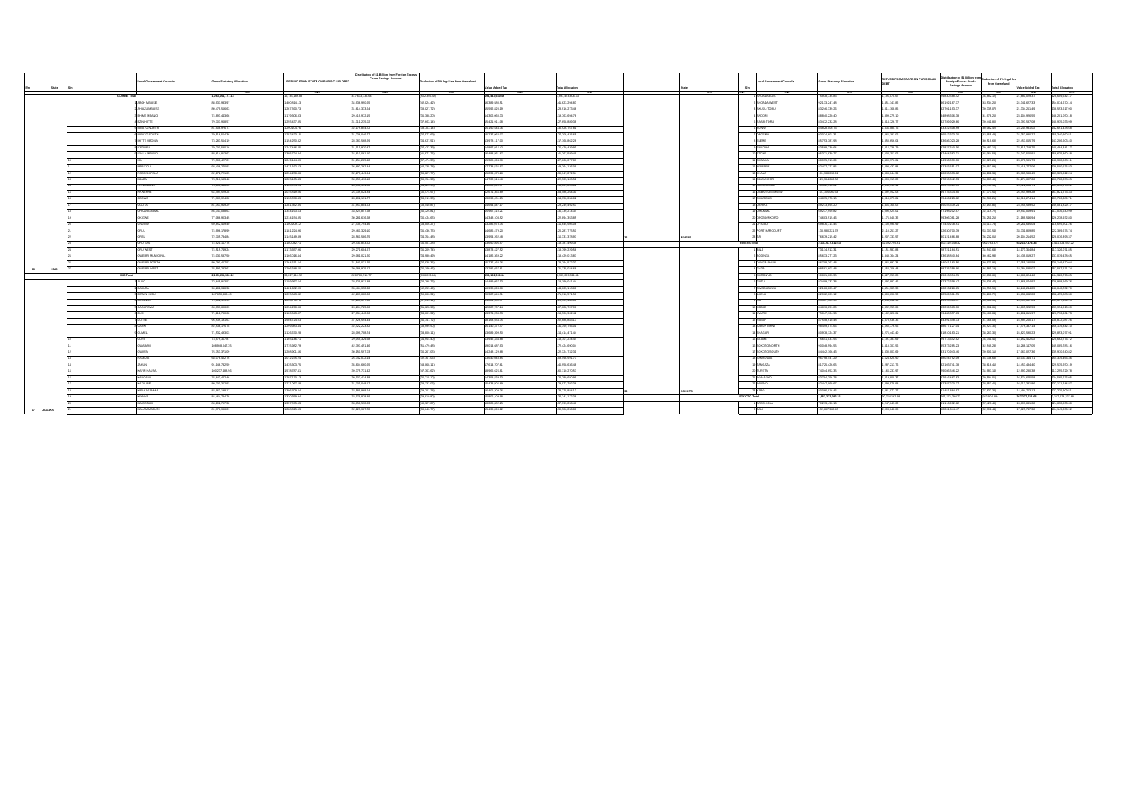|           |            |                    |                           |                                   |                                      | latribution of \$1 Billion from Foreign Exces |                                          |                |                  |        |                     |                          |                                   |                                 | stribution of \$1 Billion 1 |                     |                 |                   |
|-----------|------------|--------------------|---------------------------|-----------------------------------|--------------------------------------|-----------------------------------------------|------------------------------------------|----------------|------------------|--------|---------------------|--------------------------|-----------------------------------|---------------------------------|-----------------------------|---------------------|-----------------|-------------------|
|           |            |                    | ocal Government Councils  | <b>Jross Statutory Allocation</b> | REFUND FROM STATE ON PARIS CLUB DEBT | Crude Savings Account                         | eduction of 3% legal fee from the refund |                |                  |        |                     | ocal Government Councils | <b>Iross Statutory Allocation</b> | REFUND FROM STATE ON PARIS CLUB | Foreign Excess Crude        | duction of 3% legal |                 |                   |
|           |            |                    |                           |                                   |                                      |                                               |                                          | also Added Tax | otal Allocation  |        |                     |                          |                                   |                                 | Savings Account             | from the refund     | ue Added Tax    | otal Allocation   |
|           |            |                    |                           |                                   |                                      |                                               |                                          |                |                  |        | $\mathbf{m}$        |                          |                                   |                                 |                             |                     |                 | <b>CONTRACTOR</b> |
|           |            | <b>GONDE Total</b> |                           | 1,063,154,777.13                  | 6,745,185.88                         | 7,633,138.64                                  | 502,355.58)                              | 14,443,660.46  | 01.474.406.5     |        |                     |                          | 93873583                          | 1,196,070.67                    |                             |                     | 1,680,029.37    | 1,609,542.17      |
|           |            |                    | <b>BOH MBAISE</b>         | 18,937,933.97                     | 400,814.13                           | 4,936,990.65                                  | 42,024.42)                               | 6,389,580.51   | 41,623,294.83    |        |                     | HOADA WES                | 133,247.48                        | 1,451,141.82                    | 192.187.7                   | 3.534.25            | 24,341,627.33   | 54,074,670.14     |
|           |            |                    | <b>IAZU MBAISE</b>        | 80,479,556.63                     | 1,267,590.73                         | 31,614,333.64                                 | (38, 027.72)                             | 15,592,820.19  | 28,916,273.46    |        |                     | AKUKU-TORU               | 246,339.26                        | 1,311,168.85                    | 701,193.37                  | (39,335.07)         | 1,334,251.49    | 38,553,617.90     |
|           |            |                    | OWADVI 3MH2               | 74,093,443.00                     | (179,606.83                          | 29,419,972.15                                 | (35,388,20)                              | 14,306,000.33  | 19,763,694.76    |        |                     | ANDONE                   | 840 220 40                        | 1.399.275.10                    | 8C 803 898 N                | (41.978.25)         | 23.104.926.55   | 48.201.050.18     |
|           |            |                    |                           | 79,707,968.57                     | 1,255,437.85                         | 31,311,235.02                                 | 37,663.14)                               | 15,421,911.08  | 27,058,009.30    |        |                     | <b>SARI-TORI</b>         | 472,232.28                        | 1,314,726.77                    | 2,789,929.66                | 09.441.80           | 23,397,587.08   | 0,935,033.99      |
|           |            |                    | <b>EATO NORTH</b>         | 81,908,976.71                     | 1,290,104.76                         | 175,844.72                                    | 38,703.14)                               | 15,190,544.76  | 30,526,767.81    |        |                     |                          | 828 000.73                        | 1,336,080.76                    | 1,322,508.59                | (40.082.42)         | 23 244 931 02   | 42,091,438.68     |
|           |            |                    |                           |                                   |                                      |                                               |                                          |                | 27,205,425.05    |        |                     |                          |                                   |                                 |                             |                     |                 |                   |
|           |            |                    | <b>EATO SOUTH</b>         | 79,516,564.36                     | 1,252,423.15                         | 1,236,046.77                                  | (37,572.69)                              | 15,237,964.07  |                  |        |                     | <b>DEGEMA</b>            | 024,601.31                        | 1,465,181.06                    | 6,542,333.30                | (43,955.43)         | 24,352,830,27   | 55,340,990.51     |
|           |            |                    | <b>STTE UBOMA</b>         | 13.283.554.19                     | 154,250.32                           | 28,787,558.29                                 | 34,627.51)                               | 13,978,117.00  | 7,168,862.28     |        |                     |                          | 753,387.98                        | 1.350.656.04                    | 1686.023.28                 | 0.519.68            | 2,457,055.79    | 43.206.603.40     |
|           |            |                    | EDURU                     | 9,200,580.16                      | 1,247,446.25                         | 1111.920.47                                   | 37,423.39)                               | 14,037,916.42  | 10.023,023,01    |        |                     |                          | 568 230.64                        | 1,316,238.79                    | 2827.640.16                 | 19.487.167          | 2.811.718.75    | 40.484.341.17     |
|           |            |                    | <b>CIALA MEANO</b>        | 88,614,813.63                     | 1,395,724.84                         | 34,810,061.10                                 | (41, 871.75)                             | 15,455,061.67  | 141,267,589.49   |        |                     |                          | 371,830.77                        | 1,502,151.02                    | 17,464,382.31               | 45,064.53)          | 24,342,560.91   | 58,635,860.48     |
|           |            |                    |                           | 79,308,427.21                     | 1,249,144.89                         | 154,285.42                                    | 37,474.35)                               | 5,385,694.70   | 27,060,077.87    |        |                     |                          | 935,513.69                        | 1,400,776.01                    | 4,936,039.90                | 12.023.28           | 1,678,561.79    | 48,908,868.11     |
|           |            |                    | <b>BAITOLI</b>            | 23,406,270.92                     | 1,471,192.53                         | 36, 692, 262.44                               | (44, 135.78)                             | 7,738,535.97   | 149,264,126.09   |        |                     |                          | 437,727.85                        | 1,298,432.54                    | 2,383,551.07                | 38,952.99)          | 2,419,777.06    | 38,500,535.83     |
|           |            |                    | <b>VGOR OKPALA</b>        | 82,172,721.05                     | 294,258.86                           | 32,279,449.94                                 | 38,827.77)                               | 5,239,670.26   | 30,947,272.34    |        |                     |                          | 1,968,038.91                      | 1.605.044.39                    | 055 533 82                  | (48.181.33)         | 10358645        | 09,365,022.24     |
|           |            |                    |                           | 6,516,163.48                      | 1,205,165.43                         | 0,057,416.10                                  | 36,154.96)                               | ,762,515.46    | 22,505,105.51    |        |                     | <b>BEAVAKPOR</b>         | 0.354,655.36                      | 1,096,115.22                    | 290,042.33                  | (38.083.46          | 1,274,697.60    | 00,788,658.05     |
|           |            |                    | KWANGELE                  | 30.828,438.05                     | 1,100,784.93                         | 28,950,544.80                                 | (34, 823.55)                             | 14,226,899.37  | 18,001,843.61    |        |                     | <b>BUATOUA</b>           | 1302,498.21                       | 1,548,310.41                    | 8,615,619.99                | (46.449.31)         | 5.422.098.71    | 63,842,078.01     |
|           |            |                    | <b><i>OKWERRE</i></b>     | 14,494,529.28                     | 015,819.06                           | 5,335,024.84                                  | 30,474.57)                               | 12,671,365.69  | 02.405,264.30    |        |                     | <b>SBA/DGBEMA/N</b>      | 1,105,000.64                      | 1,592,452.08                    | 716,534.90                  | 773.56              | 25,454,999.28   | 67,821,273.33     |
|           |            |                    | <b>MOVACY</b>             | 1,767,924.02                      | 130,378.43                           | 28,192,191.77                                 | (33,911.35)                              | 13,893,451.15  | 14,950,034.02    |        |                     | CURRICO                  | 675,778.15                        | 1,018,673.81                    | 1406223.82                  | 30.560.21           | 8.716.274.14    | 09,786,389.71     |
|           |            |                    | <b>CGUTA</b>              | 81,353,919.29                     | 1,281,362.35                         | 31,957,804.63                                 | (38, 440.87)                             | 14,094,847.17  | 29,249,492.57    |        |                     | <b>BIOKRIKA</b>          | 213.855.20                        | 1,405,160.02                    | 5.045.379.24                | (42, 154.80)        | 23,459,589.52   | 149,081,829.17    |
|           |            |                    | NAJEGOEMA                 | 85,343,088.63                     | 1,344,193.63                         | 1,524,847.68                                  | (40,325.01)                              | 5,967,410.21   | 36,139,214.34    |        |                     | <b>ME BALL</b>           | 237,559.82                        | 1,090,524.01                    | 7,198,202.97                |                     | 19,543,009.91   | 7,036,640.99      |
|           |            |                    | ociwi                     | 77,086,903.45                     | 1,214,154.85                         | 30,281,616.68                                 | (36, 424.65)                             | 14,348,103.52  | 22,094,353.05    |        |                     | 20 OPOBO/NKDRO           | 003,515.46                        | 1,175,040.32                    | 29,306,081.28               | 05.251.211          | 1,189,546.94    | 26,238,932.80     |
|           |            |                    | NUMC                      | 09.052,409.40                     | 100,209.12                           | 1,439,754.46                                  | 13,006.27)                               | 13,286,078.35  | 1,645,505.06     |        |                     | OYIGBO                   | 876,714.45                        | 1,100,590.99                    | 7,449,278.51                | 33.017.73           | 10,261,635.04   | 18,655,201.26     |
|           |            |                    |                           | 74,996,178.99                     | 1,181,224.95                         | 29,460,329.10                                 | (35, 436.75)                             | 14,685,479.20  | 20,287,775.50    |        |                     | 22 PORT HARCOURT         | 1,980,221.78                      | 2,110,251.27                    | 2.630.700.39                | 63,307.54)          | 1,731,809.85    | 122,389,675.74    |
|           |            |                    |                           | 2,705,734.84                      | 145,149.39                           | 8,560,586.75                                  | 34,354.48)                               | 1,954,262.48   | דפ מלב, ובב, מ   |        |                     |                          | 572,215.42                        | 1,207,733.57                    | 1,121,466.88                | 15.232.011          | 104,214.52      | 28.076.298.37     |
|           |            |                    | RU EAS                    | 74,921,117.76                     | 180,042.71                           | (430,843.22)                                  | 35,401.28)                               | 1,090,095.97   | 19,187,499.38    | RIVERS | <b>RIVERS Total</b> |                          | 037,577,212.63                    | 32,092,795.81                   | 00,410,048.32               | (962,783.87)        | 542,107,379.33  | 411,224,052.22    |
|           |            |                    | RU WEST                   | 74,515,749.24                     | 173,057.96                           | 1,271,004.57                                  | 15,209.74)                               | 3,873,427.52   | 18,799,229.56    |        |                     |                          | 114,512.31                        | 1,151,587.83                    | 1,721,164.51                | <b>M.547.63</b>     | 4,173,354.84    | 7,126,071.85      |
|           |            |                    |                           |                                   |                                      |                                               |                                          |                |                  |        |                     |                          |                                   |                                 |                             | 0.462.93            |                 |                   |
|           |            |                    | VERRI MUNICIPAL           | 4,030,587.50                      | 100,010.44                           | 9,081,021.20                                  | 34,980.49)                               | 14,186,369.22  | 18,429,013.87    |        |                     |                          | 633,277.23                        | 1,348,754.24                    | 638,540.54                  |                     | 439,019.27      | 37,019,438.65     |
|           |            |                    | <b>VERRINORTH</b>         | 80,290,407.52                     | 1,264,611.54                         | 31,540,031.25                                 | (37, 938.35)                             | 15,737,460.36  | 128,794,572.33   |        |                     | DANGE-SHUNI              | 16,708,362.48                     | 1,365,097.34                    | 34,061,160.56               | (40,970.92)         | 17,055,180.58   | 39, 149, 430.04   |
|           | <b>IMO</b> |                    | ERRI WEST                 | 5,591,283.61                      | 206,348.60                           | 0,086,925.12                                  | 36,190.46)                               | 286,657.81     | 1,135,024.68     |        |                     |                          | 581,602.48                        | 1,552,706.43                    | 8,725,258.96                | 46,581.19)          | 8,784,585.07    | 57,597,571.74     |
|           |            | <b>IMO Total</b>   |                           | 2,109,595,306.12                  | 33,227,114.52                        | 828,700,512.77                                | (206, 813.44)                            | 339,132,901.44 | 1,369,659,021.41 |        |                     | GORDNYD                  | 0,661,003.35                      | 1,427,953.28                    | 2013, 204.35                | (42.838.60)         | 16,000,024.46   | 44,320,796.85     |
|           |            |                    |                           | 3,645,913.52                      | 150,957.64                           | 1,929,911.88                                  | 34,798.73)                               | 489,057.13     | 18,190,041.44    |        |                     |                          | 409,133.38                        | 1,297,982.46                    | 2372318.4                   |                     |                 | 29,908,569.76     |
|           |            |                    | <b>BABURA</b>             | 20,281,948.38                     | 1,421,982.99                         | 35,464,952.30                                 | (42,652.42)                              | 16,938,893.90  | 144,005,118.08   |        |                     | <b>WADABAWA</b>          | 106.005.47                        | 1,451,985.38                    | 6,213,226.65                | 43,559.56)          | 8,240,244.85    | 48,048,702.79     |
|           |            |                    | <b>UCLO VISO</b>          | 07,650,360.40                     | 1,005,543.02                         | 42,287,688.36                                 | (10.335.01                               | 20,327,845.51  | 1,910,571.58     |        |                     |                          | 562.009.12                        | 1.306.690.52                    | 2.589.501.55                | (39.200.72)         | 15,636,882.83   | 132-455.883.30    |
|           |            |                    |                           | 79,602,125.55                     | 1,253,770.78                         | 31,269,657.30                                 | (37,613.12)                              | 14,821,539.57  | 126,909,480.08   |        |                     |                          | 5,307,489.50                      | 1,343,632.93                    | 1510.863.4                  | (40.308.99)         | 15,495,587.24   | 135,617,364.15    |
|           |            |                    | AGARAWA                   | 06,937,006.03                     | 1,054,298.65                         | 6,294,725.00                                  | 31,628.96)                               | 12,827,707.24  | 07,082,707.95    |        |                     |                          | 516,851.20                        | 1,332,755.05                    | 1,239,563.90                | (39.982.65)         | 14,805,322.59   | 33,954,510.09     |
|           |            |                    |                           | 71,111,780.68                     | 120,043.87                           | 27,934,442.66                                 | 33,601.32)                               | 13,374,236.53  | 13,506,902.42    |        |                     | <b>KWARI</b>             | D47,164.96                        | 1,182,028.01                    | 29,480,357.63               | 35.460.848          | 15,102,811.97   | 120,776,901.73    |
|           |            |                    | <b>NUTSE</b>              | 6.535.191.63                      | ,504,724.03                          | 1,528,554.44                                  | (45, 141.72)                             | 8,163,554.75   | 2,686,883.13     |        |                     |                          | 548.910.48                        | 1.378.936.36                    | 34,391,348.33               | 41.368.091          | 5.594.260.17    | 38,872,087.26     |
|           |            |                    | ARKI                      | 82,536,175.78                     | 299,983.44                           | 2.422.223.82                                  | 38,999.50)                               | 1,140,372.47   | 31,359,756.01    |        |                     | SABON BIRNI              | 459.074.66                        | 1,550,776.56                    | 18.677.127.04               | 46.523.30           | 7.475.387.14    | 56,115,842.10     |
|           |            |                    |                           | 1,532,493.03                      | 1,126,670.28                         | 28,099,708.74                                 | (33, 800.11)                             | 3,603,399.50   | 14,414,471.44    |        |                     |                          | 1,978,124.37                      | 1,275,443.40                    | 01,810,183.21               | 0826330             | 15,827,590.23   | 29,853,077.91     |
|           |            |                    |                           | 73,975,367.87                     | 105,146.71                           | 0,059,329.58                                  | 34,954.40)                               | 3,942,334.68   | 18,107,224.44    |        |                     | ELAM                     | £41,031.55                        | 1,191,381.09                    | 2,713,642.92                | 35.741.453          | 14, 152, 462.02 | 0,052,776.72      |
|           |            |                    | MARAM                     | 108,948,047.35                    | ,715,982.79                          | 42,797,451.46                                 | (51, 472.48)                             | 19,014,687.93  | 72,424,690.04    |        |                     | DKOTO NORTH              | 048,594.55                        | 1,418,307.56                    | 25, 373, 285, 23            | (42, 540.23)        | 18,208,147.05   | 45,085,785.16     |
|           |            |                    | muz                       | 76,753,371.09                     | 1,208,901.55                         | 30,150,597.03                                 | (36, 267.05)                             | 14,248,129.68  | 22,324,732.31    |        |                     | <b>CKOTO SOUTH</b>       | 4,442,166.43                      | 1,330,003.69                    | 1170.943.46                 | 09.900.11           | 17,067,027.36   | 35,970,240.82     |
|           |            |                    | ADEJ                      | 58,076,402.76                     | 072,235.24                           | 5,742,072.14                                  | 32,167.06)                               | 3,640,048.05   | 09,498,591.73    |        |                     | AMBUWAL                  | 120,447.29                        | 1,524,620.90                    | 1,024,792.09                | 45.738.63           | 8,033,344.71    | 4,335,466.36      |
|           |            |                    | <b>MI IN</b>              | 01,146,732.50                     | 1,435,603.75                         | 35,804,660.65                                 | (11, 055, 11)                            | 17,614,707.61  | 45,958,636.48    |        |                     | <b>ANGAZA</b>            | 725,426.65                        | 1,287,213.76                    | 2,103,741.78                | 08.616.411          | 14,457,484.40   | 29,535,250.19     |
|           |            |                    |                           | 00,237,488.56                     | 578,787.41                           | 0,375,731.42                                  | 47,363.62)                               | 18,965,626.81  | 10,110,270.57    |        |                     | TURE T                   | 044,652.35                        | 1,166,237.97                    | 2086,546.22                 |                     | 2,993,280.38    | 17,255,729.78     |
|           |            |                    | 174554                    | 76,643,442.46                     | 1,207,170.13                         | 30,107,414.38                                 | (36, 215, 10)                            | 14,358,839.13  | 22,280,650.99    |        |                     |                          | 794,356,28                        | 1,319,800.37                    | 2.916.467.83                | 10.504.011          | 574.645.58      | 34,565,676.05     |
|           |            |                    | CAZALIRE                  | 0.700.302.93                      | 1,271,067.58                         | 1,701,048.17                                  | (38, 132.03)                             | 5,438,505.09   | 29,072,792.36    |        |                     | 22 MURNO                 | 447.002.67                        | 1,298,579.98                    | 12.387.220.77               | (38, 957.40)        | 6,017,331.86    | 32,111,244.87     |
|           |            |                    |                           | 2,963,198                         | 306,709.24                           |                                               | 9,201.28                                 | 405,209.36     | 1,225,884.1      | SOKOTO |                     |                          | 006.016.                          | 261,077.2                       |                             |                     | 494,763.13      | ,235,909.         |
|           |            |                    |                           | \$4,454,784.76                    | 1,330,359.94                         | 0,179,828.49                                  | 39,910.80)                               | 15,006,109.98  | 34,741,172.38    |        | SOKOTO Total        |                          | 053,222,002.21                    | 30,764,162.98                   | 767,273,294.73              | 1222 224.89         | 367,237,712.65  | 117,574,327.68    |
|           |            |                    | <b>UGATARI</b>            | 05,192,707.32                     | 1357,575.53                          | 1,058,598.63                                  | 40,727.27                                | 16,025,082.25  | 37,393,236.46    |        |                     | ARDO-KOLA                | 213,492.16                        | 1,247,649.62                    | 1,116,992.62                | 37,429.49)          | 13,097,531.68   | 24,638,536.60     |
|           |            |                    | <b><i>IALAM MADUR</i></b> | 11.776.966.21                     | 288,025.53                           | 2,123,987.78                                  | (38,640.77)                              | 5,435,898.12   | 30,586,236.88    |        |                     |                          | 132,887,988.43                    | 2.093.048.08                    | 2201.644.47                 |                     | 7.025.747.38    | 104.145.636.92    |
| 17 JIGAWA |            |                    |                           |                                   |                                      |                                               |                                          |                |                  |        |                     |                          |                                   |                                 |                             | (62, 791, 44)       |                 |                   |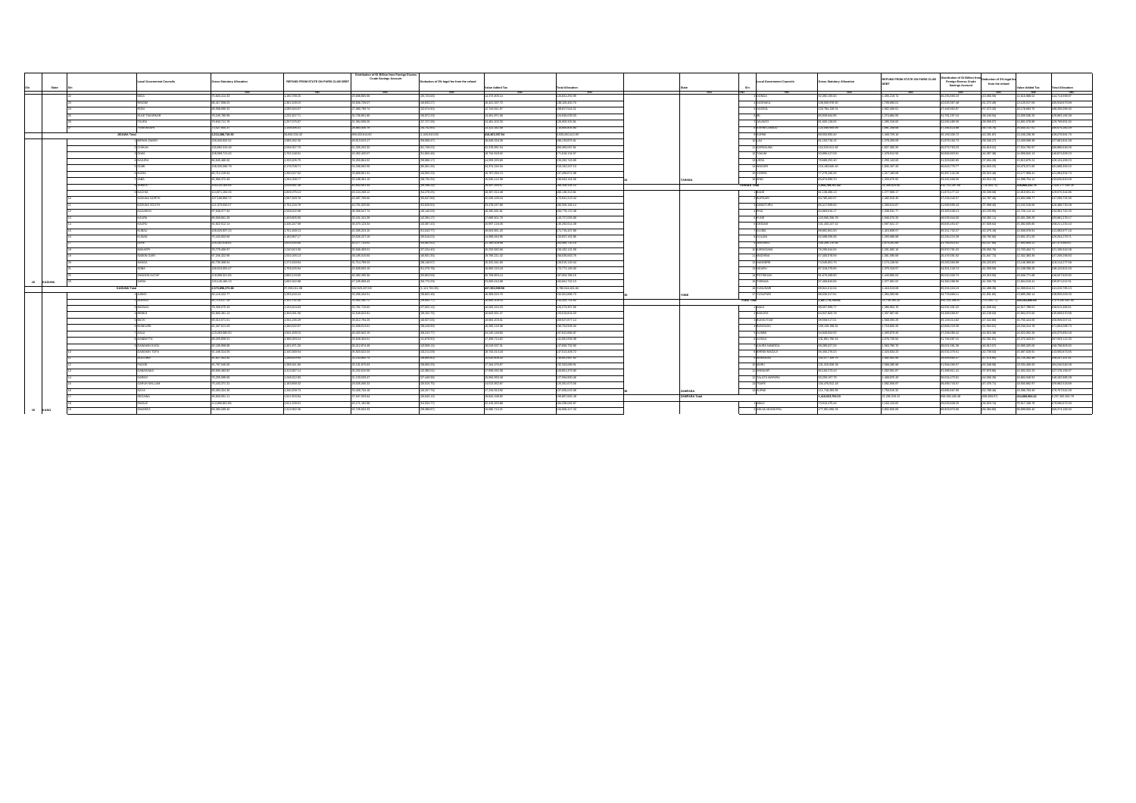|    |              |                     |                                  |                                   |                                      | latribution of \$1 Billion from Foreign Exces |                                          |                                |                  |                |                     |                          |                            |                                                | thibution of \$1 Billion f |                        |                      |                  |
|----|--------------|---------------------|----------------------------------|-----------------------------------|--------------------------------------|-----------------------------------------------|------------------------------------------|--------------------------------|------------------|----------------|---------------------|--------------------------|----------------------------|------------------------------------------------|----------------------------|------------------------|----------------------|------------------|
|    |              |                     | <b>Local Government Councils</b> | <b>Iross Statutory Allocation</b> | REFUND FROM STATE ON PARIS CLUB DEBT | Crude Savings Account                         | eduction of 3% legal fee from the refund |                                |                  |                |                     | scal Government Councils | Gross Statutory Allocation | REFUND FROM STATE ON PARIS CLUB<br><b>DEET</b> | Foreign Excess Crude       | eduction of 3% legal t |                      |                  |
|    |              |                     |                                  |                                   |                                      |                                               |                                          | alus Added Tax                 | notas Allocation |                |                     |                          |                            |                                                | <b>Savings Account</b>     | from the refund        | <b>Jue Added Tax</b> | nstagellA late   |
|    |              |                     |                                  |                                   |                                      |                                               |                                          |                                |                  | <b>STATE</b>   | $\sim$              |                          |                            |                                                |                            |                        | $ -$                 | $-$              |
|    |              |                     |                                  | 03,414.33                         | 190,789.20                           | 038,865.96                                    |                                          | 373,905.14                     | 0,831,250.95     |                |                     |                          | 392,155.60                 | 1,455,219.74                                   |                            |                        | 1,016,988.02         | 1,714,599.97     |
|    |              |                     |                                  | 117,058.03                        | 361,109.15                           | 3,946,729.07                                  | (1, 2, 2, 2)                             | 6,421,337.72                   | 38,105,400.70    |                |                     |                          | 509,978.90                 | ,709,083.01                                    | 625,367.48                 | (51,272.49)            | 1125.517.09          | 02.018,673.99    |
|    |              |                     |                                  | 1,938,690.32                      | 085,816.67                           | 7,080,729.74                                  | 12,574.50)                               | 12,744,811.97                  | 109,817,544.21   |                |                     |                          | 20,784,128.31              | 1,902,406.61                                   | 446,952.87                 | (57,072.20)            | 1,178,683.70         | 88,255,099.30    |
|    |              |                     | <b>ULE TAKARKAR</b>              | 8,245,780.59                      | 1,232,407.71                         | 0,736,851.90                                  | 36,972.23)                               | 4,451,971.56                   | 24,630,039.53    |                |                     |                          | 22094495                   | 1,274,684.55                                   | 1,791,257.16               | 08.240.541             | 100553625            | 26,963,182.38    |
|    |              | <b>URA</b>          |                                  | 0,843,711.76                      | 257,575.87                           | 31,364,558.26                                 | 37,727.28)                               | 4,481,202.20                   | 26,909,320.81    |                |                     |                          | 1,605,128.05               | 1,285,319.00                                   | 2,056,485.56               | (38,559.57)            | 4,801,578.88         | 29,709,951.92    |
|    |              | WKWASH              |                                  | 1,527,654.37                      | 158,095.01                           | 8,883,456.79                                  | 34,742.85)                               | 3,322,342.48                   | 16,856,005.00    |                |                     |                          | 00.009.994.99              | 1,091,158.68                                   | 7,166,423.88               | 56,734.76              | 6.604.317.51         | 85,675,160.29    |
|    |              | <b>JIGAWA Total</b> |                                  | 2,213,288,716.50                  | 34,860,334.32                        | 03.433,814.00                                 | (045,810.03)                             | 416,463,357.54                 | 533,000,412.93   |                |                     |                          | 3,503,950.40               | 1,409,729.16                                   | 5,159,335.72               | (42, 291.87)           | 13,246,238.35        | 139,276,961.75   |
|    |              | <b>INN GWAR</b>     |                                  | 06,045,920.32                     | 385,282.30                           | (513,913.17)                                  | 0.558.471                                | 15,645,318.28                  | 195.133.875.61   |                |                     |                          | 153,718.15                 | 1,278,209.09                                   | 1,879,160.73               | (38,346.27)            | 3,409,099.38         | 27,681,841.08    |
|    |              | <b>SIXOURN</b>      |                                  | 0,682,315.49                      | 2,058,307.70                         | 1,335,202.32                                  | (1,749.23)                               | 22,378,991.54                  | 10.723.057.01    |                |                     |                          | 16,015,611.82              | 1,827,300.25                                   | 5,573,763.23               | (54.819.01)            | 1,524,792.97         | 0,886,649.26     |
|    |              |                     |                                  | 0,000,712.43                      | 1,702,148.61                         | 2,452,420.07                                  | (39.320,13                               | 0,744,918.02                   | 71,918,134.67    |                |                     |                          | 896,417.09                 | 1,478,912.56                                   | 0,004,003.81               | (60.730,88)            | 4,056,042.13         | 46,872,608.23    |
|    |              | <b>AJURU</b>        |                                  | 645,466.06                        | 1,333,205.75                         | 250,804.52                                    | 3,996.171                                | 4,093,263.69                   | 33,282,743.85    |                |                     |                          | E89,252.40                 | 1,255,143.06                                   | 1,303,882.85               | 07.654.258             | 1913.875.21          | 26,124,499.23    |
|    |              | ABI                 |                                  | 38,326,596.79                     | 2,178,708.71                         | 4,338,062.55                                  |                                          | AC0AC374.34                    |                  |                |                     | <b>4 MUKAR</b>           |                            |                                                |                            |                        | 075571.65            |                  |
|    |              |                     |                                  |                                   |                                      |                                               | 05,361.26)                               |                                | 119, 152, 247.13 |                |                     |                          | 6,193,840.40               | 1,830,107.43                                   | 643,775.77                 | (54,903.22)            |                      | 81,688,392.02    |
|    |              |                     |                                  | 712,219.54                        | 350.007.62                           | 1,669,851.31                                  | 10,500.23)                               | 5,767,094.74                   | 137,458,672.98   |                |                     |                          | 7,279,166.45               | 1,217,183.08                                   | 0,357,142.28               | (36,515.49)            | 1,177,958.41         | 21,994,934.73    |
|    |              |                     |                                  | ,966,372.49                       | 291,008.77                           | 2,198,391.19                                  | 38,730.26)                               | 526,112.38                     | 30,943,154.55    | TARABA         |                     |                          | 674,999,70                 | 333,670.92                                     | 1,262,406.05               | (40,010.13)            | 4,399,754.14         | 030,020.09       |
|    |              | A' GALT             |                                  | 04,120,164.94                     | 1,639,941.35                         | 40,900,941.44                                 | 49,198.24)                               | 10,407,204.57                  | 155, 109, 144.10 |                | <b>TARABA Total</b> |                          | 1,554,799,767.82           | 24,488,824.85                                  | 10,763,287.68              | (734,004.75)           | 238,860,332.75       | 2,428,177,548.35 |
|    |              |                     |                                  | 4,871,194.33                      | 1,809,275.13                         | 124,208.12                                    | 54,278.25)                               | 15,357,914.48                  | 180,138,313.81   |                |                     |                          | 138,486.13                 | ,277,909.17                                    | 873,177.22                 | (30.022, 00)           | 4,819,051.41         | 9,070,344.86     |
|    |              |                     | <b><i>LOUNA NORTH</i></b>        | 07,166,956.72                     | 1,687,929.78                         | 2,097,735.60                                  | 50,637.89)                               | 12,039,169.24                  | 72,941,213.44    |                |                     |                          | <b>A.785,462.57</b>        | 1,492,915.45                                   | 234,042.57                 | (44,787.46)            | 1,832,098.77         | 47,299,731.90    |
|    |              | <b>VOUNA SOUTH</b>  |                                  | 1.375.530.07                      | 754,216.78                           | 3,751,025.90                                  | 52.626.501                               | 13,478,037.89                  | 180,306,184.14   |                |                     | MMATUR                   | 0.417.599.66               | 1,266,614.87                                   | 1.589.995.43               | (37.998.45)            | 3.152.518.56         | 26.388.730.08    |
|    |              |                     |                                  | 648,077.94                        | 538,002.98                           | 8,358,547.74                                  | 46,140.09)                               | 18,280,681.81                  | 55,779,170.38    |                |                     |                          | A 983,616.17               | 1,338,531.77                                   | 2,383,638.13               | (40,155.95)            | 4,726,112.14         | 34,391,742.25    |
|    |              | <b>MIDA</b>         |                                  | 0,508,801.29                      | 1,409,805.56                         | 35, 161, 241.26                               | 42294.171                                | 7,689,501.75                   | 43,727,055.03    |                |                     |                          | 23,556,336.78              | 1,946,070.20                                   | 8,535,944.00               | (58,382.11)            | 20,001,309.29        | 93,981,278.17    |
|    |              |                     |                                  | (822,512.14)                      | 1,446,247.59                         | 6,070,123.34                                  | (1,317.43)                               | 5,997,118.45                   | 45,292,614.08    |                |                     |                          | 1,433,247.42               | 1,597,621.17                                   | 0,845,454.67               | (47,928.64)            | 5,382,835.80         | 58,211,230.43    |
|    |              |                     |                                  | 0,025,937.23                      | (701,459.13)                         | 2,435,224.10                                  | 1,043.77)                                | 19,603,851.20                  | 71,715,427.89    |                |                     |                          | 1.891.901.50               | 1,415,839.57                                   | 5,311,732.37               | (42.475.19)            | 14.506,978.91        | 41,083,977.16    |
|    |              |                     |                                  | 163,933.56                        | 1,183,867.17                         | 526,227.19                                    | 35,516.02)                               | 4,998,640.95                   | 20.837.152.85    |                |                     |                          | 2,098,299.36               | 233,086.68                                     | 250,215.28                 | (38, 792.60)           | 1,651,371.00         | 9,254,179.71     |
|    |              |                     |                                  | 5,262,018.82                      | (815,430.80                          | 5,277,733.52                                  | 54,462.92)                               | 11,185,009.98                  | 13,485,730.19    |                |                     |                          | 05,299,176.94              | 1,674,261.84                                   | 756,910.52                 | (50,227.86)            | 023,052.22           | 67,373,980.67    |
|    |              |                     |                                  | 779,455.97                        | 240,813.35                           | 0,945,493.01                                  | (7,224.40)                               | 5,232,582.66                   | 26,162,121.59    |                |                     |                          | 295, E44, S4               | 1,201,692.16                                   | 9,970,791.03               | (36,050.76)            | 13.763.464.7         | 1,195,542.08     |
|    |              | ABON GARI           |                                  | 7,206,322.95                      | 1,531,045.13                         | 8,185,015.00                                  | 45,931.35)                               | 19,759,211.42                  | 55,635,663.75    |                |                     |                          | 400,578.59                 | 1,061,590.69                                   | 6,476,591.92               | (31,847.72)            | 2,302,383.35         | 07,209,296.83    |
|    |              |                     |                                  | 0,735,308.54                      | 1,271,618.94                         | 1,714,799.23                                  | 38,148.57)                               | 5,331,541.90                   | 29,015,120.04    |                |                     | 12 NANGERS               | 1,545,851.70               | 1,174,128.94                                   | 9,283,350.99               | 05.223.87              | 13,146,369.82        | 18,114,277.58    |
|    |              |                     |                                  | 0,519,053.47                      | 709,225.94                           | 2,628,932.19                                  | 51,276.78)                               | 0,965,210.18                   | 2,771,145.00     |                |                     |                          | 319,279.65                 | 1,375,319.57                                   | A301,143.74                | (41,250.50)            | 168,338.26           | 38,122,821.63    |
|    |              | <b>NGON KATAR</b>   |                                  | 8,099,321.65                      | 1,860,119.65                         | 6,392,295.30                                  | 55,003.59)                               | 10,708,853.14                  | 187,004,786.15   |                |                     | OTISKUI                  | 1,670,282.90               | 1,443,850.02                                   | 6,010,326.73               | (43,315.50)            | 6,946,771.68         | 46,027,922.82    |
| 18 | <b>ADUNA</b> |                     |                                  | 20,145,180.13                     | 1,892,342.88                         | 7,195,958.43                                  | 16,770.29)                               | 3,665,010.98                   | 92,641,722.13    |                |                     |                          | 469,543,66                 | 1,377,691.02                                   | 4,360,288.95               | (41,330.73)            | 2804519.4            | 35,971,012.31    |
|    |              | <b>KADUNA Total</b> |                                  | 373,098,373.00                    | 7,390,011.68                         | 32,525,207.08                                 | 1,121,700.35)                            | 137,352,503.56                 | 1700.044.461.84  |                |                     | 16 YUNUSAR               | 1,941,012.04               | 1,416,613.08                                   | 5,331,024.19               | (42,498.39)            | 14,369,614.21        | 41,015,765.13    |
|    |              | <b>AJNGI</b>        |                                  | 2.119.222.77                      | 1,293,416.24                         | 2258.434.51                                   | (38, 002, 40)                            | 6,309,615.70                   | 132,001,886.73   | YOBE           |                     | 17 YUSUFARI              | 8.530.317.91               | 1,394,393.99                                   | 34.776.869.11              | (41.831.82)            | 13,895,260.14        | 38.555.009.33    |
|    |              | LBASU               |                                  | 714,517.29                        | 1,302,792.40                         | 32,492,280.72                                 | 39,083.77)                               | 81.005,208.16                  | 133,355,714.80   |                | YOBE Total          |                          | 1,507,776,744.91           | 23,748,190.20                                  | 22,291,496.87              | (712, 445.71)          | 250,162,856.68       | 373,266,842.95   |
|    |              | <b>GWAI</b>         |                                  | 1,309,075.33                      | 1,233,404.63                         | 0,761,715.62                                  | 17.002.141                               | 6,006,164.23                   | 126,273,357.00   |                |                     |                          | 18,057,999.77              | 1,386,954.76                                   | 34,591,331.02              | (41.608.64)            | 4.517.789.61         | 38,512,466.51    |
|    |              | <b>EDEJ</b>         |                                  | 2,000,491.14                      | 305,091.56                           | 2,549,622.81                                  | 39,152.75)                               | 6,843,551.27                   | 133,519,604.03   |                |                     |                          | 4.947,800.78               | 1,337,967.06                                   | 1,369,568.97               | (40,139.03)            | 5,954,372.60         | 35,569,570.99    |
|    |              |                     |                                  | 9.313.571.61                      | 564,235.29                           | 0,012,794.29                                  | 46.927.061                               | 12/684 203.01                  | 59.527.877.14    |                |                     | BURKUYUN                 | 1,558,517.01               | 1,568,093.29                                   | 109.014.82                 | (47.042.80)            | 1750.424.69          | 56.939.007.01    |
|    |              | UNKURE              |                                  | 1.307.611.03                      | 280,632.97                           | 239,613.61                                    | 35,418.99)                               | 5,265,119.38                   | 130,754,558.00   |                |                     |                          | 22,128,198.91              | 718,820.26                                     | 060,219.39                 | 51.564.61)             | 240,414.78           | 1,904,088.73     |
|    |              |                     |                                  | 3,263,580.50                      | 341,459.15                           | 48,420,942.19                                 | 58,243.77)                               | 14,245,148.00                  | 197,812,886.87   |                |                     |                          | 02.033.204.0               | 1,493,879.26                                   | 7,258,080.42               | (80.315.38)            | 5,522,052.26         | 50,075,850.49    |
|    |              | <b>WEATTA</b>       |                                  | 205,835.51                        | 1,389,283.24                         | (649,404.51                                   | 41,678.50)                               | 7,458,714.62                   | 141,001,559.38   |                |                     |                          | 1,851,756.16               | 2,076,726.94                                   | 794,587.15                 | (62,301.81)            | 2,272,343.91         | 07,933,112.35    |
|    |              |                     | TUCK VOURN                       | 2,185,908.98                      | 1,451,971.26                         | 36,212,874.49                                 | 43,559.14)                               | 18,019,537.31                  | 47,826,732.90    |                |                     | AURA NAMODA              | 205,027.26                 | 1,563,785.70                                   | 9,001,581.38               | (46,913.57)            | 8,995,325.06         | 58,798,805.82    |
|    |              |                     | WAKIN TOFA                       |                                   |                                      |                                               | 43.211.091                               |                                |                  |                |                     | <b>DIAIN MACAT</b>       |                            |                                                |                            |                        | 5.687.626.91         | 43.050.873.65    |
|    |              |                     |                                  | 1,449,314.05                      | 1,440,359.54                         | 5,923,522.03                                  |                                          | 18,743,414.18<br>EA 803,000.43 | 47,513,408.72    |                |                     |                          | 0,450,276.03               | 1,424,634.23                                   | 5,531,075.51               | (42, 739.03)           |                      |                  |
|    |              | iuwa                |                                  | 1,827,403.40                      | 288,819.94                           | 2,143,800.74                                  | (03.853,68                               |                                | 130,851,957.92   |                |                     |                          | 0,477,109.76               | 1,582,561.56                                   | 0,460,860.47               | (47, 476.85)           | 6,725,282.48         | 58,207,337.41    |
|    |              | <b>IGGE</b>         |                                  | 1,797,046.05                      | 288,341.80                           | 2,131,875.63                                  | 38,650.25)                               | 154,476.67                     | 32,343,089.91    |                |                     |                          | 31,315,838.38              | 2,068,285.98                                   | 1,584,005.57               | (02.048.58)            | D2 304,405.93        | 04,240,548.28    |
|    |              | <b>ABASAWA</b>      |                                  | 0,000,483.82                      | 1,412,057.14                         | 5,232,610.59                                  | 42,380.01)                               | 7,558,092.36                   | 143,851,473.90   |                |                     | 1 SHINKAF                | 0,160,273.43               | 1,262,561.87                                   | 1,488,911.41               | (37, 376, 36)          | 14,304,322.23        | 27,178,192.07    |
|    |              |                     |                                  | 1,255,599.00                      | 248,312.83                           | 133,533.47                                    | 17,442.38)                               | 5,994,993.49                   | 27,594,990.06    |                |                     | TALATA MAFARA            | 1,259,157.79               | 1,468,875.43                                   | 634.472.81                 | 44.066.263             | 6.004.546.52         | 48,182,986.28    |
|    |              | ARUN MALLAM         |                                  | 163,371.31                        | 183,858.32                           | 526.006.32                                    | 35,515.75)                               | 14,513,952.87                  | 20.351.673.06    |                |                     | 13 TSAFE                 | 00,476,812.18              | 1,582,556.87                                   | 0,460,743.57               | (47, 476, 71)          | 8,500,882.97         | 59,982,518.89    |
|    |              |                     |                                  | 102,324.3                         | 340,259.73                           | 426,734.10                                    | 1,207.79)                                | 234,913.5                      | ,055,023.98      | <b>ZAMEARA</b> |                     |                          | 718,283.9                  | 759,615.32                                     | 885, 667.9                 |                        |                      | 107,542.28       |
|    |              |                     |                                  | 600.551.11                        | 521,503.94                           | 7,947,053.64                                  | 45,645.12)                               | 19,844,198.92                  | 155,067,052.40   | ZAMFARA Total  |                     |                          | 415,533,706.33             | 22,295,319.12                                  | 56.056,180.48              | 100802257              | 244,008,554.42       | 237,282,900.78   |
|    |              | NALE                |                                  | 4,990,801.85                      | 811.159.01                           | (171,192.88)                                  | <b>A334.77</b>                           | 2,419,263.88                   | 154,338,082.87   |                |                     |                          | 910,475.44                 | 1,164,124.62                                   | 033,838.25                 | (34,923.74)            | 5,517,158.76         | 9,590,673.33     |
|    |              | ARZD                |                                  | 1360.209.40                       | 1,312,962.36                         | 2,745,924.33                                  | 22.388.871                               | 5,686,710.21                   | 34.005.417.43    |                |                     | 2 ABUJA MUNICIPAL        | 77,951,956.33              | 2,002,026.09                                   | 503,870.68                 | 08.004.00              | 45 020 000 40        | 40,274,109.30    |